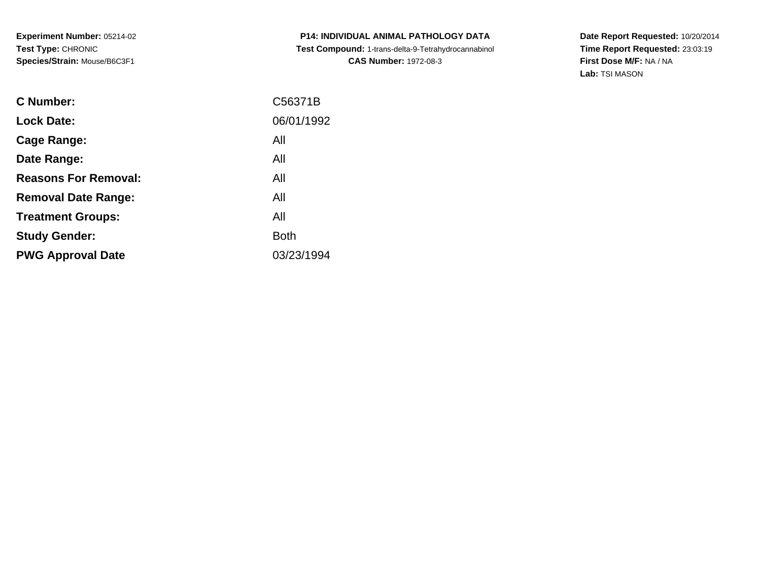**P14: INDIVIDUAL ANIMAL PATHOLOGY DATA Test Compound:** 1-trans-delta-9-Tetrahydrocannabinol **CAS Number:** 1972-08-3

| C Number:                   | C56371B     |
|-----------------------------|-------------|
| <b>Lock Date:</b>           | 06/01/1992  |
| Cage Range:                 | All         |
| Date Range:                 | All         |
| <b>Reasons For Removal:</b> | All         |
| <b>Removal Date Range:</b>  | All         |
| <b>Treatment Groups:</b>    | All         |
| <b>Study Gender:</b>        | <b>Both</b> |
| <b>PWG Approval Date</b>    | 03/23/1994  |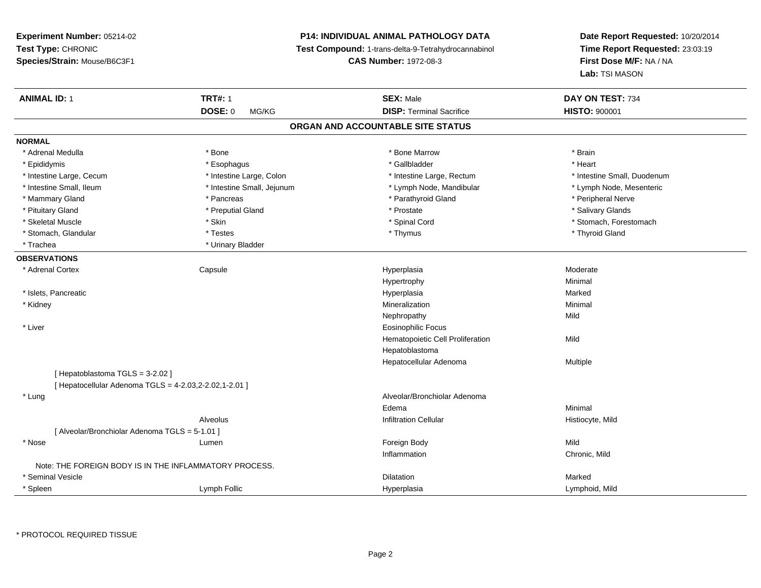# **P14: INDIVIDUAL ANIMAL PATHOLOGY DATA**

**Test Compound:** 1-trans-delta-9-Tetrahydrocannabinol

**CAS Number:** 1972-08-3

**Date Report Requested:** 10/20/2014**Time Report Requested:** 23:03:19**First Dose M/F:** NA / NA**Lab:** TSI MASON

| <b>ANIMAL ID: 1</b>                                    | <b>TRT#: 1</b>             | <b>SEX: Male</b>                  | DAY ON TEST: 734            |
|--------------------------------------------------------|----------------------------|-----------------------------------|-----------------------------|
|                                                        | <b>DOSE: 0</b><br>MG/KG    | <b>DISP: Terminal Sacrifice</b>   | <b>HISTO: 900001</b>        |
|                                                        |                            | ORGAN AND ACCOUNTABLE SITE STATUS |                             |
| <b>NORMAL</b>                                          |                            |                                   |                             |
| * Adrenal Medulla                                      | * Bone                     | * Bone Marrow                     | * Brain                     |
| * Epididymis                                           | * Esophagus                | * Gallbladder                     | * Heart                     |
| * Intestine Large, Cecum                               | * Intestine Large, Colon   | * Intestine Large, Rectum         | * Intestine Small, Duodenum |
| * Intestine Small, Ileum                               | * Intestine Small, Jejunum | * Lymph Node, Mandibular          | * Lymph Node, Mesenteric    |
| * Mammary Gland                                        | * Pancreas                 | * Parathyroid Gland               | * Peripheral Nerve          |
| * Pituitary Gland                                      | * Preputial Gland          | * Prostate                        | * Salivary Glands           |
| * Skeletal Muscle                                      | * Skin                     | * Spinal Cord                     | * Stomach, Forestomach      |
| * Stomach, Glandular                                   | * Testes                   | * Thymus                          | * Thyroid Gland             |
| * Trachea                                              | * Urinary Bladder          |                                   |                             |
| <b>OBSERVATIONS</b>                                    |                            |                                   |                             |
| * Adrenal Cortex                                       | Capsule                    | Hyperplasia                       | Moderate                    |
|                                                        |                            | Hypertrophy                       | Minimal                     |
| * Islets, Pancreatic                                   |                            | Hyperplasia                       | Marked                      |
| * Kidney                                               |                            | Mineralization                    | Minimal                     |
|                                                        |                            | Nephropathy                       | Mild                        |
| * Liver                                                |                            | <b>Eosinophilic Focus</b>         |                             |
|                                                        |                            | Hematopoietic Cell Proliferation  | Mild                        |
|                                                        |                            | Hepatoblastoma                    |                             |
|                                                        |                            | Hepatocellular Adenoma            | Multiple                    |
| [ Hepatoblastoma TGLS = 3-2.02 ]                       |                            |                                   |                             |
| [ Hepatocellular Adenoma TGLS = 4-2.03,2-2.02,1-2.01 ] |                            |                                   |                             |
| * Lung                                                 |                            | Alveolar/Bronchiolar Adenoma      |                             |
|                                                        |                            | Edema                             | Minimal                     |
|                                                        | Alveolus                   | <b>Infiltration Cellular</b>      | Histiocyte, Mild            |
| [ Alveolar/Bronchiolar Adenoma TGLS = 5-1.01 ]         |                            |                                   |                             |
| * Nose                                                 | Lumen                      | Foreign Body                      | Mild                        |
|                                                        |                            | Inflammation                      | Chronic, Mild               |
| Note: THE FOREIGN BODY IS IN THE INFLAMMATORY PROCESS. |                            |                                   |                             |
| * Seminal Vesicle                                      |                            | Dilatation                        | Marked                      |
| * Spleen                                               | Lymph Follic               | Hyperplasia                       | Lymphoid, Mild              |

\* PROTOCOL REQUIRED TISSUE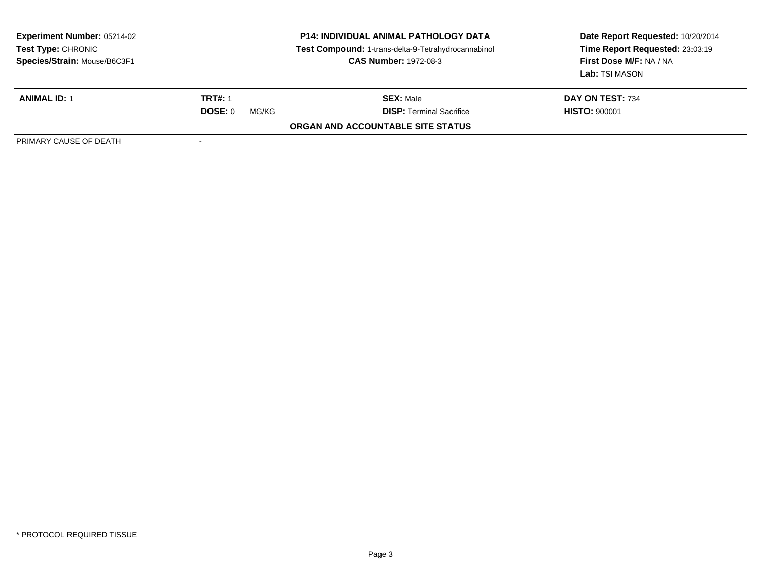| <b>Experiment Number: 05214-02</b><br><b>Test Type: CHRONIC</b><br>Species/Strain: Mouse/B6C3F1 | <b>P14: INDIVIDUAL ANIMAL PATHOLOGY DATA</b><br>Test Compound: 1-trans-delta-9-Tetrahydrocannabinol<br><b>CAS Number: 1972-08-3</b> |                                          | Date Report Requested: 10/20/2014<br>Time Report Requested: 23:03:19<br>First Dose M/F: NA / NA<br>Lab: TSI MASON |
|-------------------------------------------------------------------------------------------------|-------------------------------------------------------------------------------------------------------------------------------------|------------------------------------------|-------------------------------------------------------------------------------------------------------------------|
| <b>ANIMAL ID: 1</b>                                                                             | <b>TRT#: 1</b>                                                                                                                      | <b>SEX: Male</b>                         | DAY ON TEST: 734                                                                                                  |
|                                                                                                 | <b>DOSE: 0</b><br>MG/KG                                                                                                             | <b>DISP:</b> Terminal Sacrifice          | <b>HISTO: 900001</b>                                                                                              |
|                                                                                                 |                                                                                                                                     | <b>ORGAN AND ACCOUNTABLE SITE STATUS</b> |                                                                                                                   |
| PRIMARY CAUSE OF DEATH                                                                          |                                                                                                                                     |                                          |                                                                                                                   |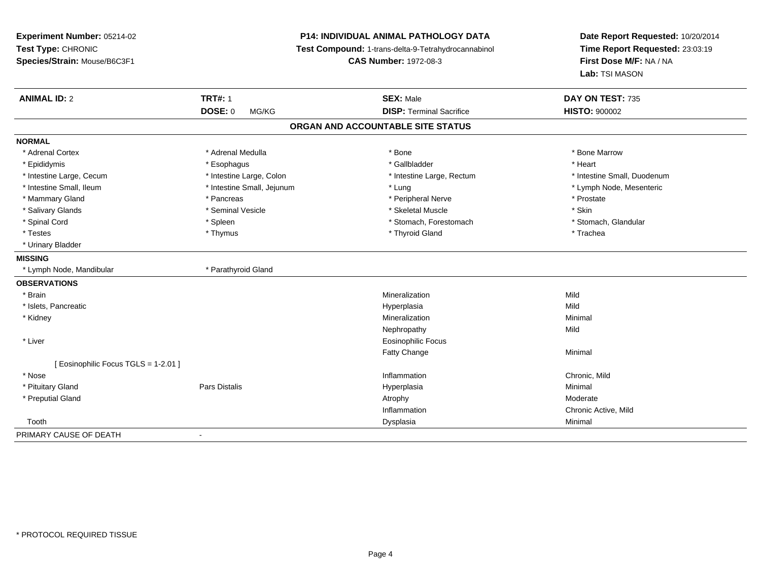| Experiment Number: 05214-02<br>Test Type: CHRONIC<br>Species/Strain: Mouse/B6C3F1 | <b>P14: INDIVIDUAL ANIMAL PATHOLOGY DATA</b><br>Test Compound: 1-trans-delta-9-Tetrahydrocannabinol<br><b>CAS Number: 1972-08-3</b> |                                   | Date Report Requested: 10/20/2014<br>Time Report Requested: 23:03:19<br>First Dose M/F: NA / NA<br>Lab: TSI MASON |  |
|-----------------------------------------------------------------------------------|-------------------------------------------------------------------------------------------------------------------------------------|-----------------------------------|-------------------------------------------------------------------------------------------------------------------|--|
| <b>ANIMAL ID: 2</b>                                                               | <b>TRT#: 1</b>                                                                                                                      | <b>SEX: Male</b>                  | DAY ON TEST: 735                                                                                                  |  |
|                                                                                   | <b>DOSE: 0</b><br>MG/KG                                                                                                             | <b>DISP: Terminal Sacrifice</b>   | <b>HISTO: 900002</b>                                                                                              |  |
|                                                                                   |                                                                                                                                     | ORGAN AND ACCOUNTABLE SITE STATUS |                                                                                                                   |  |
| <b>NORMAL</b>                                                                     |                                                                                                                                     |                                   |                                                                                                                   |  |
| * Adrenal Cortex                                                                  | * Adrenal Medulla                                                                                                                   | * Bone                            | * Bone Marrow                                                                                                     |  |
| * Epididymis                                                                      | * Esophagus                                                                                                                         | * Gallbladder                     | * Heart                                                                                                           |  |
| * Intestine Large, Cecum                                                          | * Intestine Large, Colon                                                                                                            | * Intestine Large, Rectum         | * Intestine Small, Duodenum                                                                                       |  |
| * Intestine Small, Ileum                                                          | * Intestine Small, Jejunum                                                                                                          | * Lung                            | * Lymph Node, Mesenteric                                                                                          |  |
| * Mammary Gland                                                                   | * Pancreas                                                                                                                          | * Peripheral Nerve                | * Prostate                                                                                                        |  |
| * Salivary Glands                                                                 | * Seminal Vesicle                                                                                                                   | * Skeletal Muscle                 | * Skin                                                                                                            |  |
| * Spinal Cord                                                                     | * Spleen                                                                                                                            | * Stomach, Forestomach            | * Stomach, Glandular                                                                                              |  |
| * Testes                                                                          | * Thymus                                                                                                                            | * Thyroid Gland                   | * Trachea                                                                                                         |  |
| * Urinary Bladder                                                                 |                                                                                                                                     |                                   |                                                                                                                   |  |
| <b>MISSING</b>                                                                    |                                                                                                                                     |                                   |                                                                                                                   |  |
| * Lymph Node, Mandibular                                                          | * Parathyroid Gland                                                                                                                 |                                   |                                                                                                                   |  |
| <b>OBSERVATIONS</b>                                                               |                                                                                                                                     |                                   |                                                                                                                   |  |
| * Brain                                                                           |                                                                                                                                     | Mineralization                    | Mild                                                                                                              |  |
| * Islets, Pancreatic                                                              |                                                                                                                                     | Hyperplasia                       | Mild                                                                                                              |  |
| * Kidney                                                                          |                                                                                                                                     | Mineralization                    | Minimal                                                                                                           |  |
|                                                                                   |                                                                                                                                     | Nephropathy                       | Mild                                                                                                              |  |
| * Liver                                                                           |                                                                                                                                     | Eosinophilic Focus                |                                                                                                                   |  |
|                                                                                   |                                                                                                                                     | Fatty Change                      | Minimal                                                                                                           |  |
| [ Eosinophilic Focus TGLS = 1-2.01 ]                                              |                                                                                                                                     |                                   |                                                                                                                   |  |
| * Nose                                                                            |                                                                                                                                     | Inflammation                      | Chronic, Mild                                                                                                     |  |
| * Pituitary Gland                                                                 | <b>Pars Distalis</b>                                                                                                                | Hyperplasia                       | Minimal                                                                                                           |  |
| * Preputial Gland                                                                 |                                                                                                                                     | Atrophy                           | Moderate                                                                                                          |  |
|                                                                                   |                                                                                                                                     | Inflammation                      | Chronic Active, Mild                                                                                              |  |
| Tooth                                                                             |                                                                                                                                     | Dysplasia                         | Minimal                                                                                                           |  |
| PRIMARY CAUSE OF DEATH                                                            |                                                                                                                                     |                                   |                                                                                                                   |  |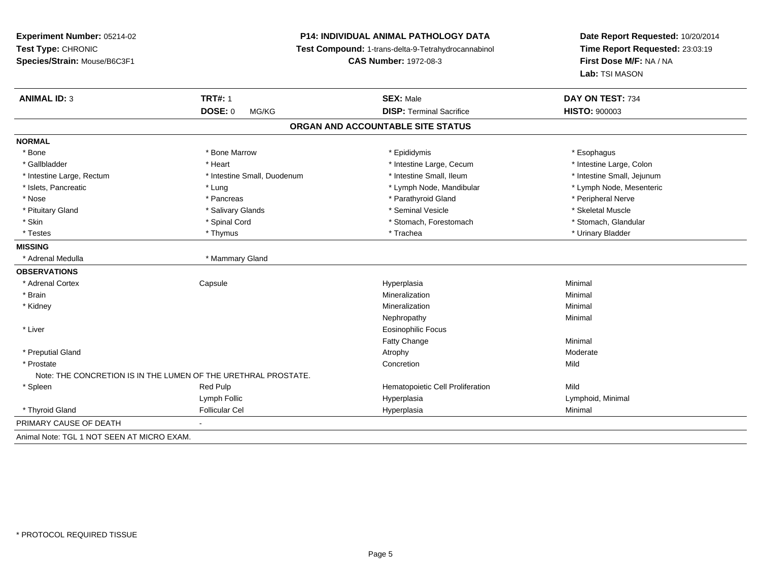# **P14: INDIVIDUAL ANIMAL PATHOLOGY DATA**

**Test Compound:** 1-trans-delta-9-Tetrahydrocannabinol

**CAS Number:** 1972-08-3

| <b>ANIMAL ID: 3</b>                        | <b>TRT#: 1</b>                                                 | <b>SEX: Male</b>                  | DAY ON TEST: 734           |
|--------------------------------------------|----------------------------------------------------------------|-----------------------------------|----------------------------|
|                                            | <b>DOSE: 0</b><br>MG/KG                                        | <b>DISP: Terminal Sacrifice</b>   | <b>HISTO: 900003</b>       |
|                                            |                                                                | ORGAN AND ACCOUNTABLE SITE STATUS |                            |
| <b>NORMAL</b>                              |                                                                |                                   |                            |
| * Bone                                     | * Bone Marrow                                                  | * Epididymis                      | * Esophagus                |
| * Gallbladder                              | * Heart                                                        | * Intestine Large, Cecum          | * Intestine Large, Colon   |
| * Intestine Large, Rectum                  | * Intestine Small, Duodenum                                    | * Intestine Small, Ileum          | * Intestine Small, Jejunum |
| * Islets, Pancreatic                       | * Lung                                                         | * Lymph Node, Mandibular          | * Lymph Node, Mesenteric   |
| * Nose                                     | * Pancreas                                                     | * Parathyroid Gland               | * Peripheral Nerve         |
| * Pituitary Gland                          | * Salivary Glands                                              | * Seminal Vesicle                 | * Skeletal Muscle          |
| * Skin                                     | * Spinal Cord                                                  | * Stomach, Forestomach            | * Stomach, Glandular       |
| * Testes                                   | * Thymus                                                       | * Trachea                         | * Urinary Bladder          |
| <b>MISSING</b>                             |                                                                |                                   |                            |
| * Adrenal Medulla                          | * Mammary Gland                                                |                                   |                            |
| <b>OBSERVATIONS</b>                        |                                                                |                                   |                            |
| * Adrenal Cortex                           | Capsule                                                        | Hyperplasia                       | Minimal                    |
| * Brain                                    |                                                                | Mineralization                    | Minimal                    |
| * Kidney                                   |                                                                | Mineralization                    | Minimal                    |
|                                            |                                                                | Nephropathy                       | Minimal                    |
| * Liver                                    |                                                                | <b>Eosinophilic Focus</b>         |                            |
|                                            |                                                                | <b>Fatty Change</b>               | Minimal                    |
| * Preputial Gland                          |                                                                | Atrophy                           | Moderate                   |
| * Prostate                                 |                                                                | Concretion                        | Mild                       |
|                                            | Note: THE CONCRETION IS IN THE LUMEN OF THE URETHRAL PROSTATE. |                                   |                            |
| * Spleen                                   | Red Pulp                                                       | Hematopoietic Cell Proliferation  | Mild                       |
|                                            | Lymph Follic                                                   | Hyperplasia                       | Lymphoid, Minimal          |
| * Thyroid Gland                            | <b>Follicular Cel</b>                                          | Hyperplasia                       | Minimal                    |
| PRIMARY CAUSE OF DEATH                     |                                                                |                                   |                            |
| Animal Note: TGL 1 NOT SEEN AT MICRO EXAM. |                                                                |                                   |                            |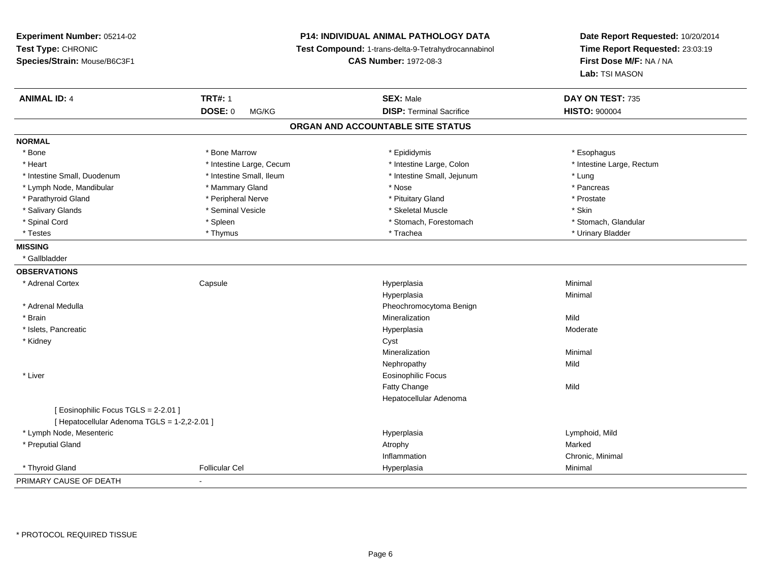**Experiment Number:** 05214-02**Test Type:** CHRONIC **Species/Strain:** Mouse/B6C3F1**P14: INDIVIDUAL ANIMAL PATHOLOGY DATA Test Compound:** 1-trans-delta-9-Tetrahydrocannabinol **CAS Number:** 1972-08-3**Date Report Requested:** 10/20/2014**Time Report Requested:** 23:03:19**First Dose M/F:** NA / NA**Lab:** TSI MASON**ANIMAL ID:** 4 **TRT#:** <sup>1</sup> **SEX:** Male **DAY ON TEST:** <sup>735</sup> **DOSE:** 0 MG/KG**DISP:** Terminal Sacrifice **HISTO:**  $900004$ **ORGAN AND ACCOUNTABLE SITE STATUSNORMAL**\* Bone \* Bone \* Bone Marrow \* Epididymis \* Esophagus \* Heart Thestine Large, Cecum Thestine Large, Cecum Assessment Carge, Colon Thestine Large, Rectum \* Intestine Large, Rectum \* Intestine Large, Rectum \* Intestine Small, Duodenum \* Intestine Small, Ileum \* Intestine Small, Jejunum \* Lung\* Pancreas \* Lymph Node, Mandibular \* Nose \* Mammary Gland \* Nose \* Nose \* Nose \* Pancrease \* Pancrease \* Pancrease \* Pancrease \* Pancrease \* Pancrease \* Pancrease \* Pancrease \* Pancrease \* Pancrease \* Pancrease \* Pancrease \* Pancrea \* Prostate \* Parathyroid Gland \* **All and \* Peripheral Nerve \* Prostate \* Prostate \* Pituitary Gland \*** Pituitary Gland \* Salivary Glands \* Seminal Vesicle \* Skeletal Muscle \* Skin\* Stomach. Glandular \* Spinal Cord \* Spinal Cord \* Spinal Cord \* Stomach, Forestomach \* Stomach, Forestomach \* Stomach, Forestomach \* Testes \* Thymus \* Trachea \* Urinary Bladder **MISSING** \* Gallbladder**OBSERVATIONS** \* Adrenal Cortex**Capsule**  Hyperplasia Minimal Hyperplasiaa **Minimal**  \* Adrenal MedullaPheochromocytoma Benign<br>Mineralization \* Brainn and the control of the control of the control of the control of the control of the control of the control of the control of the control of the control of the control of the control of the control of the control of the co \* Islets, Pancreaticc and the contract of the contract of the contract of the contract of the contract of the contract of the contract of the contract of the contract of the contract of the contract of the contract of the contract of the cont Hyperplasia eta alderate eta alderate eta alderate eta alderate eta alderate eta alderate eta alderate \* Kidneyy control of the control of the control of the control of the control of the control of the control of the control of the control of the control of the control of the control of the control of the control of the control of Mineralizationn Minimal Nephropathyy Mild \* Liver Eosinophilic FocusFatty Changee Mild Hepatocellular Adenoma[ Eosinophilic Focus TGLS = 2-2.01 ][ Hepatocellular Adenoma TGLS = 1-2,2-2.01 ] \* Lymph Node, Mesentericc and the contract of the contract of the contract of the contract of the contract of the contract of the contract of the contract of the contract of the contract of the contract of the contract of the contract of the cont Hyperplasia and a community of the University of Lymphoid, Mild Atrophysics and Atrophysics and Marked Marked \* Preputial Glandd and the control of the control of the control of the control of the control of the control of the control of the control of the control of the control of the control of the control of the control of the control of the co Inflammation Chronic, Minimal \* Thyroid Gland Follicular Cel Hyperplasia Minimal PRIMARY CAUSE OF DEATH-

\* PROTOCOL REQUIRED TISSUE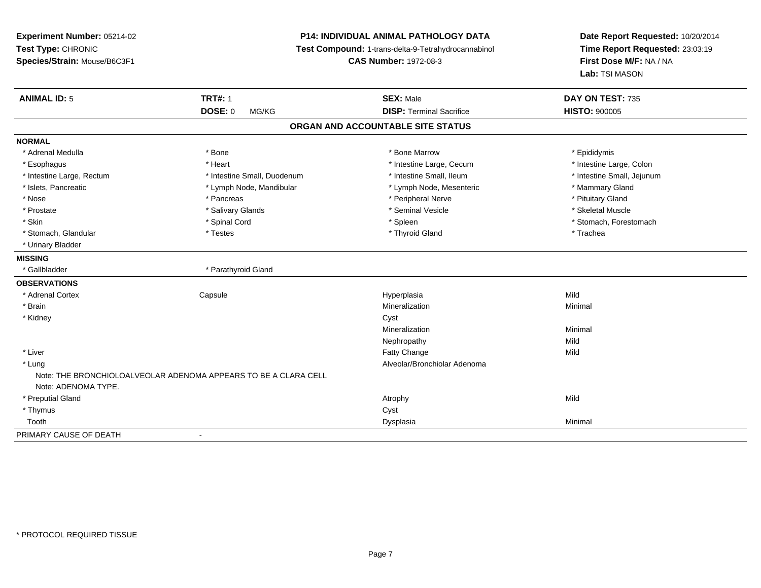# **P14: INDIVIDUAL ANIMAL PATHOLOGY DATA**

**Test Compound:** 1-trans-delta-9-Tetrahydrocannabinol

**CAS Number:** 1972-08-3

| <b>ANIMAL ID: 5</b>       | <b>TRT#: 1</b>                                                  | <b>SEX: Male</b>                  | DAY ON TEST: 735           |
|---------------------------|-----------------------------------------------------------------|-----------------------------------|----------------------------|
|                           | DOSE: 0<br>MG/KG                                                | <b>DISP: Terminal Sacrifice</b>   | <b>HISTO: 900005</b>       |
|                           |                                                                 | ORGAN AND ACCOUNTABLE SITE STATUS |                            |
| <b>NORMAL</b>             |                                                                 |                                   |                            |
| * Adrenal Medulla         | * Bone                                                          | * Bone Marrow                     | * Epididymis               |
| * Esophagus               | * Heart                                                         | * Intestine Large, Cecum          | * Intestine Large, Colon   |
| * Intestine Large, Rectum | * Intestine Small, Duodenum                                     | * Intestine Small. Ileum          | * Intestine Small, Jejunum |
| * Islets, Pancreatic      | * Lymph Node, Mandibular                                        | * Lymph Node, Mesenteric          | * Mammary Gland            |
| * Nose                    | * Pancreas                                                      | * Peripheral Nerve                | * Pituitary Gland          |
| * Prostate                | * Salivary Glands                                               | * Seminal Vesicle                 | * Skeletal Muscle          |
| * Skin                    | * Spinal Cord                                                   | * Spleen                          | * Stomach, Forestomach     |
| * Stomach, Glandular      | * Testes                                                        | * Thyroid Gland                   | * Trachea                  |
| * Urinary Bladder         |                                                                 |                                   |                            |
| <b>MISSING</b>            |                                                                 |                                   |                            |
| * Gallbladder             | * Parathyroid Gland                                             |                                   |                            |
| <b>OBSERVATIONS</b>       |                                                                 |                                   |                            |
| * Adrenal Cortex          | Capsule                                                         | Hyperplasia                       | Mild                       |
| * Brain                   |                                                                 | Mineralization                    | Minimal                    |
| * Kidney                  |                                                                 | Cyst                              |                            |
|                           |                                                                 | Mineralization                    | Minimal                    |
|                           |                                                                 | Nephropathy                       | Mild                       |
| * Liver                   |                                                                 | Fatty Change                      | Mild                       |
| * Lung                    |                                                                 | Alveolar/Bronchiolar Adenoma      |                            |
|                           | Note: THE BRONCHIOLOALVEOLAR ADENOMA APPEARS TO BE A CLARA CELL |                                   |                            |
| Note: ADENOMA TYPE.       |                                                                 |                                   |                            |
| * Preputial Gland         |                                                                 | Atrophy                           | Mild                       |
| * Thymus                  |                                                                 | Cyst                              |                            |
| Tooth                     |                                                                 | Dysplasia                         | Minimal                    |
| PRIMARY CAUSE OF DEATH    |                                                                 |                                   |                            |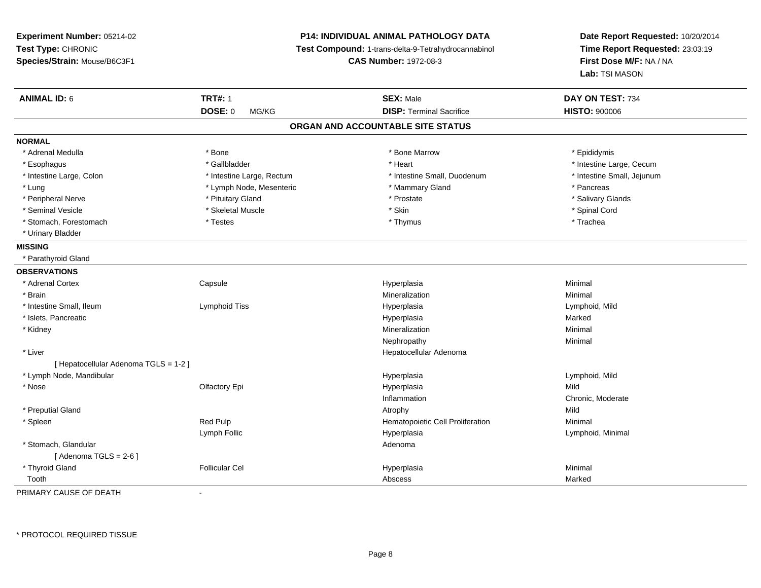**Experiment Number:** 05214-02**Test Type:** CHRONIC **Species/Strain:** Mouse/B6C3F1**P14: INDIVIDUAL ANIMAL PATHOLOGY DATA Test Compound:** 1-trans-delta-9-Tetrahydrocannabinol **CAS Number:** 1972-08-3**Date Report Requested:** 10/20/2014**Time Report Requested:** 23:03:19**First Dose M/F:** NA / NA**Lab:** TSI MASON**ANIMAL ID:** 6**6 DAY ON TEST:** 734 **DOSE:** 0 MG/KG**DISP:** Terminal Sacrifice **HISTO:**  $900006$ **ORGAN AND ACCOUNTABLE SITE STATUSNORMAL**\* Adrenal Medulla \* Adrenal Medulla \* \* The matter of the state of the state of the Marrow \* Bone Marrow \* Adrenal Medulla \* Epididymis \* Epididymis \* Bone Marrow \* Adrenal Medulla \* Epididymis \* Epididymis \* Epididymis \* Epididymis \* Epidi \* Esophagus \* https://www.fragustage.com/web/2019/heart \* Heart \* Heart \* Heart \* Intestine Large, Cecum \* Intestine Large, Cecum \* Gallbladder \* Callbladder \* 11 and 12 and 12 and 12 and 12 and 12 and 12 and 12 and 12 and \* Intestine Large, Colon \* Intestine Large, Rectum \* Intestine Small, Duodenum \* Intestine Small, Jejunum\* Lung \* Lymph Node, Mesenteric \* Mammary Gland \* Mammary Gland \* Pancreas \* Pancreas \* Salivary Glands \* Peripheral Nerve \* **According the Contract According to the Contract According to the Salivary Gland** \* Second \* Prostate \* Seminal Vesicle \* \* Spinal Cord \* Skeletal Muscle \* \* Skin \* \* Skin \* \* Spinal Vesicle \* Spinal Cord \* Spinal Cord \* Stomach, Forestomach \* Trachea \* Testes \* Thymus \* Thymus \* Thymus \* Thymus \* Trachea \* Trachea \* Urinary Bladder**MISSING** \* Parathyroid Gland**OBSERVATIONS** \* Adrenal Cortex**Capsule**  Hyperplasia Minimal \* Brainn and the controller of the controller of the controller of the Minimal Mineralization and the controller of the Minimal Minimal  $\alpha$  \* Intestine Small, Ileum Lymphoid Tiss Hyperplasia Lymphoid, Mild \* Islets, Pancreaticc and the contract of the contract of the contract of the contract of the contract of the contract of the contract of the contract of the contract of the contract of the contract of the contract of the contract of the cont a **Marked**  \* Kidneyy with the control of the control of the control of the control of the control of the control of the control of the control of the control of the control of the control of the control of the control of the control of the c n Minimal Nephropathyy the contract of the Minimal Minimal Section 1996 and the contract of the Minimal Section 1997 and the contract of the contract of the contract of the contract of the contract of the contract of the contract of the contra \* Liver Hepatocellular Adenoma[ Hepatocellular Adenoma TGLS = 1-2 ] \* Lymph Node, Mandibular Hyperplasia Lymphoid, Mild \* Nose Olfactory Epi Hyperplasia Mild Inflammation Chronic, Moderate \* Preputial Glandd and the control of the control of the control of the control of the control of the control of the control of the control of the control of the control of the control of the control of the control of the control of the co \* SpleenRed Pulp **Network Red Pulp 19 Templement Cell Proliferation** Minimal Minimal Lymph Follic Hyperplasia Lymphoid, Minimal \* Stomach, Glandularr and the contract of the contract of the contract of the contract of the contract of the contract of the contract of the contract of the contract of the contract of the contract of the contract of the contract of the cont  $[$  Adenoma TGLS = 2-6  $]$  \* Thyroid Gland Follicular Cel Hyperplasia Minimal ToothAbscess Marked

PRIMARY CAUSE OF DEATH-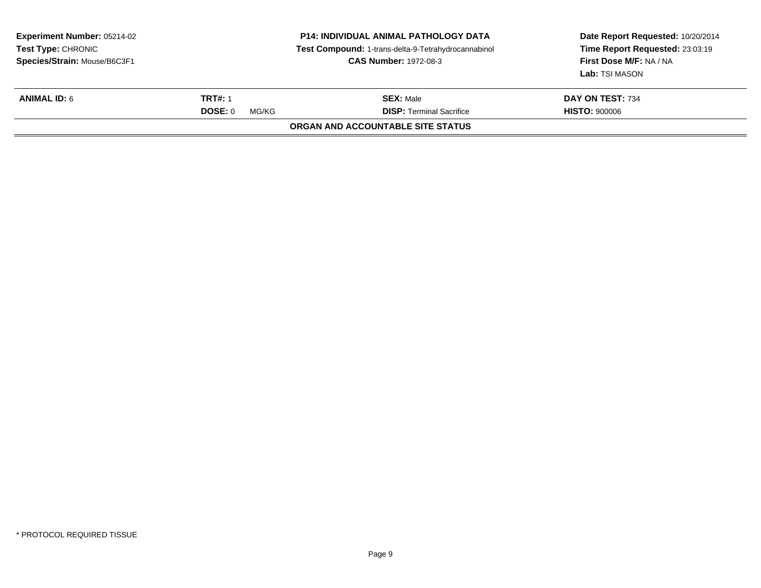| <b>Experiment Number: 05214-02</b><br><b>Test Type: CHRONIC</b><br>Species/Strain: Mouse/B6C3F1 | <b>P14: INDIVIDUAL ANIMAL PATHOLOGY DATA</b><br>Test Compound: 1-trans-delta-9-Tetrahydrocannabinol<br><b>CAS Number: 1972-08-3</b> |                                   | Date Report Requested: 10/20/2014<br>Time Report Requested: 23:03:19<br>First Dose M/F: NA / NA<br>Lab: TSI MASON |
|-------------------------------------------------------------------------------------------------|-------------------------------------------------------------------------------------------------------------------------------------|-----------------------------------|-------------------------------------------------------------------------------------------------------------------|
| <b>ANIMAL ID: 6</b>                                                                             | <b>TRT#: 1</b>                                                                                                                      | <b>SEX: Male</b>                  | DAY ON TEST: 734                                                                                                  |
|                                                                                                 | <b>DOSE: 0</b><br>MG/KG                                                                                                             | <b>DISP: Terminal Sacrifice</b>   | <b>HISTO: 900006</b>                                                                                              |
|                                                                                                 |                                                                                                                                     | ORGAN AND ACCOUNTABLE SITE STATUS |                                                                                                                   |
|                                                                                                 |                                                                                                                                     |                                   |                                                                                                                   |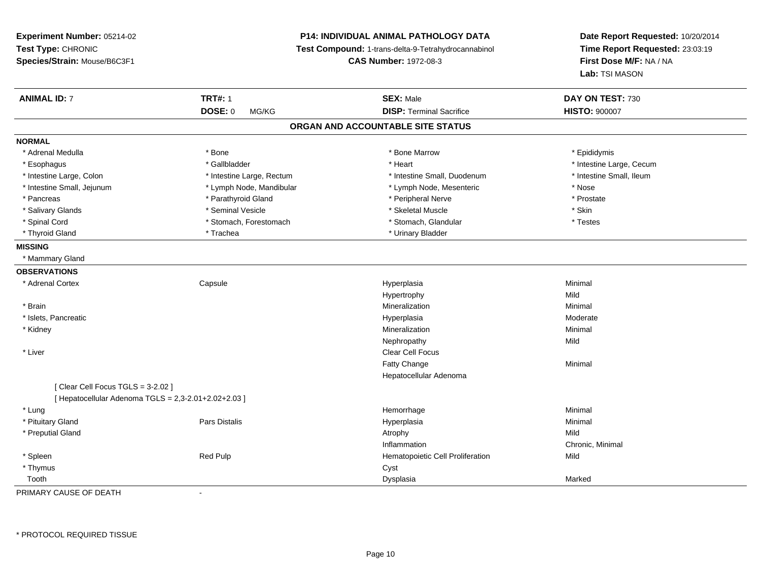**Experiment Number:** 05214-02**Test Type:** CHRONIC **Species/Strain:** Mouse/B6C3F1**P14: INDIVIDUAL ANIMAL PATHOLOGY DATA Test Compound:** 1-trans-delta-9-Tetrahydrocannabinol **CAS Number:** 1972-08-3**Date Report Requested:** 10/20/2014**Time Report Requested:** 23:03:19**First Dose M/F:** NA / NA**Lab:** TSI MASON**ANIMAL ID:** 7 **TRT#:** <sup>1</sup> **SEX:** Male **DAY ON TEST:** <sup>730</sup> **DOSE:** 0 MG/KG**DISP:** Terminal Sacrifice **HISTO:**  $900007$ **ORGAN AND ACCOUNTABLE SITE STATUSNORMAL**\* Adrenal Medulla \* Adrenal Medulla \* \* The matter of the state of the state of the Marrow \* Bone Marrow \* Adrenal Medulla \* Epididymis \* Epididymis \* Bone Marrow \* Adrenal Medulla \* Epididymis \* Epididymis \* Epididymis \* Epididymis \* Epidi \* Esophagus \* https://www.fragustage.com/web/2019/heart \* Heart \* Heart \* Heart \* Intestine Large, Cecum \* Intestine Large, Cecum \* Gallbladder \* Callbladder \* 11 and 12 and 12 and 12 and 12 and 12 and 12 and 12 and 12 and \* Intestine Small, Ileum \* Intestine Large, Colon \* Intestine Large, Rectum \* Intestine Small, Duodenum \* Intestine Small, Duodenum \* Intestine Small, Jejunum \* Lymph Node, Mandibular \* Lymph Node, Mesenteric \* Nose\* Prostate \* Pancreas \* Parathyroid Gland \* Peripheral Nerve \* Peripheral Nerve \* Peripheral Nerve \* Salivary Glands \* Seminal Vesicle \* Skeletal Muscle \* Skin\* Testes \* Spinal Cord \* Stomach, Forestomach \* Stomach \* Stomach, Glandular \* Stomach, Glandular \* Thyroid Gland \* Trachea \* Trachea \* Trachea \* Urinary Bladder **MISSING** \* Mammary Gland**OBSERVATIONS** \* Adrenal Cortex**Capsule**  Hyperplasia Minimal Hypertrophyy Mild Minimal \* Brainn and the controller of the controller of the controller of the Minimal Mineralization and the controller of the Minimal Minimal  $\alpha$  \* Islets, Pancreaticc and the contract of the contract of the contract of the contract of the contract of the contract of the contract of the contract of the contract of the contract of the contract of the contract of the contract of the cont a **Moderate**  \* Kidneyy with the control of the control of the control of the control of the control of the control of the control of the control of the control of the control of the control of the control of the control of the control of the c n Minimal Nephropathyy Mild \* Liver Clear Cell FocusFatty Changee Minimal Hepatocellular Adenoma[ Clear Cell Focus TGLS = 3-2.02 ] $[$  Hepatocellular Adenoma TGLS = 2,3-2.01+2.02+2.03  $]$  \* Lungg and the state of the state of the state of the state of the Hemorrhage and the state of the Minimal State of \* Pituitary Gland Pars Distalis Hyperplasia Minimal \* Preputial Glandd and the control of the control of the control of the control of the control of the control of the control of the control of the control of the control of the control of the control of the control of the control of the co Inflammation Chronic, Minimal \* SpleenRed Pulp **Red Pulp 19 September 2018** Hematopoietic Cell Proliferation Cyst \* Thymuss the contract of the contract of the contract of the contract of the contract of the contract of the contract of the contract of the contract of the contract of the contract of the contract of the contract of the contract Toothh ann an chomhainn an chomhainn an chomhainn an chomhainn an chomhainn an chomhainn an chomhainn an chomhainn a<br>Iomraidhean

PRIMARY CAUSE OF DEATH-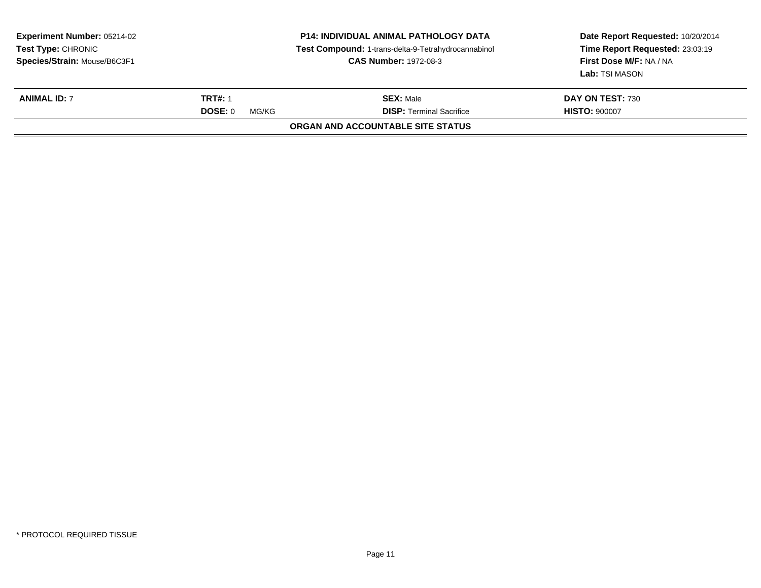| <b>Experiment Number: 05214-02</b><br><b>Test Type: CHRONIC</b><br>Species/Strain: Mouse/B6C3F1 | <b>P14: INDIVIDUAL ANIMAL PATHOLOGY DATA</b><br>Test Compound: 1-trans-delta-9-Tetrahydrocannabinol<br><b>CAS Number: 1972-08-3</b> |                                                     | Date Report Requested: 10/20/2014<br>Time Report Requested: 23:03:19<br>First Dose M/F: NA / NA<br>Lab: TSI MASON |
|-------------------------------------------------------------------------------------------------|-------------------------------------------------------------------------------------------------------------------------------------|-----------------------------------------------------|-------------------------------------------------------------------------------------------------------------------|
| <b>ANIMAL ID: 7</b>                                                                             | <b>TRT#: 1</b><br>DOSE: 0<br>MG/KG                                                                                                  | <b>SEX: Male</b><br><b>DISP: Terminal Sacrifice</b> | DAY ON TEST: 730<br><b>HISTO: 900007</b>                                                                          |
|                                                                                                 |                                                                                                                                     | ORGAN AND ACCOUNTABLE SITE STATUS                   |                                                                                                                   |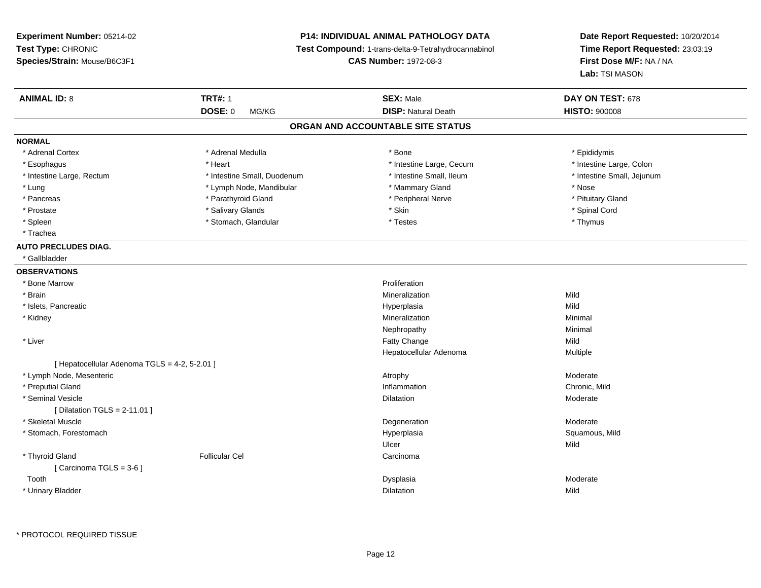# **P14: INDIVIDUAL ANIMAL PATHOLOGY DATA**

**Test Compound:** 1-trans-delta-9-Tetrahydrocannabinol

**CAS Number:** 1972-08-3

| <b>DOSE: 0</b><br><b>DISP: Natural Death</b><br><b>HISTO: 900008</b><br>MG/KG<br>ORGAN AND ACCOUNTABLE SITE STATUS<br><b>NORMAL</b><br>* Adrenal Cortex<br>* Bone<br>* Adrenal Medulla<br>* Epididymis<br>* Intestine Large, Colon<br>* Esophagus<br>* Heart<br>* Intestine Large, Cecum<br>* Intestine Small, Duodenum<br>* Intestine Small, Ileum<br>* Intestine Small, Jejunum<br>* Intestine Large, Rectum<br>* Lung<br>* Lymph Node, Mandibular<br>* Mammary Gland<br>* Nose<br>* Parathyroid Gland<br>* Peripheral Nerve<br>* Pituitary Gland<br>* Pancreas<br>* Salivary Glands<br>* Skin<br>* Spinal Cord<br>* Prostate<br>* Spleen<br>* Stomach, Glandular<br>* Testes<br>* Thymus<br>* Trachea<br><b>AUTO PRECLUDES DIAG.</b><br>* Gallbladder<br><b>OBSERVATIONS</b><br>* Bone Marrow<br>Proliferation<br>* Brain<br>Mild<br>Mineralization<br>* Islets, Pancreatic<br>Mild<br>Hyperplasia<br>* Kidney<br>Mineralization<br>Minimal<br>Minimal<br>Nephropathy<br>Mild<br>* Liver<br>Fatty Change<br>Hepatocellular Adenoma<br>Multiple<br>[ Hepatocellular Adenoma TGLS = 4-2, 5-2.01 ]<br>Moderate<br>* Lymph Node, Mesenteric<br>Atrophy<br>* Preputial Gland<br>Inflammation<br>Chronic, Mild<br>* Seminal Vesicle<br>Moderate<br>Dilatation<br>[ Dilatation TGLS = $2-11.01$ ]<br>* Skeletal Muscle<br>Moderate<br>Degeneration<br>* Stomach, Forestomach<br>Squamous, Mild<br>Hyperplasia<br>Mild<br>Ulcer<br>* Thyroid Gland<br><b>Follicular Cel</b><br>Carcinoma<br>[Carcinoma TGLS = $3-6$ ]<br>Moderate<br>Tooth<br>Dysplasia<br>Mild<br>* Urinary Bladder<br>Dilatation | <b>ANIMAL ID: 8</b> | <b>TRT#: 1</b> | <b>SEX: Male</b> | DAY ON TEST: 678 |  |
|-----------------------------------------------------------------------------------------------------------------------------------------------------------------------------------------------------------------------------------------------------------------------------------------------------------------------------------------------------------------------------------------------------------------------------------------------------------------------------------------------------------------------------------------------------------------------------------------------------------------------------------------------------------------------------------------------------------------------------------------------------------------------------------------------------------------------------------------------------------------------------------------------------------------------------------------------------------------------------------------------------------------------------------------------------------------------------------------------------------------------------------------------------------------------------------------------------------------------------------------------------------------------------------------------------------------------------------------------------------------------------------------------------------------------------------------------------------------------------------------------------------------------------------------------------------------------------------------------|---------------------|----------------|------------------|------------------|--|
|                                                                                                                                                                                                                                                                                                                                                                                                                                                                                                                                                                                                                                                                                                                                                                                                                                                                                                                                                                                                                                                                                                                                                                                                                                                                                                                                                                                                                                                                                                                                                                                               |                     |                |                  |                  |  |
|                                                                                                                                                                                                                                                                                                                                                                                                                                                                                                                                                                                                                                                                                                                                                                                                                                                                                                                                                                                                                                                                                                                                                                                                                                                                                                                                                                                                                                                                                                                                                                                               |                     |                |                  |                  |  |
|                                                                                                                                                                                                                                                                                                                                                                                                                                                                                                                                                                                                                                                                                                                                                                                                                                                                                                                                                                                                                                                                                                                                                                                                                                                                                                                                                                                                                                                                                                                                                                                               |                     |                |                  |                  |  |
|                                                                                                                                                                                                                                                                                                                                                                                                                                                                                                                                                                                                                                                                                                                                                                                                                                                                                                                                                                                                                                                                                                                                                                                                                                                                                                                                                                                                                                                                                                                                                                                               |                     |                |                  |                  |  |
|                                                                                                                                                                                                                                                                                                                                                                                                                                                                                                                                                                                                                                                                                                                                                                                                                                                                                                                                                                                                                                                                                                                                                                                                                                                                                                                                                                                                                                                                                                                                                                                               |                     |                |                  |                  |  |
|                                                                                                                                                                                                                                                                                                                                                                                                                                                                                                                                                                                                                                                                                                                                                                                                                                                                                                                                                                                                                                                                                                                                                                                                                                                                                                                                                                                                                                                                                                                                                                                               |                     |                |                  |                  |  |
|                                                                                                                                                                                                                                                                                                                                                                                                                                                                                                                                                                                                                                                                                                                                                                                                                                                                                                                                                                                                                                                                                                                                                                                                                                                                                                                                                                                                                                                                                                                                                                                               |                     |                |                  |                  |  |
|                                                                                                                                                                                                                                                                                                                                                                                                                                                                                                                                                                                                                                                                                                                                                                                                                                                                                                                                                                                                                                                                                                                                                                                                                                                                                                                                                                                                                                                                                                                                                                                               |                     |                |                  |                  |  |
|                                                                                                                                                                                                                                                                                                                                                                                                                                                                                                                                                                                                                                                                                                                                                                                                                                                                                                                                                                                                                                                                                                                                                                                                                                                                                                                                                                                                                                                                                                                                                                                               |                     |                |                  |                  |  |
|                                                                                                                                                                                                                                                                                                                                                                                                                                                                                                                                                                                                                                                                                                                                                                                                                                                                                                                                                                                                                                                                                                                                                                                                                                                                                                                                                                                                                                                                                                                                                                                               |                     |                |                  |                  |  |
|                                                                                                                                                                                                                                                                                                                                                                                                                                                                                                                                                                                                                                                                                                                                                                                                                                                                                                                                                                                                                                                                                                                                                                                                                                                                                                                                                                                                                                                                                                                                                                                               |                     |                |                  |                  |  |
|                                                                                                                                                                                                                                                                                                                                                                                                                                                                                                                                                                                                                                                                                                                                                                                                                                                                                                                                                                                                                                                                                                                                                                                                                                                                                                                                                                                                                                                                                                                                                                                               |                     |                |                  |                  |  |
|                                                                                                                                                                                                                                                                                                                                                                                                                                                                                                                                                                                                                                                                                                                                                                                                                                                                                                                                                                                                                                                                                                                                                                                                                                                                                                                                                                                                                                                                                                                                                                                               |                     |                |                  |                  |  |
|                                                                                                                                                                                                                                                                                                                                                                                                                                                                                                                                                                                                                                                                                                                                                                                                                                                                                                                                                                                                                                                                                                                                                                                                                                                                                                                                                                                                                                                                                                                                                                                               |                     |                |                  |                  |  |
|                                                                                                                                                                                                                                                                                                                                                                                                                                                                                                                                                                                                                                                                                                                                                                                                                                                                                                                                                                                                                                                                                                                                                                                                                                                                                                                                                                                                                                                                                                                                                                                               |                     |                |                  |                  |  |
|                                                                                                                                                                                                                                                                                                                                                                                                                                                                                                                                                                                                                                                                                                                                                                                                                                                                                                                                                                                                                                                                                                                                                                                                                                                                                                                                                                                                                                                                                                                                                                                               |                     |                |                  |                  |  |
|                                                                                                                                                                                                                                                                                                                                                                                                                                                                                                                                                                                                                                                                                                                                                                                                                                                                                                                                                                                                                                                                                                                                                                                                                                                                                                                                                                                                                                                                                                                                                                                               |                     |                |                  |                  |  |
|                                                                                                                                                                                                                                                                                                                                                                                                                                                                                                                                                                                                                                                                                                                                                                                                                                                                                                                                                                                                                                                                                                                                                                                                                                                                                                                                                                                                                                                                                                                                                                                               |                     |                |                  |                  |  |
|                                                                                                                                                                                                                                                                                                                                                                                                                                                                                                                                                                                                                                                                                                                                                                                                                                                                                                                                                                                                                                                                                                                                                                                                                                                                                                                                                                                                                                                                                                                                                                                               |                     |                |                  |                  |  |
|                                                                                                                                                                                                                                                                                                                                                                                                                                                                                                                                                                                                                                                                                                                                                                                                                                                                                                                                                                                                                                                                                                                                                                                                                                                                                                                                                                                                                                                                                                                                                                                               |                     |                |                  |                  |  |
|                                                                                                                                                                                                                                                                                                                                                                                                                                                                                                                                                                                                                                                                                                                                                                                                                                                                                                                                                                                                                                                                                                                                                                                                                                                                                                                                                                                                                                                                                                                                                                                               |                     |                |                  |                  |  |
|                                                                                                                                                                                                                                                                                                                                                                                                                                                                                                                                                                                                                                                                                                                                                                                                                                                                                                                                                                                                                                                                                                                                                                                                                                                                                                                                                                                                                                                                                                                                                                                               |                     |                |                  |                  |  |
|                                                                                                                                                                                                                                                                                                                                                                                                                                                                                                                                                                                                                                                                                                                                                                                                                                                                                                                                                                                                                                                                                                                                                                                                                                                                                                                                                                                                                                                                                                                                                                                               |                     |                |                  |                  |  |
|                                                                                                                                                                                                                                                                                                                                                                                                                                                                                                                                                                                                                                                                                                                                                                                                                                                                                                                                                                                                                                                                                                                                                                                                                                                                                                                                                                                                                                                                                                                                                                                               |                     |                |                  |                  |  |
|                                                                                                                                                                                                                                                                                                                                                                                                                                                                                                                                                                                                                                                                                                                                                                                                                                                                                                                                                                                                                                                                                                                                                                                                                                                                                                                                                                                                                                                                                                                                                                                               |                     |                |                  |                  |  |
|                                                                                                                                                                                                                                                                                                                                                                                                                                                                                                                                                                                                                                                                                                                                                                                                                                                                                                                                                                                                                                                                                                                                                                                                                                                                                                                                                                                                                                                                                                                                                                                               |                     |                |                  |                  |  |
|                                                                                                                                                                                                                                                                                                                                                                                                                                                                                                                                                                                                                                                                                                                                                                                                                                                                                                                                                                                                                                                                                                                                                                                                                                                                                                                                                                                                                                                                                                                                                                                               |                     |                |                  |                  |  |
|                                                                                                                                                                                                                                                                                                                                                                                                                                                                                                                                                                                                                                                                                                                                                                                                                                                                                                                                                                                                                                                                                                                                                                                                                                                                                                                                                                                                                                                                                                                                                                                               |                     |                |                  |                  |  |
|                                                                                                                                                                                                                                                                                                                                                                                                                                                                                                                                                                                                                                                                                                                                                                                                                                                                                                                                                                                                                                                                                                                                                                                                                                                                                                                                                                                                                                                                                                                                                                                               |                     |                |                  |                  |  |
|                                                                                                                                                                                                                                                                                                                                                                                                                                                                                                                                                                                                                                                                                                                                                                                                                                                                                                                                                                                                                                                                                                                                                                                                                                                                                                                                                                                                                                                                                                                                                                                               |                     |                |                  |                  |  |
|                                                                                                                                                                                                                                                                                                                                                                                                                                                                                                                                                                                                                                                                                                                                                                                                                                                                                                                                                                                                                                                                                                                                                                                                                                                                                                                                                                                                                                                                                                                                                                                               |                     |                |                  |                  |  |
|                                                                                                                                                                                                                                                                                                                                                                                                                                                                                                                                                                                                                                                                                                                                                                                                                                                                                                                                                                                                                                                                                                                                                                                                                                                                                                                                                                                                                                                                                                                                                                                               |                     |                |                  |                  |  |
|                                                                                                                                                                                                                                                                                                                                                                                                                                                                                                                                                                                                                                                                                                                                                                                                                                                                                                                                                                                                                                                                                                                                                                                                                                                                                                                                                                                                                                                                                                                                                                                               |                     |                |                  |                  |  |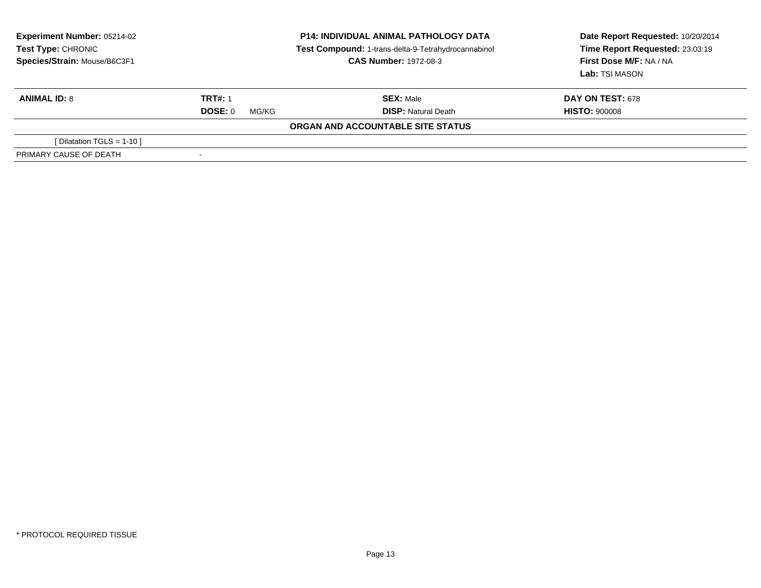| <b>Experiment Number: 05214-02</b><br>Test Type: CHRONIC<br>Species/Strain: Mouse/B6C3F1 | <b>P14: INDIVIDUAL ANIMAL PATHOLOGY DATA</b><br>Test Compound: 1-trans-delta-9-Tetrahydrocannabinol<br><b>CAS Number: 1972-08-3</b> |                                   | Date Report Requested: 10/20/2014<br>Time Report Requested: 23:03:19<br>First Dose M/F: NA / NA<br>Lab: TSI MASON |
|------------------------------------------------------------------------------------------|-------------------------------------------------------------------------------------------------------------------------------------|-----------------------------------|-------------------------------------------------------------------------------------------------------------------|
| <b>ANIMAL ID: 8</b>                                                                      | <b>TRT#: 1</b>                                                                                                                      | <b>SEX: Male</b>                  | <b>DAY ON TEST: 678</b>                                                                                           |
|                                                                                          | DOSE: 0<br>MG/KG                                                                                                                    | <b>DISP: Natural Death</b>        | <b>HISTO: 900008</b>                                                                                              |
|                                                                                          |                                                                                                                                     | ORGAN AND ACCOUNTABLE SITE STATUS |                                                                                                                   |
| [Dilatation TGLS = 1-10 ]                                                                |                                                                                                                                     |                                   |                                                                                                                   |
| PRIMARY CAUSE OF DEATH                                                                   |                                                                                                                                     |                                   |                                                                                                                   |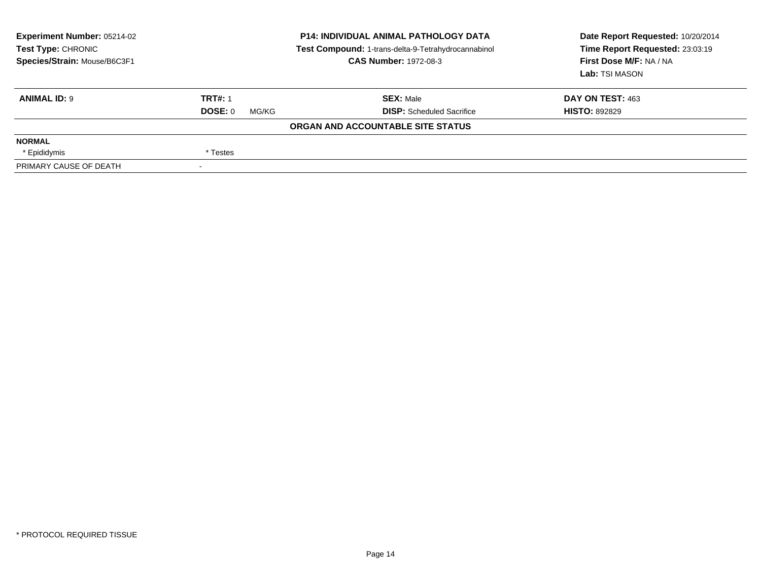| Experiment Number: 05214-02<br>Test Type: CHRONIC<br>Species/Strain: Mouse/B6C3F1 | <b>P14: INDIVIDUAL ANIMAL PATHOLOGY DATA</b><br>Test Compound: 1-trans-delta-9-Tetrahydrocannabinol<br><b>CAS Number: 1972-08-3</b> |                                   | Date Report Requested: 10/20/2014<br>Time Report Requested: 23:03:19<br>First Dose M/F: NA / NA<br>Lab: TSI MASON |
|-----------------------------------------------------------------------------------|-------------------------------------------------------------------------------------------------------------------------------------|-----------------------------------|-------------------------------------------------------------------------------------------------------------------|
| <b>ANIMAL ID: 9</b>                                                               | <b>TRT#: 1</b>                                                                                                                      | <b>SEX: Male</b>                  | DAY ON TEST: 463                                                                                                  |
|                                                                                   | DOSE: 0<br>MG/KG                                                                                                                    | <b>DISP:</b> Scheduled Sacrifice  | <b>HISTO: 892829</b>                                                                                              |
|                                                                                   |                                                                                                                                     | ORGAN AND ACCOUNTABLE SITE STATUS |                                                                                                                   |
| <b>NORMAL</b>                                                                     |                                                                                                                                     |                                   |                                                                                                                   |
| * Epididymis                                                                      | * Testes                                                                                                                            |                                   |                                                                                                                   |
| PRIMARY CAUSE OF DEATH                                                            |                                                                                                                                     |                                   |                                                                                                                   |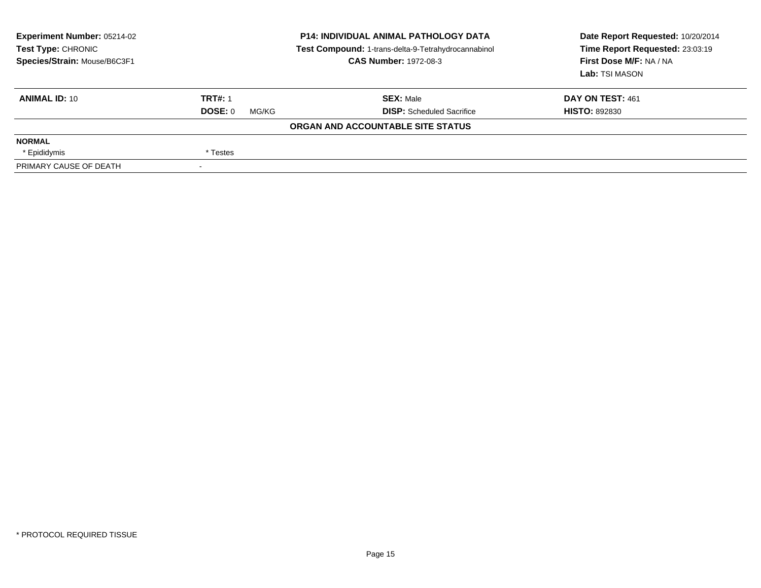| Experiment Number: 05214-02<br>Test Type: CHRONIC<br>Species/Strain: Mouse/B6C3F1 | <b>P14: INDIVIDUAL ANIMAL PATHOLOGY DATA</b><br>Test Compound: 1-trans-delta-9-Tetrahydrocannabinol<br><b>CAS Number: 1972-08-3</b> |                                   | Date Report Requested: 10/20/2014<br>Time Report Requested: 23:03:19<br>First Dose M/F: NA / NA<br><b>Lab:</b> TSI MASON |
|-----------------------------------------------------------------------------------|-------------------------------------------------------------------------------------------------------------------------------------|-----------------------------------|--------------------------------------------------------------------------------------------------------------------------|
| <b>ANIMAL ID: 10</b>                                                              | <b>TRT#: 1</b>                                                                                                                      | <b>SEX: Male</b>                  | DAY ON TEST: 461                                                                                                         |
|                                                                                   | DOSE: 0<br>MG/KG                                                                                                                    | <b>DISP:</b> Scheduled Sacrifice  | <b>HISTO: 892830</b>                                                                                                     |
|                                                                                   |                                                                                                                                     | ORGAN AND ACCOUNTABLE SITE STATUS |                                                                                                                          |
| <b>NORMAL</b>                                                                     |                                                                                                                                     |                                   |                                                                                                                          |
| * Epididymis                                                                      | * Testes                                                                                                                            |                                   |                                                                                                                          |
| PRIMARY CAUSE OF DEATH                                                            | $\overline{\phantom{a}}$                                                                                                            |                                   |                                                                                                                          |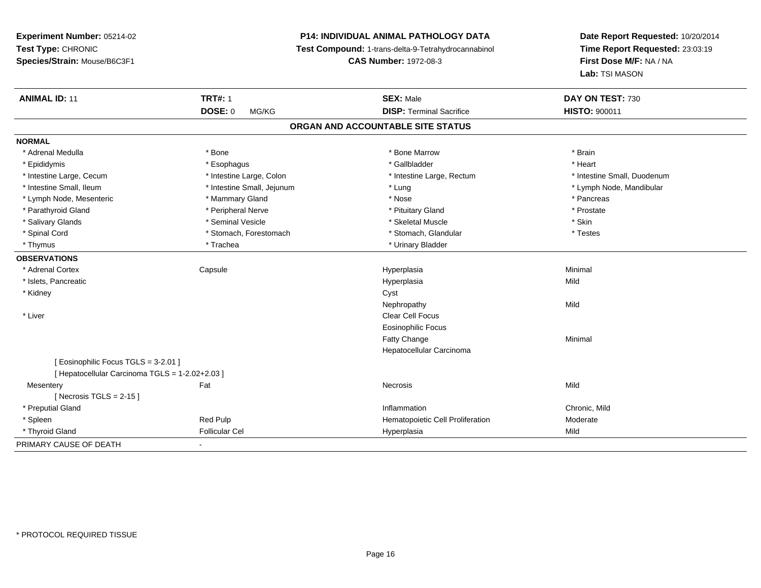**Experiment Number:** 05214-02**Test Type:** CHRONIC **Species/Strain:** Mouse/B6C3F1**P14: INDIVIDUAL ANIMAL PATHOLOGY DATA Test Compound:** 1-trans-delta-9-Tetrahydrocannabinol **CAS Number:** 1972-08-3**Date Report Requested:** 10/20/2014**Time Report Requested:** 23:03:19**First Dose M/F:** NA / NA**Lab:** TSI MASON**ANIMAL ID:** 11**TRT#:** 1 **SEX:** Male **DAY ON TEST:** 730 **DOSE:** 0 MG/KG**DISP:** Terminal Sacrifice **HISTO:**  $900011$ **ORGAN AND ACCOUNTABLE SITE STATUSNORMAL**\* Adrenal Medulla \* \* Annual Medulla \* Brain \* Bone \* \* Bone Marrow \* Bone Marrow \* \* Brain \* Brain \* Brain \* Brain \* Brain \* Brain \* Brain \* Brain \* Brain \* Brain \* Brain \* Brain \* Brain \* Brain \* Brain \* Brain \* Brain \* \* Heart \* Epididymis \* Esophagus \* Gallbladder \* Heart \* Intestine Large, Cecum \* Intestine Large, Colon \* Intestine Large, Rectum \* Intestine Small, Duodenum \* Intestine Small, Ileum \* Intestine Small, Jejunum \* Lung \* Lymph Node, Mandibular\* Lymph Node, Mesenteric \* \* The matter of the Mammary Gland \* The matter \* Nose \* The matter of the matter \* Pancreas \* Pancreas \* Prostate \* Parathyroid Gland \* **According the Contract According to the Contract According to the Contract According to the Prosect According to the Prosect According to the Prosect According to the Prosect According to the Prosect**  \* Salivary Glands \* Seminal Vesicle \* Skeletal Muscle \* Skin\* Testes \* Spinal Cord **\*** Stomach, Forestomach \* Stomach, Spinal Cord \* Stomach, Glandular \* Testess \* Stomach, Glandular \* Thymus \* Trachea \* Trachea \* Trachea \* Urinary Bladder **OBSERVATIONS** \* Adrenal Cortex Capsule Hyperplasia Minimal \* Islets, Pancreaticc description of the control of the control of the control of the control of the control of the control of the control of the control of the control of the control of the control of the control of the control of the contro a Mild \* Kidneyy control of the control of the control of the control of the control of the control of the control of the control of the control of the control of the control of the control of the control of the control of the control of Nephropathyy Mild \* Liver Clear Cell Focus Eosinophilic FocusFatty Changee Minimal Hepatocellular Carcinoma[ Eosinophilic Focus TGLS = 3-2.01 ][ Hepatocellular Carcinoma TGLS = 1-2.02+2.03 ]**Mesentery** y the contract of the contract of the contract of the contract of the contract of the contract of the contract of the contract of the contract of the contract of the contract of the contract of the contract of the contract  $[$  Necrosis TGLS = 2-15  $]$  \* Preputial Glandd
and
the contract of the contract of the contract of the contract of the contract of the contract of the contract of the contract of the contract of the contract of the contract of the contract of the contract of the cont \* SpleenRed Pulp Moderate (Red Pulp Hematopoietic Cell Proliferation Moderate Moderate Moderate<br>Follicular Cel Mild \* Thyroid Gland Follicular Cel Hyperplasia Mild PRIMARY CAUSE OF DEATH-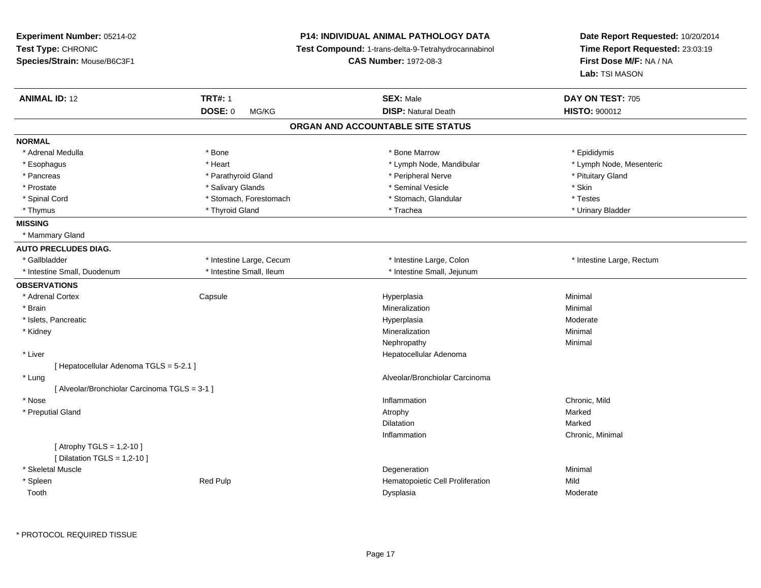**Experiment Number:** 05214-02**Test Type:** CHRONIC **Species/Strain:** Mouse/B6C3F1**P14: INDIVIDUAL ANIMAL PATHOLOGY DATA Test Compound:** 1-trans-delta-9-Tetrahydrocannabinol **CAS Number:** 1972-08-3**Date Report Requested:** 10/20/2014**Time Report Requested:** 23:03:19**First Dose M/F:** NA / NA**Lab:** TSI MASON**ANIMAL ID:** 12 **TRT#:** <sup>1</sup> **SEX:** Male **DAY ON TEST:** <sup>705</sup> **DOSE:** 0 MG/KG**DISP:** Natural Death **HISTO:**  $900012$ **ORGAN AND ACCOUNTABLE SITE STATUSNORMAL**\* Adrenal Medulla \* Adrenal Medulla \* \* The matter of the state of the state of the Marrow \* Bone Marrow \* Adrenal Medulla \* Epididymis \* Epididymis \* Bone Marrow \* Adrenal Medulla \* Epididymis \* Epididymis \* Epididymis \* Epididymis \* Epidi \* Lymph Node, Mesenteric \* Esophagus \* Lymph Node, Mandibular \* Heart \* Lymph Node, Mandibular \* Lymph Node, Mandibular \* Pancreas \* Parathyroid Gland \* \* Parathyroid Gland \* \* Peripheral Nerve \* \* Peripheral Nerve \* Pituitary Gland \* Prostate \* \* Salivary Glands \* \* Salivary Glands \* \* Seminal Vesicle \* \* \* Seminal Yestrich \* \* Skin \* \* Skin \* Testes \* Spinal Cord \* Stomach, Forestomach \* Stomach \* Stomach, Glandular \* Stomach, Glandular \* Urinary Bladder \* Thymus \* Thyroid Gland \* Trachea \* Urinary Bladder \* **MISSING** \* Mammary Gland**AUTO PRECLUDES DIAG.**\* Gallbladder \* Thestine Large, Cecum \* Intestine Large, Cecum \* Intestine Large, Colon \* Thestine Large, Rectum \* Intestine Small, Duodenum \* Intestine Small, Ileum \* Intestine Small, Jejunum**OBSERVATIONS** \* Adrenal Cortex**Capsule**  Hyperplasia Minimal \* Brainn and the controller of the controller of the controller of the Minimal Mineralization and the controller of the Minimal Minimal  $\alpha$  \* Islets, Pancreaticc and the contract of the contract of the contract of the contract of the contract of the contract of the contract of the contract of the contract of the contract of the contract of the contract of the contract of the cont Moderate \* Kidneyy with the control of the control of the control of the control of the control of the control of the control of the control of the control of the control of the control of the control of the control of the control of the c n Minimal Nephropathyy the contract of the Minimal Minimal Section 1996 and the contract of the Minimal Section 1997 and the contract of the contract of the contract of the contract of the contract of the contract of the contract of the contra \* Liver Hepatocellular Adenoma[ Hepatocellular Adenoma TGLS = 5-2.1 ] \* Lung Alveolar/Bronchiolar Carcinoma [ Alveolar/Bronchiolar Carcinoma TGLS = 3-1 ] \* Nosee description of the control of the control of the control of the control of the chronic, Mild and Chronic, Mild and Chronic, Mild and Chronic, Mild and Chronic, Mild and Chronic, Mild and Chronic, Mild and Chronic, Mild a \* Preputial Glandd and the control of the control of the control of the control of the control of the control of the control of the control of the control of the control of the control of the control of the control of the control of the co Dilatationn Marked **Marked** Inflammation Chronic, Minimal  $[$  Atrophy TGLS = 1,2-10  $]$  $[$  Dilatation TGLS = 1,2-10  $]$  \* Skeletal Musclee de la controllata de la controllata de la controllata de la controllata de la controllata de la controllata d<br>Degeneration \* SpleenRed Pulp **Network** Hematopoietic Cell Proliferation Mild Toothh ann an t-Iomraid ann an t-Iomraid ann an Dual ann an Dysplasia ann an t-Iomraid ann an Moderate ann an Moderate ann an Moderate ann an Moderate ann an Moderate ann an America ann an America ann an America ann an America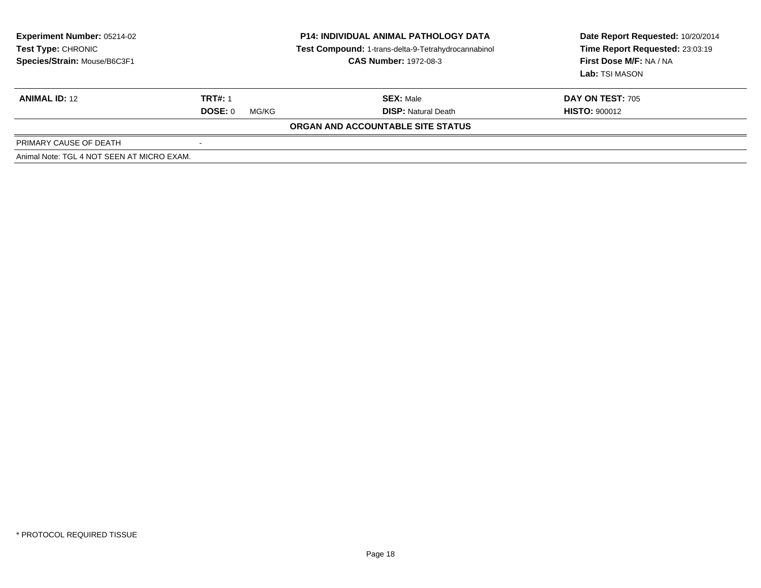| <b>Experiment Number: 05214-02</b><br>Test Type: CHRONIC<br>Species/Strain: Mouse/B6C3F1 | <b>P14: INDIVIDUAL ANIMAL PATHOLOGY DATA</b><br>Test Compound: 1-trans-delta-9-Tetrahydrocannabinol<br><b>CAS Number: 1972-08-3</b> |                                   | Date Report Requested: 10/20/2014<br>Time Report Requested: 23:03:19<br><b>First Dose M/F: NA / NA</b><br>Lab: TSI MASON |
|------------------------------------------------------------------------------------------|-------------------------------------------------------------------------------------------------------------------------------------|-----------------------------------|--------------------------------------------------------------------------------------------------------------------------|
| <b>ANIMAL ID: 12</b>                                                                     | <b>TRT#: 1</b>                                                                                                                      | <b>SEX: Male</b>                  | <b>DAY ON TEST: 705</b>                                                                                                  |
|                                                                                          | DOSE: 0<br>MG/KG                                                                                                                    | <b>DISP:</b> Natural Death        | <b>HISTO: 900012</b>                                                                                                     |
|                                                                                          |                                                                                                                                     | ORGAN AND ACCOUNTABLE SITE STATUS |                                                                                                                          |
| PRIMARY CAUSE OF DEATH                                                                   |                                                                                                                                     |                                   |                                                                                                                          |
| Animal Note: TGL 4 NOT SEEN AT MICRO EXAM.                                               |                                                                                                                                     |                                   |                                                                                                                          |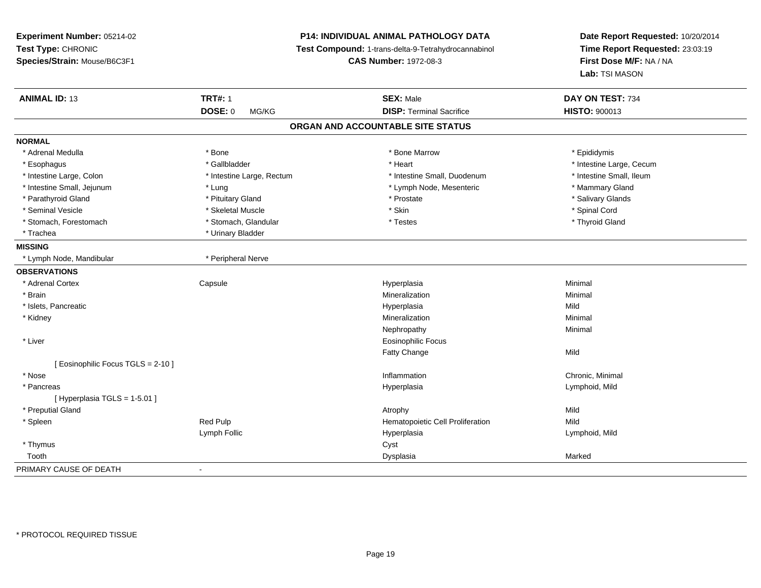**Experiment Number:** 05214-02**Test Type:** CHRONIC **Species/Strain:** Mouse/B6C3F1**P14: INDIVIDUAL ANIMAL PATHOLOGY DATA Test Compound:** 1-trans-delta-9-Tetrahydrocannabinol **CAS Number:** 1972-08-3**Date Report Requested:** 10/20/2014**Time Report Requested:** 23:03:19**First Dose M/F:** NA / NA**Lab:** TSI MASON**ANIMAL ID:** 13**TRT#:** 1 **SEX:** Male **DAY ON TEST:** 734 **DOSE:** 0 MG/KG**DISP:** Terminal Sacrifice **HISTO:** 900013 **ORGAN AND ACCOUNTABLE SITE STATUSNORMAL**\* Adrenal Medulla \* Adrenal Medulla \* \* The matter of the state of the state of the Marrow \* Bone Marrow \* Adrenal Medulla \* Epididymis \* Epididymis \* Bone Marrow \* Adrenal Medulla \* Epididymis \* Epididymis \* Epididymis \* Epididymis \* Epidi \* Esophagus \* https://www.fragustage.com/web/2019/heart \* Heart \* Heart \* Heart \* Intestine Large, Cecum \* Intestine Large, Cecum \* Gallbladder \* Callbladder \* 11 and 12 and 12 and 12 and 12 and 12 and 12 and 12 and 12 and \* Intestine Small, Ileum \* Intestine Large, Colon \* Intestine Large, Rectum \* Intestine Small, Duodenum \* Intestine Small, Duodenum \* Intestine Small, Jejunum \* The mannery Gland \* Lung \* Mammary Gland \* Lymph Node, Mesenteric \* \* Mammary Gland \* Salivary Glands \* Parathyroid Gland \* \* **Allemand \* Pituitary Gland \* Prostate \* Salivary Gland** \* Prostate \*  $\frac{1}{2}$  \* Prostate \* Seminal Vesicle \* \* Spinal Cord \* Skeletal Muscle \* \* Skin \* \* Skin \* \* Spinal Vesicle \* Spinal Cord \* Spinal Cord \* Thyroid Gland \* Stomach, Forestomach \* Testes \* Stomach, Glandular \* Testes \* Testes \* Testes \* Testes \* Testes \* Testes \* T \* Trachea \* Urinary Bladder**MISSING** \* Lymph Node, Mandibular \* Peripheral Nerve**OBSERVATIONS** \* Adrenal Cortex**Capsule**  Hyperplasia Minimal \* Brainn and the controller of the controller of the controller of the Minimal Mineralization and the controller of the Minimal Minimal  $\alpha$  \* Islets, Pancreaticc and the contract of the contract of the contract of the contract of the contract of the contract of the contract of the contract of the contract of the contract of the contract of the contract of the contract of the cont a Mild \* Kidneyy with the control of the control of the control of the control of the control of the control of the control of the control of the control of the control of the control of the control of the control of the control of the c n Minimal Nephropathyy the contract of the Minimal Minimal Section 1996 and the contract of the Minimal Section 1997 and the contract of the contract of the contract of the contract of the contract of the contract of the contract of the contra \* Liver Eosinophilic FocusFatty Changee Mild [ Eosinophilic Focus TGLS = 2-10 ] \* Nosee the contraction of the contraction of the contraction of the contraction of the chronic, Minimal on the chronic, Minimal or  $\mathbb{R}^n$  \* Pancreas Hyperplasia Lymphoid, Mild [ Hyperplasia TGLS = 1-5.01 ] \* Preputial Glandd and the control of the control of the control of the control of the control of the control of the control of the control of the control of the control of the control of the control of the control of the control of the co \* SpleenRed Pulp **Network** Hematopoietic Cell Proliferation Mild Lymph Follic Hyperplasia Lymphoid, Mild \* Thymuss the contract of the contract of the contract of the contract of the contract of the contract of the contract of the contract of the contract of the contract of the contract of the contract of the contract of the contract Toothh ann an chomhainn an chomhainn an chomhainn an chomhainn an chomhainn an chomhainn an chomhainn an chomhainn a<br>Iomraidhean PRIMARY CAUSE OF DEATH-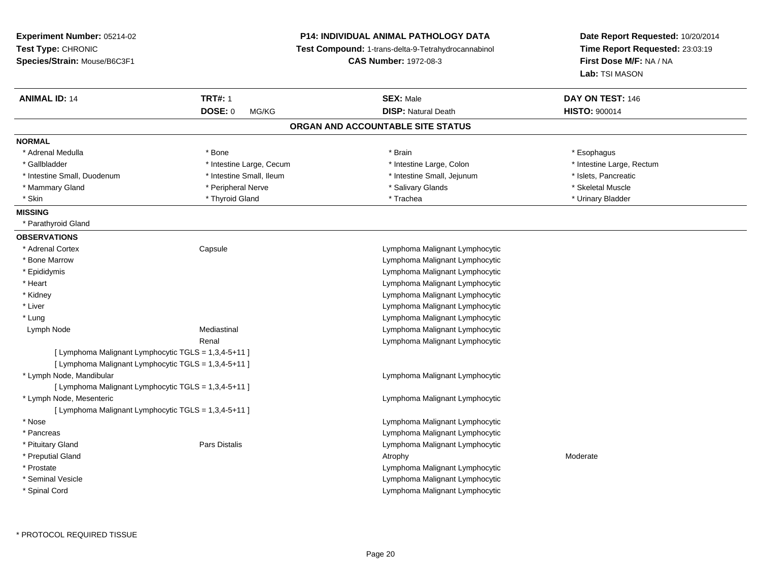| Experiment Number: 05214-02                          |                          | <b>P14: INDIVIDUAL ANIMAL PATHOLOGY DATA</b>        | Date Report Requested: 10/20/2014                          |
|------------------------------------------------------|--------------------------|-----------------------------------------------------|------------------------------------------------------------|
| Test Type: CHRONIC                                   |                          | Test Compound: 1-trans-delta-9-Tetrahydrocannabinol | Time Report Requested: 23:03:19<br>First Dose M/F: NA / NA |
| Species/Strain: Mouse/B6C3F1                         |                          | <b>CAS Number: 1972-08-3</b>                        |                                                            |
|                                                      |                          |                                                     | Lab: TSI MASON                                             |
| <b>ANIMAL ID: 14</b>                                 | <b>TRT#: 1</b>           | <b>SEX: Male</b>                                    | DAY ON TEST: 146                                           |
|                                                      | <b>DOSE: 0</b><br>MG/KG  | <b>DISP: Natural Death</b>                          | <b>HISTO: 900014</b>                                       |
|                                                      |                          | ORGAN AND ACCOUNTABLE SITE STATUS                   |                                                            |
| <b>NORMAL</b>                                        |                          |                                                     |                                                            |
| * Adrenal Medulla                                    | * Bone                   | * Brain                                             | * Esophagus                                                |
| * Gallbladder                                        | * Intestine Large, Cecum | * Intestine Large, Colon                            | * Intestine Large, Rectum                                  |
| * Intestine Small, Duodenum                          | * Intestine Small, Ileum | * Intestine Small, Jejunum                          | * Islets, Pancreatic                                       |
| * Mammary Gland                                      | * Peripheral Nerve       | * Salivary Glands                                   | * Skeletal Muscle                                          |
| * Skin                                               | * Thyroid Gland          | * Trachea                                           | * Urinary Bladder                                          |
| <b>MISSING</b>                                       |                          |                                                     |                                                            |
| * Parathyroid Gland                                  |                          |                                                     |                                                            |
| <b>OBSERVATIONS</b>                                  |                          |                                                     |                                                            |
| * Adrenal Cortex                                     | Capsule                  | Lymphoma Malignant Lymphocytic                      |                                                            |
| * Bone Marrow                                        |                          | Lymphoma Malignant Lymphocytic                      |                                                            |
| * Epididymis                                         |                          | Lymphoma Malignant Lymphocytic                      |                                                            |
| $*$ Heart                                            |                          | Lymphoma Malignant Lymphocytic                      |                                                            |
| * Kidney                                             |                          | Lymphoma Malignant Lymphocytic                      |                                                            |
| * Liver                                              |                          | Lymphoma Malignant Lymphocytic                      |                                                            |
| * Lung                                               |                          | Lymphoma Malignant Lymphocytic                      |                                                            |
| Lymph Node                                           | Mediastinal              | Lymphoma Malignant Lymphocytic                      |                                                            |
|                                                      | Renal                    | Lymphoma Malignant Lymphocytic                      |                                                            |
| [ Lymphoma Malignant Lymphocytic TGLS = 1,3,4-5+11 ] |                          |                                                     |                                                            |
| [ Lymphoma Malignant Lymphocytic TGLS = 1,3,4-5+11 ] |                          |                                                     |                                                            |
| * Lymph Node, Mandibular                             |                          | Lymphoma Malignant Lymphocytic                      |                                                            |
| [ Lymphoma Malignant Lymphocytic TGLS = 1,3,4-5+11 ] |                          |                                                     |                                                            |
| * Lymph Node, Mesenteric                             |                          | Lymphoma Malignant Lymphocytic                      |                                                            |
| [ Lymphoma Malignant Lymphocytic TGLS = 1,3,4-5+11 ] |                          |                                                     |                                                            |
| * Nose                                               |                          | Lymphoma Malignant Lymphocytic                      |                                                            |
| * Pancreas                                           |                          | Lymphoma Malignant Lymphocytic                      |                                                            |
| * Pituitary Gland                                    | Pars Distalis            | Lymphoma Malignant Lymphocytic                      |                                                            |
| * Preputial Gland                                    |                          | Atrophy                                             | Moderate                                                   |
| * Prostate                                           |                          | Lymphoma Malignant Lymphocytic                      |                                                            |
| * Seminal Vesicle                                    |                          | Lymphoma Malignant Lymphocytic                      |                                                            |
| * Spinal Cord                                        |                          | Lymphoma Malignant Lymphocytic                      |                                                            |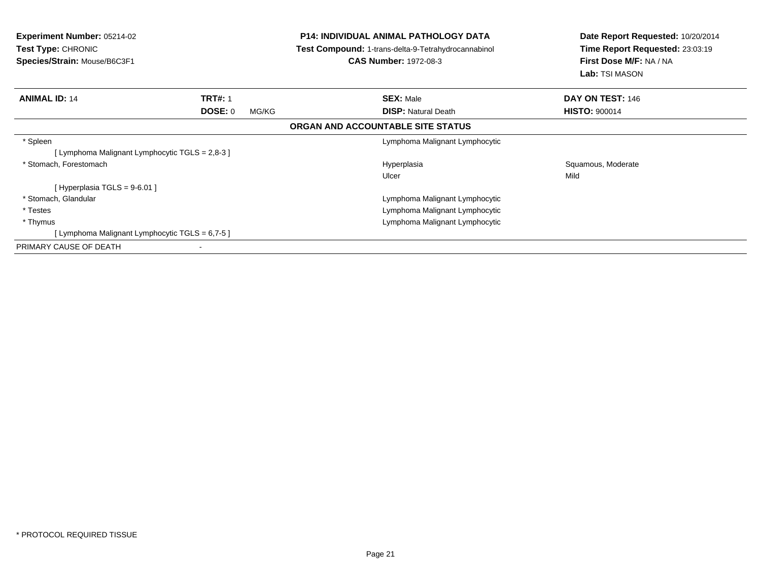| <b>Experiment Number: 05214-02</b><br><b>Test Type: CHRONIC</b><br>Species/Strain: Mouse/B6C3F1 |                  | <b>P14: INDIVIDUAL ANIMAL PATHOLOGY DATA</b><br><b>Test Compound: 1-trans-delta-9-Tetrahydrocannabinol</b><br><b>CAS Number: 1972-08-3</b> | Date Report Requested: 10/20/2014<br>Time Report Requested: 23:03:19<br>First Dose M/F: NA / NA<br><b>Lab:</b> TSI MASON |
|-------------------------------------------------------------------------------------------------|------------------|--------------------------------------------------------------------------------------------------------------------------------------------|--------------------------------------------------------------------------------------------------------------------------|
| <b>ANIMAL ID: 14</b>                                                                            | <b>TRT#: 1</b>   | <b>SEX: Male</b>                                                                                                                           | DAY ON TEST: 146                                                                                                         |
|                                                                                                 | DOSE: 0<br>MG/KG | <b>DISP: Natural Death</b>                                                                                                                 | <b>HISTO: 900014</b>                                                                                                     |
|                                                                                                 |                  | ORGAN AND ACCOUNTABLE SITE STATUS                                                                                                          |                                                                                                                          |
| * Spleen                                                                                        |                  | Lymphoma Malignant Lymphocytic                                                                                                             |                                                                                                                          |
| [ Lymphoma Malignant Lymphocytic TGLS = 2,8-3 ]                                                 |                  |                                                                                                                                            |                                                                                                                          |
| * Stomach, Forestomach                                                                          |                  | Hyperplasia                                                                                                                                | Squamous, Moderate                                                                                                       |
|                                                                                                 |                  | Ulcer                                                                                                                                      | Mild                                                                                                                     |
| [Hyperplasia TGLS = $9-6.01$ ]                                                                  |                  |                                                                                                                                            |                                                                                                                          |
| * Stomach, Glandular                                                                            |                  | Lymphoma Malignant Lymphocytic                                                                                                             |                                                                                                                          |
| * Testes                                                                                        |                  | Lymphoma Malignant Lymphocytic                                                                                                             |                                                                                                                          |
| * Thymus                                                                                        |                  | Lymphoma Malignant Lymphocytic                                                                                                             |                                                                                                                          |
| [Lymphoma Malignant Lymphocytic TGLS = 6,7-5]                                                   |                  |                                                                                                                                            |                                                                                                                          |
| PRIMARY CAUSE OF DEATH                                                                          |                  |                                                                                                                                            |                                                                                                                          |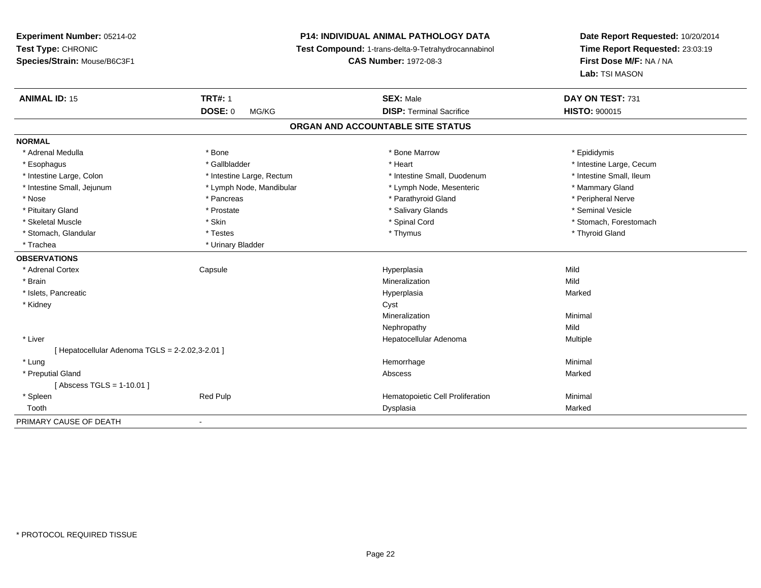# **P14: INDIVIDUAL ANIMAL PATHOLOGY DATA**

**Test Compound:** 1-trans-delta-9-Tetrahydrocannabinol

**CAS Number:** 1972-08-3

| <b>ANIMAL ID: 15</b>                            | <b>TRT#: 1</b>            | <b>SEX: Male</b>                  | DAY ON TEST: 731         |  |
|-------------------------------------------------|---------------------------|-----------------------------------|--------------------------|--|
|                                                 | DOSE: 0<br>MG/KG          | <b>DISP: Terminal Sacrifice</b>   | <b>HISTO: 900015</b>     |  |
|                                                 |                           | ORGAN AND ACCOUNTABLE SITE STATUS |                          |  |
| <b>NORMAL</b>                                   |                           |                                   |                          |  |
| * Adrenal Medulla                               | * Bone                    | * Bone Marrow                     | * Epididymis             |  |
| * Esophagus                                     | * Gallbladder             | * Heart                           | * Intestine Large, Cecum |  |
| * Intestine Large, Colon                        | * Intestine Large, Rectum | * Intestine Small, Duodenum       | * Intestine Small, Ileum |  |
| * Intestine Small, Jejunum                      | * Lymph Node, Mandibular  | * Lymph Node, Mesenteric          | * Mammary Gland          |  |
| * Nose                                          | * Pancreas                | * Parathyroid Gland               | * Peripheral Nerve       |  |
| * Pituitary Gland                               | * Prostate                | * Salivary Glands                 | * Seminal Vesicle        |  |
| * Skeletal Muscle                               | * Skin                    | * Spinal Cord                     | * Stomach, Forestomach   |  |
| * Stomach, Glandular                            | * Testes                  | * Thymus                          | * Thyroid Gland          |  |
| * Trachea                                       | * Urinary Bladder         |                                   |                          |  |
| <b>OBSERVATIONS</b>                             |                           |                                   |                          |  |
| * Adrenal Cortex                                | Capsule                   | Hyperplasia                       | Mild                     |  |
| * Brain                                         |                           | Mineralization                    | Mild                     |  |
| * Islets, Pancreatic                            |                           | Hyperplasia                       | Marked                   |  |
| * Kidney                                        |                           | Cyst                              |                          |  |
|                                                 |                           | Mineralization                    | Minimal                  |  |
|                                                 |                           | Nephropathy                       | Mild                     |  |
| * Liver                                         |                           | Hepatocellular Adenoma            | Multiple                 |  |
| [ Hepatocellular Adenoma TGLS = 2-2.02,3-2.01 ] |                           |                                   |                          |  |
| * Lung                                          |                           | Hemorrhage                        | Minimal                  |  |
| * Preputial Gland                               |                           | Abscess                           | Marked                   |  |
| [Abscess TGLS = $1-10.01$ ]                     |                           |                                   |                          |  |
| * Spleen                                        | <b>Red Pulp</b>           | Hematopoietic Cell Proliferation  | Minimal                  |  |
| Tooth                                           |                           | Dysplasia                         | Marked                   |  |
| PRIMARY CAUSE OF DEATH                          | $\blacksquare$            |                                   |                          |  |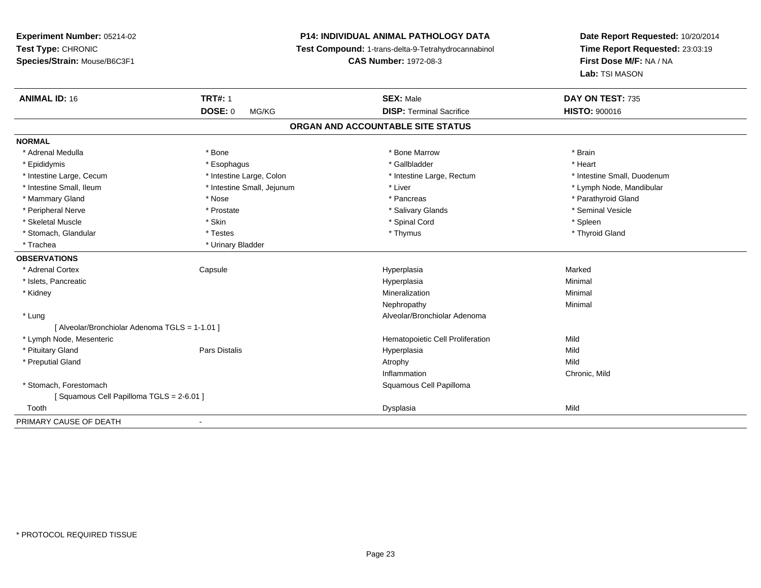**Experiment Number:** 05214-02**Test Type:** CHRONIC **Species/Strain:** Mouse/B6C3F1**P14: INDIVIDUAL ANIMAL PATHOLOGY DATA Test Compound:** 1-trans-delta-9-Tetrahydrocannabinol **CAS Number:** 1972-08-3**Date Report Requested:** 10/20/2014**Time Report Requested:** 23:03:19**First Dose M/F:** NA / NA**Lab:** TSI MASON**ANIMAL ID:** 16**6 TRT#:** 1 **TRT#:** 1 **SEX:** Male **SEX:** Male **DAY ON TEST:** 735 **DOSE:** 0 MG/KG**DISP:** Terminal Sacrifice **HISTO:**  $900016$ **ORGAN AND ACCOUNTABLE SITE STATUSNORMAL**\* Adrenal Medulla \* \* Annual Medulla \* Brain \* Bone \* \* Bone Marrow \* Bone Marrow \* \* Brain \* Brain \* Brain \* Brain \* Brain \* Brain \* Brain \* Brain \* Brain \* Brain \* Brain \* Brain \* Brain \* Brain \* Brain \* Brain \* Brain \* \* Heart \* Epididymis \* Esophagus \* Gallbladder \* Heart \* Intestine Large, Cecum \* Intestine Large, Colon \* Intestine Large, Rectum \* Intestine Small, Duodenum\* Intestine Small, Ileum \* \* Thestine Small, Jejunum \* Liver \* Liver \* Liver \* Thestine Small, Nejunum \* Lymph Node, Mandibular \* Mammary Gland \* \* Nose \* \* Nose \* \* Pancreas \* Pancreas \* \* Pancreas \* \* Pancreas \* \* Pancreas \* \* Parathyroid Gland \* Peripheral Nerve \* \* Annual Vesicle \* \* Prostate \* \* Salivary Glands \* \* Salivary Glands \* \* Seminal Vesicle \* Skeletal Muscle \* Skin \* Spinal Cord \* Spleen \* Thyroid Gland \* Stomach, Glandular \* Testes \* Thymus \* Thymus \* Thymus \* Thymus \* Thymus \* Thymus \* Thymus \* Thymus \* Thymus \* Trachea **\*** Urinary Bladder **OBSERVATIONS** \* Adrenal Cortex Capsule Hyperplasia Marked \* Islets, Pancreaticc description of the control of the control of the control of the control of the control of the control of the control of the control of the control of the control of the control of the control of the control of the contro a and a studies of the studies of the Minimal \* Kidneyy with the control of the control of the control of the control of the control of the control of the control of the control of the control of the control of the control of the control of the control of the control of the c n Minimal Nephropathyy the contract of the Minimal Minimal Section 1996 and the contract of the Minimal Section 1997 and the contract of the contract of the contract of the contract of the contract of the contract of the contract of the contra \* Lung Alveolar/Bronchiolar Adenoma [ Alveolar/Bronchiolar Adenoma TGLS = 1-1.01 ] \* Lymph Node, Mesenteric Hematopoietic Cell Proliferationn Mild \* Pituitary Gland Pars Distalis Hyperplasia Mild \* Preputial Glandd and the control of the control of the control of the control of the control of the control of the control of the control of the control of the control of the control of the control of the control of the control of the co Inflammation Chronic, Mild \* Stomach, Forestomach Squamous Cell Papilloma [ Squamous Cell Papilloma TGLS = 2-6.01 ] Toothh ann an Dysplasia ann an Dysplasia ann an Dysplasia ann an Dysplasia ann an Dysplasia ann an Mild PRIMARY CAUSE OF DEATH-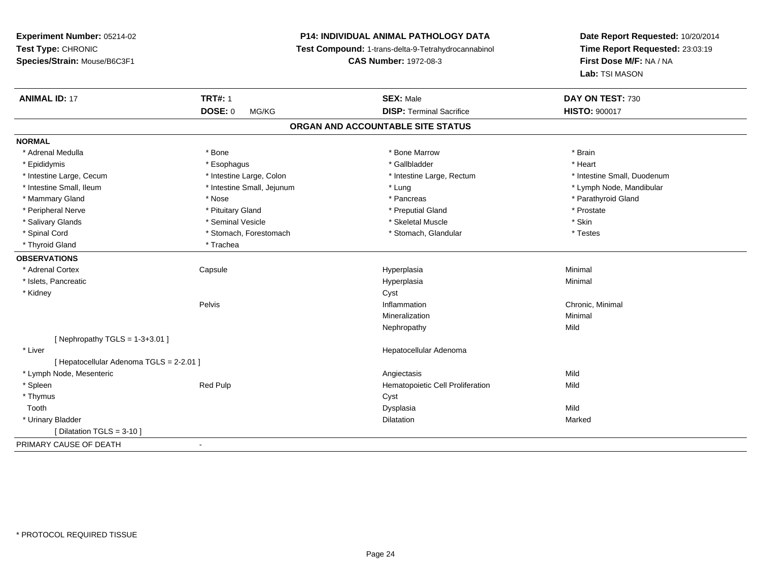**Experiment Number:** 05214-02**Test Type:** CHRONIC **Species/Strain:** Mouse/B6C3F1**P14: INDIVIDUAL ANIMAL PATHOLOGY DATA Test Compound:** 1-trans-delta-9-Tetrahydrocannabinol **CAS Number:** 1972-08-3**Date Report Requested:** 10/20/2014**Time Report Requested:** 23:03:19**First Dose M/F:** NA / NA**Lab:** TSI MASON**ANIMAL ID:** 17**TRT#:** 1 **SEX:** Male **DAY ON TEST:** 730 **DOSE:** 0 MG/KG**DISP:** Terminal Sacrifice **HISTO:**  $900017$ **ORGAN AND ACCOUNTABLE SITE STATUSNORMAL**\* Adrenal Medulla \* \* Annual Medulla \* Brain \* Bone \* \* Bone Marrow \* Bone Marrow \* \* Brain \* Brain \* Brain \* Brain \* Brain \* Brain \* Brain \* Brain \* Brain \* Brain \* Brain \* Brain \* Brain \* Brain \* Brain \* Brain \* Brain \* \* Heart \* Epididymis \* Esophagus \* Gallbladder \* Heart \* Intestine Large, Cecum \* Intestine Large, Colon \* Intestine Large, Rectum \* Intestine Small, Duodenum \* Intestine Small, Ileum \* Intestine Small, Jejunum \* Lung \* Lymph Node, Mandibular\* Mammary Gland \* \* Nose \* \* Nose \* \* Pancreas \* Pancreas \* \* Pancreas \* \* Pancreas \* \* Pancreas \* \* Parathyroid Gland \* Peripheral Nerve \* \* \* Prostate \* \* Pretuitary Gland \* \* \* \* \* \* \* Preputial Gland \* \* \* Prostate \* Prostate \* Salivary Glands \* Seminal Vesicle \* Skeletal Muscle \* Skin\* Testes \* Spinal Cord **\*** Stomach, Forestomach \* Stomach, Spinal Cord \* Stomach, Glandular \* Testess \* Stomach, Glandular \* Thyroid Gland \* Trachea**OBSERVATIONS** \* Adrenal Cortex Capsule Hyperplasia Minimal \* Islets, Pancreaticc description of the control of the control of the control of the control of the control of the control of the control of the control of the control of the control of the control of the control of the control of the contro a and a studies of the studies of the Minimal \* Kidneyy control of the control of the control of the control of the control of the control of the control of the control of the control of the control of the control of the control of the control of the control of the control of Pelvis Inflammation Chronic, Minimal Mineralizationn Minimal Nephropathyy Mild  $[$  Nephropathy TGLS = 1-3+3.01  $]$  \* Liver Hepatocellular Adenoma[ Hepatocellular Adenoma TGLS = 2-2.01 ] \* Lymph Node, Mesenteric Angiectasis MildMild \* SpleenRed Pulp **Network Red Pulp 19 and Pulp 10 and Propose** Hematopoietic Cell Proliferation \* Thymuss the contract of the contract of the contract of the contract of the contract of the contract of the contract of the contract of the contract of the contract of the contract of the contract of the contract of the contract Toothh anns an t-Iomraid anns an t-Iomraid anns an t-Iomraid anns an t-Iomraid anns an t-Iomraid anns an t-Iomraid a<br>Iomraidhean \* Urinary Bladderr and the contract of the contract of the contract of the contract of the contract of the contract of the contract of the contract of the contract of the contract of the contract of the contract of the contract of the cont n Marked Marked Structure of the Marked Marked Structure of the Marked Structure of the Marked Structure of th  $[$  Dilatation TGLS = 3-10  $]$ PRIMARY CAUSE OF DEATH-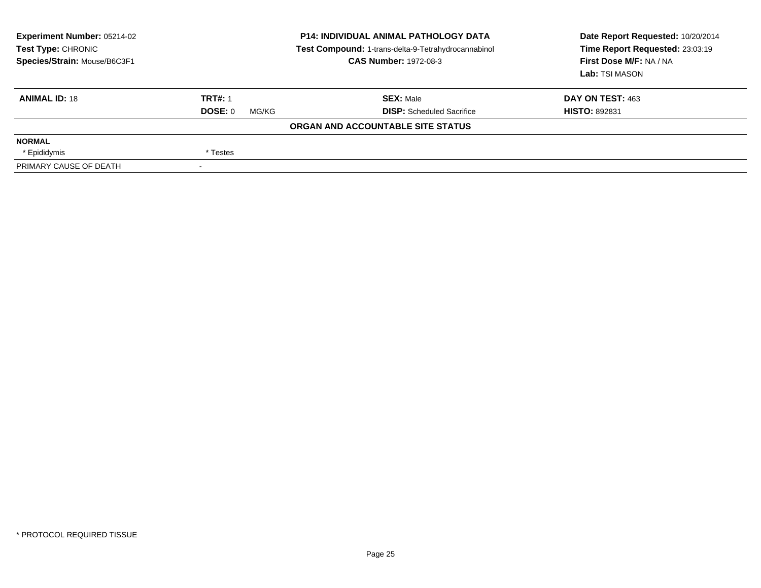| Experiment Number: 05214-02<br>Test Type: CHRONIC<br>Species/Strain: Mouse/B6C3F1 | <b>P14: INDIVIDUAL ANIMAL PATHOLOGY DATA</b><br>Test Compound: 1-trans-delta-9-Tetrahydrocannabinol<br><b>CAS Number: 1972-08-3</b> |                                   | Date Report Requested: 10/20/2014<br>Time Report Requested: 23:03:19<br>First Dose M/F: NA / NA<br><b>Lab:</b> TSI MASON |
|-----------------------------------------------------------------------------------|-------------------------------------------------------------------------------------------------------------------------------------|-----------------------------------|--------------------------------------------------------------------------------------------------------------------------|
| <b>ANIMAL ID: 18</b>                                                              | <b>TRT#: 1</b>                                                                                                                      | <b>SEX: Male</b>                  | DAY ON TEST: 463                                                                                                         |
|                                                                                   | DOSE: 0<br>MG/KG                                                                                                                    | <b>DISP:</b> Scheduled Sacrifice  | <b>HISTO: 892831</b>                                                                                                     |
|                                                                                   |                                                                                                                                     | ORGAN AND ACCOUNTABLE SITE STATUS |                                                                                                                          |
| <b>NORMAL</b>                                                                     |                                                                                                                                     |                                   |                                                                                                                          |
| * Epididymis                                                                      | * Testes                                                                                                                            |                                   |                                                                                                                          |
| PRIMARY CAUSE OF DEATH                                                            |                                                                                                                                     |                                   |                                                                                                                          |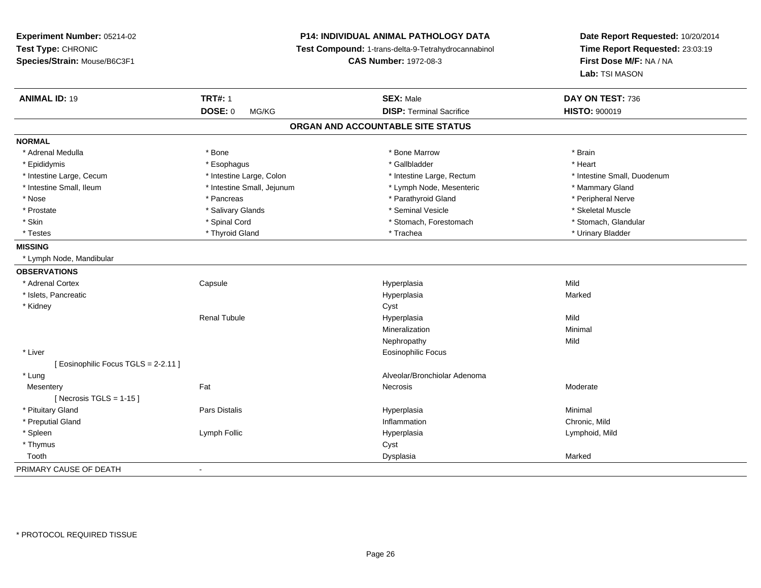**Experiment Number:** 05214-02**Test Type:** CHRONIC **Species/Strain:** Mouse/B6C3F1**P14: INDIVIDUAL ANIMAL PATHOLOGY DATA Test Compound:** 1-trans-delta-9-Tetrahydrocannabinol **CAS Number:** 1972-08-3**Date Report Requested:** 10/20/2014**Time Report Requested:** 23:03:19**First Dose M/F:** NA / NA**Lab:** TSI MASON**ANIMAL ID:** 19 **TRT#:** <sup>1</sup> **SEX:** Male **DAY ON TEST:** <sup>736</sup> **DOSE:** 0 MG/KG**DISP:** Terminal Sacrifice **HISTO:**  $900019$ **ORGAN AND ACCOUNTABLE SITE STATUSNORMAL**\* Adrenal Medulla \* \* Annual Medulla \* Brain \* Bone \* \* Bone Marrow \* Bone Marrow \* \* Brain \* Brain \* Brain \* Brain \* Brain \* Brain \* Brain \* Brain \* Brain \* Brain \* Brain \* Brain \* Brain \* Brain \* Brain \* Brain \* Brain \* \* Heart \* Epididymis \* Esophagus \* Gallbladder \* Heart \* Intestine Large, Cecum \* Intestine Large, Colon \* Intestine Large, Rectum \* Intestine Small, Duodenum \* Intestine Small, Ileum \* Intestine Small, Jejunum \* Lymph Node, Mesenteric \* Mammary Gland\* Peripheral Nerve \* Nose \* \* Pancreas \* \* Pancreas \* \* Pancreas \* \* Parathyroid Gland \* \* Peripheral Nerve \* Peripheral Nerve \* \* Skeletal Muscle \* Prostate \* \* Skeletal Muscle \* \* Salivary Glands \* \* Steminal Vesicle \* \* Seminal Vesicle \* \* Skeletal Muscle \* Stomach. Glandular \* Skin \* Spinal Cord \* Spinal Cord \* Stomach, Forestomach \* Stomach, Forestomach \* Testes \* \* Thyroid Gland \* \* Thyroid Gland \* \* Trachea \* \* Trachea \* \* \* Trachea \* Urinary Bladder \* \* Urinary Bladder \* \* Urinary Bladder \* \* Urinary Bladder \* \* Urinary Bladder \* \* Urinary Bladder \* \* Urinary Bladder \* **MISSING** \* Lymph Node, Mandibular**OBSERVATIONS** \* Adrenal Cortex**Capsule**  Hyperplasia Mild \* Islets, Pancreaticc and the contract of the contract of the contract of the contract of the contract of the contract of the contract of the contract of the contract of the contract of the contract of the contract of the contract of the cont a **Marked**  \* Kidneyy control of the control of the control of the control of the control of the control of the control of the control of the control of the control of the control of the control of the control of the control of the control of Renal Tubulee and the Hyperplasia description of the Mild Mineralizationn Minimal Nephropathyy Mild \* Liver Eosinophilic Focus[ Eosinophilic Focus TGLS = 2-2.11 ] \* LungAlveolar/Bronchiolar Adenoma<br>
Recrosis<br>
Necrosis **Mesentery** y the control of the set of the control of the Moderate of the Moderate of the Moderate of the Moderate of the Moderate of the Moderate of the Moderate of the Moderate of the Moderate of the Moderate of the Moderate of the  $[$  Necrosis TGLS = 1-15  $]$  \* Pituitary Gland Pars Distalis Hyperplasia Minimal \* Preputial Glandd
and **d**and **d**chronic, Mild
come of the contract of the contract of the contract of the contract of the contract of the contract of the contract of the contract of the contract of the contract of the contract of the co \* Spleen Lymph Follic Hyperplasia Lymphoid, Mild \* Thymuss the contract of the contract of the contract of the contract of the contract of the contract of the contract of the contract of the contract of the contract of the contract of the contract of the contract of the contract Toothh ann an chomhainn an chomhainn an chomhainn an chomhainn an chomhainn an chomhainn an chomhainn an chomhainn a<br>Iomraidhean PRIMARY CAUSE OF DEATH-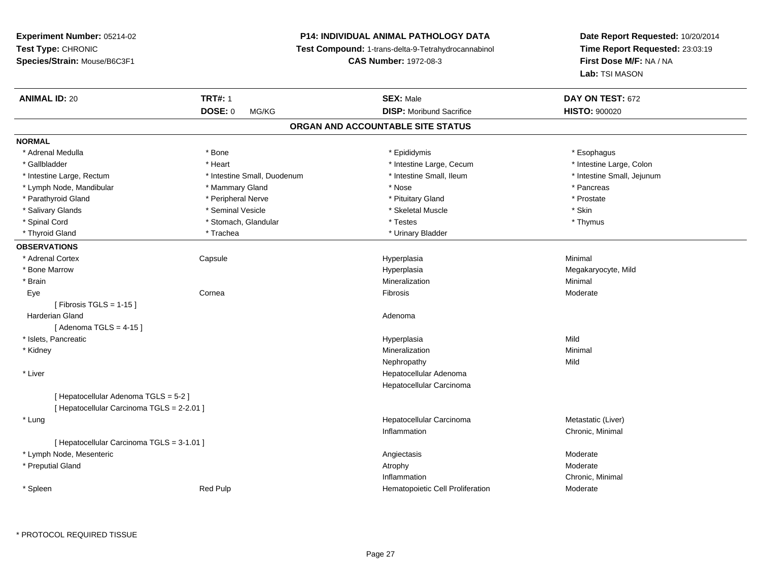# **P14: INDIVIDUAL ANIMAL PATHOLOGY DATA**

**Test Compound:** 1-trans-delta-9-Tetrahydrocannabinol

**CAS Number:** 1972-08-3

**Date Report Requested:** 10/20/2014**Time Report Requested:** 23:03:19**First Dose M/F:** NA / NA**Lab:** TSI MASON

| <b>ANIMAL ID: 20</b>                       | <b>TRT#: 1</b>              | <b>SEX: Male</b>                  | DAY ON TEST: 672           |
|--------------------------------------------|-----------------------------|-----------------------------------|----------------------------|
|                                            | DOSE: 0<br>MG/KG            | <b>DISP:</b> Moribund Sacrifice   | <b>HISTO: 900020</b>       |
|                                            |                             | ORGAN AND ACCOUNTABLE SITE STATUS |                            |
| <b>NORMAL</b>                              |                             |                                   |                            |
| * Adrenal Medulla                          | * Bone                      | * Epididymis                      | * Esophagus                |
| * Gallbladder                              | * Heart                     | * Intestine Large, Cecum          | * Intestine Large, Colon   |
| * Intestine Large, Rectum                  | * Intestine Small, Duodenum | * Intestine Small, Ileum          | * Intestine Small, Jejunum |
| * Lymph Node, Mandibular                   | * Mammary Gland             | * Nose                            | * Pancreas                 |
| * Parathyroid Gland                        | * Peripheral Nerve          | * Pituitary Gland                 | * Prostate                 |
| * Salivary Glands                          | * Seminal Vesicle           | * Skeletal Muscle                 | * Skin                     |
| * Spinal Cord                              | * Stomach, Glandular        | * Testes                          | * Thymus                   |
| * Thyroid Gland                            | * Trachea                   | * Urinary Bladder                 |                            |
| <b>OBSERVATIONS</b>                        |                             |                                   |                            |
| * Adrenal Cortex                           | Capsule                     | Hyperplasia                       | Minimal                    |
| * Bone Marrow                              |                             | Hyperplasia                       | Megakaryocyte, Mild        |
| * Brain                                    |                             | Mineralization                    | Minimal                    |
| Eye                                        | Cornea                      | Fibrosis                          | Moderate                   |
| [Fibrosis TGLS = $1-15$ ]                  |                             |                                   |                            |
| Harderian Gland                            |                             | Adenoma                           |                            |
| [Adenoma TGLS = $4-15$ ]                   |                             |                                   |                            |
| * Islets, Pancreatic                       |                             | Hyperplasia                       | Mild                       |
| * Kidney                                   |                             | Mineralization                    | Minimal                    |
|                                            |                             | Nephropathy                       | Mild                       |
| * Liver                                    |                             | Hepatocellular Adenoma            |                            |
|                                            |                             | Hepatocellular Carcinoma          |                            |
| [ Hepatocellular Adenoma TGLS = 5-2 ]      |                             |                                   |                            |
| [ Hepatocellular Carcinoma TGLS = 2-2.01 ] |                             |                                   |                            |
| * Lung                                     |                             | Hepatocellular Carcinoma          | Metastatic (Liver)         |
|                                            |                             | Inflammation                      | Chronic, Minimal           |
| [ Hepatocellular Carcinoma TGLS = 3-1.01 ] |                             |                                   |                            |
| * Lymph Node, Mesenteric                   |                             | Angiectasis                       | Moderate                   |
| * Preputial Gland                          |                             | Atrophy                           | Moderate                   |
|                                            |                             | Inflammation                      | Chronic, Minimal           |
| * Spleen                                   | <b>Red Pulp</b>             | Hematopoietic Cell Proliferation  | Moderate                   |

\* PROTOCOL REQUIRED TISSUE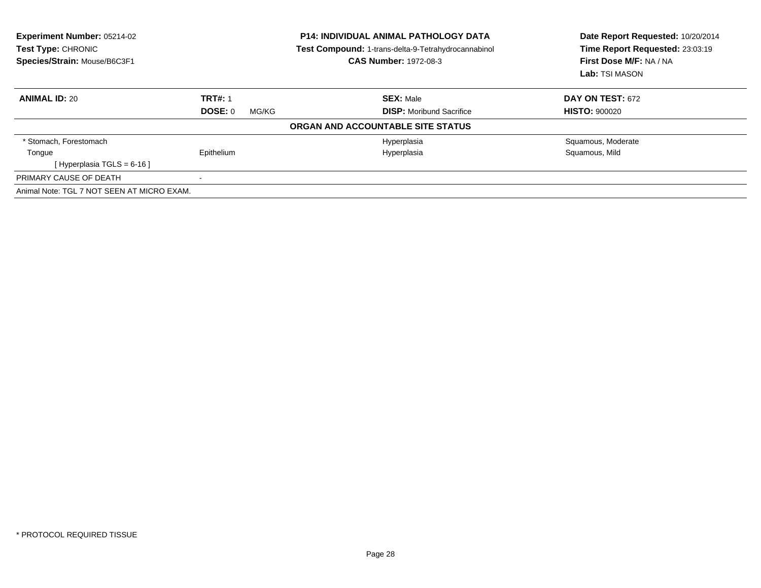| <b>Experiment Number: 05214-02</b><br>Test Type: CHRONIC<br>Species/Strain: Mouse/B6C3F1 |                  | <b>P14: INDIVIDUAL ANIMAL PATHOLOGY DATA</b><br><b>Test Compound: 1-trans-delta-9-Tetrahydrocannabinol</b><br><b>CAS Number: 1972-08-3</b> | Date Report Requested: 10/20/2014<br>Time Report Requested: 23:03:19<br>First Dose M/F: NA / NA<br>Lab: TSI MASON |
|------------------------------------------------------------------------------------------|------------------|--------------------------------------------------------------------------------------------------------------------------------------------|-------------------------------------------------------------------------------------------------------------------|
| <b>ANIMAL ID: 20</b>                                                                     | <b>TRT#: 1</b>   | <b>SEX: Male</b>                                                                                                                           | <b>DAY ON TEST: 672</b>                                                                                           |
|                                                                                          | DOSE: 0<br>MG/KG | <b>DISP:</b> Moribund Sacrifice                                                                                                            | <b>HISTO: 900020</b>                                                                                              |
|                                                                                          |                  | ORGAN AND ACCOUNTABLE SITE STATUS                                                                                                          |                                                                                                                   |
| * Stomach, Forestomach                                                                   |                  | Hyperplasia                                                                                                                                | Squamous, Moderate                                                                                                |
| Tongue                                                                                   | Epithelium       | Hyperplasia                                                                                                                                | Squamous, Mild                                                                                                    |
| [Hyperplasia TGLS = $6-16$ ]                                                             |                  |                                                                                                                                            |                                                                                                                   |
| PRIMARY CAUSE OF DEATH                                                                   | $\,$ $\,$        |                                                                                                                                            |                                                                                                                   |
| Animal Note: TGL 7 NOT SEEN AT MICRO EXAM.                                               |                  |                                                                                                                                            |                                                                                                                   |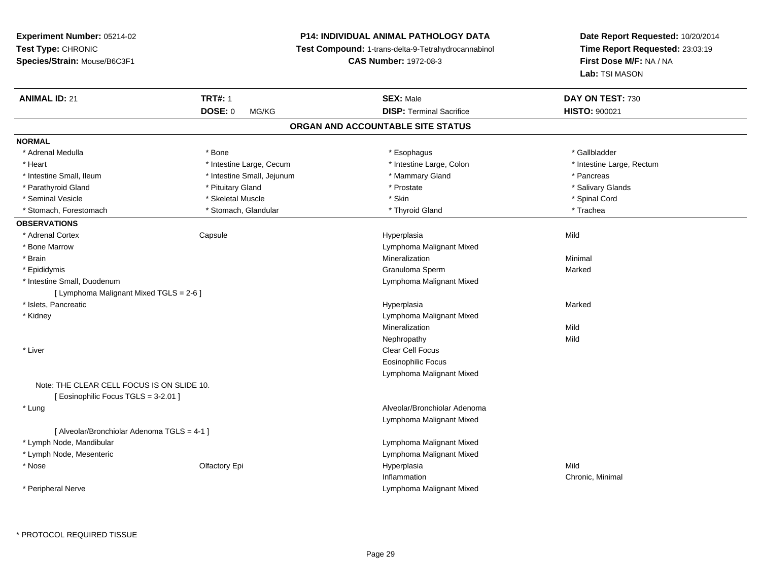# **P14: INDIVIDUAL ANIMAL PATHOLOGY DATA**

**Test Compound:** 1-trans-delta-9-Tetrahydrocannabinol

**CAS Number:** 1972-08-3

| <b>ANIMAL ID: 21</b>                        | <b>TRT#: 1</b>             | <b>SEX: Male</b>                  | DAY ON TEST: 730          |  |
|---------------------------------------------|----------------------------|-----------------------------------|---------------------------|--|
|                                             | <b>DOSE: 0</b><br>MG/KG    | <b>DISP: Terminal Sacrifice</b>   | <b>HISTO: 900021</b>      |  |
|                                             |                            | ORGAN AND ACCOUNTABLE SITE STATUS |                           |  |
| <b>NORMAL</b>                               |                            |                                   |                           |  |
| * Adrenal Medulla                           | * Bone                     | * Esophagus                       | * Gallbladder             |  |
| * Heart                                     | * Intestine Large, Cecum   | * Intestine Large, Colon          | * Intestine Large, Rectum |  |
| * Intestine Small, Ileum                    | * Intestine Small, Jejunum | * Mammary Gland                   | * Pancreas                |  |
| * Parathyroid Gland                         | * Pituitary Gland          | * Prostate                        | * Salivary Glands         |  |
| * Seminal Vesicle                           | * Skeletal Muscle          | * Skin                            | * Spinal Cord             |  |
| * Stomach, Forestomach                      | * Stomach, Glandular       | * Thyroid Gland                   | * Trachea                 |  |
| <b>OBSERVATIONS</b>                         |                            |                                   |                           |  |
| * Adrenal Cortex                            | Capsule                    | Hyperplasia                       | Mild                      |  |
| * Bone Marrow                               |                            | Lymphoma Malignant Mixed          |                           |  |
| * Brain                                     |                            | Mineralization                    | Minimal                   |  |
| * Epididymis                                |                            | Granuloma Sperm                   | Marked                    |  |
| * Intestine Small, Duodenum                 |                            | Lymphoma Malignant Mixed          |                           |  |
| [ Lymphoma Malignant Mixed TGLS = 2-6 ]     |                            |                                   |                           |  |
| * Islets, Pancreatic                        |                            | Hyperplasia                       | Marked                    |  |
| * Kidney                                    |                            | Lymphoma Malignant Mixed          |                           |  |
|                                             |                            | Mineralization                    | Mild                      |  |
|                                             |                            | Nephropathy                       | Mild                      |  |
| * Liver                                     |                            | <b>Clear Cell Focus</b>           |                           |  |
|                                             |                            | <b>Eosinophilic Focus</b>         |                           |  |
|                                             |                            | Lymphoma Malignant Mixed          |                           |  |
| Note: THE CLEAR CELL FOCUS IS ON SLIDE 10.  |                            |                                   |                           |  |
| [ Eosinophilic Focus TGLS = 3-2.01 ]        |                            |                                   |                           |  |
| * Lung                                      |                            | Alveolar/Bronchiolar Adenoma      |                           |  |
|                                             |                            | Lymphoma Malignant Mixed          |                           |  |
| [ Alveolar/Bronchiolar Adenoma TGLS = 4-1 ] |                            |                                   |                           |  |
| * Lymph Node, Mandibular                    |                            | Lymphoma Malignant Mixed          |                           |  |
| * Lymph Node, Mesenteric                    |                            | Lymphoma Malignant Mixed          |                           |  |
| * Nose                                      | Olfactory Epi              | Hyperplasia                       | Mild                      |  |
|                                             |                            | Inflammation                      | Chronic, Minimal          |  |
| * Peripheral Nerve                          |                            | Lymphoma Malignant Mixed          |                           |  |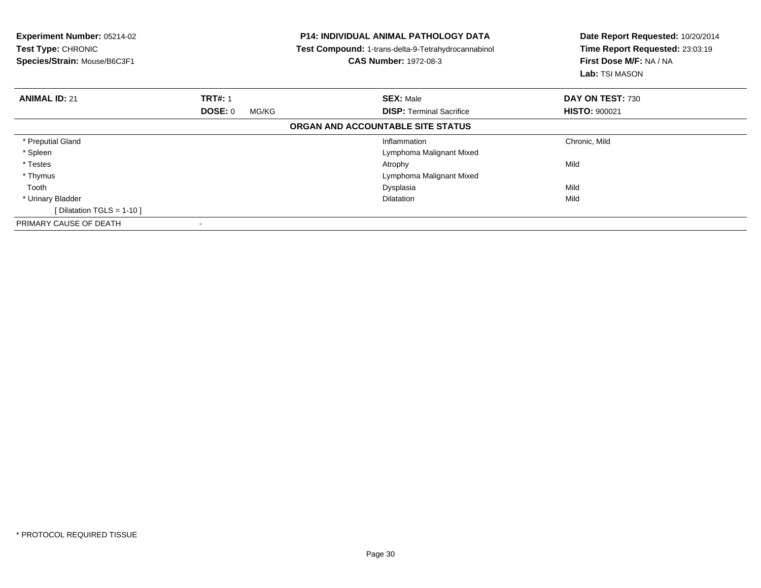| <b>Experiment Number: 05214-02</b><br>Test Type: CHRONIC<br>Species/Strain: Mouse/B6C3F1 |                  | <b>P14: INDIVIDUAL ANIMAL PATHOLOGY DATA</b><br>Test Compound: 1-trans-delta-9-Tetrahydrocannabinol<br><b>CAS Number: 1972-08-3</b> | Date Report Requested: 10/20/2014<br>Time Report Requested: 23:03:19<br>First Dose M/F: NA / NA<br>Lab: TSI MASON |
|------------------------------------------------------------------------------------------|------------------|-------------------------------------------------------------------------------------------------------------------------------------|-------------------------------------------------------------------------------------------------------------------|
| <b>ANIMAL ID: 21</b>                                                                     | <b>TRT#: 1</b>   | <b>SEX: Male</b>                                                                                                                    | DAY ON TEST: 730                                                                                                  |
|                                                                                          | DOSE: 0<br>MG/KG | <b>DISP:</b> Terminal Sacrifice                                                                                                     | <b>HISTO: 900021</b>                                                                                              |
|                                                                                          |                  | ORGAN AND ACCOUNTABLE SITE STATUS                                                                                                   |                                                                                                                   |
| * Preputial Gland                                                                        |                  | Inflammation                                                                                                                        | Chronic, Mild                                                                                                     |
| * Spleen                                                                                 |                  | Lymphoma Malignant Mixed                                                                                                            |                                                                                                                   |
| * Testes                                                                                 |                  | Atrophy                                                                                                                             | Mild                                                                                                              |
| * Thymus                                                                                 |                  | Lymphoma Malignant Mixed                                                                                                            |                                                                                                                   |
| Tooth                                                                                    |                  | Dysplasia                                                                                                                           | Mild                                                                                                              |
| * Urinary Bladder                                                                        |                  | <b>Dilatation</b>                                                                                                                   | Mild                                                                                                              |
| [ Dilatation TGLS = $1-10$ ]                                                             |                  |                                                                                                                                     |                                                                                                                   |
| PRIMARY CAUSE OF DEATH                                                                   |                  |                                                                                                                                     |                                                                                                                   |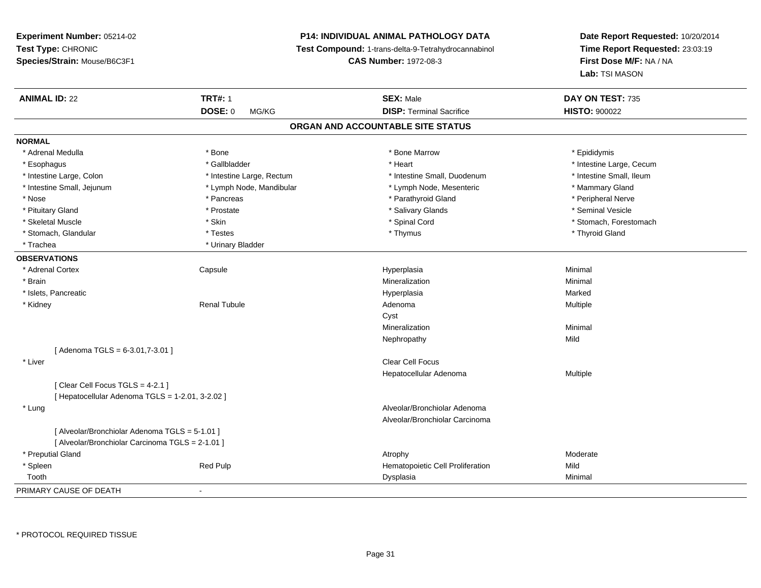# **P14: INDIVIDUAL ANIMAL PATHOLOGY DATA**

**Test Compound:** 1-trans-delta-9-Tetrahydrocannabinol

**CAS Number:** 1972-08-3

| <b>ANIMAL ID: 22</b>                             | <b>TRT#: 1</b>            | <b>SEX: Male</b>                  | DAY ON TEST: 735         |  |
|--------------------------------------------------|---------------------------|-----------------------------------|--------------------------|--|
|                                                  | <b>DOSE: 0</b><br>MG/KG   | <b>DISP: Terminal Sacrifice</b>   | <b>HISTO: 900022</b>     |  |
|                                                  |                           | ORGAN AND ACCOUNTABLE SITE STATUS |                          |  |
| <b>NORMAL</b>                                    |                           |                                   |                          |  |
| * Adrenal Medulla                                | * Bone                    | * Bone Marrow                     | * Epididymis             |  |
| * Esophagus                                      | * Gallbladder             | * Heart                           | * Intestine Large, Cecum |  |
| * Intestine Large, Colon                         | * Intestine Large, Rectum | * Intestine Small, Duodenum       | * Intestine Small, Ileum |  |
| * Intestine Small, Jejunum                       | * Lymph Node, Mandibular  | * Lymph Node, Mesenteric          | * Mammary Gland          |  |
| * Nose                                           | * Pancreas                | * Parathyroid Gland               | * Peripheral Nerve       |  |
| * Pituitary Gland                                | * Prostate                | * Salivary Glands                 | * Seminal Vesicle        |  |
| * Skeletal Muscle                                | * Skin                    | * Spinal Cord                     | * Stomach, Forestomach   |  |
| * Stomach, Glandular                             | * Testes                  | * Thymus                          | * Thyroid Gland          |  |
| * Trachea                                        | * Urinary Bladder         |                                   |                          |  |
| <b>OBSERVATIONS</b>                              |                           |                                   |                          |  |
| * Adrenal Cortex                                 | Capsule                   | Hyperplasia                       | Minimal                  |  |
| * Brain                                          |                           | Mineralization                    | Minimal                  |  |
| * Islets, Pancreatic                             |                           | Hyperplasia                       | Marked                   |  |
| * Kidney                                         | <b>Renal Tubule</b>       | Adenoma                           | Multiple                 |  |
|                                                  |                           | Cyst                              |                          |  |
|                                                  |                           | Mineralization                    | Minimal                  |  |
|                                                  |                           | Nephropathy                       | Mild                     |  |
| [ Adenoma TGLS = 6-3.01,7-3.01 ]                 |                           |                                   |                          |  |
| * Liver                                          |                           | <b>Clear Cell Focus</b>           |                          |  |
|                                                  |                           | Hepatocellular Adenoma            | Multiple                 |  |
| [Clear Cell Focus TGLS = 4-2.1]                  |                           |                                   |                          |  |
| [ Hepatocellular Adenoma TGLS = 1-2.01, 3-2.02 ] |                           |                                   |                          |  |
| * Lung                                           |                           | Alveolar/Bronchiolar Adenoma      |                          |  |
|                                                  |                           | Alveolar/Bronchiolar Carcinoma    |                          |  |
| [ Alveolar/Bronchiolar Adenoma TGLS = 5-1.01 ]   |                           |                                   |                          |  |
| [ Alveolar/Bronchiolar Carcinoma TGLS = 2-1.01 ] |                           |                                   |                          |  |
| * Preputial Gland                                |                           | Atrophy                           | Moderate                 |  |
| * Spleen                                         | Red Pulp                  | Hematopoietic Cell Proliferation  | Mild                     |  |
| Tooth                                            |                           | Dysplasia                         | Minimal                  |  |
| PRIMARY CAUSE OF DEATH                           | $\blacksquare$            |                                   |                          |  |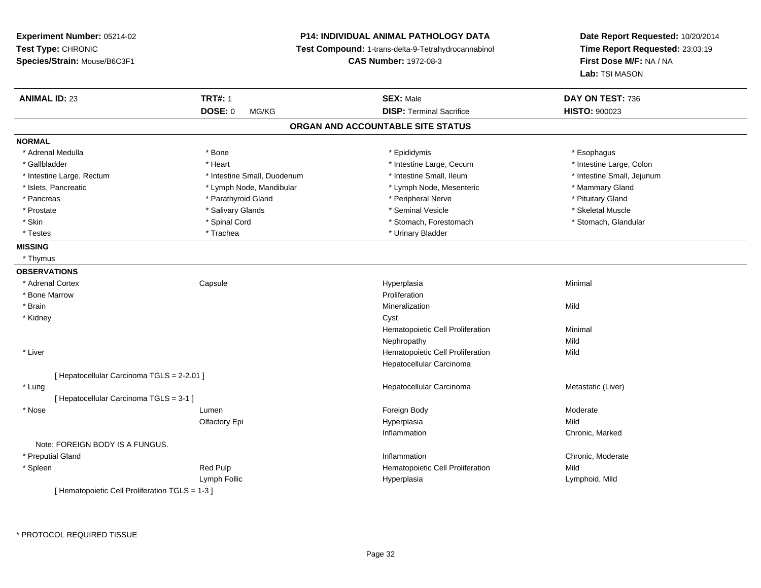# **P14: INDIVIDUAL ANIMAL PATHOLOGY DATA**

**Test Compound:** 1-trans-delta-9-Tetrahydrocannabinol

**CAS Number:** 1972-08-3

| <b>ANIMAL ID: 23</b>                            | <b>TRT#: 1</b>              | <b>SEX: Male</b>                  | DAY ON TEST: 736           |
|-------------------------------------------------|-----------------------------|-----------------------------------|----------------------------|
|                                                 | <b>DOSE: 0</b><br>MG/KG     | <b>DISP: Terminal Sacrifice</b>   | <b>HISTO: 900023</b>       |
|                                                 |                             | ORGAN AND ACCOUNTABLE SITE STATUS |                            |
| <b>NORMAL</b>                                   |                             |                                   |                            |
| * Adrenal Medulla                               | * Bone                      | * Epididymis                      | * Esophagus                |
| * Gallbladder                                   | * Heart                     | * Intestine Large, Cecum          | * Intestine Large, Colon   |
| * Intestine Large, Rectum                       | * Intestine Small, Duodenum | * Intestine Small, Ileum          | * Intestine Small, Jejunum |
| * Islets, Pancreatic                            | * Lymph Node, Mandibular    | * Lymph Node, Mesenteric          | * Mammary Gland            |
| * Pancreas                                      | * Parathyroid Gland         | * Peripheral Nerve                | * Pituitary Gland          |
| * Prostate                                      | * Salivary Glands           | * Seminal Vesicle                 | * Skeletal Muscle          |
| * Skin                                          | * Spinal Cord               | * Stomach, Forestomach            | * Stomach, Glandular       |
| * Testes                                        | * Trachea                   | * Urinary Bladder                 |                            |
| <b>MISSING</b>                                  |                             |                                   |                            |
| * Thymus                                        |                             |                                   |                            |
| <b>OBSERVATIONS</b>                             |                             |                                   |                            |
| * Adrenal Cortex                                | Capsule                     | Hyperplasia                       | Minimal                    |
| * Bone Marrow                                   |                             | Proliferation                     |                            |
| * Brain                                         |                             | Mineralization                    | Mild                       |
| * Kidney                                        |                             | Cyst                              |                            |
|                                                 |                             | Hematopoietic Cell Proliferation  | Minimal                    |
|                                                 |                             | Nephropathy                       | Mild                       |
| * Liver                                         |                             | Hematopoietic Cell Proliferation  | Mild                       |
|                                                 |                             | Hepatocellular Carcinoma          |                            |
| [ Hepatocellular Carcinoma TGLS = 2-2.01 ]      |                             |                                   |                            |
| * Lung                                          |                             | Hepatocellular Carcinoma          | Metastatic (Liver)         |
| [ Hepatocellular Carcinoma TGLS = 3-1 ]         |                             |                                   |                            |
| * Nose                                          | Lumen                       | Foreign Body                      | Moderate                   |
|                                                 | Olfactory Epi               | Hyperplasia                       | Mild                       |
|                                                 |                             | Inflammation                      | Chronic, Marked            |
| Note: FOREIGN BODY IS A FUNGUS.                 |                             |                                   |                            |
| * Preputial Gland                               |                             | Inflammation                      | Chronic, Moderate          |
| * Spleen                                        | Red Pulp                    | Hematopoietic Cell Proliferation  | Mild                       |
|                                                 | Lymph Follic                | Hyperplasia                       | Lymphoid, Mild             |
| [ Hematopoietic Cell Proliferation TGLS = 1-3 ] |                             |                                   |                            |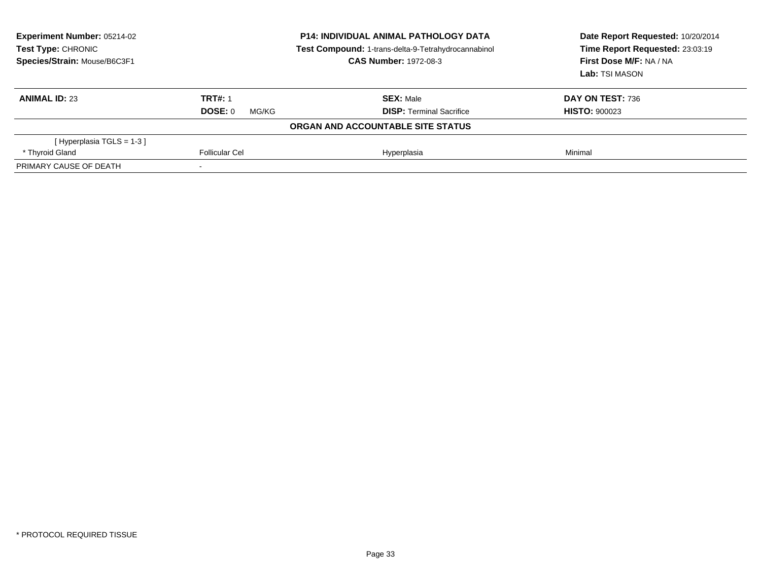| <b>Experiment Number: 05214-02</b><br>Test Type: CHRONIC<br>Species/Strain: Mouse/B6C3F1 | <b>P14: INDIVIDUAL ANIMAL PATHOLOGY DATA</b><br>Test Compound: 1-trans-delta-9-Tetrahydrocannabinol<br><b>CAS Number: 1972-08-3</b> |                                   | Date Report Requested: 10/20/2014<br>Time Report Requested: 23:03:19<br>First Dose M/F: NA / NA<br>Lab: TSI MASON |  |
|------------------------------------------------------------------------------------------|-------------------------------------------------------------------------------------------------------------------------------------|-----------------------------------|-------------------------------------------------------------------------------------------------------------------|--|
| <b>ANIMAL ID: 23</b>                                                                     | <b>TRT#: 1</b>                                                                                                                      | <b>SEX: Male</b>                  | DAY ON TEST: 736                                                                                                  |  |
|                                                                                          | DOSE: 0<br>MG/KG                                                                                                                    | <b>DISP: Terminal Sacrifice</b>   | <b>HISTO: 900023</b>                                                                                              |  |
|                                                                                          |                                                                                                                                     | ORGAN AND ACCOUNTABLE SITE STATUS |                                                                                                                   |  |
| [Hyperplasia TGLS = $1-3$ ]                                                              |                                                                                                                                     |                                   |                                                                                                                   |  |
| * Thyroid Gland                                                                          | Follicular Cel                                                                                                                      | Hyperplasia                       | Minimal                                                                                                           |  |
| PRIMARY CAUSE OF DEATH                                                                   |                                                                                                                                     |                                   |                                                                                                                   |  |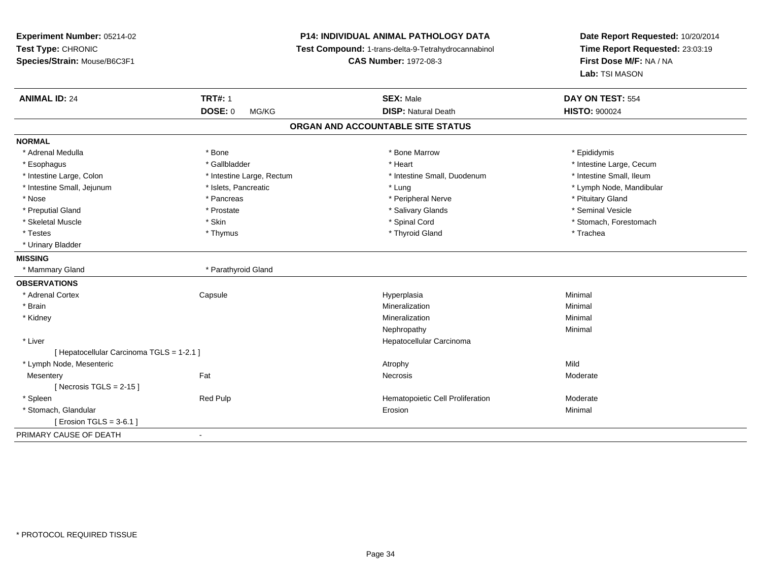# **P14: INDIVIDUAL ANIMAL PATHOLOGY DATA**

**Test Compound:** 1-trans-delta-9-Tetrahydrocannabinol

**CAS Number:** 1972-08-3

| <b>ANIMAL ID: 24</b>                      | <b>TRT#: 1</b>            | <b>SEX: Male</b>                  | DAY ON TEST: 554         |
|-------------------------------------------|---------------------------|-----------------------------------|--------------------------|
|                                           | <b>DOSE: 0</b><br>MG/KG   | <b>DISP: Natural Death</b>        | <b>HISTO: 900024</b>     |
|                                           |                           | ORGAN AND ACCOUNTABLE SITE STATUS |                          |
| <b>NORMAL</b>                             |                           |                                   |                          |
| * Adrenal Medulla                         | * Bone                    | * Bone Marrow                     | * Epididymis             |
| * Esophagus                               | * Gallbladder             | * Heart                           | * Intestine Large, Cecum |
| * Intestine Large, Colon                  | * Intestine Large, Rectum | * Intestine Small, Duodenum       | * Intestine Small, Ileum |
| * Intestine Small, Jejunum                | * Islets, Pancreatic      | * Lung                            | * Lymph Node, Mandibular |
| * Nose                                    | * Pancreas                | * Peripheral Nerve                | * Pituitary Gland        |
| * Preputial Gland                         | * Prostate                | * Salivary Glands                 | * Seminal Vesicle        |
| * Skeletal Muscle                         | * Skin                    | * Spinal Cord                     | * Stomach, Forestomach   |
| * Testes                                  | * Thymus                  | * Thyroid Gland                   | * Trachea                |
| * Urinary Bladder                         |                           |                                   |                          |
| <b>MISSING</b>                            |                           |                                   |                          |
| * Mammary Gland                           | * Parathyroid Gland       |                                   |                          |
| <b>OBSERVATIONS</b>                       |                           |                                   |                          |
| * Adrenal Cortex                          | Capsule                   | Hyperplasia                       | Minimal                  |
| * Brain                                   |                           | Mineralization                    | Minimal                  |
| * Kidney                                  |                           | Mineralization                    | Minimal                  |
|                                           |                           | Nephropathy                       | Minimal                  |
| * Liver                                   |                           | Hepatocellular Carcinoma          |                          |
| [ Hepatocellular Carcinoma TGLS = 1-2.1 ] |                           |                                   |                          |
| * Lymph Node, Mesenteric                  |                           | Atrophy                           | Mild                     |
| Mesentery                                 | Fat                       | <b>Necrosis</b>                   | Moderate                 |
| [Necrosis TGLS = $2-15$ ]                 |                           |                                   |                          |
| * Spleen                                  | Red Pulp                  | Hematopoietic Cell Proliferation  | Moderate                 |
| * Stomach, Glandular                      |                           | Erosion                           | Minimal                  |
| [ Erosion TGLS = $3-6.1$ ]                |                           |                                   |                          |
| PRIMARY CAUSE OF DEATH                    | $\blacksquare$            |                                   |                          |
|                                           |                           |                                   |                          |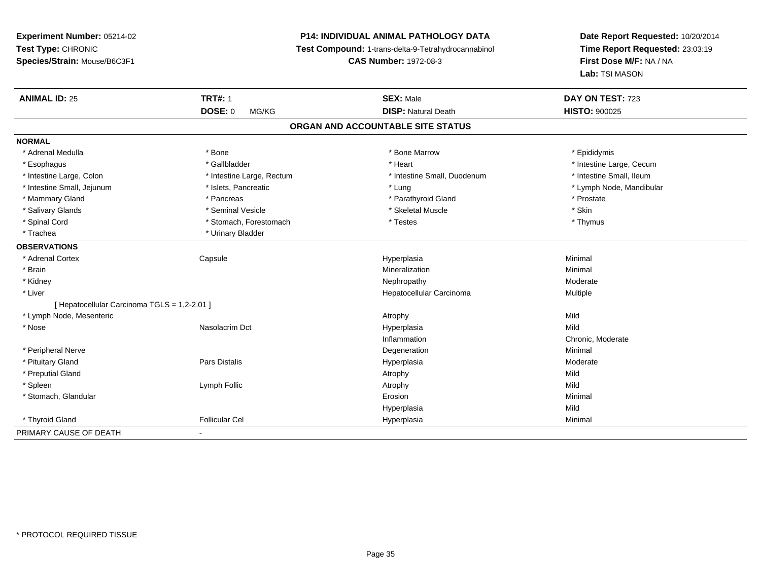# **P14: INDIVIDUAL ANIMAL PATHOLOGY DATA**

**Test Compound:** 1-trans-delta-9-Tetrahydrocannabinol

**CAS Number:** 1972-08-3

| <b>ANIMAL ID: 25</b>                         | <b>TRT#: 1</b>            | <b>SEX: Male</b>                  | DAY ON TEST: 723         |
|----------------------------------------------|---------------------------|-----------------------------------|--------------------------|
|                                              | <b>DOSE: 0</b><br>MG/KG   | <b>DISP: Natural Death</b>        | <b>HISTO: 900025</b>     |
|                                              |                           | ORGAN AND ACCOUNTABLE SITE STATUS |                          |
| <b>NORMAL</b>                                |                           |                                   |                          |
| * Adrenal Medulla                            | * Bone                    | * Bone Marrow                     | * Epididymis             |
| * Esophagus                                  | * Gallbladder             | * Heart                           | * Intestine Large, Cecum |
| * Intestine Large, Colon                     | * Intestine Large, Rectum | * Intestine Small, Duodenum       | * Intestine Small, Ileum |
| * Intestine Small, Jejunum                   | * Islets, Pancreatic      | * Lung                            | * Lymph Node, Mandibular |
| * Mammary Gland                              | * Pancreas                | * Parathyroid Gland               | * Prostate               |
| * Salivary Glands                            | * Seminal Vesicle         | * Skeletal Muscle                 | * Skin                   |
| * Spinal Cord                                | * Stomach, Forestomach    | * Testes                          | * Thymus                 |
| * Trachea                                    | * Urinary Bladder         |                                   |                          |
| <b>OBSERVATIONS</b>                          |                           |                                   |                          |
| * Adrenal Cortex                             | Capsule                   | Hyperplasia                       | Minimal                  |
| * Brain                                      |                           | Mineralization                    | Minimal                  |
| * Kidney                                     |                           | Nephropathy                       | Moderate                 |
| * Liver                                      |                           | Hepatocellular Carcinoma          | Multiple                 |
| [ Hepatocellular Carcinoma TGLS = 1,2-2.01 ] |                           |                                   |                          |
| * Lymph Node, Mesenteric                     |                           | Atrophy                           | Mild                     |
| * Nose                                       | Nasolacrim Dct            | Hyperplasia                       | Mild                     |
|                                              |                           | Inflammation                      | Chronic, Moderate        |
| * Peripheral Nerve                           |                           | Degeneration                      | Minimal                  |
| * Pituitary Gland                            | Pars Distalis             | Hyperplasia                       | Moderate                 |
| * Preputial Gland                            |                           | Atrophy                           | Mild                     |
| * Spleen                                     | Lymph Follic              | Atrophy                           | Mild                     |
| * Stomach, Glandular                         |                           | Erosion                           | Minimal                  |
|                                              |                           | Hyperplasia                       | Mild                     |
| * Thyroid Gland                              | <b>Follicular Cel</b>     | Hyperplasia                       | Minimal                  |
| PRIMARY CAUSE OF DEATH                       | $\blacksquare$            |                                   |                          |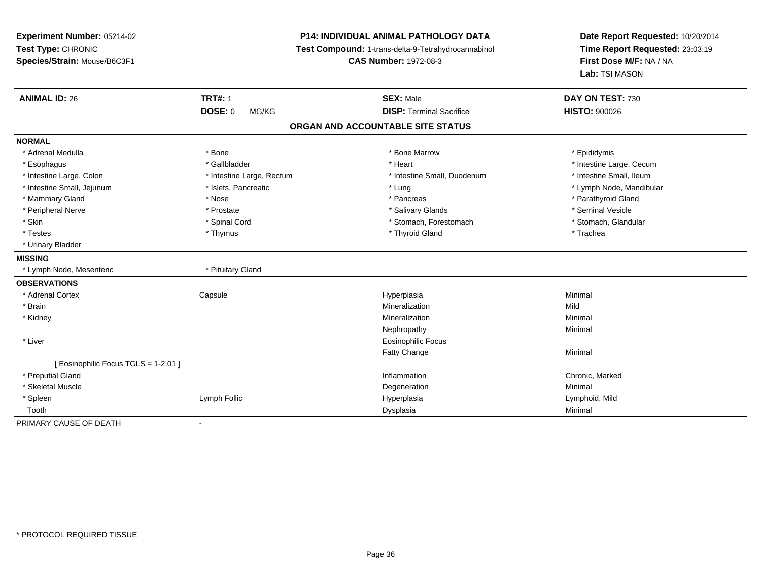**Experiment Number:** 05214-02**Test Type:** CHRONIC **Species/Strain:** Mouse/B6C3F1**P14: INDIVIDUAL ANIMAL PATHOLOGY DATA Test Compound:** 1-trans-delta-9-Tetrahydrocannabinol **CAS Number:** 1972-08-3**Date Report Requested:** 10/20/2014**Time Report Requested:** 23:03:19**First Dose M/F:** NA / NA**Lab:** TSI MASON**ANIMAL ID:** 26**TRT#:** 1 **SEX:** Male **DAY ON TEST:** 730 **DOSE:** 0 MG/KG**DISP:** Terminal Sacrifice **HISTO:**  $900026$ **ORGAN AND ACCOUNTABLE SITE STATUSNORMAL**\* Adrenal Medulla \* Adrenal Medulla \* \* The matter of the state of the state of the Marrow \* Bone Marrow \* Adrenal Medulla \* Epididymis \* Epididymis \* Bone Marrow \* Adrenal Medulla \* Epididymis \* Epididymis \* Epididymis \* Epididymis \* Epidi \* Esophagus \* https://www.fragustage.com/web/2019/heart \* Heart \* Heart \* Heart \* Intestine Large, Cecum \* Intestine Large, Cecum \* Gallbladder \* Callbladder \* 11 and 12 and 12 and 12 and 12 and 12 and 12 and 12 and 12 and \* Intestine Small, Ileum \* Intestine Large, Colon \* Intestine Large, Rectum \* Intestine Small, Duodenum \* Intestine Small, Duodenum \* Intestine Small, Jejunum \* \* \* https://www.fat.com/setter/educition/setter/filesophysics.com/setter/filesophysics.com/setter/filesophysics.com/setter/filesophysics.com/setter/filesophysics.com/setter/filesophysics.com/se \* Mammary Gland \* \* Nose \* \* Nose \* \* Pancreas \* Pancreas \* \* Pancreas \* \* Pancreas \* \* Pancreas \* \* Parathyroid Gland \* Peripheral Nerve \* \* Annual Vesicle \* \* Prostate \* \* Salivary Glands \* \* Salivary Glands \* \* Seminal Vesicle \* Stomach. Glandular \* Skin \* Spinal Cord \* Spinal Cord \* Stomach, Forestomach \* Stomach, Forestomach \* Testes \* Thymus \* Thyroid Gland \* Trachea \* Urinary Bladder**MISSING**\* Lymph Node, Mesenteric \* The manuscription \* Pituitary Gland **OBSERVATIONS** \* Adrenal Cortex Capsule Hyperplasia Minimal \* Brainn and the control of the control of the control of the control of the control of the control of the control of the control of the control of the control of the control of the control of the control of the control of the co \* Kidneyy the control of the control of the control of the control of the control of the control of the control of the control of the control of the control of the control of the control of the control of the control of the contro n Minimal Nephropathyy the contract of the Minimal Minimal Section 1996 and the contract of the Minimal Section 1997 and the contract of the contract of the contract of the contract of the contract of the contract of the contract of the contra \* Liver Eosinophilic FocusFatty Changee Minimal [ Eosinophilic Focus TGLS = 1-2.01 ] \* Preputial Glandd
stated
online and the control of the control of the control of the control of the control of the control of the control of the control of the control of the control of the control of the control of the control of the con \* Skeletal Musclee de la controllata de la controllata de la controllata de la controllata de la controllata de la controllata d<br>Degeneration \* Spleen Lymph Follic Hyperplasia Lymphoid, Mild Toothh ann an Chomas ann an t-ainmeile ann an t-ainmeile ann an Dysplasia. Tha an t-ainmeile ann an Dysplasia ann an Dysplasia ann an t-ainmeile an an t-ainmeile ann an t-ainmeile an an t-ainmeile ann an t-ainmeile ann an t-ain PRIMARY CAUSE OF DEATH-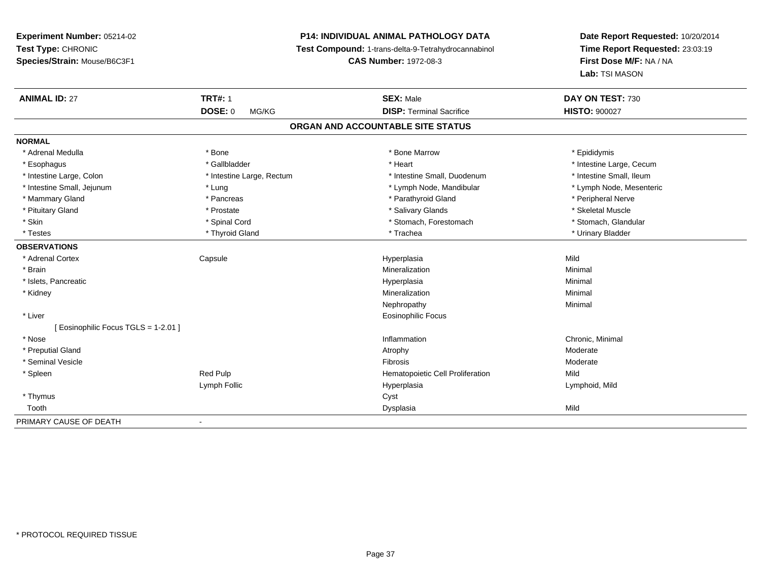# **P14: INDIVIDUAL ANIMAL PATHOLOGY DATA**

**Test Compound:** 1-trans-delta-9-Tetrahydrocannabinol

**CAS Number:** 1972-08-3

| <b>ANIMAL ID: 27</b>                 | <b>TRT#: 1</b>            | <b>SEX: Male</b>                  | DAY ON TEST: 730         |
|--------------------------------------|---------------------------|-----------------------------------|--------------------------|
|                                      | <b>DOSE: 0</b><br>MG/KG   | <b>DISP: Terminal Sacrifice</b>   | <b>HISTO: 900027</b>     |
|                                      |                           | ORGAN AND ACCOUNTABLE SITE STATUS |                          |
| <b>NORMAL</b>                        |                           |                                   |                          |
| * Adrenal Medulla                    | * Bone                    | * Bone Marrow                     | * Epididymis             |
| * Esophagus                          | * Gallbladder             | * Heart                           | * Intestine Large, Cecum |
| * Intestine Large, Colon             | * Intestine Large, Rectum | * Intestine Small, Duodenum       | * Intestine Small, Ileum |
| * Intestine Small, Jejunum           | * Lung                    | * Lymph Node, Mandibular          | * Lymph Node, Mesenteric |
| * Mammary Gland                      | * Pancreas                | * Parathyroid Gland               | * Peripheral Nerve       |
| * Pituitary Gland                    | * Prostate                | * Salivary Glands                 | * Skeletal Muscle        |
| * Skin                               | * Spinal Cord             | * Stomach, Forestomach            | * Stomach, Glandular     |
| * Testes                             | * Thyroid Gland           | * Trachea                         | * Urinary Bladder        |
| <b>OBSERVATIONS</b>                  |                           |                                   |                          |
| * Adrenal Cortex                     | Capsule                   | Hyperplasia                       | Mild                     |
| * Brain                              |                           | Mineralization                    | Minimal                  |
| * Islets, Pancreatic                 |                           | Hyperplasia                       | Minimal                  |
| * Kidney                             |                           | Mineralization                    | Minimal                  |
|                                      |                           | Nephropathy                       | Minimal                  |
| * Liver                              |                           | <b>Eosinophilic Focus</b>         |                          |
| [ Eosinophilic Focus TGLS = 1-2.01 ] |                           |                                   |                          |
| * Nose                               |                           | Inflammation                      | Chronic, Minimal         |
| * Preputial Gland                    |                           | Atrophy                           | Moderate                 |
| * Seminal Vesicle                    |                           | Fibrosis                          | Moderate                 |
| * Spleen                             | Red Pulp                  | Hematopoietic Cell Proliferation  | Mild                     |
|                                      | Lymph Follic              | Hyperplasia                       | Lymphoid, Mild           |
| * Thymus                             |                           | Cyst                              |                          |
| Tooth                                |                           | Dysplasia                         | Mild                     |
| PRIMARY CAUSE OF DEATH               | $\blacksquare$            |                                   |                          |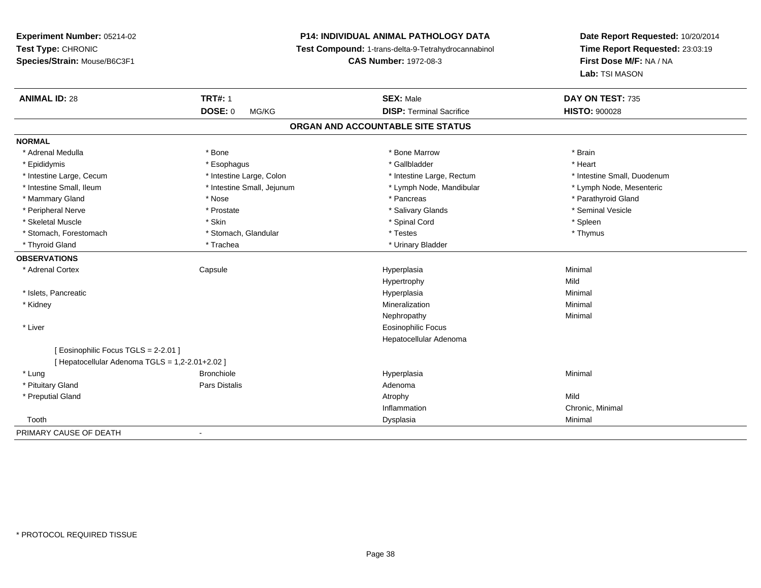# **P14: INDIVIDUAL ANIMAL PATHOLOGY DATA**

**Test Compound:** 1-trans-delta-9-Tetrahydrocannabinol

**CAS Number:** 1972-08-3

| <b>ANIMAL ID: 28</b>                            | <b>TRT#: 1</b>             | <b>SEX: Male</b>                  | DAY ON TEST: 735            |
|-------------------------------------------------|----------------------------|-----------------------------------|-----------------------------|
|                                                 | <b>DOSE: 0</b><br>MG/KG    | <b>DISP: Terminal Sacrifice</b>   | <b>HISTO: 900028</b>        |
|                                                 |                            | ORGAN AND ACCOUNTABLE SITE STATUS |                             |
| <b>NORMAL</b>                                   |                            |                                   |                             |
| * Adrenal Medulla                               | * Bone                     | * Bone Marrow                     | * Brain                     |
| * Epididymis                                    | * Esophagus                | * Gallbladder                     | * Heart                     |
| * Intestine Large, Cecum                        | * Intestine Large, Colon   | * Intestine Large, Rectum         | * Intestine Small, Duodenum |
| * Intestine Small, Ileum                        | * Intestine Small, Jejunum | * Lymph Node, Mandibular          | * Lymph Node, Mesenteric    |
| * Mammary Gland                                 | * Nose                     | * Pancreas                        | * Parathyroid Gland         |
| * Peripheral Nerve                              | * Prostate                 | * Salivary Glands                 | * Seminal Vesicle           |
| * Skeletal Muscle                               | * Skin                     | * Spinal Cord                     | * Spleen                    |
| * Stomach, Forestomach                          | * Stomach, Glandular       | * Testes                          | * Thymus                    |
| * Thyroid Gland                                 | * Trachea                  | * Urinary Bladder                 |                             |
| <b>OBSERVATIONS</b>                             |                            |                                   |                             |
| * Adrenal Cortex                                | Capsule                    | Hyperplasia                       | Minimal                     |
|                                                 |                            | Hypertrophy                       | Mild                        |
| * Islets, Pancreatic                            |                            | Hyperplasia                       | Minimal                     |
| * Kidney                                        |                            | Mineralization                    | Minimal                     |
|                                                 |                            | Nephropathy                       | Minimal                     |
| * Liver                                         |                            | <b>Eosinophilic Focus</b>         |                             |
|                                                 |                            | Hepatocellular Adenoma            |                             |
| [Eosinophilic Focus TGLS = 2-2.01]              |                            |                                   |                             |
| [ Hepatocellular Adenoma TGLS = 1,2-2.01+2.02 ] |                            |                                   |                             |
| * Lung                                          | <b>Bronchiole</b>          | Hyperplasia                       | Minimal                     |
| * Pituitary Gland                               | Pars Distalis              | Adenoma                           |                             |
| * Preputial Gland                               |                            | Atrophy                           | Mild                        |
|                                                 |                            | Inflammation                      | Chronic, Minimal            |
| Tooth                                           |                            | Dysplasia                         | Minimal                     |
| PRIMARY CAUSE OF DEATH                          | $\blacksquare$             |                                   |                             |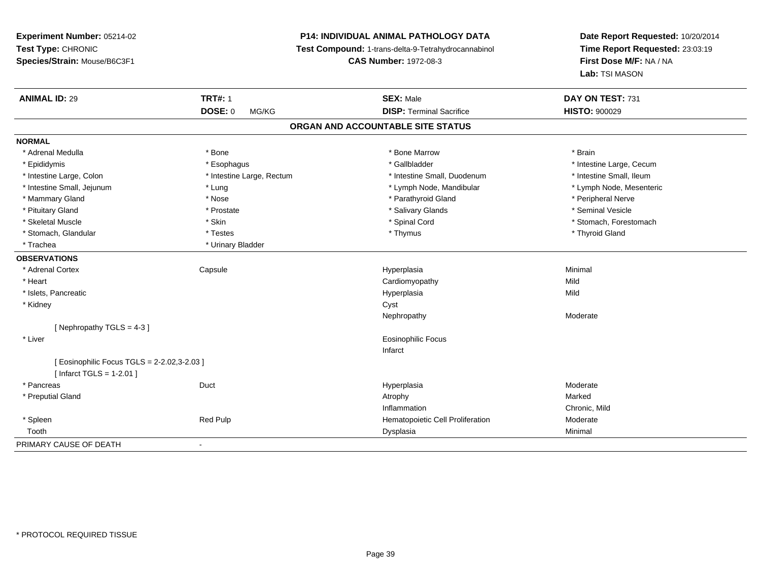# **P14: INDIVIDUAL ANIMAL PATHOLOGY DATA**

**Test Compound:** 1-trans-delta-9-Tetrahydrocannabinol

**CAS Number:** 1972-08-3

| <b>ANIMAL ID: 29</b>                       | <b>TRT#: 1</b>            | <b>SEX: Male</b>                  | DAY ON TEST: 731         |
|--------------------------------------------|---------------------------|-----------------------------------|--------------------------|
|                                            | <b>DOSE: 0</b><br>MG/KG   | <b>DISP: Terminal Sacrifice</b>   | <b>HISTO: 900029</b>     |
|                                            |                           | ORGAN AND ACCOUNTABLE SITE STATUS |                          |
| <b>NORMAL</b>                              |                           |                                   |                          |
| * Adrenal Medulla                          | * Bone                    | * Bone Marrow                     | * Brain                  |
| * Epididymis                               | * Esophagus               | * Gallbladder                     | * Intestine Large, Cecum |
| * Intestine Large, Colon                   | * Intestine Large, Rectum | * Intestine Small, Duodenum       | * Intestine Small, Ileum |
| * Intestine Small, Jejunum                 | * Lung                    | * Lymph Node, Mandibular          | * Lymph Node, Mesenteric |
| * Mammary Gland                            | * Nose                    | * Parathyroid Gland               | * Peripheral Nerve       |
| * Pituitary Gland                          | * Prostate                | * Salivary Glands                 | * Seminal Vesicle        |
| * Skeletal Muscle                          | * Skin                    | * Spinal Cord                     | * Stomach, Forestomach   |
| * Stomach, Glandular                       | * Testes                  | * Thymus                          | * Thyroid Gland          |
| * Trachea                                  | * Urinary Bladder         |                                   |                          |
| <b>OBSERVATIONS</b>                        |                           |                                   |                          |
| * Adrenal Cortex                           | Capsule                   | Hyperplasia                       | Minimal                  |
| * Heart                                    |                           | Cardiomyopathy                    | Mild                     |
| * Islets, Pancreatic                       |                           | Hyperplasia                       | Mild                     |
| * Kidney                                   |                           | Cyst                              |                          |
|                                            |                           | Nephropathy                       | Moderate                 |
| [Nephropathy TGLS = 4-3]                   |                           |                                   |                          |
| * Liver                                    |                           | <b>Eosinophilic Focus</b>         |                          |
|                                            |                           | Infarct                           |                          |
| [Eosinophilic Focus TGLS = 2-2.02,3-2.03 ] |                           |                                   |                          |
| [Infarct TGLS = $1-2.01$ ]                 |                           |                                   |                          |
| * Pancreas                                 | Duct                      | Hyperplasia                       | Moderate                 |
| * Preputial Gland                          |                           | Atrophy                           | Marked                   |
|                                            |                           | Inflammation                      | Chronic, Mild            |
| * Spleen                                   | Red Pulp                  | Hematopoietic Cell Proliferation  | Moderate                 |
| Tooth                                      |                           | Dysplasia                         | Minimal                  |
| PRIMARY CAUSE OF DEATH                     | $\blacksquare$            |                                   |                          |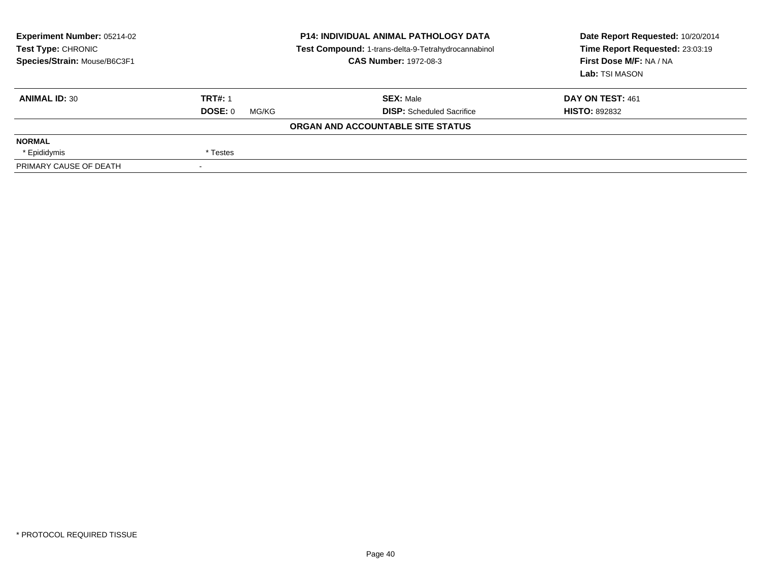| Experiment Number: 05214-02<br><b>Test Type: CHRONIC</b><br>Species/Strain: Mouse/B6C3F1 | <b>P14: INDIVIDUAL ANIMAL PATHOLOGY DATA</b><br>Test Compound: 1-trans-delta-9-Tetrahydrocannabinol<br><b>CAS Number: 1972-08-3</b> |                                   | Date Report Requested: 10/20/2014<br>Time Report Requested: 23:03:19<br>First Dose M/F: NA / NA<br>Lab: TSI MASON |  |
|------------------------------------------------------------------------------------------|-------------------------------------------------------------------------------------------------------------------------------------|-----------------------------------|-------------------------------------------------------------------------------------------------------------------|--|
| <b>ANIMAL ID: 30</b>                                                                     | <b>TRT#: 1</b>                                                                                                                      | <b>SEX:</b> Male                  | DAY ON TEST: 461                                                                                                  |  |
|                                                                                          | DOSE: 0<br>MG/KG                                                                                                                    | <b>DISP:</b> Scheduled Sacrifice  | <b>HISTO: 892832</b>                                                                                              |  |
|                                                                                          |                                                                                                                                     | ORGAN AND ACCOUNTABLE SITE STATUS |                                                                                                                   |  |
| <b>NORMAL</b>                                                                            |                                                                                                                                     |                                   |                                                                                                                   |  |
| * Epididymis                                                                             | * Testes                                                                                                                            |                                   |                                                                                                                   |  |
| PRIMARY CAUSE OF DEATH                                                                   |                                                                                                                                     |                                   |                                                                                                                   |  |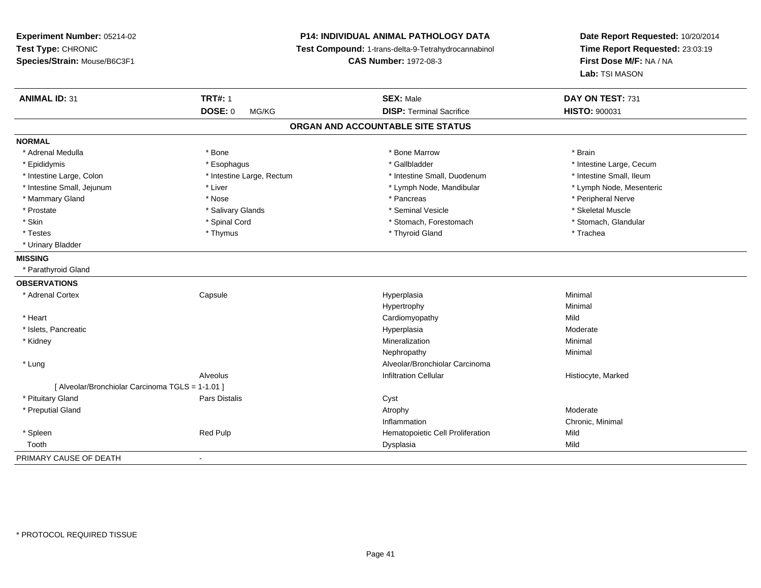**Experiment Number:** 05214-02**Test Type:** CHRONIC **Species/Strain:** Mouse/B6C3F1**P14: INDIVIDUAL ANIMAL PATHOLOGY DATA Test Compound:** 1-trans-delta-9-Tetrahydrocannabinol **CAS Number:** 1972-08-3**Date Report Requested:** 10/20/2014**Time Report Requested:** 23:03:19**First Dose M/F:** NA / NA**Lab:** TSI MASON**ANIMAL ID:** 31**TRT#:** 1 **SEX:** Male **DAY ON TEST:** 731 **DOSE:** 0 MG/KG **DISP:** Terminal Sacrifice **HISTO:** <sup>900031</sup> **ORGAN AND ACCOUNTABLE SITE STATUSNORMAL**\* Adrenal Medulla \* \* Annual Medulla \* Brain \* Bone \* \* Bone Marrow \* Bone Marrow \* \* Brain \* Brain \* Brain \* Brain \* Brain \* Brain \* Brain \* Brain \* Brain \* Brain \* Brain \* Brain \* Brain \* Brain \* Brain \* Brain \* Brain \* \* Epididymis **\* Exophagus \* Execument \* Execument \* Gallbladder** \* Gallbladder \* \* Thtestine Large, Cecum \* Intestine Small, Ileum \* Intestine Large, Colon \* Intestine Large, Rectum \* Intestine Small, Duodenum \* Intestine Small, Duodenum \* Lymph Node, Mesenteric \* Intestine Small, Jejunum \* Liver \* Liver \* Liver \* Lymph Node, Mandibular \* Lymph Node, Mandibular \* Mammary Gland \* \* Annume \* Nose \* \* Nose \* \* Pancreas \* Peripheral Nerve \* Peripheral Nerve \* Peripheral Nerve \* \* Peripheral Nerve \* \* Peripheral Nerve \* \* Peripheral Nerve \* \* Peripheral Nerve \* \* Peripheral Nerve \* \* \* Skeletal Muscle \* Prostate \* \* Skeletal Muscle \* \* Salivary Glands \* \* Steminal Vesicle \* \* Seminal Vesicle \* \* Skeletal Muscle \* Stomach. Glandular \* Skin \* Spinal Cord \* Spinal Cord \* Stomach, Forestomach \* Stomach, Forestomach \* Testes \* Thymus \* Thyroid Gland \* Trachea \* Urinary Bladder**MISSING** \* Parathyroid Gland**OBSERVATIONS** \* Adrenal Cortex Capsule Hyperplasia Minimal Hypertrophyy the contract of the Minimal Minimal Section 1996 and the Minimal Section 1997 and the Minimal Section 1997 and the  $\sim$  \* Heart Cardiomyopathyy Mild a Moderate \* Islets, Pancreaticc and the contract of the contract of the contract of the contract of the contract of the contract of the contract of the contract of the contract of the contract of the contract of the contract of the contract of the cont \* Kidneyy the control of the control of the control of the control of the control of the control of the control of the control of the control of the control of the control of the control of the control of the control of the contro n Minimal Nephropathyy the contract of the Minimal Minimal Section 1996 and the contract of the Minimal Section 1997 and the contract of the contract of the contract of the contract of the contract of the contract of the contract of the contra \* LungAlveolar/Bronchiolar Carcinoma<br>Infiltration Cellular AlveolusHistiocyte, Marked [ Alveolar/Bronchiolar Carcinoma TGLS = 1-1.01 ] \* Pituitary Glandd Cyst Constants Constants Constants Constants Constants Constants Constants Constants Constants Constants Const \* Preputial Glandd and the control of the control of the control of the control of the control of the control of the control of  $\lambda$ Inflammation Chronic, Minimal \* SpleenRed Pulp **Red Pulp 19 Mild**<br>
Red Pulp 19 Mild<br>
Dysplasia<br>
Dysplasia Toothh ann an Dysplasia ann an Dysplasia ann an Dysplasia ann an Dysplasia ann an Dysplasia ann an Mild PRIMARY CAUSE OF DEATH-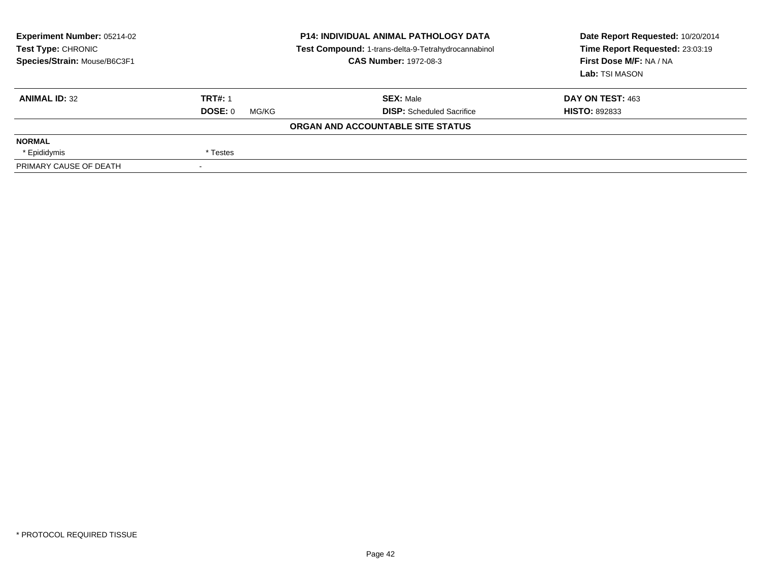| Experiment Number: 05214-02<br><b>Test Type: CHRONIC</b><br>Species/Strain: Mouse/B6C3F1 | <b>P14: INDIVIDUAL ANIMAL PATHOLOGY DATA</b><br>Test Compound: 1-trans-delta-9-Tetrahydrocannabinol<br><b>CAS Number: 1972-08-3</b> |                                   | Date Report Requested: 10/20/2014<br>Time Report Requested: 23:03:19<br>First Dose M/F: NA / NA<br>Lab: TSI MASON |  |
|------------------------------------------------------------------------------------------|-------------------------------------------------------------------------------------------------------------------------------------|-----------------------------------|-------------------------------------------------------------------------------------------------------------------|--|
| <b>ANIMAL ID: 32</b>                                                                     | <b>TRT#: 1</b>                                                                                                                      | <b>SEX:</b> Male                  | DAY ON TEST: 463                                                                                                  |  |
|                                                                                          | DOSE: 0<br>MG/KG                                                                                                                    | <b>DISP:</b> Scheduled Sacrifice  | <b>HISTO: 892833</b>                                                                                              |  |
|                                                                                          |                                                                                                                                     | ORGAN AND ACCOUNTABLE SITE STATUS |                                                                                                                   |  |
| <b>NORMAL</b>                                                                            |                                                                                                                                     |                                   |                                                                                                                   |  |
| * Epididymis                                                                             | * Testes                                                                                                                            |                                   |                                                                                                                   |  |
| PRIMARY CAUSE OF DEATH                                                                   |                                                                                                                                     |                                   |                                                                                                                   |  |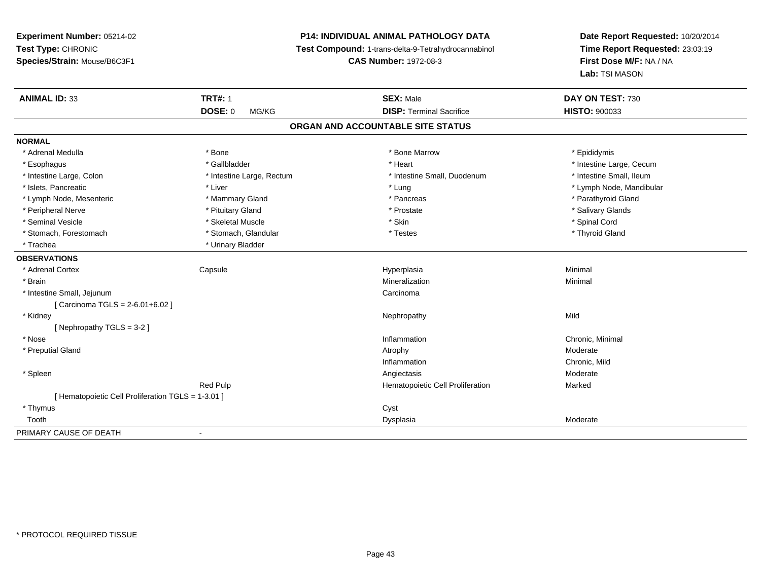# **P14: INDIVIDUAL ANIMAL PATHOLOGY DATA**

**Test Compound:** 1-trans-delta-9-Tetrahydrocannabinol

**CAS Number:** 1972-08-3

| <b>ANIMAL ID: 33</b>                               | <b>TRT#: 1</b>            | <b>SEX: Male</b>                  | DAY ON TEST: 730         |
|----------------------------------------------------|---------------------------|-----------------------------------|--------------------------|
|                                                    | <b>DOSE: 0</b><br>MG/KG   | <b>DISP: Terminal Sacrifice</b>   | <b>HISTO: 900033</b>     |
|                                                    |                           | ORGAN AND ACCOUNTABLE SITE STATUS |                          |
| <b>NORMAL</b>                                      |                           |                                   |                          |
| * Adrenal Medulla                                  | * Bone                    | * Bone Marrow                     | * Epididymis             |
| * Esophagus                                        | * Gallbladder             | * Heart                           | * Intestine Large, Cecum |
| * Intestine Large, Colon                           | * Intestine Large, Rectum | * Intestine Small, Duodenum       | * Intestine Small, Ileum |
| * Islets, Pancreatic                               | * Liver                   | * Lung                            | * Lymph Node, Mandibular |
| * Lymph Node, Mesenteric                           | * Mammary Gland           | * Pancreas                        | * Parathyroid Gland      |
| * Peripheral Nerve                                 | * Pituitary Gland         | * Prostate                        | * Salivary Glands        |
| * Seminal Vesicle                                  | * Skeletal Muscle         | * Skin                            | * Spinal Cord            |
| * Stomach, Forestomach                             | * Stomach, Glandular      | * Testes                          | * Thyroid Gland          |
| * Trachea                                          | * Urinary Bladder         |                                   |                          |
| <b>OBSERVATIONS</b>                                |                           |                                   |                          |
| * Adrenal Cortex                                   | Capsule                   | Hyperplasia                       | Minimal                  |
| * Brain                                            |                           | Mineralization                    | Minimal                  |
| * Intestine Small, Jejunum                         |                           | Carcinoma                         |                          |
| [ Carcinoma TGLS = 2-6.01+6.02 ]                   |                           |                                   |                          |
| * Kidney                                           |                           | Nephropathy                       | Mild                     |
| [Nephropathy TGLS = 3-2]                           |                           |                                   |                          |
| * Nose                                             |                           | Inflammation                      | Chronic, Minimal         |
| * Preputial Gland                                  |                           | Atrophy                           | Moderate                 |
|                                                    |                           | Inflammation                      | Chronic, Mild            |
| * Spleen                                           |                           | Angiectasis                       | Moderate                 |
|                                                    | <b>Red Pulp</b>           | Hematopoietic Cell Proliferation  | Marked                   |
| [ Hematopoietic Cell Proliferation TGLS = 1-3.01 ] |                           |                                   |                          |
| * Thymus                                           |                           | Cyst                              |                          |
| Tooth                                              |                           | Dysplasia                         | Moderate                 |
| PRIMARY CAUSE OF DEATH                             | $\blacksquare$            |                                   |                          |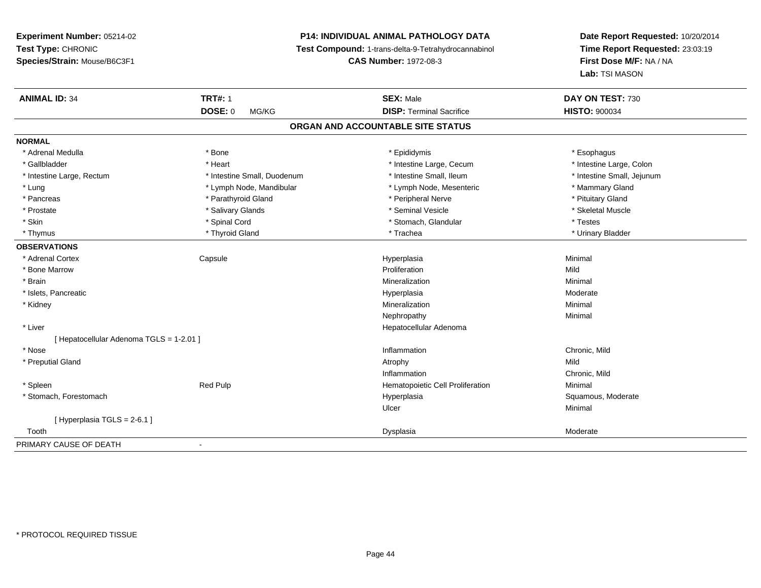# **P14: INDIVIDUAL ANIMAL PATHOLOGY DATA**

**Test Compound:** 1-trans-delta-9-Tetrahydrocannabinol

**CAS Number:** 1972-08-3

| <b>ANIMAL ID: 34</b>                     | <b>TRT#: 1</b>              | <b>SEX: Male</b>                  | DAY ON TEST: 730           |
|------------------------------------------|-----------------------------|-----------------------------------|----------------------------|
|                                          | <b>DOSE: 0</b><br>MG/KG     | <b>DISP: Terminal Sacrifice</b>   | <b>HISTO: 900034</b>       |
|                                          |                             | ORGAN AND ACCOUNTABLE SITE STATUS |                            |
| <b>NORMAL</b>                            |                             |                                   |                            |
| * Adrenal Medulla                        | * Bone                      | * Epididymis                      | * Esophagus                |
| * Gallbladder                            | * Heart                     | * Intestine Large, Cecum          | * Intestine Large, Colon   |
| * Intestine Large, Rectum                | * Intestine Small, Duodenum | * Intestine Small, Ileum          | * Intestine Small, Jejunum |
| * Lung                                   | * Lymph Node, Mandibular    | * Lymph Node, Mesenteric          | * Mammary Gland            |
| * Pancreas                               | * Parathyroid Gland         | * Peripheral Nerve                | * Pituitary Gland          |
| * Prostate                               | * Salivary Glands           | * Seminal Vesicle                 | * Skeletal Muscle          |
| * Skin                                   | * Spinal Cord               | * Stomach, Glandular              | * Testes                   |
| * Thymus                                 | * Thyroid Gland             | * Trachea                         | * Urinary Bladder          |
| <b>OBSERVATIONS</b>                      |                             |                                   |                            |
| * Adrenal Cortex                         | Capsule                     | Hyperplasia                       | Minimal                    |
| * Bone Marrow                            |                             | Proliferation                     | Mild                       |
| * Brain                                  |                             | Mineralization                    | Minimal                    |
| * Islets, Pancreatic                     |                             | Hyperplasia                       | Moderate                   |
| * Kidney                                 |                             | Mineralization                    | Minimal                    |
|                                          |                             | Nephropathy                       | Minimal                    |
| * Liver                                  |                             | Hepatocellular Adenoma            |                            |
| [ Hepatocellular Adenoma TGLS = 1-2.01 ] |                             |                                   |                            |
| * Nose                                   |                             | Inflammation                      | Chronic, Mild              |
| * Preputial Gland                        |                             | Atrophy                           | Mild                       |
|                                          |                             | Inflammation                      | Chronic, Mild              |
| * Spleen                                 | Red Pulp                    | Hematopoietic Cell Proliferation  | Minimal                    |
| * Stomach, Forestomach                   |                             | Hyperplasia                       | Squamous, Moderate         |
|                                          |                             | Ulcer                             | Minimal                    |
| [Hyperplasia TGLS = $2-6.1$ ]            |                             |                                   |                            |
| Tooth                                    |                             | Dysplasia                         | Moderate                   |
| PRIMARY CAUSE OF DEATH                   |                             |                                   |                            |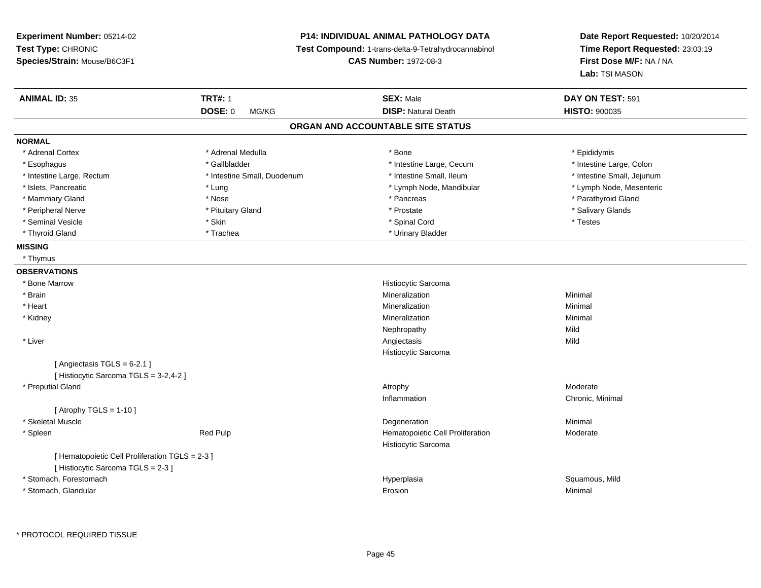# **P14: INDIVIDUAL ANIMAL PATHOLOGY DATA**

**Test Compound:** 1-trans-delta-9-Tetrahydrocannabinol

**CAS Number:** 1972-08-3

| <b>ANIMAL ID: 35</b>                                                                | <b>TRT#: 1</b>              | <b>SEX: Male</b>                  | DAY ON TEST: 591           |
|-------------------------------------------------------------------------------------|-----------------------------|-----------------------------------|----------------------------|
|                                                                                     | <b>DOSE: 0</b><br>MG/KG     | <b>DISP: Natural Death</b>        | HISTO: 900035              |
|                                                                                     |                             | ORGAN AND ACCOUNTABLE SITE STATUS |                            |
| <b>NORMAL</b>                                                                       |                             |                                   |                            |
| * Adrenal Cortex                                                                    | * Adrenal Medulla           | * Bone                            | * Epididymis               |
| * Esophagus                                                                         | * Gallbladder               | * Intestine Large, Cecum          | * Intestine Large, Colon   |
| * Intestine Large, Rectum                                                           | * Intestine Small, Duodenum | * Intestine Small, Ileum          | * Intestine Small, Jejunum |
| * Islets, Pancreatic                                                                | * Lung                      | * Lymph Node, Mandibular          | * Lymph Node, Mesenteric   |
| * Mammary Gland                                                                     | * Nose                      | * Pancreas                        | * Parathyroid Gland        |
| * Peripheral Nerve                                                                  | * Pituitary Gland           | * Prostate                        | * Salivary Glands          |
| * Seminal Vesicle                                                                   | * Skin                      | * Spinal Cord                     | * Testes                   |
| * Thyroid Gland                                                                     | * Trachea                   | * Urinary Bladder                 |                            |
| <b>MISSING</b>                                                                      |                             |                                   |                            |
| * Thymus                                                                            |                             |                                   |                            |
| <b>OBSERVATIONS</b>                                                                 |                             |                                   |                            |
| * Bone Marrow                                                                       |                             | Histiocytic Sarcoma               |                            |
| * Brain                                                                             |                             | Mineralization                    | Minimal                    |
| * Heart                                                                             |                             | Mineralization                    | Minimal                    |
| * Kidney                                                                            |                             | Mineralization                    | Minimal                    |
|                                                                                     |                             | Nephropathy                       | Mild                       |
| * Liver                                                                             |                             | Angiectasis                       | Mild                       |
|                                                                                     |                             | Histiocytic Sarcoma               |                            |
| [Angiectasis TGLS = 6-2.1]                                                          |                             |                                   |                            |
| [ Histiocytic Sarcoma TGLS = 3-2,4-2 ]                                              |                             |                                   |                            |
| * Preputial Gland                                                                   |                             | Atrophy                           | Moderate                   |
|                                                                                     |                             | Inflammation                      | Chronic, Minimal           |
| [Atrophy TGLS = $1-10$ ]                                                            |                             |                                   |                            |
| * Skeletal Muscle                                                                   |                             | Degeneration                      | Minimal                    |
| * Spleen                                                                            | Red Pulp                    | Hematopoietic Cell Proliferation  | Moderate                   |
|                                                                                     |                             | Histiocytic Sarcoma               |                            |
| [ Hematopoietic Cell Proliferation TGLS = 2-3 ]<br>[Histiocytic Sarcoma TGLS = 2-3] |                             |                                   |                            |
|                                                                                     |                             |                                   |                            |
| * Stomach, Forestomach                                                              |                             | Hyperplasia                       | Squamous, Mild             |
| * Stomach, Glandular                                                                |                             | Erosion                           | Minimal                    |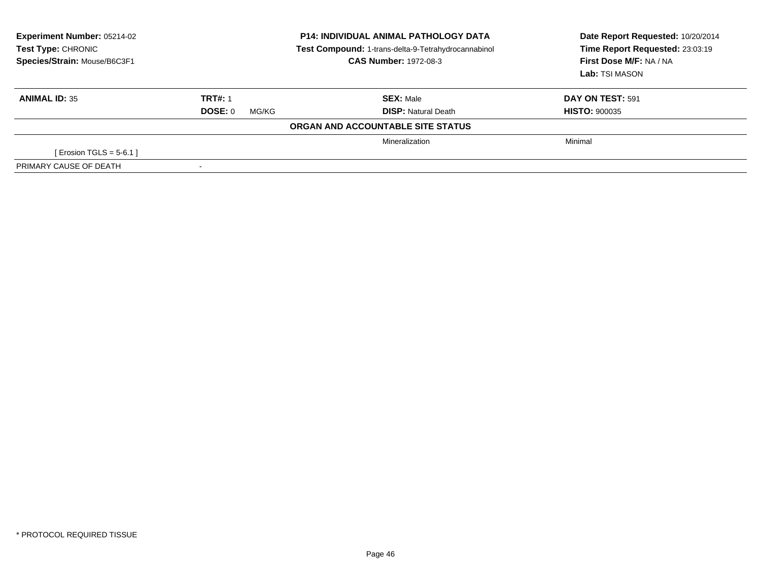| <b>Experiment Number: 05214-02</b><br><b>Test Type: CHRONIC</b><br>Species/Strain: Mouse/B6C3F1 | <b>P14: INDIVIDUAL ANIMAL PATHOLOGY DATA</b><br>Test Compound: 1-trans-delta-9-Tetrahydrocannabinol<br><b>CAS Number: 1972-08-3</b> |                                   | Date Report Requested: 10/20/2014<br>Time Report Requested: 23:03:19<br>First Dose M/F: NA / NA<br>Lab: TSI MASON |  |
|-------------------------------------------------------------------------------------------------|-------------------------------------------------------------------------------------------------------------------------------------|-----------------------------------|-------------------------------------------------------------------------------------------------------------------|--|
| <b>ANIMAL ID: 35</b>                                                                            | <b>TRT#: 1</b>                                                                                                                      | <b>SEX: Male</b>                  | DAY ON TEST: 591                                                                                                  |  |
|                                                                                                 | DOSE: 0<br>MG/KG                                                                                                                    | <b>DISP:</b> Natural Death        | <b>HISTO: 900035</b>                                                                                              |  |
|                                                                                                 |                                                                                                                                     | ORGAN AND ACCOUNTABLE SITE STATUS |                                                                                                                   |  |
|                                                                                                 |                                                                                                                                     | Mineralization                    | Minimal                                                                                                           |  |
| [ Erosion TGLS = $5-6.1$ ]                                                                      |                                                                                                                                     |                                   |                                                                                                                   |  |
| PRIMARY CAUSE OF DEATH                                                                          |                                                                                                                                     |                                   |                                                                                                                   |  |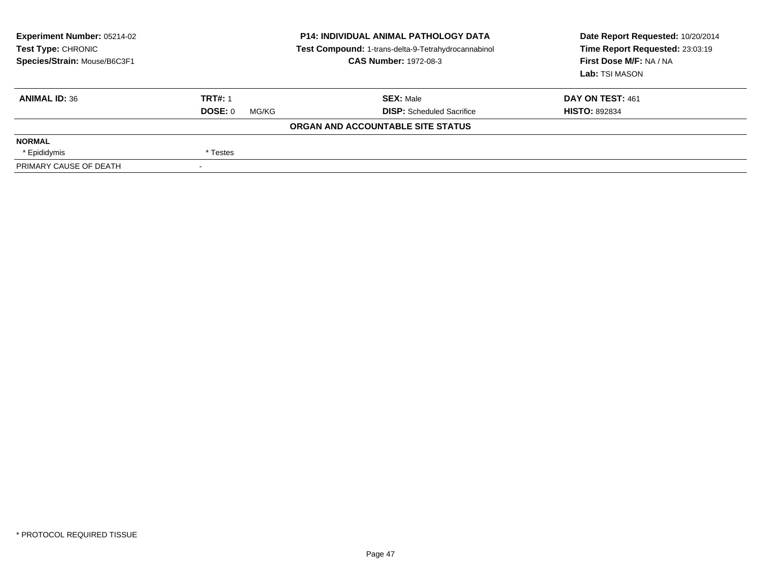| Experiment Number: 05214-02<br><b>Test Type: CHRONIC</b><br>Species/Strain: Mouse/B6C3F1 | <b>P14: INDIVIDUAL ANIMAL PATHOLOGY DATA</b><br>Test Compound: 1-trans-delta-9-Tetrahydrocannabinol<br><b>CAS Number: 1972-08-3</b> |                                   | Date Report Requested: 10/20/2014<br>Time Report Requested: 23:03:19<br>First Dose M/F: NA / NA<br>Lab: TSI MASON |  |
|------------------------------------------------------------------------------------------|-------------------------------------------------------------------------------------------------------------------------------------|-----------------------------------|-------------------------------------------------------------------------------------------------------------------|--|
| <b>ANIMAL ID: 36</b>                                                                     | <b>TRT#: 1</b>                                                                                                                      | <b>SEX: Male</b>                  | DAY ON TEST: 461                                                                                                  |  |
|                                                                                          | DOSE: 0<br>MG/KG                                                                                                                    | <b>DISP:</b> Scheduled Sacrifice  | <b>HISTO: 892834</b>                                                                                              |  |
|                                                                                          |                                                                                                                                     | ORGAN AND ACCOUNTABLE SITE STATUS |                                                                                                                   |  |
| <b>NORMAL</b>                                                                            |                                                                                                                                     |                                   |                                                                                                                   |  |
| * Epididymis                                                                             | * Testes                                                                                                                            |                                   |                                                                                                                   |  |
| PRIMARY CAUSE OF DEATH                                                                   | $\overline{\phantom{a}}$                                                                                                            |                                   |                                                                                                                   |  |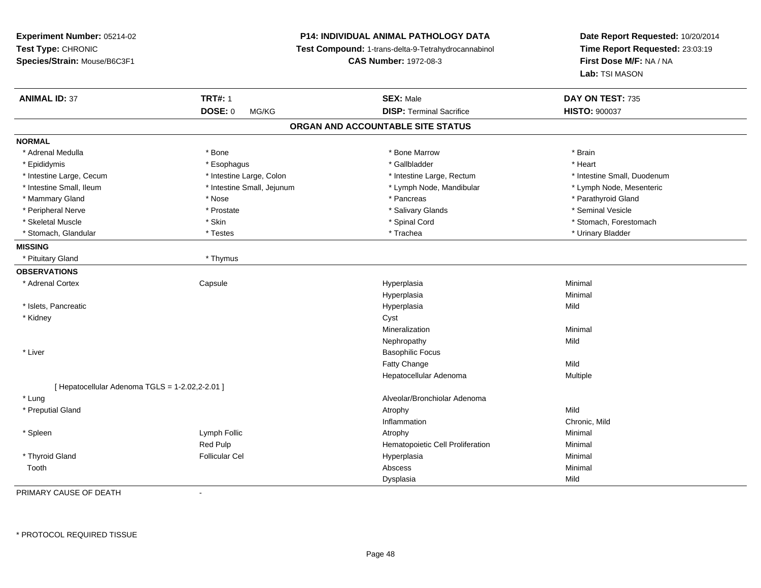**Experiment Number:** 05214-02**Test Type:** CHRONIC **Species/Strain:** Mouse/B6C3F1**P14: INDIVIDUAL ANIMAL PATHOLOGY DATA Test Compound:** 1-trans-delta-9-Tetrahydrocannabinol **CAS Number:** 1972-08-3**Date Report Requested:** 10/20/2014**Time Report Requested:** 23:03:19**First Dose M/F:** NA / NA**Lab:** TSI MASON**ANIMAL ID:** 37 **TRT#:** <sup>1</sup> **SEX:** Male **DAY ON TEST:** <sup>735</sup> **DOSE:** 0 MG/KG**DISP:** Terminal Sacrifice **HISTO:**  $900037$ **ORGAN AND ACCOUNTABLE SITE STATUSNORMAL**\* Adrenal Medulla \* \* Annual Medulla \* Brain \* Bone \* \* Bone Marrow \* Bone Marrow \* \* Brain \* Brain \* Brain \* Brain \* Brain \* Brain \* Brain \* Brain \* Brain \* Brain \* Brain \* Brain \* Brain \* Brain \* Brain \* Brain \* Brain \* \* Heart \* Epididymis \* Esophagus \* Gallbladder \* Heart \* Intestine Large, Cecum \* Intestine Large, Colon \* Intestine Large, Rectum \* Intestine Small, Duodenum\* Lymph Node, Mesenteric \* Intestine Small, Ileum \* Intestine Small, Jejunum \* Intestine Small, Jejunum \* Lymph Node, Mandibular \* Mammary Gland \* \* Nose \* \* Nose \* \* Pancreas \* Pancreas \* \* Pancreas \* \* Pancreas \* \* Pancreas \* \* Parathyroid Gland \* Peripheral Nerve \* \* Annual Vesicle \* \* Prostate \* \* Salivary Glands \* \* Salivary Glands \* \* Seminal Vesicle \* Skeletal Muscle \* The state of the set of the set of the set of the set of the set of the set of the set of the set of the set of the set of the set of the set of the set of the set of the set of the set of the set of th \* Stomach, Glandular \* \* \* Testes \* \* Testes \* \* Testes \* \* Trachea \* \* Trachea \* \* Urinary Bladder \* \* Urinary Bladder **MISSING** \* Pituitary Gland \* Thymus**OBSERVATIONS** \* Adrenal Cortex**Capsule**  Hyperplasia Minimal Hyperplasiaa **Minimal**  \* Islets, Pancreaticc and the contract of the contract of the contract of the contract of the contract of the contract of the contract of the contract of the contract of the contract of the contract of the contract of the contract of the cont a Mild \* Kidneyy control of the control of the control of the control of the control of the control of the control of the control of the control of the control of the control of the control of the control of the control of the control of Mineralizationn Minimal Nephropathyy Mild \* Liver Basophilic FocusFatty Changee Mild Hepatocellular Adenoma Multiple  $[$  Hepatocellular Adenoma TGLS = 1-2.02,2-2.01 ] \* Lung Alveolar/Bronchiolar Adenoma \* Preputial Glandd and the control of the control of the control of the control of the control of the control of the control of the control of the control of the control of the control of the control of the control of the control of the co Inflammation Chronic, Mild \* Spleenn and the settlement of the U.S. of the U.S. of the Minimal of the Minimal of the Superintensity of the Minimal  $\mu$ Red Pulp Hematopoietic Cell Proliferation Minimal \* Thyroid Gland Follicular Cel Hyperplasia Minimal Toothh anns an t-aisimeil anns an t-aisimeil anns an t-aisimeil anns an t-aisimeil anns an t-aisimeil anns an t-aisimeil Dysplasiaa Mild

PRIMARY CAUSE OF DEATH-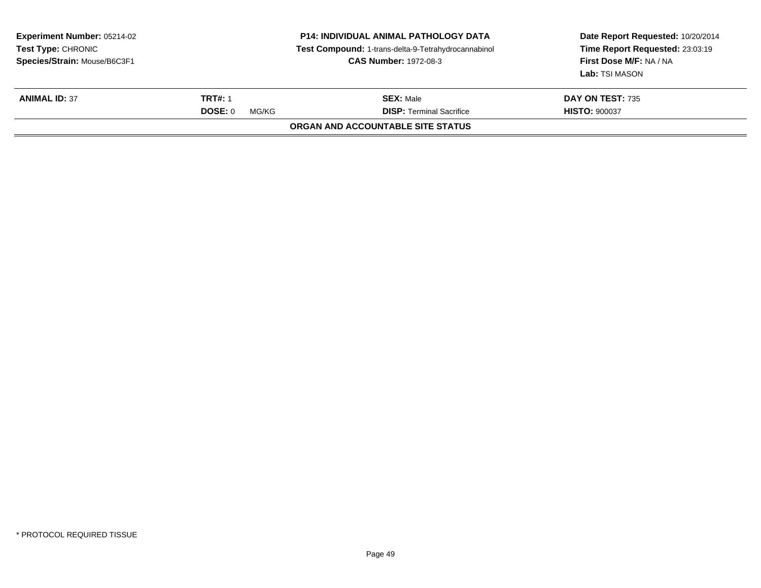| <b>Experiment Number: 05214-02</b><br><b>Test Type: CHRONIC</b><br>Species/Strain: Mouse/B6C3F1 |                         | <b>P14: INDIVIDUAL ANIMAL PATHOLOGY DATA</b><br>Test Compound: 1-trans-delta-9-Tetrahydrocannabinol<br><b>CAS Number: 1972-08-3</b> | Date Report Requested: 10/20/2014<br>Time Report Requested: 23:03:19<br>First Dose M/F: NA / NA<br>Lab: TSI MASON |
|-------------------------------------------------------------------------------------------------|-------------------------|-------------------------------------------------------------------------------------------------------------------------------------|-------------------------------------------------------------------------------------------------------------------|
| <b>ANIMAL ID: 37</b>                                                                            | <b>TRT#: 1</b>          | <b>SEX: Male</b>                                                                                                                    | DAY ON TEST: 735                                                                                                  |
|                                                                                                 | <b>DOSE: 0</b><br>MG/KG | <b>DISP: Terminal Sacrifice</b>                                                                                                     | <b>HISTO: 900037</b>                                                                                              |
|                                                                                                 |                         | ORGAN AND ACCOUNTABLE SITE STATUS                                                                                                   |                                                                                                                   |
|                                                                                                 |                         |                                                                                                                                     |                                                                                                                   |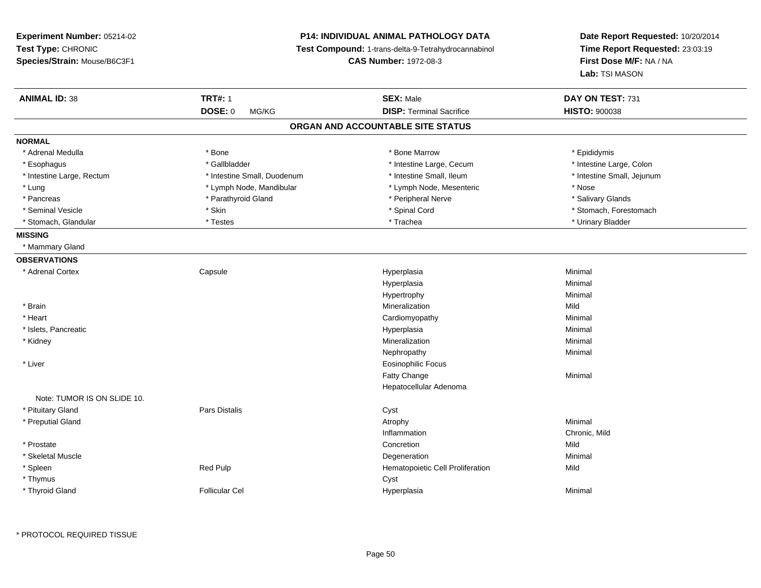**Experiment Number:** 05214-02**Test Type:** CHRONIC **Species/Strain:** Mouse/B6C3F1**P14: INDIVIDUAL ANIMAL PATHOLOGY DATA Test Compound:** 1-trans-delta-9-Tetrahydrocannabinol **CAS Number:** 1972-08-3**Date Report Requested:** 10/20/2014**Time Report Requested:** 23:03:19**First Dose M/F:** NA / NA**Lab:** TSI MASON**ANIMAL ID:** 38**TRT#:** 1 **SEX:** Male **DAY ON TEST:** 731 **DOSE:** 0 MG/KG**DISP:** Terminal Sacrifice **HISTO:**  $900038$ **ORGAN AND ACCOUNTABLE SITE STATUSNORMAL**\* Adrenal Medulla \* Adrenal Medulla \* \* The matter of the state of the state of the Marrow \* Bone Marrow \* Adrenal Medulla \* Epididymis \* Epididymis \* Bone Marrow \* Adrenal Medulla \* Epididymis \* Epididymis \* Epididymis \* Epididymis \* Epidi \* Intestine Large, Colon \* Esophagus \* Intestine Large, Cecum \* Callbladder \* 10 \* Intestine Large, Cecum \* Intestine Large, Cecum \* \* Intestine Large, Rectum \* Thestine Small, Duodenum \* Number of the small, Ileum \* Intestine Small, Jejunum \* Intestine Small, Jejunum \* Lung \* Lymph Node, Mandibular \* Nose \* Lymph Node, Mesenteric \* Nose \* Nose \* Salivary Glands \* Pancreas \* And the section of the section of the section of the section of the section of the section of the section of the section of the section of the section of the section of the section of the section of the sectio \* Seminal Vesicle \* The state of the set of the set of the set of the set of the set of the set of the set of the set of the set of the set of the set of the set of the set of the set of the set of the set of the set of th \* Stomach, Glandular \* \* \* Testes \* \* Testes \* \* Testes \* \* Trachea \* \* Trachea \* \* Urinary Bladder \* \* Urinary Bladder **MISSING** \* Mammary Gland**OBSERVATIONS** \* Adrenal Cortex**Capsule**  Hyperplasia Minimal Hyperplasiaa **Minimal** Hypertrophyy the contract of the Minimal Minimal Section 1996 and the Minimal Section 1997 and the Minimal Section 1997 and the  $\sim$  \* Brainn and the control of the control of the control of the control of the control of the control of the control of the control of the control of the control of the control of the control of the control of the control of the co \* Heart Cardiomyopathy Minimal \* Islets, Pancreaticc and the contract of the contract of the contract of the contract of the contract of the contract of the contract of the contract of the contract of the contract of the contract of the contract of the contract of the cont a **Minimal**  \* Kidneyy with the control of the control of the control of the control of the control of the control of the control of the control of the control of the control of the control of the control of the control of the control of the c n Minimal Nephropathyy the contract of the Minimal Minimal Section 1996 and the contract of the Minimal Section 1997 and the contract of the contract of the contract of the contract of the contract of the contract of the contract of the contra \* Liver Eosinophilic FocusFatty Changee Minimal Hepatocellular AdenomaNote: TUMOR IS ON SLIDE 10. \* Pituitary Glandd Cyst Constants Constants Constants Constants Constants Constants Constants Constants Constants Constants Const \* Preputial Glandd and the control of the control of the control of the control of the control of the control of the control of  $\lambda$ Inflammation Chronic, Mild \* Prostatee and the concretion of the concretion of the concretion of the concretion of the concretion of the concretion \* Skeletal Musclee and the control of the control of the control of the control of the control of the control of the control of the control of the control of the control of the control of the control of the control of the control of the co \* SpleenRed Pulp **Red Pulp 19 September 19 September 19 September 20 September 20 September 20 September 20 September 20 September 20 September 20 September 20 September 20 September 20 September 20 September 20 September 20 Septe**  \* Thymuss the contract of the contract of the contract of the contract of the contract of the contract of the contract of the contract of the contract of the contract of the contract of the contract of the contract of the contract \* Thyroid GlandFollicular Cel Hyperplasia Minimal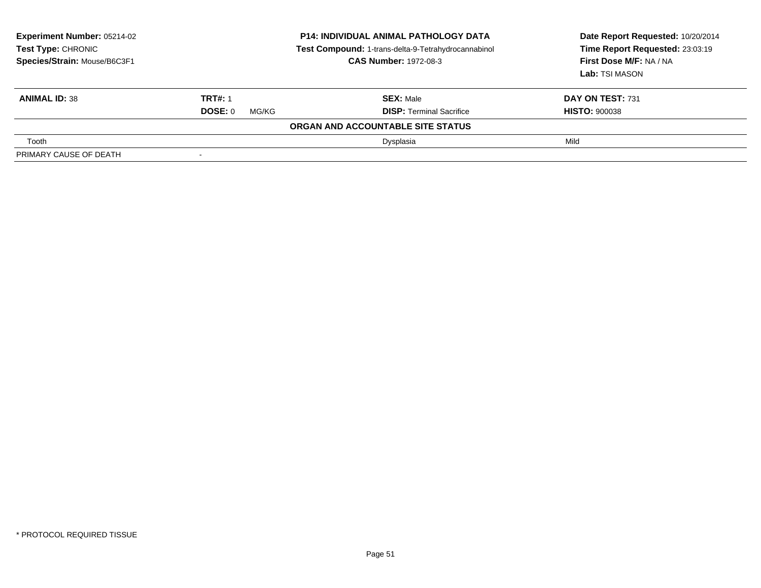| <b>Experiment Number: 05214-02</b><br><b>Test Type: CHRONIC</b><br>Species/Strain: Mouse/B6C3F1 | <b>P14: INDIVIDUAL ANIMAL PATHOLOGY DATA</b><br>Test Compound: 1-trans-delta-9-Tetrahydrocannabinol<br><b>CAS Number: 1972-08-3</b> |                                   | Date Report Requested: 10/20/2014<br>Time Report Requested: 23:03:19<br>First Dose M/F: NA / NA<br>Lab: TSI MASON |
|-------------------------------------------------------------------------------------------------|-------------------------------------------------------------------------------------------------------------------------------------|-----------------------------------|-------------------------------------------------------------------------------------------------------------------|
| <b>ANIMAL ID: 38</b>                                                                            | <b>TRT#: 1</b>                                                                                                                      | <b>SEX: Male</b>                  | DAY ON TEST: 731                                                                                                  |
|                                                                                                 | DOSE: 0<br>MG/KG                                                                                                                    | <b>DISP:</b> Terminal Sacrifice   | <b>HISTO: 900038</b>                                                                                              |
|                                                                                                 |                                                                                                                                     | ORGAN AND ACCOUNTABLE SITE STATUS |                                                                                                                   |
| Tooth                                                                                           |                                                                                                                                     | Dysplasia                         | Mild                                                                                                              |
| PRIMARY CAUSE OF DEATH                                                                          |                                                                                                                                     |                                   |                                                                                                                   |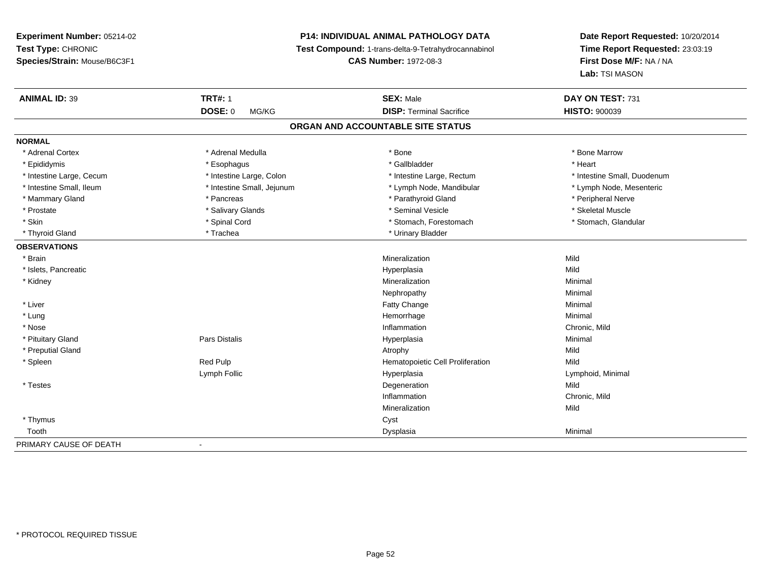# **P14: INDIVIDUAL ANIMAL PATHOLOGY DATA**

**Test Compound:** 1-trans-delta-9-Tetrahydrocannabinol

**CAS Number:** 1972-08-3

| <b>ANIMAL ID: 39</b>     | <b>TRT#: 1</b>             | <b>SEX: Male</b>                  | DAY ON TEST: 731            |
|--------------------------|----------------------------|-----------------------------------|-----------------------------|
|                          | <b>DOSE: 0</b><br>MG/KG    | <b>DISP: Terminal Sacrifice</b>   | <b>HISTO: 900039</b>        |
|                          |                            | ORGAN AND ACCOUNTABLE SITE STATUS |                             |
| <b>NORMAL</b>            |                            |                                   |                             |
| * Adrenal Cortex         | * Adrenal Medulla          | * Bone                            | * Bone Marrow               |
| * Epididymis             | * Esophagus                | * Gallbladder                     | * Heart                     |
| * Intestine Large, Cecum | * Intestine Large, Colon   | * Intestine Large, Rectum         | * Intestine Small, Duodenum |
| * Intestine Small, Ileum | * Intestine Small, Jejunum | * Lymph Node, Mandibular          | * Lymph Node, Mesenteric    |
| * Mammary Gland          | * Pancreas                 | * Parathyroid Gland               | * Peripheral Nerve          |
| * Prostate               | * Salivary Glands          | * Seminal Vesicle                 | * Skeletal Muscle           |
| * Skin                   | * Spinal Cord              | * Stomach, Forestomach            | * Stomach, Glandular        |
| * Thyroid Gland          | * Trachea                  | * Urinary Bladder                 |                             |
| <b>OBSERVATIONS</b>      |                            |                                   |                             |
| * Brain                  |                            | Mineralization                    | Mild                        |
| * Islets, Pancreatic     |                            | Hyperplasia                       | Mild                        |
| * Kidney                 |                            | Mineralization                    | Minimal                     |
|                          |                            | Nephropathy                       | Minimal                     |
| * Liver                  |                            | Fatty Change                      | Minimal                     |
| * Lung                   |                            | Hemorrhage                        | Minimal                     |
| * Nose                   |                            | Inflammation                      | Chronic, Mild               |
| * Pituitary Gland        | Pars Distalis              | Hyperplasia                       | Minimal                     |
| * Preputial Gland        |                            | Atrophy                           | Mild                        |
| * Spleen                 | Red Pulp                   | Hematopoietic Cell Proliferation  | Mild                        |
|                          | Lymph Follic               | Hyperplasia                       | Lymphoid, Minimal           |
| * Testes                 |                            | Degeneration                      | Mild                        |
|                          |                            | Inflammation                      | Chronic, Mild               |
|                          |                            | Mineralization                    | Mild                        |
| * Thymus                 |                            | Cyst                              |                             |
| Tooth                    |                            | Dysplasia                         | Minimal                     |
| PRIMARY CAUSE OF DEATH   | $\blacksquare$             |                                   |                             |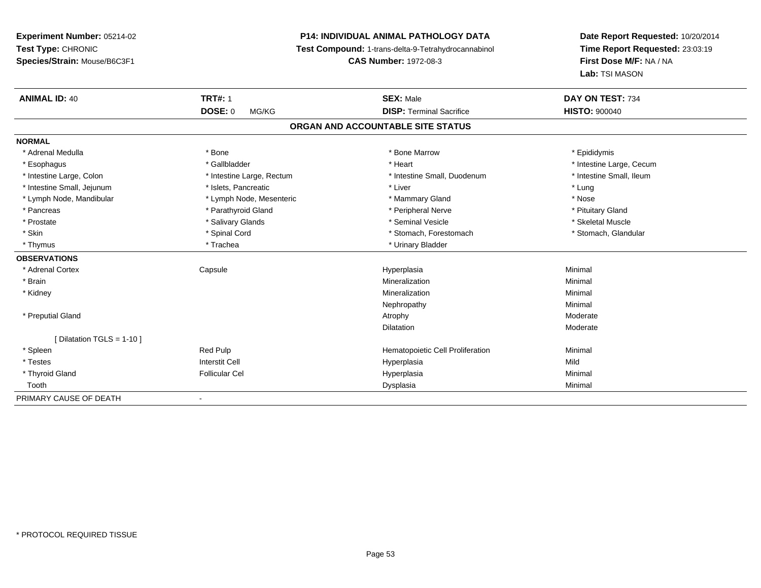# **P14: INDIVIDUAL ANIMAL PATHOLOGY DATA**

**Test Compound:** 1-trans-delta-9-Tetrahydrocannabinol

**CAS Number:** 1972-08-3

| <b>ANIMAL ID: 40</b>       | <b>TRT#: 1</b>            | <b>SEX: Male</b>                  | DAY ON TEST: 734         |
|----------------------------|---------------------------|-----------------------------------|--------------------------|
|                            | <b>DOSE: 0</b><br>MG/KG   | <b>DISP: Terminal Sacrifice</b>   | <b>HISTO: 900040</b>     |
|                            |                           | ORGAN AND ACCOUNTABLE SITE STATUS |                          |
| <b>NORMAL</b>              |                           |                                   |                          |
| * Adrenal Medulla          | * Bone                    | * Bone Marrow                     | * Epididymis             |
| * Esophagus                | * Gallbladder             | * Heart                           | * Intestine Large, Cecum |
| * Intestine Large, Colon   | * Intestine Large, Rectum | * Intestine Small, Duodenum       | * Intestine Small, Ileum |
| * Intestine Small, Jejunum | * Islets, Pancreatic      | * Liver                           | * Lung                   |
| * Lymph Node, Mandibular   | * Lymph Node, Mesenteric  | * Mammary Gland                   | * Nose                   |
| * Pancreas                 | * Parathyroid Gland       | * Peripheral Nerve                | * Pituitary Gland        |
| * Prostate                 | * Salivary Glands         | * Seminal Vesicle                 | * Skeletal Muscle        |
| * Skin                     | * Spinal Cord             | * Stomach, Forestomach            | * Stomach, Glandular     |
| * Thymus                   | * Trachea                 | * Urinary Bladder                 |                          |
| <b>OBSERVATIONS</b>        |                           |                                   |                          |
| * Adrenal Cortex           | Capsule                   | Hyperplasia                       | Minimal                  |
| * Brain                    |                           | Mineralization                    | Minimal                  |
| * Kidney                   |                           | Mineralization                    | Minimal                  |
|                            |                           | Nephropathy                       | Minimal                  |
| * Preputial Gland          |                           | Atrophy                           | Moderate                 |
|                            |                           | Dilatation                        | Moderate                 |
| [Dilatation TGLS = 1-10]   |                           |                                   |                          |
| * Spleen                   | Red Pulp                  | Hematopoietic Cell Proliferation  | Minimal                  |
| * Testes                   | <b>Interstit Cell</b>     | Hyperplasia                       | Mild                     |
| * Thyroid Gland            | <b>Follicular Cel</b>     | Hyperplasia                       | Minimal                  |
| Tooth                      |                           | Dysplasia                         | Minimal                  |
| PRIMARY CAUSE OF DEATH     |                           |                                   |                          |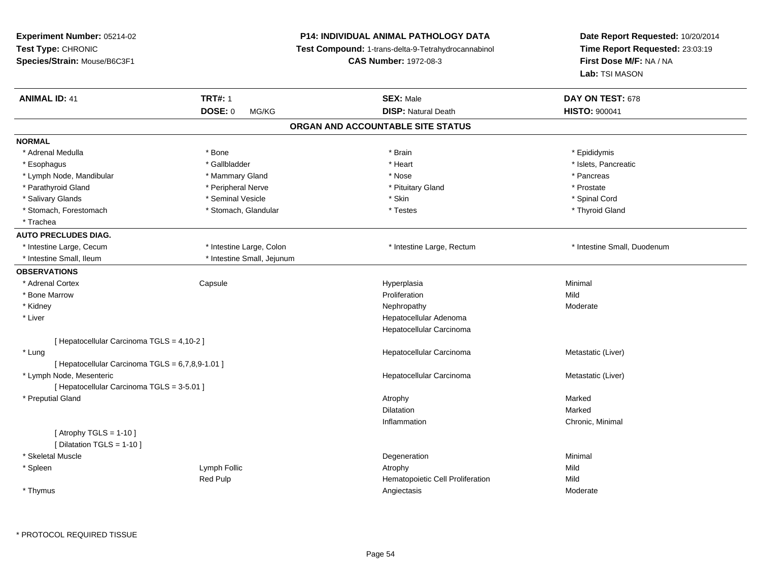| Experiment Number: 05214-02                        |                            | <b>P14: INDIVIDUAL ANIMAL PATHOLOGY DATA</b>                                        | Date Report Requested: 10/20/2014                          |
|----------------------------------------------------|----------------------------|-------------------------------------------------------------------------------------|------------------------------------------------------------|
| Test Type: CHRONIC<br>Species/Strain: Mouse/B6C3F1 |                            | Test Compound: 1-trans-delta-9-Tetrahydrocannabinol<br><b>CAS Number: 1972-08-3</b> | Time Report Requested: 23:03:19<br>First Dose M/F: NA / NA |
|                                                    |                            |                                                                                     | Lab: TSI MASON                                             |
| <b>ANIMAL ID: 41</b>                               | <b>TRT#: 1</b>             | <b>SEX: Male</b>                                                                    | DAY ON TEST: 678                                           |
|                                                    | DOSE: 0<br>MG/KG           | <b>DISP: Natural Death</b>                                                          | <b>HISTO: 900041</b>                                       |
|                                                    |                            | ORGAN AND ACCOUNTABLE SITE STATUS                                                   |                                                            |
| <b>NORMAL</b>                                      |                            |                                                                                     |                                                            |
| * Adrenal Medulla                                  | * Bone                     | * Brain                                                                             | * Epididymis                                               |
| * Esophagus                                        | * Gallbladder              | * Heart                                                                             | * Islets, Pancreatic                                       |
| * Lymph Node, Mandibular                           | * Mammary Gland            | * Nose                                                                              | * Pancreas                                                 |
| * Parathyroid Gland                                | * Peripheral Nerve         | * Pituitary Gland                                                                   | * Prostate                                                 |
| * Salivary Glands                                  | * Seminal Vesicle          | * Skin                                                                              | * Spinal Cord                                              |
| * Stomach, Forestomach                             | * Stomach, Glandular       | * Testes                                                                            | * Thyroid Gland                                            |
| * Trachea                                          |                            |                                                                                     |                                                            |
| <b>AUTO PRECLUDES DIAG.</b>                        |                            |                                                                                     |                                                            |
| * Intestine Large, Cecum                           | * Intestine Large, Colon   | * Intestine Large, Rectum                                                           | * Intestine Small, Duodenum                                |
| * Intestine Small, Ileum                           | * Intestine Small, Jejunum |                                                                                     |                                                            |
| <b>OBSERVATIONS</b>                                |                            |                                                                                     |                                                            |
| * Adrenal Cortex                                   | Capsule                    | Hyperplasia                                                                         | Minimal                                                    |
| * Bone Marrow                                      |                            | Proliferation                                                                       | Mild                                                       |
| * Kidney                                           |                            | Nephropathy                                                                         | Moderate                                                   |
| * Liver                                            |                            | Hepatocellular Adenoma                                                              |                                                            |
|                                                    |                            | Hepatocellular Carcinoma                                                            |                                                            |
| [ Hepatocellular Carcinoma TGLS = 4,10-2 ]         |                            |                                                                                     |                                                            |
| * Lung                                             |                            | Hepatocellular Carcinoma                                                            | Metastatic (Liver)                                         |
| [ Hepatocellular Carcinoma TGLS = 6,7,8,9-1.01 ]   |                            |                                                                                     |                                                            |
| * Lymph Node, Mesenteric                           |                            | Hepatocellular Carcinoma                                                            | Metastatic (Liver)                                         |
| [ Hepatocellular Carcinoma TGLS = 3-5.01 ]         |                            |                                                                                     |                                                            |
| * Preputial Gland                                  |                            | Atrophy                                                                             | Marked                                                     |
|                                                    |                            | Dilatation                                                                          | Marked                                                     |
|                                                    |                            | Inflammation                                                                        | Chronic, Minimal                                           |
| [Atrophy TGLS = $1-10$ ]                           |                            |                                                                                     |                                                            |
| [ Dilatation TGLS = 1-10 ]                         |                            |                                                                                     |                                                            |
| * Skeletal Muscle                                  |                            | Degeneration                                                                        | Minimal                                                    |
| * Spleen                                           | Lymph Follic               | Atrophy                                                                             | Mild                                                       |
|                                                    | Red Pulp                   | Hematopoietic Cell Proliferation                                                    | Mild                                                       |
| * Thymus                                           |                            | Angiectasis                                                                         | Moderate                                                   |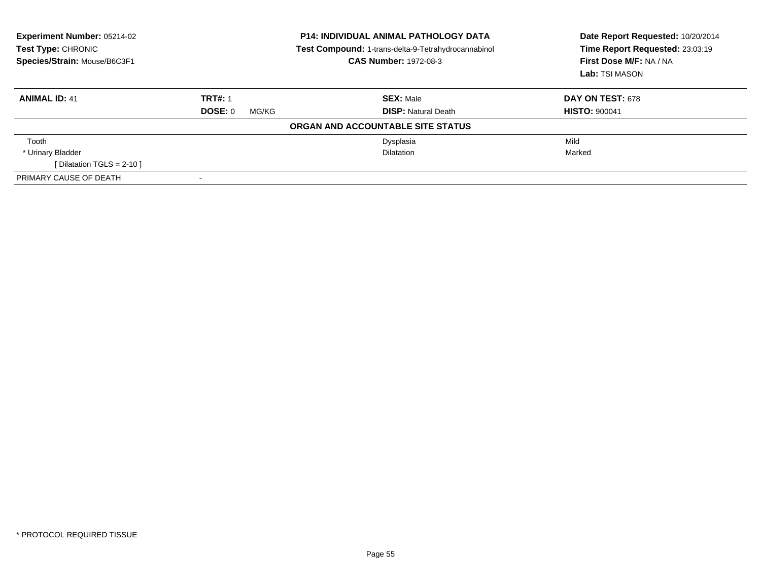| Experiment Number: 05214-02<br>Test Type: CHRONIC<br>Species/Strain: Mouse/B6C3F1 |                  | <b>P14: INDIVIDUAL ANIMAL PATHOLOGY DATA</b><br>Test Compound: 1-trans-delta-9-Tetrahydrocannabinol<br><b>CAS Number: 1972-08-3</b> | Date Report Requested: 10/20/2014<br>Time Report Requested: 23:03:19<br>First Dose M/F: NA / NA<br>Lab: TSI MASON |
|-----------------------------------------------------------------------------------|------------------|-------------------------------------------------------------------------------------------------------------------------------------|-------------------------------------------------------------------------------------------------------------------|
| <b>ANIMAL ID: 41</b>                                                              | <b>TRT#: 1</b>   | <b>SEX: Male</b>                                                                                                                    | <b>DAY ON TEST: 678</b>                                                                                           |
|                                                                                   | DOSE: 0<br>MG/KG | <b>DISP: Natural Death</b>                                                                                                          | <b>HISTO: 900041</b>                                                                                              |
|                                                                                   |                  | ORGAN AND ACCOUNTABLE SITE STATUS                                                                                                   |                                                                                                                   |
| Tooth                                                                             |                  | Dysplasia                                                                                                                           | Mild                                                                                                              |
| * Urinary Bladder                                                                 |                  | <b>Dilatation</b>                                                                                                                   | Marked                                                                                                            |
| [ Dilatation TGLS = $2-10$ ]                                                      |                  |                                                                                                                                     |                                                                                                                   |
| PRIMARY CAUSE OF DEATH                                                            |                  |                                                                                                                                     |                                                                                                                   |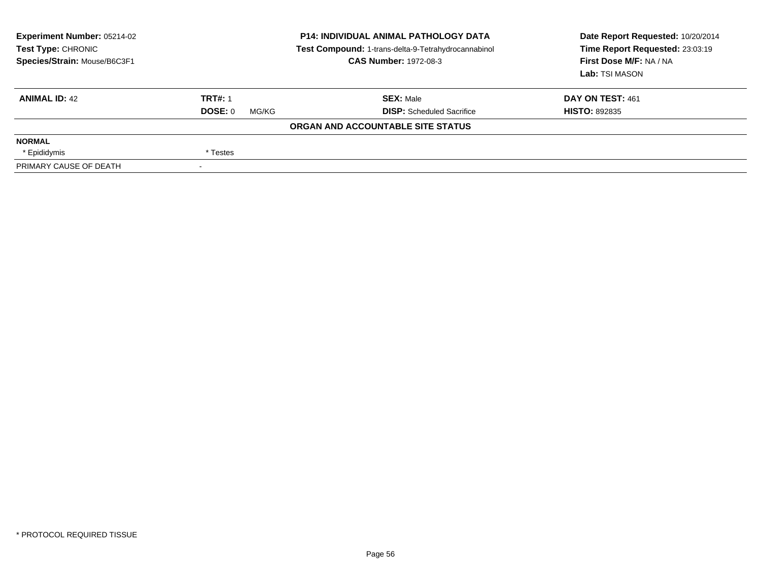| Experiment Number: 05214-02<br><b>Test Type: CHRONIC</b><br>Species/Strain: Mouse/B6C3F1 |                  | <b>P14: INDIVIDUAL ANIMAL PATHOLOGY DATA</b><br>Test Compound: 1-trans-delta-9-Tetrahydrocannabinol<br><b>CAS Number: 1972-08-3</b> | Date Report Requested: 10/20/2014<br>Time Report Requested: 23:03:19<br>First Dose M/F: NA / NA<br>Lab: TSI MASON |
|------------------------------------------------------------------------------------------|------------------|-------------------------------------------------------------------------------------------------------------------------------------|-------------------------------------------------------------------------------------------------------------------|
| <b>ANIMAL ID: 42</b>                                                                     | <b>TRT#: 1</b>   | <b>SEX: Male</b>                                                                                                                    | DAY ON TEST: 461                                                                                                  |
|                                                                                          | DOSE: 0<br>MG/KG | <b>DISP:</b> Scheduled Sacrifice                                                                                                    | <b>HISTO: 892835</b>                                                                                              |
|                                                                                          |                  | ORGAN AND ACCOUNTABLE SITE STATUS                                                                                                   |                                                                                                                   |
| <b>NORMAL</b>                                                                            |                  |                                                                                                                                     |                                                                                                                   |
| * Epididymis                                                                             | * Testes         |                                                                                                                                     |                                                                                                                   |
| PRIMARY CAUSE OF DEATH                                                                   |                  |                                                                                                                                     |                                                                                                                   |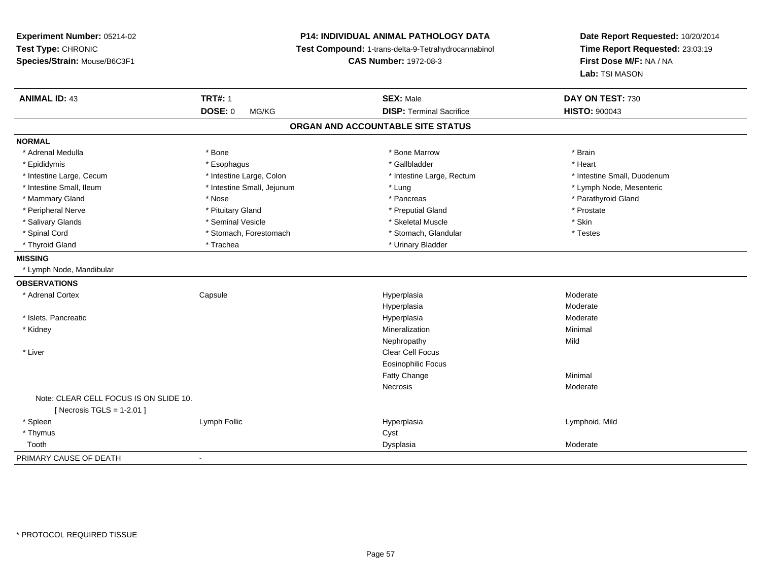**Experiment Number:** 05214-02**Test Type:** CHRONIC **Species/Strain:** Mouse/B6C3F1**P14: INDIVIDUAL ANIMAL PATHOLOGY DATA Test Compound:** 1-trans-delta-9-Tetrahydrocannabinol **CAS Number:** 1972-08-3**Date Report Requested:** 10/20/2014**Time Report Requested:** 23:03:19**First Dose M/F:** NA / NA**Lab:** TSI MASON**ANIMAL ID:** 43**TRT#:** 1 **SEX:** Male **DAY ON TEST:** 730 **DOSE:** 0 MG/KG **DISP:** Terminal Sacrifice **HISTO:** <sup>900043</sup> **ORGAN AND ACCOUNTABLE SITE STATUSNORMAL**\* Adrenal Medulla \* \* Annual Medulla \* Brain \* Bone \* \* Bone Marrow \* Bone Marrow \* \* Brain \* Brain \* Brain \* Brain \* Brain \* Brain \* Brain \* Brain \* Brain \* Brain \* Brain \* Brain \* Brain \* Brain \* Brain \* Brain \* Brain \* \* Heart \* Epididymis \* Esophagus \* Gallbladder \* Heart \* Intestine Large, Cecum \* Intestine Large, Colon \* Intestine Large, Rectum \* Intestine Small, Duodenum \* Intestine Small, Ileum \* Intestine Small, Jejunum \* Lung \* Lymph Node, Mesenteric\* Mammary Gland \* \* Nose \* \* Nose \* \* Pancreas \* Pancreas \* \* Pancreas \* \* Pancreas \* \* Pancreas \* \* Parathyroid Gland \* Peripheral Nerve \* \* \* Prostate \* \* Pretuitary Gland \* \* \* \* \* \* \* Preputial Gland \* \* \* Prostate \* Prostate \* Salivary Glands \* Seminal Vesicle \* Skeletal Muscle \* Skin\* Testes \* Spinal Cord **\*** Stomach, Forestomach \* Stomach, Spinal Cord \* Stomach, Glandular \* Testess \* Stomach, Glandular \* Thyroid Gland \* Trachea \* Trachea \* Trachea \* Thyroid Gland **MISSING** \* Lymph Node, Mandibular**OBSERVATIONS** \* Adrenal Cortex Capsulee and the Hyperplasia measurement of the Moderate of the Moderate of the Moderate  $\mathsf{M}$ HyperplasiaHyperplasia<br>
Hyperplasia<br>
Moderate Moderate \* Islets, Pancreaticc and the contract of the contract of the contract of the contract of the contract of the contract of the contract of the contract of the contract of the contract of the contract of the contract of the contract of the cont a **Moderate**  \* Kidneyy with the control of the control of the control of the control of the control of the control of the control of the control of the control of the control of the control of the control of the control of the control of the c n Minimal Nephropathyy Mild \* Liverr and the contract of the contract of the contract of the contract of the contract of the contract of the contract of the contract of the contract of the contract of the contract of the contract of the contract of the cont Eosinophilic FocusFatty Changee Minimal **Necrosis**  ModerateNote: CLEAR CELL FOCUS IS ON SLIDE 10. $[$  Necrosis TGLS = 1-2.01  $]$  \* Spleen Lymph Follic Hyperplasia Lymphoid, Mild \* Thymuss the contract of the contract of the contract of the contract of the contract of the contract of the contract of the contract of the contract of the contract of the contract of the contract of the contract of the contract Toothh ann an comhan ann an t-ainm an t-ainm an t-ainm an t-ainm an Dysplasia ann an t-ainm an t-ainm an t-ainm an t-ainm an t-ainm an t-ainm an t-ainm an t-ainm an t-ainm an t-ainm an t-ainm an t-ainm an t-ainm an t-ainm an t-PRIMARY CAUSE OF DEATH-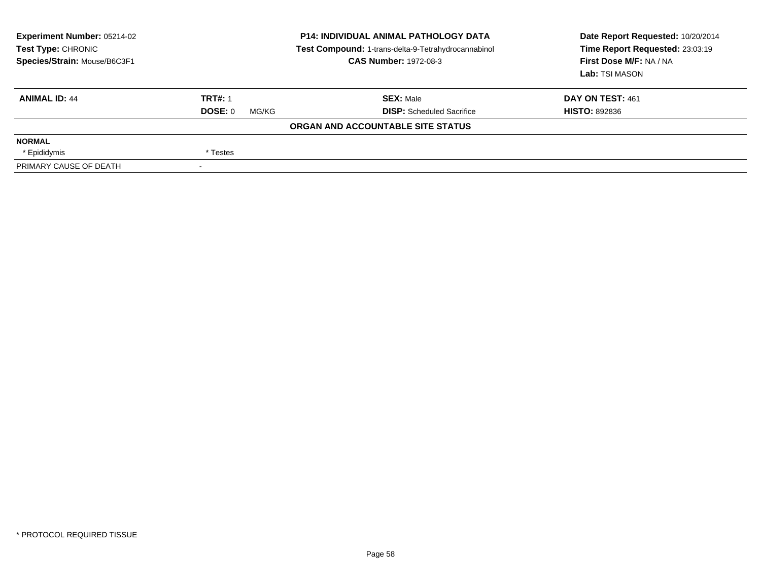| Experiment Number: 05214-02<br><b>Test Type: CHRONIC</b><br>Species/Strain: Mouse/B6C3F1 |                          | <b>P14: INDIVIDUAL ANIMAL PATHOLOGY DATA</b><br>Test Compound: 1-trans-delta-9-Tetrahydrocannabinol<br><b>CAS Number: 1972-08-3</b> | Date Report Requested: 10/20/2014<br>Time Report Requested: 23:03:19<br>First Dose M/F: NA / NA<br>Lab: TSI MASON |
|------------------------------------------------------------------------------------------|--------------------------|-------------------------------------------------------------------------------------------------------------------------------------|-------------------------------------------------------------------------------------------------------------------|
| <b>ANIMAL ID: 44</b>                                                                     | <b>TRT#: 1</b>           | <b>SEX: Male</b>                                                                                                                    | DAY ON TEST: 461                                                                                                  |
|                                                                                          | DOSE: 0<br>MG/KG         | <b>DISP:</b> Scheduled Sacrifice                                                                                                    | <b>HISTO: 892836</b>                                                                                              |
|                                                                                          |                          | ORGAN AND ACCOUNTABLE SITE STATUS                                                                                                   |                                                                                                                   |
| <b>NORMAL</b>                                                                            |                          |                                                                                                                                     |                                                                                                                   |
| * Epididymis                                                                             | * Testes                 |                                                                                                                                     |                                                                                                                   |
| PRIMARY CAUSE OF DEATH                                                                   | $\overline{\phantom{a}}$ |                                                                                                                                     |                                                                                                                   |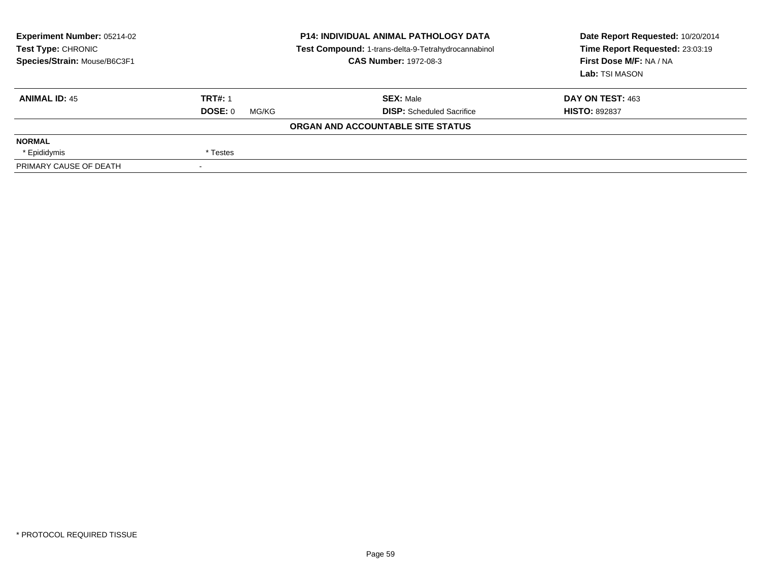| Experiment Number: 05214-02<br><b>Test Type: CHRONIC</b><br>Species/Strain: Mouse/B6C3F1 |                  | <b>P14: INDIVIDUAL ANIMAL PATHOLOGY DATA</b><br>Test Compound: 1-trans-delta-9-Tetrahydrocannabinol<br><b>CAS Number: 1972-08-3</b> | Date Report Requested: 10/20/2014<br>Time Report Requested: 23:03:19<br>First Dose M/F: NA / NA<br>Lab: TSI MASON |
|------------------------------------------------------------------------------------------|------------------|-------------------------------------------------------------------------------------------------------------------------------------|-------------------------------------------------------------------------------------------------------------------|
| <b>ANIMAL ID: 45</b>                                                                     | <b>TRT#: 1</b>   | <b>SEX: Male</b>                                                                                                                    | DAY ON TEST: 463                                                                                                  |
|                                                                                          | DOSE: 0<br>MG/KG | <b>DISP:</b> Scheduled Sacrifice                                                                                                    | <b>HISTO: 892837</b>                                                                                              |
|                                                                                          |                  | ORGAN AND ACCOUNTABLE SITE STATUS                                                                                                   |                                                                                                                   |
| <b>NORMAL</b>                                                                            |                  |                                                                                                                                     |                                                                                                                   |
| * Epididymis                                                                             | * Testes         |                                                                                                                                     |                                                                                                                   |
| PRIMARY CAUSE OF DEATH                                                                   |                  |                                                                                                                                     |                                                                                                                   |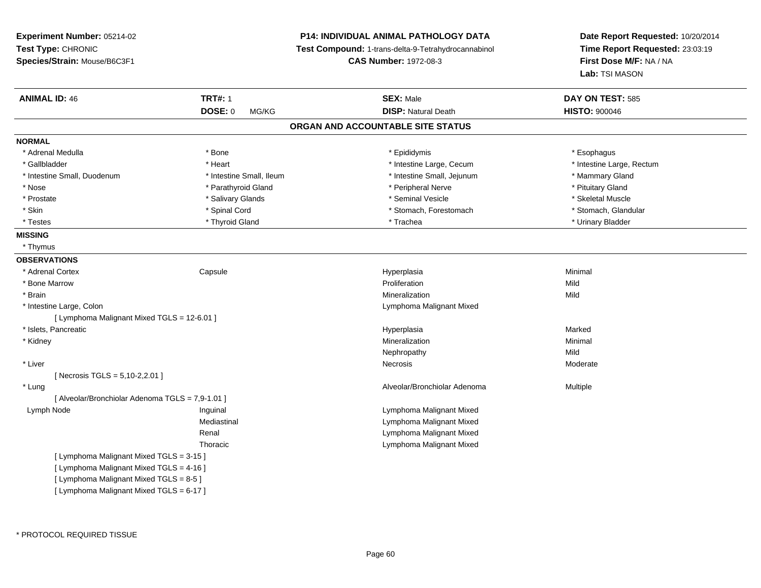**Experiment Number:** 05214-02**Test Type:** CHRONIC **Species/Strain:** Mouse/B6C3F1**P14: INDIVIDUAL ANIMAL PATHOLOGY DATA Test Compound:** 1-trans-delta-9-Tetrahydrocannabinol **CAS Number:** 1972-08-3**Date Report Requested:** 10/20/2014**Time Report Requested:** 23:03:19**First Dose M/F:** NA / NA**Lab:** TSI MASON**ANIMAL ID:** 46**6 TRT#:** 1 **TRT#:** 1 **SEX:** Male **SEX:** Male **DAY ON TEST:** 585 **DOSE:** 0 MG/KG**DISP:** Natural Death **HISTO:**  $900046$ **ORGAN AND ACCOUNTABLE SITE STATUSNORMAL**\* Adrenal Medulla \* Adrenal Medulla \* \* \* example \* \* Bone \* \* \* Bone \* \* Epididymis \* \* Epididymis \* \* \* Esophagus \* Esophagus \* \* Esophagus \* \* Esophagus \* \* Esophagus \* \* Esophagus \* \* Esophagus \* \* Esophagus \* \* \* \* \* \* \* \* \* \* \* \* \* \* \* Intestine Large, Rectum \* Gallbladder \* The mode of the state of the state of the state of the state of the state of the state of the state of the state of the state of the state of the state of the state of the state of the state of the state of \* Intestine Small, Duodenum \* Intestine Small, Ileum \* Intestine Small, Jejunum \* Mammary Gland\* Nose \* Parathyroid Gland \* Parathyroid Gland \* Peripheral Nerve \* Peripheral Nerve \* Pituitary Gland \* Pituitary Gland \* Skeletal Muscle \* Prostate \* \* Skeletal Muscle \* \* Salivary Glands \* \* Steminal Vesicle \* \* Seminal Vesicle \* \* Skeletal Muscle \* Stomach. Glandular \* Skin \* Spinal Cord \* Spinal Cord \* Stomach, Forestomach \* Stomach, Forestomach \* Testes \* \* Thyroid Gland \* \* Thyroid Gland \* \* Trachea \* \* Trachea \* \* \* Trachea \* Urinary Bladder \* \* Urinary Bladder \* \* Urinary Bladder \* \* Urinary Bladder \* \* Urinary Bladder \* \* Urinary Bladder \* \* Urinary Bladder \* **MISSING** \* Thymus**OBSERVATIONS** \* Adrenal Cortex**Capsule**  Hyperplasia Minimal \* Bone Marroww **Proliferation** Proliferation **Mild**  \* Brainn and the control of the control of the control of the control of the control of the control of the control of the control of the control of the control of the control of the control of the control of the control of the co \* Intestine Large, Colon Lymphoma Malignant Mixed [ Lymphoma Malignant Mixed TGLS = 12-6.01 ] \* Islets, Pancreaticc and the contract of the contract of the contract of the contract of the contract of the contract of the contract of the contract of the contract of the contract of the contract of the contract of the contract of the cont a **Marked**  \* Kidneyy with the control of the control of the control of the control of the control of the control of the control of the control of the control of the control of the control of the control of the control of the control of the c n Minimal Nephropathyy Mild Moderate \* Liverr and the contract of the contract of the contract of the contract of the contract of the contract of the contract of the contract of the contract of the contract of the contract of the contract of the contract of the cont Moderate[ Necrosis TGLS = 5,10-2,2.01 ] \* LungAlveolar/Bronchiolar Adenoma<br>
Multiple [ Alveolar/Bronchiolar Adenoma TGLS = 7,9-1.01 ] Lymph Node Inguinal Lymphoma Malignant Mixed Mediastinal Lymphoma Malignant Mixed Lymphoma Malignant MixedRenal Lymphoma Malignant MixedThoracic[ Lymphoma Malignant Mixed TGLS = 3-15 ][ Lymphoma Malignant Mixed TGLS = 4-16 ][ Lymphoma Malignant Mixed TGLS = 8-5 ][ Lymphoma Malignant Mixed TGLS = 6-17 ]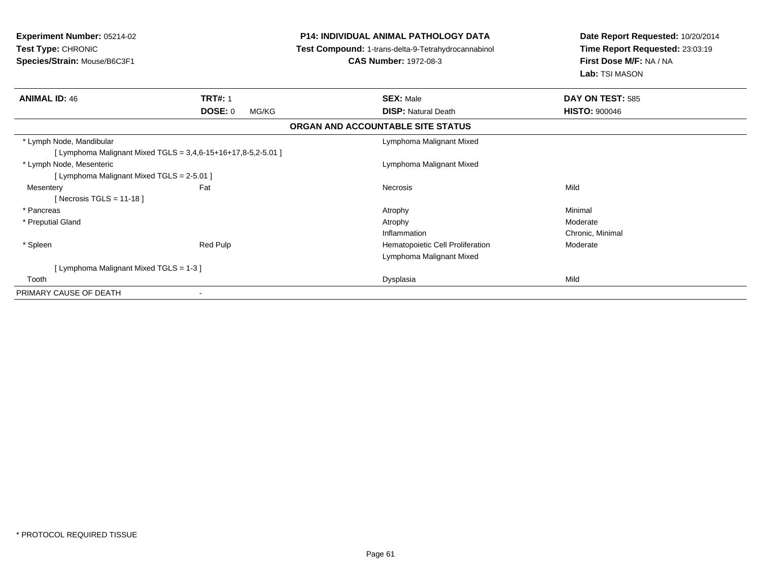| Experiment Number: 05214-02<br>Test Type: CHRONIC<br>Species/Strain: Mouse/B6C3F1 |                         | <b>P14: INDIVIDUAL ANIMAL PATHOLOGY DATA</b><br>Test Compound: 1-trans-delta-9-Tetrahydrocannabinol<br><b>CAS Number: 1972-08-3</b> | Date Report Requested: 10/20/2014<br>Time Report Requested: 23:03:19<br>First Dose M/F: NA / NA<br>Lab: TSI MASON |
|-----------------------------------------------------------------------------------|-------------------------|-------------------------------------------------------------------------------------------------------------------------------------|-------------------------------------------------------------------------------------------------------------------|
| <b>ANIMAL ID: 46</b>                                                              | <b>TRT#: 1</b>          | <b>SEX: Male</b>                                                                                                                    | DAY ON TEST: 585                                                                                                  |
|                                                                                   | <b>DOSE: 0</b><br>MG/KG | <b>DISP: Natural Death</b>                                                                                                          | <b>HISTO: 900046</b>                                                                                              |
|                                                                                   |                         | ORGAN AND ACCOUNTABLE SITE STATUS                                                                                                   |                                                                                                                   |
| * Lymph Node, Mandibular                                                          |                         | Lymphoma Malignant Mixed                                                                                                            |                                                                                                                   |
| [ Lymphoma Malignant Mixed TGLS = 3,4,6-15+16+17,8-5,2-5.01 ]                     |                         |                                                                                                                                     |                                                                                                                   |
| * Lymph Node, Mesenteric                                                          |                         | Lymphoma Malignant Mixed                                                                                                            |                                                                                                                   |
| [ Lymphoma Malignant Mixed TGLS = 2-5.01 ]                                        |                         |                                                                                                                                     |                                                                                                                   |
| Mesentery                                                                         | Fat                     | <b>Necrosis</b>                                                                                                                     | Mild                                                                                                              |
| [Necrosis TGLS = 11-18]                                                           |                         |                                                                                                                                     |                                                                                                                   |
| * Pancreas                                                                        |                         | Atrophy                                                                                                                             | Minimal                                                                                                           |
| * Preputial Gland                                                                 |                         | Atrophy                                                                                                                             | Moderate                                                                                                          |
|                                                                                   |                         | Inflammation                                                                                                                        | Chronic, Minimal                                                                                                  |
| * Spleen                                                                          | Red Pulp                | Hematopoietic Cell Proliferation                                                                                                    | Moderate                                                                                                          |
|                                                                                   |                         | Lymphoma Malignant Mixed                                                                                                            |                                                                                                                   |
| [ Lymphoma Malignant Mixed TGLS = 1-3 ]                                           |                         |                                                                                                                                     |                                                                                                                   |
| Tooth                                                                             |                         | Dysplasia                                                                                                                           | Mild                                                                                                              |
| PRIMARY CAUSE OF DEATH                                                            |                         |                                                                                                                                     |                                                                                                                   |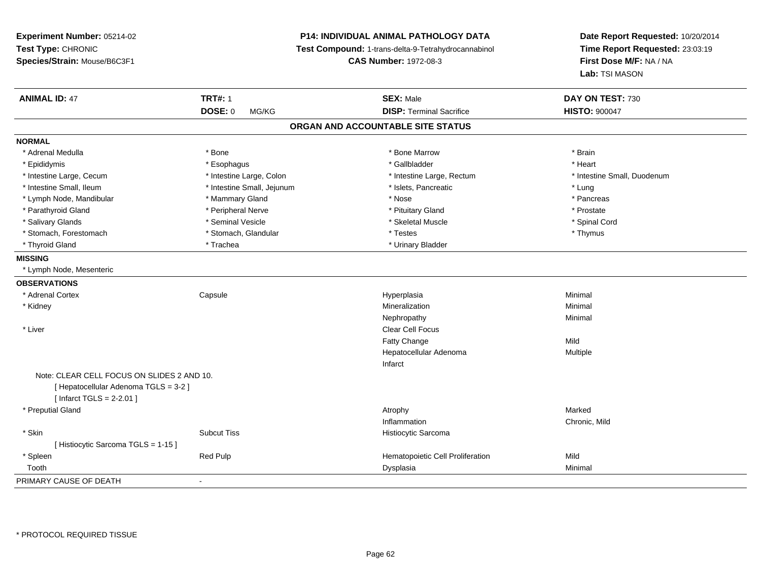**Experiment Number:** 05214-02**Test Type:** CHRONIC **Species/Strain:** Mouse/B6C3F1**P14: INDIVIDUAL ANIMAL PATHOLOGY DATA Test Compound:** 1-trans-delta-9-Tetrahydrocannabinol **CAS Number:** 1972-08-3**Date Report Requested:** 10/20/2014**Time Report Requested:** 23:03:19**First Dose M/F:** NA / NA**Lab:** TSI MASON**ANIMAL ID:** 47**TRT#:** 1 **SEX:** Male **DAY ON TEST:** 730 **DOSE:** 0 MG/KG**DISP:** Terminal Sacrifice **HISTO:**  $900047$ **ORGAN AND ACCOUNTABLE SITE STATUSNORMAL**\* Adrenal Medulla \* \* Annual Medulla \* Brain \* Bone \* \* Bone Marrow \* Bone Marrow \* \* Brain \* Brain \* Brain \* Brain \* Brain \* Brain \* Brain \* Brain \* Brain \* Brain \* Brain \* Brain \* Brain \* Brain \* Brain \* Brain \* Brain \* \* Heart \* Epididymis \* Esophagus \* Gallbladder \* Heart \* Intestine Large, Cecum \* Intestine Large, Colon \* Intestine Large, Rectum \* Intestine Small, Duodenum\* Intestine Small, Ileum \* https://www.fatheratic \* Lung \* Intestine Small, Jejunum \* Islets, Pancreatic \* Lung \* Lung \* Pancreas \* Lymph Node, Mandibular \* Nose \* Mammary Gland \* Nose \* Nose \* Nose \* Prostate \* Parathyroid Gland \* **All and \* Peripheral Nerve \* Prostate \* Prostate \* Pituitary Gland \*** Pituitary Gland \* Spinal Cord \* Salivary Glands \* \* \$ https://www.frieducer.com/web/2012/absoluter/state/sected \* Skeletal Muscle \* Spinal Cord \* Spinal Cord \* Spinal Cord \* Spinal Cord \* Spinal Cord \* Spinal Cord \* Spinal Cord \* Spinal Cord \* Spinal C \* Stomach, Forestomach \* Thymus \* Stomach, Glandular \* Testes \* Testes \* Thymus \* Thymus \* Thymus \* Thyroid Gland \* Trachea \* Trachea \* Trachea \* Thyroid Gland **MISSING** \* Lymph Node, Mesenteric**OBSERVATIONS** \* Adrenal Cortex Capsule Hyperplasia Minimal \* Kidneyy with the control of the control of the control of the control of the control of the control of the control of the control of the control of the control of the control of the control of the control of the control of the c n Minimal Nephropathyy the contract of the Minimal Minimal Section 1996 and the contract of the Minimal Section 1997 and the contract of the contract of the contract of the contract of the contract of the contract of the contract of the contra \* Liverr and the contract of the contract of the contract of the contract of the contract of the contract of the contract of the contract of the contract of the contract of the contract of the contract of the contract of the cont Fatty Changee Mild Hepatocellular Adenoma Multiple InfarctNote: CLEAR CELL FOCUS ON SLIDES 2 AND 10.[ Hepatocellular Adenoma TGLS = 3-2 ][ Infarct TGLS = 2-2.01 ] \* Preputial Glandd and the control of the control of the control of the control of the control of the control of the control of the control of the control of the control of the control of the control of the control of the control of the co Inflammation Chronic, Mild \* SkinSubcut Tiss **Histiocytic Sarcoma** [ Histiocytic Sarcoma TGLS = 1-15 ] \* SpleenRed Pulp **Mild Red Pulp Hematopoietic Cell Proliferation** Mild Mild<br>Dysplasia Dysplasia Toothh ann an Chomas ann an t-ainmeile ann an t-ainmeile ann an Dysplasia. Tha an t-ainmeile ann an Dysplasia ann an Dysplasia ann an t-ainmeile an an t-ainmeile ann an t-ainmeile an an t-ainmeile ann an t-ainmeile ann an t-ain PRIMARY CAUSE OF DEATH-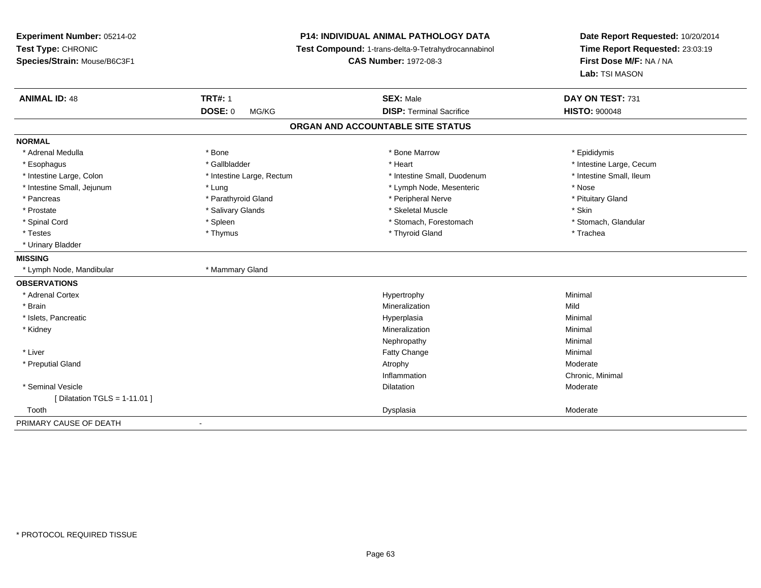**Experiment Number:** 05214-02**Test Type:** CHRONIC **Species/Strain:** Mouse/B6C3F1**P14: INDIVIDUAL ANIMAL PATHOLOGY DATA Test Compound:** 1-trans-delta-9-Tetrahydrocannabinol **CAS Number:** 1972-08-3**Date Report Requested:** 10/20/2014**Time Report Requested:** 23:03:19**First Dose M/F:** NA / NA**Lab:** TSI MASON**ANIMAL ID:** 48**TRT#:** 1 **SEX:** Male **DAY ON TEST:** 731 **DOSE:** 0 MG/KG **DISP:** Terminal Sacrifice **HISTO:** <sup>900048</sup> **ORGAN AND ACCOUNTABLE SITE STATUSNORMAL**\* Adrenal Medulla \* Adrenal Medulla \* \* The matter of the state of the state of the Marrow \* Bone Marrow \* Adrenal Medulla \* Epididymis \* Epididymis \* Bone Marrow \* Adrenal Medulla \* Epididymis \* Epididymis \* Epididymis \* Epididymis \* Epidi \* Esophagus \* https://www.fragustage.com/web/2019/heart \* Heart \* Heart \* Heart \* Intestine Large, Cecum \* Intestine Large, Cecum \* Gallbladder \* Callbladder \* 11 and 12 and 12 and 12 and 12 and 12 and 12 and 12 and 12 and \* Intestine Small, Ileum \* Intestine Large, Colon \* Intestine Large, Rectum \* Intestine Small, Duodenum \* Intestine Small, Duodenum \* Intestine Small, Jejunum \* Lung \* Lymph Node, Mesenteric \* Nose\* Pituitary Gland \* Pancreas \* Parathyroid Gland \* Parathyroid Gland \* Peripheral Nerve \* Prostate \* \* Salivary Glands \* \* Salivary Glands \* \* Skeletal Muscle \* \* Skeletal Muscle \* \* Skin \* Stomach. Glandular \* Spinal Cord **\* Stomach, Forestomach \* Spinal Cord \*** Stomach, Forestomach \* Stomach, Forestomach \* Testes \* Thymus \* Thyroid Gland \* Trachea \* Urinary Bladder**MISSING** \* Lymph Node, Mandibular \* Mammary Gland**OBSERVATIONS** \* Adrenal Cortexx and the controller of the controller of the controller of the Hypertrophy  $\mathsf{M}$ inimal  $\mathsf{M}$ inimal  $\mathsf{M}$  \* Brainn and the control of the control of the control of the control of the control of the control of the control of the control of the control of the control of the control of the control of the control of the control of the co \* Islets, Pancreaticc and the contract of the contract of the contract of the contract of the contract of the contract of the contract of the contract of the contract of the contract of the contract of the contract of the contract of the cont a **Minimal**  \* Kidneyy with the control of the control of the control of the control of the control of the control of the control of the control of the control of the control of the control of the control of the control of the control of the c n Minimal Nephropathyy the contract of the Minimal Minimal Section 1996 and the contract of the Minimal Section 1997 and the contract of the contract of the contract of the contract of the contract of the contract of the contract of the contra \* Liver Fatty Changee Minimal \* Preputial Glandd and the control of the control of the control of the control of the control of the control of the control of  $\lambda$ Inflammation Chronic, Minimal \* Seminal Vesiclee distribution de la constitution de la constitution de la constitution de la constitution de la constitution<br>Altre de la constitution de la constitution de la constitution de la constitution de la constitution de la con  $[$  Dilatation TGLS = 1-11.01  $]$  Toothh ann an comhan ann an t-ainm an t-ainm an t-ainm an t-ainm an Dysplasia ann an t-ainm an t-ainm an t-ainm an t-ainm an t-ainm an t-ainm an t-ainm an t-ainm an t-ainm an t-ainm an t-ainm an t-ainm an t-ainm an t-ainm an t-PRIMARY CAUSE OF DEATH-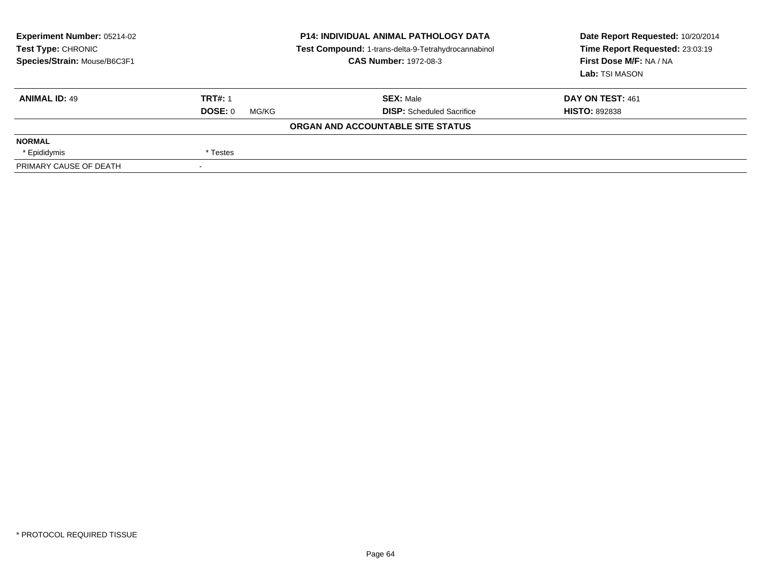| Experiment Number: 05214-02<br><b>Test Type: CHRONIC</b><br>Species/Strain: Mouse/B6C3F1 |                  | <b>P14: INDIVIDUAL ANIMAL PATHOLOGY DATA</b><br>Test Compound: 1-trans-delta-9-Tetrahydrocannabinol<br><b>CAS Number: 1972-08-3</b> | Date Report Requested: 10/20/2014<br>Time Report Requested: 23:03:19<br>First Dose M/F: NA / NA<br>Lab: TSI MASON |
|------------------------------------------------------------------------------------------|------------------|-------------------------------------------------------------------------------------------------------------------------------------|-------------------------------------------------------------------------------------------------------------------|
| <b>ANIMAL ID: 49</b>                                                                     | <b>TRT#: 1</b>   | <b>SEX:</b> Male                                                                                                                    | DAY ON TEST: 461                                                                                                  |
|                                                                                          | DOSE: 0<br>MG/KG | <b>DISP:</b> Scheduled Sacrifice                                                                                                    | <b>HISTO: 892838</b>                                                                                              |
|                                                                                          |                  | ORGAN AND ACCOUNTABLE SITE STATUS                                                                                                   |                                                                                                                   |
| <b>NORMAL</b>                                                                            |                  |                                                                                                                                     |                                                                                                                   |
| * Epididymis                                                                             | * Testes         |                                                                                                                                     |                                                                                                                   |
| PRIMARY CAUSE OF DEATH                                                                   | $\sim$           |                                                                                                                                     |                                                                                                                   |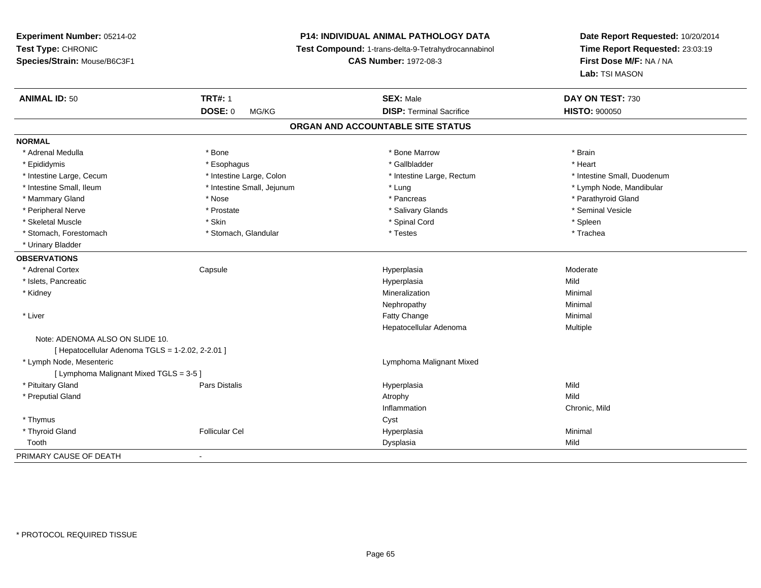**Experiment Number:** 05214-02**Test Type:** CHRONIC **Species/Strain:** Mouse/B6C3F1**P14: INDIVIDUAL ANIMAL PATHOLOGY DATA Test Compound:** 1-trans-delta-9-Tetrahydrocannabinol **CAS Number:** 1972-08-3**Date Report Requested:** 10/20/2014**Time Report Requested:** 23:03:19**First Dose M/F:** NA / NA**Lab:** TSI MASON**ANIMAL ID:** 50**TRT#:** 1 **SEX:** Male **DAY ON TEST:** 730 **DOSE:** 0 MG/KG**DISP:** Terminal Sacrifice **HISTO:**  $900050$ **ORGAN AND ACCOUNTABLE SITE STATUSNORMAL**\* Adrenal Medulla \* \* Annual Medulla \* Brain \* Bone \* \* Bone Marrow \* Bone Marrow \* \* Brain \* Brain \* Brain \* Brain \* Brain \* Brain \* Brain \* Brain \* Brain \* Brain \* Brain \* Brain \* Brain \* Brain \* Brain \* Brain \* Brain \* \* Heart \* Epididymis \* Esophagus \* Gallbladder \* Heart \* Intestine Large, Cecum \* Intestine Large, Colon \* Intestine Large, Rectum \* Intestine Small, Duodenum \* Intestine Small, Ileum \* Intestine Small, Jejunum \* Lung \* Lymph Node, Mandibular\* Mammary Gland \* \* Nose \* \* Nose \* \* Pancreas \* Pancreas \* \* Pancreas \* \* Pancreas \* \* Pancreas \* \* Parathyroid Gland \* Peripheral Nerve \* \* Annual Vesicle \* \* Prostate \* \* Salivary Glands \* \* Salivary Glands \* \* Seminal Vesicle \* Skeletal Muscle \* Skin \* Spinal Cord \* Spleen \* Trachea \* Stomach, Forestomach \* Testes \* Stomach, Glandular \* Testes \* Testes \* Testes \* Testes \* Testes \* Testes \* Testes \* Testes \* Testes \* Testes \* Testes \* Testes \* Testes \* Testes \* Testes \* Testes \* Testes \* Testes \* Teste \* Urinary Bladder**OBSERVATIONS** \* Adrenal Cortex Capsulee and the Hyperplasia measurement of the Moderate of the Moderate of the Moderate of the Moderate of the Moderate of the Moderate of the Moderate of the Moderate of the Moderate of the Moderate of the Moderate of the Moder \* Islets, Pancreaticc description of the control of the control of the control of the control of the control of the control of the control of the control of the control of the control of the control of the control of the control of the contro a Mild \* Kidneyy with the control of the control of the control of the control of the control of the control of the control of the control of the control of the control of the control of the control of the control of the control of the c n Minimal Nephropathyy the contract of the Minimal Minimal Section 1996 and the contract of the Minimal Section 1997 and the contract of the contract of the contract of the contract of the contract of the contract of the contract of the contra \* Liverr and the contract of the contract of the contract of the contract of the contract of the contract of the contract of the contract of the contract of the contract of the contract of the contract of the contract of the cont e Minimal Hepatocellular Adenoma Multiple Note: ADENOMA ALSO ON SLIDE 10. $[$  Hepatocellular Adenoma TGLS = 1-2.02, 2-2.01 ] \* Lymph Node, Mesenteric Lymphoma Malignant Mixed[ Lymphoma Malignant Mixed TGLS = 3-5 ] \* Pituitary Gland Pars Distalis Hyperplasia Mild \* Preputial Glandd and the control of the control of the control of the control of the control of the control of the control of the control of the control of the control of the control of the control of the control of the control of the co Inflammation Chronic, Mild \* Thymuss the contract of the contract of the contract of the contract of the contract of the contract of the contract of the contract of the contract of the contract of the contract of the contract of the contract of the contract \* Thyroid Gland Follicular Cel Hyperplasia Minimal Toothh ann an Chaidh ann an t-ainm an t-ainm an t-ainm an t-ainm an Dysplasia ann an t-ainm an Mild ann an Mild ann PRIMARY CAUSE OF DEATH-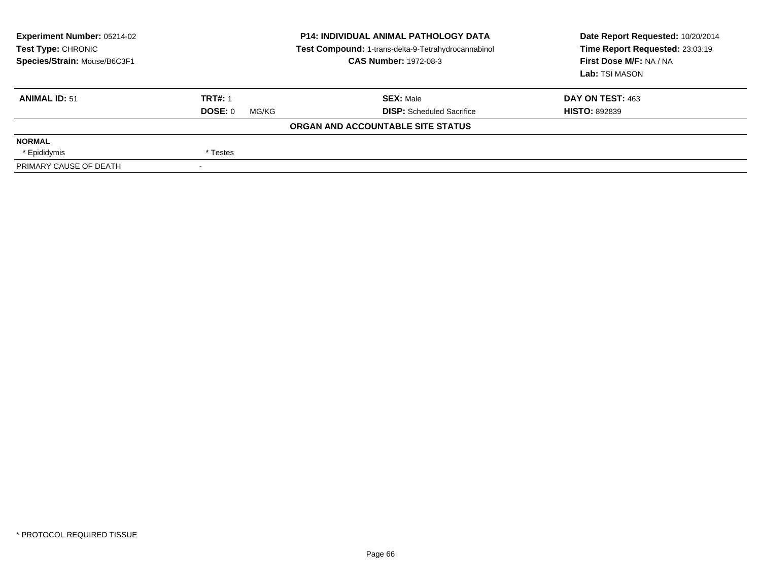| Experiment Number: 05214-02<br>Test Type: CHRONIC<br>Species/Strain: Mouse/B6C3F1 |                  | <b>P14: INDIVIDUAL ANIMAL PATHOLOGY DATA</b><br>Test Compound: 1-trans-delta-9-Tetrahydrocannabinol<br><b>CAS Number: 1972-08-3</b> | Date Report Requested: 10/20/2014<br>Time Report Requested: 23:03:19<br>First Dose M/F: NA / NA<br>Lab: TSI MASON |
|-----------------------------------------------------------------------------------|------------------|-------------------------------------------------------------------------------------------------------------------------------------|-------------------------------------------------------------------------------------------------------------------|
| <b>ANIMAL ID: 51</b>                                                              | <b>TRT#: 1</b>   | <b>SEX: Male</b>                                                                                                                    | DAY ON TEST: 463                                                                                                  |
|                                                                                   | DOSE: 0<br>MG/KG | <b>DISP:</b> Scheduled Sacrifice                                                                                                    | <b>HISTO: 892839</b>                                                                                              |
|                                                                                   |                  | ORGAN AND ACCOUNTABLE SITE STATUS                                                                                                   |                                                                                                                   |
| <b>NORMAL</b>                                                                     |                  |                                                                                                                                     |                                                                                                                   |
| * Epididymis                                                                      | * Testes         |                                                                                                                                     |                                                                                                                   |
| PRIMARY CAUSE OF DEATH                                                            |                  |                                                                                                                                     |                                                                                                                   |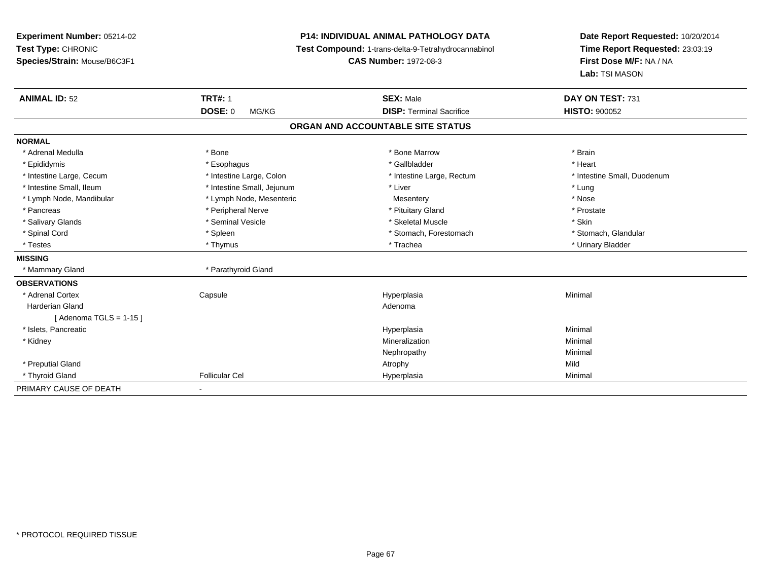| Experiment Number: 05214-02<br>Test Type: CHRONIC<br>Species/Strain: Mouse/B6C3F1 |                            | <b>P14: INDIVIDUAL ANIMAL PATHOLOGY DATA</b><br>Test Compound: 1-trans-delta-9-Tetrahydrocannabinol<br><b>CAS Number: 1972-08-3</b> | Date Report Requested: 10/20/2014<br>Time Report Requested: 23:03:19<br>First Dose M/F: NA / NA<br>Lab: TSI MASON |
|-----------------------------------------------------------------------------------|----------------------------|-------------------------------------------------------------------------------------------------------------------------------------|-------------------------------------------------------------------------------------------------------------------|
| <b>ANIMAL ID: 52</b>                                                              | <b>TRT#: 1</b>             | <b>SEX: Male</b>                                                                                                                    | DAY ON TEST: 731                                                                                                  |
|                                                                                   | <b>DOSE: 0</b><br>MG/KG    | <b>DISP: Terminal Sacrifice</b>                                                                                                     | <b>HISTO: 900052</b>                                                                                              |
|                                                                                   |                            | ORGAN AND ACCOUNTABLE SITE STATUS                                                                                                   |                                                                                                                   |
| <b>NORMAL</b>                                                                     |                            |                                                                                                                                     |                                                                                                                   |
| * Adrenal Medulla                                                                 | * Bone                     | * Bone Marrow                                                                                                                       | * Brain                                                                                                           |
| * Epididymis                                                                      | * Esophagus                | * Gallbladder                                                                                                                       | * Heart                                                                                                           |
| * Intestine Large, Cecum                                                          | * Intestine Large, Colon   | * Intestine Large, Rectum                                                                                                           | * Intestine Small, Duodenum                                                                                       |
| * Intestine Small, Ileum                                                          | * Intestine Small, Jejunum | * Liver                                                                                                                             | * Lung                                                                                                            |
| * Lymph Node, Mandibular                                                          | * Lymph Node, Mesenteric   | Mesentery                                                                                                                           | * Nose                                                                                                            |
| * Pancreas                                                                        | * Peripheral Nerve         | * Pituitary Gland                                                                                                                   | * Prostate                                                                                                        |
| * Salivary Glands                                                                 | * Seminal Vesicle          | * Skeletal Muscle                                                                                                                   | * Skin                                                                                                            |
| * Spinal Cord                                                                     | * Spleen                   | * Stomach, Forestomach                                                                                                              | * Stomach, Glandular                                                                                              |
| * Testes                                                                          | * Thymus                   | * Trachea                                                                                                                           | * Urinary Bladder                                                                                                 |
| <b>MISSING</b>                                                                    |                            |                                                                                                                                     |                                                                                                                   |
| * Mammary Gland                                                                   | * Parathyroid Gland        |                                                                                                                                     |                                                                                                                   |
| <b>OBSERVATIONS</b>                                                               |                            |                                                                                                                                     |                                                                                                                   |
| * Adrenal Cortex                                                                  | Capsule                    | Hyperplasia                                                                                                                         | Minimal                                                                                                           |
| <b>Harderian Gland</b>                                                            |                            | Adenoma                                                                                                                             |                                                                                                                   |
| [Adenoma TGLS = $1-15$ ]                                                          |                            |                                                                                                                                     |                                                                                                                   |
| * Islets, Pancreatic                                                              |                            | Hyperplasia                                                                                                                         | Minimal                                                                                                           |
| * Kidney                                                                          |                            | Mineralization                                                                                                                      | Minimal                                                                                                           |
|                                                                                   |                            | Nephropathy                                                                                                                         | Minimal                                                                                                           |
| * Preputial Gland                                                                 |                            | Atrophy                                                                                                                             | Mild                                                                                                              |
| * Thyroid Gland                                                                   | <b>Follicular Cel</b>      | Hyperplasia                                                                                                                         | Minimal                                                                                                           |
| PRIMARY CAUSE OF DEATH                                                            |                            |                                                                                                                                     |                                                                                                                   |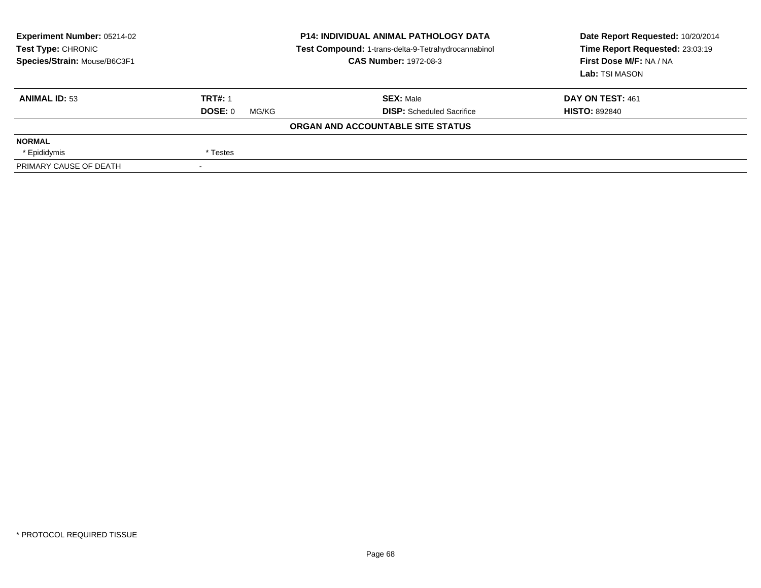| Experiment Number: 05214-02<br><b>Test Type: CHRONIC</b><br>Species/Strain: Mouse/B6C3F1 |                  | <b>P14: INDIVIDUAL ANIMAL PATHOLOGY DATA</b><br>Test Compound: 1-trans-delta-9-Tetrahydrocannabinol<br><b>CAS Number: 1972-08-3</b> | Date Report Requested: 10/20/2014<br>Time Report Requested: 23:03:19<br>First Dose M/F: NA / NA<br>Lab: TSI MASON |
|------------------------------------------------------------------------------------------|------------------|-------------------------------------------------------------------------------------------------------------------------------------|-------------------------------------------------------------------------------------------------------------------|
| <b>ANIMAL ID: 53</b>                                                                     | <b>TRT#: 1</b>   | <b>SEX: Male</b>                                                                                                                    | DAY ON TEST: 461                                                                                                  |
|                                                                                          | DOSE: 0<br>MG/KG | <b>DISP:</b> Scheduled Sacrifice                                                                                                    | <b>HISTO: 892840</b>                                                                                              |
|                                                                                          |                  | ORGAN AND ACCOUNTABLE SITE STATUS                                                                                                   |                                                                                                                   |
| <b>NORMAL</b>                                                                            |                  |                                                                                                                                     |                                                                                                                   |
| * Epididymis                                                                             | * Testes         |                                                                                                                                     |                                                                                                                   |
| PRIMARY CAUSE OF DEATH                                                                   |                  |                                                                                                                                     |                                                                                                                   |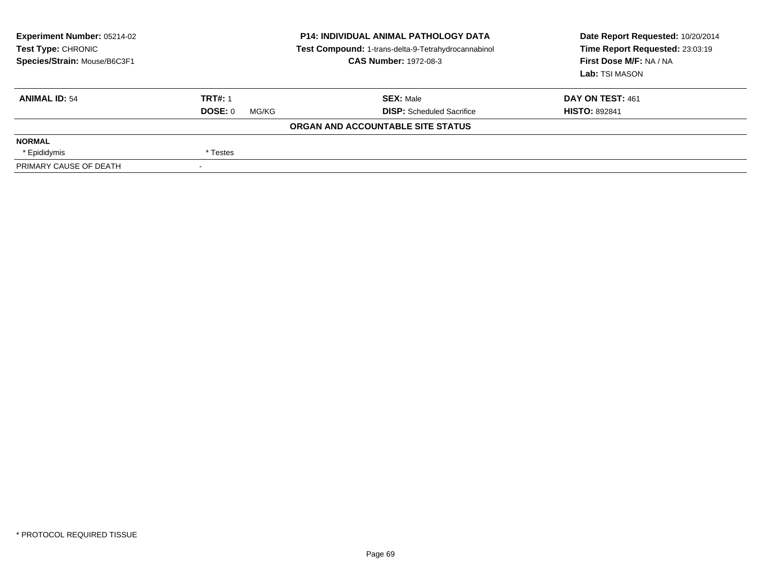| Experiment Number: 05214-02<br><b>Test Type: CHRONIC</b><br>Species/Strain: Mouse/B6C3F1 |                          | <b>P14: INDIVIDUAL ANIMAL PATHOLOGY DATA</b><br>Test Compound: 1-trans-delta-9-Tetrahydrocannabinol<br><b>CAS Number: 1972-08-3</b> | Date Report Requested: 10/20/2014<br>Time Report Requested: 23:03:19<br>First Dose M/F: NA / NA<br>Lab: TSI MASON |  |
|------------------------------------------------------------------------------------------|--------------------------|-------------------------------------------------------------------------------------------------------------------------------------|-------------------------------------------------------------------------------------------------------------------|--|
| <b>ANIMAL ID: 54</b>                                                                     | <b>TRT#: 1</b>           | <b>SEX: Male</b>                                                                                                                    | DAY ON TEST: 461                                                                                                  |  |
|                                                                                          | DOSE: 0<br>MG/KG         | <b>DISP:</b> Scheduled Sacrifice                                                                                                    | <b>HISTO: 892841</b>                                                                                              |  |
|                                                                                          |                          | ORGAN AND ACCOUNTABLE SITE STATUS                                                                                                   |                                                                                                                   |  |
| <b>NORMAL</b>                                                                            |                          |                                                                                                                                     |                                                                                                                   |  |
| * Epididymis                                                                             | * Testes                 |                                                                                                                                     |                                                                                                                   |  |
| PRIMARY CAUSE OF DEATH                                                                   | $\overline{\phantom{a}}$ |                                                                                                                                     |                                                                                                                   |  |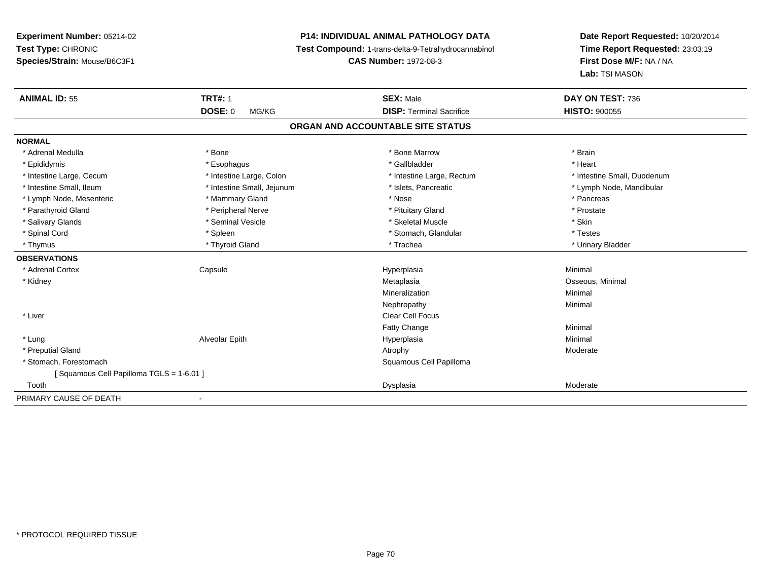# **P14: INDIVIDUAL ANIMAL PATHOLOGY DATA**

**Test Compound:** 1-trans-delta-9-Tetrahydrocannabinol

**CAS Number:** 1972-08-3

| <b>ANIMAL ID: 55</b>                    | <b>TRT#: 1</b>             | <b>SEX: Male</b>                  | DAY ON TEST: 736            |
|-----------------------------------------|----------------------------|-----------------------------------|-----------------------------|
|                                         | <b>DOSE: 0</b><br>MG/KG    | <b>DISP: Terminal Sacrifice</b>   | <b>HISTO: 900055</b>        |
|                                         |                            | ORGAN AND ACCOUNTABLE SITE STATUS |                             |
| <b>NORMAL</b>                           |                            |                                   |                             |
| * Adrenal Medulla                       | * Bone                     | * Bone Marrow                     | * Brain                     |
| * Epididymis                            | * Esophagus                | * Gallbladder                     | * Heart                     |
| * Intestine Large, Cecum                | * Intestine Large, Colon   | * Intestine Large, Rectum         | * Intestine Small, Duodenum |
| * Intestine Small, Ileum                | * Intestine Small, Jejunum | * Islets, Pancreatic              | * Lymph Node, Mandibular    |
| * Lymph Node, Mesenteric                | * Mammary Gland            | * Nose                            | * Pancreas                  |
| * Parathyroid Gland                     | * Peripheral Nerve         | * Pituitary Gland                 | * Prostate                  |
| * Salivary Glands                       | * Seminal Vesicle          | * Skeletal Muscle                 | * Skin                      |
| * Spinal Cord                           | * Spleen                   | * Stomach, Glandular              | * Testes                    |
| * Thymus                                | * Thyroid Gland            | * Trachea                         | * Urinary Bladder           |
| <b>OBSERVATIONS</b>                     |                            |                                   |                             |
| * Adrenal Cortex                        | Capsule                    | Hyperplasia                       | Minimal                     |
| * Kidney                                |                            | Metaplasia                        | Osseous, Minimal            |
|                                         |                            | Mineralization                    | Minimal                     |
|                                         |                            | Nephropathy                       | Minimal                     |
| * Liver                                 |                            | <b>Clear Cell Focus</b>           |                             |
|                                         |                            | Fatty Change                      | Minimal                     |
| * Lung                                  | Alveolar Epith             | Hyperplasia                       | Minimal                     |
| * Preputial Gland                       |                            | Atrophy                           | Moderate                    |
| * Stomach, Forestomach                  |                            | Squamous Cell Papilloma           |                             |
| [Squamous Cell Papilloma TGLS = 1-6.01] |                            |                                   |                             |
| Tooth                                   |                            | Dysplasia                         | Moderate                    |
| PRIMARY CAUSE OF DEATH                  |                            |                                   |                             |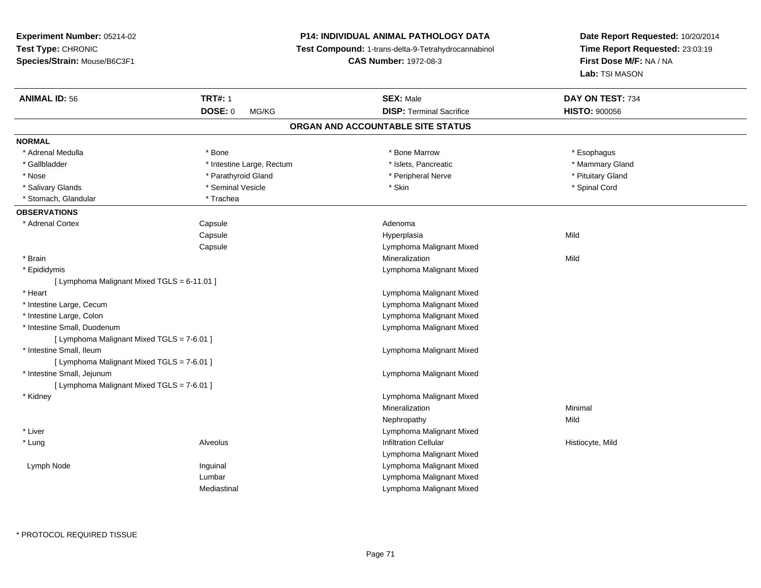# **P14: INDIVIDUAL ANIMAL PATHOLOGY DATA**

**Test Compound:** 1-trans-delta-9-Tetrahydrocannabinol

**CAS Number:** 1972-08-3

| <b>ANIMAL ID: 56</b>                        | <b>TRT#: 1</b>            | <b>SEX: Male</b>                  | DAY ON TEST: 734     |  |
|---------------------------------------------|---------------------------|-----------------------------------|----------------------|--|
|                                             | <b>DOSE: 0</b><br>MG/KG   | <b>DISP: Terminal Sacrifice</b>   | <b>HISTO: 900056</b> |  |
|                                             |                           | ORGAN AND ACCOUNTABLE SITE STATUS |                      |  |
| <b>NORMAL</b>                               |                           |                                   |                      |  |
| * Adrenal Medulla                           | * Bone                    | * Bone Marrow                     | * Esophagus          |  |
| * Gallbladder                               | * Intestine Large, Rectum | * Islets, Pancreatic              | * Mammary Gland      |  |
| * Nose                                      | * Parathyroid Gland       | * Peripheral Nerve                | * Pituitary Gland    |  |
| * Salivary Glands                           | * Seminal Vesicle         | * Skin                            | * Spinal Cord        |  |
| * Stomach, Glandular                        | * Trachea                 |                                   |                      |  |
| <b>OBSERVATIONS</b>                         |                           |                                   |                      |  |
| * Adrenal Cortex                            | Capsule                   | Adenoma                           |                      |  |
|                                             | Capsule                   | Hyperplasia                       | Mild                 |  |
|                                             | Capsule                   | Lymphoma Malignant Mixed          |                      |  |
| * Brain                                     |                           | Mineralization                    | Mild                 |  |
| * Epididymis                                |                           | Lymphoma Malignant Mixed          |                      |  |
| [ Lymphoma Malignant Mixed TGLS = 6-11.01 ] |                           |                                   |                      |  |
| * Heart                                     |                           | Lymphoma Malignant Mixed          |                      |  |
| * Intestine Large, Cecum                    |                           | Lymphoma Malignant Mixed          |                      |  |
| * Intestine Large, Colon                    |                           | Lymphoma Malignant Mixed          |                      |  |
| * Intestine Small, Duodenum                 |                           | Lymphoma Malignant Mixed          |                      |  |
| [ Lymphoma Malignant Mixed TGLS = 7-6.01 ]  |                           |                                   |                      |  |
| * Intestine Small, Ileum                    |                           | Lymphoma Malignant Mixed          |                      |  |
| [ Lymphoma Malignant Mixed TGLS = 7-6.01 ]  |                           |                                   |                      |  |
| * Intestine Small, Jejunum                  |                           | Lymphoma Malignant Mixed          |                      |  |
| [ Lymphoma Malignant Mixed TGLS = 7-6.01 ]  |                           |                                   |                      |  |
| * Kidney                                    |                           | Lymphoma Malignant Mixed          |                      |  |
|                                             |                           | Mineralization                    | Minimal              |  |
|                                             |                           | Nephropathy                       | Mild                 |  |
| * Liver                                     |                           | Lymphoma Malignant Mixed          |                      |  |
| * Lung                                      | Alveolus                  | <b>Infiltration Cellular</b>      | Histiocyte, Mild     |  |
|                                             |                           | Lymphoma Malignant Mixed          |                      |  |
| Lymph Node                                  | Inguinal                  | Lymphoma Malignant Mixed          |                      |  |
|                                             | Lumbar                    | Lymphoma Malignant Mixed          |                      |  |
|                                             | Mediastinal               | Lymphoma Malignant Mixed          |                      |  |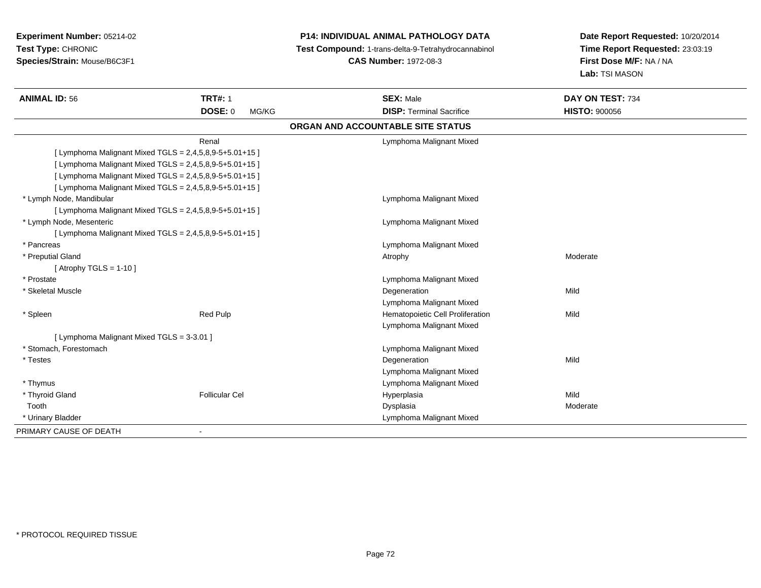# **P14: INDIVIDUAL ANIMAL PATHOLOGY DATA**

**Test Compound:** 1-trans-delta-9-Tetrahydrocannabinol

**CAS Number:** 1972-08-3

| <b>ANIMAL ID: 56</b>                                      | <b>TRT#: 1</b>          | <b>SEX: Male</b>                  | DAY ON TEST: 734     |  |
|-----------------------------------------------------------|-------------------------|-----------------------------------|----------------------|--|
|                                                           | <b>DOSE: 0</b><br>MG/KG | <b>DISP: Terminal Sacrifice</b>   | <b>HISTO: 900056</b> |  |
|                                                           |                         | ORGAN AND ACCOUNTABLE SITE STATUS |                      |  |
|                                                           | Renal                   | Lymphoma Malignant Mixed          |                      |  |
| [ Lymphoma Malignant Mixed TGLS = 2,4,5,8,9-5+5.01+15 ]   |                         |                                   |                      |  |
| [ Lymphoma Malignant Mixed TGLS = 2,4,5,8,9-5+5.01+15 ]   |                         |                                   |                      |  |
| [ Lymphoma Malignant Mixed TGLS = 2,4,5,8,9-5+5.01+15 ]   |                         |                                   |                      |  |
| [ Lymphoma Malignant Mixed TGLS = 2,4,5,8,9-5+5.01+15 ]   |                         |                                   |                      |  |
| * Lymph Node, Mandibular                                  |                         | Lymphoma Malignant Mixed          |                      |  |
| [ Lymphoma Malignant Mixed TGLS = 2,4,5,8,9-5+5.01+15 ]   |                         |                                   |                      |  |
| * Lymph Node, Mesenteric                                  |                         | Lymphoma Malignant Mixed          |                      |  |
| [ Lymphoma Malignant Mixed TGLS = $2,4,5,8,9-5+5.01+15$ ] |                         |                                   |                      |  |
| * Pancreas                                                |                         | Lymphoma Malignant Mixed          |                      |  |
| * Preputial Gland                                         |                         | Atrophy                           | Moderate             |  |
| [Atrophy TGLS = $1-10$ ]                                  |                         |                                   |                      |  |
| * Prostate                                                |                         | Lymphoma Malignant Mixed          |                      |  |
| * Skeletal Muscle                                         |                         | Degeneration                      | Mild                 |  |
|                                                           |                         | Lymphoma Malignant Mixed          |                      |  |
| * Spleen                                                  | Red Pulp                | Hematopoietic Cell Proliferation  | Mild                 |  |
|                                                           |                         | Lymphoma Malignant Mixed          |                      |  |
| [ Lymphoma Malignant Mixed TGLS = 3-3.01 ]                |                         |                                   |                      |  |
| * Stomach. Forestomach                                    |                         | Lymphoma Malignant Mixed          |                      |  |
| * Testes                                                  |                         | Degeneration                      | Mild                 |  |
|                                                           |                         | Lymphoma Malignant Mixed          |                      |  |
| * Thymus                                                  |                         | Lymphoma Malignant Mixed          |                      |  |
| * Thyroid Gland                                           | <b>Follicular Cel</b>   | Hyperplasia                       | Mild                 |  |
| Tooth                                                     |                         | Dysplasia                         | Moderate             |  |
| * Urinary Bladder                                         |                         | Lymphoma Malignant Mixed          |                      |  |
| PRIMARY CAUSE OF DEATH                                    |                         |                                   |                      |  |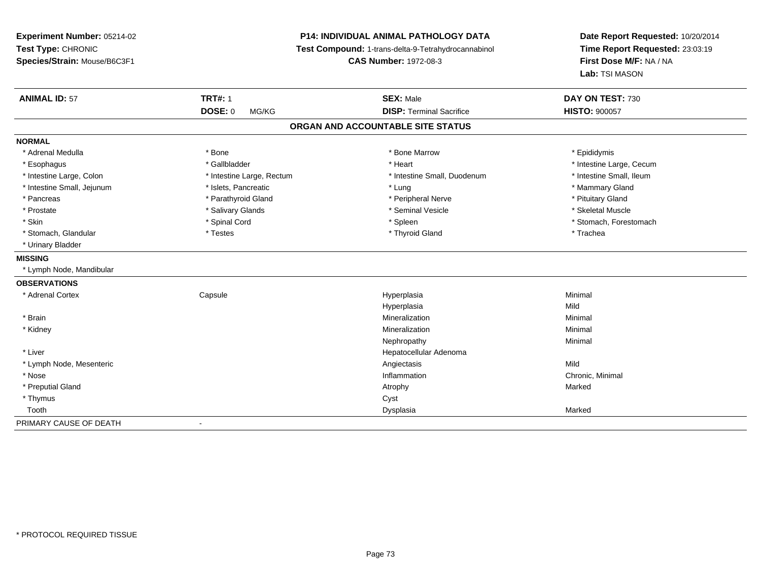**Experiment Number:** 05214-02**Test Type:** CHRONIC **Species/Strain:** Mouse/B6C3F1**P14: INDIVIDUAL ANIMAL PATHOLOGY DATA Test Compound:** 1-trans-delta-9-Tetrahydrocannabinol **CAS Number:** 1972-08-3**Date Report Requested:** 10/20/2014**Time Report Requested:** 23:03:19**First Dose M/F:** NA / NA**Lab:** TSI MASON**ANIMAL ID:** 57**TRT#:** 1 **SEX:** Male **DAY ON TEST:** 730 **DOSE:** 0 MG/KG **DISP:** Terminal Sacrifice **HISTO:** <sup>900057</sup> **ORGAN AND ACCOUNTABLE SITE STATUSNORMAL**\* Adrenal Medulla \* Adrenal Medulla \* \* The matter of the state of the state of the Marrow \* Bone Marrow \* Adrenal Medulla \* Epididymis \* Epididymis \* Bone Marrow \* Adrenal Medulla \* Epididymis \* Epididymis \* Epididymis \* Epididymis \* Epidi \* Esophagus \* https://www.fragustage.com/web/2019/heart \* Heart \* Heart \* Heart \* Intestine Large, Cecum \* Intestine Large, Cecum \* Gallbladder \* Callbladder \* 11 and 12 and 12 and 12 and 12 and 12 and 12 and 12 and 12 and \* Intestine Small, Ileum \* Intestine Large, Colon \* Intestine Large, Rectum \* Intestine Small, Duodenum \* Intestine Small, Duodenum \* Intestine Small, Jejunum \* The matches of the state of the state of the state of the state of the state of the state of the state of the state of the state of the state of the state of the state of the state of the state \* Pancreas \* Parathyroid Gland \* **Parathyroid Gland** \* Peripheral Nerve \* Peripheral Nerve \* Pituitary Gland \* Skeletal Muscle \* Prostate \* \* Skeletal Muscle \* \* Salivary Glands \* \* Steminal Vesicle \* \* Seminal Vesicle \* \* Skeletal Muscle \* Skin \* Spinal Cord \* Spinal Cord \* Spinal Cord \* Spinal \* Spinal \* Stomach, Forestomach \* Stomach, Forestomach \* Stomach, Glandular \* Trachea \* Testes \* Thyroid Gland \* Thyroid Gland \* Thyroid Gland \* Trachea \* Urinary Bladder**MISSING** \* Lymph Node, Mandibular**OBSERVATIONS** \* Adrenal Cortex Capsule Hyperplasia Minimal Hyperplasiaa Mild \* Brainn and the controller of the controller of the controller of the Minimal Mineralization and the controller of the Minimal Minimal of the controller of the controller of the controller of the controller of the controller of \* Kidneyy with the control of the control of the control of the control of the control of the control of the control of the control of the control of the control of the control of the control of the control of the control of the c n Minimal Nephropathyy the contract of the Minimal Minimal Section 1996 and the contract of the Minimal Section 1997 and the contract of the contract of the contract of the contract of the contract of the contract of the contract of the contra \* Liver Hepatocellular Adenoma \* Lymph Node, Mesenteric Angiectasis MildChronic, Minimal \* Nosee the contraction of the contraction of the contraction of the contraction of the chronic, Minimal on the chronic, Minimal or  $\mathbb{R}^n$  \* Preputial Glandd and the control of the control of the control of the control of the control of the control of the control of the control of the control of the control of the control of the control of the control of the control of the co \* Thymuss the contract of the contract of the contract of the contract of the contract of the contract of the contract of the contract of the contract of the contract of the contract of the contract of the contract of the contract Toothh ann an chomhainn an chomhainn an chomhainn an chomhainn an chomhainn an chomhainn an chomhainn an chomhainn a<br>Iomraidhean PRIMARY CAUSE OF DEATH-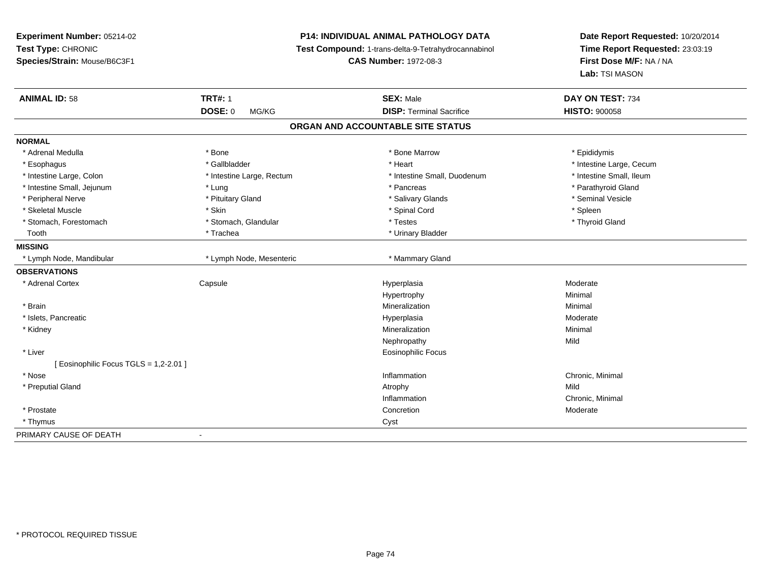**Experiment Number:** 05214-02**Test Type:** CHRONIC **Species/Strain:** Mouse/B6C3F1**P14: INDIVIDUAL ANIMAL PATHOLOGY DATA Test Compound:** 1-trans-delta-9-Tetrahydrocannabinol **CAS Number:** 1972-08-3**Date Report Requested:** 10/20/2014**Time Report Requested:** 23:03:19**First Dose M/F:** NA / NA**Lab:** TSI MASON**ANIMAL ID:** 58**TRT#:** 1 **SEX:** Male **DAY ON TEST:** 734 **DOSE:** 0 MG/KG **DISP:** Terminal Sacrifice **HISTO:** <sup>900058</sup> **ORGAN AND ACCOUNTABLE SITE STATUSNORMAL**\* Adrenal Medulla \* Adrenal Medulla \* \* The matter of the state of the state of the Marrow \* Bone Marrow \* Adrenal Medulla \* Epididymis \* Epididymis \* Bone Marrow \* Adrenal Medulla \* Epididymis \* Epididymis \* Epididymis \* Epididymis \* Epidi \* Esophagus \* https://www.fragustage.com/web/2019/heart \* Heart \* Heart \* Heart \* Intestine Large, Cecum \* Intestine Large, Cecum \* Gallbladder \* Callbladder \* 11 and 12 and 12 and 12 and 12 and 12 and 12 and 12 and 12 and \* Intestine Small, Ileum \* Intestine Large, Colon \* Intestine Large, Rectum \* Intestine Small, Duodenum \* Intestine Small, Duodenum \* Intestine Small, Jejunum \* The same of the state of the state of the state of the state of the state of the state of the state of the state of the state of the state of the state of the state of the state of the state of \* Peripheral Nerve \* \* And the state of the state of the state of the state of the state of the state of the state of the state of the state of the state of the state of the state of the state of the state of the state of \* Skeletal Muscle \* Skin \* Spinal Cord \* Spleen \* Thyroid Gland \* Stomach, Forestomach \* Testes \* Stomach, Glandular \* Testes \* Testes \* Testes \* Testes \* Testes \* Testes \* T Tooth **1986 1986 1997 <b>1998 1999 1999 1999 1999 1999 1999 1999 1999 1999 1999 1999 1999 1999 1999 1999 1999 1999 1999 1999 1999 1999 1999 1999 1999 1999 1999 1999 MISSING**\* Lymph Node, Mandibular \* Lymph Node, Mesenteric \* Mammary Gland **OBSERVATIONS** \* Adrenal Cortex**Capsule** e and the Hyperplasia Moderate Moderate and the Hyperplasia method of the Moderate Moderate  $\mathsf{M}$ Hypertrophyy the contract of the Minimal Minimal Section 1, 1986, 1987, 1988, 1988, 1988, 1988, 1988, 1988, 198 \* Brainn and the controller of the controller of the controller of the Minimal Mineralization and the controller of the Minimal Minimal of the controller of the controller of the controller of the controller of the controller of \* Islets, Pancreaticc and the control of the control of the control of the control of the control of the control of the control of the control of the control of the control of the control of the control of the control of the control of the co a **Moderate**  \* Kidneyy with the control of the control of the control of the control of the control of the control of the control of the control of the control of the control of the control of the control of the control of the control of the c n Minimal Nephropathyy Mild \* Liver Eosinophilic Focus[ Eosinophilic Focus TGLS = 1,2-2.01 ] \* Nosee the contraction of the contraction of the contraction of the contraction of the chronic, Minimal on the chronic, Minimal or  $\mathbb{R}^n$  \* Preputial Glandd and the control of the control of the control of the control of the control of the control of the control of the control of the control of the control of the control of the control of the control of the control of the co Inflammation Chronic, Minimal \* Prostatee and the concretion of the concretion of the concretion of the concretion of the concretion of the concretion  $\mathsf{M}$ oderate \* Thymuss and the contract of the contract of the contract of the contract of the contract of the contract of the contract of the contract of the contract of the contract of the contract of the contract of the contract of the cont PRIMARY CAUSE OF DEATH-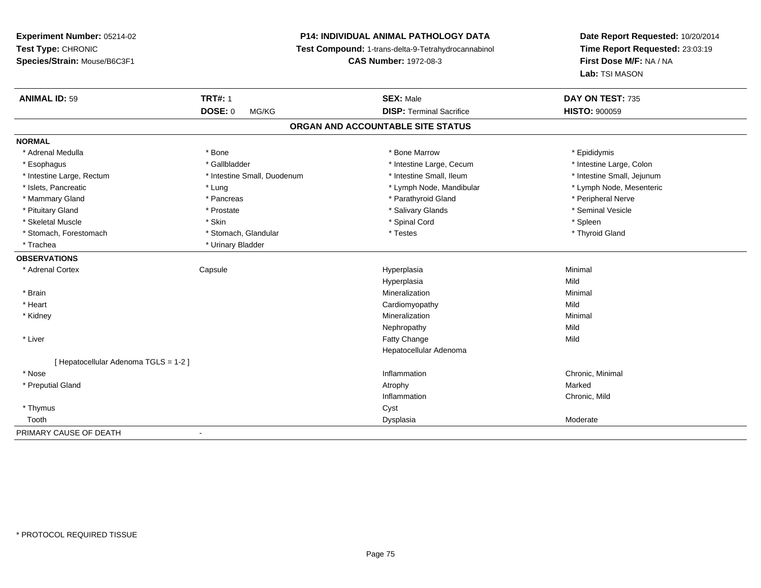# **P14: INDIVIDUAL ANIMAL PATHOLOGY DATA**

**Test Compound:** 1-trans-delta-9-Tetrahydrocannabinol

**CAS Number:** 1972-08-3

| <b>ANIMAL ID: 59</b>                | <b>TRT#: 1</b>              | <b>SEX: Male</b>                | DAY ON TEST: 735           |  |  |  |
|-------------------------------------|-----------------------------|---------------------------------|----------------------------|--|--|--|
|                                     | <b>DOSE: 0</b><br>MG/KG     | <b>DISP: Terminal Sacrifice</b> | <b>HISTO: 900059</b>       |  |  |  |
| ORGAN AND ACCOUNTABLE SITE STATUS   |                             |                                 |                            |  |  |  |
| <b>NORMAL</b>                       |                             |                                 |                            |  |  |  |
| * Adrenal Medulla                   | * Bone                      | * Bone Marrow                   | * Epididymis               |  |  |  |
| * Esophagus                         | * Gallbladder               | * Intestine Large, Cecum        | * Intestine Large, Colon   |  |  |  |
| * Intestine Large, Rectum           | * Intestine Small, Duodenum | * Intestine Small, Ileum        | * Intestine Small, Jejunum |  |  |  |
| * Islets, Pancreatic                | * Lung                      | * Lymph Node, Mandibular        | * Lymph Node, Mesenteric   |  |  |  |
| * Mammary Gland                     | * Pancreas                  | * Parathyroid Gland             | * Peripheral Nerve         |  |  |  |
| * Pituitary Gland                   | * Prostate                  | * Salivary Glands               | * Seminal Vesicle          |  |  |  |
| * Skeletal Muscle                   | * Skin                      | * Spinal Cord                   | * Spleen                   |  |  |  |
| * Stomach, Forestomach              | * Stomach, Glandular        | * Testes                        | * Thyroid Gland            |  |  |  |
| * Trachea                           | * Urinary Bladder           |                                 |                            |  |  |  |
| <b>OBSERVATIONS</b>                 |                             |                                 |                            |  |  |  |
| * Adrenal Cortex                    | Capsule                     | Hyperplasia                     | Minimal                    |  |  |  |
|                                     |                             | Hyperplasia                     | Mild                       |  |  |  |
| * Brain                             |                             | Mineralization                  | Minimal                    |  |  |  |
| * Heart                             |                             | Cardiomyopathy                  | Mild                       |  |  |  |
| * Kidney                            |                             | Mineralization                  | Minimal                    |  |  |  |
|                                     |                             | Nephropathy                     | Mild                       |  |  |  |
| * Liver                             |                             | Fatty Change                    | Mild                       |  |  |  |
|                                     |                             | Hepatocellular Adenoma          |                            |  |  |  |
| [Hepatocellular Adenoma TGLS = 1-2] |                             |                                 |                            |  |  |  |
| * Nose                              |                             | Inflammation                    | Chronic, Minimal           |  |  |  |
| * Preputial Gland                   |                             | Atrophy                         | Marked                     |  |  |  |
|                                     |                             | Inflammation                    | Chronic, Mild              |  |  |  |
| * Thymus                            |                             | Cyst                            |                            |  |  |  |
| Tooth                               |                             | Dysplasia                       | Moderate                   |  |  |  |
| PRIMARY CAUSE OF DEATH              | $\blacksquare$              |                                 |                            |  |  |  |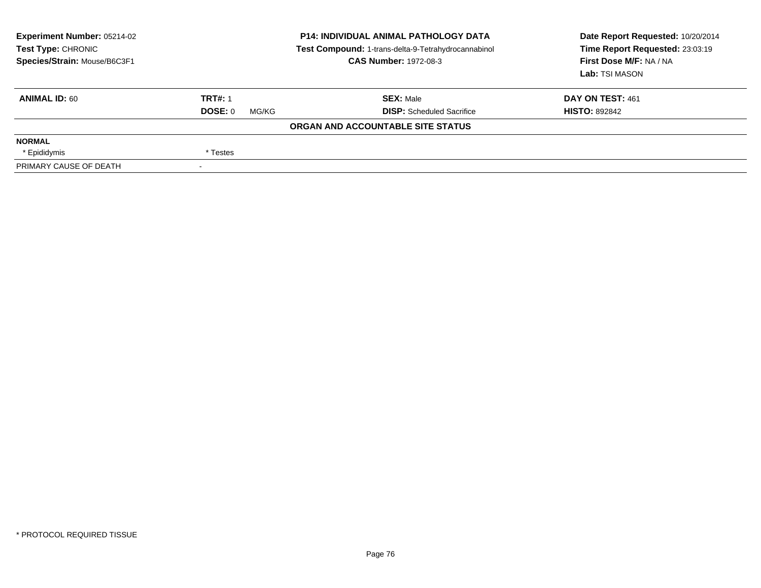| Experiment Number: 05214-02<br>Test Type: CHRONIC<br>Species/Strain: Mouse/B6C3F1 | <b>P14: INDIVIDUAL ANIMAL PATHOLOGY DATA</b><br>Test Compound: 1-trans-delta-9-Tetrahydrocannabinol<br><b>CAS Number: 1972-08-3</b> |                                   | Date Report Requested: 10/20/2014<br>Time Report Requested: 23:03:19<br>First Dose M/F: NA / NA<br>Lab: TSI MASON |  |
|-----------------------------------------------------------------------------------|-------------------------------------------------------------------------------------------------------------------------------------|-----------------------------------|-------------------------------------------------------------------------------------------------------------------|--|
| <b>ANIMAL ID: 60</b>                                                              | <b>TRT#: 1</b>                                                                                                                      | <b>SEX: Male</b>                  | DAY ON TEST: 461                                                                                                  |  |
|                                                                                   | DOSE: 0<br>MG/KG                                                                                                                    | <b>DISP:</b> Scheduled Sacrifice  | <b>HISTO: 892842</b>                                                                                              |  |
|                                                                                   |                                                                                                                                     | ORGAN AND ACCOUNTABLE SITE STATUS |                                                                                                                   |  |
| <b>NORMAL</b>                                                                     |                                                                                                                                     |                                   |                                                                                                                   |  |
| * Epididymis                                                                      | * Testes                                                                                                                            |                                   |                                                                                                                   |  |
| PRIMARY CAUSE OF DEATH                                                            |                                                                                                                                     |                                   |                                                                                                                   |  |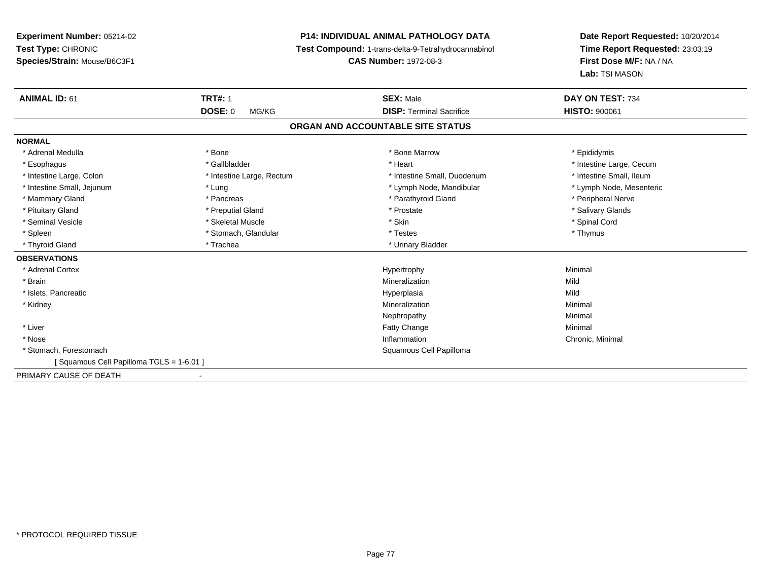# **P14: INDIVIDUAL ANIMAL PATHOLOGY DATA**

**Test Compound:** 1-trans-delta-9-Tetrahydrocannabinol

**CAS Number:** 1972-08-3

| <b>ANIMAL ID: 61</b>                    | <b>TRT#: 1</b>            | <b>SEX: Male</b>                  | DAY ON TEST: 734         |  |
|-----------------------------------------|---------------------------|-----------------------------------|--------------------------|--|
|                                         | <b>DOSE: 0</b><br>MG/KG   | <b>DISP: Terminal Sacrifice</b>   | <b>HISTO: 900061</b>     |  |
|                                         |                           | ORGAN AND ACCOUNTABLE SITE STATUS |                          |  |
| <b>NORMAL</b>                           |                           |                                   |                          |  |
| * Adrenal Medulla                       | * Bone                    | * Bone Marrow                     | * Epididymis             |  |
| * Esophagus                             | * Gallbladder             | * Heart                           | * Intestine Large, Cecum |  |
| * Intestine Large, Colon                | * Intestine Large, Rectum | * Intestine Small, Duodenum       | * Intestine Small, Ileum |  |
| * Intestine Small, Jejunum              | * Lung                    | * Lymph Node, Mandibular          | * Lymph Node, Mesenteric |  |
| * Mammary Gland                         | * Pancreas                | * Parathyroid Gland               | * Peripheral Nerve       |  |
| * Pituitary Gland                       | * Preputial Gland         | * Prostate                        | * Salivary Glands        |  |
| * Seminal Vesicle                       | * Skeletal Muscle         | * Skin                            | * Spinal Cord            |  |
| * Spleen                                | * Stomach, Glandular      | * Testes                          | * Thymus                 |  |
| * Thyroid Gland                         | * Trachea                 | * Urinary Bladder                 |                          |  |
| <b>OBSERVATIONS</b>                     |                           |                                   |                          |  |
| * Adrenal Cortex                        |                           | Hypertrophy                       | Minimal                  |  |
| * Brain                                 |                           | Mineralization                    | Mild                     |  |
| * Islets, Pancreatic                    |                           | Hyperplasia                       | Mild                     |  |
| * Kidney                                |                           | Mineralization                    | Minimal                  |  |
|                                         |                           | Nephropathy                       | Minimal                  |  |
| * Liver                                 |                           | <b>Fatty Change</b>               | Minimal                  |  |
| * Nose                                  |                           | Inflammation                      | Chronic, Minimal         |  |
| * Stomach. Forestomach                  |                           | Squamous Cell Papilloma           |                          |  |
| [Squamous Cell Papilloma TGLS = 1-6.01] |                           |                                   |                          |  |
| PRIMARY CAUSE OF DEATH                  |                           |                                   |                          |  |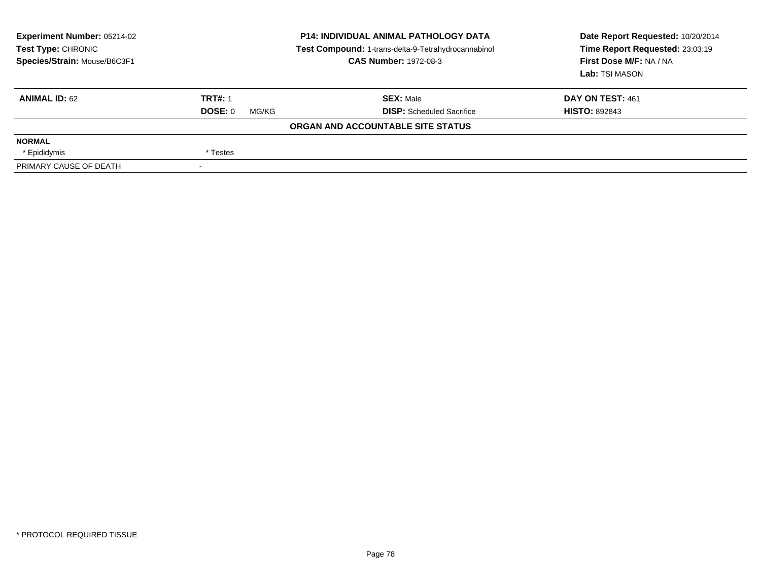| Experiment Number: 05214-02<br><b>Test Type: CHRONIC</b><br>Species/Strain: Mouse/B6C3F1 |                          | <b>P14: INDIVIDUAL ANIMAL PATHOLOGY DATA</b><br>Test Compound: 1-trans-delta-9-Tetrahydrocannabinol<br><b>CAS Number: 1972-08-3</b> | Date Report Requested: 10/20/2014<br>Time Report Requested: 23:03:19<br>First Dose M/F: NA / NA<br>Lab: TSI MASON |
|------------------------------------------------------------------------------------------|--------------------------|-------------------------------------------------------------------------------------------------------------------------------------|-------------------------------------------------------------------------------------------------------------------|
| <b>ANIMAL ID: 62</b>                                                                     | <b>TRT#: 1</b>           | <b>SEX: Male</b>                                                                                                                    | DAY ON TEST: 461                                                                                                  |
|                                                                                          | DOSE: 0<br>MG/KG         | <b>DISP:</b> Scheduled Sacrifice                                                                                                    | <b>HISTO: 892843</b>                                                                                              |
|                                                                                          |                          | ORGAN AND ACCOUNTABLE SITE STATUS                                                                                                   |                                                                                                                   |
| <b>NORMAL</b>                                                                            |                          |                                                                                                                                     |                                                                                                                   |
| * Epididymis                                                                             | * Testes                 |                                                                                                                                     |                                                                                                                   |
| PRIMARY CAUSE OF DEATH                                                                   | $\overline{\phantom{a}}$ |                                                                                                                                     |                                                                                                                   |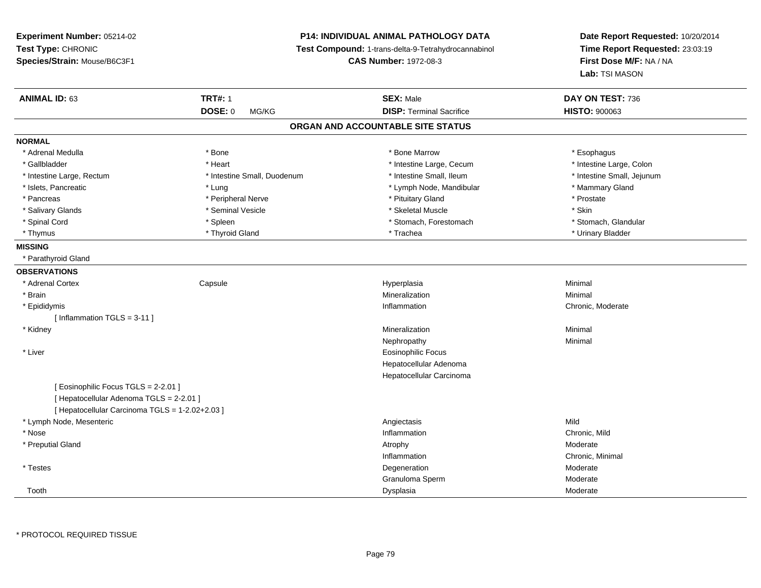# **P14: INDIVIDUAL ANIMAL PATHOLOGY DATA**

**Test Compound:** 1-trans-delta-9-Tetrahydrocannabinol

**CAS Number:** 1972-08-3

| <b>ANIMAL ID: 63</b>                            | <b>TRT#: 1</b>              | <b>SEX: Male</b>                  | DAY ON TEST: 736           |
|-------------------------------------------------|-----------------------------|-----------------------------------|----------------------------|
|                                                 | DOSE: 0<br>MG/KG            | <b>DISP: Terminal Sacrifice</b>   | <b>HISTO: 900063</b>       |
|                                                 |                             | ORGAN AND ACCOUNTABLE SITE STATUS |                            |
| <b>NORMAL</b>                                   |                             |                                   |                            |
| * Adrenal Medulla                               | * Bone                      | * Bone Marrow                     | * Esophagus                |
| * Gallbladder                                   | * Heart                     | * Intestine Large, Cecum          | * Intestine Large, Colon   |
| * Intestine Large, Rectum                       | * Intestine Small, Duodenum | * Intestine Small, Ileum          | * Intestine Small, Jejunum |
| * Islets, Pancreatic                            | * Lung                      | * Lymph Node, Mandibular          | * Mammary Gland            |
| * Pancreas                                      | * Peripheral Nerve          | * Pituitary Gland                 | * Prostate                 |
| * Salivary Glands                               | * Seminal Vesicle           | * Skeletal Muscle                 | * Skin                     |
| * Spinal Cord                                   | * Spleen                    | * Stomach, Forestomach            | * Stomach, Glandular       |
| * Thymus                                        | * Thyroid Gland             | * Trachea                         | * Urinary Bladder          |
| <b>MISSING</b>                                  |                             |                                   |                            |
| * Parathyroid Gland                             |                             |                                   |                            |
| <b>OBSERVATIONS</b>                             |                             |                                   |                            |
| * Adrenal Cortex                                | Capsule                     | Hyperplasia                       | Minimal                    |
| * Brain                                         |                             | Mineralization                    | Minimal                    |
| * Epididymis                                    |                             | Inflammation                      | Chronic, Moderate          |
| [Inflammation TGLS = 3-11]                      |                             |                                   |                            |
| * Kidney                                        |                             | Mineralization                    | Minimal                    |
|                                                 |                             | Nephropathy                       | Minimal                    |
| * Liver                                         |                             | <b>Eosinophilic Focus</b>         |                            |
|                                                 |                             | Hepatocellular Adenoma            |                            |
|                                                 |                             | Hepatocellular Carcinoma          |                            |
| [ Eosinophilic Focus TGLS = 2-2.01 ]            |                             |                                   |                            |
| [ Hepatocellular Adenoma TGLS = 2-2.01 ]        |                             |                                   |                            |
| [ Hepatocellular Carcinoma TGLS = 1-2.02+2.03 ] |                             |                                   |                            |
| * Lymph Node, Mesenteric                        |                             | Angiectasis                       | Mild                       |
| * Nose                                          |                             | Inflammation                      | Chronic, Mild              |
| * Preputial Gland                               |                             | Atrophy                           | Moderate                   |
|                                                 |                             | Inflammation                      | Chronic, Minimal           |
| * Testes                                        |                             | Degeneration                      | Moderate                   |
|                                                 |                             | Granuloma Sperm                   | Moderate                   |
| Tooth                                           |                             | Dysplasia                         | Moderate                   |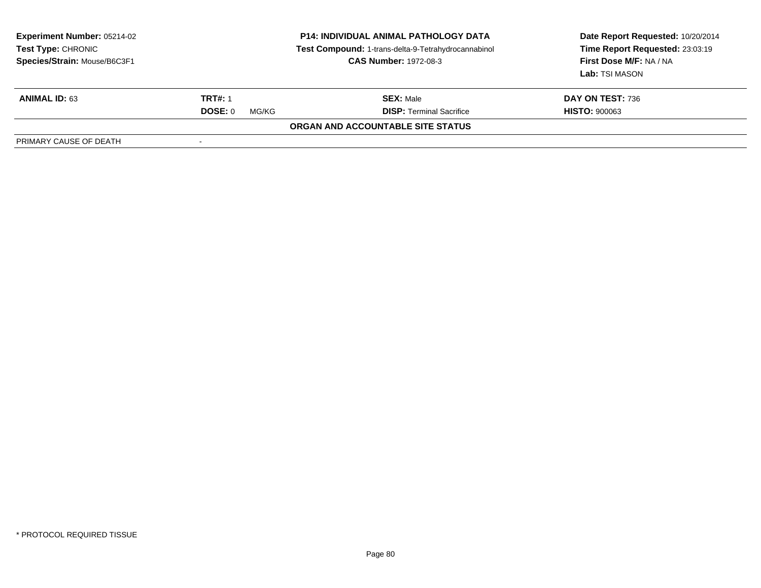| <b>Experiment Number: 05214-02</b><br><b>Test Type: CHRONIC</b><br>Species/Strain: Mouse/B6C3F1 | <b>P14: INDIVIDUAL ANIMAL PATHOLOGY DATA</b><br>Test Compound: 1-trans-delta-9-Tetrahydrocannabinol<br><b>CAS Number: 1972-08-3</b> |                                          | Date Report Requested: 10/20/2014<br>Time Report Requested: 23:03:19<br>First Dose M/F: NA / NA<br>Lab: TSI MASON |
|-------------------------------------------------------------------------------------------------|-------------------------------------------------------------------------------------------------------------------------------------|------------------------------------------|-------------------------------------------------------------------------------------------------------------------|
| <b>ANIMAL ID: 63</b>                                                                            | <b>TRT#: 1</b>                                                                                                                      | <b>SEX: Male</b>                         | DAY ON TEST: 736                                                                                                  |
|                                                                                                 | DOSE: 0<br>MG/KG                                                                                                                    | <b>DISP: Terminal Sacrifice</b>          | <b>HISTO: 900063</b>                                                                                              |
|                                                                                                 |                                                                                                                                     | <b>ORGAN AND ACCOUNTABLE SITE STATUS</b> |                                                                                                                   |
| PRIMARY CAUSE OF DEATH                                                                          |                                                                                                                                     |                                          |                                                                                                                   |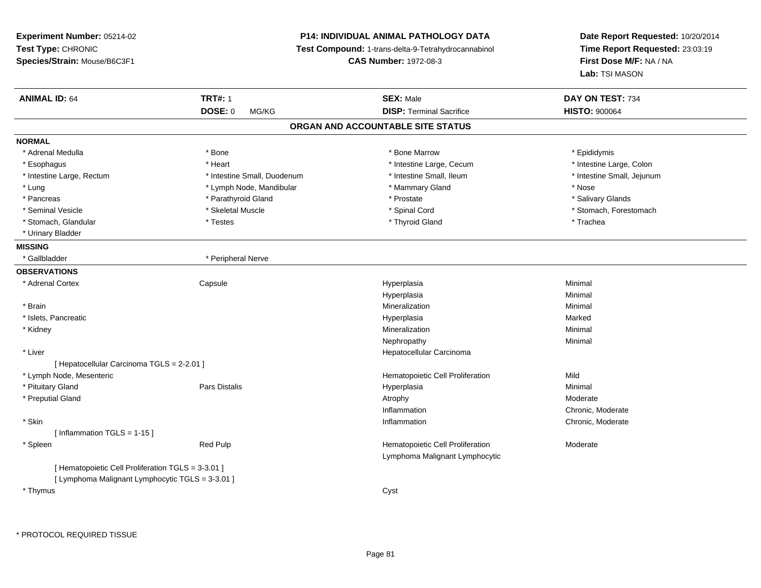**Experiment Number:** 05214-02**Test Type:** CHRONIC **Species/Strain:** Mouse/B6C3F1**P14: INDIVIDUAL ANIMAL PATHOLOGY DATA Test Compound:** 1-trans-delta-9-Tetrahydrocannabinol **CAS Number:** 1972-08-3**Date Report Requested:** 10/20/2014**Time Report Requested:** 23:03:19**First Dose M/F:** NA / NA**Lab:** TSI MASON**ANIMAL ID:** 64 **TRT#:** <sup>1</sup> **SEX:** Male **DAY ON TEST:** <sup>734</sup> **DOSE:** 0 MG/KG**DISP:** Terminal Sacrifice **HISTO:**  $900064$ **ORGAN AND ACCOUNTABLE SITE STATUSNORMAL**\* Adrenal Medulla \* Adrenal Medulla \* \* The matter of the state of the state of the Marrow \* Bone Marrow \* Adrenal Medulla \* Epididymis \* Epididymis \* Bone Marrow \* Adrenal Medulla \* Epididymis \* Epididymis \* Epididymis \* Epididymis \* Epidi \* Intestine Large, Colon \* Esophagus \* **Intestine Large, Cecum \* Intestine Large, Cecum \*** Intestine Large, Cecum \* Intestine Large, Rectum \* Thestine Small, Duodenum \* Number of the small, Ileum \* Intestine Small, Jejunum \* Intestine Small, Jejunum \* Lung \* Lymph Node, Mandibular \* \* Mammary Gland \* Mose \* Nose \* Nose \* Nose \* Nose \* Nose \* Nose \*  $\sim$  \* Nose \* Salivary Glands \* Pancreas \* And the second term in the second term in the second term in the second term in the second term in the second term in the second term in the second term in the second term in the second term in the second term \* Seminal Vesicle \* The state of the state of the set of the set of the set of the set of the set of the set of the set of the set of the set of the set of the set of the set of the set of the set of the set of the set of \* Stomach, Glandular \* \* Trachea \* Testes \* Thyroid Gland \* Thyroid Gland \* Trachea \* Trachea \* Trachea \* Trachea \* Urinary Bladder**MISSING**\* Gallbladder \* Peripheral Nerve **OBSERVATIONS** \* Adrenal Cortex**Capsule**  Hyperplasia Minimal Hyperplasiaa **Minimal**  \* Brainn and the controller of the controller of the controller of the Minimal Mineralization and the controller of the Minimal Minimal of the controller of the controller of the controller of the controller of the controller of \* Islets, Pancreaticc and the control of the control of the control of the control of the control of the control of the control of the control of the control of the control of the control of the control of the control of the control of the co a **Marked**  \* Kidneyy with the control of the control of the control of the control of the control of the control of the control of the control of the control of the control of the control of the control of the control of the control of the c n Minimal Nephropathyy the contract of the Minimal Minimal Section 1996 and the contract of the Minimal Section 1997 and the contract of the contract of the contract of the contract of the contract of the contract of the contract of the contra \* Liver Hepatocellular Carcinoma[ Hepatocellular Carcinoma TGLS = 2-2.01 ] \* Lymph Node, MesentericHematopoietic Cell Proliferation<br>
Hyperplasia<br>
Hyperplasia n Mild \* Pituitary Gland Pars Distalis Hyperplasia Minimal \* Preputial Glandd and the control of the control of the control of the control of the control of the control of the control of  $\lambda$ InflammationInflammation **Example 2** Chronic, Moderate<br>
Inflammation **Chronic, Moderate**  \* Skinn and the chronic, Moderate and the chronic method of the chronic method of the chronic method of the chronic, Moderate  $\Gamma$ [ Inflammation TGLS = 1-15 ] \* SpleenRed Pulp **Moderate Hematopoietic Cell Proliferation Moderate** Lymphoma Malignant Lymphocytic[ Hematopoietic Cell Proliferation TGLS = 3-3.01 ][ Lymphoma Malignant Lymphocytic TGLS = 3-3.01 ] \* Thymuss the contract of the contract of the contract of the contract of the contract of the contract of the contract of the contract of the contract of the contract of the contract of the contract of the contract of the contract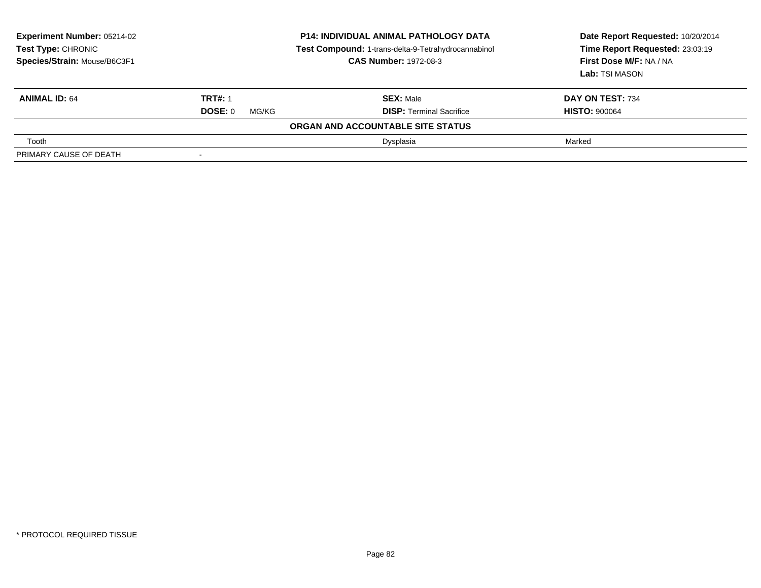| <b>Experiment Number: 05214-02</b><br><b>Test Type: CHRONIC</b><br>Species/Strain: Mouse/B6C3F1 | <b>P14: INDIVIDUAL ANIMAL PATHOLOGY DATA</b><br>Test Compound: 1-trans-delta-9-Tetrahydrocannabinol<br><b>CAS Number: 1972-08-3</b> |                                   | Date Report Requested: 10/20/2014<br>Time Report Requested: 23:03:19<br>First Dose M/F: NA / NA<br>Lab: TSI MASON |
|-------------------------------------------------------------------------------------------------|-------------------------------------------------------------------------------------------------------------------------------------|-----------------------------------|-------------------------------------------------------------------------------------------------------------------|
| <b>ANIMAL ID: 64</b>                                                                            | <b>TRT#: 1</b>                                                                                                                      | <b>SEX: Male</b>                  | DAY ON TEST: 734                                                                                                  |
|                                                                                                 | DOSE: 0<br>MG/KG                                                                                                                    | <b>DISP: Terminal Sacrifice</b>   | <b>HISTO: 900064</b>                                                                                              |
|                                                                                                 |                                                                                                                                     | ORGAN AND ACCOUNTABLE SITE STATUS |                                                                                                                   |
| Tooth                                                                                           |                                                                                                                                     | Dysplasia                         | Marked                                                                                                            |
| PRIMARY CAUSE OF DEATH                                                                          |                                                                                                                                     |                                   |                                                                                                                   |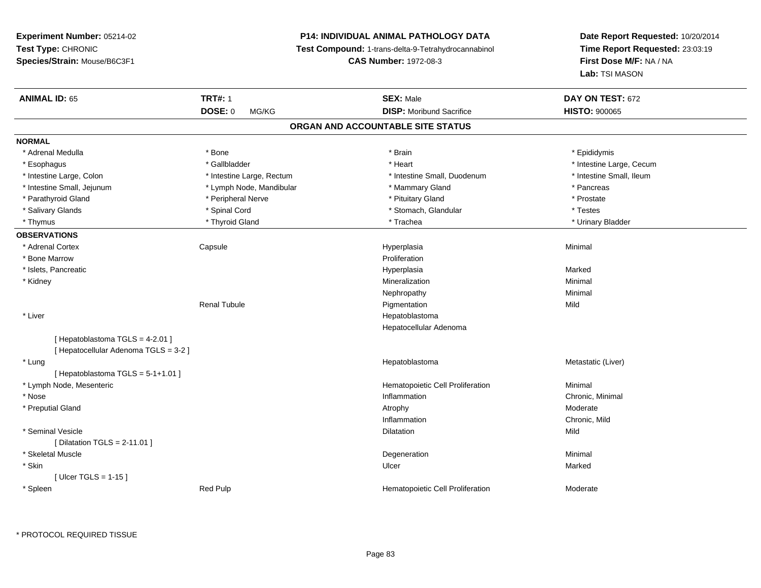# **P14: INDIVIDUAL ANIMAL PATHOLOGY DATA**

**Test Compound:** 1-trans-delta-9-Tetrahydrocannabinol

**CAS Number:** 1972-08-3

**Date Report Requested:** 10/20/2014**Time Report Requested:** 23:03:19**First Dose M/F:** NA / NA**Lab:** TSI MASON

| <b>ANIMAL ID: 65</b>                  | <b>TRT#: 1</b>            | <b>SEX: Male</b>                  | DAY ON TEST: 672         |
|---------------------------------------|---------------------------|-----------------------------------|--------------------------|
|                                       | DOSE: 0<br>MG/KG          | <b>DISP:</b> Moribund Sacrifice   | <b>HISTO: 900065</b>     |
|                                       |                           | ORGAN AND ACCOUNTABLE SITE STATUS |                          |
| <b>NORMAL</b>                         |                           |                                   |                          |
| * Adrenal Medulla                     | * Bone                    | * Brain                           | * Epididymis             |
| * Esophagus                           | * Gallbladder             | * Heart                           | * Intestine Large, Cecum |
| * Intestine Large, Colon              | * Intestine Large, Rectum | * Intestine Small, Duodenum       | * Intestine Small, Ileum |
| * Intestine Small, Jejunum            | * Lymph Node, Mandibular  | * Mammary Gland                   | * Pancreas               |
| * Parathyroid Gland                   | * Peripheral Nerve        | * Pituitary Gland                 | * Prostate               |
| * Salivary Glands                     | * Spinal Cord             | * Stomach, Glandular              | * Testes                 |
| * Thymus                              | * Thyroid Gland           | * Trachea                         | * Urinary Bladder        |
| <b>OBSERVATIONS</b>                   |                           |                                   |                          |
| * Adrenal Cortex                      | Capsule                   | Hyperplasia                       | Minimal                  |
| * Bone Marrow                         |                           | Proliferation                     |                          |
| * Islets, Pancreatic                  |                           | Hyperplasia                       | Marked                   |
| * Kidney                              |                           | Mineralization                    | Minimal                  |
|                                       |                           | Nephropathy                       | Minimal                  |
|                                       | <b>Renal Tubule</b>       | Pigmentation                      | Mild                     |
| * Liver                               |                           | Hepatoblastoma                    |                          |
|                                       |                           | Hepatocellular Adenoma            |                          |
| [ Hepatoblastoma TGLS = 4-2.01 ]      |                           |                                   |                          |
| [ Hepatocellular Adenoma TGLS = 3-2 ] |                           |                                   |                          |
| * Lung                                |                           | Hepatoblastoma                    | Metastatic (Liver)       |
| [Hepatoblastoma TGLS = 5-1+1.01]      |                           |                                   |                          |
| * Lymph Node, Mesenteric              |                           | Hematopoietic Cell Proliferation  | Minimal                  |
| * Nose                                |                           | Inflammation                      | Chronic, Minimal         |
| * Preputial Gland                     |                           | Atrophy                           | Moderate                 |
|                                       |                           | Inflammation                      | Chronic, Mild            |
| * Seminal Vesicle                     |                           | Dilatation                        | Mild                     |
| [ Dilatation TGLS = 2-11.01 ]         |                           |                                   |                          |
| * Skeletal Muscle                     |                           | Degeneration                      | Minimal                  |
| * Skin                                |                           | Ulcer                             | Marked                   |
| [Ulcer TGLS = $1-15$ ]                |                           |                                   |                          |
| * Spleen                              | Red Pulp                  | Hematopoietic Cell Proliferation  | Moderate                 |
|                                       |                           |                                   |                          |

\* PROTOCOL REQUIRED TISSUE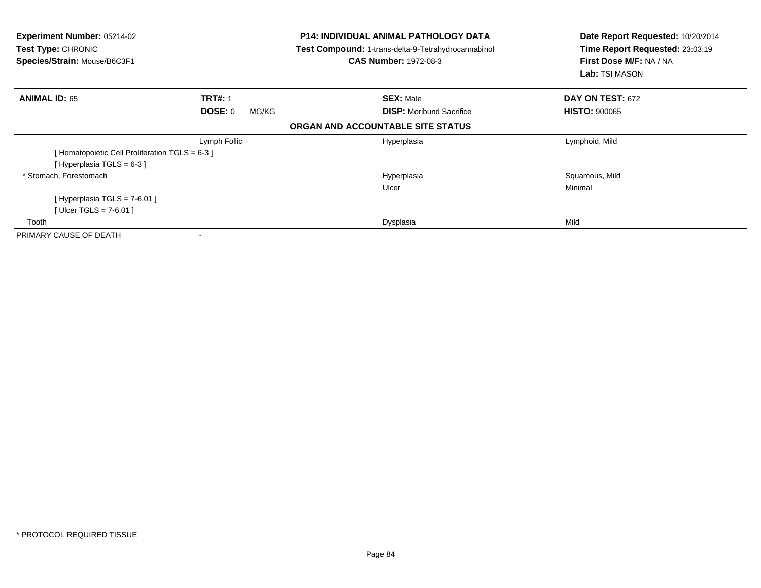| <b>Experiment Number: 05214-02</b><br><b>Test Type: CHRONIC</b><br>Species/Strain: Mouse/B6C3F1 |                  | <b>P14: INDIVIDUAL ANIMAL PATHOLOGY DATA</b><br>Test Compound: 1-trans-delta-9-Tetrahydrocannabinol<br><b>CAS Number: 1972-08-3</b> | Date Report Requested: 10/20/2014<br>Time Report Requested: 23:03:19<br>First Dose M/F: NA / NA<br>Lab: TSI MASON |  |
|-------------------------------------------------------------------------------------------------|------------------|-------------------------------------------------------------------------------------------------------------------------------------|-------------------------------------------------------------------------------------------------------------------|--|
| <b>ANIMAL ID: 65</b>                                                                            | <b>TRT#: 1</b>   | <b>SEX: Male</b>                                                                                                                    | DAY ON TEST: 672                                                                                                  |  |
|                                                                                                 | DOSE: 0<br>MG/KG | <b>DISP:</b> Moribund Sacrifice                                                                                                     | <b>HISTO: 900065</b>                                                                                              |  |
|                                                                                                 |                  | ORGAN AND ACCOUNTABLE SITE STATUS                                                                                                   |                                                                                                                   |  |
|                                                                                                 | Lymph Follic     | Hyperplasia                                                                                                                         | Lymphoid, Mild                                                                                                    |  |
| [ Hematopoietic Cell Proliferation TGLS = 6-3 ]                                                 |                  |                                                                                                                                     |                                                                                                                   |  |
| [Hyperplasia TGLS = 6-3 ]                                                                       |                  |                                                                                                                                     |                                                                                                                   |  |
| * Stomach, Forestomach                                                                          |                  | Hyperplasia                                                                                                                         | Squamous, Mild                                                                                                    |  |
|                                                                                                 |                  | Ulcer                                                                                                                               | Minimal                                                                                                           |  |
| [Hyperplasia TGLS = $7-6.01$ ]                                                                  |                  |                                                                                                                                     |                                                                                                                   |  |
| [Ulcer TGLS = 7-6.01 ]                                                                          |                  |                                                                                                                                     |                                                                                                                   |  |
| Tooth                                                                                           |                  | Dysplasia                                                                                                                           | Mild                                                                                                              |  |
| PRIMARY CAUSE OF DEATH                                                                          |                  |                                                                                                                                     |                                                                                                                   |  |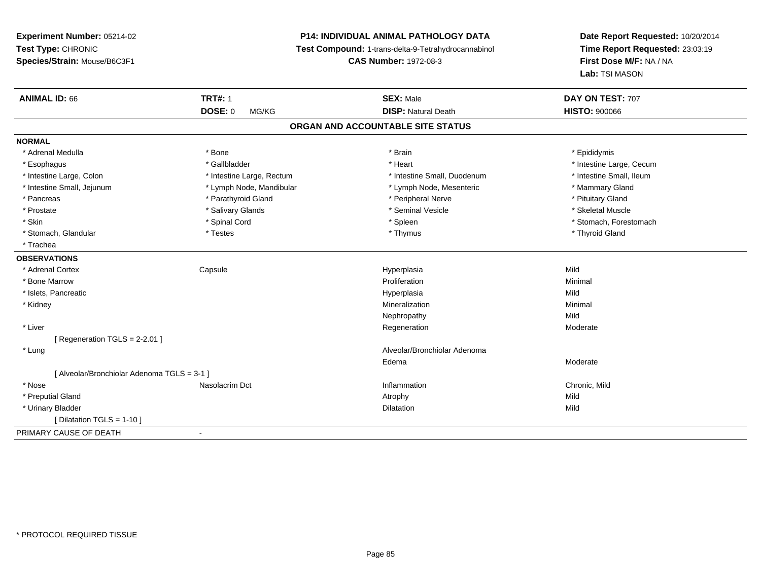# **P14: INDIVIDUAL ANIMAL PATHOLOGY DATA**

**Test Compound:** 1-trans-delta-9-Tetrahydrocannabinol

**CAS Number:** 1972-08-3

| <b>ANIMAL ID: 66</b>                      | <b>TRT#: 1</b>            | <b>SEX: Male</b>                  | DAY ON TEST: 707         |  |
|-------------------------------------------|---------------------------|-----------------------------------|--------------------------|--|
|                                           | <b>DOSE: 0</b><br>MG/KG   | <b>DISP: Natural Death</b>        | <b>HISTO: 900066</b>     |  |
|                                           |                           | ORGAN AND ACCOUNTABLE SITE STATUS |                          |  |
| <b>NORMAL</b>                             |                           |                                   |                          |  |
| * Adrenal Medulla                         | * Bone                    | * Brain                           | * Epididymis             |  |
| * Esophagus                               | * Gallbladder             | * Heart                           | * Intestine Large, Cecum |  |
| * Intestine Large, Colon                  | * Intestine Large, Rectum | * Intestine Small, Duodenum       | * Intestine Small, Ileum |  |
| * Intestine Small, Jejunum                | * Lymph Node, Mandibular  | * Lymph Node, Mesenteric          | * Mammary Gland          |  |
| * Pancreas                                | * Parathyroid Gland       | * Peripheral Nerve                | * Pituitary Gland        |  |
| * Prostate                                | * Salivary Glands         | * Seminal Vesicle                 | * Skeletal Muscle        |  |
| * Skin                                    | * Spinal Cord             | * Spleen                          | * Stomach, Forestomach   |  |
| * Stomach, Glandular                      | * Testes                  | * Thymus                          | * Thyroid Gland          |  |
| * Trachea                                 |                           |                                   |                          |  |
| <b>OBSERVATIONS</b>                       |                           |                                   |                          |  |
| * Adrenal Cortex                          | Capsule                   | Hyperplasia                       | Mild                     |  |
| * Bone Marrow                             |                           | Proliferation                     | Minimal                  |  |
| * Islets, Pancreatic                      |                           | Hyperplasia                       | Mild                     |  |
| * Kidney                                  |                           | Mineralization                    | Minimal                  |  |
|                                           |                           | Nephropathy                       | Mild                     |  |
| * Liver                                   |                           | Regeneration                      | Moderate                 |  |
| [Regeneration TGLS = 2-2.01]              |                           |                                   |                          |  |
| * Lung                                    |                           | Alveolar/Bronchiolar Adenoma      |                          |  |
|                                           |                           | Edema                             | Moderate                 |  |
| [Alveolar/Bronchiolar Adenoma TGLS = 3-1] |                           |                                   |                          |  |
| * Nose                                    | Nasolacrim Dct            | Inflammation                      | Chronic, Mild            |  |
| * Preputial Gland                         |                           | Atrophy                           | Mild                     |  |
| * Urinary Bladder                         |                           | <b>Dilatation</b>                 | Mild                     |  |
| Dilatation TGLS = 1-10 1                  |                           |                                   |                          |  |
| PRIMARY CAUSE OF DEATH                    | $\overline{\phantom{a}}$  |                                   |                          |  |
|                                           |                           |                                   |                          |  |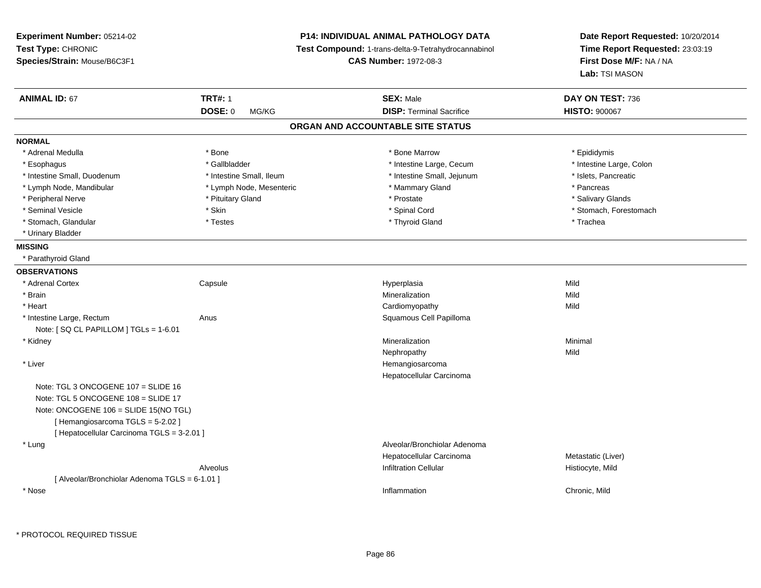**Experiment Number:** 05214-02**Test Type:** CHRONIC **Species/Strain:** Mouse/B6C3F1**P14: INDIVIDUAL ANIMAL PATHOLOGY DATA Test Compound:** 1-trans-delta-9-Tetrahydrocannabinol **CAS Number:** 1972-08-3**Date Report Requested:** 10/20/2014**Time Report Requested:** 23:03:19**First Dose M/F:** NA / NA**Lab:** TSI MASON**ANIMAL ID:** 67 **TRT#:** <sup>1</sup> **SEX:** Male **DAY ON TEST:** <sup>736</sup> **DOSE:** 0 MG/KG **DISP:** Terminal Sacrifice **HISTO:** <sup>900067</sup> **ORGAN AND ACCOUNTABLE SITE STATUSNORMAL**\* Adrenal Medulla \* Adrenal Medulla \* \* The matter of the state of the state of the Marrow \* Bone Marrow \* Adrenal Medulla \* Epididymis \* Epididymis \* Bone Marrow \* Adrenal Medulla \* Epididymis \* Epididymis \* Epididymis \* Epididymis \* Epidi \* Intestine Large, Colon \* Esophagus \* Intestine Large, Cecum \* Callbladder \* 10 \* Intestine Large, Cecum \* Intestine Large, Cecum \* \* Intestine Small, Duodenum \* Intestine Small, Ileum \* Intestine Small, Jejunum \* Islets, Pancreatic\* Lymph Node, Mandibular \* The mode of the second text of the second text of the second text of the second text of the second text of the second text of the second text of the second text of text of text of text of text of \* Salivary Glands \* Peripheral Nerve \* \* And the state \* Pituitary Gland \* Prosection \* Prostate \* Prostate \* Salivary Glands \* Salivary Glands \* Salivary Glands \* Salivary Glands \* Salivary Glands \* Salivary Glands \* Salivary Glands \* Sali \* Seminal Vesicle \* The state of the set of the set of the set of the set of the set of the set of the set of the set of the set of the set of the set of the set of the set of the set of the set of the set of the set of th \* Stomach, Glandular \* \* Trachea \* Testes \* Thyroid Gland \* Thyroid Gland \* Trachea \* Trachea \* Trachea \* Trachea \* Urinary Bladder**MISSING** \* Parathyroid Gland**OBSERVATIONS** \* Adrenal Cortex**Capsule**  Hyperplasia Mild \* Brainn and the control of the control of the control of the control of the control of the control of the control of the control of the control of the control of the control of the control of the control of the control of the co \* Heart Cardiomyopathyy Mild \* Intestine Large, RectumAnus **Anus** Squamous Cell Papilloma Note: [ SQ CL PAPILLOM ] TGLs = 1-6.01 \* Kidneyy with the control of the control of the control of the control of the control of the control of the control of the control of the control of the control of the control of the control of the control of the control of the c n Minimal Nephropathyy Mild \* Liver Hemangiosarcoma Hepatocellular CarcinomaNote: TGL 3 ONCOGENE 107 = SLIDE 16 Note: TGL 5 ONCOGENE 108 = SLIDE 17 Note: ONCOGENE 106 = SLIDE 15(NO TGL)[ Hemangiosarcoma TGLS = 5-2.02 ][ Hepatocellular Carcinoma TGLS = 3-2.01 ] \* Lung Alveolar/Bronchiolar Adenoma Hepatocellular CarcinomaMetastatic (Liver)<br>Histiocyte, Mild Alveolus Infiltration Cellular Histiocyte, Mild[ Alveolar/Bronchiolar Adenoma TGLS = 6-1.01 ] \* Nosee and the contract of the contract of the contract of the contract of the contract of the chronic, Mild and the chronic, Mild and the chronic, Mild and the chronic state of the chronic state of the chronic state of the chr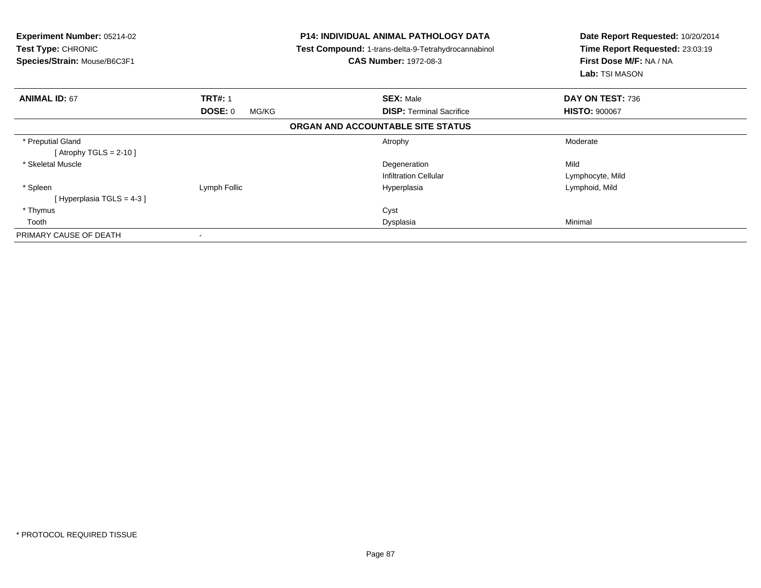| <b>Experiment Number: 05214-02</b><br><b>Test Type: CHRONIC</b><br>Species/Strain: Mouse/B6C3F1 | <b>P14: INDIVIDUAL ANIMAL PATHOLOGY DATA</b><br>Test Compound: 1-trans-delta-9-Tetrahydrocannabinol<br><b>CAS Number: 1972-08-3</b> |                                   | Date Report Requested: 10/20/2014<br>Time Report Requested: 23:03:19<br>First Dose M/F: NA / NA<br><b>Lab:</b> TSI MASON |
|-------------------------------------------------------------------------------------------------|-------------------------------------------------------------------------------------------------------------------------------------|-----------------------------------|--------------------------------------------------------------------------------------------------------------------------|
| <b>ANIMAL ID: 67</b>                                                                            | <b>TRT#: 1</b>                                                                                                                      | <b>SEX: Male</b>                  | DAY ON TEST: 736                                                                                                         |
|                                                                                                 | DOSE: 0<br>MG/KG                                                                                                                    | <b>DISP:</b> Terminal Sacrifice   | <b>HISTO: 900067</b>                                                                                                     |
|                                                                                                 |                                                                                                                                     | ORGAN AND ACCOUNTABLE SITE STATUS |                                                                                                                          |
| * Preputial Gland<br>[Atrophy TGLS = $2-10$ ]                                                   |                                                                                                                                     | Atrophy                           | Moderate                                                                                                                 |
| * Skeletal Muscle                                                                               |                                                                                                                                     | Degeneration                      | Mild                                                                                                                     |
|                                                                                                 |                                                                                                                                     | <b>Infiltration Cellular</b>      | Lymphocyte, Mild                                                                                                         |
| * Spleen                                                                                        | Lymph Follic                                                                                                                        | Hyperplasia                       | Lymphoid, Mild                                                                                                           |
| [Hyperplasia TGLS = $4-3$ ]                                                                     |                                                                                                                                     |                                   |                                                                                                                          |
| * Thymus                                                                                        |                                                                                                                                     | Cyst                              |                                                                                                                          |
| Tooth                                                                                           |                                                                                                                                     | Dysplasia                         | Minimal                                                                                                                  |
| PRIMARY CAUSE OF DEATH                                                                          |                                                                                                                                     |                                   |                                                                                                                          |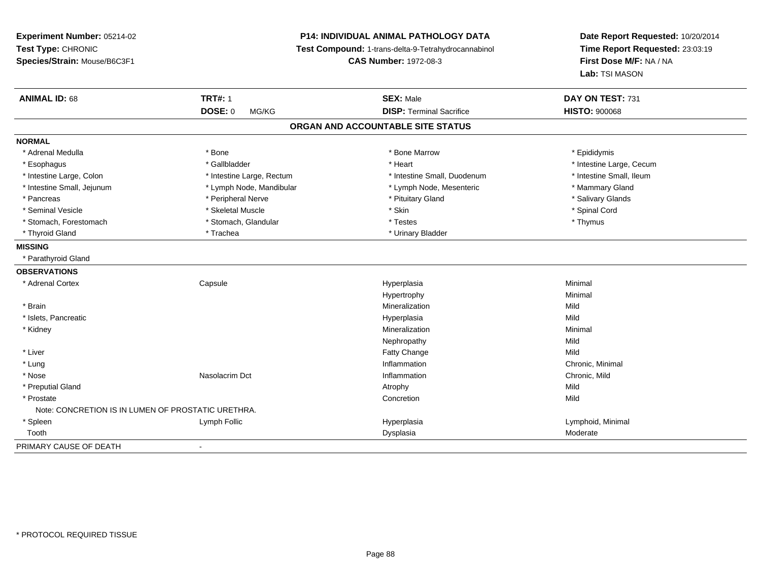**Experiment Number:** 05214-02**Test Type:** CHRONIC **Species/Strain:** Mouse/B6C3F1**P14: INDIVIDUAL ANIMAL PATHOLOGY DATA Test Compound:** 1-trans-delta-9-Tetrahydrocannabinol **CAS Number:** 1972-08-3**Date Report Requested:** 10/20/2014**Time Report Requested:** 23:03:19**First Dose M/F:** NA / NA**Lab:** TSI MASON**ANIMAL ID:** 68**TRT#:** 1 **SEX:** Male **DAY ON TEST:** 731 **DOSE:** 0 MG/KG **DISP:** Terminal Sacrifice **HISTO:** <sup>900068</sup> **ORGAN AND ACCOUNTABLE SITE STATUSNORMAL**\* Adrenal Medulla \* Adrenal Medulla \* \* The matter of the state of the state of the Marrow \* Bone Marrow \* Adrenal Medulla \* Epididymis \* Epididymis \* Bone Marrow \* Adrenal Medulla \* Epididymis \* Epididymis \* Epididymis \* Epididymis \* Epidi \* Esophagus \* https://www.fragustage.com/web/2019/heart \* Heart \* Heart \* Heart \* Intestine Large, Cecum \* Intestine Large, Cecum \* Gallbladder \* Callbladder \* 11 and 12 and 12 and 12 and 12 and 12 and 12 and 12 and 12 and \* Intestine Small, Ileum \* Intestine Large, Colon \* Intestine Large, Rectum \* Intestine Small, Duodenum \* Intestine Small, Duodenum \* Intestine Small, Jejunum \* The mannery Gland \* Lymph Node, Mandibular \* The mannery Stand \* Mammary Gland \* Mammary Gland \* Salivary Glands \* Pancreas \* And the section of the series of the series are the series to the series of the series of the series to the series of the series of the series of the series of the series of the series of the series of the ser \* Seminal Vesicle \* \* Spinal Cord \* Skeletal Muscle \* \* Skin \* \* Skin \* \* Spinal Vesicle \* Spinal Cord \* Spinal Cord \* Stomach, Forestomach \* Thymus \* Stomach, Glandular \* Testes \* The \* Testes \* Thymus \* Thymus \* Thyroid Gland \* Trachea \* Trachea \* Trachea \* Urinary Bladder **MISSING** \* Parathyroid Gland**OBSERVATIONS** \* Adrenal Cortex**Capsule**  Hyperplasia Minimal Hypertrophyy the contract of the Minimal Minimal Section 1, 1986, 1987, 1988, 1988, 1988, 1988, 1988, 1988, 198 \* Brainn and the control of the control of the control of the control of the control of the control of the control of the control of the control of the control of the control of the control of the control of the control of the co \* Islets, Pancreaticc and the control of the control of the control of the control of the control of the control of the control of the control of the control of the control of the control of the control of the control of the control of the co a Mild \* Kidneyy with the control of the control of the control of the control of the control of the control of the control of the control of the control of the control of the control of the control of the control of the control of the c n Minimal Nephropathyy Mild Mild \* Liverr and the contract of the contract of the contract of the contract of the contract of the contract of the contract of the contract of the contract of the contract of the contract of the contract of the contract of the cont e Mild \* Lungg is a controlled to the controller of the controller of the controller of the controller of the controller of the controller of the controller of the controller of the controller of the controller of the controller of the \* Nosee which is a set of the Nasolacrim Dct that is a set of the contraction of the Chronic, Mild and Chronic, Mild and Chronic, Mild and The Chronic, Mild and The Chronic, Mild and The Chronic, Mild and The Chronic, Mild and T \* Preputial Glandd and the control of the control of the control of the control of the control of the control of the control of the control of the control of the control of the control of the control of the control of the control of the co \* Prostatee and the concretion of the concretion of the concretion of the concretion of the concretion of the concretion Note: CONCRETION IS IN LUMEN OF PROSTATIC URETHRA. \* Spleen Lymph Follic Hyperplasia Lymphoid, Minimal Tooth Dysplasia Moderate PRIMARY CAUSE OF DEATH-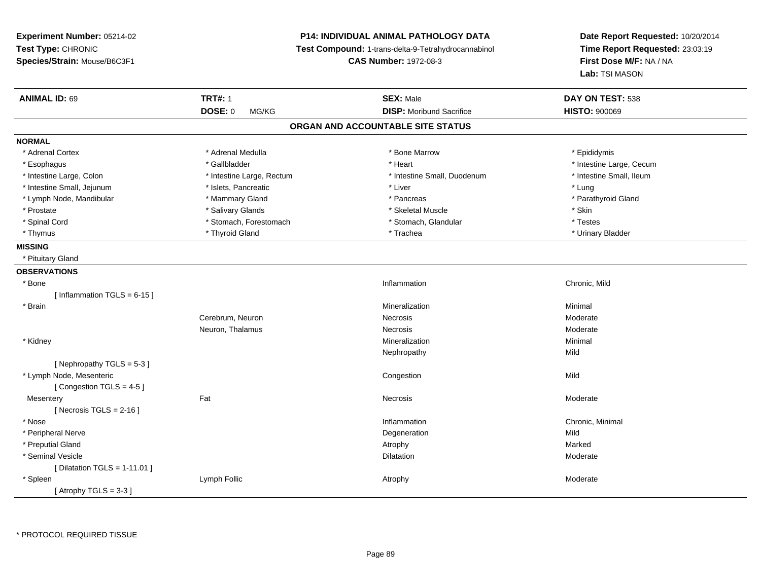**Experiment Number:** 05214-02**Test Type:** CHRONIC **Species/Strain:** Mouse/B6C3F1**P14: INDIVIDUAL ANIMAL PATHOLOGY DATA Test Compound:** 1-trans-delta-9-Tetrahydrocannabinol **CAS Number:** 1972-08-3**Date Report Requested:** 10/20/2014**Time Report Requested:** 23:03:19**First Dose M/F:** NA / NA**Lab:** TSI MASON**ANIMAL ID:** 69 **TRT#:** <sup>1</sup> **SEX:** Male **DAY ON TEST:** <sup>538</sup> **DOSE:** 0 MG/KG**DISP:** Moribund Sacrifice **HISTO:**  $900069$ **ORGAN AND ACCOUNTABLE SITE STATUSNORMAL**\* Adrenal Cortex \* Adrenal Cortex \* \* Andrenal Medulla \* \* Adrenal Medulla \* \* Bone Marrow \* \* Bone Marrow \* \* Epididymis \* Epididymis \* Esophagus \* https://www.fragustage.com/web/2019/heart \* Heart \* Heart \* Heart \* Intestine Large, Cecum \* Intestine Large, Cecum \* Gallbladder \* Callbladder \* 11 and 12 and 12 and 12 and 12 and 12 and 12 and 12 and 12 and \* Intestine Small. Ileum \* Intestine Large, Colon \* Intestine Large, Rectum \* Intestine Small, Duodenum \* Intestine Small, Duodenum \* Intestine Small, Jejunum \* \* 19ets, Pancreatic \* Liver \* Liver \* Liver \* Liver \* Lung \* Parathyroid Gland \* Lymph Node, Mandibular \* Mammary Gland \* Mammary Gland \* Pancreas \* Pancreas \* \* Prostate \* \* Salivary Glands \* \* Salivary Glands \* \* Skeletal Muscle \* \* Skeletal Muscle \* \* Skin \* Testes \* Spinal Cord \* Stomach, Forestomach \* Stomach \* Stomach \* Stomach, Glandular \* Stomach, Glandular \* Urinary Bladder \* Thymus \* Thyroid Gland \* Trachea \* Urinary Bladder \* **MISSING** \* Pituitary Gland**OBSERVATIONS** \* Bonee and the contract of the contract of the contract of the contract of the contract of the chronic, Mild and the chronic, Mild and the chronic, Mild and the chronic state of the chronic state of the chronic state of the chr  $[$  Inflammation TGLS = 6-15 ] \* Brainn and the controller of the controller of the controller of the Minimal Mineralization and the controller of the Minimal Minimal of the controller of the controller of the controller of the controller of the controller of Cerebrum, Neuronn and the Mecrosis and the Moderate of the Moderate of the Moderate of the Moderate of the Moderate of the Moderate of the Moderate of the Moderate of the Moderate of the Moderate of the Moderate of the Moderate of the Mod Neuron, Thalamuss and the second of the Moderate Second Moderate Second Moderate Second Moderate Second Moderate Second Moderate Second Moderate Second Moderate Second Moderate Second Moderate Second Moderate Second Moderate Second Modera \* Kidneyy with the control of the control of the control of the control of the control of the control of the control of the control of the control of the control of the control of the control of the control of the control of the c n Minimal Nephropathyy Mild  $[$  Nephropathy TGLS = 5-3  $]$  \* Lymph Node, Mesenteric**Congestion Congestion** n Mild [ Congestion TGLS = 4-5 ]**Mesentery** y the control of the set of the control of the Moderate of the Moderate of the Moderate of the Moderate of the Moderate of the Moderate of the Moderate of the Moderate of the Moderate of the Moderate of the Moderate of the  $[$  Necrosis TGLS = 2-16  $]$  \* Nosee the contraction of the contraction of the contraction of the contraction of the chronic, Minimal on the chronic, Minimal or  $\mathbb{R}^n$  \* Peripheral Nervee discussion of the control of the control of the control of the control of the control of the control of the control of the control of the control of the control of the control of the control of the control of the control \* Preputial Glandd and the control of the control of the control of the control of the control of the control of the control of the control of the control of the control of the control of the control of the control of the control of the co \* Seminal Vesiclee de la contraction de la contraction de la contraction de la contraction de la contraction de la contraction de la contraction de la contraction de la contraction de la contraction de la contraction de la contraction de l  $[$  Dilatation TGLS = 1-11.01  $]$  \* Spleenn and the sumplement of the sumplement of the sum of the sum of the sum of the sum of the sum of the sum of the sum of the sum of the sum of the sum of the sum of the sum of the sum of the sum of the sum of the sum of the  $[$  Atrophy TGLS = 3-3  $]$ 

\* PROTOCOL REQUIRED TISSUE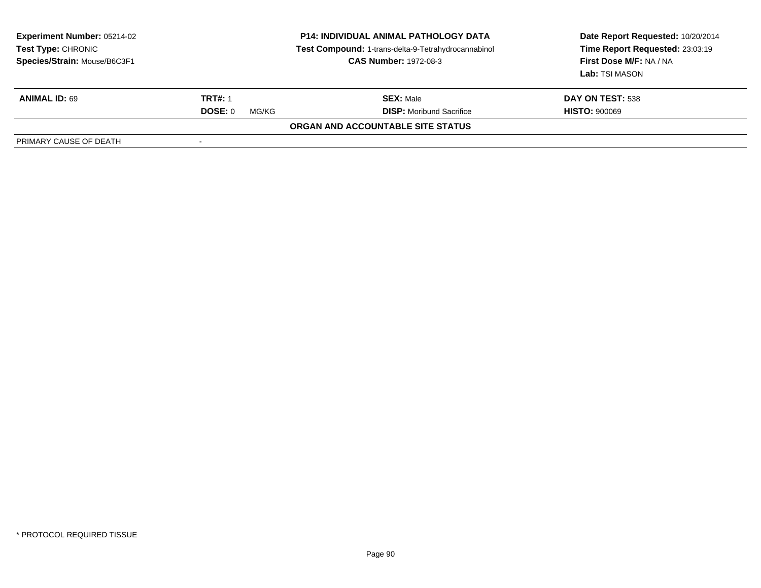| <b>Experiment Number: 05214-02</b><br><b>Test Type: CHRONIC</b><br>Species/Strain: Mouse/B6C3F1 | <b>P14: INDIVIDUAL ANIMAL PATHOLOGY DATA</b><br>Test Compound: 1-trans-delta-9-Tetrahydrocannabinol<br><b>CAS Number: 1972-08-3</b> |                                          | Date Report Requested: 10/20/2014<br>Time Report Requested: 23:03:19<br>First Dose M/F: NA / NA<br>Lab: TSI MASON |
|-------------------------------------------------------------------------------------------------|-------------------------------------------------------------------------------------------------------------------------------------|------------------------------------------|-------------------------------------------------------------------------------------------------------------------|
| <b>ANIMAL ID: 69</b>                                                                            | <b>TRT#: 1</b>                                                                                                                      | <b>SEX: Male</b>                         | DAY ON TEST: 538                                                                                                  |
|                                                                                                 | <b>DOSE: 0</b><br>MG/KG                                                                                                             | <b>DISP:</b> Moribund Sacrifice          | <b>HISTO: 900069</b>                                                                                              |
|                                                                                                 |                                                                                                                                     | <b>ORGAN AND ACCOUNTABLE SITE STATUS</b> |                                                                                                                   |
| PRIMARY CAUSE OF DEATH                                                                          |                                                                                                                                     |                                          |                                                                                                                   |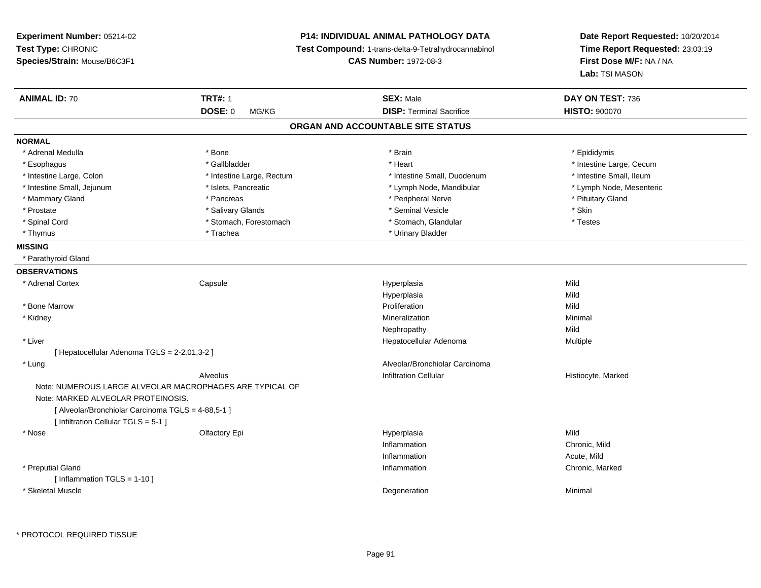| Experiment Number: 05214-02<br>Test Type: CHRONIC<br>Species/Strain: Mouse/B6C3F1                                                |                                                          | <b>P14: INDIVIDUAL ANIMAL PATHOLOGY DATA</b><br>Test Compound: 1-trans-delta-9-Tetrahydrocannabinol<br><b>CAS Number: 1972-08-3</b> | Date Report Requested: 10/20/2014<br>Time Report Requested: 23:03:19<br>First Dose M/F: NA / NA<br>Lab: TSI MASON |
|----------------------------------------------------------------------------------------------------------------------------------|----------------------------------------------------------|-------------------------------------------------------------------------------------------------------------------------------------|-------------------------------------------------------------------------------------------------------------------|
| <b>ANIMAL ID: 70</b>                                                                                                             | <b>TRT#: 1</b>                                           | <b>SEX: Male</b>                                                                                                                    | DAY ON TEST: 736                                                                                                  |
|                                                                                                                                  | <b>DOSE: 0</b><br>MG/KG                                  | <b>DISP: Terminal Sacrifice</b>                                                                                                     | <b>HISTO: 900070</b>                                                                                              |
|                                                                                                                                  |                                                          | ORGAN AND ACCOUNTABLE SITE STATUS                                                                                                   |                                                                                                                   |
| <b>NORMAL</b>                                                                                                                    |                                                          |                                                                                                                                     |                                                                                                                   |
| * Adrenal Medulla                                                                                                                | * Bone                                                   | * Brain                                                                                                                             | * Epididymis                                                                                                      |
| * Esophagus                                                                                                                      | * Gallbladder                                            | * Heart                                                                                                                             | * Intestine Large, Cecum                                                                                          |
| * Intestine Large, Colon                                                                                                         | * Intestine Large, Rectum                                | * Intestine Small, Duodenum                                                                                                         | * Intestine Small, Ileum                                                                                          |
| * Intestine Small, Jejunum                                                                                                       | * Islets, Pancreatic                                     | * Lymph Node, Mandibular                                                                                                            | * Lymph Node, Mesenteric                                                                                          |
| * Mammary Gland                                                                                                                  | * Pancreas                                               | * Peripheral Nerve                                                                                                                  | * Pituitary Gland                                                                                                 |
| * Prostate                                                                                                                       | * Salivary Glands                                        | * Seminal Vesicle                                                                                                                   | * Skin                                                                                                            |
| * Spinal Cord                                                                                                                    | * Stomach, Forestomach                                   | * Stomach, Glandular                                                                                                                | * Testes                                                                                                          |
| * Thymus                                                                                                                         | * Trachea                                                | * Urinary Bladder                                                                                                                   |                                                                                                                   |
| <b>MISSING</b>                                                                                                                   |                                                          |                                                                                                                                     |                                                                                                                   |
| * Parathyroid Gland                                                                                                              |                                                          |                                                                                                                                     |                                                                                                                   |
| <b>OBSERVATIONS</b>                                                                                                              |                                                          |                                                                                                                                     |                                                                                                                   |
| * Adrenal Cortex                                                                                                                 | Capsule                                                  | Hyperplasia                                                                                                                         | Mild                                                                                                              |
|                                                                                                                                  |                                                          | Hyperplasia                                                                                                                         | Mild                                                                                                              |
| * Bone Marrow                                                                                                                    |                                                          | Proliferation                                                                                                                       | Mild                                                                                                              |
| * Kidney                                                                                                                         |                                                          | Mineralization                                                                                                                      | Minimal                                                                                                           |
|                                                                                                                                  |                                                          | Nephropathy                                                                                                                         | Mild                                                                                                              |
| * Liver                                                                                                                          |                                                          | Hepatocellular Adenoma                                                                                                              | Multiple                                                                                                          |
| [ Hepatocellular Adenoma TGLS = 2-2.01,3-2 ]                                                                                     |                                                          |                                                                                                                                     |                                                                                                                   |
| * Lung                                                                                                                           |                                                          | Alveolar/Bronchiolar Carcinoma                                                                                                      |                                                                                                                   |
|                                                                                                                                  | Alveolus                                                 | <b>Infiltration Cellular</b>                                                                                                        | Histiocyte, Marked                                                                                                |
| Note: MARKED ALVEOLAR PROTEINOSIS.<br>[ Alveolar/Bronchiolar Carcinoma TGLS = 4-88,5-1 ]<br>[ Infiltration Cellular TGLS = 5-1 ] | Note: NUMEROUS LARGE ALVEOLAR MACROPHAGES ARE TYPICAL OF |                                                                                                                                     |                                                                                                                   |
| * Nose                                                                                                                           | Olfactory Epi                                            | Hyperplasia                                                                                                                         | Mild                                                                                                              |
|                                                                                                                                  |                                                          | Inflammation                                                                                                                        | Chronic, Mild                                                                                                     |
|                                                                                                                                  |                                                          | Inflammation                                                                                                                        | Acute, Mild                                                                                                       |
| * Preputial Gland                                                                                                                |                                                          | Inflammation                                                                                                                        | Chronic, Marked                                                                                                   |
| [Inflammation TGLS = $1-10$ ]                                                                                                    |                                                          |                                                                                                                                     |                                                                                                                   |
| * Skeletal Muscle                                                                                                                |                                                          | Degeneration                                                                                                                        | Minimal                                                                                                           |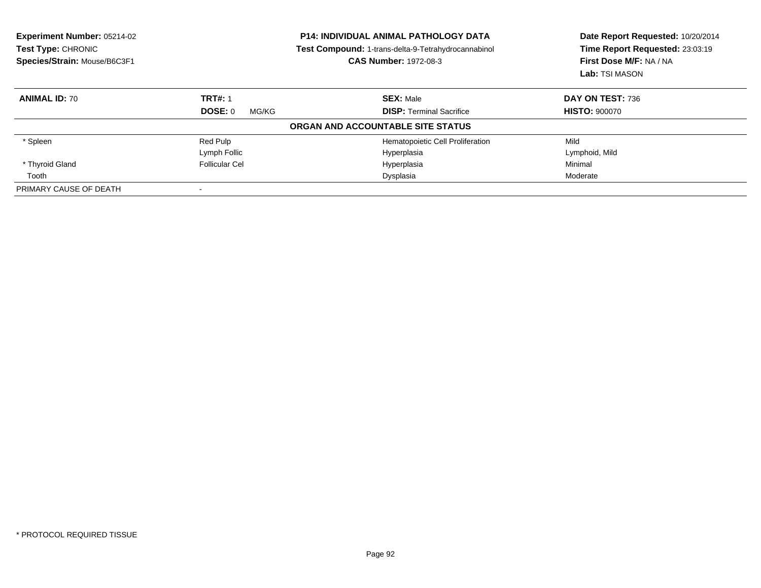| <b>Experiment Number: 05214-02</b><br>Test Type: CHRONIC<br>Species/Strain: Mouse/B6C3F1 | <b>P14: INDIVIDUAL ANIMAL PATHOLOGY DATA</b><br>Test Compound: 1-trans-delta-9-Tetrahydrocannabinol<br><b>CAS Number: 1972-08-3</b> |                                   | Date Report Requested: 10/20/2014<br>Time Report Requested: 23:03:19<br>First Dose M/F: NA / NA<br>Lab: TSI MASON |  |
|------------------------------------------------------------------------------------------|-------------------------------------------------------------------------------------------------------------------------------------|-----------------------------------|-------------------------------------------------------------------------------------------------------------------|--|
| <b>ANIMAL ID: 70</b>                                                                     | <b>TRT#: 1</b>                                                                                                                      | <b>SEX: Male</b>                  | DAY ON TEST: 736                                                                                                  |  |
|                                                                                          | <b>DOSE: 0</b><br>MG/KG                                                                                                             | <b>DISP: Terminal Sacrifice</b>   | <b>HISTO: 900070</b>                                                                                              |  |
|                                                                                          |                                                                                                                                     | ORGAN AND ACCOUNTABLE SITE STATUS |                                                                                                                   |  |
| * Spleen                                                                                 | Red Pulp                                                                                                                            | Hematopoietic Cell Proliferation  | Mild                                                                                                              |  |
|                                                                                          | Lymph Follic                                                                                                                        | Hyperplasia                       | Lymphoid, Mild                                                                                                    |  |
| * Thyroid Gland                                                                          | <b>Follicular Cel</b>                                                                                                               | Hyperplasia                       | Minimal                                                                                                           |  |
| Tooth                                                                                    |                                                                                                                                     | Dysplasia                         | Moderate                                                                                                          |  |
| PRIMARY CAUSE OF DEATH                                                                   |                                                                                                                                     |                                   |                                                                                                                   |  |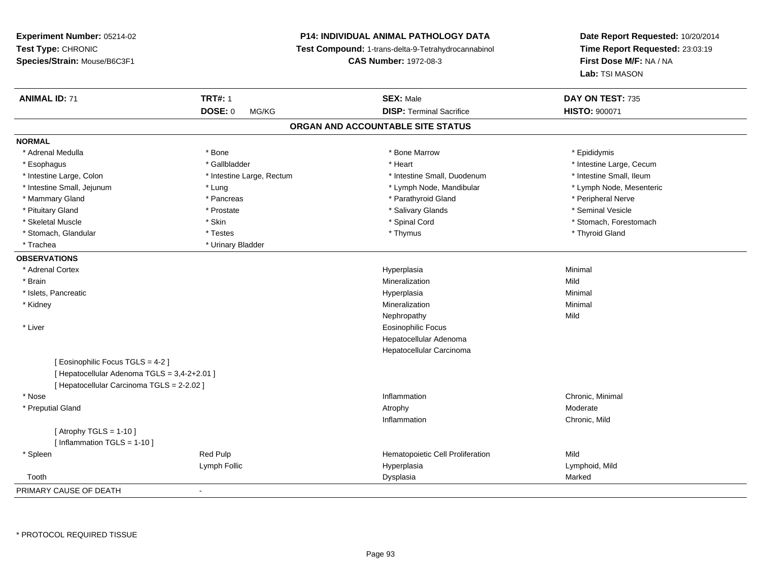# **P14: INDIVIDUAL ANIMAL PATHOLOGY DATA**

**Test Compound:** 1-trans-delta-9-Tetrahydrocannabinol

**CAS Number:** 1972-08-3

| <b>ANIMAL ID: 71</b>                       | <b>TRT#: 1</b>            | <b>SEX: Male</b>                  | DAY ON TEST: 735         |
|--------------------------------------------|---------------------------|-----------------------------------|--------------------------|
|                                            | DOSE: 0<br>MG/KG          | <b>DISP: Terminal Sacrifice</b>   | <b>HISTO: 900071</b>     |
|                                            |                           | ORGAN AND ACCOUNTABLE SITE STATUS |                          |
| <b>NORMAL</b>                              |                           |                                   |                          |
| * Adrenal Medulla                          | * Bone                    | * Bone Marrow                     | * Epididymis             |
| * Esophagus                                | * Gallbladder             | * Heart                           | * Intestine Large, Cecum |
| * Intestine Large, Colon                   | * Intestine Large, Rectum | * Intestine Small, Duodenum       | * Intestine Small, Ileum |
| * Intestine Small, Jejunum                 | * Lung                    | * Lymph Node, Mandibular          | * Lymph Node, Mesenteric |
| * Mammary Gland                            | * Pancreas                | * Parathyroid Gland               | * Peripheral Nerve       |
| * Pituitary Gland                          | * Prostate                | * Salivary Glands                 | * Seminal Vesicle        |
| * Skeletal Muscle                          | * Skin                    | * Spinal Cord                     | * Stomach, Forestomach   |
| * Stomach, Glandular                       | * Testes                  | * Thymus                          | * Thyroid Gland          |
| * Trachea                                  | * Urinary Bladder         |                                   |                          |
| <b>OBSERVATIONS</b>                        |                           |                                   |                          |
| * Adrenal Cortex                           |                           | Hyperplasia                       | Minimal                  |
| * Brain                                    |                           | Mineralization                    | Mild                     |
| * Islets, Pancreatic                       |                           | Hyperplasia                       | Minimal                  |
| * Kidney                                   |                           | Mineralization                    | Minimal                  |
|                                            |                           | Nephropathy                       | Mild                     |
| * Liver                                    |                           | <b>Eosinophilic Focus</b>         |                          |
|                                            |                           | Hepatocellular Adenoma            |                          |
|                                            |                           | Hepatocellular Carcinoma          |                          |
| [ Eosinophilic Focus TGLS = 4-2 ]          |                           |                                   |                          |
| [Hepatocellular Adenoma TGLS = 3,4-2+2.01] |                           |                                   |                          |
| [ Hepatocellular Carcinoma TGLS = 2-2.02 ] |                           |                                   |                          |
| * Nose                                     |                           | Inflammation                      | Chronic, Minimal         |
| * Preputial Gland                          |                           | Atrophy                           | Moderate                 |
|                                            |                           | Inflammation                      | Chronic, Mild            |
| [Atrophy TGLS = $1-10$ ]                   |                           |                                   |                          |
| [Inflammation TGLS = $1-10$ ]              |                           |                                   |                          |
| * Spleen                                   | Red Pulp                  | Hematopoietic Cell Proliferation  | Mild                     |
|                                            | Lymph Follic              | Hyperplasia                       | Lymphoid, Mild           |
| Tooth                                      |                           | Dysplasia                         | Marked                   |
| PRIMARY CAUSE OF DEATH                     | $\blacksquare$            |                                   |                          |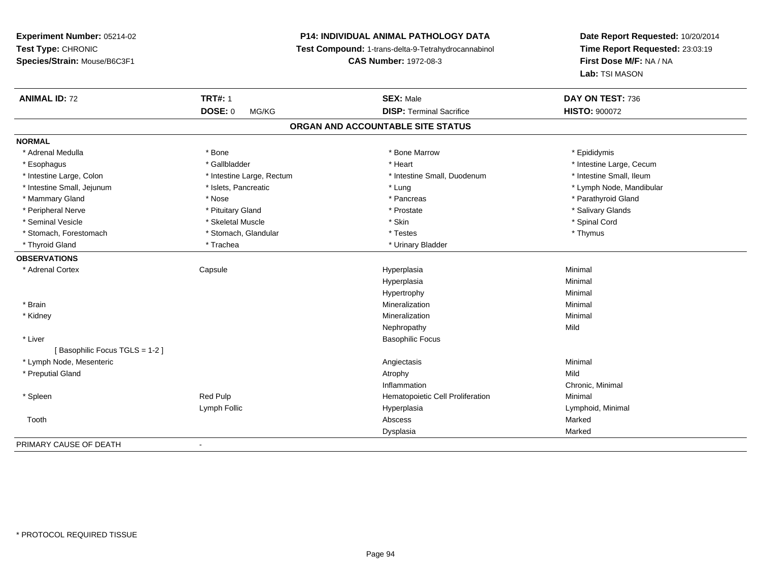# **P14: INDIVIDUAL ANIMAL PATHOLOGY DATA**

**Test Compound:** 1-trans-delta-9-Tetrahydrocannabinol

**CAS Number:** 1972-08-3

| <b>ANIMAL ID: 72</b>              | <b>TRT#: 1</b>            | <b>SEX: Male</b>                 | DAY ON TEST: 736         |  |  |  |
|-----------------------------------|---------------------------|----------------------------------|--------------------------|--|--|--|
|                                   | <b>DOSE: 0</b><br>MG/KG   | <b>DISP: Terminal Sacrifice</b>  | <b>HISTO: 900072</b>     |  |  |  |
| ORGAN AND ACCOUNTABLE SITE STATUS |                           |                                  |                          |  |  |  |
| <b>NORMAL</b>                     |                           |                                  |                          |  |  |  |
| * Adrenal Medulla                 | * Bone                    | * Bone Marrow                    | * Epididymis             |  |  |  |
| * Esophagus                       | * Gallbladder             | * Heart                          | * Intestine Large, Cecum |  |  |  |
| * Intestine Large, Colon          | * Intestine Large, Rectum | * Intestine Small, Duodenum      | * Intestine Small, Ileum |  |  |  |
| * Intestine Small, Jejunum        | * Islets, Pancreatic      | * Lung                           | * Lymph Node, Mandibular |  |  |  |
| * Mammary Gland                   | * Nose                    | * Pancreas                       | * Parathyroid Gland      |  |  |  |
| * Peripheral Nerve                | * Pituitary Gland         | * Prostate                       | * Salivary Glands        |  |  |  |
| * Seminal Vesicle                 | * Skeletal Muscle         | * Skin                           | * Spinal Cord            |  |  |  |
| * Stomach, Forestomach            | * Stomach, Glandular      | * Testes                         | * Thymus                 |  |  |  |
| * Thyroid Gland                   | * Trachea                 | * Urinary Bladder                |                          |  |  |  |
| <b>OBSERVATIONS</b>               |                           |                                  |                          |  |  |  |
| * Adrenal Cortex                  | Capsule                   | Hyperplasia                      | Minimal                  |  |  |  |
|                                   |                           | Hyperplasia                      | Minimal                  |  |  |  |
|                                   |                           | Hypertrophy                      | Minimal                  |  |  |  |
| * Brain                           |                           | Mineralization                   | Minimal                  |  |  |  |
| * Kidney                          |                           | Mineralization                   | Minimal                  |  |  |  |
|                                   |                           | Nephropathy                      | Mild                     |  |  |  |
| * Liver                           |                           | <b>Basophilic Focus</b>          |                          |  |  |  |
| [Basophilic Focus TGLS = 1-2]     |                           |                                  |                          |  |  |  |
| * Lymph Node, Mesenteric          |                           | Angiectasis                      | Minimal                  |  |  |  |
| * Preputial Gland                 |                           | Atrophy                          | Mild                     |  |  |  |
|                                   |                           | Inflammation                     | Chronic, Minimal         |  |  |  |
| * Spleen                          | Red Pulp                  | Hematopoietic Cell Proliferation | Minimal                  |  |  |  |
|                                   | Lymph Follic              | Hyperplasia                      | Lymphoid, Minimal        |  |  |  |
| Tooth                             |                           | Abscess                          | Marked                   |  |  |  |
|                                   |                           | Dysplasia                        | Marked                   |  |  |  |
| PRIMARY CAUSE OF DEATH            | $\blacksquare$            |                                  |                          |  |  |  |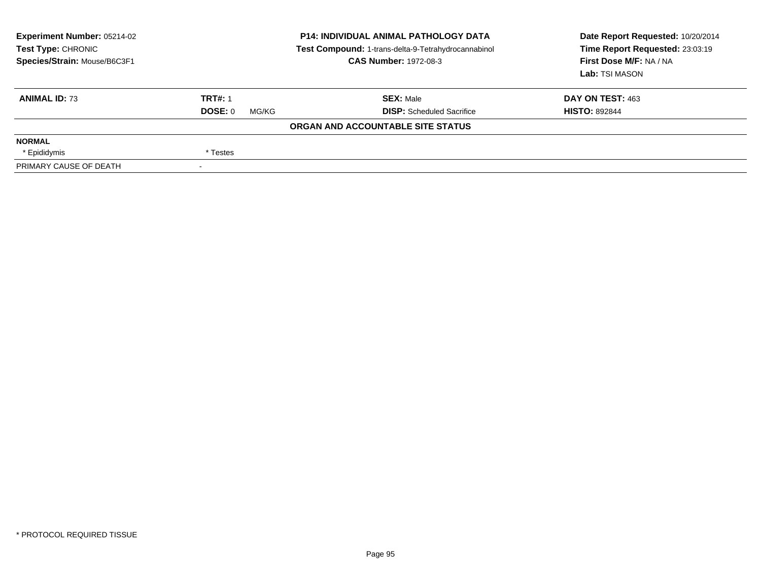| Experiment Number: 05214-02<br><b>Test Type: CHRONIC</b><br>Species/Strain: Mouse/B6C3F1 |                  | <b>P14: INDIVIDUAL ANIMAL PATHOLOGY DATA</b><br>Test Compound: 1-trans-delta-9-Tetrahydrocannabinol<br><b>CAS Number: 1972-08-3</b> | Date Report Requested: 10/20/2014<br>Time Report Requested: 23:03:19<br>First Dose M/F: NA / NA<br>Lab: TSI MASON |
|------------------------------------------------------------------------------------------|------------------|-------------------------------------------------------------------------------------------------------------------------------------|-------------------------------------------------------------------------------------------------------------------|
| <b>ANIMAL ID: 73</b>                                                                     | <b>TRT#: 1</b>   | <b>SEX: Male</b>                                                                                                                    | DAY ON TEST: 463                                                                                                  |
|                                                                                          | DOSE: 0<br>MG/KG | <b>DISP:</b> Scheduled Sacrifice                                                                                                    | <b>HISTO: 892844</b>                                                                                              |
|                                                                                          |                  | ORGAN AND ACCOUNTABLE SITE STATUS                                                                                                   |                                                                                                                   |
| <b>NORMAL</b>                                                                            |                  |                                                                                                                                     |                                                                                                                   |
| * Epididymis                                                                             | * Testes         |                                                                                                                                     |                                                                                                                   |
| PRIMARY CAUSE OF DEATH                                                                   |                  |                                                                                                                                     |                                                                                                                   |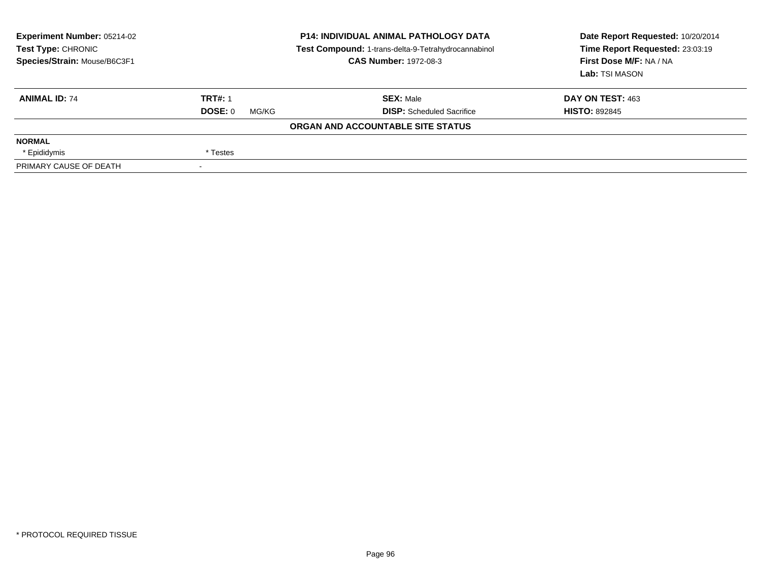| Experiment Number: 05214-02<br><b>Test Type: CHRONIC</b><br>Species/Strain: Mouse/B6C3F1 | <b>P14: INDIVIDUAL ANIMAL PATHOLOGY DATA</b><br>Test Compound: 1-trans-delta-9-Tetrahydrocannabinol<br><b>CAS Number: 1972-08-3</b> |                                   | Date Report Requested: 10/20/2014<br>Time Report Requested: 23:03:19<br>First Dose M/F: NA / NA<br>Lab: TSI MASON |
|------------------------------------------------------------------------------------------|-------------------------------------------------------------------------------------------------------------------------------------|-----------------------------------|-------------------------------------------------------------------------------------------------------------------|
| <b>ANIMAL ID: 74</b>                                                                     | <b>TRT#: 1</b>                                                                                                                      | <b>SEX: Male</b>                  | DAY ON TEST: 463                                                                                                  |
|                                                                                          | DOSE: 0<br>MG/KG                                                                                                                    | <b>DISP:</b> Scheduled Sacrifice  | <b>HISTO: 892845</b>                                                                                              |
|                                                                                          |                                                                                                                                     | ORGAN AND ACCOUNTABLE SITE STATUS |                                                                                                                   |
| <b>NORMAL</b>                                                                            |                                                                                                                                     |                                   |                                                                                                                   |
| * Epididymis                                                                             | * Testes                                                                                                                            |                                   |                                                                                                                   |
| PRIMARY CAUSE OF DEATH                                                                   | $\overline{\phantom{a}}$                                                                                                            |                                   |                                                                                                                   |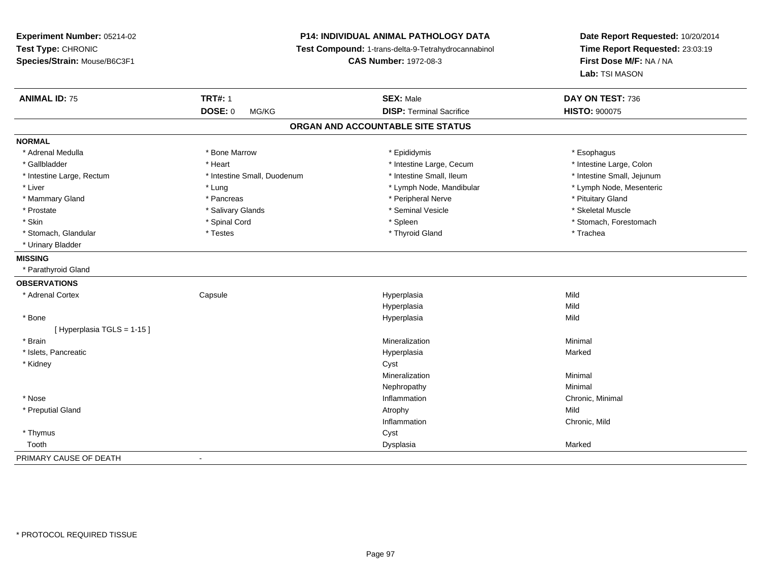# **P14: INDIVIDUAL ANIMAL PATHOLOGY DATA**

**Test Compound:** 1-trans-delta-9-Tetrahydrocannabinol

**CAS Number:** 1972-08-3

| <b>ANIMAL ID: 75</b>      | <b>TRT#: 1</b>              | <b>SEX: Male</b>                  | DAY ON TEST: 736           |
|---------------------------|-----------------------------|-----------------------------------|----------------------------|
|                           | <b>DOSE: 0</b><br>MG/KG     | <b>DISP: Terminal Sacrifice</b>   | <b>HISTO: 900075</b>       |
|                           |                             | ORGAN AND ACCOUNTABLE SITE STATUS |                            |
| <b>NORMAL</b>             |                             |                                   |                            |
| * Adrenal Medulla         | * Bone Marrow               | * Epididymis                      | * Esophagus                |
| * Gallbladder             | * Heart                     | * Intestine Large, Cecum          | * Intestine Large, Colon   |
| * Intestine Large, Rectum | * Intestine Small, Duodenum | * Intestine Small, Ileum          | * Intestine Small, Jejunum |
| * Liver                   | * Lung                      | * Lymph Node, Mandibular          | * Lymph Node, Mesenteric   |
| * Mammary Gland           | * Pancreas                  | * Peripheral Nerve                | * Pituitary Gland          |
| * Prostate                | * Salivary Glands           | * Seminal Vesicle                 | * Skeletal Muscle          |
| * Skin                    | * Spinal Cord               | * Spleen                          | * Stomach, Forestomach     |
| * Stomach, Glandular      | * Testes                    | * Thyroid Gland                   | * Trachea                  |
| * Urinary Bladder         |                             |                                   |                            |
| <b>MISSING</b>            |                             |                                   |                            |
| * Parathyroid Gland       |                             |                                   |                            |
| <b>OBSERVATIONS</b>       |                             |                                   |                            |
| * Adrenal Cortex          | Capsule                     | Hyperplasia                       | Mild                       |
|                           |                             | Hyperplasia                       | Mild                       |
| * Bone                    |                             | Hyperplasia                       | Mild                       |
| [Hyperplasia TGLS = 1-15] |                             |                                   |                            |
| * Brain                   |                             | Mineralization                    | Minimal                    |
| * Islets, Pancreatic      |                             | Hyperplasia                       | Marked                     |
| * Kidney                  |                             | Cyst                              |                            |
|                           |                             | Mineralization                    | Minimal                    |
|                           |                             | Nephropathy                       | Minimal                    |
| * Nose                    |                             | Inflammation                      | Chronic, Minimal           |
| * Preputial Gland         |                             | Atrophy                           | Mild                       |
|                           |                             | Inflammation                      | Chronic, Mild              |
| * Thymus                  |                             | Cyst                              |                            |
| Tooth                     |                             | Dysplasia                         | Marked                     |
| PRIMARY CAUSE OF DEATH    | $\blacksquare$              |                                   |                            |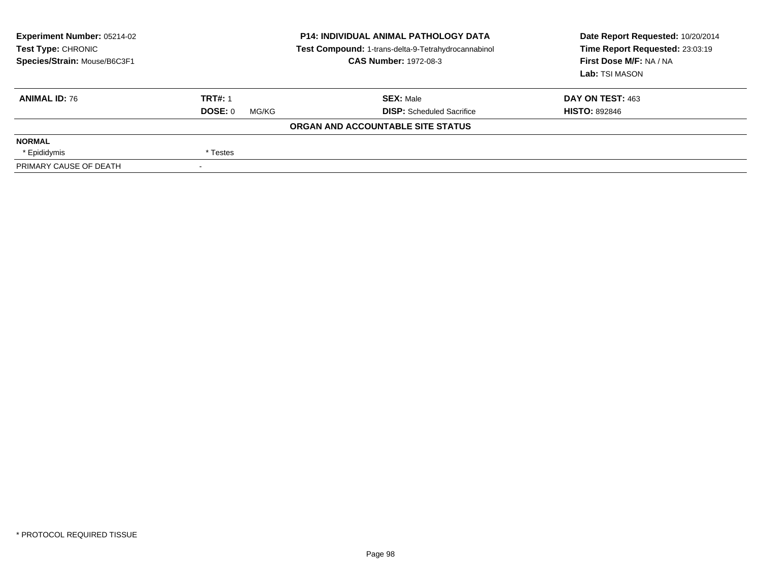| Experiment Number: 05214-02<br><b>Test Type: CHRONIC</b><br>Species/Strain: Mouse/B6C3F1 |                  | <b>P14: INDIVIDUAL ANIMAL PATHOLOGY DATA</b><br>Test Compound: 1-trans-delta-9-Tetrahydrocannabinol<br><b>CAS Number: 1972-08-3</b> | Date Report Requested: 10/20/2014<br>Time Report Requested: 23:03:19<br>First Dose M/F: NA / NA<br>Lab: TSI MASON |
|------------------------------------------------------------------------------------------|------------------|-------------------------------------------------------------------------------------------------------------------------------------|-------------------------------------------------------------------------------------------------------------------|
| <b>ANIMAL ID: 76</b>                                                                     | <b>TRT#: 1</b>   | <b>SEX: Male</b>                                                                                                                    | DAY ON TEST: 463                                                                                                  |
|                                                                                          | DOSE: 0<br>MG/KG | <b>DISP:</b> Scheduled Sacrifice                                                                                                    | <b>HISTO: 892846</b>                                                                                              |
|                                                                                          |                  | ORGAN AND ACCOUNTABLE SITE STATUS                                                                                                   |                                                                                                                   |
| <b>NORMAL</b>                                                                            |                  |                                                                                                                                     |                                                                                                                   |
| * Epididymis                                                                             | * Testes         |                                                                                                                                     |                                                                                                                   |
| PRIMARY CAUSE OF DEATH                                                                   |                  |                                                                                                                                     |                                                                                                                   |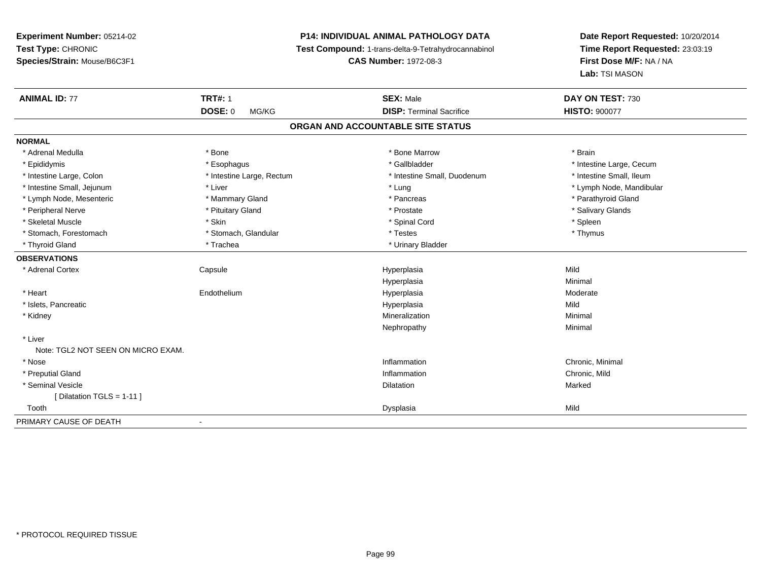# **P14: INDIVIDUAL ANIMAL PATHOLOGY DATA**

**Test Compound:** 1-trans-delta-9-Tetrahydrocannabinol

**CAS Number:** 1972-08-3

| <b>ANIMAL ID: 77</b>               | <b>TRT#: 1</b>            | <b>SEX: Male</b>                  | DAY ON TEST: 730         |  |
|------------------------------------|---------------------------|-----------------------------------|--------------------------|--|
|                                    | <b>DOSE: 0</b><br>MG/KG   | <b>DISP: Terminal Sacrifice</b>   | <b>HISTO: 900077</b>     |  |
|                                    |                           | ORGAN AND ACCOUNTABLE SITE STATUS |                          |  |
| <b>NORMAL</b>                      |                           |                                   |                          |  |
| * Adrenal Medulla                  | * Bone                    | * Bone Marrow                     | * Brain                  |  |
| * Epididymis                       | * Esophagus               | * Gallbladder                     | * Intestine Large, Cecum |  |
| * Intestine Large, Colon           | * Intestine Large, Rectum | * Intestine Small, Duodenum       | * Intestine Small, Ileum |  |
| * Intestine Small, Jejunum         | * Liver                   | * Lung                            | * Lymph Node, Mandibular |  |
| * Lymph Node, Mesenteric           | * Mammary Gland           | * Pancreas                        | * Parathyroid Gland      |  |
| * Peripheral Nerve                 | * Pituitary Gland         | * Prostate                        | * Salivary Glands        |  |
| * Skeletal Muscle                  | * Skin                    | * Spinal Cord                     | * Spleen                 |  |
| * Stomach, Forestomach             | * Stomach, Glandular      | * Testes                          | * Thymus                 |  |
| * Thyroid Gland                    | * Trachea                 | * Urinary Bladder                 |                          |  |
| <b>OBSERVATIONS</b>                |                           |                                   |                          |  |
| * Adrenal Cortex                   | Capsule                   | Hyperplasia                       | Mild                     |  |
|                                    |                           | Hyperplasia                       | Minimal                  |  |
| * Heart                            | Endothelium               | Hyperplasia                       | Moderate                 |  |
| * Islets, Pancreatic               |                           | Hyperplasia                       | Mild                     |  |
| * Kidney                           |                           | Mineralization                    | Minimal                  |  |
|                                    |                           | Nephropathy                       | Minimal                  |  |
| * Liver                            |                           |                                   |                          |  |
| Note: TGL2 NOT SEEN ON MICRO EXAM. |                           |                                   |                          |  |
| * Nose                             |                           | Inflammation                      | Chronic, Minimal         |  |
| * Preputial Gland                  |                           | Inflammation                      | Chronic, Mild            |  |
| * Seminal Vesicle                  |                           | Dilatation                        | Marked                   |  |
| [Dilatation TGLS = 1-11]           |                           |                                   |                          |  |
| Tooth                              |                           | Dysplasia                         | Mild                     |  |
| PRIMARY CAUSE OF DEATH             |                           |                                   |                          |  |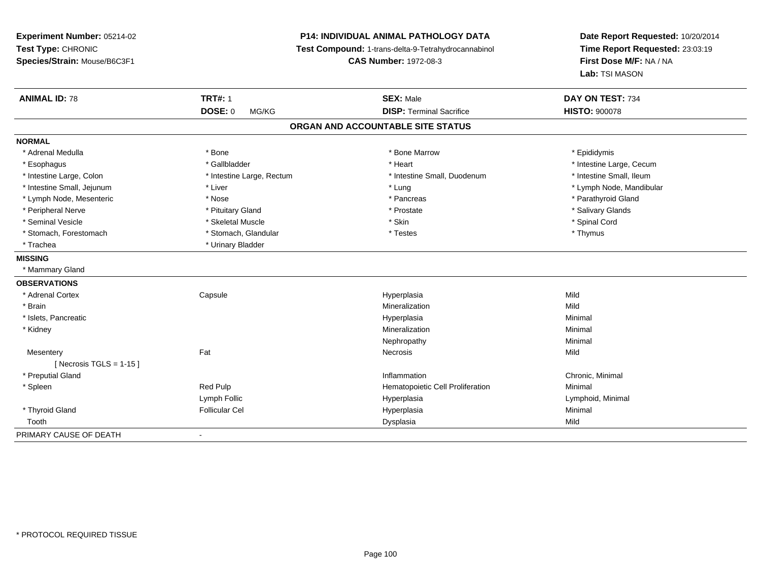**Experiment Number:** 05214-02**Test Type:** CHRONIC **Species/Strain:** Mouse/B6C3F1**P14: INDIVIDUAL ANIMAL PATHOLOGY DATA Test Compound:** 1-trans-delta-9-Tetrahydrocannabinol **CAS Number:** 1972-08-3**Date Report Requested:** 10/20/2014**Time Report Requested:** 23:03:19**First Dose M/F:** NA / NA**Lab:** TSI MASON**ANIMAL ID:** 78**TRT#:** 1 **SEX:** Male **DAY ON TEST:** 734 **DOSE:** 0 MG/KG **DISP:** Terminal Sacrifice **HISTO:** <sup>900078</sup> **ORGAN AND ACCOUNTABLE SITE STATUSNORMAL**\* Adrenal Medulla \* Adrenal Medulla \* \* The matter of the state of the state of the Marrow \* Bone Marrow \* Adrenal Medulla \* Epididymis \* Epididymis \* Bone Marrow \* Adrenal Medulla \* Epididymis \* Epididymis \* Epididymis \* Epididymis \* Epidi \* Esophagus \* https://www.fragustage.com/web/2019/heart \* Heart \* Heart \* Heart \* Intestine Large, Cecum \* Intestine Large, Cecum \* Gallbladder \* Callbladder \* 11 and 12 and 12 and 12 and 12 and 12 and 12 and 12 and 12 and \* Intestine Small, Ileum \* Intestine Large, Colon \* Intestine Large, Rectum \* Intestine Small, Duodenum \* Intestine Small, Duodenum \* Intestine Small, Jejunum \* Liver \* Lung \* Lymph Node, Mandibular \* Lymph Node, Mesenteric \* The state of the state of the state of the state of the state of the state of the state of the state of the state of the state of the state of the state of the state of the state of the state of \* Peripheral Nerve \* \* And the state \* Pituitary Gland \* Prosection \* Prostate \* Prostate \* Salivary Glands \* Salivary Glands \* Salivary Glands \* Salivary Glands \* Salivary Glands \* Salivary Glands \* Salivary Glands \* Sali \* Seminal Vesicle \* \* Spinal Cord \* Skeletal Muscle \* \* Skin \* \* Skin \* \* Spinal Vesicle \* Spinal Cord \* Spinal Cord \* Stomach, Forestomach \* Thymus \* Stomach, Glandular \* Testes \* Testes \* Thymus \* Thymus \* Thymus \* Trachea **\*** Urinary Bladder **MISSING** \* Mammary Gland**OBSERVATIONS** \* Adrenal Cortex Capsule Hyperplasia Mild \* Brainn and the control of the control of the control of the control of the control of the control of the control of the control of the control of the control of the control of the control of the control of the control of the co \* Islets, Pancreaticc and the control of the control of the control of the control of the control of the control of the control of the control of the control of the control of the control of the control of the control of the control of the co a **Minimal**  \* Kidneyy with the control of the control of the control of the control of the control of the control of the control of the control of the control of the control of the control of the control of the control of the control of the c n Minimal Nephropathyy the contract of the Minimal Minimal Section 1996 and the contract of the Minimal Section 1997 and the contract of the contract of the contract of the contract of the contract of the contract of the contract of the contra **Mesentery** y the contract of the contract of the contract of the contract of the contract of the contract of the contract of the contract of the contract of the contract of the contract of the contract of the contract of the contract  $[$  Necrosis TGLS = 1-15  $]$  \* Preputial Glandd the controller of the controller of the controller of the controller of the controller of the controller of the controller of the controller of the controller of the controller of the controller of the controller of the \* SpleenRed Pulp **Minimal Hematopoietic Cell Proliferation Minimal** Lymph Follic Hyperplasia Lymphoid, Minimal \* Thyroid Gland Follicular Cel Hyperplasia Minimal Toothh ann an t-Iomraid ann an t-Iomraid ann an t-Iomraid ann an t-Iomraid ann an t-Iomraid ann an t-Iomraid ann an<br>Iomraid an t-Iomraid ann an t-Iomraid ann an t-Iomraid ann an t-Iomraid ann an t-Iomraid ann an t-Iomraid ann PRIMARY CAUSE OF DEATH-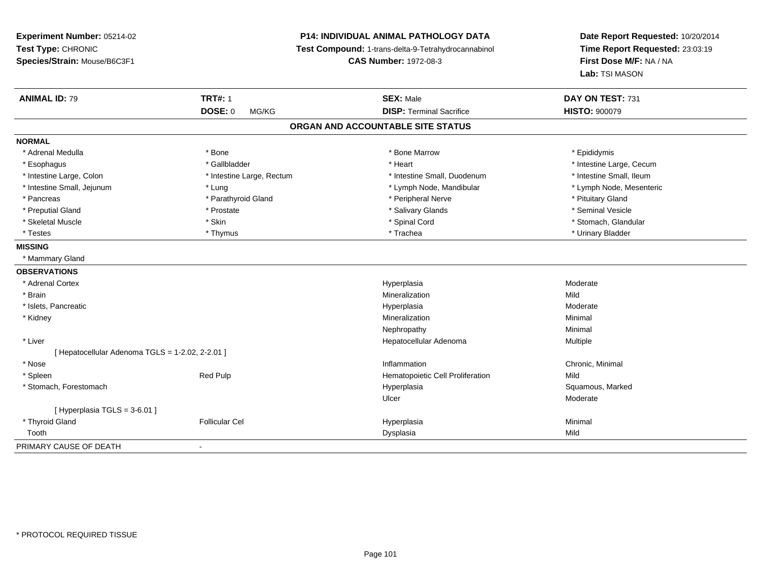**Experiment Number:** 05214-02**Test Type:** CHRONIC **Species/Strain:** Mouse/B6C3F1**P14: INDIVIDUAL ANIMAL PATHOLOGY DATA Test Compound:** 1-trans-delta-9-Tetrahydrocannabinol **CAS Number:** 1972-08-3**Date Report Requested:** 10/20/2014**Time Report Requested:** 23:03:19**First Dose M/F:** NA / NA**Lab:** TSI MASON**ANIMAL ID:** 79**TRT#:** 1 **SEX:** Male **DAY ON TEST:** 731 **DOSE:** 0 MG/KG**DISP:** Terminal Sacrifice **HISTO:**  $900079$ **ORGAN AND ACCOUNTABLE SITE STATUSNORMAL**\* Adrenal Medulla \* Adrenal Medulla \* \* The matter of the state of the state of the Marrow \* Bone Marrow \* Adrenal Medulla \* Epididymis \* Epididymis \* Bone Marrow \* Adrenal Medulla \* Epididymis \* Epididymis \* Epididymis \* Epididymis \* Epidi \* Esophagus \* https://www.fragustage.com/web/2019/heart \* Heart \* Heart \* Heart \* Intestine Large, Cecum \* Intestine Large, Cecum \* Gallbladder \* Callbladder \* 11 and 12 and 12 and 12 and 12 and 12 and 12 and 12 and 12 and \* Intestine Small, Ileum \* Intestine Large, Colon \* Intestine Large, Rectum \* Intestine Small, Duodenum \* Intestine Small, Duodenum \* Intestine Small, Jejunum \* Lung \* Lymph Node, Mandibular \* Lymph Node, Mesenteric\* Pancreas \* Parathyroid Gland \* Parathyroid Gland \* Peripheral Nerve \* Peripheral Nerve \* Pituitary Gland \* Seminal Vesicle \* Preputial Gland \* \* Annual vesicle \* \* Prostate \* \* Salivary Glands \* \* Salivary Glands \* \* Seminal Vesicle \* \* Stomach. Glandular \* Skeletal Muscle \* \* Stan \* Skin \* Standular \* Spinal Cord \* Spinal Cord \* Stomach, Glandular \* Stomach, Glandular \* Stomach, Glandular \* Stomach, Glandular \* Stomach, Glandular \* Stomach, Glandular \* Stomach, Glandular \* \* Testes \* Thymus \* Trachea \* Urinary Bladder **MISSING** \* Mammary Gland**OBSERVATIONS** \* Adrenal Cortexx and the contract of the contract of the contract of the contract of the contract of the contract of the contract of the contract of the contract of the contract of the contract of the contract of the contract of the cont Hyperplasia entrants and the moderate Moderate Mineralization entrants and the Moderate Mild \* Brainn and the control of the control of the control of the control of the control of the control of the control of the control of the control of the control of the control of the control of the control of the control of the co \* Islets, Pancreaticc and the control of the control of the control of the control of the control of the control of the control of the control of the control of the control of the control of the control of the control of the control of the co Hyperplasia eta alderate eta alderate eta alderate eta alderate eta alderate eta alderate eta alderate eta al<br>Minimal \* Kidneyy with the control of the control of the control of the control of the control of the control of the control of the control of the control of the control of the control of the control of the control of the control of the c n Minimal Nephropathyy the contract of the Minimal Minimal Section 1996 and the contract of the Minimal Section 1997 and the contract of the contract of the contract of the contract of the contract of the contract of the contract of the contra \* Liver Hepatocellular Adenoma Multiple  $[$  Hepatocellular Adenoma TGLS = 1-2.02, 2-2.01 ] \* Nosee the contraction of the contraction of the contraction of the contraction of the chronic, Minimal on the chronic, Minimal or  $\mathbb{R}^n$  \* SpleenRed Pulp **Mild Red Pulp Constructs Cell Proliferation** Mild Mild<br>Hyperplasia Hyperplasia Constructs Squamous, Marked \* Stomach, Forestomachh ann an t-aisiad ann am Suid-Africa ann an Suid-Africa ann an Suid-Africa ann an Suid-Africa ann an Suid-Africa ann an Suid-Africa ann an Suid-Africa ann an Suid-Africa ann an Suid-Africa ann an Suid-Africa ann an Suid-Af Ulcerr **Moderate** [ Hyperplasia TGLS = 3-6.01 ] \* Thyroid Gland Follicular Cel Hyperplasia Minimal Toothh ann an t-Iomraid ann an t-Iomraid ann an t-Iomraid ann an t-Iomraid ann an t-Iomraid ann an t-Iomraid ann an<br>Iomraid an t-Iomraid ann an t-Iomraid ann an t-Iomraid ann an t-Iomraid ann an t-Iomraid ann an t-Iomraid ann PRIMARY CAUSE OF DEATH-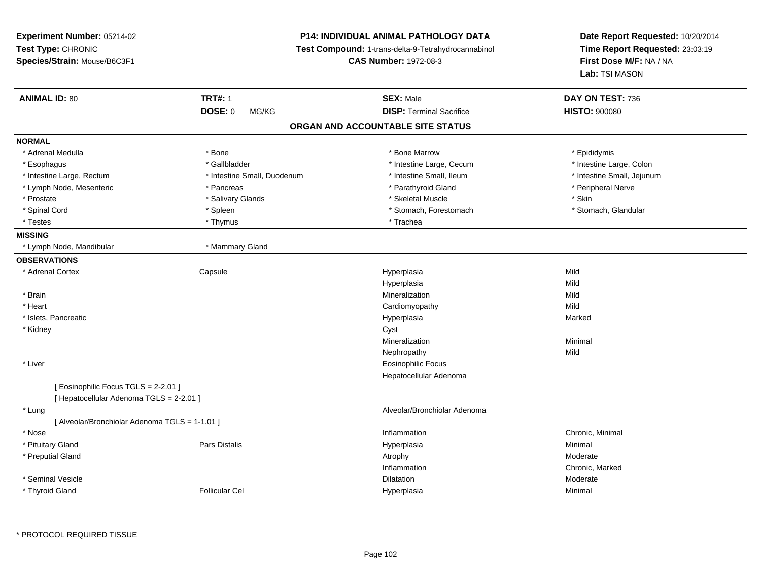| Experiment Number: 05214-02<br>Test Type: CHRONIC<br>Species/Strain: Mouse/B6C3F1 |                             | <b>P14: INDIVIDUAL ANIMAL PATHOLOGY DATA</b><br>Test Compound: 1-trans-delta-9-Tetrahydrocannabinol<br><b>CAS Number: 1972-08-3</b> | Date Report Requested: 10/20/2014<br>Time Report Requested: 23:03:19<br>First Dose M/F: NA / NA<br>Lab: TSI MASON |
|-----------------------------------------------------------------------------------|-----------------------------|-------------------------------------------------------------------------------------------------------------------------------------|-------------------------------------------------------------------------------------------------------------------|
| <b>ANIMAL ID: 80</b>                                                              | <b>TRT#: 1</b>              | <b>SEX: Male</b>                                                                                                                    | DAY ON TEST: 736                                                                                                  |
|                                                                                   | DOSE: 0<br>MG/KG            | <b>DISP: Terminal Sacrifice</b>                                                                                                     | <b>HISTO: 900080</b>                                                                                              |
|                                                                                   |                             | ORGAN AND ACCOUNTABLE SITE STATUS                                                                                                   |                                                                                                                   |
| <b>NORMAL</b>                                                                     |                             |                                                                                                                                     |                                                                                                                   |
| * Adrenal Medulla                                                                 | * Bone                      | * Bone Marrow                                                                                                                       | * Epididymis                                                                                                      |
| * Esophagus                                                                       | * Gallbladder               | * Intestine Large, Cecum                                                                                                            | * Intestine Large, Colon                                                                                          |
| * Intestine Large, Rectum                                                         | * Intestine Small, Duodenum | * Intestine Small, Ileum                                                                                                            | * Intestine Small, Jejunum                                                                                        |
| * Lymph Node, Mesenteric                                                          | * Pancreas                  | * Parathyroid Gland                                                                                                                 | * Peripheral Nerve                                                                                                |
| * Prostate                                                                        | * Salivary Glands           | * Skeletal Muscle                                                                                                                   | * Skin                                                                                                            |
| * Spinal Cord                                                                     | * Spleen                    | * Stomach, Forestomach                                                                                                              | * Stomach, Glandular                                                                                              |
| * Testes                                                                          | * Thymus                    | * Trachea                                                                                                                           |                                                                                                                   |
| <b>MISSING</b>                                                                    |                             |                                                                                                                                     |                                                                                                                   |
| * Lymph Node, Mandibular                                                          | * Mammary Gland             |                                                                                                                                     |                                                                                                                   |
| <b>OBSERVATIONS</b>                                                               |                             |                                                                                                                                     |                                                                                                                   |
| * Adrenal Cortex                                                                  | Capsule                     | Hyperplasia                                                                                                                         | Mild                                                                                                              |
|                                                                                   |                             | Hyperplasia                                                                                                                         | Mild                                                                                                              |
| * Brain                                                                           |                             | Mineralization                                                                                                                      | Mild                                                                                                              |
| * Heart                                                                           |                             | Cardiomyopathy                                                                                                                      | Mild                                                                                                              |
| * Islets, Pancreatic                                                              |                             | Hyperplasia                                                                                                                         | Marked                                                                                                            |
| * Kidney                                                                          |                             | Cyst                                                                                                                                |                                                                                                                   |
|                                                                                   |                             | Mineralization                                                                                                                      | Minimal                                                                                                           |
|                                                                                   |                             | Nephropathy                                                                                                                         | Mild                                                                                                              |
| * Liver                                                                           |                             | <b>Eosinophilic Focus</b>                                                                                                           |                                                                                                                   |
|                                                                                   |                             | Hepatocellular Adenoma                                                                                                              |                                                                                                                   |
| [ Eosinophilic Focus TGLS = 2-2.01 ]                                              |                             |                                                                                                                                     |                                                                                                                   |
| [ Hepatocellular Adenoma TGLS = 2-2.01 ]                                          |                             |                                                                                                                                     |                                                                                                                   |
| * Lung                                                                            |                             | Alveolar/Bronchiolar Adenoma                                                                                                        |                                                                                                                   |
| [ Alveolar/Bronchiolar Adenoma TGLS = 1-1.01 ]                                    |                             |                                                                                                                                     |                                                                                                                   |
| * Nose                                                                            |                             | Inflammation                                                                                                                        | Chronic, Minimal                                                                                                  |
| * Pituitary Gland                                                                 | Pars Distalis               | Hyperplasia                                                                                                                         | Minimal                                                                                                           |
| * Preputial Gland                                                                 |                             | Atrophy                                                                                                                             | Moderate                                                                                                          |
|                                                                                   |                             | Inflammation                                                                                                                        | Chronic, Marked                                                                                                   |
| * Seminal Vesicle                                                                 |                             | Dilatation                                                                                                                          | Moderate                                                                                                          |
| * Thyroid Gland                                                                   | <b>Follicular Cel</b>       | Hyperplasia                                                                                                                         | Minimal                                                                                                           |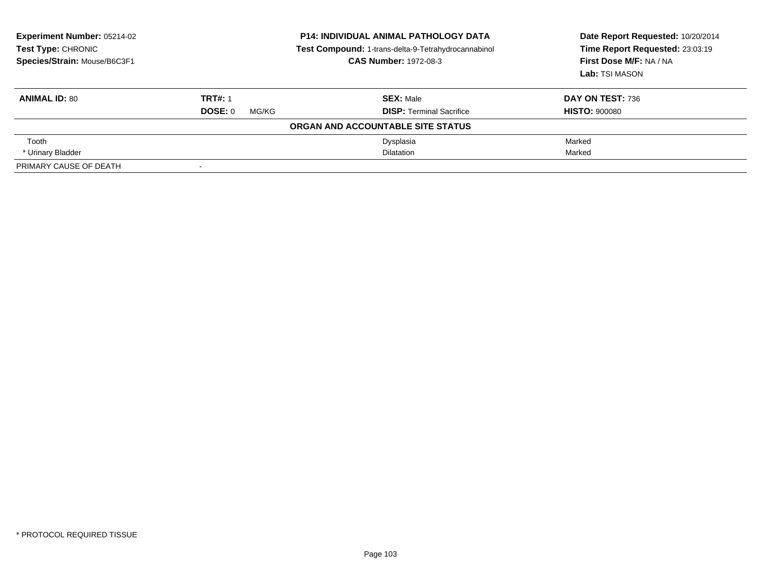| <b>Experiment Number: 05214-02</b><br><b>Test Type: CHRONIC</b><br>Species/Strain: Mouse/B6C3F1 |                  | <b>P14: INDIVIDUAL ANIMAL PATHOLOGY DATA</b><br>Test Compound: 1-trans-delta-9-Tetrahydrocannabinol<br><b>CAS Number: 1972-08-3</b> | Date Report Requested: 10/20/2014<br>Time Report Requested: 23:03:19<br>First Dose M/F: NA / NA<br>Lab: TSI MASON |
|-------------------------------------------------------------------------------------------------|------------------|-------------------------------------------------------------------------------------------------------------------------------------|-------------------------------------------------------------------------------------------------------------------|
| <b>ANIMAL ID: 80</b>                                                                            | <b>TRT#: 1</b>   | <b>SEX: Male</b>                                                                                                                    | DAY ON TEST: 736                                                                                                  |
|                                                                                                 | DOSE: 0<br>MG/KG | <b>DISP:</b> Terminal Sacrifice                                                                                                     | <b>HISTO: 900080</b>                                                                                              |
|                                                                                                 |                  | ORGAN AND ACCOUNTABLE SITE STATUS                                                                                                   |                                                                                                                   |
| Tooth                                                                                           |                  | Dysplasia                                                                                                                           | Marked                                                                                                            |
| * Urinary Bladder                                                                               |                  | <b>Dilatation</b>                                                                                                                   | Marked                                                                                                            |
| PRIMARY CAUSE OF DEATH                                                                          |                  |                                                                                                                                     |                                                                                                                   |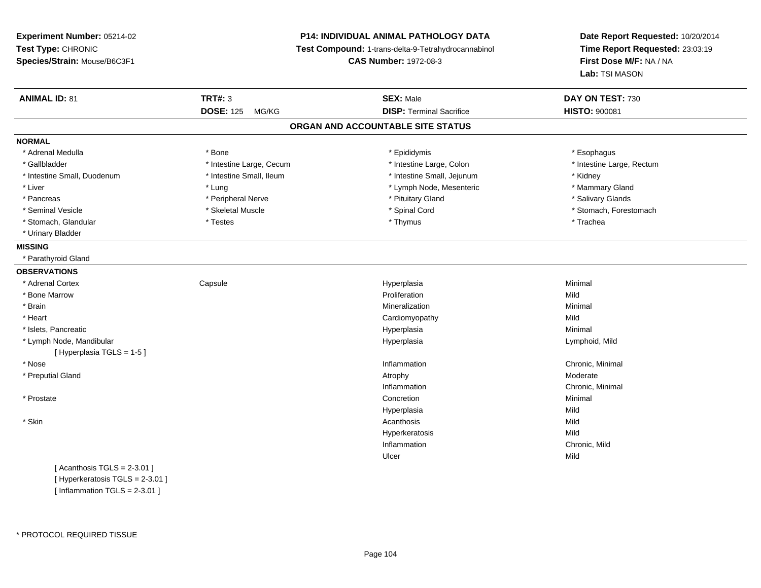**Experiment Number:** 05214-02**Test Type:** CHRONIC **Species/Strain:** Mouse/B6C3F1**P14: INDIVIDUAL ANIMAL PATHOLOGY DATA Test Compound:** 1-trans-delta-9-Tetrahydrocannabinol **CAS Number:** 1972-08-3**Date Report Requested:** 10/20/2014**Time Report Requested:** 23:03:19**First Dose M/F:** NA / NA**Lab:** TSI MASON**ANIMAL ID:** 81**TRT#:** 3 **SEX:** Male **DAY ON TEST:** 730 **DOSE:** 125 MG/KG **DISP:** Terminal Sacrifice **HISTO:** <sup>900081</sup> **ORGAN AND ACCOUNTABLE SITE STATUSNORMAL**\* Adrenal Medulla \* Adrenal Medulla \* \* \* example \* \* Bone \* \* \* Bone \* \* Epididymis \* \* Epididymis \* \* \* Esophagus \* Esophagus \* \* Esophagus \* \* Esophagus \* \* Esophagus \* \* Esophagus \* \* Esophagus \* \* Esophagus \* \* \* \* \* \* \* \* \* \* \* \* \* \* \* Gallbladder \* Thestine Large, Cecum \* Intestine Large, Cecum \* Intestine Large, Colon \* Intestine Large, Rectum \* Intestine Small, Duodenum \* 100 \* 100 \* 100 \* 100 \* 100 \* 100 \* 100 \* 100 \* 100 \* 100 \* 100 \* 100 \* Hotestine Small, Jejunum \* Kidney \* Mammary Gland \* Liver \* Liver \* Lung \* Lung \* Lung \* Lung \* Lymph Node, Mesenteric \* Mammary Gland \* Mammary Gland \* Mammary Gland \* Lymph Node, Mesenteric \* \* Salivary Glands \* Pancreas \* And the section of the series of the series are the series to the series of the series of the series to the series of the series of the series of the series of the series of the series of the series of the ser \* Seminal Vesicle \* The state of the state of the set of the set of the set of the set of the set of the set of the set of the set of the set of the set of the set of the set of the set of the set of the set of the set of \* Stomach, Glandular \* \* \* Trachea \* \* Testes \* \* Thymus \* Thymus \* Thymus \* Trachea \* Trachea \* Urinary Bladder**MISSING** \* Parathyroid Gland**OBSERVATIONS** \* Adrenal Cortex**Capsule**  Hyperplasia Minimal \* Bone Marroww **Proliferation** Proliferation **Mild**  \* Brainn and the controller of the controller of the controller of the Minimal Mineralization and the controller of the Minimal Minimal of the controller of the controller of the controller of the controller of the controller of \* Heart Cardiomyopathyy Mild Minimal \* Islets, Pancreaticc and the control of the control of the control of the control of the control of the control of the control of the control of the control of the control of the control of the control of the control of the control of the co a **Minimal**  \* Lymph Node, Mandibular Hyperplasia Lymphoid, Mild [ Hyperplasia TGLS = 1-5 ] \* Nosee the contraction of the contraction of the contraction of the contraction of the chronic, Minimal on the chronic, Minimal or  $\mathbb{R}^n$  \* Preputial Glandd and the control of the control of the control of the control of the control of the control of the control of  $\lambda$ Inflammation Chronic, Minimal \* Prostatee and the concretion of the concretion of the concretion of the concretion of the concretion of the concretion Hyperplasiaa Mild \* Skinn and the control of the control of the control of the control of the control of the control of the control of the control of the control of the control of the control of the control of the control of the control of the co Hyperkeratosiss Mild n Chronic, Mild InflammationUlcerr **Mild** 

 $[$  Acanthosis TGLS = 2-3.01  $]$ [ Hyperkeratosis TGLS = 2-3.01 ] $[$  Inflammation TGLS = 2-3.01 ]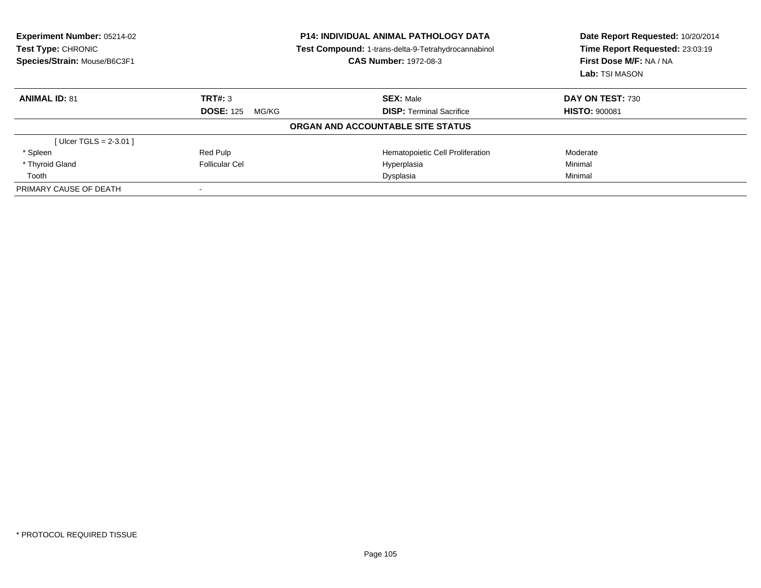| Experiment Number: 05214-02<br><b>Test Type: CHRONIC</b><br>Species/Strain: Mouse/B6C3F1 | <b>P14: INDIVIDUAL ANIMAL PATHOLOGY DATA</b><br>Test Compound: 1-trans-delta-9-Tetrahydrocannabinol<br><b>CAS Number: 1972-08-3</b> |                                   | Date Report Requested: 10/20/2014<br>Time Report Requested: 23:03:19<br>First Dose M/F: NA / NA<br>Lab: TSI MASON |  |
|------------------------------------------------------------------------------------------|-------------------------------------------------------------------------------------------------------------------------------------|-----------------------------------|-------------------------------------------------------------------------------------------------------------------|--|
| <b>ANIMAL ID: 81</b>                                                                     | TRT#: 3                                                                                                                             | <b>SEX: Male</b>                  | DAY ON TEST: 730                                                                                                  |  |
|                                                                                          | <b>DOSE: 125</b><br>MG/KG                                                                                                           | <b>DISP:</b> Terminal Sacrifice   | <b>HISTO: 900081</b>                                                                                              |  |
|                                                                                          |                                                                                                                                     | ORGAN AND ACCOUNTABLE SITE STATUS |                                                                                                                   |  |
| [ $Uicer TGLS = 2-3.01$ ]                                                                |                                                                                                                                     |                                   |                                                                                                                   |  |
| * Spleen                                                                                 | Red Pulp                                                                                                                            | Hematopoietic Cell Proliferation  | Moderate                                                                                                          |  |
| * Thyroid Gland                                                                          | Follicular Cel                                                                                                                      | Hyperplasia                       | Minimal                                                                                                           |  |
| Tooth                                                                                    |                                                                                                                                     | Dysplasia                         | Minimal                                                                                                           |  |
| PRIMARY CAUSE OF DEATH                                                                   |                                                                                                                                     |                                   |                                                                                                                   |  |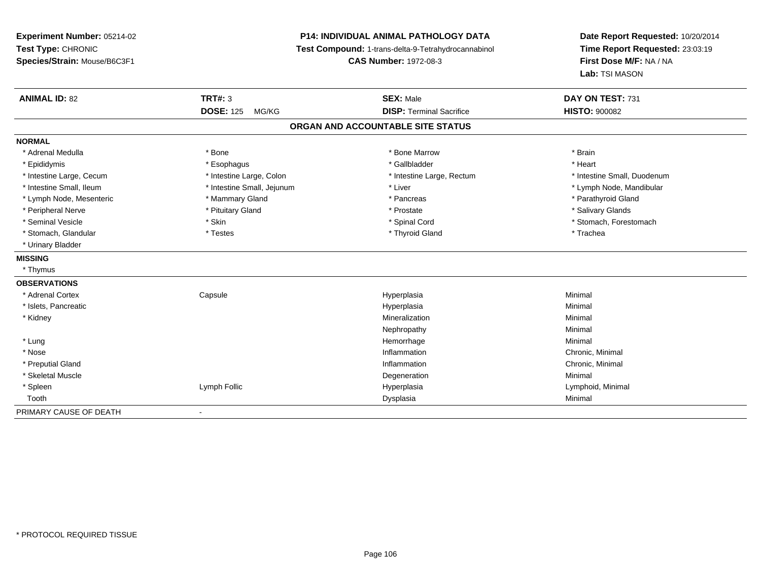**Experiment Number:** 05214-02**Test Type:** CHRONIC **Species/Strain:** Mouse/B6C3F1**P14: INDIVIDUAL ANIMAL PATHOLOGY DATA Test Compound:** 1-trans-delta-9-Tetrahydrocannabinol **CAS Number:** 1972-08-3**Date Report Requested:** 10/20/2014**Time Report Requested:** 23:03:19**First Dose M/F:** NA / NA**Lab:** TSI MASON**ANIMAL ID:** 82 **TRT#:** <sup>3</sup> **SEX:** Male **DAY ON TEST:** <sup>731</sup> **DOSE:** 125 MG/KG **DISP:** Terminal Sacrifice **HISTO:** <sup>900082</sup> **ORGAN AND ACCOUNTABLE SITE STATUSNORMAL**\* Adrenal Medulla \* \* Annual Medulla \* Brain \* Bone \* \* Bone Marrow \* Bone Marrow \* \* Brain \* Brain \* Brain \* Brain \* Brain \* Brain \* Brain \* Brain \* Brain \* Brain \* Brain \* Brain \* Brain \* Brain \* Brain \* Brain \* Brain \* \* Heart \* Epididymis \* Esophagus \* Gallbladder \* Heart\* Intestine Large, Cecum \* Intestine Large, Colon \* Intestine Large, Rectum \* Intestine Small, Duodenum \* Intestine Small, Ileum \* \* Thestine Small, Jejunum \* Liver \* Liver \* Liver \* Thestine Small, Nejunum \* Lymph Node, Mandibular \* Lymph Node, Mesenteric \* \* Mammary Gland \* Mammary Gland \* Pancreas \* Pancreas \* \* Pancreas \* \* Parathyroid Gland \* Peripheral Nerve \* \* And the state \* Pituitary Gland \* Prosection \* Prostate \* Prostate \* Salivary Glands \* Salivary Glands \* Salivary Glands \* Salivary Glands \* Salivary Glands \* Salivary Glands \* Salivary Glands \* Sali \* Seminal Vesicle \* The state of the set of the set of the set of the set of the set of the set of the set of the set of the set of the set of the set of the set of the set of the set of the set of the set of the set of th \* Stomach, Glandular \* Trachea \* Testes \* Thyroid Gland \* Thyroid Gland \* Thyroid Gland \* Trachea \* Urinary Bladder**MISSING** \* Thymus**OBSERVATIONS** \* Adrenal Cortex Capsule Hyperplasia Minimal \* Islets, Pancreaticc and the control of the control of the control of the control of the control of the control of the control of the control of the control of the control of the control of the control of the control of the control of the co a **Minimal**  \* Kidneyy with the control of the control of the control of the control of the control of the control of the control of the control of the control of the control of the control of the control of the control of the control of the c n Minimal Nephropathyy the contract of the Minimal Minimal Section 1996 and the contract of the Minimal Section 1997 and the contract of the contract of the contract of the contract of the contract of the contract of the contract of the contra \* Lungg and the state of the state of the state of the state of the Minimal Section 1, and the state of the state of the state of the state of the state of the state of the state of the state of the state of the state of the sta \* Nosee the contraction of the contraction of the contraction of the contraction of the chronic, Minimal on the chronic, Minimal or  $\mathbb{R}^n$  \* Preputial Glandd the controller of the controller of the controller of the controller of the controller of the controller of the controller of the controller of the controller of the controller of the controller of the controller of the \* Skeletal Musclee de la controllata de la controllata de la controllata de la controllata de la controllata de la controllata d<br>Degeneration \* Spleen Lymph Follic Hyperplasia Lymphoid, Minimal Toothh ann an Chomas ann an t-ainmeile ann an t-ainmeile ann an Dysplasia. Tha an t-ainmeile ann an Dysplasia ann an Dysplasia ann an t-ainmeile an an t-ainmeile ann an t-ainmeile an an t-ainmeile ann an t-ainmeile ann an t-ain PRIMARY CAUSE OF DEATH-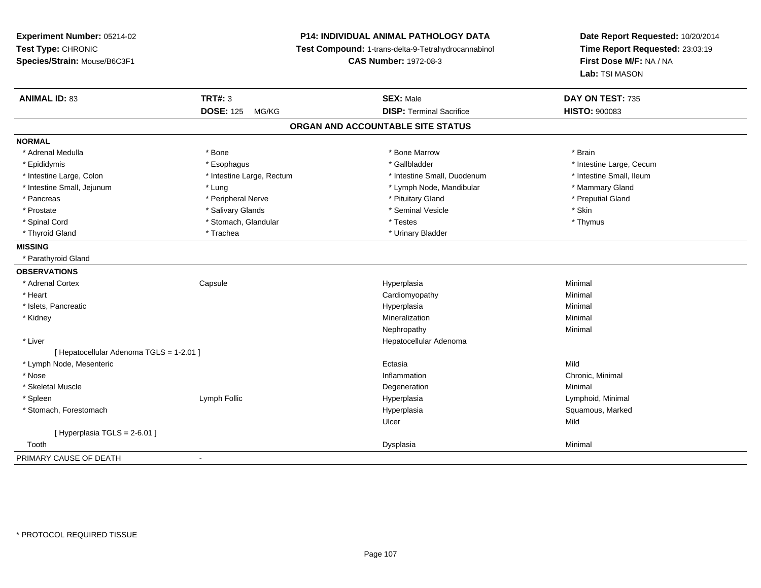**Experiment Number:** 05214-02**Test Type:** CHRONIC **Species/Strain:** Mouse/B6C3F1**P14: INDIVIDUAL ANIMAL PATHOLOGY DATA Test Compound:** 1-trans-delta-9-Tetrahydrocannabinol **CAS Number:** 1972-08-3**Date Report Requested:** 10/20/2014**Time Report Requested:** 23:03:19**First Dose M/F:** NA / NA**Lab:** TSI MASON**ANIMAL ID:** 83**TRT#:** 3 **SEX:** Male **DAY ON TEST:** 735 **DOSE:** 125 MG/KG **DISP:** Terminal Sacrifice **HISTO:** <sup>900083</sup> **ORGAN AND ACCOUNTABLE SITE STATUSNORMAL**\* Adrenal Medulla \* \* Annual Medulla \* Brain \* Bone \* \* Bone Marrow \* Bone Marrow \* \* Brain \* Brain \* Brain \* Brain \* Brain \* Brain \* Brain \* Brain \* Brain \* Brain \* Brain \* Brain \* Brain \* Brain \* Brain \* Brain \* Brain \* \* Epididymis **\* Exophagus \* Execument \* Execument \* Gallbladder** \* Gallbladder \* \* Thtestine Large, Cecum \* Intestine Small, Ileum \* Intestine Large, Colon \* Intestine Large, Rectum \* Intestine Small, Duodenum \* Intestine Small, Duodenum \* Intestine Small, Jejunum \* The manner of the state of the state of the state of the state of the state of the state of the state of the state of the state of the state of the state of the state of the state of the state \* Preputial Gland \* Pancreas \* \* Peripheral Nerve \* \* Peripheral Nerve \* \* Pituitary Gland \* \* Preputial Gland \* \* Preputial Gland \* Prostate \* \* Salivary Glands \* \* Salivary Glands \* \* Seminal Vesicle \* \* \* Seminal Yestrich \* \* Skin \* \* Skin \* Thymus \* Spinal Cord \* Testes \* Stomach, Glandular \* Testes \* Testes \* Testes \* Testes \* Testes \* Testes \* Testes \* T \* Thyroid Gland \* Trachea \* Trachea \* Trachea \* Urinary Bladder **MISSING** \* Parathyroid Gland**OBSERVATIONS** \* Adrenal Cortex**Capsule**  Hyperplasia Minimal \* Heart Cardiomyopathyy **Minimal**  \* Islets, Pancreaticc and the control of the control of the control of the control of the control of the control of the control of the control of the control of the control of the control of the control of the control of the control of the co a **Minimal**  \* Kidneyy with the control of the control of the control of the control of the control of the control of the control of the control of the control of the control of the control of the control of the control of the control of the c n Minimal Nephropathyy the contract of the Minimal Minimal Section 1996 and the contract of the Minimal Section 1997 and the contract of the contract of the contract of the contract of the contract of the contract of the contract of the contra \* Liver Hepatocellular Adenoma[ Hepatocellular Adenoma TGLS = 1-2.01 ] \* Lymph Node, Mesentericc **Ectasia** a **Mild**  \* Nosee the contraction of the contraction of the contraction of the contraction of the chronic, Minimal on the chronic, Minimal or  $\mathbb{R}^n$  \* Skeletal Musclee de la controllata de la controllata de la controllata de la controllata de la controllata de la controllata d<br>Degeneration \* Spleen Lymph Follic Hyperplasia Lymphoid, Minimal \* Stomach, Forestomachh ann an t-aisiad ann am Suid-Africa ann an Suid-Africa ann an Suid-Africa ann an Suid-Africa ann an Suid-Africa ann an Suid-Africa ann an Suid-Africa ann an Suid-Africa ann an Suid-Africa ann an Suid-Africa ann an Suid-Af Ulcerr **Mild**  $[$  Hyperplasia TGLS = 2-6.01 ] Toothh ann an Chomas ann an t-ainmeile ann an t-ainmeile ann an Dysplasia. Tha an t-ainmeile ann an Dysplasia ann an Dysplasia ann an t-ainmeile an an t-ainmeile ann an t-ainmeile an an t-ainmeile ann an t-ainmeile ann an t-ain PRIMARY CAUSE OF DEATH-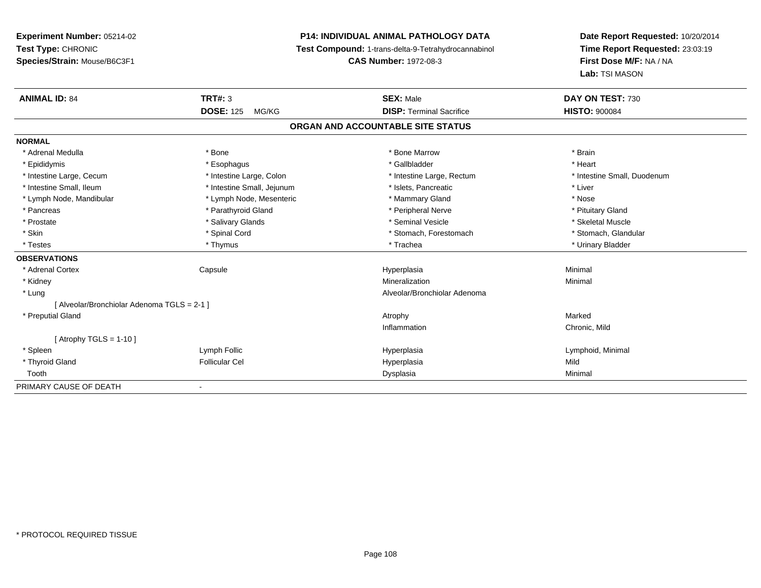# **P14: INDIVIDUAL ANIMAL PATHOLOGY DATA**

**Test Compound:** 1-trans-delta-9-Tetrahydrocannabinol

**CAS Number:** 1972-08-3

| <b>ANIMAL ID: 84</b>                      | TRT#: 3                    | <b>SEX: Male</b>                | DAY ON TEST: 730            |
|-------------------------------------------|----------------------------|---------------------------------|-----------------------------|
|                                           | <b>DOSE: 125</b><br>MG/KG  | <b>DISP: Terminal Sacrifice</b> | <b>HISTO: 900084</b>        |
| ORGAN AND ACCOUNTABLE SITE STATUS         |                            |                                 |                             |
| <b>NORMAL</b>                             |                            |                                 |                             |
| * Adrenal Medulla                         | * Bone                     | * Bone Marrow                   | * Brain                     |
| * Epididymis                              | * Esophagus                | * Gallbladder                   | * Heart                     |
| * Intestine Large, Cecum                  | * Intestine Large, Colon   | * Intestine Large, Rectum       | * Intestine Small, Duodenum |
| * Intestine Small, Ileum                  | * Intestine Small, Jejunum | * Islets, Pancreatic            | * Liver                     |
| * Lymph Node, Mandibular                  | * Lymph Node, Mesenteric   | * Mammary Gland                 | * Nose                      |
| * Pancreas                                | * Parathyroid Gland        | * Peripheral Nerve              | * Pituitary Gland           |
| * Prostate                                | * Salivary Glands          | * Seminal Vesicle               | * Skeletal Muscle           |
| * Skin                                    | * Spinal Cord              | * Stomach, Forestomach          | * Stomach, Glandular        |
| * Testes                                  | * Thymus                   | * Trachea                       | * Urinary Bladder           |
| <b>OBSERVATIONS</b>                       |                            |                                 |                             |
| * Adrenal Cortex                          | Capsule                    | Hyperplasia                     | Minimal                     |
| * Kidney                                  |                            | Mineralization                  | Minimal                     |
| * Lung                                    |                            | Alveolar/Bronchiolar Adenoma    |                             |
| [Alveolar/Bronchiolar Adenoma TGLS = 2-1] |                            |                                 |                             |
| * Preputial Gland                         |                            | Atrophy                         | Marked                      |
|                                           |                            | Inflammation                    | Chronic, Mild               |
| [Atrophy TGLS = 1-10]                     |                            |                                 |                             |
| * Spleen                                  | Lymph Follic               | Hyperplasia                     | Lymphoid, Minimal           |
| * Thyroid Gland                           | <b>Follicular Cel</b>      | Hyperplasia                     | Mild                        |
| Tooth                                     |                            | Dysplasia                       | Minimal                     |
| PRIMARY CAUSE OF DEATH                    |                            |                                 |                             |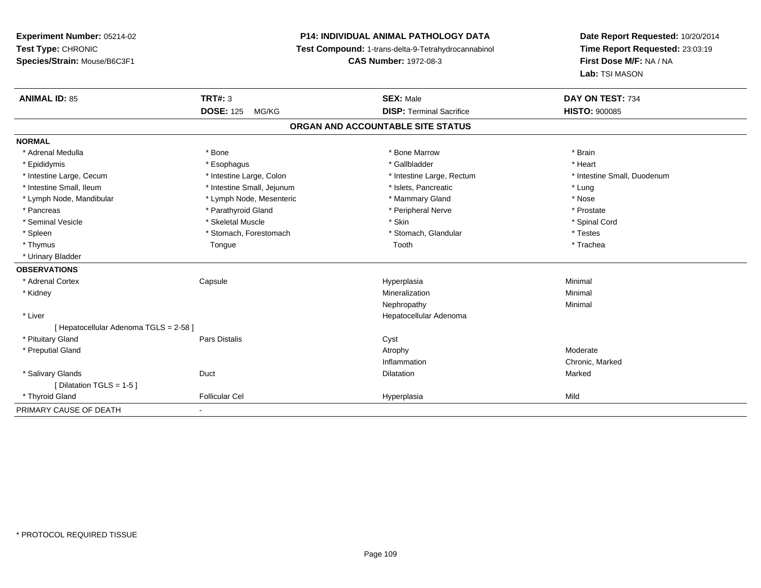# **P14: INDIVIDUAL ANIMAL PATHOLOGY DATA**

**Test Compound:** 1-trans-delta-9-Tetrahydrocannabinol

**CAS Number:** 1972-08-3

| <b>ANIMAL ID: 85</b>                   | <b>TRT#: 3</b>             | <b>SEX: Male</b>                  | DAY ON TEST: 734            |
|----------------------------------------|----------------------------|-----------------------------------|-----------------------------|
|                                        | <b>DOSE: 125</b><br>MG/KG  | <b>DISP: Terminal Sacrifice</b>   | <b>HISTO: 900085</b>        |
|                                        |                            | ORGAN AND ACCOUNTABLE SITE STATUS |                             |
| <b>NORMAL</b>                          |                            |                                   |                             |
| * Adrenal Medulla                      | * Bone                     | * Bone Marrow                     | * Brain                     |
| * Epididymis                           | * Esophagus                | * Gallbladder                     | * Heart                     |
| * Intestine Large, Cecum               | * Intestine Large, Colon   | * Intestine Large, Rectum         | * Intestine Small, Duodenum |
| * Intestine Small, Ileum               | * Intestine Small, Jejunum | * Islets, Pancreatic              | * Lung                      |
| * Lymph Node, Mandibular               | * Lymph Node, Mesenteric   | * Mammary Gland                   | * Nose                      |
| * Pancreas                             | * Parathyroid Gland        | * Peripheral Nerve                | * Prostate                  |
| * Seminal Vesicle                      | * Skeletal Muscle          | * Skin                            | * Spinal Cord               |
| * Spleen                               | * Stomach, Forestomach     | * Stomach, Glandular              | * Testes                    |
| * Thymus                               | Tongue                     | Tooth                             | * Trachea                   |
| * Urinary Bladder                      |                            |                                   |                             |
| <b>OBSERVATIONS</b>                    |                            |                                   |                             |
| * Adrenal Cortex                       | Capsule                    | Hyperplasia                       | Minimal                     |
| * Kidney                               |                            | Mineralization                    | Minimal                     |
|                                        |                            | Nephropathy                       | Minimal                     |
| * Liver                                |                            | Hepatocellular Adenoma            |                             |
| [ Hepatocellular Adenoma TGLS = 2-58 ] |                            |                                   |                             |
| * Pituitary Gland                      | <b>Pars Distalis</b>       | Cyst                              |                             |
| * Preputial Gland                      |                            | Atrophy                           | Moderate                    |
|                                        |                            | Inflammation                      | Chronic, Marked             |
| * Salivary Glands                      | Duct                       | <b>Dilatation</b>                 | Marked                      |
| [ Dilatation TGLS = 1-5 ]              |                            |                                   |                             |
| * Thyroid Gland                        | <b>Follicular Cel</b>      | Hyperplasia                       | Mild                        |
| PRIMARY CAUSE OF DEATH                 | ۰                          |                                   |                             |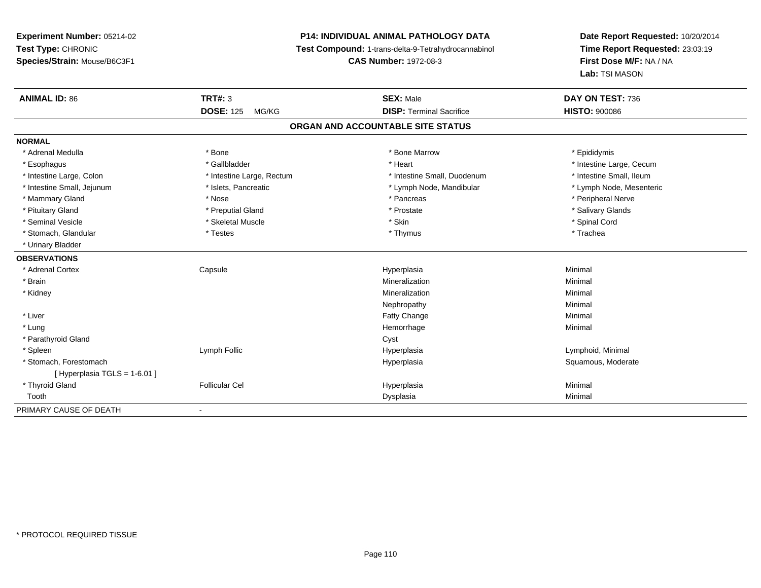# **P14: INDIVIDUAL ANIMAL PATHOLOGY DATA**

**Test Compound:** 1-trans-delta-9-Tetrahydrocannabinol

**CAS Number:** 1972-08-3

| <b>ANIMAL ID: 86</b>        | <b>TRT#: 3</b>            | <b>SEX: Male</b>                  | DAY ON TEST: 736         |
|-----------------------------|---------------------------|-----------------------------------|--------------------------|
|                             | <b>DOSE: 125</b><br>MG/KG | <b>DISP: Terminal Sacrifice</b>   | <b>HISTO: 900086</b>     |
|                             |                           | ORGAN AND ACCOUNTABLE SITE STATUS |                          |
| <b>NORMAL</b>               |                           |                                   |                          |
| * Adrenal Medulla           | * Bone                    | * Bone Marrow                     | * Epididymis             |
| * Esophagus                 | * Gallbladder             | * Heart                           | * Intestine Large, Cecum |
| * Intestine Large, Colon    | * Intestine Large, Rectum | * Intestine Small, Duodenum       | * Intestine Small, Ileum |
| * Intestine Small, Jejunum  | * Islets, Pancreatic      | * Lymph Node, Mandibular          | * Lymph Node, Mesenteric |
| * Mammary Gland             | * Nose                    | * Pancreas                        | * Peripheral Nerve       |
| * Pituitary Gland           | * Preputial Gland         | * Prostate                        | * Salivary Glands        |
| * Seminal Vesicle           | * Skeletal Muscle         | * Skin                            | * Spinal Cord            |
| * Stomach, Glandular        | * Testes                  | * Thymus                          | * Trachea                |
| * Urinary Bladder           |                           |                                   |                          |
| <b>OBSERVATIONS</b>         |                           |                                   |                          |
| * Adrenal Cortex            | Capsule                   | Hyperplasia                       | Minimal                  |
| * Brain                     |                           | Mineralization                    | Minimal                  |
| * Kidney                    |                           | Mineralization                    | Minimal                  |
|                             |                           | Nephropathy                       | Minimal                  |
| * Liver                     |                           | <b>Fatty Change</b>               | Minimal                  |
| * Lung                      |                           | Hemorrhage                        | Minimal                  |
| * Parathyroid Gland         |                           | Cyst                              |                          |
| * Spleen                    | Lymph Follic              | Hyperplasia                       | Lymphoid, Minimal        |
| * Stomach, Forestomach      |                           | Hyperplasia                       | Squamous, Moderate       |
| [Hyperplasia TGLS = 1-6.01] |                           |                                   |                          |
| * Thyroid Gland             | <b>Follicular Cel</b>     | Hyperplasia                       | Minimal                  |
| Tooth                       |                           | Dysplasia                         | Minimal                  |
| PRIMARY CAUSE OF DEATH      | $\blacksquare$            |                                   |                          |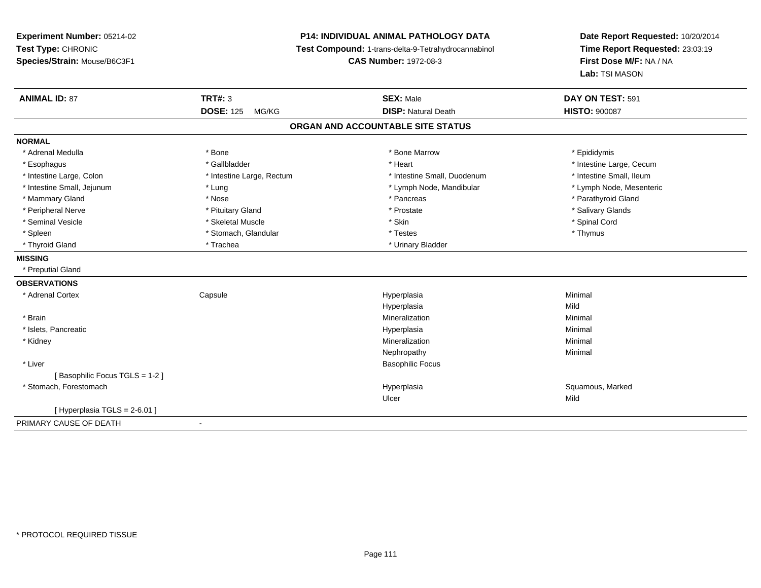# **P14: INDIVIDUAL ANIMAL PATHOLOGY DATA**

**Test Compound:** 1-trans-delta-9-Tetrahydrocannabinol

**CAS Number:** 1972-08-3

| <b>ANIMAL ID: 87</b>          | <b>TRT#: 3</b>            | <b>SEX: Male</b>                  | DAY ON TEST: 591         |
|-------------------------------|---------------------------|-----------------------------------|--------------------------|
|                               | <b>DOSE: 125</b><br>MG/KG | <b>DISP: Natural Death</b>        | <b>HISTO: 900087</b>     |
|                               |                           | ORGAN AND ACCOUNTABLE SITE STATUS |                          |
| <b>NORMAL</b>                 |                           |                                   |                          |
| * Adrenal Medulla             | * Bone                    | * Bone Marrow                     | * Epididymis             |
| * Esophagus                   | * Gallbladder             | * Heart                           | * Intestine Large, Cecum |
| * Intestine Large, Colon      | * Intestine Large, Rectum | * Intestine Small, Duodenum       | * Intestine Small, Ileum |
| * Intestine Small, Jejunum    | * Lung                    | * Lymph Node, Mandibular          | * Lymph Node, Mesenteric |
| * Mammary Gland               | * Nose                    | * Pancreas                        | * Parathyroid Gland      |
| * Peripheral Nerve            | * Pituitary Gland         | * Prostate                        | * Salivary Glands        |
| * Seminal Vesicle             | * Skeletal Muscle         | * Skin                            | * Spinal Cord            |
| * Spleen                      | * Stomach, Glandular      | * Testes                          | * Thymus                 |
| * Thyroid Gland               | * Trachea                 | * Urinary Bladder                 |                          |
| <b>MISSING</b>                |                           |                                   |                          |
| * Preputial Gland             |                           |                                   |                          |
| <b>OBSERVATIONS</b>           |                           |                                   |                          |
| * Adrenal Cortex              | Capsule                   | Hyperplasia                       | Minimal                  |
|                               |                           | Hyperplasia                       | Mild                     |
| * Brain                       |                           | Mineralization                    | Minimal                  |
| * Islets, Pancreatic          |                           | Hyperplasia                       | Minimal                  |
| * Kidney                      |                           | Mineralization                    | Minimal                  |
|                               |                           | Nephropathy                       | Minimal                  |
| * Liver                       |                           | <b>Basophilic Focus</b>           |                          |
| [Basophilic Focus TGLS = 1-2] |                           |                                   |                          |
| * Stomach, Forestomach        |                           | Hyperplasia                       | Squamous, Marked         |
|                               |                           | Ulcer                             | Mild                     |
| Hyperplasia TGLS = 2-6.01 ]   |                           |                                   |                          |
| PRIMARY CAUSE OF DEATH        | $\blacksquare$            |                                   |                          |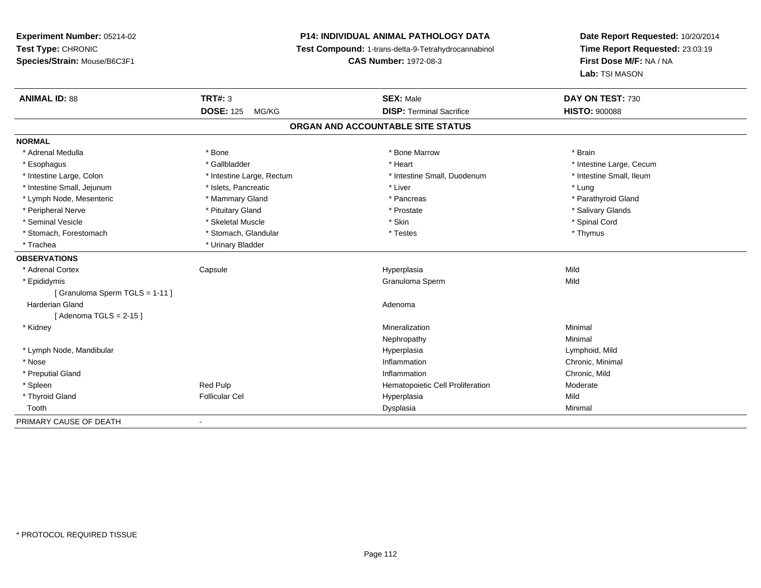# **P14: INDIVIDUAL ANIMAL PATHOLOGY DATA**

**Test Compound:** 1-trans-delta-9-Tetrahydrocannabinol

**CAS Number:** 1972-08-3

| <b>ANIMAL ID: 88</b>          | <b>TRT#: 3</b>            | <b>SEX: Male</b>                  | DAY ON TEST: 730         |
|-------------------------------|---------------------------|-----------------------------------|--------------------------|
|                               | <b>DOSE: 125</b><br>MG/KG | <b>DISP: Terminal Sacrifice</b>   | <b>HISTO: 900088</b>     |
|                               |                           | ORGAN AND ACCOUNTABLE SITE STATUS |                          |
| <b>NORMAL</b>                 |                           |                                   |                          |
| * Adrenal Medulla             | * Bone                    | * Bone Marrow                     | * Brain                  |
| * Esophagus                   | * Gallbladder             | * Heart                           | * Intestine Large, Cecum |
| * Intestine Large, Colon      | * Intestine Large, Rectum | * Intestine Small, Duodenum       | * Intestine Small, Ileum |
| * Intestine Small, Jejunum    | * Islets, Pancreatic      | * Liver                           | * Lung                   |
| * Lymph Node, Mesenteric      | * Mammary Gland           | * Pancreas                        | * Parathyroid Gland      |
| * Peripheral Nerve            | * Pituitary Gland         | * Prostate                        | * Salivary Glands        |
| * Seminal Vesicle             | * Skeletal Muscle         | * Skin                            | * Spinal Cord            |
| * Stomach, Forestomach        | * Stomach, Glandular      | * Testes                          | * Thymus                 |
| * Trachea                     | * Urinary Bladder         |                                   |                          |
| <b>OBSERVATIONS</b>           |                           |                                   |                          |
| * Adrenal Cortex              | Capsule                   | Hyperplasia                       | Mild                     |
| * Epididymis                  |                           | Granuloma Sperm                   | Mild                     |
| [Granuloma Sperm TGLS = 1-11] |                           |                                   |                          |
| <b>Harderian Gland</b>        |                           | Adenoma                           |                          |
| [Adenoma TGLS = $2-15$ ]      |                           |                                   |                          |
| * Kidney                      |                           | Mineralization                    | Minimal                  |
|                               |                           | Nephropathy                       | Minimal                  |
| * Lymph Node, Mandibular      |                           | Hyperplasia                       | Lymphoid, Mild           |
| * Nose                        |                           | Inflammation                      | Chronic, Minimal         |
| * Preputial Gland             |                           | Inflammation                      | Chronic, Mild            |
| * Spleen                      | Red Pulp                  | Hematopoietic Cell Proliferation  | Moderate                 |
| * Thyroid Gland               | <b>Follicular Cel</b>     | Hyperplasia                       | Mild                     |
| Tooth                         |                           | Dysplasia                         | Minimal                  |
| PRIMARY CAUSE OF DEATH        | $\overline{\phantom{a}}$  |                                   |                          |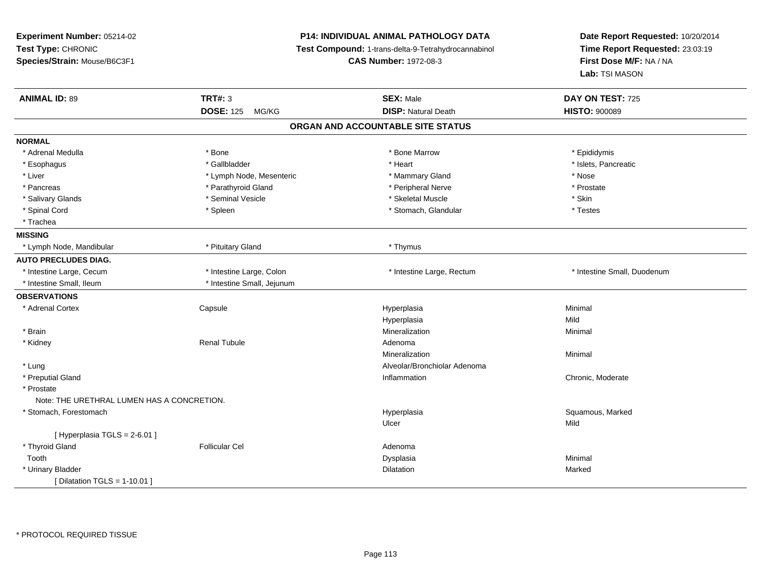| Experiment Number: 05214-02                |                            | P14: INDIVIDUAL ANIMAL PATHOLOGY DATA               | Date Report Requested: 10/20/2014 |  |
|--------------------------------------------|----------------------------|-----------------------------------------------------|-----------------------------------|--|
| Test Type: CHRONIC                         |                            | Test Compound: 1-trans-delta-9-Tetrahydrocannabinol | Time Report Requested: 23:03:19   |  |
| Species/Strain: Mouse/B6C3F1               |                            | <b>CAS Number: 1972-08-3</b>                        | First Dose M/F: NA / NA           |  |
|                                            |                            |                                                     | Lab: TSI MASON                    |  |
| <b>ANIMAL ID: 89</b>                       | <b>TRT#: 3</b>             | <b>SEX: Male</b>                                    | DAY ON TEST: 725                  |  |
|                                            | <b>DOSE: 125 MG/KG</b>     | <b>DISP: Natural Death</b>                          | <b>HISTO: 900089</b>              |  |
|                                            |                            | ORGAN AND ACCOUNTABLE SITE STATUS                   |                                   |  |
| <b>NORMAL</b>                              |                            |                                                     |                                   |  |
| * Adrenal Medulla                          | * Bone                     | * Bone Marrow                                       | * Epididymis                      |  |
| * Esophagus                                | * Gallbladder              | * Heart                                             | * Islets, Pancreatic              |  |
| * Liver                                    | * Lymph Node, Mesenteric   | * Mammary Gland                                     | * Nose                            |  |
| * Pancreas                                 | * Parathyroid Gland        | * Peripheral Nerve                                  | * Prostate                        |  |
| * Salivary Glands                          | * Seminal Vesicle          | * Skeletal Muscle                                   | * Skin                            |  |
| * Spinal Cord                              | * Spleen                   | * Stomach, Glandular                                | * Testes                          |  |
| * Trachea                                  |                            |                                                     |                                   |  |
| <b>MISSING</b>                             |                            |                                                     |                                   |  |
| * Lymph Node, Mandibular                   | * Pituitary Gland          | * Thymus                                            |                                   |  |
| <b>AUTO PRECLUDES DIAG.</b>                |                            |                                                     |                                   |  |
| * Intestine Large, Cecum                   | * Intestine Large, Colon   | * Intestine Large, Rectum                           | * Intestine Small, Duodenum       |  |
| * Intestine Small, Ileum                   | * Intestine Small, Jejunum |                                                     |                                   |  |
| <b>OBSERVATIONS</b>                        |                            |                                                     |                                   |  |
| * Adrenal Cortex                           | Capsule                    | Hyperplasia                                         | Minimal                           |  |
|                                            |                            | Hyperplasia                                         | Mild                              |  |
| * Brain                                    |                            | Mineralization                                      | Minimal                           |  |
| * Kidney                                   | <b>Renal Tubule</b>        | Adenoma                                             |                                   |  |
|                                            |                            | Mineralization                                      | Minimal                           |  |
| * Lung                                     |                            | Alveolar/Bronchiolar Adenoma                        |                                   |  |
| * Preputial Gland                          |                            | Inflammation                                        | Chronic, Moderate                 |  |
| * Prostate                                 |                            |                                                     |                                   |  |
| Note: THE URETHRAL LUMEN HAS A CONCRETION. |                            |                                                     |                                   |  |
| * Stomach, Forestomach                     |                            | Hyperplasia                                         | Squamous, Marked                  |  |
|                                            |                            | Ulcer                                               | Mild                              |  |
| [ Hyperplasia TGLS = 2-6.01 ]              |                            |                                                     |                                   |  |
| * Thyroid Gland                            | <b>Follicular Cel</b>      | Adenoma                                             |                                   |  |
| Tooth                                      |                            | Dysplasia                                           | Minimal                           |  |
| * Urinary Bladder                          |                            | Dilatation                                          | Marked                            |  |
| [ Dilatation TGLS = $1-10.01$ ]            |                            |                                                     |                                   |  |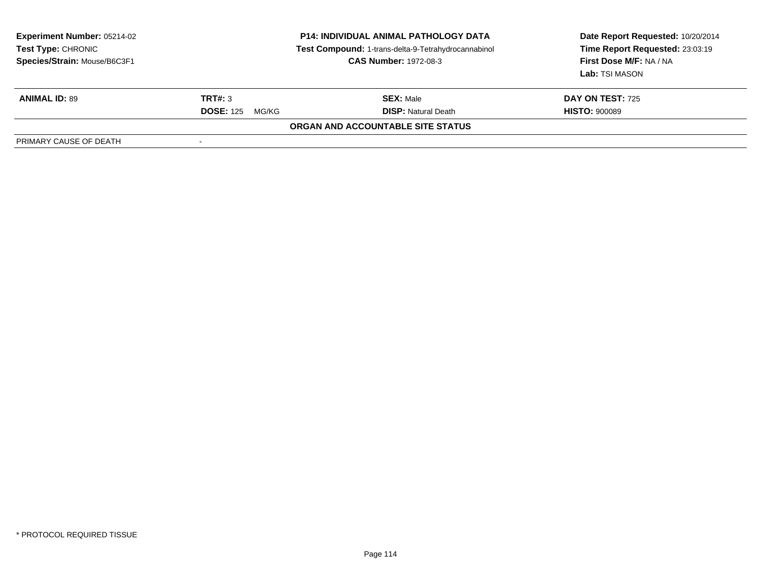| <b>Experiment Number: 05214-02</b><br>Test Type: CHRONIC<br>Species/Strain: Mouse/B6C3F1 | <b>P14: INDIVIDUAL ANIMAL PATHOLOGY DATA</b><br>Test Compound: 1-trans-delta-9-Tetrahydrocannabinol<br><b>CAS Number: 1972-08-3</b> |                                          | Date Report Requested: 10/20/2014<br>Time Report Requested: 23:03:19<br>First Dose M/F: NA / NA<br>Lab: TSI MASON |
|------------------------------------------------------------------------------------------|-------------------------------------------------------------------------------------------------------------------------------------|------------------------------------------|-------------------------------------------------------------------------------------------------------------------|
| <b>ANIMAL ID: 89</b>                                                                     | TRT#: 3                                                                                                                             | <b>SEX: Male</b>                         | <b>DAY ON TEST: 725</b>                                                                                           |
|                                                                                          | <b>DOSE: 125</b><br>MG/KG                                                                                                           | <b>DISP:</b> Natural Death               | <b>HISTO: 900089</b>                                                                                              |
|                                                                                          |                                                                                                                                     | <b>ORGAN AND ACCOUNTABLE SITE STATUS</b> |                                                                                                                   |
| PRIMARY CAUSE OF DEATH                                                                   |                                                                                                                                     |                                          |                                                                                                                   |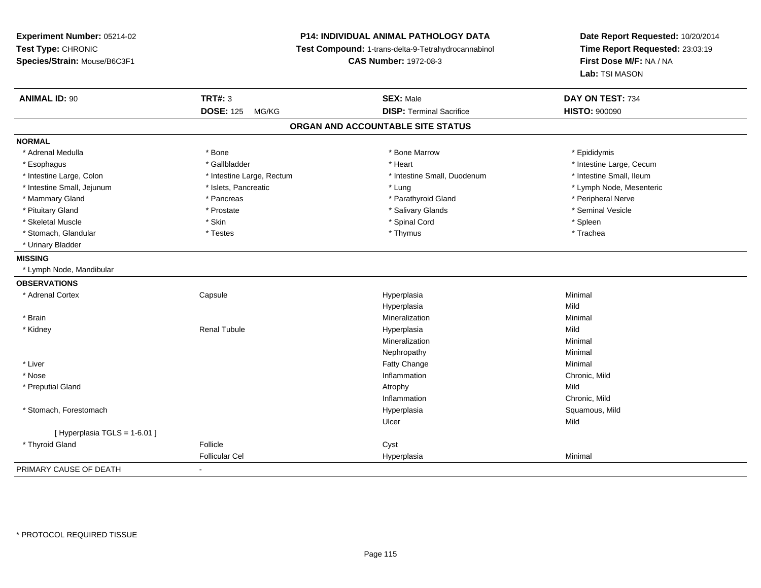# **P14: INDIVIDUAL ANIMAL PATHOLOGY DATA**

**Test Compound:** 1-trans-delta-9-Tetrahydrocannabinol

**CAS Number:** 1972-08-3

| <b>ANIMAL ID: 90</b>           | <b>TRT#: 3</b>            | <b>SEX: Male</b>                  | DAY ON TEST: 734         |
|--------------------------------|---------------------------|-----------------------------------|--------------------------|
|                                | <b>DOSE: 125</b><br>MG/KG | <b>DISP: Terminal Sacrifice</b>   | <b>HISTO: 900090</b>     |
|                                |                           | ORGAN AND ACCOUNTABLE SITE STATUS |                          |
| <b>NORMAL</b>                  |                           |                                   |                          |
| * Adrenal Medulla              | * Bone                    | * Bone Marrow                     | * Epididymis             |
| * Esophagus                    | * Gallbladder             | * Heart                           | * Intestine Large, Cecum |
| * Intestine Large, Colon       | * Intestine Large, Rectum | * Intestine Small, Duodenum       | * Intestine Small, Ileum |
| * Intestine Small, Jejunum     | * Islets, Pancreatic      | * Lung                            | * Lymph Node, Mesenteric |
| * Mammary Gland                | * Pancreas                | * Parathyroid Gland               | * Peripheral Nerve       |
| * Pituitary Gland              | * Prostate                | * Salivary Glands                 | * Seminal Vesicle        |
| * Skeletal Muscle              | * Skin                    | * Spinal Cord                     | * Spleen                 |
| * Stomach, Glandular           | * Testes                  | * Thymus                          | * Trachea                |
| * Urinary Bladder              |                           |                                   |                          |
| <b>MISSING</b>                 |                           |                                   |                          |
| * Lymph Node, Mandibular       |                           |                                   |                          |
| <b>OBSERVATIONS</b>            |                           |                                   |                          |
| * Adrenal Cortex               | Capsule                   | Hyperplasia                       | Minimal                  |
|                                |                           | Hyperplasia                       | Mild                     |
| $*$ Brain                      |                           | Mineralization                    | Minimal                  |
| * Kidney                       | <b>Renal Tubule</b>       | Hyperplasia                       | Mild                     |
|                                |                           | Mineralization                    | Minimal                  |
|                                |                           | Nephropathy                       | Minimal                  |
| * Liver                        |                           | Fatty Change                      | Minimal                  |
| * Nose                         |                           | Inflammation                      | Chronic, Mild            |
| * Preputial Gland              |                           | Atrophy                           | Mild                     |
|                                |                           | Inflammation                      | Chronic, Mild            |
| * Stomach, Forestomach         |                           | Hyperplasia                       | Squamous, Mild           |
|                                |                           | Ulcer                             | Mild                     |
| [Hyperplasia TGLS = $1-6.01$ ] |                           |                                   |                          |
| * Thyroid Gland                | Follicle                  | Cyst                              |                          |
|                                | <b>Follicular Cel</b>     | Hyperplasia                       | Minimal                  |
| PRIMARY CAUSE OF DEATH         |                           |                                   |                          |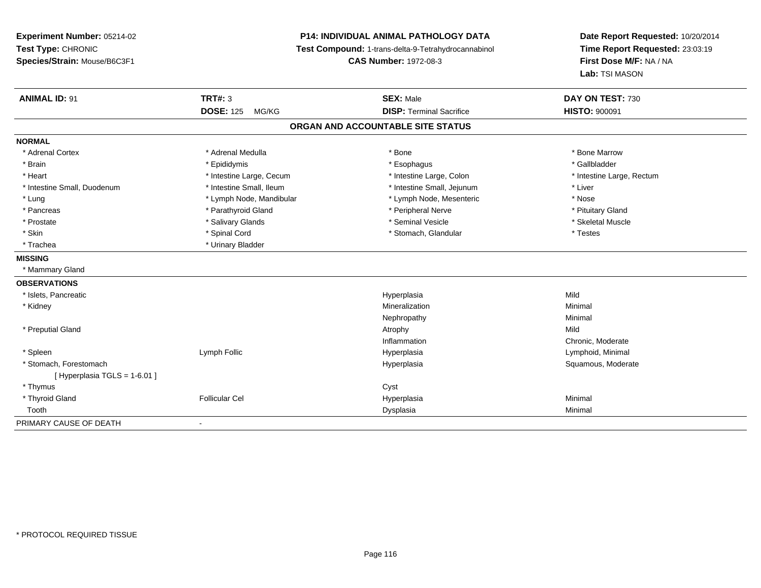**Experiment Number:** 05214-02**Test Type:** CHRONIC **Species/Strain:** Mouse/B6C3F1**P14: INDIVIDUAL ANIMAL PATHOLOGY DATA Test Compound:** 1-trans-delta-9-Tetrahydrocannabinol **CAS Number:** 1972-08-3**Date Report Requested:** 10/20/2014**Time Report Requested:** 23:03:19**First Dose M/F:** NA / NA**Lab:** TSI MASON**ANIMAL ID:** 91**TRT#:** 3 **SEX:** Male **DAY ON TEST:** 730 **DOSE:** 125 MG/KG **DISP:** Terminal Sacrifice **HISTO:** <sup>900091</sup> **ORGAN AND ACCOUNTABLE SITE STATUSNORMAL**\* Adrenal Cortex \* Adrenal Medulla \* Adrenal Medulla \* Bone \* Bone \* Bone \* Bone \* Bone Marrow \* Gallbladder \* Brain \* Allen the state of the state of the state of the state of the state of the state of the state of the state of the state of the state of the state of the state of the state of the state of the state of the state o \* Heart **\*** Intestine Large, Cecum **\* Intestine Large, Cecum** \* Intestine Large, Colon \* Intestine Large, Rectum \* Intestine Large, Rectum \* Intestine Small, Duodenum \* Intestine Small, Ileum \* Intestine Small, Jejunum \* Liver\* Lung \* Lymph Node, Mandibular \* Nose \* Lymph Node, Mesenteric \* Nose \* Nose \* Pituitary Gland \* Pancreas \* Pancreas \* Parathyroid Gland \* Pancreas \* Peripheral Nerve \* Skeletal Muscle \* Prostate \* \* Skeletal Muscle \* \* Salivary Glands \* \* Steminal Vesicle \* \* Seminal Vesicle \* \* Skeletal Muscle \* Skin \* Spinal Cord \* Spinal Cord \* Stomach, Glandular \* Testes \* Testes \* Trachea **\*** Urinary Bladder **MISSING** \* Mammary Gland**OBSERVATIONS** \* Islets, Pancreaticc and the control of the control of the control of the control of the control of the control of the control of the control of the control of the control of the control of the control of the control of the control of the co a Mild \* Kidneyy with the control of the control of the control of the control of the control of the control of the control of the control of the control of the control of the control of the control of the control of the control of the c n Minimal Nephropathyy the contract of the Minimal Minimal Section 1996 and the contract of the Minimal Section 1997 and the contract of the contract of the contract of the contract of the contract of the contract of the contract of the contra \* Preputial Glandd and the control of the control of the control of the control of the control of the control of the control of  $\lambda$ InflammationInflammation **Example 2018** Chronic, Moderate<br>
Hyperplasia<br>
Lymphoid, Minimal \* Spleen Lymph Follic Hyperplasia Lymphoid, Minimal \* Stomach, Forestomachh ann an t-ìre ann am Suid-Africa ann an t-ìre anns an t-ìre anns an t-ìre anns an t-ìre anns an Suid-Africa a<br>Bhainn an t-ìre anns an t-ìre anns an t-ìre anns an t-ìre anns an t-ìre anns an t-ìre anns an t-ìre anns an t- $[$  Hyperplasia TGLS = 1-6.01 ] \* Thymuss the contract of the contract of the contract of the contract of the contract of the contract of the contract of the contract of the contract of the contract of the contract of the contract of the contract of the contract \* Thyroid Gland Follicular Cel Hyperplasia Minimal Toothh ann an Chomas ann an t-ainmeile ann an t-ainmeile ann an Dysplasia. Tha an t-ainmeile ann an Dysplasia ann an Dysplasia ann an t-ainmeile an an t-ainmeile ann an t-ainmeile an an t-ainmeile ann an t-ainmeile ann an t-ain PRIMARY CAUSE OF DEATH-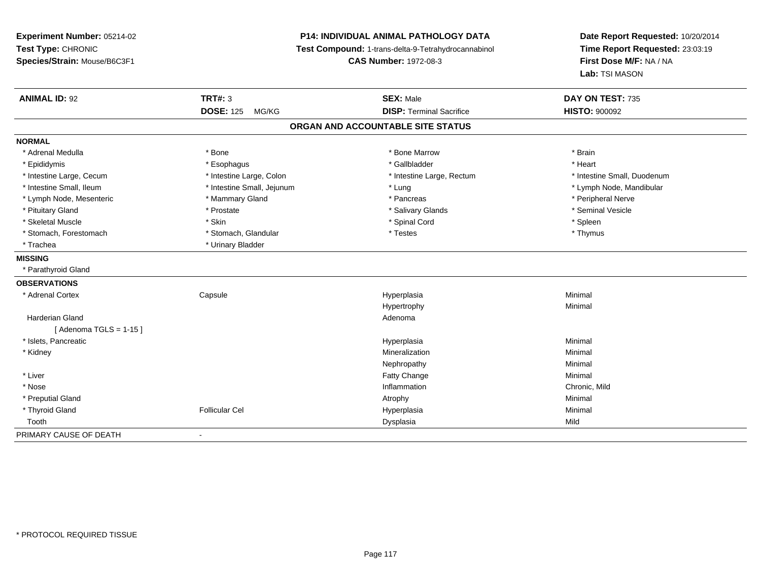**Experiment Number:** 05214-02**Test Type:** CHRONIC **Species/Strain:** Mouse/B6C3F1**P14: INDIVIDUAL ANIMAL PATHOLOGY DATA Test Compound:** 1-trans-delta-9-Tetrahydrocannabinol **CAS Number:** 1972-08-3**Date Report Requested:** 10/20/2014**Time Report Requested:** 23:03:19**First Dose M/F:** NA / NA**Lab:** TSI MASON**ANIMAL ID:** 92 **TRT#:** <sup>3</sup> **SEX:** Male **DAY ON TEST:** <sup>735</sup> **DOSE:** 125 MG/KG **DISP:** Terminal Sacrifice **HISTO:** <sup>900092</sup> **ORGAN AND ACCOUNTABLE SITE STATUSNORMAL**\* Adrenal Medulla \* \* Annual Medulla \* Brain \* Bone \* \* Bone Marrow \* Bone Marrow \* \* Brain \* Brain \* Brain \* Brain \* Brain \* Brain \* Brain \* Brain \* Brain \* Brain \* Brain \* Brain \* Brain \* Brain \* Brain \* Brain \* Brain \* \* Heart \* Epididymis \* Esophagus \* Gallbladder \* Heart\* Intestine Large, Cecum \* Intestine Large, Colon \* Intestine Large, Thestine Large, Rectum \* Intestine Small, Duodenum \* Intestine Small, Ileum \* Intestine Small, Jejunum \* Lung \* Lymph Node, Mandibular\* Lymph Node, Mesenteric \* \* Mammary Gland \* Mammary Gland \* Pancreas \* Peripheral Nerve \* Seminal Vesicle \* Pituitary Gland \* \* \* \* Prostate \* \* Prostate \* \* Salivary Glands \* \* Salivary Glands \* \* Seminal Vesicle \* Skeletal Muscle \* Skin \* Spinal Cord \* Spleen \* Thymus \* Stomach, Forestomach \* Testes \* Stomach, Glandular \* Testes \* Testes \* Testes \* Testes \* Testes \* Testes \* T \* Trachea \* Urinary Bladder**MISSING** \* Parathyroid Gland**OBSERVATIONS** \* Adrenal Cortex Capsule Hyperplasia Minimal Hypertrophyy the contract of the Minimal Minimal Section 1996 and the contract of the Minimal Section 1997 and the contract of the contract of the contract of the contract of the contract of the contract of the contract of the contra Harderian Glandd and a state of the control of the control of the control of the control of the control of the control of the control of the control of the control of the control of the control of the control of the control of the contro  $[$  Adenoma TGLS = 1-15  $]$  \* Islets, Pancreaticc and the control of the control of the control of the control of the control of the control of the control of the control of the control of the control of the control of the control of the control of the control of the co a **Minimal**  \* Kidneyy with the control of the control of the control of the control of the control of the control of the control of the control of the control of the control of the control of the control of the control of the control of the c n Minimal Nephropathyy the contract of the Minimal Minimal Section 1996 and the contract of the Minimal Section 1997 and the contract of the contract of the contract of the contract of the contract of the contract of the contract of the contra \* Liver Fatty Changee Minimal \* Nosee and the contract of the contract of the contract of the contract of the contract of the chronic, Mild and the chronic, Mild and the chronic, Mild and the chronic state of the chronic state of the chronic state of the chr \* Preputial Glandd and the control of the control of the control of the control of the control of the control of the control of  $\lambda$  \* Thyroid Gland Follicular Cel Hyperplasia Minimal Toothh ann an t-Iomraid ann an t-Iomraid ann an t-Iomraid ann an t-Iomraid ann an t-Iomraid ann an t-Iomraid ann an<br>Iomraid an t-Iomraid ann an t-Iomraid ann an t-Iomraid ann an t-Iomraid ann an t-Iomraid ann an t-Iomraid ann PRIMARY CAUSE OF DEATH-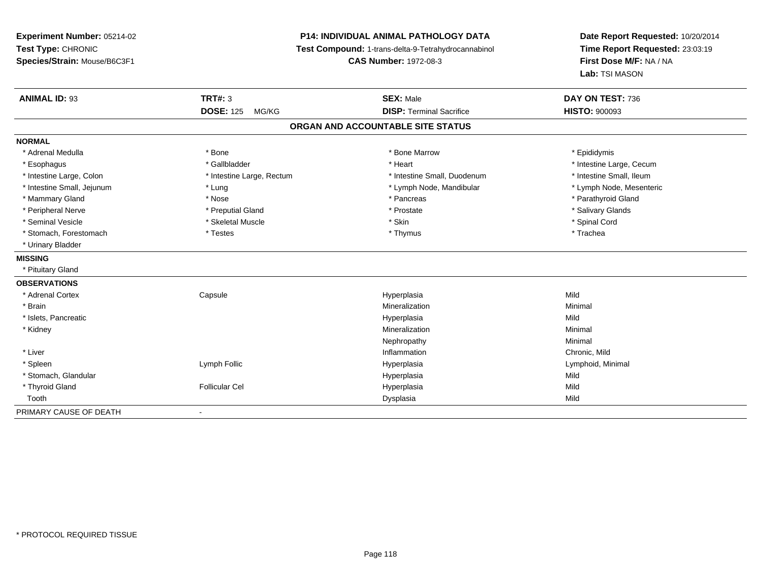# **P14: INDIVIDUAL ANIMAL PATHOLOGY DATA**

**Test Compound:** 1-trans-delta-9-Tetrahydrocannabinol

**CAS Number:** 1972-08-3

| <b>ANIMAL ID: 93</b>       | TRT#: 3                   | <b>SEX: Male</b>                  | DAY ON TEST: 736         |
|----------------------------|---------------------------|-----------------------------------|--------------------------|
|                            | <b>DOSE: 125</b><br>MG/KG | <b>DISP: Terminal Sacrifice</b>   | <b>HISTO: 900093</b>     |
|                            |                           | ORGAN AND ACCOUNTABLE SITE STATUS |                          |
| <b>NORMAL</b>              |                           |                                   |                          |
| * Adrenal Medulla          | * Bone                    | * Bone Marrow                     | * Epididymis             |
| * Esophagus                | * Gallbladder             | * Heart                           | * Intestine Large, Cecum |
| * Intestine Large, Colon   | * Intestine Large, Rectum | * Intestine Small, Duodenum       | * Intestine Small, Ileum |
| * Intestine Small, Jejunum | * Lung                    | * Lymph Node, Mandibular          | * Lymph Node, Mesenteric |
| * Mammary Gland            | * Nose                    | * Pancreas                        | * Parathyroid Gland      |
| * Peripheral Nerve         | * Preputial Gland         | * Prostate                        | * Salivary Glands        |
| * Seminal Vesicle          | * Skeletal Muscle         | * Skin                            | * Spinal Cord            |
| * Stomach, Forestomach     | * Testes                  | * Thymus                          | * Trachea                |
| * Urinary Bladder          |                           |                                   |                          |
| <b>MISSING</b>             |                           |                                   |                          |
| * Pituitary Gland          |                           |                                   |                          |
| <b>OBSERVATIONS</b>        |                           |                                   |                          |
| * Adrenal Cortex           | Capsule                   | Hyperplasia                       | Mild                     |
| * Brain                    |                           | Mineralization                    | Minimal                  |
| * Islets, Pancreatic       |                           | Hyperplasia                       | Mild                     |
| * Kidney                   |                           | Mineralization                    | Minimal                  |
|                            |                           | Nephropathy                       | Minimal                  |
| * Liver                    |                           | Inflammation                      | Chronic, Mild            |
| * Spleen                   | Lymph Follic              | Hyperplasia                       | Lymphoid, Minimal        |
| * Stomach, Glandular       |                           | Hyperplasia                       | Mild                     |
| * Thyroid Gland            | <b>Follicular Cel</b>     | Hyperplasia                       | Mild                     |
| Tooth                      |                           | Dysplasia                         | Mild                     |
| PRIMARY CAUSE OF DEATH     |                           |                                   |                          |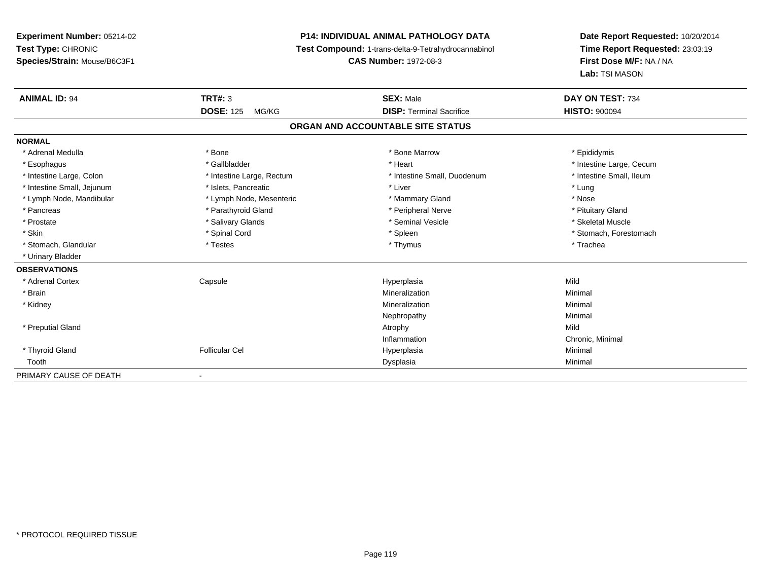# **P14: INDIVIDUAL ANIMAL PATHOLOGY DATA**

**Test Compound:** 1-trans-delta-9-Tetrahydrocannabinol

**CAS Number:** 1972-08-3

| <b>ANIMAL ID: 94</b>       | <b>TRT#: 3</b><br><b>DOSE: 125</b><br>MG/KG | <b>SEX: Male</b><br><b>DISP: Terminal Sacrifice</b> | DAY ON TEST: 734         |
|----------------------------|---------------------------------------------|-----------------------------------------------------|--------------------------|
|                            |                                             |                                                     | <b>HISTO: 900094</b>     |
|                            |                                             | ORGAN AND ACCOUNTABLE SITE STATUS                   |                          |
| <b>NORMAL</b>              |                                             |                                                     |                          |
| * Adrenal Medulla          | * Bone                                      | * Bone Marrow                                       | * Epididymis             |
| * Esophagus                | * Gallbladder                               | * Heart                                             | * Intestine Large, Cecum |
| * Intestine Large, Colon   | * Intestine Large, Rectum                   | * Intestine Small, Duodenum                         | * Intestine Small, Ileum |
| * Intestine Small, Jejunum | * Islets, Pancreatic                        | * Liver                                             | * Lung                   |
| * Lymph Node, Mandibular   | * Lymph Node, Mesenteric                    | * Mammary Gland                                     | * Nose                   |
| * Pancreas                 | * Parathyroid Gland                         | * Peripheral Nerve                                  | * Pituitary Gland        |
| * Prostate                 | * Salivary Glands                           | * Seminal Vesicle                                   | * Skeletal Muscle        |
| * Skin                     | * Spinal Cord                               | * Spleen                                            | * Stomach, Forestomach   |
| * Stomach, Glandular       | * Testes                                    | * Thymus                                            | * Trachea                |
| * Urinary Bladder          |                                             |                                                     |                          |
| <b>OBSERVATIONS</b>        |                                             |                                                     |                          |
| * Adrenal Cortex           | Capsule                                     | Hyperplasia                                         | Mild                     |
| * Brain                    |                                             | Mineralization                                      | Minimal                  |
| * Kidney                   |                                             | Mineralization                                      | Minimal                  |
|                            |                                             | Nephropathy                                         | Minimal                  |
| * Preputial Gland          |                                             | Atrophy                                             | Mild                     |
|                            |                                             | Inflammation                                        | Chronic, Minimal         |
| * Thyroid Gland            | <b>Follicular Cel</b>                       | Hyperplasia                                         | Minimal                  |
| Tooth                      |                                             | Dysplasia                                           | Minimal                  |
| PRIMARY CAUSE OF DEATH     | $\overline{\phantom{a}}$                    |                                                     |                          |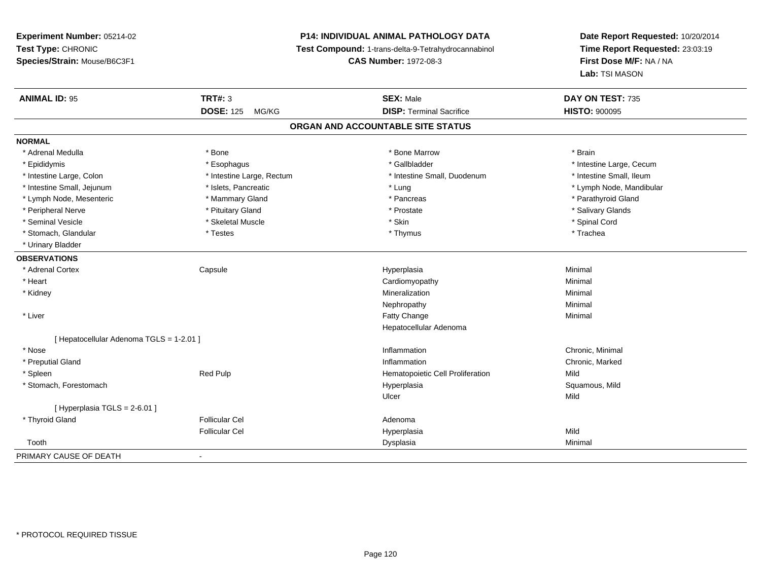# **P14: INDIVIDUAL ANIMAL PATHOLOGY DATA**

**Test Compound:** 1-trans-delta-9-Tetrahydrocannabinol

**CAS Number:** 1972-08-3

| <b>ANIMAL ID: 95</b>                   | <b>TRT#: 3</b>            | <b>SEX: Male</b>                  | DAY ON TEST: 735         |  |
|----------------------------------------|---------------------------|-----------------------------------|--------------------------|--|
|                                        | <b>DOSE: 125</b><br>MG/KG | <b>DISP: Terminal Sacrifice</b>   | <b>HISTO: 900095</b>     |  |
|                                        |                           | ORGAN AND ACCOUNTABLE SITE STATUS |                          |  |
| <b>NORMAL</b>                          |                           |                                   |                          |  |
| * Adrenal Medulla                      | * Bone                    | * Bone Marrow                     | * Brain                  |  |
| * Epididymis                           | * Esophagus               | * Gallbladder                     | * Intestine Large, Cecum |  |
| * Intestine Large, Colon               | * Intestine Large, Rectum | * Intestine Small, Duodenum       | * Intestine Small, Ileum |  |
| * Intestine Small, Jejunum             | * Islets, Pancreatic      | * Lung                            | * Lymph Node, Mandibular |  |
| * Lymph Node, Mesenteric               | * Mammary Gland           | * Pancreas                        | * Parathyroid Gland      |  |
| * Peripheral Nerve                     | * Pituitary Gland         | * Prostate                        | * Salivary Glands        |  |
| * Seminal Vesicle                      | * Skeletal Muscle         | * Skin                            | * Spinal Cord            |  |
| * Stomach, Glandular                   | * Testes                  | * Thymus                          | * Trachea                |  |
| * Urinary Bladder                      |                           |                                   |                          |  |
| <b>OBSERVATIONS</b>                    |                           |                                   |                          |  |
| * Adrenal Cortex                       | Capsule                   | Hyperplasia                       | Minimal                  |  |
| * Heart                                |                           | Cardiomyopathy                    | Minimal                  |  |
| * Kidney                               |                           | Mineralization                    | Minimal                  |  |
|                                        |                           | Nephropathy                       | Minimal                  |  |
| * Liver                                |                           | Fatty Change                      | Minimal                  |  |
|                                        |                           | Hepatocellular Adenoma            |                          |  |
| [Hepatocellular Adenoma TGLS = 1-2.01] |                           |                                   |                          |  |
| * Nose                                 |                           | Inflammation                      | Chronic, Minimal         |  |
| * Preputial Gland                      |                           | Inflammation                      | Chronic, Marked          |  |
| * Spleen                               | Red Pulp                  | Hematopoietic Cell Proliferation  | Mild                     |  |
| * Stomach, Forestomach                 |                           | Hyperplasia                       | Squamous, Mild           |  |
|                                        |                           | Ulcer                             | Mild                     |  |
| [ Hyperplasia TGLS = 2-6.01 ]          |                           |                                   |                          |  |
| * Thyroid Gland                        | <b>Follicular Cel</b>     | Adenoma                           |                          |  |
|                                        | <b>Follicular Cel</b>     | Hyperplasia                       | Mild                     |  |
| Tooth                                  |                           | Dysplasia                         | Minimal                  |  |
| PRIMARY CAUSE OF DEATH                 | $\blacksquare$            |                                   |                          |  |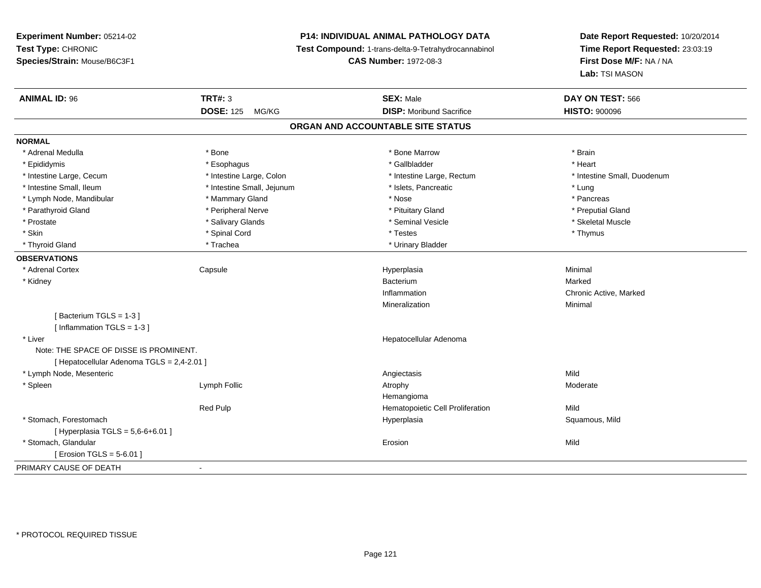# **P14: INDIVIDUAL ANIMAL PATHOLOGY DATA**

**Test Compound:** 1-trans-delta-9-Tetrahydrocannabinol

**CAS Number:** 1972-08-3

| <b>ANIMAL ID: 96</b>                       | <b>TRT#: 3</b>             | <b>SEX: Male</b>                  | DAY ON TEST: 566            |
|--------------------------------------------|----------------------------|-----------------------------------|-----------------------------|
|                                            | <b>DOSE: 125</b><br>MG/KG  | <b>DISP:</b> Moribund Sacrifice   | <b>HISTO: 900096</b>        |
|                                            |                            | ORGAN AND ACCOUNTABLE SITE STATUS |                             |
| <b>NORMAL</b>                              |                            |                                   |                             |
| * Adrenal Medulla                          | * Bone                     | * Bone Marrow                     | * Brain                     |
| * Epididymis                               | * Esophagus                | * Gallbladder                     | * Heart                     |
| * Intestine Large, Cecum                   | * Intestine Large, Colon   | * Intestine Large, Rectum         | * Intestine Small, Duodenum |
| * Intestine Small, Ileum                   | * Intestine Small, Jejunum | * Islets, Pancreatic              | * Lung                      |
| * Lymph Node, Mandibular                   | * Mammary Gland            | * Nose                            | * Pancreas                  |
| * Parathyroid Gland                        | * Peripheral Nerve         | * Pituitary Gland                 | * Preputial Gland           |
| * Prostate                                 | * Salivary Glands          | * Seminal Vesicle                 | * Skeletal Muscle           |
| * Skin                                     | * Spinal Cord              | * Testes                          | * Thymus                    |
| * Thyroid Gland                            | * Trachea                  | * Urinary Bladder                 |                             |
| <b>OBSERVATIONS</b>                        |                            |                                   |                             |
| * Adrenal Cortex                           | Capsule                    | Hyperplasia                       | Minimal                     |
| * Kidney                                   |                            | Bacterium                         | Marked                      |
|                                            |                            | Inflammation                      | Chronic Active, Marked      |
|                                            |                            | Mineralization                    | Minimal                     |
| [Bacterium TGLS = 1-3]                     |                            |                                   |                             |
| [Inflammation TGLS = $1-3$ ]               |                            |                                   |                             |
| * Liver                                    |                            | Hepatocellular Adenoma            |                             |
| Note: THE SPACE OF DISSE IS PROMINENT.     |                            |                                   |                             |
| [ Hepatocellular Adenoma TGLS = 2,4-2.01 ] |                            |                                   |                             |
| * Lymph Node, Mesenteric                   |                            | Angiectasis                       | Mild                        |
| * Spleen                                   | Lymph Follic               | Atrophy                           | Moderate                    |
|                                            |                            | Hemangioma                        |                             |
|                                            | <b>Red Pulp</b>            | Hematopoietic Cell Proliferation  | Mild                        |
| * Stomach, Forestomach                     |                            | Hyperplasia                       | Squamous, Mild              |
| [Hyperplasia TGLS = $5,6-6+6.01$ ]         |                            |                                   |                             |
| * Stomach, Glandular                       |                            | Erosion                           | Mild                        |
| [ Erosion TGLS = 5-6.01 ]                  |                            |                                   |                             |
| PRIMARY CAUSE OF DEATH                     | $\blacksquare$             |                                   |                             |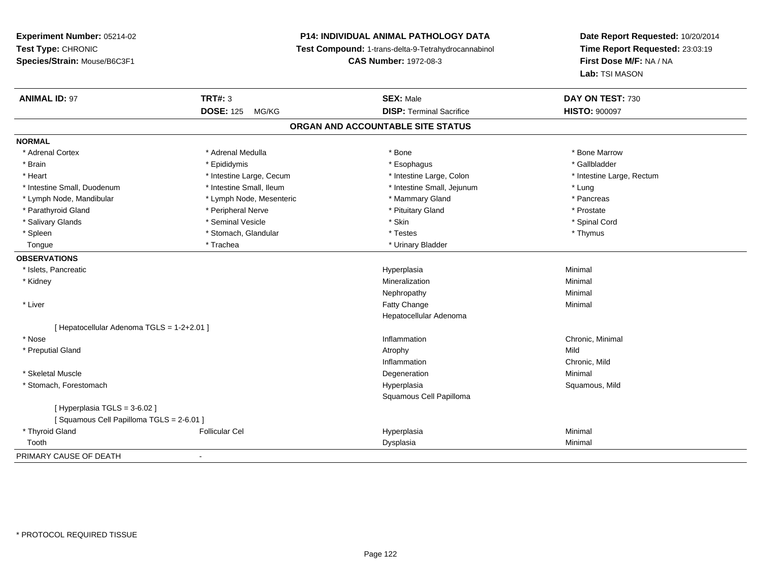# **P14: INDIVIDUAL ANIMAL PATHOLOGY DATA**

**Test Compound:** 1-trans-delta-9-Tetrahydrocannabinol

**CAS Number:** 1972-08-3

| <b>ANIMAL ID: 97</b>                       | <b>TRT#: 3</b>            | <b>SEX: Male</b>                  | DAY ON TEST: 730          |  |
|--------------------------------------------|---------------------------|-----------------------------------|---------------------------|--|
|                                            | <b>DOSE: 125</b><br>MG/KG | <b>DISP: Terminal Sacrifice</b>   | <b>HISTO: 900097</b>      |  |
|                                            |                           | ORGAN AND ACCOUNTABLE SITE STATUS |                           |  |
| <b>NORMAL</b>                              |                           |                                   |                           |  |
| * Adrenal Cortex                           | * Adrenal Medulla         | * Bone                            | * Bone Marrow             |  |
| * Brain                                    | * Epididymis              | * Esophagus                       | * Gallbladder             |  |
| * Heart                                    | * Intestine Large, Cecum  | * Intestine Large, Colon          | * Intestine Large, Rectum |  |
| * Intestine Small, Duodenum                | * Intestine Small, Ileum  | * Intestine Small, Jejunum        | * Lung                    |  |
| * Lymph Node, Mandibular                   | * Lymph Node, Mesenteric  | * Mammary Gland                   | * Pancreas                |  |
| * Parathyroid Gland                        | * Peripheral Nerve        | * Pituitary Gland                 | * Prostate                |  |
| * Salivary Glands                          | * Seminal Vesicle         | * Skin                            | * Spinal Cord             |  |
| * Spleen                                   | * Stomach, Glandular      | * Testes                          | * Thymus                  |  |
| Tongue                                     | * Trachea                 | * Urinary Bladder                 |                           |  |
| <b>OBSERVATIONS</b>                        |                           |                                   |                           |  |
| * Islets, Pancreatic                       |                           | Hyperplasia                       | Minimal                   |  |
| * Kidney                                   |                           | Mineralization                    | Minimal                   |  |
|                                            |                           | Nephropathy                       | Minimal                   |  |
| * Liver                                    |                           | <b>Fatty Change</b>               | Minimal                   |  |
|                                            |                           | Hepatocellular Adenoma            |                           |  |
| [ Hepatocellular Adenoma TGLS = 1-2+2.01 ] |                           |                                   |                           |  |
| * Nose                                     |                           | Inflammation                      | Chronic, Minimal          |  |
| * Preputial Gland                          |                           | Atrophy                           | Mild                      |  |
|                                            |                           | Inflammation                      | Chronic, Mild             |  |
| * Skeletal Muscle                          |                           | Degeneration                      | Minimal                   |  |
| * Stomach, Forestomach                     |                           | Hyperplasia                       | Squamous, Mild            |  |
|                                            |                           | Squamous Cell Papilloma           |                           |  |
| [ Hyperplasia TGLS = 3-6.02 ]              |                           |                                   |                           |  |
| [Squamous Cell Papilloma TGLS = 2-6.01]    |                           |                                   |                           |  |
| * Thyroid Gland                            | <b>Follicular Cel</b>     | Hyperplasia                       | Minimal                   |  |
| Tooth                                      |                           | Dysplasia                         | Minimal                   |  |
| PRIMARY CAUSE OF DEATH                     | $\blacksquare$            |                                   |                           |  |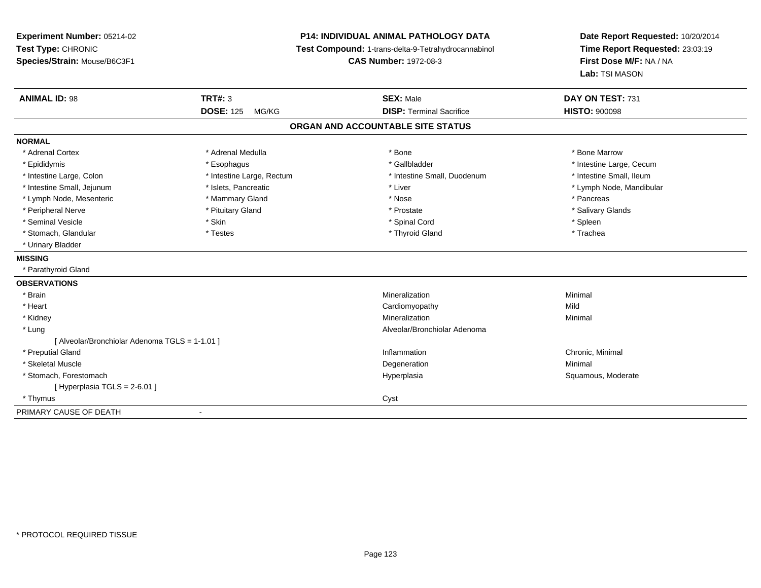**Experiment Number:** 05214-02**Test Type:** CHRONIC **Species/Strain:** Mouse/B6C3F1**P14: INDIVIDUAL ANIMAL PATHOLOGY DATA Test Compound:** 1-trans-delta-9-Tetrahydrocannabinol **CAS Number:** 1972-08-3**Date Report Requested:** 10/20/2014**Time Report Requested:** 23:03:19**First Dose M/F:** NA / NA**Lab:** TSI MASON**ANIMAL ID:** 98**SEX:** Male **DAY ON TEST:** 731 **DOSE:** 125 MG/KG **DISP:** Terminal Sacrifice **HISTO:** <sup>900098</sup> **ORGAN AND ACCOUNTABLE SITE STATUSNORMAL**\* Adrenal Cortex \* Adrenal Medulla \* Adrenal Medulla \* Bone \* Bone \* Bone \* Bone \* Bone Marrow \* Epididymis \* https://www.fragusta.com/web/2019/to/solution.com/web/2019/to/solution/state/solution/text/intestine Large, Cecum \* Intestine Large, Cecum \* Large, Cecum \* Large, Cecum \* Large, Cecum \* Large, Cecum \* Large, \* Intestine Small, Ileum \* Intestine Large, Colon \* Intestine Large, Rectum \* Intestine Small, Duodenum \* Intestine Small, Duodenum \* Intestine Small, Jejunum \* \* et \* \* http://www.fat.com/mandibulary.com/mandibulary/state/state/state/state/state/state/state/state/state/state/state/state/state/state/state/state/state/state/state/state/state/state/state \* Lymph Node, Mesenteric \* \* The mannery Gland \* Mammary Gland \* Nose \* Nose \* \* Pancreas \* Pancreas \* Pancreas \* Salivary Glands \* Peripheral Nerve \* \* And the state \* Pituitary Gland \* Prosection \* Prostate \* Prostate \* Salivary Glands \* Salivary Glands \* Salivary Glands \* Salivary Glands \* Salivary Glands \* Salivary Glands \* Salivary Glands \* Sali \* Seminal Vesicle \* Skin \* Spinal Cord \* Spleen \* Trachea \* Stomach, Glandular \* Thestes \* Testes \* The many states \* Thyroid Gland \* Thyroid Gland \* \* Urinary Bladder**MISSING** \* Parathyroid Gland**OBSERVATIONS** \* Brainn and the controller of the controller of the controller of the Minimal Mineralization and the controller of the Minimal Minimal  $\alpha$  \* Heart Cardiomyopathyy Mild Minimal \* Kidneyy with the control of the control of the control of the control of the control of the control of the control of the control of the control of the control of the control of the control of the control of the control of the c n Minimal \* Lung Alveolar/Bronchiolar Adenoma [ Alveolar/Bronchiolar Adenoma TGLS = 1-1.01 ] \* Preputial Glandd the controller of the controller of the controller of the controller of the controller of the controller of the controller of the controller of the controller of the controller of the controller of the controller of the \* Skeletal Musclee and the control of the control of the control of the control of the control of the control of the control of the control of the control of the control of the control of the control of the control of the control of the co \* Stomach, Forestomachh ann an t-ìre ann am Suid-Africa ann an t-ìre anns an t-ìre anns an t-ìre anns an t-ìre anns an Suid-Africa a<br>Bhainn an t-ìre anns an t-ìre anns an t-ìre anns an t-ìre anns an t-ìre anns an t-ìre anns an t-ìre anns an t- $[$  Hyperplasia TGLS = 2-6.01 ] \* Thymuss and the contract of the contract of the contract of the contract of the contract of the contract of the contract of the contract of the contract of the contract of the contract of the contract of the contract of the cont PRIMARY CAUSE OF DEATH-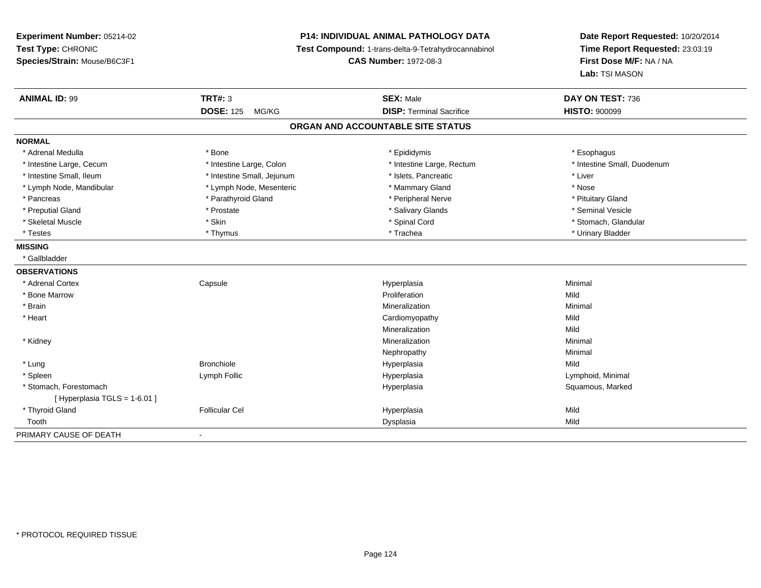**Experiment Number:** 05214-02**Test Type:** CHRONIC **Species/Strain:** Mouse/B6C3F1**P14: INDIVIDUAL ANIMAL PATHOLOGY DATA Test Compound:** 1-trans-delta-9-Tetrahydrocannabinol **CAS Number:** 1972-08-3**Date Report Requested:** 10/20/2014**Time Report Requested:** 23:03:19**First Dose M/F:** NA / NA**Lab:** TSI MASON**ANIMAL ID:** 99 **TRT#:** <sup>3</sup> **SEX:** Male **DAY ON TEST:** <sup>736</sup> **DOSE:** 125 MG/KG**DISP:** Terminal Sacrifice **HISTO:**  $900099$ **ORGAN AND ACCOUNTABLE SITE STATUSNORMAL**\* Adrenal Medulla \* Adrenal Medulla \* \* \* example \* \* Bone \* \* \* Bone \* \* Epididymis \* \* Epididymis \* \* \* Esophagus \* Esophagus \* \* Esophagus \* \* Esophagus \* \* Esophagus \* \* Esophagus \* \* Esophagus \* \* Esophagus \* \* \* \* \* \* \* \* \* \* \* \* \* \* \* Intestine Large, Cecum \* \* Intestine Large, Colon \* Mestine Large, Rectum \* Intestine Large, Rectum \* Intestine Small, Duodenum \* Intestine Small, Ileum \* Intestine Small, Jejunum \* Islets, Pancreatic \* Liver\* Lymph Node, Mandibular \* The same \* Lymph Node, Mesenteric \* Mammary Gland \* Mammary Gland \* Nose \* Pituitary Gland \* Pancreas \* Parathyroid Gland \* Peripheral Nerve \* Peripheral Nerve \* Seminal Vesicle \* Preputial Gland \* \* Annual vesicle \* \* Prostate \* \* Salivary Glands \* \* Salivary Glands \* \* Seminal Vesicle \* \* Stomach. Glandular \* Skeletal Muscle \* \* Stan \* Skin \* Standular \* Spinal Cord \* Spinal Cord \* Stomach, Glandular \* Stomach, Glandular \* Stomach, Glandular \* Stomach, Glandular \* Stomach, Glandular \* Stomach, Glandular \* Stomach, Glandular \* \* Testes \* Thymus \* Trachea \* Urinary Bladder **MISSING** \* Gallbladder**OBSERVATIONS** \* Adrenal Cortex**Capsule**  Hyperplasia Minimal \* Bone Marroww **Proliferation** Proliferation **Mild**  \* Brainn and the controller of the controller of the controller of the Minimal Mineralization and the controller of the Minimal Minimal  $\alpha$  \* Heart Cardiomyopathyy Mild Mild Mineralizationn Mild \* Kidneyy with the control of the control of the control of the control of the control of the control of the control of the control of the control of the control of the control of the control of the control of the control of the c n Minimal Nephropathyy the contract of the Minimal Minimal Section 1996 and the contract of the Minimal Section 1997 and the contract of the contract of the contract of the contract of the contract of the contract of the contract of the contra \* Lung Bronchiole Hyperplasia Mild \* Spleen Lymph Follic Hyperplasia Lymphoid, Minimal \* Stomach, Forestomachh ann an t-aisiad ann am Suid-Africa ann an Suid-Africa ann an Suid-Africa ann an Suid-Africa ann an Suid-Africa ann an Suid-Africa ann an Suid-Africa ann an Suid-Africa ann an Suid-Africa ann an Suid-Africa ann an Suid-Af  $[$  Hyperplasia TGLS = 1-6.01 ] \* Thyroid Gland Follicular Cel Hyperplasia Mild Toothh ann an t-Iomraid ann an t-Iomraid ann an t-Iomraid ann an t-Iomraid ann an t-Iomraid ann an t-Iomraid ann an<br>Iomraid an t-Iomraid ann an t-Iomraid ann an t-Iomraid ann an t-Iomraid ann an t-Iomraid ann an t-Iomraid ann PRIMARY CAUSE OF DEATH-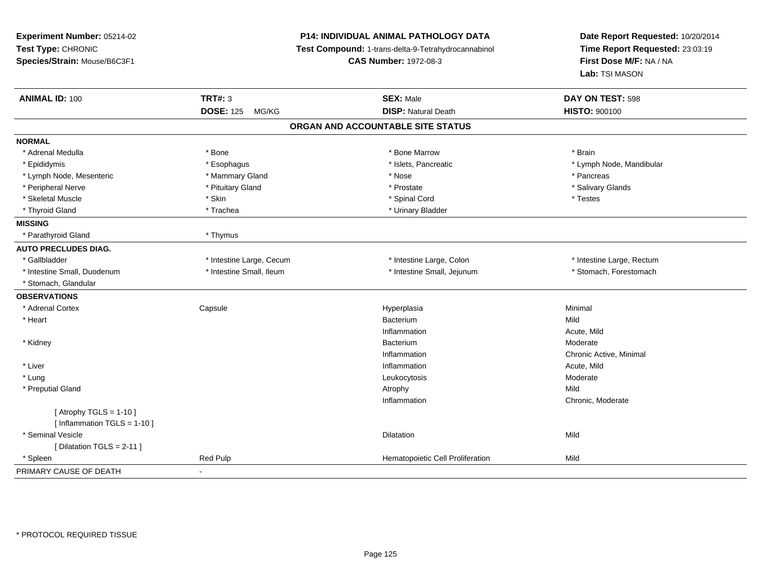| Experiment Number: 05214-02   | P14: INDIVIDUAL ANIMAL PATHOLOGY DATA<br>Test Compound: 1-trans-delta-9-Tetrahydrocannabinol |                                   | Date Report Requested: 10/20/2014 |  |
|-------------------------------|----------------------------------------------------------------------------------------------|-----------------------------------|-----------------------------------|--|
| Test Type: CHRONIC            |                                                                                              |                                   | Time Report Requested: 23:03:19   |  |
| Species/Strain: Mouse/B6C3F1  |                                                                                              | <b>CAS Number: 1972-08-3</b>      | First Dose M/F: NA / NA           |  |
|                               |                                                                                              |                                   | <b>Lab: TSI MASON</b>             |  |
| <b>ANIMAL ID: 100</b>         | <b>TRT#: 3</b>                                                                               | <b>SEX: Male</b>                  | DAY ON TEST: 598                  |  |
|                               | <b>DOSE: 125</b><br>MG/KG                                                                    | <b>DISP: Natural Death</b>        | HISTO: 900100                     |  |
|                               |                                                                                              | ORGAN AND ACCOUNTABLE SITE STATUS |                                   |  |
| <b>NORMAL</b>                 |                                                                                              |                                   |                                   |  |
| * Adrenal Medulla             | * Bone                                                                                       | * Bone Marrow                     | * Brain                           |  |
| * Epididymis                  | * Esophagus                                                                                  | * Islets, Pancreatic              | * Lymph Node, Mandibular          |  |
| * Lymph Node, Mesenteric      | * Mammary Gland                                                                              | * Nose                            | * Pancreas                        |  |
| * Peripheral Nerve            | * Pituitary Gland                                                                            | * Prostate                        | * Salivary Glands                 |  |
| * Skeletal Muscle             | * Skin                                                                                       | * Spinal Cord                     | * Testes                          |  |
| * Thyroid Gland               | * Trachea                                                                                    | * Urinary Bladder                 |                                   |  |
| <b>MISSING</b>                |                                                                                              |                                   |                                   |  |
| * Parathyroid Gland           | * Thymus                                                                                     |                                   |                                   |  |
| <b>AUTO PRECLUDES DIAG.</b>   |                                                                                              |                                   |                                   |  |
| * Gallbladder                 | * Intestine Large, Cecum                                                                     | * Intestine Large, Colon          | * Intestine Large, Rectum         |  |
| * Intestine Small, Duodenum   | * Intestine Small, Ileum                                                                     | * Intestine Small, Jejunum        | * Stomach, Forestomach            |  |
| * Stomach, Glandular          |                                                                                              |                                   |                                   |  |
| <b>OBSERVATIONS</b>           |                                                                                              |                                   |                                   |  |
| * Adrenal Cortex              | Capsule                                                                                      | Hyperplasia                       | Minimal                           |  |
| * Heart                       |                                                                                              | Bacterium                         | Mild                              |  |
|                               |                                                                                              | Inflammation                      | Acute, Mild                       |  |
| * Kidney                      |                                                                                              | Bacterium                         | Moderate                          |  |
|                               |                                                                                              | Inflammation                      | Chronic Active, Minimal           |  |
| * Liver                       |                                                                                              | Inflammation                      | Acute, Mild                       |  |
| * Lung                        |                                                                                              | Leukocytosis                      | Moderate                          |  |
| * Preputial Gland             |                                                                                              | Atrophy                           | Mild                              |  |
|                               |                                                                                              | Inflammation                      | Chronic, Moderate                 |  |
| [Atrophy TGLS = $1-10$ ]      |                                                                                              |                                   |                                   |  |
| [Inflammation TGLS = $1-10$ ] |                                                                                              |                                   |                                   |  |
| * Seminal Vesicle             |                                                                                              | Dilatation                        | Mild                              |  |
| [ Dilatation TGLS = 2-11 ]    |                                                                                              |                                   |                                   |  |
| * Spleen                      | Red Pulp                                                                                     | Hematopoietic Cell Proliferation  | Mild                              |  |
| PRIMARY CAUSE OF DEATH        | $\overline{a}$                                                                               |                                   |                                   |  |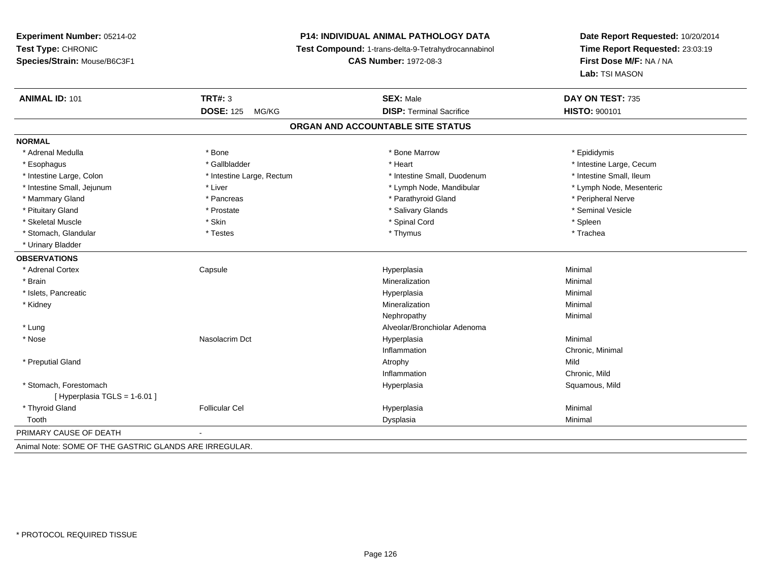# **P14: INDIVIDUAL ANIMAL PATHOLOGY DATA**

**Test Compound:** 1-trans-delta-9-Tetrahydrocannabinol

**CAS Number:** 1972-08-3

**Date Report Requested:** 10/20/2014**Time Report Requested:** 23:03:19**First Dose M/F:** NA / NA**Lab:** TSI MASON

| <b>ANIMAL ID: 101</b>                                 | <b>TRT#: 3</b>            | <b>SEX: Male</b>                  | DAY ON TEST: 735         |
|-------------------------------------------------------|---------------------------|-----------------------------------|--------------------------|
|                                                       | <b>DOSE: 125</b><br>MG/KG | <b>DISP: Terminal Sacrifice</b>   | <b>HISTO: 900101</b>     |
|                                                       |                           | ORGAN AND ACCOUNTABLE SITE STATUS |                          |
| <b>NORMAL</b>                                         |                           |                                   |                          |
| * Adrenal Medulla                                     | * Bone                    | * Bone Marrow                     | * Epididymis             |
| * Esophagus                                           | * Gallbladder             | * Heart                           | * Intestine Large, Cecum |
| * Intestine Large, Colon                              | * Intestine Large, Rectum | * Intestine Small, Duodenum       | * Intestine Small, Ileum |
| * Intestine Small, Jejunum                            | * Liver                   | * Lymph Node, Mandibular          | * Lymph Node, Mesenteric |
| * Mammary Gland                                       | * Pancreas                | * Parathyroid Gland               | * Peripheral Nerve       |
| * Pituitary Gland                                     | * Prostate                | * Salivary Glands                 | * Seminal Vesicle        |
| * Skeletal Muscle                                     | * Skin                    | * Spinal Cord                     | * Spleen                 |
| * Stomach, Glandular                                  | * Testes                  | * Thymus                          | * Trachea                |
| * Urinary Bladder                                     |                           |                                   |                          |
| <b>OBSERVATIONS</b>                                   |                           |                                   |                          |
| * Adrenal Cortex                                      | Capsule                   | Hyperplasia                       | Minimal                  |
| * Brain                                               |                           | Mineralization                    | Minimal                  |
| * Islets, Pancreatic                                  |                           | Hyperplasia                       | Minimal                  |
| * Kidney                                              |                           | Mineralization                    | Minimal                  |
|                                                       |                           | Nephropathy                       | Minimal                  |
| * Lung                                                |                           | Alveolar/Bronchiolar Adenoma      |                          |
| * Nose                                                | Nasolacrim Dct            | Hyperplasia                       | Minimal                  |
|                                                       |                           | Inflammation                      | Chronic, Minimal         |
| * Preputial Gland                                     |                           | Atrophy                           | Mild                     |
|                                                       |                           | Inflammation                      | Chronic, Mild            |
| * Stomach, Forestomach                                |                           | Hyperplasia                       | Squamous, Mild           |
| [Hyperplasia TGLS = 1-6.01]                           |                           |                                   |                          |
| * Thyroid Gland                                       | <b>Follicular Cel</b>     | Hyperplasia                       | Minimal                  |
| Tooth                                                 |                           | Dysplasia                         | Minimal                  |
| PRIMARY CAUSE OF DEATH                                |                           |                                   |                          |
| Animal Note: SOME OF THE CASTRIC CLANDS ARE IRRECHLAR |                           |                                   |                          |

Animal Note: SOME OF THE GASTRIC GLANDS ARE IRREGULAR.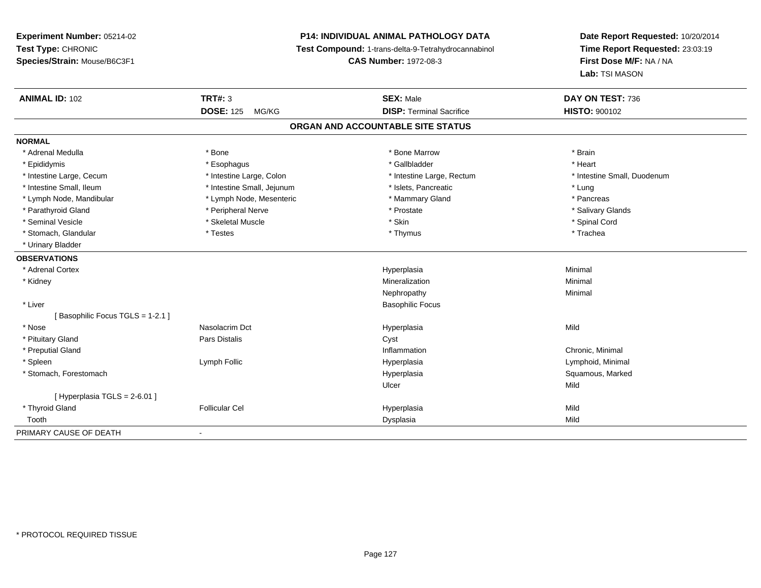# **P14: INDIVIDUAL ANIMAL PATHOLOGY DATA**

**Test Compound:** 1-trans-delta-9-Tetrahydrocannabinol

**CAS Number:** 1972-08-3

| <b>ANIMAL ID: 102</b>           | <b>TRT#: 3</b>             | <b>SEX: Male</b>                  | DAY ON TEST: 736            |
|---------------------------------|----------------------------|-----------------------------------|-----------------------------|
|                                 | <b>DOSE: 125</b><br>MG/KG  | <b>DISP: Terminal Sacrifice</b>   | <b>HISTO: 900102</b>        |
|                                 |                            | ORGAN AND ACCOUNTABLE SITE STATUS |                             |
| <b>NORMAL</b>                   |                            |                                   |                             |
| * Adrenal Medulla               | * Bone                     | * Bone Marrow                     | * Brain                     |
| * Epididymis                    | * Esophagus                | * Gallbladder                     | * Heart                     |
| * Intestine Large, Cecum        | * Intestine Large, Colon   | * Intestine Large, Rectum         | * Intestine Small, Duodenum |
| * Intestine Small, Ileum        | * Intestine Small, Jejunum | * Islets, Pancreatic              | * Lung                      |
| * Lymph Node, Mandibular        | * Lymph Node, Mesenteric   | * Mammary Gland                   | * Pancreas                  |
| * Parathyroid Gland             | * Peripheral Nerve         | * Prostate                        | * Salivary Glands           |
| * Seminal Vesicle               | * Skeletal Muscle          | * Skin                            | * Spinal Cord               |
| * Stomach, Glandular            | * Testes                   | * Thymus                          | * Trachea                   |
| * Urinary Bladder               |                            |                                   |                             |
| <b>OBSERVATIONS</b>             |                            |                                   |                             |
| * Adrenal Cortex                |                            | Hyperplasia                       | Minimal                     |
| * Kidney                        |                            | Mineralization                    | Minimal                     |
|                                 |                            | Nephropathy                       | Minimal                     |
| * Liver                         |                            | <b>Basophilic Focus</b>           |                             |
| [Basophilic Focus TGLS = 1-2.1] |                            |                                   |                             |
| * Nose                          | Nasolacrim Dct             | Hyperplasia                       | Mild                        |
| * Pituitary Gland               | Pars Distalis              | Cyst                              |                             |
| * Preputial Gland               |                            | Inflammation                      | Chronic, Minimal            |
| * Spleen                        | Lymph Follic               | Hyperplasia                       | Lymphoid, Minimal           |
| * Stomach, Forestomach          |                            | Hyperplasia                       | Squamous, Marked            |
|                                 |                            | Ulcer                             | Mild                        |
| [Hyperplasia TGLS = 2-6.01]     |                            |                                   |                             |
| * Thyroid Gland                 | <b>Follicular Cel</b>      | Hyperplasia                       | Mild                        |
| Tooth                           |                            | Dysplasia                         | Mild                        |
| PRIMARY CAUSE OF DEATH          | $\blacksquare$             |                                   |                             |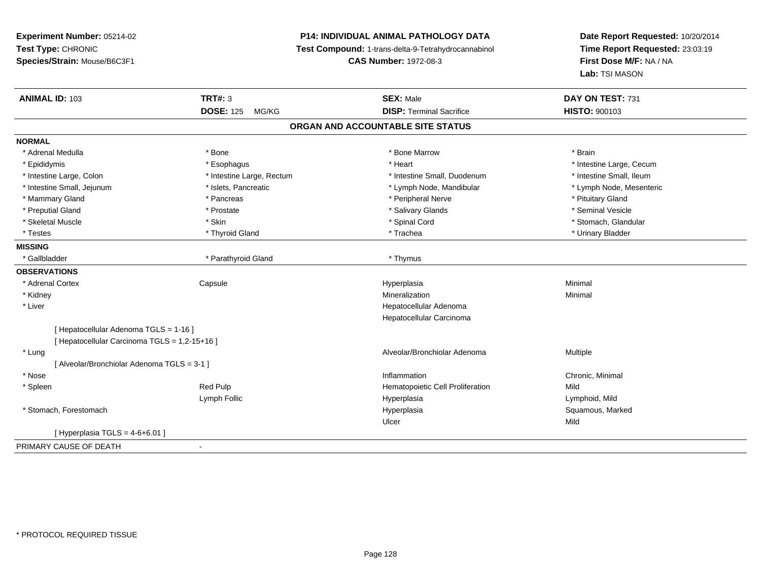# **P14: INDIVIDUAL ANIMAL PATHOLOGY DATA**

**Test Compound:** 1-trans-delta-9-Tetrahydrocannabinol

**CAS Number:** 1972-08-3

| <b>ANIMAL ID: 103</b>                         | <b>TRT#: 3</b>            | <b>SEX: Male</b>                  | DAY ON TEST: 731         |
|-----------------------------------------------|---------------------------|-----------------------------------|--------------------------|
|                                               | <b>DOSE: 125</b><br>MG/KG | <b>DISP: Terminal Sacrifice</b>   | <b>HISTO: 900103</b>     |
|                                               |                           | ORGAN AND ACCOUNTABLE SITE STATUS |                          |
| <b>NORMAL</b>                                 |                           |                                   |                          |
| * Adrenal Medulla                             | * Bone                    | * Bone Marrow                     | * Brain                  |
| * Epididymis                                  | * Esophagus               | * Heart                           | * Intestine Large, Cecum |
| * Intestine Large, Colon                      | * Intestine Large, Rectum | * Intestine Small, Duodenum       | * Intestine Small, Ileum |
| * Intestine Small, Jejunum                    | * Islets, Pancreatic      | * Lymph Node, Mandibular          | * Lymph Node, Mesenteric |
| * Mammary Gland                               | * Pancreas                | * Peripheral Nerve                | * Pituitary Gland        |
| * Preputial Gland                             | * Prostate                | * Salivary Glands                 | * Seminal Vesicle        |
| * Skeletal Muscle                             | * Skin                    | * Spinal Cord                     | * Stomach, Glandular     |
| * Testes                                      | * Thyroid Gland           | * Trachea                         | * Urinary Bladder        |
| <b>MISSING</b>                                |                           |                                   |                          |
| * Gallbladder                                 | * Parathyroid Gland       | * Thymus                          |                          |
| <b>OBSERVATIONS</b>                           |                           |                                   |                          |
| * Adrenal Cortex                              | Capsule                   | Hyperplasia                       | Minimal                  |
| * Kidney                                      |                           | Mineralization                    | Minimal                  |
| * Liver                                       |                           | Hepatocellular Adenoma            |                          |
|                                               |                           | Hepatocellular Carcinoma          |                          |
| [ Hepatocellular Adenoma TGLS = 1-16 ]        |                           |                                   |                          |
| [ Hepatocellular Carcinoma TGLS = 1,2-15+16 ] |                           |                                   |                          |
| * Lung                                        |                           | Alveolar/Bronchiolar Adenoma      | Multiple                 |
| [ Alveolar/Bronchiolar Adenoma TGLS = 3-1 ]   |                           |                                   |                          |
| * Nose                                        |                           | Inflammation                      | Chronic, Minimal         |
| * Spleen                                      | Red Pulp                  | Hematopoietic Cell Proliferation  | Mild                     |
|                                               | Lymph Follic              | Hyperplasia                       | Lymphoid, Mild           |
| * Stomach, Forestomach                        |                           | Hyperplasia                       | Squamous, Marked         |
|                                               |                           | Ulcer                             | Mild                     |
| [ Hyperplasia TGLS = 4-6+6.01 ]               |                           |                                   |                          |
| PRIMARY CAUSE OF DEATH                        |                           |                                   |                          |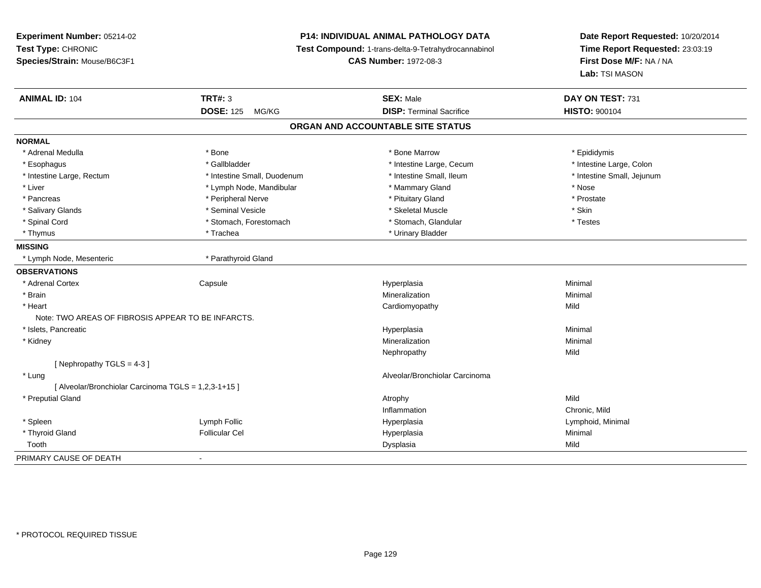**Experiment Number:** 05214-02**Test Type:** CHRONIC **Species/Strain:** Mouse/B6C3F1**P14: INDIVIDUAL ANIMAL PATHOLOGY DATA Test Compound:** 1-trans-delta-9-Tetrahydrocannabinol **CAS Number:** 1972-08-3**Date Report Requested:** 10/20/2014**Time Report Requested:** 23:03:19**First Dose M/F:** NA / NA**Lab:** TSI MASON**ANIMAL ID:** 104 **TRT#:** <sup>3</sup> **SEX:** Male **DAY ON TEST:** <sup>731</sup> **DOSE:** 125 MG/KG**DISP:** Terminal Sacrifice **HISTO:** 900104 **ORGAN AND ACCOUNTABLE SITE STATUSNORMAL**\* Adrenal Medulla \* Adrenal Medulla \* \* The matter of the state of the state of the Marrow \* Bone Marrow \* Adrenal Medulla \* Epididymis \* Epididymis \* Bone Marrow \* Adrenal Medulla \* Epididymis \* Epididymis \* Epididymis \* Epididymis \* Epidi \* Intestine Large, Colon \* Esophagus \* Intestine Large, Cecum \* Callbladder \* 10 \* Intestine Large, Cecum \* Intestine Large, Cecum \* \* Intestine Large, Rectum \* Thestine Small, Duodenum \* Number of the small, Ileum \* Intestine Small, Jejunum \* Intestine Small, Jejunum \* Liver \* Lymph Node, Mandibular \* \* Mammary Gland \* Mose \* Nose \* Nose \* Nose \* Nose \* Nose \* Nose \* Nose \*  $\sim$  \* Nose \* Nose \* Nose \* Nose \* Nose \* Nose \* Nose \* Nose \* Nose \* Nose \* Nose \* Nose \* Nose \* Nose \* Nose \* N \* Prostate \* Pancreas \* The prostate \* Peripheral Nerve \* The \* Postate \* Pituitary Gland \* Prostate \* Prostate \* Prostate \* Salivary Glands \* Seminal Vesicle \* Skeletal Muscle \* Skin\* Testes \* Spinal Cord \* Stomach, Forestomach \* Stomach \* Stomach, Glandular \* Stomach, Glandular \* Thymus \* Trachea \* Trachea \* Urinary Bladder \* Urinary Bladder \* Urinary Bladder **MISSING**\* Lymph Node, Mesenteric \* The manner \* Parathyroid Gland **OBSERVATIONS** \* Adrenal Cortex**Capsule**  Hyperplasia Minimal \* Brainn and the controller of the controller of the controller of the Minimal Mineralization and the controller of the Minimal Minimal  $\alpha$  \* Heart Cardiomyopathyy Mild Note: TWO AREAS OF FIBROSIS APPEAR TO BE INFARCTS. \* Islets, Pancreaticc and the control of the control of the control of the control of the control of the control of the control of the control of the control of the control of the control of the control of the control of the control of the co a **Minimal**  \* Kidneyy with the control of the control of the control of the control of the control of the control of the control of the control of the control of the control of the control of the control of the control of the control of the c n Minimal Nephropathyy Mild  $[$  Nephropathy TGLS = 4-3  $]$  \* Lung Alveolar/Bronchiolar Carcinoma [ Alveolar/Bronchiolar Carcinoma TGLS = 1,2,3-1+15 ] \* Preputial Glandd and the control of the control of the control of the control of the control of the control of the control of  $\lambda$ InflammationInflammation **Example 2** Chronic, Mild<br>
Hyperplasia **Chronic Chronic Chronic Chronic Chronic Chronic Chronic Chronic Chronic Chronic Chronic Chronic Chro**  \* Spleen Lymph Follic Hyperplasia Lymphoid, Minimal \* Thyroid Gland Follicular Cel Hyperplasia Minimal Toothh ann an t-Iomraid ann an t-Iomraid ann an t-Iomraid ann an t-Iomraid ann an t-Iomraid ann an t-Iomraid ann an<br>Iomraid an t-Iomraid ann an t-Iomraid ann an t-Iomraid ann an t-Iomraid ann an t-Iomraid ann an t-Iomraid ann PRIMARY CAUSE OF DEATH-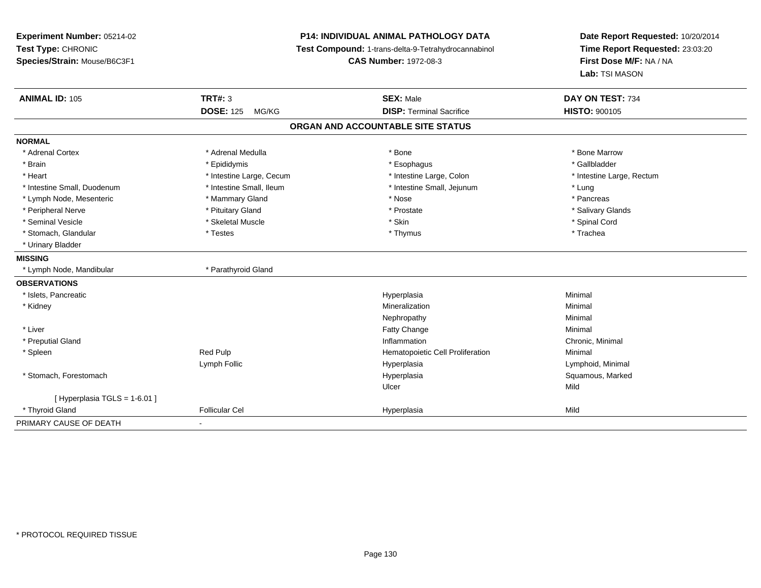**Experiment Number:** 05214-02**Test Type:** CHRONIC **Species/Strain:** Mouse/B6C3F1**P14: INDIVIDUAL ANIMAL PATHOLOGY DATA Test Compound:** 1-trans-delta-9-Tetrahydrocannabinol **CAS Number:** 1972-08-3**Date Report Requested:** 10/20/2014**Time Report Requested:** 23:03:20**First Dose M/F:** NA / NA**Lab:** TSI MASON**ANIMAL ID:** 105**TRT#:** 3 **SEX:** Male **DAY ON TEST:** 734 **DOSE:** 125 MG/KG**DISP:** Terminal Sacrifice **HISTO:** 900105 **ORGAN AND ACCOUNTABLE SITE STATUSNORMAL**\* Adrenal Cortex \* Adrenal Medulla \* Adrenal Medulla \* Bone \* Bone \* Bone \* Bone \* Bone Marrow \* Gallbladder \* Brain \* Allen the state of the state of the state of the state of the state of the state of the state of the state of the state of the state of the state of the state of the state of the state of the state of the state o \* Heart **\*** Intestine Large, Cecum \* Intestine Large, Cecum \* Intestine Large, Colon \* <sup>\*</sup> Intestine Large, Rectum \* Intestine Small, Duodenum \* 100 mm \* Intestine Small, Ileum \* 100 mm \* Intestine Small, Jejunum \* Lung \* Lung \* Pancreas \* Lymph Node, Mesenteric \* The matter of the Mammary Gland \* Nose \* Nose \* Nose \* Pancrease \* Pancrease \* Pancrease \* Pancrease \* Pancrease \* Pancrease \* Pancrease \* Pancrease \* Pancrease \* Pancrease \* Pancrease \* Pancreas \* Salivary Glands \* Peripheral Nerve \* \* And the state \* Pituitary Gland \* Prosection \* Prostate \* Prostate \* Salivary Glands \* Salivary Glands \* Salivary Glands \* Salivary Glands \* Salivary Glands \* Salivary Glands \* Salivary Glands \* Sali \* Seminal Vesicle \* \* Spinal Cord \* Skeletal Muscle \* \* Skin \* \* Skin \* \* Spinal Vesicle \* Spinal Cord \* Spinal Cord \* Stomach, Glandular \* Trachea \* Testes \* Thymus \* Thymus \* Thymus \* Thymus \* Trachea \* Trachea \* Urinary Bladder**MISSING**\* Lymph Node, Mandibular \* \* Parathyroid Gland **OBSERVATIONS** \* Islets, Pancreaticc and the control of the control of the control of the control of the control of the control of the control of the control of the control of the control of the control of the control of the control of the control of the co a **Minimal**  \* Kidneyy with the control of the control of the control of the control of the control of the control of the control of the control of the control of the control of the control of the control of the control of the control of the c n Minimal Nephropathyy the contract of the Minimal Minimal Section 1996 and the contract of the Minimal Section 1997 and the contract of the contract of the contract of the contract of the contract of the contract of the contract of the contra \* Liver Fatty Changee Minimal \* Preputial Glandd the controller of the controller of the controller of the controller of the controller of the controller of the controller of the controller of the controller of the controller of the controller of the controller of the \* SpleenRed Pulp **Network Red Pulp 19 Templement Cell Proliferation** Minimal Minimal Lymph Follic Hyperplasia Lymphoid, Minimal \* Stomach, Forestomachh ann an t-aisiad ann am Suid-Africa ann an Suid-Africa ann an Suid-Africa ann an Suid-Africa ann an Suid-Africa ann an Suid-Africa ann an Suid-Africa ann an Suid-Africa ann an Suid-Africa ann an Suid-Africa ann an Suid-Af Ulcerr **Mild**  $[$  Hyperplasia TGLS = 1-6.01 ] \* Thyroid Gland Follicular Cel Hyperplasia Mild PRIMARY CAUSE OF DEATH-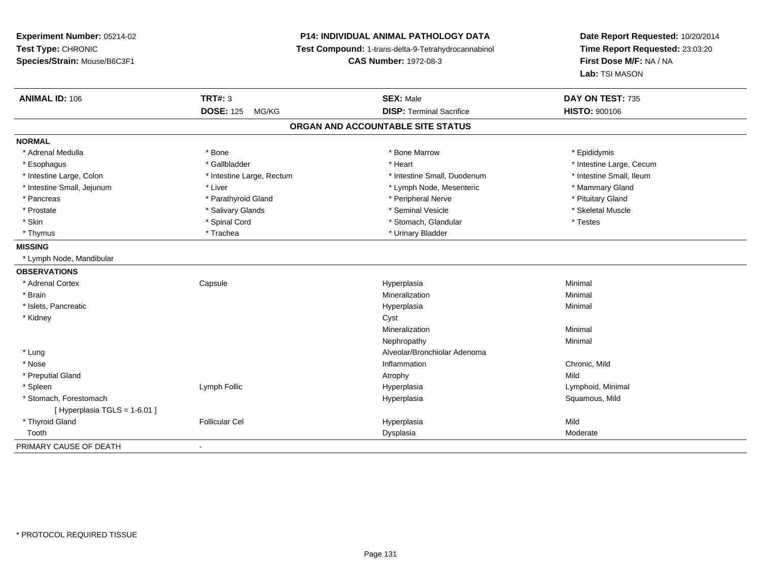# **P14: INDIVIDUAL ANIMAL PATHOLOGY DATA**

**Test Compound:** 1-trans-delta-9-Tetrahydrocannabinol

**CAS Number:** 1972-08-3

| <b>ANIMAL ID: 106</b>       | <b>TRT#: 3</b>            | <b>SEX: Male</b>                  | DAY ON TEST: 735         |  |
|-----------------------------|---------------------------|-----------------------------------|--------------------------|--|
|                             | <b>DOSE: 125</b><br>MG/KG | <b>DISP: Terminal Sacrifice</b>   | <b>HISTO: 900106</b>     |  |
|                             |                           | ORGAN AND ACCOUNTABLE SITE STATUS |                          |  |
| <b>NORMAL</b>               |                           |                                   |                          |  |
| * Adrenal Medulla           | * Bone                    | * Bone Marrow                     | * Epididymis             |  |
| * Esophagus                 | * Gallbladder             | * Heart                           | * Intestine Large, Cecum |  |
| * Intestine Large, Colon    | * Intestine Large, Rectum | * Intestine Small, Duodenum       | * Intestine Small, Ileum |  |
| * Intestine Small, Jejunum  | * Liver                   | * Lymph Node, Mesenteric          | * Mammary Gland          |  |
| * Pancreas                  | * Parathyroid Gland       | * Peripheral Nerve                | * Pituitary Gland        |  |
| * Prostate                  | * Salivary Glands         | * Seminal Vesicle                 | * Skeletal Muscle        |  |
| * Skin                      | * Spinal Cord             | * Stomach, Glandular              | * Testes                 |  |
| * Thymus                    | * Trachea                 | * Urinary Bladder                 |                          |  |
| <b>MISSING</b>              |                           |                                   |                          |  |
| * Lymph Node, Mandibular    |                           |                                   |                          |  |
| <b>OBSERVATIONS</b>         |                           |                                   |                          |  |
| * Adrenal Cortex            | Capsule                   | Hyperplasia                       | Minimal                  |  |
| * Brain                     |                           | Mineralization                    | Minimal                  |  |
| * Islets, Pancreatic        |                           | Hyperplasia                       | Minimal                  |  |
| * Kidney                    |                           | Cyst                              |                          |  |
|                             |                           | Mineralization                    | Minimal                  |  |
|                             |                           | Nephropathy                       | Minimal                  |  |
| * Lung                      |                           | Alveolar/Bronchiolar Adenoma      |                          |  |
| * Nose                      |                           | Inflammation                      | Chronic, Mild            |  |
| * Preputial Gland           |                           | Atrophy                           | Mild                     |  |
| * Spleen                    | Lymph Follic              | Hyperplasia                       | Lymphoid, Minimal        |  |
| * Stomach, Forestomach      |                           | Hyperplasia                       | Squamous, Mild           |  |
| [Hyperplasia TGLS = 1-6.01] |                           |                                   |                          |  |
| * Thyroid Gland             | <b>Follicular Cel</b>     | Hyperplasia                       | Mild                     |  |
| Tooth                       |                           | Dysplasia                         | Moderate                 |  |
| PRIMARY CAUSE OF DEATH      |                           |                                   |                          |  |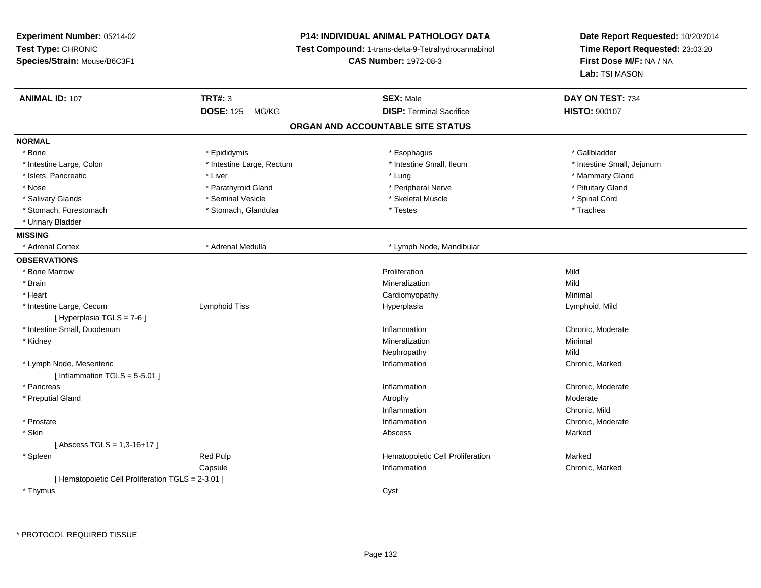**Experiment Number:** 05214-02**Test Type:** CHRONIC **Species/Strain:** Mouse/B6C3F1**P14: INDIVIDUAL ANIMAL PATHOLOGY DATA Test Compound:** 1-trans-delta-9-Tetrahydrocannabinol **CAS Number:** 1972-08-3**Date Report Requested:** 10/20/2014**Time Report Requested:** 23:03:20**First Dose M/F:** NA / NA**Lab:** TSI MASON**ANIMAL ID:** 107**TRT#:** 3 **SEX:** Male **DAY ON TEST:** 734 **DOSE:** 125 MG/KG**DISP:** Terminal Sacrifice **HISTO:**  $900107$ **ORGAN AND ACCOUNTABLE SITE STATUSNORMAL**\* Bone \* Bone \* Epididymis \* Esophagus \* Gallbladder \* Intestine Large, Colon \* Intestine Large, Rectum \* Intestine Small, Ileum \* Intestine Small, Jejunum\* Islets, Pancreatic \* \* \* Liver \* Liver \* Liver \* Lung \* Lung \* Lung \* Lung \* Lung \* Mammary Gland \* Mammary Gland \* Nose \* Parathyroid Gland \* And the series of Peripheral Nerve \* Peripheral Nerve \* Pituitary Gland \* Pituitary Gland \* Salivary Glands \* \* \$ https://www.frieducer.com/web/2012/absoluter/state/sected \* Skeletal Muscle \* Spinal Cord \* Spinal Cord \* Spinal Cord \* Spinal Cord \* Spinal Cord \* Spinal Cord \* Spinal Cord \* Spinal Cord \* Spinal C \* Stomach, Forestomach \* Trachea \* Stomach, Glandular \* Trachea \* Testes \* Trachea \* Trachea \* Trachea \* Urinary Bladder**MISSING**\* Adrenal Cortex \* Adrenal Medulla **\*** Lymph Node, Mandibular **OBSERVATIONS** \* Bone Marroww **Proliferation** Proliferation **Mild**  \* Brainn and the control of the control of the control of the control of the control of the control of the control of the control of the control of the control of the control of the control of the control of the control of the co \* Heart Cardiomyopathy Minimal \* Intestine Large, Cecumm Lymphoid Tiss Hyperplasia Lymphoid, Mild [ Hyperplasia TGLS = 7-6 ] \* Intestine Small, Duodenumn and the chronic, Moderate change of the chronic method of the chronic, Moderate chronic, Moderate chronic, Moderate \* Kidneyy with the control of the control of the control of the control of the control of the control of the control of the control of the control of the control of the control of the control of the control of the control of the c n Minimal Nephropathyy Mild n Chronic, Marked \* Lymph Node, Mesentericc and the contract of the contract of the contract of the contract of the contract of the contract of the contract of the contract of the contract of the contract of the contract of the contract of the contract of the cont  $[$  Inflammation TGLS = 5-5.01 ] \* Pancreass and the contract of the contract of the contract of the contract of the contract of the contract of the contract of the contract of the contract of the contract of the contract of the contract of the contract of the cont Inflammation **Example 2018** Chronic, Moderate<br>Atrophy \* Preputial Glandd and the control of the control of the control of the control of the control of the control of the control of  $\lambda$ Inflammation**Inflammation**<br> **Inflammation**<br> **Chronic**. Moderate \* Prostatee and the chronic, Moderate and the chronic method of the chronic method of the chronic method of the chronic, Moderate  $\epsilon$  \* Skinn and the control of the control of the control of the control of the control of the control of the control of the control of the control of the control of the control of the control of the control of the control of the co [ Abscess TGLS = 1,3-16+17 ] \* SpleenRed Pulp **Marked Care Accord Hematopoietic Cell Proliferation**<br>Capsule Capsule Capsule Capsule Capsule Capsule Chronic, Marked **Capsule** e **Inflammation** Chronic, Marked Chronic, Marked Chronic, Marked Chronic, Marked Chronic, Marked Chronic, Marked Chronic, Marked Chronic, Marked Chronic, Marked Chronic, Marked Chronic, Marked Chronic, Marked Chronic, Mark [ Hematopoietic Cell Proliferation TGLS = 2-3.01 ] \* Thymuss the contract of the contract of the contract of the contract of the contract of the contract of the contract of the contract of the contract of the contract of the contract of the contract of the contract of the contract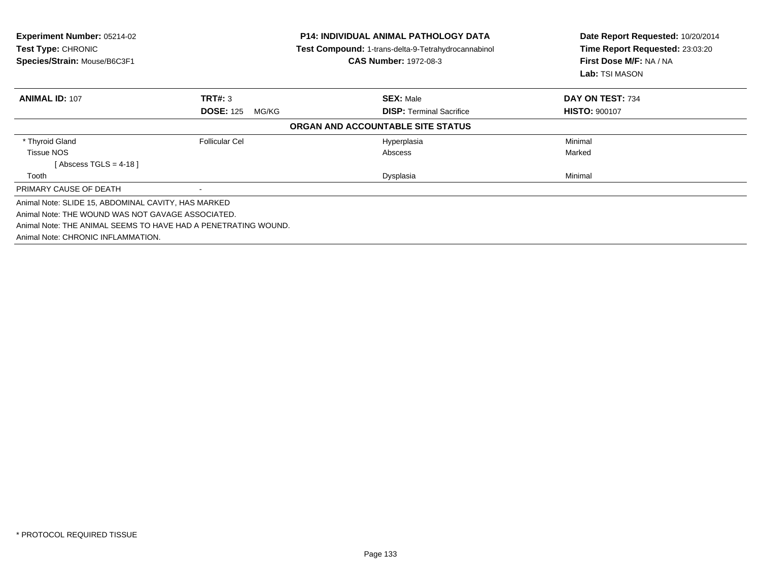| <b>Experiment Number: 05214-02</b><br><b>Test Type: CHRONIC</b><br>Species/Strain: Mouse/B6C3F1 |                           | <b>P14: INDIVIDUAL ANIMAL PATHOLOGY DATA</b><br><b>Test Compound: 1-trans-delta-9-Tetrahydrocannabinol</b><br><b>CAS Number: 1972-08-3</b> | Date Report Requested: 10/20/2014<br>Time Report Requested: 23:03:20<br>First Dose M/F: NA / NA<br>Lab: TSI MASON |
|-------------------------------------------------------------------------------------------------|---------------------------|--------------------------------------------------------------------------------------------------------------------------------------------|-------------------------------------------------------------------------------------------------------------------|
| <b>ANIMAL ID: 107</b>                                                                           | <b>TRT#: 3</b>            | <b>SEX: Male</b>                                                                                                                           | DAY ON TEST: 734                                                                                                  |
|                                                                                                 | <b>DOSE: 125</b><br>MG/KG | <b>DISP:</b> Terminal Sacrifice                                                                                                            | <b>HISTO: 900107</b>                                                                                              |
|                                                                                                 |                           | ORGAN AND ACCOUNTABLE SITE STATUS                                                                                                          |                                                                                                                   |
| * Thyroid Gland                                                                                 | <b>Follicular Cel</b>     | Hyperplasia                                                                                                                                | Minimal                                                                                                           |
| <b>Tissue NOS</b>                                                                               |                           | Abscess                                                                                                                                    | Marked                                                                                                            |
| [Abscess TGLS = 4-18 ]                                                                          |                           |                                                                                                                                            |                                                                                                                   |
| Tooth                                                                                           |                           | Dysplasia                                                                                                                                  | Minimal                                                                                                           |
| PRIMARY CAUSE OF DEATH                                                                          |                           |                                                                                                                                            |                                                                                                                   |
| Animal Note: SLIDE 15, ABDOMINAL CAVITY, HAS MARKED                                             |                           |                                                                                                                                            |                                                                                                                   |
| Animal Note: THE WOUND WAS NOT GAVAGE ASSOCIATED.                                               |                           |                                                                                                                                            |                                                                                                                   |
| Animal Note: THE ANIMAL SEEMS TO HAVE HAD A PENETRATING WOUND.                                  |                           |                                                                                                                                            |                                                                                                                   |
| Animal Note: CHRONIC INFLAMMATION.                                                              |                           |                                                                                                                                            |                                                                                                                   |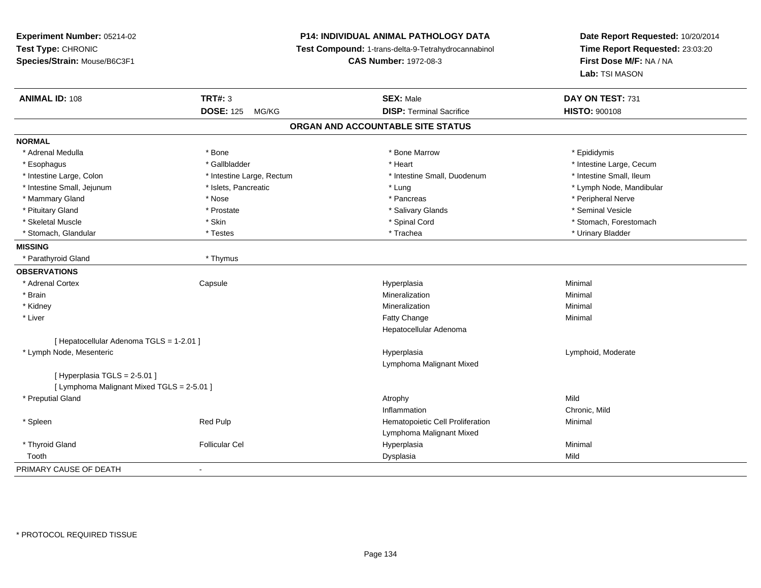# **P14: INDIVIDUAL ANIMAL PATHOLOGY DATA**

**Test Compound:** 1-trans-delta-9-Tetrahydrocannabinol

**CAS Number:** 1972-08-3

| <b>ANIMAL ID: 108</b>                      | <b>TRT#: 3</b>            | <b>SEX: Male</b>                  | DAY ON TEST: 731         |  |
|--------------------------------------------|---------------------------|-----------------------------------|--------------------------|--|
|                                            | <b>DOSE: 125</b><br>MG/KG | <b>DISP: Terminal Sacrifice</b>   | <b>HISTO: 900108</b>     |  |
|                                            |                           | ORGAN AND ACCOUNTABLE SITE STATUS |                          |  |
| <b>NORMAL</b>                              |                           |                                   |                          |  |
| * Adrenal Medulla                          | * Bone                    | * Bone Marrow                     | * Epididymis             |  |
| * Esophagus                                | * Gallbladder             | * Heart                           | * Intestine Large, Cecum |  |
| * Intestine Large, Colon                   | * Intestine Large, Rectum | * Intestine Small, Duodenum       | * Intestine Small. Ileum |  |
| * Intestine Small, Jejunum                 | * Islets, Pancreatic      | * Lung                            | * Lymph Node, Mandibular |  |
| * Mammary Gland                            | * Nose                    | * Pancreas                        | * Peripheral Nerve       |  |
| * Pituitary Gland                          | * Prostate                | * Salivary Glands                 | * Seminal Vesicle        |  |
| * Skeletal Muscle                          | * Skin                    | * Spinal Cord                     | * Stomach, Forestomach   |  |
| * Stomach, Glandular                       | * Testes                  | * Trachea                         | * Urinary Bladder        |  |
| <b>MISSING</b>                             |                           |                                   |                          |  |
| * Parathyroid Gland                        | * Thymus                  |                                   |                          |  |
| <b>OBSERVATIONS</b>                        |                           |                                   |                          |  |
| * Adrenal Cortex                           | Capsule                   | Hyperplasia                       | Minimal                  |  |
| * Brain                                    |                           | Mineralization                    | Minimal                  |  |
| * Kidney                                   |                           | Mineralization                    | Minimal                  |  |
| * Liver                                    |                           | <b>Fatty Change</b>               | Minimal                  |  |
|                                            |                           | Hepatocellular Adenoma            |                          |  |
| [ Hepatocellular Adenoma TGLS = 1-2.01 ]   |                           |                                   |                          |  |
| * Lymph Node, Mesenteric                   |                           | Hyperplasia                       | Lymphoid, Moderate       |  |
|                                            |                           | Lymphoma Malignant Mixed          |                          |  |
| [Hyperplasia TGLS = $2-5.01$ ]             |                           |                                   |                          |  |
| [ Lymphoma Malignant Mixed TGLS = 2-5.01 ] |                           |                                   |                          |  |
| * Preputial Gland                          |                           | Atrophy                           | Mild                     |  |
|                                            |                           | Inflammation                      | Chronic, Mild            |  |
| * Spleen                                   | Red Pulp                  | Hematopoietic Cell Proliferation  | Minimal                  |  |
|                                            |                           | Lymphoma Malignant Mixed          |                          |  |
| * Thyroid Gland                            | <b>Follicular Cel</b>     | Hyperplasia                       | Minimal                  |  |
| Tooth                                      |                           | Dysplasia                         | Mild                     |  |
| PRIMARY CAUSE OF DEATH                     |                           |                                   |                          |  |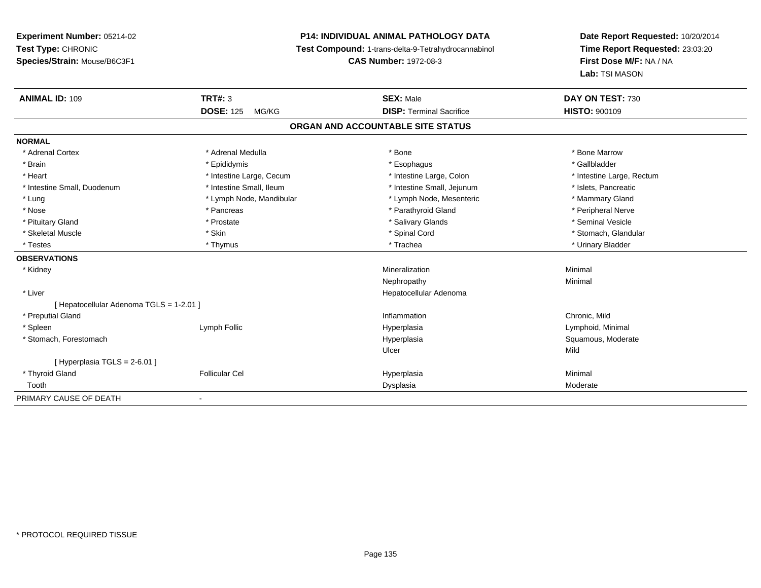# **P14: INDIVIDUAL ANIMAL PATHOLOGY DATA**

**Test Compound:** 1-trans-delta-9-Tetrahydrocannabinol

**CAS Number:** 1972-08-3

| <b>ANIMAL ID: 109</b>                    | <b>TRT#: 3</b>            | <b>SEX: Male</b>                  | DAY ON TEST: 730          |  |
|------------------------------------------|---------------------------|-----------------------------------|---------------------------|--|
|                                          | <b>DOSE: 125</b><br>MG/KG | <b>DISP: Terminal Sacrifice</b>   | <b>HISTO: 900109</b>      |  |
|                                          |                           | ORGAN AND ACCOUNTABLE SITE STATUS |                           |  |
| <b>NORMAL</b>                            |                           |                                   |                           |  |
| * Adrenal Cortex                         | * Adrenal Medulla         | * Bone                            | * Bone Marrow             |  |
| * Brain                                  | * Epididymis              | * Esophagus                       | * Gallbladder             |  |
| * Heart                                  | * Intestine Large, Cecum  | * Intestine Large, Colon          | * Intestine Large, Rectum |  |
| * Intestine Small, Duodenum              | * Intestine Small, Ileum  | * Intestine Small, Jejunum        | * Islets, Pancreatic      |  |
| * Lung                                   | * Lymph Node, Mandibular  | * Lymph Node, Mesenteric          | * Mammary Gland           |  |
| * Nose                                   | * Pancreas                | * Parathyroid Gland               | * Peripheral Nerve        |  |
| * Pituitary Gland                        | * Prostate                | * Salivary Glands                 | * Seminal Vesicle         |  |
| * Skeletal Muscle                        | * Skin                    | * Spinal Cord                     | * Stomach, Glandular      |  |
| * Testes                                 | * Thymus                  | * Trachea                         | * Urinary Bladder         |  |
| <b>OBSERVATIONS</b>                      |                           |                                   |                           |  |
| * Kidney                                 |                           | Mineralization                    | Minimal                   |  |
|                                          |                           | Nephropathy                       | Minimal                   |  |
| * Liver                                  |                           | Hepatocellular Adenoma            |                           |  |
| [ Hepatocellular Adenoma TGLS = 1-2.01 ] |                           |                                   |                           |  |
| * Preputial Gland                        |                           | Inflammation                      | Chronic, Mild             |  |
| * Spleen                                 | Lymph Follic              | Hyperplasia                       | Lymphoid, Minimal         |  |
| * Stomach, Forestomach                   |                           | Hyperplasia                       | Squamous, Moderate        |  |
|                                          |                           | Ulcer                             | Mild                      |  |
| [Hyperplasia TGLS = $2-6.01$ ]           |                           |                                   |                           |  |
| * Thyroid Gland                          | <b>Follicular Cel</b>     | Hyperplasia                       | Minimal                   |  |
| Tooth                                    |                           | Dysplasia                         | Moderate                  |  |
| PRIMARY CAUSE OF DEATH                   |                           |                                   |                           |  |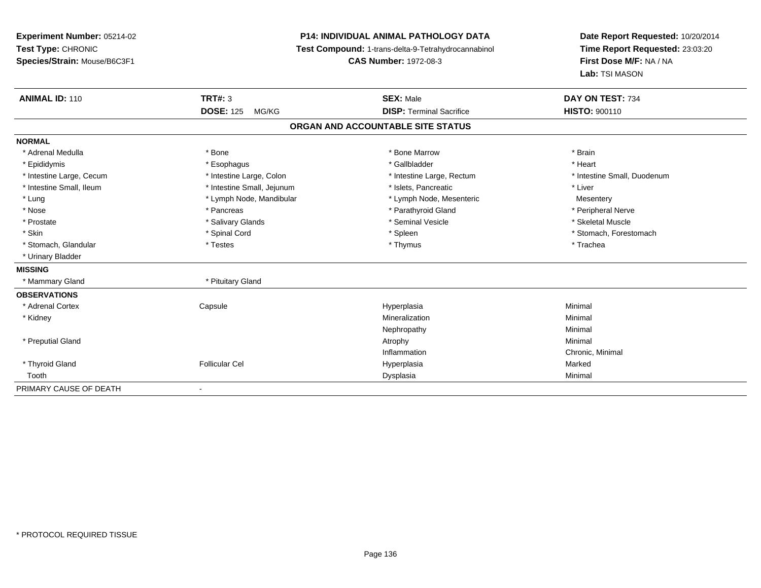**Experiment Number:** 05214-02**Test Type:** CHRONIC **Species/Strain:** Mouse/B6C3F1**P14: INDIVIDUAL ANIMAL PATHOLOGY DATA Test Compound:** 1-trans-delta-9-Tetrahydrocannabinol **CAS Number:** 1972-08-3**Date Report Requested:** 10/20/2014**Time Report Requested:** 23:03:20**First Dose M/F:** NA / NA**Lab:** TSI MASON**ANIMAL ID:** 110**C TRT#:** 3 **SEX:** Male **DAY ON TEST:** 734 **DOSE:** 125 MG/KG**DISP:** Terminal Sacrifice **HISTO:** 900110 **ORGAN AND ACCOUNTABLE SITE STATUSNORMAL**\* Adrenal Medulla \* \* Annual Medulla \* Brain \* Bone \* \* Bone Marrow \* Bone Marrow \* \* Brain \* Brain \* Brain \* Brain \* Brain \* Brain \* Brain \* Brain \* Brain \* Brain \* Brain \* Brain \* Brain \* Brain \* Brain \* Brain \* Brain \* \* Heart \* Epididymis \* Esophagus \* Gallbladder \* Heart\* Intestine Large, Cecum \* Intestine Large, Colon \* Intestine Large, Rectum \* Intestine Small, Duodenum \* Intestine Small, Ileum \* Intestine Small, Jejunum \* Islets, Pancreatic \* Liver\* Lung metal and the Lymph Node, Mandibular the theory of the Mesenteric Mesentery Mesentery Mesentery \* Peripheral Nerve \* Nose \* \* Pancreas \* \* Pancreas \* \* Pancreas \* \* Parathyroid Gland \* \* Peripheral Nerve \* Peripheral Nerve \* \* Skeletal Muscle \* Prostate \* \* Skeletal Muscle \* \* Salivary Glands \* \* Steminal Vesicle \* \* Seminal Vesicle \* \* Skeletal Muscle \* Skin \* Spinal Cord \* Spinal Cord \* Spinal Cord \* Spinal \* Spinal \* Stomach, Forestomach \* Stomach, Forestomach \* Stomach, Glandular \* \* \* Trachea \* \* Testes \* \* Thymus \* Thymus \* Thymus \* Trachea \* Trachea \* Urinary Bladder**MISSING** \* Mammary Gland \* Pituitary Gland**OBSERVATIONS** \* Adrenal Cortex Capsule Hyperplasia Minimal \* Kidneyy with the control of the control of the control of the control of the control of the control of the control of the control of the control of the control of the control of the control of the control of the control of the c n Minimal Nephropathyy the contract of the Minimal Minimal Section 1996 and the contract of the Minimal Section 1997 and the contract of the contract of the contract of the contract of the contract of the contract of the contract of the contra \* Preputial Glandd and the control of the control of the control of the control of the control of the control of the control of  $\lambda$ InflammationInflammation **Example 2** Chronic, Minimal Hyperplasia **Chronic 2 Chronic American**<br>
Marked \* Thyroid Gland Follicular Cel Hyperplasia Marked Toothh ann an Chomas ann an t-ainmeile ann an t-ainmeile ann an Dysplasia. Tha an t-ainmeile ann an Dysplasia ann an Dysplasia ann an t-ainmeile an an t-ainmeile ann an t-ainmeile an an t-ainmeile ann an t-ainmeile ann an t-ain PRIMARY CAUSE OF DEATH-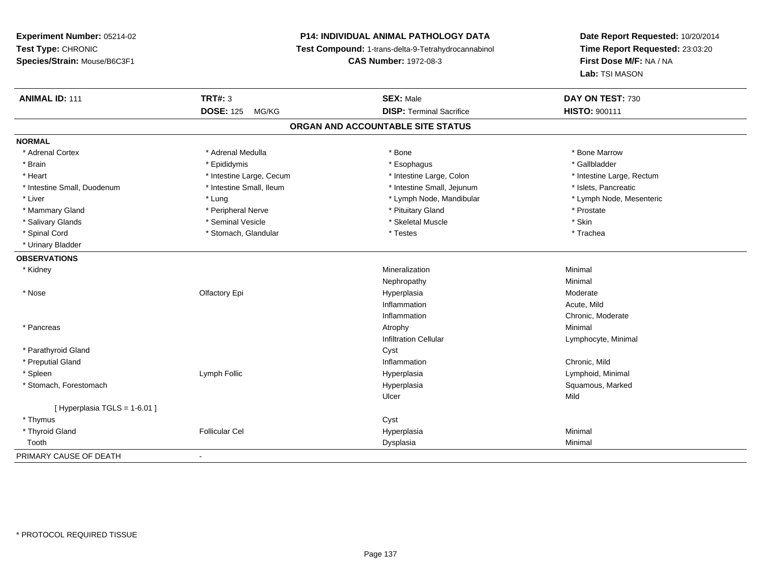# **P14: INDIVIDUAL ANIMAL PATHOLOGY DATA**

**Test Compound:** 1-trans-delta-9-Tetrahydrocannabinol

**CAS Number:** 1972-08-3

| <b>ANIMAL ID: 111</b>         | <b>TRT#: 3</b>            | <b>SEX: Male</b>                  | DAY ON TEST: 730          |
|-------------------------------|---------------------------|-----------------------------------|---------------------------|
|                               | <b>DOSE: 125</b><br>MG/KG | <b>DISP: Terminal Sacrifice</b>   | <b>HISTO: 900111</b>      |
|                               |                           | ORGAN AND ACCOUNTABLE SITE STATUS |                           |
| <b>NORMAL</b>                 |                           |                                   |                           |
| * Adrenal Cortex              | * Adrenal Medulla         | * Bone                            | * Bone Marrow             |
| * Brain                       | * Epididymis              | * Esophagus                       | * Gallbladder             |
| * Heart                       | * Intestine Large, Cecum  | * Intestine Large, Colon          | * Intestine Large, Rectum |
| * Intestine Small, Duodenum   | * Intestine Small, Ileum  | * Intestine Small, Jejunum        | * Islets, Pancreatic      |
| * Liver                       | * Lung                    | * Lymph Node, Mandibular          | * Lymph Node, Mesenteric  |
| * Mammary Gland               | * Peripheral Nerve        | * Pituitary Gland                 | * Prostate                |
| * Salivary Glands             | * Seminal Vesicle         | * Skeletal Muscle                 | * Skin                    |
| * Spinal Cord                 | * Stomach, Glandular      | * Testes                          | * Trachea                 |
| * Urinary Bladder             |                           |                                   |                           |
| <b>OBSERVATIONS</b>           |                           |                                   |                           |
| * Kidney                      |                           | Mineralization                    | Minimal                   |
|                               |                           | Nephropathy                       | Minimal                   |
| * Nose                        | Olfactory Epi             | Hyperplasia                       | Moderate                  |
|                               |                           | Inflammation                      | Acute, Mild               |
|                               |                           | Inflammation                      | Chronic, Moderate         |
| * Pancreas                    |                           | Atrophy                           | Minimal                   |
|                               |                           | <b>Infiltration Cellular</b>      | Lymphocyte, Minimal       |
| * Parathyroid Gland           |                           | Cyst                              |                           |
| * Preputial Gland             |                           | Inflammation                      | Chronic, Mild             |
| * Spleen                      | Lymph Follic              | Hyperplasia                       | Lymphoid, Minimal         |
| * Stomach, Forestomach        |                           | Hyperplasia                       | Squamous, Marked          |
|                               |                           | Ulcer                             | Mild                      |
| [ Hyperplasia TGLS = 1-6.01 ] |                           |                                   |                           |
| * Thymus                      |                           | Cyst                              |                           |
| * Thyroid Gland               | <b>Follicular Cel</b>     | Hyperplasia                       | Minimal                   |
| Tooth                         |                           | Dysplasia                         | Minimal                   |
| PRIMARY CAUSE OF DEATH        | $\blacksquare$            |                                   |                           |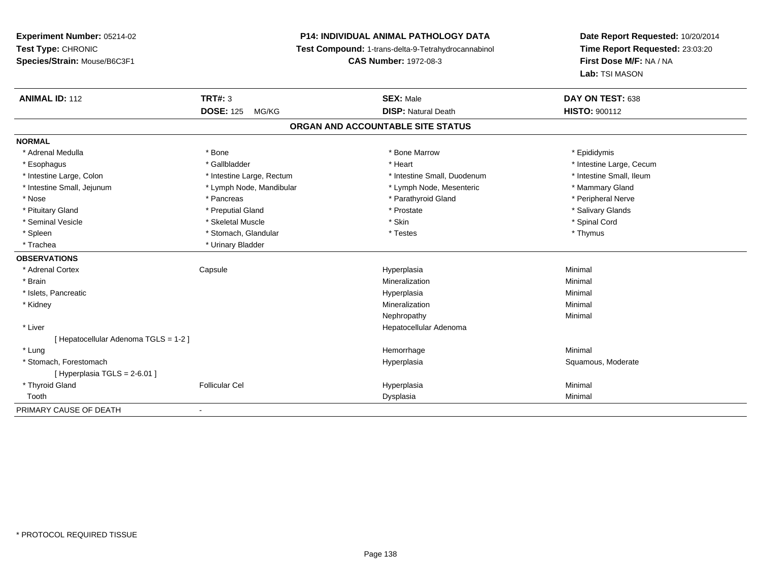# **P14: INDIVIDUAL ANIMAL PATHOLOGY DATA**

**Test Compound:** 1-trans-delta-9-Tetrahydrocannabinol

**CAS Number:** 1972-08-3

| <b>ANIMAL ID: 112</b>               | <b>TRT#: 3</b>            | <b>SEX: Male</b>                  | DAY ON TEST: 638         |
|-------------------------------------|---------------------------|-----------------------------------|--------------------------|
|                                     | <b>DOSE: 125</b><br>MG/KG | <b>DISP: Natural Death</b>        | <b>HISTO: 900112</b>     |
|                                     |                           | ORGAN AND ACCOUNTABLE SITE STATUS |                          |
| <b>NORMAL</b>                       |                           |                                   |                          |
| * Adrenal Medulla                   | * Bone                    | * Bone Marrow                     | * Epididymis             |
| * Esophagus                         | * Gallbladder             | * Heart                           | * Intestine Large, Cecum |
| * Intestine Large, Colon            | * Intestine Large, Rectum | * Intestine Small, Duodenum       | * Intestine Small, Ileum |
| * Intestine Small, Jejunum          | * Lymph Node, Mandibular  | * Lymph Node, Mesenteric          | * Mammary Gland          |
| * Nose                              | * Pancreas                | * Parathyroid Gland               | * Peripheral Nerve       |
| * Pituitary Gland                   | * Preputial Gland         | * Prostate                        | * Salivary Glands        |
| * Seminal Vesicle                   | * Skeletal Muscle         | * Skin                            | * Spinal Cord            |
| * Spleen                            | * Stomach, Glandular      | * Testes                          | * Thymus                 |
| * Trachea                           | * Urinary Bladder         |                                   |                          |
| <b>OBSERVATIONS</b>                 |                           |                                   |                          |
| * Adrenal Cortex                    | Capsule                   | Hyperplasia                       | Minimal                  |
| * Brain                             |                           | Mineralization                    | Minimal                  |
| * Islets, Pancreatic                |                           | Hyperplasia                       | Minimal                  |
| * Kidney                            |                           | Mineralization                    | Minimal                  |
|                                     |                           | Nephropathy                       | Minimal                  |
| * Liver                             |                           | Hepatocellular Adenoma            |                          |
| [Hepatocellular Adenoma TGLS = 1-2] |                           |                                   |                          |
| * Lung                              |                           | Hemorrhage                        | Minimal                  |
| * Stomach, Forestomach              |                           | Hyperplasia                       | Squamous, Moderate       |
| [Hyperplasia TGLS = 2-6.01]         |                           |                                   |                          |
| * Thyroid Gland                     | <b>Follicular Cel</b>     | Hyperplasia                       | Minimal                  |
| Tooth                               |                           | Dysplasia                         | Minimal                  |
| PRIMARY CAUSE OF DEATH              |                           |                                   |                          |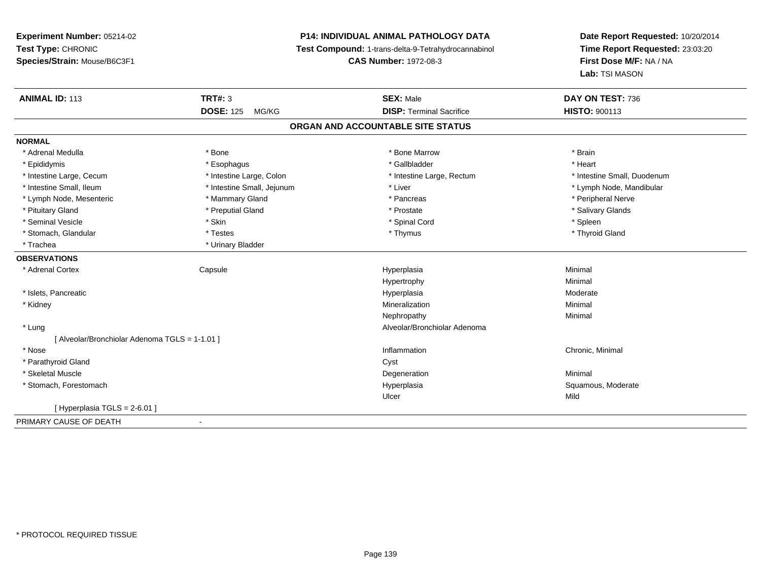**Experiment Number:** 05214-02**Test Type:** CHRONIC **Species/Strain:** Mouse/B6C3F1**P14: INDIVIDUAL ANIMAL PATHOLOGY DATA Test Compound:** 1-trans-delta-9-Tetrahydrocannabinol **CAS Number:** 1972-08-3**Date Report Requested:** 10/20/2014**Time Report Requested:** 23:03:20**First Dose M/F:** NA / NA**Lab:** TSI MASON**ANIMAL ID:** 113**TRT#:** 3 **SEX:** Male **DAY ON TEST:** 736 **DOSE:** 125 MG/KG**DISP:** Terminal Sacrifice **HISTO:** 900113 **ORGAN AND ACCOUNTABLE SITE STATUSNORMAL**\* Adrenal Medulla \* \* Annual Medulla \* Brain \* Bone \* \* Bone Marrow \* Bone Marrow \* \* Brain \* Brain \* Brain \* Brain \* Brain \* Brain \* Brain \* Brain \* Brain \* Brain \* Brain \* Brain \* Brain \* Brain \* Brain \* Brain \* Brain \* \* Heart \* Epididymis \* Esophagus \* Gallbladder \* Heart\* Intestine Large, Cecum \* Intestine Large, Colon \* Intestine Large, Rectum \* Intestine Small, Duodenum \* Intestine Small, Ileum \* \* Thestine Small, Jejunum \* Liver \* Liver \* Liver \* Thestine Small, Nejunum \* Lymph Node, Mandibular \* Lymph Node, Mesenteric \* \* Mammary Gland \* Mammary Gland \* Pancreas \* Peripheral Nerve \* Salivary Glands \* Pituitary Gland \* \* Then the state \* Preputial Gland \* Prosection \* Prostate \* \* Salivary Glands \* Salivary Glands \* Salivary Glands \* Salivary Glands \* Salivary Glands \* Salivary Glands \* Salivary Glands \* Salivary Glan \* Seminal Vesicle \* Skin \* Spinal Cord \* Spleen \* Thyroid Gland \* Stomach, Glandular \* Testes \* Thymus \* Thymus \* Thymus \* Thymus \* Thymus \* Thymus \* Thymus \* Thymus \* Thymus \* Trachea **\*** Urinary Bladder **OBSERVATIONS** \* Adrenal Cortex Capsule Hyperplasia Minimal Hypertrophyy the contract of the Minimal Minimal Section 1996 and the contract of the Minimal Section 1997 and the contract of the contract of the contract of the contract of the contract of the contract of the contract of the contra \* Islets, Pancreaticc description of the control of the control of the control of the control of the control of the control of the control of the control of the control of the control of the control of the control of the control of the contro Hyperplasia eta alderate eta alderate eta alderate eta alderate eta alderate eta alderate eta alderate \* Kidneyy with the control of the control of the control of the control of the control of the control of the control of the control of the control of the control of the control of the control of the control of the control of the c n Minimal Nephropathyy the contract of the Minimal Minimal Section 1996 and the contract of the Minimal Section 1997 and the contract of the contract of the contract of the contract of the contract of the contract of the contract of the contra \* Lung Alveolar/Bronchiolar Adenoma [ Alveolar/Bronchiolar Adenoma TGLS = 1-1.01 ] \* Nosee inflammation control of the control of the control of the control of the control of the control of the control of the control of the control of the control of the control of the control of the control of the control of t \* Parathyroid Glandd Cyst \* Skeletal Musclee de la controllata de la controllata de la controllata de la controllata de la controllata de la controllata d<br>Degeneration \* Stomach, Forestomachh ann an t-ìre ann am Suid-Africa ann an t-ìre ann am Mhore anns an Suid-Africa ann an Suid-Africa ann an Suid-Ulcerr Mild  $[$  Hyperplasia TGLS = 2-6.01 ] PRIMARY CAUSE OF DEATH-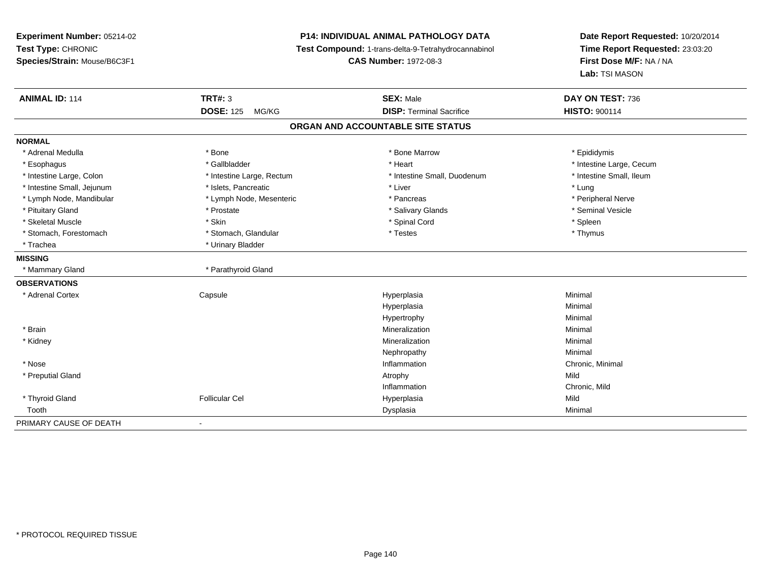**Experiment Number:** 05214-02**Test Type:** CHRONIC **Species/Strain:** Mouse/B6C3F1**P14: INDIVIDUAL ANIMAL PATHOLOGY DATA Test Compound:** 1-trans-delta-9-Tetrahydrocannabinol **CAS Number:** 1972-08-3**Date Report Requested:** 10/20/2014**Time Report Requested:** 23:03:20**First Dose M/F:** NA / NA**Lab:** TSI MASON**ANIMAL ID:** 114 **TRT#:** <sup>3</sup> **SEX:** Male **DAY ON TEST:** <sup>736</sup> **DOSE:** 125 MG/KG**DISP:** Terminal Sacrifice **HISTO:** 900114 **ORGAN AND ACCOUNTABLE SITE STATUSNORMAL**\* Adrenal Medulla \* Adrenal Medulla \* \* The matter of the state of the state of the Marrow \* Bone Marrow \* Adrenal Medulla \* Epididymis \* Epididymis \* Bone Marrow \* Adrenal Medulla \* Epididymis \* Epididymis \* Epididymis \* Epididymis \* Epidi \* Esophagus \* https://www.fragustage.com/web/2019/heart \* Heart \* Heart \* Heart \* Intestine Large, Cecum \* Intestine Large, Cecum \* Gallbladder \* Callbladder \* 11 and 12 and 12 and 12 and 12 and 12 and 12 and 12 and 12 and \* Intestine Small, Ileum \* Intestine Large, Colon \* Intestine Large, Rectum \* Intestine Small, Duodenum \* Intestine Small, Duodenum \* Intestine Small, Jejunum \* 1997 \* The state of the state of the state of the state of the state of the state  $*$  Lung \* Peripheral Nerve \* Lymph Node, Mandibular \* Lymph Node, Mesenteric \* Pancreas \* Pancreas \* Pancreas \* Pancreas \* Pancreas \* Pancreal Nerve \* Seminal Vesicle \* Pituitary Gland \* \* \* \* Prostate \* \* Prostate \* \* Salivary Glands \* \* Salivary Glands \* \* Seminal Vesicle \* Skeletal Muscle \* Skin \* Spinal Cord \* Spleen \* Thymus \* Stomach, Forestomach \* Testes \* Stomach, Glandular \* Testes \* Testes \* Testes \* Testes \* Testes \* Testes \* T \* Trachea \* Urinary Bladder**MISSING**\* Mammary Gland \* Parathyroid Gland **OBSERVATIONS** \* Adrenal Cortex Capsule Hyperplasia Minimal Hyperplasiaa **Minimal** Hypertrophyy the contract of the Minimal Minimal Section 1, 1986, 1987, 1988, 1988, 1988, 1988, 1988, 1988, 198 \* Brainn and the controller of the controller of the controller of the Minimal Mineralization and the controller of the Minimal Minimal  $\alpha$  \* Kidneyy with the control of the control of the control of the control of the control of the control of the control of the control of the control of the control of the control of the control of the control of the control of the c n Minimal Nephropathyy the contract of the Minimal Minimal Section 1996 and the contract of the Minimal Section 1997 and the contract of the contract of the contract of the contract of the contract of the contract of the contract of the contra \* Nosee the contraction of the contraction of the contraction of the contraction of the chronic, Minimal on the chronic, Minimal or  $\mathbb{R}^n$  \* Preputial Glandd and the control of the control of the control of the control of the control of the control of the control of  $\lambda$ InflammationInflammation **Example 2** Chronic, Mild<br>
Hyperplasia<br>
Mild \* Thyroid Gland Follicular Cel Hyperplasia Mild Toothh ann an Chomas ann an t-ainmeile ann an t-ainmeile ann an Dysplasia. Tha an t-ainmeile ann an Dysplasia ann an Dysplasia ann an t-ainmeile an an t-ainmeile ann an t-ainmeile an an t-ainmeile ann an t-ainmeile ann an t-ain PRIMARY CAUSE OF DEATH-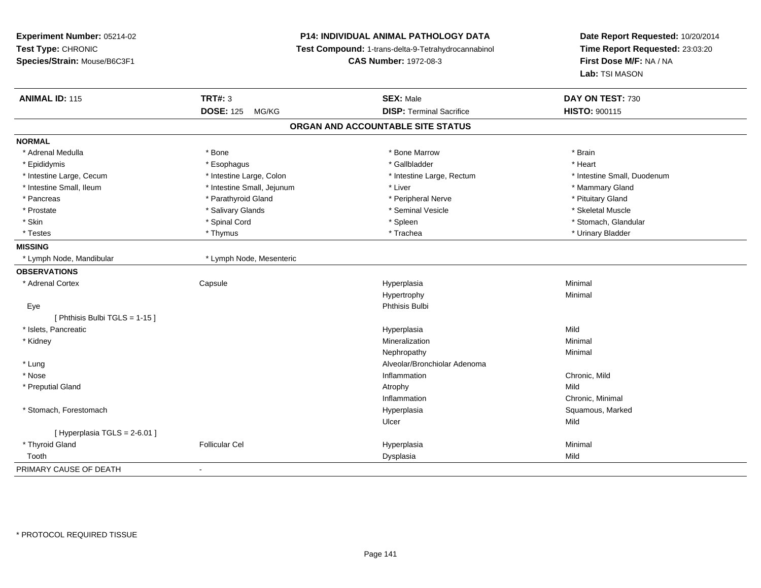**Experiment Number:** 05214-02**Test Type:** CHRONIC **Species/Strain:** Mouse/B6C3F1**P14: INDIVIDUAL ANIMAL PATHOLOGY DATA Test Compound:** 1-trans-delta-9-Tetrahydrocannabinol **CAS Number:** 1972-08-3**Date Report Requested:** 10/20/2014**Time Report Requested:** 23:03:20**First Dose M/F:** NA / NA**Lab:** TSI MASON**ANIMAL ID:** 115**TRT#:** 3 **SEX:** Male **DAY ON TEST:** 730 **DOSE:** 125 MG/KG**DISP:** Terminal Sacrifice **HISTO:** 900115 **ORGAN AND ACCOUNTABLE SITE STATUSNORMAL**\* Adrenal Medulla \* \* Annual Medulla \* Brain \* Bone \* \* Bone Marrow \* Bone Marrow \* \* Brain \* Brain \* Brain \* Brain \* Brain \* Brain \* Brain \* Brain \* Brain \* Brain \* Brain \* Brain \* Brain \* Brain \* Brain \* Brain \* Brain \* \* Heart \* Epididymis \* Esophagus \* Gallbladder \* Heart \* Intestine Large, Cecum \* Intestine Large, Colon \* Intestine Large, Rectum \* Intestine Small, Duodenum \* Intestine Small, Ileum \* Intestine Small, Jejunum \* Liver \* Mammary Gland\* Pancreas \* Parathyroid Gland \* Parathyroid Gland \* Peripheral Nerve \* Peripheral Nerve \* Pituitary Gland \* Skeletal Muscle \* Prostate \* \* Skeletal Muscle \* \* Salivary Glands \* \* Steminal Vesicle \* \* Seminal Vesicle \* \* Skeletal Muscle \* Stomach. Glandular \* Skin \* Stomach, Glandular \* Spinal Cord \* \* Stomach, Stomach, Glandular \* Spinal Cord \* \* Stomach, Glandular \* Testes \* Thymus \* Trachea \* Urinary Bladder **MISSING**\* Lymph Node, Mandibular \* Lymph Node, Mesenteric **OBSERVATIONS** \* Adrenal Cortex**Capsule**  Hyperplasia Minimal Hypertrophyy the contract of the Minimal Minimal Section 1, 1986, 1987, 1988, 1988, 1988, 1988, 1988, 1988, 198 Eyee and the state of the state of the state of the state of the state of the state of the state of the state of the state of the state of the state of the state of the state of the state of the state of the state of the stat [ Phthisis Bulbi TGLS = 1-15 ] \* Islets, Pancreaticc and the control of the control of the control of the control of the control of the control of the control of the control of the control of the control of the control of the control of the control of the control of the co a Mild \* Kidneyy with the control of the control of the control of the control of the control of the control of the control of the control of the control of the control of the control of the control of the control of the control of the c n Minimal Nephropathyy the contract of the Minimal Minimal Section 1996 and the contract of the Minimal Section 1997 and the contract of the contract of the contract of the contract of the contract of the contract of the contract of the contra \* LungAlveolar/Bronchiolar Adenoma<br>Inflammation \* Nosee and the contract of the contract of the contract of the contract of the contract of the chronic, Mild and the chronic, Mild and the chronic, Mild and the chronic state of the chronic state of the chronic state of the chr \* Preputial Glandd and the control of the control of the control of the control of the control of the control of the control of  $\lambda$ Inflammation Chronic, Minimal \* Stomach, Forestomachh ann an t-aisiad ann am Suid-Africa ann an Suid-Africa ann an Suid-Africa ann an Suid-Africa ann an Suid-Africa ann an Suid-Africa ann an Suid-Africa ann an Suid-Africa ann an Suid-Africa ann an Suid-Africa ann an Suid-Af Ulcerr **Mild**  $[$  Hyperplasia TGLS = 2-6.01 ] \* Thyroid Gland Follicular Cel Hyperplasia Minimal Toothh ann an t-Iomraid ann an t-Iomraid ann an t-Iomraid ann an t-Iomraid ann an t-Iomraid ann an t-Iomraid ann an<br>Iomraid an t-Iomraid ann an t-Iomraid ann an t-Iomraid ann an t-Iomraid ann an t-Iomraid ann an t-Iomraid ann PRIMARY CAUSE OF DEATH-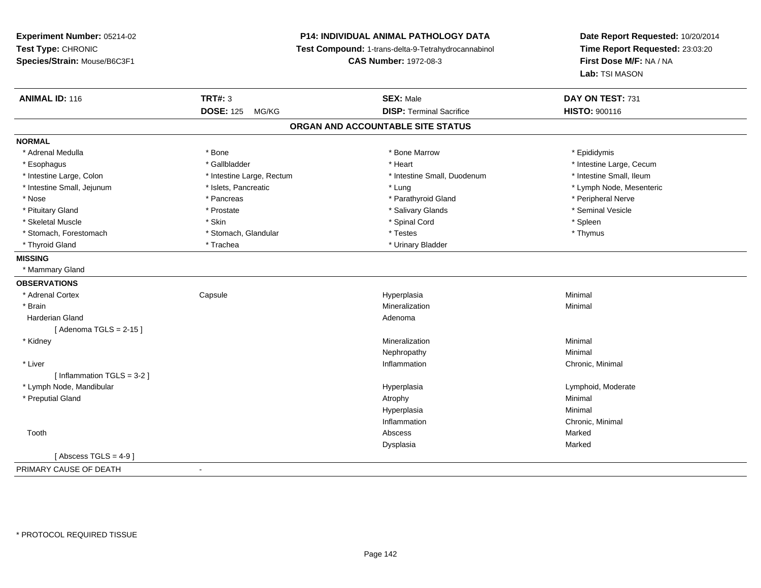# **P14: INDIVIDUAL ANIMAL PATHOLOGY DATA**

**Test Compound:** 1-trans-delta-9-Tetrahydrocannabinol

**CAS Number:** 1972-08-3

| <b>ANIMAL ID: 116</b>        | <b>TRT#: 3</b>            | <b>SEX: Male</b>                  | DAY ON TEST: 731         |  |
|------------------------------|---------------------------|-----------------------------------|--------------------------|--|
|                              | <b>DOSE: 125</b><br>MG/KG | <b>DISP: Terminal Sacrifice</b>   | HISTO: 900116            |  |
|                              |                           | ORGAN AND ACCOUNTABLE SITE STATUS |                          |  |
| <b>NORMAL</b>                |                           |                                   |                          |  |
| * Adrenal Medulla            | * Bone                    | * Bone Marrow                     | * Epididymis             |  |
| * Esophagus                  | * Gallbladder             | * Heart                           | * Intestine Large, Cecum |  |
| * Intestine Large, Colon     | * Intestine Large, Rectum | * Intestine Small, Duodenum       | * Intestine Small, Ileum |  |
| * Intestine Small, Jejunum   | * Islets, Pancreatic      | * Lung                            | * Lymph Node, Mesenteric |  |
| * Nose                       | * Pancreas                | * Parathyroid Gland               | * Peripheral Nerve       |  |
| * Pituitary Gland            | * Prostate                | * Salivary Glands                 | * Seminal Vesicle        |  |
| * Skeletal Muscle            | * Skin                    | * Spinal Cord                     | * Spleen                 |  |
| * Stomach, Forestomach       | * Stomach, Glandular      | * Testes                          | * Thymus                 |  |
| * Thyroid Gland              | * Trachea                 | * Urinary Bladder                 |                          |  |
| <b>MISSING</b>               |                           |                                   |                          |  |
| * Mammary Gland              |                           |                                   |                          |  |
| <b>OBSERVATIONS</b>          |                           |                                   |                          |  |
| * Adrenal Cortex             | Capsule                   | Hyperplasia                       | Minimal                  |  |
| * Brain                      |                           | Mineralization                    | Minimal                  |  |
| Harderian Gland              |                           | Adenoma                           |                          |  |
| [Adenoma TGLS = $2-15$ ]     |                           |                                   |                          |  |
| * Kidney                     |                           | Mineralization                    | Minimal                  |  |
|                              |                           | Nephropathy                       | Minimal                  |  |
| * Liver                      |                           | Inflammation                      | Chronic, Minimal         |  |
| [Inflammation TGLS = $3-2$ ] |                           |                                   |                          |  |
| * Lymph Node, Mandibular     |                           | Hyperplasia                       | Lymphoid, Moderate       |  |
| * Preputial Gland            |                           | Atrophy                           | Minimal                  |  |
|                              |                           | Hyperplasia                       | Minimal                  |  |
|                              |                           | Inflammation                      | Chronic, Minimal         |  |
| Tooth                        |                           | Abscess                           | Marked                   |  |
|                              |                           | Dysplasia                         | Marked                   |  |
| [Abscess TGLS = $4-9$ ]      |                           |                                   |                          |  |
| PRIMARY CAUSE OF DEATH       | $\blacksquare$            |                                   |                          |  |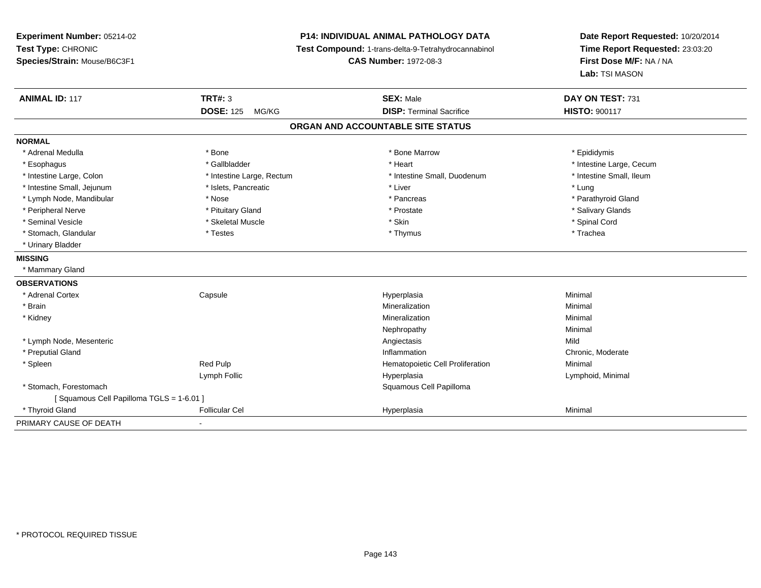**Experiment Number:** 05214-02**Test Type:** CHRONIC **Species/Strain:** Mouse/B6C3F1**P14: INDIVIDUAL ANIMAL PATHOLOGY DATA Test Compound:** 1-trans-delta-9-Tetrahydrocannabinol **CAS Number:** 1972-08-3**Date Report Requested:** 10/20/2014**Time Report Requested:** 23:03:20**First Dose M/F:** NA / NA**Lab:** TSI MASON**ANIMAL ID:** 117 **TRT#:** <sup>3</sup> **SEX:** Male **DAY ON TEST:** <sup>731</sup> **DOSE:** 125 MG/KG**DISP:** Terminal Sacrifice **HISTO:** 900117 **ORGAN AND ACCOUNTABLE SITE STATUSNORMAL**\* Adrenal Medulla \* Adrenal Medulla \* \* The matter of the state of the state of the Marrow \* Bone Marrow \* Adrenal Medulla \* Epididymis \* Epididymis \* Bone Marrow \* Adrenal Medulla \* Epididymis \* Epididymis \* Epididymis \* Epididymis \* Epidi \* Esophagus \* https://www.fragustage.com/web/2019/heart \* Heart \* Heart \* Heart \* Intestine Large, Cecum \* Intestine Large, Cecum \* Gallbladder \* Callbladder \* 11 and 12 and 12 and 12 and 12 and 12 and 12 and 12 and 12 and \* Intestine Small, Ileum \* Intestine Large, Colon \* Intestine Large, Rectum \* Intestine Small, Duodenum \* Intestine Small, Duodenum \* Intestine Small, Jejunum \* 1997 \* The state of the state of the state of the state of the state of the state  $\sim$  \* Lung \* Lung \* Lung \* Lung \* Lung \* Lung \* Lung \* Lung \* Lung \* Lung \* Lung \* Lung \* Lung \* Lung \* Lung \* \* Parathyroid Gland \* Lymph Node, Mandibular \* Nose \* Pancreas \* Pancreas \* Pancreas \* Pancreas \* Pancreas \* Pancreas \* Pancreas \* Pancreas \* Pancreas \* Pancreas \* Pancreas \* Pancreas \* Pancreas \* Pancreas \* Pancreas \* Pancreas \* Pancreas \* P \* Peripheral Nerve \* \* And the state \* Pituitary Gland \* Prosection \* Prostate \* Prostate \* Salivary Glands \* Salivary Glands \* Salivary Glands \* Salivary Glands \* Salivary Glands \* Salivary Glands \* Salivary Glands \* Sali \* Seminal Vesicle \* \* Spinal Cord \* Skeletal Muscle \* \* Skin \* \* Skin \* \* Spinal Vesicle \* Spinal Cord \* Spinal Cord \* Stomach, Glandular \* Trachea \* Testes \* Thymus \* Thymus \* Thymus \* Thymus \* Trachea \* Trachea \* Urinary Bladder**MISSING** \* Mammary Gland**OBSERVATIONS** \* Adrenal Cortex Capsule Hyperplasia Minimal \* Brainn and the controller of the controller of the controller of the Minimal Mineralization and the controller of the Minimal Minimal  $\alpha$  \* Kidneyy with the control of the control of the control of the control of the control of the control of the control of the control of the control of the control of the control of the control of the control of the control of the c n Minimal Nephropathyy the contract of the Minimal Minimal Section 1996 and the contract of the Minimal Section 1997 and the contract of the contract of the contract of the contract of the contract of the contract of the contract of the contra \* Lymph Node, Mesenteric Angiectasis MildChronic. Moderate \* Preputial Gland Inflammation Chronic, Moderate \* SpleenRed Pulp **Minimal Hematopoietic Cell Proliferation Minimal** Lymph Follic Hyperplasia Lymphoid, Minimal \* Stomach, Forestomach Squamous Cell Papilloma [ Squamous Cell Papilloma TGLS = 1-6.01 ] \* Thyroid Gland Follicular Cel Hyperplasia Minimal PRIMARY CAUSE OF DEATH-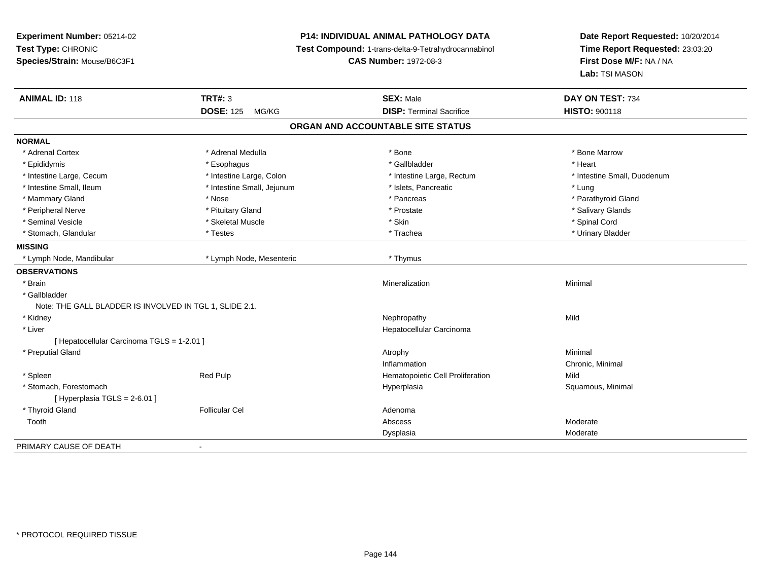**Experiment Number:** 05214-02**Test Type:** CHRONIC **Species/Strain:** Mouse/B6C3F1**P14: INDIVIDUAL ANIMAL PATHOLOGY DATA Test Compound:** 1-trans-delta-9-Tetrahydrocannabinol **CAS Number:** 1972-08-3**Date Report Requested:** 10/20/2014**Time Report Requested:** 23:03:20**First Dose M/F:** NA / NA**Lab:** TSI MASON**ANIMAL ID:** 118**TRT#:** 3 **SEX:** Male **DAY ON TEST:** 734 **DOSE:** 125 MG/KG**DISP:** Terminal Sacrifice **HISTO:** 900118 **ORGAN AND ACCOUNTABLE SITE STATUSNORMAL**\* Adrenal Cortex \* Adrenal Medulla \* Adrenal Medulla \* Bone \* Bone \* Bone \* Bone \* Bone Marrow \* Epididymis \* Esophagus \* Gallbladder \* Heart \* Intestine Large, Cecum \* Intestine Large, Colon \* Intestine Large, Rectum \* Intestine Small, Duodenum\* Intestine Small, Ileum \* https://www.fatheratic \* Lung \* Intestine Small, Jejunum \* Islets, Pancreatic \* Lung \* Lung \* Parathyroid Gland \* Mammary Gland \* \* Nose \* \* Nose \* \* Pancreas \* Pancreas \* \* Pancreas \* \* Pancreas \* \* Pancreas \* \* Parathyroid Gland \* Peripheral Nerve \* \* And the state \* Pituitary Gland \* Prosection \* Prostate \* Prostate \* Salivary Glands \* Salivary Glands \* Salivary Glands \* Salivary Glands \* Salivary Glands \* Salivary Glands \* Salivary Glands \* Sali \* Seminal Vesicle \* \* Spinal Cord \* Skeletal Muscle \* \* Skin \* \* Skin \* \* Spinal Vesicle \* Spinal Cord \* Spinal Cord \* Urinary Bladder \* Stomach, Glandular \* \* \* Testes \* \* Testes \* \* Testes \* \* Trachea \* \* Trachea \* \* Urinary Bladder \* \* Urinary Bladder **MISSING**\* Lymph Node, Mandibular \* Lymph Node, Mesenteric \* Thymus **OBSERVATIONS** \* Brainn and the controller of the controller of the controller of the Minimal Mineralization and the controller of the Minimal Minimal  $\alpha$  \* GallbladderNote: THE GALL BLADDER IS INVOLVED IN TGL 1, SLIDE 2.1. \* Kidneyy the controller of the controller of the controller of the controller of the controller of the controller of the controller of the controller of the controller of the controller of the controller of the controller of the \* Liver Hepatocellular Carcinoma[ Hepatocellular Carcinoma TGLS = 1-2.01 ] \* Preputial Glandd and the control of the control of the control of the control of the control of the control of the control of  $\lambda$ Inflammation Chronic, Minimal \* SpleenRed Pulp **Red Pulp Setting Controller Cell Proliferation** Mild Mild<br>Hyperplasia Hyperplasia Mild Squamous, Minimal \* Stomach, Forestomachh anns an t-aiste anns an t-aiste anns an t-aiste anns an t-aiste anns an t-aiste anns an t-aiste anns an t-aiste an t-aiste anns an t-aiste an t-aiste anns an t-aiste anns an t-aiste anns an t-aiste anns an t-aiste anns a  $[$  Hyperplasia TGLS = 2-6.01 ] \* Thyroid Glandd and the set of the Follicular Cel the set of the South Adenomal Adenomal Adenomal Solution of the South Adenomal Solution of the South Adenomal Solution of the South Adenomal Solution of the South Adenomal Solution of th Toothh and the control of the control of the control of the control of the control of the control of the control of the control of the control of the control of the control of the control of the control of the control of the co Dysplasiaa Moderate PRIMARY CAUSE OF DEATH-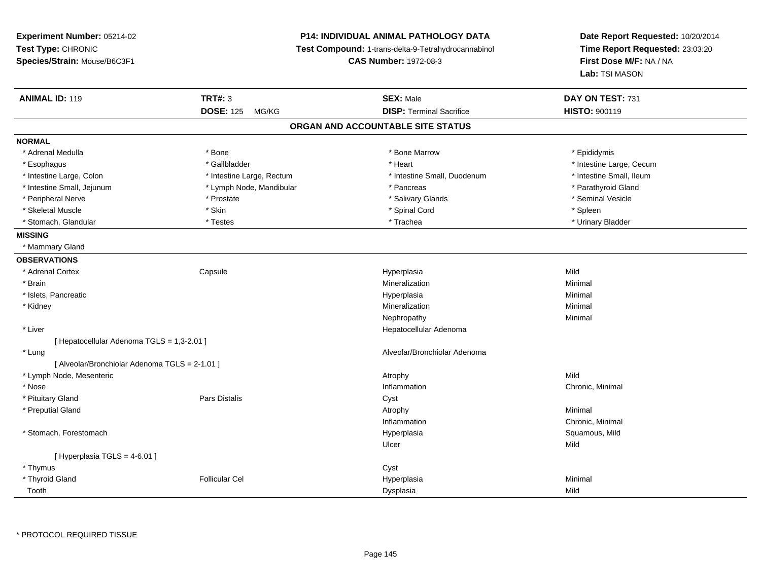| Experiment Number: 05214-02                    |                           | <b>P14: INDIVIDUAL ANIMAL PATHOLOGY DATA</b>        | Date Report Requested: 10/20/2014<br>Time Report Requested: 23:03:20 |  |
|------------------------------------------------|---------------------------|-----------------------------------------------------|----------------------------------------------------------------------|--|
| Test Type: CHRONIC                             |                           | Test Compound: 1-trans-delta-9-Tetrahydrocannabinol |                                                                      |  |
| Species/Strain: Mouse/B6C3F1                   |                           | <b>CAS Number: 1972-08-3</b>                        | First Dose M/F: NA / NA                                              |  |
|                                                |                           |                                                     | Lab: TSI MASON                                                       |  |
| <b>ANIMAL ID: 119</b>                          | <b>TRT#: 3</b>            | <b>SEX: Male</b>                                    | DAY ON TEST: 731                                                     |  |
|                                                | <b>DOSE: 125</b><br>MG/KG | <b>DISP: Terminal Sacrifice</b>                     | HISTO: 900119                                                        |  |
|                                                |                           | ORGAN AND ACCOUNTABLE SITE STATUS                   |                                                                      |  |
| <b>NORMAL</b>                                  |                           |                                                     |                                                                      |  |
| * Adrenal Medulla                              | * Bone                    | * Bone Marrow                                       | * Epididymis                                                         |  |
| * Esophagus                                    | * Gallbladder             | * Heart                                             | * Intestine Large, Cecum                                             |  |
| * Intestine Large, Colon                       | * Intestine Large, Rectum | * Intestine Small, Duodenum                         | * Intestine Small, Ileum                                             |  |
| * Intestine Small, Jejunum                     | * Lymph Node, Mandibular  | * Pancreas                                          | * Parathyroid Gland                                                  |  |
| * Peripheral Nerve                             | * Prostate                | * Salivary Glands                                   | * Seminal Vesicle                                                    |  |
| * Skeletal Muscle                              | * Skin                    | * Spinal Cord                                       | * Spleen                                                             |  |
| * Stomach, Glandular                           | * Testes                  | * Trachea                                           | * Urinary Bladder                                                    |  |
| <b>MISSING</b>                                 |                           |                                                     |                                                                      |  |
| * Mammary Gland                                |                           |                                                     |                                                                      |  |
| <b>OBSERVATIONS</b>                            |                           |                                                     |                                                                      |  |
| * Adrenal Cortex                               | Capsule                   | Hyperplasia                                         | Mild                                                                 |  |
| * Brain                                        |                           | Mineralization                                      | Minimal                                                              |  |
| * Islets, Pancreatic                           |                           | Hyperplasia                                         | Minimal                                                              |  |
| * Kidney                                       |                           | Mineralization                                      | Minimal                                                              |  |
|                                                |                           | Nephropathy                                         | Minimal                                                              |  |
| * Liver                                        |                           | Hepatocellular Adenoma                              |                                                                      |  |
| [ Hepatocellular Adenoma TGLS = 1,3-2.01 ]     |                           |                                                     |                                                                      |  |
| * Lung                                         |                           | Alveolar/Bronchiolar Adenoma                        |                                                                      |  |
| [ Alveolar/Bronchiolar Adenoma TGLS = 2-1.01 ] |                           |                                                     |                                                                      |  |
| * Lymph Node, Mesenteric                       |                           | Atrophy                                             | Mild                                                                 |  |
| * Nose                                         |                           | Inflammation                                        | Chronic, Minimal                                                     |  |
| * Pituitary Gland                              | <b>Pars Distalis</b>      | Cyst                                                |                                                                      |  |
| * Preputial Gland                              |                           | Atrophy                                             | Minimal                                                              |  |
|                                                |                           | Inflammation                                        | Chronic, Minimal                                                     |  |
| * Stomach, Forestomach                         |                           | Hyperplasia                                         | Squamous, Mild                                                       |  |
|                                                |                           | Ulcer                                               | Mild                                                                 |  |
| [ Hyperplasia TGLS = 4-6.01 ]                  |                           |                                                     |                                                                      |  |
| * Thymus                                       |                           | Cyst                                                |                                                                      |  |
| * Thyroid Gland                                | <b>Follicular Cel</b>     | Hyperplasia                                         | Minimal                                                              |  |
| Tooth                                          |                           | Dysplasia                                           | Mild                                                                 |  |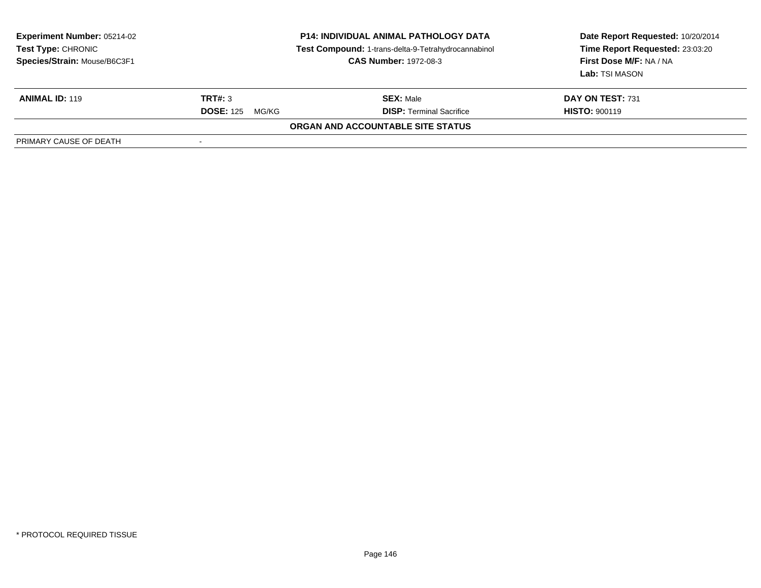| <b>Experiment Number: 05214-02</b><br>Test Type: CHRONIC<br>Species/Strain: Mouse/B6C3F1 | <b>P14: INDIVIDUAL ANIMAL PATHOLOGY DATA</b><br>Test Compound: 1-trans-delta-9-Tetrahydrocannabinol<br><b>CAS Number: 1972-08-3</b> |                                   | Date Report Requested: 10/20/2014<br>Time Report Requested: 23:03:20<br>First Dose M/F: NA / NA<br>Lab: TSI MASON |
|------------------------------------------------------------------------------------------|-------------------------------------------------------------------------------------------------------------------------------------|-----------------------------------|-------------------------------------------------------------------------------------------------------------------|
| <b>ANIMAL ID: 119</b>                                                                    | TRT#: 3                                                                                                                             | <b>SEX: Male</b>                  | <b>DAY ON TEST: 731</b>                                                                                           |
|                                                                                          | <b>DOSE: 125</b><br>MG/KG                                                                                                           | <b>DISP: Terminal Sacrifice</b>   | <b>HISTO: 900119</b>                                                                                              |
|                                                                                          |                                                                                                                                     | ORGAN AND ACCOUNTABLE SITE STATUS |                                                                                                                   |
| PRIMARY CAUSE OF DEATH                                                                   |                                                                                                                                     |                                   |                                                                                                                   |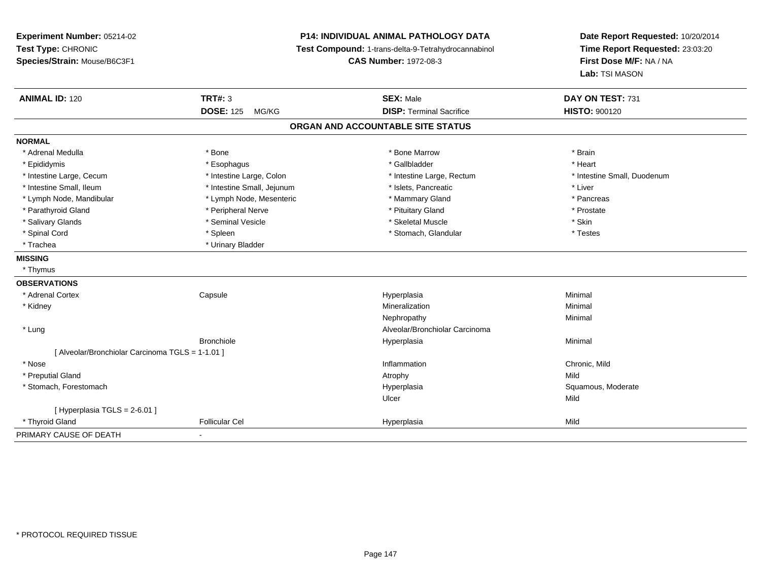| Experiment Number: 05214-02<br>Test Type: CHRONIC<br>Species/Strain: Mouse/B6C3F1 | <b>P14: INDIVIDUAL ANIMAL PATHOLOGY DATA</b><br>Test Compound: 1-trans-delta-9-Tetrahydrocannabinol<br><b>CAS Number: 1972-08-3</b> |                                   | Date Report Requested: 10/20/2014<br>Time Report Requested: 23:03:20<br>First Dose M/F: NA / NA<br>Lab: TSI MASON |
|-----------------------------------------------------------------------------------|-------------------------------------------------------------------------------------------------------------------------------------|-----------------------------------|-------------------------------------------------------------------------------------------------------------------|
| <b>ANIMAL ID: 120</b>                                                             | TRT#: $3$                                                                                                                           | <b>SEX: Male</b>                  | DAY ON TEST: 731                                                                                                  |
|                                                                                   | <b>DOSE: 125</b><br>MG/KG                                                                                                           | <b>DISP: Terminal Sacrifice</b>   | <b>HISTO: 900120</b>                                                                                              |
|                                                                                   |                                                                                                                                     | ORGAN AND ACCOUNTABLE SITE STATUS |                                                                                                                   |
| <b>NORMAL</b>                                                                     |                                                                                                                                     |                                   |                                                                                                                   |
| * Adrenal Medulla                                                                 | * Bone                                                                                                                              | * Bone Marrow                     | * Brain                                                                                                           |
| * Epididymis                                                                      | * Esophagus                                                                                                                         | * Gallbladder                     | * Heart                                                                                                           |
| * Intestine Large, Cecum                                                          | * Intestine Large, Colon                                                                                                            | * Intestine Large, Rectum         | * Intestine Small, Duodenum                                                                                       |
| * Intestine Small, Ileum                                                          | * Intestine Small, Jejunum                                                                                                          | * Islets, Pancreatic              | * Liver                                                                                                           |
| * Lymph Node, Mandibular                                                          | * Lymph Node, Mesenteric                                                                                                            | * Mammary Gland                   | * Pancreas                                                                                                        |
| * Parathyroid Gland                                                               | * Peripheral Nerve                                                                                                                  | * Pituitary Gland                 | * Prostate                                                                                                        |
| * Salivary Glands                                                                 | * Seminal Vesicle                                                                                                                   | * Skeletal Muscle                 | * Skin                                                                                                            |
| * Spinal Cord                                                                     | * Spleen                                                                                                                            | * Stomach, Glandular              | * Testes                                                                                                          |
| * Trachea                                                                         | * Urinary Bladder                                                                                                                   |                                   |                                                                                                                   |
| <b>MISSING</b>                                                                    |                                                                                                                                     |                                   |                                                                                                                   |
| * Thymus                                                                          |                                                                                                                                     |                                   |                                                                                                                   |
| <b>OBSERVATIONS</b>                                                               |                                                                                                                                     |                                   |                                                                                                                   |
| * Adrenal Cortex                                                                  | Capsule                                                                                                                             | Hyperplasia                       | Minimal                                                                                                           |
| * Kidney                                                                          |                                                                                                                                     | Mineralization                    | Minimal                                                                                                           |
|                                                                                   |                                                                                                                                     | Nephropathy                       | Minimal                                                                                                           |
| * Lung                                                                            |                                                                                                                                     | Alveolar/Bronchiolar Carcinoma    |                                                                                                                   |
|                                                                                   | <b>Bronchiole</b>                                                                                                                   | Hyperplasia                       | Minimal                                                                                                           |
| [ Alveolar/Bronchiolar Carcinoma TGLS = 1-1.01 ]                                  |                                                                                                                                     |                                   |                                                                                                                   |
| * Nose                                                                            |                                                                                                                                     | Inflammation                      | Chronic, Mild                                                                                                     |
| * Preputial Gland                                                                 |                                                                                                                                     | Atrophy                           | Mild                                                                                                              |
| * Stomach, Forestomach                                                            |                                                                                                                                     | Hyperplasia                       | Squamous, Moderate                                                                                                |
|                                                                                   |                                                                                                                                     | Ulcer                             | Mild                                                                                                              |
| [ Hyperplasia TGLS = 2-6.01 ]                                                     |                                                                                                                                     |                                   |                                                                                                                   |
| * Thyroid Gland                                                                   | <b>Follicular Cel</b>                                                                                                               | Hyperplasia                       | Mild                                                                                                              |
| PRIMARY CAUSE OF DEATH                                                            |                                                                                                                                     |                                   |                                                                                                                   |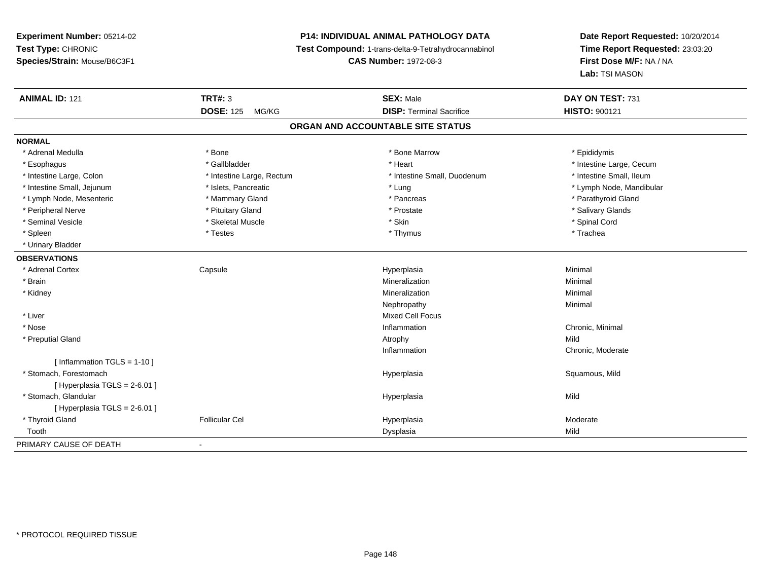# **P14: INDIVIDUAL ANIMAL PATHOLOGY DATA**

**Test Compound:** 1-trans-delta-9-Tetrahydrocannabinol

**CAS Number:** 1972-08-3

| <b>ANIMAL ID: 121</b>          | <b>TRT#: 3</b>            | <b>SEX: Male</b>                  | DAY ON TEST: 731         |  |
|--------------------------------|---------------------------|-----------------------------------|--------------------------|--|
|                                | <b>DOSE: 125</b><br>MG/KG | <b>DISP: Terminal Sacrifice</b>   | <b>HISTO: 900121</b>     |  |
|                                |                           | ORGAN AND ACCOUNTABLE SITE STATUS |                          |  |
| <b>NORMAL</b>                  |                           |                                   |                          |  |
| * Adrenal Medulla              | * Bone                    | * Bone Marrow                     | * Epididymis             |  |
| * Esophagus                    | * Gallbladder             | * Heart                           | * Intestine Large, Cecum |  |
| * Intestine Large, Colon       | * Intestine Large, Rectum | * Intestine Small, Duodenum       | * Intestine Small, Ileum |  |
| * Intestine Small, Jejunum     | * Islets, Pancreatic      | * Lung                            | * Lymph Node, Mandibular |  |
| * Lymph Node, Mesenteric       | * Mammary Gland           | * Pancreas                        | * Parathyroid Gland      |  |
| * Peripheral Nerve             | * Pituitary Gland         | * Prostate                        | * Salivary Glands        |  |
| * Seminal Vesicle              | * Skeletal Muscle         | * Skin                            | * Spinal Cord            |  |
| * Spleen                       | * Testes                  | * Thymus                          | * Trachea                |  |
| * Urinary Bladder              |                           |                                   |                          |  |
| <b>OBSERVATIONS</b>            |                           |                                   |                          |  |
| * Adrenal Cortex               | Capsule                   | Hyperplasia                       | Minimal                  |  |
| * Brain                        |                           | Mineralization                    | Minimal                  |  |
| * Kidney                       |                           | Mineralization                    | Minimal                  |  |
|                                |                           | Nephropathy                       | Minimal                  |  |
| * Liver                        |                           | <b>Mixed Cell Focus</b>           |                          |  |
| * Nose                         |                           | Inflammation                      | Chronic, Minimal         |  |
| * Preputial Gland              |                           | Atrophy                           | Mild                     |  |
|                                |                           | Inflammation                      | Chronic, Moderate        |  |
| [ Inflammation TGLS = $1-10$ ] |                           |                                   |                          |  |
| * Stomach. Forestomach         |                           | Hyperplasia                       | Squamous, Mild           |  |
| [ Hyperplasia TGLS = 2-6.01 ]  |                           |                                   |                          |  |
| * Stomach, Glandular           |                           | Hyperplasia                       | Mild                     |  |
| [Hyperplasia TGLS = 2-6.01]    |                           |                                   |                          |  |
| * Thyroid Gland                | <b>Follicular Cel</b>     | Hyperplasia                       | Moderate                 |  |
| Tooth                          |                           | Dysplasia                         | Mild                     |  |
| PRIMARY CAUSE OF DEATH         | $\overline{\phantom{a}}$  |                                   |                          |  |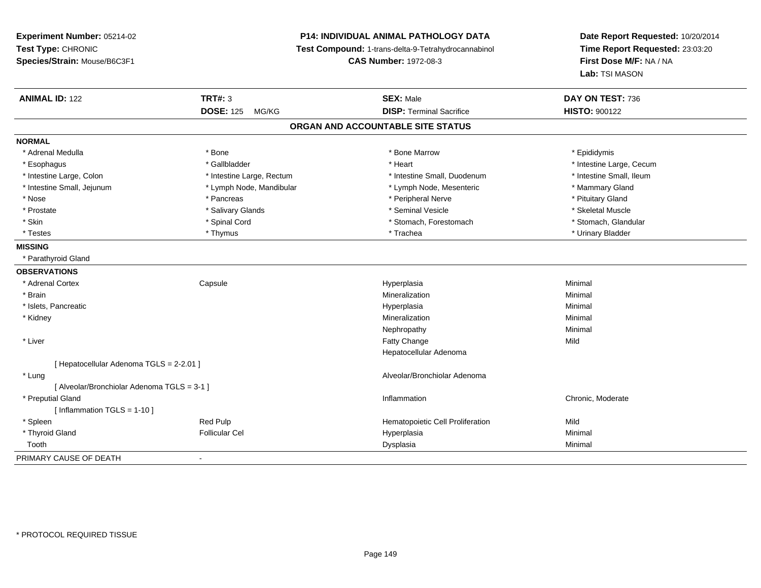## **P14: INDIVIDUAL ANIMAL PATHOLOGY DATA**

**Test Compound:** 1-trans-delta-9-Tetrahydrocannabinol

**CAS Number:** 1972-08-3

| <b>ANIMAL ID: 122</b>                       | <b>TRT#: 3</b>            | <b>SEX: Male</b>                  | DAY ON TEST: 736         |
|---------------------------------------------|---------------------------|-----------------------------------|--------------------------|
|                                             | <b>DOSE: 125</b><br>MG/KG | <b>DISP: Terminal Sacrifice</b>   | <b>HISTO: 900122</b>     |
|                                             |                           | ORGAN AND ACCOUNTABLE SITE STATUS |                          |
| <b>NORMAL</b>                               |                           |                                   |                          |
| * Adrenal Medulla                           | * Bone                    | * Bone Marrow                     | * Epididymis             |
| * Esophagus                                 | * Gallbladder             | * Heart                           | * Intestine Large, Cecum |
| * Intestine Large, Colon                    | * Intestine Large, Rectum | * Intestine Small, Duodenum       | * Intestine Small, Ileum |
| * Intestine Small, Jejunum                  | * Lymph Node, Mandibular  | * Lymph Node, Mesenteric          | * Mammary Gland          |
| * Nose                                      | * Pancreas                | * Peripheral Nerve                | * Pituitary Gland        |
| * Prostate                                  | * Salivary Glands         | * Seminal Vesicle                 | * Skeletal Muscle        |
| * Skin                                      | * Spinal Cord             | * Stomach, Forestomach            | * Stomach, Glandular     |
| * Testes                                    | * Thymus                  | * Trachea                         | * Urinary Bladder        |
| <b>MISSING</b>                              |                           |                                   |                          |
| * Parathyroid Gland                         |                           |                                   |                          |
| <b>OBSERVATIONS</b>                         |                           |                                   |                          |
| * Adrenal Cortex                            | Capsule                   | Hyperplasia                       | Minimal                  |
| * Brain                                     |                           | Mineralization                    | Minimal                  |
| * Islets, Pancreatic                        |                           | Hyperplasia                       | Minimal                  |
| * Kidney                                    |                           | Mineralization                    | Minimal                  |
|                                             |                           | Nephropathy                       | Minimal                  |
| * Liver                                     |                           | <b>Fatty Change</b>               | Mild                     |
|                                             |                           | Hepatocellular Adenoma            |                          |
| [ Hepatocellular Adenoma TGLS = 2-2.01 ]    |                           |                                   |                          |
| * Lung                                      |                           | Alveolar/Bronchiolar Adenoma      |                          |
| [ Alveolar/Bronchiolar Adenoma TGLS = 3-1 ] |                           |                                   |                          |
| * Preputial Gland                           |                           | Inflammation                      | Chronic, Moderate        |
| [Inflammation TGLS = $1-10$ ]               |                           |                                   |                          |
| * Spleen                                    | Red Pulp                  | Hematopoietic Cell Proliferation  | Mild                     |
| * Thyroid Gland                             | <b>Follicular Cel</b>     | Hyperplasia                       | Minimal                  |
| Tooth                                       |                           | Dysplasia                         | Minimal                  |
| PRIMARY CAUSE OF DEATH                      | $\blacksquare$            |                                   |                          |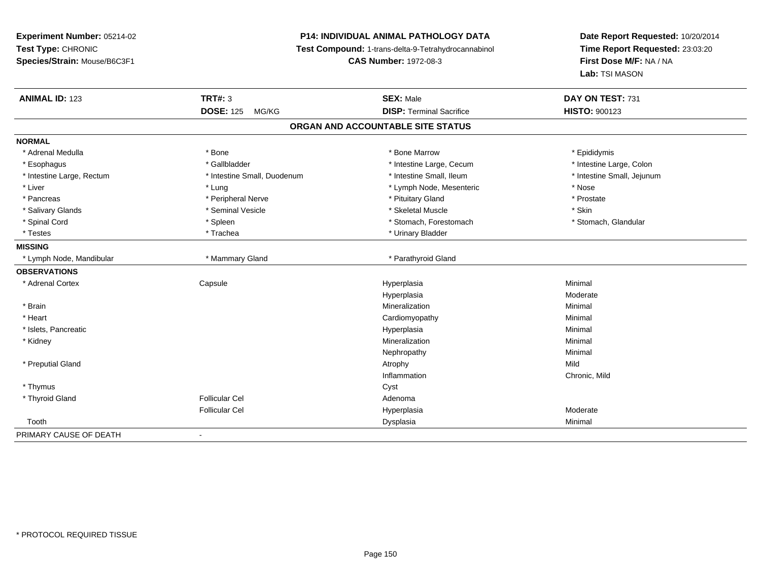## **P14: INDIVIDUAL ANIMAL PATHOLOGY DATA**

**Test Compound:** 1-trans-delta-9-Tetrahydrocannabinol

**CAS Number:** 1972-08-3

| <b>ANIMAL ID: 123</b>             | <b>TRT#: 3</b>              | <b>SEX: Male</b>                | DAY ON TEST: 731           |  |  |  |
|-----------------------------------|-----------------------------|---------------------------------|----------------------------|--|--|--|
|                                   | <b>DOSE: 125</b><br>MG/KG   | <b>DISP: Terminal Sacrifice</b> | HISTO: 900123              |  |  |  |
| ORGAN AND ACCOUNTABLE SITE STATUS |                             |                                 |                            |  |  |  |
| <b>NORMAL</b>                     |                             |                                 |                            |  |  |  |
| * Adrenal Medulla                 | * Bone                      | * Bone Marrow                   | * Epididymis               |  |  |  |
| * Esophagus                       | * Gallbladder               | * Intestine Large, Cecum        | * Intestine Large, Colon   |  |  |  |
| * Intestine Large, Rectum         | * Intestine Small, Duodenum | * Intestine Small, Ileum        | * Intestine Small, Jejunum |  |  |  |
| * Liver                           | * Lung                      | * Lymph Node, Mesenteric        | * Nose                     |  |  |  |
| * Pancreas                        | * Peripheral Nerve          | * Pituitary Gland               | * Prostate                 |  |  |  |
| * Salivary Glands                 | * Seminal Vesicle           | * Skeletal Muscle               | * Skin                     |  |  |  |
| * Spinal Cord                     | * Spleen                    | * Stomach, Forestomach          | * Stomach, Glandular       |  |  |  |
| * Testes                          | * Trachea                   | * Urinary Bladder               |                            |  |  |  |
| <b>MISSING</b>                    |                             |                                 |                            |  |  |  |
| * Lymph Node, Mandibular          | * Mammary Gland             | * Parathyroid Gland             |                            |  |  |  |
| <b>OBSERVATIONS</b>               |                             |                                 |                            |  |  |  |
| * Adrenal Cortex                  | Capsule                     | Hyperplasia                     | Minimal                    |  |  |  |
|                                   |                             | Hyperplasia                     | Moderate                   |  |  |  |
| * Brain                           |                             | Mineralization                  | Minimal                    |  |  |  |
| * Heart                           |                             | Cardiomyopathy                  | Minimal                    |  |  |  |
| * Islets, Pancreatic              |                             | Hyperplasia                     | Minimal                    |  |  |  |
| * Kidney                          |                             | Mineralization                  | Minimal                    |  |  |  |
|                                   |                             | Nephropathy                     | Minimal                    |  |  |  |
| * Preputial Gland                 |                             | Atrophy                         | Mild                       |  |  |  |
|                                   |                             | Inflammation                    | Chronic, Mild              |  |  |  |
| * Thymus                          |                             | Cyst                            |                            |  |  |  |
| * Thyroid Gland                   | <b>Follicular Cel</b>       | Adenoma                         |                            |  |  |  |
|                                   | <b>Follicular Cel</b>       | Hyperplasia                     | Moderate                   |  |  |  |
| Tooth                             |                             | Dysplasia                       | Minimal                    |  |  |  |
| PRIMARY CAUSE OF DEATH            | $\sim$                      |                                 |                            |  |  |  |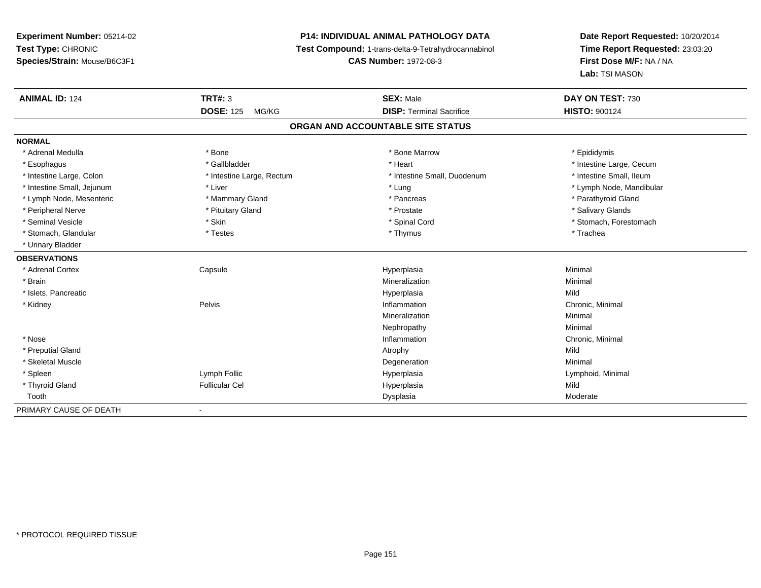# **P14: INDIVIDUAL ANIMAL PATHOLOGY DATA**

**Test Compound:** 1-trans-delta-9-Tetrahydrocannabinol

**CAS Number:** 1972-08-3

| <b>ANIMAL ID: 124</b>      | <b>TRT#: 3</b>            | <b>SEX: Male</b>                  | DAY ON TEST: 730         |
|----------------------------|---------------------------|-----------------------------------|--------------------------|
|                            | <b>DOSE: 125</b><br>MG/KG | <b>DISP: Terminal Sacrifice</b>   | <b>HISTO: 900124</b>     |
|                            |                           | ORGAN AND ACCOUNTABLE SITE STATUS |                          |
| <b>NORMAL</b>              |                           |                                   |                          |
| * Adrenal Medulla          | * Bone                    | * Bone Marrow                     | * Epididymis             |
| * Esophagus                | * Gallbladder             | * Heart                           | * Intestine Large, Cecum |
| * Intestine Large, Colon   | * Intestine Large, Rectum | * Intestine Small, Duodenum       | * Intestine Small, Ileum |
| * Intestine Small, Jejunum | * Liver                   | * Lung                            | * Lymph Node, Mandibular |
| * Lymph Node, Mesenteric   | * Mammary Gland           | * Pancreas                        | * Parathyroid Gland      |
| * Peripheral Nerve         | * Pituitary Gland         | * Prostate                        | * Salivary Glands        |
| * Seminal Vesicle          | * Skin                    | * Spinal Cord                     | * Stomach, Forestomach   |
| * Stomach, Glandular       | * Testes                  | * Thymus                          | * Trachea                |
| * Urinary Bladder          |                           |                                   |                          |
| <b>OBSERVATIONS</b>        |                           |                                   |                          |
| * Adrenal Cortex           | Capsule                   | Hyperplasia                       | Minimal                  |
| * Brain                    |                           | Mineralization                    | Minimal                  |
| * Islets, Pancreatic       |                           | Hyperplasia                       | Mild                     |
| * Kidney                   | Pelvis                    | Inflammation                      | Chronic, Minimal         |
|                            |                           | Mineralization                    | Minimal                  |
|                            |                           | Nephropathy                       | Minimal                  |
| * Nose                     |                           | Inflammation                      | Chronic, Minimal         |
| * Preputial Gland          |                           | Atrophy                           | Mild                     |
| * Skeletal Muscle          |                           | Degeneration                      | Minimal                  |
| * Spleen                   | Lymph Follic              | Hyperplasia                       | Lymphoid, Minimal        |
| * Thyroid Gland            | <b>Follicular Cel</b>     | Hyperplasia                       | Mild                     |
| Tooth                      |                           | Dysplasia                         | Moderate                 |
| PRIMARY CAUSE OF DEATH     |                           |                                   |                          |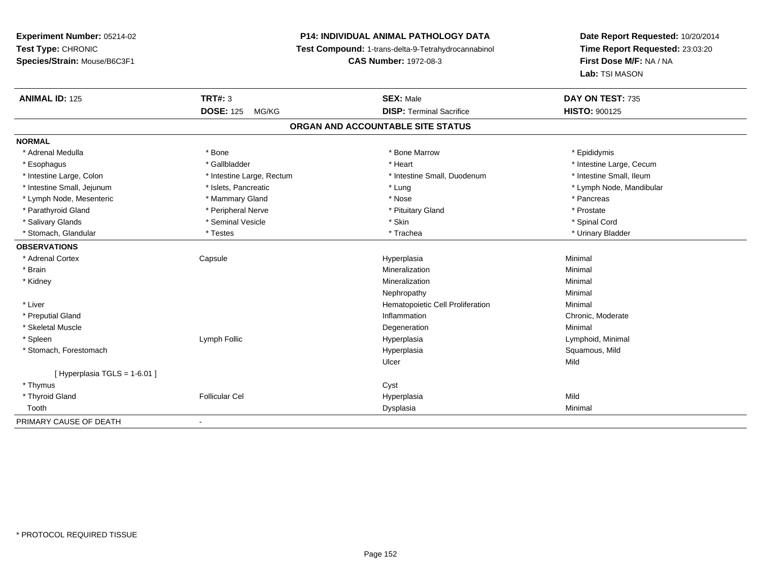# **P14: INDIVIDUAL ANIMAL PATHOLOGY DATA**

**Test Compound:** 1-trans-delta-9-Tetrahydrocannabinol

**CAS Number:** 1972-08-3

| <b>ANIMAL ID: 125</b>         | <b>TRT#: 3</b>            | <b>SEX: Male</b><br><b>DISP: Terminal Sacrifice</b> | DAY ON TEST: 735         |
|-------------------------------|---------------------------|-----------------------------------------------------|--------------------------|
|                               | <b>DOSE: 125</b><br>MG/KG |                                                     | <b>HISTO: 900125</b>     |
|                               |                           | ORGAN AND ACCOUNTABLE SITE STATUS                   |                          |
| <b>NORMAL</b>                 |                           |                                                     |                          |
| * Adrenal Medulla             | * Bone                    | * Bone Marrow                                       | * Epididymis             |
| * Esophagus                   | * Gallbladder             | * Heart                                             | * Intestine Large, Cecum |
| * Intestine Large, Colon      | * Intestine Large, Rectum | * Intestine Small, Duodenum                         | * Intestine Small, Ileum |
| * Intestine Small, Jejunum    | * Islets, Pancreatic      | * Lung                                              | * Lymph Node, Mandibular |
| * Lymph Node, Mesenteric      | * Mammary Gland           | * Nose                                              | * Pancreas               |
| * Parathyroid Gland           | * Peripheral Nerve        | * Pituitary Gland                                   | * Prostate               |
| * Salivary Glands             | * Seminal Vesicle         | * Skin                                              | * Spinal Cord            |
| * Stomach, Glandular          | * Testes                  | * Trachea                                           | * Urinary Bladder        |
| <b>OBSERVATIONS</b>           |                           |                                                     |                          |
| * Adrenal Cortex              | Capsule                   | Hyperplasia                                         | Minimal                  |
| * Brain                       |                           | Mineralization                                      | Minimal                  |
| * Kidney                      |                           | Mineralization                                      | Minimal                  |
|                               |                           | Nephropathy                                         | Minimal                  |
| * Liver                       |                           | Hematopoietic Cell Proliferation                    | Minimal                  |
| * Preputial Gland             |                           | Inflammation                                        | Chronic, Moderate        |
| * Skeletal Muscle             |                           | Degeneration                                        | Minimal                  |
| * Spleen                      | Lymph Follic              | Hyperplasia                                         | Lymphoid, Minimal        |
| * Stomach, Forestomach        |                           | Hyperplasia                                         | Squamous, Mild           |
|                               |                           | Ulcer                                               | Mild                     |
| [ Hyperplasia TGLS = 1-6.01 ] |                           |                                                     |                          |
| * Thymus                      |                           | Cyst                                                |                          |
| * Thyroid Gland               | <b>Follicular Cel</b>     | Hyperplasia                                         | Mild                     |
| Tooth                         |                           | Dysplasia                                           | Minimal                  |
| PRIMARY CAUSE OF DEATH        | $\blacksquare$            |                                                     |                          |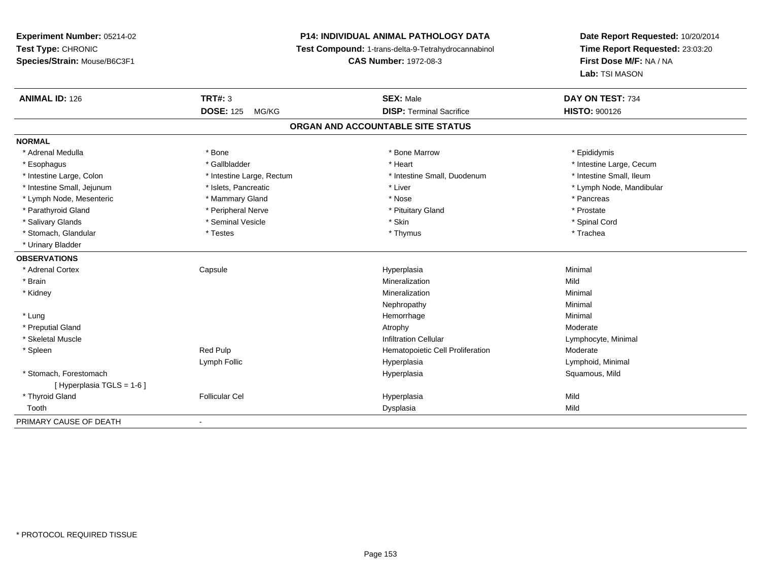# **P14: INDIVIDUAL ANIMAL PATHOLOGY DATA**

**Test Compound:** 1-trans-delta-9-Tetrahydrocannabinol

**CAS Number:** 1972-08-3

| <b>ANIMAL ID: 126</b>       | <b>TRT#: 3</b>            | <b>SEX: Male</b>                  | DAY ON TEST: 734         |
|-----------------------------|---------------------------|-----------------------------------|--------------------------|
|                             | <b>DOSE: 125</b><br>MG/KG | <b>DISP: Terminal Sacrifice</b>   | <b>HISTO: 900126</b>     |
|                             |                           | ORGAN AND ACCOUNTABLE SITE STATUS |                          |
| <b>NORMAL</b>               |                           |                                   |                          |
| * Adrenal Medulla           | * Bone                    | * Bone Marrow                     | * Epididymis             |
| * Esophagus                 | * Gallbladder             | * Heart                           | * Intestine Large, Cecum |
| * Intestine Large, Colon    | * Intestine Large, Rectum | * Intestine Small, Duodenum       | * Intestine Small, Ileum |
| * Intestine Small, Jejunum  | * Islets, Pancreatic      | * Liver                           | * Lymph Node, Mandibular |
| * Lymph Node, Mesenteric    | * Mammary Gland           | * Nose                            | * Pancreas               |
| * Parathyroid Gland         | * Peripheral Nerve        | * Pituitary Gland                 | * Prostate               |
| * Salivary Glands           | * Seminal Vesicle         | * Skin                            | * Spinal Cord            |
| * Stomach, Glandular        | * Testes                  | * Thymus                          | * Trachea                |
| * Urinary Bladder           |                           |                                   |                          |
| <b>OBSERVATIONS</b>         |                           |                                   |                          |
| * Adrenal Cortex            | Capsule                   | Hyperplasia                       | Minimal                  |
| * Brain                     |                           | Mineralization                    | Mild                     |
| * Kidney                    |                           | Mineralization                    | Minimal                  |
|                             |                           | Nephropathy                       | Minimal                  |
| * Lung                      |                           | Hemorrhage                        | Minimal                  |
| * Preputial Gland           |                           | Atrophy                           | Moderate                 |
| * Skeletal Muscle           |                           | <b>Infiltration Cellular</b>      | Lymphocyte, Minimal      |
| * Spleen                    | Red Pulp                  | Hematopoietic Cell Proliferation  | Moderate                 |
|                             | Lymph Follic              | Hyperplasia                       | Lymphoid, Minimal        |
| * Stomach, Forestomach      |                           | Hyperplasia                       | Squamous, Mild           |
| [Hyperplasia TGLS = $1-6$ ] |                           |                                   |                          |
| * Thyroid Gland             | <b>Follicular Cel</b>     | Hyperplasia                       | Mild                     |
| Tooth                       |                           | Dysplasia                         | Mild                     |
| PRIMARY CAUSE OF DEATH      | $\overline{\phantom{a}}$  |                                   |                          |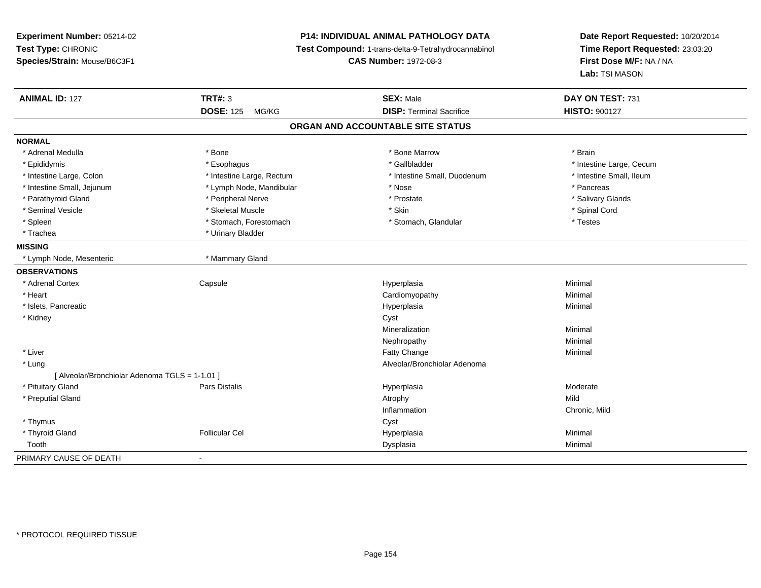| Experiment Number: 05214-02                    | <b>P14: INDIVIDUAL ANIMAL PATHOLOGY DATA</b> |                                                     | Date Report Requested: 10/20/2014 |
|------------------------------------------------|----------------------------------------------|-----------------------------------------------------|-----------------------------------|
| Test Type: CHRONIC                             |                                              | Test Compound: 1-trans-delta-9-Tetrahydrocannabinol | Time Report Requested: 23:03:20   |
| Species/Strain: Mouse/B6C3F1                   |                                              | <b>CAS Number: 1972-08-3</b>                        | First Dose M/F: NA / NA           |
|                                                |                                              |                                                     | Lab: TSI MASON                    |
| <b>ANIMAL ID: 127</b>                          | <b>TRT#: 3</b>                               | <b>SEX: Male</b>                                    | DAY ON TEST: 731                  |
|                                                | <b>DOSE: 125</b><br>MG/KG                    | <b>DISP: Terminal Sacrifice</b>                     | <b>HISTO: 900127</b>              |
|                                                |                                              | ORGAN AND ACCOUNTABLE SITE STATUS                   |                                   |
| <b>NORMAL</b>                                  |                                              |                                                     |                                   |
| * Adrenal Medulla                              | * Bone                                       | * Bone Marrow                                       | * Brain                           |
| * Epididymis                                   | * Esophagus                                  | * Gallbladder                                       | * Intestine Large, Cecum          |
| * Intestine Large, Colon                       | * Intestine Large, Rectum                    | * Intestine Small, Duodenum                         | * Intestine Small, Ileum          |
| * Intestine Small, Jejunum                     | * Lymph Node, Mandibular                     | * Nose                                              | * Pancreas                        |
| * Parathyroid Gland                            | * Peripheral Nerve                           | * Prostate                                          | * Salivary Glands                 |
| * Seminal Vesicle                              | * Skeletal Muscle                            | * Skin                                              | * Spinal Cord                     |
| * Spleen                                       | * Stomach, Forestomach                       | * Stomach, Glandular                                | * Testes                          |
| * Trachea                                      | * Urinary Bladder                            |                                                     |                                   |
| <b>MISSING</b>                                 |                                              |                                                     |                                   |
| * Lymph Node, Mesenteric                       | * Mammary Gland                              |                                                     |                                   |
| <b>OBSERVATIONS</b>                            |                                              |                                                     |                                   |
| * Adrenal Cortex                               | Capsule                                      | Hyperplasia                                         | Minimal                           |
| * Heart                                        |                                              | Cardiomyopathy                                      | Minimal                           |
| * Islets, Pancreatic                           |                                              | Hyperplasia                                         | Minimal                           |
| * Kidney                                       |                                              | Cyst                                                |                                   |
|                                                |                                              | Mineralization                                      | Minimal                           |
|                                                |                                              | Nephropathy                                         | Minimal                           |
| * Liver                                        |                                              | Fatty Change                                        | Minimal                           |
| * Lung                                         |                                              | Alveolar/Bronchiolar Adenoma                        |                                   |
| [ Alveolar/Bronchiolar Adenoma TGLS = 1-1.01 ] |                                              |                                                     |                                   |
| * Pituitary Gland                              | Pars Distalis                                | Hyperplasia                                         | Moderate                          |
| * Preputial Gland                              |                                              | Atrophy                                             | Mild                              |
|                                                |                                              | Inflammation                                        | Chronic, Mild                     |
| * Thymus                                       |                                              | Cyst                                                |                                   |
| * Thyroid Gland                                | <b>Follicular Cel</b>                        | Hyperplasia                                         | Minimal                           |
| Tooth                                          |                                              | Dysplasia                                           | Minimal                           |
| PRIMARY CAUSE OF DEATH                         | $\mathbf{r}$                                 |                                                     |                                   |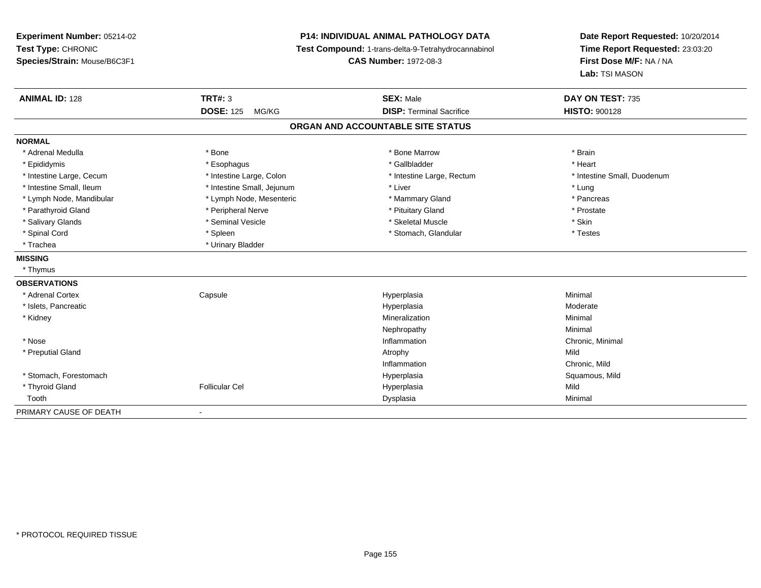**Experiment Number:** 05214-02**Test Type:** CHRONIC **Species/Strain:** Mouse/B6C3F1**P14: INDIVIDUAL ANIMAL PATHOLOGY DATA Test Compound:** 1-trans-delta-9-Tetrahydrocannabinol **CAS Number:** 1972-08-3**Date Report Requested:** 10/20/2014**Time Report Requested:** 23:03:20**First Dose M/F:** NA / NA**Lab:** TSI MASON**ANIMAL ID:** 128**TRT#:** 3 **SEX:** Male **DAY ON TEST:** 735 **DOSE:** 125 MG/KG**DISP:** Terminal Sacrifice **HISTO:** 900128 **ORGAN AND ACCOUNTABLE SITE STATUSNORMAL**\* Adrenal Medulla \* \* Annual Medulla \* Brain \* Bone \* \* Bone Marrow \* Bone Marrow \* \* Brain \* Brain \* Brain \* Brain \* Brain \* Brain \* Brain \* Brain \* Brain \* Brain \* Brain \* Brain \* Brain \* Brain \* Brain \* Brain \* Brain \* \* Heart \* Epididymis \* Esophagus \* Gallbladder \* Heart\* Intestine Large, Cecum \* Intestine Large, Colon \* Intestine Large, Thestine Large, Rectum \* Intestine Small, Duodenum \* Intestine Small, Ileum \* https://www.thestine Small, Jejunum \* Liver \* Liver \* Liver \* Liver \* Lung \* Pancreas \* Lymph Node, Mandibular \* Lymph Node, Mesenteric \* Mammary Gland \* Mammary Gland \* Prostate \* Parathyroid Gland \* **All and \* Peripheral Nerve \* Prostate \* Prostate \* Pituitary Gland \*** Pituitary Gland \* Salivary Glands \* Seminal Vesicle \* Skeletal Muscle \* Skin\* Testes \* Spinal Cord \* Spinal Cord \* Spinal Cord \* Stomach, Glandular \* Spinal Cord \* Stomach, Glandular \* Trachea **\*** Urinary Bladder **MISSING** \* Thymus**OBSERVATIONS** \* Adrenal Cortex**Capsule**  Hyperplasia Minimal \* Islets, Pancreaticc and the control of the control of the control of the control of the control of the control of the control of the control of the control of the control of the control of the control of the control of the control of the co Hyperplasia entrants and the material moderate of Moderate Minimal Moderate Minimal \* Kidneyy the control of the control of the control of the control of the control of the control of the control of the control of the control of the control of the control of the control of the control of the control of the contro n Minimal Nephropathyy the contract of the Minimal Minimal Section 1996 and the contract of the Minimal Section 1997 and the contract of the contract of the contract of the contract of the contract of the contract of the contract of the contra \* Nosee the contraction of the contraction of the contraction of the contraction of the chronic, Minimal on the chronic, Minimal or  $\mathbb{R}^n$  \* Preputial Glandd and the control of the control of the control of the control of the control of the control of the control of the control of the control of the control of the control of the control of the control of the control of the co InflammationInflammation<br>
Hyperplasia<br>
Chronic, Mild<br>
Squamous, Mild \* Stomach, Forestomachh ann an t-ìre ann am San Amhaidh ann an t-ìre ann am Mhearpasia ann an San Aonaichte ann an Saluamous, Mild a \* Thyroid Gland Follicular Cel Hyperplasia Mild Toothh ann an Chomas ann an t-ainmeile ann an t-ainmeile ann an Dysplasia. Tha an t-ainmeile ann an Dysplasia ann an Dysplasia ann an t-ainmeile an an t-ainmeile ann an t-ainmeile an an t-ainmeile ann an t-ainmeile ann an t-ain PRIMARY CAUSE OF DEATH-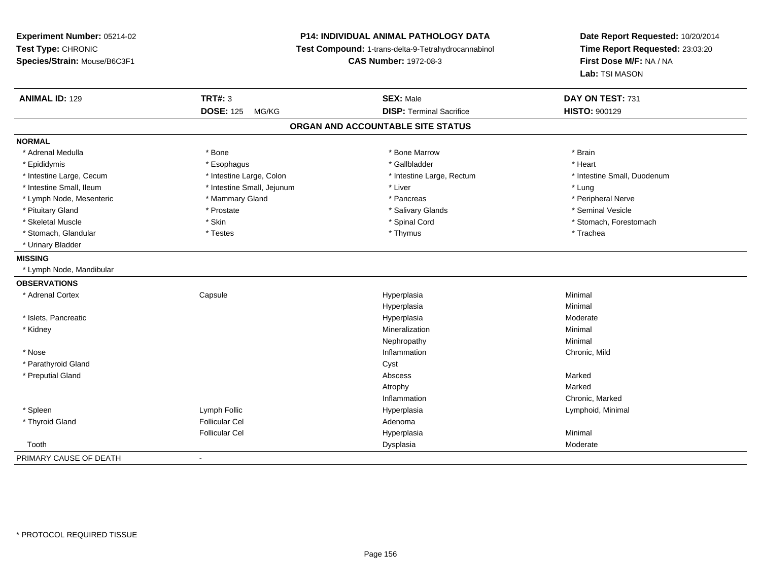**Experiment Number:** 05214-02**Test Type:** CHRONIC **Species/Strain:** Mouse/B6C3F1**P14: INDIVIDUAL ANIMAL PATHOLOGY DATA Test Compound:** 1-trans-delta-9-Tetrahydrocannabinol **CAS Number:** 1972-08-3**Date Report Requested:** 10/20/2014**Time Report Requested:** 23:03:20**First Dose M/F:** NA / NA**Lab:** TSI MASON**ANIMAL ID:** 129 **TRT#:** <sup>3</sup> **SEX:** Male **DAY ON TEST:** <sup>731</sup> **DOSE:** 125 MG/KG**DISP:** Terminal Sacrifice **HISTO:** 900129 **ORGAN AND ACCOUNTABLE SITE STATUSNORMAL**\* Adrenal Medulla \* \* Annual Medulla \* Brain \* Bone \* \* Bone Marrow \* Bone Marrow \* \* Brain \* Brain \* Brain \* Brain \* Brain \* Brain \* Brain \* Brain \* Brain \* Brain \* Brain \* Brain \* Brain \* Brain \* Brain \* Brain \* Brain \* \* Heart \* Epididymis \* Esophagus \* Gallbladder \* Heart\* Intestine Large, Cecum \* Intestine Large, Colon \* Intestine Large, Thestine Large, Rectum \* Intestine Small, Duodenum \* Intestine Small, Ileum \* https://www.thestine Small, Jejunum \* Liver \* Liver \* Liver \* Liver \* Lung \* Peripheral Nerve \* Lymph Node, Mesenteric \* Mammary Gland \* Mammary Gland \* Pancreas \* Pancreas \* \* Seminal Vesicle \* Pituitary Gland \* \* \* \* Prostate \* \* Prostate \* \* Salivary Glands \* \* Salivary Glands \* \* Seminal Vesicle \* Skeletal Muscle \* The state of the set of the set of the set of the set of the set of the set of the set of the set of the set of the set of the set of the set of the set of the set of the set of the set of the set of th \* Stomach, Glandular \* Trachea \* Testes \* Thymus \* Thymus \* Thymus \* Thymus \* Trachea \* Trachea \* Urinary Bladder**MISSING** \* Lymph Node, Mandibular**OBSERVATIONS** \* Adrenal Cortex**Capsule**  Hyperplasia Minimal Hyperplasiaa **Minimal**  \* Islets, Pancreaticc and the control of the control of the control of the control of the control of the control of the control of the control of the control of the control of the control of the control of the control of the control of the co a **Moderate**  \* Kidneyy the control of the control of the control of the control of the control of the control of the control of the control of the control of the control of the control of the control of the control of the control of the contro n Minimal Nephropathyy the contract of the Minimal Minimal Section 1996 and the contract of the Minimal Section 1997 and the contract of the contract of the contract of the contract of the contract of the contract of the contract of the contra \* Nosee and the contract of the contract of the contract of the contract of the contract of the chronic, Mild and the chronic, Mild and the chronic, Mild and the chronic state of the chronic state of the chronic state of the chr \* Parathyroid Glandd Cyst \* Preputial Glandd and the control of the control of the control of the control of the control of the control of the control of the control of the control of the control of the control of the control of the control of the control of the co Atrophyy the contract of the contract of the Marked n Chronic, Marked Inflammation \* Spleen Lymph Follic Hyperplasia Lymphoid, Minimal \* Thyroid Glandd and the set of the Follicular Cel the set of the Second Adenomal Adenomal Second Second Second Second Second Second Second Second Second Second Second Second Second Second Second Second Second Second Second Second Second Follicular Cel Hyperplasiaa **Minimal**  Tooth Dysplasia Moderate PRIMARY CAUSE OF DEATH-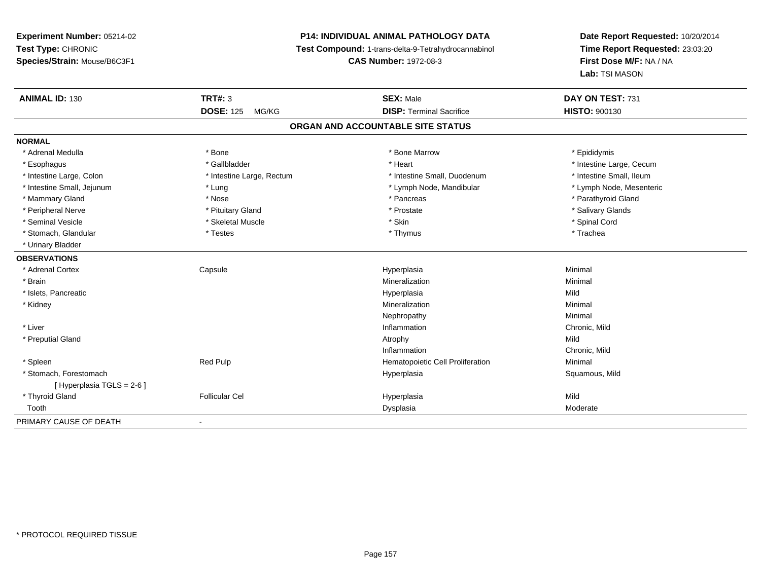## **P14: INDIVIDUAL ANIMAL PATHOLOGY DATA**

**Test Compound:** 1-trans-delta-9-Tetrahydrocannabinol

**CAS Number:** 1972-08-3

| <b>ANIMAL ID: 130</b>      | <b>TRT#: 3</b>            | <b>SEX: Male</b>                  | DAY ON TEST: 731         |
|----------------------------|---------------------------|-----------------------------------|--------------------------|
|                            | <b>DOSE: 125</b><br>MG/KG | <b>DISP: Terminal Sacrifice</b>   | <b>HISTO: 900130</b>     |
|                            |                           | ORGAN AND ACCOUNTABLE SITE STATUS |                          |
| <b>NORMAL</b>              |                           |                                   |                          |
| * Adrenal Medulla          | * Bone                    | * Bone Marrow                     | * Epididymis             |
| * Esophagus                | * Gallbladder             | * Heart                           | * Intestine Large, Cecum |
| * Intestine Large, Colon   | * Intestine Large, Rectum | * Intestine Small, Duodenum       | * Intestine Small, Ileum |
| * Intestine Small, Jejunum | * Lung                    | * Lymph Node, Mandibular          | * Lymph Node, Mesenteric |
| * Mammary Gland            | * Nose                    | * Pancreas                        | * Parathyroid Gland      |
| * Peripheral Nerve         | * Pituitary Gland         | * Prostate                        | * Salivary Glands        |
| * Seminal Vesicle          | * Skeletal Muscle         | * Skin                            | * Spinal Cord            |
| * Stomach, Glandular       | * Testes                  | * Thymus                          | * Trachea                |
| * Urinary Bladder          |                           |                                   |                          |
| <b>OBSERVATIONS</b>        |                           |                                   |                          |
| * Adrenal Cortex           | Capsule                   | Hyperplasia                       | Minimal                  |
| * Brain                    |                           | Mineralization                    | Minimal                  |
| * Islets, Pancreatic       |                           | Hyperplasia                       | Mild                     |
| * Kidney                   |                           | Mineralization                    | Minimal                  |
|                            |                           | Nephropathy                       | Minimal                  |
| * Liver                    |                           | Inflammation                      | Chronic, Mild            |
| * Preputial Gland          |                           | Atrophy                           | Mild                     |
|                            |                           | Inflammation                      | Chronic, Mild            |
| * Spleen                   | <b>Red Pulp</b>           | Hematopoietic Cell Proliferation  | Minimal                  |
| * Stomach, Forestomach     |                           | Hyperplasia                       | Squamous, Mild           |
| [ Hyperplasia TGLS = 2-6 ] |                           |                                   |                          |
| * Thyroid Gland            | <b>Follicular Cel</b>     | Hyperplasia                       | Mild                     |
| Tooth                      |                           | Dysplasia                         | Moderate                 |
| PRIMARY CAUSE OF DEATH     | $\blacksquare$            |                                   |                          |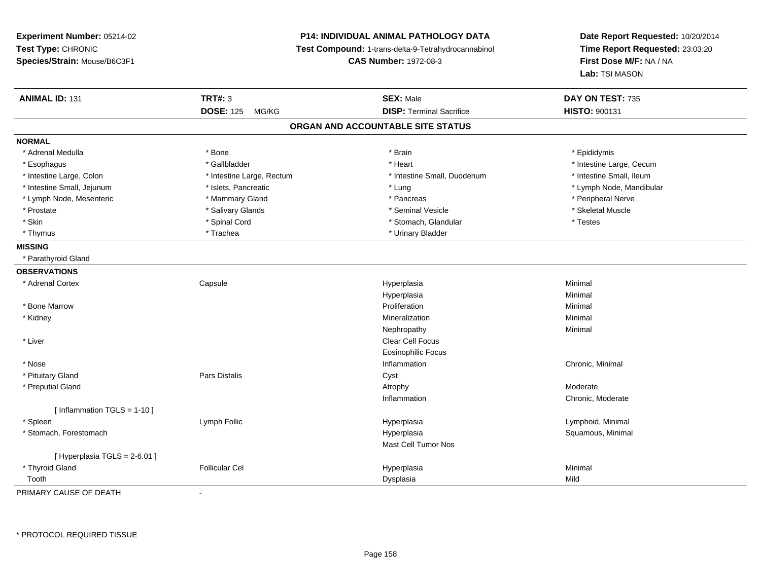**Experiment Number:** 05214-02**Test Type:** CHRONIC **Species/Strain:** Mouse/B6C3F1**P14: INDIVIDUAL ANIMAL PATHOLOGY DATA Test Compound:** 1-trans-delta-9-Tetrahydrocannabinol **CAS Number:** 1972-08-3**Date Report Requested:** 10/20/2014**Time Report Requested:** 23:03:20**First Dose M/F:** NA / NA**Lab:** TSI MASON**ANIMAL ID:** 131**TRT#:** 3 **SEX:** Male **DAY ON TEST:** 735 **DOSE:** 125 MG/KG **DISP:** Terminal Sacrifice **HISTO:** <sup>900131</sup> **ORGAN AND ACCOUNTABLE SITE STATUSNORMAL**\* Adrenal Medulla \* Adrenal Medulla \* \* \* Adrenal Medulla \* \* Epididymis \* Bone \* \* Brain \* \* Brain \* \* Brain \* \* Epididymis \* Epididymis \* Epididymis \* \* Epididymis \* \* Epididymis \* \* Epididymis \* \* Epididymis \* \* Epididymis \* \* Epididymis \* Esophagus \* https://www.fragustage.com/web/2019/heart \* Heart \* Heart \* Heart \* Intestine Large, Cecum \* Intestine Large, Cecum \* Gallbladder \* Callbladder \* 11 and 12 and 12 and 12 and 12 and 12 and 12 and 12 and 12 and \* Intestine Small, Ileum \* Intestine Large, Colon \* Intestine Large, Rectum \* Intestine Small, Duodenum \* Intestine Small, Duodenum \* Intestine Small, Jejunum \* \* \* https://www.fat.com/setter/educition/setter/filesophysics.com/setter/filesophysics.com/setter/filesophysics.com/setter/filesophysics.com/setter/filesophysics.com/setter/filesophysics.com/se \* Lymph Node, Mesenteric \* \* Mammary Gland \* Mammary Gland \* Pancreas \* Peripheral Nerve \* Skeletal Muscle \* Prostate \* \* Skeletal Muscle \* \* Salivary Glands \* \* Steminal Vesicle \* \* Seminal Vesicle \* \* Skeletal Muscle \* Skin \* Spinal Cord \* Spinal Cord \* Stomach, Glandular \* Testes \* Thymus \* Trachea \* Trachea \* Urinary Bladder \* Urinary Bladder \* Urinary Bladder **MISSING** \* Parathyroid Gland**OBSERVATIONS** \* Adrenal Cortex**Capsule**  Hyperplasia Minimal Hyperplasiaa **Minimal**  \* Bone Marroww Proliferation **Minimal**  \* Kidneyy the control of the control of the control of the control of the control of the control of the control of the control of the control of the control of the control of the control of the control of the control of the contro n Minimal Nephropathyy the contract of the Minimal Minimal Section 1996 and the contract of the Minimal Section 1997 and the contract of the contract of the contract of the contract of the contract of the contract of the contract of the contra \* Liverr and the contract of the contract of the contract of the contract of the contract of the contract of the contract of the contract of the contract of the contract of the contract of the contract of the contract of the cont Eosinophilic Focus \* Nosee the contraction of the contraction of the contraction of the contraction of the chronic, Minimal on the chronic, Minimal or  $\mathbb{R}^n$  \* Pituitary Glandd **Example 2018** Pars Distalis **Contains 2018** Cyst \* Preputial Glandd and the control of the control of the control of the control of the control of the control of the control of  $\lambda$ Inflammation Chronic, Moderate [ Inflammation TGLS = 1-10 ] \* Spleen Lymph Follic Hyperplasia Lymphoid, Minimal \* Stomach, Forestomachh anns an t-aiste anns an t-aiste anns an t-aiste anns an t-aiste anns an t-aiste anns an t-aiste anns an t-aiste an t-aiste anns an t-aiste an t-aiste anns an t-aiste anns an t-aiste anns an t-aiste anns an t-aiste anns a Mast Cell Tumor Nos[ Hyperplasia TGLS = 2-6.01 ] \* Thyroid Gland Follicular Cel Hyperplasia Minimal Toothh ann an t-Iomraid ann an t-Iomraid ann an t-Iomraid ann an t-Iomraid ann an t-Iomraid ann an t-Iomraid ann an<br>Iomraid an t-Iomraid ann an t-Iomraid ann an t-Iomraid ann an t-Iomraid ann an t-Iomraid ann an t-Iomraid ann

PRIMARY CAUSE OF DEATH-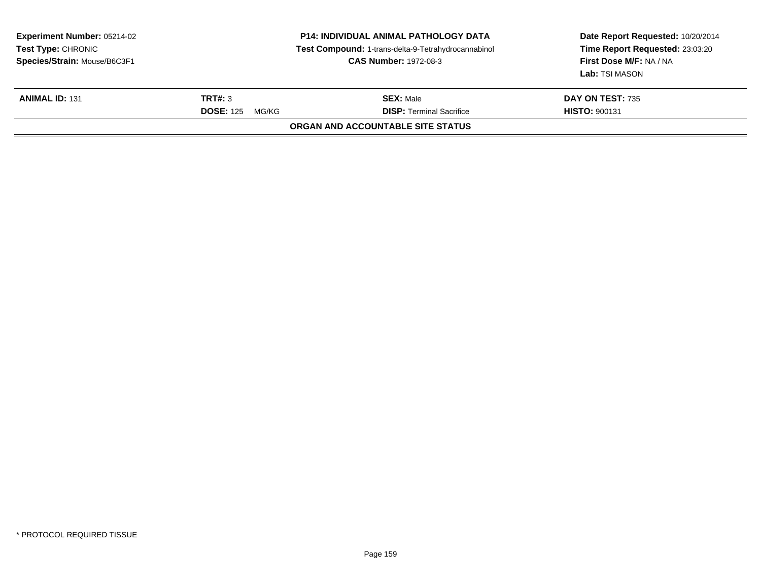| <b>Experiment Number: 05214-02</b><br>Test Type: CHRONIC<br>Species/Strain: Mouse/B6C3F1 |                                                                                             | <b>P14: INDIVIDUAL ANIMAL PATHOLOGY DATA</b><br>Test Compound: 1-trans-delta-9-Tetrahydrocannabinol<br><b>CAS Number: 1972-08-3</b> | Date Report Requested: 10/20/2014<br>Time Report Requested: 23:03:20<br>First Dose M/F: NA / NA<br>Lab: TSI MASON<br>DAY ON TEST: 735<br><b>HISTO: 900131</b> |
|------------------------------------------------------------------------------------------|---------------------------------------------------------------------------------------------|-------------------------------------------------------------------------------------------------------------------------------------|---------------------------------------------------------------------------------------------------------------------------------------------------------------|
| <b>ANIMAL ID: 131</b>                                                                    | TRT#: 3<br><b>SEX: Male</b><br><b>DISP: Terminal Sacrifice</b><br><b>DOSE: 125</b><br>MG/KG |                                                                                                                                     |                                                                                                                                                               |
|                                                                                          |                                                                                             | ORGAN AND ACCOUNTABLE SITE STATUS                                                                                                   |                                                                                                                                                               |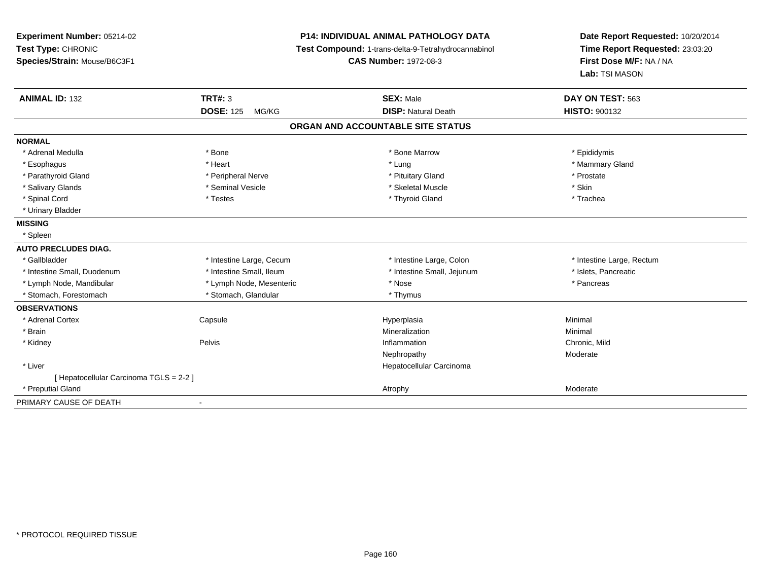| Experiment Number: 05214-02<br>Test Type: CHRONIC<br>Species/Strain: Mouse/B6C3F1 |                           | P14: INDIVIDUAL ANIMAL PATHOLOGY DATA<br>Test Compound: 1-trans-delta-9-Tetrahydrocannabinol<br><b>CAS Number: 1972-08-3</b> | Date Report Requested: 10/20/2014<br>Time Report Requested: 23:03:20<br>First Dose M/F: NA / NA<br>Lab: TSI MASON |  |
|-----------------------------------------------------------------------------------|---------------------------|------------------------------------------------------------------------------------------------------------------------------|-------------------------------------------------------------------------------------------------------------------|--|
| <b>ANIMAL ID: 132</b>                                                             | <b>TRT#: 3</b>            | <b>SEX: Male</b>                                                                                                             | DAY ON TEST: 563                                                                                                  |  |
|                                                                                   | <b>DOSE: 125</b><br>MG/KG | <b>DISP: Natural Death</b>                                                                                                   | HISTO: 900132                                                                                                     |  |
|                                                                                   |                           | ORGAN AND ACCOUNTABLE SITE STATUS                                                                                            |                                                                                                                   |  |
| <b>NORMAL</b>                                                                     |                           |                                                                                                                              |                                                                                                                   |  |
| * Adrenal Medulla                                                                 | * Bone                    | * Bone Marrow                                                                                                                | * Epididymis                                                                                                      |  |
| * Esophagus                                                                       | * Heart                   | * Lung                                                                                                                       | * Mammary Gland                                                                                                   |  |
| * Parathyroid Gland                                                               | * Peripheral Nerve        | * Pituitary Gland                                                                                                            | * Prostate                                                                                                        |  |
| * Salivary Glands                                                                 | * Seminal Vesicle         | * Skeletal Muscle                                                                                                            | * Skin                                                                                                            |  |
| * Spinal Cord                                                                     | * Testes                  | * Thyroid Gland                                                                                                              | * Trachea                                                                                                         |  |
| * Urinary Bladder                                                                 |                           |                                                                                                                              |                                                                                                                   |  |
| <b>MISSING</b>                                                                    |                           |                                                                                                                              |                                                                                                                   |  |
| * Spleen                                                                          |                           |                                                                                                                              |                                                                                                                   |  |
| <b>AUTO PRECLUDES DIAG.</b>                                                       |                           |                                                                                                                              |                                                                                                                   |  |
| * Gallbladder                                                                     | * Intestine Large, Cecum  | * Intestine Large, Colon                                                                                                     | * Intestine Large, Rectum                                                                                         |  |
| * Intestine Small, Duodenum                                                       | * Intestine Small, Ileum  | * Intestine Small, Jejunum                                                                                                   | * Islets, Pancreatic                                                                                              |  |
| * Lymph Node, Mandibular                                                          | * Lymph Node, Mesenteric  | * Nose                                                                                                                       | * Pancreas                                                                                                        |  |
| * Stomach, Forestomach                                                            | * Stomach, Glandular      | * Thymus                                                                                                                     |                                                                                                                   |  |
| <b>OBSERVATIONS</b>                                                               |                           |                                                                                                                              |                                                                                                                   |  |
| * Adrenal Cortex                                                                  | Capsule                   | Hyperplasia                                                                                                                  | Minimal                                                                                                           |  |
| * Brain                                                                           |                           | Mineralization                                                                                                               | Minimal                                                                                                           |  |
| * Kidney                                                                          | Pelvis                    | Inflammation                                                                                                                 | Chronic, Mild                                                                                                     |  |
|                                                                                   |                           | Nephropathy                                                                                                                  | Moderate                                                                                                          |  |
| * Liver                                                                           |                           | Hepatocellular Carcinoma                                                                                                     |                                                                                                                   |  |
| [ Hepatocellular Carcinoma TGLS = 2-2 ]                                           |                           |                                                                                                                              |                                                                                                                   |  |
| * Preputial Gland                                                                 |                           | Atrophy                                                                                                                      | Moderate                                                                                                          |  |
| PRIMARY CAUSE OF DEATH                                                            | $\overline{\phantom{a}}$  |                                                                                                                              |                                                                                                                   |  |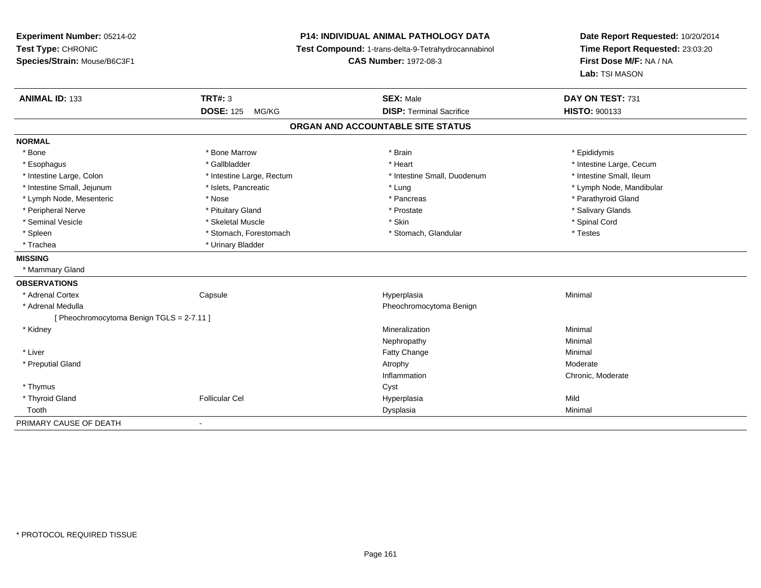**Experiment Number:** 05214-02**Test Type:** CHRONIC **Species/Strain:** Mouse/B6C3F1**P14: INDIVIDUAL ANIMAL PATHOLOGY DATA Test Compound:** 1-trans-delta-9-Tetrahydrocannabinol **CAS Number:** 1972-08-3**Date Report Requested:** 10/20/2014**Time Report Requested:** 23:03:20**First Dose M/F:** NA / NA**Lab:** TSI MASON**ANIMAL ID:** 133 **TRT#:** <sup>3</sup> **SEX:** Male **DAY ON TEST:** <sup>731</sup> **DOSE:** 125 MG/KG **DISP:** Terminal Sacrifice **HISTO:** <sup>900133</sup> **ORGAN AND ACCOUNTABLE SITE STATUSNORMAL**\* Bone \* Bone \* Bone Marrow \* Brain \* Epididymis \* Esophagus \* https://www.fragustage.com/web/2019/heart \* Heart \* Heart \* Heart \* Intestine Large, Cecum \* Intestine Large, Cecum \* Gallbladder \* Callbladder \* 11 and 12 and 12 and 12 and 12 and 12 and 12 and 12 and 12 and \* Intestine Small, Ileum \* Intestine Large, Colon \* Intestine Large, Rectum \* Intestine Small, Duodenum \* Intestine Small, Duodenum \* Intestine Small, Jejunum \* \* \* https://www.fat.com/setter/educition/setter/filesophysics.com/setter/filesophysics.com/setter/filesophysics.com/setter/filesophysics.com/setter/filesophysics.com/setter/filesophysics.com/se \* Lymph Node, Mesenteric \* The state of the state of the state of the state of the state of the state of the state of the state of the state of the state of the state of the state of the state of the state of the state of \* Peripheral Nerve \* \* And the state \* Pituitary Gland \* Prosection \* Prostate \* Prostate \* Salivary Glands \* Salivary Glands \* Salivary Glands \* Salivary Glands \* Salivary Glands \* Salivary Glands \* Salivary Glands \* Sali \* Seminal Vesicle \* \* Spinal Cord \* Skeletal Muscle \* \* Skin \* \* Skin \* \* Spinal Vesicle \* Spinal Cord \* Spinal Cord \* Spleen \* Stomach, Forestomach \* Stomach \* Stomach, Slandular \* Testes \* Testes \* Trachea \* Urinary Bladder**MISSING** \* Mammary Gland**OBSERVATIONS** \* Adrenal Cortex**Capsule**  Hyperplasia Minimal \* Adrenal Medulla Pheochromocytoma Benign [ Pheochromocytoma Benign TGLS = 2-7.11 ] \* Kidneyy the control of the control of the control of the control of the control of the control of the control of the control of the control of the control of the control of the control of the control of the control of the contro n Minimal Nephropathyy the contract of the Minimal Minimal Section 1996 and the contract of the Minimal Section 1997 and the contract of the contract of the contract of the contract of the contract of the contract of the contract of the contra \* Liver Fatty Changee Minimal \* Preputial Glandd and the control of the control of the control of the control of the control of the control of the control of  $\lambda$ Inflammation Chronic, Moderate \* Thymuss the contract of the contract of the contract of the contract of the contract of the contract of the contract of the contract of the contract of the contract of the contract of the contract of the contract of the contract \* Thyroid Gland Follicular Cel Hyperplasia Mild Toothh ann an Chomas ann an t-ainmeile ann an t-ainmeile ann an Dysplasia. Tha an t-ainmeile ann an Dysplasia ann an Dysplasia ann an t-ainmeile an an t-ainmeile ann an t-ainmeile an an t-ainmeile ann an t-ainmeile ann an t-ain PRIMARY CAUSE OF DEATH-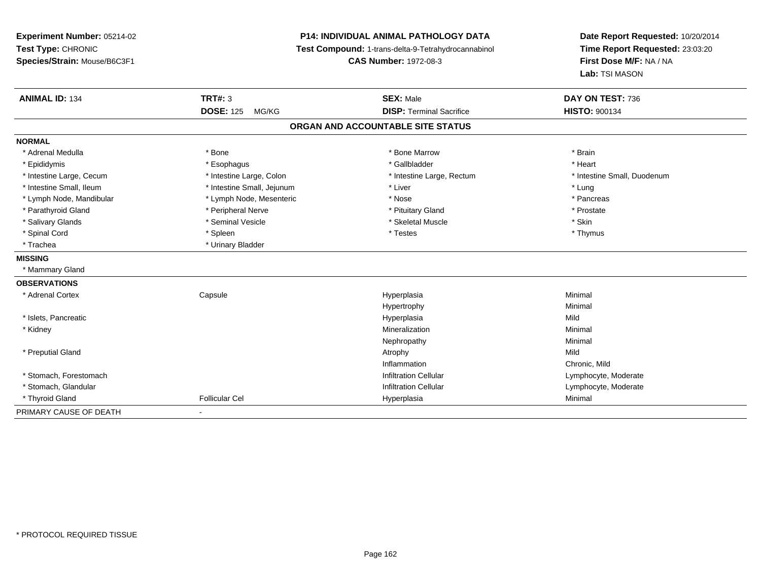| <b>Experiment Number: 05214-02</b><br>Test Type: CHRONIC |                            | <b>P14: INDIVIDUAL ANIMAL PATHOLOGY DATA</b><br>Test Compound: 1-trans-delta-9-Tetrahydrocannabinol | Date Report Requested: 10/20/2014<br>Time Report Requested: 23:03:20 |
|----------------------------------------------------------|----------------------------|-----------------------------------------------------------------------------------------------------|----------------------------------------------------------------------|
| Species/Strain: Mouse/B6C3F1                             |                            | <b>CAS Number: 1972-08-3</b>                                                                        | First Dose M/F: NA / NA<br>Lab: TSI MASON                            |
| <b>ANIMAL ID: 134</b>                                    | <b>TRT#: 3</b>             | <b>SEX: Male</b>                                                                                    | DAY ON TEST: 736                                                     |
|                                                          | <b>DOSE: 125</b><br>MG/KG  | <b>DISP: Terminal Sacrifice</b>                                                                     | <b>HISTO: 900134</b>                                                 |
|                                                          |                            | ORGAN AND ACCOUNTABLE SITE STATUS                                                                   |                                                                      |
| <b>NORMAL</b>                                            |                            |                                                                                                     |                                                                      |
| * Adrenal Medulla                                        | * Bone                     | * Bone Marrow                                                                                       | * Brain                                                              |
| * Epididymis                                             | * Esophagus                | * Gallbladder                                                                                       | * Heart                                                              |
| * Intestine Large, Cecum                                 | * Intestine Large, Colon   | * Intestine Large, Rectum                                                                           | * Intestine Small, Duodenum                                          |
| * Intestine Small, Ileum                                 | * Intestine Small, Jejunum | * Liver                                                                                             | * Lung                                                               |
| * Lymph Node, Mandibular                                 | * Lymph Node, Mesenteric   | * Nose                                                                                              | * Pancreas                                                           |
| * Parathyroid Gland                                      | * Peripheral Nerve         | * Pituitary Gland                                                                                   | * Prostate                                                           |
| * Salivary Glands                                        | * Seminal Vesicle          | * Skeletal Muscle                                                                                   | * Skin                                                               |
| * Spinal Cord                                            | * Spleen                   | * Testes                                                                                            | * Thymus                                                             |
| * Trachea                                                | * Urinary Bladder          |                                                                                                     |                                                                      |
| <b>MISSING</b>                                           |                            |                                                                                                     |                                                                      |
| * Mammary Gland                                          |                            |                                                                                                     |                                                                      |
| <b>OBSERVATIONS</b>                                      |                            |                                                                                                     |                                                                      |
| * Adrenal Cortex                                         | Capsule                    | Hyperplasia                                                                                         | Minimal                                                              |
|                                                          |                            | Hypertrophy                                                                                         | Minimal                                                              |
| * Islets, Pancreatic                                     |                            | Hyperplasia                                                                                         | Mild                                                                 |
| * Kidney                                                 |                            | Mineralization                                                                                      | Minimal                                                              |
|                                                          |                            | Nephropathy                                                                                         | Minimal                                                              |
| * Preputial Gland                                        |                            | Atrophy                                                                                             | Mild                                                                 |
|                                                          |                            | Inflammation                                                                                        | Chronic, Mild                                                        |
| * Stomach, Forestomach                                   |                            | <b>Infiltration Cellular</b>                                                                        | Lymphocyte, Moderate                                                 |
| * Stomach, Glandular                                     |                            | <b>Infiltration Cellular</b>                                                                        | Lymphocyte, Moderate                                                 |
| * Thyroid Gland                                          | <b>Follicular Cel</b>      | Hyperplasia                                                                                         | Minimal                                                              |
| PRIMARY CAUSE OF DEATH                                   |                            |                                                                                                     |                                                                      |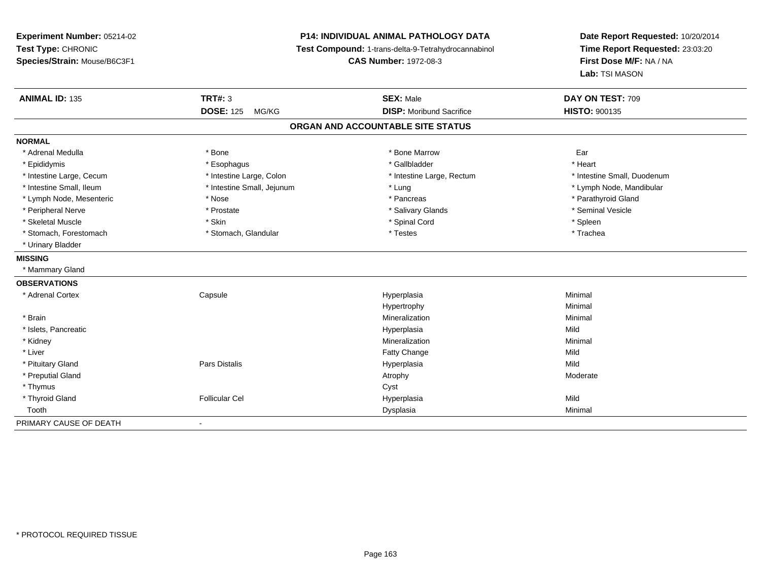**Experiment Number:** 05214-02**Test Type:** CHRONIC **Species/Strain:** Mouse/B6C3F1**P14: INDIVIDUAL ANIMAL PATHOLOGY DATA Test Compound:** 1-trans-delta-9-Tetrahydrocannabinol **CAS Number:** 1972-08-3**Date Report Requested:** 10/20/2014**Time Report Requested:** 23:03:20**First Dose M/F:** NA / NA**Lab:** TSI MASON**ANIMAL ID:** 135**TRT#:** 3 **SEX:** Male **DAY ON TEST:** 709 **DOSE:** 125 MG/KG **DISP:** Moribund Sacrifice **HISTO:** <sup>900135</sup> **ORGAN AND ACCOUNTABLE SITE STATUSNORMAL**\* Adrenal Medulla \* \* Bone \* Bone \* Bone \* Bone \* Bone \* Bone Marrow \* Bone Marrow \* Bone Marrow Ear \* Epididymis \* Esophagus \* Gallbladder \* Heart\* Intestine Large, Cecum \* Intestine Large, Colon \* Intestine Large, Rectum \* Intestine Small, Duodenum \* Intestine Small, Ileum \* Intestine Small, Jejunum \* Lung \* Lymph Node, Mandibular\* Lymph Node, Mesenteric \* The state of the state of the state of the state of the state of the state of the state of the state of the state of the state of the state of the state of the state of the state of the state of \* Peripheral Nerve \* \* Annual Vesicle \* \* Prostate \* \* Salivary Glands \* \* Salivary Glands \* \* Seminal Vesicle \* Skeletal Muscle \* Skin \* Spinal Cord \* Spleen \* Trachea \* Stomach, Forestomach \* Testes \* Stomach, Glandular \* Testes \* Testes \* Testes \* Testes \* Testes \* Testes \* Testes \* Testes \* Testes \* Testes \* Testes \* Testes \* Testes \* Testes \* Testes \* Testes \* Testes \* Testes \* Teste \* Urinary Bladder**MISSING** \* Mammary Gland**OBSERVATIONS** \* Adrenal Cortex Capsule Hyperplasia Minimal Hypertrophyy the contract of the Minimal Minimal Section 1, 1986, 1987, 1988, 1988, 1988, 1988, 1988, 1988, 198 \* Brainn and the controller of the controller of the controller of the Minimal Mineralization and the controller of the Minimal Minimal  $\alpha$  \* Islets, Pancreaticc and the control of the control of the control of the control of the control of the control of the control of the control of the control of the control of the control of the control of the control of the control of the co a Mild \* Kidneyy the control of the control of the control of the control of the control of the control of the control of the control of the control of the control of the control of the control of the control of the control of the contro n Minimal \* Liverr and the contract of the contract of the contract of the contract of the contract of the contract of the contract of the contract of the contract of the contract of the contract of the contract of the contract of the cont e Mild \* Pituitary Gland Pars Distalis Hyperplasia Mild \* Preputial Glandd and the control of the control of the control of the control of the control of the control of the control of  $\lambda$  \* Thymuss the contract of the contract of the contract of the contract of the contract of the contract of the contract of the contract of the contract of the contract of the contract of the contract of the contract of the contract \* Thyroid Gland Follicular Cel Hyperplasia Mild Toothh ann an Chomas ann an t-ainmeile ann an t-ainmeile ann an Dysplasia. Tha an t-ainmeile ann an Dysplasia ann an Dysplasia ann an t-ainmeile an an t-ainmeile ann an t-ainmeile an an t-ainmeile ann an t-ainmeile ann an t-ain PRIMARY CAUSE OF DEATH-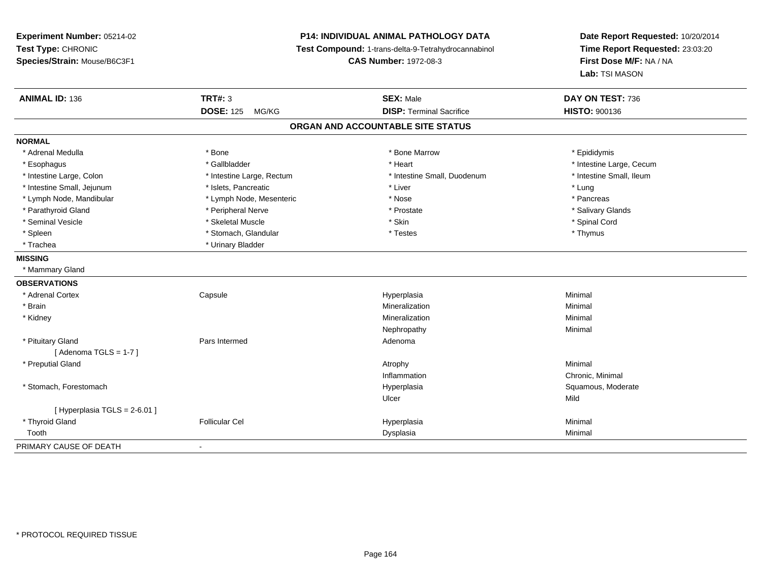**Experiment Number:** 05214-02**Test Type:** CHRONIC **Species/Strain:** Mouse/B6C3F1**P14: INDIVIDUAL ANIMAL PATHOLOGY DATA Test Compound:** 1-trans-delta-9-Tetrahydrocannabinol **CAS Number:** 1972-08-3**Date Report Requested:** 10/20/2014**Time Report Requested:** 23:03:20**First Dose M/F:** NA / NA**Lab:** TSI MASON**ANIMAL ID:** 136**TRT#:** 3 **SEX:** Male **DAY ON TEST:** 736 **DOSE:** 125 MG/KG**DISP:** Terminal Sacrifice **HISTO:** 900136 **ORGAN AND ACCOUNTABLE SITE STATUSNORMAL**\* Adrenal Medulla \* Adrenal Medulla \* \* The matter of the state of the state of the Marrow \* Bone Marrow \* Adrenal Medulla \* Epididymis \* Epididymis \* Bone Marrow \* Adrenal Medulla \* Epididymis \* Epididymis \* Epididymis \* Epididymis \* Epidi \* Esophagus \* https://www.fragustage.com/web/2019/heart \* Heart \* Heart \* Heart \* Intestine Large, Cecum \* Intestine Large, Cecum \* Gallbladder \* Callbladder \* 11 and 12 and 12 and 12 and 12 and 12 and 12 and 12 and 12 and \* Intestine Small, Ileum \* Intestine Large, Colon \* Intestine Large, Rectum \* Intestine Small, Duodenum \* Intestine Small, Duodenum \* Intestine Small, Jejunum \* 1997 \* The state of the state of the state of the state of the state of the state  $\sim$  \* Lung \* Lung \* Lung \* Lung \* Lung \* Lung \* Lung \* Lung \* Lung \* Lung \* Lung \* Lung \* Lung \* Lung \* Lung \* \* Pancreas \* Lymph Node, Mandibular \* Nose \* Lymph Node, Mesenteric \* Nose \* Nose \* Salivary Glands \* Parathyroid Gland \* \* Andrew \* Peripheral Nerve \* \* Prostate \* \* Prostate \* \* Salivary Glands \* Salivary Glands \* Salivary Glands \* Salivary Glands \* Salivary Glands \* Salivary Glands \* Salivary Glands \* Salivary Glands \* Seminal Vesicle \* \* Spinal Cord \* Skeletal Muscle \* \* Skin \* \* Skin \* \* Spinal Vesicle \* Spinal Cord \* Spinal Cord \* Spleen \* Stomach, Glandular \* Thymus \* Testes \* Thymus \* Testes \* Thymus \* Thymus \* Thymus \* Thymus \* Thymus \* Trachea **\*** Urinary Bladder **MISSING** \* Mammary Gland**OBSERVATIONS** \* Adrenal Cortex Capsule Hyperplasia Minimal \* Brainn and the controller of the controller of the controller of the Minimal Mineralization and the controller of the Minimal Minimal  $\alpha$  \* Kidneyy the control of the control of the control of the control of the control of the control of the control of the control of the control of the control of the control of the control of the control of the control of the contro n Minimal Nephropathyy the contract of the Minimal Minimal Section 1996 and the contract of the Minimal Section 1997 and the contract of the contract of the contract of the contract of the contract of the contract of the contract of the contra \* Pituitary Glandd and the Pars Intermed and the Pars of the Pars Intermed and the Adenoma  $[$  Adenoma TGLS = 1-7  $]$  \* Preputial Glandd and the control of the control of the control of the control of the control of the control of the control of  $\lambda$ InflammationInflammation **Exercise 2 (1991)** Chronic, Minimal Myperplasia exercise control of the Squamous, Moderate \* Stomach, Forestomachh ann an t-ìre ann am Suid-Africa ann an t-ìre anns an t-ìre anns an t-ìre anns an t-ìre anns an Suid-Africa a<br>Bhainn an t-ìre anns an t-ìre anns an t-ìre anns an t-ìre anns an t-ìre anns an t-ìre anns an t-ìre anns an t-Ulcerr **Mild**  $[$  Hyperplasia TGLS = 2-6.01 ] \* Thyroid Gland Follicular Cel Hyperplasia Minimal Toothh ann an Chomas ann an t-ainmeile ann an t-ainmeile ann an Dysplasia. Tha an t-ainmeile ann an Dysplasia ann an Dysplasia ann an t-ainmeile an an t-ainmeile ann an t-ainmeile an an t-ainmeile ann an t-ainmeile ann an t-ain PRIMARY CAUSE OF DEATH-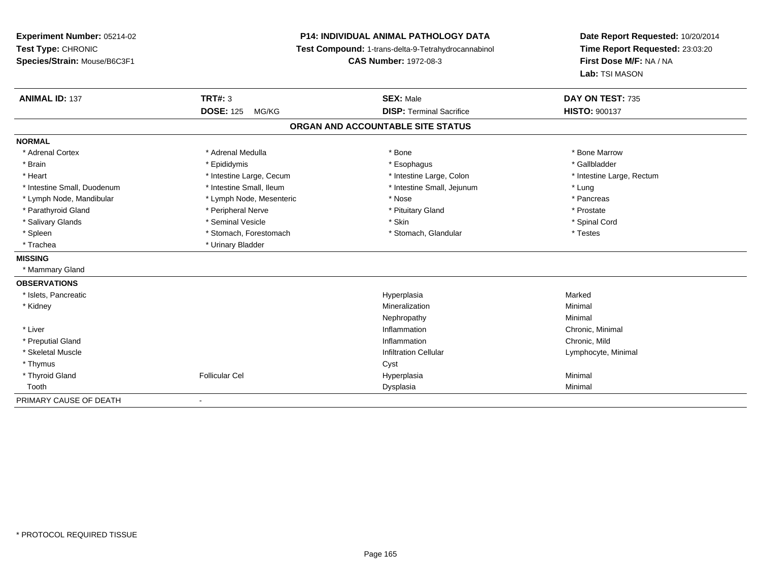**Experiment Number:** 05214-02**Test Type:** CHRONIC **Species/Strain:** Mouse/B6C3F1**P14: INDIVIDUAL ANIMAL PATHOLOGY DATA Test Compound:** 1-trans-delta-9-Tetrahydrocannabinol **CAS Number:** 1972-08-3**Date Report Requested:** 10/20/2014**Time Report Requested:** 23:03:20**First Dose M/F:** NA / NA**Lab:** TSI MASON**ANIMAL ID:** 137**TRT#:** 3 **SEX:** Male **DAY ON TEST:** 735 **DOSE:** 125 MG/KG **DISP:** Terminal Sacrifice **HISTO:** <sup>900137</sup> **ORGAN AND ACCOUNTABLE SITE STATUSNORMAL**\* Adrenal Cortex \* Adrenal Medulla \* Adrenal Medulla \* Bone \* Bone \* Bone \* Bone \* Bone Marrow \* Gallbladder \* Brain \* Allen the state of the state of the state of the state of the state of the state of the state of the state of the state of the state of the state of the state of the state of the state of the state of the state o \* Heart **\*** Intestine Large, Cecum \* Intestine Large, Cecum \* Intestine Large, Colon \* <sup>\*</sup> Intestine Large, Rectum \* Intestine Small, Duodenum \* 100 mm \* Intestine Small, Ileum \* 100 mm \* Intestine Small, Jejunum \* Lung \* Lung \* Pancreas \* Lymph Node, Mandibular \* Nose \* Lymph Node, Mesenteric \* Nose \* Nose \* Prostate \* Parathyroid Gland \* **According the Contract According to the Contract According to the Contract According to the Prosect According to the Prosect According to the Prosect According to the Prosect According to the Prosect** \* Spinal Cord \* Salivary Glands \* \* Seminal Vesicle \* \* Seminal Vesicle \* \* Skin \* \* Skin \* \* Stember \* Spinal Cord \* Spinal Cord \* Spinal Cord \* Spinal Cord \* Spinal Cord \* Spinal Cord \* Spinal Cord \* Spinal Cord \* Spinal Cord \* Spinal \* Spleen \* Stomach, Forestomach \* Stomach \* Stomach, Slandular \* Testes \* Testes \* Trachea \* Urinary Bladder**MISSING** \* Mammary Gland**OBSERVATIONS** \* Islets, Pancreaticc and the control of the control of the control of the control of the control of the control of the control of the control of the control of the control of the control of the control of the control of the control of the co a **Marked**  \* Kidneyy the control of the control of the control of the control of the control of the control of the control of the control of the control of the control of the control of the control of the control of the control of the contro n Minimal Nephropathyy the contract of the Minimal Minimal Section 1996 and the contract of the Minimal Section 1997 and the contract of the contract of the contract of the contract of the contract of the contract of the contract of the contra \* Liver**Inflammation Inflammation** Inflammation **Chronic, Minimal**<br>
Inflammation **Chronic**, Mild \* Preputial Glandd
and **d**and **d**chronic, Mild
come of the contract of the contract of the contract of the contract of the contract of the contract of the contract of the contract of the contract of the contract of the contract of the co \* Skeletal Muscle Infiltration Cellular Lymphocyte, Minimal \* Thymuss the contract of the contract of the contract of the contract of the contract of the contract of the contract of the contract of the contract of the contract of the contract of the contract of the contract of the contract \* Thyroid Gland Follicular Cel Hyperplasia Minimal Toothh ann an Chomas ann an t-ainmeile ann an t-ainmeile ann an Dysplasia. Tha an t-ainmeile ann an Dysplasia ann an Dysplasia ann an t-ainmeile an an t-ainmeile ann an t-ainmeile an an t-ainmeile ann an t-ainmeile ann an t-ain PRIMARY CAUSE OF DEATH-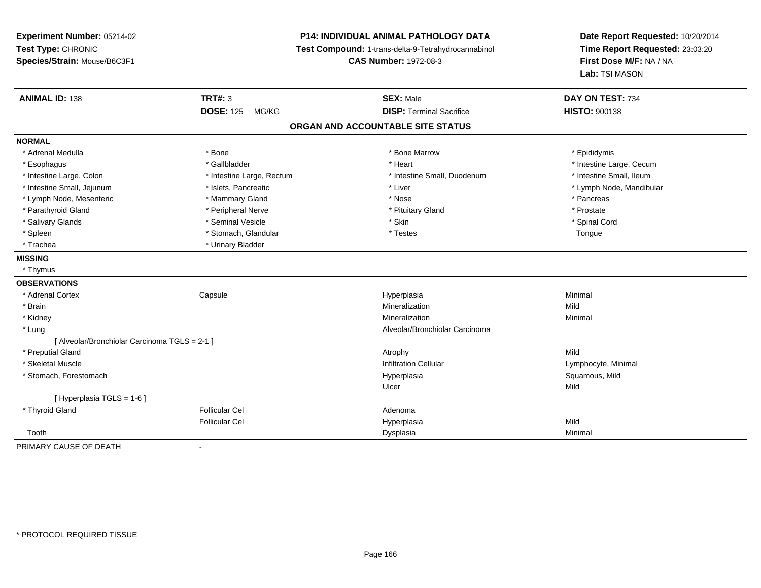**Experiment Number:** 05214-02**Test Type:** CHRONIC **Species/Strain:** Mouse/B6C3F1**P14: INDIVIDUAL ANIMAL PATHOLOGY DATA Test Compound:** 1-trans-delta-9-Tetrahydrocannabinol **CAS Number:** 1972-08-3**Date Report Requested:** 10/20/2014**Time Report Requested:** 23:03:20**First Dose M/F:** NA / NA**Lab:** TSI MASON**ANIMAL ID:** 138**TRT#:** 3 **SEX:** Male **DAY ON TEST:** 734 **DOSE:** 125 MG/KG **DISP:** Terminal Sacrifice **HISTO:** <sup>900138</sup> **ORGAN AND ACCOUNTABLE SITE STATUSNORMAL**\* Adrenal Medulla \* Adrenal Medulla \* \* The matter of the state of the state of the Marrow \* Bone Marrow \* Adrenal Medulla \* Epididymis \* Epididymis \* Bone Marrow \* Adrenal Medulla \* Epididymis \* Epididymis \* Epididymis \* Epididymis \* Epidi \* Esophagus \* https://www.fragustage.com/web/2019/heart \* Heart \* Heart \* Heart \* Intestine Large, Cecum \* Intestine Large, Cecum \* Gallbladder \* Callbladder \* 11 and 12 and 12 and 12 and 12 and 12 and 12 and 12 and 12 and \* Intestine Small, Ileum \* Intestine Large, Colon \* Intestine Large, Rectum \* Intestine Small, Duodenum \* Intestine Small, Duodenum \* Intestine Small, Jejunum \* \* et \* \* http://www.fat.com/mandibulary.com/mandibulary/state/state/state/state/state/state/state/state/state/state/state/state/state/state/state/state/state/state/state/state/state/state/state \* Lymph Node, Mesenteric \* \* The matter of the Mammary Gland \* The matter \* Nose \* The matter of the matter \* Pancreas \* Pancreas \* Prostate \* Parathyroid Gland \* **All and \*** Peripheral Nerve \* Peripheral Theorem \* Pituitary Gland \* Spinal Cord \* Salivary Glands \* \* Seminal Vesicle \* \* Seminal Vesicle \* \* Skin \* \* Skin \* \* Stember \* Spinal Cord \* Spinal Cord \* Spinal Cord \* Spinal Cord \* Spinal Cord \* Spinal Cord \* Spinal Cord \* Spinal Cord \* Spinal Cord \* Spinal \* Spleen \* Stomach, Glandular \* Stomach, Glandular \* Testes \* Testes \* Testes \* Testes \* Tongue \* Trachea **\*** Urinary Bladder **MISSING** \* Thymus**OBSERVATIONS** \* Adrenal Cortex Capsule Hyperplasia Minimal \* Brainn and the control of the control of the control of the control of the control of the control of the control of the control of the control of the control of the control of the control of the control of the control of the co \* Kidneyy the control of the control of the control of the control of the control of the control of the control of the control of the control of the control of the control of the control of the control of the control of the contro n Minimal \* Lung Alveolar/Bronchiolar Carcinoma [ Alveolar/Bronchiolar Carcinoma TGLS = 2-1 ] \* Preputial Glandd and the control of the control of the control of the control of the control of the control of the control of the control of the control of the control of the control of the control of the control of the control of the co \* Skeletal Muscle Infiltration Cellular Lymphocyte, Minimal \* Stomach, Forestomachh ann an t-ìre ann am San Amhaidh ann an t-ìre ann am Mhearpasia ann an San Aonaichte ann an Saluamous, Mild a Ulcerr **Mild** [ Hyperplasia TGLS = 1-6 ] \* Thyroid Glandd and the set of the Follicular Cel the set of the Second Adenomal Adenomal Second Second Second Second Second Second Second Second Second Second Second Second Second Second Second Second Second Second Second Second Second Follicular Cel Hyperplasiaa Mild Toothh ann an Chomas ann an t-ainmeile ann an t-ainmeile ann an Dysplasia. Tha an t-ainmeile ann an Dysplasia ann an Dysplasia ann an t-ainmeile an an t-ainmeile ann an t-ainmeile an an t-ainmeile ann an t-ainmeile ann an t-ain -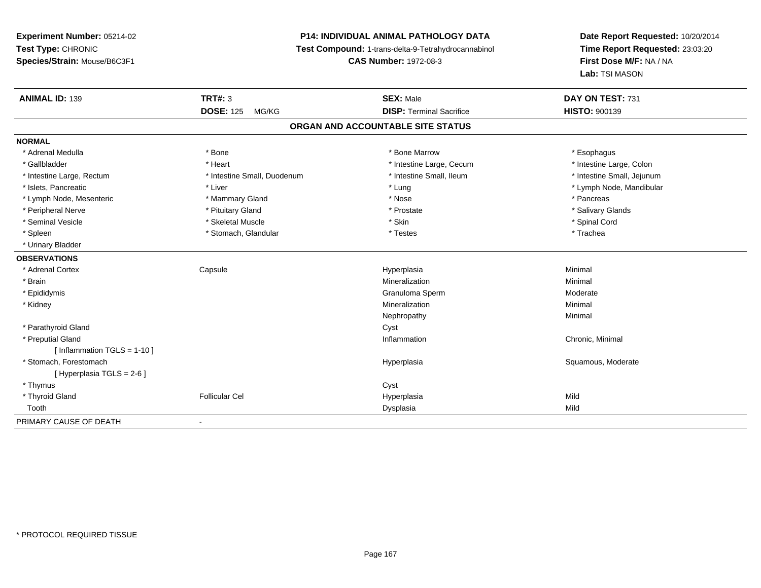## **P14: INDIVIDUAL ANIMAL PATHOLOGY DATA**

**Test Compound:** 1-trans-delta-9-Tetrahydrocannabinol

**CAS Number:** 1972-08-3

| <b>ANIMAL ID: 139</b>          | <b>TRT#: 3</b>              | <b>SEX: Male</b>                  | DAY ON TEST: 731           |
|--------------------------------|-----------------------------|-----------------------------------|----------------------------|
|                                | <b>DOSE: 125</b><br>MG/KG   | <b>DISP: Terminal Sacrifice</b>   | <b>HISTO: 900139</b>       |
|                                |                             | ORGAN AND ACCOUNTABLE SITE STATUS |                            |
| <b>NORMAL</b>                  |                             |                                   |                            |
| * Adrenal Medulla              | * Bone                      | * Bone Marrow                     | * Esophagus                |
| * Gallbladder                  | * Heart                     | * Intestine Large, Cecum          | * Intestine Large, Colon   |
| * Intestine Large, Rectum      | * Intestine Small, Duodenum | * Intestine Small, Ileum          | * Intestine Small, Jejunum |
| * Islets, Pancreatic           | * Liver                     | * Lung                            | * Lymph Node, Mandibular   |
| * Lymph Node, Mesenteric       | * Mammary Gland             | * Nose                            | * Pancreas                 |
| * Peripheral Nerve             | * Pituitary Gland           | * Prostate                        | * Salivary Glands          |
| * Seminal Vesicle              | * Skeletal Muscle           | * Skin                            | * Spinal Cord              |
| * Spleen                       | * Stomach, Glandular        | * Testes                          | * Trachea                  |
| * Urinary Bladder              |                             |                                   |                            |
| <b>OBSERVATIONS</b>            |                             |                                   |                            |
| * Adrenal Cortex               | Capsule                     | Hyperplasia                       | Minimal                    |
| * Brain                        |                             | Mineralization                    | Minimal                    |
| * Epididymis                   |                             | Granuloma Sperm                   | Moderate                   |
| * Kidney                       |                             | Mineralization                    | Minimal                    |
|                                |                             | Nephropathy                       | Minimal                    |
| * Parathyroid Gland            |                             | Cyst                              |                            |
| * Preputial Gland              |                             | Inflammation                      | Chronic, Minimal           |
| [ Inflammation $TGLS = 1-10$ ] |                             |                                   |                            |
| * Stomach, Forestomach         |                             | Hyperplasia                       | Squamous, Moderate         |
| [ Hyperplasia TGLS = 2-6 ]     |                             |                                   |                            |
| * Thymus                       |                             | Cyst                              |                            |
| * Thyroid Gland                | <b>Follicular Cel</b>       | Hyperplasia                       | Mild                       |
| Tooth                          |                             | Dysplasia                         | Mild                       |
| PRIMARY CAUSE OF DEATH         |                             |                                   |                            |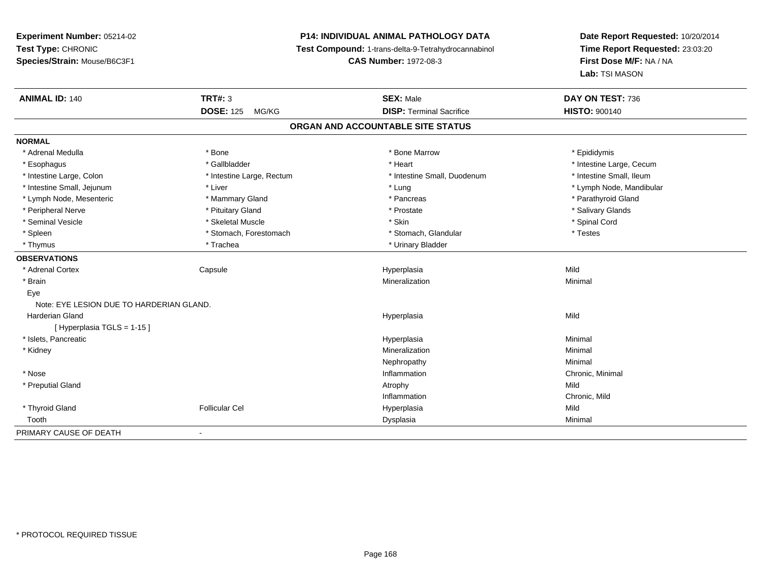## **P14: INDIVIDUAL ANIMAL PATHOLOGY DATA**

**Test Compound:** 1-trans-delta-9-Tetrahydrocannabinol

**CAS Number:** 1972-08-3

| <b>ANIMAL ID: 140</b>                    | <b>TRT#: 3</b><br><b>DOSE: 125</b><br>MG/KG | <b>SEX: Male</b><br><b>DISP: Terminal Sacrifice</b> | DAY ON TEST: 736         |
|------------------------------------------|---------------------------------------------|-----------------------------------------------------|--------------------------|
|                                          |                                             |                                                     | <b>HISTO: 900140</b>     |
|                                          |                                             | ORGAN AND ACCOUNTABLE SITE STATUS                   |                          |
| <b>NORMAL</b>                            |                                             |                                                     |                          |
| * Adrenal Medulla                        | * Bone                                      | * Bone Marrow                                       | * Epididymis             |
| * Esophagus                              | * Gallbladder                               | * Heart                                             | * Intestine Large, Cecum |
| * Intestine Large, Colon                 | * Intestine Large, Rectum                   | * Intestine Small, Duodenum                         | * Intestine Small, Ileum |
| * Intestine Small, Jejunum               | * Liver                                     | * Lung                                              | * Lymph Node, Mandibular |
| * Lymph Node, Mesenteric                 | * Mammary Gland                             | * Pancreas                                          | * Parathyroid Gland      |
| * Peripheral Nerve                       | * Pituitary Gland                           | * Prostate                                          | * Salivary Glands        |
| * Seminal Vesicle                        | * Skeletal Muscle                           | * Skin                                              | * Spinal Cord            |
| * Spleen                                 | * Stomach, Forestomach                      | * Stomach, Glandular                                | * Testes                 |
| * Thymus                                 | * Trachea                                   | * Urinary Bladder                                   |                          |
| <b>OBSERVATIONS</b>                      |                                             |                                                     |                          |
| * Adrenal Cortex                         | Capsule                                     | Hyperplasia                                         | Mild                     |
| * Brain                                  |                                             | Mineralization                                      | Minimal                  |
| Eye                                      |                                             |                                                     |                          |
| Note: EYE LESION DUE TO HARDERIAN GLAND. |                                             |                                                     |                          |
| <b>Harderian Gland</b>                   |                                             | Hyperplasia                                         | Mild                     |
| [Hyperplasia TGLS = 1-15]                |                                             |                                                     |                          |
| * Islets, Pancreatic                     |                                             | Hyperplasia                                         | Minimal                  |
| * Kidney                                 |                                             | Mineralization                                      | Minimal                  |
|                                          |                                             | Nephropathy                                         | Minimal                  |
| * Nose                                   |                                             | Inflammation                                        | Chronic, Minimal         |
| * Preputial Gland                        |                                             | Atrophy                                             | Mild                     |
|                                          |                                             | Inflammation                                        | Chronic, Mild            |
| * Thyroid Gland                          | <b>Follicular Cel</b>                       | Hyperplasia                                         | Mild                     |
| Tooth                                    |                                             | Dysplasia                                           | Minimal                  |
| PRIMARY CAUSE OF DEATH                   | $\overline{\phantom{a}}$                    |                                                     |                          |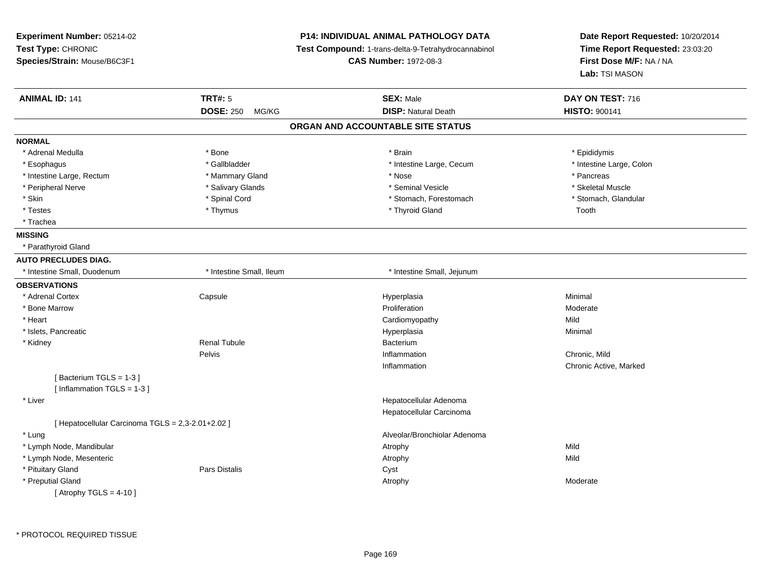| Experiment Number: 05214-02<br>Test Type: CHRONIC<br>Species/Strain: Mouse/B6C3F1 |                           | P14: INDIVIDUAL ANIMAL PATHOLOGY DATA<br>Test Compound: 1-trans-delta-9-Tetrahydrocannabinol<br><b>CAS Number: 1972-08-3</b> | Date Report Requested: 10/20/2014<br>Time Report Requested: 23:03:20<br>First Dose M/F: NA / NA<br>Lab: TSI MASON |
|-----------------------------------------------------------------------------------|---------------------------|------------------------------------------------------------------------------------------------------------------------------|-------------------------------------------------------------------------------------------------------------------|
| <b>ANIMAL ID: 141</b>                                                             | <b>TRT#: 5</b>            | <b>SEX: Male</b>                                                                                                             | DAY ON TEST: 716                                                                                                  |
|                                                                                   | <b>DOSE: 250</b><br>MG/KG | <b>DISP: Natural Death</b>                                                                                                   | <b>HISTO: 900141</b>                                                                                              |
|                                                                                   |                           | ORGAN AND ACCOUNTABLE SITE STATUS                                                                                            |                                                                                                                   |
| <b>NORMAL</b>                                                                     |                           |                                                                                                                              |                                                                                                                   |
| * Adrenal Medulla                                                                 | * Bone                    | * Brain                                                                                                                      | * Epididymis                                                                                                      |
| * Esophagus                                                                       | * Gallbladder             | * Intestine Large, Cecum                                                                                                     | * Intestine Large, Colon                                                                                          |
| * Intestine Large, Rectum                                                         | * Mammary Gland           | * Nose                                                                                                                       | * Pancreas                                                                                                        |
| * Peripheral Nerve                                                                | * Salivary Glands         | * Seminal Vesicle                                                                                                            | * Skeletal Muscle                                                                                                 |
| * Skin                                                                            | * Spinal Cord             | * Stomach, Forestomach                                                                                                       | * Stomach, Glandular                                                                                              |
| * Testes                                                                          | * Thymus                  | * Thyroid Gland                                                                                                              | Tooth                                                                                                             |
| * Trachea                                                                         |                           |                                                                                                                              |                                                                                                                   |
| <b>MISSING</b>                                                                    |                           |                                                                                                                              |                                                                                                                   |
| * Parathyroid Gland                                                               |                           |                                                                                                                              |                                                                                                                   |
| <b>AUTO PRECLUDES DIAG.</b>                                                       |                           |                                                                                                                              |                                                                                                                   |
| * Intestine Small, Duodenum                                                       | * Intestine Small, Ileum  | * Intestine Small, Jejunum                                                                                                   |                                                                                                                   |
| <b>OBSERVATIONS</b>                                                               |                           |                                                                                                                              |                                                                                                                   |
| * Adrenal Cortex                                                                  | Capsule                   | Hyperplasia                                                                                                                  | Minimal                                                                                                           |
| * Bone Marrow                                                                     |                           | Proliferation                                                                                                                | Moderate                                                                                                          |
| * Heart                                                                           |                           | Cardiomyopathy                                                                                                               | Mild                                                                                                              |
| * Islets, Pancreatic                                                              |                           | Hyperplasia                                                                                                                  | Minimal                                                                                                           |
| * Kidney                                                                          | <b>Renal Tubule</b>       | Bacterium                                                                                                                    |                                                                                                                   |
|                                                                                   | Pelvis                    | Inflammation                                                                                                                 | Chronic, Mild                                                                                                     |
|                                                                                   |                           | Inflammation                                                                                                                 | Chronic Active, Marked                                                                                            |
| [Bacterium TGLS = 1-3]                                                            |                           |                                                                                                                              |                                                                                                                   |
| [Inflammation TGLS = 1-3]                                                         |                           |                                                                                                                              |                                                                                                                   |
| * Liver                                                                           |                           | Hepatocellular Adenoma                                                                                                       |                                                                                                                   |
|                                                                                   |                           | Hepatocellular Carcinoma                                                                                                     |                                                                                                                   |
| [ Hepatocellular Carcinoma TGLS = 2,3-2.01+2.02 ]                                 |                           |                                                                                                                              |                                                                                                                   |
| * Lung                                                                            |                           | Alveolar/Bronchiolar Adenoma                                                                                                 |                                                                                                                   |
| * Lymph Node, Mandibular                                                          |                           | Atrophy                                                                                                                      | Mild                                                                                                              |
| * Lymph Node, Mesenteric                                                          |                           | Atrophy                                                                                                                      | Mild                                                                                                              |
| * Pituitary Gland                                                                 | Pars Distalis             | Cyst                                                                                                                         |                                                                                                                   |
| * Preputial Gland                                                                 |                           | Atrophy                                                                                                                      | Moderate                                                                                                          |
| [Atrophy TGLS = $4-10$ ]                                                          |                           |                                                                                                                              |                                                                                                                   |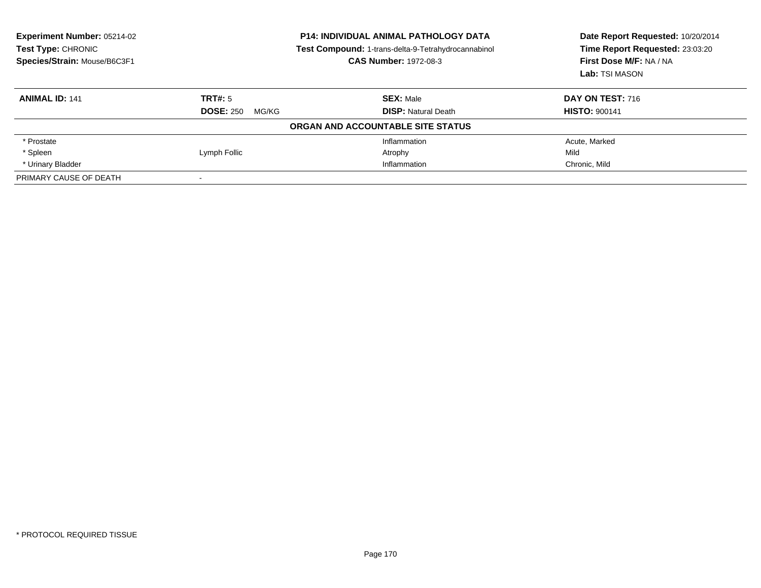| <b>Experiment Number: 05214-02</b><br>Test Type: CHRONIC<br>Species/Strain: Mouse/B6C3F1 | <b>P14: INDIVIDUAL ANIMAL PATHOLOGY DATA</b><br>Test Compound: 1-trans-delta-9-Tetrahydrocannabinol<br><b>CAS Number: 1972-08-3</b> |                                   | Date Report Requested: 10/20/2014<br>Time Report Requested: 23:03:20<br>First Dose M/F: NA / NA<br>Lab: TSI MASON |
|------------------------------------------------------------------------------------------|-------------------------------------------------------------------------------------------------------------------------------------|-----------------------------------|-------------------------------------------------------------------------------------------------------------------|
| <b>ANIMAL ID: 141</b>                                                                    | TRT#: 5                                                                                                                             | <b>SEX: Male</b>                  | <b>DAY ON TEST: 716</b>                                                                                           |
|                                                                                          | <b>DOSE: 250</b><br>MG/KG                                                                                                           | <b>DISP:</b> Natural Death        | <b>HISTO: 900141</b>                                                                                              |
|                                                                                          |                                                                                                                                     | ORGAN AND ACCOUNTABLE SITE STATUS |                                                                                                                   |
| * Prostate                                                                               |                                                                                                                                     | Inflammation                      | Acute, Marked                                                                                                     |
| * Spleen                                                                                 | Lymph Follic                                                                                                                        | Atrophy                           | Mild                                                                                                              |
| * Urinary Bladder                                                                        |                                                                                                                                     | Inflammation                      | Chronic, Mild                                                                                                     |
| PRIMARY CAUSE OF DEATH                                                                   |                                                                                                                                     |                                   |                                                                                                                   |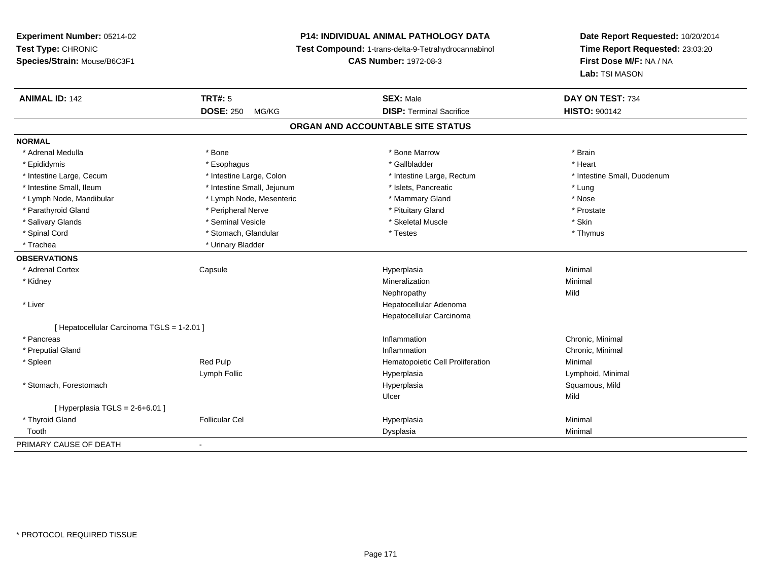# **P14: INDIVIDUAL ANIMAL PATHOLOGY DATA**

**Test Compound:** 1-trans-delta-9-Tetrahydrocannabinol

**CAS Number:** 1972-08-3

| <b>ANIMAL ID: 142</b>                      | <b>TRT#: 5</b>             | <b>SEX: Male</b>                  | DAY ON TEST: 734            |
|--------------------------------------------|----------------------------|-----------------------------------|-----------------------------|
|                                            | <b>DOSE: 250</b><br>MG/KG  | <b>DISP: Terminal Sacrifice</b>   | <b>HISTO: 900142</b>        |
|                                            |                            | ORGAN AND ACCOUNTABLE SITE STATUS |                             |
| <b>NORMAL</b>                              |                            |                                   |                             |
| * Adrenal Medulla                          | * Bone                     | * Bone Marrow                     | * Brain                     |
| * Epididymis                               | * Esophagus                | * Gallbladder                     | * Heart                     |
| * Intestine Large, Cecum                   | * Intestine Large, Colon   | * Intestine Large, Rectum         | * Intestine Small, Duodenum |
| * Intestine Small, Ileum                   | * Intestine Small, Jejunum | * Islets, Pancreatic              | * Lung                      |
| * Lymph Node, Mandibular                   | * Lymph Node, Mesenteric   | * Mammary Gland                   | * Nose                      |
| * Parathyroid Gland                        | * Peripheral Nerve         | * Pituitary Gland                 | * Prostate                  |
| * Salivary Glands                          | * Seminal Vesicle          | * Skeletal Muscle                 | * Skin                      |
| * Spinal Cord                              | * Stomach, Glandular       | * Testes                          | * Thymus                    |
| * Trachea                                  | * Urinary Bladder          |                                   |                             |
| <b>OBSERVATIONS</b>                        |                            |                                   |                             |
| * Adrenal Cortex                           | Capsule                    | Hyperplasia                       | Minimal                     |
| * Kidney                                   |                            | Mineralization                    | Minimal                     |
|                                            |                            | Nephropathy                       | Mild                        |
| * Liver                                    |                            | Hepatocellular Adenoma            |                             |
|                                            |                            | Hepatocellular Carcinoma          |                             |
| [ Hepatocellular Carcinoma TGLS = 1-2.01 ] |                            |                                   |                             |
| * Pancreas                                 |                            | Inflammation                      | Chronic, Minimal            |
| * Preputial Gland                          |                            | Inflammation                      | Chronic, Minimal            |
| * Spleen                                   | <b>Red Pulp</b>            | Hematopoietic Cell Proliferation  | Minimal                     |
|                                            | Lymph Follic               | Hyperplasia                       | Lymphoid, Minimal           |
| * Stomach, Forestomach                     |                            | Hyperplasia                       | Squamous, Mild              |
|                                            |                            | Ulcer                             | Mild                        |
| [Hyperplasia TGLS = $2-6+6.01$ ]           |                            |                                   |                             |
| * Thyroid Gland                            | <b>Follicular Cel</b>      | Hyperplasia                       | Minimal                     |
| Tooth                                      |                            | Dysplasia                         | Minimal                     |
| PRIMARY CAUSE OF DEATH                     | $\overline{\phantom{a}}$   |                                   |                             |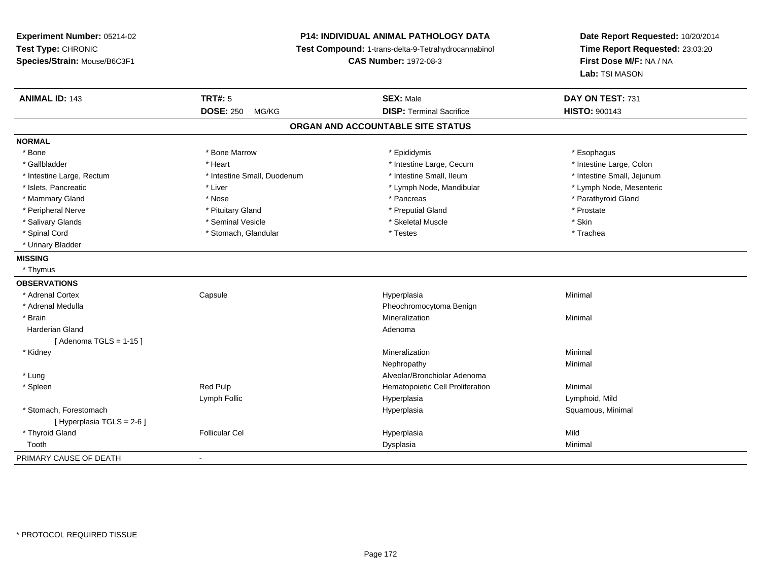## **P14: INDIVIDUAL ANIMAL PATHOLOGY DATA**

**Test Compound:** 1-trans-delta-9-Tetrahydrocannabinol

**CAS Number:** 1972-08-3

| <b>ANIMAL ID: 143</b>      | <b>TRT#: 5</b>              | <b>SEX: Male</b>                  | DAY ON TEST: 731           |
|----------------------------|-----------------------------|-----------------------------------|----------------------------|
|                            | <b>DOSE: 250</b><br>MG/KG   | <b>DISP: Terminal Sacrifice</b>   | <b>HISTO: 900143</b>       |
|                            |                             | ORGAN AND ACCOUNTABLE SITE STATUS |                            |
| <b>NORMAL</b>              |                             |                                   |                            |
| * Bone                     | * Bone Marrow               | * Epididymis                      | * Esophagus                |
| * Gallbladder              | * Heart                     | * Intestine Large, Cecum          | * Intestine Large, Colon   |
| * Intestine Large, Rectum  | * Intestine Small, Duodenum | * Intestine Small, Ileum          | * Intestine Small, Jejunum |
| * Islets, Pancreatic       | * Liver                     | * Lymph Node, Mandibular          | * Lymph Node, Mesenteric   |
| * Mammary Gland            | * Nose                      | * Pancreas                        | * Parathyroid Gland        |
| * Peripheral Nerve         | * Pituitary Gland           | * Preputial Gland                 | * Prostate                 |
| * Salivary Glands          | * Seminal Vesicle           | * Skeletal Muscle                 | * Skin                     |
| * Spinal Cord              | * Stomach, Glandular        | * Testes                          | * Trachea                  |
| * Urinary Bladder          |                             |                                   |                            |
| <b>MISSING</b>             |                             |                                   |                            |
| * Thymus                   |                             |                                   |                            |
| <b>OBSERVATIONS</b>        |                             |                                   |                            |
| * Adrenal Cortex           | Capsule                     | Hyperplasia                       | Minimal                    |
| * Adrenal Medulla          |                             | Pheochromocytoma Benign           |                            |
| * Brain                    |                             | Mineralization                    | Minimal                    |
| Harderian Gland            |                             | Adenoma                           |                            |
| [Adenoma TGLS = $1-15$ ]   |                             |                                   |                            |
| * Kidney                   |                             | Mineralization                    | Minimal                    |
|                            |                             | Nephropathy                       | Minimal                    |
| * Lung                     |                             | Alveolar/Bronchiolar Adenoma      |                            |
| * Spleen                   | Red Pulp                    | Hematopoietic Cell Proliferation  | Minimal                    |
|                            | Lymph Follic                | Hyperplasia                       | Lymphoid, Mild             |
| * Stomach, Forestomach     |                             | Hyperplasia                       | Squamous, Minimal          |
| [ Hyperplasia TGLS = 2-6 ] |                             |                                   |                            |
| * Thyroid Gland            | <b>Follicular Cel</b>       | Hyperplasia                       | Mild                       |
| Tooth                      |                             | Dysplasia                         | Minimal                    |
| PRIMARY CAUSE OF DEATH     | $\blacksquare$              |                                   |                            |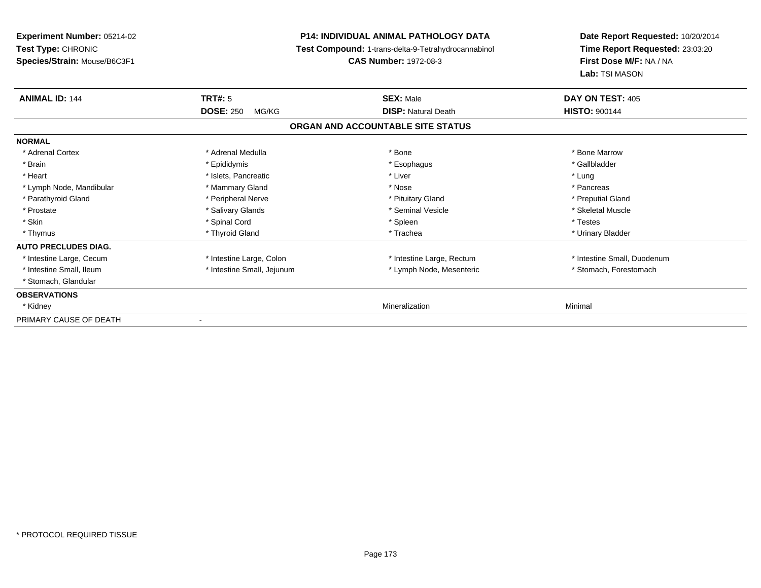| Experiment Number: 05214-02<br>Test Type: CHRONIC<br>Species/Strain: Mouse/B6C3F1 |                            | <b>P14: INDIVIDUAL ANIMAL PATHOLOGY DATA</b><br>Test Compound: 1-trans-delta-9-Tetrahydrocannabinol<br><b>CAS Number: 1972-08-3</b> | Date Report Requested: 10/20/2014<br>Time Report Requested: 23:03:20<br>First Dose M/F: NA / NA<br>Lab: TSI MASON |
|-----------------------------------------------------------------------------------|----------------------------|-------------------------------------------------------------------------------------------------------------------------------------|-------------------------------------------------------------------------------------------------------------------|
|                                                                                   |                            |                                                                                                                                     |                                                                                                                   |
| <b>ANIMAL ID: 144</b>                                                             | <b>TRT#: 5</b>             | <b>SEX: Male</b>                                                                                                                    | DAY ON TEST: 405                                                                                                  |
|                                                                                   | <b>DOSE: 250</b><br>MG/KG  | <b>DISP: Natural Death</b>                                                                                                          | <b>HISTO: 900144</b>                                                                                              |
|                                                                                   |                            | ORGAN AND ACCOUNTABLE SITE STATUS                                                                                                   |                                                                                                                   |
| <b>NORMAL</b>                                                                     |                            |                                                                                                                                     |                                                                                                                   |
| * Adrenal Cortex                                                                  | * Adrenal Medulla          | * Bone                                                                                                                              | * Bone Marrow                                                                                                     |
| * Brain                                                                           | * Epididymis               | * Esophagus                                                                                                                         | * Gallbladder                                                                                                     |
| * Heart                                                                           | * Islets, Pancreatic       | * Liver                                                                                                                             | * Lung                                                                                                            |
| * Lymph Node, Mandibular                                                          | * Mammary Gland            | * Nose                                                                                                                              | * Pancreas                                                                                                        |
| * Parathyroid Gland                                                               | * Peripheral Nerve         | * Pituitary Gland                                                                                                                   | * Preputial Gland                                                                                                 |
| * Prostate                                                                        | * Salivary Glands          | * Seminal Vesicle                                                                                                                   | * Skeletal Muscle                                                                                                 |
| * Skin                                                                            | * Spinal Cord              | * Spleen                                                                                                                            | * Testes                                                                                                          |
| * Thymus                                                                          | * Thyroid Gland            | * Trachea                                                                                                                           | * Urinary Bladder                                                                                                 |
| <b>AUTO PRECLUDES DIAG.</b>                                                       |                            |                                                                                                                                     |                                                                                                                   |
| * Intestine Large, Cecum                                                          | * Intestine Large, Colon   | * Intestine Large, Rectum                                                                                                           | * Intestine Small, Duodenum                                                                                       |
| * Intestine Small, Ileum                                                          | * Intestine Small, Jejunum | * Lymph Node, Mesenteric                                                                                                            | * Stomach, Forestomach                                                                                            |
| * Stomach, Glandular                                                              |                            |                                                                                                                                     |                                                                                                                   |
| <b>OBSERVATIONS</b>                                                               |                            |                                                                                                                                     |                                                                                                                   |
| * Kidney                                                                          |                            | Mineralization                                                                                                                      | Minimal                                                                                                           |
| PRIMARY CAUSE OF DEATH                                                            |                            |                                                                                                                                     |                                                                                                                   |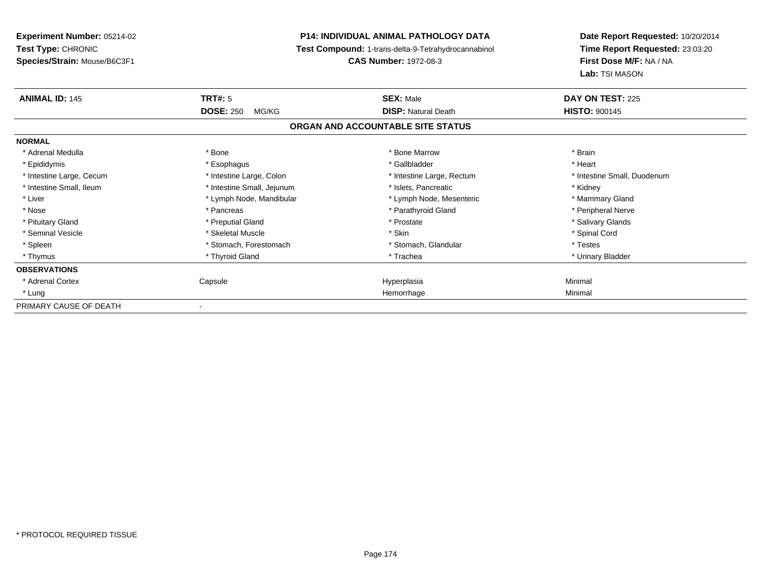**Experiment Number:** 05214-02**Test Type:** CHRONIC **Species/Strain:** Mouse/B6C3F1**P14: INDIVIDUAL ANIMAL PATHOLOGY DATA Test Compound:** 1-trans-delta-9-Tetrahydrocannabinol **CAS Number:** 1972-08-3**Date Report Requested:** 10/20/2014**Time Report Requested:** 23:03:20**First Dose M/F:** NA / NA**Lab:** TSI MASON**ANIMAL ID:** 145**TRT#:** 5 **SEX:** Male **DAY ON TEST:** 225 **DOSE:** 250 MG/KG**DISP:** Natural Death **HISTO:**  $900145$ **ORGAN AND ACCOUNTABLE SITE STATUSNORMAL**\* Adrenal Medulla \* \* Annual Medulla \* Brain \* Bone \* \* Bone Marrow \* Bone Marrow \* \* Brain \* Brain \* Brain \* Brain \* Brain \* Brain \* Brain \* Brain \* Brain \* Brain \* Brain \* Brain \* Brain \* Brain \* Brain \* Brain \* Brain \* \* Heart \* Epididymis \* Esophagus \* Gallbladder \* Heart\* Intestine Large, Cecum \* Intestine Large, Colon \* Intestine Large, Rectum \* Intestine Small, Duodenum \* Intestine Small, Ileum \* **Alleman \* Intestine Small, Jejunum** \* The \* Islets, Pancreatic \* \* Kidney \* Kidney \* Mammary Gland \* Liver \* Lymph Node, Mandibular \* Mammary Americ \* Lymph Node, Mesenteric \* Mammary Glandibular \* Mammary Glandian \* Peripheral Nerve \* Nose \* \* Pancreas \* \* Pancreas \* \* Pancreas \* \* Parathyroid Gland \* \* Peripheral Nerve \* Peripheral Nerve \* \* Salivary Glands \* Pituitary Gland \* \* Then the state \* Preputial Gland \* Prosection \* Prostate \* \* Salivary Glands \* Salivary Glands \* Salivary Glands \* Salivary Glands \* Salivary Glands \* Salivary Glands \* Salivary Glands \* Salivary Glan \* Seminal Vesicle \* \* Spinal Cord \* Skeletal Muscle \* \* Skin \* \* Skin \* \* Spinal Vesicle \* Spinal Cord \* Spinal Cord \* Spleen \* Stomach, Forestomach \* Stomach \* Stomach, Slandular \* Testes \* Testes \* Urinary Bladder \* Thymus \* Thyroid Gland \* Trachea \* Urinary Bladder \* **OBSERVATIONS** \* Adrenal Cortex Capsulee and the Hyperplasia Minimal Minimal Service and the Hyperplasia Minimal Minimal Service and Minimal Service and Minimal Service and Minimal Service and Minimal Service and Minimal Service and Minimal Service and Minimal \* Lungg and the state of the state of the state of the state of the state of the state of the state of the state of the state of the state of the state of the state of the state of the state of the state of the state of the stat PRIMARY CAUSE OF DEATH-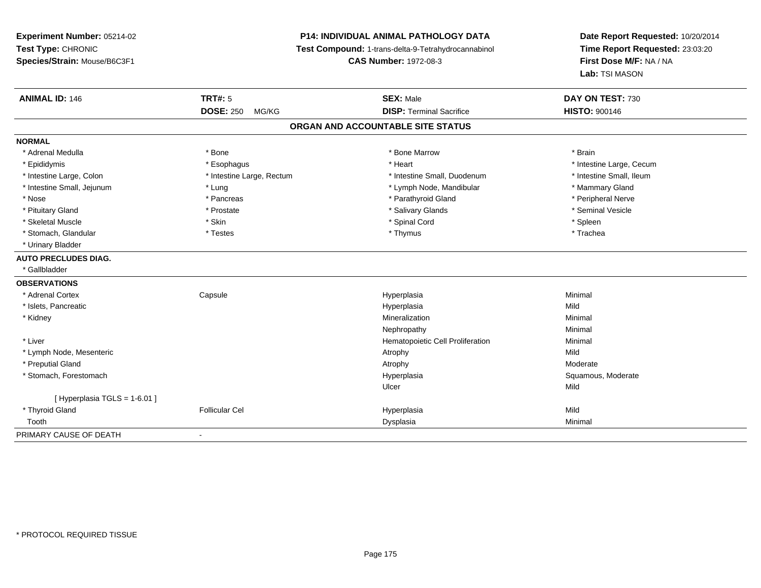## **P14: INDIVIDUAL ANIMAL PATHOLOGY DATA**

**Test Compound:** 1-trans-delta-9-Tetrahydrocannabinol

**CAS Number:** 1972-08-3

| <b>ANIMAL ID: 146</b>         | <b>TRT#: 5</b>            | <b>SEX: Male</b>                  | DAY ON TEST: 730         |
|-------------------------------|---------------------------|-----------------------------------|--------------------------|
|                               | <b>DOSE: 250</b><br>MG/KG | <b>DISP: Terminal Sacrifice</b>   | <b>HISTO: 900146</b>     |
|                               |                           | ORGAN AND ACCOUNTABLE SITE STATUS |                          |
| <b>NORMAL</b>                 |                           |                                   |                          |
| * Adrenal Medulla             | * Bone                    | * Bone Marrow                     | * Brain                  |
| * Epididymis                  | * Esophagus               | * Heart                           | * Intestine Large, Cecum |
| * Intestine Large, Colon      | * Intestine Large, Rectum | * Intestine Small, Duodenum       | * Intestine Small, Ileum |
| * Intestine Small, Jejunum    | * Lung                    | * Lymph Node, Mandibular          | * Mammary Gland          |
| * Nose                        | * Pancreas                | * Parathyroid Gland               | * Peripheral Nerve       |
| * Pituitary Gland             | * Prostate                | * Salivary Glands                 | * Seminal Vesicle        |
| * Skeletal Muscle             | * Skin                    | * Spinal Cord                     | * Spleen                 |
| * Stomach, Glandular          | * Testes                  | * Thymus                          | * Trachea                |
| * Urinary Bladder             |                           |                                   |                          |
| <b>AUTO PRECLUDES DIAG.</b>   |                           |                                   |                          |
| * Gallbladder                 |                           |                                   |                          |
| <b>OBSERVATIONS</b>           |                           |                                   |                          |
| * Adrenal Cortex              | Capsule                   | Hyperplasia                       | Minimal                  |
| * Islets, Pancreatic          |                           | Hyperplasia                       | Mild                     |
| * Kidney                      |                           | Mineralization                    | Minimal                  |
|                               |                           | Nephropathy                       | Minimal                  |
| * Liver                       |                           | Hematopoietic Cell Proliferation  | Minimal                  |
| * Lymph Node, Mesenteric      |                           | Atrophy                           | Mild                     |
| * Preputial Gland             |                           | Atrophy                           | Moderate                 |
| * Stomach, Forestomach        |                           | Hyperplasia                       | Squamous, Moderate       |
|                               |                           | Ulcer                             | Mild                     |
| [ Hyperplasia TGLS = 1-6.01 ] |                           |                                   |                          |
| * Thyroid Gland               | <b>Follicular Cel</b>     | Hyperplasia                       | Mild                     |
| Tooth                         |                           | Dysplasia                         | Minimal                  |
| PRIMARY CAUSE OF DEATH        | $\blacksquare$            |                                   |                          |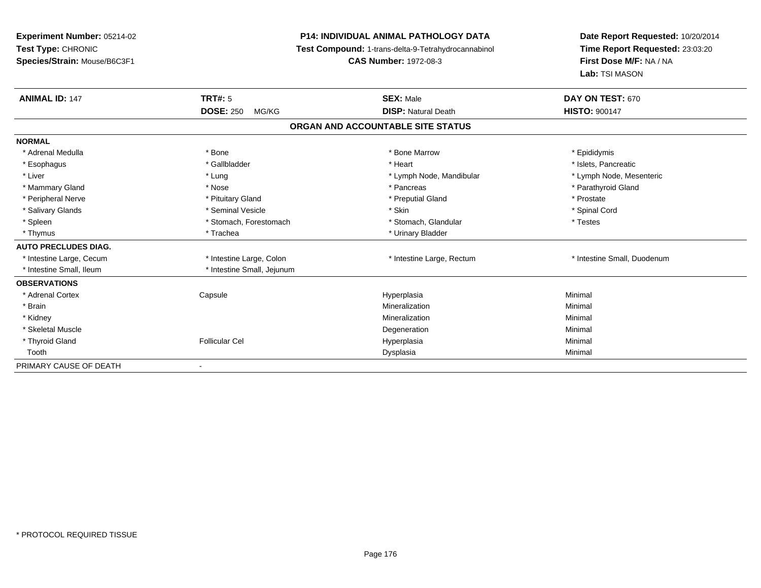## **P14: INDIVIDUAL ANIMAL PATHOLOGY DATA**

**Test Compound:** 1-trans-delta-9-Tetrahydrocannabinol

**CAS Number:** 1972-08-3

| <b>ANIMAL ID: 147</b>       | TRT#: 5                    | <b>SEX: Male</b>                  | DAY ON TEST: 670            |  |
|-----------------------------|----------------------------|-----------------------------------|-----------------------------|--|
|                             | <b>DOSE: 250</b><br>MG/KG  | <b>DISP: Natural Death</b>        | <b>HISTO: 900147</b>        |  |
|                             |                            | ORGAN AND ACCOUNTABLE SITE STATUS |                             |  |
| <b>NORMAL</b>               |                            |                                   |                             |  |
| * Adrenal Medulla           | * Bone                     | * Bone Marrow                     | * Epididymis                |  |
| * Esophagus                 | * Gallbladder              | * Heart                           | * Islets, Pancreatic        |  |
| * Liver                     | * Lung                     | * Lymph Node, Mandibular          | * Lymph Node, Mesenteric    |  |
| * Mammary Gland             | * Nose                     | * Pancreas                        | * Parathyroid Gland         |  |
| * Peripheral Nerve          | * Pituitary Gland          | * Preputial Gland                 | * Prostate                  |  |
| * Salivary Glands           | * Seminal Vesicle          | * Skin                            | * Spinal Cord               |  |
| * Spleen                    | * Stomach, Forestomach     | * Stomach, Glandular              | * Testes                    |  |
| * Thymus                    | * Trachea                  | * Urinary Bladder                 |                             |  |
| <b>AUTO PRECLUDES DIAG.</b> |                            |                                   |                             |  |
| * Intestine Large, Cecum    | * Intestine Large, Colon   | * Intestine Large, Rectum         | * Intestine Small, Duodenum |  |
| * Intestine Small, Ileum    | * Intestine Small, Jejunum |                                   |                             |  |
| <b>OBSERVATIONS</b>         |                            |                                   |                             |  |
| * Adrenal Cortex            | Capsule                    | Hyperplasia                       | Minimal                     |  |
| * Brain                     |                            | Mineralization                    | Minimal                     |  |
| * Kidney                    |                            | Mineralization                    | Minimal                     |  |
| * Skeletal Muscle           |                            | Degeneration                      | Minimal                     |  |
| * Thyroid Gland             | <b>Follicular Cel</b>      | Hyperplasia                       | Minimal                     |  |
| Tooth                       |                            | Dysplasia                         | Minimal                     |  |
| PRIMARY CAUSE OF DEATH      | $\blacksquare$             |                                   |                             |  |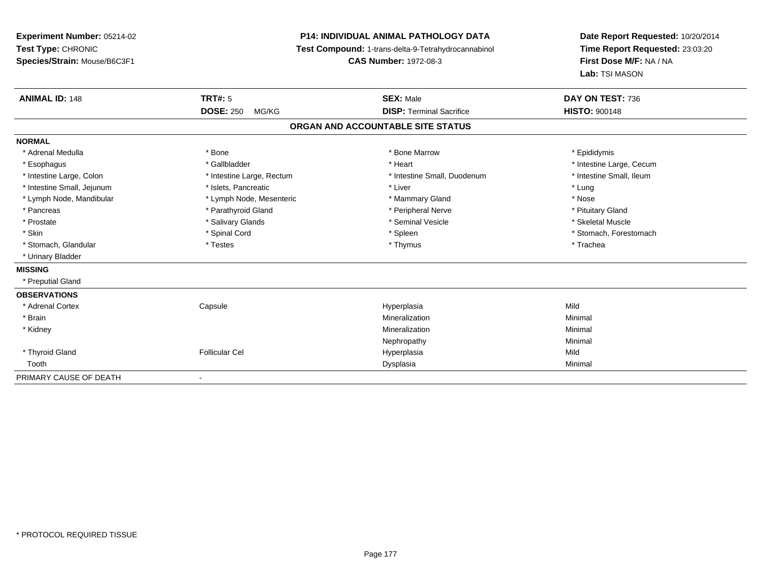**Experiment Number:** 05214-02**Test Type:** CHRONIC **Species/Strain:** Mouse/B6C3F1**P14: INDIVIDUAL ANIMAL PATHOLOGY DATA Test Compound:** 1-trans-delta-9-Tetrahydrocannabinol **CAS Number:** 1972-08-3**Date Report Requested:** 10/20/2014**Time Report Requested:** 23:03:20**First Dose M/F:** NA / NA**Lab:** TSI MASON**ANIMAL ID:** 148**TRT#:** 5 **SEX:** Male **DAY ON TEST:** 736 **DOSE:** 250 MG/KG**DISP:** Terminal Sacrifice **HISTO:** 900148 **ORGAN AND ACCOUNTABLE SITE STATUSNORMAL**\* Adrenal Medulla \* Adrenal Medulla \* \* The matter of the state of the state of the Marrow \* Bone Marrow \* Adrenal Medulla \* Epididymis \* Epididymis \* Bone Marrow \* Adrenal Medulla \* Epididymis \* Epididymis \* Epididymis \* Epididymis \* Epidi \* Esophagus \* https://www.fragustage.com/web/2019/heart \* Heart \* Heart \* Heart \* Intestine Large, Cecum \* Intestine Large, Cecum \* Gallbladder \* Callbladder \* 11 and 12 and 12 and 12 and 12 and 12 and 12 and 12 and 12 and \* Intestine Small, Ileum \* Intestine Large, Colon \* Intestine Large, Rectum \* Intestine Small, Duodenum \* Intestine Small, Duodenum \* Intestine Small, Jejunum \* Notestine that the state of the state of the state of the state of the state of the state of the state of the state of the state of the state of the state of the state of the state of the state \* Nose \* Lymph Node, Mandibular \* Lymph Node, Mesenteric \* Mammary Gland \* Mammary Gland \* Pituitary Gland \* Pancreas \* Pancreas \* Parathyroid Gland \* Pancreas \* Peripheral Nerve \* Skeletal Muscle \* Prostate \* \* Skeletal Muscle \* \* Salivary Glands \* \* Steminal Vesicle \* \* Seminal Vesicle \* \* Skeletal Muscle \* Skin \* Spinal Cord \* Spinal Cord \* Spinal Cord \* Spinal \* Spinal \* Stomach, Forestomach \* Stomach, Forestomach \* Stomach, Glandular \* Trachea \* Testes \* Thymus \* Thymus \* Thymus \* Thymus \* Trachea \* Trachea \* Urinary Bladder**MISSING** \* Preputial Gland**OBSERVATIONS** \* Adrenal Cortex**Capsule**  Hyperplasia Mild \* Brainn and the controller of the controller of the controller of the Minimal Mineralization and the controller of the Minimal Minimal  $\alpha$  \* Kidneyy the control of the control of the control of the control of the control of the control of the control of the control of the control of the control of the control of the control of the control of the control of the contro n Minimal Nephropathyy the contract of the Minimal Minimal Section 1996 and the contract of the Minimal Section 1997 and the contract of the contract of the contract of the contract of the contract of the contract of the contract of the contra \* Thyroid Gland Follicular Cel Hyperplasia Mild Toothh ann an Chomas ann an t-ainmeile ann an t-ainmeile ann an Dysplasia. Tha an t-ainmeile ann an Dysplasia ann an Dysplasia ann an t-ainmeile an an t-ainmeile ann an t-ainmeile an an t-ainmeile ann an t-ainmeile ann an t-ain PRIMARY CAUSE OF DEATH-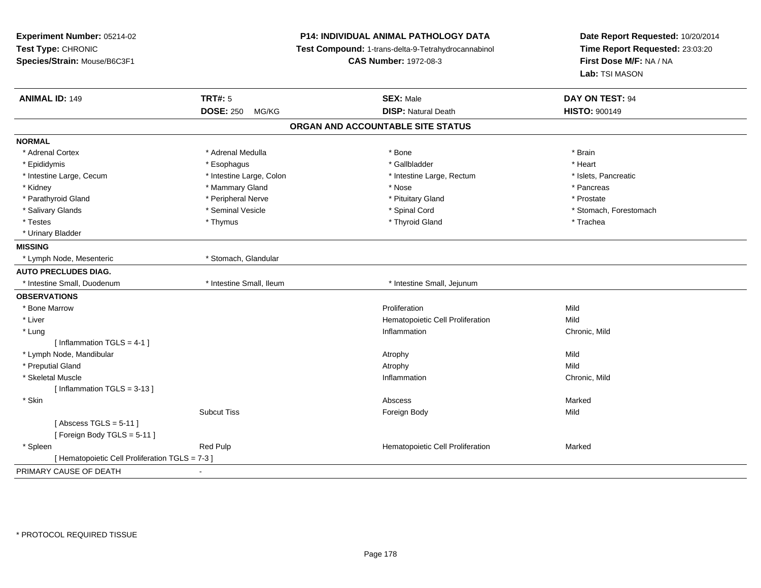| Experiment Number: 05214-02<br>Test Type: CHRONIC |                           | P14: INDIVIDUAL ANIMAL PATHOLOGY DATA               | Date Report Requested: 10/20/2014<br>Time Report Requested: 23:03:20 |  |
|---------------------------------------------------|---------------------------|-----------------------------------------------------|----------------------------------------------------------------------|--|
|                                                   |                           | Test Compound: 1-trans-delta-9-Tetrahydrocannabinol |                                                                      |  |
| Species/Strain: Mouse/B6C3F1                      |                           | <b>CAS Number: 1972-08-3</b>                        | First Dose M/F: NA / NA                                              |  |
|                                                   |                           |                                                     | Lab: TSI MASON                                                       |  |
| <b>ANIMAL ID: 149</b>                             | <b>TRT#: 5</b>            | <b>SEX: Male</b>                                    | DAY ON TEST: 94                                                      |  |
|                                                   | <b>DOSE: 250</b><br>MG/KG | <b>DISP: Natural Death</b>                          | <b>HISTO: 900149</b>                                                 |  |
|                                                   |                           | ORGAN AND ACCOUNTABLE SITE STATUS                   |                                                                      |  |
| <b>NORMAL</b>                                     |                           |                                                     |                                                                      |  |
| * Adrenal Cortex                                  | * Adrenal Medulla         | * Bone                                              | * Brain                                                              |  |
| * Epididymis                                      | * Esophagus               | * Gallbladder                                       | * Heart                                                              |  |
| * Intestine Large, Cecum                          | * Intestine Large, Colon  | * Intestine Large, Rectum                           | * Islets, Pancreatic                                                 |  |
| * Kidney                                          | * Mammary Gland           | * Nose                                              | * Pancreas                                                           |  |
| * Parathyroid Gland                               | * Peripheral Nerve        | * Pituitary Gland                                   | * Prostate                                                           |  |
| * Salivary Glands                                 | * Seminal Vesicle         | * Spinal Cord                                       | * Stomach, Forestomach                                               |  |
| * Testes                                          | * Thymus                  | * Thyroid Gland                                     | * Trachea                                                            |  |
| * Urinary Bladder                                 |                           |                                                     |                                                                      |  |
| <b>MISSING</b>                                    |                           |                                                     |                                                                      |  |
| * Lymph Node, Mesenteric                          | * Stomach, Glandular      |                                                     |                                                                      |  |
| <b>AUTO PRECLUDES DIAG.</b>                       |                           |                                                     |                                                                      |  |
| * Intestine Small, Duodenum                       | * Intestine Small, Ileum  | * Intestine Small, Jejunum                          |                                                                      |  |
| <b>OBSERVATIONS</b>                               |                           |                                                     |                                                                      |  |
| * Bone Marrow                                     |                           | Proliferation                                       | Mild                                                                 |  |
| * Liver                                           |                           | Hematopoietic Cell Proliferation                    | Mild                                                                 |  |
| * Lung                                            |                           | Inflammation                                        | Chronic, Mild                                                        |  |
| [Inflammation TGLS = $4-1$ ]                      |                           |                                                     |                                                                      |  |
| * Lymph Node, Mandibular                          |                           | Atrophy                                             | Mild                                                                 |  |
| * Preputial Gland                                 |                           | Atrophy                                             | Mild                                                                 |  |
| * Skeletal Muscle                                 |                           | Inflammation                                        | Chronic, Mild                                                        |  |
| [Inflammation $TGLS = 3-13$ ]                     |                           |                                                     |                                                                      |  |
| * Skin                                            |                           | Abscess                                             | Marked                                                               |  |
|                                                   | <b>Subcut Tiss</b>        | Foreign Body                                        | Mild                                                                 |  |
| [Abscess TGLS = $5-11$ ]                          |                           |                                                     |                                                                      |  |
| [Foreign Body TGLS = 5-11]                        |                           |                                                     |                                                                      |  |
| * Spleen                                          | Red Pulp                  | Hematopoietic Cell Proliferation                    | Marked                                                               |  |
| [ Hematopoietic Cell Proliferation TGLS = 7-3 ]   |                           |                                                     |                                                                      |  |
| PRIMARY CAUSE OF DEATH                            |                           |                                                     |                                                                      |  |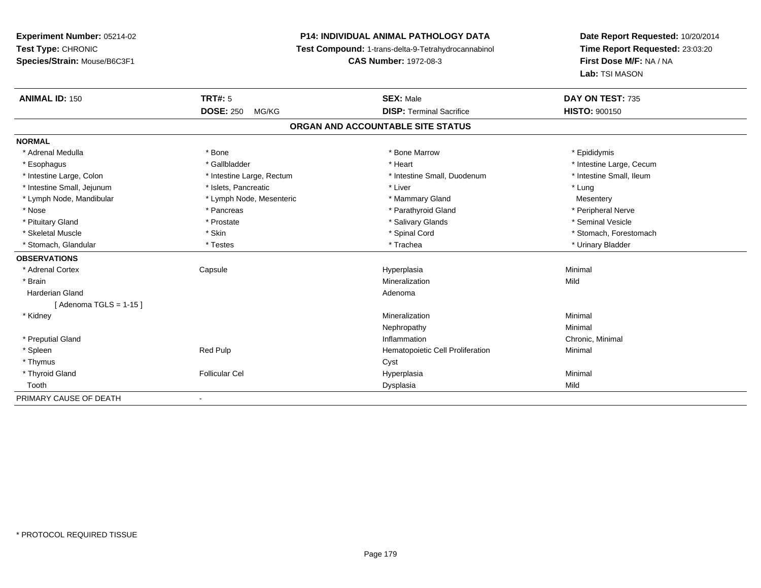## **P14: INDIVIDUAL ANIMAL PATHOLOGY DATA**

**Test Compound:** 1-trans-delta-9-Tetrahydrocannabinol

**CAS Number:** 1972-08-3

| <b>ANIMAL ID: 150</b>      | TRT#: 5                   | <b>SEX: Male</b>                  | DAY ON TEST: 735         |
|----------------------------|---------------------------|-----------------------------------|--------------------------|
|                            | <b>DOSE: 250</b><br>MG/KG | <b>DISP: Terminal Sacrifice</b>   | <b>HISTO: 900150</b>     |
|                            |                           | ORGAN AND ACCOUNTABLE SITE STATUS |                          |
| <b>NORMAL</b>              |                           |                                   |                          |
| * Adrenal Medulla          | * Bone                    | * Bone Marrow                     | * Epididymis             |
| * Esophagus                | * Gallbladder             | * Heart                           | * Intestine Large, Cecum |
| * Intestine Large, Colon   | * Intestine Large, Rectum | * Intestine Small, Duodenum       | * Intestine Small, Ileum |
| * Intestine Small, Jejunum | * Islets, Pancreatic      | * Liver                           | * Lung                   |
| * Lymph Node, Mandibular   | * Lymph Node, Mesenteric  | * Mammary Gland                   | Mesentery                |
| * Nose                     | * Pancreas                | * Parathyroid Gland               | * Peripheral Nerve       |
| * Pituitary Gland          | * Prostate                | * Salivary Glands                 | * Seminal Vesicle        |
| * Skeletal Muscle          | * Skin                    | * Spinal Cord                     | * Stomach, Forestomach   |
| * Stomach, Glandular       | * Testes                  | * Trachea                         | * Urinary Bladder        |
| <b>OBSERVATIONS</b>        |                           |                                   |                          |
| * Adrenal Cortex           | Capsule                   | Hyperplasia                       | Minimal                  |
| * Brain                    |                           | Mineralization                    | Mild                     |
| <b>Harderian Gland</b>     |                           | Adenoma                           |                          |
| [Adenoma TGLS = $1-15$ ]   |                           |                                   |                          |
| * Kidney                   |                           | Mineralization                    | Minimal                  |
|                            |                           | Nephropathy                       | Minimal                  |
| * Preputial Gland          |                           | Inflammation                      | Chronic, Minimal         |
| * Spleen                   | Red Pulp                  | Hematopoietic Cell Proliferation  | Minimal                  |
| * Thymus                   |                           | Cyst                              |                          |
| * Thyroid Gland            | <b>Follicular Cel</b>     | Hyperplasia                       | Minimal                  |
| Tooth                      |                           | Dysplasia                         | Mild                     |
| PRIMARY CAUSE OF DEATH     |                           |                                   |                          |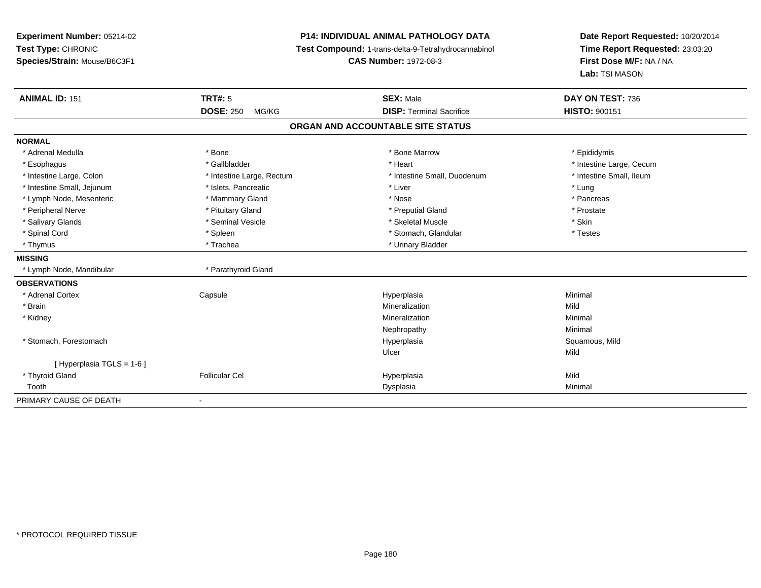**Experiment Number:** 05214-02**Test Type:** CHRONIC **Species/Strain:** Mouse/B6C3F1**P14: INDIVIDUAL ANIMAL PATHOLOGY DATA Test Compound:** 1-trans-delta-9-Tetrahydrocannabinol **CAS Number:** 1972-08-3**Date Report Requested:** 10/20/2014**Time Report Requested:** 23:03:20**First Dose M/F:** NA / NA**Lab:** TSI MASON**ANIMAL ID:** 151**TRT#:** 5 **SEX:** Male **DAY ON TEST:** 736 **DOSE:** 250 MG/KG**DISP:** Terminal Sacrifice **HISTO:** 900151 **ORGAN AND ACCOUNTABLE SITE STATUSNORMAL**\* Adrenal Medulla \* Adrenal Medulla \* \* The matter of the state of the state of the Marrow \* Bone Marrow \* Adrenal Medulla \* Epididymis \* Epididymis \* Bone Marrow \* Adrenal Medulla \* Epididymis \* Epididymis \* Epididymis \* Epididymis \* Epidi \* Esophagus \* https://www.fragustage.com/web/2019/heart \* Heart \* Heart \* Heart \* Intestine Large, Cecum \* Intestine Large, Cecum \* Gallbladder \* Callbladder \* 11 and 12 and 12 and 12 and 12 and 12 and 12 and 12 and 12 and \* Intestine Small, Ileum \* Intestine Large, Colon \* Intestine Large, Rectum \* Intestine Small, Duodenum \* Intestine Small, Duodenum \* Intestine Small, Jejunum \* 1997 \* The state of the state of the state of the state of the state of the state of the state of the state of the state of the state of the state of the state of the state of the state of the \* Pancreas \* Lymph Node, Mesenteric \* The matter \* Mammary Gland \* Nose \* Nose \* Nose \* Nose \* Prostate \* Peripheral Nerve \* \* \* Prostate \* \* Pretuitary Gland \* \* \* \* \* \* \* Preputial Gland \* \* \* Prostate \* Prostate \* Salivary Glands \* Seminal Vesicle \* Seminal Vesicle \* Skeletal Muscle \* Skeletal Muscle \* Skin \* Testes \* Spinal Cord \* Spinal Cord \* Spinal Cord \* Stomach, Glandular \* Spinal Cord \* Stomach, Glandular \* Thymus \* Trachea \* Trachea \* Urinary Bladder **MISSING**\* Lymph Node, Mandibular \* \* Parathyroid Gland **OBSERVATIONS** \* Adrenal Cortex Capsule Hyperplasia Minimal \* Brainn and the control of the control of the control of the control of the control of the control of the control of the control of the control of the control of the control of the control of the control of the control of the co \* Kidneyy the control of the control of the control of the control of the control of the control of the control of the control of the control of the control of the control of the control of the control of the control of the contro n Minimal Nephropathyy the contract of the Minimal Minimal Section 1996 and the contract of the Minimal Section 1997 and the contract of the contract of the contract of the contract of the contract of the contract of the contract of the contra \* Stomach, Forestomachh ann an t-ìre ann am San Amhaidh ann an t-ìre ann am Mhearpasia ann an San Aonaichte ann an Saluamous, Mild a Ulcerr **Mild** [ Hyperplasia TGLS = 1-6 ] \* Thyroid Gland Follicular Cel Hyperplasia Mild Toothh ann an Chomas ann an t-ainmeile ann an t-ainmeile ann an Dysplasia. Tha an t-ainmeile ann an Dysplasia ann an Dysplasia ann an t-ainmeile an an t-ainmeile ann an t-ainmeile an an t-ainmeile ann an t-ainmeile ann an t-ain PRIMARY CAUSE OF DEATH-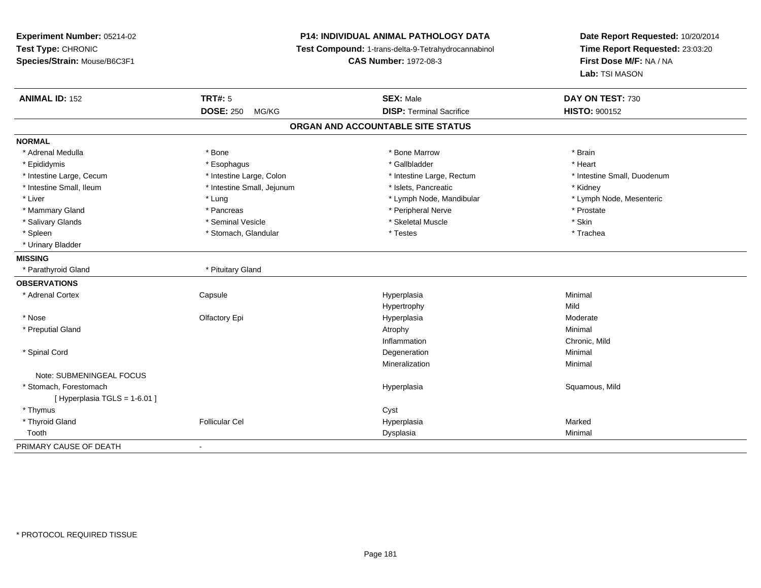**Experiment Number:** 05214-02**Test Type:** CHRONIC **Species/Strain:** Mouse/B6C3F1**P14: INDIVIDUAL ANIMAL PATHOLOGY DATA Test Compound:** 1-trans-delta-9-Tetrahydrocannabinol **CAS Number:** 1972-08-3**Date Report Requested:** 10/20/2014**Time Report Requested:** 23:03:20**First Dose M/F:** NA / NA**Lab:** TSI MASON**ANIMAL ID:** 152**TRT#:** 5 **SEX:** Male **DAY ON TEST:** 730 **DOSE:** 250 MG/KG**DISP:** Terminal Sacrifice **HISTO:** 900152 **ORGAN AND ACCOUNTABLE SITE STATUSNORMAL**\* Adrenal Medulla \* \* Annual Medulla \* Brain \* Bone \* \* Bone Marrow \* Bone Marrow \* \* Brain \* Brain \* Brain \* Brain \* Brain \* Brain \* Brain \* Brain \* Brain \* Brain \* Brain \* Brain \* Brain \* Brain \* Brain \* Brain \* Brain \* \* Heart \* Epididymis \* Esophagus \* Gallbladder \* Heart \* Intestine Large, Cecum \* Intestine Large, Colon \* Intestine Large, Rectum \* Intestine Small, Duodenum\* Intestine Small, Ileum \* Thestine Small, Jejunum \* 1998, Pancreatic \* Kidney \* Kidney \* Kidney \* Kidney \* Lymph Node, Mesenteric \* Liver \* Lung \* Lung \* Lung \* Lung \* Lymph Node, Mandibular \* Lymph Node, Mandibular \* Mammary Gland \* \* Postate \* Pancreas \* Pancreas \* Peripheral Nerve \* Prostate \* Prostate \* Prostate \* Prostate \* Salivary Glands \* Seminal Vesicle \* Skeletal Muscle \* Skin\* Trachea \* Spleen \* Spleen \* Stomach, Glandular \* Stomach, Glandular \* Testes \* Urinary Bladder**MISSING** \* Parathyroid Gland \* Pituitary Gland**OBSERVATIONS** \* Adrenal Cortex**Capsule**  Hyperplasia Minimal Hypertrophyy Mild Moderate \* Nosee who defactory Epi the Controller extended to the Hyperplasia Moderate Moderate Moderate Moderate extending to  $\sim$  \* Preputial Glandd and the control of the control of the control of the control of the control of the control of the control of  $\lambda$ Inflammation**Inflammation**<br>
Deceneration<br>
Deceneration<br>
Minimal \* Spinal Cordd and the control of the control of the control of the control of the control of the control of the control of the control of the control of the control of the control of the control of the control of the control of the co Mineralizationn Minimal Note: SUBMENINGEAL FOCUS \* Stomach, Forestomachh ann an t-ìre ann am San Amhaidh ann an t-ìre ann am Mhearpasia ann an San Aonaichte ann an Saluamous, Mild a  $[$  Hyperplasia TGLS = 1-6.01 ] \* Thymuss the contract of the contract of the contract of the contract of the contract of the contract of the contract of the contract of the contract of the contract of the contract of the contract of the contract of the contract \* Thyroid Gland Follicular Cel Hyperplasia Marked Toothh ann an t-aisim a bha ann an t-aisim a bha ann an t-aisim a bha ann an t-aisim a bha ann an t-aisim a bha ann an t-aisim a bha ann an t-aisim a bha ann an t-aisim a bha ann an t-aisim a bha ann an t-aisim a bha ann an t-a PRIMARY CAUSE OF DEATH-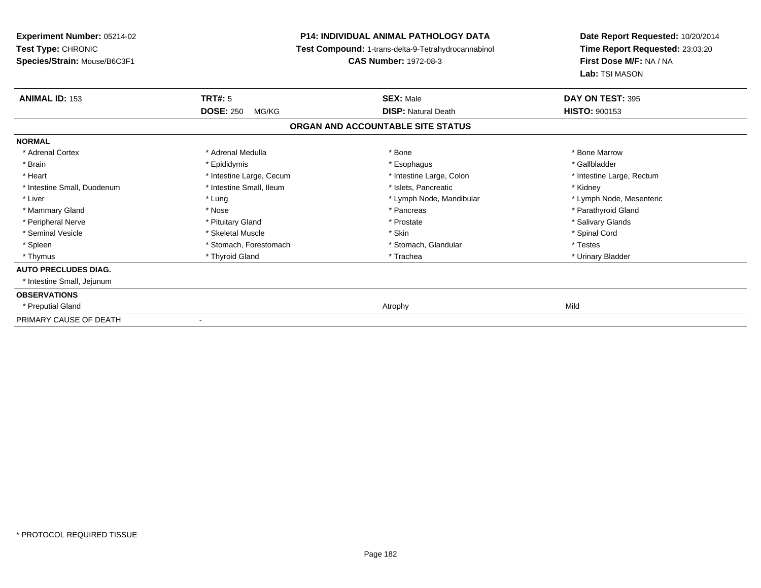**Experiment Number:** 05214-02**Test Type:** CHRONIC **Species/Strain:** Mouse/B6C3F1**P14: INDIVIDUAL ANIMAL PATHOLOGY DATA Test Compound:** 1-trans-delta-9-Tetrahydrocannabinol **CAS Number:** 1972-08-3**ANIMAL ID:** 153**DOSE:** 250 MG/KG**NORMAL**

| <b>ANIMAL ID: 153</b>       | <b>TRT#: 5</b>               | <b>SEX: Male</b>                  | DAY ON TEST: 395          |  |
|-----------------------------|------------------------------|-----------------------------------|---------------------------|--|
|                             | <b>DOSE: 250</b><br>MG/KG    | <b>DISP: Natural Death</b>        | <b>HISTO: 900153</b>      |  |
|                             |                              | ORGAN AND ACCOUNTABLE SITE STATUS |                           |  |
| <b>NORMAL</b>               |                              |                                   |                           |  |
| * Adrenal Cortex            | * Adrenal Medulla            | * Bone                            | * Bone Marrow             |  |
| * Brain                     | * Epididymis                 | * Esophagus                       | * Gallbladder             |  |
| * Heart                     | * Intestine Large, Cecum     | * Intestine Large, Colon          | * Intestine Large, Rectum |  |
| * Intestine Small, Duodenum | * Intestine Small, Ileum     | * Islets, Pancreatic              | * Kidney                  |  |
| * Liver                     | * Lung                       | * Lymph Node, Mandibular          | * Lymph Node, Mesenteric  |  |
| * Mammary Gland             | * Nose                       | * Pancreas                        | * Parathyroid Gland       |  |
| * Peripheral Nerve          | * Pituitary Gland            | * Prostate                        | * Salivary Glands         |  |
| * Seminal Vesicle           | * Skeletal Muscle            | * Skin                            | * Spinal Cord             |  |
| * Spleen                    | * Stomach, Forestomach       | * Stomach, Glandular              | * Testes                  |  |
| * Thymus                    | * Thyroid Gland              | * Trachea                         | * Urinary Bladder         |  |
| <b>AUTO PRECLUDES DIAG.</b> |                              |                                   |                           |  |
| * Intestine Small, Jejunum  |                              |                                   |                           |  |
| <b>OBSERVATIONS</b>         |                              |                                   |                           |  |
| * Preputial Gland           |                              | Atrophy                           | Mild                      |  |
| PRIMARY CAUSE OF DEATH      | $\qquad \qquad \blacksquare$ |                                   |                           |  |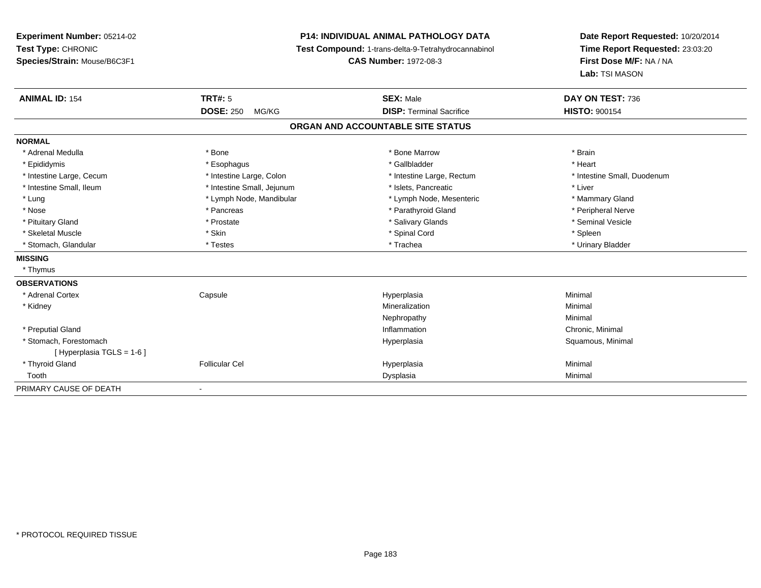**Experiment Number:** 05214-02**Test Type:** CHRONIC **Species/Strain:** Mouse/B6C3F1**P14: INDIVIDUAL ANIMAL PATHOLOGY DATA Test Compound:** 1-trans-delta-9-Tetrahydrocannabinol **CAS Number:** 1972-08-3**Date Report Requested:** 10/20/2014**Time Report Requested:** 23:03:20**First Dose M/F:** NA / NA**Lab:** TSI MASON**ANIMAL ID:** 154**TRT#:** 5 **SEX:** Male **DAY ON TEST:** 736 **DOSE:** 250 MG/KG**DISP:** Terminal Sacrifice **HISTO:** 900154 **ORGAN AND ACCOUNTABLE SITE STATUSNORMAL**\* Adrenal Medulla \* \* Annual Medulla \* Brain \* Bone \* \* Bone Marrow \* Bone Marrow \* \* Brain \* Brain \* Brain \* Brain \* Brain \* Brain \* Brain \* Brain \* Brain \* Brain \* Brain \* Brain \* Brain \* Brain \* Brain \* Brain \* Brain \* \* Heart \* Epididymis \* Esophagus \* Gallbladder \* Heart\* Intestine Large, Cecum \* Intestine Large, Colon \* Intestine Large, Rectum \* Intestine Small, Duodenum \* Intestine Small, Ileum \* Intestine Small, Jejunum \* Islets, Pancreatic \* Liver\* Lung \* Lymph Node, Mandibular \* Mannipular \* Lymph Node, Mesenteric \* Mammary Gland \* Peripheral Nerve \* Nose \* \* Pancreas \* \* Pancreas \* \* Pancreas \* \* Parathyroid Gland \* \* Peripheral Nerve \* Peripheral Nerve \* \* Seminal Vesicle \* Pituitary Gland \* \* \* \* Prostate \* \* Prostate \* \* Salivary Glands \* \* Salivary Glands \* \* Seminal Vesicle \* Skeletal Muscle \* Skin \* Spinal Cord \* Spleen \* Urinary Bladder \* Stomach, Glandular \* \* \* Testes \* \* Testes \* \* Testes \* \* Trachea \* \* Trachea \* \* Urinary Bladder \* \* Urinary Bladder **MISSING** \* Thymus**OBSERVATIONS** \* Adrenal Cortex**Capsule**  Hyperplasia Minimal \* Kidneyy with the control of the control of the control of the control of the control of the control of the control of the control of the control of the control of the control of the control of the control of the control of the c n Minimal Nephropathyy the contract of the Minimal Minimal Section 1996 and the contract of the Minimal Section 1997 and the contract of the contract of the contract of the contract of the contract of the contract of the contract of the contra \* Preputial Glandd the controller of the controller of the controller of the controller of the controller of the controller of the controller of the controller of the controller of the controller of the controller of the controller of the \* Stomach, Forestomachh anns an t-aiste anns an t-aiste anns an t-aiste anns an t-aiste anns an t-aiste anns an t-aiste anns an t-aiste an t-aiste anns an t-aiste an t-aiste anns an t-aiste anns an t-aiste anns an t-aiste anns an t-aiste anns a [ Hyperplasia TGLS = 1-6 ] \* Thyroid Gland Follicular Cel Hyperplasia Minimal Toothh ann an t-aisim a bha ann an t-aisim a bha ann an t-aisim a bha ann an t-aisim a bha ann an t-aisim a bha ann an t-aisim a bha ann an t-aisim a bha ann an t-aisim a bha ann an t-aisim a bha ann an t-aisim a bha ann an t-a PRIMARY CAUSE OF DEATH-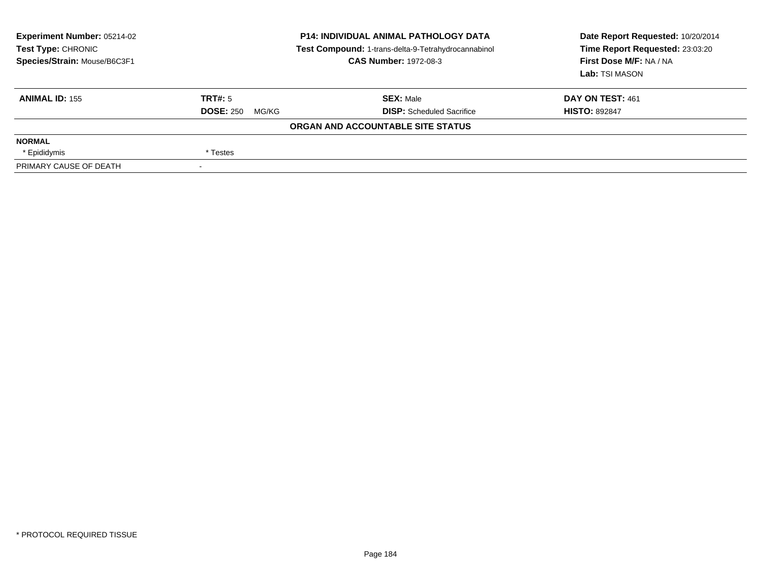| <b>Experiment Number: 05214-02</b><br>Test Type: CHRONIC<br>Species/Strain: Mouse/B6C3F1 | <b>P14: INDIVIDUAL ANIMAL PATHOLOGY DATA</b><br>Test Compound: 1-trans-delta-9-Tetrahydrocannabinol<br><b>CAS Number: 1972-08-3</b> |                                   | Date Report Requested: 10/20/2014<br>Time Report Requested: 23:03:20<br>First Dose M/F: NA / NA<br>Lab: TSI MASON |  |
|------------------------------------------------------------------------------------------|-------------------------------------------------------------------------------------------------------------------------------------|-----------------------------------|-------------------------------------------------------------------------------------------------------------------|--|
| <b>ANIMAL ID: 155</b>                                                                    | TRT#: 5                                                                                                                             | <b>SEX: Male</b>                  | DAY ON TEST: 461                                                                                                  |  |
|                                                                                          | <b>DOSE: 250</b><br>MG/KG                                                                                                           | <b>DISP:</b> Scheduled Sacrifice  | <b>HISTO: 892847</b>                                                                                              |  |
|                                                                                          |                                                                                                                                     | ORGAN AND ACCOUNTABLE SITE STATUS |                                                                                                                   |  |
| <b>NORMAL</b>                                                                            |                                                                                                                                     |                                   |                                                                                                                   |  |
| * Epididymis                                                                             | * Testes                                                                                                                            |                                   |                                                                                                                   |  |
| PRIMARY CAUSE OF DEATH                                                                   |                                                                                                                                     |                                   |                                                                                                                   |  |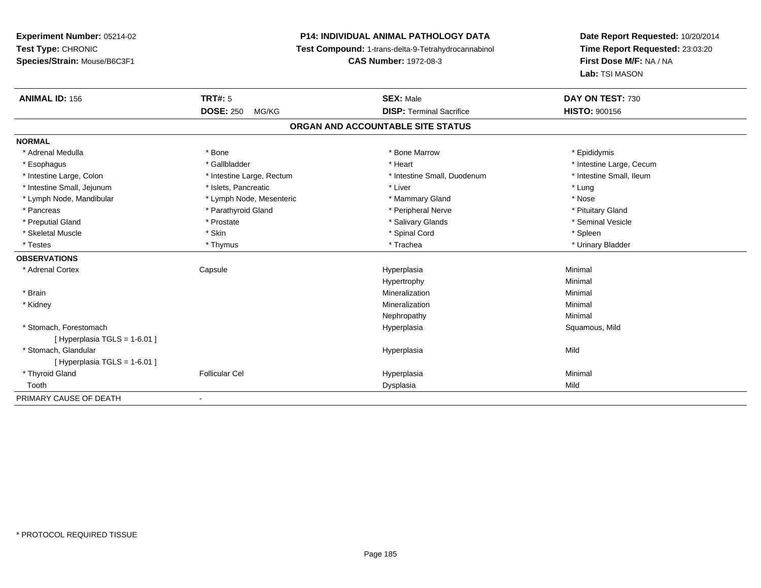# **P14: INDIVIDUAL ANIMAL PATHOLOGY DATA**

**Test Compound:** 1-trans-delta-9-Tetrahydrocannabinol

**CAS Number:** 1972-08-3

| <b>ANIMAL ID: 156</b>          | <b>TRT#: 5</b>                    | <b>SEX: Male</b>                | DAY ON TEST: 730         |  |  |  |  |
|--------------------------------|-----------------------------------|---------------------------------|--------------------------|--|--|--|--|
|                                | <b>DOSE: 250</b><br>MG/KG         | <b>DISP: Terminal Sacrifice</b> | <b>HISTO: 900156</b>     |  |  |  |  |
|                                | ORGAN AND ACCOUNTABLE SITE STATUS |                                 |                          |  |  |  |  |
| <b>NORMAL</b>                  |                                   |                                 |                          |  |  |  |  |
| * Adrenal Medulla              | * Bone                            | * Bone Marrow                   | * Epididymis             |  |  |  |  |
| * Esophagus                    | * Gallbladder                     | * Heart                         | * Intestine Large, Cecum |  |  |  |  |
| * Intestine Large, Colon       | * Intestine Large, Rectum         | * Intestine Small, Duodenum     | * Intestine Small, Ileum |  |  |  |  |
| * Intestine Small, Jejunum     | * Islets, Pancreatic              | * Liver                         | * Lung                   |  |  |  |  |
| * Lymph Node, Mandibular       | * Lymph Node, Mesenteric          | * Mammary Gland                 | * Nose                   |  |  |  |  |
| * Pancreas                     | * Parathyroid Gland               | * Peripheral Nerve              | * Pituitary Gland        |  |  |  |  |
| * Preputial Gland              | * Prostate                        | * Salivary Glands               | * Seminal Vesicle        |  |  |  |  |
| * Skeletal Muscle              | * Skin                            | * Spinal Cord                   | * Spleen                 |  |  |  |  |
| * Testes                       | * Thymus                          | * Trachea                       | * Urinary Bladder        |  |  |  |  |
| <b>OBSERVATIONS</b>            |                                   |                                 |                          |  |  |  |  |
| * Adrenal Cortex               | Capsule                           | Hyperplasia                     | Minimal                  |  |  |  |  |
|                                |                                   | Hypertrophy                     | Minimal                  |  |  |  |  |
| * Brain                        |                                   | Mineralization                  | Minimal                  |  |  |  |  |
| * Kidney                       |                                   | Mineralization                  | Minimal                  |  |  |  |  |
|                                |                                   | Nephropathy                     | Minimal                  |  |  |  |  |
| * Stomach. Forestomach         |                                   | Hyperplasia                     | Squamous, Mild           |  |  |  |  |
| [Hyperplasia TGLS = 1-6.01]    |                                   |                                 |                          |  |  |  |  |
| * Stomach, Glandular           |                                   | Hyperplasia                     | Mild                     |  |  |  |  |
| [Hyperplasia TGLS = $1-6.01$ ] |                                   |                                 |                          |  |  |  |  |
| * Thyroid Gland                | <b>Follicular Cel</b>             | Hyperplasia                     | Minimal                  |  |  |  |  |
| Tooth                          |                                   | Dysplasia                       | Mild                     |  |  |  |  |
| PRIMARY CAUSE OF DEATH         |                                   |                                 |                          |  |  |  |  |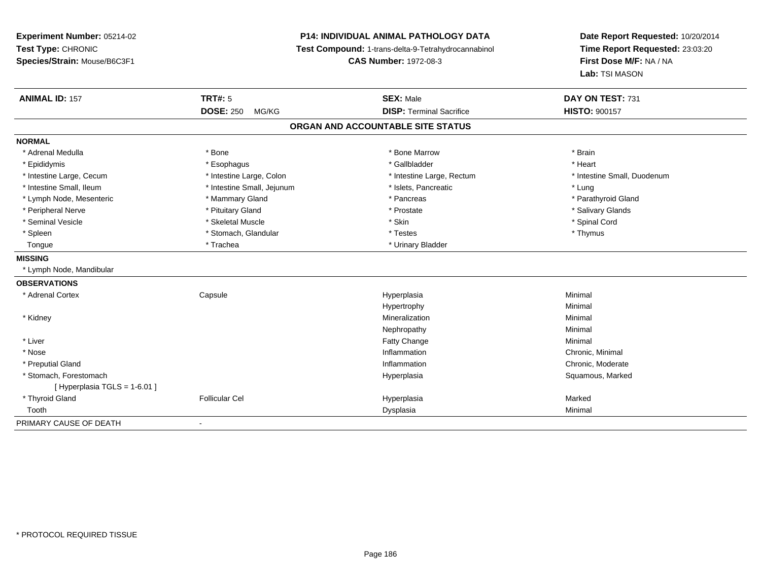**Experiment Number:** 05214-02**Test Type:** CHRONIC **Species/Strain:** Mouse/B6C3F1**P14: INDIVIDUAL ANIMAL PATHOLOGY DATA Test Compound:** 1-trans-delta-9-Tetrahydrocannabinol **CAS Number:** 1972-08-3**Date Report Requested:** 10/20/2014**Time Report Requested:** 23:03:20**First Dose M/F:** NA / NA**Lab:** TSI MASON**ANIMAL ID:** 157 **TRT#:** <sup>5</sup> **SEX:** Male **DAY ON TEST:** <sup>731</sup> **DOSE:** 250 MG/KG **DISP:** Terminal Sacrifice **HISTO:** <sup>900157</sup> **ORGAN AND ACCOUNTABLE SITE STATUSNORMAL**\* Adrenal Medulla \* \* Annual Medulla \* Brain \* Bone \* \* Bone Marrow \* Bone Marrow \* \* Brain \* Brain \* Brain \* Brain \* Brain \* Brain \* Brain \* Brain \* Brain \* Brain \* Brain \* Brain \* Brain \* Brain \* Brain \* Brain \* Brain \* \* Heart \* Epididymis \* Esophagus \* Gallbladder \* Heart \* Intestine Large, Cecum \* Intestine Large, Colon \* Intestine Large, Rectum \* Intestine Small, Duodenum\* Intestine Small, Ileum \* https://www.fatheratic \* Lung \* Intestine Small, Jejunum \* Islets, Pancreatic \* Lung \* Lung \* Parathyroid Gland \* Lymph Node, Mesenteric \* Mammary Gland \* Mammary Gland \* Pancreas \* Pancreas \* \* Peripheral Nerve \* \* And the state \* Pituitary Gland \* Prosection \* Prostate \* Prostate \* Salivary Glands \* Salivary Glands \* Salivary Glands \* Salivary Glands \* Salivary Glands \* Salivary Glands \* Salivary Glands \* Sali \* Seminal Vesicle \* \* Spinal Cord \* Skeletal Muscle \* \* Skin \* \* Skin \* \* Spinal Vesicle \* Spinal Cord \* Spinal Cord \* Spleen \* Stomach, Glandular \* Stomach, Glandular \* Testes \* Thymus \* Thymus \* Thymus \* Thymus \* Thymus \* Thymus \* Thymus \* Thymus \* Thymus \* Thymus \* Thymus \* Thymus \* Thymus \* Thymus \* Thymus \* Thymus \* Thymus \* Thymus Tongue \* Trachea \* Trachea \* Urinary Bladder **MISSING** \* Lymph Node, Mandibular**OBSERVATIONS** \* Adrenal Cortex Capsule Hyperplasia Minimal Hypertrophyy the contract of the Minimal Minimal Section 1, 1986, 1987, 1988, 1988, 1988, 1988, 1988, 1988, 198 \* Kidneyy with the control of the control of the control of the control of the control of the control of the control of the control of the control of the control of the control of the control of the control of the control of the c n Minimal Nephropathyy the contract of the Minimal Minimal Section 1996 and the contract of the Minimal Section 1997 and the contract of the contract of the contract of the contract of the contract of the contract of the contract of the contra \* Liver Fatty Changee Minimal \* Nosee the contraction of the contraction of the contraction of the contraction of the chronic, Minimal on the chronic, Minimal or  $\mathbb{R}^n$  \* Preputial Gland Inflammation Chronic, Moderate \* Stomach, Forestomachh ann an t-aisiad ann am Suid-Africa ann an Suid-Africa ann an Suid-Africa ann an Suid-Africa ann an Suid-Africa ann an Suid-Africa ann an Suid-Africa ann an Suid-Africa ann an Suid-Africa ann an Suid-Africa ann an Suid-Af [ Hyperplasia TGLS = 1-6.01 ] \* Thyroid Gland Follicular Cel Hyperplasia Marked Toothh ann an t-aisim a bha ann an t-aisim a bha ann an t-aisim a bha ann an t-aisim a bha ann an t-aisim a bha ann an t-aisim a bha ann an t-aisim a bha ann an t-aisim a bha ann an t-aisim a bha ann an t-aisim a bha ann an t-a PRIMARY CAUSE OF DEATH-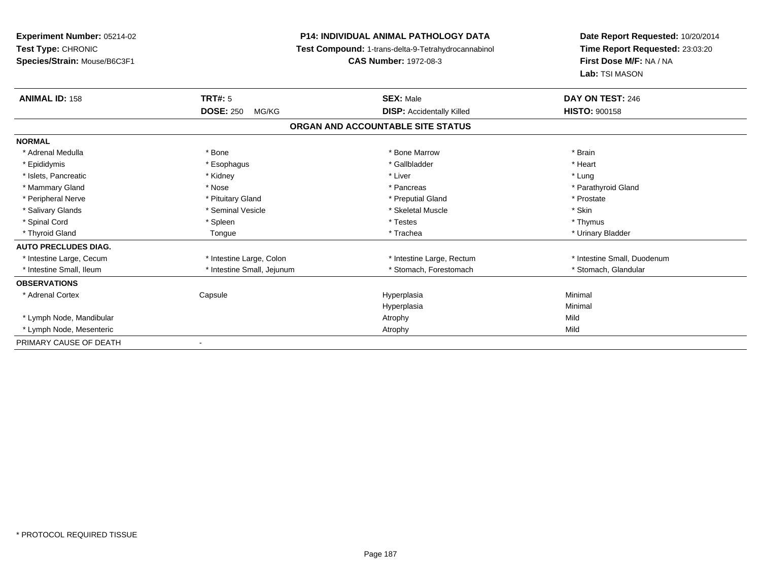**Experiment Number:** 05214-02**Test Type:** CHRONIC **Species/Strain:** Mouse/B6C3F1**P14: INDIVIDUAL ANIMAL PATHOLOGY DATA Test Compound:** 1-trans-delta-9-Tetrahydrocannabinol **CAS Number:** 1972-08-3**Date Report Requested:** 10/20/2014**Time Report Requested:** 23:03:20**First Dose M/F:** NA / NA**Lab:** TSI MASON**ANIMAL ID:** 158**TRT#:** 5 **SEX:** Male **DAY ON TEST:** 246 **DOSE:** 250 MG/KG**DISP:** Accidentally Killed **HISTO:** 900158 **ORGAN AND ACCOUNTABLE SITE STATUSNORMAL**\* Adrenal Medulla \* \* Annual Medulla \* Brain \* Bone \* \* Bone Marrow \* Bone Marrow \* \* Brain \* Brain \* Brain \* Brain \* Brain \* Brain \* Brain \* Brain \* Brain \* Brain \* Brain \* Brain \* Brain \* Brain \* Brain \* Brain \* Brain \* \* Heart \* Epididymis \* Esophagus \* Gallbladder \* Heart\* Islets, Pancreatic \* \* \* \* Kidney \* \* Kidney \* \* Kidney \* Liver \* Liver \* Liver \* Lung \* Lung \* Lung \* Lung \* Parathyroid Gland \* Mammary Gland \* \* Nose \* \* Nose \* \* Pancreas \* Pancreas \* \* Pancreas \* \* Pancreas \* \* Pancreas \* \* Parathyroid Gland \* Peripheral Nerve \* \* \* Prostate \* \* Pretuitary Gland \* \* \* \* \* \* \* Preputial Gland \* \* \* Prostate \* Prostate \* Salivary Glands \* Seminal Vesicle \* Skeletal Muscle \* Skin\* Thymus \* Spinal Cord \* \* \* Sheen \* \* \* Spleen \* \* \* Testes \* \* Testes \* \* Thymus \* Thymus \* Thymus \* \* Thymus \* \* Thymus \* Urinary Bladder \* Thyroid Gland \* \* \* The Loss of the Tongue \* Trachea \* \* Trachea \* \* Trachea \* \* Urinary Bladder \* Urinary Bladder \* **AUTO PRECLUDES DIAG.** \* Intestine Large, Cecum \* Intestine Large, Colon \* Intestine Large, Rectum \* Intestine Small, Duodenum \* Intestine Small, Ileum \* Intestine Small, Jejunum \* Stomach, Forestomach \* Stomach, Glandular**OBSERVATIONS** \* Adrenal Cortex Capsule Hyperplasia Minimal Hyperplasiaa **Minimal**  \* Lymph Node, Mandibularr and the control of the control of the control of the control of the control of the control of the control of y and the contract of the Mild Mild \* Lymph Node, Mesenteric Atrophy MildPRIMARY CAUSE OF DEATH-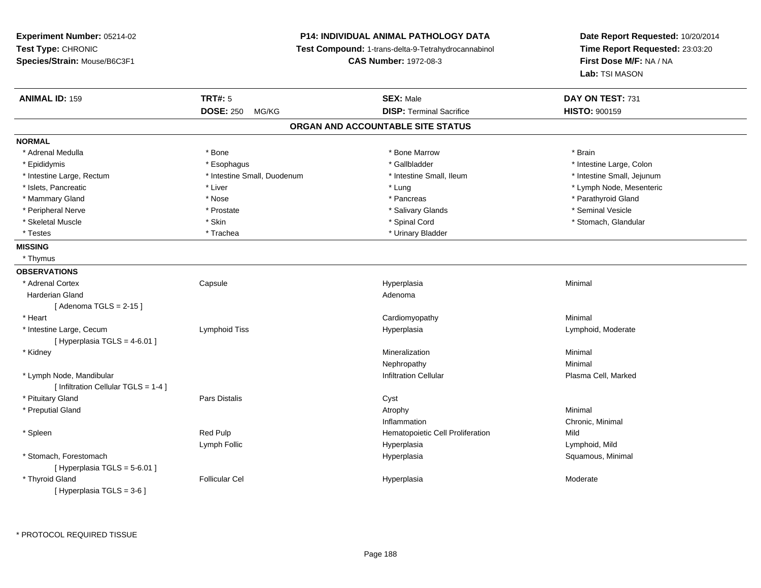# **P14: INDIVIDUAL ANIMAL PATHOLOGY DATA**

**Test Compound:** 1-trans-delta-9-Tetrahydrocannabinol

**CAS Number:** 1972-08-3

| <b>ANIMAL ID: 159</b>                | <b>TRT#: 5</b>              | <b>SEX: Male</b>                  | DAY ON TEST: 731           |
|--------------------------------------|-----------------------------|-----------------------------------|----------------------------|
|                                      | DOSE: 250 MG/KG             | <b>DISP: Terminal Sacrifice</b>   | <b>HISTO: 900159</b>       |
|                                      |                             | ORGAN AND ACCOUNTABLE SITE STATUS |                            |
| <b>NORMAL</b>                        |                             |                                   |                            |
| * Adrenal Medulla                    | * Bone                      | * Bone Marrow                     | * Brain                    |
| * Epididymis                         | * Esophagus                 | * Gallbladder                     | * Intestine Large, Colon   |
| * Intestine Large, Rectum            | * Intestine Small, Duodenum | * Intestine Small, Ileum          | * Intestine Small, Jejunum |
| * Islets, Pancreatic                 | * Liver                     | * Lung                            | * Lymph Node, Mesenteric   |
| * Mammary Gland                      | * Nose                      | * Pancreas                        | * Parathyroid Gland        |
| * Peripheral Nerve                   | * Prostate                  | * Salivary Glands                 | * Seminal Vesicle          |
| * Skeletal Muscle                    | * Skin                      | * Spinal Cord                     | * Stomach, Glandular       |
| * Testes                             | * Trachea                   | * Urinary Bladder                 |                            |
| <b>MISSING</b>                       |                             |                                   |                            |
| * Thymus                             |                             |                                   |                            |
| <b>OBSERVATIONS</b>                  |                             |                                   |                            |
| * Adrenal Cortex                     | Capsule                     | Hyperplasia                       | Minimal                    |
| <b>Harderian Gland</b>               |                             | Adenoma                           |                            |
| [Adenoma TGLS = $2-15$ ]             |                             |                                   |                            |
| * Heart                              |                             | Cardiomyopathy                    | Minimal                    |
| * Intestine Large, Cecum             | Lymphoid Tiss               | Hyperplasia                       | Lymphoid, Moderate         |
| [ Hyperplasia TGLS = 4-6.01 ]        |                             |                                   |                            |
| * Kidney                             |                             | Mineralization                    | Minimal                    |
|                                      |                             | Nephropathy                       | Minimal                    |
| * Lymph Node, Mandibular             |                             | <b>Infiltration Cellular</b>      | Plasma Cell, Marked        |
| [ Infiltration Cellular TGLS = 1-4 ] |                             |                                   |                            |
| * Pituitary Gland                    | Pars Distalis               | Cyst                              |                            |
| * Preputial Gland                    |                             | Atrophy                           | Minimal                    |
|                                      |                             | Inflammation                      | Chronic, Minimal           |
| * Spleen                             | Red Pulp                    | Hematopoietic Cell Proliferation  | Mild                       |
|                                      | Lymph Follic                | Hyperplasia                       | Lymphoid, Mild             |
| * Stomach, Forestomach               |                             | Hyperplasia                       | Squamous, Minimal          |
| [ Hyperplasia TGLS = 5-6.01 ]        |                             |                                   |                            |
| * Thyroid Gland                      | <b>Follicular Cel</b>       | Hyperplasia                       | Moderate                   |
| [Hyperplasia TGLS = 3-6]             |                             |                                   |                            |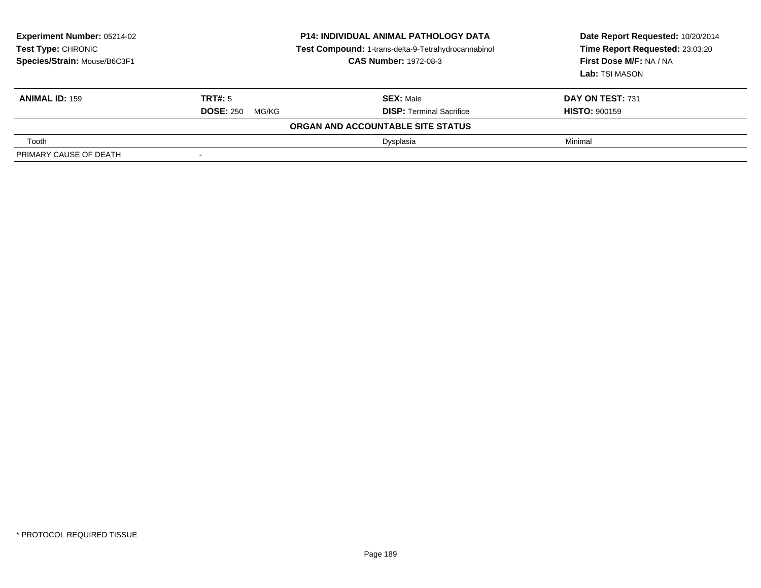| <b>Experiment Number: 05214-02</b><br>Test Type: CHRONIC<br>Species/Strain: Mouse/B6C3F1 | <b>P14: INDIVIDUAL ANIMAL PATHOLOGY DATA</b><br>Test Compound: 1-trans-delta-9-Tetrahydrocannabinol<br><b>CAS Number: 1972-08-3</b> |                                   | Date Report Requested: 10/20/2014<br>Time Report Requested: 23:03:20<br>First Dose M/F: NA / NA<br>Lab: TSI MASON |
|------------------------------------------------------------------------------------------|-------------------------------------------------------------------------------------------------------------------------------------|-----------------------------------|-------------------------------------------------------------------------------------------------------------------|
| <b>ANIMAL ID: 159</b>                                                                    | TRT#: 5                                                                                                                             | <b>SEX: Male</b>                  | <b>DAY ON TEST: 731</b>                                                                                           |
|                                                                                          | <b>DOSE: 250</b><br>MG/KG                                                                                                           | <b>DISP:</b> Terminal Sacrifice   | <b>HISTO: 900159</b>                                                                                              |
|                                                                                          |                                                                                                                                     | ORGAN AND ACCOUNTABLE SITE STATUS |                                                                                                                   |
| Tooth                                                                                    |                                                                                                                                     | Dysplasia                         | Minimal                                                                                                           |
| PRIMARY CAUSE OF DEATH                                                                   |                                                                                                                                     |                                   |                                                                                                                   |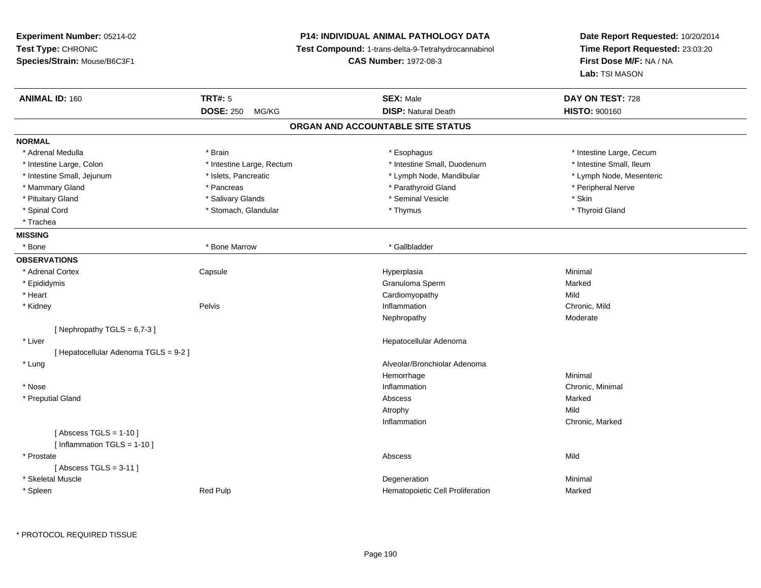**Experiment Number:** 05214-02**Test Type:** CHRONIC **Species/Strain:** Mouse/B6C3F1**P14: INDIVIDUAL ANIMAL PATHOLOGY DATA Test Compound:** 1-trans-delta-9-Tetrahydrocannabinol **CAS Number:** 1972-08-3**Date Report Requested:** 10/20/2014**Time Report Requested:** 23:03:20**First Dose M/F:** NA / NA**Lab:** TSI MASON**ANIMAL ID:** 160**C TRT#:** 5 **SEX:** Male **DAY ON TEST:** 728 **DOSE:** 250 MG/KG**DISP:** Natural Death **HISTO:**  $900160$ **ORGAN AND ACCOUNTABLE SITE STATUSNORMAL**\* Adrenal Medulla \* Brain \* Esophagus \* Esophagus \* Esophagus \* 11testine Large, Cecum \* Intestine Small, Ileum \* Intestine Large, Colon \* Intestine Large, Rectum \* Intestine Small, Duodenum \* Intestine Small, Duodenum \* Lymph Node, Mesenteric \* Intestine Small, Jejunum **\* Mandibular \* Islets, Pancreatic** \* Mandibular \* Lymph Node, Mandibular \* Mammary Gland \* \* Andreas \* \* Pancreas \* \* Parathyroid Gland \* \* Parathyroid Gland \* \* Peripheral Nerve \* Pituitary Gland \* \* \* \* Salivary Glands \* \* \* Salivary Glands \* \* \$eminal Vesicle \* \* \* \* \* \* \$kin \* \* \$kin \* \* Thyroid Gland \* Spinal Cord \* Thymus \* Stomach, Glandular \* Thymus \* Thymus \* Thymus \* Thymus \* Thymus \* Thymus \* Thymus \* Thymus \* Thymus \* Thymus \* Thymus \* Thymus \* Thymus \* Thymus \* Thymus \* Thymus \* Thymus \* Thymus \* Thymus \* Thymu \* Trachea**MISSING**\* Bone \* Bone Marrow \* Callbladder **OBSERVATIONS** \* Adrenal Cortex**Capsule**  Hyperplasia Minimal \* Epididymis Granuloma Spermm Marked \* Heart Cardiomyopathyy Mild n Chronic, Mild \* Kidneyy the control of the Pelvis of the control of the control of the control of the control of the control of the control of the control of the control of the control of the control of the control of the control of the control Nephropathyy and the contract of the Moderate [ Nephropathy  $TGLS = 6,7-3$  ] \* Liver Hepatocellular Adenoma[ Hepatocellular Adenoma TGLS = 9-2 ] \* Lung Alveolar/Bronchiolar Adenoma Hemorrhagee Minimal \* Nosee the contraction of the contraction of the contraction of the contraction of the chronic, Minimal on the chronic, Minimal or  $\mathbb{R}^n$  \* Preputial Glandd and the control of the control of the control of the control of the control of the control of the control of the control of the control of the control of the control of the control of the control of the control of the co Atrophyy and the contract of the Mild n Chronic, Marked Inflammation $[$  Abscess TGLS = 1-10  $]$ [ Inflammation TGLS = 1-10 ] \* Prostatee and the state of the state of the state of the state of the Abscess of the Shankov Mild  $[$  Abscess TGLS = 3-11  $]$  \* Skeletal Musclee de la controllata de la controllata de la controllata de la controllata de la controllata de la controllata d<br>Degeneration \* SpleenRed Pulp Marked Number of Temperature Hematopoietic Cell Proliferation Marked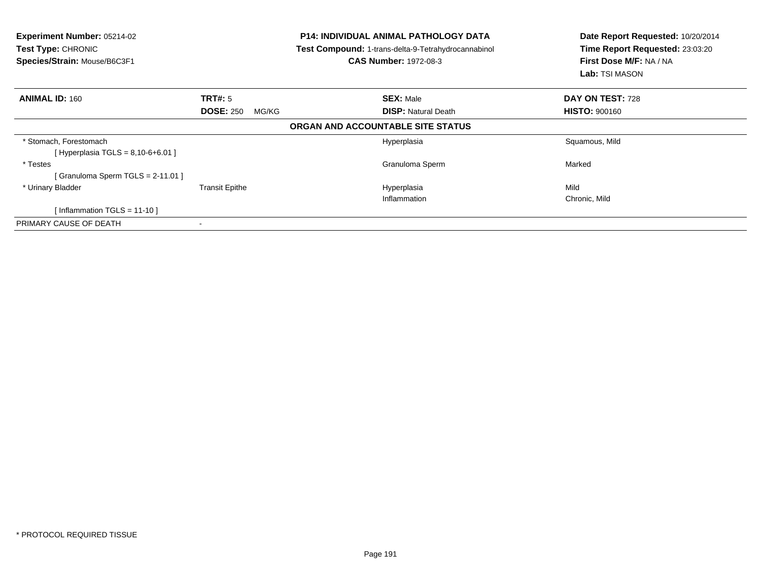| <b>Experiment Number: 05214-02</b><br>Test Type: CHRONIC<br>Species/Strain: Mouse/B6C3F1 |                           | <b>P14: INDIVIDUAL ANIMAL PATHOLOGY DATA</b><br>Test Compound: 1-trans-delta-9-Tetrahydrocannabinol<br><b>CAS Number: 1972-08-3</b> | Date Report Requested: 10/20/2014<br>Time Report Requested: 23:03:20<br>First Dose M/F: NA / NA<br>Lab: TSI MASON |
|------------------------------------------------------------------------------------------|---------------------------|-------------------------------------------------------------------------------------------------------------------------------------|-------------------------------------------------------------------------------------------------------------------|
| <b>ANIMAL ID: 160</b>                                                                    | <b>TRT#: 5</b>            | <b>SEX: Male</b>                                                                                                                    | DAY ON TEST: 728                                                                                                  |
|                                                                                          | <b>DOSE: 250</b><br>MG/KG | <b>DISP: Natural Death</b>                                                                                                          | <b>HISTO: 900160</b>                                                                                              |
|                                                                                          |                           | ORGAN AND ACCOUNTABLE SITE STATUS                                                                                                   |                                                                                                                   |
| * Stomach, Forestomach<br>[Hyperplasia TGLS = $8,10-6+6.01$ ]                            |                           | Hyperplasia                                                                                                                         | Squamous, Mild                                                                                                    |
| * Testes                                                                                 |                           | Granuloma Sperm                                                                                                                     | Marked                                                                                                            |
| Granuloma Sperm TGLS = $2-11.01$ ]                                                       |                           |                                                                                                                                     |                                                                                                                   |
| * Urinary Bladder                                                                        | <b>Transit Epithe</b>     | Hyperplasia                                                                                                                         | Mild                                                                                                              |
|                                                                                          |                           | Inflammation                                                                                                                        | Chronic, Mild                                                                                                     |
| Inflammation TGLS = 11-10 ]                                                              |                           |                                                                                                                                     |                                                                                                                   |
| PRIMARY CAUSE OF DEATH                                                                   |                           |                                                                                                                                     |                                                                                                                   |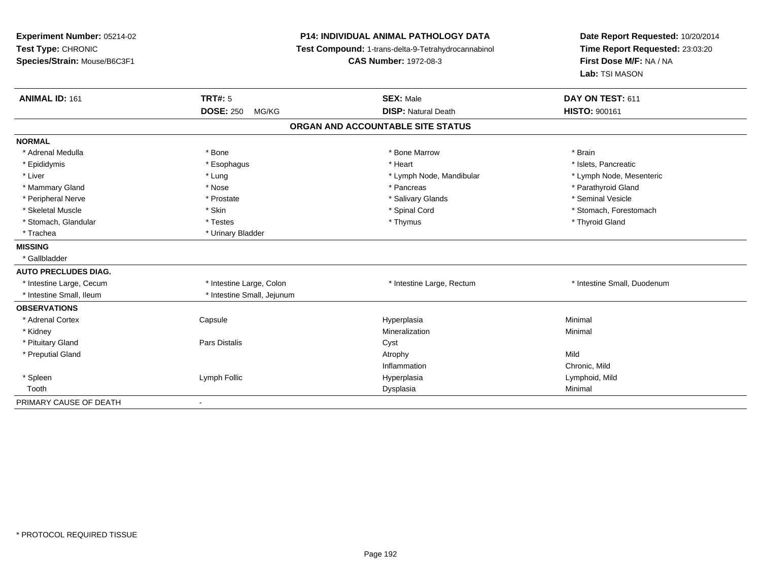**Experiment Number:** 05214-02**Test Type:** CHRONIC **Species/Strain:** Mouse/B6C3F1**P14: INDIVIDUAL ANIMAL PATHOLOGY DATA Test Compound:** 1-trans-delta-9-Tetrahydrocannabinol **CAS Number:** 1972-08-3**Date Report Requested:** 10/20/2014**Time Report Requested:** 23:03:20**First Dose M/F:** NA / NA**Lab:** TSI MASON**ANIMAL ID:** 161**TRT#:** 5 **SEX:** Male **SEX:** Male **DAY ON TEST:** 611 **DOSE:** 250 MG/KG**DISP:** Natural Death **HISTO:**  $900161$ **ORGAN AND ACCOUNTABLE SITE STATUSNORMAL**\* Adrenal Medulla \* \* Annual Medulla \* Brain \* Bone \* \* Bone Marrow \* Bone Marrow \* \* Brain \* Brain \* Brain \* Brain \* Brain \* Brain \* Brain \* Brain \* Brain \* Brain \* Brain \* Brain \* Brain \* Brain \* Brain \* Brain \* Brain \* \* Islets. Pancreatic \* Epididymis \* \* esophagus \* \* Esophagus \* \* Heart \* Heart \* Heart \* Islets, Pancreatic \* \* Islets, Pancreatic \* \* Lymph Node, Mesenteric \* Liver \* Lung \* Lung \* Lung \* Lung \* Lymph Node, Mandibular \* Lymph Node, Mandibular \* Mammary Gland \* \* Nose \* \* Nose \* \* Pancreas \* Pancreas \* \* Pancreas \* \* Pancreas \* \* Pancreas \* \* Parathyroid Gland \* Peripheral Nerve \* \* Annual Vesicle \* \* Prostate \* \* Salivary Glands \* \* Salivary Glands \* \* Seminal Vesicle \* Skeletal Muscle \* The state of the set of the set of the set of the set of the set of the set of the set of the set of the set of the set of the set of the set of the set of the set of the set of the set of the set of th \* Stomach, Glandular \* \* \* Thyroid Glandular \* Thestes \* \* Thymus \* Thymus \* Thyroid Glandular \* Thyroid Gland \* Trachea \* Urinary Bladder**MISSING** \* Gallbladder**AUTO PRECLUDES DIAG.** \* Intestine Large, Cecum \* Intestine Large, Colon \* Intestine Large, Rectum \* Intestine Small, Duodenum\* Intestine Small, Ileum \* 11testine Small, Jejunum **OBSERVATIONS** \* Adrenal Cortex**Capsule**  Hyperplasia Minimal \* Kidneyy with the control of the control of the control of the control of the control of the control of the control of the control of the control of the control of the control of the control of the control of the control of the c n Minimal \* Pituitary Gland Pars Distalis Cyst \* Preputial Glandd and the control of the control of the control of the control of the control of the control of the control of the control of the control of the control of the control of the control of the control of the control of the co Inflammation Chronic, Mild \* Spleen Lymph Follic Hyperplasia Lymphoid, Mild Toothh ann an t-aisim a bha ann an t-aisim a bha ann an t-aisim a bha ann an t-aisim a bha ann an t-aisim a bha ann an t-aisim a bha ann an t-aisim a bha ann an t-aisim a bha ann an t-aisim a bha ann an t-aisim a bha ann an t-a PRIMARY CAUSE OF DEATH-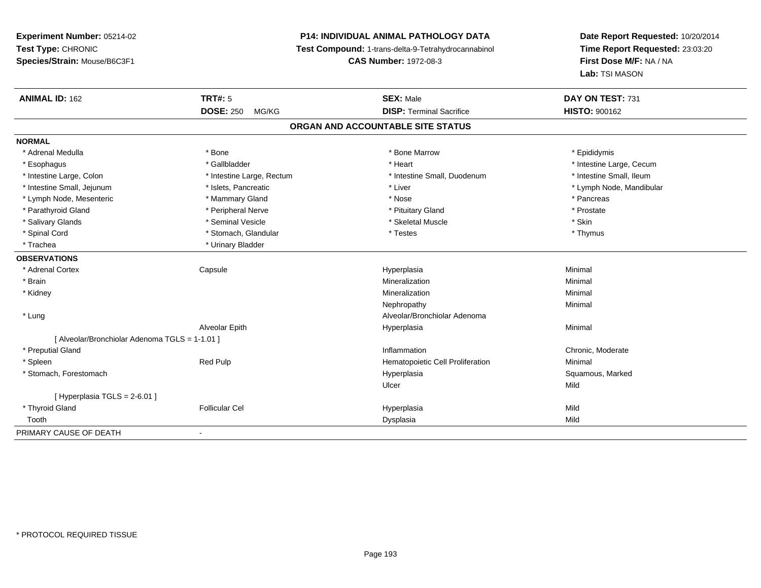# **P14: INDIVIDUAL ANIMAL PATHOLOGY DATA**

**Test Compound:** 1-trans-delta-9-Tetrahydrocannabinol

**CAS Number:** 1972-08-3

| <b>ANIMAL ID: 162</b>                          | TRT#: 5                   | <b>SEX: Male</b>                 | DAY ON TEST: 731         |  |  |  |  |
|------------------------------------------------|---------------------------|----------------------------------|--------------------------|--|--|--|--|
|                                                | <b>DOSE: 250</b><br>MG/KG | <b>DISP: Terminal Sacrifice</b>  | <b>HISTO: 900162</b>     |  |  |  |  |
| ORGAN AND ACCOUNTABLE SITE STATUS              |                           |                                  |                          |  |  |  |  |
| <b>NORMAL</b>                                  |                           |                                  |                          |  |  |  |  |
| * Adrenal Medulla                              | * Bone                    | * Bone Marrow                    | * Epididymis             |  |  |  |  |
| * Esophagus                                    | * Gallbladder             | * Heart                          | * Intestine Large, Cecum |  |  |  |  |
| * Intestine Large, Colon                       | * Intestine Large, Rectum | * Intestine Small, Duodenum      | * Intestine Small, Ileum |  |  |  |  |
| * Intestine Small, Jejunum                     | * Islets, Pancreatic      | * Liver                          | * Lymph Node, Mandibular |  |  |  |  |
| * Lymph Node, Mesenteric                       | * Mammary Gland           | * Nose                           | * Pancreas               |  |  |  |  |
| * Parathyroid Gland                            | * Peripheral Nerve        | * Pituitary Gland                | * Prostate               |  |  |  |  |
| * Salivary Glands                              | * Seminal Vesicle         | * Skeletal Muscle                | * Skin                   |  |  |  |  |
| * Spinal Cord                                  | * Stomach, Glandular      | * Testes                         | * Thymus                 |  |  |  |  |
| * Trachea                                      | * Urinary Bladder         |                                  |                          |  |  |  |  |
| <b>OBSERVATIONS</b>                            |                           |                                  |                          |  |  |  |  |
| * Adrenal Cortex                               | Capsule                   | Hyperplasia                      | Minimal                  |  |  |  |  |
| * Brain                                        |                           | Mineralization                   | Minimal                  |  |  |  |  |
| * Kidney                                       |                           | Mineralization                   | Minimal                  |  |  |  |  |
|                                                |                           | Nephropathy                      | Minimal                  |  |  |  |  |
| * Lung                                         |                           | Alveolar/Bronchiolar Adenoma     |                          |  |  |  |  |
|                                                | Alveolar Epith            | Hyperplasia                      | Minimal                  |  |  |  |  |
| [ Alveolar/Bronchiolar Adenoma TGLS = 1-1.01 ] |                           |                                  |                          |  |  |  |  |
| * Preputial Gland                              |                           | Inflammation                     | Chronic, Moderate        |  |  |  |  |
| * Spleen                                       | <b>Red Pulp</b>           | Hematopoietic Cell Proliferation | Minimal                  |  |  |  |  |
| * Stomach, Forestomach                         |                           | Hyperplasia                      | Squamous, Marked         |  |  |  |  |
|                                                |                           | Ulcer                            | Mild                     |  |  |  |  |
| [ Hyperplasia TGLS = 2-6.01 ]                  |                           |                                  |                          |  |  |  |  |
| * Thyroid Gland                                | <b>Follicular Cel</b>     | Hyperplasia                      | Mild                     |  |  |  |  |
| Tooth                                          |                           | Dysplasia                        | Mild                     |  |  |  |  |
| PRIMARY CAUSE OF DEATH                         | $\blacksquare$            |                                  |                          |  |  |  |  |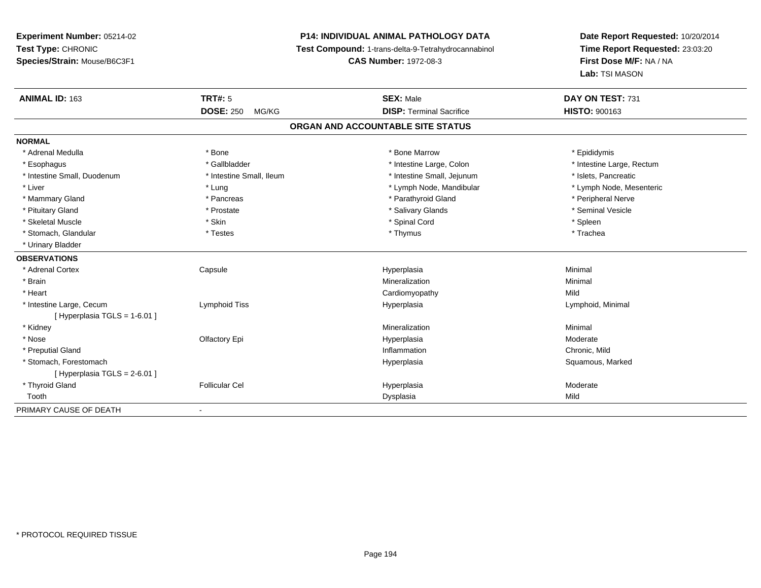# **P14: INDIVIDUAL ANIMAL PATHOLOGY DATA**

**Test Compound:** 1-trans-delta-9-Tetrahydrocannabinol

**CAS Number:** 1972-08-3

| ANIMAL ID: 163               | TRT#: 5                   | <b>SEX: Male</b>                  | DAY ON TEST: 731          |
|------------------------------|---------------------------|-----------------------------------|---------------------------|
|                              | <b>DOSE: 250</b><br>MG/KG | <b>DISP: Terminal Sacrifice</b>   | <b>HISTO: 900163</b>      |
|                              |                           | ORGAN AND ACCOUNTABLE SITE STATUS |                           |
| <b>NORMAL</b>                |                           |                                   |                           |
| * Adrenal Medulla            | * Bone                    | * Bone Marrow                     | * Epididymis              |
| * Esophagus                  | * Gallbladder             | * Intestine Large, Colon          | * Intestine Large, Rectum |
| * Intestine Small, Duodenum  | * Intestine Small, Ileum  | * Intestine Small, Jejunum        | * Islets. Pancreatic      |
| * Liver                      | * Lung                    | * Lymph Node, Mandibular          | * Lymph Node, Mesenteric  |
| * Mammary Gland              | * Pancreas                | * Parathyroid Gland               | * Peripheral Nerve        |
| * Pituitary Gland            | * Prostate                | * Salivary Glands                 | * Seminal Vesicle         |
| * Skeletal Muscle            | * Skin                    | * Spinal Cord                     | * Spleen                  |
| * Stomach, Glandular         | * Testes                  | * Thymus                          | * Trachea                 |
| * Urinary Bladder            |                           |                                   |                           |
| <b>OBSERVATIONS</b>          |                           |                                   |                           |
| * Adrenal Cortex             | Capsule                   | Hyperplasia                       | Minimal                   |
| * Brain                      |                           | Mineralization                    | Minimal                   |
| * Heart                      |                           | Cardiomyopathy                    | Mild                      |
| * Intestine Large, Cecum     | Lymphoid Tiss             | Hyperplasia                       | Lymphoid, Minimal         |
| [Hyperplasia TGLS = 1-6.01 ] |                           |                                   |                           |
| * Kidney                     |                           | Mineralization                    | Minimal                   |
| * Nose                       | Olfactory Epi             | Hyperplasia                       | Moderate                  |
| * Preputial Gland            |                           | Inflammation                      | Chronic, Mild             |
| * Stomach, Forestomach       |                           | Hyperplasia                       | Squamous, Marked          |
| [Hyperplasia TGLS = 2-6.01]  |                           |                                   |                           |
| * Thyroid Gland              | <b>Follicular Cel</b>     | Hyperplasia                       | Moderate                  |
| Tooth                        |                           | Dysplasia                         | Mild                      |
| PRIMARY CAUSE OF DEATH       |                           |                                   |                           |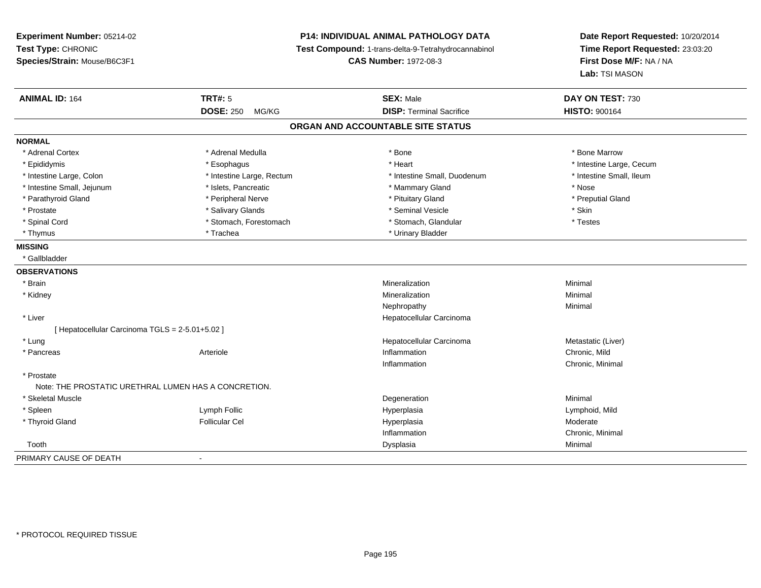**Experiment Number:** 05214-02**Test Type:** CHRONIC **Species/Strain:** Mouse/B6C3F1**P14: INDIVIDUAL ANIMAL PATHOLOGY DATA Test Compound:** 1-trans-delta-9-Tetrahydrocannabinol **CAS Number:** 1972-08-3**Date Report Requested:** 10/20/2014**Time Report Requested:** 23:03:20**First Dose M/F:** NA / NA**Lab:** TSI MASON**ANIMAL ID:** 164**TRT#:** 5 **SEX:** Male **DAY ON TEST:** 730 **DOSE:** 250 MG/KG**DISP:** Terminal Sacrifice **HISTO:** 900164 **ORGAN AND ACCOUNTABLE SITE STATUSNORMAL**\* Adrenal Cortex \* Adrenal Medulla \* Adrenal Medulla \* Bone \* Bone \* Bone \* Bone \* Bone Marrow \* Epididymis \* https://www.fragusta.com/windows/windows/windows/windows/windows/windows/windows/windows/windows/ \* Intestine Small. Ileum \* Intestine Large, Colon \* Intestine Large, Rectum \* Intestine Small, Duodenum \* Intestine Small, Duodenum \* Intestine Small, Jejunum \* \* \* 19ets, Pancreatic \* \* Mammary Gland \* Mammary Gland \* Nose \* Preputial Gland \* Parathyroid Gland \* \* The parathyroid Gland \* Peripheral Nerve \* \* Preputial Gland \* Preputial Gland \* \* Preputial Gland \* \* Preputial Gland \* \* Preputial Gland \* \* Preputial Gland \* \* Preputial Gland \* \* Preputial Gland \* Prostate \* \* Salivary Glands \* \* Salivary Glands \* \* Seminal Vesicle \* \* \* Seminal Yestrich \* \* Skin \* \* Skin \* Testes \* Spinal Cord \* Stomach, Forestomach \* Stomach \* Stomach, Glandular \* Stomach, Glandular \* Thymus \* Trachea \* Trachea \* Urinary Bladder \* Urinary Bladder \* Urinary Bladder **MISSING** \* Gallbladder**OBSERVATIONS** \* Brainn and the controller of the controller of the controller of the Mineralization and the controller of the Minimal \* Kidneyy with the control of the control of the control of the control of the control of the control of the control of the control of the control of the control of the control of the control of the control of the control of the c n Minimal Nephropathyy the contract of the Minimal Minimal Section 1996 and the contract of the Minimal Section 1997 and the contract of the contract of the contract of the contract of the contract of the contract of the contract of the contra \* Liver Hepatocellular Carcinoma[ Hepatocellular Carcinoma TGLS = 2-5.01+5.02 ] \* Lungg and the state of the state of the state of the state of the Hepatocellular Carcinoma and the Metastatic (Liver) \* Pancreass Arteriole e **Example 2018** Inflammation **Chronic, Mild** Chronic, Mild Chronic, Mild Chronic, Mild Inflammation Chronic, Minimal \* Prostate Note: THE PROSTATIC URETHRAL LUMEN HAS A CONCRETION. \* Skeletal Musclee de la controllata de la controllata de la controllata de la controllata de la controllata de la controllata d<br>Degeneration \* Spleen Lymph Follic Hyperplasia Lymphoid, Mild \* Thyroid Gland Follicular Cel Hyperplasia Moderate Inflammation Chronic, Minimal Toothh ann an Chomas ann an t-ainmeile ann an t-ainmeile ann an Dysplasia. Tha an t-ainmeile ann an Dysplasia ann an Dysplasia ann an t-ainmeile an an t-ainmeile ann an t-ainmeile an an t-ainmeile ann an t-ainmeile ann an t-ain PRIMARY CAUSE OF DEATH-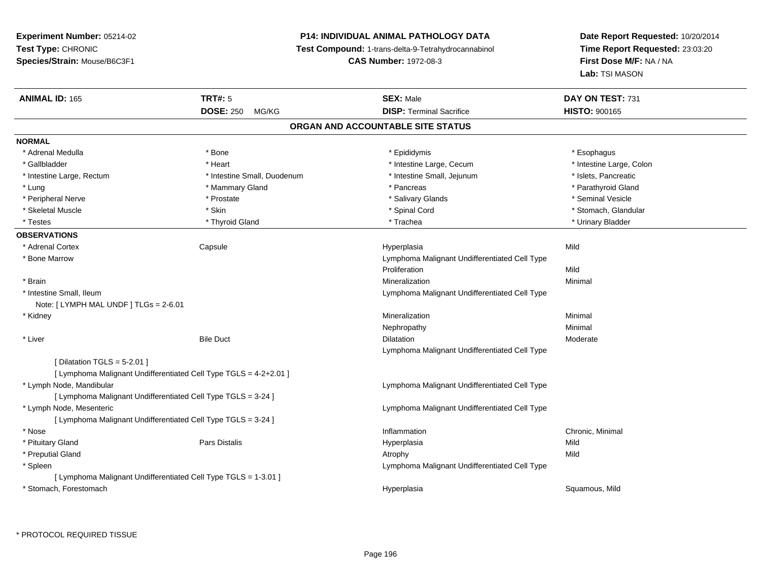# **P14: INDIVIDUAL ANIMAL PATHOLOGY DATA**

**Test Compound:** 1-trans-delta-9-Tetrahydrocannabinol

**CAS Number:** 1972-08-3

| <b>ANIMAL ID: 165</b>                  | <b>TRT#: 5</b>                                                    | <b>SEX: Male</b>                              | DAY ON TEST: 731         |
|----------------------------------------|-------------------------------------------------------------------|-----------------------------------------------|--------------------------|
|                                        | <b>DOSE: 250</b><br>MG/KG                                         | <b>DISP: Terminal Sacrifice</b>               | <b>HISTO: 900165</b>     |
|                                        |                                                                   | ORGAN AND ACCOUNTABLE SITE STATUS             |                          |
| <b>NORMAL</b>                          |                                                                   |                                               |                          |
| * Adrenal Medulla                      | * Bone                                                            | * Epididymis                                  | * Esophagus              |
| * Gallbladder                          | * Heart                                                           | * Intestine Large, Cecum                      | * Intestine Large, Colon |
| * Intestine Large, Rectum              | * Intestine Small, Duodenum                                       | * Intestine Small, Jejunum                    | * Islets, Pancreatic     |
| * Lung                                 | * Mammary Gland                                                   | * Pancreas                                    | * Parathyroid Gland      |
| * Peripheral Nerve                     | * Prostate                                                        | * Salivary Glands                             | * Seminal Vesicle        |
| * Skeletal Muscle                      | * Skin                                                            | * Spinal Cord                                 | * Stomach, Glandular     |
| * Testes                               | * Thyroid Gland                                                   | * Trachea                                     | * Urinary Bladder        |
| <b>OBSERVATIONS</b>                    |                                                                   |                                               |                          |
| * Adrenal Cortex                       | Capsule                                                           | Hyperplasia                                   | Mild                     |
| * Bone Marrow                          |                                                                   | Lymphoma Malignant Undifferentiated Cell Type |                          |
|                                        |                                                                   | Proliferation                                 | Mild                     |
| * Brain                                |                                                                   | Mineralization                                | Minimal                  |
| * Intestine Small, Ileum               |                                                                   | Lymphoma Malignant Undifferentiated Cell Type |                          |
| Note: [ LYMPH MAL UNDF ] TLGs = 2-6.01 |                                                                   |                                               |                          |
| * Kidney                               |                                                                   | Mineralization                                | Minimal                  |
|                                        |                                                                   | Nephropathy                                   | Minimal                  |
| * Liver                                | <b>Bile Duct</b>                                                  | Dilatation                                    | Moderate                 |
|                                        |                                                                   | Lymphoma Malignant Undifferentiated Cell Type |                          |
| [ Dilatation TGLS = $5-2.01$ ]         |                                                                   |                                               |                          |
|                                        | [ Lymphoma Malignant Undifferentiated Cell Type TGLS = 4-2+2.01 ] |                                               |                          |
| * Lymph Node, Mandibular               |                                                                   | Lymphoma Malignant Undifferentiated Cell Type |                          |
|                                        | [ Lymphoma Malignant Undifferentiated Cell Type TGLS = 3-24 ]     |                                               |                          |
| * Lymph Node, Mesenteric               |                                                                   | Lymphoma Malignant Undifferentiated Cell Type |                          |
|                                        | [ Lymphoma Malignant Undifferentiated Cell Type TGLS = 3-24 ]     |                                               |                          |
| * Nose                                 |                                                                   | Inflammation                                  | Chronic, Minimal         |
| * Pituitary Gland                      | <b>Pars Distalis</b>                                              | Hyperplasia                                   | Mild                     |
| * Preputial Gland                      |                                                                   | Atrophy                                       | Mild                     |
| * Spleen                               |                                                                   | Lymphoma Malignant Undifferentiated Cell Type |                          |
|                                        | [ Lymphoma Malignant Undifferentiated Cell Type TGLS = 1-3.01 ]   |                                               |                          |
| * Stomach, Forestomach                 |                                                                   | Hyperplasia                                   | Squamous, Mild           |
|                                        |                                                                   |                                               |                          |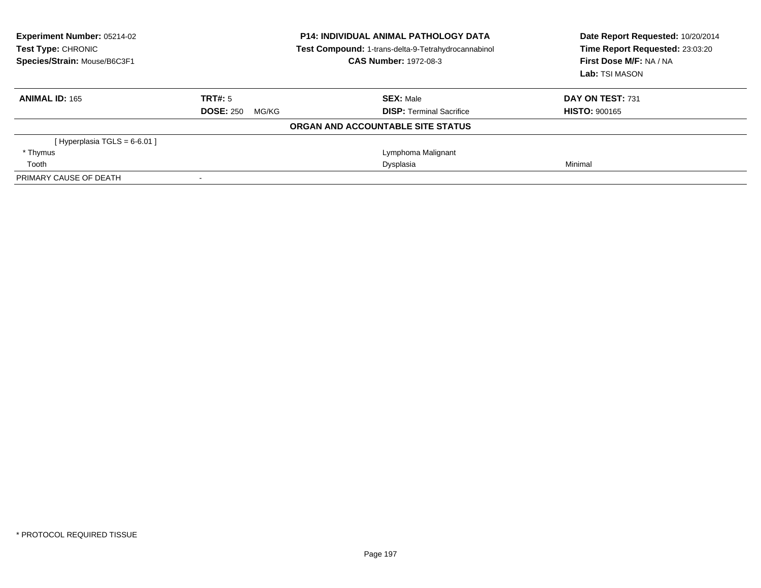| <b>Experiment Number: 05214-02</b><br>Test Type: CHRONIC<br>Species/Strain: Mouse/B6C3F1 | <b>P14: INDIVIDUAL ANIMAL PATHOLOGY DATA</b><br>Test Compound: 1-trans-delta-9-Tetrahydrocannabinol<br><b>CAS Number: 1972-08-3</b> |                                   | Date Report Requested: 10/20/2014<br>Time Report Requested: 23:03:20<br>First Dose M/F: NA / NA<br>Lab: TSI MASON |
|------------------------------------------------------------------------------------------|-------------------------------------------------------------------------------------------------------------------------------------|-----------------------------------|-------------------------------------------------------------------------------------------------------------------|
| <b>ANIMAL ID: 165</b>                                                                    | TRT#: 5                                                                                                                             | <b>SEX: Male</b>                  | DAY ON TEST: 731                                                                                                  |
|                                                                                          | <b>DOSE: 250</b><br>MG/KG                                                                                                           | <b>DISP:</b> Terminal Sacrifice   | <b>HISTO: 900165</b>                                                                                              |
|                                                                                          |                                                                                                                                     | ORGAN AND ACCOUNTABLE SITE STATUS |                                                                                                                   |
| [Hyperplasia TGLS = $6-6.01$ ]                                                           |                                                                                                                                     |                                   |                                                                                                                   |
| * Thymus                                                                                 |                                                                                                                                     | Lymphoma Malignant                |                                                                                                                   |
| Tooth                                                                                    |                                                                                                                                     | Dysplasia                         | Minimal                                                                                                           |
| PRIMARY CAUSE OF DEATH                                                                   |                                                                                                                                     |                                   |                                                                                                                   |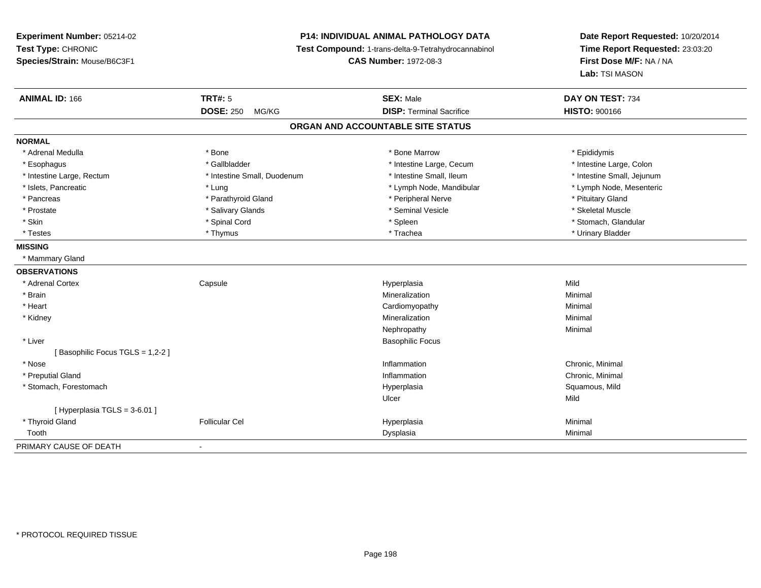# **P14: INDIVIDUAL ANIMAL PATHOLOGY DATA**

**Test Compound:** 1-trans-delta-9-Tetrahydrocannabinol

**CAS Number:** 1972-08-3

| <b>ANIMAL ID: 166</b>             | <b>TRT#: 5</b><br><b>DOSE: 250</b><br>MG/KG | <b>SEX: Male</b><br><b>DISP: Terminal Sacrifice</b> | DAY ON TEST: 734<br><b>HISTO: 900166</b> |  |  |  |
|-----------------------------------|---------------------------------------------|-----------------------------------------------------|------------------------------------------|--|--|--|
| ORGAN AND ACCOUNTABLE SITE STATUS |                                             |                                                     |                                          |  |  |  |
|                                   |                                             |                                                     |                                          |  |  |  |
| <b>NORMAL</b>                     |                                             |                                                     |                                          |  |  |  |
| * Adrenal Medulla                 | * Bone                                      | * Bone Marrow                                       | * Epididymis                             |  |  |  |
| * Esophagus                       | * Gallbladder                               | * Intestine Large, Cecum                            | * Intestine Large, Colon                 |  |  |  |
| * Intestine Large, Rectum         | * Intestine Small, Duodenum                 | * Intestine Small, Ileum                            | * Intestine Small, Jejunum               |  |  |  |
| * Islets, Pancreatic              | * Lung                                      | * Lymph Node, Mandibular                            | * Lymph Node, Mesenteric                 |  |  |  |
| * Pancreas                        | * Parathyroid Gland                         | * Peripheral Nerve                                  | * Pituitary Gland                        |  |  |  |
| * Prostate                        | * Salivary Glands                           | * Seminal Vesicle                                   | * Skeletal Muscle                        |  |  |  |
| * Skin                            | * Spinal Cord                               | * Spleen                                            | * Stomach, Glandular                     |  |  |  |
| * Testes                          | * Thymus                                    | * Trachea                                           | * Urinary Bladder                        |  |  |  |
| <b>MISSING</b>                    |                                             |                                                     |                                          |  |  |  |
| * Mammary Gland                   |                                             |                                                     |                                          |  |  |  |
| <b>OBSERVATIONS</b>               |                                             |                                                     |                                          |  |  |  |
| * Adrenal Cortex                  | Capsule                                     | Hyperplasia                                         | Mild                                     |  |  |  |
| * Brain                           |                                             | Mineralization                                      | Minimal                                  |  |  |  |
| * Heart                           |                                             | Cardiomyopathy                                      | Minimal                                  |  |  |  |
| * Kidney                          |                                             | Mineralization                                      | Minimal                                  |  |  |  |
|                                   |                                             | Nephropathy                                         | Minimal                                  |  |  |  |
| * Liver                           |                                             | <b>Basophilic Focus</b>                             |                                          |  |  |  |
| [Basophilic Focus TGLS = 1,2-2]   |                                             |                                                     |                                          |  |  |  |
| * Nose                            |                                             | Inflammation                                        | Chronic, Minimal                         |  |  |  |
| * Preputial Gland                 |                                             | Inflammation                                        | Chronic, Minimal                         |  |  |  |
| * Stomach, Forestomach            |                                             | Hyperplasia                                         | Squamous, Mild                           |  |  |  |
|                                   |                                             | Ulcer                                               | Mild                                     |  |  |  |
| [Hyperplasia TGLS = $3-6.01$ ]    |                                             |                                                     |                                          |  |  |  |
| * Thyroid Gland                   | <b>Follicular Cel</b>                       | Hyperplasia                                         | Minimal                                  |  |  |  |
| Tooth                             |                                             | Dysplasia                                           | Minimal                                  |  |  |  |
| PRIMARY CAUSE OF DEATH            | $\overline{\phantom{a}}$                    |                                                     |                                          |  |  |  |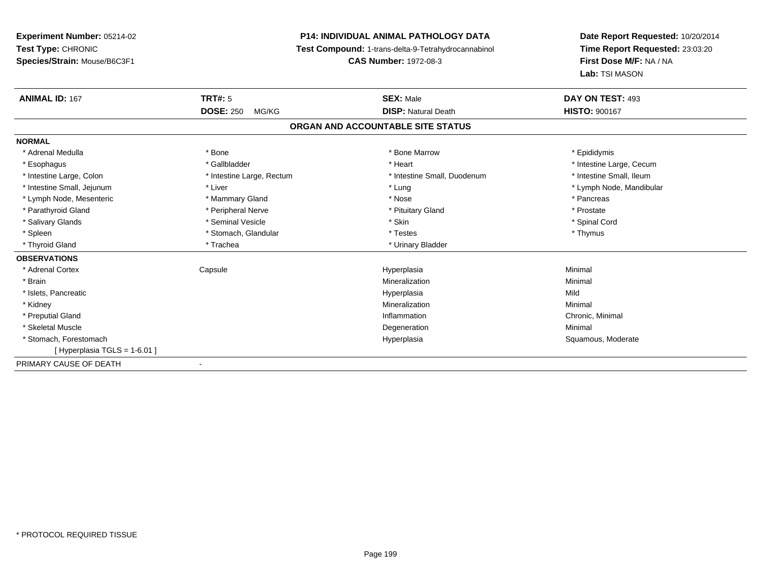# **P14: INDIVIDUAL ANIMAL PATHOLOGY DATA**

**Test Compound:** 1-trans-delta-9-Tetrahydrocannabinol

**CAS Number:** 1972-08-3

| <b>ANIMAL ID: 167</b>          | TRT#: 5                   | <b>SEX: Male</b>                  | DAY ON TEST: 493         |
|--------------------------------|---------------------------|-----------------------------------|--------------------------|
|                                | <b>DOSE: 250</b><br>MG/KG | <b>DISP: Natural Death</b>        | <b>HISTO: 900167</b>     |
|                                |                           | ORGAN AND ACCOUNTABLE SITE STATUS |                          |
| <b>NORMAL</b>                  |                           |                                   |                          |
| * Adrenal Medulla              | * Bone                    | * Bone Marrow                     | * Epididymis             |
| * Esophagus                    | * Gallbladder             | * Heart                           | * Intestine Large, Cecum |
| * Intestine Large, Colon       | * Intestine Large, Rectum | * Intestine Small, Duodenum       | * Intestine Small, Ileum |
| * Intestine Small, Jejunum     | * Liver                   | * Lung                            | * Lymph Node, Mandibular |
| * Lymph Node, Mesenteric       | * Mammary Gland           | * Nose                            | * Pancreas               |
| * Parathyroid Gland            | * Peripheral Nerve        | * Pituitary Gland                 | * Prostate               |
| * Salivary Glands              | * Seminal Vesicle         | * Skin                            | * Spinal Cord            |
| * Spleen                       | * Stomach, Glandular      | * Testes                          | * Thymus                 |
| * Thyroid Gland                | * Trachea                 | * Urinary Bladder                 |                          |
| <b>OBSERVATIONS</b>            |                           |                                   |                          |
| * Adrenal Cortex               | Capsule                   | Hyperplasia                       | Minimal                  |
| * Brain                        |                           | Mineralization                    | Minimal                  |
| * Islets, Pancreatic           |                           | Hyperplasia                       | Mild                     |
| * Kidney                       |                           | Mineralization                    | Minimal                  |
| * Preputial Gland              |                           | Inflammation                      | Chronic, Minimal         |
| * Skeletal Muscle              |                           | Degeneration                      | Minimal                  |
| * Stomach, Forestomach         |                           | Hyperplasia                       | Squamous, Moderate       |
| [Hyperplasia TGLS = $1-6.01$ ] |                           |                                   |                          |
| PRIMARY CAUSE OF DEATH         |                           |                                   |                          |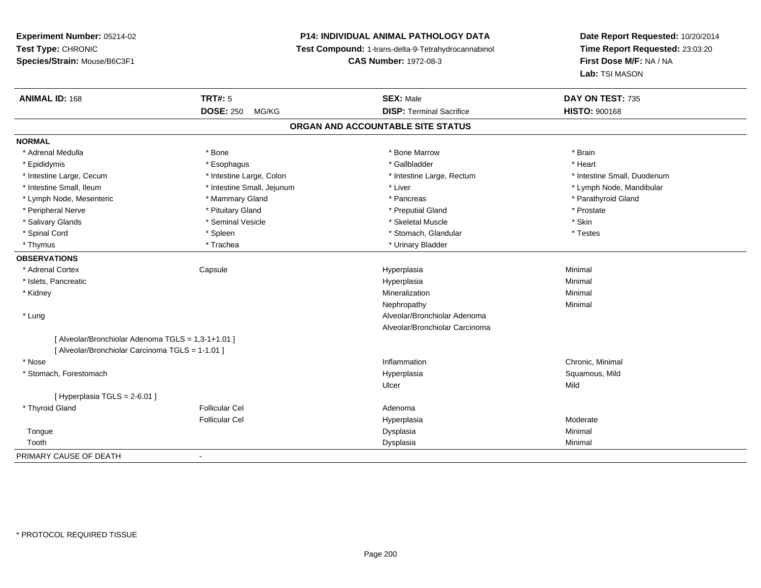# **P14: INDIVIDUAL ANIMAL PATHOLOGY DATA**

**Test Compound:** 1-trans-delta-9-Tetrahydrocannabinol

**CAS Number:** 1972-08-3

| <b>ANIMAL ID: 168</b>                            | <b>TRT#: 5</b>             | <b>SEX: Male</b>                  | DAY ON TEST: 735            |
|--------------------------------------------------|----------------------------|-----------------------------------|-----------------------------|
|                                                  | <b>DOSE: 250</b><br>MG/KG  | <b>DISP: Terminal Sacrifice</b>   | <b>HISTO: 900168</b>        |
|                                                  |                            | ORGAN AND ACCOUNTABLE SITE STATUS |                             |
| <b>NORMAL</b>                                    |                            |                                   |                             |
| * Adrenal Medulla                                | * Bone                     | * Bone Marrow                     | * Brain                     |
| * Epididymis                                     | * Esophagus                | * Gallbladder                     | * Heart                     |
| * Intestine Large, Cecum                         | * Intestine Large, Colon   | * Intestine Large, Rectum         | * Intestine Small, Duodenum |
| * Intestine Small, Ileum                         | * Intestine Small, Jejunum | * Liver                           | * Lymph Node, Mandibular    |
| * Lymph Node, Mesenteric                         | * Mammary Gland            | * Pancreas                        | * Parathyroid Gland         |
| * Peripheral Nerve                               | * Pituitary Gland          | * Preputial Gland                 | * Prostate                  |
| * Salivary Glands                                | * Seminal Vesicle          | * Skeletal Muscle                 | * Skin                      |
| * Spinal Cord                                    | * Spleen                   | * Stomach, Glandular              | * Testes                    |
| * Thymus                                         | * Trachea                  | * Urinary Bladder                 |                             |
| <b>OBSERVATIONS</b>                              |                            |                                   |                             |
| * Adrenal Cortex                                 | Capsule                    | Hyperplasia                       | Minimal                     |
| * Islets, Pancreatic                             |                            | Hyperplasia                       | Minimal                     |
| * Kidney                                         |                            | Mineralization                    | Minimal                     |
|                                                  |                            | Nephropathy                       | Minimal                     |
| * Lung                                           |                            | Alveolar/Bronchiolar Adenoma      |                             |
|                                                  |                            | Alveolar/Bronchiolar Carcinoma    |                             |
| [Alveolar/Bronchiolar Adenoma TGLS = 1,3-1+1.01] |                            |                                   |                             |
| [Alveolar/Bronchiolar Carcinoma TGLS = 1-1.01]   |                            |                                   |                             |
| * Nose                                           |                            | Inflammation                      | Chronic, Minimal            |
| * Stomach, Forestomach                           |                            | Hyperplasia                       | Squamous, Mild              |
|                                                  |                            | Ulcer                             | Mild                        |
| [ Hyperplasia TGLS = 2-6.01 ]                    |                            |                                   |                             |
| * Thyroid Gland                                  | <b>Follicular Cel</b>      | Adenoma                           |                             |
|                                                  | <b>Follicular Cel</b>      | Hyperplasia                       | Moderate                    |
| Tongue                                           |                            | Dysplasia                         | Minimal                     |
| Tooth                                            |                            | Dysplasia                         | Minimal                     |
| PRIMARY CAUSE OF DEATH                           | $\overline{\phantom{a}}$   |                                   |                             |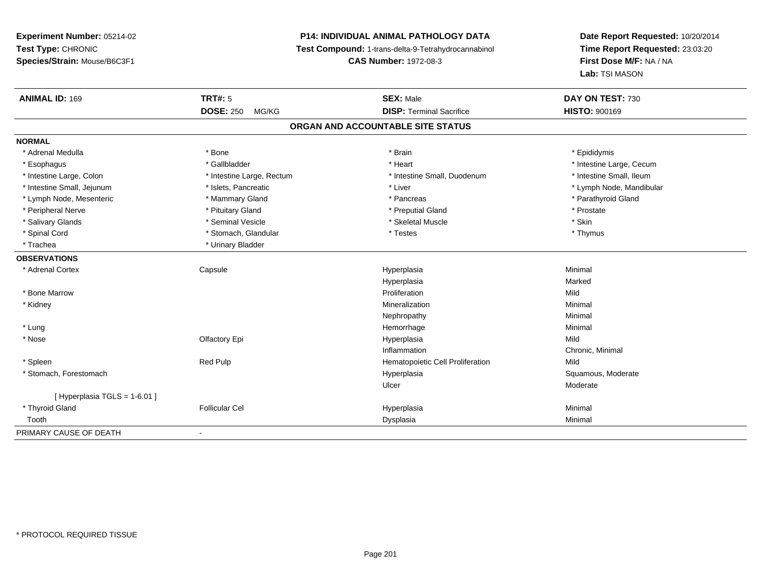# **P14: INDIVIDUAL ANIMAL PATHOLOGY DATA**

**Test Compound:** 1-trans-delta-9-Tetrahydrocannabinol

**CAS Number:** 1972-08-3

| <b>ANIMAL ID: 169</b>         | TRT#: 5                   | <b>SEX: Male</b>                  | DAY ON TEST: 730         |
|-------------------------------|---------------------------|-----------------------------------|--------------------------|
|                               | <b>DOSE: 250</b><br>MG/KG | <b>DISP: Terminal Sacrifice</b>   | <b>HISTO: 900169</b>     |
|                               |                           | ORGAN AND ACCOUNTABLE SITE STATUS |                          |
| <b>NORMAL</b>                 |                           |                                   |                          |
| * Adrenal Medulla             | * Bone                    | * Brain                           | * Epididymis             |
| * Esophagus                   | * Gallbladder             | * Heart                           | * Intestine Large, Cecum |
| * Intestine Large, Colon      | * Intestine Large, Rectum | * Intestine Small, Duodenum       | * Intestine Small, Ileum |
| * Intestine Small, Jejunum    | * Islets, Pancreatic      | * Liver                           | * Lymph Node, Mandibular |
| * Lymph Node, Mesenteric      | * Mammary Gland           | * Pancreas                        | * Parathyroid Gland      |
| * Peripheral Nerve            | * Pituitary Gland         | * Preputial Gland                 | * Prostate               |
| * Salivary Glands             | * Seminal Vesicle         | * Skeletal Muscle                 | * Skin                   |
| * Spinal Cord                 | * Stomach, Glandular      | * Testes                          | * Thymus                 |
| * Trachea                     | * Urinary Bladder         |                                   |                          |
| <b>OBSERVATIONS</b>           |                           |                                   |                          |
| * Adrenal Cortex              | Capsule                   | Hyperplasia                       | Minimal                  |
|                               |                           | Hyperplasia                       | Marked                   |
| * Bone Marrow                 |                           | Proliferation                     | Mild                     |
| * Kidney                      |                           | Mineralization                    | Minimal                  |
|                               |                           | Nephropathy                       | Minimal                  |
| * Lung                        |                           | Hemorrhage                        | Minimal                  |
| * Nose                        | Olfactory Epi             | Hyperplasia                       | Mild                     |
|                               |                           | Inflammation                      | Chronic, Minimal         |
| * Spleen                      | <b>Red Pulp</b>           | Hematopoietic Cell Proliferation  | Mild                     |
| * Stomach, Forestomach        |                           | Hyperplasia                       | Squamous, Moderate       |
|                               |                           | Ulcer                             | Moderate                 |
| [ Hyperplasia TGLS = 1-6.01 ] |                           |                                   |                          |
| * Thyroid Gland               | <b>Follicular Cel</b>     | Hyperplasia                       | Minimal                  |
| Tooth                         |                           | Dysplasia                         | Minimal                  |
| PRIMARY CAUSE OF DEATH        | $\blacksquare$            |                                   |                          |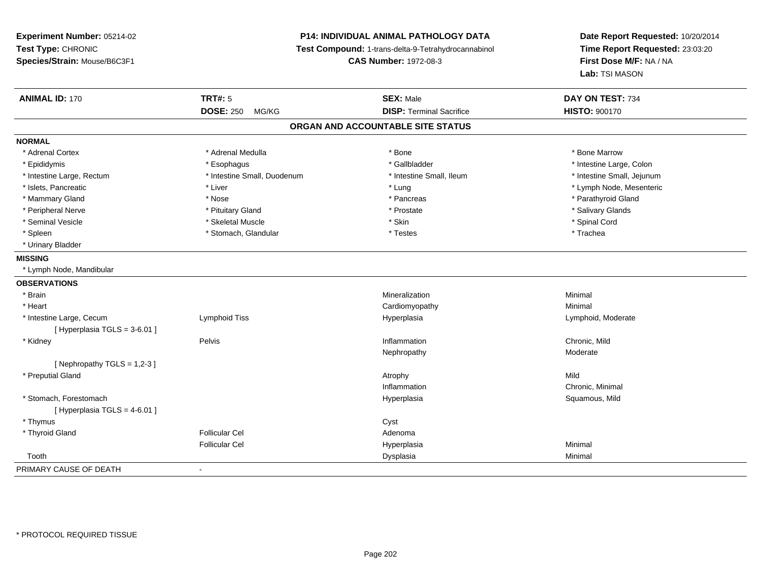# **P14: INDIVIDUAL ANIMAL PATHOLOGY DATA**

**Test Compound:** 1-trans-delta-9-Tetrahydrocannabinol

**CAS Number:** 1972-08-3

| <b>ANIMAL ID: 170</b>         | <b>TRT#: 5</b>              | <b>SEX: Male</b>                  | DAY ON TEST: 734           |  |
|-------------------------------|-----------------------------|-----------------------------------|----------------------------|--|
|                               | <b>DOSE: 250</b><br>MG/KG   | <b>DISP: Terminal Sacrifice</b>   | <b>HISTO: 900170</b>       |  |
|                               |                             | ORGAN AND ACCOUNTABLE SITE STATUS |                            |  |
| <b>NORMAL</b>                 |                             |                                   |                            |  |
| * Adrenal Cortex              | * Adrenal Medulla           | * Bone                            | * Bone Marrow              |  |
| * Epididymis                  | * Esophagus                 | * Gallbladder                     | * Intestine Large, Colon   |  |
| * Intestine Large, Rectum     | * Intestine Small, Duodenum | * Intestine Small, Ileum          | * Intestine Small, Jejunum |  |
| * Islets, Pancreatic          | * Liver                     | * Lung                            | * Lymph Node, Mesenteric   |  |
| * Mammary Gland               | * Nose                      | * Pancreas                        | * Parathyroid Gland        |  |
| * Peripheral Nerve            | * Pituitary Gland           | * Prostate                        | * Salivary Glands          |  |
| * Seminal Vesicle             | * Skeletal Muscle           | * Skin                            | * Spinal Cord              |  |
| * Spleen                      | * Stomach, Glandular        | * Testes                          | * Trachea                  |  |
| * Urinary Bladder             |                             |                                   |                            |  |
| <b>MISSING</b>                |                             |                                   |                            |  |
| * Lymph Node, Mandibular      |                             |                                   |                            |  |
| <b>OBSERVATIONS</b>           |                             |                                   |                            |  |
| * Brain                       |                             | Mineralization                    | Minimal                    |  |
| * Heart                       |                             | Cardiomyopathy                    | Minimal                    |  |
| * Intestine Large, Cecum      | Lymphoid Tiss               | Hyperplasia                       | Lymphoid, Moderate         |  |
| [ Hyperplasia TGLS = 3-6.01 ] |                             |                                   |                            |  |
| * Kidney                      | Pelvis                      | Inflammation                      | Chronic, Mild              |  |
|                               |                             | Nephropathy                       | Moderate                   |  |
| [Nephropathy TGLS = $1,2-3$ ] |                             |                                   |                            |  |
| * Preputial Gland             |                             | Atrophy                           | Mild                       |  |
|                               |                             | Inflammation                      | Chronic, Minimal           |  |
| * Stomach, Forestomach        |                             | Hyperplasia                       | Squamous, Mild             |  |
| [ Hyperplasia TGLS = 4-6.01 ] |                             |                                   |                            |  |
| * Thymus                      |                             | Cyst                              |                            |  |
| * Thyroid Gland               | <b>Follicular Cel</b>       | Adenoma                           |                            |  |
|                               | <b>Follicular Cel</b>       | Hyperplasia                       | Minimal                    |  |
| Tooth                         |                             | Dysplasia                         | Minimal                    |  |
| PRIMARY CAUSE OF DEATH        | $\blacksquare$              |                                   |                            |  |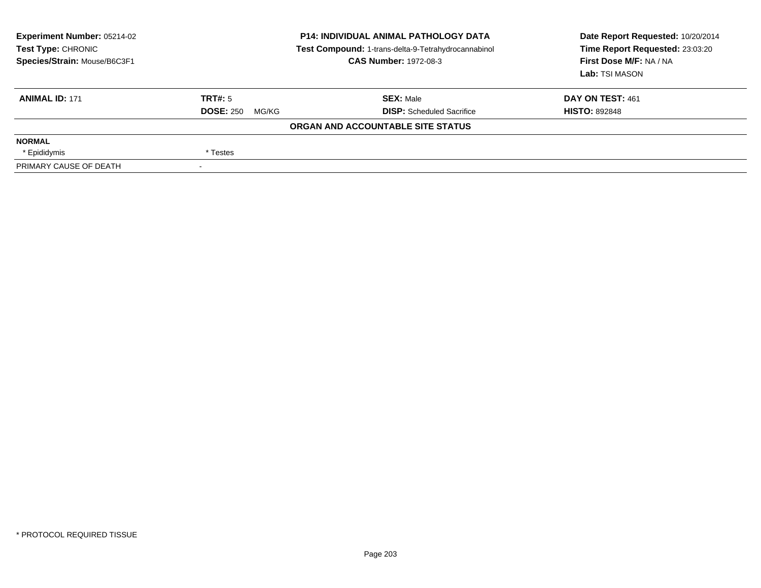| <b>Experiment Number: 05214-02</b><br>Test Type: CHRONIC<br>Species/Strain: Mouse/B6C3F1 | <b>P14: INDIVIDUAL ANIMAL PATHOLOGY DATA</b><br>Test Compound: 1-trans-delta-9-Tetrahydrocannabinol<br><b>CAS Number: 1972-08-3</b> |                                   | Date Report Requested: 10/20/2014<br>Time Report Requested: 23:03:20<br>First Dose M/F: NA / NA<br>Lab: TSI MASON |  |
|------------------------------------------------------------------------------------------|-------------------------------------------------------------------------------------------------------------------------------------|-----------------------------------|-------------------------------------------------------------------------------------------------------------------|--|
| <b>ANIMAL ID: 171</b>                                                                    | TRT#: 5                                                                                                                             | <b>SEX: Male</b>                  | DAY ON TEST: 461                                                                                                  |  |
|                                                                                          | <b>DOSE: 250</b><br>MG/KG                                                                                                           | <b>DISP:</b> Scheduled Sacrifice  | <b>HISTO: 892848</b>                                                                                              |  |
|                                                                                          |                                                                                                                                     | ORGAN AND ACCOUNTABLE SITE STATUS |                                                                                                                   |  |
| <b>NORMAL</b>                                                                            |                                                                                                                                     |                                   |                                                                                                                   |  |
| * Epididymis                                                                             | * Testes                                                                                                                            |                                   |                                                                                                                   |  |
| PRIMARY CAUSE OF DEATH                                                                   |                                                                                                                                     |                                   |                                                                                                                   |  |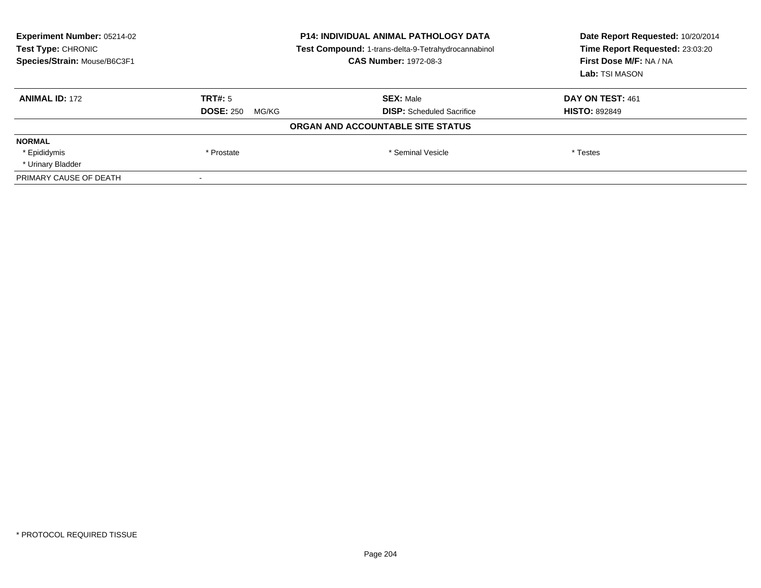| Experiment Number: 05214-02<br>Test Type: CHRONIC<br>Species/Strain: Mouse/B6C3F1 | <b>P14: INDIVIDUAL ANIMAL PATHOLOGY DATA</b><br>Test Compound: 1-trans-delta-9-Tetrahydrocannabinol<br><b>CAS Number: 1972-08-3</b> |                                   | Date Report Requested: 10/20/2014<br>Time Report Requested: 23:03:20<br>First Dose M/F: NA / NA<br>Lab: TSI MASON |
|-----------------------------------------------------------------------------------|-------------------------------------------------------------------------------------------------------------------------------------|-----------------------------------|-------------------------------------------------------------------------------------------------------------------|
| <b>ANIMAL ID: 172</b>                                                             | TRT#: 5                                                                                                                             | <b>SEX: Male</b>                  | DAY ON TEST: 461                                                                                                  |
|                                                                                   | <b>DOSE: 250</b><br>MG/KG                                                                                                           | <b>DISP:</b> Scheduled Sacrifice  | <b>HISTO: 892849</b>                                                                                              |
|                                                                                   |                                                                                                                                     | ORGAN AND ACCOUNTABLE SITE STATUS |                                                                                                                   |
| <b>NORMAL</b>                                                                     |                                                                                                                                     |                                   |                                                                                                                   |
| * Epididymis                                                                      | * Prostate                                                                                                                          | * Seminal Vesicle                 | * Testes                                                                                                          |
| * Urinary Bladder                                                                 |                                                                                                                                     |                                   |                                                                                                                   |
| PRIMARY CAUSE OF DEATH                                                            |                                                                                                                                     |                                   |                                                                                                                   |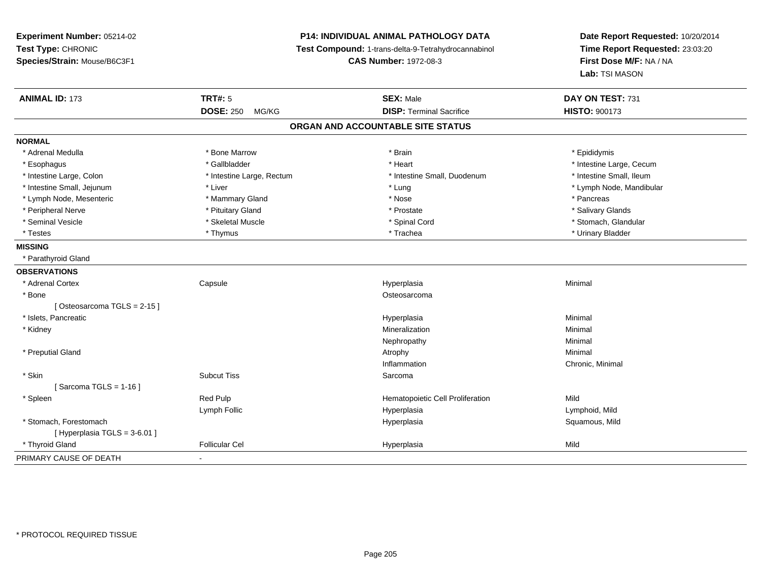# **P14: INDIVIDUAL ANIMAL PATHOLOGY DATA**

**Test Compound:** 1-trans-delta-9-Tetrahydrocannabinol

**CAS Number:** 1972-08-3

| <b>ANIMAL ID: 173</b>         | <b>TRT#: 5</b>            | <b>SEX: Male</b>                  | DAY ON TEST: 731         |
|-------------------------------|---------------------------|-----------------------------------|--------------------------|
|                               | <b>DOSE: 250</b><br>MG/KG | <b>DISP: Terminal Sacrifice</b>   | <b>HISTO: 900173</b>     |
|                               |                           | ORGAN AND ACCOUNTABLE SITE STATUS |                          |
| <b>NORMAL</b>                 |                           |                                   |                          |
| * Adrenal Medulla             | * Bone Marrow             | * Brain                           | * Epididymis             |
| * Esophagus                   | * Gallbladder             | * Heart                           | * Intestine Large, Cecum |
| * Intestine Large, Colon      | * Intestine Large, Rectum | * Intestine Small, Duodenum       | * Intestine Small, Ileum |
| * Intestine Small, Jejunum    | * Liver                   | * Lung                            | * Lymph Node, Mandibular |
| * Lymph Node, Mesenteric      | * Mammary Gland           | * Nose                            | * Pancreas               |
| * Peripheral Nerve            | * Pituitary Gland         | * Prostate                        | * Salivary Glands        |
| * Seminal Vesicle             | * Skeletal Muscle         | * Spinal Cord                     | * Stomach, Glandular     |
| * Testes                      | * Thymus                  | * Trachea                         | * Urinary Bladder        |
| <b>MISSING</b>                |                           |                                   |                          |
| * Parathyroid Gland           |                           |                                   |                          |
| <b>OBSERVATIONS</b>           |                           |                                   |                          |
| * Adrenal Cortex              | Capsule                   | Hyperplasia                       | Minimal                  |
| * Bone                        |                           | Osteosarcoma                      |                          |
| [Osteosarcoma TGLS = 2-15]    |                           |                                   |                          |
| * Islets, Pancreatic          |                           | Hyperplasia                       | Minimal                  |
| * Kidney                      |                           | Mineralization                    | Minimal                  |
|                               |                           | Nephropathy                       | Minimal                  |
| * Preputial Gland             |                           | Atrophy                           | Minimal                  |
|                               |                           | Inflammation                      | Chronic, Minimal         |
| * Skin                        | <b>Subcut Tiss</b>        | Sarcoma                           |                          |
| [Sarcoma TGLS = 1-16]         |                           |                                   |                          |
| * Spleen                      | Red Pulp                  | Hematopoietic Cell Proliferation  | Mild                     |
|                               | Lymph Follic              | Hyperplasia                       | Lymphoid, Mild           |
| * Stomach, Forestomach        |                           | Hyperplasia                       | Squamous, Mild           |
| [ Hyperplasia TGLS = 3-6.01 ] |                           |                                   |                          |
| * Thyroid Gland               | <b>Follicular Cel</b>     | Hyperplasia                       | Mild                     |
| PRIMARY CAUSE OF DEATH        | $\blacksquare$            |                                   |                          |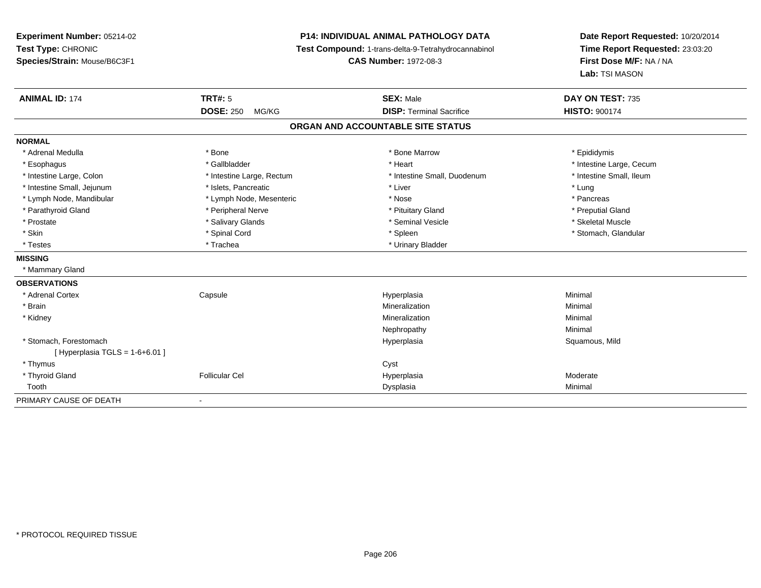**Experiment Number:** 05214-02**Test Type:** CHRONIC **Species/Strain:** Mouse/B6C3F1**P14: INDIVIDUAL ANIMAL PATHOLOGY DATA Test Compound:** 1-trans-delta-9-Tetrahydrocannabinol **CAS Number:** 1972-08-3**Date Report Requested:** 10/20/2014**Time Report Requested:** 23:03:20**First Dose M/F:** NA / NA**Lab:** TSI MASON**ANIMAL ID:** 174**TRT#:** 5 **SEX:** Male **DAY ON TEST:** 735 **DOSE:** 250 MG/KG **DISP:** Terminal Sacrifice **HISTO:** <sup>900174</sup> **ORGAN AND ACCOUNTABLE SITE STATUSNORMAL**\* Adrenal Medulla \* Adrenal Medulla \* \* The matter of the state of the state of the Marrow \* Bone Marrow \* Adrenal Medulla \* Epididymis \* Epididymis \* Bone Marrow \* Adrenal Medulla \* Epididymis \* Epididymis \* Epididymis \* Epididymis \* Epidi \* Esophagus \* https://www.fragustage.com/web/2019/heart \* Heart \* Heart \* Heart \* Intestine Large, Cecum \* Intestine Large, Cecum \* Gallbladder \* Callbladder \* 11 and 12 and 12 and 12 and 12 and 12 and 12 and 12 and 12 and \* Intestine Small, Ileum \* Intestine Large, Colon \* Intestine Large, Rectum \* Intestine Small, Duodenum \* Intestine Small, Duodenum \* Intestine Small, Jejunum \* 1997 \* The state of the state of the state of the state of the state of the state  $\sim$  \* Lung \* Lung \* Lung \* Lung \* Lung \* Lung \* Lung \* Lung \* Lung \* Lung \* Lung \* Lung \* Lung \* Lung \* Lung \* \* Pancreas \* Lymph Node, Mandibular \* Mose \* Lymph Node, Mesenteric \* Nose \* Nose \* Nose \* Preputial Gland \* Parathyroid Gland \* \* The parathyroid Gland \* Peripheral Nerve \* \* Preputial Gland \* Preputial Gland \* \* Preputial Gland \* \* Preputial Gland \* \* Preputial Gland \* \* Preputial Gland \* \* Preputial Gland \* \* Preputial Gland \* Skeletal Muscle \* Prostate \* \* Skeletal Muscle \* \* Salivary Glands \* \* Steminal Vesicle \* \* Seminal Vesicle \* \* Skeletal Muscle \* Skin \* Spinal Cord \* Spinal Cord \* Speen \* Speen \* Stomach, Glandular \* Stomach, Glandular \* Stomach, Glandular \* Stomach, Glandular \* Stomach, Glandular \* Stomach, Glandular \* Stomach, Glandular \* Stomach, Glandular \* S \* Testes \* Trachea \* Trachea \* Trachea \* Trachea \* Urinary Bladder **MISSING** \* Mammary Gland**OBSERVATIONS** \* Adrenal Cortex Capsule Hyperplasia Minimal \* Brainn and the controller of the controller of the controller of the Mineralization and the controller of the Minimal \* Kidneyy with the control of the control of the control of the control of the control of the control of the control of the control of the control of the control of the control of the control of the control of the control of the c n Minimal Nephropathyy the contract of the Minimal Minimal Section 1996 and the contract of the Minimal Section 1997 and the contract of the contract of the contract of the contract of the contract of the contract of the contract of the contra \* Stomach, Forestomachh ann an t-ìre ann am San Amhaidh ann an t-ìre ann am Mhearpasia ann an San Aonaichte ann an Saluamous, Mild a  $[$  Hyperplasia TGLS = 1-6+6.01 ] \* Thymuss the contract of the contract of the contract of the contract of the contract of the contract of the contract of the contract of the contract of the contract of the contract of the contract of the contract of the contract \* Thyroid Gland Follicular Cel Hyperplasia Moderate Toothh ann an Chomas ann an t-ainmeile ann an t-ainmeile ann an Dysplasia. Tha an t-ainmeile ann an Dysplasia ann an Dysplasia ann an t-ainmeile an an t-ainmeile ann an t-ainmeile an an t-ainmeile ann an t-ainmeile ann an t-ain PRIMARY CAUSE OF DEATH-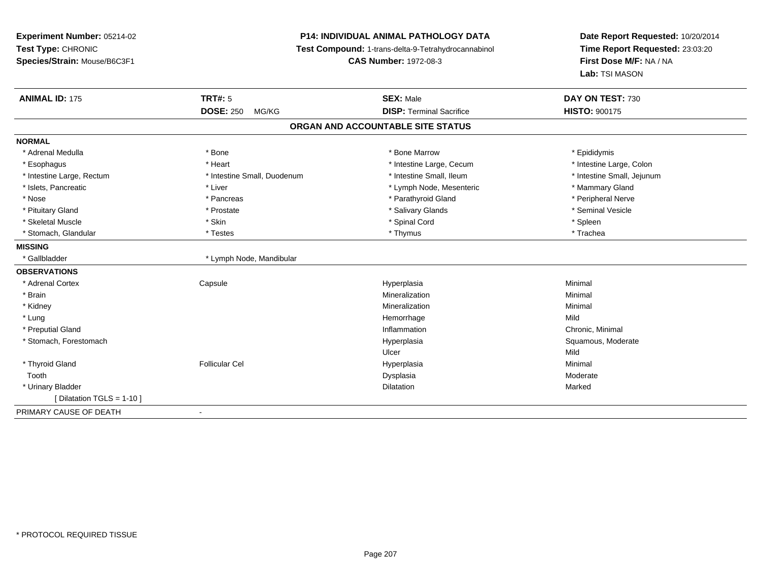# **P14: INDIVIDUAL ANIMAL PATHOLOGY DATA**

**Test Compound:** 1-trans-delta-9-Tetrahydrocannabinol

**CAS Number:** 1972-08-3

| <b>ANIMAL ID: 175</b>      | <b>TRT#: 5</b>              | <b>SEX: Male</b>                  | DAY ON TEST: 730           |
|----------------------------|-----------------------------|-----------------------------------|----------------------------|
|                            | <b>DOSE: 250</b><br>MG/KG   | <b>DISP: Terminal Sacrifice</b>   | <b>HISTO: 900175</b>       |
|                            |                             | ORGAN AND ACCOUNTABLE SITE STATUS |                            |
| <b>NORMAL</b>              |                             |                                   |                            |
| * Adrenal Medulla          | * Bone                      | * Bone Marrow                     | * Epididymis               |
| * Esophagus                | * Heart                     | * Intestine Large, Cecum          | * Intestine Large, Colon   |
| * Intestine Large, Rectum  | * Intestine Small, Duodenum | * Intestine Small, Ileum          | * Intestine Small, Jejunum |
| * Islets, Pancreatic       | * Liver                     | * Lymph Node, Mesenteric          | * Mammary Gland            |
| * Nose                     | * Pancreas                  | * Parathyroid Gland               | * Peripheral Nerve         |
| * Pituitary Gland          | * Prostate                  | * Salivary Glands                 | * Seminal Vesicle          |
| * Skeletal Muscle          | * Skin                      | * Spinal Cord                     | * Spleen                   |
| * Stomach, Glandular       | * Testes                    | * Thymus                          | * Trachea                  |
| <b>MISSING</b>             |                             |                                   |                            |
| * Gallbladder              | * Lymph Node, Mandibular    |                                   |                            |
| <b>OBSERVATIONS</b>        |                             |                                   |                            |
| * Adrenal Cortex           | Capsule                     | Hyperplasia                       | Minimal                    |
| * Brain                    |                             | Mineralization                    | Minimal                    |
| * Kidney                   |                             | Mineralization                    | Minimal                    |
| * Lung                     |                             | Hemorrhage                        | Mild                       |
| * Preputial Gland          |                             | Inflammation                      | Chronic, Minimal           |
| * Stomach, Forestomach     |                             | Hyperplasia                       | Squamous, Moderate         |
|                            |                             | Ulcer                             | Mild                       |
| * Thyroid Gland            | <b>Follicular Cel</b>       | Hyperplasia                       | Minimal                    |
| Tooth                      |                             | Dysplasia                         | Moderate                   |
| * Urinary Bladder          |                             | <b>Dilatation</b>                 | Marked                     |
| [ Dilatation TGLS = 1-10 ] |                             |                                   |                            |
| PRIMARY CAUSE OF DEATH     | $\blacksquare$              |                                   |                            |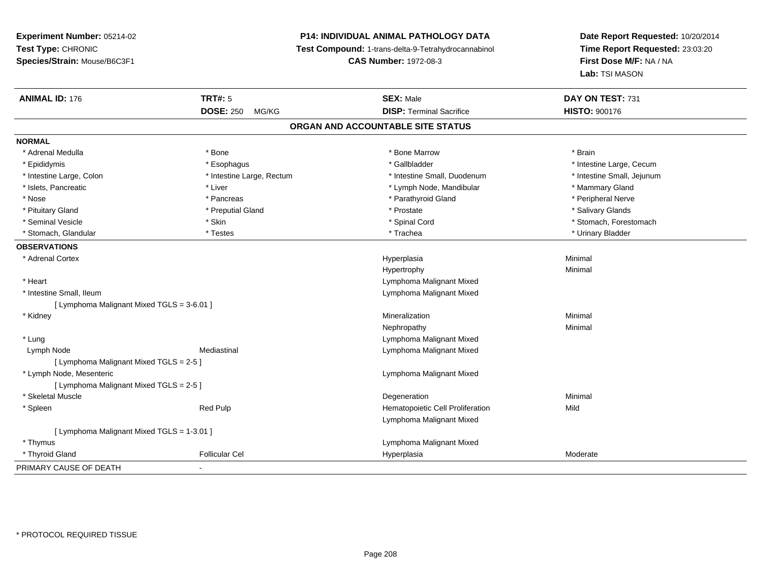# **P14: INDIVIDUAL ANIMAL PATHOLOGY DATA**

**Test Compound:** 1-trans-delta-9-Tetrahydrocannabinol

**CAS Number:** 1972-08-3

| <b>ANIMAL ID: 176</b>                      | TRT#: 5                   | <b>SEX: Male</b>                  | DAY ON TEST: 731           |
|--------------------------------------------|---------------------------|-----------------------------------|----------------------------|
|                                            | <b>DOSE: 250</b><br>MG/KG | <b>DISP: Terminal Sacrifice</b>   | <b>HISTO: 900176</b>       |
|                                            |                           | ORGAN AND ACCOUNTABLE SITE STATUS |                            |
| <b>NORMAL</b>                              |                           |                                   |                            |
| * Adrenal Medulla                          | * Bone                    | * Bone Marrow                     | * Brain                    |
| * Epididymis                               | * Esophagus               | * Gallbladder                     | * Intestine Large, Cecum   |
| * Intestine Large, Colon                   | * Intestine Large, Rectum | * Intestine Small, Duodenum       | * Intestine Small, Jejunum |
| * Islets, Pancreatic                       | * Liver                   | * Lymph Node, Mandibular          | * Mammary Gland            |
| * Nose                                     | * Pancreas                | * Parathyroid Gland               | * Peripheral Nerve         |
| * Pituitary Gland                          | * Preputial Gland         | * Prostate                        | * Salivary Glands          |
| * Seminal Vesicle                          | * Skin                    | * Spinal Cord                     | * Stomach, Forestomach     |
| * Stomach, Glandular                       | * Testes                  | * Trachea                         | * Urinary Bladder          |
| <b>OBSERVATIONS</b>                        |                           |                                   |                            |
| * Adrenal Cortex                           |                           | Hyperplasia                       | Minimal                    |
|                                            |                           | Hypertrophy                       | Minimal                    |
| * Heart                                    |                           | Lymphoma Malignant Mixed          |                            |
| * Intestine Small, Ileum                   |                           | Lymphoma Malignant Mixed          |                            |
| [ Lymphoma Malignant Mixed TGLS = 3-6.01 ] |                           |                                   |                            |
| * Kidney                                   |                           | Mineralization                    | Minimal                    |
|                                            |                           | Nephropathy                       | Minimal                    |
| * Lung                                     |                           | Lymphoma Malignant Mixed          |                            |
| Lymph Node                                 | Mediastinal               | Lymphoma Malignant Mixed          |                            |
| [ Lymphoma Malignant Mixed TGLS = 2-5 ]    |                           |                                   |                            |
| * Lymph Node, Mesenteric                   |                           | Lymphoma Malignant Mixed          |                            |
| [ Lymphoma Malignant Mixed TGLS = 2-5 ]    |                           |                                   |                            |
| * Skeletal Muscle                          |                           | Degeneration                      | Minimal                    |
| * Spleen                                   | <b>Red Pulp</b>           | Hematopoietic Cell Proliferation  | Mild                       |
|                                            |                           | Lymphoma Malignant Mixed          |                            |
| [ Lymphoma Malignant Mixed TGLS = 1-3.01 ] |                           |                                   |                            |
| * Thymus                                   |                           | Lymphoma Malignant Mixed          |                            |
| * Thyroid Gland                            | <b>Follicular Cel</b>     | Hyperplasia                       | Moderate                   |
| PRIMARY CAUSE OF DEATH                     | $\sim$                    |                                   |                            |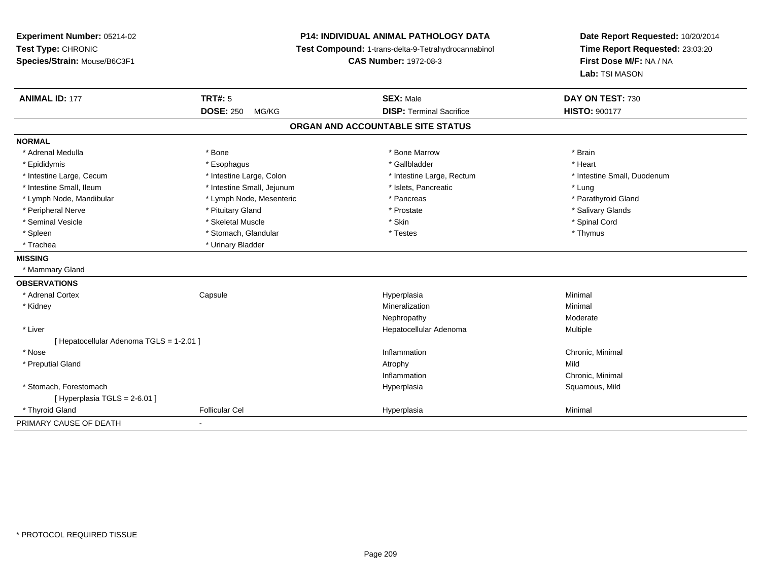**Experiment Number:** 05214-02**Test Type:** CHRONIC **Species/Strain:** Mouse/B6C3F1**P14: INDIVIDUAL ANIMAL PATHOLOGY DATA Test Compound:** 1-trans-delta-9-Tetrahydrocannabinol **CAS Number:** 1972-08-3**Date Report Requested:** 10/20/2014**Time Report Requested:** 23:03:20**First Dose M/F:** NA / NA**Lab:** TSI MASON**ANIMAL ID:** 177**TRT#:** 5 **SEX:** Male **DAY ON TEST:** 730 **DOSE:** 250 MG/KG**DISP:** Terminal Sacrifice **HISTO:** 900177 **ORGAN AND ACCOUNTABLE SITE STATUSNORMAL**\* Adrenal Medulla \* \* Annual Medulla \* Brain \* Bone \* \* Bone Marrow \* Bone Marrow \* \* Brain \* Brain \* Brain \* Brain \* Brain \* Brain \* Brain \* Brain \* Brain \* Brain \* Brain \* Brain \* Brain \* Brain \* Brain \* Brain \* Brain \* \* Heart \* Epididymis \* Esophagus \* Gallbladder \* Heart \* Intestine Large, Cecum \* Intestine Large, Colon \* Intestine Large, Rectum \* Intestine Small, Duodenum\* Intestine Small, Ileum \* https://www.fatheratic \* Lung \* Intestine Small, Jejunum \* Islets, Pancreatic \* Lung \* Lung \* Parathyroid Gland \* Lymph Node, Mandibular \* Lymph Node, Mesenteric \* Pancreas \* Pancreas \* Pancreas \* Pancreas \* Pancreas \* Pancreas \* Pancreas \* Pancreas \* Pancreas \* Pancreas \* Pancreas \* Pancreas \* Pancreas \* Pancreas \* Pancreas \* Pancr \* Peripheral Nerve \* \* And the state \* Pituitary Gland \* Prosection \* Prostate \* Prostate \* Salivary Glands \* Salivary Glands \* Salivary Glands \* Salivary Glands \* Salivary Glands \* Salivary Glands \* Salivary Glands \* Sali \* Seminal Vesicle \* \* Spinal Cord \* Skeletal Muscle \* \* Skin \* \* Skin \* \* Spinal Vesicle \* Spinal Cord \* Spinal Cord \* Spleen \* Stomach, Glandular \* Thymus \* Testes \* Thymus \* Testes \* Thymus \* Thymus \* Thymus \* Thymus \* Thymus \* Trachea **\*** Urinary Bladder **MISSING** \* Mammary Gland**OBSERVATIONS** \* Adrenal Cortex Capsule Hyperplasia Minimal \* Kidneyy with the control of the control of the control of the control of the control of the control of the control of the control of the control of the control of the control of the control of the control of the control of the c n Minimal Nephropathyy and the contract of the Moderate \* Liver Hepatocellular Adenoma Multiple [ Hepatocellular Adenoma TGLS = 1-2.01 ] \* Nosee the contraction of the contraction of the contraction of the contraction of the chronic, Minimal on the chronic, Minimal or  $\mathbb{R}^n$  \* Preputial Glandd and the control of the control of the control of the control of the control of the control of the control of the control of the control of the control of the control of the control of the control of the control of the co InflammationInflammation **Exercise Server Server School** Chronic, Minimal University Chronic, Minimal Squamous, Mild \* Stomach, Forestomachh ann an t-ìre ann am San Amhaidh ann an t-ìre ann am Mhearpasia ann an San Aonaichte ann an Saluamous, Mild a [ Hyperplasia TGLS = 2-6.01 ] \* Thyroid Gland Follicular Cel Hyperplasia Minimal PRIMARY CAUSE OF DEATH-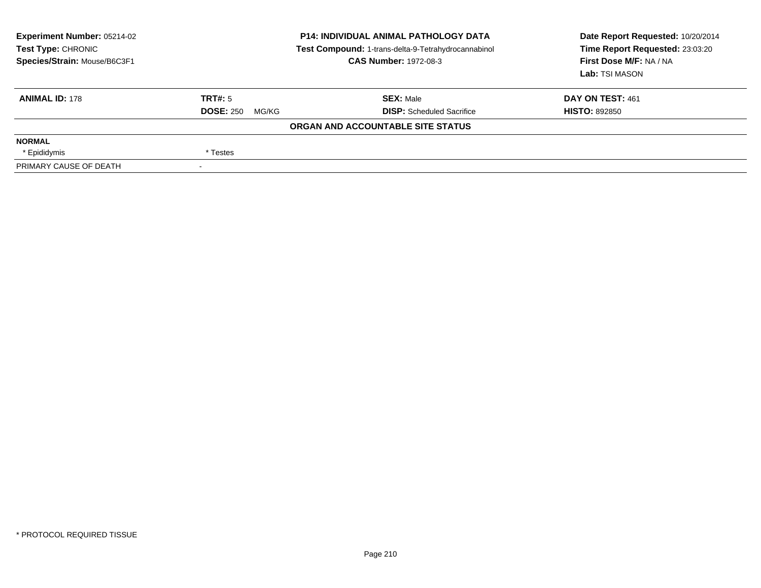| <b>Experiment Number: 05214-02</b><br>Test Type: CHRONIC<br>Species/Strain: Mouse/B6C3F1 | <b>P14: INDIVIDUAL ANIMAL PATHOLOGY DATA</b><br>Test Compound: 1-trans-delta-9-Tetrahydrocannabinol<br><b>CAS Number: 1972-08-3</b> |                                   | Date Report Requested: 10/20/2014<br>Time Report Requested: 23:03:20<br>First Dose M/F: NA / NA<br>Lab: TSI MASON |  |
|------------------------------------------------------------------------------------------|-------------------------------------------------------------------------------------------------------------------------------------|-----------------------------------|-------------------------------------------------------------------------------------------------------------------|--|
| <b>ANIMAL ID: 178</b>                                                                    | TRT#: 5                                                                                                                             | <b>SEX: Male</b>                  | DAY ON TEST: 461                                                                                                  |  |
|                                                                                          | <b>DOSE: 250</b><br>MG/KG                                                                                                           | <b>DISP:</b> Scheduled Sacrifice  | <b>HISTO: 892850</b>                                                                                              |  |
|                                                                                          |                                                                                                                                     | ORGAN AND ACCOUNTABLE SITE STATUS |                                                                                                                   |  |
| <b>NORMAL</b>                                                                            |                                                                                                                                     |                                   |                                                                                                                   |  |
| * Epididymis                                                                             | * Testes                                                                                                                            |                                   |                                                                                                                   |  |
| PRIMARY CAUSE OF DEATH                                                                   |                                                                                                                                     |                                   |                                                                                                                   |  |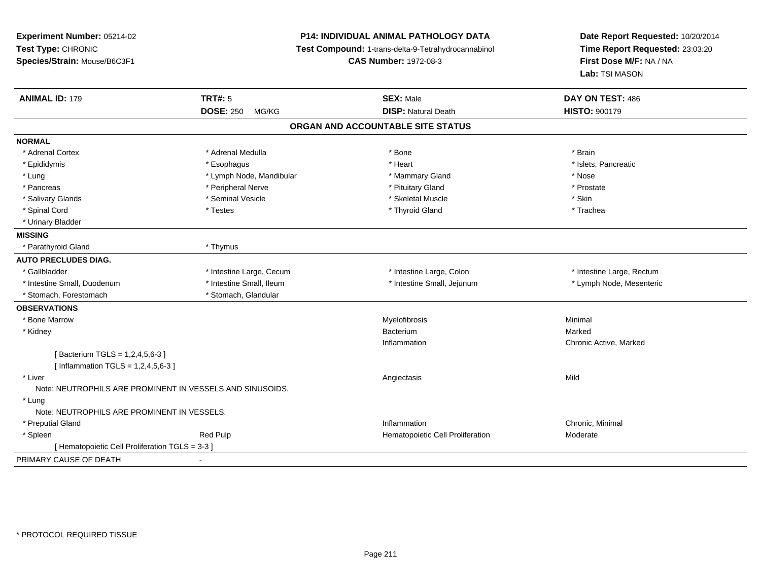| Experiment Number: 05214-02<br>Test Type: CHRONIC<br>Species/Strain: Mouse/B6C3F1 |                           | <b>P14: INDIVIDUAL ANIMAL PATHOLOGY DATA</b><br>Test Compound: 1-trans-delta-9-Tetrahydrocannabinol<br><b>CAS Number: 1972-08-3</b> |                           |
|-----------------------------------------------------------------------------------|---------------------------|-------------------------------------------------------------------------------------------------------------------------------------|---------------------------|
| <b>ANIMAL ID: 179</b>                                                             | <b>TRT#: 5</b>            | <b>SEX: Male</b>                                                                                                                    | DAY ON TEST: 486          |
|                                                                                   | <b>DOSE: 250</b><br>MG/KG | <b>DISP: Natural Death</b>                                                                                                          | <b>HISTO: 900179</b>      |
|                                                                                   |                           | ORGAN AND ACCOUNTABLE SITE STATUS                                                                                                   |                           |
| <b>NORMAL</b>                                                                     |                           |                                                                                                                                     |                           |
| * Adrenal Cortex                                                                  | * Adrenal Medulla         | * Bone                                                                                                                              | * Brain                   |
| * Epididymis                                                                      | * Esophagus               | * Heart                                                                                                                             | * Islets, Pancreatic      |
| * Lung                                                                            | * Lymph Node, Mandibular  | * Mammary Gland                                                                                                                     | * Nose                    |
| * Pancreas                                                                        | * Peripheral Nerve        | * Pituitary Gland                                                                                                                   | * Prostate                |
| * Salivary Glands                                                                 | * Seminal Vesicle         | * Skeletal Muscle                                                                                                                   | * Skin                    |
| * Spinal Cord                                                                     | * Testes                  | * Thyroid Gland                                                                                                                     | * Trachea                 |
| * Urinary Bladder                                                                 |                           |                                                                                                                                     |                           |
| <b>MISSING</b>                                                                    |                           |                                                                                                                                     |                           |
| * Parathyroid Gland                                                               | * Thymus                  |                                                                                                                                     |                           |
| <b>AUTO PRECLUDES DIAG.</b>                                                       |                           |                                                                                                                                     |                           |
| * Gallbladder                                                                     | * Intestine Large, Cecum  | * Intestine Large, Colon                                                                                                            | * Intestine Large, Rectum |
| * Intestine Small, Duodenum                                                       | * Intestine Small, Ileum  | * Intestine Small, Jejunum                                                                                                          | * Lymph Node, Mesenteric  |
| * Stomach, Forestomach                                                            | * Stomach, Glandular      |                                                                                                                                     |                           |
| <b>OBSERVATIONS</b>                                                               |                           |                                                                                                                                     |                           |
| * Bone Marrow                                                                     |                           | Myelofibrosis                                                                                                                       | Minimal                   |
| * Kidney                                                                          |                           | Bacterium                                                                                                                           | Marked                    |
|                                                                                   |                           | Inflammation                                                                                                                        | Chronic Active, Marked    |
| [Bacterium TGLS = 1,2,4,5,6-3]                                                    |                           |                                                                                                                                     |                           |
| [Inflammation TGLS = $1,2,4,5,6-3$ ]                                              |                           |                                                                                                                                     |                           |
| * Liver                                                                           |                           | Angiectasis                                                                                                                         | Mild                      |
| Note: NEUTROPHILS ARE PROMINENT IN VESSELS AND SINUSOIDS.                         |                           |                                                                                                                                     |                           |
| * Lung                                                                            |                           |                                                                                                                                     |                           |
| Note: NEUTROPHILS ARE PROMINENT IN VESSELS.                                       |                           |                                                                                                                                     |                           |
| * Preputial Gland                                                                 |                           | Inflammation                                                                                                                        | Chronic, Minimal          |
| * Spleen                                                                          | Red Pulp                  | Hematopoietic Cell Proliferation                                                                                                    | Moderate                  |
| [ Hematopoietic Cell Proliferation TGLS = 3-3 ]                                   |                           |                                                                                                                                     |                           |
| PRIMARY CAUSE OF DEATH                                                            | $\blacksquare$            |                                                                                                                                     |                           |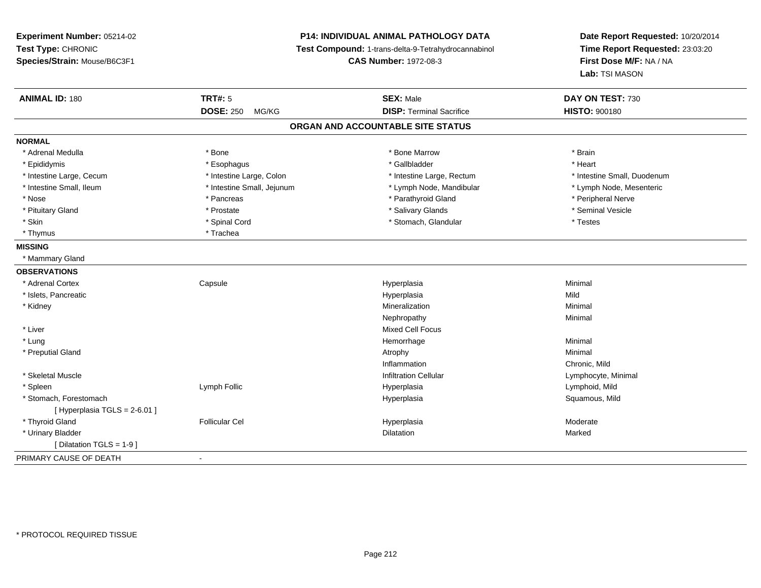**Experiment Number:** 05214-02**Test Type:** CHRONIC **Species/Strain:** Mouse/B6C3F1**P14: INDIVIDUAL ANIMAL PATHOLOGY DATA Test Compound:** 1-trans-delta-9-Tetrahydrocannabinol **CAS Number:** 1972-08-3**Date Report Requested:** 10/20/2014**Time Report Requested:** 23:03:20**First Dose M/F:** NA / NA**Lab:** TSI MASON**ANIMAL ID:** 180**TRT#:** 5 **SEX:** Male **DAY ON TEST:** 730 **DOSE:** 250 MG/KG**DISP:** Terminal Sacrifice **HISTO:**  $900180$ **ORGAN AND ACCOUNTABLE SITE STATUSNORMAL**\* Adrenal Medulla \* \* Annual Medulla \* Brain \* Bone \* \* Bone Marrow \* Bone Marrow \* \* Brain \* Brain \* Brain \* Brain \* Brain \* Brain \* Brain \* Brain \* Brain \* Brain \* Brain \* Brain \* Brain \* Brain \* Brain \* Brain \* Brain \* \* Heart \* Epididymis \* Esophagus \* Gallbladder \* Heart \* Intestine Large, Cecum \* Intestine Large, Colon \* Intestine Large, Rectum \* Intestine Small, Duodenum\* Lymph Node, Mesenteric \* Intestine Small, Ileum \* Intestine Small, Jejunum \* Lymph Node, Mandibular \* Lymph Node, Mandibular \* Nose \* \* Pancreas \* \* Pancreas \* \* Pancreas \* \* Parathyroid Gland \* \* Peripheral Nerve \* Peripheral Nerve \* \* Seminal Vesicle \* Pituitary Gland \* \* \* \* Prostate \* \* Prostate \* \* Salivary Glands \* \* Salivary Glands \* \* Seminal Vesicle \* Skin \* Spinal Cord \* Spinal Cord \* Stomach, Glandular \* Testes \* Testes \* Thymus \* Trachea **MISSING** \* Mammary Gland**OBSERVATIONS** \* Adrenal Cortex**Capsule**  Hyperplasia Minimal \* Islets, Pancreaticc and the contract of the contract of the contract of the contract of the contract of the contract of the contract of the contract of the contract of the contract of the contract of the contract of the contract of the cont a Mild \* Kidneyy with the control of the control of the control of the control of the control of the control of the control of the control of the control of the control of the control of the control of the control of the control of the c n Minimal Nephropathyy the contract of the Minimal Minimal Section 1996 and the contract of the Minimal Section 1997 and the contract of the contract of the contract of the contract of the contract of the contract of the contract of the contra \* Liver Mixed Cell Focus \* Lungg and the state of the state of the state of the state of the Minimal Section 1, and the state of the state of the state of the state of the state of the state of the state of the state of the state of the state of the sta \* Preputial Glandd and the control of the control of the control of the control of the control of the control of the control of  $\lambda$ InflammationInflammation **Chronic, Mild**<br>
Infiltration Cellular **Chronic Contracts**<br>
Cymphocyte, Minimal \* Skeletal Muscle Infiltration Cellular Lymphocyte, Minimal \* Spleen Lymph Follic Hyperplasia Lymphoid, Mild \* Stomach, Forestomachh ann an t-ìre ann am San Amhaidh ann an t-ìre ann am Mhearpasia ann an San Aonaichte ann an Saluamous, Mild a [ Hyperplasia TGLS = 2-6.01 ] \* Thyroid Gland Follicular Cel Hyperplasia Moderate \* Urinary Bladder**n** Dilatation **Contract Contract Contract Contract Contract Contract Contract Contract Contract Contract Contract Contract Contract Contract Contract Contract Contract Contract Contract Contract Contract Contract Contract** n Marked **Marked** [ Dilatation TGLS = 1-9 ] PRIMARY CAUSE OF DEATH-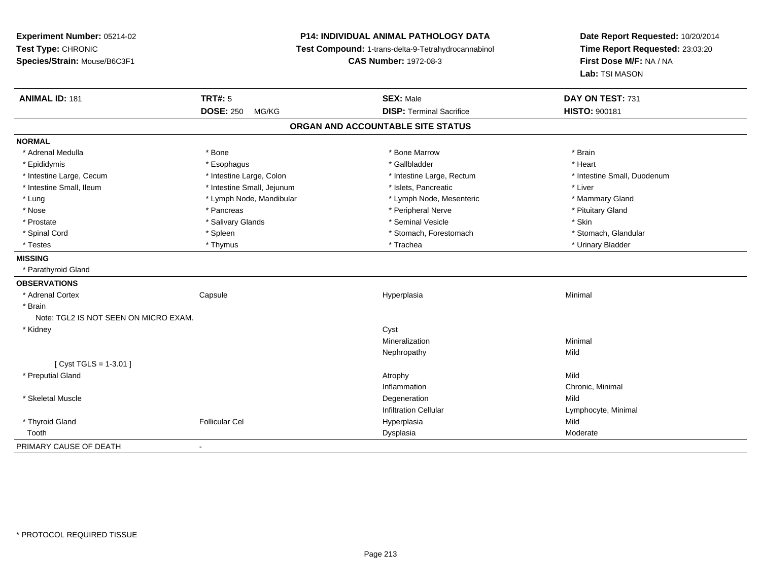**Experiment Number:** 05214-02**Test Type:** CHRONIC **Species/Strain:** Mouse/B6C3F1**P14: INDIVIDUAL ANIMAL PATHOLOGY DATA Test Compound:** 1-trans-delta-9-Tetrahydrocannabinol **CAS Number:** 1972-08-3**Date Report Requested:** 10/20/2014**Time Report Requested:** 23:03:20**First Dose M/F:** NA / NA**Lab:** TSI MASON**ANIMAL ID:** 181**TRT#:** 5 **SEX:** Male **SEX: Male DAY ON TEST:** 731 **DOSE:** 250 MG/KG **DISP:** Terminal Sacrifice **HISTO:** <sup>900181</sup> **ORGAN AND ACCOUNTABLE SITE STATUSNORMAL**\* Adrenal Medulla \* \* Annual Medulla \* Brain \* Bone \* \* Bone Marrow \* Bone Marrow \* \* Brain \* Brain \* Brain \* Brain \* Brain \* Brain \* Brain \* Brain \* Brain \* Brain \* Brain \* Brain \* Brain \* Brain \* Brain \* Brain \* Brain \* \* Heart \* Epididymis \* Esophagus \* Gallbladder \* Heart\* Intestine Large, Cecum \* Intestine Large, Colon \* Intestine Large, Rectum \* Intestine Small, Duodenum \* Intestine Small, Ileum \* Intestine Small, Jejunum \* Islets, Pancreatic \* Liver\* Lung \* Lymph Node, Mandibular \* Mannipular \* Lymph Node, Mesenteric \* Mammary Gland \* Nose \* \* Pancreas \* \* Pancreas \* \* Pancreas \* \* Peripheral Nerve \* \* Peripheral Nerve \* \* Pituitary Gland \* \* Prostate \* \* Salivary Glands \* \* Salivary Glands \* \* Seminal Vesicle \* \* \* Seminal Yestrich \* \* Skin \* \* Skin \* Stomach, Glandular \* Spinal Cord **\* Stomach, Forestomach \* Spinal Cord \*** Stomach, Forestomach \* Stomach, Forestomach \* Testes \* Thymus \* Trachea \* Urinary Bladder **MISSING** \* Parathyroid Gland**OBSERVATIONS** \* Adrenal Cortex Capsule Hyperplasia Minimal \* Brain Note: TGL2 IS NOT SEEN ON MICRO EXAM. \* Kidneyy control of the control of the control of the control of the control of the control of the control of the control of the control of the control of the control of the control of the control of the control of the control of Mineralizationn Minimal Nephropathyy Mild [ Cyst TGLS = 1-3.01 ] \* Preputial Glandd and the control of the control of the control of the control of the control of the control of the control of the control of the control of the control of the control of the control of the control of the control of the co InflammationInflammation **Chronic, Minimal**<br>
Degeneration **Mild**  \* Skeletal Musclee design of the control of the control of the control of the control of the control of the control of the control of the control of the control of the control of the control of the control of the control of the control of Infiltration Cellular Lymphocyte, Minimal \* Thyroid Gland Follicular Cel Hyperplasia Mild Toothh ann an choimhean ann an t-ainmeile ann an Dùbhannach ann an Dysplasia ann an Choimhead ann an Moderate ann an Moderate ann an t-ainm an t-ainmeile an an Amhannach an Dysplasia ann an Amhannach an Amhannach an Amhannach a PRIMARY CAUSE OF DEATH-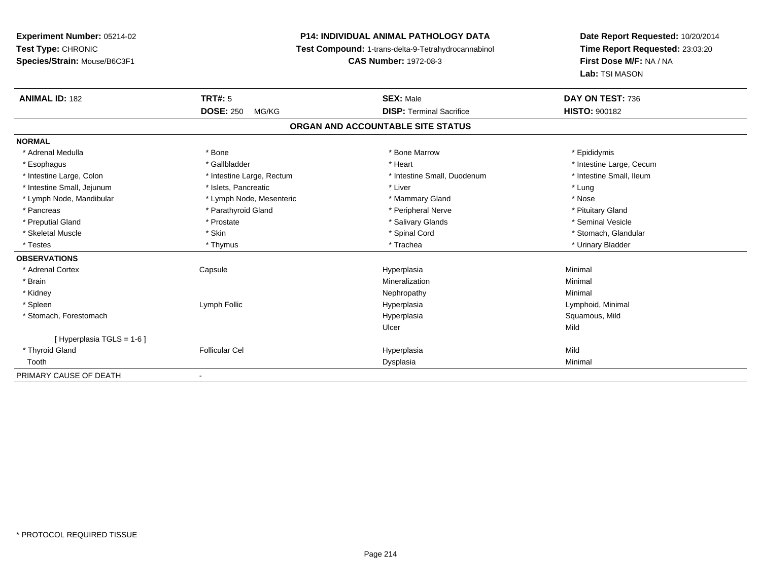# **P14: INDIVIDUAL ANIMAL PATHOLOGY DATA**

**Test Compound:** 1-trans-delta-9-Tetrahydrocannabinol

**CAS Number:** 1972-08-3

| <b>ANIMAL ID: 182</b>      | <b>TRT#: 5</b><br><b>DOSE: 250</b><br>MG/KG | <b>SEX: Male</b><br><b>DISP: Terminal Sacrifice</b> | DAY ON TEST: 736         |
|----------------------------|---------------------------------------------|-----------------------------------------------------|--------------------------|
|                            |                                             |                                                     | <b>HISTO: 900182</b>     |
|                            |                                             | ORGAN AND ACCOUNTABLE SITE STATUS                   |                          |
| <b>NORMAL</b>              |                                             |                                                     |                          |
| * Adrenal Medulla          | * Bone                                      | * Bone Marrow                                       | * Epididymis             |
| * Esophagus                | * Gallbladder                               | * Heart                                             | * Intestine Large, Cecum |
| * Intestine Large, Colon   | * Intestine Large, Rectum                   | * Intestine Small, Duodenum                         | * Intestine Small, Ileum |
| * Intestine Small, Jejunum | * Islets, Pancreatic                        | * Liver                                             | * Lung                   |
| * Lymph Node, Mandibular   | * Lymph Node, Mesenteric                    | * Mammary Gland                                     | * Nose                   |
| * Pancreas                 | * Parathyroid Gland                         | * Peripheral Nerve                                  | * Pituitary Gland        |
| * Preputial Gland          | * Prostate                                  | * Salivary Glands                                   | * Seminal Vesicle        |
| * Skeletal Muscle          | * Skin                                      | * Spinal Cord                                       | * Stomach, Glandular     |
| * Testes                   | * Thymus                                    | * Trachea                                           | * Urinary Bladder        |
| <b>OBSERVATIONS</b>        |                                             |                                                     |                          |
| * Adrenal Cortex           | Capsule                                     | Hyperplasia                                         | Minimal                  |
| * Brain                    |                                             | Mineralization                                      | Minimal                  |
| * Kidney                   |                                             | Nephropathy                                         | Minimal                  |
| * Spleen                   | Lymph Follic                                | Hyperplasia                                         | Lymphoid, Minimal        |
| * Stomach, Forestomach     |                                             | Hyperplasia                                         | Squamous, Mild           |
|                            |                                             | Ulcer                                               | Mild                     |
| [ Hyperplasia TGLS = 1-6 ] |                                             |                                                     |                          |
| * Thyroid Gland            | <b>Follicular Cel</b>                       | Hyperplasia                                         | Mild                     |
| Tooth                      |                                             | Dysplasia                                           | Minimal                  |
| PRIMARY CAUSE OF DEATH     |                                             |                                                     |                          |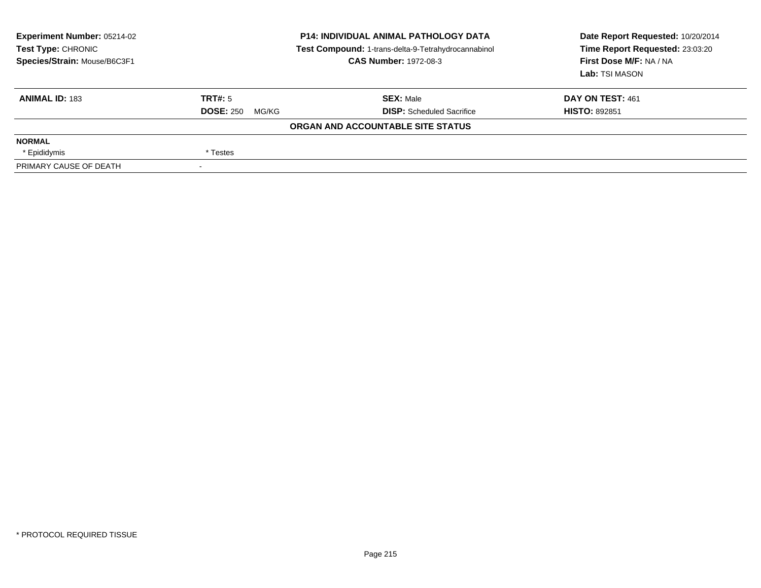| <b>Experiment Number: 05214-02</b><br>Test Type: CHRONIC<br>Species/Strain: Mouse/B6C3F1 | <b>P14: INDIVIDUAL ANIMAL PATHOLOGY DATA</b><br>Test Compound: 1-trans-delta-9-Tetrahydrocannabinol<br><b>CAS Number: 1972-08-3</b> |                                   | Date Report Requested: 10/20/2014<br>Time Report Requested: 23:03:20<br>First Dose M/F: NA / NA<br>Lab: TSI MASON |  |
|------------------------------------------------------------------------------------------|-------------------------------------------------------------------------------------------------------------------------------------|-----------------------------------|-------------------------------------------------------------------------------------------------------------------|--|
| <b>ANIMAL ID: 183</b>                                                                    | TRT#: 5                                                                                                                             | <b>SEX: Male</b>                  | DAY ON TEST: 461                                                                                                  |  |
|                                                                                          | <b>DOSE: 250</b><br>MG/KG                                                                                                           | <b>DISP:</b> Scheduled Sacrifice  | <b>HISTO: 892851</b>                                                                                              |  |
|                                                                                          |                                                                                                                                     | ORGAN AND ACCOUNTABLE SITE STATUS |                                                                                                                   |  |
| <b>NORMAL</b>                                                                            |                                                                                                                                     |                                   |                                                                                                                   |  |
| * Epididymis                                                                             | * Testes                                                                                                                            |                                   |                                                                                                                   |  |
| PRIMARY CAUSE OF DEATH                                                                   |                                                                                                                                     |                                   |                                                                                                                   |  |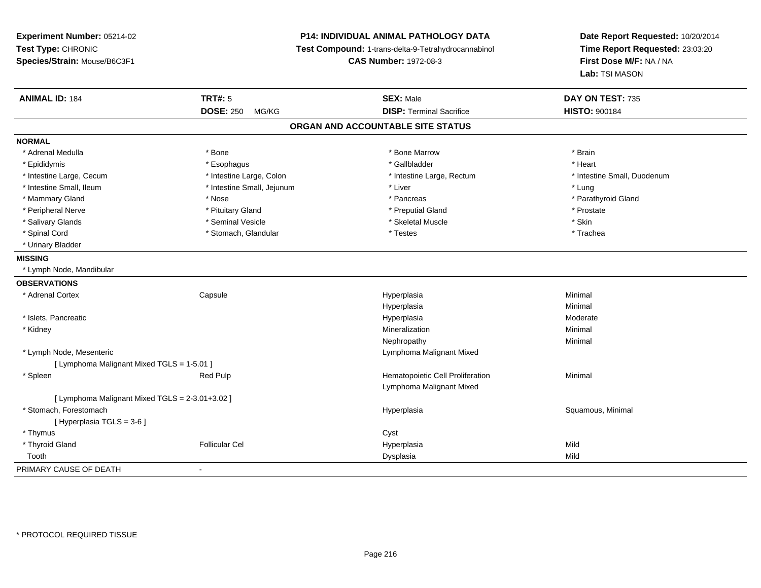**Experiment Number:** 05214-02**Test Type:** CHRONIC **Species/Strain:** Mouse/B6C3F1**P14: INDIVIDUAL ANIMAL PATHOLOGY DATA Test Compound:** 1-trans-delta-9-Tetrahydrocannabinol **CAS Number:** 1972-08-3**Date Report Requested:** 10/20/2014**Time Report Requested:** 23:03:20**First Dose M/F:** NA / NA**Lab:** TSI MASON**ANIMAL ID:** 184**TRT#:** 5 **SEX:** Male **DAY ON TEST:** 735 **DOSE:** 250 MG/KG **DISP:** Terminal Sacrifice **HISTO:** <sup>900184</sup> **ORGAN AND ACCOUNTABLE SITE STATUSNORMAL**\* Adrenal Medulla \* \* Annual Medulla \* Brain \* Bone \* \* Bone Marrow \* Bone Marrow \* \* Brain \* Brain \* Brain \* Brain \* Brain \* Brain \* Brain \* Brain \* Brain \* Brain \* Brain \* Brain \* Brain \* Brain \* Brain \* Brain \* Brain \* \* Heart \* Epididymis \* Esophagus \* Gallbladder \* Heart \* Intestine Large, Cecum \* Intestine Large, Colon \* Intestine Large, Rectum \* Intestine Small, Duodenum\* Intestine Small, Ileum \* https://www.fatherapolity.com/intervalue.org/web/2012 and the small, Jejunum \* Liver \* Liver \* Liver \* Lung \* Parathyroid Gland \* Mammary Gland \* \* Nose \* \* Nose \* \* Pancreas \* Pancreas \* \* Pancreas \* \* Pancreas \* \* Pancreas \* \* Parathyroid Gland \* Peripheral Nerve \* \* \* Prostate \* \* Pretuitary Gland \* \* \* \* \* \* \* Preputial Gland \* \* \* Prostate \* Prostate \* Salivary Glands \* Seminal Vesicle \* Skeletal Muscle \* Skin\* Trachea \* Spinal Cord \* Testes \* Stomach, Glandular \* Testes \* Testes \* Testes \* Testes \* Testes \* Testes \* \* Testes \* Testes \* \* Testes \* \* Testes \* \* Testes \* \* Testes \* \* Testes \* \* Testes \* \* Testes \* \* Testes \* \* Testes \* \* T \* Urinary Bladder**MISSING** \* Lymph Node, Mandibular**OBSERVATIONS** \* Adrenal Cortex Capsule Hyperplasia Minimal Hyperplasiaa **Minimal**  \* Islets, Pancreaticc and the contract of the contract of the contract of the contract of the contract of the contract of the contract of the contract of the contract of the contract of the contract of the contract of the contract of the cont a **Moderate**  \* Kidneyy with the control of the control of the control of the control of the control of the control of the control of the control of the control of the control of the control of the control of the control of the control of the c n Minimal Nephropathyy the contract of the Minimal Minimal Section 1996 and the contract of the Minimal Section 1997 and the contract of the contract of the contract of the contract of the contract of the contract of the contract of the contra \* Lymph Node, Mesenteric Lymphoma Malignant Mixed[ Lymphoma Malignant Mixed TGLS = 1-5.01 ] \* SpleenRed Pulp **Network Red Pulp 19 Templement Cell Proliferation** Minimal Minimal Lymphoma Malignant Mixed[ Lymphoma Malignant Mixed TGLS = 2-3.01+3.02 ] \* Stomach, Forestomachh anns an t-aiste anns an t-aiste anns an t-aiste anns an t-aiste anns an t-aiste anns an t-aiste anns an t-aiste an t-aiste anns an t-aiste an t-aiste anns an t-aiste anns an t-aiste anns an t-aiste anns an t-aiste anns a [ Hyperplasia TGLS = 3-6 ] \* Thymuss the contract of the contract of the contract of the contract of the contract of the contract of the contract of the contract of the contract of the contract of the contract of the contract of the contract of the contract \* Thyroid Gland Follicular Cel Hyperplasia Mild Toothh ann an t-Iomraid ann an t-Iomraid ann an t-Iomraid ann an t-Iomraid ann an t-Iomraid ann an t-Iomraid ann an<br>Iomraid an t-Iomraid ann an t-Iomraid ann an t-Iomraid ann an t-Iomraid ann an t-Iomraid ann an t-Iomraid ann PRIMARY CAUSE OF DEATH-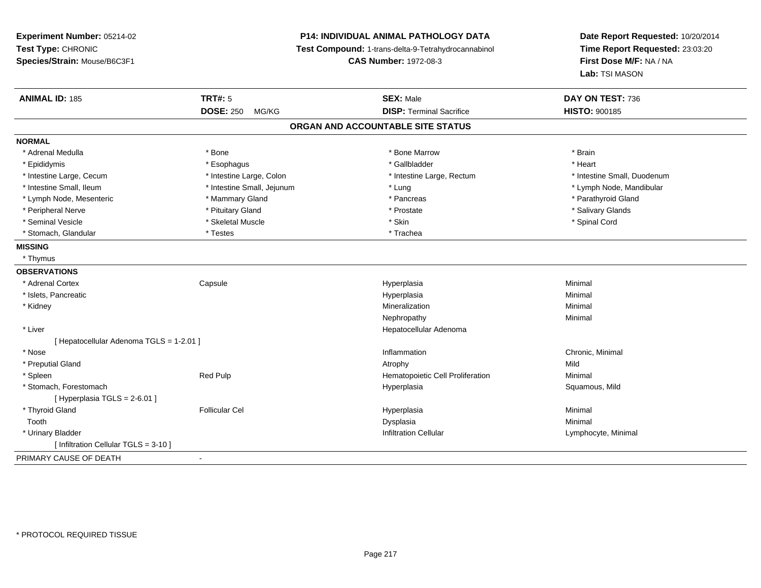**Experiment Number:** 05214-02**Test Type:** CHRONIC **Species/Strain:** Mouse/B6C3F1**P14: INDIVIDUAL ANIMAL PATHOLOGY DATA Test Compound:** 1-trans-delta-9-Tetrahydrocannabinol **CAS Number:** 1972-08-3**Date Report Requested:** 10/20/2014**Time Report Requested:** 23:03:20**First Dose M/F:** NA / NA**Lab:** TSI MASON**ANIMAL ID:** 185**TRT#:** 5 **SEX:** Male **DAY ON TEST:** 736 **DOSE:** 250 MG/KG**DISP:** Terminal Sacrifice **HISTO:** 900185 **ORGAN AND ACCOUNTABLE SITE STATUSNORMAL**\* Adrenal Medulla \* \* Annual Medulla \* Brain \* Bone \* \* Bone Marrow \* Bone Marrow \* \* Brain \* Brain \* Brain \* Brain \* Brain \* Brain \* Brain \* Brain \* Brain \* Brain \* Brain \* Brain \* Brain \* Brain \* Brain \* Brain \* Brain \* \* Heart \* Epididymis \* Esophagus \* Gallbladder \* Heart \* Intestine Large, Cecum \* Intestine Large, Colon \* Intestine Large, Rectum \* Intestine Small, Duodenum \* Intestine Small, Ileum \* Intestine Small, Jejunum \* Lung \* Lymph Node, Mandibular\* Lymph Node, Mesenteric \* \* Mammary Gland \* Mammary Gland \* Pancreas \* Pancreas \* \* Pancreas \* \* Parathyroid Gland \* Peripheral Nerve \* \* And the state \* Pituitary Gland \* Prosection \* Prostate \* Prostate \* Salivary Glands \* Salivary Glands \* Salivary Glands \* Salivary Glands \* Salivary Glands \* Salivary Glands \* Salivary Glands \* Sali \* Seminal Vesicle \* \* Spinal Cord \* Skeletal Muscle \* \* Skin \* \* Skin \* \* Spinal Vesicle \* Spinal Cord \* Spinal Cord \* Stomach, Glandular \* Testes \* Testes \* Trachea **MISSING** \* Thymus**OBSERVATIONS** \* Adrenal Cortex**Capsule**  Hyperplasia Minimal \* Islets, Pancreaticc and the control of the control of the control of the control of the control of the control of the control of the control of the control of the control of the control of the control of the control of the control of the co a **Minimal**  \* Kidneyy with the control of the control of the control of the control of the control of the control of the control of the control of the control of the control of the control of the control of the control of the control of the c n Minimal Nephropathyy the contract of the Minimal Minimal Section 1996 and the contract of the Minimal Section 1997 and the contract of the contract of the contract of the contract of the contract of the contract of the contract of the contra \* Liver Hepatocellular Adenoma[ Hepatocellular Adenoma TGLS = 1-2.01 ] \* Nosee the contraction of the contraction of the contraction of the contraction of the chronic, Minimal on the chronic, Minimal or  $\mathbb{R}^n$  \* Preputial Glandd and the control of the control of the control of the control of the control of the control of the control of the control of the control of the control of the control of the control of the control of the control of the co \* SpleenRed Pulp **Net all and Tematopoietic Cell Proliferation** Minimal Minimal<br>Hyperplasia Hyperplasia Communication Squamous, Mild \* Stomach, Forestomachh ann an t-ìre ann am San Amhaidh ann an t-ìre ann am Mhearpasia ann an San Aonaichte ann an Saluamous, Mild a  $[$  Hyperplasia TGLS = 2-6.01 ] \* Thyroid Gland Follicular Cel Hyperplasia Minimal Toothh anns an t-aisim anns an t-aisim an t-aisim anns an t-aisim an t-aisim anns an t-aisim an t-aisim an t-aisim a<br>Iomraidhean an t-aisim an t-aisim an t-aisim an t-aisim an t-aisim an t-aisim an t-aisim an t-aisim an t-aisim \* Urinary Bladder Infiltration Cellular Lymphocyte, Minimal [ Infiltration Cellular TGLS = 3-10 ]PRIMARY CAUSE OF DEATH-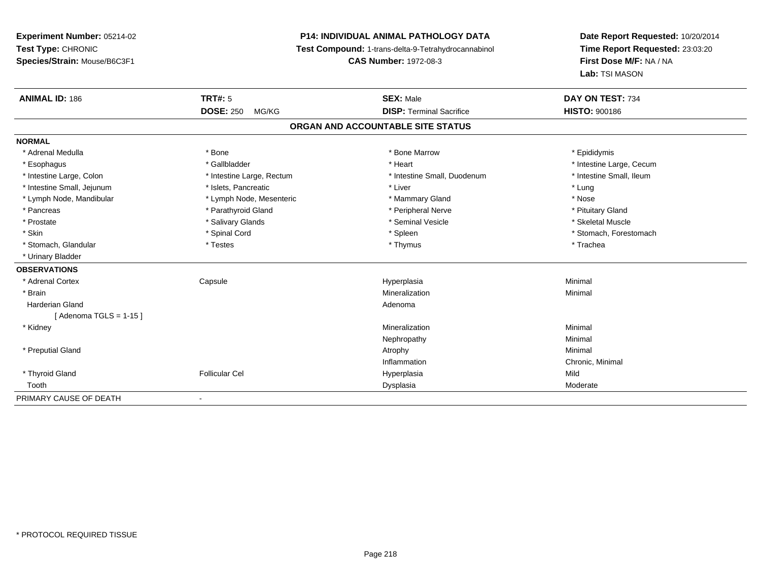# **P14: INDIVIDUAL ANIMAL PATHOLOGY DATA**

**Test Compound:** 1-trans-delta-9-Tetrahydrocannabinol

**CAS Number:** 1972-08-3

| <b>ANIMAL ID: 186</b>      | TRT#: 5                   | <b>SEX: Male</b>                  | DAY ON TEST: 734         |  |
|----------------------------|---------------------------|-----------------------------------|--------------------------|--|
|                            | <b>DOSE: 250</b><br>MG/KG | <b>DISP: Terminal Sacrifice</b>   | <b>HISTO: 900186</b>     |  |
|                            |                           | ORGAN AND ACCOUNTABLE SITE STATUS |                          |  |
| <b>NORMAL</b>              |                           |                                   |                          |  |
| * Adrenal Medulla          | * Bone                    | * Bone Marrow                     | * Epididymis             |  |
| * Esophagus                | * Gallbladder             | * Heart                           | * Intestine Large, Cecum |  |
| * Intestine Large, Colon   | * Intestine Large, Rectum | * Intestine Small, Duodenum       | * Intestine Small, Ileum |  |
| * Intestine Small, Jejunum | * Islets, Pancreatic      | * Liver                           | * Lung                   |  |
| * Lymph Node, Mandibular   | * Lymph Node, Mesenteric  | * Mammary Gland                   | * Nose                   |  |
| * Pancreas                 | * Parathyroid Gland       | * Peripheral Nerve                | * Pituitary Gland        |  |
| * Prostate                 | * Salivary Glands         | * Seminal Vesicle                 | * Skeletal Muscle        |  |
| * Skin                     | * Spinal Cord             | * Spleen                          | * Stomach, Forestomach   |  |
| * Stomach, Glandular       | * Testes                  | * Thymus                          | * Trachea                |  |
| * Urinary Bladder          |                           |                                   |                          |  |
| <b>OBSERVATIONS</b>        |                           |                                   |                          |  |
| * Adrenal Cortex           | Capsule                   | Hyperplasia                       | Minimal                  |  |
| * Brain                    |                           | Mineralization                    | Minimal                  |  |
| <b>Harderian Gland</b>     |                           | Adenoma                           |                          |  |
| [Adenoma TGLS = $1-15$ ]   |                           |                                   |                          |  |
| * Kidney                   |                           | Mineralization                    | Minimal                  |  |
|                            |                           | Nephropathy                       | Minimal                  |  |
| * Preputial Gland          |                           | Atrophy                           | Minimal                  |  |
|                            |                           | Inflammation                      | Chronic, Minimal         |  |
| * Thyroid Gland            | <b>Follicular Cel</b>     | Hyperplasia                       | Mild                     |  |
| Tooth                      |                           | Dysplasia                         | Moderate                 |  |
| PRIMARY CAUSE OF DEATH     |                           |                                   |                          |  |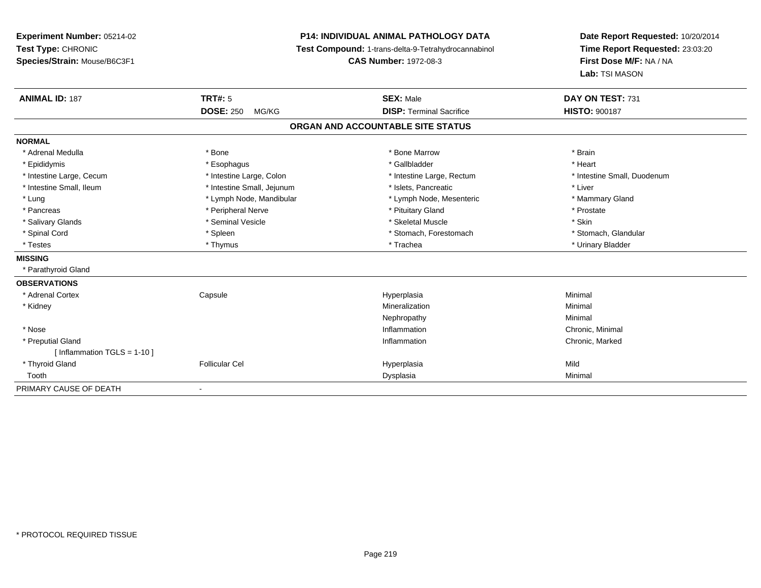**Experiment Number:** 05214-02**Test Type:** CHRONIC **Species/Strain:** Mouse/B6C3F1**P14: INDIVIDUAL ANIMAL PATHOLOGY DATA Test Compound:** 1-trans-delta-9-Tetrahydrocannabinol **CAS Number:** 1972-08-3**Date Report Requested:** 10/20/2014**Time Report Requested:** 23:03:20**First Dose M/F:** NA / NA**Lab:** TSI MASON**ANIMAL ID:** 187 **TRT#:** <sup>5</sup> **SEX:** Male **DAY ON TEST:** <sup>731</sup> **DOSE:** 250 MG/KG **DISP:** Terminal Sacrifice **HISTO:** <sup>900187</sup> **ORGAN AND ACCOUNTABLE SITE STATUSNORMAL**\* Adrenal Medulla \* \* Annual Medulla \* Brain \* Bone \* \* Bone Marrow \* Bone Marrow \* \* Brain \* Brain \* Brain \* Brain \* Brain \* Brain \* Brain \* Brain \* Brain \* Brain \* Brain \* Brain \* Brain \* Brain \* Brain \* Brain \* Brain \* \* Heart \* Epididymis \* Esophagus \* Gallbladder \* Heart\* Intestine Large, Cecum \* Intestine Large, Colon \* Intestine Large, Rectum \* Intestine Small, Duodenum \* Intestine Small, Ileum \* Intestine Small, Jejunum \* Islets, Pancreatic \* Liver\* Lung \* Lymph Node, Mandibular \* Mannipular \* Lymph Node, Mesenteric \* Mammary Gland \* Pancreas \* The prostate \* Peripheral Nerve \* The \* Postate \* Pituitary Gland \* Prostate \* Prostate \* Prostate \* Salivary Glands \* Seminal Vesicle \* Skeletal Muscle \* Skin\* Stomach, Glandular \* Spinal Cord **\* Stomach, Forestomach \* Spinal Cord \*** Stomach, Forestomach \* Stomach, Forestomach \* Testes \* Thymus \* Trachea \* Urinary Bladder **MISSING** \* Parathyroid Gland**OBSERVATIONS** \* Adrenal Cortex Capsule Hyperplasia Minimal \* Kidneyy with the control of the control of the control of the control of the control of the control of the control of the control of the control of the control of the control of the control of the control of the control of the c n Minimal Nephropathyy the contract of the Minimal Minimal Section 1996 and the contract of the Minimal Section 1997 and the contract of the contract of the contract of the contract of the contract of the contract of the contract of the contra \* Nosee the contraction of the contraction of the contraction of the contraction of the chronic, Minimal on the chronic, Minimal or  $\mathbb{R}^n$  \* Preputial Glandd
stated
online and the control of the control of the control of the control of the control of the control of the control of the control of the control of the control of the control of the control of the control of the con [ Inflammation TGLS = 1-10 ] \* Thyroid Gland Follicular Cel Hyperplasia Mild Toothh ann an t-aisim a bha ann an t-aisim a bha ann an t-aisim a bha ann an t-aisim a bha ann an t-aisim a bha ann an t-aisim a bha ann an t-aisim a bha ann an t-aisim a bha ann an t-aisim a bha ann an t-aisim a bha ann an t-a PRIMARY CAUSE OF DEATH-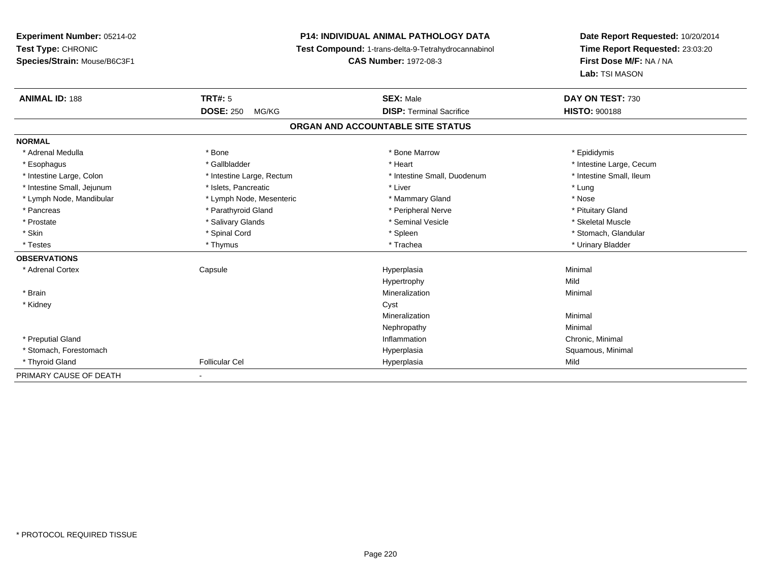# **P14: INDIVIDUAL ANIMAL PATHOLOGY DATA**

**Test Compound:** 1-trans-delta-9-Tetrahydrocannabinol

**CAS Number:** 1972-08-3

| <b>ANIMAL ID: 188</b>      | <b>TRT#: 5</b>            | <b>SEX: Male</b>                  | DAY ON TEST: 730         |
|----------------------------|---------------------------|-----------------------------------|--------------------------|
|                            | <b>DOSE: 250</b><br>MG/KG | <b>DISP: Terminal Sacrifice</b>   | <b>HISTO: 900188</b>     |
|                            |                           | ORGAN AND ACCOUNTABLE SITE STATUS |                          |
| <b>NORMAL</b>              |                           |                                   |                          |
| * Adrenal Medulla          | * Bone                    | * Bone Marrow                     | * Epididymis             |
| * Esophagus                | * Gallbladder             | * Heart                           | * Intestine Large, Cecum |
| * Intestine Large, Colon   | * Intestine Large, Rectum | * Intestine Small, Duodenum       | * Intestine Small, Ileum |
| * Intestine Small, Jejunum | * Islets, Pancreatic      | * Liver                           | * Lung                   |
| * Lymph Node, Mandibular   | * Lymph Node, Mesenteric  | * Mammary Gland                   | * Nose                   |
| * Pancreas                 | * Parathyroid Gland       | * Peripheral Nerve                | * Pituitary Gland        |
| * Prostate                 | * Salivary Glands         | * Seminal Vesicle                 | * Skeletal Muscle        |
| * Skin                     | * Spinal Cord             | * Spleen                          | * Stomach, Glandular     |
| * Testes                   | * Thymus                  | * Trachea                         | * Urinary Bladder        |
| <b>OBSERVATIONS</b>        |                           |                                   |                          |
| * Adrenal Cortex           | Capsule                   | Hyperplasia                       | Minimal                  |
|                            |                           | Hypertrophy                       | Mild                     |
| * Brain                    |                           | Mineralization                    | Minimal                  |
| * Kidney                   |                           | Cyst                              |                          |
|                            |                           | Mineralization                    | Minimal                  |
|                            |                           | Nephropathy                       | Minimal                  |
| * Preputial Gland          |                           | Inflammation                      | Chronic, Minimal         |
| * Stomach, Forestomach     |                           | Hyperplasia                       | Squamous, Minimal        |
| * Thyroid Gland            | <b>Follicular Cel</b>     | Hyperplasia                       | Mild                     |
| PRIMARY CAUSE OF DEATH     |                           |                                   |                          |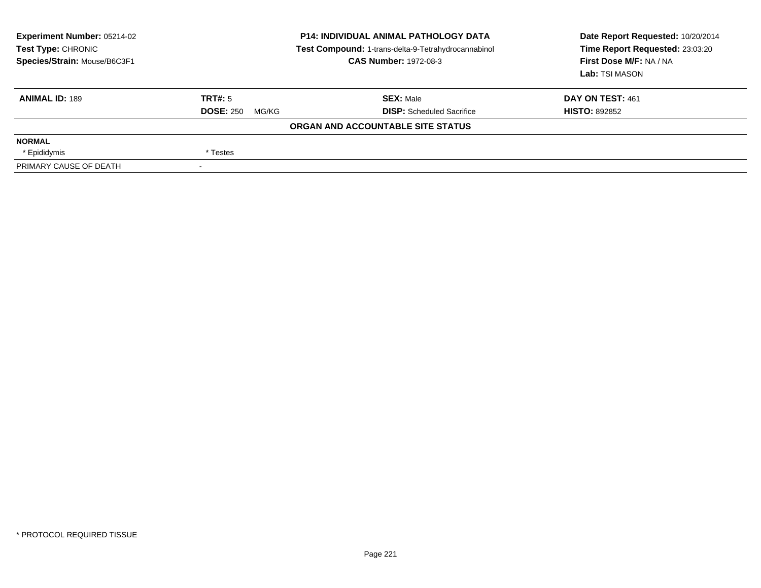| <b>Experiment Number: 05214-02</b><br>Test Type: CHRONIC<br>Species/Strain: Mouse/B6C3F1 | <b>P14: INDIVIDUAL ANIMAL PATHOLOGY DATA</b><br>Test Compound: 1-trans-delta-9-Tetrahydrocannabinol<br><b>CAS Number: 1972-08-3</b> |                                   | Date Report Requested: 10/20/2014<br>Time Report Requested: 23:03:20<br>First Dose M/F: NA / NA<br>Lab: TSI MASON |  |
|------------------------------------------------------------------------------------------|-------------------------------------------------------------------------------------------------------------------------------------|-----------------------------------|-------------------------------------------------------------------------------------------------------------------|--|
| <b>ANIMAL ID: 189</b>                                                                    | TRT#: 5                                                                                                                             | <b>SEX: Male</b>                  | DAY ON TEST: 461                                                                                                  |  |
|                                                                                          | <b>DOSE: 250</b><br>MG/KG                                                                                                           | <b>DISP:</b> Scheduled Sacrifice  | <b>HISTO: 892852</b>                                                                                              |  |
|                                                                                          |                                                                                                                                     | ORGAN AND ACCOUNTABLE SITE STATUS |                                                                                                                   |  |
| <b>NORMAL</b>                                                                            |                                                                                                                                     |                                   |                                                                                                                   |  |
| * Epididymis                                                                             | * Testes                                                                                                                            |                                   |                                                                                                                   |  |
| PRIMARY CAUSE OF DEATH                                                                   |                                                                                                                                     |                                   |                                                                                                                   |  |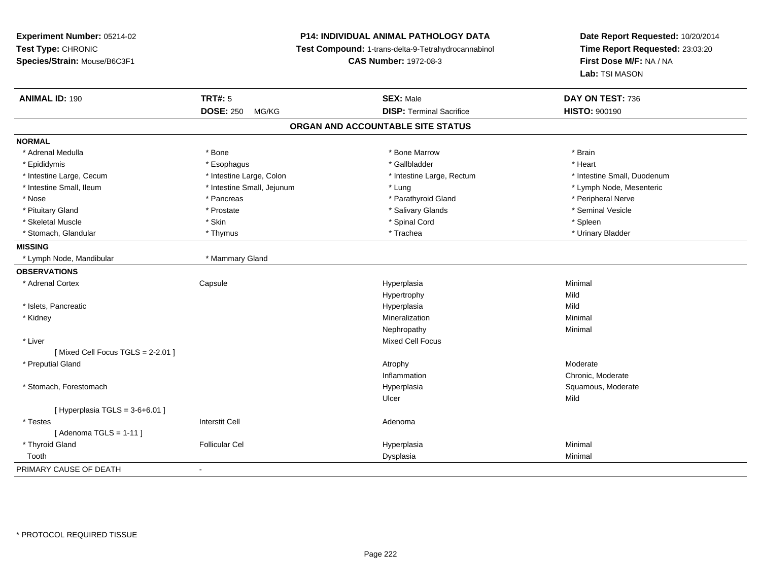# **P14: INDIVIDUAL ANIMAL PATHOLOGY DATA**

**Test Compound:** 1-trans-delta-9-Tetrahydrocannabinol

**CAS Number:** 1972-08-3

| <b>ANIMAL ID: 190</b>             | <b>TRT#: 5</b>             | <b>SEX: Male</b>                | DAY ON TEST: 736            |  |  |  |
|-----------------------------------|----------------------------|---------------------------------|-----------------------------|--|--|--|
|                                   | <b>DOSE: 250</b><br>MG/KG  | <b>DISP: Terminal Sacrifice</b> | <b>HISTO: 900190</b>        |  |  |  |
| ORGAN AND ACCOUNTABLE SITE STATUS |                            |                                 |                             |  |  |  |
| <b>NORMAL</b>                     |                            |                                 |                             |  |  |  |
| * Adrenal Medulla                 | * Bone                     | * Bone Marrow                   | * Brain                     |  |  |  |
| * Epididymis                      | * Esophagus                | * Gallbladder                   | * Heart                     |  |  |  |
| * Intestine Large, Cecum          | * Intestine Large, Colon   | * Intestine Large, Rectum       | * Intestine Small, Duodenum |  |  |  |
| * Intestine Small, Ileum          | * Intestine Small, Jejunum | * Lung                          | * Lymph Node, Mesenteric    |  |  |  |
| * Nose                            | * Pancreas                 | * Parathyroid Gland             | * Peripheral Nerve          |  |  |  |
| * Pituitary Gland                 | * Prostate                 | * Salivary Glands               | * Seminal Vesicle           |  |  |  |
| * Skeletal Muscle                 | * Skin                     | * Spinal Cord                   | * Spleen                    |  |  |  |
| * Stomach, Glandular              | * Thymus                   | * Trachea                       | * Urinary Bladder           |  |  |  |
| <b>MISSING</b>                    |                            |                                 |                             |  |  |  |
| * Lymph Node, Mandibular          | * Mammary Gland            |                                 |                             |  |  |  |
| <b>OBSERVATIONS</b>               |                            |                                 |                             |  |  |  |
| * Adrenal Cortex                  | Capsule                    | Hyperplasia                     | Minimal                     |  |  |  |
|                                   |                            | Hypertrophy                     | Mild                        |  |  |  |
| * Islets, Pancreatic              |                            | Hyperplasia                     | Mild                        |  |  |  |
| * Kidney                          |                            | Mineralization                  | Minimal                     |  |  |  |
|                                   |                            | Nephropathy                     | Minimal                     |  |  |  |
| * Liver                           |                            | <b>Mixed Cell Focus</b>         |                             |  |  |  |
| [Mixed Cell Focus TGLS = 2-2.01]  |                            |                                 |                             |  |  |  |
| * Preputial Gland                 |                            | Atrophy                         | Moderate                    |  |  |  |
|                                   |                            | Inflammation                    | Chronic, Moderate           |  |  |  |
| * Stomach, Forestomach            |                            | Hyperplasia                     | Squamous, Moderate          |  |  |  |
|                                   |                            | Ulcer                           | Mild                        |  |  |  |
| [ Hyperplasia TGLS = 3-6+6.01 ]   |                            |                                 |                             |  |  |  |
| * Testes                          | <b>Interstit Cell</b>      | Adenoma                         |                             |  |  |  |
| [Adenoma TGLS = $1-11$ ]          |                            |                                 |                             |  |  |  |
| * Thyroid Gland                   | <b>Follicular Cel</b>      | Hyperplasia                     | Minimal                     |  |  |  |
| Tooth                             |                            | Dysplasia                       | Minimal                     |  |  |  |
| PRIMARY CAUSE OF DEATH            | $\overline{\phantom{a}}$   |                                 |                             |  |  |  |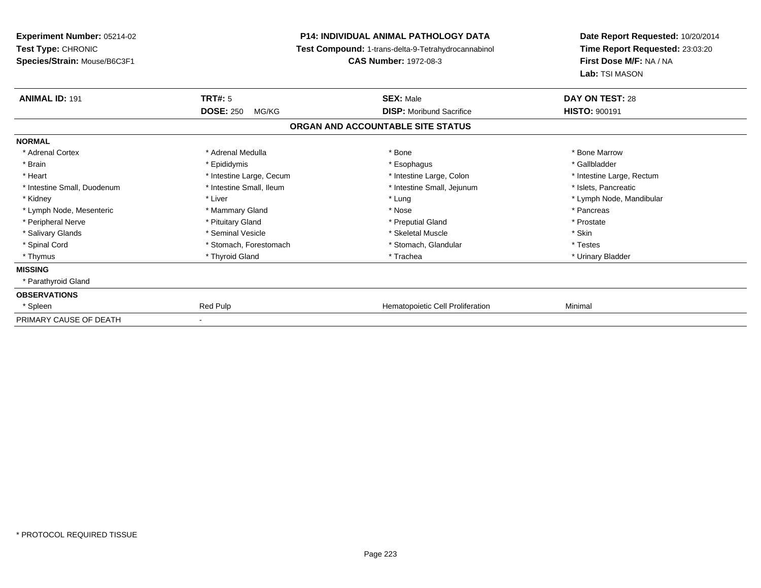| <b>Experiment Number: 05214-02</b><br>Test Type: CHRONIC |                           | <b>P14: INDIVIDUAL ANIMAL PATHOLOGY DATA</b>        | Date Report Requested: 10/20/2014<br>Time Report Requested: 23:03:20 |
|----------------------------------------------------------|---------------------------|-----------------------------------------------------|----------------------------------------------------------------------|
|                                                          |                           | Test Compound: 1-trans-delta-9-Tetrahydrocannabinol |                                                                      |
| Species/Strain: Mouse/B6C3F1                             |                           | <b>CAS Number: 1972-08-3</b>                        | First Dose M/F: NA / NA                                              |
|                                                          |                           |                                                     | Lab: TSI MASON                                                       |
| <b>ANIMAL ID: 191</b>                                    | <b>TRT#: 5</b>            | <b>SEX: Male</b>                                    | DAY ON TEST: 28                                                      |
|                                                          | <b>DOSE: 250</b><br>MG/KG | <b>DISP:</b> Moribund Sacrifice                     | <b>HISTO: 900191</b>                                                 |
|                                                          |                           | ORGAN AND ACCOUNTABLE SITE STATUS                   |                                                                      |
| <b>NORMAL</b>                                            |                           |                                                     |                                                                      |
| * Adrenal Cortex                                         | * Adrenal Medulla         | * Bone                                              | * Bone Marrow                                                        |
| * Brain                                                  | * Epididymis              | * Esophagus                                         | * Gallbladder                                                        |
| * Heart                                                  | * Intestine Large, Cecum  | * Intestine Large, Colon                            | * Intestine Large, Rectum                                            |
| * Intestine Small, Duodenum                              | * Intestine Small, Ileum  | * Intestine Small, Jejunum                          | * Islets, Pancreatic                                                 |
| * Kidney                                                 | * Liver                   | * Lung                                              | * Lymph Node, Mandibular                                             |
| * Lymph Node, Mesenteric                                 | * Mammary Gland           | * Nose                                              | * Pancreas                                                           |
| * Peripheral Nerve                                       | * Pituitary Gland         | * Preputial Gland                                   | * Prostate                                                           |
| * Salivary Glands                                        | * Seminal Vesicle         | * Skeletal Muscle                                   | * Skin                                                               |
| * Spinal Cord                                            | * Stomach, Forestomach    | * Stomach, Glandular                                | * Testes                                                             |
| * Thymus                                                 | * Thyroid Gland           | * Trachea                                           | * Urinary Bladder                                                    |
| <b>MISSING</b>                                           |                           |                                                     |                                                                      |
| * Parathyroid Gland                                      |                           |                                                     |                                                                      |
| <b>OBSERVATIONS</b>                                      |                           |                                                     |                                                                      |
| * Spleen                                                 | Red Pulp                  | Hematopoietic Cell Proliferation                    | Minimal                                                              |
| PRIMARY CAUSE OF DEATH                                   |                           |                                                     |                                                                      |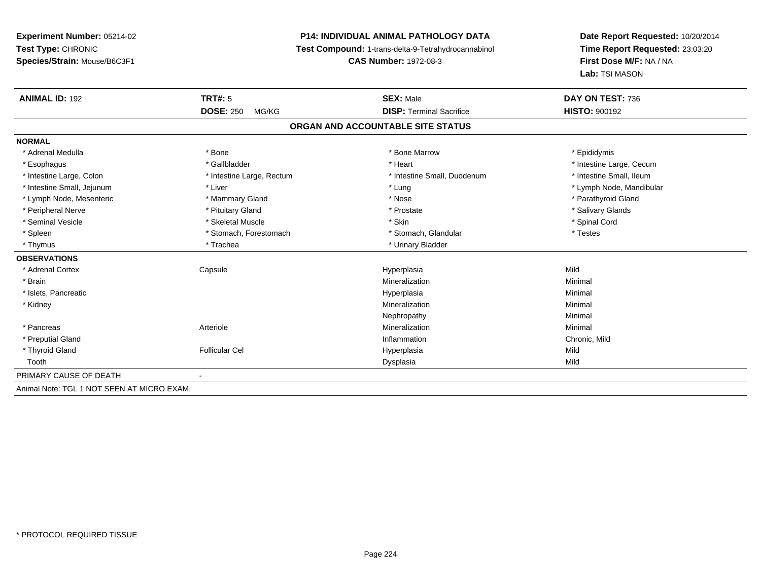# **P14: INDIVIDUAL ANIMAL PATHOLOGY DATA**

**Test Compound:** 1-trans-delta-9-Tetrahydrocannabinol

**CAS Number:** 1972-08-3

| <b>ANIMAL ID: 192</b>                      | TRT#: 5                   | <b>SEX: Male</b>                  | DAY ON TEST: 736         |  |
|--------------------------------------------|---------------------------|-----------------------------------|--------------------------|--|
|                                            | <b>DOSE: 250</b><br>MG/KG | <b>DISP: Terminal Sacrifice</b>   | <b>HISTO: 900192</b>     |  |
|                                            |                           | ORGAN AND ACCOUNTABLE SITE STATUS |                          |  |
| <b>NORMAL</b>                              |                           |                                   |                          |  |
| * Adrenal Medulla                          | * Bone                    | * Bone Marrow                     | * Epididymis             |  |
| * Esophagus                                | * Gallbladder             | * Heart                           | * Intestine Large, Cecum |  |
| * Intestine Large, Colon                   | * Intestine Large, Rectum | * Intestine Small, Duodenum       | * Intestine Small, Ileum |  |
| * Intestine Small, Jejunum                 | * Liver                   | * Lung                            | * Lymph Node, Mandibular |  |
| * Lymph Node, Mesenteric                   | * Mammary Gland           | * Nose                            | * Parathyroid Gland      |  |
| * Peripheral Nerve                         | * Pituitary Gland         | * Prostate                        | * Salivary Glands        |  |
| * Seminal Vesicle                          | * Skeletal Muscle         | * Skin                            | * Spinal Cord            |  |
| * Spleen                                   | * Stomach, Forestomach    | * Stomach, Glandular              | * Testes                 |  |
| * Thymus                                   | * Trachea                 | * Urinary Bladder                 |                          |  |
| <b>OBSERVATIONS</b>                        |                           |                                   |                          |  |
| * Adrenal Cortex                           | Capsule                   | Hyperplasia                       | Mild                     |  |
| * Brain                                    |                           | Mineralization                    | Minimal                  |  |
| * Islets, Pancreatic                       |                           | Hyperplasia                       | Minimal                  |  |
| * Kidney                                   |                           | Mineralization                    | Minimal                  |  |
|                                            |                           | Nephropathy                       | Minimal                  |  |
| * Pancreas                                 | Arteriole                 | Mineralization                    | Minimal                  |  |
| * Preputial Gland                          |                           | Inflammation                      | Chronic, Mild            |  |
| * Thyroid Gland                            | <b>Follicular Cel</b>     | Hyperplasia                       | Mild                     |  |
| Tooth                                      |                           | Dysplasia                         | Mild                     |  |
| PRIMARY CAUSE OF DEATH                     |                           |                                   |                          |  |
| Animal Note: TGL 1 NOT SEEN AT MICRO EXAM. |                           |                                   |                          |  |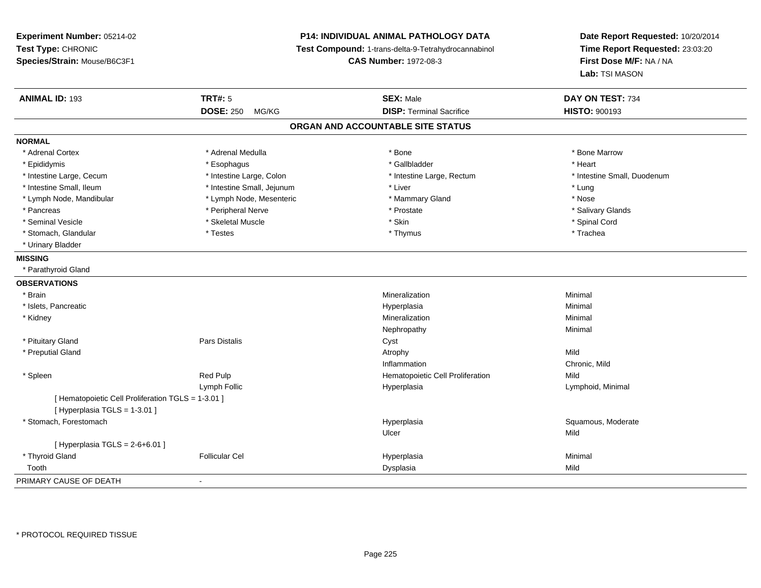## **P14: INDIVIDUAL ANIMAL PATHOLOGY DATA**

**Test Compound:** 1-trans-delta-9-Tetrahydrocannabinol

**CAS Number:** 1972-08-3

| <b>ANIMAL ID: 193</b>                              | <b>TRT#: 5</b>             | <b>SEX: Male</b>                  | DAY ON TEST: 734            |  |
|----------------------------------------------------|----------------------------|-----------------------------------|-----------------------------|--|
|                                                    | <b>DOSE: 250</b><br>MG/KG  | <b>DISP: Terminal Sacrifice</b>   | <b>HISTO: 900193</b>        |  |
|                                                    |                            | ORGAN AND ACCOUNTABLE SITE STATUS |                             |  |
| <b>NORMAL</b>                                      |                            |                                   |                             |  |
| * Adrenal Cortex                                   | * Adrenal Medulla          | * Bone                            | * Bone Marrow               |  |
| * Epididymis                                       | * Esophagus                | * Gallbladder                     | * Heart                     |  |
| * Intestine Large, Cecum                           | * Intestine Large, Colon   | * Intestine Large, Rectum         | * Intestine Small, Duodenum |  |
| * Intestine Small. Ileum                           | * Intestine Small, Jejunum | * Liver                           | * Lung                      |  |
| * Lymph Node, Mandibular                           | * Lymph Node, Mesenteric   | * Mammary Gland                   | * Nose                      |  |
| * Pancreas                                         | * Peripheral Nerve         | * Prostate                        | * Salivary Glands           |  |
| * Seminal Vesicle                                  | * Skeletal Muscle          | * Skin                            | * Spinal Cord               |  |
| * Stomach, Glandular                               | * Testes                   | * Thymus                          | * Trachea                   |  |
| * Urinary Bladder                                  |                            |                                   |                             |  |
| <b>MISSING</b>                                     |                            |                                   |                             |  |
| * Parathyroid Gland                                |                            |                                   |                             |  |
| <b>OBSERVATIONS</b>                                |                            |                                   |                             |  |
| * Brain                                            |                            | Mineralization                    | Minimal                     |  |
| * Islets, Pancreatic                               |                            | Hyperplasia                       | Minimal                     |  |
| * Kidney                                           |                            | Mineralization                    | Minimal                     |  |
|                                                    |                            | Nephropathy                       | Minimal                     |  |
| * Pituitary Gland                                  | <b>Pars Distalis</b>       | Cyst                              |                             |  |
| * Preputial Gland                                  |                            | Atrophy                           | Mild                        |  |
|                                                    |                            | Inflammation                      | Chronic, Mild               |  |
| * Spleen                                           | Red Pulp                   | Hematopoietic Cell Proliferation  | Mild                        |  |
|                                                    | Lymph Follic               | Hyperplasia                       | Lymphoid, Minimal           |  |
| [ Hematopoietic Cell Proliferation TGLS = 1-3.01 ] |                            |                                   |                             |  |
| [ Hyperplasia TGLS = 1-3.01 ]                      |                            |                                   |                             |  |
| * Stomach, Forestomach                             |                            | Hyperplasia                       | Squamous, Moderate          |  |
|                                                    |                            | Ulcer                             | Mild                        |  |
| [ Hyperplasia TGLS = $2-6+6.01$ ]                  |                            |                                   |                             |  |
| * Thyroid Gland                                    | <b>Follicular Cel</b>      | Hyperplasia                       | Minimal                     |  |
| Tooth                                              |                            | Dysplasia                         | Mild                        |  |
| PRIMARY CAUSE OF DEATH                             | $\blacksquare$             |                                   |                             |  |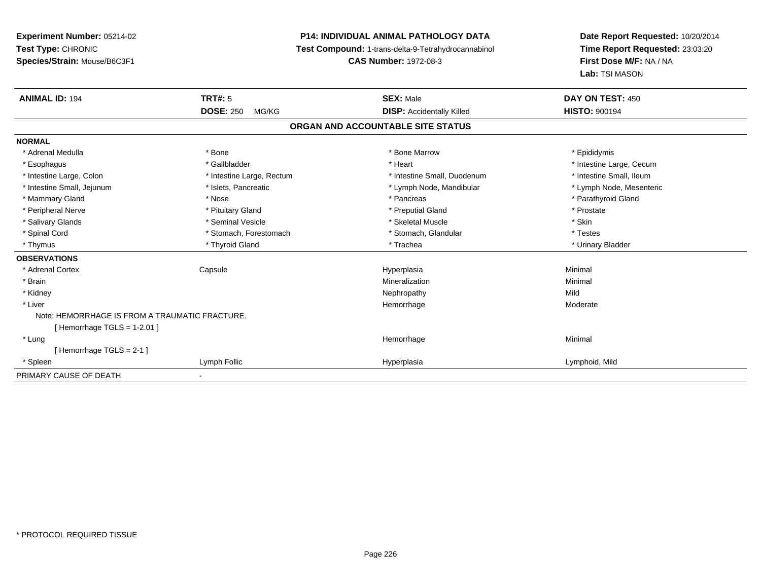## **P14: INDIVIDUAL ANIMAL PATHOLOGY DATA**

**Test Compound:** 1-trans-delta-9-Tetrahydrocannabinol

**CAS Number:** 1972-08-3

| <b>ANIMAL ID: 194</b>                          | <b>TRT#: 5</b>            | <b>SEX: Male</b>                  | DAY ON TEST: 450         |
|------------------------------------------------|---------------------------|-----------------------------------|--------------------------|
|                                                | <b>DOSE: 250</b><br>MG/KG | <b>DISP:</b> Accidentally Killed  | <b>HISTO: 900194</b>     |
|                                                |                           | ORGAN AND ACCOUNTABLE SITE STATUS |                          |
| <b>NORMAL</b>                                  |                           |                                   |                          |
| * Adrenal Medulla                              | * Bone                    | * Bone Marrow                     | * Epididymis             |
| * Esophagus                                    | * Gallbladder             | * Heart                           | * Intestine Large, Cecum |
| * Intestine Large, Colon                       | * Intestine Large, Rectum | * Intestine Small, Duodenum       | * Intestine Small, Ileum |
| * Intestine Small, Jejunum                     | * Islets, Pancreatic      | * Lymph Node, Mandibular          | * Lymph Node, Mesenteric |
| * Mammary Gland                                | * Nose                    | * Pancreas                        | * Parathyroid Gland      |
| * Peripheral Nerve                             | * Pituitary Gland         | * Preputial Gland                 | * Prostate               |
| * Salivary Glands                              | * Seminal Vesicle         | * Skeletal Muscle                 | * Skin                   |
| * Spinal Cord                                  | * Stomach, Forestomach    | * Stomach, Glandular              | * Testes                 |
| * Thymus                                       | * Thyroid Gland           | * Trachea                         | * Urinary Bladder        |
| <b>OBSERVATIONS</b>                            |                           |                                   |                          |
| * Adrenal Cortex                               | Capsule                   | Hyperplasia                       | Minimal                  |
| * Brain                                        |                           | Mineralization                    | Minimal                  |
| * Kidney                                       |                           | Nephropathy                       | Mild                     |
| * Liver                                        |                           | Hemorrhage                        | Moderate                 |
| Note: HEMORRHAGE IS FROM A TRAUMATIC FRACTURE. |                           |                                   |                          |
| [Hemorrhage TGLS = $1-2.01$ ]                  |                           |                                   |                          |
| * Lung                                         |                           | Hemorrhage                        | Minimal                  |
| [Hemorrhage TGLS = $2-1$ ]                     |                           |                                   |                          |
| * Spleen                                       | Lymph Follic              | Hyperplasia                       | Lymphoid, Mild           |
| PRIMARY CAUSE OF DEATH                         |                           |                                   |                          |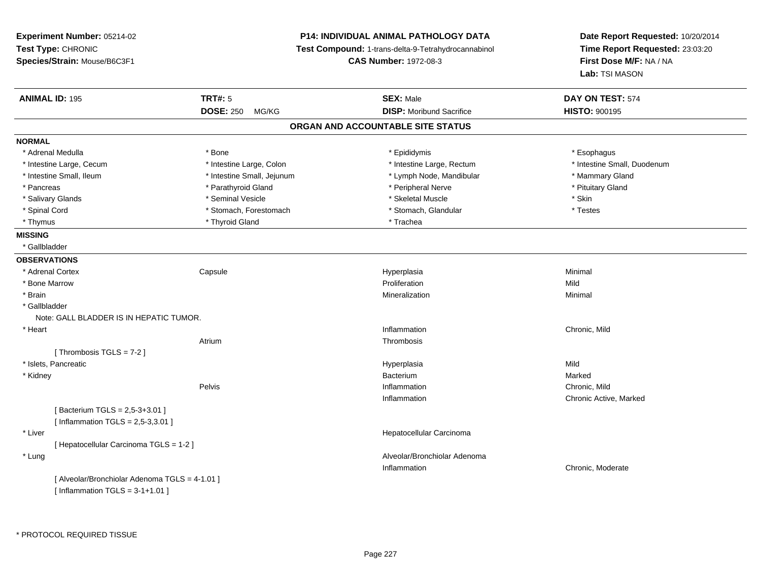| Experiment Number: 05214-02                    |                            | P14: INDIVIDUAL ANIMAL PATHOLOGY DATA               | Date Report Requested: 10/20/2014 |  |
|------------------------------------------------|----------------------------|-----------------------------------------------------|-----------------------------------|--|
| Test Type: CHRONIC                             |                            | Test Compound: 1-trans-delta-9-Tetrahydrocannabinol | Time Report Requested: 23:03:20   |  |
| Species/Strain: Mouse/B6C3F1                   |                            | <b>CAS Number: 1972-08-3</b>                        | First Dose M/F: NA / NA           |  |
|                                                |                            |                                                     | Lab: TSI MASON                    |  |
| <b>ANIMAL ID: 195</b>                          | <b>TRT#: 5</b>             | <b>SEX: Male</b>                                    | DAY ON TEST: 574                  |  |
|                                                | <b>DOSE: 250</b><br>MG/KG  | <b>DISP:</b> Moribund Sacrifice                     | <b>HISTO: 900195</b>              |  |
|                                                |                            | ORGAN AND ACCOUNTABLE SITE STATUS                   |                                   |  |
| <b>NORMAL</b>                                  |                            |                                                     |                                   |  |
| * Adrenal Medulla                              | * Bone                     | * Epididymis                                        | * Esophagus                       |  |
| * Intestine Large, Cecum                       | * Intestine Large, Colon   | * Intestine Large, Rectum                           | * Intestine Small, Duodenum       |  |
| * Intestine Small, Ileum                       | * Intestine Small, Jejunum | * Lymph Node, Mandibular                            | * Mammary Gland                   |  |
| * Pancreas                                     | * Parathyroid Gland        | * Peripheral Nerve                                  | * Pituitary Gland                 |  |
| * Salivary Glands                              | * Seminal Vesicle          | * Skeletal Muscle                                   | * Skin                            |  |
| * Spinal Cord                                  | * Stomach, Forestomach     | * Stomach, Glandular                                | * Testes                          |  |
| * Thymus                                       | * Thyroid Gland            | * Trachea                                           |                                   |  |
| <b>MISSING</b>                                 |                            |                                                     |                                   |  |
| * Gallbladder                                  |                            |                                                     |                                   |  |
| <b>OBSERVATIONS</b>                            |                            |                                                     |                                   |  |
| * Adrenal Cortex                               | Capsule                    | Hyperplasia                                         | Minimal                           |  |
| * Bone Marrow                                  |                            | Proliferation                                       | Mild                              |  |
| * Brain                                        |                            | Mineralization                                      | Minimal                           |  |
| * Gallbladder                                  |                            |                                                     |                                   |  |
| Note: GALL BLADDER IS IN HEPATIC TUMOR.        |                            |                                                     |                                   |  |
| * Heart                                        |                            | Inflammation                                        | Chronic, Mild                     |  |
|                                                | Atrium                     | Thrombosis                                          |                                   |  |
| [Thrombosis TGLS = $7-2$ ]                     |                            |                                                     |                                   |  |
| * Islets, Pancreatic                           |                            | Hyperplasia                                         | Mild                              |  |
| * Kidney                                       |                            | Bacterium                                           | Marked                            |  |
|                                                | Pelvis                     | Inflammation                                        | Chronic, Mild                     |  |
|                                                |                            | Inflammation                                        | Chronic Active, Marked            |  |
| [Bacterium TGLS = 2,5-3+3.01]                  |                            |                                                     |                                   |  |
| [Inflammation TGLS = $2,5-3,3.01$ ]            |                            |                                                     |                                   |  |
| * Liver                                        |                            | Hepatocellular Carcinoma                            |                                   |  |
| [ Hepatocellular Carcinoma TGLS = 1-2 ]        |                            |                                                     |                                   |  |
| * Lung                                         |                            | Alveolar/Bronchiolar Adenoma                        |                                   |  |
|                                                |                            | Inflammation                                        | Chronic, Moderate                 |  |
| [ Alveolar/Bronchiolar Adenoma TGLS = 4-1.01 ] |                            |                                                     |                                   |  |
| [Inflammation TGLS = $3-1+1.01$ ]              |                            |                                                     |                                   |  |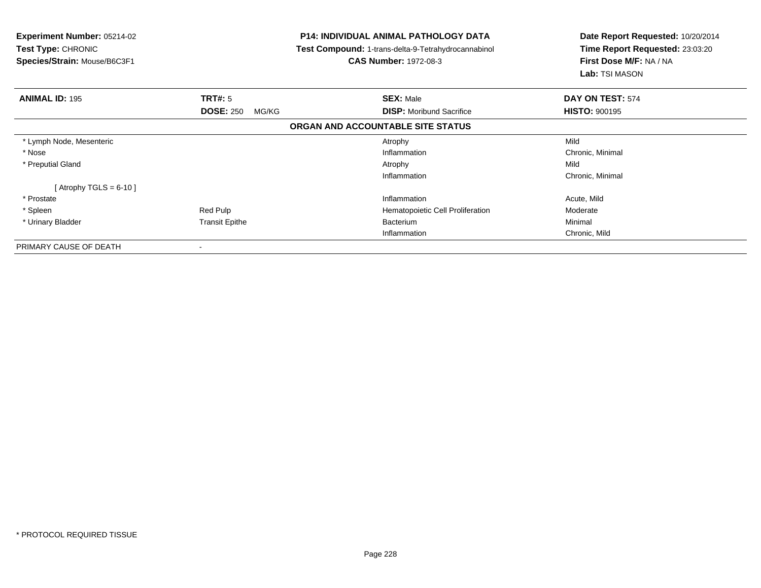| Experiment Number: 05214-02<br><b>Test Type: CHRONIC</b><br>Species/Strain: Mouse/B6C3F1 |                           | <b>P14: INDIVIDUAL ANIMAL PATHOLOGY DATA</b><br><b>Test Compound: 1-trans-delta-9-Tetrahydrocannabinol</b><br><b>CAS Number: 1972-08-3</b> | Date Report Requested: 10/20/2014<br>Time Report Requested: 23:03:20<br>First Dose M/F: NA / NA<br>Lab: TSI MASON |
|------------------------------------------------------------------------------------------|---------------------------|--------------------------------------------------------------------------------------------------------------------------------------------|-------------------------------------------------------------------------------------------------------------------|
| <b>ANIMAL ID: 195</b>                                                                    | <b>TRT#: 5</b>            | <b>SEX: Male</b>                                                                                                                           | DAY ON TEST: 574                                                                                                  |
|                                                                                          | <b>DOSE: 250</b><br>MG/KG | <b>DISP:</b> Moribund Sacrifice                                                                                                            | <b>HISTO: 900195</b>                                                                                              |
|                                                                                          |                           | ORGAN AND ACCOUNTABLE SITE STATUS                                                                                                          |                                                                                                                   |
| * Lymph Node, Mesenteric                                                                 |                           | Atrophy                                                                                                                                    | Mild                                                                                                              |
| * Nose                                                                                   |                           | Inflammation                                                                                                                               | Chronic, Minimal                                                                                                  |
| * Preputial Gland                                                                        |                           | Atrophy                                                                                                                                    | Mild                                                                                                              |
|                                                                                          |                           | Inflammation                                                                                                                               | Chronic, Minimal                                                                                                  |
| [Atrophy TGLS = $6-10$ ]                                                                 |                           |                                                                                                                                            |                                                                                                                   |
| * Prostate                                                                               |                           | Inflammation                                                                                                                               | Acute, Mild                                                                                                       |
| * Spleen                                                                                 | Red Pulp                  | Hematopoietic Cell Proliferation                                                                                                           | Moderate                                                                                                          |
| * Urinary Bladder                                                                        | <b>Transit Epithe</b>     | Bacterium                                                                                                                                  | Minimal                                                                                                           |
|                                                                                          |                           | Inflammation                                                                                                                               | Chronic, Mild                                                                                                     |
| PRIMARY CAUSE OF DEATH                                                                   | ۰                         |                                                                                                                                            |                                                                                                                   |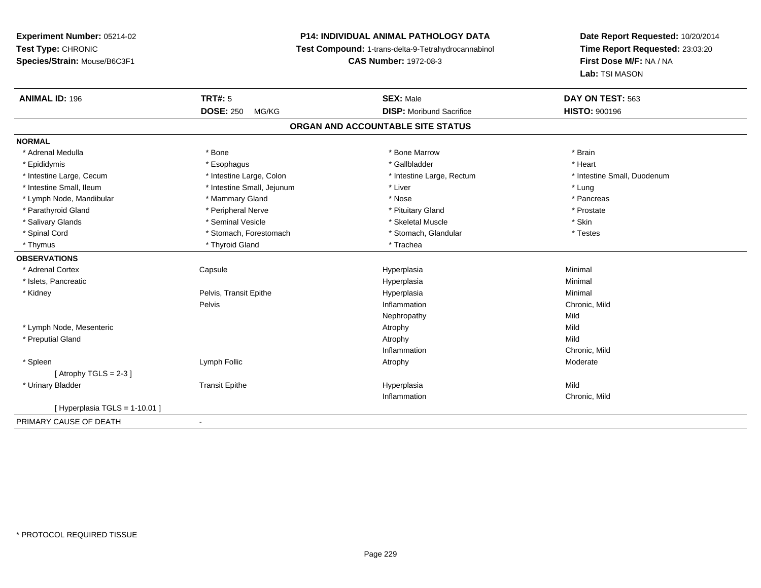# **P14: INDIVIDUAL ANIMAL PATHOLOGY DATA**

**Test Compound:** 1-trans-delta-9-Tetrahydrocannabinol

**CAS Number:** 1972-08-3

| <b>ANIMAL ID: 196</b>          | <b>TRT#: 5</b>             | <b>SEX: Male</b>                  | DAY ON TEST: 563            |
|--------------------------------|----------------------------|-----------------------------------|-----------------------------|
|                                | <b>DOSE: 250</b><br>MG/KG  | <b>DISP:</b> Moribund Sacrifice   | <b>HISTO: 900196</b>        |
|                                |                            | ORGAN AND ACCOUNTABLE SITE STATUS |                             |
| <b>NORMAL</b>                  |                            |                                   |                             |
| * Adrenal Medulla              | * Bone                     | * Bone Marrow                     | * Brain                     |
| * Epididymis                   | * Esophagus                | * Gallbladder                     | * Heart                     |
| * Intestine Large, Cecum       | * Intestine Large, Colon   | * Intestine Large, Rectum         | * Intestine Small, Duodenum |
| * Intestine Small. Ileum       | * Intestine Small, Jejunum | * Liver                           | * Lung                      |
| * Lymph Node, Mandibular       | * Mammary Gland            | * Nose                            | * Pancreas                  |
| * Parathyroid Gland            | * Peripheral Nerve         | * Pituitary Gland                 | * Prostate                  |
| * Salivary Glands              | * Seminal Vesicle          | * Skeletal Muscle                 | * Skin                      |
| * Spinal Cord                  | * Stomach, Forestomach     | * Stomach, Glandular              | * Testes                    |
| * Thymus                       | * Thyroid Gland            | * Trachea                         |                             |
| <b>OBSERVATIONS</b>            |                            |                                   |                             |
| * Adrenal Cortex               | Capsule                    | Hyperplasia                       | Minimal                     |
| * Islets, Pancreatic           |                            | Hyperplasia                       | Minimal                     |
| * Kidney                       | Pelvis, Transit Epithe     | Hyperplasia                       | Minimal                     |
|                                | Pelvis                     | Inflammation                      | Chronic, Mild               |
|                                |                            | Nephropathy                       | Mild                        |
| * Lymph Node, Mesenteric       |                            | Atrophy                           | Mild                        |
| * Preputial Gland              |                            | Atrophy                           | Mild                        |
|                                |                            | Inflammation                      | Chronic, Mild               |
| * Spleen                       | Lymph Follic               | Atrophy                           | Moderate                    |
| [Atrophy TGLS = $2-3$ ]        |                            |                                   |                             |
| * Urinary Bladder              | <b>Transit Epithe</b>      | Hyperplasia                       | Mild                        |
|                                |                            | Inflammation                      | Chronic, Mild               |
| [ Hyperplasia TGLS = 1-10.01 ] |                            |                                   |                             |
| PRIMARY CAUSE OF DEATH         | $\blacksquare$             |                                   |                             |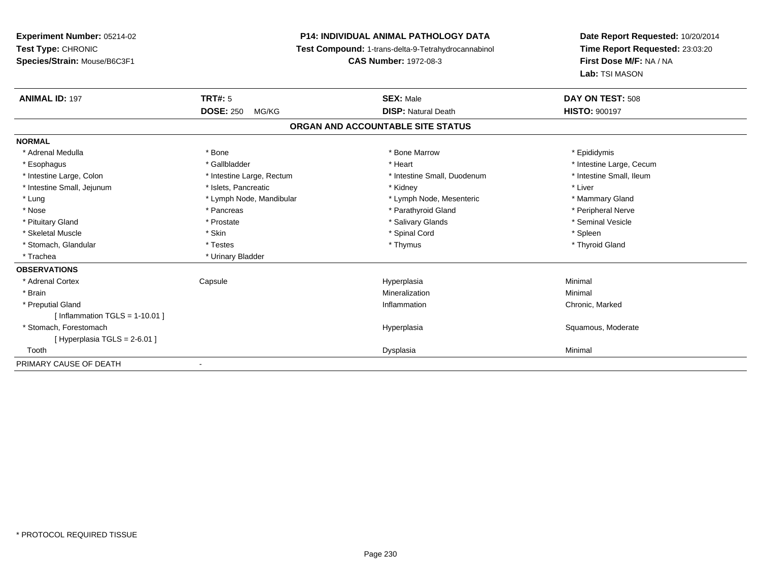## **P14: INDIVIDUAL ANIMAL PATHOLOGY DATA**

**Test Compound:** 1-trans-delta-9-Tetrahydrocannabinol

**CAS Number:** 1972-08-3

| <b>ANIMAL ID: 197</b>            | <b>TRT#: 5</b>            | <b>SEX: Male</b>                  | DAY ON TEST: 508         |
|----------------------------------|---------------------------|-----------------------------------|--------------------------|
|                                  | <b>DOSE: 250</b><br>MG/KG | <b>DISP: Natural Death</b>        | <b>HISTO: 900197</b>     |
|                                  |                           | ORGAN AND ACCOUNTABLE SITE STATUS |                          |
| <b>NORMAL</b>                    |                           |                                   |                          |
| * Adrenal Medulla                | * Bone                    | * Bone Marrow                     | * Epididymis             |
| * Esophagus                      | * Gallbladder             | * Heart                           | * Intestine Large, Cecum |
| * Intestine Large, Colon         | * Intestine Large, Rectum | * Intestine Small, Duodenum       | * Intestine Small, Ileum |
| * Intestine Small, Jejunum       | * Islets, Pancreatic      | * Kidney                          | * Liver                  |
| * Lung                           | * Lymph Node, Mandibular  | * Lymph Node, Mesenteric          | * Mammary Gland          |
| * Nose                           | * Pancreas                | * Parathyroid Gland               | * Peripheral Nerve       |
| * Pituitary Gland                | * Prostate                | * Salivary Glands                 | * Seminal Vesicle        |
| * Skeletal Muscle                | * Skin                    | * Spinal Cord                     | * Spleen                 |
| * Stomach, Glandular             | * Testes                  | * Thymus                          | * Thyroid Gland          |
| * Trachea                        | * Urinary Bladder         |                                   |                          |
| <b>OBSERVATIONS</b>              |                           |                                   |                          |
| * Adrenal Cortex                 | Capsule                   | Hyperplasia                       | Minimal                  |
| * Brain                          |                           | Mineralization                    | Minimal                  |
| * Preputial Gland                |                           | Inflammation                      | Chronic, Marked          |
| [Inflammation TGLS = $1-10.01$ ] |                           |                                   |                          |
| * Stomach, Forestomach           |                           | Hyperplasia                       | Squamous, Moderate       |
| [Hyperplasia TGLS = $2-6.01$ ]   |                           |                                   |                          |
| Tooth                            |                           | Dysplasia                         | Minimal                  |
| PRIMARY CAUSE OF DEATH           |                           |                                   |                          |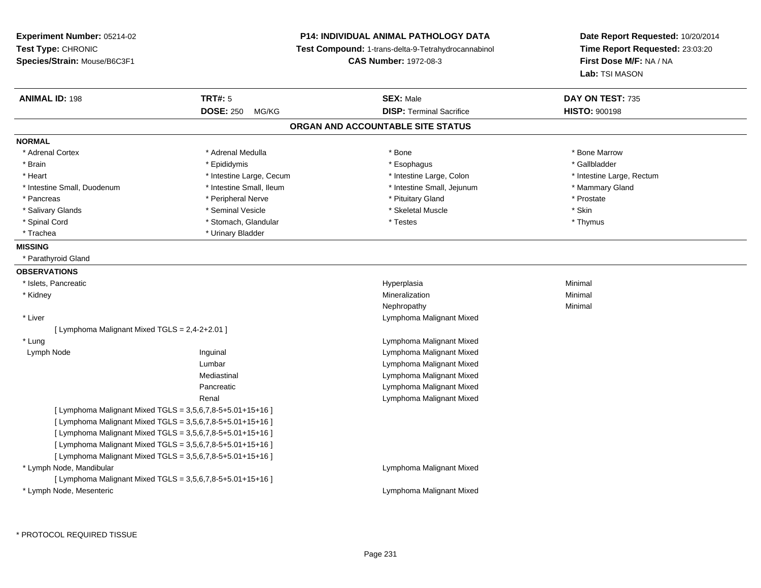**Experiment Number:** 05214-02**Test Type:** CHRONIC **Species/Strain:** Mouse/B6C3F1**P14: INDIVIDUAL ANIMAL PATHOLOGY DATA Test Compound:** 1-trans-delta-9-Tetrahydrocannabinol **CAS Number:** 1972-08-3**Date Report Requested:** 10/20/2014**Time Report Requested:** 23:03:20**First Dose M/F:** NA / NA**Lab:** TSI MASON**ANIMAL ID:** 198**TRT#:** 5 **SEX:** Male **DAY ON TEST:** 735 **DOSE:** 250 MG/KG**DISP:** Terminal Sacrifice **HISTO:** 900198 **ORGAN AND ACCOUNTABLE SITE STATUSNORMAL**\* Adrenal Cortex \* Adrenal Medulla \* **Adrenal Medulla** \* Adrenal Medulla \* Bone \* Bone **\* Bone Marrow** \* Bone Marrow \* Brain \* Allen the state of the state of the state of the state of the state of the state of the state of the state of the state of the state of the state of the state of the state of the state of the state of the state o \* Heart **\*** Intestine Large, Cecum **\* Intestine Large, Cecum** \* Intestine Large, Colon \* <sup>\*</sup> Intestine Large, Rectum \* Intestine Small, Duodenum \* Intestine Small, Ileum \* Intestine Small, Jejunum \* Mammary Gland\* Pancreas \* The prostate \* Peripheral Nerve \* The \* Postate \* Pituitary Gland \* Prostate \* Prostate \* Prostate \* Salivary Glands \* Seminal Vesicle \* Skeletal Muscle \* Skin\* Thymus \* Spinal Cord \* Stomach, Glandular \* Testes \* Thymus \* Trachea \* Urinary Bladder**MISSING** \* Parathyroid Gland**OBSERVATIONS** \* Islets, Pancreaticc and the contract of the contract of the contract of the contract of the contract of the contract of the contract of the contract of the contract of the contract of the contract of the contract of the contract of the cont a **Minimal**  \* Kidneyy with the control of the control of the control of the control of the control of the control of the control of the control of the control of the control of the control of the control of the control of the control of the c n Minimal Nephropathyy the contract of the Minimal Minimal Section 1996 and the contract of the Minimal Section 1997 and the contract of the contract of the contract of the contract of the contract of the contract of the contract of the contra \* Liver Lymphoma Malignant Mixed[ Lymphoma Malignant Mixed TGLS = 2,4-2+2.01 ] \* LungLymphoma Malignant Mixed<br>Lymphoma Malignant Mixed<br>Lymphoma Malignant Mixed Lymph NodeLymphoma Malignant Mixed Lumbar Lymphoma Malignant Mixed Lymphoma Malignant MixedMediastinal Lymphoma Malignant MixedPancreatic Lymphoma Malignant MixedRenal[ Lymphoma Malignant Mixed TGLS = 3,5,6,7,8-5+5.01+15+16 ][ Lymphoma Malignant Mixed TGLS = 3,5,6,7,8-5+5.01+15+16 ][ Lymphoma Malignant Mixed TGLS = 3,5,6,7,8-5+5.01+15+16 ][ Lymphoma Malignant Mixed TGLS = 3,5,6,7,8-5+5.01+15+16 ][ Lymphoma Malignant Mixed TGLS = 3,5,6,7,8-5+5.01+15+16 ] \* Lymph Node, Mandibular Lymphoma Malignant Mixed[ Lymphoma Malignant Mixed TGLS = 3,5,6,7,8-5+5.01+15+16 ] \* Lymph Node, MesentericLymphoma Malignant Mixed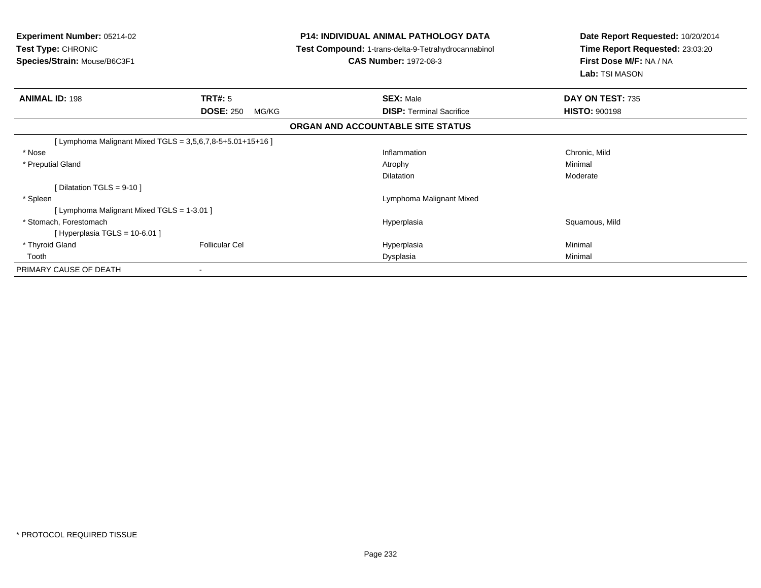| <b>Experiment Number: 05214-02</b><br><b>Test Type: CHRONIC</b><br>Species/Strain: Mouse/B6C3F1 |                           | <b>P14: INDIVIDUAL ANIMAL PATHOLOGY DATA</b><br><b>Test Compound: 1-trans-delta-9-Tetrahydrocannabinol</b><br><b>CAS Number: 1972-08-3</b> | Date Report Requested: 10/20/2014<br>Time Report Requested: 23:03:20<br>First Dose M/F: NA / NA<br>Lab: TSI MASON |  |
|-------------------------------------------------------------------------------------------------|---------------------------|--------------------------------------------------------------------------------------------------------------------------------------------|-------------------------------------------------------------------------------------------------------------------|--|
| <b>ANIMAL ID: 198</b>                                                                           | <b>TRT#: 5</b>            | <b>SEX: Male</b>                                                                                                                           | DAY ON TEST: 735                                                                                                  |  |
|                                                                                                 | <b>DOSE: 250</b><br>MG/KG | <b>DISP:</b> Terminal Sacrifice                                                                                                            | <b>HISTO: 900198</b>                                                                                              |  |
|                                                                                                 |                           | ORGAN AND ACCOUNTABLE SITE STATUS                                                                                                          |                                                                                                                   |  |
| [Lymphoma Malignant Mixed TGLS = $3,5,6,7,8-5+5.01+15+16$ ]                                     |                           |                                                                                                                                            |                                                                                                                   |  |
| * Nose                                                                                          |                           | Inflammation                                                                                                                               | Chronic, Mild                                                                                                     |  |
| * Preputial Gland                                                                               |                           | Atrophy                                                                                                                                    | Minimal                                                                                                           |  |
|                                                                                                 |                           | <b>Dilatation</b>                                                                                                                          | Moderate                                                                                                          |  |
| [Dilatation TGLS = $9-10$ ]                                                                     |                           |                                                                                                                                            |                                                                                                                   |  |
| * Spleen                                                                                        |                           | Lymphoma Malignant Mixed                                                                                                                   |                                                                                                                   |  |
| [ Lymphoma Malignant Mixed TGLS = 1-3.01 ]                                                      |                           |                                                                                                                                            |                                                                                                                   |  |
| * Stomach, Forestomach                                                                          |                           | Hyperplasia                                                                                                                                | Squamous, Mild                                                                                                    |  |
| [Hyperplasia TGLS = $10-6.01$ ]                                                                 |                           |                                                                                                                                            |                                                                                                                   |  |
| * Thyroid Gland                                                                                 | <b>Follicular Cel</b>     | Hyperplasia                                                                                                                                | Minimal                                                                                                           |  |
| Tooth                                                                                           |                           | Dysplasia                                                                                                                                  | Minimal                                                                                                           |  |
| PRIMARY CAUSE OF DEATH                                                                          |                           |                                                                                                                                            |                                                                                                                   |  |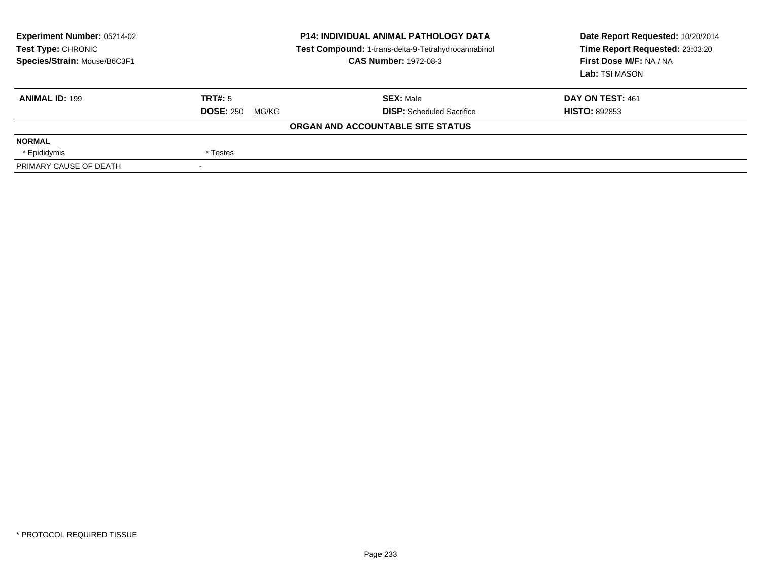| <b>Experiment Number: 05214-02</b><br>Test Type: CHRONIC<br>Species/Strain: Mouse/B6C3F1 | <b>P14: INDIVIDUAL ANIMAL PATHOLOGY DATA</b><br>Test Compound: 1-trans-delta-9-Tetrahydrocannabinol<br><b>CAS Number: 1972-08-3</b> |                                   | Date Report Requested: 10/20/2014<br>Time Report Requested: 23:03:20<br>First Dose M/F: NA / NA<br>Lab: TSI MASON |
|------------------------------------------------------------------------------------------|-------------------------------------------------------------------------------------------------------------------------------------|-----------------------------------|-------------------------------------------------------------------------------------------------------------------|
| <b>ANIMAL ID: 199</b>                                                                    | TRT#: 5                                                                                                                             | <b>SEX: Male</b>                  | DAY ON TEST: 461                                                                                                  |
|                                                                                          | <b>DOSE: 250</b><br>MG/KG                                                                                                           | <b>DISP:</b> Scheduled Sacrifice  | <b>HISTO: 892853</b>                                                                                              |
|                                                                                          |                                                                                                                                     | ORGAN AND ACCOUNTABLE SITE STATUS |                                                                                                                   |
| <b>NORMAL</b>                                                                            |                                                                                                                                     |                                   |                                                                                                                   |
| * Epididymis                                                                             | * Testes                                                                                                                            |                                   |                                                                                                                   |
| PRIMARY CAUSE OF DEATH                                                                   |                                                                                                                                     |                                   |                                                                                                                   |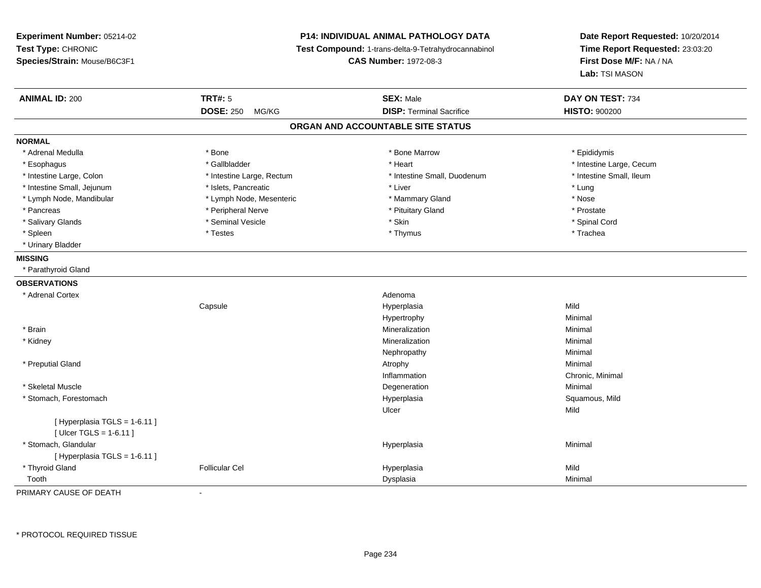# **P14: INDIVIDUAL ANIMAL PATHOLOGY DATA**

**Test Compound:** 1-trans-delta-9-Tetrahydrocannabinol

**CAS Number:** 1972-08-3

**Date Report Requested:** 10/20/2014**Time Report Requested:** 23:03:20**First Dose M/F:** NA / NA**Lab:** TSI MASON

| <b>ANIMAL ID: 200</b>             | <b>TRT#: 5</b>            | <b>SEX: Male</b>                | DAY ON TEST: 734         |  |  |  |
|-----------------------------------|---------------------------|---------------------------------|--------------------------|--|--|--|
|                                   | <b>DOSE: 250</b><br>MG/KG | <b>DISP: Terminal Sacrifice</b> | <b>HISTO: 900200</b>     |  |  |  |
| ORGAN AND ACCOUNTABLE SITE STATUS |                           |                                 |                          |  |  |  |
| <b>NORMAL</b>                     |                           |                                 |                          |  |  |  |
| * Adrenal Medulla                 | * Bone                    | * Bone Marrow                   | * Epididymis             |  |  |  |
| * Esophagus                       | * Gallbladder             | * Heart                         | * Intestine Large, Cecum |  |  |  |
| * Intestine Large, Colon          | * Intestine Large, Rectum | * Intestine Small, Duodenum     | * Intestine Small, Ileum |  |  |  |
| * Intestine Small, Jejunum        | * Islets, Pancreatic      | * Liver                         | * Lung                   |  |  |  |
| * Lymph Node, Mandibular          | * Lymph Node, Mesenteric  | * Mammary Gland                 | * Nose                   |  |  |  |
| * Pancreas                        | * Peripheral Nerve        | * Pituitary Gland               | * Prostate               |  |  |  |
| * Salivary Glands                 | * Seminal Vesicle         | * Skin                          | * Spinal Cord            |  |  |  |
| * Spleen                          | * Testes                  | * Thymus                        | * Trachea                |  |  |  |
| * Urinary Bladder                 |                           |                                 |                          |  |  |  |
| <b>MISSING</b>                    |                           |                                 |                          |  |  |  |
| * Parathyroid Gland               |                           |                                 |                          |  |  |  |
| <b>OBSERVATIONS</b>               |                           |                                 |                          |  |  |  |
| * Adrenal Cortex                  |                           | Adenoma                         |                          |  |  |  |
|                                   | Capsule                   | Hyperplasia                     | Mild                     |  |  |  |
|                                   |                           | Hypertrophy                     | Minimal                  |  |  |  |
| * Brain                           |                           | Mineralization                  | Minimal                  |  |  |  |
| * Kidney                          |                           | Mineralization                  | Minimal                  |  |  |  |
|                                   |                           | Nephropathy                     | Minimal                  |  |  |  |
| * Preputial Gland                 |                           | Atrophy                         | Minimal                  |  |  |  |
|                                   |                           | Inflammation                    | Chronic, Minimal         |  |  |  |
| * Skeletal Muscle                 |                           | Degeneration                    | Minimal                  |  |  |  |
| * Stomach, Forestomach            |                           | Hyperplasia                     | Squamous, Mild           |  |  |  |
|                                   |                           | Ulcer                           | Mild                     |  |  |  |
| [Hyperplasia TGLS = 1-6.11]       |                           |                                 |                          |  |  |  |
| [ Ulcer TGLS = $1-6.11$ ]         |                           |                                 |                          |  |  |  |
| * Stomach, Glandular              |                           | Hyperplasia                     | Minimal                  |  |  |  |
| [Hyperplasia TGLS = 1-6.11]       |                           |                                 |                          |  |  |  |
| * Thyroid Gland                   | <b>Follicular Cel</b>     | Hyperplasia                     | Mild                     |  |  |  |
| Tooth                             |                           | Dysplasia                       | Minimal                  |  |  |  |

PRIMARY CAUSE OF DEATH-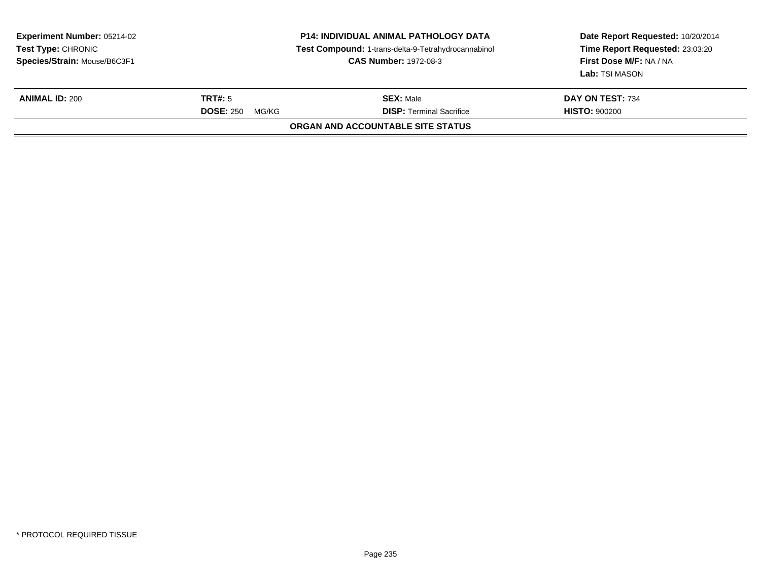| <b>Experiment Number: 05214-02</b><br><b>Test Type: CHRONIC</b><br>Species/Strain: Mouse/B6C3F1 | <b>P14: INDIVIDUAL ANIMAL PATHOLOGY DATA</b><br>Test Compound: 1-trans-delta-9-Tetrahydrocannabinol<br><b>CAS Number: 1972-08-3</b> |                                   | Date Report Requested: 10/20/2014<br>Time Report Requested: 23:03:20<br>First Dose M/F: NA / NA<br>Lab: TSI MASON |
|-------------------------------------------------------------------------------------------------|-------------------------------------------------------------------------------------------------------------------------------------|-----------------------------------|-------------------------------------------------------------------------------------------------------------------|
| <b>ANIMAL ID: 200</b>                                                                           | TRT#: 5                                                                                                                             | <b>SEX: Male</b>                  | DAY ON TEST: 734                                                                                                  |
|                                                                                                 | <b>DOSE: 250</b><br>MG/KG                                                                                                           | <b>DISP: Terminal Sacrifice</b>   | <b>HISTO: 900200</b>                                                                                              |
|                                                                                                 |                                                                                                                                     | ORGAN AND ACCOUNTABLE SITE STATUS |                                                                                                                   |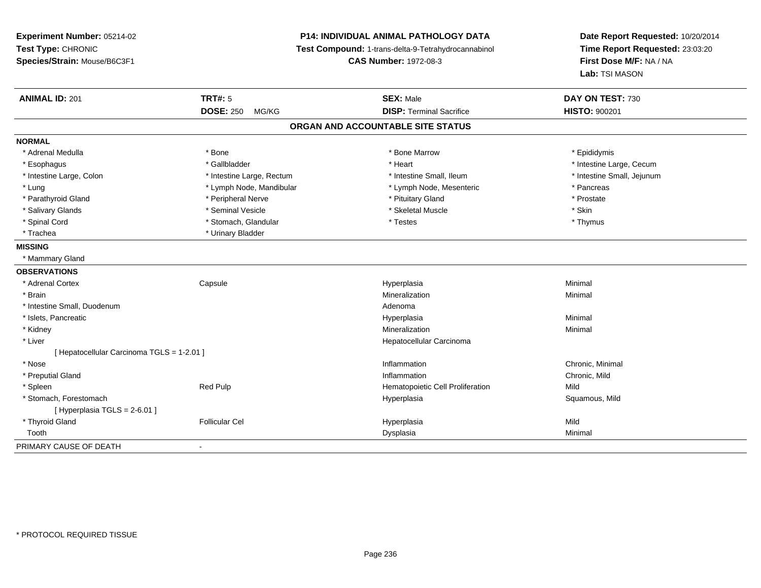## **P14: INDIVIDUAL ANIMAL PATHOLOGY DATA**

**Test Compound:** 1-trans-delta-9-Tetrahydrocannabinol

**CAS Number:** 1972-08-3

| <b>ANIMAL ID: 201</b>                      | <b>TRT#: 5</b>            | <b>SEX: Male</b>                 | DAY ON TEST: 730           |  |  |  |
|--------------------------------------------|---------------------------|----------------------------------|----------------------------|--|--|--|
|                                            | <b>DOSE: 250</b><br>MG/KG | <b>DISP: Terminal Sacrifice</b>  | <b>HISTO: 900201</b>       |  |  |  |
| ORGAN AND ACCOUNTABLE SITE STATUS          |                           |                                  |                            |  |  |  |
| <b>NORMAL</b>                              |                           |                                  |                            |  |  |  |
| * Adrenal Medulla                          | * Bone                    | * Bone Marrow                    | * Epididymis               |  |  |  |
| * Esophagus                                | * Gallbladder             | * Heart                          | * Intestine Large, Cecum   |  |  |  |
| * Intestine Large, Colon                   | * Intestine Large, Rectum | * Intestine Small, Ileum         | * Intestine Small, Jejunum |  |  |  |
| * Lung                                     | * Lymph Node, Mandibular  | * Lymph Node, Mesenteric         | * Pancreas                 |  |  |  |
| * Parathyroid Gland                        | * Peripheral Nerve        | * Pituitary Gland                | * Prostate                 |  |  |  |
| * Salivary Glands                          | * Seminal Vesicle         | * Skeletal Muscle                | * Skin                     |  |  |  |
| * Spinal Cord                              | * Stomach, Glandular      | * Testes                         | * Thymus                   |  |  |  |
| * Trachea                                  | * Urinary Bladder         |                                  |                            |  |  |  |
| <b>MISSING</b>                             |                           |                                  |                            |  |  |  |
| * Mammary Gland                            |                           |                                  |                            |  |  |  |
| <b>OBSERVATIONS</b>                        |                           |                                  |                            |  |  |  |
| * Adrenal Cortex                           | Capsule                   | Hyperplasia                      | Minimal                    |  |  |  |
| * Brain                                    |                           | Mineralization                   | Minimal                    |  |  |  |
| * Intestine Small, Duodenum                |                           | Adenoma                          |                            |  |  |  |
| * Islets, Pancreatic                       |                           | Hyperplasia                      | Minimal                    |  |  |  |
| * Kidney                                   |                           | Mineralization                   | Minimal                    |  |  |  |
| * Liver                                    |                           | Hepatocellular Carcinoma         |                            |  |  |  |
| [ Hepatocellular Carcinoma TGLS = 1-2.01 ] |                           |                                  |                            |  |  |  |
| * Nose                                     |                           | Inflammation                     | Chronic, Minimal           |  |  |  |
| * Preputial Gland                          |                           | Inflammation                     | Chronic, Mild              |  |  |  |
| * Spleen                                   | Red Pulp                  | Hematopoietic Cell Proliferation | Mild                       |  |  |  |
| * Stomach, Forestomach                     |                           | Hyperplasia                      | Squamous, Mild             |  |  |  |
| [Hyperplasia TGLS = $2-6.01$ ]             |                           |                                  |                            |  |  |  |
| * Thyroid Gland                            | <b>Follicular Cel</b>     | Hyperplasia                      | Mild                       |  |  |  |
| Tooth                                      |                           | Dysplasia                        | Minimal                    |  |  |  |
| PRIMARY CAUSE OF DEATH                     | $\blacksquare$            |                                  |                            |  |  |  |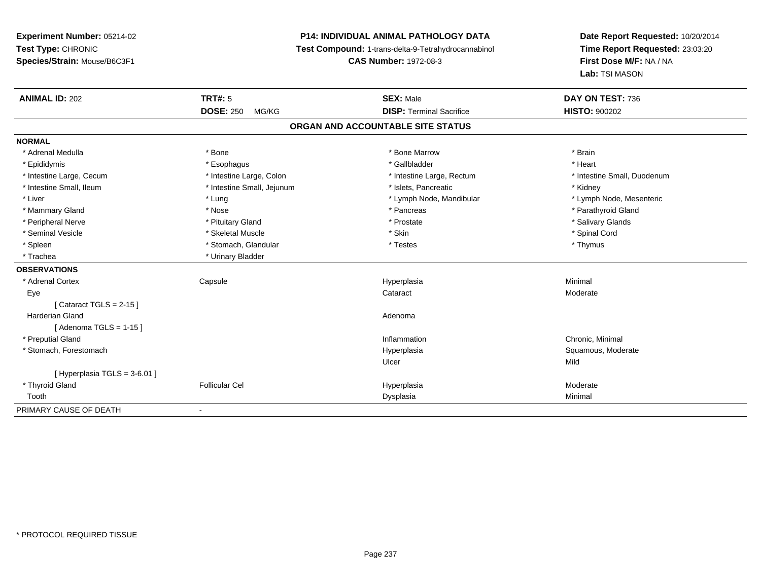# **P14: INDIVIDUAL ANIMAL PATHOLOGY DATA**

**Test Compound:** 1-trans-delta-9-Tetrahydrocannabinol

**CAS Number:** 1972-08-3

| <b>ANIMAL ID: 202</b>       | TRT#: 5                    | <b>SEX: Male</b>                  | DAY ON TEST: 736            |
|-----------------------------|----------------------------|-----------------------------------|-----------------------------|
|                             | <b>DOSE: 250</b><br>MG/KG  | <b>DISP: Terminal Sacrifice</b>   | <b>HISTO: 900202</b>        |
|                             |                            | ORGAN AND ACCOUNTABLE SITE STATUS |                             |
| <b>NORMAL</b>               |                            |                                   |                             |
| * Adrenal Medulla           | * Bone                     | * Bone Marrow                     | * Brain                     |
| * Epididymis                | * Esophagus                | * Gallbladder                     | * Heart                     |
| * Intestine Large, Cecum    | * Intestine Large, Colon   | * Intestine Large, Rectum         | * Intestine Small, Duodenum |
| * Intestine Small, Ileum    | * Intestine Small, Jejunum | * Islets, Pancreatic              | * Kidney                    |
| * Liver                     | * Lung                     | * Lymph Node, Mandibular          | * Lymph Node, Mesenteric    |
| * Mammary Gland             | * Nose                     | * Pancreas                        | * Parathyroid Gland         |
| * Peripheral Nerve          | * Pituitary Gland          | * Prostate                        | * Salivary Glands           |
| * Seminal Vesicle           | * Skeletal Muscle          | * Skin                            | * Spinal Cord               |
| * Spleen                    | * Stomach, Glandular       | * Testes                          | * Thymus                    |
| * Trachea                   | * Urinary Bladder          |                                   |                             |
| <b>OBSERVATIONS</b>         |                            |                                   |                             |
| * Adrenal Cortex            | Capsule                    | Hyperplasia                       | Minimal                     |
| Eye                         |                            | Cataract                          | Moderate                    |
| [Cataract TGLS = $2-15$ ]   |                            |                                   |                             |
| <b>Harderian Gland</b>      |                            | Adenoma                           |                             |
| [Adenoma TGLS = $1-15$ ]    |                            |                                   |                             |
| * Preputial Gland           |                            | Inflammation                      | Chronic, Minimal            |
| * Stomach, Forestomach      |                            | Hyperplasia                       | Squamous, Moderate          |
|                             |                            | Ulcer                             | Mild                        |
| [Hyperplasia TGLS = 3-6.01] |                            |                                   |                             |
| * Thyroid Gland             | <b>Follicular Cel</b>      | Hyperplasia                       | Moderate                    |
| Tooth                       |                            | Dysplasia                         | Minimal                     |
| PRIMARY CAUSE OF DEATH      | $\overline{\phantom{a}}$   |                                   |                             |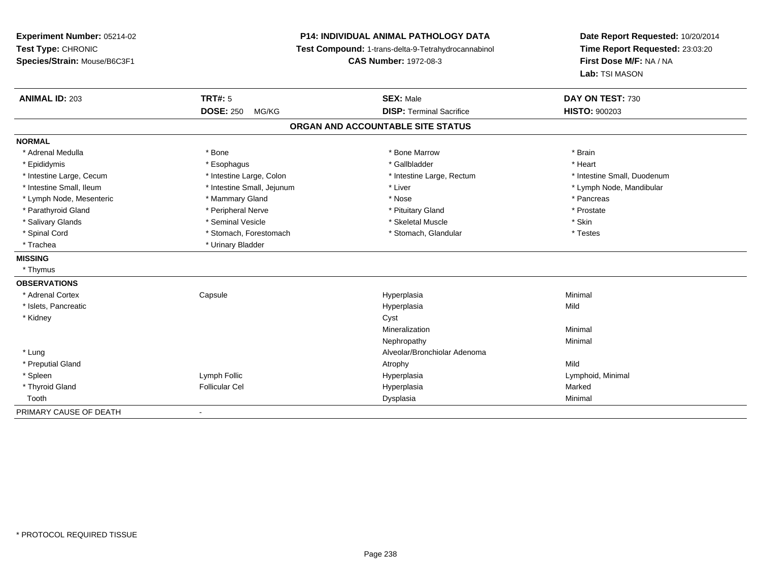**Experiment Number:** 05214-02**Test Type:** CHRONIC **Species/Strain:** Mouse/B6C3F1**P14: INDIVIDUAL ANIMAL PATHOLOGY DATA Test Compound:** 1-trans-delta-9-Tetrahydrocannabinol **CAS Number:** 1972-08-3**Date Report Requested:** 10/20/2014**Time Report Requested:** 23:03:20**First Dose M/F:** NA / NA**Lab:** TSI MASON**ANIMAL ID:** 203**TRT#:** 5 **SEX:** Male **DAY ON TEST:** 730 **DOSE:** 250 MG/KG **DISP:** Terminal Sacrifice **HISTO:** <sup>900203</sup> **ORGAN AND ACCOUNTABLE SITE STATUSNORMAL**\* Adrenal Medulla \* \* Annual Medulla \* Brain \* Bone \* \* Bone Marrow \* Bone Marrow \* \* Brain \* Brain \* Brain \* Brain \* Brain \* Brain \* Brain \* Brain \* Brain \* Brain \* Brain \* Brain \* Brain \* Brain \* Brain \* Brain \* Brain \* \* Heart \* Epididymis \* Esophagus \* Gallbladder \* Heart\* Intestine Large, Cecum \* Intestine Large, Colon \* Intestine Large, Rectum \* Intestine Small, Duodenum \* Intestine Small, Ileum \* \* Thestine Small, Jejunum \* Liver \* Liver \* Liver \* Thestine Small, Nejunum \* Lymph Node, Mandibular \* Lymph Node, Mesenteric \* \* The mannery Gland \* Mammary Gland \* Nose \* Nose \* \* Pancreas \* Pancreas \* Pancreas \* Prostate \* Parathyroid Gland \* **All and \* Peripheral Nerve \* Prostate \* Prostate \* Pituitary Gland \*** Pituitary Gland \* Salivary Glands \* Seminal Vesicle \* Skeletal Muscle \* Skin\* Testes \* Spinal Cord **\*** Stomach, Forestomach \* Stomach, Spinal Cord \* Stomach, Glandular \* Testess \* Stomach, Glandular \* Trachea \* Urinary Bladder**MISSING** \* Thymus**OBSERVATIONS** \* Adrenal Cortex Capsule Hyperplasia Minimal \* Islets, Pancreaticc and the contract of the contract of the contract of the contract of the contract of the contract of the contract of the contract of the contract of the contract of the contract of the contract of the contract of the cont a Mild \* Kidneyy control of the control of the control of the control of the control of the control of the control of the control of the control of the control of the control of the control of the control of the control of the control of Mineralizationn Minimal Nephropathyy the contract of the Minimal Minimal Section 1996 and the contract of the Minimal Section 1997 and the contract of the contract of the contract of the contract of the contract of the contract of the contract of the contra \* Lung Alveolar/Bronchiolar Adenoma \* Preputial Glandd and the control of the control of the control of the control of the control of the control of the control of the control of the control of the control of the control of the control of the control of the control of the co \* Spleen Lymph Follic Hyperplasia Lymphoid, Minimal \* Thyroid Gland Follicular Cel Hyperplasia Marked Toothh ann an t-aisim a bha ann an t-aisim a bha ann an t-aisim a bha ann an t-aisim a bha ann an t-aisim a bha ann an t-aisim a bha ann an t-aisim a bha ann an t-aisim a bha ann an t-aisim a bha ann an t-aisim a bha ann an t-a PRIMARY CAUSE OF DEATH-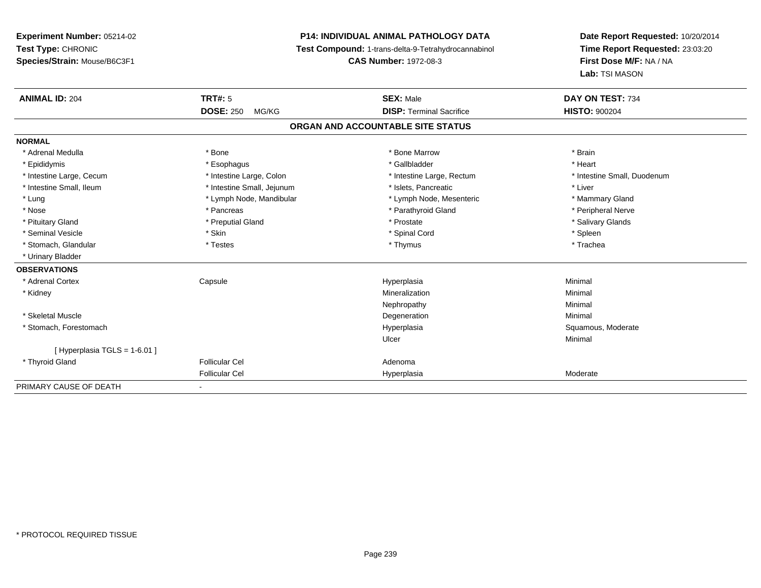## **P14: INDIVIDUAL ANIMAL PATHOLOGY DATA**

**Test Compound:** 1-trans-delta-9-Tetrahydrocannabinol

**CAS Number:** 1972-08-3

| <b>ANIMAL ID: 204</b>       | TRT#: 5                    | <b>SEX: Male</b>                  | DAY ON TEST: 734            |  |
|-----------------------------|----------------------------|-----------------------------------|-----------------------------|--|
|                             | <b>DOSE: 250</b><br>MG/KG  | <b>DISP: Terminal Sacrifice</b>   | <b>HISTO: 900204</b>        |  |
|                             |                            | ORGAN AND ACCOUNTABLE SITE STATUS |                             |  |
| <b>NORMAL</b>               |                            |                                   |                             |  |
| * Adrenal Medulla           | * Bone                     | * Bone Marrow                     | * Brain                     |  |
| * Epididymis                | * Esophagus                | * Gallbladder                     | * Heart                     |  |
| * Intestine Large, Cecum    | * Intestine Large, Colon   | * Intestine Large, Rectum         | * Intestine Small, Duodenum |  |
| * Intestine Small, Ileum    | * Intestine Small, Jejunum | * Islets, Pancreatic              | * Liver                     |  |
| * Lung                      | * Lymph Node, Mandibular   | * Lymph Node, Mesenteric          | * Mammary Gland             |  |
| * Nose                      | * Pancreas                 | * Parathyroid Gland               | * Peripheral Nerve          |  |
| * Pituitary Gland           | * Preputial Gland          | * Prostate                        | * Salivary Glands           |  |
| * Seminal Vesicle           | * Skin                     | * Spinal Cord                     | * Spleen                    |  |
| * Stomach, Glandular        | * Testes                   | * Thymus                          | * Trachea                   |  |
| * Urinary Bladder           |                            |                                   |                             |  |
| <b>OBSERVATIONS</b>         |                            |                                   |                             |  |
| * Adrenal Cortex            | Capsule                    | Hyperplasia                       | Minimal                     |  |
| * Kidney                    |                            | Mineralization                    | Minimal                     |  |
|                             |                            | Nephropathy                       | Minimal                     |  |
| * Skeletal Muscle           |                            | Degeneration                      | Minimal                     |  |
| * Stomach, Forestomach      |                            | Hyperplasia                       | Squamous, Moderate          |  |
|                             |                            | Ulcer                             | Minimal                     |  |
| [Hyperplasia TGLS = 1-6.01] |                            |                                   |                             |  |
| * Thyroid Gland             | <b>Follicular Cel</b>      | Adenoma                           |                             |  |
|                             | <b>Follicular Cel</b>      | Hyperplasia                       | Moderate                    |  |
| PRIMARY CAUSE OF DEATH      | $\overline{\phantom{a}}$   |                                   |                             |  |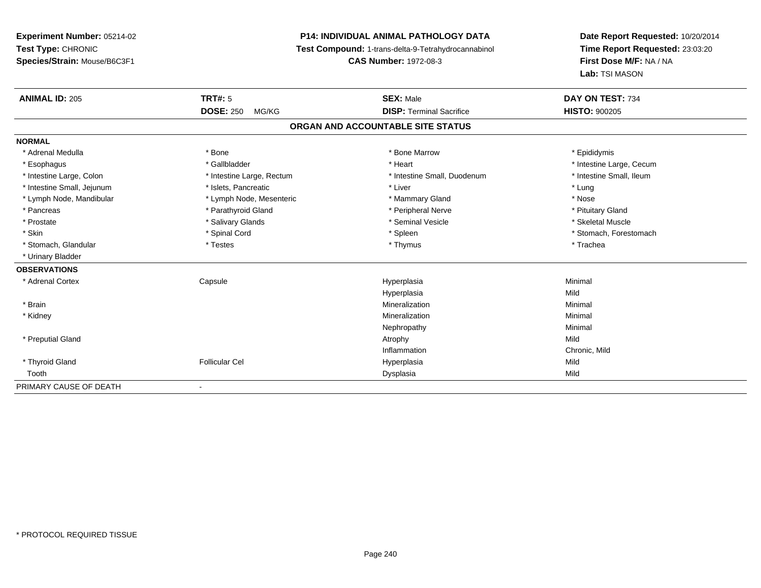# **P14: INDIVIDUAL ANIMAL PATHOLOGY DATA**

**Test Compound:** 1-trans-delta-9-Tetrahydrocannabinol

**CAS Number:** 1972-08-3

| <b>ANIMAL ID: 205</b>      | <b>TRT#: 5</b>            | <b>SEX: Male</b>                  | DAY ON TEST: 734         |  |
|----------------------------|---------------------------|-----------------------------------|--------------------------|--|
|                            | <b>DOSE: 250</b><br>MG/KG | <b>DISP: Terminal Sacrifice</b>   | <b>HISTO: 900205</b>     |  |
|                            |                           | ORGAN AND ACCOUNTABLE SITE STATUS |                          |  |
| <b>NORMAL</b>              |                           |                                   |                          |  |
| * Adrenal Medulla          | * Bone                    | * Bone Marrow                     | * Epididymis             |  |
| * Esophagus                | * Gallbladder             | * Heart                           | * Intestine Large, Cecum |  |
| * Intestine Large, Colon   | * Intestine Large, Rectum | * Intestine Small, Duodenum       | * Intestine Small, Ileum |  |
| * Intestine Small, Jejunum | * Islets, Pancreatic      | * Liver                           | * Lung                   |  |
| * Lymph Node, Mandibular   | * Lymph Node, Mesenteric  | * Mammary Gland                   | * Nose                   |  |
| * Pancreas                 | * Parathyroid Gland       | * Peripheral Nerve                | * Pituitary Gland        |  |
| * Prostate                 | * Salivary Glands         | * Seminal Vesicle                 | * Skeletal Muscle        |  |
| * Skin                     | * Spinal Cord             | * Spleen                          | * Stomach, Forestomach   |  |
| * Stomach, Glandular       | * Testes                  | * Thymus                          | * Trachea                |  |
| * Urinary Bladder          |                           |                                   |                          |  |
| <b>OBSERVATIONS</b>        |                           |                                   |                          |  |
| * Adrenal Cortex           | Capsule                   | Hyperplasia                       | Minimal                  |  |
|                            |                           | Hyperplasia                       | Mild                     |  |
| * Brain                    |                           | Mineralization                    | Minimal                  |  |
| * Kidney                   |                           | Mineralization                    | Minimal                  |  |
|                            |                           | Nephropathy                       | Minimal                  |  |
| * Preputial Gland          |                           | Atrophy                           | Mild                     |  |
|                            |                           | Inflammation                      | Chronic, Mild            |  |
| * Thyroid Gland            | <b>Follicular Cel</b>     | Hyperplasia                       | Mild                     |  |
| Tooth                      |                           | Dysplasia                         | Mild                     |  |
| PRIMARY CAUSE OF DEATH     |                           |                                   |                          |  |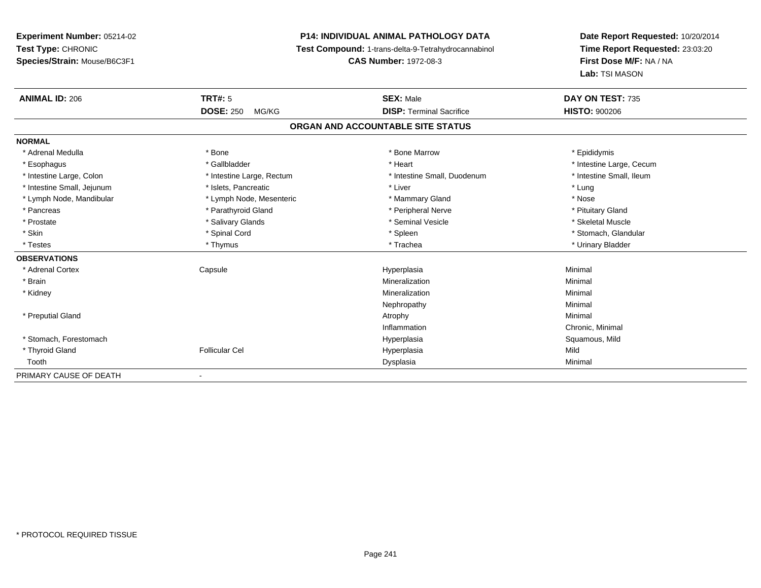# **P14: INDIVIDUAL ANIMAL PATHOLOGY DATA**

**Test Compound:** 1-trans-delta-9-Tetrahydrocannabinol

**CAS Number:** 1972-08-3

| <b>ANIMAL ID: 206</b>      | <b>TRT#: 5</b>            | <b>SEX: Male</b>                  | DAY ON TEST: 735         |  |
|----------------------------|---------------------------|-----------------------------------|--------------------------|--|
|                            | <b>DOSE: 250</b><br>MG/KG | <b>DISP: Terminal Sacrifice</b>   | <b>HISTO: 900206</b>     |  |
|                            |                           | ORGAN AND ACCOUNTABLE SITE STATUS |                          |  |
| <b>NORMAL</b>              |                           |                                   |                          |  |
| * Adrenal Medulla          | * Bone                    | * Bone Marrow                     | * Epididymis             |  |
| * Esophagus                | * Gallbladder             | * Heart                           | * Intestine Large, Cecum |  |
| * Intestine Large, Colon   | * Intestine Large, Rectum | * Intestine Small, Duodenum       | * Intestine Small. Ileum |  |
| * Intestine Small, Jejunum | * Islets, Pancreatic      | * Liver                           | * Lung                   |  |
| * Lymph Node, Mandibular   | * Lymph Node, Mesenteric  | * Mammary Gland                   | * Nose                   |  |
| * Pancreas                 | * Parathyroid Gland       | * Peripheral Nerve                | * Pituitary Gland        |  |
| * Prostate                 | * Salivary Glands         | * Seminal Vesicle                 | * Skeletal Muscle        |  |
| * Skin                     | * Spinal Cord             | * Spleen                          | * Stomach, Glandular     |  |
| * Testes                   | * Thymus                  | * Trachea                         | * Urinary Bladder        |  |
| <b>OBSERVATIONS</b>        |                           |                                   |                          |  |
| * Adrenal Cortex           | Capsule                   | Hyperplasia                       | Minimal                  |  |
| * Brain                    |                           | Mineralization                    | Minimal                  |  |
| * Kidney                   |                           | Mineralization                    | Minimal                  |  |
|                            |                           | Nephropathy                       | Minimal                  |  |
| * Preputial Gland          |                           | Atrophy                           | Minimal                  |  |
|                            |                           | Inflammation                      | Chronic, Minimal         |  |
| * Stomach, Forestomach     |                           | Hyperplasia                       | Squamous, Mild           |  |
| * Thyroid Gland            | <b>Follicular Cel</b>     | Hyperplasia                       | Mild                     |  |
| Tooth                      |                           | Dysplasia                         | Minimal                  |  |
| PRIMARY CAUSE OF DEATH     |                           |                                   |                          |  |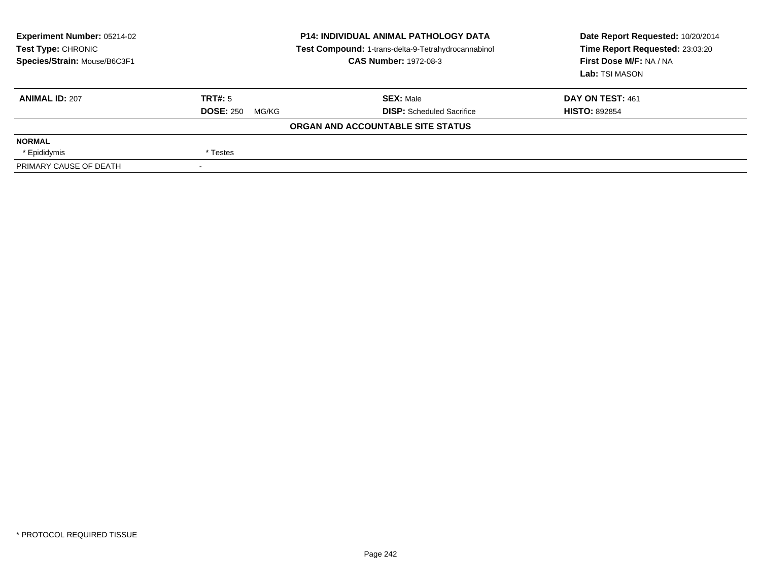| <b>Experiment Number: 05214-02</b><br>Test Type: CHRONIC<br>Species/Strain: Mouse/B6C3F1 | <b>P14: INDIVIDUAL ANIMAL PATHOLOGY DATA</b><br>Test Compound: 1-trans-delta-9-Tetrahydrocannabinol<br><b>CAS Number: 1972-08-3</b> |                                   | Date Report Requested: 10/20/2014<br>Time Report Requested: 23:03:20<br>First Dose M/F: NA / NA<br>Lab: TSI MASON |
|------------------------------------------------------------------------------------------|-------------------------------------------------------------------------------------------------------------------------------------|-----------------------------------|-------------------------------------------------------------------------------------------------------------------|
| <b>ANIMAL ID: 207</b>                                                                    | TRT#: 5                                                                                                                             | <b>SEX: Male</b>                  | DAY ON TEST: 461                                                                                                  |
|                                                                                          | <b>DOSE: 250</b><br>MG/KG                                                                                                           | <b>DISP:</b> Scheduled Sacrifice  | <b>HISTO: 892854</b>                                                                                              |
|                                                                                          |                                                                                                                                     | ORGAN AND ACCOUNTABLE SITE STATUS |                                                                                                                   |
| <b>NORMAL</b>                                                                            |                                                                                                                                     |                                   |                                                                                                                   |
| * Epididymis                                                                             | * Testes                                                                                                                            |                                   |                                                                                                                   |
| PRIMARY CAUSE OF DEATH                                                                   |                                                                                                                                     |                                   |                                                                                                                   |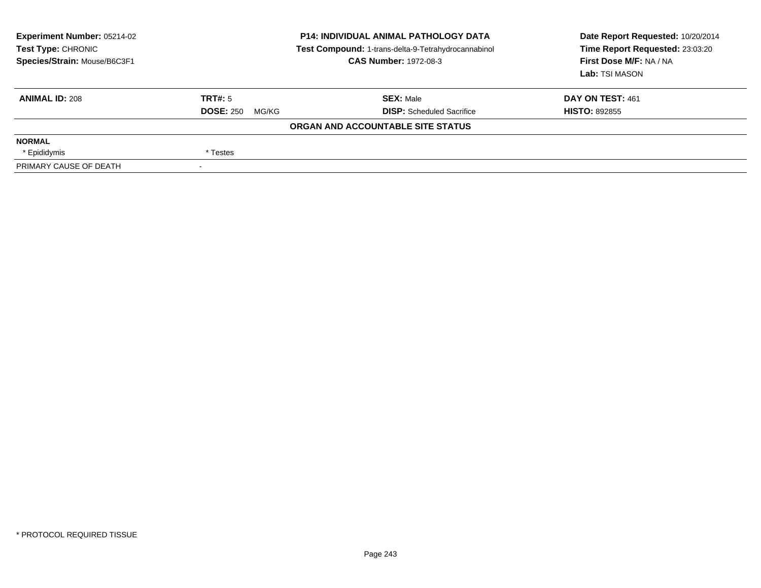| <b>Experiment Number: 05214-02</b><br>Test Type: CHRONIC<br>Species/Strain: Mouse/B6C3F1 | <b>P14: INDIVIDUAL ANIMAL PATHOLOGY DATA</b><br>Test Compound: 1-trans-delta-9-Tetrahydrocannabinol<br><b>CAS Number: 1972-08-3</b> |                                   | Date Report Requested: 10/20/2014<br>Time Report Requested: 23:03:20<br>First Dose M/F: NA / NA<br>Lab: TSI MASON |  |
|------------------------------------------------------------------------------------------|-------------------------------------------------------------------------------------------------------------------------------------|-----------------------------------|-------------------------------------------------------------------------------------------------------------------|--|
| <b>ANIMAL ID: 208</b>                                                                    | TRT#: 5                                                                                                                             | <b>SEX: Male</b>                  | DAY ON TEST: 461                                                                                                  |  |
|                                                                                          | <b>DOSE: 250</b><br>MG/KG                                                                                                           | <b>DISP:</b> Scheduled Sacrifice  | <b>HISTO: 892855</b>                                                                                              |  |
|                                                                                          |                                                                                                                                     | ORGAN AND ACCOUNTABLE SITE STATUS |                                                                                                                   |  |
| <b>NORMAL</b>                                                                            |                                                                                                                                     |                                   |                                                                                                                   |  |
| * Epididymis                                                                             | * Testes                                                                                                                            |                                   |                                                                                                                   |  |
| PRIMARY CAUSE OF DEATH                                                                   |                                                                                                                                     |                                   |                                                                                                                   |  |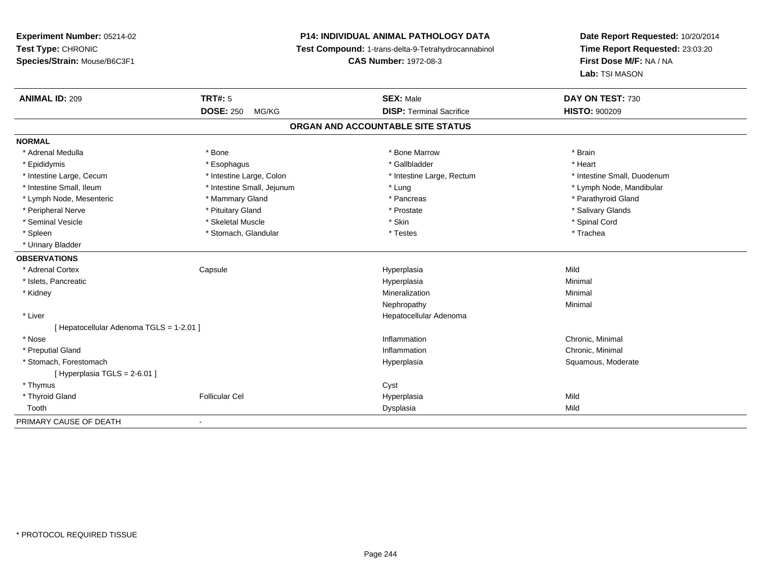## **P14: INDIVIDUAL ANIMAL PATHOLOGY DATA**

**Test Compound:** 1-trans-delta-9-Tetrahydrocannabinol

**CAS Number:** 1972-08-3

| <b>ANIMAL ID: 209</b>                  | TRT#: 5                    | <b>SEX: Male</b>                | DAY ON TEST: 730            |  |  |  |
|----------------------------------------|----------------------------|---------------------------------|-----------------------------|--|--|--|
|                                        | <b>DOSE: 250</b><br>MG/KG  | <b>DISP: Terminal Sacrifice</b> | <b>HISTO: 900209</b>        |  |  |  |
| ORGAN AND ACCOUNTABLE SITE STATUS      |                            |                                 |                             |  |  |  |
| <b>NORMAL</b>                          |                            |                                 |                             |  |  |  |
| * Adrenal Medulla                      | * Bone                     | * Bone Marrow                   | * Brain                     |  |  |  |
| * Epididymis                           | * Esophagus                | * Gallbladder                   | * Heart                     |  |  |  |
| * Intestine Large, Cecum               | * Intestine Large, Colon   | * Intestine Large, Rectum       | * Intestine Small, Duodenum |  |  |  |
| * Intestine Small, Ileum               | * Intestine Small, Jejunum | * Lung                          | * Lymph Node, Mandibular    |  |  |  |
| * Lymph Node, Mesenteric               | * Mammary Gland            | * Pancreas                      | * Parathyroid Gland         |  |  |  |
| * Peripheral Nerve                     | * Pituitary Gland          | * Prostate                      | * Salivary Glands           |  |  |  |
| * Seminal Vesicle                      | * Skeletal Muscle          | * Skin                          | * Spinal Cord               |  |  |  |
| * Spleen                               | * Stomach, Glandular       | * Testes                        | * Trachea                   |  |  |  |
| * Urinary Bladder                      |                            |                                 |                             |  |  |  |
| <b>OBSERVATIONS</b>                    |                            |                                 |                             |  |  |  |
| * Adrenal Cortex                       | Capsule                    | Hyperplasia                     | Mild                        |  |  |  |
| * Islets, Pancreatic                   |                            | Hyperplasia                     | Minimal                     |  |  |  |
| * Kidney                               |                            | Mineralization                  | Minimal                     |  |  |  |
|                                        |                            | Nephropathy                     | Minimal                     |  |  |  |
| * Liver                                |                            | Hepatocellular Adenoma          |                             |  |  |  |
| [Hepatocellular Adenoma TGLS = 1-2.01] |                            |                                 |                             |  |  |  |
| * Nose                                 |                            | Inflammation                    | Chronic, Minimal            |  |  |  |
| * Preputial Gland                      |                            | Inflammation                    | Chronic, Minimal            |  |  |  |
| * Stomach, Forestomach                 |                            | Hyperplasia                     | Squamous, Moderate          |  |  |  |
| [ Hyperplasia TGLS = 2-6.01 ]          |                            |                                 |                             |  |  |  |
| * Thymus                               |                            | Cyst                            |                             |  |  |  |
| * Thyroid Gland                        | <b>Follicular Cel</b>      | Hyperplasia                     | Mild                        |  |  |  |
| Tooth                                  |                            | Dysplasia                       | Mild                        |  |  |  |
| PRIMARY CAUSE OF DEATH                 | $\blacksquare$             |                                 |                             |  |  |  |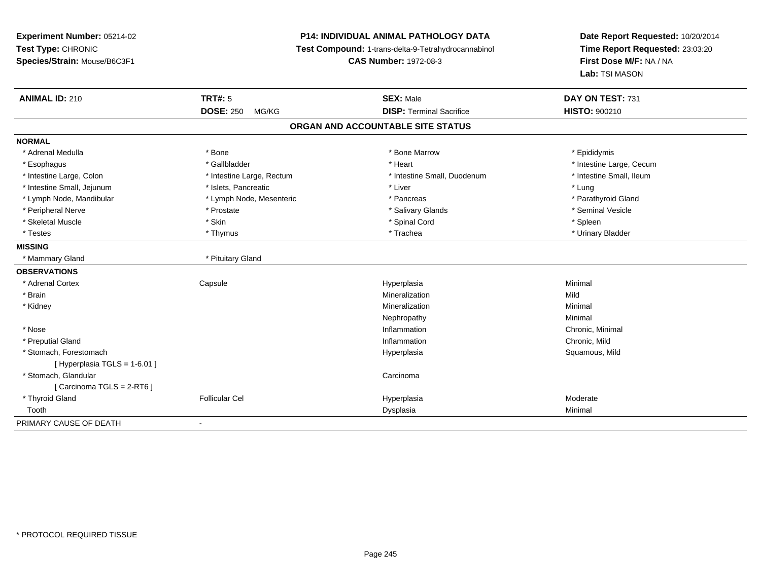**Experiment Number:** 05214-02**Test Type:** CHRONIC **Species/Strain:** Mouse/B6C3F1**P14: INDIVIDUAL ANIMAL PATHOLOGY DATA Test Compound:** 1-trans-delta-9-Tetrahydrocannabinol **CAS Number:** 1972-08-3**Date Report Requested:** 10/20/2014**Time Report Requested:** 23:03:20**First Dose M/F:** NA / NA**Lab:** TSI MASON**ANIMAL ID:** 210**C TRT#:** 5 **SEX:** Male **DAY ON TEST:** 731 **DOSE:** 250 MG/KG**DISP:** Terminal Sacrifice **HISTO:**  $900210$ **ORGAN AND ACCOUNTABLE SITE STATUSNORMAL**\* Adrenal Medulla \* Adrenal Medulla \* \* The matter of the state of the state of the Marrow \* Bone Marrow \* Adrenal Medulla \* Epididymis \* Epididymis \* Bone Marrow \* Adrenal Medulla \* Epididymis \* Epididymis \* Epididymis \* Epididymis \* Epidi \* Esophagus \* https://www.fragustage.com/web/2019/heart \* Heart \* Heart \* Heart \* Intestine Large, Cecum \* Intestine Large, Cecum \* Gallbladder \* Callbladder \* 11 and 12 and 12 and 12 and 12 and 12 and 12 and 12 and 12 and \* Intestine Small, Ileum \* Intestine Large, Colon \* Intestine Large, Rectum \* Intestine Small, Duodenum \* Intestine Small, Duodenum \* Intestine Small, Jejunum \* 1997 \* The state of the state of the state of the state of the state of the state  $\sim$  \* Lung \* Lung \* Lung \* Lung \* Lung \* Lung \* Lung \* Lung \* Lung \* Lung \* Lung \* Lung \* Lung \* Lung \* Lung \* \* Parathyroid Gland \* Lymph Node, Mandibular \* Lymph Node, Mesenteric \* Pancreas \* Pancreas \* Pancreas \* Pancreas \* Pancreas \* Pancreas \* Pancreas \* Pancreas \* Pancreas \* Pancreas \* Pancreas \* Pancreas \* Pancreas \* Pancreas \* Pancreas \* Pancr \* Peripheral Nerve \* \* Annual Vesicle \* \* Prostate \* \* Salivary Glands \* \* Salivary Glands \* \* Seminal Vesicle \* Skeletal Muscle \* Skin \* Spinal Cord \* Spleen \* Urinary Bladder \* Testes \* Thymus \* Trachea \* Urinary Bladder **MISSING** \* Mammary Gland \* Pituitary Gland**OBSERVATIONS** \* Adrenal Cortex**Capsule**  Hyperplasia Minimal \* Brainn and the control of the control of the control of the control of the control of the control of the control of the control of the control of the control of the control of the control of the control of the control of the co \* Kidneyy with the control of the control of the control of the control of the control of the control of the control of the control of the control of the control of the control of the control of the control of the control of the c n Minimal Nephropathyy the contract of the Minimal Minimal Section 1996 and the contract of the Minimal Section 1997 and the contract of the contract of the contract of the contract of the contract of the contract of the contract of the contra \* Nosee the contraction of the contraction of the contraction of the contraction of the chronic, Minimal on the chronic, Minimal or  $\mathbb{R}^n$  \* Preputial Glandd
and **d**and **d**chronic, Mild
come of the contract of the contract of the contract of the contract of the contract of the contract of the contract of the contract of the contract of the contract of the contract of the co \* Stomach, Forestomachh ann an t-ìre ann am San Amhaidh ann an t-ìre ann am Mhearpasia ann an San Aonaichte ann an Saluamous, Mild a [ Hyperplasia TGLS = 1-6.01 ] \* Stomach, Glandularr and the contract of the contract of the contract of the contract of the contract of the contract of the contract of the contract of the contract of the contract of the contract of the contract of the contract of the cont [ Carcinoma TGLS = 2-RT6 ] \* Thyroid Gland Follicular Cel Hyperplasia Moderate Toothh ann an t-aisim a bha ann an t-aisim a bha ann an t-aisim a bha ann an t-aisim a bha ann an t-aisim a bha ann an t-aisim a bha ann an t-aisim a bha ann an t-aisim a bha ann an t-aisim a bha ann an t-aisim a bha ann an t-a PRIMARY CAUSE OF DEATH-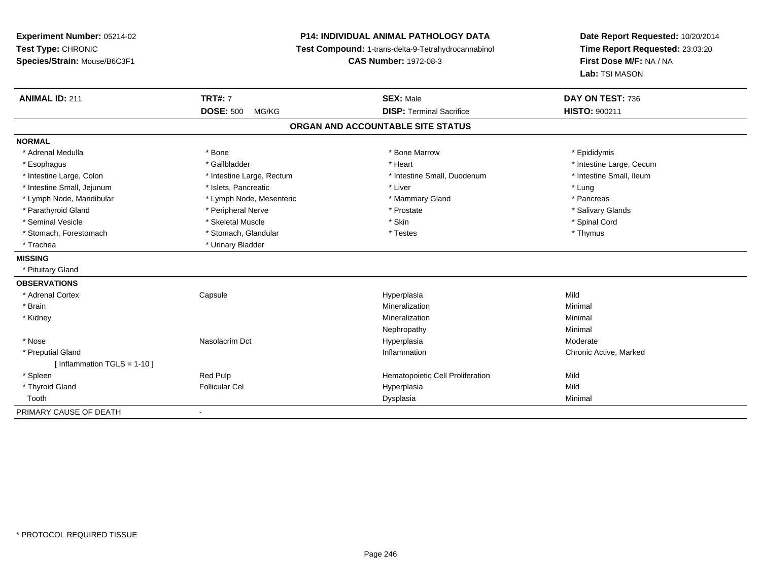**Experiment Number:** 05214-02**Test Type:** CHRONIC **Species/Strain:** Mouse/B6C3F1**P14: INDIVIDUAL ANIMAL PATHOLOGY DATA Test Compound:** 1-trans-delta-9-Tetrahydrocannabinol **CAS Number:** 1972-08-3**Date Report Requested:** 10/20/2014**Time Report Requested:** 23:03:20**First Dose M/F:** NA / NA**Lab:** TSI MASON**ANIMAL ID:** 211**TRT#:** 7 **SEX:** Male **DAY ON TEST:** 736 **DOSE:** 500 MG/KG**DISP:** Terminal Sacrifice **HISTO:** 900211 **ORGAN AND ACCOUNTABLE SITE STATUSNORMAL**\* Adrenal Medulla \* Adrenal Medulla \* \* The matter of the state of the state of the Marrow \* Bone Marrow \* Adrenal Medulla \* Epididymis \* Epididymis \* Bone Marrow \* Adrenal Medulla \* Epididymis \* Epididymis \* Epididymis \* Epididymis \* Epidi \* Esophagus \* https://www.fragustage.com/web/2019/heart \* Heart \* Heart \* Heart \* Intestine Large, Cecum \* Intestine Large, Cecum \* Gallbladder \* Callbladder \* 11 and 12 and 12 and 12 and 12 and 12 and 12 and 12 and 12 and \* Intestine Small, Ileum \* Intestine Large, Colon \* Intestine Large, Rectum \* Intestine Small, Duodenum \* Intestine Small, Duodenum \* Intestine Small, Jejunum \* 1997 \* The state of the state of the state of the state of the state of the state  $*$  Lung \* Pancreas \* Lymph Node, Mandibular \* Lymph Node, Mesenteric \* Mammary Gland \* Mammary Gland \* Salivary Glands \* Parathyroid Gland \* \* Andrew \* Peripheral Nerve \* \* Prostate \* \* Prostate \* \* Salivary Glands \* Salivary Glands \* Salivary Glands \* Salivary Glands \* Salivary Glands \* Salivary Glands \* Salivary Glands \* Salivary Glands \* Seminal Vesicle \* \* Spinal Cord \* Skeletal Muscle \* \* Skin \* \* Skin \* \* Spinal Vesicle \* Spinal Cord \* Spinal Cord \* Stomach, Forestomach \* Thymus \* Stomach, Glandular \* Testes \* Testes \* Thymus \* Thymus \* Thymus \* Trachea **\*** Urinary Bladder **MISSING** \* Pituitary Gland**OBSERVATIONS** \* Adrenal Cortex Capsule Hyperplasia Mild \* Brainn and the controller of the controller of the controller of the Mineralization and the controller of the Minimal \* Kidneyy with the control of the control of the control of the control of the control of the control of the control of the control of the control of the control of the control of the control of the control of the control of the c n Minimal Nephropathyy the contract of the Minimal Minimal Section 1996 and the contract of the Minimal Section 1997 and the contract of the contract of the contract of the contract of the contract of the contract of the contract of the contra \* Nose Nasolacrim Dct Hyperplasia Moderate \* Preputial Glandd the controller controller controller that the controller controller controller controller controller controller controller controller controller controller controller controller controller controller controller controlle [ Inflammation TGLS = 1-10 ] \* SpleenRed Pulp Mild<br>Follicular Cell Nild Hematopoietic Cell Proliferation Mild<br>Mild Hyperplasia \* Thyroid Gland Follicular Cel Hyperplasia Mild Toothh ann an t-aisim a bha ann an t-aisim a bha ann an t-aisim a bha ann an t-aisim a bha ann an t-aisim a bha ann an t-aisim a bha ann an t-aisim a bha ann an t-aisim a bha ann an t-aisim a bha ann an t-aisim a bha ann an t-a

PRIMARY CAUSE OF DEATH-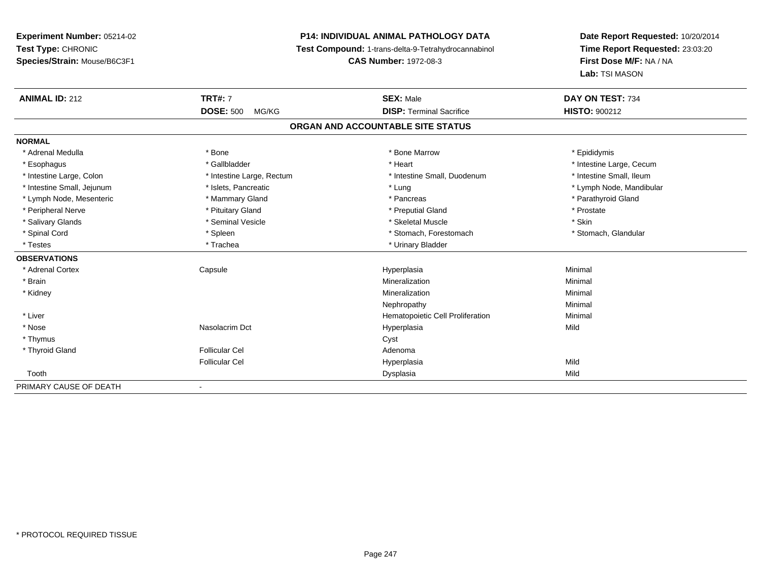## **P14: INDIVIDUAL ANIMAL PATHOLOGY DATA**

**Test Compound:** 1-trans-delta-9-Tetrahydrocannabinol

**CAS Number:** 1972-08-3

| <b>ANIMAL ID: 212</b>      | <b>TRT#: 7</b><br><b>DOSE: 500</b><br>MG/KG | <b>SEX: Male</b><br><b>DISP: Terminal Sacrifice</b> | DAY ON TEST: 734<br><b>HISTO: 900212</b> |
|----------------------------|---------------------------------------------|-----------------------------------------------------|------------------------------------------|
|                            |                                             |                                                     |                                          |
| <b>NORMAL</b>              |                                             |                                                     |                                          |
| * Adrenal Medulla          | * Bone                                      | * Bone Marrow                                       | * Epididymis                             |
| * Esophagus                | * Gallbladder                               | * Heart                                             | * Intestine Large, Cecum                 |
| * Intestine Large, Colon   | * Intestine Large, Rectum                   | * Intestine Small, Duodenum                         | * Intestine Small, Ileum                 |
| * Intestine Small, Jejunum | * Islets, Pancreatic                        | * Lung                                              | * Lymph Node, Mandibular                 |
| * Lymph Node, Mesenteric   | * Mammary Gland                             | * Pancreas                                          | * Parathyroid Gland                      |
| * Peripheral Nerve         | * Pituitary Gland                           | * Preputial Gland                                   | * Prostate                               |
| * Salivary Glands          | * Seminal Vesicle                           | * Skeletal Muscle                                   | * Skin                                   |
| * Spinal Cord              | * Spleen                                    | * Stomach, Forestomach                              | * Stomach, Glandular                     |
| * Testes                   | * Trachea                                   | * Urinary Bladder                                   |                                          |
| <b>OBSERVATIONS</b>        |                                             |                                                     |                                          |
| * Adrenal Cortex           | Capsule                                     | Hyperplasia                                         | Minimal                                  |
| * Brain                    |                                             | Mineralization                                      | Minimal                                  |
| * Kidney                   |                                             | Mineralization                                      | Minimal                                  |
|                            |                                             | Nephropathy                                         | Minimal                                  |
| * Liver                    |                                             | Hematopoietic Cell Proliferation                    | Minimal                                  |
| * Nose                     | Nasolacrim Dct                              | Hyperplasia                                         | Mild                                     |
| * Thymus                   |                                             | Cyst                                                |                                          |
| * Thyroid Gland            | <b>Follicular Cel</b>                       | Adenoma                                             |                                          |
|                            | <b>Follicular Cel</b>                       | Hyperplasia                                         | Mild                                     |
| Tooth                      |                                             | Dysplasia                                           | Mild                                     |
| PRIMARY CAUSE OF DEATH     | $\overline{\phantom{a}}$                    |                                                     |                                          |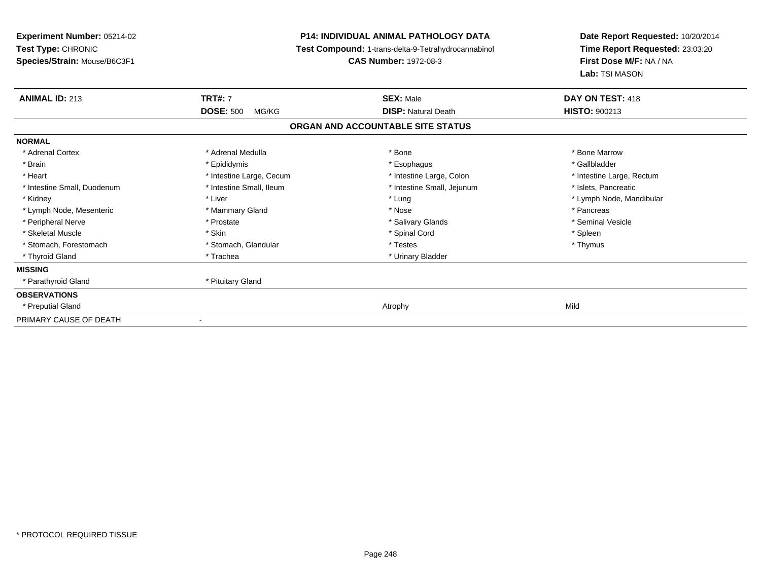**Experiment Number:** 05214-02**Test Type:** CHRONIC **Species/Strain:** Mouse/B6C3F1**P14: INDIVIDUAL ANIMAL PATHOLOGY DATA Test Compound:** 1-trans-delta-9-Tetrahydrocannabinol **CAS Number:** 1972-08-3**Date Report Requested:** 10/20/2014**Time Report Requested:** 23:03:20**First Dose M/F:** NA / NA**Lab:** TSI MASON**ANIMAL ID:** 213**TRT#:** 7 **SEX:** Male **DAY ON TEST:** 418 **DOSE:** 500 MG/KG**DISP:** Natural Death **HISTO:**  $900213$ **ORGAN AND ACCOUNTABLE SITE STATUSNORMAL**\* Adrenal Cortex \* Adrenal Medulla \* Adrenal Medulla \* Bone \* Bone \* Bone \* Bone \* Bone Marrow \* Gallbladder \* Brain \* Allen the state of the state of the state of the state of the state of the state of the state of the state of the state of the state of the state of the state of the state of the state of the state of the state o \* Heart **\*** Intestine Large, Cecum \* Intestine Large, Cecum \* Intestine Large, Colon \* <sup>\*</sup> Intestine Large, Rectum \* Intestine Small, Duodenum \* Intestine Small, Ileum \* 1ntestine Small, Intestine Small, Jejunum \* Islets, Pancreatic \* Kidney \* Noting the second term of the second term of the second term of the second term of the second term of terms and term of terms of terms and terms terms of terms of terms of terms of terms of terms of terms of ter \* Lymph Node, Mesenteric \* \* The mannery Gland \* Mammary Gland \* Nose \* Nose \* \* Pancreas \* Pancreas \* Pancreas \* Seminal Vesicle \* Peripheral Nerve \* \* Annual Vesicle \* \* Prostate \* \* Salivary Glands \* \* Salivary Glands \* \* Seminal Vesicle \* Skeletal Muscle \* Skin \* Spinal Cord \* Spleen \* Thymus \* Stomach, Forestomach \* Testes \* Stomach, Glandular \* Testes \* Testes \* Testes \* Testes \* Testes \* Testes \* T \* Thyroid Gland \* Trachea \* Trachea \* Trachea \* Urinary Bladder **MISSING** \* Parathyroid Gland \* Pituitary Gland**OBSERVATIONS** \* Preputial Gland Atrophy Mild PRIMARY CAUSE OF DEATH-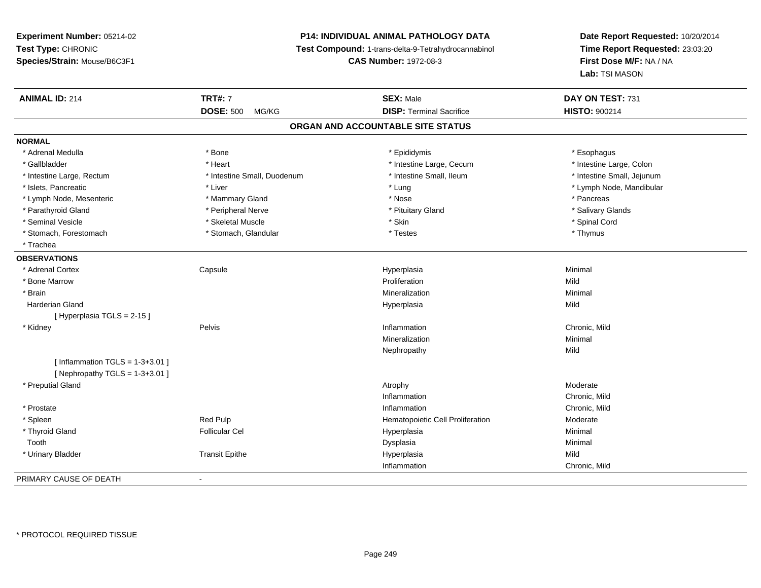## **P14: INDIVIDUAL ANIMAL PATHOLOGY DATA**

**Test Compound:** 1-trans-delta-9-Tetrahydrocannabinol

**CAS Number:** 1972-08-3

| <b>ANIMAL ID: 214</b>             | <b>TRT#: 7</b>              | <b>SEX: Male</b>                  | DAY ON TEST: 731           |  |
|-----------------------------------|-----------------------------|-----------------------------------|----------------------------|--|
|                                   | <b>DOSE: 500</b><br>MG/KG   | <b>DISP: Terminal Sacrifice</b>   | <b>HISTO: 900214</b>       |  |
|                                   |                             | ORGAN AND ACCOUNTABLE SITE STATUS |                            |  |
| <b>NORMAL</b>                     |                             |                                   |                            |  |
| * Adrenal Medulla                 | * Bone                      | * Epididymis                      | * Esophagus                |  |
| * Gallbladder                     | * Heart                     | * Intestine Large, Cecum          | * Intestine Large, Colon   |  |
| * Intestine Large, Rectum         | * Intestine Small, Duodenum | * Intestine Small, Ileum          | * Intestine Small, Jejunum |  |
| * Islets, Pancreatic              | * Liver                     | * Lung                            | * Lymph Node, Mandibular   |  |
| * Lymph Node, Mesenteric          | * Mammary Gland             | * Nose                            | * Pancreas                 |  |
| * Parathyroid Gland               | * Peripheral Nerve          | * Pituitary Gland                 | * Salivary Glands          |  |
| * Seminal Vesicle                 | * Skeletal Muscle           | * Skin                            | * Spinal Cord              |  |
| * Stomach, Forestomach            | * Stomach, Glandular        | * Testes                          | * Thymus                   |  |
| * Trachea                         |                             |                                   |                            |  |
| <b>OBSERVATIONS</b>               |                             |                                   |                            |  |
| * Adrenal Cortex                  | Capsule                     | Hyperplasia                       | Minimal                    |  |
| * Bone Marrow                     |                             | Proliferation                     | Mild                       |  |
| * Brain                           |                             | Mineralization                    | Minimal                    |  |
| <b>Harderian Gland</b>            |                             | Hyperplasia                       | Mild                       |  |
| [Hyperplasia TGLS = 2-15]         |                             |                                   |                            |  |
| * Kidney                          | Pelvis                      | Inflammation                      | Chronic, Mild              |  |
|                                   |                             | Mineralization                    | Minimal                    |  |
|                                   |                             | Nephropathy                       | Mild                       |  |
| [Inflammation TGLS = $1-3+3.01$ ] |                             |                                   |                            |  |
| [ Nephropathy TGLS = $1-3+3.01$ ] |                             |                                   |                            |  |
| * Preputial Gland                 |                             | Atrophy                           | Moderate                   |  |
|                                   |                             | Inflammation                      | Chronic, Mild              |  |
| * Prostate                        |                             | Inflammation                      | Chronic, Mild              |  |
| * Spleen                          | <b>Red Pulp</b>             | Hematopoietic Cell Proliferation  | Moderate                   |  |
| * Thyroid Gland                   | <b>Follicular Cel</b>       | Hyperplasia                       | Minimal                    |  |
| Tooth                             |                             | Dysplasia                         | Minimal                    |  |
| * Urinary Bladder                 | <b>Transit Epithe</b>       | Hyperplasia                       | Mild                       |  |
|                                   |                             | Inflammation                      | Chronic, Mild              |  |
| PRIMARY CAUSE OF DEATH            | $\blacksquare$              |                                   |                            |  |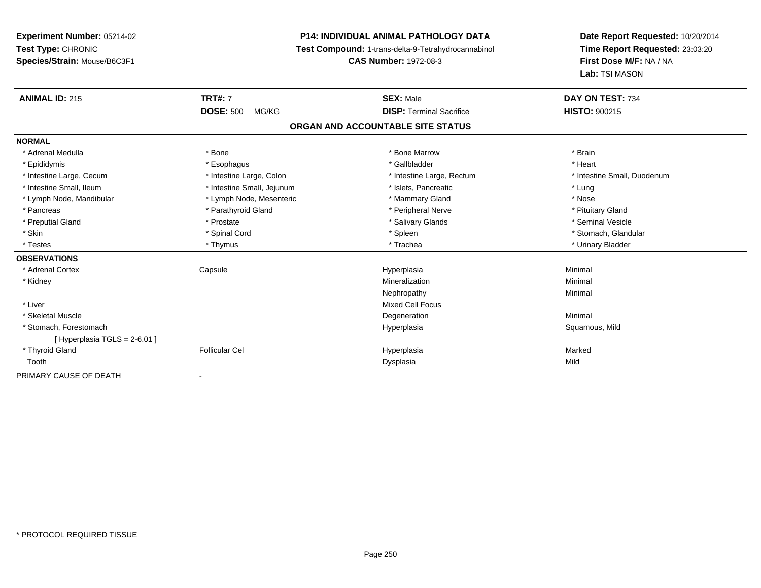## **P14: INDIVIDUAL ANIMAL PATHOLOGY DATA**

**Test Compound:** 1-trans-delta-9-Tetrahydrocannabinol

**CAS Number:** 1972-08-3

| <b>ANIMAL ID: 215</b>             | <b>TRT#: 7</b><br><b>DOSE: 500</b><br>MG/KG | <b>SEX: Male</b><br><b>DISP: Terminal Sacrifice</b> | DAY ON TEST: 734<br><b>HISTO: 900215</b> |  |  |  |  |  |
|-----------------------------------|---------------------------------------------|-----------------------------------------------------|------------------------------------------|--|--|--|--|--|
|                                   |                                             |                                                     |                                          |  |  |  |  |  |
| ORGAN AND ACCOUNTABLE SITE STATUS |                                             |                                                     |                                          |  |  |  |  |  |
| <b>NORMAL</b>                     |                                             |                                                     |                                          |  |  |  |  |  |
| * Adrenal Medulla                 | * Bone                                      | * Bone Marrow                                       | * Brain                                  |  |  |  |  |  |
| * Epididymis                      | * Esophagus                                 | * Gallbladder                                       | * Heart                                  |  |  |  |  |  |
| * Intestine Large, Cecum          | * Intestine Large, Colon                    | * Intestine Large, Rectum                           | * Intestine Small, Duodenum              |  |  |  |  |  |
| * Intestine Small, Ileum          | * Intestine Small, Jejunum                  | * Islets, Pancreatic                                | * Lung                                   |  |  |  |  |  |
| * Lymph Node, Mandibular          | * Lymph Node, Mesenteric                    | * Mammary Gland                                     | * Nose                                   |  |  |  |  |  |
| * Pancreas                        | * Parathyroid Gland                         | * Peripheral Nerve                                  | * Pituitary Gland                        |  |  |  |  |  |
| * Preputial Gland                 | * Prostate                                  | * Salivary Glands                                   | * Seminal Vesicle                        |  |  |  |  |  |
| * Skin                            | * Spinal Cord                               | * Spleen                                            | * Stomach, Glandular                     |  |  |  |  |  |
| * Testes                          | * Thymus                                    | * Trachea                                           | * Urinary Bladder                        |  |  |  |  |  |
| <b>OBSERVATIONS</b>               |                                             |                                                     |                                          |  |  |  |  |  |
| * Adrenal Cortex                  | Capsule                                     | Hyperplasia                                         | Minimal                                  |  |  |  |  |  |
| * Kidney                          |                                             | Mineralization                                      | Minimal                                  |  |  |  |  |  |
|                                   |                                             | Nephropathy                                         | Minimal                                  |  |  |  |  |  |
| * Liver                           |                                             | <b>Mixed Cell Focus</b>                             |                                          |  |  |  |  |  |
| * Skeletal Muscle                 |                                             | Degeneration                                        | Minimal                                  |  |  |  |  |  |
| * Stomach, Forestomach            |                                             | Hyperplasia                                         | Squamous, Mild                           |  |  |  |  |  |
| [Hyperplasia TGLS = 2-6.01]       |                                             |                                                     |                                          |  |  |  |  |  |
| * Thyroid Gland                   | <b>Follicular Cel</b>                       | Hyperplasia                                         | Marked                                   |  |  |  |  |  |
| Tooth                             |                                             | Dysplasia                                           | Mild                                     |  |  |  |  |  |
| PRIMARY CAUSE OF DEATH            |                                             |                                                     |                                          |  |  |  |  |  |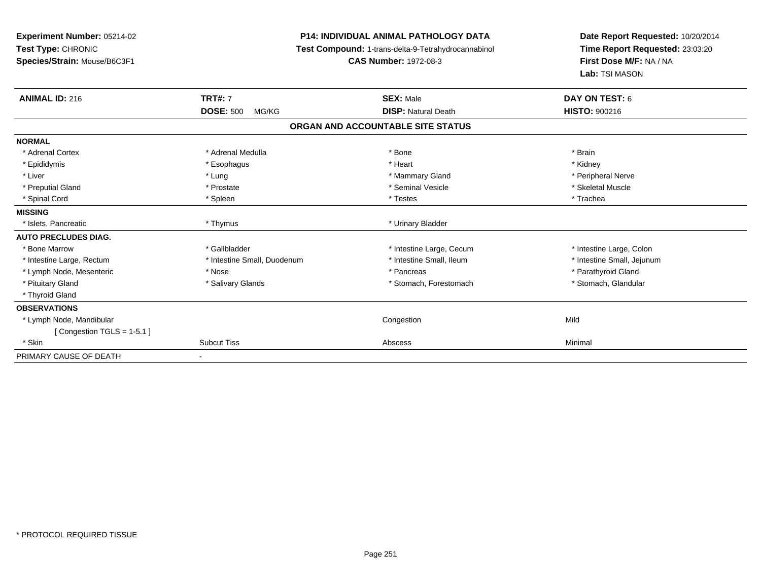**Experiment Number:** 05214-02**Test Type:** CHRONIC **Species/Strain:** Mouse/B6C3F1**P14: INDIVIDUAL ANIMAL PATHOLOGY DATA Test Compound:** 1-trans-delta-9-Tetrahydrocannabinol **CAS Number:** 1972-08-3**Date Report Requested:** 10/20/2014**Time Report Requested:** 23:03:20**First Dose M/F:** NA / NA**Lab:** TSI MASON**ANIMAL ID:** 216**TRT#:** 7 **SEX:** Male **DAY ON TEST:** 6 **DOSE:** 500 MG/KG**DISP:** Natural Death **HISTO:**  $900216$ **ORGAN AND ACCOUNTABLE SITE STATUSNORMAL**\* Adrenal Cortex \* Adrenal Medulla \* Adrenal Medulla \* Bone \* Brain \* Brain \* Brain \* Brain \* Brain \* Brain \* Brain \* Brain \* Brain \* Brain \* Brain \* Brain \* Brain \* Brain \* Brain \* Brain \* Brain \* Brain \* Brain \* Brain \* Brain \* Brain \* B \* Kidney \* Epididymis \* Esophagus \* Heart \* Kidney \* Peripheral Nerve \* Liver \* Lung \* Mammary Gland \* Peripheral Nerve \* Skeletal Muscle \* Preputial Gland \* \* \* \* Prostate \* \* Prostate \* \* Seminal Vesicle \* \* Seminal Vesicle \* \* Skeletal Muscle \* \* Spinal Cord \* \* Trachea \* \* Spinal Cord \* Trachea \* Testes \* Trachea \* Trachea \* Trachea \* Trachea \* Trachea **MISSING** \* Islets, Pancreatic \* Thymus \* Urinary Bladder**AUTO PRECLUDES DIAG.**\* Bone Marrow \* The state of the state of the state of the state of the state of the state of the state of the state of the state of the state of the state of the state of the state of the state of the state of the state o \* Intestine Large, Rectum \* Thestine Small, Duodenum \* Number of the small, Ileum \* Intestine Small, Jejunum \* Intestine Small, Jejunum \* Lymph Node, Mesenteric \* The state of the state of the state of the state of the state of the state of the state of the state of the state of the state of the state of the state of the state of the state of the state of \* Stomach, Glandular \* Pituitary Gland \* Salivary Glands \* Salivary Glands \* Stomach, Forestomach \* Stomach, Forestomach \* Thyroid Gland**OBSERVATIONS** \* Lymph Node, Mandibular Congestionn Mild [ Congestion TGLS = 1-5.1 ] \* Skinn and the Subcut Tiss and Subcut Tiss and the Abscess Abscess Abscess Abscess Abscess Abscess Abscess Abscess A PRIMARY CAUSE OF DEATH-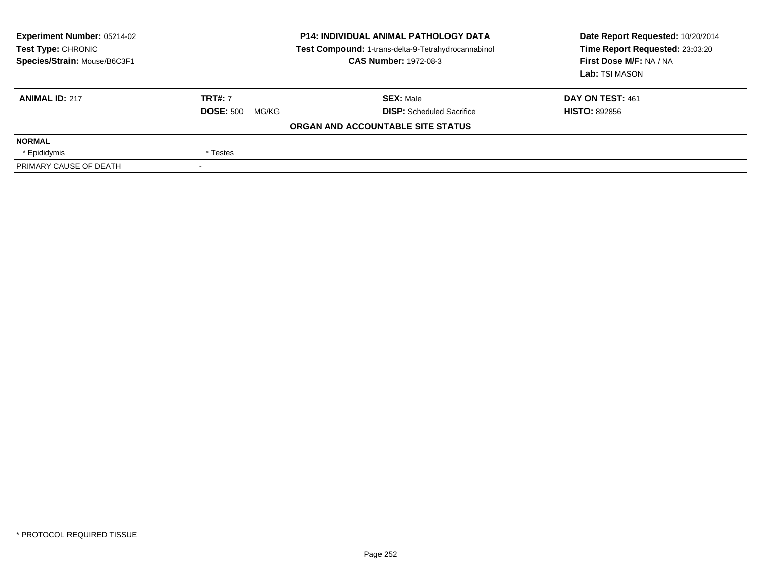| <b>Experiment Number: 05214-02</b><br>Test Type: CHRONIC<br>Species/Strain: Mouse/B6C3F1 |                           | <b>P14: INDIVIDUAL ANIMAL PATHOLOGY DATA</b><br>Test Compound: 1-trans-delta-9-Tetrahydrocannabinol<br><b>CAS Number: 1972-08-3</b> | Date Report Requested: 10/20/2014<br>Time Report Requested: 23:03:20<br>First Dose M/F: NA / NA<br>Lab: TSI MASON |
|------------------------------------------------------------------------------------------|---------------------------|-------------------------------------------------------------------------------------------------------------------------------------|-------------------------------------------------------------------------------------------------------------------|
| <b>ANIMAL ID: 217</b>                                                                    | <b>TRT#: 7</b>            | <b>SEX: Male</b>                                                                                                                    | DAY ON TEST: 461                                                                                                  |
|                                                                                          | <b>DOSE: 500</b><br>MG/KG | <b>DISP:</b> Scheduled Sacrifice                                                                                                    | <b>HISTO: 892856</b>                                                                                              |
|                                                                                          |                           | ORGAN AND ACCOUNTABLE SITE STATUS                                                                                                   |                                                                                                                   |
| <b>NORMAL</b>                                                                            |                           |                                                                                                                                     |                                                                                                                   |
| * Epididymis                                                                             | * Testes                  |                                                                                                                                     |                                                                                                                   |
| PRIMARY CAUSE OF DEATH                                                                   |                           |                                                                                                                                     |                                                                                                                   |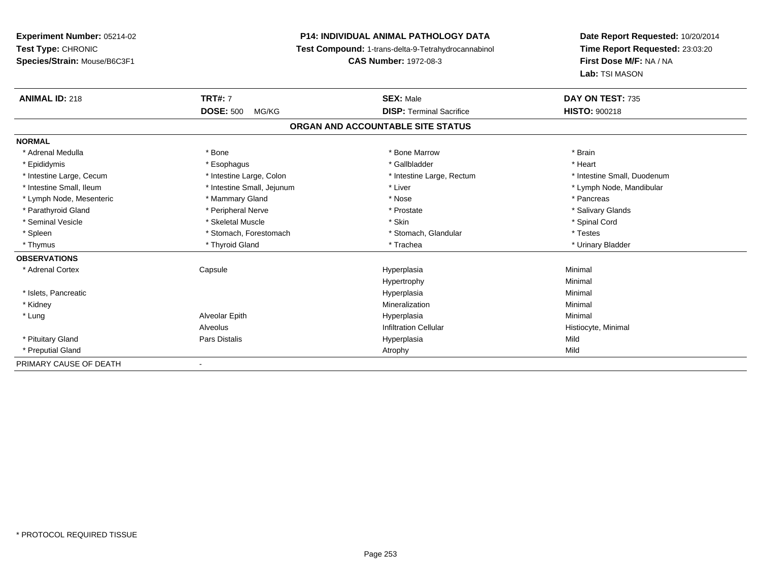# **P14: INDIVIDUAL ANIMAL PATHOLOGY DATA**

**Test Compound:** 1-trans-delta-9-Tetrahydrocannabinol

**CAS Number:** 1972-08-3

| <b>ANIMAL ID: 218</b>    | <b>TRT#: 7</b>             | <b>SEX: Male</b>                  | DAY ON TEST: 735            |  |
|--------------------------|----------------------------|-----------------------------------|-----------------------------|--|
|                          | <b>DOSE: 500</b><br>MG/KG  | <b>DISP: Terminal Sacrifice</b>   | <b>HISTO: 900218</b>        |  |
|                          |                            | ORGAN AND ACCOUNTABLE SITE STATUS |                             |  |
| <b>NORMAL</b>            |                            |                                   |                             |  |
| * Adrenal Medulla        | * Bone                     | * Bone Marrow                     | * Brain                     |  |
| * Epididymis             | * Esophagus                | * Gallbladder                     | * Heart                     |  |
| * Intestine Large, Cecum | * Intestine Large, Colon   | * Intestine Large, Rectum         | * Intestine Small, Duodenum |  |
| * Intestine Small, Ileum | * Intestine Small, Jejunum | * Liver                           | * Lymph Node, Mandibular    |  |
| * Lymph Node, Mesenteric | * Mammary Gland            | * Nose                            | * Pancreas                  |  |
| * Parathyroid Gland      | * Peripheral Nerve         | * Prostate                        | * Salivary Glands           |  |
| * Seminal Vesicle        | * Skeletal Muscle          | * Skin                            | * Spinal Cord               |  |
| * Spleen                 | * Stomach, Forestomach     | * Stomach, Glandular              | * Testes                    |  |
| * Thymus                 | * Thyroid Gland            | * Trachea                         | * Urinary Bladder           |  |
| <b>OBSERVATIONS</b>      |                            |                                   |                             |  |
| * Adrenal Cortex         | Capsule                    | Hyperplasia                       | Minimal                     |  |
|                          |                            | Hypertrophy                       | Minimal                     |  |
| * Islets, Pancreatic     |                            | Hyperplasia                       | Minimal                     |  |
| * Kidney                 |                            | Mineralization                    | Minimal                     |  |
| * Lung                   | Alveolar Epith             | Hyperplasia                       | Minimal                     |  |
|                          | Alveolus                   | <b>Infiltration Cellular</b>      | Histiocyte, Minimal         |  |
| * Pituitary Gland        | Pars Distalis              | Hyperplasia                       | Mild                        |  |
| * Preputial Gland        |                            | Atrophy                           | Mild                        |  |
| PRIMARY CAUSE OF DEATH   | $\overline{\phantom{a}}$   |                                   |                             |  |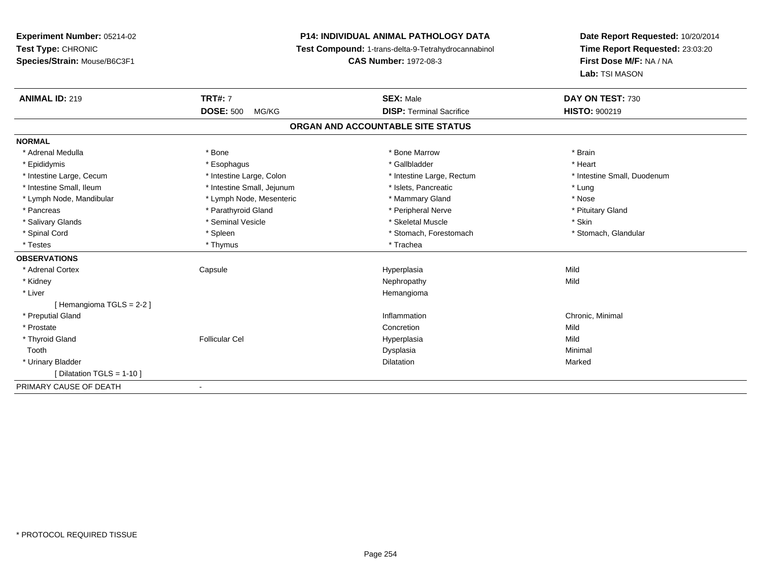**Experiment Number:** 05214-02**Test Type:** CHRONIC **Species/Strain:** Mouse/B6C3F1**P14: INDIVIDUAL ANIMAL PATHOLOGY DATA Test Compound:** 1-trans-delta-9-Tetrahydrocannabinol **CAS Number:** 1972-08-3**Date Report Requested:** 10/20/2014**Time Report Requested:** 23:03:20**First Dose M/F:** NA / NA**Lab:** TSI MASON**ANIMAL ID:** 219**TRT#:** 7 **SEX:** Male **DAY ON TEST:** 730 **DOSE:** 500 MG/KG**DISP:** Terminal Sacrifice **HISTO:**  $900219$ **ORGAN AND ACCOUNTABLE SITE STATUSNORMAL**\* Adrenal Medulla \* \* Annual Medulla \* Brain \* Bone \* \* Bone Marrow \* Bone Marrow \* \* Brain \* Brain \* Brain \* Brain \* Brain \* Brain \* Brain \* Brain \* Brain \* Brain \* Brain \* Brain \* Brain \* Brain \* Brain \* Brain \* Brain \* \* Heart \* Epididymis \* Esophagus \* Gallbladder \* Heart\* Intestine Large, Cecum \* Intestine Large, Colon \* Intestine Large, Thestine Large, Rectum \* Intestine Small, Duodenum \* Intestine Small, Ileum \* https://www.fatheratic \* Lung \* Intestine Small, Jejunum \* Islets, Pancreatic \* Lung \* Lung \* Nose \* Lymph Node, Mandibular \* Lymph Node, Mesenteric \* Mammary Gland \* Mammary Gland \* Pituitary Gland \* Pancreas \* Pancreas \* Parathyroid Gland \* Pancreas \* Peripheral Nerve \* Salivary Glands \* Seminal Vesicle \* Skeletal Muscle \* Skin\* Stomach, Glandular \* Spinal Cord **\* Stomach, Forestomach \* Spinal Cord \*** Stomach, Forestomach \* Stomach, Forestomach \* Testes \* Thymus \* Thymus \* The film is a final field of the film in the film in the film is final field of t **OBSERVATIONS** \* Adrenal Cortex Capsule Hyperplasia Mild \* Kidneyy the control of the control of the control of the control of the control of the control of the control of the control of the control of the control of the control of the control of the control of the control of the contro \* Liverr and the contract of the contract of the contract of the contract of the contract of the contract of the contract of the contract of the contract of the contract of the contract of the contract of the contract of the cont [ Hemangioma TGLS = 2-2 ] \* Preputial Glandd is a controller controller that the controller controller controller the controller controller chronic, Minimal d Chronic, Minimal d  $\sim$  Chronic, Minimal d  $\sim$  Chronic, Minimal d  $\sim$  Chronic, Minimal d  $\sim$  Chronic, M \* Prostatee de la concertion de la concertion de la concertion de la concertion de la concertion de la concertion de la concertion de la concertion de la concertion de la concertion de la concertion de la concertion de la concertion \* Thyroid Gland Follicular Cel Hyperplasia Mild Toothh anns an t-aisim anns an t-aisim an t-aisim anns an t-aisim an t-aisim an t-aisim an t-aisim an t-aisim an t- \* Urinary Bladderr and the control of the control of the control of the control of the control of the control of the control of n Marked Marked Structure of the Marked Marked Structure of the Marked Structure of the Marked Structure of th  $[$  Dilatation TGLS = 1-10  $]$ PRIMARY CAUSE OF DEATH-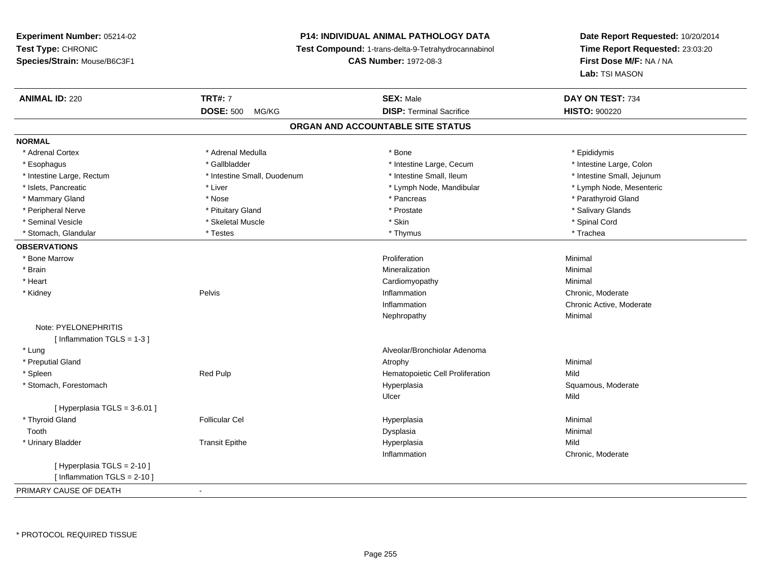# **P14: INDIVIDUAL ANIMAL PATHOLOGY DATA**

**Test Compound:** 1-trans-delta-9-Tetrahydrocannabinol

**CAS Number:** 1972-08-3

| <b>ANIMAL ID: 220</b>          | <b>TRT#: 7</b>              | <b>SEX: Male</b>                  | DAY ON TEST: 734           |  |
|--------------------------------|-----------------------------|-----------------------------------|----------------------------|--|
|                                | <b>DOSE: 500</b><br>MG/KG   | <b>DISP: Terminal Sacrifice</b>   | <b>HISTO: 900220</b>       |  |
|                                |                             | ORGAN AND ACCOUNTABLE SITE STATUS |                            |  |
| <b>NORMAL</b>                  |                             |                                   |                            |  |
| * Adrenal Cortex               | * Adrenal Medulla           | * Bone                            | * Epididymis               |  |
| * Esophagus                    | * Gallbladder               | * Intestine Large, Cecum          | * Intestine Large, Colon   |  |
| * Intestine Large, Rectum      | * Intestine Small, Duodenum | * Intestine Small, Ileum          | * Intestine Small, Jejunum |  |
| * Islets, Pancreatic           | * Liver                     | * Lymph Node, Mandibular          | * Lymph Node, Mesenteric   |  |
| * Mammary Gland                | * Nose                      | * Pancreas                        | * Parathyroid Gland        |  |
| * Peripheral Nerve             | * Pituitary Gland           | * Prostate                        | * Salivary Glands          |  |
| * Seminal Vesicle              | * Skeletal Muscle           | * Skin                            | * Spinal Cord              |  |
| * Stomach, Glandular           | * Testes                    | * Thymus                          | * Trachea                  |  |
| <b>OBSERVATIONS</b>            |                             |                                   |                            |  |
| * Bone Marrow                  |                             | Proliferation                     | Minimal                    |  |
| * Brain                        |                             | Mineralization                    | Minimal                    |  |
| * Heart                        |                             | Cardiomyopathy                    | Minimal                    |  |
| * Kidney                       | Pelvis                      | Inflammation                      | Chronic, Moderate          |  |
|                                |                             | Inflammation                      | Chronic Active, Moderate   |  |
|                                |                             | Nephropathy                       | Minimal                    |  |
| Note: PYELONEPHRITIS           |                             |                                   |                            |  |
| [Inflammation TGLS = $1-3$ ]   |                             |                                   |                            |  |
| * Lung                         |                             | Alveolar/Bronchiolar Adenoma      |                            |  |
| * Preputial Gland              |                             | Atrophy                           | Minimal                    |  |
| * Spleen                       | Red Pulp                    | Hematopoietic Cell Proliferation  | Mild                       |  |
| * Stomach, Forestomach         |                             | Hyperplasia                       | Squamous, Moderate         |  |
|                                |                             | Ulcer                             | Mild                       |  |
| [Hyperplasia TGLS = 3-6.01]    |                             |                                   |                            |  |
| * Thyroid Gland                | <b>Follicular Cel</b>       | Hyperplasia                       | Minimal                    |  |
| Tooth                          |                             | Dysplasia                         | Minimal                    |  |
| * Urinary Bladder              | <b>Transit Epithe</b>       | Hyperplasia                       | Mild                       |  |
|                                |                             | Inflammation                      | Chronic, Moderate          |  |
| [ Hyperplasia TGLS = 2-10 ]    |                             |                                   |                            |  |
| [ Inflammation $TGLS = 2-10$ ] |                             |                                   |                            |  |
| PRIMARY CAUSE OF DEATH         | $\blacksquare$              |                                   |                            |  |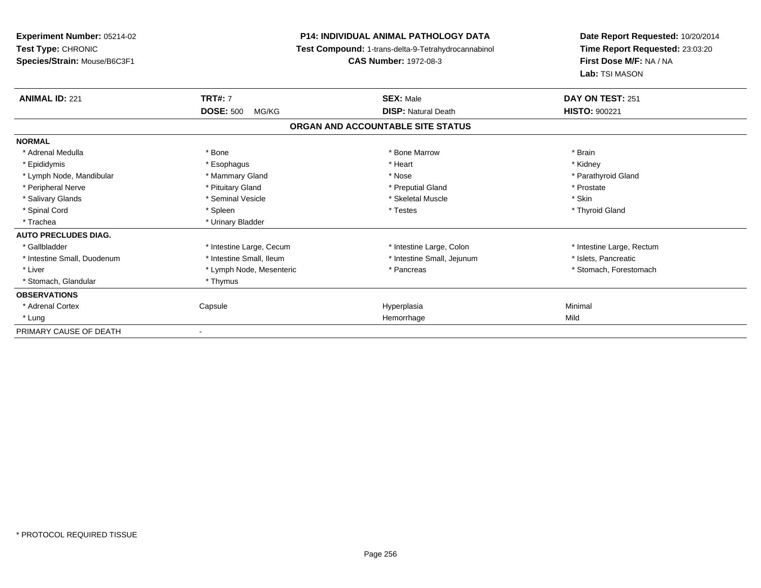| <b>Experiment Number: 05214-02</b><br>Test Type: CHRONIC<br>Species/Strain: Mouse/B6C3F1 | <b>P14: INDIVIDUAL ANIMAL PATHOLOGY DATA</b><br>Test Compound: 1-trans-delta-9-Tetrahydrocannabinol<br><b>CAS Number: 1972-08-3</b> | Date Report Requested: 10/20/2014<br>Time Report Requested: 23:03:20<br>First Dose M/F: NA / NA<br>Lab: TSI MASON |
|------------------------------------------------------------------------------------------|-------------------------------------------------------------------------------------------------------------------------------------|-------------------------------------------------------------------------------------------------------------------|
| <b>ANIMAL ID: 221</b><br><b>TRT#: 7</b>                                                  | <b>SEX: Male</b>                                                                                                                    | DAY ON TEST: 251                                                                                                  |
| <b>DOSE: 500</b><br>MG/KG                                                                | <b>DISP: Natural Death</b>                                                                                                          | <b>HISTO: 900221</b>                                                                                              |
|                                                                                          | ORGAN AND ACCOUNTABLE SITE STATUS                                                                                                   |                                                                                                                   |
| <b>NORMAL</b>                                                                            |                                                                                                                                     |                                                                                                                   |
| * Adrenal Medulla<br>* Bone                                                              | * Bone Marrow                                                                                                                       | * Brain                                                                                                           |
| * Epididymis<br>* Esophagus                                                              | * Heart                                                                                                                             | * Kidney                                                                                                          |
| * Mammary Gland<br>* Lymph Node, Mandibular                                              | * Nose                                                                                                                              | * Parathyroid Gland                                                                                               |
| * Pituitary Gland<br>* Peripheral Nerve                                                  | * Preputial Gland                                                                                                                   | * Prostate                                                                                                        |
| * Seminal Vesicle<br>* Salivary Glands                                                   | * Skeletal Muscle                                                                                                                   | * Skin                                                                                                            |
| * Spinal Cord<br>* Spleen                                                                | * Testes                                                                                                                            | * Thyroid Gland                                                                                                   |
| * Urinary Bladder<br>* Trachea                                                           |                                                                                                                                     |                                                                                                                   |
| <b>AUTO PRECLUDES DIAG.</b>                                                              |                                                                                                                                     |                                                                                                                   |
| * Gallbladder<br>* Intestine Large, Cecum                                                | * Intestine Large, Colon                                                                                                            | * Intestine Large, Rectum                                                                                         |
| * Intestine Small, Ileum<br>* Intestine Small, Duodenum                                  | * Intestine Small, Jejunum                                                                                                          | * Islets, Pancreatic                                                                                              |
| * Liver<br>* Lymph Node, Mesenteric                                                      | * Pancreas                                                                                                                          | * Stomach, Forestomach                                                                                            |
| * Stomach, Glandular<br>* Thymus                                                         |                                                                                                                                     |                                                                                                                   |
| <b>OBSERVATIONS</b>                                                                      |                                                                                                                                     |                                                                                                                   |
| * Adrenal Cortex<br>Capsule                                                              | Hyperplasia                                                                                                                         | Minimal                                                                                                           |
| * Lung                                                                                   | Hemorrhage                                                                                                                          | Mild                                                                                                              |
| PRIMARY CAUSE OF DEATH                                                                   |                                                                                                                                     |                                                                                                                   |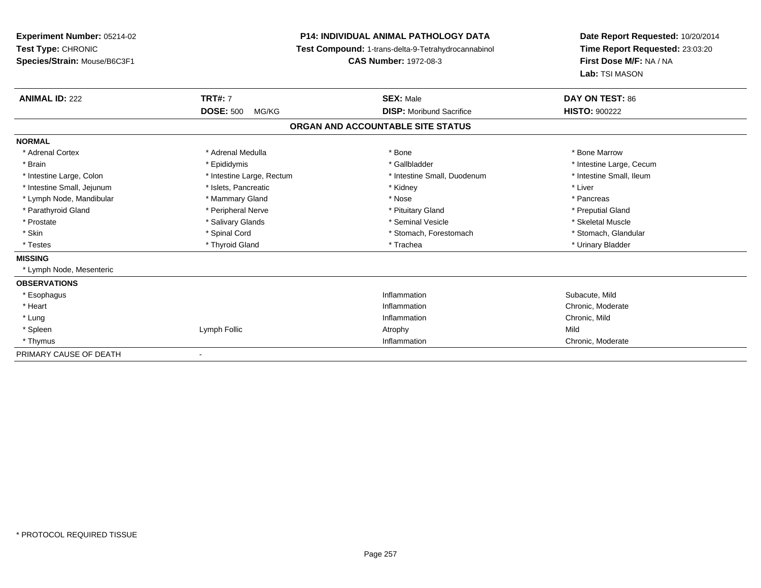# **P14: INDIVIDUAL ANIMAL PATHOLOGY DATA**

**Test Compound:** 1-trans-delta-9-Tetrahydrocannabinol

**CAS Number:** 1972-08-3

| <b>ANIMAL ID: 222</b>      | <b>TRT#: 7</b>            | <b>SEX: Male</b>                  | DAY ON TEST: 86          |
|----------------------------|---------------------------|-----------------------------------|--------------------------|
|                            | <b>DOSE: 500</b><br>MG/KG | <b>DISP:</b> Moribund Sacrifice   | <b>HISTO: 900222</b>     |
|                            |                           | ORGAN AND ACCOUNTABLE SITE STATUS |                          |
| <b>NORMAL</b>              |                           |                                   |                          |
| * Adrenal Cortex           | * Adrenal Medulla         | * Bone                            | * Bone Marrow            |
| * Brain                    | * Epididymis              | * Gallbladder                     | * Intestine Large, Cecum |
| * Intestine Large, Colon   | * Intestine Large, Rectum | * Intestine Small, Duodenum       | * Intestine Small, Ileum |
| * Intestine Small, Jejunum | * Islets, Pancreatic      | * Kidney                          | * Liver                  |
| * Lymph Node, Mandibular   | * Mammary Gland           | * Nose                            | * Pancreas               |
| * Parathyroid Gland        | * Peripheral Nerve        | * Pituitary Gland                 | * Preputial Gland        |
| * Prostate                 | * Salivary Glands         | * Seminal Vesicle                 | * Skeletal Muscle        |
| * Skin                     | * Spinal Cord             | * Stomach, Forestomach            | * Stomach, Glandular     |
| * Testes                   | * Thyroid Gland           | * Trachea                         | * Urinary Bladder        |
| <b>MISSING</b>             |                           |                                   |                          |
| * Lymph Node, Mesenteric   |                           |                                   |                          |
| <b>OBSERVATIONS</b>        |                           |                                   |                          |
| * Esophagus                |                           | Inflammation                      | Subacute, Mild           |
| * Heart                    |                           | Inflammation                      | Chronic, Moderate        |
| * Lung                     |                           | Inflammation                      | Chronic, Mild            |
| * Spleen                   | Lymph Follic              | Atrophy                           | Mild                     |
| * Thymus                   |                           | Inflammation                      | Chronic, Moderate        |
| PRIMARY CAUSE OF DEATH     |                           |                                   |                          |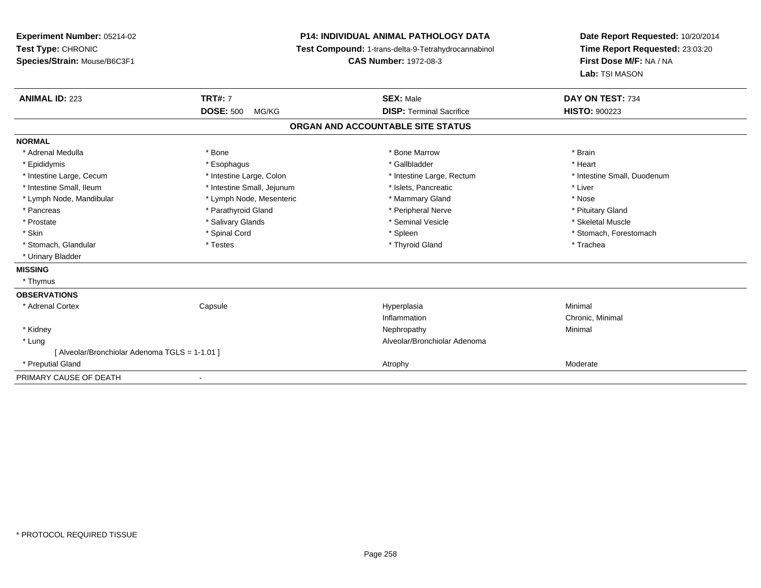| Experiment Number: 05214-02<br>Test Type: CHRONIC |                            | <b>P14: INDIVIDUAL ANIMAL PATHOLOGY DATA</b><br>Test Compound: 1-trans-delta-9-Tetrahydrocannabinol | Date Report Requested: 10/20/2014<br>Time Report Requested: 23:03:20 |
|---------------------------------------------------|----------------------------|-----------------------------------------------------------------------------------------------------|----------------------------------------------------------------------|
| Species/Strain: Mouse/B6C3F1                      |                            | <b>CAS Number: 1972-08-3</b>                                                                        | First Dose M/F: NA / NA<br>Lab: TSI MASON                            |
| <b>ANIMAL ID: 223</b>                             | <b>TRT#: 7</b>             | <b>SEX: Male</b>                                                                                    | DAY ON TEST: 734                                                     |
|                                                   | <b>DOSE: 500</b><br>MG/KG  | <b>DISP: Terminal Sacrifice</b>                                                                     | <b>HISTO: 900223</b>                                                 |
|                                                   |                            | ORGAN AND ACCOUNTABLE SITE STATUS                                                                   |                                                                      |
| <b>NORMAL</b>                                     |                            |                                                                                                     |                                                                      |
| * Adrenal Medulla                                 | * Bone                     | * Bone Marrow                                                                                       | * Brain                                                              |
| * Epididymis                                      | * Esophagus                | * Gallbladder                                                                                       | * Heart                                                              |
| * Intestine Large, Cecum                          | * Intestine Large, Colon   | * Intestine Large, Rectum                                                                           | * Intestine Small, Duodenum                                          |
| * Intestine Small, Ileum                          | * Intestine Small, Jejunum | * Islets, Pancreatic                                                                                | * Liver                                                              |
| * Lymph Node, Mandibular                          | * Lymph Node, Mesenteric   | * Mammary Gland                                                                                     | * Nose                                                               |
| * Pancreas                                        | * Parathyroid Gland        | * Peripheral Nerve                                                                                  | * Pituitary Gland                                                    |
| * Prostate                                        | * Salivary Glands          | * Seminal Vesicle                                                                                   | * Skeletal Muscle                                                    |
| * Skin                                            | * Spinal Cord              | * Spleen                                                                                            | * Stomach, Forestomach                                               |
| * Stomach, Glandular                              | * Testes                   | * Thyroid Gland                                                                                     | * Trachea                                                            |
| * Urinary Bladder                                 |                            |                                                                                                     |                                                                      |
| <b>MISSING</b>                                    |                            |                                                                                                     |                                                                      |
| * Thymus                                          |                            |                                                                                                     |                                                                      |
| <b>OBSERVATIONS</b>                               |                            |                                                                                                     |                                                                      |
| * Adrenal Cortex                                  | Capsule                    | Hyperplasia                                                                                         | Minimal                                                              |
|                                                   |                            | Inflammation                                                                                        | Chronic, Minimal                                                     |
| * Kidney                                          |                            | Nephropathy                                                                                         | Minimal                                                              |
| * Lung                                            |                            | Alveolar/Bronchiolar Adenoma                                                                        |                                                                      |
| [Alveolar/Bronchiolar Adenoma TGLS = 1-1.01]      |                            |                                                                                                     |                                                                      |
| * Preputial Gland                                 |                            | Atrophy                                                                                             | Moderate                                                             |
| PRIMARY CAUSE OF DEATH                            |                            |                                                                                                     |                                                                      |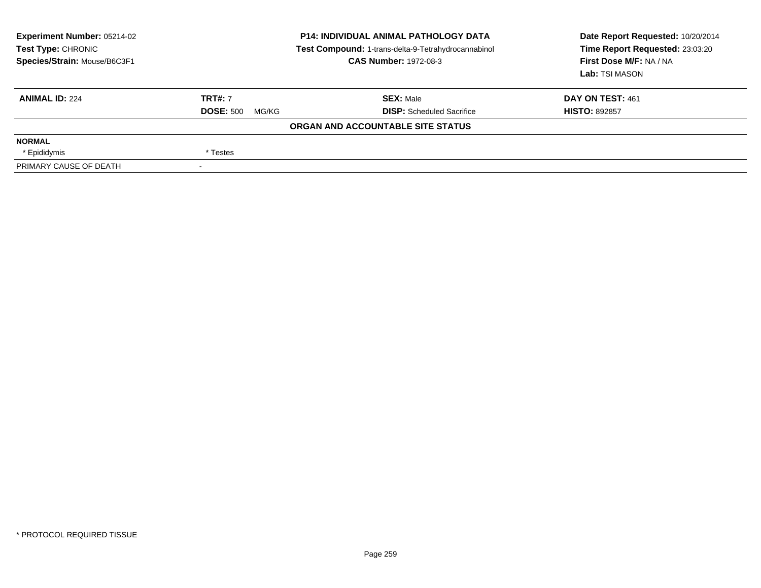| <b>Experiment Number: 05214-02</b><br>Test Type: CHRONIC<br>Species/Strain: Mouse/B6C3F1 | <b>P14: INDIVIDUAL ANIMAL PATHOLOGY DATA</b><br>Test Compound: 1-trans-delta-9-Tetrahydrocannabinol<br><b>CAS Number: 1972-08-3</b> |                                   | Date Report Requested: 10/20/2014<br>Time Report Requested: 23:03:20<br>First Dose M/F: NA / NA<br>Lab: TSI MASON |  |
|------------------------------------------------------------------------------------------|-------------------------------------------------------------------------------------------------------------------------------------|-----------------------------------|-------------------------------------------------------------------------------------------------------------------|--|
| <b>ANIMAL ID: 224</b>                                                                    | <b>TRT#: 7</b>                                                                                                                      | <b>SEX: Male</b>                  | DAY ON TEST: 461                                                                                                  |  |
|                                                                                          | <b>DOSE: 500</b><br>MG/KG                                                                                                           | <b>DISP:</b> Scheduled Sacrifice  | <b>HISTO: 892857</b>                                                                                              |  |
|                                                                                          |                                                                                                                                     | ORGAN AND ACCOUNTABLE SITE STATUS |                                                                                                                   |  |
| <b>NORMAL</b>                                                                            |                                                                                                                                     |                                   |                                                                                                                   |  |
| * Epididymis                                                                             | * Testes                                                                                                                            |                                   |                                                                                                                   |  |
| PRIMARY CAUSE OF DEATH                                                                   |                                                                                                                                     |                                   |                                                                                                                   |  |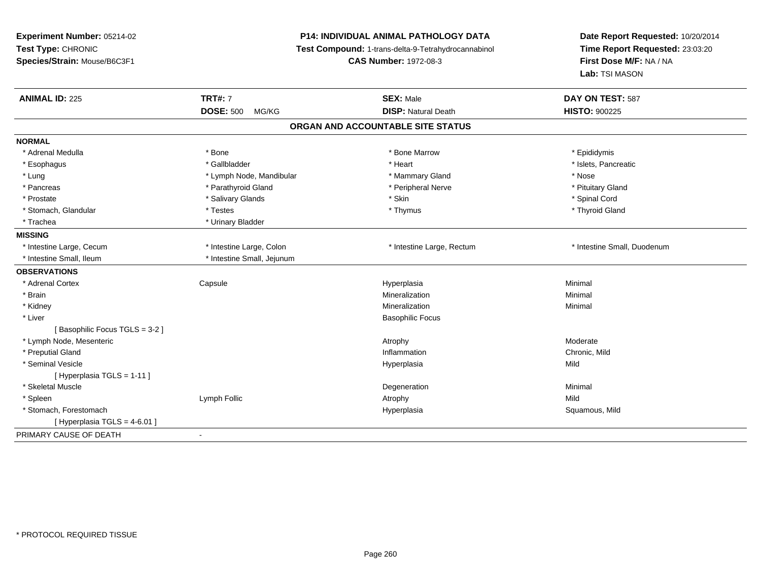**Experiment Number:** 05214-02**Test Type:** CHRONIC **Species/Strain:** Mouse/B6C3F1**P14: INDIVIDUAL ANIMAL PATHOLOGY DATA Test Compound:** 1-trans-delta-9-Tetrahydrocannabinol **CAS Number:** 1972-08-3**Date Report Requested:** 10/20/2014**Time Report Requested:** 23:03:20**First Dose M/F:** NA / NA**Lab:** TSI MASON**ANIMAL ID:** 225 **TRT#:** <sup>7</sup> **SEX:** Male **DAY ON TEST:** <sup>587</sup> **DOSE:** 500 MG/KG**DISP:** Natural Death **HISTO:**  $900225$ **ORGAN AND ACCOUNTABLE SITE STATUSNORMAL**\* Adrenal Medulla \* Adrenal Medulla \* \* The matter of the state of the state of the Marrow \* Bone Marrow \* Adrenal Medulla \* Epididymis \* Epididymis \* Bone Marrow \* Adrenal Medulla \* Epididymis \* Epididymis \* Epididymis \* Epididymis \* Epidi \* Islets, Pancreatic \* Esophagus \* \* Andrew \* Gallbladder \* \* \* \* Heart \* Heart \* Heart \* Islets, Pancreatic \* Islets, Pancreatic \* \* Lung \* Lymph Node, Mandibular \* \* Mammary Gland \* Mose \* Nose \* Nose \* Nose \* Nose \* Nose \* Nose \*  $\sim$  \* Nose \* Pituitary Gland \* Pancreas \* Parathyroid Gland \* Peripheral Nerve \* Peripheral Nerve \* Prostate \* \* Salivary Glands \* \* Salivary Glands \* \* Skin \* \* Skin \* \* Strawbard \* Spinal Cord \* Spinal Cord \* \* Spinal Cord \* \* Spinal Cord \* \* Spinal Cord \* \* Spinal Cord \* \* Spinal Cord \* \* Spinal Cord \* \* Spinal Cord \* Thyroid Gland \* Stomach, Glandular \* Thymus \* Testes \* Thymus \* Thymus \* Thymus \* Thymus \* Thymus \* Thymus \* Thymus \* Thymus \* Thymus \* Thymus \* Thymus \* Thymus \* Thymus \* Thymus \* Thymus \* Thymus \* Thymus \* Thymus \* Thymus \* Thymus \* T \* Trachea \* Urinary Bladder**MISSING**\* Intestine Large, Cecum \* Intestine Large, Cecum \* Intestine Large, Colon \* Intestine Large, Rectum \* Intestine Small, Duodenum\* Intestine Small, Ileum \* \* Intestine Small, Jejunum **OBSERVATIONS** \* Adrenal Cortex**Capsule**  Hyperplasia Minimal \* Brainn and the controller of the controller of the controller of the Minimal Mineralization and the controller of the Minimal Minimal of the controller of the controller of the controller of the controller of the controller of \* Kidneyy the control of the control of the control of the control of the control of the control of the control of the control of the control of the control of the control of the control of the control of the control of the contro n Minimal \* Liver Basophilic Focus[ Basophilic Focus TGLS = 3-2 ] \* Lymph Node, Mesentericc contract the contract of the contract of the contract of the contract of the contract of the contract of the contract of the contract of the contract of the contract of the contract of the contract of the contract of the Chronic, Mild \* Preputial Glandd
and
the contract of the contract of the contract of the contract of the contract of the contract of the contract of the contract of the contract of the contract of the contract of the contract of the contract of the cont \* Seminal Vesiclee and the state of the state of the state of the Hyperplasia Mild and the Mild and the Mild and the Mild and M<br>In the state of the state of the state of the state of the state of the state of the state of the state of the [ Hyperplasia TGLS = 1-11 ] \* Skeletal Musclee and the control of the control of the control of the control of the control of the control of the control of the control of the control of the control of the control of the control of the control of the control of the co \* Spleenn and the settlement of the settlement of the settlement of the settlement of the settlement of the settlement of  $\mathsf{Mild}$  \* Stomach, Forestomachh ann an t-ìre ann an t-ìre ann an t-ìre ann an t-ìre ann an t-ìre ann an t-ìre ann an t-ìre ann an Squamous, Mild  $[$  Hyperplasia TGLS = 4-6.01 ] PRIMARY CAUSE OF DEATH-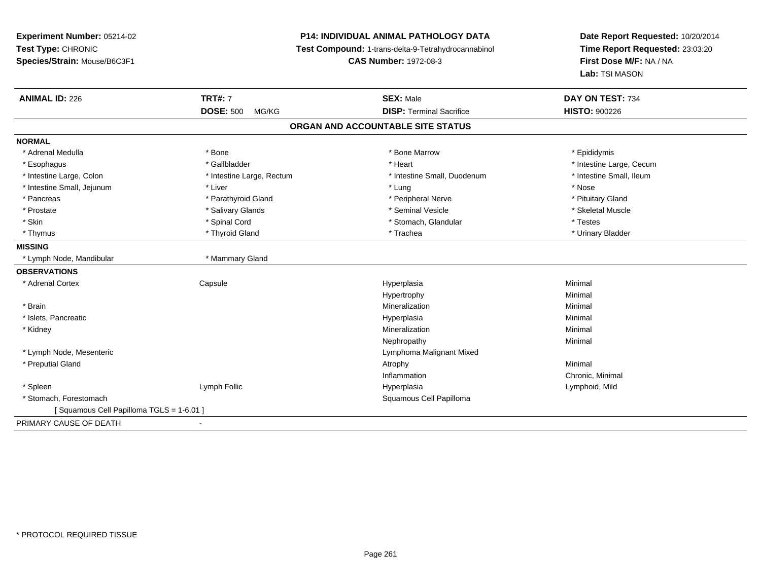# **P14: INDIVIDUAL ANIMAL PATHOLOGY DATA**

**Test Compound:** 1-trans-delta-9-Tetrahydrocannabinol

**CAS Number:** 1972-08-3

| <b>ANIMAL ID: 226</b>                   | <b>TRT#: 7</b>            | <b>SEX: Male</b>                  | DAY ON TEST: 734         |  |
|-----------------------------------------|---------------------------|-----------------------------------|--------------------------|--|
|                                         | <b>DOSE: 500</b><br>MG/KG | <b>DISP: Terminal Sacrifice</b>   | <b>HISTO: 900226</b>     |  |
|                                         |                           | ORGAN AND ACCOUNTABLE SITE STATUS |                          |  |
| <b>NORMAL</b>                           |                           |                                   |                          |  |
| * Adrenal Medulla                       | * Bone                    | * Bone Marrow                     | * Epididymis             |  |
| * Esophagus                             | * Gallbladder             | * Heart                           | * Intestine Large, Cecum |  |
| * Intestine Large, Colon                | * Intestine Large, Rectum | * Intestine Small, Duodenum       | * Intestine Small, Ileum |  |
| * Intestine Small, Jejunum              | * Liver                   | * Lung                            | * Nose                   |  |
| * Pancreas                              | * Parathyroid Gland       | * Peripheral Nerve                | * Pituitary Gland        |  |
| * Prostate                              | * Salivary Glands         | * Seminal Vesicle                 | * Skeletal Muscle        |  |
| * Skin                                  | * Spinal Cord             | * Stomach, Glandular              | * Testes                 |  |
| * Thymus                                | * Thyroid Gland           | * Trachea                         | * Urinary Bladder        |  |
| <b>MISSING</b>                          |                           |                                   |                          |  |
| * Lymph Node, Mandibular                | * Mammary Gland           |                                   |                          |  |
| <b>OBSERVATIONS</b>                     |                           |                                   |                          |  |
| * Adrenal Cortex                        | Capsule                   | Hyperplasia                       | Minimal                  |  |
|                                         |                           | Hypertrophy                       | Minimal                  |  |
| * Brain                                 |                           | Mineralization                    | Minimal                  |  |
| * Islets, Pancreatic                    |                           | Hyperplasia                       | Minimal                  |  |
| * Kidney                                |                           | Mineralization                    | Minimal                  |  |
|                                         |                           | Nephropathy                       | Minimal                  |  |
| * Lymph Node, Mesenteric                |                           | Lymphoma Malignant Mixed          |                          |  |
| * Preputial Gland                       |                           | Atrophy                           | Minimal                  |  |
|                                         |                           | Inflammation                      | Chronic, Minimal         |  |
| * Spleen                                | Lymph Follic              | Hyperplasia                       | Lymphoid, Mild           |  |
| * Stomach, Forestomach                  |                           | Squamous Cell Papilloma           |                          |  |
| [Squamous Cell Papilloma TGLS = 1-6.01] |                           |                                   |                          |  |
| PRIMARY CAUSE OF DEATH                  |                           |                                   |                          |  |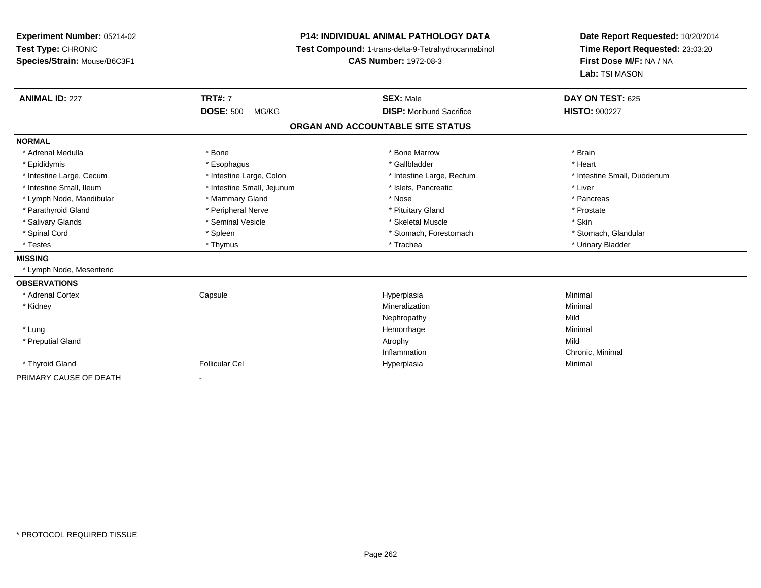**Experiment Number:** 05214-02**Test Type:** CHRONIC **Species/Strain:** Mouse/B6C3F1**P14: INDIVIDUAL ANIMAL PATHOLOGY DATA Test Compound:** 1-trans-delta-9-Tetrahydrocannabinol **CAS Number:** 1972-08-3**Date Report Requested:** 10/20/2014**Time Report Requested:** 23:03:20**First Dose M/F:** NA / NA**Lab:** TSI MASON**ANIMAL ID:** 227**TRT#:** 7 **SEX:** Male **DAY ON TEST:** 625 **DOSE:** 500 MG/KG **DISP:** Moribund Sacrifice **HISTO:** <sup>900227</sup> **ORGAN AND ACCOUNTABLE SITE STATUSNORMAL**\* Adrenal Medulla \* \* Annual Medulla \* Brain \* Bone \* \* Bone Marrow \* Bone Marrow \* \* Brain \* Brain \* Brain \* Brain \* Brain \* Brain \* Brain \* Brain \* Brain \* Brain \* Brain \* Brain \* Brain \* Brain \* Brain \* Brain \* Brain \* \* Heart \* Epididymis \* Esophagus \* Gallbladder \* Heart\* Intestine Large, Cecum \* Intestine Large, Colon \* Intestine Large, Thestine Large, Rectum \* Intestine Small, Duodenum \* Intestine Small, Ileum \* Intestine Small, Jejunum \* Islets, Pancreatic \* Liver\* Lymph Node, Mandibular \* The state of the Mammary Gland \* The state \* Pancreas \* Pancreas \* Pancreas \* Pancreas \* Pancreas \* Pancreas \* Pancreas \* Pancreas \* Pancreas \* Pancreas \* Pancreas \* Pancreas \* Pancreas \* Pancrea \* Prostate \* Parathyroid Gland \* **All and \* Peripheral Nerve \* Prostate \* Prostate \* Pituitary Gland \*** Pituitary Gland \* Salivary Glands \* Seminal Vesicle \* Skeletal Muscle \* Skin\* Stomach, Glandular \* Spinal Cord **\* Stomach, Forestomach \* Spinal Cord \*** Stomach, Forestomach \* Stomach, Forestomach \* Testes \* Thymus \* Trachea \* Urinary Bladder **MISSING** \* Lymph Node, Mesenteric**OBSERVATIONS** \* Adrenal Cortex**Capsule**  Hyperplasia Minimal \* Kidneyy the control of the control of the control of the control of the control of the control of the control of the control of the control of the control of the control of the control of the control of the control of the contro n Minimal Nephropathyy Mild Minimal \* Lungg and the state of the state of the state of the state of the Minimal Section 1, and the state of the state of the state of the state of the state of the state of the state of the state of the state of the state of the sta \* Preputial Glandd and the control of the control of the control of the control of the control of the control of the control of the control of the control of the control of the control of the control of the control of the control of the co InflammationInflammation **Example 2** Chronic, Minimal Hyperplasia **Chronic 2** Chronic Minimal \* Thyroid Gland Follicular Cel Hyperplasia Minimal PRIMARY CAUSE OF DEATH-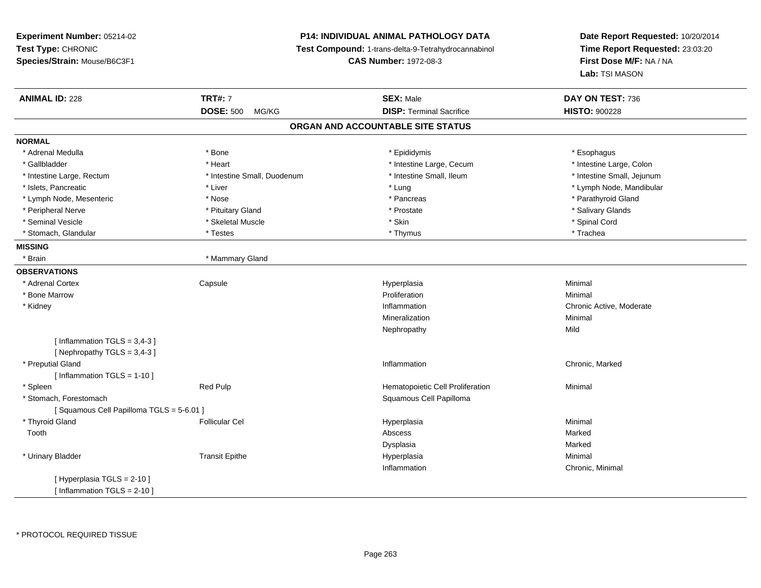# **P14: INDIVIDUAL ANIMAL PATHOLOGY DATA**

**Test Compound:** 1-trans-delta-9-Tetrahydrocannabinol

**CAS Number:** 1972-08-3

| <b>ANIMAL ID: 228</b>                   | <b>TRT#: 7</b>              | <b>SEX: Male</b>                  | DAY ON TEST: 736           |
|-----------------------------------------|-----------------------------|-----------------------------------|----------------------------|
|                                         | <b>DOSE: 500</b><br>MG/KG   | <b>DISP: Terminal Sacrifice</b>   | <b>HISTO: 900228</b>       |
|                                         |                             | ORGAN AND ACCOUNTABLE SITE STATUS |                            |
| <b>NORMAL</b>                           |                             |                                   |                            |
| * Adrenal Medulla                       | * Bone                      | * Epididymis                      | * Esophagus                |
| * Gallbladder                           | * Heart                     | * Intestine Large, Cecum          | * Intestine Large, Colon   |
| * Intestine Large, Rectum               | * Intestine Small, Duodenum | * Intestine Small, Ileum          | * Intestine Small, Jejunum |
| * Islets, Pancreatic                    | * Liver                     | * Lung                            | * Lymph Node, Mandibular   |
| * Lymph Node, Mesenteric                | * Nose                      | * Pancreas                        | * Parathyroid Gland        |
| * Peripheral Nerve                      | * Pituitary Gland           | * Prostate                        | * Salivary Glands          |
| * Seminal Vesicle                       | * Skeletal Muscle           | * Skin                            | * Spinal Cord              |
| * Stomach, Glandular                    | * Testes                    | * Thymus                          | * Trachea                  |
| <b>MISSING</b>                          |                             |                                   |                            |
| * Brain                                 | * Mammary Gland             |                                   |                            |
| <b>OBSERVATIONS</b>                     |                             |                                   |                            |
| * Adrenal Cortex                        | Capsule                     | Hyperplasia                       | Minimal                    |
| * Bone Marrow                           |                             | Proliferation                     | Minimal                    |
| * Kidney                                |                             | Inflammation                      | Chronic Active, Moderate   |
|                                         |                             | Mineralization                    | Minimal                    |
|                                         |                             | Nephropathy                       | Mild                       |
| [Inflammation $TGLS = 3,4-3$ ]          |                             |                                   |                            |
| [Nephropathy TGLS = 3,4-3]              |                             |                                   |                            |
| * Preputial Gland                       |                             | Inflammation                      | Chronic, Marked            |
| [Inflammation TGLS = $1-10$ ]           |                             |                                   |                            |
| * Spleen                                | Red Pulp                    | Hematopoietic Cell Proliferation  | Minimal                    |
| * Stomach, Forestomach                  |                             | Squamous Cell Papilloma           |                            |
| [Squamous Cell Papilloma TGLS = 5-6.01] |                             |                                   |                            |
| * Thyroid Gland                         | <b>Follicular Cel</b>       | Hyperplasia                       | Minimal                    |
| Tooth                                   |                             | Abscess                           | Marked                     |
|                                         |                             | Dysplasia                         | Marked                     |
| * Urinary Bladder                       | <b>Transit Epithe</b>       | Hyperplasia                       | Minimal                    |
|                                         |                             | Inflammation                      | Chronic, Minimal           |
| [ Hyperplasia TGLS = 2-10 ]             |                             |                                   |                            |
| [ Inflammation $TGLS = 2-10$ ]          |                             |                                   |                            |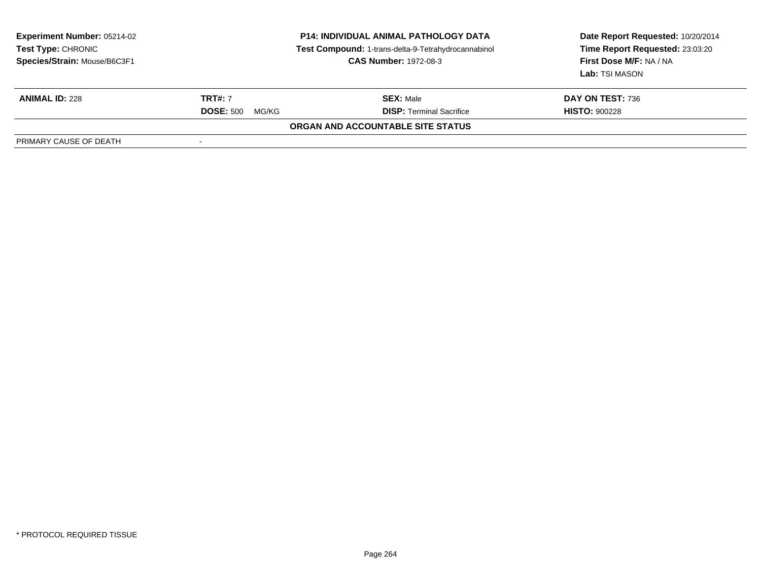| <b>Experiment Number: 05214-02</b><br>Test Type: CHRONIC<br>Species/Strain: Mouse/B6C3F1 | <b>P14: INDIVIDUAL ANIMAL PATHOLOGY DATA</b><br>Test Compound: 1-trans-delta-9-Tetrahydrocannabinol<br><b>CAS Number: 1972-08-3</b> |                                   | Date Report Requested: 10/20/2014<br>Time Report Requested: 23:03:20<br>First Dose M/F: NA / NA<br>Lab: TSI MASON |
|------------------------------------------------------------------------------------------|-------------------------------------------------------------------------------------------------------------------------------------|-----------------------------------|-------------------------------------------------------------------------------------------------------------------|
| <b>ANIMAL ID: 228</b>                                                                    | <b>TRT#: 7</b>                                                                                                                      | <b>SEX: Male</b>                  | <b>DAY ON TEST: 736</b>                                                                                           |
|                                                                                          | <b>DOSE: 500</b><br>MG/KG                                                                                                           | <b>DISP: Terminal Sacrifice</b>   | <b>HISTO: 900228</b>                                                                                              |
|                                                                                          |                                                                                                                                     | ORGAN AND ACCOUNTABLE SITE STATUS |                                                                                                                   |
| PRIMARY CAUSE OF DEATH                                                                   |                                                                                                                                     |                                   |                                                                                                                   |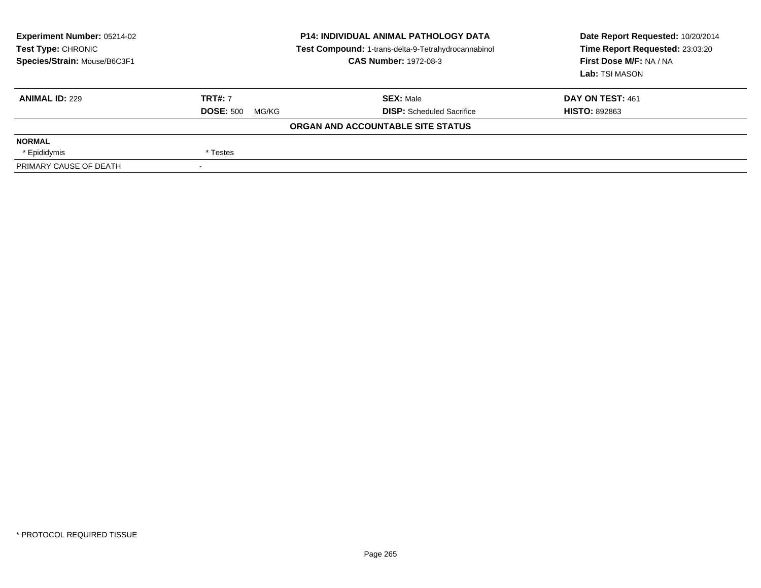| <b>Experiment Number: 05214-02</b><br>Test Type: CHRONIC<br>Species/Strain: Mouse/B6C3F1 | <b>P14: INDIVIDUAL ANIMAL PATHOLOGY DATA</b><br>Test Compound: 1-trans-delta-9-Tetrahydrocannabinol<br><b>CAS Number: 1972-08-3</b> |                                   | Date Report Requested: 10/20/2014<br>Time Report Requested: 23:03:20<br>First Dose M/F: NA / NA<br>Lab: TSI MASON |  |
|------------------------------------------------------------------------------------------|-------------------------------------------------------------------------------------------------------------------------------------|-----------------------------------|-------------------------------------------------------------------------------------------------------------------|--|
| <b>ANIMAL ID: 229</b>                                                                    | <b>TRT#: 7</b>                                                                                                                      | <b>SEX: Male</b>                  | DAY ON TEST: 461                                                                                                  |  |
|                                                                                          | <b>DOSE: 500</b><br>MG/KG                                                                                                           | <b>DISP:</b> Scheduled Sacrifice  | <b>HISTO: 892863</b>                                                                                              |  |
|                                                                                          |                                                                                                                                     | ORGAN AND ACCOUNTABLE SITE STATUS |                                                                                                                   |  |
| <b>NORMAL</b>                                                                            |                                                                                                                                     |                                   |                                                                                                                   |  |
| * Epididymis                                                                             | * Testes                                                                                                                            |                                   |                                                                                                                   |  |
| PRIMARY CAUSE OF DEATH                                                                   |                                                                                                                                     |                                   |                                                                                                                   |  |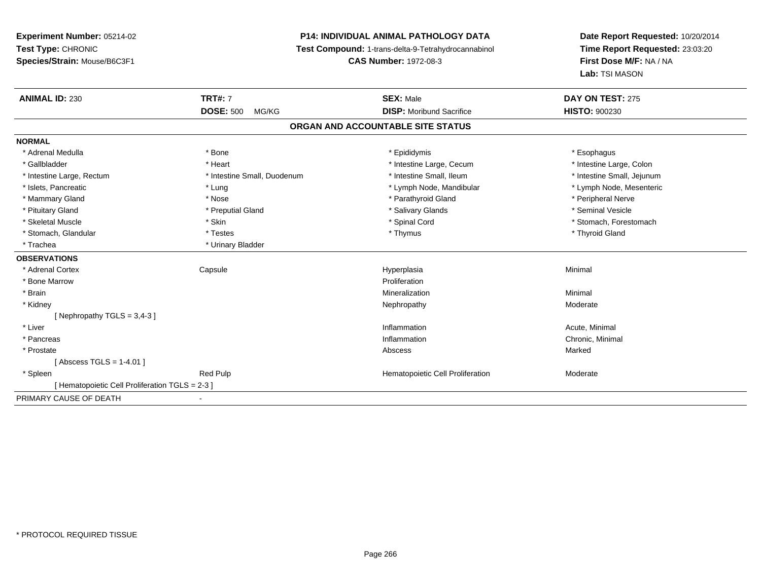# **P14: INDIVIDUAL ANIMAL PATHOLOGY DATA**

**Test Compound:** 1-trans-delta-9-Tetrahydrocannabinol

**CAS Number:** 1972-08-3

| <b>ANIMAL ID: 230</b>                           | <b>TRT#: 7</b>              | <b>SEX: Male</b>                  | DAY ON TEST: 275           |
|-------------------------------------------------|-----------------------------|-----------------------------------|----------------------------|
|                                                 | <b>DOSE: 500</b><br>MG/KG   | <b>DISP:</b> Moribund Sacrifice   | <b>HISTO: 900230</b>       |
|                                                 |                             | ORGAN AND ACCOUNTABLE SITE STATUS |                            |
| <b>NORMAL</b>                                   |                             |                                   |                            |
| * Adrenal Medulla                               | * Bone                      | * Epididymis                      | * Esophagus                |
| * Gallbladder                                   | * Heart                     | * Intestine Large, Cecum          | * Intestine Large, Colon   |
| * Intestine Large, Rectum                       | * Intestine Small, Duodenum | * Intestine Small, Ileum          | * Intestine Small, Jejunum |
| * Islets, Pancreatic                            | * Lung                      | * Lymph Node, Mandibular          | * Lymph Node, Mesenteric   |
| * Mammary Gland                                 | * Nose                      | * Parathyroid Gland               | * Peripheral Nerve         |
| * Pituitary Gland                               | * Preputial Gland           | * Salivary Glands                 | * Seminal Vesicle          |
| * Skeletal Muscle                               | * Skin                      | * Spinal Cord                     | * Stomach, Forestomach     |
| * Stomach, Glandular                            | * Testes                    | * Thymus                          | * Thyroid Gland            |
| * Trachea                                       | * Urinary Bladder           |                                   |                            |
| <b>OBSERVATIONS</b>                             |                             |                                   |                            |
| * Adrenal Cortex                                | Capsule                     | Hyperplasia                       | Minimal                    |
| * Bone Marrow                                   |                             | Proliferation                     |                            |
| * Brain                                         |                             | Mineralization                    | Minimal                    |
| * Kidney                                        |                             | Nephropathy                       | Moderate                   |
| [Nephropathy TGLS = $3,4-3$ ]                   |                             |                                   |                            |
| * Liver                                         |                             | Inflammation                      | Acute, Minimal             |
| * Pancreas                                      |                             | Inflammation                      | Chronic, Minimal           |
| * Prostate                                      |                             | Abscess                           | Marked                     |
| [Abscess TGLS = 1-4.01]                         |                             |                                   |                            |
| * Spleen                                        | <b>Red Pulp</b>             | Hematopoietic Cell Proliferation  | Moderate                   |
| [ Hematopoietic Cell Proliferation TGLS = 2-3 ] |                             |                                   |                            |
| PRIMARY CAUSE OF DEATH                          |                             |                                   |                            |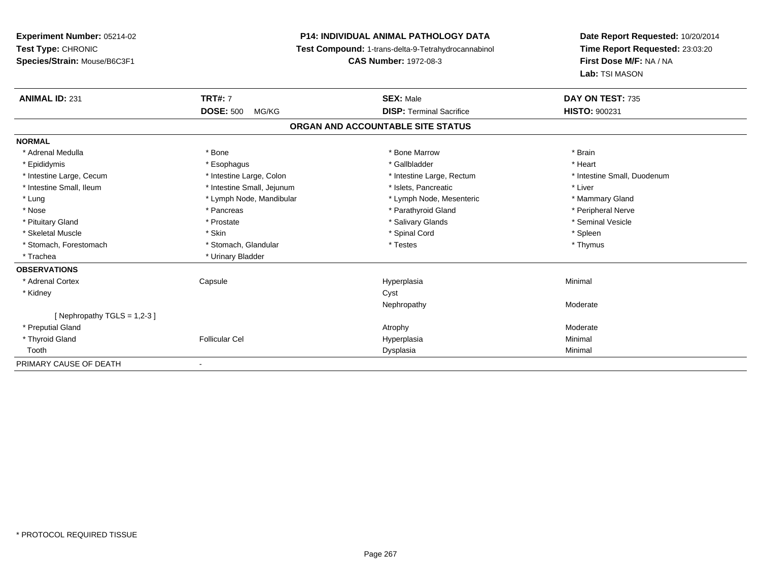**P14: INDIVIDUAL ANIMAL PATHOLOGY DATAExperiment Number:** 05214-02**Test Type:** CHRONIC **Test Compound:** 1-trans-delta-9-Tetrahydrocannabinol **CAS Number:** 1972-08-3 **Species/Strain:** Mouse/B6C3F1**ANIMAL ID:** 231**DOSE:** 500 MG/KG $\overline{a}$ **ORGAN AND ACCOUNTABLE SITE STATUSNORMAL**

| <b>TRT#:</b> 7             | <b>SEX: Male</b>                | DAY ON TEST: 735                  |
|----------------------------|---------------------------------|-----------------------------------|
| <b>DOSE: 500</b><br>MG/KG  | <b>DISP: Terminal Sacrifice</b> | HISTO: 900231                     |
|                            |                                 |                                   |
|                            |                                 |                                   |
| * Bone                     | * Bone Marrow                   | * Brain                           |
| * Esophagus                | * Gallbladder                   | * Heart                           |
| * Intestine Large, Colon   | * Intestine Large, Rectum       | * Intestine Small, Duodenum       |
| * Intestine Small, Jejunum | * Islets, Pancreatic            | * Liver                           |
| * Lymph Node, Mandibular   | * Lymph Node, Mesenteric        | * Mammary Gland                   |
| * Pancreas                 | * Parathyroid Gland             | * Peripheral Nerve                |
| * Prostate                 | * Salivary Glands               | * Seminal Vesicle                 |
| * Skin                     | * Spinal Cord                   | * Spleen                          |
| * Stomach, Glandular       | * Testes                        | * Thymus                          |
| * Urinary Bladder          |                                 |                                   |
|                            |                                 |                                   |
| Capsule                    | Hyperplasia                     | Minimal                           |
|                            | Cyst                            |                                   |
|                            | Nephropathy                     | Moderate                          |
|                            |                                 |                                   |
|                            | Atrophy                         | Moderate                          |
| <b>Follicular Cel</b>      | Hyperplasia                     | Minimal                           |
|                            | Dysplasia                       | Minimal                           |
| $\blacksquare$             |                                 |                                   |
|                            |                                 | ORGAN AND ACCOUNTABLE SITE STATUS |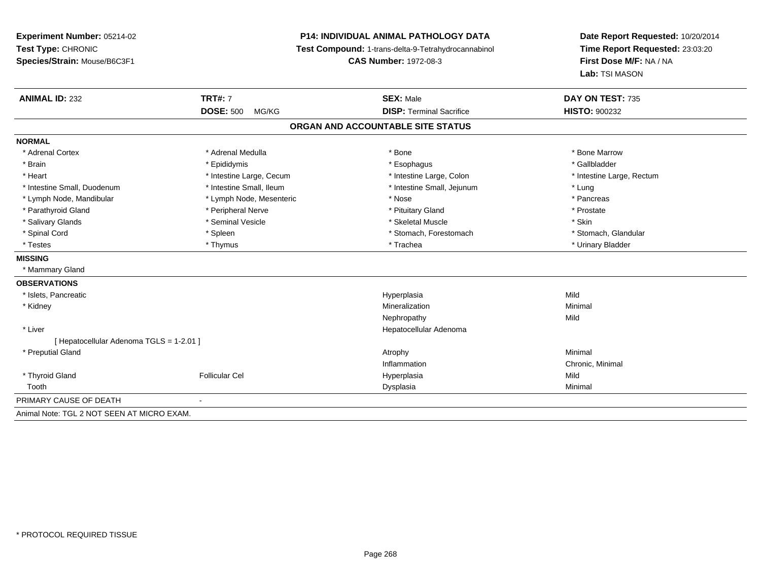# **P14: INDIVIDUAL ANIMAL PATHOLOGY DATA**

**Test Compound:** 1-trans-delta-9-Tetrahydrocannabinol

**CAS Number:** 1972-08-3

| <b>ANIMAL ID: 232</b>                      | <b>TRT#: 7</b>            | <b>SEX: Male</b>                  | DAY ON TEST: 735          |
|--------------------------------------------|---------------------------|-----------------------------------|---------------------------|
|                                            | <b>DOSE: 500</b><br>MG/KG | <b>DISP: Terminal Sacrifice</b>   | <b>HISTO: 900232</b>      |
|                                            |                           | ORGAN AND ACCOUNTABLE SITE STATUS |                           |
| <b>NORMAL</b>                              |                           |                                   |                           |
| * Adrenal Cortex                           | * Adrenal Medulla         | * Bone                            | * Bone Marrow             |
| * Brain                                    | * Epididymis              | * Esophagus                       | * Gallbladder             |
| * Heart                                    | * Intestine Large, Cecum  | * Intestine Large, Colon          | * Intestine Large, Rectum |
| * Intestine Small, Duodenum                | * Intestine Small, Ileum  | * Intestine Small, Jejunum        | * Lung                    |
| * Lymph Node, Mandibular                   | * Lymph Node, Mesenteric  | * Nose                            | * Pancreas                |
| * Parathyroid Gland                        | * Peripheral Nerve        | * Pituitary Gland                 | * Prostate                |
| * Salivary Glands                          | * Seminal Vesicle         | * Skeletal Muscle                 | * Skin                    |
| * Spinal Cord                              | * Spleen                  | * Stomach, Forestomach            | * Stomach, Glandular      |
| * Testes                                   | * Thymus                  | * Trachea                         | * Urinary Bladder         |
| <b>MISSING</b>                             |                           |                                   |                           |
| * Mammary Gland                            |                           |                                   |                           |
| <b>OBSERVATIONS</b>                        |                           |                                   |                           |
| * Islets, Pancreatic                       |                           | Hyperplasia                       | Mild                      |
| * Kidney                                   |                           | Mineralization                    | Minimal                   |
|                                            |                           | Nephropathy                       | Mild                      |
| * Liver                                    |                           | Hepatocellular Adenoma            |                           |
| [ Hepatocellular Adenoma TGLS = 1-2.01 ]   |                           |                                   |                           |
| * Preputial Gland                          |                           | Atrophy                           | Minimal                   |
|                                            |                           | Inflammation                      | Chronic, Minimal          |
| * Thyroid Gland                            | <b>Follicular Cel</b>     | Hyperplasia                       | Mild                      |
| Tooth                                      |                           | Dysplasia                         | Minimal                   |
| PRIMARY CAUSE OF DEATH                     |                           |                                   |                           |
| Animal Note: TGL 2 NOT SEEN AT MICRO EXAM. |                           |                                   |                           |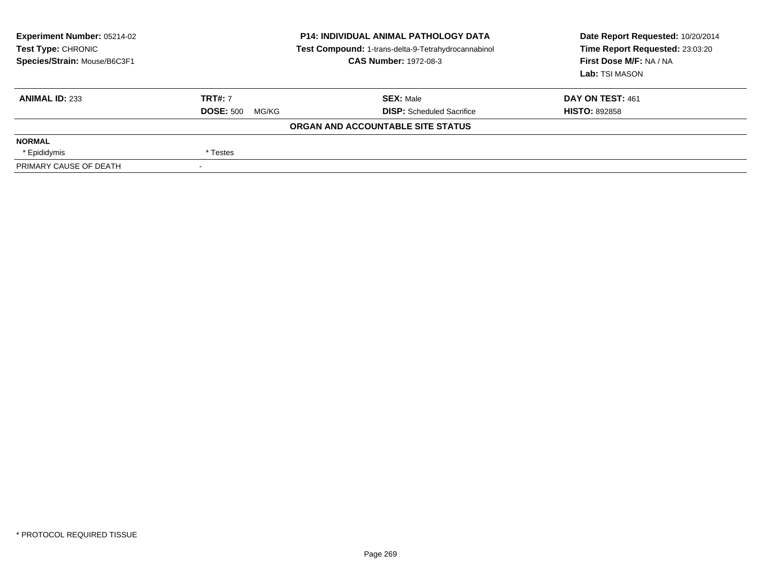| <b>Experiment Number: 05214-02</b><br>Test Type: CHRONIC<br>Species/Strain: Mouse/B6C3F1 | <b>P14: INDIVIDUAL ANIMAL PATHOLOGY DATA</b><br>Test Compound: 1-trans-delta-9-Tetrahydrocannabinol<br><b>CAS Number: 1972-08-3</b> |                                   | Date Report Requested: 10/20/2014<br>Time Report Requested: 23:03:20<br>First Dose M/F: NA / NA<br>Lab: TSI MASON |  |
|------------------------------------------------------------------------------------------|-------------------------------------------------------------------------------------------------------------------------------------|-----------------------------------|-------------------------------------------------------------------------------------------------------------------|--|
| <b>ANIMAL ID: 233</b>                                                                    | <b>TRT#: 7</b>                                                                                                                      | <b>SEX: Male</b>                  | DAY ON TEST: 461                                                                                                  |  |
|                                                                                          | <b>DOSE: 500</b><br>MG/KG                                                                                                           | <b>DISP:</b> Scheduled Sacrifice  | <b>HISTO: 892858</b>                                                                                              |  |
|                                                                                          |                                                                                                                                     | ORGAN AND ACCOUNTABLE SITE STATUS |                                                                                                                   |  |
| <b>NORMAL</b>                                                                            |                                                                                                                                     |                                   |                                                                                                                   |  |
| * Epididymis                                                                             | * Testes                                                                                                                            |                                   |                                                                                                                   |  |
| PRIMARY CAUSE OF DEATH                                                                   |                                                                                                                                     |                                   |                                                                                                                   |  |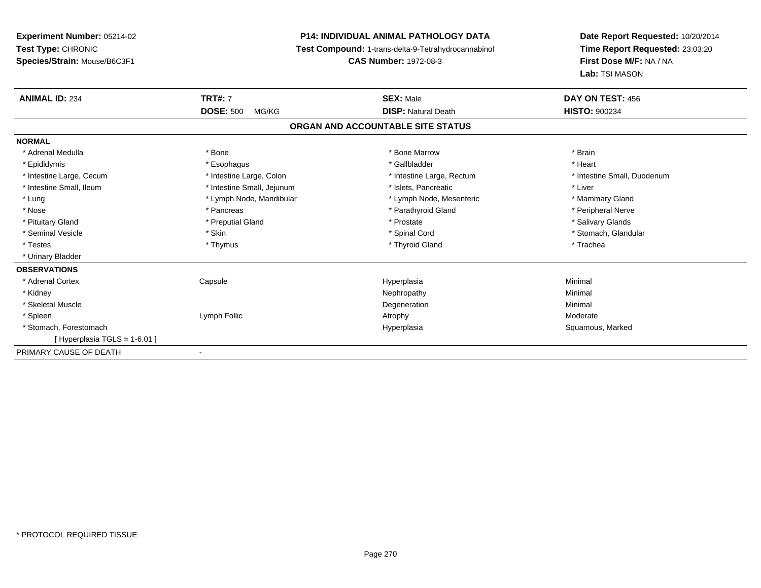# **P14: INDIVIDUAL ANIMAL PATHOLOGY DATA**

**Test Compound:** 1-trans-delta-9-Tetrahydrocannabinol

**CAS Number:** 1972-08-3

| <b>ANIMAL ID: 234</b>         | <b>TRT#: 7</b>             | <b>SEX: Male</b>                  | DAY ON TEST: 456            |
|-------------------------------|----------------------------|-----------------------------------|-----------------------------|
|                               | <b>DOSE: 500</b><br>MG/KG  | <b>DISP: Natural Death</b>        | <b>HISTO: 900234</b>        |
|                               |                            | ORGAN AND ACCOUNTABLE SITE STATUS |                             |
| <b>NORMAL</b>                 |                            |                                   |                             |
| * Adrenal Medulla             | * Bone                     | * Bone Marrow                     | * Brain                     |
| * Epididymis                  | * Esophagus                | * Gallbladder                     | * Heart                     |
| * Intestine Large, Cecum      | * Intestine Large, Colon   | * Intestine Large, Rectum         | * Intestine Small, Duodenum |
| * Intestine Small, Ileum      | * Intestine Small, Jejunum | * Islets, Pancreatic              | * Liver                     |
| * Lung                        | * Lymph Node, Mandibular   | * Lymph Node, Mesenteric          | * Mammary Gland             |
| * Nose                        | * Pancreas                 | * Parathyroid Gland               | * Peripheral Nerve          |
| * Pituitary Gland             | * Preputial Gland          | * Prostate                        | * Salivary Glands           |
| * Seminal Vesicle             | * Skin                     | * Spinal Cord                     | * Stomach, Glandular        |
| * Testes                      | * Thymus                   | * Thyroid Gland                   | * Trachea                   |
| * Urinary Bladder             |                            |                                   |                             |
| <b>OBSERVATIONS</b>           |                            |                                   |                             |
| * Adrenal Cortex              | Capsule                    | Hyperplasia                       | Minimal                     |
| * Kidney                      |                            | Nephropathy                       | Minimal                     |
| * Skeletal Muscle             |                            | Degeneration                      | Minimal                     |
| * Spleen                      | Lymph Follic               | Atrophy                           | Moderate                    |
| * Stomach, Forestomach        |                            | Hyperplasia                       | Squamous, Marked            |
| [ Hyperplasia TGLS = 1-6.01 ] |                            |                                   |                             |
| PRIMARY CAUSE OF DEATH        | ٠                          |                                   |                             |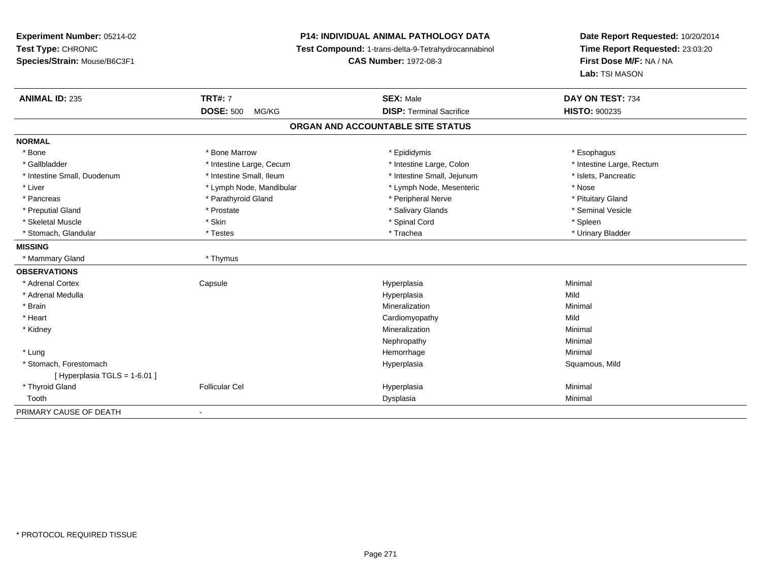# **P14: INDIVIDUAL ANIMAL PATHOLOGY DATA**

**Test Compound:** 1-trans-delta-9-Tetrahydrocannabinol

**CAS Number:** 1972-08-3

| <b>ANIMAL ID: 235</b>          | <b>TRT#: 7</b>            | <b>SEX: Male</b>                  | DAY ON TEST: 734          |
|--------------------------------|---------------------------|-----------------------------------|---------------------------|
|                                | <b>DOSE: 500</b><br>MG/KG | <b>DISP: Terminal Sacrifice</b>   | <b>HISTO: 900235</b>      |
|                                |                           | ORGAN AND ACCOUNTABLE SITE STATUS |                           |
| <b>NORMAL</b>                  |                           |                                   |                           |
| * Bone                         | * Bone Marrow             | * Epididymis                      | * Esophagus               |
| * Gallbladder                  | * Intestine Large, Cecum  | * Intestine Large, Colon          | * Intestine Large, Rectum |
| * Intestine Small, Duodenum    | * Intestine Small, Ileum  | * Intestine Small, Jejunum        | * Islets, Pancreatic      |
| * Liver                        | * Lymph Node, Mandibular  | * Lymph Node, Mesenteric          | * Nose                    |
| * Pancreas                     | * Parathyroid Gland       | * Peripheral Nerve                | * Pituitary Gland         |
| * Preputial Gland              | * Prostate                | * Salivary Glands                 | * Seminal Vesicle         |
| * Skeletal Muscle              | * Skin                    | * Spinal Cord                     | * Spleen                  |
| * Stomach, Glandular           | * Testes                  | * Trachea                         | * Urinary Bladder         |
| <b>MISSING</b>                 |                           |                                   |                           |
| * Mammary Gland                | * Thymus                  |                                   |                           |
| <b>OBSERVATIONS</b>            |                           |                                   |                           |
| * Adrenal Cortex               | Capsule                   | Hyperplasia                       | Minimal                   |
| * Adrenal Medulla              |                           | Hyperplasia                       | Mild                      |
| * Brain                        |                           | Mineralization                    | Minimal                   |
| * Heart                        |                           | Cardiomyopathy                    | Mild                      |
| * Kidney                       |                           | Mineralization                    | Minimal                   |
|                                |                           | Nephropathy                       | Minimal                   |
| * Lung                         |                           | Hemorrhage                        | Minimal                   |
| * Stomach, Forestomach         |                           | Hyperplasia                       | Squamous, Mild            |
| [Hyperplasia TGLS = $1-6.01$ ] |                           |                                   |                           |
| * Thyroid Gland                | <b>Follicular Cel</b>     | Hyperplasia                       | Minimal                   |
| Tooth                          |                           | Dysplasia                         | Minimal                   |
| PRIMARY CAUSE OF DEATH         | $\blacksquare$            |                                   |                           |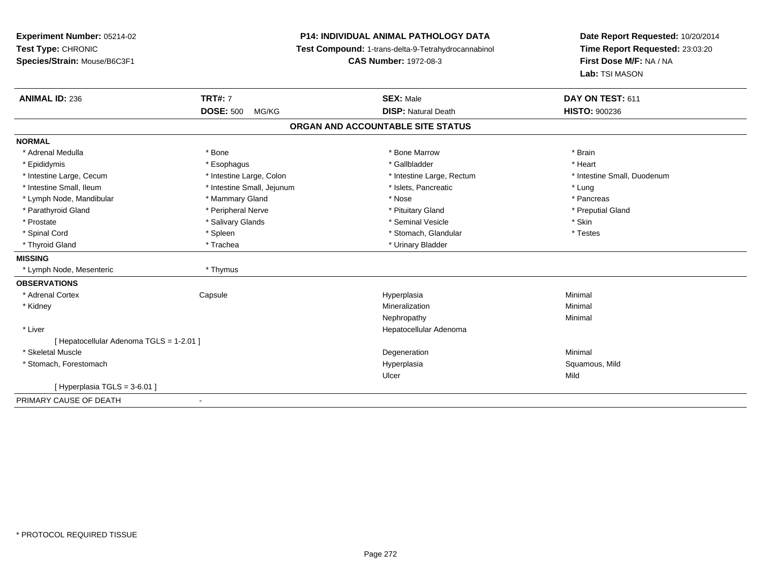# **P14: INDIVIDUAL ANIMAL PATHOLOGY DATA**

**Test Compound:** 1-trans-delta-9-Tetrahydrocannabinol

**CAS Number:** 1972-08-3

| <b>ANIMAL ID: 236</b>                    | <b>TRT#: 7</b>             | <b>SEX: Male</b>                  | DAY ON TEST: 611            |
|------------------------------------------|----------------------------|-----------------------------------|-----------------------------|
|                                          | <b>DOSE: 500</b><br>MG/KG  | <b>DISP: Natural Death</b>        | <b>HISTO: 900236</b>        |
|                                          |                            | ORGAN AND ACCOUNTABLE SITE STATUS |                             |
| <b>NORMAL</b>                            |                            |                                   |                             |
| * Adrenal Medulla                        | * Bone                     | * Bone Marrow                     | * Brain                     |
| * Epididymis                             | * Esophagus                | * Gallbladder                     | * Heart                     |
| * Intestine Large, Cecum                 | * Intestine Large, Colon   | * Intestine Large, Rectum         | * Intestine Small, Duodenum |
| * Intestine Small, Ileum                 | * Intestine Small, Jejunum | * Islets, Pancreatic              | * Lung                      |
| * Lymph Node, Mandibular                 | * Mammary Gland            | * Nose                            | * Pancreas                  |
| * Parathyroid Gland                      | * Peripheral Nerve         | * Pituitary Gland                 | * Preputial Gland           |
| * Prostate                               | * Salivary Glands          | * Seminal Vesicle                 | * Skin                      |
| * Spinal Cord                            | * Spleen                   | * Stomach, Glandular              | * Testes                    |
| * Thyroid Gland                          | * Trachea                  | * Urinary Bladder                 |                             |
| <b>MISSING</b>                           |                            |                                   |                             |
| * Lymph Node, Mesenteric                 | * Thymus                   |                                   |                             |
| <b>OBSERVATIONS</b>                      |                            |                                   |                             |
| * Adrenal Cortex                         | Capsule                    | Hyperplasia                       | Minimal                     |
| * Kidney                                 |                            | Mineralization                    | Minimal                     |
|                                          |                            | Nephropathy                       | Minimal                     |
| * Liver                                  |                            | Hepatocellular Adenoma            |                             |
| [ Hepatocellular Adenoma TGLS = 1-2.01 ] |                            |                                   |                             |
| * Skeletal Muscle                        |                            | Degeneration                      | Minimal                     |
| * Stomach, Forestomach                   |                            | Hyperplasia                       | Squamous, Mild              |
|                                          |                            | Ulcer                             | Mild                        |
| [Hyperplasia TGLS = $3-6.01$ ]           |                            |                                   |                             |
| PRIMARY CAUSE OF DEATH                   | $\blacksquare$             |                                   |                             |
|                                          |                            |                                   |                             |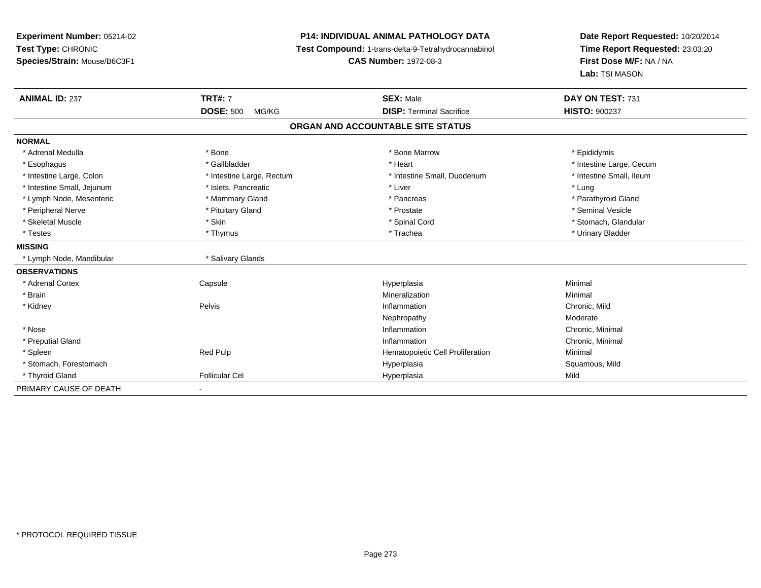**Experiment Number:** 05214-02**Test Type:** CHRONIC **Species/Strain:** Mouse/B6C3F1**P14: INDIVIDUAL ANIMAL PATHOLOGY DATA Test Compound:** 1-trans-delta-9-Tetrahydrocannabinol **CAS Number:** 1972-08-3**Date Report Requested:** 10/20/2014**Time Report Requested:** 23:03:20**First Dose M/F:** NA / NA**Lab:** TSI MASON**ANIMAL ID:** 237 **TRT#:** <sup>7</sup> **SEX:** Male **DAY ON TEST:** <sup>731</sup> **DOSE:** 500 MG/KG **DISP:** Terminal Sacrifice **HISTO:** <sup>900237</sup> **ORGAN AND ACCOUNTABLE SITE STATUSNORMAL**\* Adrenal Medulla \* Adrenal Medulla \* \* The matter of the state of the state of the Marrow \* Bone Marrow \* Adrenal Medulla \* Epididymis \* Epididymis \* Bone Marrow \* Adrenal Medulla \* Epididymis \* Epididymis \* Epididymis \* Epididymis \* Epidi \* Esophagus \* https://www.fragustage.com/web/2019/heart \* Heart \* Heart \* Heart \* Intestine Large, Cecum \* Intestine Large, Cecum \* Gallbladder \* Callbladder \* 11 and 12 and 12 and 12 and 12 and 12 and 12 and 12 and 12 and \* Intestine Small, Ileum \* Intestine Large, Colon \* Intestine Large, Rectum \* Intestine Small, Duodenum \* Intestine Small, Duodenum \* Intestine Small, Jejunum \* 1997 \* The state of the state of the state of the state of the state of the state  $\sim$  \* Lung \* Lung \* Lung \* Lung \* Lung \* Lung \* Lung \* Lung \* Lung \* Lung \* Lung \* Lung \* Lung \* Lung \* Lung \* \* Parathyroid Gland \* Lymph Node, Mesenteric \* Mammary Gland \* Mammary Gland \* Pancreas \* Pancreas \* \* Peripheral Nerve \* \* And the state \* Pituitary Gland \* \* Prosection \* Prostate \* \* Seminal Vesicle \* Seminal Vesicle \* Stomach. Glandular \* Skeletal Muscle \* \* Stan \* Skin \* Standular \* Spinal Cord \* Spinal Cord \* Stomach, Glandular \* Stomach, Glandular \* Stomach, Glandular \* Stomach, Glandular \* Stomach, Glandular \* Stomach, Glandular \* Stomach, Glandular \* \* Testes \* Thymus \* Trachea \* Urinary Bladder **MISSING** \* Lymph Node, Mandibular \* Salivary Glands**OBSERVATIONS** \* Adrenal Cortex**Capsule**  Hyperplasia Minimal \* Brainn and the controller of the controller of the controller of the Minimal Mineralization and the controller of the Minimal Minimal of the controller of the controller of the controller of the controller of the controller of \* Kidneyy the contract of the Pelvis and the Pelvis and the contract of the contract of the person of the contract of the contract of the contract of the contract of the contract of the contract of the contract of the contract of **Inflammation**<br> **Chronic, Mild**<br> **Noderate**<br> **Moderate** Nephropathyy and the contract of the Moderate Chronic, Minimal \* Nosee the contraction of the contraction of the contraction of the contraction of the chronic, Minimal on the chronic, Minimal or  $\mathbb{R}^n$  \* Preputial Glandd the controller of the controller of the controller of the controller of the controller of the controller of the controller of the controller of the controller of the controller of the controller of the controller of the \* SpleenRed Pulp **Minimal**<br>Hyperplasia Hyperplasia Hyperplasia Hyperplasia Squamous, Mild \* Stomach, Forestomachh ann an t-ìre ann an t-ìre ann an t-ìre ann an t-ìre ann an t-ìre ann an t-ìre ann an t-ìre ann an Squamous, Mild \* Thyroid Gland Follicular Cel Hyperplasia Mild PRIMARY CAUSE OF DEATH-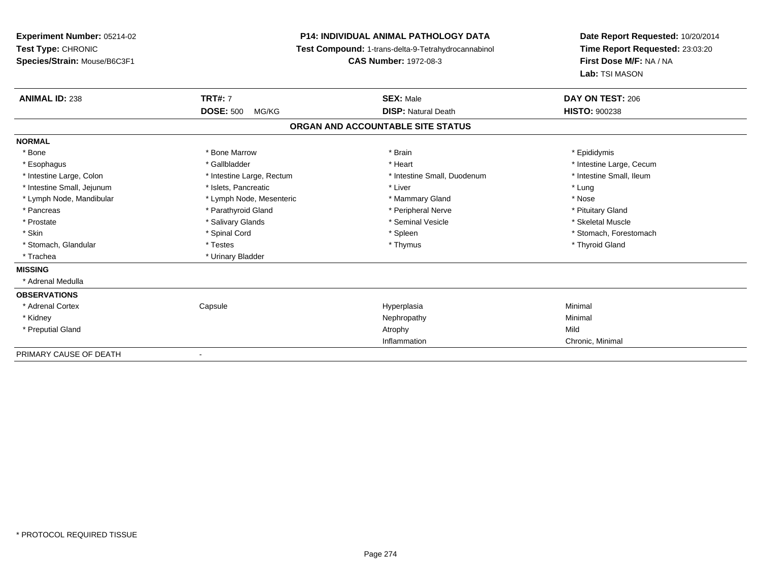**Experiment Number:** 05214-02**Test Type:** CHRONIC **Species/Strain:** Mouse/B6C3F1**P14: INDIVIDUAL ANIMAL PATHOLOGY DATA Test Compound:** 1-trans-delta-9-Tetrahydrocannabinol **CAS Number:** 1972-08-3**Date Report Requested:** 10/20/2014**Time Report Requested:** 23:03:20**First Dose M/F:** NA / NA**Lab:** TSI MASON**ANIMAL ID:** 238**TRT#:** 7 **SEX:** Male **DAY ON TEST:** 206 **DOSE:** 500 MG/KG**DISP:** Natural Death **HISTO:**  $900238$ **ORGAN AND ACCOUNTABLE SITE STATUSNORMAL**\* Bone \* Bone \* Bone Marrow \* Brain \* Epididymis \* Esophagus \* https://www.fragustage.com/web/2019/heart \* Heart \* Heart \* Heart \* Intestine Large, Cecum \* Intestine Large, Cecum \* Gallbladder \* Callbladder \* 11 and 12 and 12 and 12 and 12 and 12 and 12 and 12 and 12 and \* Intestine Small, Ileum \* Intestine Large, Colon \* Intestine Large, Rectum \* Intestine Small, Duodenum \* Intestine Small, Duodenum \* Intestine Small, Jejunum \* The matches of the state of the state of the state of the state of the state of the state of the state of the state of the state of the state of the state of the state of the state of the state \* Nose \* Lymph Node, Mandibular \* Lymph Node, Mesenteric \* Mammary Gland \* Mammary Gland \* Pituitary Gland \* Pancreas \* Pancreas \* Parathyroid Gland \* Pancreas \* Peripheral Nerve \* Skeletal Muscle \* Prostate \* \* Skeletal Muscle \* \* Salivary Glands \* \* Steminal Vesicle \* \* Seminal Vesicle \* \* Skeletal Muscle \* Skin \* Spinal Cord \* Spinal Cord \* Spinal Cord \* Spinal \* Spinal \* Stomach, Forestomach \* Stomach, Forestomach \* Stomach, Glandular \* \* \* Thyroid Glandular \* Thestes \* \* Thymus \* Thymus \* Thyroid Glandular \* Thyroid Gland \* Trachea \* Urinary Bladder**MISSING** \* Adrenal Medulla**OBSERVATIONS** \* Adrenal Cortex**Capsule**  Hyperplasia Minimal \* Kidneyy the control of the control of the control of the control of the control of the control of the control of the control of the control of the control of the control of the control of the control of the control of the contro \* Preputial Glandd and the control of the control of the control of the control of the control of the control of the control of the control of the control of the control of the control of the control of the control of the control of the co Inflammation Chronic, Minimal PRIMARY CAUSE OF DEATH-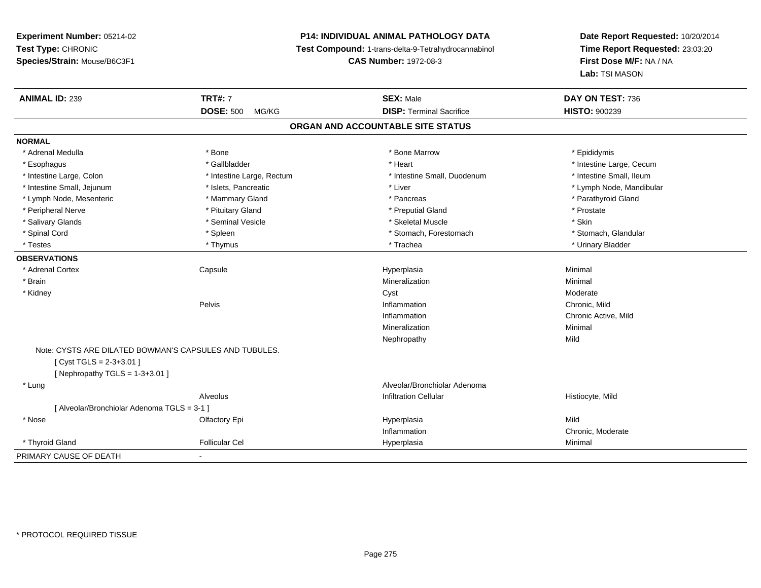# **P14: INDIVIDUAL ANIMAL PATHOLOGY DATA**

**Test Compound:** 1-trans-delta-9-Tetrahydrocannabinol

**CAS Number:** 1972-08-3

| <b>ANIMAL ID: 239</b>                                  | <b>TRT#: 7</b>            | <b>SEX: Male</b>                  | DAY ON TEST: 736         |  |
|--------------------------------------------------------|---------------------------|-----------------------------------|--------------------------|--|
|                                                        | <b>DOSE: 500</b><br>MG/KG | <b>DISP: Terminal Sacrifice</b>   | <b>HISTO: 900239</b>     |  |
|                                                        |                           | ORGAN AND ACCOUNTABLE SITE STATUS |                          |  |
| <b>NORMAL</b>                                          |                           |                                   |                          |  |
| * Adrenal Medulla                                      | * Bone                    | * Bone Marrow                     | * Epididymis             |  |
| * Esophagus                                            | * Gallbladder             | * Heart                           | * Intestine Large, Cecum |  |
| * Intestine Large, Colon                               | * Intestine Large, Rectum | * Intestine Small, Duodenum       | * Intestine Small, Ileum |  |
| * Intestine Small, Jejunum                             | * Islets, Pancreatic      | * Liver                           | * Lymph Node, Mandibular |  |
| * Lymph Node, Mesenteric                               | * Mammary Gland           | * Pancreas                        | * Parathyroid Gland      |  |
| * Peripheral Nerve                                     | * Pituitary Gland         | * Preputial Gland                 | * Prostate               |  |
| * Salivary Glands                                      | * Seminal Vesicle         | * Skeletal Muscle                 | * Skin                   |  |
| * Spinal Cord                                          | * Spleen                  | * Stomach, Forestomach            | * Stomach, Glandular     |  |
| * Testes                                               | * Thymus                  | * Trachea                         | * Urinary Bladder        |  |
| <b>OBSERVATIONS</b>                                    |                           |                                   |                          |  |
| * Adrenal Cortex                                       | Capsule                   | Hyperplasia                       | Minimal                  |  |
| * Brain                                                |                           | Mineralization                    | Minimal                  |  |
| * Kidney                                               |                           | Cyst                              | Moderate                 |  |
|                                                        | Pelvis                    | Inflammation                      | Chronic, Mild            |  |
|                                                        |                           | Inflammation                      | Chronic Active, Mild     |  |
|                                                        |                           | Mineralization                    | Minimal                  |  |
|                                                        |                           | Nephropathy                       | Mild                     |  |
| Note: CYSTS ARE DILATED BOWMAN'S CAPSULES AND TUBULES. |                           |                                   |                          |  |
| [Cyst TGLS = $2-3+3.01$ ]                              |                           |                                   |                          |  |
| [ Nephropathy TGLS = $1-3+3.01$ ]                      |                           |                                   |                          |  |
| * Lung                                                 |                           | Alveolar/Bronchiolar Adenoma      |                          |  |
|                                                        | Alveolus                  | <b>Infiltration Cellular</b>      | Histiocyte, Mild         |  |
| [ Alveolar/Bronchiolar Adenoma TGLS = 3-1 ]            |                           |                                   |                          |  |
| * Nose                                                 | Olfactory Epi             | Hyperplasia                       | Mild                     |  |
|                                                        |                           | Inflammation                      | Chronic, Moderate        |  |
| * Thyroid Gland                                        | <b>Follicular Cel</b>     | Hyperplasia                       | Minimal                  |  |
| PRIMARY CAUSE OF DEATH                                 |                           |                                   |                          |  |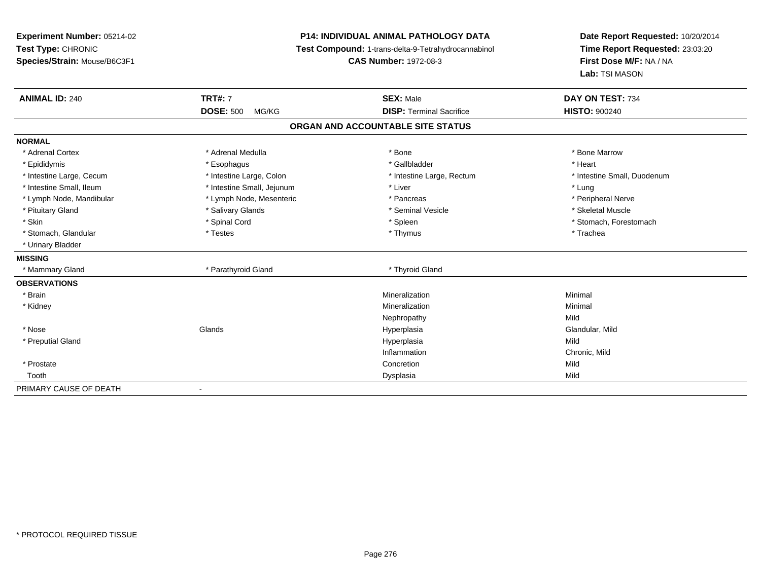**Experiment Number:** 05214-02**Test Type:** CHRONIC **Species/Strain:** Mouse/B6C3F1**P14: INDIVIDUAL ANIMAL PATHOLOGY DATA Test Compound:** 1-trans-delta-9-Tetrahydrocannabinol **CAS Number:** 1972-08-3**Date Report Requested:** 10/20/2014**Time Report Requested:** 23:03:20**First Dose M/F:** NA / NA**Lab:** TSI MASON**ANIMAL ID:** 240**TRT#:** 7 **SEX:** Male **DAY ON TEST:** 734 **DOSE:** 500 MG/KG**DISP:** Terminal Sacrifice **HISTO:**  $900240$ **ORGAN AND ACCOUNTABLE SITE STATUSNORMAL**\* Adrenal Cortex \* Adrenal Medulla \* Adrenal Medulla \* Bone \* Bone \* Bone \* Bone \* Bone Marrow \* Epididymis \* Esophagus \* Gallbladder \* Heart\* Intestine Large, Cecum \* Intestine Large, Colon \* Intestine Large, Rectum \* Intestine Small, Duodenum \* Intestine Small, Ileum \* https://www.thestine Small, Jejunum \* Liver \* Liver \* Liver \* Liver \* Lung \* Peripheral Nerve \* Lymph Node, Mandibular \* Lymph Node, Mesenteric \* Pancreas \* Pancreas \* Pancreas \* Pancreas \* Pancreas \* Peripheral Nerves \* Pancreas \* Pancreas \* Pancreas \* Pancreas \* Pancreas \* Pancreas \* Pancreas \* Pancreas \* Pancrea \* Skeletal Muscle \* Pituitary Gland \* \* \* \* Salivary Glands \* \* Salivary Glands \* \* Seminal Vesicle \* \* \* \* \* \* Skeletal Muscle \* \* Skin \* Spinal Cord \* Spinal Cord \* Spinal Cord \* Spinal \* Spinal \* Stomach, Forestomach \* Stomach, Forestomach \* Stomach, Glandular \* Trachea \* Testes \* Thymus \* Thymus \* Thymus \* Thymus \* Trachea \* Trachea \* Urinary Bladder**MISSING**\* Mammary Gland \* Parathyroid Gland \* Thyroid Gland **OBSERVATIONS** \* Brainn and the controller of the controller of the controller of the Minimal Mineralization and the controller of the Minimal Minimal  $\alpha$  \* Kidneyy the control of the control of the control of the control of the control of the control of the control of the control of the control of the control of the control of the control of the control of the control of the contro n Minimal Nephropathyy Mild Glandular, Mild \* Nose Glands Hyperplasia Glandular, Mild \* Preputial Glandd and the control of the control of the control of the control of the control of the control of the control of the control of the control of the control of the control of the control of the control of the control of the co Inflammation Chronic, Mild \* Prostatee and the concretion of the concretion of the concretion of the concretion of the concretion of the concretion Toothh ann an t-Iomraid ann an t-Iomraid ann an t-Iomraid ann an t-Iomraid ann an t-Iomraid ann an t-Iomraid ann an<br>Iomraid an t-Iomraid ann an t-Iomraid ann an t-Iomraid ann an t-Iomraid ann an t-Iomraid ann an t-Iomraid ann PRIMARY CAUSE OF DEATH-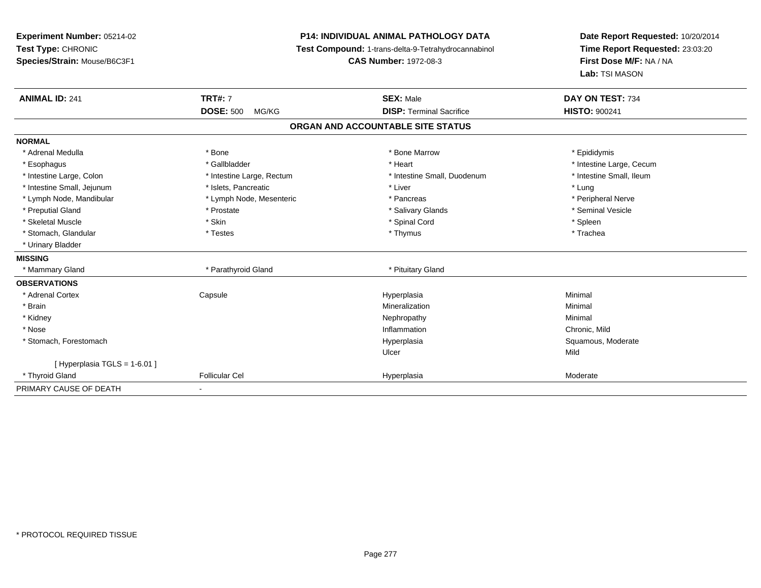**Experiment Number:** 05214-02**Test Type:** CHRONIC **Species/Strain:** Mouse/B6C3F1**P14: INDIVIDUAL ANIMAL PATHOLOGY DATA Test Compound:** 1-trans-delta-9-Tetrahydrocannabinol **CAS Number:** 1972-08-3**Date Report Requested:** 10/20/2014**Time Report Requested:** 23:03:20**First Dose M/F:** NA / NA**Lab:** TSI MASON**ANIMAL ID:** 241**TRT#:** 7 **SEX:** Male **DAY ON TEST:** 734 **DOSE:** 500 MG/KG**DISP:** Terminal Sacrifice **HISTO:** 900241 **ORGAN AND ACCOUNTABLE SITE STATUSNORMAL**\* Adrenal Medulla \* Adrenal Medulla \* \* The matter of the state of the state of the Marrow \* Bone Marrow \* Adrenal Medulla \* Epididymis \* Epididymis \* Bone Marrow \* Adrenal Medulla \* Epididymis \* Epididymis \* Epididymis \* Epididymis \* Epidi \* Esophagus \* https://www.fragustage.com/web/2019/heart \* Heart \* Heart \* Heart \* Intestine Large, Cecum \* Intestine Large, Cecum \* Gallbladder \* Callbladder \* 11 and 12 and 12 and 12 and 12 and 12 and 12 and 12 and 12 and \* Intestine Small, Ileum \* Intestine Large, Colon \* Intestine Large, Rectum \* Intestine Small, Duodenum \* Intestine Small, Duodenum \* Intestine Small, Jejunum \* 1997 \* The state of the state of the state of the state of the state of the state  $\sim$  \* Lung \* Lung \* Lung \* Lung \* Lung \* Lung \* Lung \* Lung \* Lung \* Lung \* Lung \* Lung \* Lung \* Lung \* Lung \* \* Peripheral Nerve \* Lymph Node, Mandibular \* Lymph Node, Mesenteric \* Pancreas \* Pancreas \* Pancreas \* Pancreas \* Pancreas \* Pancreal Nerve \* Seminal Vesicle \* Preputial Gland \* \* Annual vesicle \* \* Prostate \* \* Salivary Glands \* \* Salivary Glands \* \* Seminal Vesicle \* \* Skeletal Muscle \* Skin \* Spinal Cord \* Spleen \* Trachea \* Stomach, Glandular \* Testes \* Thymus \* Thymus \* Thymus \* Thymus \* Thymus \* Thymus \* Thymus \* Thymus \* Thymus \* Thymus \* Thymus \* Thymus \* Thymus \* Thymus \* Thymus \* Thymus \* Thymus \* Thymus \* Thymus \* Thymus \* Thymus \* T \* Urinary Bladder**MISSING**\* Mammary Gland \* Parathyroid Gland \* Pituitary Gland **OBSERVATIONS** \* Adrenal Cortex**Capsule**  Hyperplasia Minimal \* Brainn and the controller of the controller of the controller of the Minimal Mineralization and the controller of the Minimal Minimal  $\alpha$  \* Kidneyy the control of the control of the control of the control of the control of the control of the control of the control of the control of the control of the control of the control of the control of the control of the contro \* Nosee and the contract of the contract of the contract of the contract of the contract of the chronic, Mild and the chronic, Mild and the chronic, Mild and the chronic state of the chronic state of the chronic state of the chr \* Stomach, Forestomachh ann an t-ìre ann am Suid-Africa ann an t-ìre anns an t-ìre anns an t-ìre anns an t-ìre anns an Suid-Africa a<br>Bhainn an t-ìre anns an t-ìre anns an t-ìre anns an t-ìre anns an t-ìre anns an t-ìre anns an t-ìre anns an t-Ulcerr **Mild**  $[$  Hyperplasia TGLS = 1-6.01 ] \* Thyroid Glandd and the Follicular Cel the Cel the Hyperplasia Hyperplasia Cel the Moderate Moderate Cel the Moderate of the Moderate Cel the Moderate Cel the Moderate Cel the Moderate Cel the Moderate Cel the Moderate Cel the Moderate PRIMARY CAUSE OF DEATH-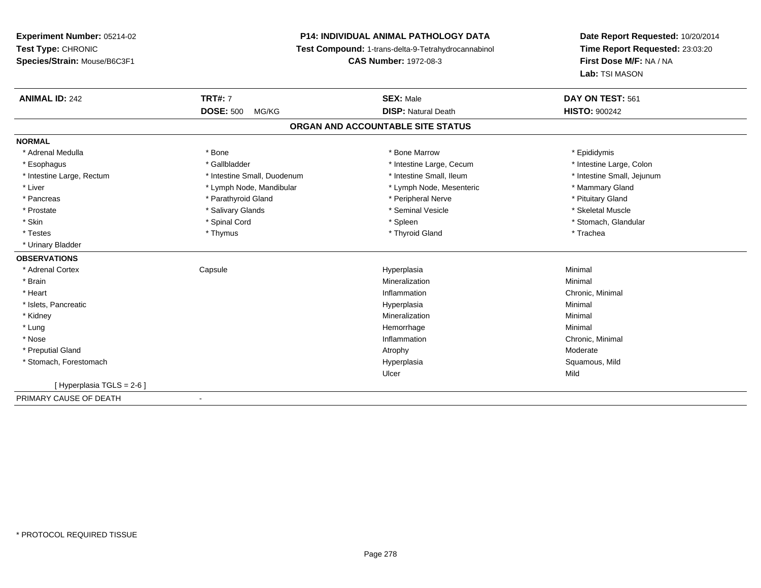# **P14: INDIVIDUAL ANIMAL PATHOLOGY DATA**

**Test Compound:** 1-trans-delta-9-Tetrahydrocannabinol

**CAS Number:** 1972-08-3

| <b>ANIMAL ID: 242</b>      | <b>TRT#: 7</b>              | <b>SEX: Male</b>                  | DAY ON TEST: 561           |
|----------------------------|-----------------------------|-----------------------------------|----------------------------|
|                            | <b>DOSE: 500</b><br>MG/KG   | <b>DISP: Natural Death</b>        | <b>HISTO: 900242</b>       |
|                            |                             | ORGAN AND ACCOUNTABLE SITE STATUS |                            |
| <b>NORMAL</b>              |                             |                                   |                            |
| * Adrenal Medulla          | * Bone                      | * Bone Marrow                     | * Epididymis               |
| * Esophagus                | * Gallbladder               | * Intestine Large, Cecum          | * Intestine Large, Colon   |
| * Intestine Large, Rectum  | * Intestine Small, Duodenum | * Intestine Small, Ileum          | * Intestine Small, Jejunum |
| * Liver                    | * Lymph Node, Mandibular    | * Lymph Node, Mesenteric          | * Mammary Gland            |
| * Pancreas                 | * Parathyroid Gland         | * Peripheral Nerve                | * Pituitary Gland          |
| * Prostate                 | * Salivary Glands           | * Seminal Vesicle                 | * Skeletal Muscle          |
| * Skin                     | * Spinal Cord               | * Spleen                          | * Stomach, Glandular       |
| * Testes                   | * Thymus                    | * Thyroid Gland                   | * Trachea                  |
| * Urinary Bladder          |                             |                                   |                            |
| <b>OBSERVATIONS</b>        |                             |                                   |                            |
| * Adrenal Cortex           | Capsule                     | Hyperplasia                       | Minimal                    |
| * Brain                    |                             | Mineralization                    | Minimal                    |
| * Heart                    |                             | Inflammation                      | Chronic, Minimal           |
| * Islets, Pancreatic       |                             | Hyperplasia                       | Minimal                    |
| * Kidney                   |                             | Mineralization                    | Minimal                    |
| * Lung                     |                             | Hemorrhage                        | Minimal                    |
| * Nose                     |                             | Inflammation                      | Chronic, Minimal           |
| * Preputial Gland          |                             | Atrophy                           | Moderate                   |
| * Stomach, Forestomach     |                             | Hyperplasia                       | Squamous, Mild             |
|                            |                             | Ulcer                             | Mild                       |
| [ Hyperplasia TGLS = 2-6 ] |                             |                                   |                            |
| PRIMARY CAUSE OF DEATH     | $\overline{\phantom{a}}$    |                                   |                            |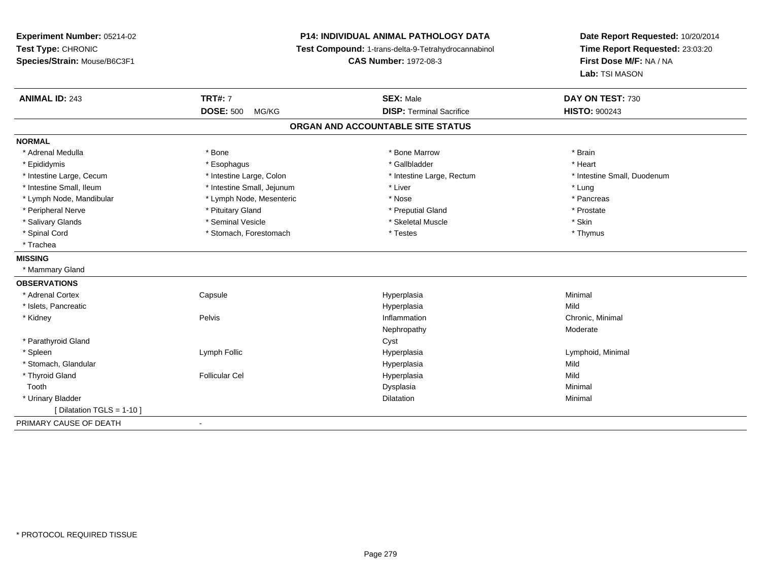**Experiment Number:** 05214-02**Test Type:** CHRONIC **Species/Strain:** Mouse/B6C3F1**P14: INDIVIDUAL ANIMAL PATHOLOGY DATA Test Compound:** 1-trans-delta-9-Tetrahydrocannabinol **CAS Number:** 1972-08-3**Date Report Requested:** 10/20/2014**Time Report Requested:** 23:03:20**First Dose M/F:** NA / NA**Lab:** TSI MASON**ANIMAL ID:** 243**TRT#:** 7 **SEX:** Male **DAY ON TEST:** 730 **DOSE:** 500 MG/KG **DISP:** Terminal Sacrifice **HISTO:** <sup>900243</sup> **ORGAN AND ACCOUNTABLE SITE STATUSNORMAL**\* Adrenal Medulla \* \* Annual Medulla \* Brain \* Bone \* \* Bone Marrow \* Bone Marrow \* \* Brain \* Brain \* Brain \* Brain \* Brain \* Brain \* Brain \* Brain \* Brain \* Brain \* Brain \* Brain \* Brain \* Brain \* Brain \* Brain \* Brain \* \* Heart \* Epididymis \* Esophagus \* Gallbladder \* Heart\* Intestine Large, Cecum \* Intestine Large, Colon \* Intestine Large, Thestine Large, Rectum \* Intestine Small, Duodenum \* Intestine Small, Ileum \* https://www.thestine Small, Jejunum \* Liver \* Liver \* Liver \* Liver \* Lung \* Pancreas \* Lymph Node, Mandibular \* Nose \* Lymph Node, Mesenteric \* Nose \* Nose \* Prostate \* Peripheral Nerve \* \* \* Prostate \* \* Pretuitary Gland \* \* \* \* \* \* \* Preputial Gland \* \* \* Prostate \* Prostate \* Salivary Glands \* Seminal Vesicle \* Skeletal Muscle \* Skin\* Thymus \* Spinal Cord \* Testes \* Stomach, Forestomach \* Spinal Cord \* Testes \* Trachea**MISSING** \* Mammary Gland**OBSERVATIONS** \* Adrenal Cortex**Capsule**  Hyperplasia Minimal \* Islets, Pancreaticc and the contract of the contract of the contract of the contract of the contract of the contract of the contract of the contract of the contract of the contract of the contract of the contract of the contract of the cont a Mild \* Kidneyy the contract of the Pelvis and the Pelvis and the contract of the contract of the person of the contract of the contract of the contract of the contract of the contract of the contract of the contract of the contract of Inflammation **Chronic**, Minimal Nephropathy Moderate \* Parathyroid Glandd Cyst \* Spleen Lymph Follic Hyperplasia Lymphoid, Minimal \* Stomach, Glandularr and the contract of the contract of the contract of the contract of the contract of the contract of the contract of the contract of the contract of the contract of the contract of the contract of the contract of the cont a Mild \* Thyroid Gland Follicular Cel Hyperplasia Mild Toothh anns an t-aisim anns an t-aisim an t-aisim anns an t-aisim an t-aisim anns an t-aisim an t-aisim an t-aisim a<br>Iomraidhean an t-aisim an t-aisim an t-aisim an t-aisim an t-aisim an t-aisim an t-aisim an t-aisim an t-aisim \* Urinary Bladder**n** Dilatation **Contract Contract Contract Contract Contract Contract Contract Contract Contract Contract Contract Contract Contract Contract Contract Contract Contract Contract Contract Contract Contract Contract Contract** n and a basic control of the Minimal [ Dilatation TGLS = 1-10 ]PRIMARY CAUSE OF DEATH-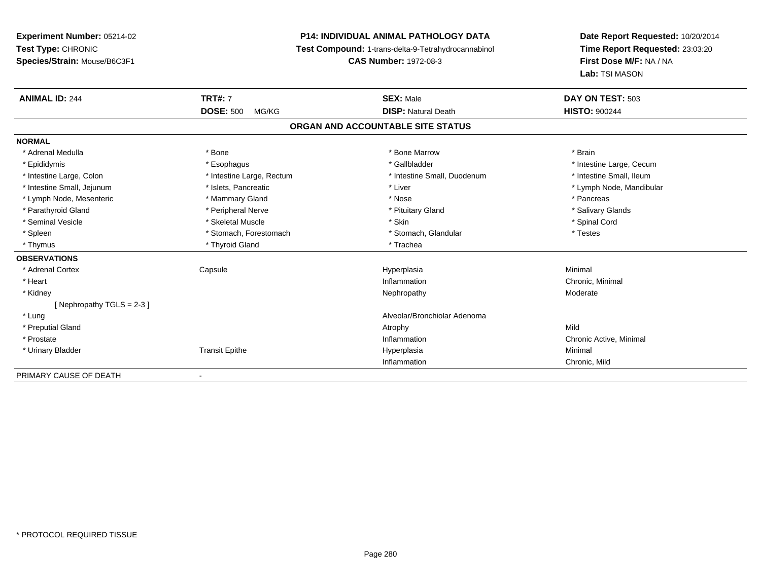# **P14: INDIVIDUAL ANIMAL PATHOLOGY DATA**

**Test Compound:** 1-trans-delta-9-Tetrahydrocannabinol

**CAS Number:** 1972-08-3

| <b>ANIMAL ID: 244</b>       | <b>TRT#: 7</b>            | <b>SEX: Male</b>                  | DAY ON TEST: 503         |
|-----------------------------|---------------------------|-----------------------------------|--------------------------|
|                             | <b>DOSE: 500</b><br>MG/KG | <b>DISP: Natural Death</b>        | <b>HISTO: 900244</b>     |
|                             |                           | ORGAN AND ACCOUNTABLE SITE STATUS |                          |
| <b>NORMAL</b>               |                           |                                   |                          |
| * Adrenal Medulla           | * Bone                    | * Bone Marrow                     | * Brain                  |
| * Epididymis                | * Esophagus               | * Gallbladder                     | * Intestine Large, Cecum |
| * Intestine Large, Colon    | * Intestine Large, Rectum | * Intestine Small, Duodenum       | * Intestine Small, Ileum |
| * Intestine Small, Jejunum  | * Islets, Pancreatic      | * Liver                           | * Lymph Node, Mandibular |
| * Lymph Node, Mesenteric    | * Mammary Gland           | * Nose                            | * Pancreas               |
| * Parathyroid Gland         | * Peripheral Nerve        | * Pituitary Gland                 | * Salivary Glands        |
| * Seminal Vesicle           | * Skeletal Muscle         | * Skin                            | * Spinal Cord            |
| * Spleen                    | * Stomach, Forestomach    | * Stomach, Glandular              | * Testes                 |
| * Thymus                    | * Thyroid Gland           | * Trachea                         |                          |
| <b>OBSERVATIONS</b>         |                           |                                   |                          |
| * Adrenal Cortex            | Capsule                   | Hyperplasia                       | Minimal                  |
| * Heart                     |                           | Inflammation                      | Chronic, Minimal         |
| * Kidney                    |                           | Nephropathy                       | Moderate                 |
| [Nephropathy TGLS = $2-3$ ] |                           |                                   |                          |
| * Lung                      |                           | Alveolar/Bronchiolar Adenoma      |                          |
| * Preputial Gland           |                           | Atrophy                           | Mild                     |
| * Prostate                  |                           | Inflammation                      | Chronic Active, Minimal  |
| * Urinary Bladder           | <b>Transit Epithe</b>     | Hyperplasia                       | Minimal                  |
|                             |                           | Inflammation                      | Chronic, Mild            |
| PRIMARY CAUSE OF DEATH      |                           |                                   |                          |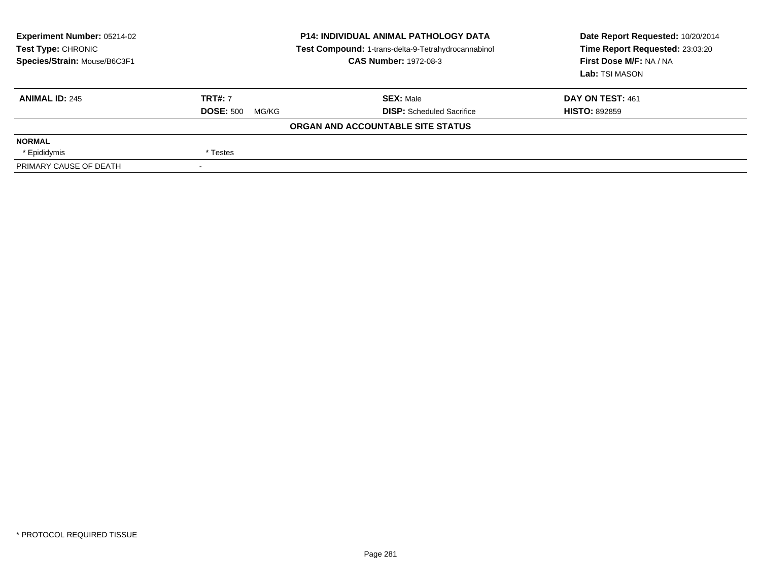| <b>Experiment Number: 05214-02</b><br>Test Type: CHRONIC<br>Species/Strain: Mouse/B6C3F1 | <b>P14: INDIVIDUAL ANIMAL PATHOLOGY DATA</b><br>Test Compound: 1-trans-delta-9-Tetrahydrocannabinol<br><b>CAS Number: 1972-08-3</b> |                                   | Date Report Requested: 10/20/2014<br>Time Report Requested: 23:03:20<br>First Dose M/F: NA / NA<br>Lab: TSI MASON |  |
|------------------------------------------------------------------------------------------|-------------------------------------------------------------------------------------------------------------------------------------|-----------------------------------|-------------------------------------------------------------------------------------------------------------------|--|
| <b>ANIMAL ID: 245</b>                                                                    | <b>TRT#: 7</b>                                                                                                                      | <b>SEX: Male</b>                  | DAY ON TEST: 461                                                                                                  |  |
|                                                                                          | <b>DOSE: 500</b><br>MG/KG                                                                                                           | <b>DISP:</b> Scheduled Sacrifice  | <b>HISTO: 892859</b>                                                                                              |  |
|                                                                                          |                                                                                                                                     | ORGAN AND ACCOUNTABLE SITE STATUS |                                                                                                                   |  |
| <b>NORMAL</b>                                                                            |                                                                                                                                     |                                   |                                                                                                                   |  |
| * Epididymis                                                                             | * Testes                                                                                                                            |                                   |                                                                                                                   |  |
| PRIMARY CAUSE OF DEATH                                                                   |                                                                                                                                     |                                   |                                                                                                                   |  |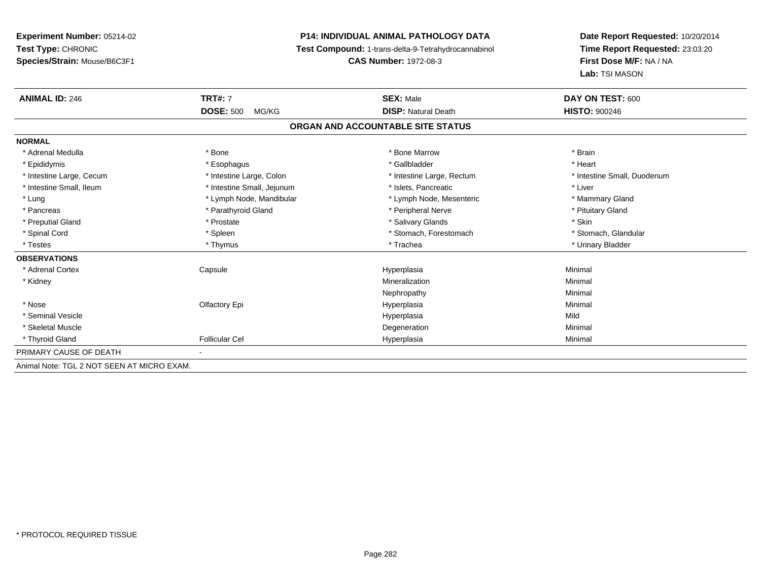# **P14: INDIVIDUAL ANIMAL PATHOLOGY DATA**

**Test Compound:** 1-trans-delta-9-Tetrahydrocannabinol

**CAS Number:** 1972-08-3

| <b>ANIMAL ID: 246</b>                      | <b>TRT#: 7</b>             | <b>SEX: Male</b>                  | DAY ON TEST: 600            |
|--------------------------------------------|----------------------------|-----------------------------------|-----------------------------|
|                                            | <b>DOSE: 500</b><br>MG/KG  | <b>DISP: Natural Death</b>        | <b>HISTO: 900246</b>        |
|                                            |                            | ORGAN AND ACCOUNTABLE SITE STATUS |                             |
| <b>NORMAL</b>                              |                            |                                   |                             |
| * Adrenal Medulla                          | * Bone                     | * Bone Marrow                     | * Brain                     |
| * Epididymis                               | * Esophagus                | * Gallbladder                     | * Heart                     |
| * Intestine Large, Cecum                   | * Intestine Large, Colon   | * Intestine Large, Rectum         | * Intestine Small, Duodenum |
| * Intestine Small, Ileum                   | * Intestine Small, Jejunum | * Islets, Pancreatic              | * Liver                     |
| * Lung                                     | * Lymph Node, Mandibular   | * Lymph Node, Mesenteric          | * Mammary Gland             |
| * Pancreas                                 | * Parathyroid Gland        | * Peripheral Nerve                | * Pituitary Gland           |
| * Preputial Gland                          | * Prostate                 | * Salivary Glands                 | * Skin                      |
| * Spinal Cord                              | * Spleen                   | * Stomach, Forestomach            | * Stomach, Glandular        |
| * Testes                                   | * Thymus                   | * Trachea                         | * Urinary Bladder           |
| <b>OBSERVATIONS</b>                        |                            |                                   |                             |
| * Adrenal Cortex                           | Capsule                    | Hyperplasia                       | Minimal                     |
| * Kidney                                   |                            | Mineralization                    | Minimal                     |
|                                            |                            | Nephropathy                       | Minimal                     |
| * Nose                                     | Olfactory Epi              | Hyperplasia                       | Minimal                     |
| * Seminal Vesicle                          |                            | Hyperplasia                       | Mild                        |
| * Skeletal Muscle                          |                            | Degeneration                      | Minimal                     |
| * Thyroid Gland                            | <b>Follicular Cel</b>      | Hyperplasia                       | Minimal                     |
| PRIMARY CAUSE OF DEATH                     |                            |                                   |                             |
| Animal Note: TGL 2 NOT SEEN AT MICRO EXAM. |                            |                                   |                             |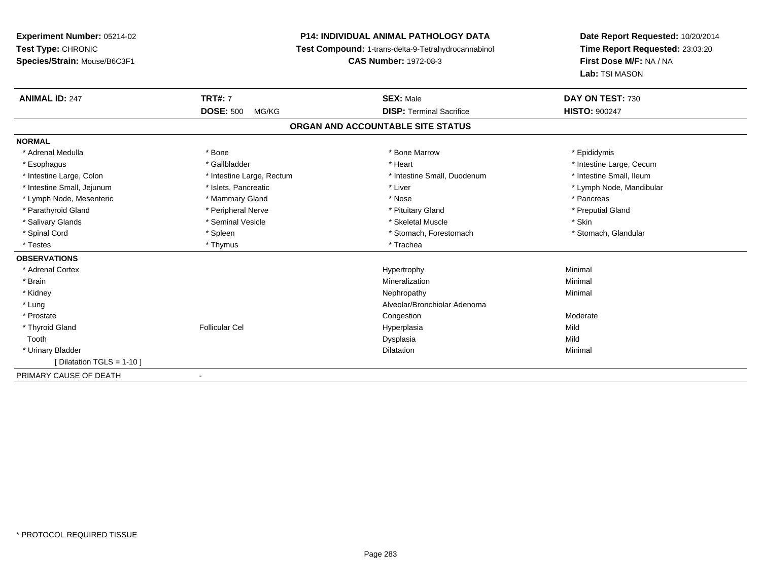# **P14: INDIVIDUAL ANIMAL PATHOLOGY DATA**

**Test Compound:** 1-trans-delta-9-Tetrahydrocannabinol

**CAS Number:** 1972-08-3

| <b>ANIMAL ID: 247</b>      | <b>TRT#: 7</b>            | <b>SEX: Male</b>                  | DAY ON TEST: 730         |
|----------------------------|---------------------------|-----------------------------------|--------------------------|
|                            | <b>DOSE: 500</b><br>MG/KG | <b>DISP: Terminal Sacrifice</b>   | <b>HISTO: 900247</b>     |
|                            |                           | ORGAN AND ACCOUNTABLE SITE STATUS |                          |
| <b>NORMAL</b>              |                           |                                   |                          |
| * Adrenal Medulla          | * Bone                    | * Bone Marrow                     | * Epididymis             |
| * Esophagus                | * Gallbladder             | * Heart                           | * Intestine Large, Cecum |
| * Intestine Large, Colon   | * Intestine Large, Rectum | * Intestine Small, Duodenum       | * Intestine Small, Ileum |
| * Intestine Small, Jejunum | * Islets, Pancreatic      | * Liver                           | * Lymph Node, Mandibular |
| * Lymph Node, Mesenteric   | * Mammary Gland           | * Nose                            | * Pancreas               |
| * Parathyroid Gland        | * Peripheral Nerve        | * Pituitary Gland                 | * Preputial Gland        |
| * Salivary Glands          | * Seminal Vesicle         | * Skeletal Muscle                 | * Skin                   |
| * Spinal Cord              | * Spleen                  | * Stomach, Forestomach            | * Stomach, Glandular     |
| * Testes                   | * Thymus                  | * Trachea                         |                          |
| <b>OBSERVATIONS</b>        |                           |                                   |                          |
| * Adrenal Cortex           |                           | Hypertrophy                       | Minimal                  |
| * Brain                    |                           | Mineralization                    | Minimal                  |
| * Kidney                   |                           | Nephropathy                       | Minimal                  |
| * Lung                     |                           | Alveolar/Bronchiolar Adenoma      |                          |
| * Prostate                 |                           | Congestion                        | Moderate                 |
| * Thyroid Gland            | <b>Follicular Cel</b>     | Hyperplasia                       | Mild                     |
| Tooth                      |                           | Dysplasia                         | Mild                     |
| * Urinary Bladder          |                           | Dilatation                        | Minimal                  |
| [Dilatation TGLS = 1-10]   |                           |                                   |                          |
| PRIMARY CAUSE OF DEATH     |                           |                                   |                          |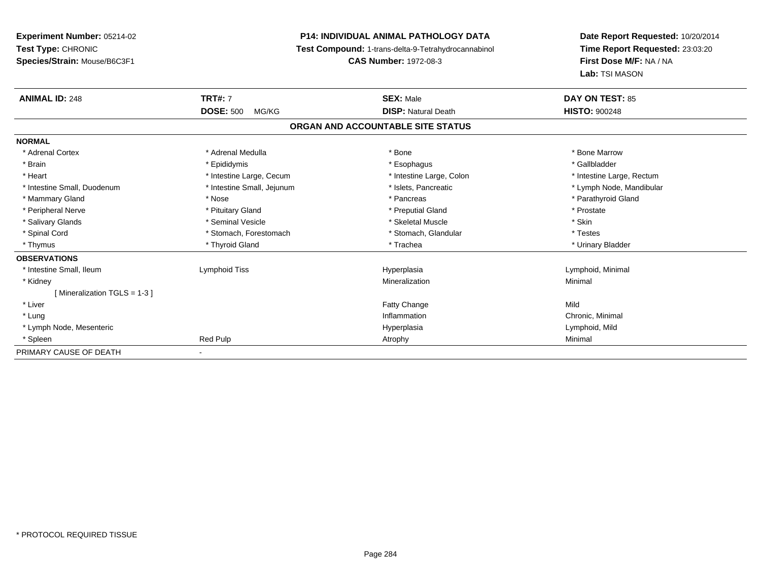# **P14: INDIVIDUAL ANIMAL PATHOLOGY DATA**

**Test Compound:** 1-trans-delta-9-Tetrahydrocannabinol

**CAS Number:** 1972-08-3

| <b>ANIMAL ID: 248</b>       | <b>TRT#: 7</b>             | <b>SEX: Male</b>                  | <b>DAY ON TEST: 85</b>    |
|-----------------------------|----------------------------|-----------------------------------|---------------------------|
|                             | <b>DOSE: 500</b><br>MG/KG  | <b>DISP: Natural Death</b>        | <b>HISTO: 900248</b>      |
|                             |                            | ORGAN AND ACCOUNTABLE SITE STATUS |                           |
| <b>NORMAL</b>               |                            |                                   |                           |
| * Adrenal Cortex            | * Adrenal Medulla          | * Bone                            | * Bone Marrow             |
| * Brain                     | * Epididymis               | * Esophagus                       | * Gallbladder             |
| * Heart                     | * Intestine Large, Cecum   | * Intestine Large, Colon          | * Intestine Large, Rectum |
| * Intestine Small, Duodenum | * Intestine Small, Jejunum | * Islets, Pancreatic              | * Lymph Node, Mandibular  |
| * Mammary Gland             | * Nose                     | * Pancreas                        | * Parathyroid Gland       |
| * Peripheral Nerve          | * Pituitary Gland          | * Preputial Gland                 | * Prostate                |
| * Salivary Glands           | * Seminal Vesicle          | * Skeletal Muscle                 | * Skin                    |
| * Spinal Cord               | * Stomach, Forestomach     | * Stomach, Glandular              | * Testes                  |
| * Thymus                    | * Thyroid Gland            | * Trachea                         | * Urinary Bladder         |
| <b>OBSERVATIONS</b>         |                            |                                   |                           |
| * Intestine Small, Ileum    | Lymphoid Tiss              | Hyperplasia                       | Lymphoid, Minimal         |
| * Kidney                    |                            | Mineralization                    | Minimal                   |
| [Mineralization TGLS = 1-3] |                            |                                   |                           |
| * Liver                     |                            | Fatty Change                      | Mild                      |
| * Lung                      |                            | Inflammation                      | Chronic, Minimal          |
| * Lymph Node, Mesenteric    |                            | Hyperplasia                       | Lymphoid, Mild            |
| * Spleen                    | Red Pulp                   | Atrophy                           | Minimal                   |
| PRIMARY CAUSE OF DEATH      |                            |                                   |                           |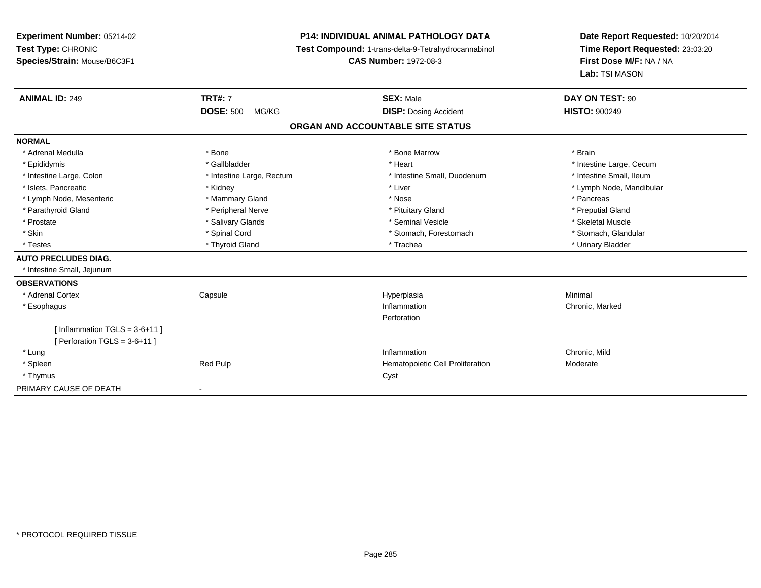# **P14: INDIVIDUAL ANIMAL PATHOLOGY DATA**

**Test Compound:** 1-trans-delta-9-Tetrahydrocannabinol

**CAS Number:** 1972-08-3

| <b>ANIMAL ID: 249</b>             | <b>TRT#: 7</b>            | <b>SEX: Male</b>                 | DAY ON TEST: 90          |
|-----------------------------------|---------------------------|----------------------------------|--------------------------|
|                                   | <b>DOSE: 500</b><br>MG/KG | <b>DISP: Dosing Accident</b>     | <b>HISTO: 900249</b>     |
| ORGAN AND ACCOUNTABLE SITE STATUS |                           |                                  |                          |
| <b>NORMAL</b>                     |                           |                                  |                          |
| * Adrenal Medulla                 | * Bone                    | * Bone Marrow                    | * Brain                  |
| * Epididymis                      | * Gallbladder             | * Heart                          | * Intestine Large, Cecum |
| * Intestine Large, Colon          | * Intestine Large, Rectum | * Intestine Small, Duodenum      | * Intestine Small, Ileum |
| * Islets, Pancreatic              | * Kidney                  | * Liver                          | * Lymph Node, Mandibular |
| * Lymph Node, Mesenteric          | * Mammary Gland           | * Nose                           | * Pancreas               |
| * Parathyroid Gland               | * Peripheral Nerve        | * Pituitary Gland                | * Preputial Gland        |
| * Prostate                        | * Salivary Glands         | * Seminal Vesicle                | * Skeletal Muscle        |
| * Skin                            | * Spinal Cord             | * Stomach, Forestomach           | * Stomach, Glandular     |
| * Testes                          | * Thyroid Gland           | * Trachea                        | * Urinary Bladder        |
| <b>AUTO PRECLUDES DIAG.</b>       |                           |                                  |                          |
| * Intestine Small, Jejunum        |                           |                                  |                          |
| <b>OBSERVATIONS</b>               |                           |                                  |                          |
| * Adrenal Cortex                  | Capsule                   | Hyperplasia                      | Minimal                  |
| * Esophagus                       |                           | Inflammation                     | Chronic, Marked          |
|                                   |                           | Perforation                      |                          |
| [Inflammation TGLS = $3-6+11$ ]   |                           |                                  |                          |
| [ Perforation TGLS = $3-6+11$ ]   |                           |                                  |                          |
| * Lung                            |                           | Inflammation                     | Chronic, Mild            |
| * Spleen                          | Red Pulp                  | Hematopoietic Cell Proliferation | Moderate                 |
| * Thymus                          |                           | Cyst                             |                          |
| PRIMARY CAUSE OF DEATH            |                           |                                  |                          |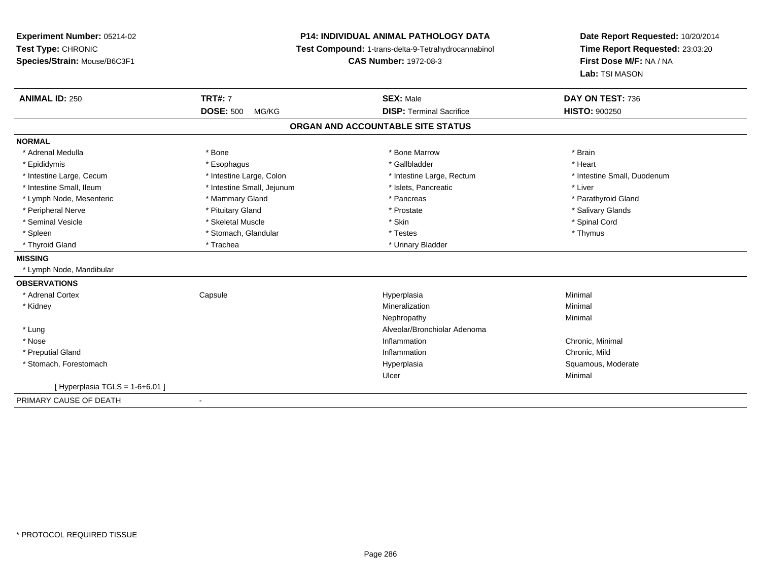**Experiment Number:** 05214-02**Test Type:** CHRONIC **Species/Strain:** Mouse/B6C3F1**P14: INDIVIDUAL ANIMAL PATHOLOGY DATA Test Compound:** 1-trans-delta-9-Tetrahydrocannabinol **CAS Number:** 1972-08-3**Date Report Requested:** 10/20/2014**Time Report Requested:** 23:03:20**First Dose M/F:** NA / NA**Lab:** TSI MASON**ANIMAL ID:** 250**TRT#:** 7 **SEX:** Male **DAY ON TEST:** 736 **DOSE:** 500 MG/KG **DISP:** Terminal Sacrifice **HISTO:** <sup>900250</sup> **ORGAN AND ACCOUNTABLE SITE STATUSNORMAL**\* Adrenal Medulla \* \* Annual Medulla \* Brain \* Bone \* \* Bone Marrow \* Bone Marrow \* \* Brain \* Brain \* Brain \* Brain \* Brain \* Brain \* Brain \* Brain \* Brain \* Brain \* Brain \* Brain \* Brain \* Brain \* Brain \* Brain \* Brain \* \* Heart \* Epididymis \* Esophagus \* Gallbladder \* Heart\* Intestine Large, Cecum \* Intestine Large, Colon \* Intestine Large, Rectum \* Intestine Small, Duodenum \* Intestine Small, Ileum \* Intestine Small, Jejunum \* Islets, Pancreatic \* Liver\* Lymph Node, Mesenteric \* \* Mammary Gland \* Mammary Gland \* Pancreas \* Pancreas \* \* Pancreas \* \* Parathyroid Gland \* Peripheral Nerve \* \* And the state \* Pituitary Gland \* Prosection \* Prostate \* Prostate \* Salivary Glands \* Salivary Glands \* Salivary Glands \* Salivary Glands \* Salivary Glands \* Salivary Glands \* Salivary Glands \* Sali \* Seminal Vesicle \* \* Spinal Cord \* Skeletal Muscle \* \* Skin \* \* Skin \* \* Spinal Vesicle \* Spinal Cord \* Spinal Cord \* Spleen \* Stomach, Glandular \* Stomach, Glandular \* Testes \* Thymus \* Thymus \* Thymus \* Thymus \* Thymus \* Thymus \* Thymus \* Thymus \* Thymus \* Thymus \* Thymus \* Thymus \* Thymus \* Thymus \* Thymus \* Thymus \* Thymus \* Thymus \* Thyroid Gland \* Trachea \* Trachea \* Trachea \* Thyroid Gland **MISSING** \* Lymph Node, Mandibular**OBSERVATIONS** \* Adrenal Cortex**Capsule**  Hyperplasia Minimal \* Kidneyy with the control of the control of the control of the control of the control of the control of the control of the control of the control of the control of the control of the control of the control of the control of the c n Minimal Nephropathyy the contract of the Minimal Minimal Section 1996 and the contract of the Minimal Section 1997 and the contract of the contract of the contract of the contract of the contract of the contract of the contract of the contra \* LungAlveolar/Bronchiolar Adenoma<br>Inflammation \* Nosee the contraction of the contraction of the contraction of the contraction of the chronic, Minimal on the chronic, Minimal or  $\mathbb{R}^n$  \* Preputial Glandd
and
the contract of the contract of the contract of the contract of the contract of the contract of the contract of the contract of the contract of the contract of the contract of the contract of the contract of the cont \* Stomach, Forestomachh ann an t-ìre ann am Suid-Africa ann an t-ìre anns an t-ìre anns an t-ìre anns an t-ìre anns an Suid-Africa a<br>Bhainn an t-ìre anns an t-ìre anns an t-ìre anns an t-ìre anns an t-ìre anns an t-ìre anns an t-ìre anns an t-Ulcerr **Minimal**  $[$  Hyperplasia TGLS = 1-6+6.01 ] PRIMARY CAUSE OF DEATH-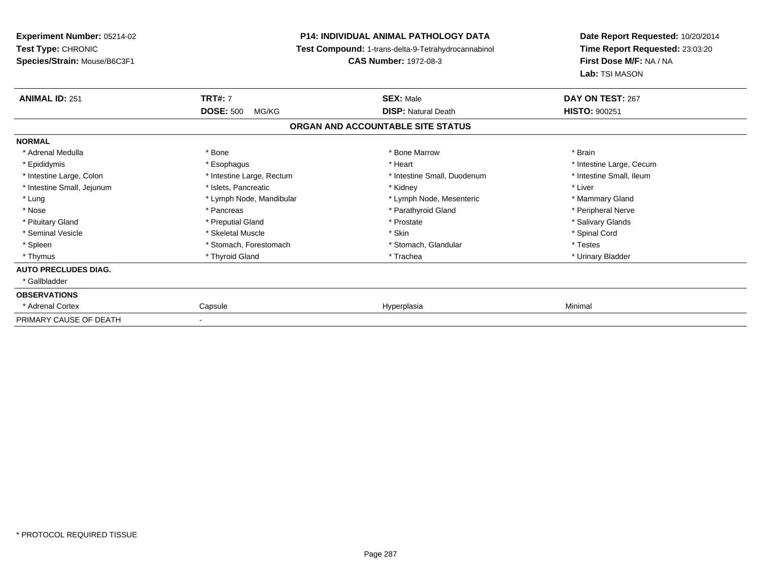**Experiment Number:** 05214-02**Test Type:** CHRONIC **Species/Strain:** Mouse/B6C3F1**P14: INDIVIDUAL ANIMAL PATHOLOGY DATA Test Compound:** 1-trans-delta-9-Tetrahydrocannabinol **CAS Number:** 1972-08-3**Date Report Requested:** 10/20/2014**Time Report Requested:** 23:03:20**First Dose M/F:** NA / NA**Lab:** TSI MASON**ANIMAL ID:** 251**TRT#:** 7 **SEX:** Male **DAY ON TEST:** 267 **DOSE:** 500 MG/KG**DISP:** Natural Death **HISTO:**  $900251$ **ORGAN AND ACCOUNTABLE SITE STATUSNORMAL**\* Adrenal Medulla \* \* Annual Medulla \* Brain \* Bone \* \* Bone Marrow \* Bone Marrow \* \* Brain \* Brain \* Brain \* Brain \* Brain \* Brain \* Brain \* Brain \* Brain \* Brain \* Brain \* Brain \* Brain \* Brain \* Brain \* Brain \* Brain \* \* Epididymis **Account 19 and 19 and 19 and 19 and 19 and 19 and 19 and 19 and 19 and 19 and 19 and 19 and 19 and 19 and 19 and 19 and 19 and 19 and 19 and 19 and 19 and 19 and 19 and 19 and 19 and 19 and 19 and 19 and 19 a** \* Intestine Small, Ileum \* Intestine Large, Colon \* Intestine Large, Rectum \* Intestine Small, Duodenum \* Intestine Small, Duodenum \* Intestine Small, Jejunum \* 1998 \* \* Islets, Pancreatic \* \* \* Kidney \* Kidney \* \* Liver \* Liver \* Liver \* Lung **\* Lymph Node, Mandibular \*** Lymph Node, Mesenteric \* Mammary Gland \* Mammary Gland \* Peripheral Nerve \* Nose \* \* Pancreas \* \* Pancreas \* \* Pancreas \* \* Parathyroid Gland \* \* Peripheral Nerve \* Peripheral Nerve \* \* Salivary Glands \* Pituitary Gland \* \* Then the state \* Preputial Gland \* Prosection \* Prostate \* \* Salivary Glands \* Salivary Glands \* Salivary Glands \* Salivary Glands \* Salivary Glands \* Salivary Glands \* Salivary Glands \* Salivary Glan \* Seminal Vesicle \* \* Spinal Cord \* Skeletal Muscle \* \* Skin \* \* Skin \* \* Spinal Vesicle \* Spinal Cord \* Spinal Cord \* Spleen \* Stomach, Forestomach \* Stomach \* Stomach, Slandular \* Testes \* Testes \* Urinary Bladder \* Thymus \* Thyroid Gland \* Trachea \* Urinary Bladder \* **AUTO PRECLUDES DIAG.** \* Gallbladder**OBSERVATIONS** \* Adrenal Cortex Capsulee and the settlement of the Hyperplasia and the settlement of the Minimal Minimal Settlement of the Minimal Settlement of the Settlement of the Settlement of the Settlement of the Settlement of the Settlement of the Settle PRIMARY CAUSE OF DEATH-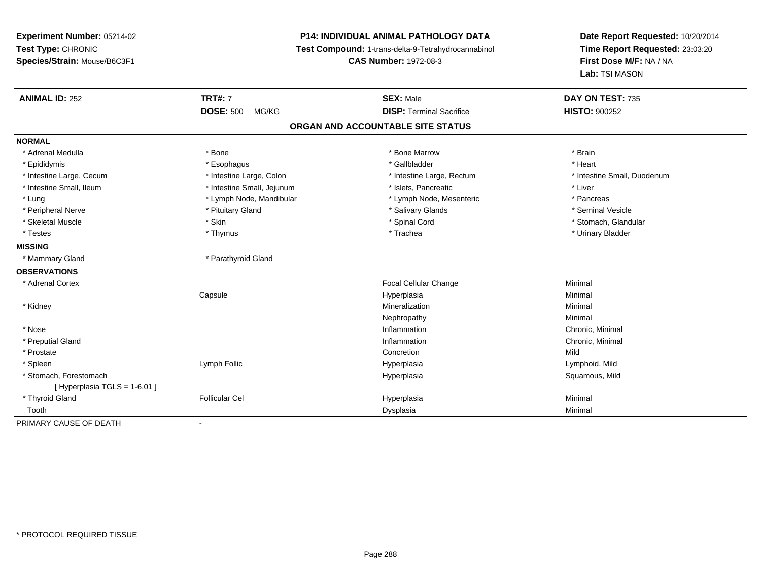**Experiment Number:** 05214-02**Test Type:** CHRONIC **Species/Strain:** Mouse/B6C3F1**P14: INDIVIDUAL ANIMAL PATHOLOGY DATA Test Compound:** 1-trans-delta-9-Tetrahydrocannabinol **CAS Number:** 1972-08-3**Date Report Requested:** 10/20/2014**Time Report Requested:** 23:03:20**First Dose M/F:** NA / NA**Lab:** TSI MASON**ANIMAL ID:** 252**TRT#:** 7 **SEX:** Male **DAY ON TEST:** 735 **DOSE:** 500 MG/KG **DISP:** Terminal Sacrifice **HISTO:** <sup>900252</sup> **ORGAN AND ACCOUNTABLE SITE STATUSNORMAL**\* Adrenal Medulla \* \* Annual Medulla \* Brain \* Bone \* \* Bone Marrow \* Bone Marrow \* \* Brain \* Brain \* Brain \* Brain \* Brain \* Brain \* Brain \* Brain \* Brain \* Brain \* Brain \* Brain \* Brain \* Brain \* Brain \* Brain \* Brain \* \* Heart \* Epididymis \* Esophagus \* Gallbladder \* Heart \* Intestine Large, Cecum \* Intestine Large, Colon \* Intestine Large, Rectum \* Intestine Small, Duodenum \* Intestine Small, Ileum \* Intestine Small, Jejunum \* Islets, Pancreatic \* Liver\* Lung external text of the Lymph Node, Mandibular \* Lymph Node, Mesenteric \* Pancreas \* Pancreas \* Pancreas \* Seminal Vesicle \* Peripheral Nerve \* \* And the state of the state of the state of the state of the state of the state of the state of the state of the state of the state of the state of the state of the state of the state of the state of \* Stomach. Glandular \* Skeletal Muscle \* \* Stan \* Skin \* Standular \* Spinal Cord \* Spinal Cord \* Stomach, Glandular \* Stomach, Glandular \* Stomach, Glandular \* Stomach, Glandular \* Stomach, Glandular \* Stomach, Glandular \* Stomach, Glandular \* \* Testes \* Thymus \* Trachea \* Urinary Bladder **MISSING**\* Mammary Gland \* Parathyroid Gland **OBSERVATIONS** \* Adrenal Cortex Focal Cellular Changee Minimal **Capsule**  Hyperplasia Minimal \* Kidneyy with the control of the control of the control of the control of the control of the control of the control of the control of the control of the control of the control of the control of the control of the control of the c n Minimal Nephropathyy the contract of the Minimal Minimal Section 1996 and the contract of the Minimal Section 1997 and the contract of the contract of the contract of the contract of the contract of the contract of the contract of the contra \* Nosee the contraction of the contraction of the contraction of the contraction of the chronic, Minimal on the chronic, Minimal or  $\mathbb{R}^n$  \* Preputial Glandd the controller of the controller of the controller of the controller of the controller of the controller of the controller of the controller of the controller of the controller of the controller of the controller of the \* Prostatee and the concretion of the concretion of the concretion of the concretion of the concretion of the concretion \* Spleen Lymph Follic Hyperplasia Lymphoid, Mild \* Stomach, Forestomachh ann an t-ìre ann an t-ìre ann an t-ìre ann an t-ìre ann an t-ìre ann an t-ìre ann an t-ìre ann an Squamous, Mild [ Hyperplasia TGLS = 1-6.01 ] \* Thyroid Gland Follicular Cel Hyperplasia Minimal Toothh ann an Chomas ann an t-ainmeile ann an t-ainmeile ann an Dysplasia. Tha an t-ainmeile ann an Dysplasia ann an Dysplasia ann an t-ainmeile an an t-ainmeile ann an t-ainmeile an an t-ainmeile ann an t-ainmeile ann an t-ain PRIMARY CAUSE OF DEATH-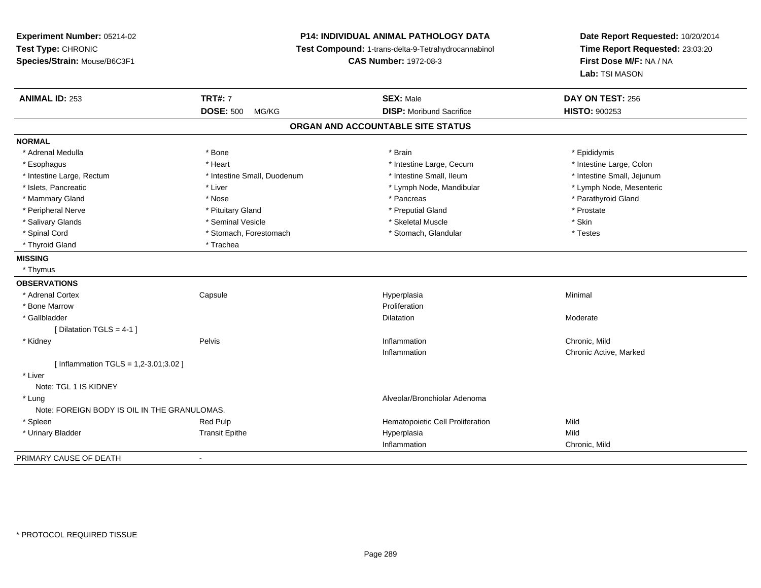# **P14: INDIVIDUAL ANIMAL PATHOLOGY DATA**

**Test Compound:** 1-trans-delta-9-Tetrahydrocannabinol

**CAS Number:** 1972-08-3

| <b>ANIMAL ID: 253</b>                        | <b>TRT#: 7</b><br><b>DOSE: 500</b> | <b>SEX: Male</b><br><b>DISP:</b> Moribund Sacrifice | DAY ON TEST: 256<br><b>HISTO: 900253</b> |
|----------------------------------------------|------------------------------------|-----------------------------------------------------|------------------------------------------|
|                                              | MG/KG                              |                                                     |                                          |
|                                              |                                    | ORGAN AND ACCOUNTABLE SITE STATUS                   |                                          |
| <b>NORMAL</b>                                |                                    |                                                     |                                          |
| * Adrenal Medulla                            | * Bone                             | * Brain                                             | * Epididymis                             |
| * Esophagus                                  | * Heart                            | * Intestine Large, Cecum                            | * Intestine Large, Colon                 |
| * Intestine Large, Rectum                    | * Intestine Small, Duodenum        | * Intestine Small, Ileum                            | * Intestine Small, Jejunum               |
| * Islets, Pancreatic                         | * Liver                            | * Lymph Node, Mandibular                            | * Lymph Node, Mesenteric                 |
| * Mammary Gland                              | * Nose                             | * Pancreas                                          | * Parathyroid Gland                      |
| * Peripheral Nerve                           | * Pituitary Gland                  | * Preputial Gland                                   | * Prostate                               |
| * Salivary Glands                            | * Seminal Vesicle                  | * Skeletal Muscle                                   | * Skin                                   |
| * Spinal Cord                                | * Stomach, Forestomach             | * Stomach, Glandular                                | * Testes                                 |
| * Thyroid Gland                              | * Trachea                          |                                                     |                                          |
| <b>MISSING</b>                               |                                    |                                                     |                                          |
| * Thymus                                     |                                    |                                                     |                                          |
| <b>OBSERVATIONS</b>                          |                                    |                                                     |                                          |
| * Adrenal Cortex                             | Capsule                            | Hyperplasia                                         | Minimal                                  |
| * Bone Marrow                                |                                    | Proliferation                                       |                                          |
| * Gallbladder                                |                                    | Dilatation                                          | Moderate                                 |
| [Dilatation TGLS = 4-1 ]                     |                                    |                                                     |                                          |
| * Kidney                                     | Pelvis                             | Inflammation                                        | Chronic, Mild                            |
|                                              |                                    | Inflammation                                        | Chronic Active, Marked                   |
| [Inflammation TGLS = $1,2-3.01;3.02$ ]       |                                    |                                                     |                                          |
| * Liver                                      |                                    |                                                     |                                          |
| Note: TGL 1 IS KIDNEY                        |                                    |                                                     |                                          |
| * Lung                                       |                                    | Alveolar/Bronchiolar Adenoma                        |                                          |
| Note: FOREIGN BODY IS OIL IN THE GRANULOMAS. |                                    |                                                     |                                          |
| * Spleen                                     | Red Pulp                           | Hematopoietic Cell Proliferation                    | Mild                                     |
| * Urinary Bladder                            | <b>Transit Epithe</b>              | Hyperplasia                                         | Mild                                     |
|                                              |                                    | Inflammation                                        | Chronic, Mild                            |
| PRIMARY CAUSE OF DEATH                       | $\blacksquare$                     |                                                     |                                          |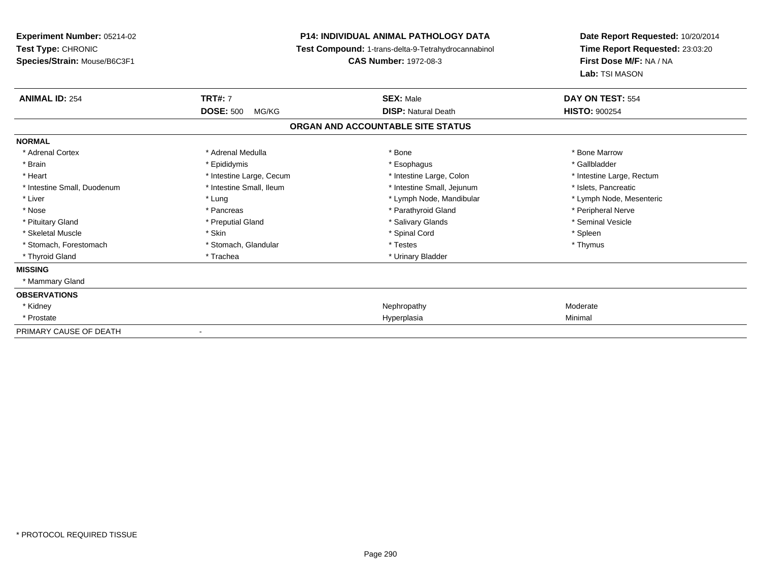# **P14: INDIVIDUAL ANIMAL PATHOLOGY DATA**

**Test Compound:** 1-trans-delta-9-Tetrahydrocannabinol

**CAS Number:** 1972-08-3

| <b>ANIMAL ID: 254</b>       | <b>TRT#: 7</b>            | <b>SEX: Male</b>                  | DAY ON TEST: 554          |  |
|-----------------------------|---------------------------|-----------------------------------|---------------------------|--|
|                             | <b>DOSE: 500</b><br>MG/KG | <b>DISP: Natural Death</b>        | <b>HISTO: 900254</b>      |  |
|                             |                           | ORGAN AND ACCOUNTABLE SITE STATUS |                           |  |
| <b>NORMAL</b>               |                           |                                   |                           |  |
| * Adrenal Cortex            | * Adrenal Medulla         | * Bone                            | * Bone Marrow             |  |
| * Brain                     | * Epididymis              | * Esophagus                       | * Gallbladder             |  |
| * Heart                     | * Intestine Large, Cecum  | * Intestine Large, Colon          | * Intestine Large, Rectum |  |
| * Intestine Small, Duodenum | * Intestine Small, Ileum  | * Intestine Small, Jejunum        | * Islets, Pancreatic      |  |
| * Liver                     | * Lung                    | * Lymph Node, Mandibular          | * Lymph Node, Mesenteric  |  |
| * Nose                      | * Pancreas                | * Parathyroid Gland               | * Peripheral Nerve        |  |
| * Pituitary Gland           | * Preputial Gland         | * Salivary Glands                 | * Seminal Vesicle         |  |
| * Skeletal Muscle           | * Skin                    | * Spinal Cord                     | * Spleen                  |  |
| * Stomach, Forestomach      | * Stomach, Glandular      | * Testes                          | * Thymus                  |  |
| * Thyroid Gland             | * Trachea                 | * Urinary Bladder                 |                           |  |
| <b>MISSING</b>              |                           |                                   |                           |  |
| * Mammary Gland             |                           |                                   |                           |  |
| <b>OBSERVATIONS</b>         |                           |                                   |                           |  |
| * Kidney                    |                           | Nephropathy                       | Moderate                  |  |
| * Prostate                  |                           | Hyperplasia                       | Minimal                   |  |
| PRIMARY CAUSE OF DEATH      | $\blacksquare$            |                                   |                           |  |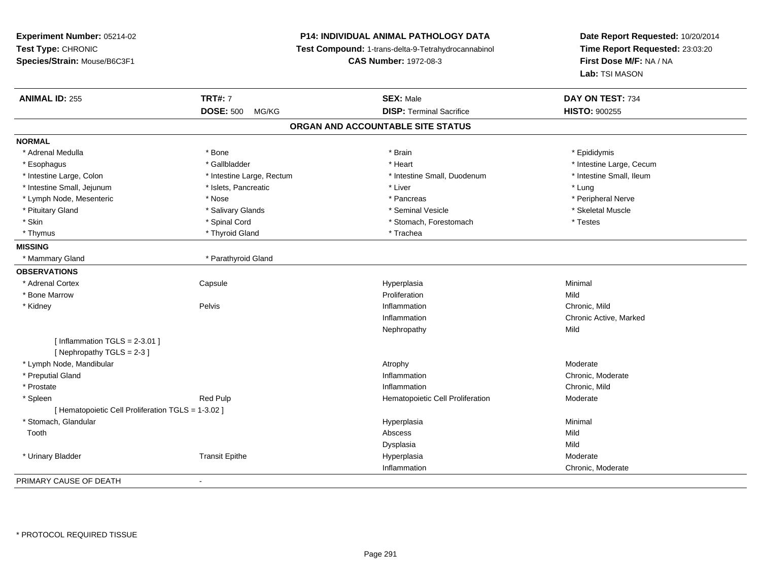**Experiment Number:** 05214-02**Test Type:** CHRONIC **Species/Strain:** Mouse/B6C3F1**P14: INDIVIDUAL ANIMAL PATHOLOGY DATA Test Compound:** 1-trans-delta-9-Tetrahydrocannabinol **CAS Number:** 1972-08-3**Date Report Requested:** 10/20/2014**Time Report Requested:** 23:03:20**First Dose M/F:** NA / NA**Lab:** TSI MASON**ANIMAL ID:** 255 **TRT#:** <sup>7</sup> **SEX:** Male **DAY ON TEST:** <sup>734</sup> **DOSE:** 500 MG/KG**DISP:** Terminal Sacrifice **HISTO:**  $900255$ **ORGAN AND ACCOUNTABLE SITE STATUSNORMAL**\* Adrenal Medulla \* Adrenal Medulla \* \* \* Adrenal Medulla \* \* Epididymis \* Bone \* \* Brain \* \* Brain \* \* Brain \* \* Epididymis \* Epididymis \* Epididymis \* \* Epididymis \* \* Epididymis \* \* Epididymis \* \* Epididymis \* \* Epididymis \* \* Epididymis \* Esophagus \* https://www.fragustage.com/web/2019/heart \* Heart \* Heart \* Heart \* Intestine Large, Cecum \* Intestine Large, Cecum \* Gallbladder \* Callbladder \* 11 and 12 and 12 and 12 and 12 and 12 and 12 and 12 and 12 and \* Intestine Small, Ileum \* Intestine Large, Colon \* Intestine Large, Rectum \* Intestine Small, Duodenum \* Intestine Small, Duodenum \* Intestine Small, Jejunum \* 1997 \* The state of the state of the state of the state of the state of the state of the state of the state of the state of the state of the state of the state of the state of the state of the \* Peripheral Nerve \* Lymph Node, Mesenteric \* Nose \* Nose \* Nose \* Pancreas \* Pancreas \* Pancreas \* Pancreas \* Pancreas \* Pancreas \* Pancreas \* Pancreas \* Pancreas \* Pancreas \* Pancreas \* Pancreas \* Pancreas \* Pancreas \* Pancreas \* Pancreas \* Skeletal Muscle \* Pituitary Gland \* \* \* \* Salivary Glands \* \* Salivary Glands \* \* Seminal Vesicle \* \* \* \* \* \* Skeletal Muscle \* \* Skin \* Spinal Cord \* Spinal Cord \* Stomach, Forestomach \* Testes \* Testes \* Thyrnus \* Thyroid Gland \* Thyroid Gland \* The \* Trachea **MISSING**\* Mammary Gland \* Parathyroid Gland **OBSERVATIONS** \* Adrenal Cortex**Capsule**  Hyperplasia Minimal \* Bone Marroww **Proliferation** Proliferation **Mild**  \* Kidneyy the contract of the Pelvis and the Pelvis and the contract of the contract of the person of the contract of the contract of the contract of the contract of the contract of the contract of the contract of the contract of Inflammation **Chronic**, Mild Inflammation Chronic Active, Marked Nephropathyy Mild  $[$  Inflammation TGLS = 2-3.01  $]$ [ Nephropathy TGLS = 2-3 ] \* Lymph Node, Mandibularr and the control of the control of the control of the control of the control of the control of the control of y and the contract of the Moderate Chronic. Moderate \* Preputial Gland Inflammation Chronic, Moderate \* Prostatee description of the control of the control of the control of the control of the chronic, Mild and Chronic, Mild and Chronic, Mild and Chronic, Mild and Chronic, Mild and Chronic, Mild and Chronic, Mild and Chronic, Mild a \* SpleenRed Pulp **Moderate Hematopoietic Cell Proliferation Moderate** [ Hematopoietic Cell Proliferation TGLS = 1-3.02 ] \* Stomach, Glandularr and the contract of the contract of the contract of the contract of the contract of the contract of the contract of the contract of the contract of the contract of the contract of the contract of the contract of the cont a **Minimal**  Toothh and the control of the control of the control of the control of the control of the control of the control of the control of the control of the control of the control of the control of the control of the control of the co Dysplasiaa Mild \* Urinary Bladder Transit Epithee and the Hyperplasia measurement of the Moderate of the Moderate of the Moderate  $\mathsf{M}$ Inflammation Chronic, Moderate PRIMARY CAUSE OF DEATH-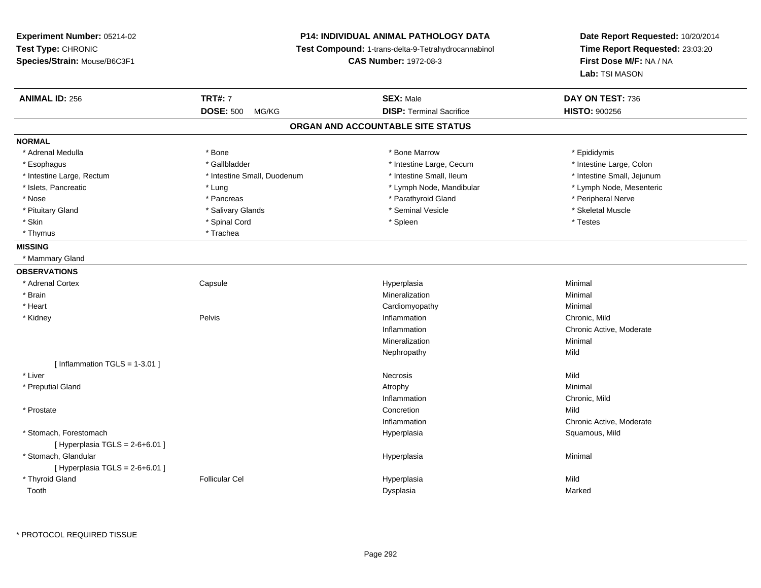# **P14: INDIVIDUAL ANIMAL PATHOLOGY DATA**

**Test Compound:** 1-trans-delta-9-Tetrahydrocannabinol

**CAS Number:** 1972-08-3

| <b>ANIMAL ID: 256</b>             | <b>TRT#: 7</b>              | <b>SEX: Male</b>                  | DAY ON TEST: 736           |  |
|-----------------------------------|-----------------------------|-----------------------------------|----------------------------|--|
|                                   | <b>DOSE: 500</b><br>MG/KG   | <b>DISP: Terminal Sacrifice</b>   | <b>HISTO: 900256</b>       |  |
|                                   |                             | ORGAN AND ACCOUNTABLE SITE STATUS |                            |  |
| <b>NORMAL</b>                     |                             |                                   |                            |  |
| * Adrenal Medulla                 | * Bone                      | * Bone Marrow                     | * Epididymis               |  |
| * Esophagus                       | * Gallbladder               | * Intestine Large, Cecum          | * Intestine Large, Colon   |  |
| * Intestine Large, Rectum         | * Intestine Small, Duodenum | * Intestine Small, Ileum          | * Intestine Small, Jejunum |  |
| * Islets, Pancreatic              | * Lung                      | * Lymph Node, Mandibular          | * Lymph Node, Mesenteric   |  |
| * Nose                            | * Pancreas                  | * Parathyroid Gland               | * Peripheral Nerve         |  |
| * Pituitary Gland                 | * Salivary Glands           | * Seminal Vesicle                 | * Skeletal Muscle          |  |
| * Skin                            | * Spinal Cord               | * Spleen                          | * Testes                   |  |
| * Thymus                          | * Trachea                   |                                   |                            |  |
| <b>MISSING</b>                    |                             |                                   |                            |  |
| * Mammary Gland                   |                             |                                   |                            |  |
| <b>OBSERVATIONS</b>               |                             |                                   |                            |  |
| * Adrenal Cortex                  | Capsule                     | Hyperplasia                       | Minimal                    |  |
| * Brain                           |                             | Mineralization                    | Minimal                    |  |
| * Heart                           |                             | Cardiomyopathy                    | Minimal                    |  |
| * Kidney                          | Pelvis                      | Inflammation                      | Chronic, Mild              |  |
|                                   |                             | Inflammation                      | Chronic Active, Moderate   |  |
|                                   |                             | Mineralization                    | Minimal                    |  |
|                                   |                             | Nephropathy                       | Mild                       |  |
| [Inflammation TGLS = $1-3.01$ ]   |                             |                                   |                            |  |
| * Liver                           |                             | Necrosis                          | Mild                       |  |
| * Preputial Gland                 |                             | Atrophy                           | Minimal                    |  |
|                                   |                             | Inflammation                      | Chronic, Mild              |  |
| * Prostate                        |                             | Concretion                        | Mild                       |  |
|                                   |                             | Inflammation                      | Chronic Active, Moderate   |  |
| * Stomach, Forestomach            |                             | Hyperplasia                       | Squamous, Mild             |  |
| [Hyperplasia TGLS = $2-6+6.01$ ]  |                             |                                   |                            |  |
| * Stomach, Glandular              |                             | Hyperplasia                       | Minimal                    |  |
| [ Hyperplasia TGLS = $2-6+6.01$ ] |                             |                                   |                            |  |
| * Thyroid Gland                   | <b>Follicular Cel</b>       | Hyperplasia                       | Mild                       |  |
| Tooth                             |                             | Dysplasia                         | Marked                     |  |
|                                   |                             |                                   |                            |  |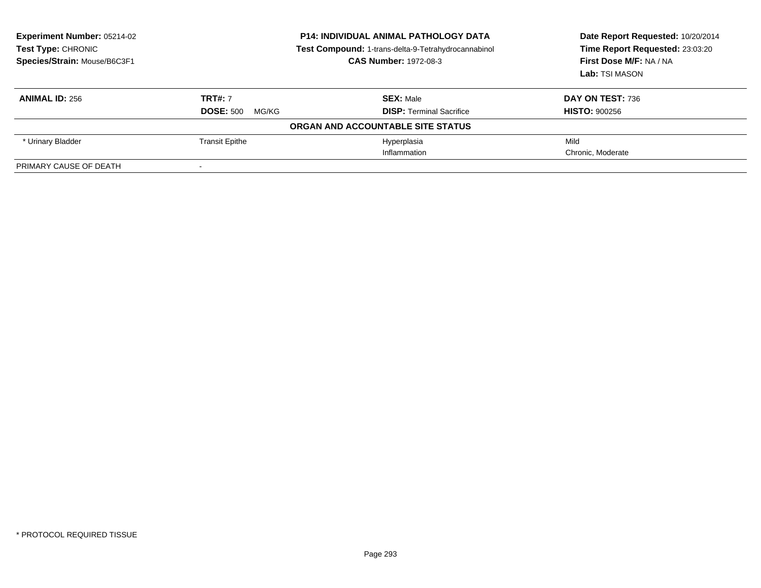| <b>Experiment Number: 05214-02</b><br><b>Test Type: CHRONIC</b><br>Species/Strain: Mouse/B6C3F1 | <b>P14: INDIVIDUAL ANIMAL PATHOLOGY DATA</b><br>Test Compound: 1-trans-delta-9-Tetrahydrocannabinol<br><b>CAS Number: 1972-08-3</b> |                                   | Date Report Requested: 10/20/2014<br>Time Report Requested: 23:03:20<br>First Dose M/F: NA / NA<br>Lab: TSI MASON |  |
|-------------------------------------------------------------------------------------------------|-------------------------------------------------------------------------------------------------------------------------------------|-----------------------------------|-------------------------------------------------------------------------------------------------------------------|--|
| <b>ANIMAL ID: 256</b>                                                                           | <b>TRT#: 7</b>                                                                                                                      | <b>SEX: Male</b>                  | DAY ON TEST: 736                                                                                                  |  |
|                                                                                                 | <b>DOSE: 500</b><br>MG/KG                                                                                                           | <b>DISP: Terminal Sacrifice</b>   | <b>HISTO: 900256</b>                                                                                              |  |
|                                                                                                 |                                                                                                                                     | ORGAN AND ACCOUNTABLE SITE STATUS |                                                                                                                   |  |
| * Urinary Bladder                                                                               | <b>Transit Epithe</b>                                                                                                               | Hyperplasia                       | Mild                                                                                                              |  |
|                                                                                                 |                                                                                                                                     | Inflammation                      | Chronic. Moderate                                                                                                 |  |
| PRIMARY CAUSE OF DEATH                                                                          | $\sim$                                                                                                                              |                                   |                                                                                                                   |  |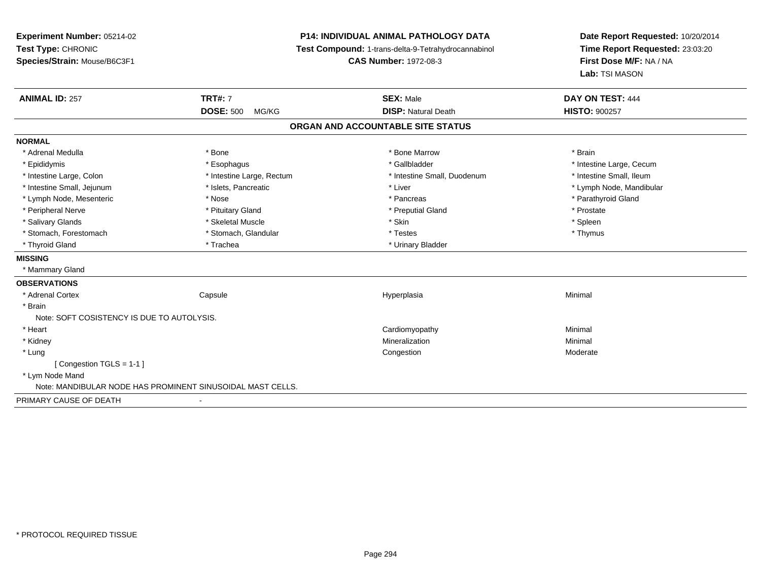**Experiment Number:** 05214-02**Test Type:** CHRONIC **Species/Strain:** Mouse/B6C3F1**P14: INDIVIDUAL ANIMAL PATHOLOGY DATA Test Compound:** 1-trans-delta-9-Tetrahydrocannabinol **CAS Number:** 1972-08-3**ANIMAL ID:** 257**TRT#:** 7 **SEX:** Male **DAY ON TEST:** 444 **DOSE:** 500 MG/KG**DISP:** Natural Death **HISTO:**  $900257$ **ORGAN AND ACCOUNTABLE SITE STATUSNORMAL**\* Adrenal Medulla \* \* Annual Medulla \* Brain \* Bone \* \* Bone Marrow \* Bone Marrow \* \* Brain \* Brain \* Brain \* Brain \* Brain \* Brain \* Brain \* Brain \* Brain \* Brain \* Brain \* Brain \* Brain \* Brain \* Brain \* Brain \* Brain \* \* Epididymis **\* Exophagus \* Execument \* Execument \* Gallbladder** \* Gallbladder \* \* Thtestine Large, Cecum \* Intestine Large, Colon \* Intestine Large, Rectum \* Intestine Small, Duodenum \* Intestine Small, Duodenum \* Intestine Small, Jejunum \* \* et \* \* http://www.fat.com/mandibulary.com/mandibulary/state/state/state/state/state/state/state/state/state/state/state/state/state/state/state/state/state/state/state/state/state/state/state \* Lymph Node, Mesenteric \* The state of the state of the state of the state of the state of the state of the state of the state of the state of the state of the state of the state of the state of the state of the state of \* Peripheral Nerve \* \* \* Prostate \* \* Pretuitary Gland \* \* \* \* \* \* \* Preputial Gland \* \* \* Prostate \* Prostate \* Salivary Glands \* \* \* Sheem \* Skeletal Muscle \* \* \* Stan \* \* Skin \* \* Stan \* \* Spleen \* \* Spleen \* \* Spleen \* \* Stomach, Forestomach \* Testes \* Stomach, Glandular \* Testes \* Testes \* Testes \* Testes \* Testes \* \* Testes \*  $\sim$  \* Testes \*  $\sim$  \* Testes \*  $\sim$  \* Testes \* \* Testes \* \* Testes \* \* \* Testes \* \* \* \* \* \* \* \* \* \* \* \* \* \* \* \* Thyroid Gland \* Trachea \* Trachea \* Trachea \* Thyroid Gland **MISSING**\* Mammary Gland

### **OBSERVATIONS** \* Adrenal Cortex**Capsule**  Hyperplasia Minimal \* Brain Note: SOFT COSISTENCY IS DUE TO AUTOLYSIS. \* Heart Cardiomyopathy Minimal \* Kidneyy with the control of the control of the control of the control of the control of the control of the control of the control of the control of the control of the control of the control of the control of the control of the c n Minimal \* Lungg and the congression of the congression of the congression of the congression of the congression of the congression  $\mathbf{M}$  oderate [ Congestion TGLS = 1-1 ] \* Lym Node Mand Note: MANDIBULAR NODE HAS PROMINENT SINUSOIDAL MAST CELLS.PRIMARY CAUSE OF DEATH-

**Date Report Requested:** 10/20/2014**Time Report Requested:** 23:03:20

**First Dose M/F:** NA / NA

**Lab:** TSI MASON

\* Intestine Small, Ileum

\* Spleen

\* Thymus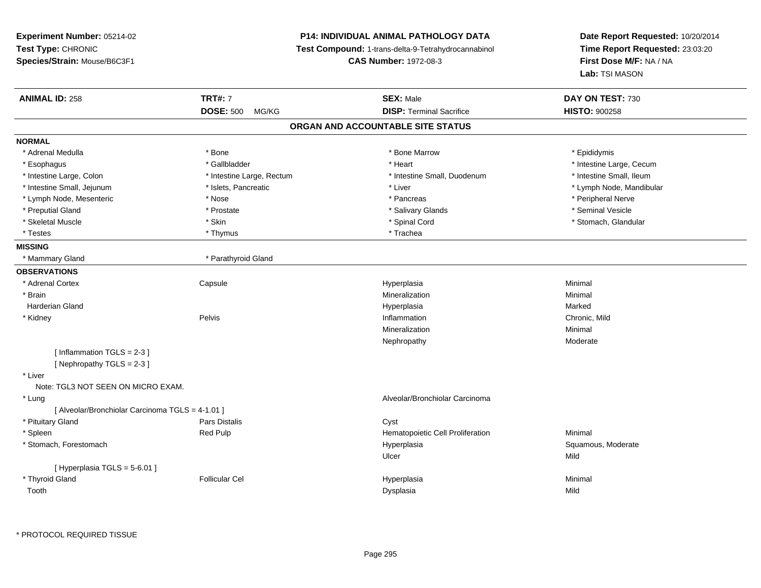# **P14: INDIVIDUAL ANIMAL PATHOLOGY DATA**

**Test Compound:** 1-trans-delta-9-Tetrahydrocannabinol

**CAS Number:** 1972-08-3

| <b>ANIMAL ID: 258</b>                            | <b>TRT#: 7</b>            | <b>SEX: Male</b>                  | DAY ON TEST: 730         |
|--------------------------------------------------|---------------------------|-----------------------------------|--------------------------|
|                                                  | <b>DOSE: 500</b><br>MG/KG | <b>DISP: Terminal Sacrifice</b>   | <b>HISTO: 900258</b>     |
|                                                  |                           | ORGAN AND ACCOUNTABLE SITE STATUS |                          |
| <b>NORMAL</b>                                    |                           |                                   |                          |
| * Adrenal Medulla                                | * Bone                    | * Bone Marrow                     | * Epididymis             |
| * Esophagus                                      | * Gallbladder             | * Heart                           | * Intestine Large, Cecum |
| * Intestine Large, Colon                         | * Intestine Large, Rectum | * Intestine Small, Duodenum       | * Intestine Small, Ileum |
| * Intestine Small, Jejunum                       | * Islets, Pancreatic      | * Liver                           | * Lymph Node, Mandibular |
| * Lymph Node, Mesenteric                         | * Nose                    | * Pancreas                        | * Peripheral Nerve       |
| * Preputial Gland                                | * Prostate                | * Salivary Glands                 | * Seminal Vesicle        |
| * Skeletal Muscle                                | * Skin                    | * Spinal Cord                     | * Stomach, Glandular     |
| * Testes                                         | * Thymus                  | * Trachea                         |                          |
| <b>MISSING</b>                                   |                           |                                   |                          |
| * Mammary Gland                                  | * Parathyroid Gland       |                                   |                          |
| <b>OBSERVATIONS</b>                              |                           |                                   |                          |
| * Adrenal Cortex                                 | Capsule                   | Hyperplasia                       | Minimal                  |
| * Brain                                          |                           | Mineralization                    | Minimal                  |
| <b>Harderian Gland</b>                           |                           | Hyperplasia                       | Marked                   |
| * Kidney                                         | Pelvis                    | Inflammation                      | Chronic, Mild            |
|                                                  |                           | Mineralization                    | Minimal                  |
|                                                  |                           | Nephropathy                       | Moderate                 |
| [Inflammation TGLS = $2-3$ ]                     |                           |                                   |                          |
| [Nephropathy TGLS = 2-3]                         |                           |                                   |                          |
| * Liver                                          |                           |                                   |                          |
| Note: TGL3 NOT SEEN ON MICRO EXAM.               |                           |                                   |                          |
| * Lung                                           |                           | Alveolar/Bronchiolar Carcinoma    |                          |
| [ Alveolar/Bronchiolar Carcinoma TGLS = 4-1.01 ] |                           |                                   |                          |
| * Pituitary Gland                                | Pars Distalis             | Cyst                              |                          |
| * Spleen                                         | Red Pulp                  | Hematopoietic Cell Proliferation  | Minimal                  |
| * Stomach, Forestomach                           |                           | Hyperplasia                       | Squamous, Moderate       |
|                                                  |                           | Ulcer                             | Mild                     |
| [ Hyperplasia TGLS = 5-6.01 ]                    |                           |                                   |                          |
| * Thyroid Gland                                  | <b>Follicular Cel</b>     | Hyperplasia                       | Minimal                  |
| Tooth                                            |                           | Dysplasia                         | Mild                     |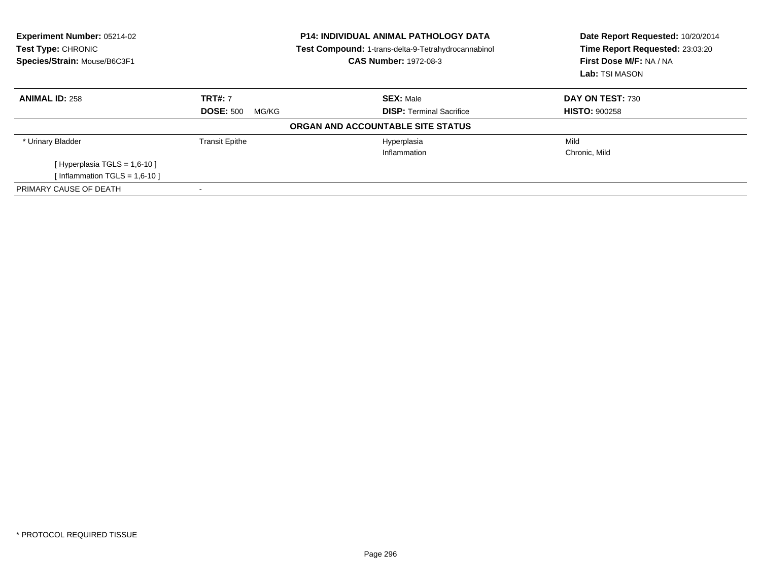| <b>Experiment Number: 05214-02</b><br>Test Type: CHRONIC<br>Species/Strain: Mouse/B6C3F1 |                           | <b>P14: INDIVIDUAL ANIMAL PATHOLOGY DATA</b><br><b>Test Compound: 1-trans-delta-9-Tetrahydrocannabinol</b><br><b>CAS Number: 1972-08-3</b> | Date Report Requested: 10/20/2014<br>Time Report Requested: 23:03:20<br>First Dose M/F: NA / NA<br>Lab: TSI MASON |
|------------------------------------------------------------------------------------------|---------------------------|--------------------------------------------------------------------------------------------------------------------------------------------|-------------------------------------------------------------------------------------------------------------------|
| <b>ANIMAL ID: 258</b>                                                                    | <b>TRT#: 7</b>            | <b>SEX: Male</b>                                                                                                                           | DAY ON TEST: 730                                                                                                  |
|                                                                                          | <b>DOSE: 500</b><br>MG/KG | <b>DISP:</b> Terminal Sacrifice                                                                                                            | <b>HISTO: 900258</b>                                                                                              |
|                                                                                          |                           | ORGAN AND ACCOUNTABLE SITE STATUS                                                                                                          |                                                                                                                   |
| * Urinary Bladder                                                                        | <b>Transit Epithe</b>     | Hyperplasia                                                                                                                                | Mild                                                                                                              |
|                                                                                          |                           | Inflammation                                                                                                                               | Chronic, Mild                                                                                                     |
| [Hyperplasia TGLS = $1,6-10$ ]                                                           |                           |                                                                                                                                            |                                                                                                                   |
| Inflammation TGLS = $1,6-10$ ]                                                           |                           |                                                                                                                                            |                                                                                                                   |
| PRIMARY CAUSE OF DEATH                                                                   |                           |                                                                                                                                            |                                                                                                                   |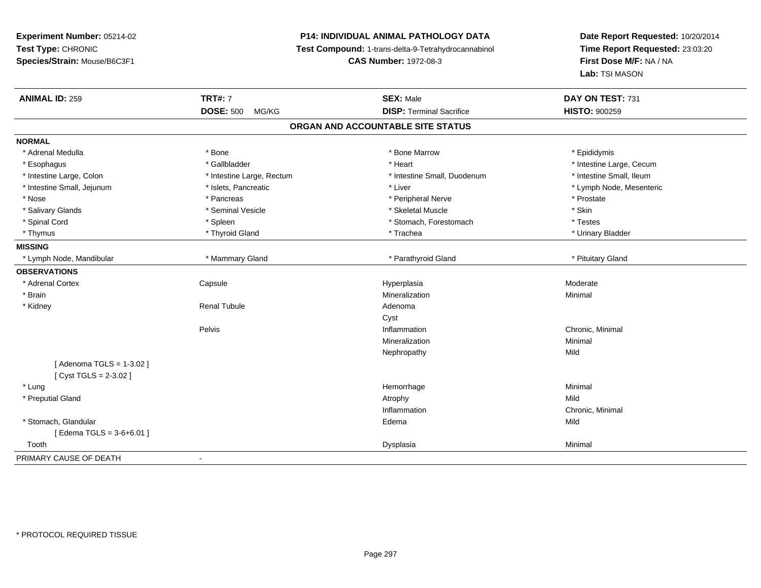# **P14: INDIVIDUAL ANIMAL PATHOLOGY DATA**

**Test Compound:** 1-trans-delta-9-Tetrahydrocannabinol

**CAS Number:** 1972-08-3

| <b>ANIMAL ID: 259</b>      | <b>TRT#: 7</b>            | <b>SEX: Male</b>                  | DAY ON TEST: 731         |
|----------------------------|---------------------------|-----------------------------------|--------------------------|
|                            | <b>DOSE: 500</b><br>MG/KG | <b>DISP: Terminal Sacrifice</b>   | <b>HISTO: 900259</b>     |
|                            |                           | ORGAN AND ACCOUNTABLE SITE STATUS |                          |
| <b>NORMAL</b>              |                           |                                   |                          |
| * Adrenal Medulla          | * Bone                    | * Bone Marrow                     | * Epididymis             |
| * Esophagus                | * Gallbladder             | * Heart                           | * Intestine Large, Cecum |
| * Intestine Large, Colon   | * Intestine Large, Rectum | * Intestine Small, Duodenum       | * Intestine Small, Ileum |
| * Intestine Small, Jejunum | * Islets, Pancreatic      | * Liver                           | * Lymph Node, Mesenteric |
| * Nose                     | * Pancreas                | * Peripheral Nerve                | * Prostate               |
| * Salivary Glands          | * Seminal Vesicle         | * Skeletal Muscle                 | * Skin                   |
| * Spinal Cord              | * Spleen                  | * Stomach, Forestomach            | * Testes                 |
| * Thymus                   | * Thyroid Gland           | * Trachea                         | * Urinary Bladder        |
| <b>MISSING</b>             |                           |                                   |                          |
| * Lymph Node, Mandibular   | * Mammary Gland           | * Parathyroid Gland               | * Pituitary Gland        |
| <b>OBSERVATIONS</b>        |                           |                                   |                          |
| * Adrenal Cortex           | Capsule                   | Hyperplasia                       | Moderate                 |
| * Brain                    |                           | Mineralization                    | Minimal                  |
| * Kidney                   | <b>Renal Tubule</b>       | Adenoma                           |                          |
|                            |                           | Cyst                              |                          |
|                            | Pelvis                    | Inflammation                      | Chronic, Minimal         |
|                            |                           | Mineralization                    | Minimal                  |
|                            |                           | Nephropathy                       | Mild                     |
| [Adenoma TGLS = 1-3.02]    |                           |                                   |                          |
| [Cyst TGLS = 2-3.02]       |                           |                                   |                          |
| * Lung                     |                           | Hemorrhage                        | Minimal                  |
| * Preputial Gland          |                           | Atrophy                           | Mild                     |
|                            |                           | Inflammation                      | Chronic, Minimal         |
| * Stomach, Glandular       |                           | Edema                             | Mild                     |
| [Edema TGLS = $3-6+6.01$ ] |                           |                                   |                          |
| Tooth                      |                           | Dysplasia                         | Minimal                  |
| PRIMARY CAUSE OF DEATH     | $\overline{\phantom{0}}$  |                                   |                          |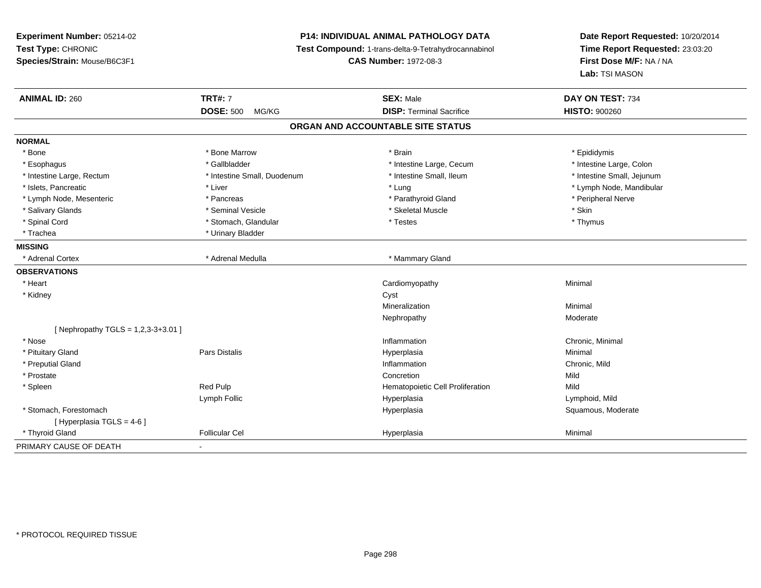**Experiment Number:** 05214-02**Test Type:** CHRONIC **Species/Strain:** Mouse/B6C3F1**P14: INDIVIDUAL ANIMAL PATHOLOGY DATA Test Compound:** 1-trans-delta-9-Tetrahydrocannabinol **CAS Number:** 1972-08-3**Date Report Requested:** 10/20/2014**Time Report Requested:** 23:03:20**First Dose M/F:** NA / NA**Lab:** TSI MASON**ANIMAL ID:** 260**TRT#:** 7 **SEX:** Male **DAY ON TEST:** 734 **DOSE:** 500 MG/KG**DISP:** Terminal Sacrifice **HISTO:**  $900260$ **ORGAN AND ACCOUNTABLE SITE STATUSNORMAL**\* Bone \* Bone \* Bone Marrow \* Brain \* Epididymis \* Intestine Large, Colon \* Esophagus \* Intestine Large, Cecum \* Callbladder \* 10 \* Intestine Large, Cecum \* Intestine Large, Cecum \* \* Intestine Large, Rectum \* Thestine Small, Duodenum \* Number of the small, Ileum \* Intestine Small, Jejunum \* Intestine Small, Jejunum \* Islets, Pancreatic \* Liver \* Lung \* Lymph Node, Mandibular \* Lymph Node, Mesenteric \* Pancreas \* Parathyroid Gland \* Peripheral Nerve \* Salivary Glands \* Seminal Vesicle \* Skeletal Muscle \* Skin\* Thymus \* Spinal Cord \* Stomach, Glandular \* Testes \* Thymus \* Trachea \* Urinary Bladder**MISSING**\* Adrenal Cortex \* Adrenal Medulla **\*** Mammary Gland **OBSERVATIONS** \* Heart Cardiomyopathy Minimal \* Kidneyy control of the control of the control of the control of the control of the control of the control of the control of the control of the control of the control of the control of the control of the control of the control of Mineralizationn Minimal Nephropathyy and the contract of the Moderate  $[$  Nephropathy TGLS = 1,2,3-3+3.01 ] \* Nosee the contraction of the contraction of the contraction of the contraction of the chronic, Minimal on the chronic, Minimal or  $\mathbb{R}^n$  \* Pituitary Gland Pars Distalis Hyperplasia Minimal \* Preputial Glandd
and **d**and **d**chronic, Mild
come of the contract of the contract of the contract of the contract of the contract of the contract of the contract of the contract of the contract of the contract of the contract of the co \* Prostatee and the concretion of the concretion of the concretion of the concretion of the concretion of the concretion \* SpleenRed Pulp **Mild Hematopoietic Cell Proliferation** Mild Lymph Follic Hyperplasia Lymphoid, Mild \* Stomach, Forestomachh ann an t-ìre ann am Suid-Africa ann an t-ìre anns an t-ìre anns an t-ìre anns an t-ìre anns an Suid-Africa a<br>Bhainn an t-ìre anns an t-ìre anns an t-ìre anns an t-ìre anns an t-ìre anns an t-ìre anns an t-ìre anns an t- $[$  Hyperplasia TGLS = 4-6  $]$  \* Thyroid Gland Follicular Cel Hyperplasia Minimal PRIMARY CAUSE OF DEATH-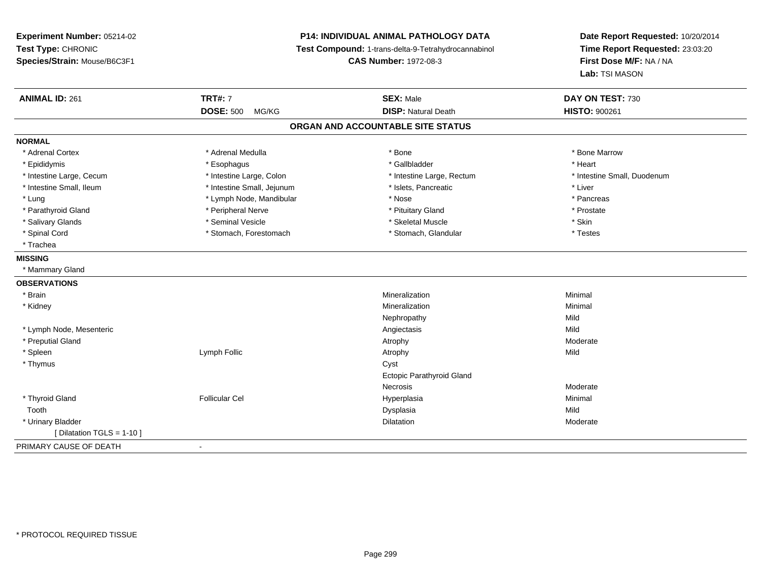# **P14: INDIVIDUAL ANIMAL PATHOLOGY DATA**

**Test Compound:** 1-trans-delta-9-Tetrahydrocannabinol

**CAS Number:** 1972-08-3

| <b>ANIMAL ID: 261</b>        | <b>TRT#: 7</b>             | <b>SEX: Male</b>                  | DAY ON TEST: 730            |
|------------------------------|----------------------------|-----------------------------------|-----------------------------|
|                              | <b>DOSE: 500</b><br>MG/KG  | <b>DISP: Natural Death</b>        | <b>HISTO: 900261</b>        |
|                              |                            | ORGAN AND ACCOUNTABLE SITE STATUS |                             |
| <b>NORMAL</b>                |                            |                                   |                             |
| * Adrenal Cortex             | * Adrenal Medulla          | * Bone                            | * Bone Marrow               |
| * Epididymis                 | * Esophagus                | * Gallbladder                     | * Heart                     |
| * Intestine Large, Cecum     | * Intestine Large, Colon   | * Intestine Large, Rectum         | * Intestine Small, Duodenum |
| * Intestine Small, Ileum     | * Intestine Small, Jejunum | * Islets, Pancreatic              | * Liver                     |
| * Lung                       | * Lymph Node, Mandibular   | * Nose                            | * Pancreas                  |
| * Parathyroid Gland          | * Peripheral Nerve         | * Pituitary Gland                 | * Prostate                  |
| * Salivary Glands            | * Seminal Vesicle          | * Skeletal Muscle                 | * Skin                      |
| * Spinal Cord                | * Stomach, Forestomach     | * Stomach, Glandular              | * Testes                    |
| * Trachea                    |                            |                                   |                             |
| <b>MISSING</b>               |                            |                                   |                             |
| * Mammary Gland              |                            |                                   |                             |
| <b>OBSERVATIONS</b>          |                            |                                   |                             |
| * Brain                      |                            | Mineralization                    | Minimal                     |
| * Kidney                     |                            | Mineralization                    | Minimal                     |
|                              |                            | Nephropathy                       | Mild                        |
| * Lymph Node, Mesenteric     |                            | Angiectasis                       | Mild                        |
| * Preputial Gland            |                            | Atrophy                           | Moderate                    |
| * Spleen                     | Lymph Follic               | Atrophy                           | Mild                        |
| * Thymus                     |                            | Cyst                              |                             |
|                              |                            | Ectopic Parathyroid Gland         |                             |
|                              |                            | Necrosis                          | Moderate                    |
| * Thyroid Gland              | <b>Follicular Cel</b>      | Hyperplasia                       | Minimal                     |
| Tooth                        |                            | Dysplasia                         | Mild                        |
| * Urinary Bladder            |                            | Dilatation                        | Moderate                    |
| [ Dilatation TGLS = $1-10$ ] |                            |                                   |                             |
| PRIMARY CAUSE OF DEATH       | $\blacksquare$             |                                   |                             |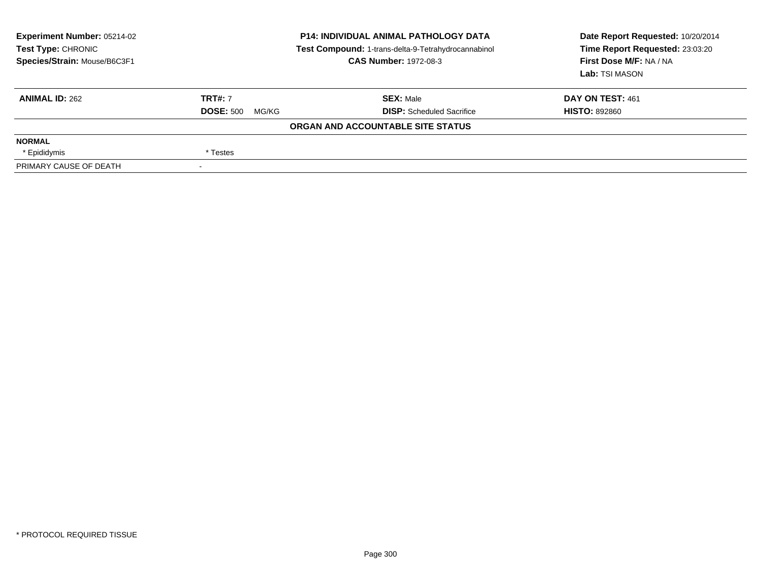| <b>Experiment Number: 05214-02</b><br>Test Type: CHRONIC<br>Species/Strain: Mouse/B6C3F1 |                           | <b>P14: INDIVIDUAL ANIMAL PATHOLOGY DATA</b><br>Test Compound: 1-trans-delta-9-Tetrahydrocannabinol<br><b>CAS Number: 1972-08-3</b> | Date Report Requested: 10/20/2014<br>Time Report Requested: 23:03:20<br>First Dose M/F: NA / NA<br>Lab: TSI MASON |
|------------------------------------------------------------------------------------------|---------------------------|-------------------------------------------------------------------------------------------------------------------------------------|-------------------------------------------------------------------------------------------------------------------|
| <b>ANIMAL ID: 262</b>                                                                    | <b>TRT#: 7</b>            | <b>SEX: Male</b>                                                                                                                    | DAY ON TEST: 461                                                                                                  |
|                                                                                          | <b>DOSE: 500</b><br>MG/KG | <b>DISP:</b> Scheduled Sacrifice                                                                                                    | <b>HISTO: 892860</b>                                                                                              |
|                                                                                          |                           | ORGAN AND ACCOUNTABLE SITE STATUS                                                                                                   |                                                                                                                   |
| <b>NORMAL</b>                                                                            |                           |                                                                                                                                     |                                                                                                                   |
| * Epididymis                                                                             | * Testes                  |                                                                                                                                     |                                                                                                                   |
| PRIMARY CAUSE OF DEATH                                                                   |                           |                                                                                                                                     |                                                                                                                   |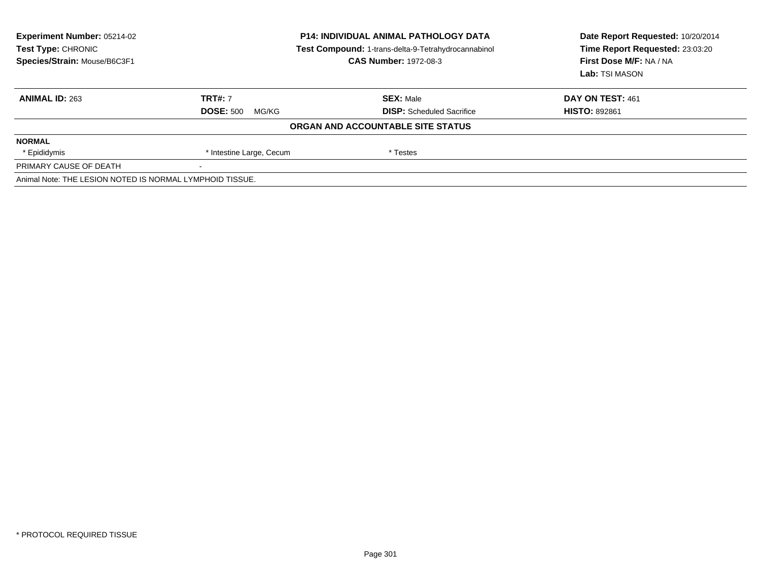| <b>Experiment Number: 05214-02</b><br><b>Test Type: CHRONIC</b><br>Species/Strain: Mouse/B6C3F1 | <b>P14: INDIVIDUAL ANIMAL PATHOLOGY DATA</b><br>Test Compound: 1-trans-delta-9-Tetrahydrocannabinol<br><b>CAS Number: 1972-08-3</b> |                                   | Date Report Requested: 10/20/2014<br>Time Report Requested: 23:03:20<br>First Dose M/F: NA / NA<br>Lab: TSI MASON |
|-------------------------------------------------------------------------------------------------|-------------------------------------------------------------------------------------------------------------------------------------|-----------------------------------|-------------------------------------------------------------------------------------------------------------------|
| <b>ANIMAL ID: 263</b>                                                                           | <b>TRT#: 7</b>                                                                                                                      | <b>SEX: Male</b>                  | DAY ON TEST: 461                                                                                                  |
|                                                                                                 | <b>DOSE: 500</b><br>MG/KG                                                                                                           | <b>DISP:</b> Scheduled Sacrifice  | <b>HISTO: 892861</b>                                                                                              |
|                                                                                                 |                                                                                                                                     | ORGAN AND ACCOUNTABLE SITE STATUS |                                                                                                                   |
| <b>NORMAL</b>                                                                                   |                                                                                                                                     |                                   |                                                                                                                   |
| * Epididymis                                                                                    | * Intestine Large, Cecum                                                                                                            | * Testes                          |                                                                                                                   |
| PRIMARY CAUSE OF DEATH                                                                          |                                                                                                                                     |                                   |                                                                                                                   |
| Animal Note: THE LESION NOTED IS NORMAL LYMPHOID TISSUE.                                        |                                                                                                                                     |                                   |                                                                                                                   |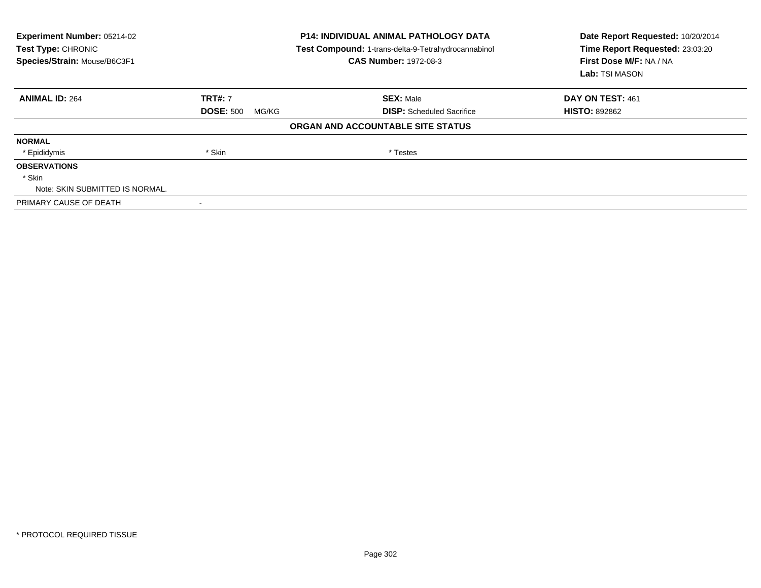| Experiment Number: 05214-02<br>Test Type: CHRONIC<br>Species/Strain: Mouse/B6C3F1 |                           | <b>P14: INDIVIDUAL ANIMAL PATHOLOGY DATA</b><br>Test Compound: 1-trans-delta-9-Tetrahydrocannabinol<br><b>CAS Number: 1972-08-3</b> | Date Report Requested: 10/20/2014<br>Time Report Requested: 23:03:20<br>First Dose M/F: NA / NA<br>Lab: TSI MASON |
|-----------------------------------------------------------------------------------|---------------------------|-------------------------------------------------------------------------------------------------------------------------------------|-------------------------------------------------------------------------------------------------------------------|
| <b>ANIMAL ID: 264</b>                                                             | <b>TRT#: 7</b>            | <b>SEX: Male</b>                                                                                                                    | DAY ON TEST: 461                                                                                                  |
|                                                                                   | <b>DOSE: 500</b><br>MG/KG | <b>DISP:</b> Scheduled Sacrifice                                                                                                    | <b>HISTO: 892862</b>                                                                                              |
|                                                                                   |                           | ORGAN AND ACCOUNTABLE SITE STATUS                                                                                                   |                                                                                                                   |
| <b>NORMAL</b>                                                                     |                           |                                                                                                                                     |                                                                                                                   |
| * Epididymis                                                                      | * Skin                    | * Testes                                                                                                                            |                                                                                                                   |
| <b>OBSERVATIONS</b>                                                               |                           |                                                                                                                                     |                                                                                                                   |
| * Skin                                                                            |                           |                                                                                                                                     |                                                                                                                   |
| Note: SKIN SUBMITTED IS NORMAL.                                                   |                           |                                                                                                                                     |                                                                                                                   |
| PRIMARY CAUSE OF DEATH                                                            |                           |                                                                                                                                     |                                                                                                                   |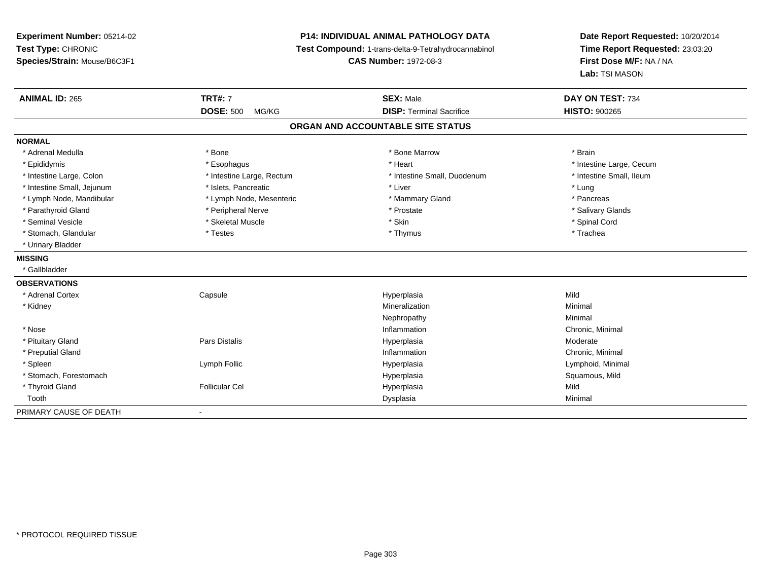# **P14: INDIVIDUAL ANIMAL PATHOLOGY DATA**

**Test Compound:** 1-trans-delta-9-Tetrahydrocannabinol

**CAS Number:** 1972-08-3

| <b>ANIMAL ID: 265</b>      | <b>TRT#: 7</b>            | <b>SEX: Male</b>                  | DAY ON TEST: 734         |
|----------------------------|---------------------------|-----------------------------------|--------------------------|
|                            | <b>DOSE: 500</b><br>MG/KG | <b>DISP: Terminal Sacrifice</b>   | <b>HISTO: 900265</b>     |
|                            |                           | ORGAN AND ACCOUNTABLE SITE STATUS |                          |
| <b>NORMAL</b>              |                           |                                   |                          |
| * Adrenal Medulla          | * Bone                    | * Bone Marrow                     | * Brain                  |
| * Epididymis               | * Esophagus               | * Heart                           | * Intestine Large, Cecum |
| * Intestine Large, Colon   | * Intestine Large, Rectum | * Intestine Small, Duodenum       | * Intestine Small. Ileum |
| * Intestine Small, Jejunum | * Islets, Pancreatic      | * Liver                           | * Lung                   |
| * Lymph Node, Mandibular   | * Lymph Node, Mesenteric  | * Mammary Gland                   | * Pancreas               |
| * Parathyroid Gland        | * Peripheral Nerve        | * Prostate                        | * Salivary Glands        |
| * Seminal Vesicle          | * Skeletal Muscle         | * Skin                            | * Spinal Cord            |
| * Stomach, Glandular       | * Testes                  | * Thymus                          | * Trachea                |
| * Urinary Bladder          |                           |                                   |                          |
| <b>MISSING</b>             |                           |                                   |                          |
| * Gallbladder              |                           |                                   |                          |
| <b>OBSERVATIONS</b>        |                           |                                   |                          |
| * Adrenal Cortex           | Capsule                   | Hyperplasia                       | Mild                     |
| * Kidney                   |                           | Mineralization                    | Minimal                  |
|                            |                           | Nephropathy                       | Minimal                  |
| * Nose                     |                           | Inflammation                      | Chronic, Minimal         |
| * Pituitary Gland          | Pars Distalis             | Hyperplasia                       | Moderate                 |
| * Preputial Gland          |                           | Inflammation                      | Chronic, Minimal         |
| * Spleen                   | Lymph Follic              | Hyperplasia                       | Lymphoid, Minimal        |
| * Stomach, Forestomach     |                           | Hyperplasia                       | Squamous, Mild           |
| * Thyroid Gland            | <b>Follicular Cel</b>     | Hyperplasia                       | Mild                     |
| Tooth                      |                           | Dysplasia                         | Minimal                  |
| PRIMARY CAUSE OF DEATH     | $\overline{\phantom{a}}$  |                                   |                          |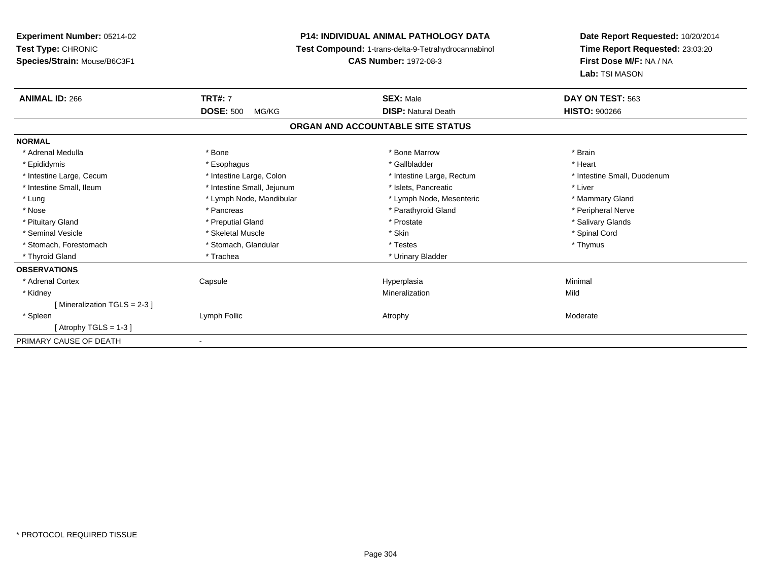# **P14: INDIVIDUAL ANIMAL PATHOLOGY DATA**

**Test Compound:** 1-trans-delta-9-Tetrahydrocannabinol

**CAS Number:** 1972-08-3

| <b>ANIMAL ID: 266</b>        | <b>TRT#: 7</b>             | <b>SEX: Male</b>                  | DAY ON TEST: 563            |
|------------------------------|----------------------------|-----------------------------------|-----------------------------|
|                              | <b>DOSE: 500</b><br>MG/KG  | <b>DISP: Natural Death</b>        | <b>HISTO: 900266</b>        |
|                              |                            | ORGAN AND ACCOUNTABLE SITE STATUS |                             |
| <b>NORMAL</b>                |                            |                                   |                             |
| * Adrenal Medulla            | * Bone                     | * Bone Marrow                     | * Brain                     |
| * Epididymis                 | * Esophagus                | * Gallbladder                     | * Heart                     |
| * Intestine Large, Cecum     | * Intestine Large, Colon   | * Intestine Large, Rectum         | * Intestine Small, Duodenum |
| * Intestine Small, Ileum     | * Intestine Small, Jejunum | * Islets, Pancreatic              | * Liver                     |
| * Lung                       | * Lymph Node, Mandibular   | * Lymph Node, Mesenteric          | * Mammary Gland             |
| * Nose                       | * Pancreas                 | * Parathyroid Gland               | * Peripheral Nerve          |
| * Pituitary Gland            | * Preputial Gland          | * Prostate                        | * Salivary Glands           |
| * Seminal Vesicle            | * Skeletal Muscle          | * Skin                            | * Spinal Cord               |
| * Stomach, Forestomach       | * Stomach, Glandular       | * Testes                          | * Thymus                    |
| * Thyroid Gland              | * Trachea                  | * Urinary Bladder                 |                             |
| <b>OBSERVATIONS</b>          |                            |                                   |                             |
| * Adrenal Cortex             | Capsule                    | Hyperplasia                       | Minimal                     |
| * Kidney                     |                            | Mineralization                    | Mild                        |
| [Mineralization TGLS = 2-3 ] |                            |                                   |                             |
| * Spleen                     | Lymph Follic               | Atrophy                           | Moderate                    |
| [Atrophy TGLS = $1-3$ ]      |                            |                                   |                             |
| PRIMARY CAUSE OF DEATH       |                            |                                   |                             |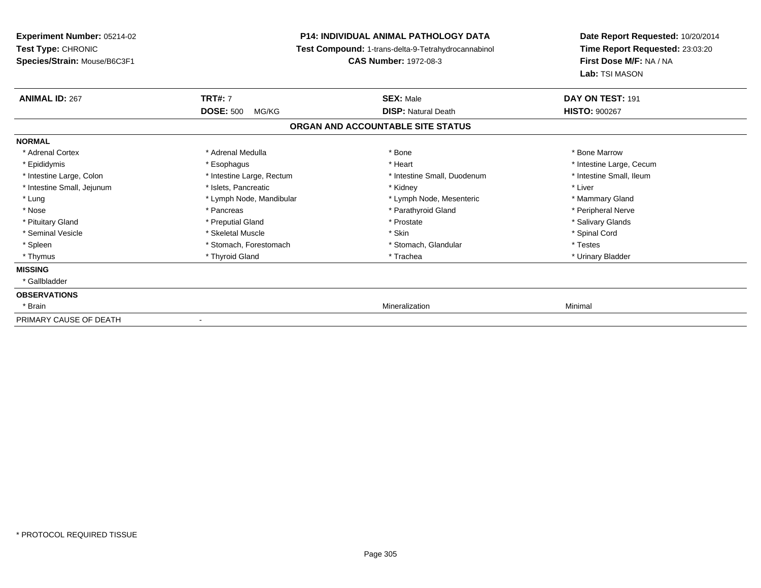**Experiment Number:** 05214-02**Test Type:** CHRONIC **Species/Strain:** Mouse/B6C3F1**P14: INDIVIDUAL ANIMAL PATHOLOGY DATA Test Compound:** 1-trans-delta-9-Tetrahydrocannabinol **CAS Number:** 1972-08-3**Date Report Requested:** 10/20/2014**Time Report Requested:** 23:03:20**First Dose M/F:** NA / NA**Lab:** TSI MASON**ANIMAL ID:** 267 **TRT#:** <sup>7</sup> **SEX:** Male **DAY ON TEST:** <sup>191</sup> **DOSE:** 500 MG/KG**DISP:** Natural Death **HISTO:**  $900267$ **ORGAN AND ACCOUNTABLE SITE STATUSNORMAL**\* Adrenal Cortex \* Adrenal Medulla \* Adrenal Medulla \* Bone \* Bone \* Bone \* Bone \* Bone Marrow \* Epididymis \* https://www.fragusta.com/windows/windows/windows/windows/windows/windows/windows/windows/windows/ \* Intestine Small, Ileum \* Intestine Large, Colon \* Intestine Large, Rectum \* Intestine Small, Duodenum \* Intestine Small, Duodenum \* Intestine Small, Jejunum \* 1992 \* The state of the state of the state of the state of the state of the state of the state of the state of the state of the state of the state of the state of the state of the state of the \* Lung **\* Lymph Node, Mandibular \*** Lymph Node, Mesenteric \* Mammary Gland \* Mammary Gland \* Peripheral Nerve \* Nose \* \* Pancreas \* \* Pancreas \* \* Pancreas \* \* Parathyroid Gland \* \* Peripheral Nerve \* Peripheral Nerve \* \* Salivary Glands \* Pituitary Gland \* \* Then the state \* Preputial Gland \* Prosection \* Prostate \* \* Salivary Glands \* Salivary Glands \* Salivary Glands \* Salivary Glands \* Salivary Glands \* Salivary Glands \* Salivary Glands \* Salivary Glan \* Seminal Vesicle \* \* Spinal Cord \* Skeletal Muscle \* \* Skin \* \* Skin \* \* Spinal Vesicle \* Spinal Cord \* Spinal Cord \* Spleen \* Stomach, Forestomach \* Stomach \* Stomach, Slandular \* Testes \* Testes \* Urinary Bladder \* Thymus \* Thyroid Gland \* Trachea \* Urinary Bladder \* **MISSING** \* Gallbladder**OBSERVATIONS** \* Brainn and the control of the control of the control of the control of the control of the control of the control of the control of the control of the control of the control of the control of the control of the control of the co PRIMARY CAUSE OF DEATH-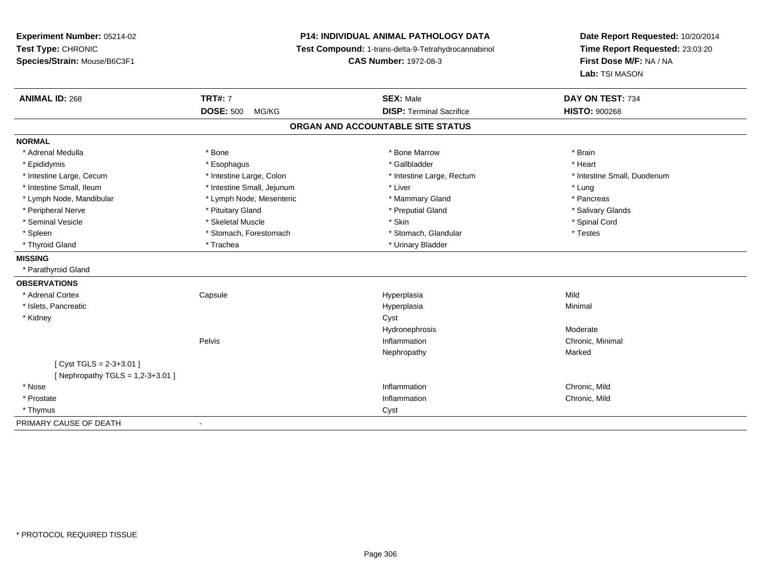**Experiment Number:** 05214-02**Test Type:** CHRONIC **Species/Strain:** Mouse/B6C3F1**P14: INDIVIDUAL ANIMAL PATHOLOGY DATA Test Compound:** 1-trans-delta-9-Tetrahydrocannabinol **CAS Number:** 1972-08-3**Date Report Requested:** 10/20/2014**Time Report Requested:** 23:03:20**First Dose M/F:** NA / NA**Lab:** TSI MASON**ANIMAL ID:** 268**TRT#:** 7 **SEX:** Male **DAY ON TEST:** 734 **DOSE:** 500 MG/KG **DISP:** Terminal Sacrifice **HISTO:** <sup>900268</sup> **ORGAN AND ACCOUNTABLE SITE STATUSNORMAL**\* Adrenal Medulla \* \* Annual Medulla \* Brain \* Bone \* \* Bone Marrow \* Bone Marrow \* \* Brain \* Brain \* Brain \* Brain \* Brain \* Brain \* Brain \* Brain \* Brain \* Brain \* Brain \* Brain \* Brain \* Brain \* Brain \* Brain \* Brain \* \* Heart \* Epididymis \* Esophagus \* Gallbladder \* Heart\* Intestine Large, Cecum \* Intestine Large, Colon \* Intestine Large, Rectum \* Intestine Small, Duodenum \* Intestine Small, Ileum \* https://www.thestine Small, Jejunum \* Liver \* Liver \* Liver \* Liver \* Lung \* Pancreas \* Lymph Node, Mandibular \* Lymph Node, Mesenteric \* Mammary Gland \* Mammary Gland \* Salivary Glands \* Peripheral Nerve \* \* Andrew \* Pituitary Gland \* Preputial Gland \* Preputial Gland \* \* Salivary Glands \* Salivary Glands \* Salivary Glands \* Salivary Glands \* Salivary Glands \* Salivary Glands \* Salivary Glands \* Salivary \* Seminal Vesicle \* \* Spinal Cord \* Skeletal Muscle \* \* Skin \* \* Skin \* \* Spinal Vesicle \* Spinal Cord \* Spinal Cord \* Spleen \* Stomach, Forestomach \* Stomach \* Stomach, Slandular \* Testes \* Testes \* Thyroid Gland \* Trachea \* Trachea \* Trachea \* Urinary Bladder **MISSING** \* Parathyroid Gland**OBSERVATIONS** \* Adrenal Cortex Capsule Hyperplasia Mild \* Islets, Pancreaticc and the contract of the contract of the contract of the contract of the contract of the contract of the contract of the contract of the contract of the contract of the contract of the contract of the contract of the cont a **Minimal**  \* Kidneyy control of the control of the control of the control of the control of the control of the control of the control of the control of the control of the control of the control of the control of the control of the control of Hydronephrosis Moderaten Chronic, Minimal Pelvis InflammationNephropathyy and the contract of the Marked  $[$  Cyst TGLS = 2-3+3.01  $]$  $[$  Nephropathy TGLS = 1,2-3+3.01 ] \* Nosee and the contract of the contract of the contract of the contract of the contract of the chronic, Mild and the chronic, Mild and the chronic, Mild and the chronic state of the chronic state of the chronic state of the chr \* Prostatee description of the control of the control of the control of the control of the chronic, Mild and Chronic, Mild and Chronic, Mild and Chronic, Mild and Chronic, Mild and Chronic, Mild and Chronic, Mild and Chronic, Mild a \* Thymuss and the contract of the contract of the contract of the contract of the contract of the contract of the contract of the contract of the contract of the contract of the contract of the contract of the contract of the cont PRIMARY CAUSE OF DEATH-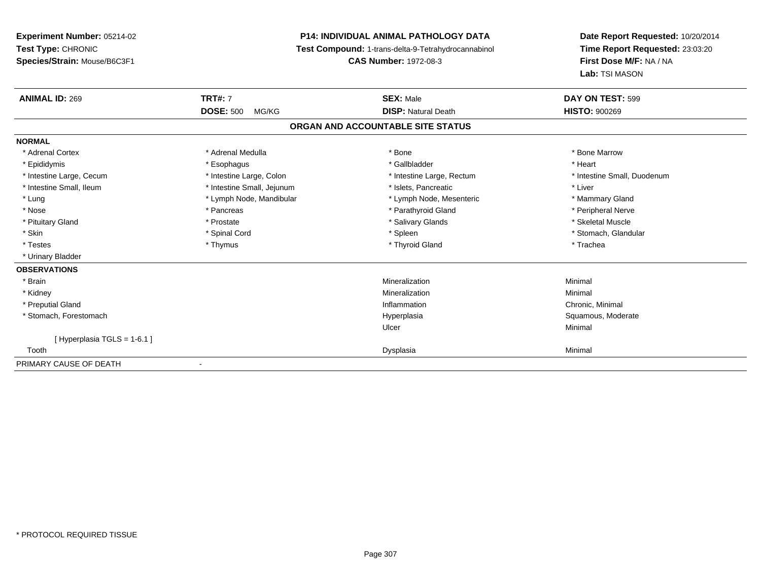# **P14: INDIVIDUAL ANIMAL PATHOLOGY DATA**

**Test Compound:** 1-trans-delta-9-Tetrahydrocannabinol

**CAS Number:** 1972-08-3

| <b>ANIMAL ID: 269</b>      | <b>TRT#: 7</b>             | <b>SEX: Male</b>                  | DAY ON TEST: 599            |
|----------------------------|----------------------------|-----------------------------------|-----------------------------|
|                            | <b>DOSE: 500</b><br>MG/KG  | <b>DISP: Natural Death</b>        | <b>HISTO: 900269</b>        |
|                            |                            | ORGAN AND ACCOUNTABLE SITE STATUS |                             |
| <b>NORMAL</b>              |                            |                                   |                             |
| * Adrenal Cortex           | * Adrenal Medulla          | * Bone                            | * Bone Marrow               |
| * Epididymis               | * Esophagus                | * Gallbladder                     | * Heart                     |
| * Intestine Large, Cecum   | * Intestine Large, Colon   | * Intestine Large, Rectum         | * Intestine Small, Duodenum |
| * Intestine Small, Ileum   | * Intestine Small, Jejunum | * Islets, Pancreatic              | * Liver                     |
| * Lung                     | * Lymph Node, Mandibular   | * Lymph Node, Mesenteric          | * Mammary Gland             |
| * Nose                     | * Pancreas                 | * Parathyroid Gland               | * Peripheral Nerve          |
| * Pituitary Gland          | * Prostate                 | * Salivary Glands                 | * Skeletal Muscle           |
| * Skin                     | * Spinal Cord              | * Spleen                          | * Stomach, Glandular        |
| * Testes                   | * Thymus                   | * Thyroid Gland                   | * Trachea                   |
| * Urinary Bladder          |                            |                                   |                             |
| <b>OBSERVATIONS</b>        |                            |                                   |                             |
| * Brain                    |                            | Mineralization                    | Minimal                     |
| * Kidney                   |                            | Mineralization                    | Minimal                     |
| * Preputial Gland          |                            | Inflammation                      | Chronic, Minimal            |
| * Stomach, Forestomach     |                            | Hyperplasia                       | Squamous, Moderate          |
|                            |                            | Ulcer                             | Minimal                     |
| [Hyperplasia TGLS = 1-6.1] |                            |                                   |                             |
| Tooth                      |                            | Dysplasia                         | Minimal                     |
| PRIMARY CAUSE OF DEATH     |                            |                                   |                             |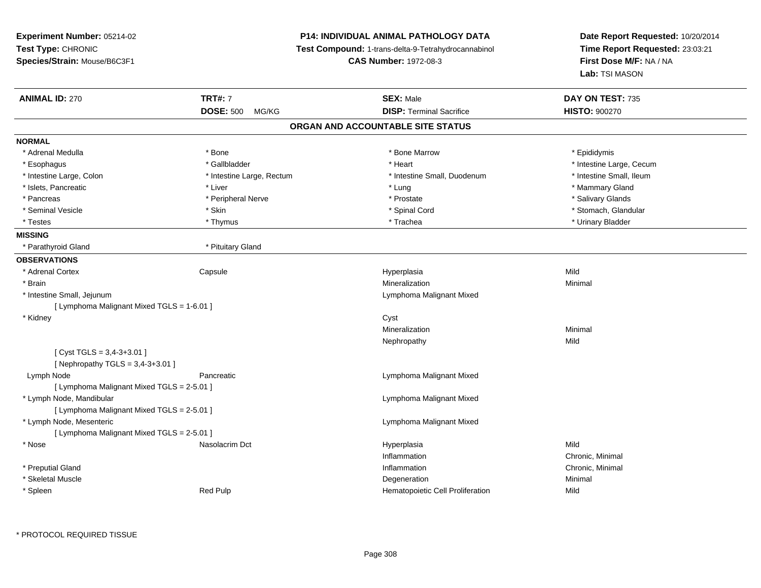**Experiment Number:** 05214-02**Test Type:** CHRONIC **Species/Strain:** Mouse/B6C3F1**P14: INDIVIDUAL ANIMAL PATHOLOGY DATA Test Compound:** 1-trans-delta-9-Tetrahydrocannabinol **CAS Number:** 1972-08-3**Date Report Requested:** 10/20/2014**Time Report Requested:** 23:03:21**First Dose M/F:** NA / NA**Lab:** TSI MASON**ANIMAL ID:** 270**TRT#:** 7 **SEX:** Male **DAY ON TEST:** 735 **DOSE:** 500 MG/KG**DISP:** Terminal Sacrifice **HISTO:**  $900270$ **ORGAN AND ACCOUNTABLE SITE STATUSNORMAL**\* Adrenal Medulla \* Adrenal Medulla \* \* The matter of the state of the state of the Marrow \* Bone Marrow \* Adrenal Medulla \* Epididymis \* Epididymis \* Bone Marrow \* Adrenal Medulla \* Epididymis \* Epididymis \* Epididymis \* Epididymis \* Epidi \* Esophagus \* https://www.fragustage.com/web/2019/heart \* Heart \* Heart \* Heart \* Intestine Large, Cecum \* Intestine Large, Cecum \* Gallbladder \* Callbladder \* 11 and 12 and 12 and 12 and 12 and 12 and 12 and 12 and 12 and \* Intestine Small, Ileum \* Intestine Large, Colon \* Intestine Large, Rectum \* Intestine Small, Duodenum \* Intestine Small, Duodenum \* Islets, Pancreatic \* \* \* Liver \* Liver \* Liver \* Lung \* Lung \* Lung \* Lung \* Lung \* Mammary Gland \* Mammary Gland \* Salivary Glands \* Pancreas \* And the second term in the second term in the second term in the second term in the second term in the second term in the second term in the second term in the second term in the second term in the second term \* Seminal Vesicle \* The state of the second term in the second term in the second term in the second term in the second term in the second term in the second term in the second term in the second term in the second term in \* Testes \* Thymus \* Trachea \* Urinary Bladder **MISSING** \* Parathyroid Gland \* Pituitary Gland**OBSERVATIONS** \* Adrenal Cortex**Capsule**  Hyperplasia Mild \* Brainn and the controller of the controller of the controller of the Minimal Mineralization and the controller of the Minimal Minimal  $\alpha$  \* Intestine Small, Jejunum Lymphoma Malignant Mixed [ Lymphoma Malignant Mixed TGLS = 1-6.01 ] \* Kidneyy control of the control of the control of the control of the control of the control of the control of the control of the control of the control of the control of the control of the control of the control of the control of Mineralizationn Minimal Nephropathyy Mild  $[$  Cyst TGLS = 3,4-3+3.01  $]$  $[$  Nephropathy TGLS = 3,4-3+3.01  $]$  Lymph NodePancreatic **Lymphoma Malignant Mixed** [ Lymphoma Malignant Mixed TGLS = 2-5.01 ] \* Lymph Node, Mandibular Lymphoma Malignant Mixed[ Lymphoma Malignant Mixed TGLS = 2-5.01 ] \* Lymph Node, Mesenteric Lymphoma Malignant Mixed[ Lymphoma Malignant Mixed TGLS = 2-5.01 ] \* Nose Nasolacrim Dct Hyperplasia Mild InflammationInflammation **Chronic, Minimal**<br>
Inflammation **Chronic, Minimal**  \* Preputial Glandd the controller of the controller of the controller of the controller of the controller of the controller of the controller of the controller of the controller of the controller of the controller of the controller of the \* Skeletal Musclee and the control of the control of the control of the control of the control of the control of the control of the control of the control of the control of the control of the control of the control of the control of the co \* SpleenRed Pulp **Mild Hematopoietic Cell Proliferation Mild**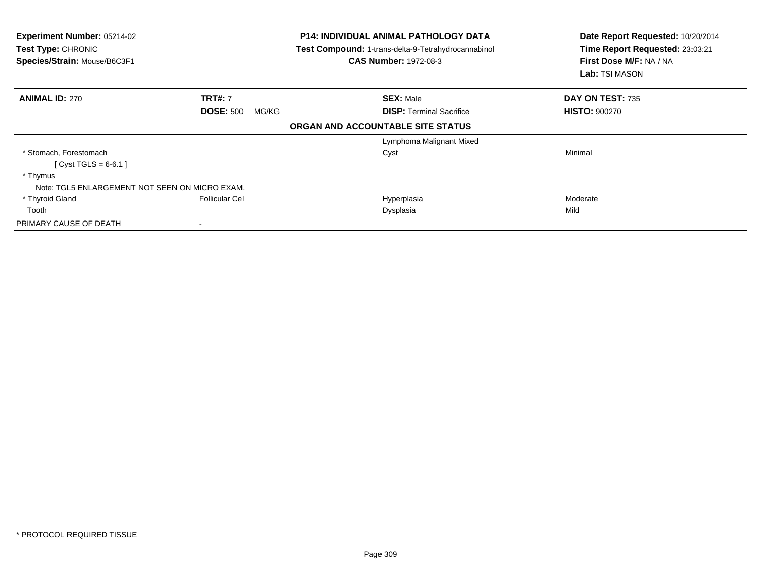| Experiment Number: 05214-02<br>Test Type: CHRONIC<br>Species/Strain: Mouse/B6C3F1 |                           | <b>P14: INDIVIDUAL ANIMAL PATHOLOGY DATA</b><br>Test Compound: 1-trans-delta-9-Tetrahydrocannabinol<br><b>CAS Number: 1972-08-3</b> | Date Report Requested: 10/20/2014<br>Time Report Requested: 23:03:21<br>First Dose M/F: NA / NA<br><b>Lab:</b> TSI MASON |
|-----------------------------------------------------------------------------------|---------------------------|-------------------------------------------------------------------------------------------------------------------------------------|--------------------------------------------------------------------------------------------------------------------------|
| <b>ANIMAL ID: 270</b>                                                             | <b>TRT#: 7</b>            | <b>SEX: Male</b>                                                                                                                    | DAY ON TEST: 735                                                                                                         |
|                                                                                   | <b>DOSE: 500</b><br>MG/KG | <b>DISP:</b> Terminal Sacrifice                                                                                                     | <b>HISTO: 900270</b>                                                                                                     |
|                                                                                   |                           | ORGAN AND ACCOUNTABLE SITE STATUS                                                                                                   |                                                                                                                          |
|                                                                                   |                           | Lymphoma Malignant Mixed                                                                                                            |                                                                                                                          |
| * Stomach, Forestomach                                                            |                           | Cyst                                                                                                                                | Minimal                                                                                                                  |
| [ Cyst TGLS = $6-6.1$ ]                                                           |                           |                                                                                                                                     |                                                                                                                          |
| * Thymus                                                                          |                           |                                                                                                                                     |                                                                                                                          |
| Note: TGL5 ENLARGEMENT NOT SEEN ON MICRO EXAM.                                    |                           |                                                                                                                                     |                                                                                                                          |
| * Thyroid Gland                                                                   | <b>Follicular Cel</b>     | Hyperplasia                                                                                                                         | Moderate                                                                                                                 |
| Tooth                                                                             |                           | Dysplasia                                                                                                                           | Mild                                                                                                                     |
| PRIMARY CAUSE OF DEATH                                                            |                           |                                                                                                                                     |                                                                                                                          |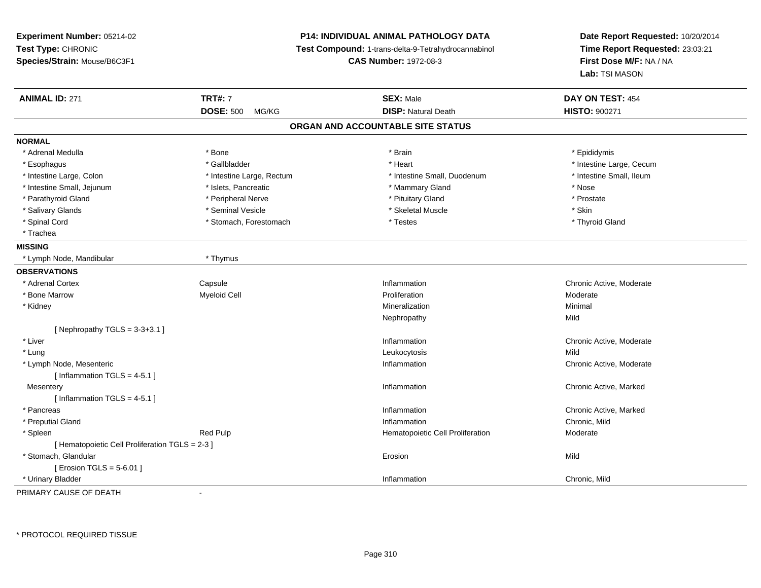**Experiment Number:** 05214-02**Test Type:** CHRONIC **Species/Strain:** Mouse/B6C3F1**P14: INDIVIDUAL ANIMAL PATHOLOGY DATA Test Compound:** 1-trans-delta-9-Tetrahydrocannabinol **CAS Number:** 1972-08-3**Date Report Requested:** 10/20/2014**Time Report Requested:** 23:03:21**First Dose M/F:** NA / NA**Lab:** TSI MASON**ANIMAL ID:** 271**TRT#:** 7 **SEX:** Male **DAY ON TEST:** 454 **DOSE:** 500 MG/KG**DISP:** Natural Death **HISTO:**  $900271$ **ORGAN AND ACCOUNTABLE SITE STATUSNORMAL**\* Adrenal Medulla \* Adrenal Medulla \* \* \* Adrenal Medulla \* \* Epididymis \* Bone \* \* Brain \* \* Brain \* \* Brain \* \* Epididymis \* Epididymis \* Epididymis \* \* Epididymis \* \* Epididymis \* \* Epididymis \* \* Epididymis \* \* Epididymis \* \* Epididymis \* Esophagus \* https://www.fragustage.com/web/2019/heart \* Heart \* Heart \* Heart \* Intestine Large, Cecum \* Intestine Large, Cecum \* Gallbladder \* Callbladder \* 11 and 12 and 12 and 12 and 12 and 12 and 12 and 12 and 12 and \* Intestine Small, Ileum \* Intestine Large, Colon \* Intestine Large, Rectum \* Intestine Small, Duodenum \* Intestine Small, Duodenum \* Intestine Small, Jejunum \* \* \* 19ets, Pancreatic \* \* Mammary Gland \* Mammary Gland \* Nose \* Prostate \* Parathyroid Gland \* The state of the state of the state of the state of the state of the state of the state of the state of the state of the state of the state of the state of the state of the state of the state of the s \* Salivary Glands \* Seminal Vesicle \* Skeletal Muscle \* Skin\* Thyroid Gland \* Spinal Cord \* Stomach, Forestomach \* Stomach \* Testes \* Trachea**MISSING** \* Lymph Node, Mandibular \* Thymus**OBSERVATIONS** \* Adrenal Cortex**Capsule** Capsule Capsule Capsule Capsule Chronic Active, Moderate Chronic Active, Moderate Chronic Active, Moderate Chronic Active, Moderate Chronic Active, Moderate Chronic Active, Moderate Chronic Active, Moderate Chronic Active, \* Bone Marroww metal experiment of the Myeloid Cell and the Moderate of the Proliferation and the Moderate Moderate of Moderate  $\mathbb{R}$  \* Kidneyy with the control of the control of the control of the control of the control of the control of the control of the control of the control of the control of the control of the control of the control of the control of the c n Minimal Nephropathyy Mild  $[$  Nephropathy TGLS = 3-3+3.1 ] \* Liver**Inflammation Inflammation** Inflammation **Example 2018** Chronic Active, Moderate<br>
Leukocytosis **Mild**  \* Lung Leukocytosis Mild \* Lymph Node, Mesentericc and the contract of the contract of the contract of the contract of the contract of the contract of the contract of the contract of the contract of the contract of the contract of the contract of the contract of the cont Inflammation **Chronic Active, Moderate**  $[$  Inflammation TGLS = 4-5.1 ] **Mesentery** y the control of the control of the control of the control of the control of the control of the control of the control of the control of the control of the control of the control of the control of the control of the contro Chronic Active, Marked  $[$  Inflammation TGLS = 4-5.1 ] \* Pancreass and the contract of the contract of the contract of the contract of the contract of the contract of the contract of the contract of the contract of the contract of the contract of the contract of the contract of the cont Inflammation **Chronic Active, Marked Inflammation**<br> **Chronic Mild**<br>
Chronic Mild \* Preputial Glandd
and **d**and **d**chronic, Mild
come of the contract of the contract of the contract of the contract of the contract of the contract of the contract of the contract of the contract of the contract of the contract of the co \* SpleenRed Pulp **Moderate Hematopoietic Cell Proliferation Moderate** [ Hematopoietic Cell Proliferation TGLS = 2-3 ] \* Stomach, Glandularr and the contract of the contract of the contract of the contract of the contract of the contract of the contract of the contract of the contract of the contract of the contract of the contract of the contract of the cont n Mild  $[$  Erosion TGLS = 5-6.01  $]$  \* Urinary Bladderr and the control of the control of the control of the control of the control of the control of the control of Inflammation **Chronic**, Mild

PRIMARY CAUSE OF DEATH-

\* PROTOCOL REQUIRED TISSUE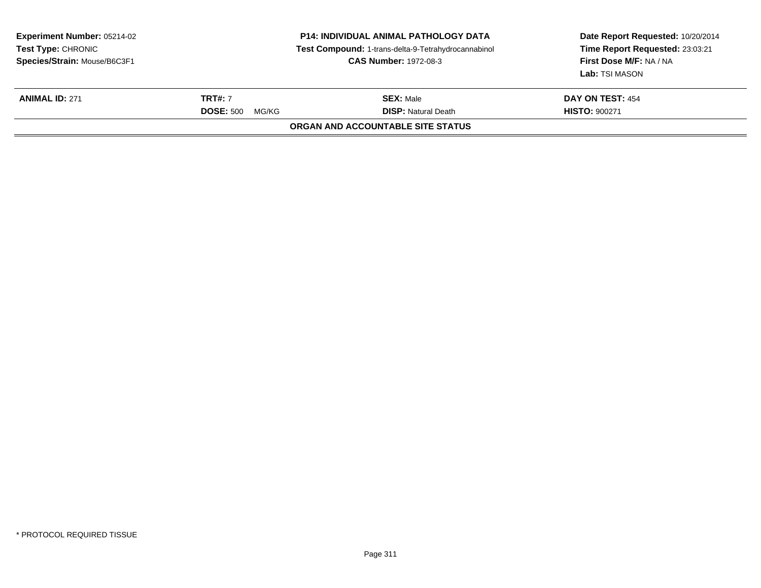| <b>Experiment Number: 05214-02</b><br><b>Test Type: CHRONIC</b><br>Species/Strain: Mouse/B6C3F1 | <b>P14: INDIVIDUAL ANIMAL PATHOLOGY DATA</b><br>Test Compound: 1-trans-delta-9-Tetrahydrocannabinol<br><b>CAS Number: 1972-08-3</b> |                                                                 | Date Report Requested: 10/20/2014<br>Time Report Requested: 23:03:21<br>First Dose M/F: NA / NA<br>Lab: TSI MASON |
|-------------------------------------------------------------------------------------------------|-------------------------------------------------------------------------------------------------------------------------------------|-----------------------------------------------------------------|-------------------------------------------------------------------------------------------------------------------|
| <b>ANIMAL ID: 271</b>                                                                           | <b>TRT#: 7</b>                                                                                                                      | <b>SEX: Male</b>                                                | <b>DAY ON TEST: 454</b>                                                                                           |
|                                                                                                 | <b>DOSE: 500</b><br>MG/KG                                                                                                           | <b>DISP:</b> Natural Death<br>ORGAN AND ACCOUNTABLE SITE STATUS | <b>HISTO: 900271</b>                                                                                              |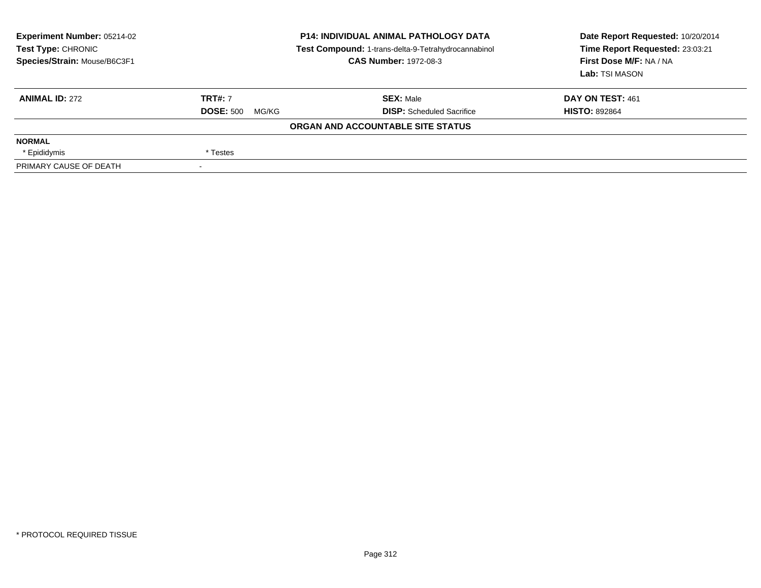| <b>Experiment Number: 05214-02</b><br>Test Type: CHRONIC<br>Species/Strain: Mouse/B6C3F1 | <b>P14: INDIVIDUAL ANIMAL PATHOLOGY DATA</b><br>Test Compound: 1-trans-delta-9-Tetrahydrocannabinol<br><b>CAS Number: 1972-08-3</b> |                                   | Date Report Requested: 10/20/2014<br>Time Report Requested: 23:03:21<br>First Dose M/F: NA / NA<br>Lab: TSI MASON |
|------------------------------------------------------------------------------------------|-------------------------------------------------------------------------------------------------------------------------------------|-----------------------------------|-------------------------------------------------------------------------------------------------------------------|
| <b>ANIMAL ID: 272</b>                                                                    | <b>TRT#: 7</b>                                                                                                                      | <b>SEX: Male</b>                  | DAY ON TEST: 461                                                                                                  |
|                                                                                          | <b>DOSE: 500</b><br>MG/KG                                                                                                           | <b>DISP:</b> Scheduled Sacrifice  | <b>HISTO: 892864</b>                                                                                              |
|                                                                                          |                                                                                                                                     | ORGAN AND ACCOUNTABLE SITE STATUS |                                                                                                                   |
| <b>NORMAL</b>                                                                            |                                                                                                                                     |                                   |                                                                                                                   |
| * Epididymis                                                                             | * Testes                                                                                                                            |                                   |                                                                                                                   |
| PRIMARY CAUSE OF DEATH                                                                   |                                                                                                                                     |                                   |                                                                                                                   |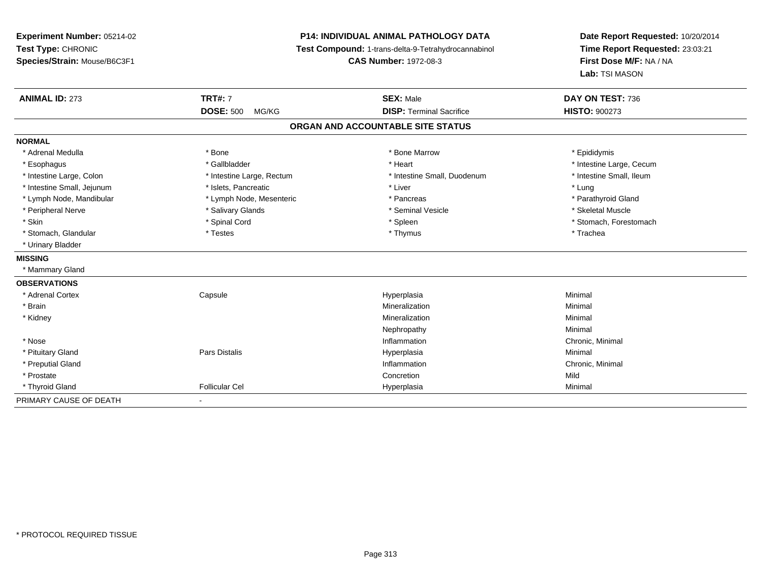**Experiment Number:** 05214-02**Test Type:** CHRONIC **Species/Strain:** Mouse/B6C3F1**P14: INDIVIDUAL ANIMAL PATHOLOGY DATA Test Compound:** 1-trans-delta-9-Tetrahydrocannabinol **CAS Number:** 1972-08-3**Date Report Requested:** 10/20/2014**Time Report Requested:** 23:03:21**First Dose M/F:** NA / NA**Lab:** TSI MASON**ANIMAL ID:** 273**TRT#:** 7 **SEX:** Male **DAY ON TEST:** 736 **DOSE:** 500 MG/KG **DISP:** Terminal Sacrifice **HISTO:** <sup>900273</sup> **ORGAN AND ACCOUNTABLE SITE STATUSNORMAL**\* Adrenal Medulla \* Adrenal Medulla \* \* The matter of the state of the state of the Marrow \* Bone Marrow \* Adrenal Medulla \* Epididymis \* Epididymis \* Bone Marrow \* Adrenal Medulla \* Epididymis \* Epididymis \* Epididymis \* Epididymis \* Epidi \* Esophagus \* https://www.fragustage.com/web/2019/heart \* Heart \* Heart \* Heart \* Intestine Large, Cecum \* Intestine Large, Cecum \* Gallbladder \* Callbladder \* 11 and 12 and 12 and 12 and 12 and 12 and 12 and 12 and 12 and \* Intestine Small, Ileum \* Intestine Large, Colon \* Intestine Large, Rectum \* Intestine Small, Duodenum \* Intestine Small, Duodenum \* Intestine Small, Jejunum \* 1997 \* The state of the state of the state of the state of the state of the state  $\sim$  \* Lung \* Lung \* Lung \* Lung \* Lung \* Lung \* Lung \* Lung \* Lung \* Lung \* Lung \* Lung \* Lung \* Lung \* Lung \* \* Parathyroid Gland \* Lymph Node, Mandibular \* Lymph Node, Mesenteric \* Pancreas \* Pancreas \* Pancreas \* Pancreas \* Pancreas \* Pancreas \* Pancreas \* Pancreas \* Pancreas \* Pancreas \* Pancreas \* Pancreas \* Pancreas \* Pancreas \* Pancreas \* Pancr \* Peripheral Nerve \* \* \* \* Steletal Muscle \* \* Salivary Glands \* \* \* \* \* Seminal Vesicle \* \* \* \* \* \* Skeletal Muscle \* Skin \* Spinal Cord \* Spinal Cord \* Spinal Cord \* Spinal \* Spinal \* Stomach, Forestomach \* Stomach, Forestomach \* Stomach, Glandular \* Trachea \* Testes \* Thymus \* Thymus \* Thymus \* Thymus \* Trachea \* Trachea \* Urinary Bladder**MISSING** \* Mammary Gland**OBSERVATIONS** \* Adrenal Cortex Capsule Hyperplasia Minimal \* Brainn and the controller of the controller of the controller of the Minimal Mineralization and the controller of the Minimal Minimal  $\alpha$  \* Kidneyy with the control of the control of the control of the control of the control of the control of the control of the control of the control of the control of the control of the control of the control of the control of the c n Minimal Nephropathyy the contract of the Minimal Minimal Section 1996 and the contract of the Minimal Section 1997 and the contract of the contract of the contract of the contract of the contract of the contract of the contract of the contra \* Nosee the contraction of the contraction of the contraction of the contraction of the chronic, Minimal on the chronic, Minimal or  $\mathbb{R}^n$  \* Pituitary Gland Pars Distalis Hyperplasia Minimal \* Preputial Glandd the controller of the controller of the controller of the controller of the controller of the controller of the controller of the controller of the controller of the controller of the controller of the controller of the \* Prostatee and the concretion of the concretion of the concretion of the concretion of the concretion of the concretion \* Thyroid Gland Follicular Cel Hyperplasia Minimal PRIMARY CAUSE OF DEATH-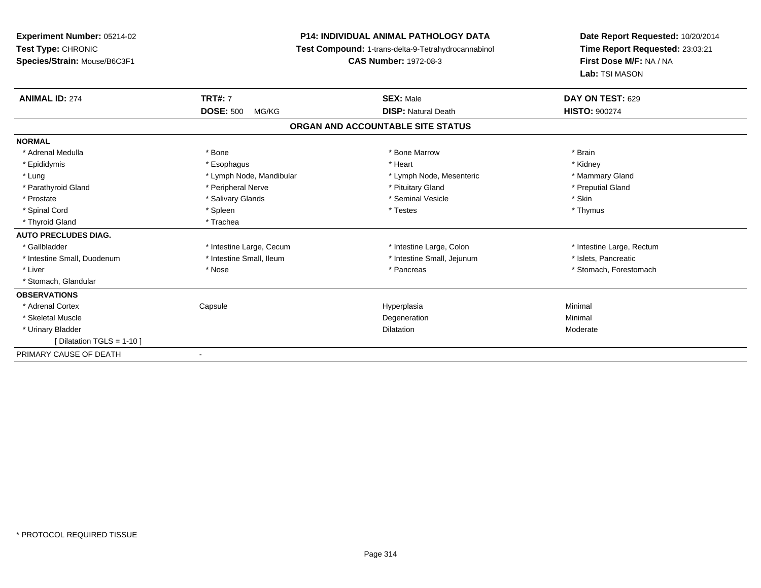**Experiment Number:** 05214-02**Test Type:** CHRONIC **Species/Strain:** Mouse/B6C3F1**P14: INDIVIDUAL ANIMAL PATHOLOGY DATA Test Compound:** 1-trans-delta-9-Tetrahydrocannabinol **CAS Number:** 1972-08-3**Date Report Requested:** 10/20/2014**Time Report Requested:** 23:03:21**First Dose M/F:** NA / NA**Lab:** TSI MASON**ANIMAL ID:** 274**TRT#:** 7 **SEX:** Male **DAY ON TEST:** 629 **DOSE:** 500 MG/KG**DISP:** Natural Death **HISTO:**  $900274$ **ORGAN AND ACCOUNTABLE SITE STATUSNORMAL**\* Adrenal Medulla \* \* Annual Medulla \* Brain \* Bone \* \* Bone Marrow \* Bone Marrow \* \* Brain \* Brain \* Brain \* Brain \* Brain \* Brain \* Brain \* Brain \* Brain \* Brain \* Brain \* Brain \* Brain \* Brain \* Brain \* Brain \* Brain \* \* Kidney \* Epididymis \* Esophagus \* Heart \* Kidney \* Mammary Gland \* Lung \* Lymph Node, Mandibular \* Mammary Americ \* Lymph Node, Mesenteric \* Preputial Gland \* Parathyroid Gland \* \* The parathyroid Gland \* Peripheral Nerve \* \* Preputial Gland \* Preputial Gland \* \* Preputial Gland \* \* Preputial Gland \* \* Preputial Gland \* \* Preputial Gland \* \* Preputial Gland \* \* Preputial Gland \* Prostate \* \* Salivary Glands \* \* Salivary Glands \* \* Seminal Vesicle \* \* \* Seminal Yestrich \* \* Skin \* \* Skin \* Thymus \* Spinal Cord \* \* \* Sheen \* \* \* Spleen \* \* \* Testes \* \* Testes \* \* Thymus \* Thymus \* Thymus \* \* Thymus \* \* Thymus \* Thyroid Gland \* Trachea**AUTO PRECLUDES DIAG.**\* Gallbladder **\*** Intestine Large, Cecum **\* Intestine Large, Cecum \* Intestine Large**, Rectum \* Intestine Large, Rectum \* Intestine Small, Duodenum \* Intestine Small, Ileum \* Intestine Small, Intestine Small, Jejunum \* Islets, Pancreatic \* Liver \* The state of the state of the state of the state of the state of the state of the state of the state of the state of the state of the state of the state of the state of the state of the state of the state of the \* Stomach, Glandular**OBSERVATIONS** \* Adrenal Cortex**Capsule**  Hyperplasia Minimal \* Skeletal Musclee and the control of the control of the control of the control of the control of the control of the control of the control of the control of the control of the control of the control of the control of the control of the co \* Urinary Bladder**n** Dilatation **Contract Contract Contract Contract Contract Contract Contract Contract Contract Contract Contract Contract Contract Contract Contract Contract Contract Contract Contract Contract Contract Contract Contract** n Moderate [ Dilatation TGLS = 1-10 ]PRIMARY CAUSE OF DEATH-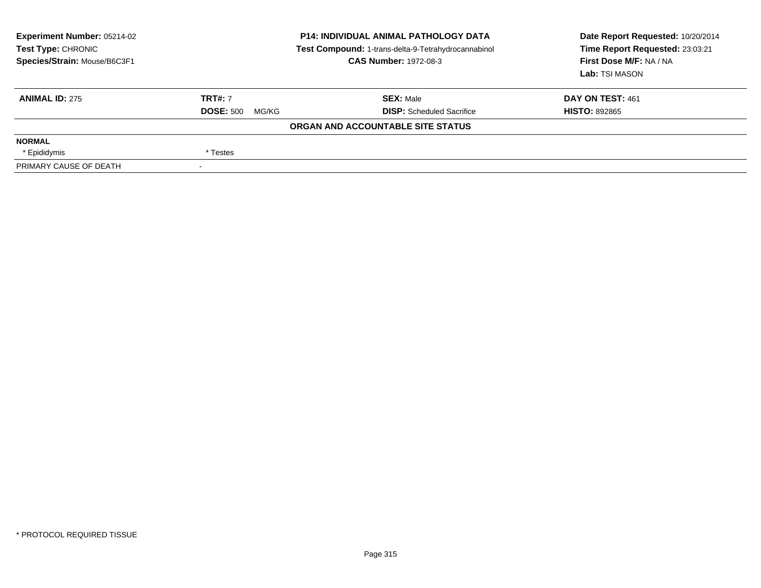| <b>Experiment Number: 05214-02</b><br>Test Type: CHRONIC<br>Species/Strain: Mouse/B6C3F1 | <b>P14: INDIVIDUAL ANIMAL PATHOLOGY DATA</b><br>Test Compound: 1-trans-delta-9-Tetrahydrocannabinol<br><b>CAS Number: 1972-08-3</b> |                                   | Date Report Requested: 10/20/2014<br>Time Report Requested: 23:03:21<br>First Dose M/F: NA / NA<br>Lab: TSI MASON |
|------------------------------------------------------------------------------------------|-------------------------------------------------------------------------------------------------------------------------------------|-----------------------------------|-------------------------------------------------------------------------------------------------------------------|
| <b>ANIMAL ID: 275</b>                                                                    | <b>TRT#: 7</b>                                                                                                                      | <b>SEX: Male</b>                  | DAY ON TEST: 461                                                                                                  |
|                                                                                          | <b>DOSE: 500</b><br>MG/KG                                                                                                           | <b>DISP:</b> Scheduled Sacrifice  | <b>HISTO: 892865</b>                                                                                              |
|                                                                                          |                                                                                                                                     | ORGAN AND ACCOUNTABLE SITE STATUS |                                                                                                                   |
| <b>NORMAL</b>                                                                            |                                                                                                                                     |                                   |                                                                                                                   |
| * Epididymis                                                                             | * Testes                                                                                                                            |                                   |                                                                                                                   |
| PRIMARY CAUSE OF DEATH                                                                   |                                                                                                                                     |                                   |                                                                                                                   |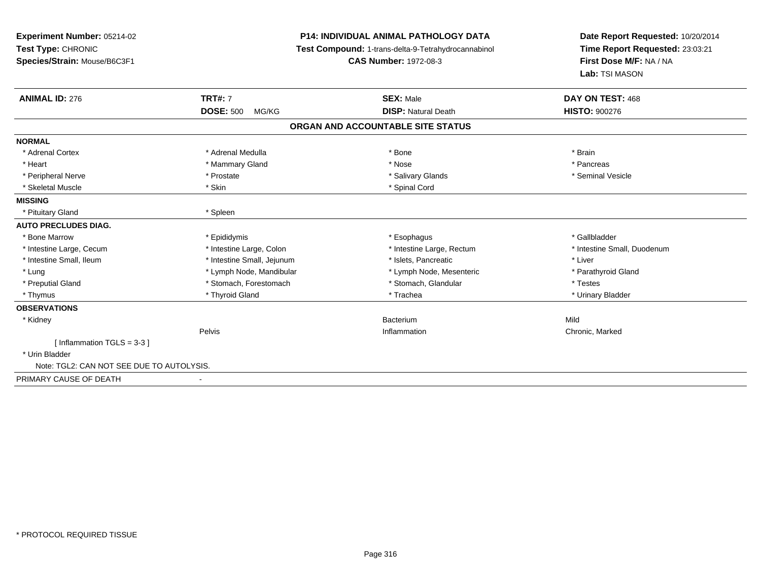| <b>P14: INDIVIDUAL ANIMAL PATHOLOGY DATA</b> |                            | Date Report Requested: 10/20/2014                                                        |  |
|----------------------------------------------|----------------------------|------------------------------------------------------------------------------------------|--|
|                                              |                            | Time Report Requested: 23:03:21                                                          |  |
| <b>CAS Number: 1972-08-3</b>                 |                            | First Dose M/F: NA / NA                                                                  |  |
|                                              |                            | Lab: TSI MASON                                                                           |  |
| <b>TRT#: 7</b>                               | <b>SEX: Male</b>           | DAY ON TEST: 468                                                                         |  |
| <b>DOSE: 500</b><br>MG/KG                    | <b>DISP: Natural Death</b> | <b>HISTO: 900276</b>                                                                     |  |
|                                              |                            |                                                                                          |  |
|                                              |                            |                                                                                          |  |
| * Adrenal Medulla                            | * Bone                     | * Brain                                                                                  |  |
| * Mammary Gland                              | * Nose                     | * Pancreas                                                                               |  |
| * Prostate                                   | * Salivary Glands          | * Seminal Vesicle                                                                        |  |
| * Skin                                       | * Spinal Cord              |                                                                                          |  |
|                                              |                            |                                                                                          |  |
| * Spleen                                     |                            |                                                                                          |  |
|                                              |                            |                                                                                          |  |
| * Epididymis                                 | * Esophagus                | * Gallbladder                                                                            |  |
| * Intestine Large, Colon                     | * Intestine Large, Rectum  | * Intestine Small, Duodenum                                                              |  |
| * Intestine Small, Jejunum                   | * Islets, Pancreatic       | * Liver                                                                                  |  |
| * Lymph Node, Mandibular                     | * Lymph Node, Mesenteric   | * Parathyroid Gland                                                                      |  |
| * Stomach, Forestomach                       | * Stomach, Glandular       | * Testes                                                                                 |  |
| * Thyroid Gland                              | * Trachea                  | * Urinary Bladder                                                                        |  |
|                                              |                            |                                                                                          |  |
|                                              | Bacterium                  | Mild                                                                                     |  |
| Pelvis                                       | Inflammation               | Chronic, Marked                                                                          |  |
|                                              |                            |                                                                                          |  |
|                                              |                            |                                                                                          |  |
| Note: TGL2: CAN NOT SEE DUE TO AUTOLYSIS.    |                            |                                                                                          |  |
|                                              |                            |                                                                                          |  |
|                                              |                            | Test Compound: 1-trans-delta-9-Tetrahydrocannabinol<br>ORGAN AND ACCOUNTABLE SITE STATUS |  |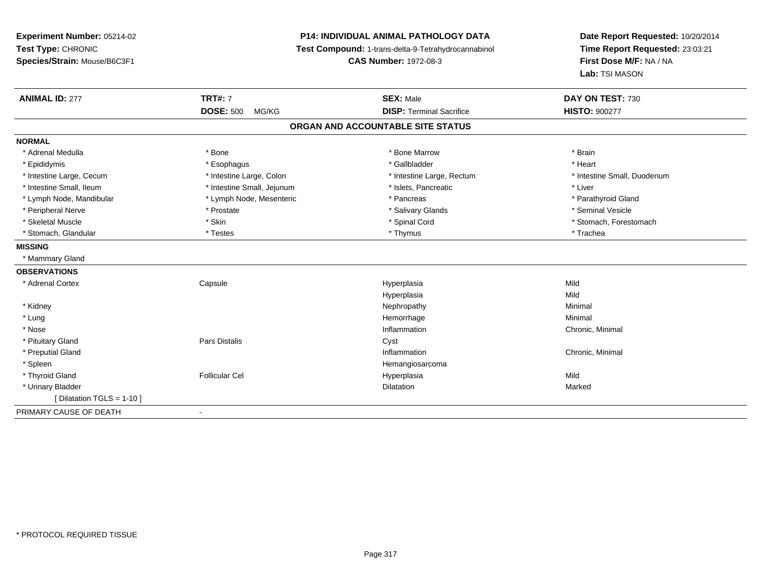**Experiment Number:** 05214-02**Test Type:** CHRONIC **Species/Strain:** Mouse/B6C3F1**P14: INDIVIDUAL ANIMAL PATHOLOGY DATA Test Compound:** 1-trans-delta-9-Tetrahydrocannabinol **CAS Number:** 1972-08-3**Date Report Requested:** 10/20/2014**Time Report Requested:** 23:03:21**First Dose M/F:** NA / NA**Lab:** TSI MASON**ANIMAL ID:** 277**TRT#:** 7 **SEX:** Male **DAY ON TEST:** 730 **DOSE:** 500 MG/KG **DISP:** Terminal Sacrifice **HISTO:** <sup>900277</sup> **ORGAN AND ACCOUNTABLE SITE STATUSNORMAL**\* Adrenal Medulla \* \* Annual Medulla \* Brain \* Bone \* \* Bone Marrow \* Bone Marrow \* \* Brain \* Brain \* Brain \* Brain \* Brain \* Brain \* Brain \* Brain \* Brain \* Brain \* Brain \* Brain \* Brain \* Brain \* Brain \* Brain \* Brain \* \* Heart \* Epididymis \* Esophagus \* Gallbladder \* Heart\* Intestine Large, Cecum \* Intestine Large, Colon \* Intestine Large, Rectum \* Intestine Small, Duodenum \* Intestine Small, Ileum \* Intestine Small, Jejunum \* Islets, Pancreatic \* Liver\* Lymph Node, Mandibular \* Lymph Node, Mesenteric \* \* Pancreas \* Pancreas \* \* Pancreas \* Parathyroid Gland \* Peripheral Nerve \* \* Annual Vesicle \* \* Prostate \* \* Salivary Glands \* \* Salivary Glands \* \* Seminal Vesicle \* Skeletal Muscle \* The state of the set of the set of the set of the set of the set of the set of the set of the set of the set of the set of the set of the set of the set of the set of the set of the set of the set of th \* Stomach, Glandular \* \* \* Trachea \* \* Testes \* \* Thymus \* Thymus \* Thymus \* Trachea \* Trachea **MISSING** \* Mammary Gland**OBSERVATIONS** \* Adrenal Cortex**Capsule**  Hyperplasia Mild Hyperplasiaa Mild \* Kidneyy the control of the control of the control of the control of the control of the control of the control of the control of the control of the control of the control of the control of the control of the control of the contro \* Lungg and the state of the state of the state of the state of the Hemorrhage and the state of the Minimal State of \* Nosee the contraction of the contraction of the contraction of the contraction of the chronic, Minimal on the chronic, Minimal or  $\mathbb{R}^n$  \* Pituitary Glandd **Example 2018** Pars Distalis **Contains 2018** Cyst \* Preputial Glandd the controller of the controller of the controller of the controller of the controller of the controller of the controller of the controller of the controller of the controller of the controller of the controller of the \* Spleen Hemangiosarcoma \* Thyroid Gland Follicular Cel Hyperplasia Mild \* Urinary Bladder**n** Dilatation **Contract Contract Contract Contract Contract Contract Contract Contract Contract Contract Contract Contract Contract Contract Contract Contract Contract Contract Contract Contract Contract Contract Contract** n Marked **Marked** [ Dilatation TGLS = 1-10 ]PRIMARY CAUSE OF DEATH-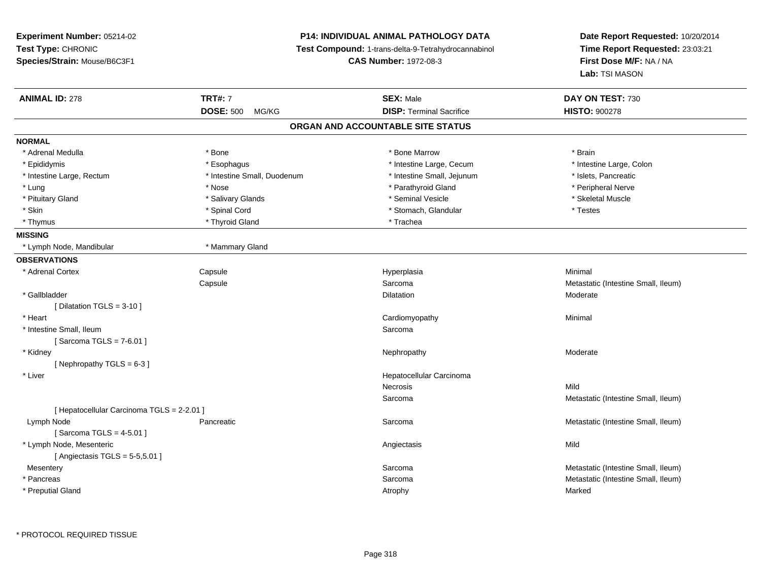**Experiment Number:** 05214-02**Test Type:** CHRONIC **Species/Strain:** Mouse/B6C3F1**P14: INDIVIDUAL ANIMAL PATHOLOGY DATA Test Compound:** 1-trans-delta-9-Tetrahydrocannabinol **CAS Number:** 1972-08-3**Date Report Requested:** 10/20/2014**Time Report Requested:** 23:03:21**First Dose M/F:** NA / NA**Lab:** TSI MASON**ANIMAL ID:** 278**TRT#:** 7 **SEX:** Male **DAY ON TEST:** 730 **DOSE:** 500 MG/KG **DISP:** Terminal Sacrifice **HISTO:** <sup>900278</sup> **ORGAN AND ACCOUNTABLE SITE STATUSNORMAL**\* Adrenal Medulla \* \* Annual Medulla \* Brain \* Bone \* \* Bone Marrow \* Bone Marrow \* \* Brain \* Brain \* Brain \* Brain \* Brain \* Brain \* Brain \* Brain \* Brain \* Brain \* Brain \* Brain \* Brain \* Brain \* Brain \* Brain \* Brain \* \* Intestine Large, Colon \* Epididymis \* Esophagus \* Esophagus \* Esophagus \* 11testine Large, Cecum \* Intestine Large, Rectum \* Intestine Small, Duodenum \* Intestine Small, Jejunum \* Islets, Pancreatic\* Peripheral Nerve \* Lung \* Nose \* Parathyroid Gland \* Peripheral Nerve \* \* Peripheral Nerve \* Skeletal Muscle \* Pituitary Gland \* \* \* \* Salivary Glands \* \* Salivary Glands \* \* Seminal Vesicle \* \* \* \* \* \* Skeletal Muscle \* \* Skin \* Spinal Cord \* Spinal Cord \* Stomach, Glandular \* Testes \* Thyrnus \* Thyroid Gland \* Thyroid Gland \* The \* Trachea **MISSING** \* Lymph Node, Mandibular \* Mammary Gland**OBSERVATIONS** \* Adrenal Cortex**Capsule**  Hyperplasia Minimal **Capsule** Sarcoma **Metastatic (Intestine Small, Ileum)**<br>
Dilatation Moderate Moderate \* Gallbladder**n** Dilatation **Contract Contract Contract Contract Contract Contract Contract Contract Contract Contract Contract Contract Contract Contract Contract Contract Contract Contract Contract Contract Contract Contract Contract** n Moderate [ Dilatation TGLS = 3-10 ] \* Heart Cardiomyopathy Minimal \* Intestine Small, Ileumm Sarcoma<br>External de la contrada de la contrada de la contrada de la contrada de la contrada de la contrada de la contr [ Sarcoma TGLS = 7-6.01 ] \* Kidneyy the controller that the controller temperature of  $\lambda$  . Nephropathy the controller temperature  $\lambda$  Moderate  $[$  Nephropathy TGLS = 6-3  $]$  \* Liver Hepatocellular CarcinomaNecrosiss and the contract of the Mild Metastatic (Intestine Small, Ileum) Sarcoma[ Hepatocellular Carcinoma TGLS = 2-2.01 ] Lymph NodePancreatic **Netally Community** Sarcoma Sarcoma **Sarcoma** Metastatic (Intestine Small, Ileum) [ Sarcoma TGLS = 4-5.01 ] \* Lymph Node, Mesenteric Angiectasis Mild $[$  Angiectasis TGLS = 5-5,5.01  $]$ **Mesentery** y the control of the control of the control of the control of the control of the control of the control of the control of the control of the control of the control of the control of the control of the control of the contro Sarcoma **Metastatic (Intestine Small, Ileum)**<br>
Metastatic (Intestine Small, Ileum)<br>
Metastatic (Intestine Small, Ileum) \* Pancreass and the contract of the contract of the contract of the contract of the contract of the contract of the contract of the contract of the contract of the contract of the contract of the contract of the contract of the cont Metastatic (Intestine Small, Ileum) \* Preputial Glandd and the control of the control of the control of the control of the control of the control of the control of the control of the control of the control of the control of the control of the control of the control of the co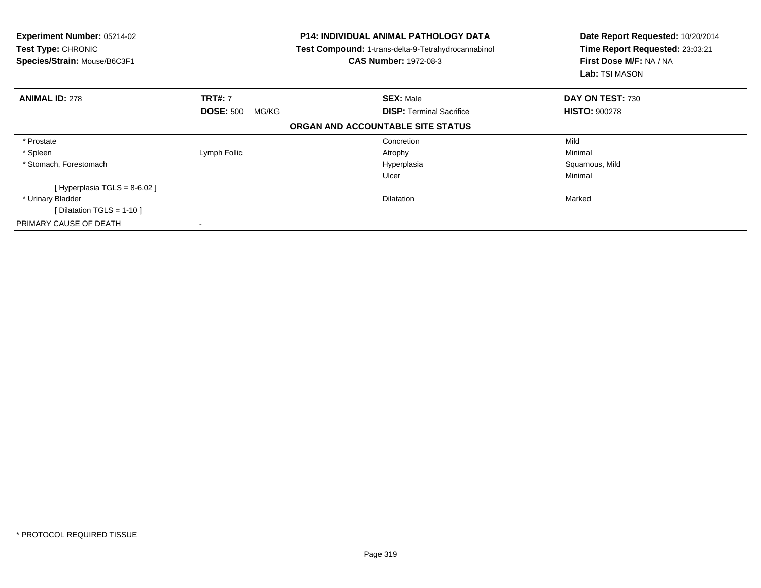| Experiment Number: 05214-02<br>Test Type: CHRONIC<br>Species/Strain: Mouse/B6C3F1 |                           | <b>P14: INDIVIDUAL ANIMAL PATHOLOGY DATA</b><br>Test Compound: 1-trans-delta-9-Tetrahydrocannabinol<br><b>CAS Number: 1972-08-3</b> | Date Report Requested: 10/20/2014<br>Time Report Requested: 23:03:21<br>First Dose M/F: NA / NA<br><b>Lab:</b> TSI MASON |
|-----------------------------------------------------------------------------------|---------------------------|-------------------------------------------------------------------------------------------------------------------------------------|--------------------------------------------------------------------------------------------------------------------------|
| <b>ANIMAL ID: 278</b>                                                             | <b>TRT#: 7</b>            | <b>SEX: Male</b>                                                                                                                    | DAY ON TEST: 730                                                                                                         |
|                                                                                   | <b>DOSE: 500</b><br>MG/KG | <b>DISP:</b> Terminal Sacrifice                                                                                                     | <b>HISTO: 900278</b>                                                                                                     |
|                                                                                   |                           | ORGAN AND ACCOUNTABLE SITE STATUS                                                                                                   |                                                                                                                          |
| * Prostate                                                                        |                           | Concretion                                                                                                                          | Mild                                                                                                                     |
| * Spleen                                                                          | Lymph Follic              | Atrophy                                                                                                                             | Minimal                                                                                                                  |
| * Stomach, Forestomach                                                            |                           | Hyperplasia                                                                                                                         | Squamous, Mild                                                                                                           |
|                                                                                   |                           | Ulcer                                                                                                                               | Minimal                                                                                                                  |
| [Hyperplasia TGLS = $8-6.02$ ]                                                    |                           |                                                                                                                                     |                                                                                                                          |
| * Urinary Bladder                                                                 |                           | Dilatation                                                                                                                          | Marked                                                                                                                   |
| [Dilatation TGLS = 1-10]                                                          |                           |                                                                                                                                     |                                                                                                                          |
| PRIMARY CAUSE OF DEATH                                                            |                           |                                                                                                                                     |                                                                                                                          |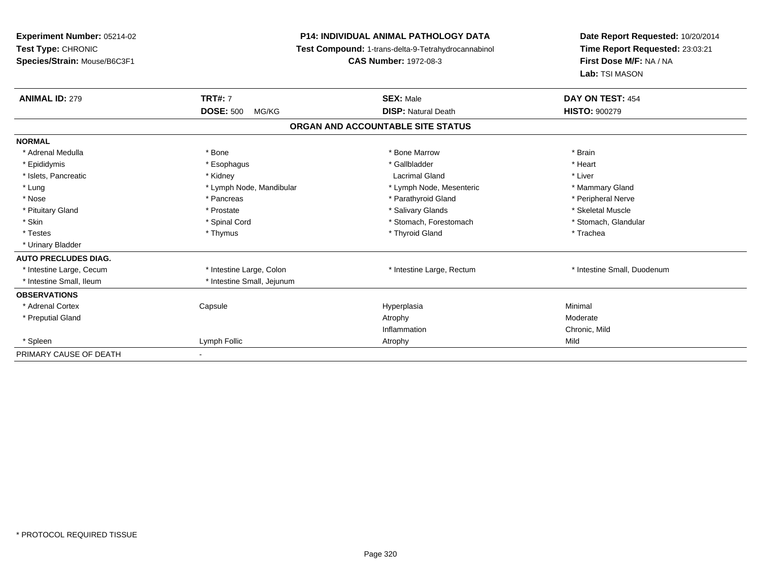**Experiment Number:** 05214-02**Test Type:** CHRONIC **Species/Strain:** Mouse/B6C3F1**P14: INDIVIDUAL ANIMAL PATHOLOGY DATA Test Compound:** 1-trans-delta-9-Tetrahydrocannabinol **CAS Number:** 1972-08-3**Date Report Requested:** 10/20/2014**Time Report Requested:** 23:03:21**First Dose M/F:** NA / NA**Lab:** TSI MASON**ANIMAL ID:** 279**TRT#:** 7 **SEX:** Male **DAY ON TEST:** 454 **DOSE:** 500 MG/KG**DISP:** Natural Death **HISTO:**  $900279$ **ORGAN AND ACCOUNTABLE SITE STATUSNORMAL**\* Adrenal Medulla \* \* Annual Medulla \* Brain \* Bone \* \* Bone Marrow \* Bone Marrow \* \* Brain \* Brain \* Brain \* Brain \* Brain \* Brain \* Brain \* Brain \* Brain \* Brain \* Brain \* Brain \* Brain \* Brain \* Brain \* Brain \* Brain \* \* Heart \* Epididymis \* Esophagus \* Gallbladder \* Heart\* Islets, Pancreatic \* \* \* Kidney \* \* Kidney \* Lacrimal Gland \* \* Liver \* Liver \* Liver \* Liver \* Liver \* Liver \* Lung \* Lymph Node, Mandibular \* Mannipular \* Lymph Node, Mesenteric \* Mammary Gland \* Peripheral Nerve \* Nose \* \* Pancreas \* \* Pancreas \* \* Pancreas \* \* Parathyroid Gland \* \* Peripheral Nerve \* Peripheral Nerve \* \* Skeletal Muscle \* Pituitary Gland \* \* \* \* \* Prostate \* \* Prostate \* \* Salivary Glands \* \* Salivary Glands \* \* Skeletal Muscle \* Stomach. Glandular \* Skin \* Spinal Cord \* Spinal Cord \* Stomach, Forestomach \* Stomach, Forestomach \* Testes \* Thymus \* Thyroid Gland \* Trachea \* Urinary Bladder**AUTO PRECLUDES DIAG.**\* Intestine Large, Cecum \* Intestine Large, Colon \* Intestine Large, Thestine Large, Rectum \* Intestine Small, Duodenum \* Intestine Small, Ileum \* \* Intestine Small, Jejunum **OBSERVATIONS** \* Adrenal Cortex Capsule Hyperplasia Minimal \* Preputial Glandd and the control of the control of the control of the control of the control of the control of the control of  $\lambda$ Inflammation Chronic, Mild \* Spleenn and the company of the company of the company of the company of the company of the company of the company of  $\mathsf{Mild}$ PRIMARY CAUSE OF DEATH-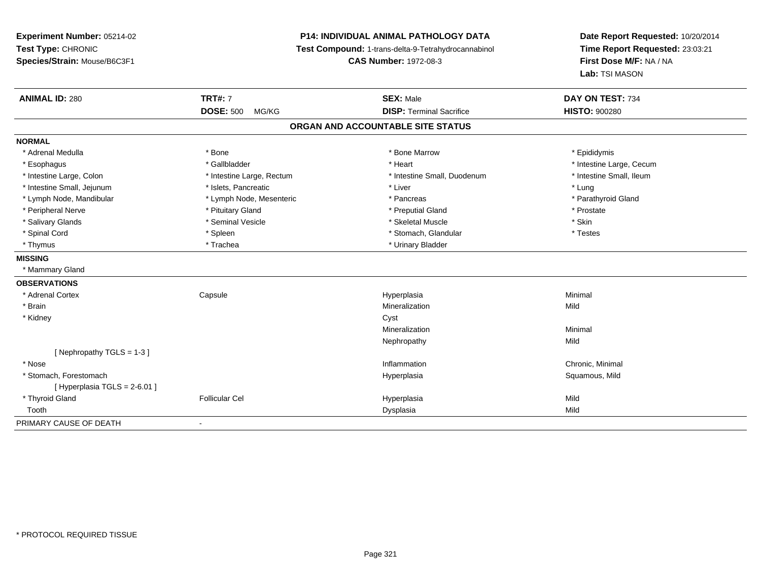**Experiment Number:** 05214-02**Test Type:** CHRONIC **Species/Strain:** Mouse/B6C3F1**P14: INDIVIDUAL ANIMAL PATHOLOGY DATA Test Compound:** 1-trans-delta-9-Tetrahydrocannabinol **CAS Number:** 1972-08-3**Date Report Requested:** 10/20/2014**Time Report Requested:** 23:03:21**First Dose M/F:** NA / NA**Lab:** TSI MASON**ANIMAL ID:** 280**TRT#:** 7 **SEX:** Male **DAY ON TEST:** 734 **DOSE:** 500 MG/KG **DISP:** Terminal Sacrifice **HISTO:** <sup>900280</sup> **ORGAN AND ACCOUNTABLE SITE STATUSNORMAL**\* Adrenal Medulla \* Adrenal Medulla \* \* The matter of the state of the state of the Marrow \* Bone Marrow \* Adrenal Medulla \* Epididymis \* Epididymis \* Bone Marrow \* Adrenal Medulla \* Epididymis \* Epididymis \* Epididymis \* Epididymis \* Epidi \* Esophagus \* https://www.fragustage.com/web/2019/heart \* Heart \* Heart \* Heart \* Intestine Large, Cecum \* Intestine Large, Cecum \* Gallbladder \* Callbladder \* 11 and 12 and 12 and 12 and 12 and 12 and 12 and 12 and 12 and \* Intestine Small, Ileum \* Intestine Large, Colon \* Intestine Large, Rectum \* Intestine Small, Duodenum \* Intestine Small, Duodenum \* Intestine Small, Jejunum \* 1997 \* The state of the state of the state of the state of the state of the state  $\sim$  \* Lung \* Lung \* Lung \* Lung \* Lung \* Lung \* Lung \* Lung \* Lung \* Lung \* Lung \* Lung \* Lung \* Lung \* Lung \* \* Parathyroid Gland \* Lymph Node, Mandibular \* Lymph Node, Mesenteric \* Pancreas \* Pancreas \* Pancreas \* Pancreas \* Pancreas \* Pancreas \* Pancreas \* Pancreas \* Pancreas \* Pancreas \* Pancreas \* Pancreas \* Pancreas \* Pancreas \* Pancreas \* Pancr \* Peripheral Nerve \* \* \* Prostate \* \* Pretuitary Gland \* \* \* \* \* \* \* Preputial Gland \* \* \* Prostate \* Prostate \* Salivary Glands \* Seminal Vesicle \* Skeletal Muscle \* Skin\* Testes \* Spinal Cord \* Spinal Cord \* Spinal Cord \* Stomach, Glandular \* Spinal Cord \* Stomach, Glandular \* Thymus \* Trachea \* Trachea \* Trachea \* Urinary Bladder **MISSING** \* Mammary Gland**OBSERVATIONS** \* Adrenal Cortex Capsule Hyperplasia Minimal \* Brainn and the control of the control of the control of the control of the control of the control of the control of the control of the control of the control of the control of the control of the control of the control of the co \* Kidneyy control of the control of the control of the control of the control of the control of the control of the control of the control of the control of the control of the control of the control of the control of the control of Mineralizationn Minimal Nephropathyy Mild [ Nephropathy TGLS = 1-3 ] \* Nosee the contraction of the contraction of the contraction of the contraction of the chronic, Minimal on the chronic, Minimal or  $\mathbb{R}^n$  \* Stomach, Forestomachh ann an t-ìre ann an t-ìre ann an t-ìre ann an t-ìre ann an t-ìre ann an t-ìre ann an t-ìre ann an Squamous, Mild  $[$  Hyperplasia TGLS = 2-6.01 ] \* Thyroid GlandFollicular Cel Hyperplasia Mild

h ann an t-Iomraid ann an t-Iomraid ann an t-Iomraid ann an t-Iomraid ann an t-Iomraid ann an t-Iomraid ann an<br>Iomraid an t-Iomraid ann an t-Iomraid ann an t-Iomraid ann an t-Iomraid ann an t-Iomraid ann an t-Iomraid ann

Tooth

-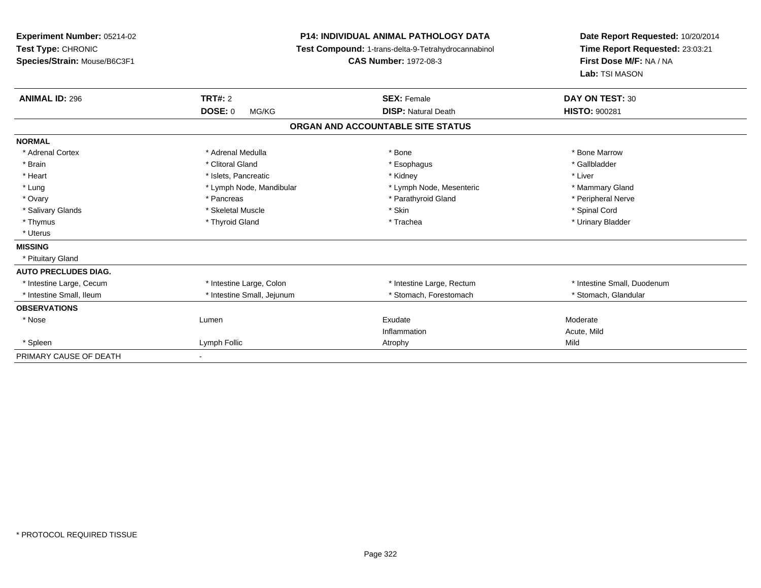| Experiment Number: 05214-02<br>Test Type: CHRONIC<br>Species/Strain: Mouse/B6C3F1 | <b>P14: INDIVIDUAL ANIMAL PATHOLOGY DATA</b><br>Test Compound: 1-trans-delta-9-Tetrahydrocannabinol<br><b>CAS Number: 1972-08-3</b> |                                   | Date Report Requested: 10/20/2014<br>Time Report Requested: 23:03:21<br>First Dose M/F: NA / NA<br>Lab: TSI MASON |
|-----------------------------------------------------------------------------------|-------------------------------------------------------------------------------------------------------------------------------------|-----------------------------------|-------------------------------------------------------------------------------------------------------------------|
| <b>ANIMAL ID: 296</b>                                                             | <b>TRT#: 2</b>                                                                                                                      | <b>SEX: Female</b>                | DAY ON TEST: 30                                                                                                   |
|                                                                                   | <b>DOSE: 0</b><br>MG/KG                                                                                                             | <b>DISP: Natural Death</b>        | <b>HISTO: 900281</b>                                                                                              |
|                                                                                   |                                                                                                                                     | ORGAN AND ACCOUNTABLE SITE STATUS |                                                                                                                   |
| <b>NORMAL</b>                                                                     |                                                                                                                                     |                                   |                                                                                                                   |
| * Adrenal Cortex                                                                  | * Adrenal Medulla                                                                                                                   | * Bone                            | * Bone Marrow                                                                                                     |
| * Brain                                                                           | * Clitoral Gland                                                                                                                    | * Esophagus                       | * Gallbladder                                                                                                     |
| * Heart                                                                           | * Islets, Pancreatic                                                                                                                | * Kidney                          | * Liver                                                                                                           |
| * Lung                                                                            | * Lymph Node, Mandibular                                                                                                            | * Lymph Node, Mesenteric          | * Mammary Gland                                                                                                   |
| * Ovary                                                                           | * Pancreas                                                                                                                          | * Parathyroid Gland               | * Peripheral Nerve                                                                                                |
| * Salivary Glands                                                                 | * Skeletal Muscle                                                                                                                   | * Skin                            | * Spinal Cord                                                                                                     |
| * Thymus                                                                          | * Thyroid Gland                                                                                                                     | * Trachea                         | * Urinary Bladder                                                                                                 |
| * Uterus                                                                          |                                                                                                                                     |                                   |                                                                                                                   |
| <b>MISSING</b>                                                                    |                                                                                                                                     |                                   |                                                                                                                   |
| * Pituitary Gland                                                                 |                                                                                                                                     |                                   |                                                                                                                   |
| <b>AUTO PRECLUDES DIAG.</b>                                                       |                                                                                                                                     |                                   |                                                                                                                   |
| * Intestine Large, Cecum                                                          | * Intestine Large, Colon                                                                                                            | * Intestine Large, Rectum         | * Intestine Small, Duodenum                                                                                       |
| * Intestine Small, Ileum                                                          | * Intestine Small, Jejunum                                                                                                          | * Stomach, Forestomach            | * Stomach, Glandular                                                                                              |
| <b>OBSERVATIONS</b>                                                               |                                                                                                                                     |                                   |                                                                                                                   |
| * Nose                                                                            | Lumen                                                                                                                               | Exudate                           | Moderate                                                                                                          |
|                                                                                   |                                                                                                                                     | Inflammation                      | Acute, Mild                                                                                                       |
| * Spleen                                                                          | Lymph Follic                                                                                                                        | Atrophy                           | Mild                                                                                                              |
| PRIMARY CAUSE OF DEATH                                                            |                                                                                                                                     |                                   |                                                                                                                   |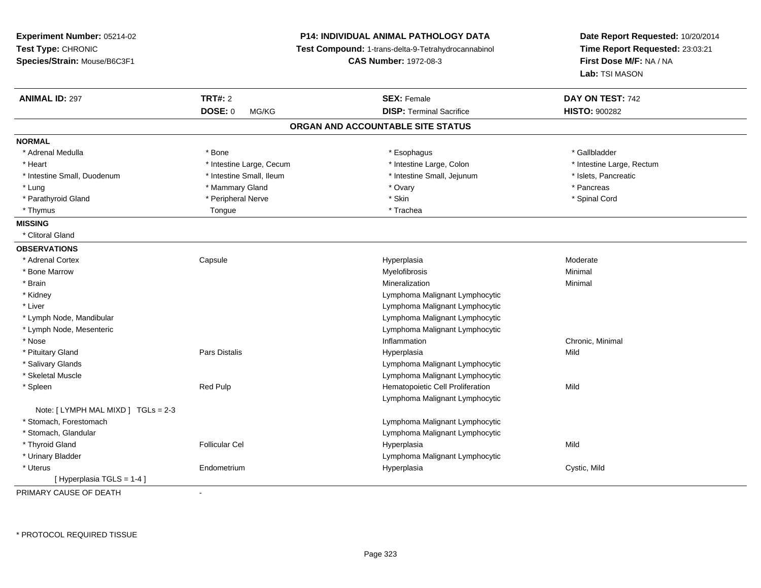| Experiment Number: 05214-02<br>Test Type: CHRONIC<br>Species/Strain: Mouse/B6C3F1 |                          | <b>P14: INDIVIDUAL ANIMAL PATHOLOGY DATA</b><br>Test Compound: 1-trans-delta-9-Tetrahydrocannabinol<br><b>CAS Number: 1972-08-3</b> | Date Report Requested: 10/20/2014<br>Time Report Requested: 23:03:21<br>First Dose M/F: NA / NA<br>Lab: TSI MASON |
|-----------------------------------------------------------------------------------|--------------------------|-------------------------------------------------------------------------------------------------------------------------------------|-------------------------------------------------------------------------------------------------------------------|
| <b>ANIMAL ID: 297</b>                                                             | <b>TRT#: 2</b>           | <b>SEX: Female</b>                                                                                                                  | DAY ON TEST: 742                                                                                                  |
|                                                                                   | <b>DOSE: 0</b><br>MG/KG  | <b>DISP: Terminal Sacrifice</b>                                                                                                     | <b>HISTO: 900282</b>                                                                                              |
|                                                                                   |                          | ORGAN AND ACCOUNTABLE SITE STATUS                                                                                                   |                                                                                                                   |
| <b>NORMAL</b>                                                                     |                          |                                                                                                                                     |                                                                                                                   |
| * Adrenal Medulla                                                                 | * Bone                   | * Esophagus                                                                                                                         | * Gallbladder                                                                                                     |
| * Heart                                                                           | * Intestine Large, Cecum | * Intestine Large, Colon                                                                                                            | * Intestine Large, Rectum                                                                                         |
| * Intestine Small, Duodenum                                                       | * Intestine Small, Ileum | * Intestine Small, Jejunum                                                                                                          | * Islets, Pancreatic                                                                                              |
| * Lung                                                                            | * Mammary Gland          | * Ovary                                                                                                                             | * Pancreas                                                                                                        |
| * Parathyroid Gland                                                               | * Peripheral Nerve       | * Skin                                                                                                                              | * Spinal Cord                                                                                                     |
| * Thymus                                                                          | Tongue                   | * Trachea                                                                                                                           |                                                                                                                   |
| <b>MISSING</b>                                                                    |                          |                                                                                                                                     |                                                                                                                   |
| * Clitoral Gland                                                                  |                          |                                                                                                                                     |                                                                                                                   |
| <b>OBSERVATIONS</b>                                                               |                          |                                                                                                                                     |                                                                                                                   |
| * Adrenal Cortex                                                                  | Capsule                  | Hyperplasia                                                                                                                         | Moderate                                                                                                          |
| * Bone Marrow                                                                     |                          | Myelofibrosis                                                                                                                       | Minimal                                                                                                           |
| * Brain                                                                           |                          | Mineralization                                                                                                                      | Minimal                                                                                                           |
| * Kidney                                                                          |                          | Lymphoma Malignant Lymphocytic                                                                                                      |                                                                                                                   |
| * Liver                                                                           |                          | Lymphoma Malignant Lymphocytic                                                                                                      |                                                                                                                   |
| * Lymph Node, Mandibular                                                          |                          | Lymphoma Malignant Lymphocytic                                                                                                      |                                                                                                                   |
| * Lymph Node, Mesenteric                                                          |                          | Lymphoma Malignant Lymphocytic                                                                                                      |                                                                                                                   |
| * Nose                                                                            |                          | Inflammation                                                                                                                        | Chronic, Minimal                                                                                                  |
| * Pituitary Gland                                                                 | Pars Distalis            | Hyperplasia                                                                                                                         | Mild                                                                                                              |
| * Salivary Glands                                                                 |                          | Lymphoma Malignant Lymphocytic                                                                                                      |                                                                                                                   |
| * Skeletal Muscle                                                                 |                          | Lymphoma Malignant Lymphocytic                                                                                                      |                                                                                                                   |
| * Spleen                                                                          | Red Pulp                 | Hematopoietic Cell Proliferation                                                                                                    | Mild                                                                                                              |
|                                                                                   |                          | Lymphoma Malignant Lymphocytic                                                                                                      |                                                                                                                   |
| Note: [ LYMPH MAL MIXD ] TGLs = 2-3                                               |                          |                                                                                                                                     |                                                                                                                   |
| * Stomach, Forestomach                                                            |                          | Lymphoma Malignant Lymphocytic                                                                                                      |                                                                                                                   |
| * Stomach, Glandular                                                              |                          | Lymphoma Malignant Lymphocytic                                                                                                      |                                                                                                                   |
| * Thyroid Gland                                                                   | <b>Follicular Cel</b>    | Hyperplasia                                                                                                                         | Mild                                                                                                              |
| * Urinary Bladder                                                                 |                          | Lymphoma Malignant Lymphocytic                                                                                                      |                                                                                                                   |
| * Uterus                                                                          | Endometrium              | Hyperplasia                                                                                                                         | Cystic, Mild                                                                                                      |
| [Hyperplasia TGLS = 1-4]                                                          |                          |                                                                                                                                     |                                                                                                                   |

PRIMARY CAUSE OF DEATH-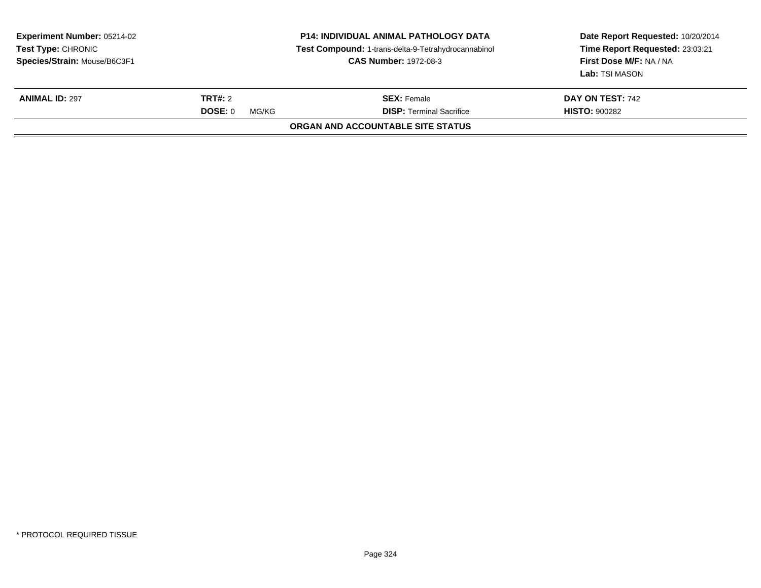| <b>Experiment Number: 05214-02</b><br><b>Test Type: CHRONIC</b><br>Species/Strain: Mouse/B6C3F1 |                                    | P14: INDIVIDUAL ANIMAL PATHOLOGY DATA<br>Test Compound: 1-trans-delta-9-Tetrahydrocannabinol<br><b>CAS Number: 1972-08-3</b> | Date Report Requested: 10/20/2014<br>Time Report Requested: 23:03:21<br>First Dose M/F: NA / NA<br>Lab: TSI MASON |
|-------------------------------------------------------------------------------------------------|------------------------------------|------------------------------------------------------------------------------------------------------------------------------|-------------------------------------------------------------------------------------------------------------------|
| <b>ANIMAL ID: 297</b>                                                                           | TRT#: 2<br><b>DOSE: 0</b><br>MG/KG | <b>SEX: Female</b><br><b>DISP: Terminal Sacrifice</b>                                                                        | DAY ON TEST: 742<br><b>HISTO: 900282</b>                                                                          |
|                                                                                                 |                                    | ORGAN AND ACCOUNTABLE SITE STATUS                                                                                            |                                                                                                                   |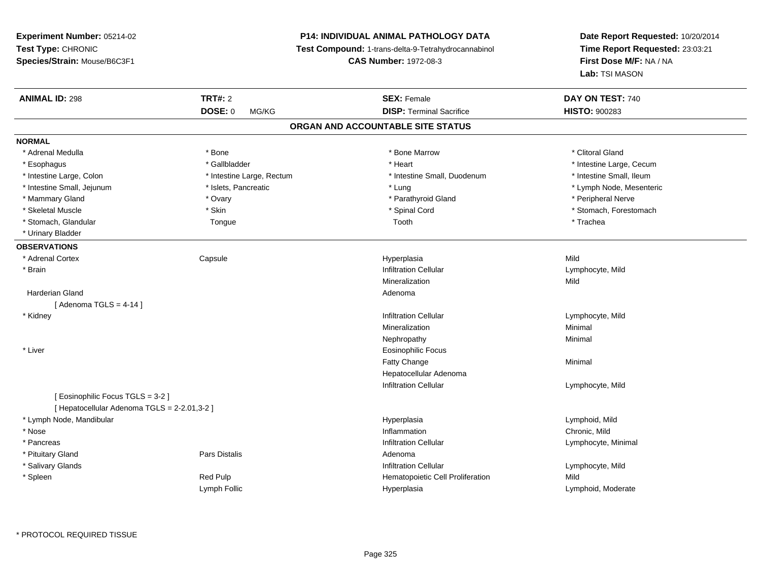**Experiment Number:** 05214-02**Test Type:** CHRONIC **Species/Strain:** Mouse/B6C3F1**P14: INDIVIDUAL ANIMAL PATHOLOGY DATA Test Compound:** 1-trans-delta-9-Tetrahydrocannabinol **CAS Number:** 1972-08-3**ANIMAL ID:** 298**TRT#:** 2 **SEX:** Female **DAY ON TEST:** 740 **DOSE:** 0 MG/KG **DISP:** Terminal Sacrifice **HISTO:** <sup>900283</sup> **ORGAN AND ACCOUNTABLE SITE STATUSNORMAL**\* Adrenal Medulla \* The state of the state of the state of the state of the Marrow \* Bone Marrow \* Clitoral Gland \* Clitoral Gland \* Esophagus \* https://www.fragustage.com/web/2019/heart \* Heart \* Heart \* Heart \* Intestine Large, Cecum \* Intestine Large, Cecum \* Sallbladder \* The state of the state of the state of the state of the state of the state o \* Intestine Large, Colon \* Intestine Large, Rectum \* Intestine Small, Duodenum \* Intestine Small, Duodenum \* Intestine Small, Jejunum \* \* \* https://www.fat.com/state/setter/educitory/magnetic formulations and the state of the state of the state of the state of the state of the state of the state of the state of the state of the \* Mammary Gland \* \* Andrew \* Ovary \* Ovary \* Andrew \* Parathyroid Gland \* Peripheral Nerve \* Peripheral Nerve \* في المستحدث المستحدث المستحدث المستحدث المستحدث المستحدث المستحدث المستحدث المستحدث المستحدث المستحدث المستحدث \* Skeletal Muscle \* The state of the set of the set of the set of the set of the set of the set of the set of the set of the set of the set of the set of the set of the set of the set of the set of the set of the set of th \* Stomach, Glandular \* \* Trachea \* Trachea \* Trachea \* Toor Tool Toolh \* Trachea \* Trachea \* Trachea \* Trachea \* Urinary Bladder**OBSERVATIONS** \* Adrenal Cortex Capsule Hyperplasia Mild \* Brainn and the settlement of the contract of the lifted of the lifted of the lifted of the lifted of the lifted of  $\Gamma$  Lymphocyte, Mild Mineralizationn Mild Harderian Glandd and a state of the control of the control of the control of the control of the control of the control of the control of the control of the control of the control of the control of the control of the control of the contro  $[$  Adenoma TGLS = 4-14  $]$  \* Kidneyy the contract of the contract of the contract of the contract of the contract of the contract of the contract of  $\mathsf{Lymphocyte}$ , Mild Mineralizationn Minimal Nephropathyy the contract of the Minimal Minimal Section 1996 and the contract of the Minimal Section 1997 and the contract of the contract of the contract of the contract of the contract of the contract of the contract of the contra \* Liver Eosinophilic FocusFatty Changee Minimal Hepatocellular AdenomaInfiltration Cellular[ Eosinophilic Focus TGLS = 3-2 ]

[ Hepatocellular Adenoma TGLS = 2-2.01,3-2 ] \* Lymph Node, Mandibular HyperplasiaHyperplasia and the control of the control of the control of the control of the control of the control of the c<br>Chronic, Mild and the control of the control of the control of the control of the control of the control of th e contraction control of the control of the control of the control of the control of the chronic, Mild and Chronic, Mild and Chronic, Mild and Chronic, Mild and Chronic, Mild and Chronic, Mild and Chronic, Mild and Chronic s infiltration Cellular Lymphocyte, Minimal (Cellular Lymphocyte, Minimal Lymphocyte, Minimal Lymphocyte, Minimal State of the State of the State of the State of the State of the State of the State of the State of the Stat d and the contract of Pars Distalis and the contract of Adenoma and Adenoma and the Adenoma and the Adenoma and  $\lambda$ s in the contract of the contract of the contract of the contract of the contract of the contract of the contract of  $\Gamma$  . Lymphocyte, Mild Red Pulp **Network** Hematopoietic Cell Proliferation Mild Lymph Follic HyperplasiaLymphoid, Moderate

\* PROTOCOL REQUIRED TISSUE

\* Nose

\* Pancreas

\* Spleen

\* Pituitary Gland

\* Salivary Glands

**Date Report Requested:** 10/20/2014**Time Report Requested:** 23:03:21

**First Dose M/F:** NA / NA

**Lab:** TSI MASON

\* Intestine Small, Ileum

Lymphocyte, Mild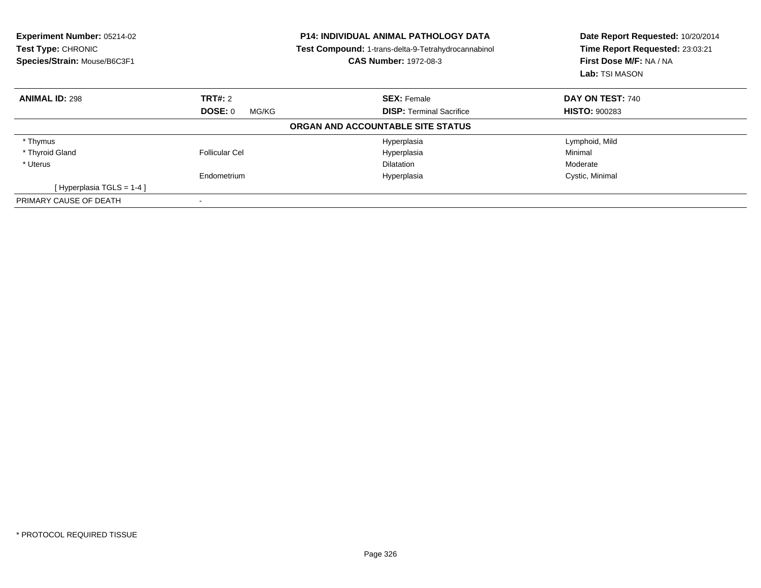| Experiment Number: 05214-02<br><b>Test Type: CHRONIC</b><br>Species/Strain: Mouse/B6C3F1 |                       | <b>P14: INDIVIDUAL ANIMAL PATHOLOGY DATA</b><br><b>Test Compound: 1-trans-delta-9-Tetrahydrocannabinol</b><br><b>CAS Number: 1972-08-3</b> | Date Report Requested: 10/20/2014<br>Time Report Requested: 23:03:21<br>First Dose M/F: NA / NA<br>Lab: TSI MASON |
|------------------------------------------------------------------------------------------|-----------------------|--------------------------------------------------------------------------------------------------------------------------------------------|-------------------------------------------------------------------------------------------------------------------|
| <b>ANIMAL ID: 298</b>                                                                    | <b>TRT#:</b> 2        | <b>SEX: Female</b>                                                                                                                         | DAY ON TEST: 740                                                                                                  |
|                                                                                          | DOSE: 0<br>MG/KG      | <b>DISP:</b> Terminal Sacrifice                                                                                                            | <b>HISTO: 900283</b>                                                                                              |
|                                                                                          |                       | ORGAN AND ACCOUNTABLE SITE STATUS                                                                                                          |                                                                                                                   |
| * Thymus                                                                                 |                       | Hyperplasia                                                                                                                                | Lymphoid, Mild                                                                                                    |
| * Thyroid Gland                                                                          | <b>Follicular Cel</b> | Hyperplasia                                                                                                                                | Minimal                                                                                                           |
| * Uterus                                                                                 |                       | <b>Dilatation</b>                                                                                                                          | Moderate                                                                                                          |
|                                                                                          | Endometrium           | Hyperplasia                                                                                                                                | Cystic, Minimal                                                                                                   |
| [Hyperplasia TGLS = 1-4]                                                                 |                       |                                                                                                                                            |                                                                                                                   |
| PRIMARY CAUSE OF DEATH                                                                   |                       |                                                                                                                                            |                                                                                                                   |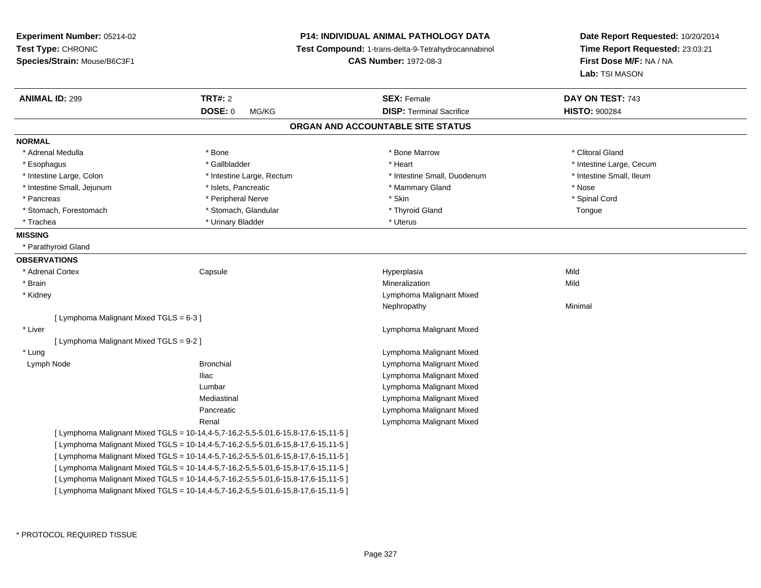| Experiment Number: 05214-02<br>Test Type: CHRONIC<br>Species/Strain: Mouse/B6C3F1 |                                                                                         | <b>P14: INDIVIDUAL ANIMAL PATHOLOGY DATA</b><br>Test Compound: 1-trans-delta-9-Tetrahydrocannabinol<br><b>CAS Number: 1972-08-3</b> | Date Report Requested: 10/20/2014<br>Time Report Requested: 23:03:21<br>First Dose M/F: NA / NA<br>Lab: TSI MASON |
|-----------------------------------------------------------------------------------|-----------------------------------------------------------------------------------------|-------------------------------------------------------------------------------------------------------------------------------------|-------------------------------------------------------------------------------------------------------------------|
| <b>ANIMAL ID: 299</b>                                                             | <b>TRT#: 2</b>                                                                          | <b>SEX: Female</b>                                                                                                                  | DAY ON TEST: 743                                                                                                  |
|                                                                                   | <b>DOSE: 0</b><br>MG/KG                                                                 | <b>DISP: Terminal Sacrifice</b>                                                                                                     | <b>HISTO: 900284</b>                                                                                              |
|                                                                                   |                                                                                         | ORGAN AND ACCOUNTABLE SITE STATUS                                                                                                   |                                                                                                                   |
| <b>NORMAL</b>                                                                     |                                                                                         |                                                                                                                                     |                                                                                                                   |
| * Adrenal Medulla                                                                 | * Bone                                                                                  | * Bone Marrow                                                                                                                       | * Clitoral Gland                                                                                                  |
| * Esophagus                                                                       | * Gallbladder                                                                           | * Heart                                                                                                                             | * Intestine Large, Cecum                                                                                          |
| * Intestine Large, Colon                                                          | * Intestine Large, Rectum                                                               | * Intestine Small, Duodenum                                                                                                         | * Intestine Small, Ileum                                                                                          |
| * Intestine Small, Jejunum                                                        | * Islets, Pancreatic                                                                    | * Mammary Gland                                                                                                                     | * Nose                                                                                                            |
| * Pancreas                                                                        | * Peripheral Nerve                                                                      | * Skin                                                                                                                              | * Spinal Cord                                                                                                     |
| * Stomach, Forestomach                                                            | * Stomach, Glandular                                                                    | * Thyroid Gland                                                                                                                     | Tongue                                                                                                            |
| * Trachea                                                                         | * Urinary Bladder                                                                       | * Uterus                                                                                                                            |                                                                                                                   |
| <b>MISSING</b>                                                                    |                                                                                         |                                                                                                                                     |                                                                                                                   |
| * Parathyroid Gland                                                               |                                                                                         |                                                                                                                                     |                                                                                                                   |
| <b>OBSERVATIONS</b>                                                               |                                                                                         |                                                                                                                                     |                                                                                                                   |
| * Adrenal Cortex                                                                  | Capsule                                                                                 | Hyperplasia                                                                                                                         | Mild                                                                                                              |
| * Brain                                                                           |                                                                                         | Mineralization                                                                                                                      | Mild                                                                                                              |
| * Kidney                                                                          |                                                                                         | Lymphoma Malignant Mixed                                                                                                            |                                                                                                                   |
|                                                                                   |                                                                                         | Nephropathy                                                                                                                         | Minimal                                                                                                           |
| [ Lymphoma Malignant Mixed TGLS = 6-3 ]                                           |                                                                                         |                                                                                                                                     |                                                                                                                   |
| * Liver                                                                           |                                                                                         | Lymphoma Malignant Mixed                                                                                                            |                                                                                                                   |
| [ Lymphoma Malignant Mixed TGLS = 9-2 ]                                           |                                                                                         |                                                                                                                                     |                                                                                                                   |
| * Lung                                                                            |                                                                                         | Lymphoma Malignant Mixed                                                                                                            |                                                                                                                   |
| Lymph Node                                                                        | <b>Bronchial</b>                                                                        | Lymphoma Malignant Mixed                                                                                                            |                                                                                                                   |
|                                                                                   | Iliac                                                                                   | Lymphoma Malignant Mixed                                                                                                            |                                                                                                                   |
|                                                                                   | Lumbar                                                                                  | Lymphoma Malignant Mixed                                                                                                            |                                                                                                                   |
|                                                                                   | Mediastinal                                                                             | Lymphoma Malignant Mixed                                                                                                            |                                                                                                                   |
|                                                                                   | Pancreatic                                                                              | Lymphoma Malignant Mixed                                                                                                            |                                                                                                                   |
|                                                                                   | Renal                                                                                   | Lymphoma Malignant Mixed                                                                                                            |                                                                                                                   |
|                                                                                   | [Lymphoma Malignant Mixed TGLS = 10-14,4-5,7-16,2-5,5-5.01,6-15,8-17,6-15,11-5]         |                                                                                                                                     |                                                                                                                   |
|                                                                                   | [ Lymphoma Malignant Mixed TGLS = 10-14,4-5,7-16,2-5,5-5.01,6-15,8-17,6-15,11-5 ]       |                                                                                                                                     |                                                                                                                   |
|                                                                                   | [Lymphoma Malignant Mixed TGLS = 10-14, 4-5, 7-16, 2-5, 5-5.01, 6-15, 8-17, 6-15, 11-5] |                                                                                                                                     |                                                                                                                   |
|                                                                                   | [ Lymphoma Malignant Mixed TGLS = 10-14,4-5,7-16,2-5,5-5.01,6-15,8-17,6-15,11-5 ]       |                                                                                                                                     |                                                                                                                   |
|                                                                                   | [Lymphoma Malignant Mixed TGLS = 10-14, 4-5, 7-16, 2-5, 5-5.01, 6-15, 8-17, 6-15, 11-5] |                                                                                                                                     |                                                                                                                   |
|                                                                                   | [ Lymphoma Malignant Mixed TGLS = 10-14,4-5,7-16,2-5,5-5.01,6-15,8-17,6-15,11-5 ]       |                                                                                                                                     |                                                                                                                   |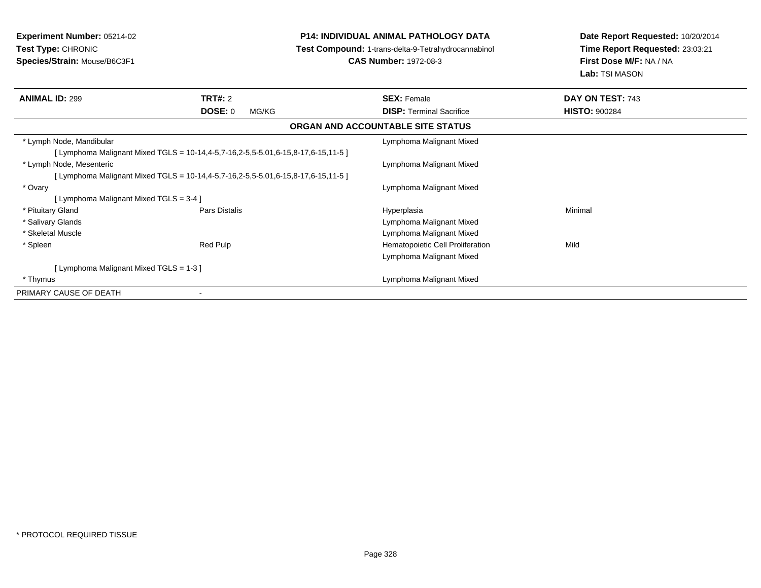# **P14: INDIVIDUAL ANIMAL PATHOLOGY DATA**

**Test Compound:** 1-trans-delta-9-Tetrahydrocannabinol

**CAS Number:** 1972-08-3

| <b>ANIMAL ID: 299</b>                  | TRT#: 2                                                                           | <b>SEX: Female</b>                       | DAY ON TEST: 743     |
|----------------------------------------|-----------------------------------------------------------------------------------|------------------------------------------|----------------------|
|                                        | DOSE: 0<br>MG/KG                                                                  | <b>DISP:</b> Terminal Sacrifice          | <b>HISTO: 900284</b> |
|                                        |                                                                                   | <b>ORGAN AND ACCOUNTABLE SITE STATUS</b> |                      |
| * Lymph Node, Mandibular               |                                                                                   | Lymphoma Malignant Mixed                 |                      |
|                                        | [ Lymphoma Malignant Mixed TGLS = 10-14,4-5,7-16,2-5,5-5.01,6-15,8-17,6-15,11-5 ] |                                          |                      |
| * Lymph Node, Mesenteric               |                                                                                   | Lymphoma Malignant Mixed                 |                      |
|                                        | [ Lymphoma Malignant Mixed TGLS = 10-14,4-5,7-16,2-5,5-5.01,6-15,8-17,6-15,11-5 ] |                                          |                      |
| * Ovary                                |                                                                                   | Lymphoma Malignant Mixed                 |                      |
| [Lymphoma Malignant Mixed TGLS = 3-4 ] |                                                                                   |                                          |                      |
| * Pituitary Gland                      | Pars Distalis                                                                     | Hyperplasia                              | Minimal              |
| * Salivary Glands                      |                                                                                   | Lymphoma Malignant Mixed                 |                      |
| * Skeletal Muscle                      |                                                                                   | Lymphoma Malignant Mixed                 |                      |
| * Spleen                               | Red Pulp                                                                          | Hematopoietic Cell Proliferation         | Mild                 |
|                                        |                                                                                   | Lymphoma Malignant Mixed                 |                      |
| [Lymphoma Malignant Mixed TGLS = 1-3 ] |                                                                                   |                                          |                      |
| * Thymus                               |                                                                                   | Lymphoma Malignant Mixed                 |                      |
| PRIMARY CAUSE OF DEATH                 | $\blacksquare$                                                                    |                                          |                      |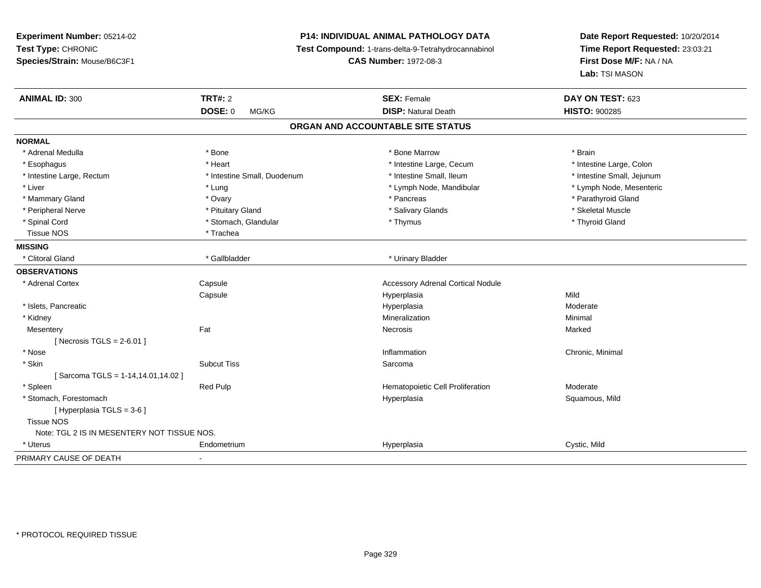# **P14: INDIVIDUAL ANIMAL PATHOLOGY DATA**

**Test Compound:** 1-trans-delta-9-Tetrahydrocannabinol

**CAS Number:** 1972-08-3

| <b>ANIMAL ID: 300</b>                       | <b>TRT#: 2</b>              | <b>SEX: Female</b>                       | DAY ON TEST: 623           |
|---------------------------------------------|-----------------------------|------------------------------------------|----------------------------|
|                                             | <b>DOSE: 0</b><br>MG/KG     | <b>DISP: Natural Death</b>               | <b>HISTO: 900285</b>       |
|                                             |                             | ORGAN AND ACCOUNTABLE SITE STATUS        |                            |
| <b>NORMAL</b>                               |                             |                                          |                            |
| * Adrenal Medulla                           | * Bone                      | * Bone Marrow                            | * Brain                    |
| * Esophagus                                 | * Heart                     | * Intestine Large, Cecum                 | * Intestine Large, Colon   |
| * Intestine Large, Rectum                   | * Intestine Small, Duodenum | * Intestine Small, Ileum                 | * Intestine Small, Jejunum |
| * Liver                                     | * Lung                      | * Lymph Node, Mandibular                 | * Lymph Node, Mesenteric   |
| * Mammary Gland                             | * Ovary                     | * Pancreas                               | * Parathyroid Gland        |
| * Peripheral Nerve                          | * Pituitary Gland           | * Salivary Glands                        | * Skeletal Muscle          |
| * Spinal Cord                               | * Stomach, Glandular        | * Thymus                                 | * Thyroid Gland            |
| <b>Tissue NOS</b>                           | * Trachea                   |                                          |                            |
| <b>MISSING</b>                              |                             |                                          |                            |
| * Clitoral Gland                            | * Gallbladder               | * Urinary Bladder                        |                            |
| <b>OBSERVATIONS</b>                         |                             |                                          |                            |
| * Adrenal Cortex                            | Capsule                     | <b>Accessory Adrenal Cortical Nodule</b> |                            |
|                                             | Capsule                     | Hyperplasia                              | Mild                       |
| * Islets, Pancreatic                        |                             | Hyperplasia                              | Moderate                   |
| * Kidney                                    |                             | Mineralization                           | Minimal                    |
| Mesentery                                   | Fat                         | Necrosis                                 | Marked                     |
| [Necrosis TGLS = $2-6.01$ ]                 |                             |                                          |                            |
| * Nose                                      |                             | Inflammation                             | Chronic, Minimal           |
| * Skin                                      | <b>Subcut Tiss</b>          | Sarcoma                                  |                            |
| [Sarcoma TGLS = 1-14,14.01,14.02]           |                             |                                          |                            |
| * Spleen                                    | Red Pulp                    | Hematopoietic Cell Proliferation         | Moderate                   |
| * Stomach, Forestomach                      |                             | Hyperplasia                              | Squamous, Mild             |
| [ Hyperplasia TGLS = 3-6 ]                  |                             |                                          |                            |
| <b>Tissue NOS</b>                           |                             |                                          |                            |
| Note: TGL 2 IS IN MESENTERY NOT TISSUE NOS. |                             |                                          |                            |
| * Uterus                                    | Endometrium                 | Hyperplasia                              | Cystic, Mild               |
| PRIMARY CAUSE OF DEATH                      | $\blacksquare$              |                                          |                            |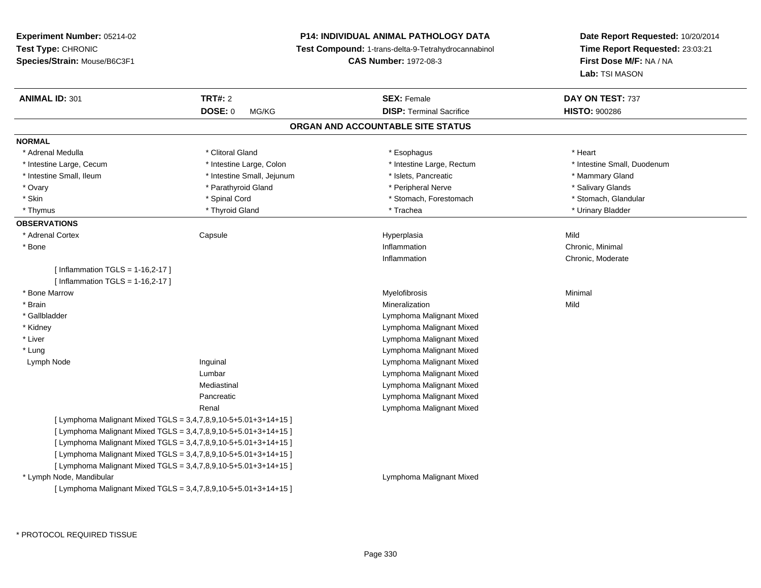**Experiment Number:** 05214-02**Test Type:** CHRONIC **Species/Strain:** Mouse/B6C3F1**P14: INDIVIDUAL ANIMAL PATHOLOGY DATA Test Compound:** 1-trans-delta-9-Tetrahydrocannabinol **CAS Number:** 1972-08-3**Date Report Requested:** 10/20/2014**Time Report Requested:** 23:03:21**First Dose M/F:** NA / NA**Lab:** TSI MASON**ANIMAL ID:** 301**TRT#:** 2 **SEX:** Female **DAY ON TEST:** 737 **DOSE:** 0 MG/KG**DISP:** Terminal Sacrifice **HISTO:**  $900286$ **ORGAN AND ACCOUNTABLE SITE STATUSNORMAL**\* Adrenal Medulla \* Adrenal Medulla \* Clitoral Gland \* Esophagus \* Heart \* Intestine Large, Cecum \* Intestine Large, Colon \* Intestine Large, Rectum \* Intestine Small, Duodenum\* Intestine Small, Ileum \* **All and Accord \* Intestine Small, Jejunum \* 1999** \* Islets, Pancreatic \* Mammary Gland \* Mammary Gland \* Salivary Glands \* Ovary \* And the section of the section of the section of the section of the section of the section of the section of the section of the section of the section of the section of the section of the section of the section o \* Stomach, Glandular \* Skin \* Spinal Cord \* Spinal Cord \* Stomach, Forestomach \* Stomach, Forestomach \* Thymus \* Thyroid Gland \* Trachea \* Urinary Bladder \* **OBSERVATIONS** \* Adrenal Cortex**Capsule**  Hyperplasia Mild \* Bonee inflammation control of the control of the control of the control of the control of the control of the control of the control of the control of the control of the control of the control of the control of the control of t Inflammation Chronic, Moderate  $[$  Inflammation TGLS = 1-16,2-17  $]$  $[$  Inflammation TGLS = 1-16,2-17  $]$  \* Bone Marroww which is a controller to the Myelofibrosis and the Minimal method of the Minimal method of the Minimal method of the Minimal method of the Minimal method of the Minimal method of the Minimal method of the Minimal method \* Brainn and the control of the control of the control of the Mineralization and the control of the Mild of the Mild o \* Gallbladder Lymphoma Malignant Mixed Lymphoma Malignant Mixed \* Kidney Lymphoma Malignant Mixed \* Liver Lymphoma Malignant Mixed \* Lung Lymph Node Inguinal Lymphoma Malignant Mixed Lumbar Lymphoma Malignant Mixed Lymphoma Malignant MixedMediastinal Lymphoma Malignant MixedPancreatic Lymphoma Malignant MixedRenal[ Lymphoma Malignant Mixed TGLS = 3,4,7,8,9,10-5+5.01+3+14+15 ][ Lymphoma Malignant Mixed TGLS = 3,4,7,8,9,10-5+5.01+3+14+15 ][ Lymphoma Malignant Mixed TGLS = 3,4,7,8,9,10-5+5.01+3+14+15 ][ Lymphoma Malignant Mixed TGLS = 3,4,7,8,9,10-5+5.01+3+14+15 ][ Lymphoma Malignant Mixed TGLS = 3,4,7,8,9,10-5+5.01+3+14+15 ] \* Lymph Node, Mandibular Lymphoma Malignant Mixed[ Lymphoma Malignant Mixed TGLS = 3,4,7,8,9,10-5+5.01+3+14+15 ]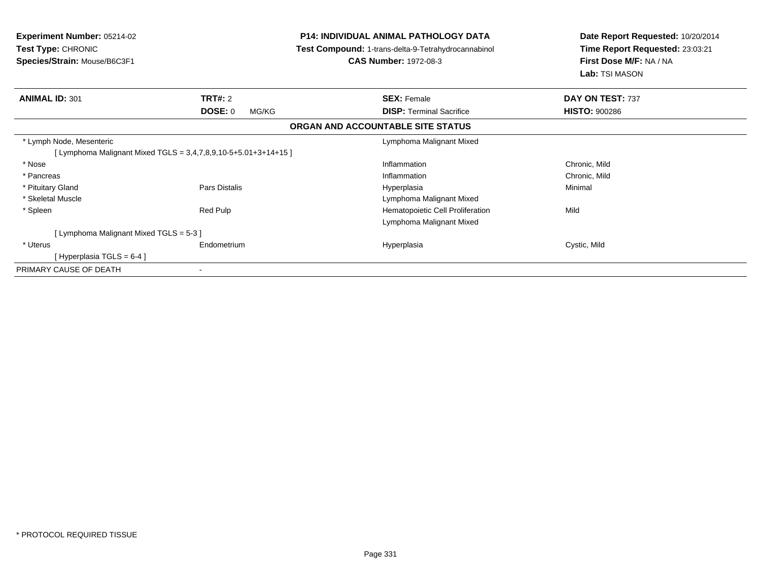| <b>Experiment Number: 05214-02</b><br>Test Type: CHRONIC<br>Species/Strain: Mouse/B6C3F1 |                  | <b>P14: INDIVIDUAL ANIMAL PATHOLOGY DATA</b><br>Test Compound: 1-trans-delta-9-Tetrahydrocannabinol<br><b>CAS Number: 1972-08-3</b> | Date Report Requested: 10/20/2014<br>Time Report Requested: 23:03:21<br>First Dose M/F: NA / NA<br><b>Lab:</b> TSI MASON |  |
|------------------------------------------------------------------------------------------|------------------|-------------------------------------------------------------------------------------------------------------------------------------|--------------------------------------------------------------------------------------------------------------------------|--|
| <b>ANIMAL ID: 301</b>                                                                    | <b>TRT#: 2</b>   | <b>SEX: Female</b>                                                                                                                  | DAY ON TEST: 737                                                                                                         |  |
|                                                                                          | DOSE: 0<br>MG/KG | <b>DISP:</b> Terminal Sacrifice                                                                                                     | <b>HISTO: 900286</b>                                                                                                     |  |
|                                                                                          |                  | ORGAN AND ACCOUNTABLE SITE STATUS                                                                                                   |                                                                                                                          |  |
| * Lymph Node, Mesenteric                                                                 |                  | Lymphoma Malignant Mixed                                                                                                            |                                                                                                                          |  |
| [Lymphoma Malignant Mixed TGLS = 3,4,7,8,9,10-5+5.01+3+14+15]                            |                  |                                                                                                                                     |                                                                                                                          |  |
| * Nose                                                                                   |                  | Inflammation                                                                                                                        | Chronic, Mild                                                                                                            |  |
| * Pancreas                                                                               |                  | Inflammation                                                                                                                        | Chronic, Mild                                                                                                            |  |
| * Pituitary Gland                                                                        | Pars Distalis    | Hyperplasia                                                                                                                         | Minimal                                                                                                                  |  |
| * Skeletal Muscle                                                                        |                  | Lymphoma Malignant Mixed                                                                                                            |                                                                                                                          |  |
| * Spleen                                                                                 | Red Pulp         | Hematopoietic Cell Proliferation                                                                                                    | Mild                                                                                                                     |  |
|                                                                                          |                  | Lymphoma Malignant Mixed                                                                                                            |                                                                                                                          |  |
| [ Lymphoma Malignant Mixed TGLS = 5-3 ]                                                  |                  |                                                                                                                                     |                                                                                                                          |  |
| * Uterus                                                                                 | Endometrium      | Hyperplasia                                                                                                                         | Cystic, Mild                                                                                                             |  |
| [Hyperplasia TGLS = 6-4]                                                                 |                  |                                                                                                                                     |                                                                                                                          |  |
| PRIMARY CAUSE OF DEATH                                                                   |                  |                                                                                                                                     |                                                                                                                          |  |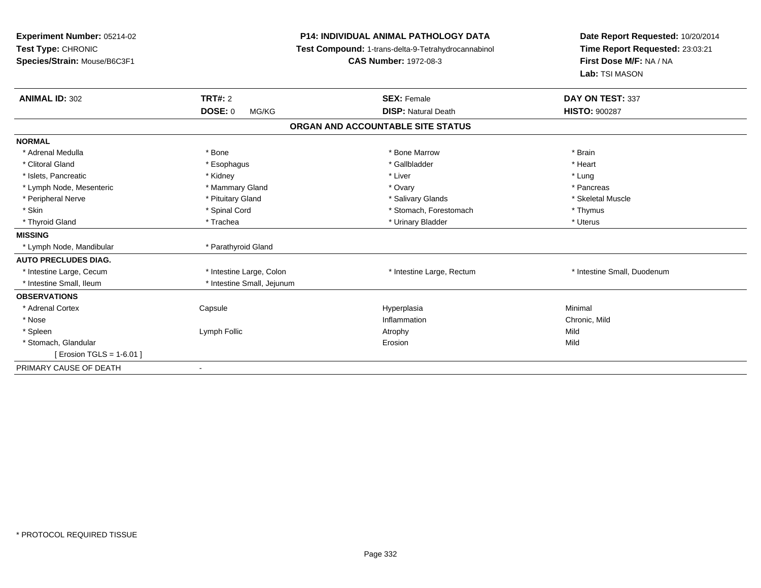| Experiment Number: 05214-02<br>Test Type: CHRONIC<br>Species/Strain: Mouse/B6C3F1<br><b>ANIMAL ID: 302</b> | <b>TRT#: 2</b><br><b>DOSE: 0</b><br>MG/KG | <b>P14: INDIVIDUAL ANIMAL PATHOLOGY DATA</b><br><b>Test Compound: 1-trans-delta-9-Tetrahydrocannabinol</b><br><b>CAS Number: 1972-08-3</b><br><b>SEX: Female</b><br><b>DISP: Natural Death</b> | Date Report Requested: 10/20/2014<br>Time Report Requested: 23:03:21<br>First Dose M/F: NA / NA<br>Lab: TSI MASON<br>DAY ON TEST: 337<br><b>HISTO: 900287</b> |
|------------------------------------------------------------------------------------------------------------|-------------------------------------------|------------------------------------------------------------------------------------------------------------------------------------------------------------------------------------------------|---------------------------------------------------------------------------------------------------------------------------------------------------------------|
|                                                                                                            |                                           | ORGAN AND ACCOUNTABLE SITE STATUS                                                                                                                                                              |                                                                                                                                                               |
| <b>NORMAL</b>                                                                                              |                                           |                                                                                                                                                                                                |                                                                                                                                                               |
| * Adrenal Medulla                                                                                          | * Bone                                    | * Bone Marrow                                                                                                                                                                                  | * Brain                                                                                                                                                       |
| * Clitoral Gland                                                                                           | * Esophagus                               | * Gallbladder                                                                                                                                                                                  | * Heart                                                                                                                                                       |
| * Islets, Pancreatic                                                                                       | * Kidney                                  | * Liver                                                                                                                                                                                        | * Lung                                                                                                                                                        |
| * Lymph Node, Mesenteric                                                                                   | * Mammary Gland                           | * Ovary                                                                                                                                                                                        | * Pancreas                                                                                                                                                    |
| * Peripheral Nerve                                                                                         | * Pituitary Gland                         | * Salivary Glands                                                                                                                                                                              | * Skeletal Muscle                                                                                                                                             |
| * Skin                                                                                                     | * Spinal Cord                             | * Stomach, Forestomach                                                                                                                                                                         | * Thymus                                                                                                                                                      |
| * Thyroid Gland                                                                                            | * Trachea                                 | * Urinary Bladder                                                                                                                                                                              | * Uterus                                                                                                                                                      |
| <b>MISSING</b>                                                                                             |                                           |                                                                                                                                                                                                |                                                                                                                                                               |
| * Lymph Node, Mandibular                                                                                   | * Parathyroid Gland                       |                                                                                                                                                                                                |                                                                                                                                                               |
| <b>AUTO PRECLUDES DIAG.</b>                                                                                |                                           |                                                                                                                                                                                                |                                                                                                                                                               |
| * Intestine Large, Cecum                                                                                   | * Intestine Large, Colon                  | * Intestine Large, Rectum                                                                                                                                                                      | * Intestine Small, Duodenum                                                                                                                                   |
| * Intestine Small, Ileum                                                                                   | * Intestine Small, Jejunum                |                                                                                                                                                                                                |                                                                                                                                                               |
| <b>OBSERVATIONS</b>                                                                                        |                                           |                                                                                                                                                                                                |                                                                                                                                                               |
| * Adrenal Cortex                                                                                           | Capsule                                   | Hyperplasia                                                                                                                                                                                    | Minimal                                                                                                                                                       |
| * Nose                                                                                                     |                                           | Inflammation                                                                                                                                                                                   | Chronic, Mild                                                                                                                                                 |
| * Spleen                                                                                                   | Lymph Follic                              | Atrophy                                                                                                                                                                                        | Mild                                                                                                                                                          |
| * Stomach, Glandular                                                                                       |                                           | Erosion                                                                                                                                                                                        | Mild                                                                                                                                                          |
| [ Erosion TGLS = 1-6.01 ]                                                                                  |                                           |                                                                                                                                                                                                |                                                                                                                                                               |
| PRIMARY CAUSE OF DEATH                                                                                     |                                           |                                                                                                                                                                                                |                                                                                                                                                               |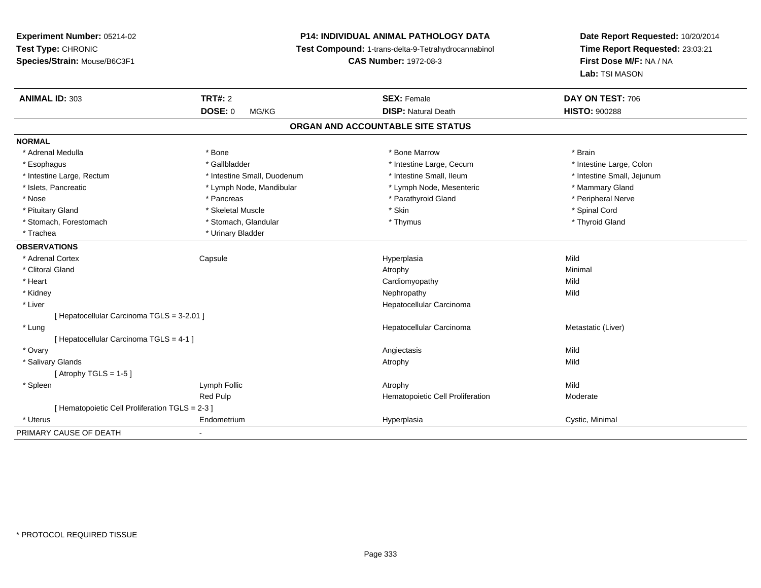# **P14: INDIVIDUAL ANIMAL PATHOLOGY DATA**

**Test Compound:** 1-trans-delta-9-Tetrahydrocannabinol

**CAS Number:** 1972-08-3

| <b>ANIMAL ID: 303</b>                           | <b>TRT#: 2</b>              | <b>SEX: Female</b>                | DAY ON TEST: 706           |  |
|-------------------------------------------------|-----------------------------|-----------------------------------|----------------------------|--|
|                                                 | <b>DOSE: 0</b><br>MG/KG     | <b>DISP: Natural Death</b>        | <b>HISTO: 900288</b>       |  |
|                                                 |                             | ORGAN AND ACCOUNTABLE SITE STATUS |                            |  |
| <b>NORMAL</b>                                   |                             |                                   |                            |  |
| * Adrenal Medulla                               | * Bone                      | * Bone Marrow                     | * Brain                    |  |
| * Esophagus                                     | * Gallbladder               | * Intestine Large, Cecum          | * Intestine Large, Colon   |  |
| * Intestine Large, Rectum                       | * Intestine Small, Duodenum | * Intestine Small, Ileum          | * Intestine Small, Jejunum |  |
| * Islets, Pancreatic                            | * Lymph Node, Mandibular    | * Lymph Node, Mesenteric          | * Mammary Gland            |  |
| * Nose                                          | * Pancreas                  | * Parathyroid Gland               | * Peripheral Nerve         |  |
| * Pituitary Gland                               | * Skeletal Muscle           | * Skin                            | * Spinal Cord              |  |
| * Stomach, Forestomach                          | * Stomach, Glandular        | * Thymus                          | * Thyroid Gland            |  |
| * Trachea                                       | * Urinary Bladder           |                                   |                            |  |
| <b>OBSERVATIONS</b>                             |                             |                                   |                            |  |
| * Adrenal Cortex                                | Capsule                     | Hyperplasia                       | Mild                       |  |
| * Clitoral Gland                                |                             | Atrophy                           | Minimal                    |  |
| * Heart                                         |                             | Cardiomyopathy                    | Mild                       |  |
| * Kidney                                        |                             | Nephropathy                       | Mild                       |  |
| * Liver                                         |                             | Hepatocellular Carcinoma          |                            |  |
| [ Hepatocellular Carcinoma TGLS = 3-2.01 ]      |                             |                                   |                            |  |
| * Lung                                          |                             | Hepatocellular Carcinoma          | Metastatic (Liver)         |  |
| [ Hepatocellular Carcinoma TGLS = 4-1 ]         |                             |                                   |                            |  |
| * Ovary                                         |                             | Angiectasis                       | Mild                       |  |
| * Salivary Glands                               |                             | Atrophy                           | Mild                       |  |
| [Atrophy TGLS = 1-5]                            |                             |                                   |                            |  |
| * Spleen                                        | Lymph Follic                | Atrophy                           | Mild                       |  |
|                                                 | Red Pulp                    | Hematopoietic Cell Proliferation  | Moderate                   |  |
| [ Hematopoietic Cell Proliferation TGLS = 2-3 ] |                             |                                   |                            |  |
| * Uterus                                        | Endometrium                 | Hyperplasia                       | Cystic, Minimal            |  |
| PRIMARY CAUSE OF DEATH                          | $\blacksquare$              |                                   |                            |  |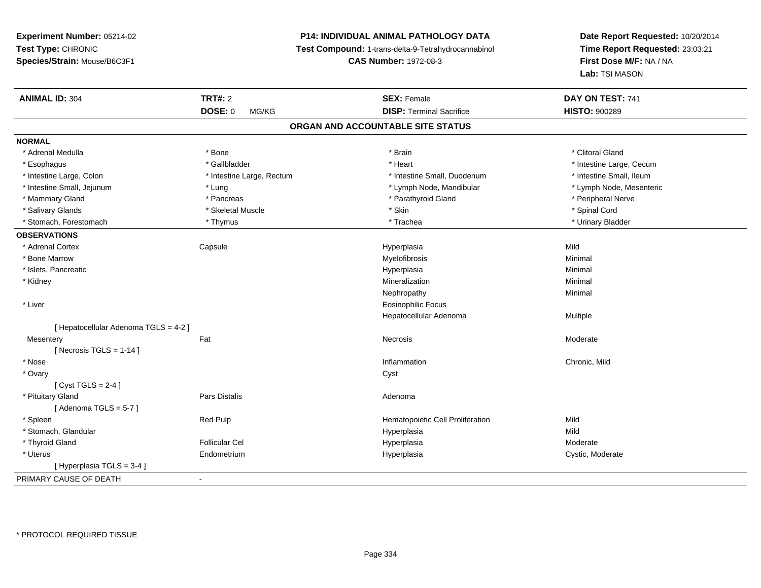# **P14: INDIVIDUAL ANIMAL PATHOLOGY DATA**

**Test Compound:** 1-trans-delta-9-Tetrahydrocannabinol

**CAS Number:** 1972-08-3

| <b>ANIMAL ID: 304</b>                 | <b>TRT#: 2</b>            | <b>SEX: Female</b>                | DAY ON TEST: 741         |
|---------------------------------------|---------------------------|-----------------------------------|--------------------------|
|                                       | <b>DOSE: 0</b><br>MG/KG   | <b>DISP: Terminal Sacrifice</b>   | <b>HISTO: 900289</b>     |
|                                       |                           | ORGAN AND ACCOUNTABLE SITE STATUS |                          |
| <b>NORMAL</b>                         |                           |                                   |                          |
| * Adrenal Medulla                     | * Bone                    | * Brain                           | * Clitoral Gland         |
| * Esophagus                           | * Gallbladder             | * Heart                           | * Intestine Large, Cecum |
| * Intestine Large, Colon              | * Intestine Large, Rectum | * Intestine Small, Duodenum       | * Intestine Small, Ileum |
| * Intestine Small, Jejunum            | * Lung                    | * Lymph Node, Mandibular          | * Lymph Node, Mesenteric |
| * Mammary Gland                       | * Pancreas                | * Parathyroid Gland               | * Peripheral Nerve       |
| * Salivary Glands                     | * Skeletal Muscle         | * Skin                            | * Spinal Cord            |
| * Stomach, Forestomach                | * Thymus                  | * Trachea                         | * Urinary Bladder        |
| <b>OBSERVATIONS</b>                   |                           |                                   |                          |
| * Adrenal Cortex                      | Capsule                   | Hyperplasia                       | Mild                     |
| * Bone Marrow                         |                           | Myelofibrosis                     | Minimal                  |
| * Islets, Pancreatic                  |                           | Hyperplasia                       | Minimal                  |
| * Kidney                              |                           | Mineralization                    | Minimal                  |
|                                       |                           | Nephropathy                       | Minimal                  |
| * Liver                               |                           | <b>Eosinophilic Focus</b>         |                          |
|                                       |                           | Hepatocellular Adenoma            | Multiple                 |
| [ Hepatocellular Adenoma TGLS = 4-2 ] |                           |                                   |                          |
| Mesentery                             | Fat                       | Necrosis                          | Moderate                 |
| [ Necrosis TGLS = $1-14$ ]            |                           |                                   |                          |
| * Nose                                |                           | Inflammation                      | Chronic, Mild            |
| * Ovary                               |                           | Cyst                              |                          |
| [Cyst TGLS = $2-4$ ]                  |                           |                                   |                          |
| * Pituitary Gland                     | Pars Distalis             | Adenoma                           |                          |
| [Adenoma TGLS = $5-7$ ]               |                           |                                   |                          |
| * Spleen                              | Red Pulp                  | Hematopoietic Cell Proliferation  | Mild                     |
| * Stomach, Glandular                  |                           | Hyperplasia                       | Mild                     |
| * Thyroid Gland                       | <b>Follicular Cel</b>     | Hyperplasia                       | Moderate                 |
| * Uterus                              | Endometrium               | Hyperplasia                       | Cystic, Moderate         |
| [ Hyperplasia TGLS = 3-4 ]            |                           |                                   |                          |
| PRIMARY CAUSE OF DEATH                | $\blacksquare$            |                                   |                          |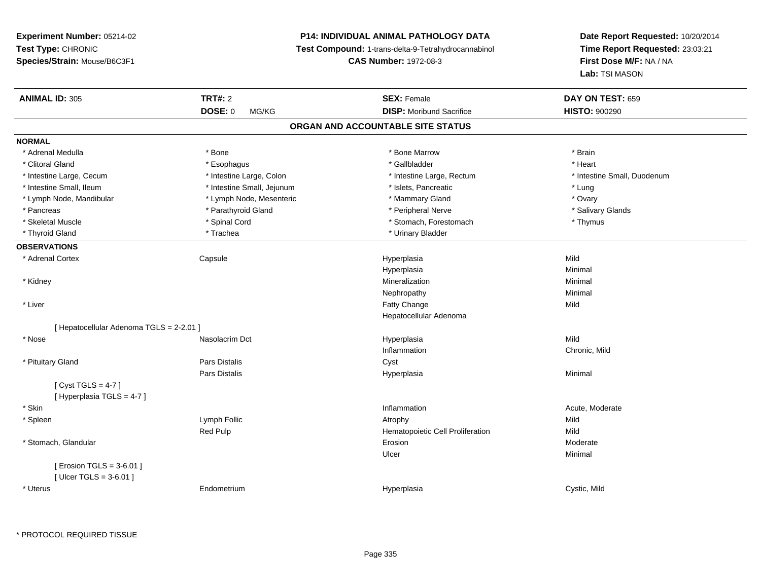# **P14: INDIVIDUAL ANIMAL PATHOLOGY DATA**

**Test Compound:** 1-trans-delta-9-Tetrahydrocannabinol

**CAS Number:** 1972-08-3

| MG/KG<br>ORGAN AND ACCOUNTABLE SITE STATUS<br>* Adrenal Medulla<br>* Bone<br>* Bone Marrow<br>* Brain<br>* Gallbladder<br>* Clitoral Gland<br>* Esophagus<br>* Heart<br>* Intestine Large, Cecum<br>* Intestine Large, Colon<br>* Intestine Large, Rectum<br>* Intestine Small, Duodenum<br>* Intestine Small, Ileum<br>* Intestine Small, Jejunum<br>* Islets, Pancreatic<br>* Lung<br>* Mammary Gland<br>* Lymph Node, Mandibular<br>* Lymph Node, Mesenteric<br>* Ovary<br>* Parathyroid Gland<br>* Peripheral Nerve<br>* Salivary Glands<br>* Pancreas<br>* Spinal Cord<br>* Stomach, Forestomach<br>* Thymus<br>* Skeletal Muscle<br>* Trachea<br>* Urinary Bladder<br>* Thyroid Gland<br>Mild<br>* Adrenal Cortex<br>Capsule<br>Hyperplasia<br>Hyperplasia<br>Minimal<br>Mineralization<br>Minimal<br>* Kidney<br>Minimal<br>Nephropathy<br>* Liver<br>Mild<br>Fatty Change<br>Hepatocellular Adenoma<br>[ Hepatocellular Adenoma TGLS = 2-2.01 ]<br>Mild<br>* Nose<br>Nasolacrim Dct<br>Hyperplasia<br>Inflammation<br>Chronic, Mild<br>Pars Distalis<br>* Pituitary Gland<br>Cyst<br>Minimal<br>Pars Distalis<br>Hyperplasia<br>[Cyst TGLS = $4-7$ ]<br>[Hyperplasia TGLS = 4-7]<br>* Skin<br>Inflammation<br>Acute, Moderate<br>Lymph Follic<br>Mild<br>* Spleen<br>Atrophy<br>Red Pulp<br>Hematopoietic Cell Proliferation<br>Mild<br>* Stomach, Glandular<br>Erosion<br>Moderate<br>Minimal<br>Ulcer<br>[ Erosion TGLS = 3-6.01 ]<br>[ $Uicer TGLS = 3-6.01$ ]<br>Cystic, Mild<br>* Uterus<br>Endometrium<br>Hyperplasia | <b>ANIMAL ID: 305</b> | <b>TRT#: 2</b> | <b>SEX: Female</b>              | DAY ON TEST: 659     |
|-------------------------------------------------------------------------------------------------------------------------------------------------------------------------------------------------------------------------------------------------------------------------------------------------------------------------------------------------------------------------------------------------------------------------------------------------------------------------------------------------------------------------------------------------------------------------------------------------------------------------------------------------------------------------------------------------------------------------------------------------------------------------------------------------------------------------------------------------------------------------------------------------------------------------------------------------------------------------------------------------------------------------------------------------------------------------------------------------------------------------------------------------------------------------------------------------------------------------------------------------------------------------------------------------------------------------------------------------------------------------------------------------------------------------------------------------------------------------------------------------------------------------------------|-----------------------|----------------|---------------------------------|----------------------|
|                                                                                                                                                                                                                                                                                                                                                                                                                                                                                                                                                                                                                                                                                                                                                                                                                                                                                                                                                                                                                                                                                                                                                                                                                                                                                                                                                                                                                                                                                                                                     |                       | <b>DOSE: 0</b> | <b>DISP: Moribund Sacrifice</b> | <b>HISTO: 900290</b> |
|                                                                                                                                                                                                                                                                                                                                                                                                                                                                                                                                                                                                                                                                                                                                                                                                                                                                                                                                                                                                                                                                                                                                                                                                                                                                                                                                                                                                                                                                                                                                     |                       |                |                                 |                      |
|                                                                                                                                                                                                                                                                                                                                                                                                                                                                                                                                                                                                                                                                                                                                                                                                                                                                                                                                                                                                                                                                                                                                                                                                                                                                                                                                                                                                                                                                                                                                     | <b>NORMAL</b>         |                |                                 |                      |
|                                                                                                                                                                                                                                                                                                                                                                                                                                                                                                                                                                                                                                                                                                                                                                                                                                                                                                                                                                                                                                                                                                                                                                                                                                                                                                                                                                                                                                                                                                                                     |                       |                |                                 |                      |
|                                                                                                                                                                                                                                                                                                                                                                                                                                                                                                                                                                                                                                                                                                                                                                                                                                                                                                                                                                                                                                                                                                                                                                                                                                                                                                                                                                                                                                                                                                                                     |                       |                |                                 |                      |
|                                                                                                                                                                                                                                                                                                                                                                                                                                                                                                                                                                                                                                                                                                                                                                                                                                                                                                                                                                                                                                                                                                                                                                                                                                                                                                                                                                                                                                                                                                                                     |                       |                |                                 |                      |
|                                                                                                                                                                                                                                                                                                                                                                                                                                                                                                                                                                                                                                                                                                                                                                                                                                                                                                                                                                                                                                                                                                                                                                                                                                                                                                                                                                                                                                                                                                                                     |                       |                |                                 |                      |
|                                                                                                                                                                                                                                                                                                                                                                                                                                                                                                                                                                                                                                                                                                                                                                                                                                                                                                                                                                                                                                                                                                                                                                                                                                                                                                                                                                                                                                                                                                                                     |                       |                |                                 |                      |
|                                                                                                                                                                                                                                                                                                                                                                                                                                                                                                                                                                                                                                                                                                                                                                                                                                                                                                                                                                                                                                                                                                                                                                                                                                                                                                                                                                                                                                                                                                                                     |                       |                |                                 |                      |
|                                                                                                                                                                                                                                                                                                                                                                                                                                                                                                                                                                                                                                                                                                                                                                                                                                                                                                                                                                                                                                                                                                                                                                                                                                                                                                                                                                                                                                                                                                                                     |                       |                |                                 |                      |
|                                                                                                                                                                                                                                                                                                                                                                                                                                                                                                                                                                                                                                                                                                                                                                                                                                                                                                                                                                                                                                                                                                                                                                                                                                                                                                                                                                                                                                                                                                                                     |                       |                |                                 |                      |
|                                                                                                                                                                                                                                                                                                                                                                                                                                                                                                                                                                                                                                                                                                                                                                                                                                                                                                                                                                                                                                                                                                                                                                                                                                                                                                                                                                                                                                                                                                                                     | <b>OBSERVATIONS</b>   |                |                                 |                      |
|                                                                                                                                                                                                                                                                                                                                                                                                                                                                                                                                                                                                                                                                                                                                                                                                                                                                                                                                                                                                                                                                                                                                                                                                                                                                                                                                                                                                                                                                                                                                     |                       |                |                                 |                      |
|                                                                                                                                                                                                                                                                                                                                                                                                                                                                                                                                                                                                                                                                                                                                                                                                                                                                                                                                                                                                                                                                                                                                                                                                                                                                                                                                                                                                                                                                                                                                     |                       |                |                                 |                      |
|                                                                                                                                                                                                                                                                                                                                                                                                                                                                                                                                                                                                                                                                                                                                                                                                                                                                                                                                                                                                                                                                                                                                                                                                                                                                                                                                                                                                                                                                                                                                     |                       |                |                                 |                      |
|                                                                                                                                                                                                                                                                                                                                                                                                                                                                                                                                                                                                                                                                                                                                                                                                                                                                                                                                                                                                                                                                                                                                                                                                                                                                                                                                                                                                                                                                                                                                     |                       |                |                                 |                      |
|                                                                                                                                                                                                                                                                                                                                                                                                                                                                                                                                                                                                                                                                                                                                                                                                                                                                                                                                                                                                                                                                                                                                                                                                                                                                                                                                                                                                                                                                                                                                     |                       |                |                                 |                      |
|                                                                                                                                                                                                                                                                                                                                                                                                                                                                                                                                                                                                                                                                                                                                                                                                                                                                                                                                                                                                                                                                                                                                                                                                                                                                                                                                                                                                                                                                                                                                     |                       |                |                                 |                      |
|                                                                                                                                                                                                                                                                                                                                                                                                                                                                                                                                                                                                                                                                                                                                                                                                                                                                                                                                                                                                                                                                                                                                                                                                                                                                                                                                                                                                                                                                                                                                     |                       |                |                                 |                      |
|                                                                                                                                                                                                                                                                                                                                                                                                                                                                                                                                                                                                                                                                                                                                                                                                                                                                                                                                                                                                                                                                                                                                                                                                                                                                                                                                                                                                                                                                                                                                     |                       |                |                                 |                      |
|                                                                                                                                                                                                                                                                                                                                                                                                                                                                                                                                                                                                                                                                                                                                                                                                                                                                                                                                                                                                                                                                                                                                                                                                                                                                                                                                                                                                                                                                                                                                     |                       |                |                                 |                      |
|                                                                                                                                                                                                                                                                                                                                                                                                                                                                                                                                                                                                                                                                                                                                                                                                                                                                                                                                                                                                                                                                                                                                                                                                                                                                                                                                                                                                                                                                                                                                     |                       |                |                                 |                      |
|                                                                                                                                                                                                                                                                                                                                                                                                                                                                                                                                                                                                                                                                                                                                                                                                                                                                                                                                                                                                                                                                                                                                                                                                                                                                                                                                                                                                                                                                                                                                     |                       |                |                                 |                      |
|                                                                                                                                                                                                                                                                                                                                                                                                                                                                                                                                                                                                                                                                                                                                                                                                                                                                                                                                                                                                                                                                                                                                                                                                                                                                                                                                                                                                                                                                                                                                     |                       |                |                                 |                      |
|                                                                                                                                                                                                                                                                                                                                                                                                                                                                                                                                                                                                                                                                                                                                                                                                                                                                                                                                                                                                                                                                                                                                                                                                                                                                                                                                                                                                                                                                                                                                     |                       |                |                                 |                      |
|                                                                                                                                                                                                                                                                                                                                                                                                                                                                                                                                                                                                                                                                                                                                                                                                                                                                                                                                                                                                                                                                                                                                                                                                                                                                                                                                                                                                                                                                                                                                     |                       |                |                                 |                      |
|                                                                                                                                                                                                                                                                                                                                                                                                                                                                                                                                                                                                                                                                                                                                                                                                                                                                                                                                                                                                                                                                                                                                                                                                                                                                                                                                                                                                                                                                                                                                     |                       |                |                                 |                      |
|                                                                                                                                                                                                                                                                                                                                                                                                                                                                                                                                                                                                                                                                                                                                                                                                                                                                                                                                                                                                                                                                                                                                                                                                                                                                                                                                                                                                                                                                                                                                     |                       |                |                                 |                      |
|                                                                                                                                                                                                                                                                                                                                                                                                                                                                                                                                                                                                                                                                                                                                                                                                                                                                                                                                                                                                                                                                                                                                                                                                                                                                                                                                                                                                                                                                                                                                     |                       |                |                                 |                      |
|                                                                                                                                                                                                                                                                                                                                                                                                                                                                                                                                                                                                                                                                                                                                                                                                                                                                                                                                                                                                                                                                                                                                                                                                                                                                                                                                                                                                                                                                                                                                     |                       |                |                                 |                      |
|                                                                                                                                                                                                                                                                                                                                                                                                                                                                                                                                                                                                                                                                                                                                                                                                                                                                                                                                                                                                                                                                                                                                                                                                                                                                                                                                                                                                                                                                                                                                     |                       |                |                                 |                      |
|                                                                                                                                                                                                                                                                                                                                                                                                                                                                                                                                                                                                                                                                                                                                                                                                                                                                                                                                                                                                                                                                                                                                                                                                                                                                                                                                                                                                                                                                                                                                     |                       |                |                                 |                      |
|                                                                                                                                                                                                                                                                                                                                                                                                                                                                                                                                                                                                                                                                                                                                                                                                                                                                                                                                                                                                                                                                                                                                                                                                                                                                                                                                                                                                                                                                                                                                     |                       |                |                                 |                      |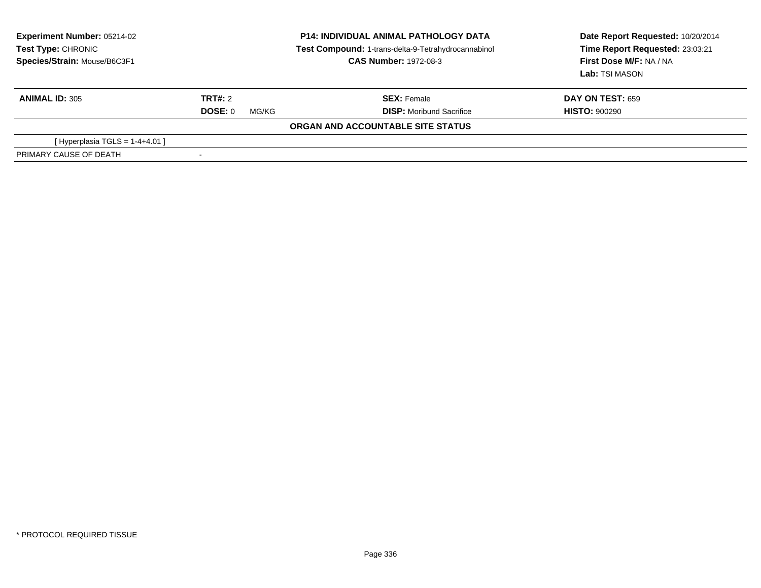| <b>Experiment Number: 05214-02</b><br>Test Type: CHRONIC<br>Species/Strain: Mouse/B6C3F1 | <b>P14: INDIVIDUAL ANIMAL PATHOLOGY DATA</b><br>Test Compound: 1-trans-delta-9-Tetrahydrocannabinol<br><b>CAS Number: 1972-08-3</b> |                                   | Date Report Requested: 10/20/2014<br>Time Report Requested: 23:03:21<br>First Dose M/F: NA / NA<br>Lab: TSI MASON |  |
|------------------------------------------------------------------------------------------|-------------------------------------------------------------------------------------------------------------------------------------|-----------------------------------|-------------------------------------------------------------------------------------------------------------------|--|
| <b>ANIMAL ID: 305</b>                                                                    | TRT#: 2                                                                                                                             | <b>SEX:</b> Female                | <b>DAY ON TEST: 659</b>                                                                                           |  |
|                                                                                          | DOSE: 0<br>MG/KG                                                                                                                    | <b>DISP:</b> Moribund Sacrifice   | <b>HISTO: 900290</b>                                                                                              |  |
|                                                                                          |                                                                                                                                     | ORGAN AND ACCOUNTABLE SITE STATUS |                                                                                                                   |  |
| [Hyperplasia TGLS = $1-4+4.01$ ]                                                         |                                                                                                                                     |                                   |                                                                                                                   |  |
| PRIMARY CAUSE OF DEATH                                                                   |                                                                                                                                     |                                   |                                                                                                                   |  |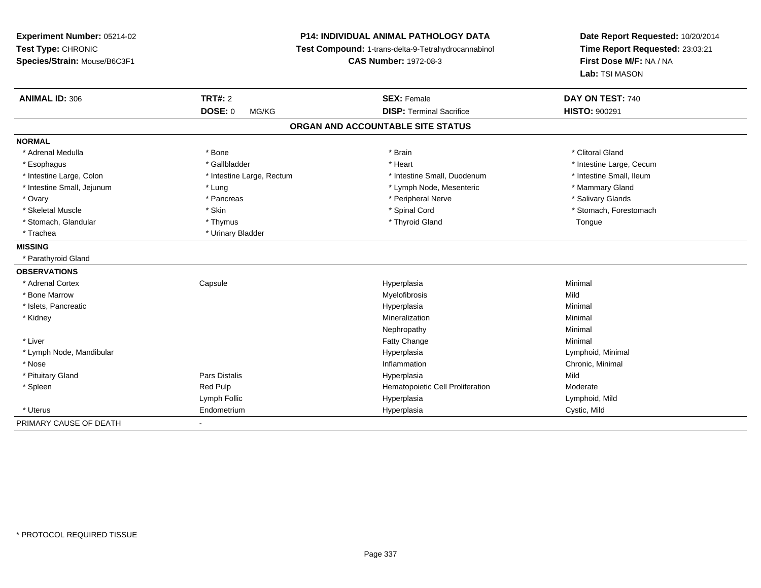| Experiment Number: 05214-02<br>Test Type: CHRONIC<br>Species/Strain: Mouse/B6C3F1 |                           | <b>P14: INDIVIDUAL ANIMAL PATHOLOGY DATA</b><br>Test Compound: 1-trans-delta-9-Tetrahydrocannabinol<br><b>CAS Number: 1972-08-3</b> | Date Report Requested: 10/20/2014<br>Time Report Requested: 23:03:21<br>First Dose M/F: NA / NA<br>Lab: TSI MASON |  |
|-----------------------------------------------------------------------------------|---------------------------|-------------------------------------------------------------------------------------------------------------------------------------|-------------------------------------------------------------------------------------------------------------------|--|
| <b>ANIMAL ID: 306</b>                                                             | TRT#: 2                   | <b>SEX: Female</b>                                                                                                                  | DAY ON TEST: 740                                                                                                  |  |
|                                                                                   | <b>DOSE: 0</b><br>MG/KG   | <b>DISP: Terminal Sacrifice</b>                                                                                                     | <b>HISTO: 900291</b>                                                                                              |  |
|                                                                                   |                           | ORGAN AND ACCOUNTABLE SITE STATUS                                                                                                   |                                                                                                                   |  |
| <b>NORMAL</b>                                                                     |                           |                                                                                                                                     |                                                                                                                   |  |
| * Adrenal Medulla                                                                 | * Bone                    | * Brain                                                                                                                             | * Clitoral Gland                                                                                                  |  |
| * Esophagus                                                                       | * Gallbladder             | * Heart                                                                                                                             | * Intestine Large, Cecum                                                                                          |  |
| * Intestine Large, Colon                                                          | * Intestine Large, Rectum | * Intestine Small, Duodenum                                                                                                         | * Intestine Small, Ileum                                                                                          |  |
| * Intestine Small, Jejunum                                                        | * Lung                    | * Lymph Node, Mesenteric                                                                                                            | * Mammary Gland                                                                                                   |  |
| * Ovary                                                                           | * Pancreas                | * Peripheral Nerve                                                                                                                  | * Salivary Glands                                                                                                 |  |
| * Skeletal Muscle                                                                 | * Skin                    | * Spinal Cord                                                                                                                       | * Stomach, Forestomach                                                                                            |  |
| * Stomach, Glandular                                                              | * Thymus                  | * Thyroid Gland                                                                                                                     | Tongue                                                                                                            |  |
| * Trachea                                                                         | * Urinary Bladder         |                                                                                                                                     |                                                                                                                   |  |
| <b>MISSING</b>                                                                    |                           |                                                                                                                                     |                                                                                                                   |  |
| * Parathyroid Gland                                                               |                           |                                                                                                                                     |                                                                                                                   |  |
| <b>OBSERVATIONS</b>                                                               |                           |                                                                                                                                     |                                                                                                                   |  |
| * Adrenal Cortex                                                                  | Capsule                   | Hyperplasia                                                                                                                         | Minimal                                                                                                           |  |
| * Bone Marrow                                                                     |                           | Myelofibrosis                                                                                                                       | Mild                                                                                                              |  |
| * Islets, Pancreatic                                                              |                           | Hyperplasia                                                                                                                         | Minimal                                                                                                           |  |
| * Kidney                                                                          |                           | Mineralization                                                                                                                      | Minimal                                                                                                           |  |
|                                                                                   |                           | Nephropathy                                                                                                                         | Minimal                                                                                                           |  |
| * Liver                                                                           |                           | Fatty Change                                                                                                                        | Minimal                                                                                                           |  |
| * Lymph Node, Mandibular                                                          |                           | Hyperplasia                                                                                                                         | Lymphoid, Minimal                                                                                                 |  |
| * Nose                                                                            |                           | Inflammation                                                                                                                        | Chronic, Minimal                                                                                                  |  |
| * Pituitary Gland                                                                 | <b>Pars Distalis</b>      | Hyperplasia                                                                                                                         | Mild                                                                                                              |  |
| * Spleen                                                                          | Red Pulp                  | Hematopoietic Cell Proliferation                                                                                                    | Moderate                                                                                                          |  |
|                                                                                   | Lymph Follic              | Hyperplasia                                                                                                                         | Lymphoid, Mild                                                                                                    |  |
| * Uterus                                                                          | Endometrium               | Hyperplasia                                                                                                                         | Cystic, Mild                                                                                                      |  |
| PRIMARY CAUSE OF DEATH                                                            |                           |                                                                                                                                     |                                                                                                                   |  |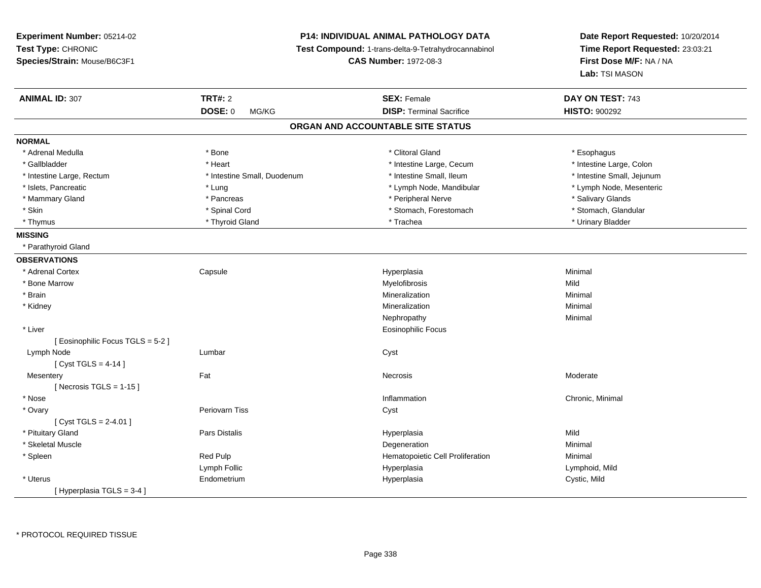| Experiment Number: 05214-02                        | <b>P14: INDIVIDUAL ANIMAL PATHOLOGY DATA</b>                                        |                                   | Date Report Requested: 10/20/2014                          |
|----------------------------------------------------|-------------------------------------------------------------------------------------|-----------------------------------|------------------------------------------------------------|
| Test Type: CHRONIC<br>Species/Strain: Mouse/B6C3F1 | Test Compound: 1-trans-delta-9-Tetrahydrocannabinol<br><b>CAS Number: 1972-08-3</b> |                                   | Time Report Requested: 23:03:21<br>First Dose M/F: NA / NA |
|                                                    |                                                                                     |                                   | Lab: TSI MASON                                             |
| <b>ANIMAL ID: 307</b>                              | <b>TRT#: 2</b>                                                                      | <b>SEX: Female</b>                | DAY ON TEST: 743                                           |
|                                                    | DOSE: 0<br>MG/KG                                                                    | <b>DISP: Terminal Sacrifice</b>   | <b>HISTO: 900292</b>                                       |
|                                                    |                                                                                     | ORGAN AND ACCOUNTABLE SITE STATUS |                                                            |
| <b>NORMAL</b>                                      |                                                                                     |                                   |                                                            |
| * Adrenal Medulla                                  | * Bone                                                                              | * Clitoral Gland                  | * Esophagus                                                |
| * Gallbladder                                      | * Heart                                                                             | * Intestine Large, Cecum          | * Intestine Large, Colon                                   |
| * Intestine Large, Rectum                          | * Intestine Small, Duodenum                                                         | * Intestine Small, Ileum          | * Intestine Small, Jejunum                                 |
| * Islets, Pancreatic                               | * Lung                                                                              | * Lymph Node, Mandibular          | * Lymph Node, Mesenteric                                   |
| * Mammary Gland                                    | * Pancreas                                                                          | * Peripheral Nerve                | * Salivary Glands                                          |
| * Skin                                             | * Spinal Cord                                                                       | * Stomach, Forestomach            | * Stomach, Glandular                                       |
| * Thymus                                           | * Thyroid Gland                                                                     | * Trachea                         | * Urinary Bladder                                          |
| <b>MISSING</b>                                     |                                                                                     |                                   |                                                            |
| * Parathyroid Gland                                |                                                                                     |                                   |                                                            |
| <b>OBSERVATIONS</b>                                |                                                                                     |                                   |                                                            |
| * Adrenal Cortex                                   | Capsule                                                                             | Hyperplasia                       | Minimal                                                    |
| * Bone Marrow                                      |                                                                                     | Myelofibrosis                     | Mild                                                       |
| * Brain                                            |                                                                                     | Mineralization                    | Minimal                                                    |
| * Kidney                                           |                                                                                     | Mineralization                    | Minimal                                                    |
|                                                    |                                                                                     | Nephropathy                       | Minimal                                                    |
| * Liver                                            |                                                                                     | Eosinophilic Focus                |                                                            |
| [ Eosinophilic Focus TGLS = 5-2 ]                  |                                                                                     |                                   |                                                            |
| Lymph Node                                         | Lumbar                                                                              | Cyst                              |                                                            |
| [Cyst TGLS = 4-14]                                 |                                                                                     |                                   |                                                            |
| Mesentery                                          | Fat                                                                                 | Necrosis                          | Moderate                                                   |
| [Necrosis TGLS = $1-15$ ]                          |                                                                                     |                                   |                                                            |
| * Nose                                             |                                                                                     | Inflammation                      | Chronic, Minimal                                           |
| * Ovary                                            | Periovarn Tiss                                                                      | Cyst                              |                                                            |
| [Cyst TGLS = $2-4.01$ ]                            |                                                                                     |                                   |                                                            |
| * Pituitary Gland                                  | Pars Distalis                                                                       | Hyperplasia                       | Mild                                                       |
| * Skeletal Muscle                                  |                                                                                     | Degeneration                      | Minimal                                                    |
| * Spleen                                           | Red Pulp                                                                            | Hematopoietic Cell Proliferation  | Minimal                                                    |
|                                                    | Lymph Follic                                                                        | Hyperplasia                       | Lymphoid, Mild                                             |
| * Uterus                                           | Endometrium                                                                         | Hyperplasia                       | Cystic, Mild                                               |
| [Hyperplasia TGLS = 3-4]                           |                                                                                     |                                   |                                                            |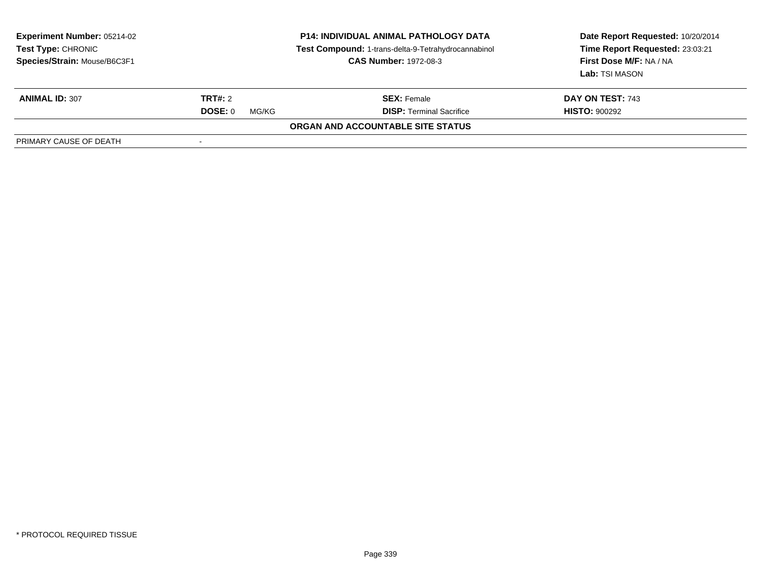| <b>Experiment Number: 05214-02</b><br><b>Test Type: CHRONIC</b><br>Species/Strain: Mouse/B6C3F1 | <b>P14: INDIVIDUAL ANIMAL PATHOLOGY DATA</b><br>Test Compound: 1-trans-delta-9-Tetrahydrocannabinol<br><b>CAS Number: 1972-08-3</b> |                                   | Date Report Requested: 10/20/2014<br>Time Report Requested: 23:03:21<br>First Dose M/F: NA / NA<br>Lab: TSI MASON |  |
|-------------------------------------------------------------------------------------------------|-------------------------------------------------------------------------------------------------------------------------------------|-----------------------------------|-------------------------------------------------------------------------------------------------------------------|--|
| <b>ANIMAL ID: 307</b>                                                                           | <b>TRT#: 2</b>                                                                                                                      | <b>SEX:</b> Female                | DAY ON TEST: 743                                                                                                  |  |
|                                                                                                 | DOSE: 0<br>MG/KG                                                                                                                    | <b>DISP: Terminal Sacrifice</b>   | <b>HISTO: 900292</b>                                                                                              |  |
|                                                                                                 |                                                                                                                                     | ORGAN AND ACCOUNTABLE SITE STATUS |                                                                                                                   |  |
| PRIMARY CAUSE OF DEATH                                                                          |                                                                                                                                     |                                   |                                                                                                                   |  |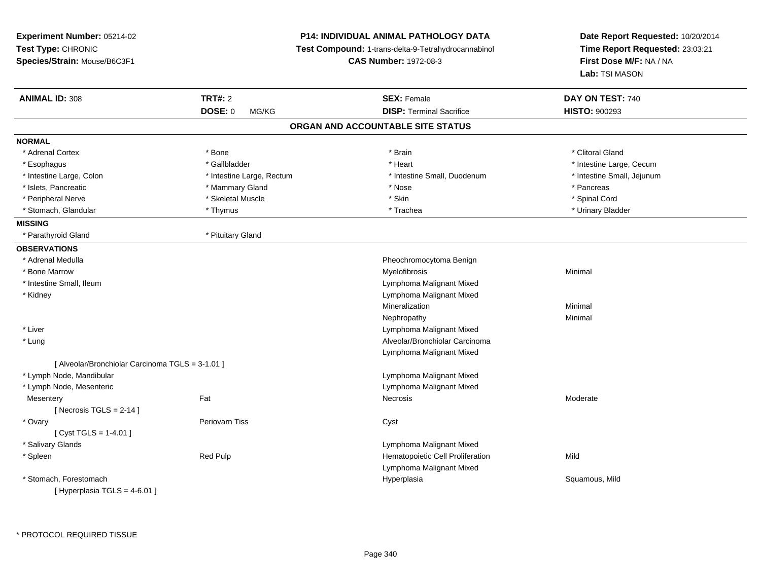| Experiment Number: 05214-02<br>Test Type: CHRONIC<br>Species/Strain: Mouse/B6C3F1 |                           | <b>P14: INDIVIDUAL ANIMAL PATHOLOGY DATA</b><br>Test Compound: 1-trans-delta-9-Tetrahydrocannabinol<br><b>CAS Number: 1972-08-3</b> | Date Report Requested: 10/20/2014<br>Time Report Requested: 23:03:21<br>First Dose M/F: NA / NA<br>Lab: TSI MASON |
|-----------------------------------------------------------------------------------|---------------------------|-------------------------------------------------------------------------------------------------------------------------------------|-------------------------------------------------------------------------------------------------------------------|
| <b>ANIMAL ID: 308</b>                                                             | <b>TRT#: 2</b>            | <b>SEX: Female</b>                                                                                                                  | DAY ON TEST: 740                                                                                                  |
|                                                                                   | DOSE: 0<br>MG/KG          | <b>DISP: Terminal Sacrifice</b>                                                                                                     | <b>HISTO: 900293</b>                                                                                              |
|                                                                                   |                           | ORGAN AND ACCOUNTABLE SITE STATUS                                                                                                   |                                                                                                                   |
| <b>NORMAL</b>                                                                     |                           |                                                                                                                                     |                                                                                                                   |
| * Adrenal Cortex                                                                  | * Bone                    | * Brain                                                                                                                             | * Clitoral Gland                                                                                                  |
| * Esophagus                                                                       | * Gallbladder             | * Heart                                                                                                                             | * Intestine Large, Cecum                                                                                          |
| * Intestine Large, Colon                                                          | * Intestine Large, Rectum | * Intestine Small, Duodenum                                                                                                         | * Intestine Small, Jejunum                                                                                        |
| * Islets, Pancreatic                                                              | * Mammary Gland           | * Nose                                                                                                                              | * Pancreas                                                                                                        |
| * Peripheral Nerve                                                                | * Skeletal Muscle         | * Skin                                                                                                                              | * Spinal Cord                                                                                                     |
| * Stomach, Glandular                                                              | * Thymus                  | * Trachea                                                                                                                           | * Urinary Bladder                                                                                                 |
| <b>MISSING</b>                                                                    |                           |                                                                                                                                     |                                                                                                                   |
| * Parathyroid Gland                                                               | * Pituitary Gland         |                                                                                                                                     |                                                                                                                   |
| <b>OBSERVATIONS</b>                                                               |                           |                                                                                                                                     |                                                                                                                   |
| * Adrenal Medulla                                                                 |                           | Pheochromocytoma Benign                                                                                                             |                                                                                                                   |
| * Bone Marrow                                                                     |                           | Myelofibrosis                                                                                                                       | Minimal                                                                                                           |
| * Intestine Small, Ileum                                                          |                           | Lymphoma Malignant Mixed                                                                                                            |                                                                                                                   |
| * Kidney                                                                          |                           | Lymphoma Malignant Mixed                                                                                                            |                                                                                                                   |
|                                                                                   |                           | Mineralization                                                                                                                      | Minimal                                                                                                           |
|                                                                                   |                           | Nephropathy                                                                                                                         | Minimal                                                                                                           |
| * Liver                                                                           |                           | Lymphoma Malignant Mixed                                                                                                            |                                                                                                                   |
| $*$ Lung                                                                          |                           | Alveolar/Bronchiolar Carcinoma                                                                                                      |                                                                                                                   |
|                                                                                   |                           | Lymphoma Malignant Mixed                                                                                                            |                                                                                                                   |
| [ Alveolar/Bronchiolar Carcinoma TGLS = 3-1.01 ]                                  |                           |                                                                                                                                     |                                                                                                                   |
| * Lymph Node, Mandibular                                                          |                           | Lymphoma Malignant Mixed                                                                                                            |                                                                                                                   |
| * Lymph Node, Mesenteric                                                          |                           | Lymphoma Malignant Mixed                                                                                                            |                                                                                                                   |
| Mesentery                                                                         | Fat                       | <b>Necrosis</b>                                                                                                                     | Moderate                                                                                                          |
| [Necrosis TGLS = $2-14$ ]                                                         |                           |                                                                                                                                     |                                                                                                                   |
| * Ovary                                                                           | Periovarn Tiss            | Cyst                                                                                                                                |                                                                                                                   |
| [Cyst TGLS = $1-4.01$ ]                                                           |                           |                                                                                                                                     |                                                                                                                   |
| * Salivary Glands                                                                 |                           | Lymphoma Malignant Mixed                                                                                                            |                                                                                                                   |
| * Spleen                                                                          | Red Pulp                  | Hematopoietic Cell Proliferation                                                                                                    | Mild                                                                                                              |
|                                                                                   |                           | Lymphoma Malignant Mixed                                                                                                            |                                                                                                                   |
| * Stomach, Forestomach<br>[ Hyperplasia TGLS = 4-6.01 ]                           |                           | Hyperplasia                                                                                                                         | Squamous, Mild                                                                                                    |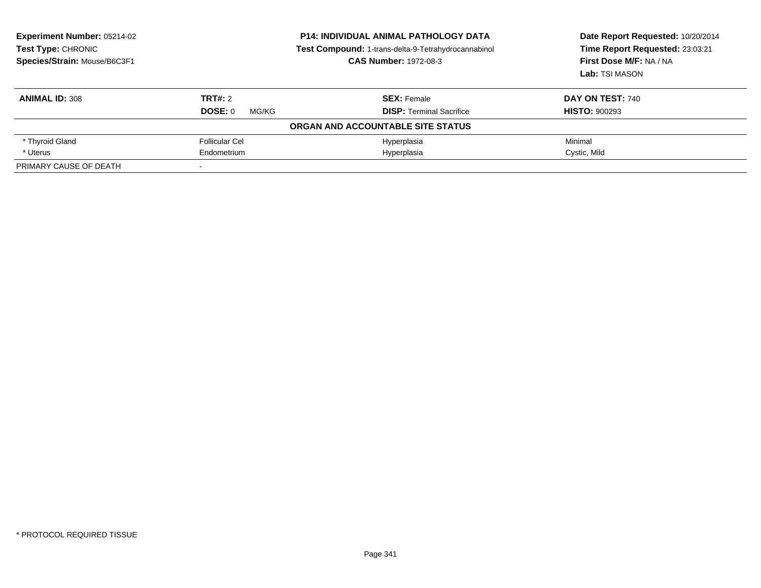| <b>Experiment Number: 05214-02</b><br><b>Test Type: CHRONIC</b><br>Species/Strain: Mouse/B6C3F1 | <b>P14: INDIVIDUAL ANIMAL PATHOLOGY DATA</b><br>Test Compound: 1-trans-delta-9-Tetrahydrocannabinol<br><b>CAS Number: 1972-08-3</b> |                                   | Date Report Requested: 10/20/2014<br>Time Report Requested: 23:03:21<br>First Dose M/F: NA / NA<br>Lab: TSI MASON |
|-------------------------------------------------------------------------------------------------|-------------------------------------------------------------------------------------------------------------------------------------|-----------------------------------|-------------------------------------------------------------------------------------------------------------------|
| <b>ANIMAL ID: 308</b>                                                                           | TRT#: 2                                                                                                                             | <b>SEX: Female</b>                | DAY ON TEST: 740                                                                                                  |
|                                                                                                 | DOSE: 0<br>MG/KG                                                                                                                    | <b>DISP:</b> Terminal Sacrifice   | <b>HISTO: 900293</b>                                                                                              |
|                                                                                                 |                                                                                                                                     | ORGAN AND ACCOUNTABLE SITE STATUS |                                                                                                                   |
| * Thyroid Gland                                                                                 | <b>Follicular Cel</b>                                                                                                               | Hyperplasia                       | Minimal                                                                                                           |
| * Uterus                                                                                        | Endometrium                                                                                                                         | Hyperplasia                       | Cystic, Mild                                                                                                      |
| PRIMARY CAUSE OF DEATH                                                                          |                                                                                                                                     |                                   |                                                                                                                   |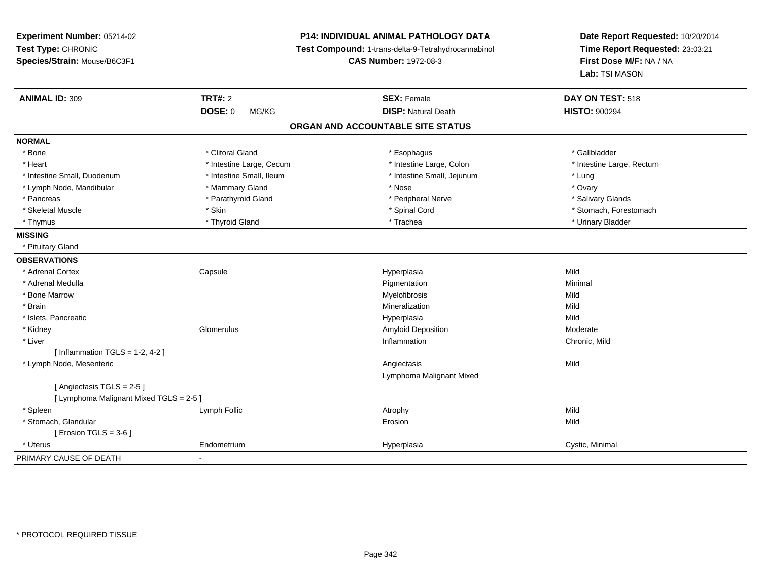| Experiment Number: 05214-02             |                          | <b>P14: INDIVIDUAL ANIMAL PATHOLOGY DATA</b>        | Date Report Requested: 10/20/2014<br>Time Report Requested: 23:03:21 |
|-----------------------------------------|--------------------------|-----------------------------------------------------|----------------------------------------------------------------------|
| Test Type: CHRONIC                      |                          | Test Compound: 1-trans-delta-9-Tetrahydrocannabinol |                                                                      |
| Species/Strain: Mouse/B6C3F1            |                          | <b>CAS Number: 1972-08-3</b>                        | First Dose M/F: NA / NA                                              |
|                                         |                          |                                                     | Lab: TSI MASON                                                       |
| <b>ANIMAL ID: 309</b>                   | <b>TRT#: 2</b>           | <b>SEX: Female</b>                                  | DAY ON TEST: 518                                                     |
|                                         | <b>DOSE: 0</b><br>MG/KG  | <b>DISP: Natural Death</b>                          | <b>HISTO: 900294</b>                                                 |
|                                         |                          | ORGAN AND ACCOUNTABLE SITE STATUS                   |                                                                      |
| <b>NORMAL</b>                           |                          |                                                     |                                                                      |
| * Bone                                  | * Clitoral Gland         | * Esophagus                                         | * Gallbladder                                                        |
| * Heart                                 | * Intestine Large, Cecum | * Intestine Large, Colon                            | * Intestine Large, Rectum                                            |
| * Intestine Small, Duodenum             | * Intestine Small, Ileum | * Intestine Small, Jejunum                          | * Lung                                                               |
| * Lymph Node, Mandibular                | * Mammary Gland          | * Nose                                              | * Ovary                                                              |
| * Pancreas                              | * Parathyroid Gland      | * Peripheral Nerve                                  | * Salivary Glands                                                    |
| * Skeletal Muscle                       | * Skin                   | * Spinal Cord                                       | * Stomach, Forestomach                                               |
| * Thymus                                | * Thyroid Gland          | * Trachea                                           | * Urinary Bladder                                                    |
| <b>MISSING</b>                          |                          |                                                     |                                                                      |
| * Pituitary Gland                       |                          |                                                     |                                                                      |
| <b>OBSERVATIONS</b>                     |                          |                                                     |                                                                      |
| * Adrenal Cortex                        | Capsule                  | Hyperplasia                                         | Mild                                                                 |
| * Adrenal Medulla                       |                          | Pigmentation                                        | Minimal                                                              |
| * Bone Marrow                           |                          | Myelofibrosis                                       | Mild                                                                 |
| * Brain                                 |                          | Mineralization                                      | Mild                                                                 |
| * Islets, Pancreatic                    |                          | Hyperplasia                                         | Mild                                                                 |
| * Kidney                                | Glomerulus               | <b>Amyloid Deposition</b>                           | Moderate                                                             |
| * Liver                                 |                          | Inflammation                                        | Chronic, Mild                                                        |
| [Inflammation TGLS = $1-2$ , 4-2]       |                          |                                                     |                                                                      |
| * Lymph Node, Mesenteric                |                          | Angiectasis                                         | Mild                                                                 |
|                                         |                          | Lymphoma Malignant Mixed                            |                                                                      |
| [Angiectasis TGLS = 2-5]                |                          |                                                     |                                                                      |
| [ Lymphoma Malignant Mixed TGLS = 2-5 ] |                          |                                                     |                                                                      |
| * Spleen                                | Lymph Follic             | Atrophy                                             | Mild                                                                 |
| * Stomach, Glandular                    |                          | Erosion                                             | Mild                                                                 |
| [ Erosion TGLS = $3-6$ ]                |                          |                                                     |                                                                      |
| * Uterus                                | Endometrium              | Hyperplasia                                         | Cystic, Minimal                                                      |
| PRIMARY CAUSE OF DEATH                  |                          |                                                     |                                                                      |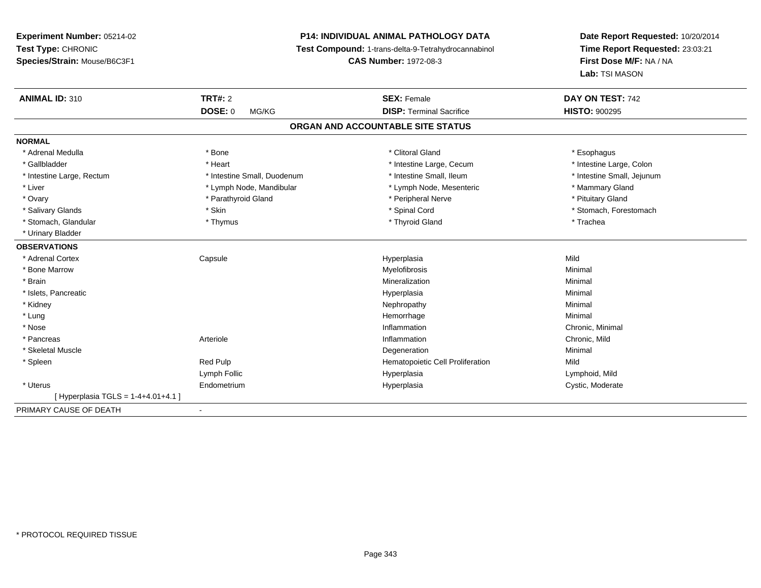# **P14: INDIVIDUAL ANIMAL PATHOLOGY DATA**

**Test Compound:** 1-trans-delta-9-Tetrahydrocannabinol

**CAS Number:** 1972-08-3

| <b>ANIMAL ID: 310</b>              | <b>TRT#: 2</b>              | <b>SEX: Female</b>               | DAY ON TEST: 742           |  |  |
|------------------------------------|-----------------------------|----------------------------------|----------------------------|--|--|
|                                    | <b>DOSE: 0</b><br>MG/KG     | <b>DISP: Terminal Sacrifice</b>  | <b>HISTO: 900295</b>       |  |  |
| ORGAN AND ACCOUNTABLE SITE STATUS  |                             |                                  |                            |  |  |
| <b>NORMAL</b>                      |                             |                                  |                            |  |  |
| * Adrenal Medulla                  | * Bone                      | * Clitoral Gland                 | * Esophagus                |  |  |
| * Gallbladder                      | * Heart                     | * Intestine Large, Cecum         | * Intestine Large, Colon   |  |  |
| * Intestine Large, Rectum          | * Intestine Small, Duodenum | * Intestine Small, Ileum         | * Intestine Small, Jejunum |  |  |
| * Liver                            | * Lymph Node, Mandibular    | * Lymph Node, Mesenteric         | * Mammary Gland            |  |  |
| * Ovary                            | * Parathyroid Gland         | * Peripheral Nerve               | * Pituitary Gland          |  |  |
| * Salivary Glands                  | * Skin                      | * Spinal Cord                    | * Stomach, Forestomach     |  |  |
| * Stomach, Glandular               | * Thymus                    | * Thyroid Gland                  | * Trachea                  |  |  |
| * Urinary Bladder                  |                             |                                  |                            |  |  |
| <b>OBSERVATIONS</b>                |                             |                                  |                            |  |  |
| * Adrenal Cortex                   | Capsule                     | Hyperplasia                      | Mild                       |  |  |
| * Bone Marrow                      |                             | Myelofibrosis                    | Minimal                    |  |  |
| * Brain                            |                             | Mineralization                   | Minimal                    |  |  |
| * Islets, Pancreatic               |                             | Hyperplasia                      | Minimal                    |  |  |
| * Kidney                           |                             | Nephropathy                      | Minimal                    |  |  |
| * Lung                             |                             | Hemorrhage                       | Minimal                    |  |  |
| * Nose                             |                             | Inflammation                     | Chronic, Minimal           |  |  |
| * Pancreas                         | Arteriole                   | Inflammation                     | Chronic, Mild              |  |  |
| * Skeletal Muscle                  |                             | Degeneration                     | Minimal                    |  |  |
| * Spleen                           | Red Pulp                    | Hematopoietic Cell Proliferation | Mild                       |  |  |
|                                    | Lymph Follic                | Hyperplasia                      | Lymphoid, Mild             |  |  |
| * Uterus                           | Endometrium                 | Hyperplasia                      | Cystic, Moderate           |  |  |
| [Hyperplasia TGLS = 1-4+4.01+4.1 ] |                             |                                  |                            |  |  |
| PRIMARY CAUSE OF DEATH             | $\overline{\phantom{a}}$    |                                  |                            |  |  |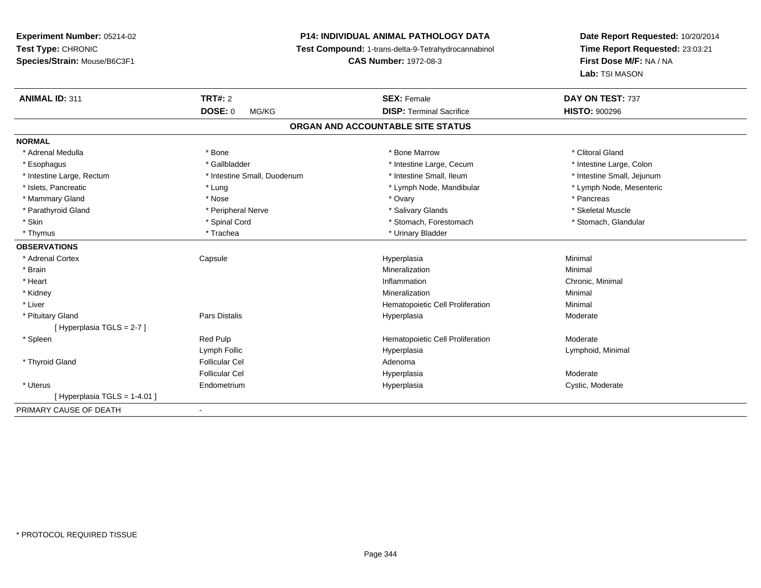# **P14: INDIVIDUAL ANIMAL PATHOLOGY DATA**

**Test Compound:** 1-trans-delta-9-Tetrahydrocannabinol

**CAS Number:** 1972-08-3

| <b>ANIMAL ID: 311</b>       | <b>TRT#: 2</b>              | <b>SEX: Female</b>                | DAY ON TEST: 737           |
|-----------------------------|-----------------------------|-----------------------------------|----------------------------|
|                             | <b>DOSE: 0</b><br>MG/KG     | <b>DISP: Terminal Sacrifice</b>   | <b>HISTO: 900296</b>       |
|                             |                             | ORGAN AND ACCOUNTABLE SITE STATUS |                            |
| <b>NORMAL</b>               |                             |                                   |                            |
| * Adrenal Medulla           | * Bone                      | * Bone Marrow                     | * Clitoral Gland           |
| * Esophagus                 | * Gallbladder               | * Intestine Large, Cecum          | * Intestine Large, Colon   |
| * Intestine Large, Rectum   | * Intestine Small, Duodenum | * Intestine Small, Ileum          | * Intestine Small, Jejunum |
| * Islets, Pancreatic        | * Lung                      | * Lymph Node, Mandibular          | * Lymph Node, Mesenteric   |
| * Mammary Gland             | * Nose                      | * Ovary                           | * Pancreas                 |
| * Parathyroid Gland         | * Peripheral Nerve          | * Salivary Glands                 | * Skeletal Muscle          |
| * Skin                      | * Spinal Cord               | * Stomach, Forestomach            | * Stomach, Glandular       |
| * Thymus                    | * Trachea                   | * Urinary Bladder                 |                            |
| <b>OBSERVATIONS</b>         |                             |                                   |                            |
| * Adrenal Cortex            | Capsule                     | Hyperplasia                       | Minimal                    |
| * Brain                     |                             | Mineralization                    | Minimal                    |
| * Heart                     |                             | Inflammation                      | Chronic, Minimal           |
| * Kidney                    |                             | Mineralization                    | Minimal                    |
| * Liver                     |                             | Hematopoietic Cell Proliferation  | Minimal                    |
| * Pituitary Gland           | <b>Pars Distalis</b>        | Hyperplasia                       | Moderate                   |
| [Hyperplasia TGLS = 2-7]    |                             |                                   |                            |
| * Spleen                    | Red Pulp                    | Hematopoietic Cell Proliferation  | Moderate                   |
|                             | Lymph Follic                | Hyperplasia                       | Lymphoid, Minimal          |
| * Thyroid Gland             | <b>Follicular Cel</b>       | Adenoma                           |                            |
|                             | Follicular Cel              | Hyperplasia                       | Moderate                   |
| * Uterus                    | Endometrium                 | Hyperplasia                       | Cystic, Moderate           |
| [Hyperplasia TGLS = 1-4.01] |                             |                                   |                            |
| PRIMARY CAUSE OF DEATH      |                             |                                   |                            |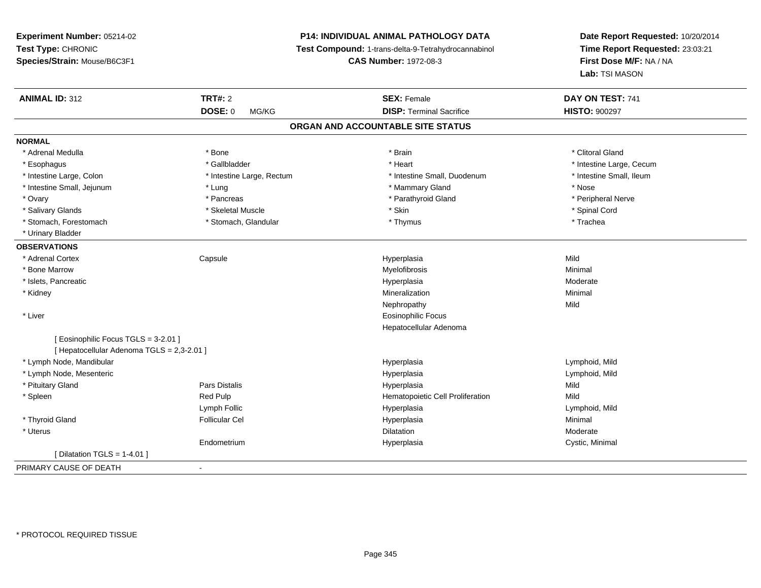**Experiment Number:** 05214-02**Test Type:** CHRONIC **Species/Strain:** Mouse/B6C3F1**P14: INDIVIDUAL ANIMAL PATHOLOGY DATA Test Compound:** 1-trans-delta-9-Tetrahydrocannabinol **CAS Number:** 1972-08-3**Date Report Requested:** 10/20/2014**Time Report Requested:** 23:03:21**First Dose M/F:** NA / NA**Lab:** TSI MASON**ANIMAL ID:** 312 **TRT#:** <sup>2</sup> **SEX:** Female **DAY ON TEST:** <sup>741</sup> **DOSE:** 0 MG/KG **DISP:** Terminal Sacrifice **HISTO:** <sup>900297</sup> **ORGAN AND ACCOUNTABLE SITE STATUSNORMAL**\* Adrenal Medulla \* The state of the state of the state of the state of the state of the state of the state of the state of the state of the state of the state of the state of the state of the state of the state of the sta \* Esophagus \* https://www.fragustage.com/web/2019/heart \* Heart \* Heart \* Heart \* Intestine Large, Cecum \* Intestine Large, Cecum \* Sallbladder \* The state of the state of the state of the state of the state of the state o \* Intestine Small. Ileum \* Intestine Large, Colon \* Intestine Large, Rectum \* Intestine Small, Duodenum \* Intestine Small, Duodenum \* Intestine Small, Jejunum \* The same \* Nose \* \* Lung \* Nose \* Mammary Gland \* Mammary Gland \* Nose \* Nose \* Nose \* Peripheral Nerve \* Ovary \* And the second of the second of the second version of the second version of the second version of the second version of the second version of the second version of the second version of the second version of the \* Salivary Glands \* \* Steeden \* \* Skeletal Muscle \* \* Skin \* \* Skin \* \* Steeden \* Spinal Cord \* Spinal Cord \* Spinal Cord \* Spinal Cord \* Spinal Cord \* Spinal Cord \* Spinal Cord \* Spinal Cord \* Spinal Cord \* Spinal Cord \* \* Stomach, Forestomach \* Trachea \* Stomach, Glandular \* Thymus \* Thymus \* Trachea \* Trachea \* Urinary Bladder**OBSERVATIONS** \* Adrenal Cortex Capsule Hyperplasia Mild \* Bone Marroww which is a controller to the Myelofibrosis and the Minimal method of the Minimal method of the Minimal method of the Minimal method of the Minimal method of the Minimal method of the Minimal method of the Minimal method \* Islets, Pancreaticc description of the control of the control of the control of the control of the control of the control of the control of the control of the control of the control of the control of the control of the control of the contro Moderate \* Kidneyy with the control of the control of the control of the control of the control of the control of the control of the control of the control of the control of the control of the control of the control of the control of the c n Minimal Nephropathyy Mild \* Liver Eosinophilic Focus Hepatocellular Adenoma[ Eosinophilic Focus TGLS = 3-2.01 ][ Hepatocellular Adenoma TGLS = 2,3-2.01 ] \* Lymph Node, Mandibular Hyperplasia Lymphoid, Mild \* Lymph Node, Mesentericc in the contract of the contract of the contract of the contract of the contract of the contract of the contract of the contract of the contract of the contract of the contract of the contract of the contract of the contr Lymphoid, Mild \* Pituitary Gland Pars Distalis Hyperplasia Mild \* SpleenRed Pulp **Mild Hematopoietic Cell Proliferation Mild** Lymph Follic Hyperplasia Lymphoid, Mild \* Thyroid Gland Follicular Cel Hyperplasia Minimal \* Uteruss and the contract of the contract of the contract of the contract of the contract of the contract of the contract of the contract of the contract of the contract of the contract of the contract of the contract of the cont Dilatation **Dividends** Moderate Endometriumm and the Hyperplasia Cystic, Minimal Cystic, Minimal [ Dilatation TGLS = 1-4.01 ]PRIMARY CAUSE OF DEATH-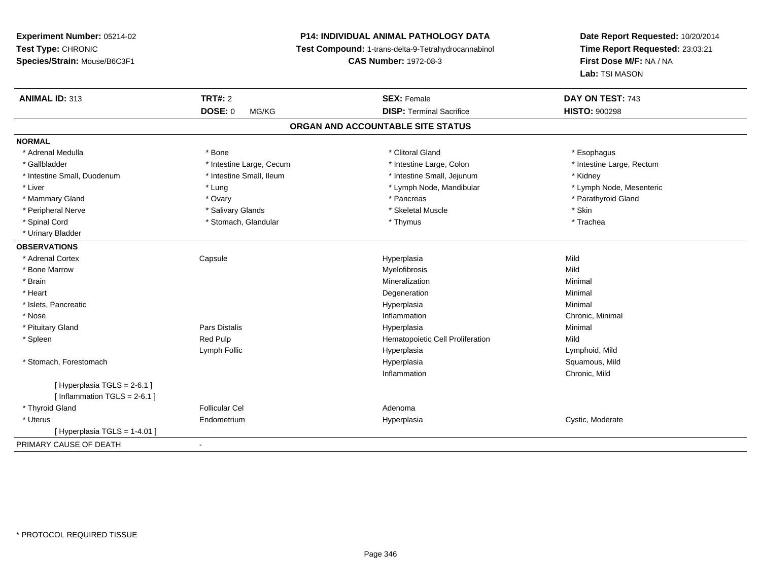**Experiment Number:** 05214-02**Test Type:** CHRONIC **Species/Strain:** Mouse/B6C3F1**P14: INDIVIDUAL ANIMAL PATHOLOGY DATA Test Compound:** 1-trans-delta-9-Tetrahydrocannabinol **CAS Number:** 1972-08-3**Date Report Requested:** 10/20/2014**Time Report Requested:** 23:03:21**First Dose M/F:** NA / NA**Lab:** TSI MASON**ANIMAL ID:** 313**TRT#:** 2 **SEX:** Female **DAY ON TEST:** 743 **DOSE:** 0 MG/KG**DISP:** Terminal Sacrifice **HISTO:**  $900298$ **ORGAN AND ACCOUNTABLE SITE STATUSNORMAL**\* Adrenal Medulla \* Adrenal Medulla \* Bone \* Clitoral Gland \* Esophagus\* Gallbladder \* Thestine Large, Cecum \* Intestine Large, Cecum \* Intestine Large, Colon \* Intestine Large, Rectum \* Intestine Small, Duodenum \* Intestine Small, Ileum \* Intestine Small, Jejunum \* Kidney\* Lymph Node, Mesenteric \* Liver \* Lung \* Lung \* Lung \* Lung \* Lymph Node, Mandibular \* Lymph Node, Mandibular \* Mammary Gland \* \* Andrew \* Ovary \* Andrew \* Ovary \* Pancreas \* Pancreas \* \* Pancreas \* \* Pancreas \* \* Pancreas \* \* Pancreas \* \* Pancreas \* \* Pancreas \* \* Pancreas \* \* Pancreas \* \* Pancreas \* \* Pancreas \* \* Pancreas \* \* P \* Peripheral Nerve \* Salivary Glands \* Skeletal Muscle \* Skin\* Trachea \* Spinal Cord \* Thymus \* Stomach, Glandular \* Thymus \* Thymus \* Thymus \* Thymus \* Thymus \* Thymus \* Thymus \* Thymus \* Thymus \* Thymus \* Thymus \* Thymus \* Thymus \* Thymus \* Thymus \* Thymus \* Thymus \* Thymus \* Thymus \* Thymu \* Urinary Bladder**OBSERVATIONS** \* Adrenal Cortex Capsule Hyperplasia Mild \* Bone Marroww which is a state of the Myelofibrosis and the Myelofibrosis and the Mild of the Mild of the Mild of the Mild of the Mild of the Mild of the Mild of the Mild of the Mild of the Mild of the Mild of the Mild of the Mild of \* Brainn and the controller of the controller of the Mineralization and the controller of the Minimal of the Minimal <br>The Minimal of the controller of the controller of the controller of the controller of the controller of the c \* Heart Degenerationn Minimal \* Islets, Pancreaticc description of the control of the control of the control of the control of the control of the control of the control of the control of the control of the control of the control of the control of the control of the contro a and a studies of the studies of the Minimal \* Nosee inflammation control of the control of the control of the control of the control of the control of the control of the control of the control of the control of the control of the control of the control of the control of t \* Pituitary Gland Pars Distalis Hyperplasia Minimal \* SpleenRed Pulp **Mild Hematopoietic Cell Proliferation** Mild Lymph Follic Hyperplasia Lymphoid, Mild \* Stomach, Forestomachh ann an t-ìre ann an t-ìre ann an t-ìre ann an t-ìre ann an t-ìre ann an t-ìre ann an t-ìre ann an Squamous, Mild Inflammation Chronic, Mild [ Hyperplasia TGLS = 2-6.1 ] $[$  Inflammation TGLS = 2-6.1 ] \* Thyroid Glandd and the set of the Follicular Cel the set of the Second Adenomal Adenomal Second Second Second Second Second Second Second Second Second Second Second Second Second Second Second Second Second Second Second Second Second \* Uterus Endometrium Hyperplasia Cystic, Moderate  $[$  Hyperplasia TGLS = 1-4.01 ] PRIMARY CAUSE OF DEATH-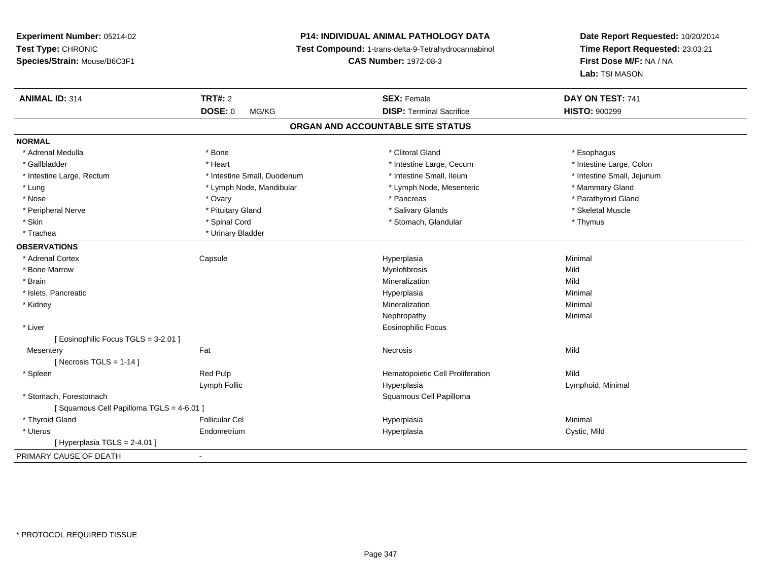# **P14: INDIVIDUAL ANIMAL PATHOLOGY DATA**

**Test Compound:** 1-trans-delta-9-Tetrahydrocannabinol

**CAS Number:** 1972-08-3

| <b>ANIMAL ID: 314</b>                   | <b>TRT#: 2</b>              | <b>SEX: Female</b>                | DAY ON TEST: 741           |
|-----------------------------------------|-----------------------------|-----------------------------------|----------------------------|
|                                         | <b>DOSE: 0</b><br>MG/KG     | <b>DISP: Terminal Sacrifice</b>   | <b>HISTO: 900299</b>       |
|                                         |                             | ORGAN AND ACCOUNTABLE SITE STATUS |                            |
| <b>NORMAL</b>                           |                             |                                   |                            |
| * Adrenal Medulla                       | * Bone                      | * Clitoral Gland                  | * Esophagus                |
| * Gallbladder                           | * Heart                     | * Intestine Large, Cecum          | * Intestine Large, Colon   |
| * Intestine Large, Rectum               | * Intestine Small, Duodenum | * Intestine Small, Ileum          | * Intestine Small, Jejunum |
| * Lung                                  | * Lymph Node, Mandibular    | * Lymph Node, Mesenteric          | * Mammary Gland            |
| * Nose                                  | * Ovary                     | * Pancreas                        | * Parathyroid Gland        |
| * Peripheral Nerve                      | * Pituitary Gland           | * Salivary Glands                 | * Skeletal Muscle          |
| * Skin                                  | * Spinal Cord               | * Stomach, Glandular              | * Thymus                   |
| * Trachea                               | * Urinary Bladder           |                                   |                            |
| <b>OBSERVATIONS</b>                     |                             |                                   |                            |
| * Adrenal Cortex                        | Capsule                     | Hyperplasia                       | Minimal                    |
| * Bone Marrow                           |                             | Myelofibrosis                     | Mild                       |
| * Brain                                 |                             | Mineralization                    | Mild                       |
| * Islets, Pancreatic                    |                             | Hyperplasia                       | Minimal                    |
| * Kidney                                |                             | Mineralization                    | Minimal                    |
|                                         |                             | Nephropathy                       | Minimal                    |
| * Liver                                 |                             | Eosinophilic Focus                |                            |
| [ Eosinophilic Focus TGLS = 3-2.01 ]    |                             |                                   |                            |
| Mesentery                               | Fat                         | Necrosis                          | Mild                       |
| [Necrosis TGLS = $1-14$ ]               |                             |                                   |                            |
| * Spleen                                | Red Pulp                    | Hematopoietic Cell Proliferation  | Mild                       |
|                                         | Lymph Follic                | Hyperplasia                       | Lymphoid, Minimal          |
| * Stomach, Forestomach                  |                             | Squamous Cell Papilloma           |                            |
| [Squamous Cell Papilloma TGLS = 4-6.01] |                             |                                   |                            |
| * Thyroid Gland                         | <b>Follicular Cel</b>       | Hyperplasia                       | Minimal                    |
| * Uterus                                | Endometrium                 | Hyperplasia                       | Cystic, Mild               |
| [ Hyperplasia TGLS = 2-4.01 ]           |                             |                                   |                            |
| PRIMARY CAUSE OF DEATH                  |                             |                                   |                            |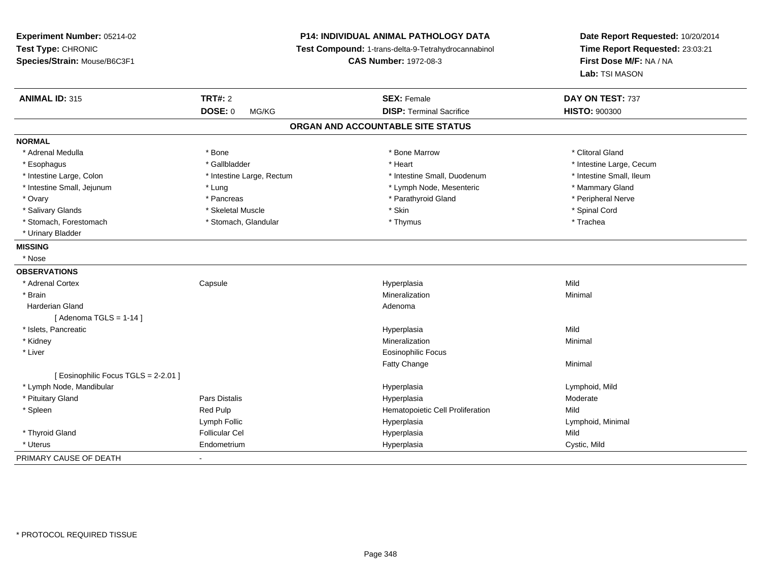| Experiment Number: 05214-02<br>Test Type: CHRONIC<br>Species/Strain: Mouse/B6C3F1 |                           | <b>P14: INDIVIDUAL ANIMAL PATHOLOGY DATA</b><br>Test Compound: 1-trans-delta-9-Tetrahydrocannabinol<br><b>CAS Number: 1972-08-3</b> | Date Report Requested: 10/20/2014<br>Time Report Requested: 23:03:21<br>First Dose M/F: NA / NA<br>Lab: TSI MASON |
|-----------------------------------------------------------------------------------|---------------------------|-------------------------------------------------------------------------------------------------------------------------------------|-------------------------------------------------------------------------------------------------------------------|
| <b>ANIMAL ID: 315</b>                                                             | <b>TRT#: 2</b>            | <b>SEX: Female</b>                                                                                                                  | DAY ON TEST: 737                                                                                                  |
|                                                                                   | DOSE: 0<br>MG/KG          | <b>DISP: Terminal Sacrifice</b>                                                                                                     | <b>HISTO: 900300</b>                                                                                              |
|                                                                                   |                           | ORGAN AND ACCOUNTABLE SITE STATUS                                                                                                   |                                                                                                                   |
| <b>NORMAL</b>                                                                     |                           |                                                                                                                                     |                                                                                                                   |
| * Adrenal Medulla                                                                 | * Bone                    | * Bone Marrow                                                                                                                       | * Clitoral Gland                                                                                                  |
| * Esophagus                                                                       | * Gallbladder             | * Heart                                                                                                                             | * Intestine Large, Cecum                                                                                          |
| * Intestine Large, Colon                                                          | * Intestine Large, Rectum | * Intestine Small, Duodenum                                                                                                         | * Intestine Small, Ileum                                                                                          |
| * Intestine Small, Jejunum                                                        | * Lung                    | * Lymph Node, Mesenteric                                                                                                            | * Mammary Gland                                                                                                   |
| * Ovary                                                                           | * Pancreas                | * Parathyroid Gland                                                                                                                 | * Peripheral Nerve                                                                                                |
| * Salivary Glands                                                                 | * Skeletal Muscle         | * Skin                                                                                                                              | * Spinal Cord                                                                                                     |
| * Stomach, Forestomach                                                            | * Stomach, Glandular      | * Thymus                                                                                                                            | * Trachea                                                                                                         |
| * Urinary Bladder                                                                 |                           |                                                                                                                                     |                                                                                                                   |
| <b>MISSING</b>                                                                    |                           |                                                                                                                                     |                                                                                                                   |
| * Nose                                                                            |                           |                                                                                                                                     |                                                                                                                   |
| <b>OBSERVATIONS</b>                                                               |                           |                                                                                                                                     |                                                                                                                   |
| * Adrenal Cortex                                                                  | Capsule                   | Hyperplasia                                                                                                                         | Mild                                                                                                              |
| * Brain                                                                           |                           | Mineralization                                                                                                                      | Minimal                                                                                                           |
| <b>Harderian Gland</b>                                                            |                           | Adenoma                                                                                                                             |                                                                                                                   |
| [Adenoma TGLS = $1-14$ ]                                                          |                           |                                                                                                                                     |                                                                                                                   |
| * Islets, Pancreatic                                                              |                           | Hyperplasia                                                                                                                         | Mild                                                                                                              |
| * Kidney                                                                          |                           | Mineralization                                                                                                                      | Minimal                                                                                                           |
| * Liver                                                                           |                           | <b>Eosinophilic Focus</b>                                                                                                           |                                                                                                                   |
|                                                                                   |                           | Fatty Change                                                                                                                        | Minimal                                                                                                           |
| [ Eosinophilic Focus TGLS = 2-2.01 ]                                              |                           |                                                                                                                                     |                                                                                                                   |
| * Lymph Node, Mandibular                                                          |                           | Hyperplasia                                                                                                                         | Lymphoid, Mild                                                                                                    |
| * Pituitary Gland                                                                 | Pars Distalis             | Hyperplasia                                                                                                                         | Moderate                                                                                                          |
| * Spleen                                                                          | Red Pulp                  | Hematopoietic Cell Proliferation                                                                                                    | Mild                                                                                                              |
|                                                                                   | Lymph Follic              | Hyperplasia                                                                                                                         | Lymphoid, Minimal                                                                                                 |
| * Thyroid Gland                                                                   | <b>Follicular Cel</b>     | Hyperplasia                                                                                                                         | Mild                                                                                                              |
| * Uterus                                                                          | Endometrium               | Hyperplasia                                                                                                                         | Cystic, Mild                                                                                                      |
| PRIMARY CAUSE OF DEATH                                                            |                           |                                                                                                                                     |                                                                                                                   |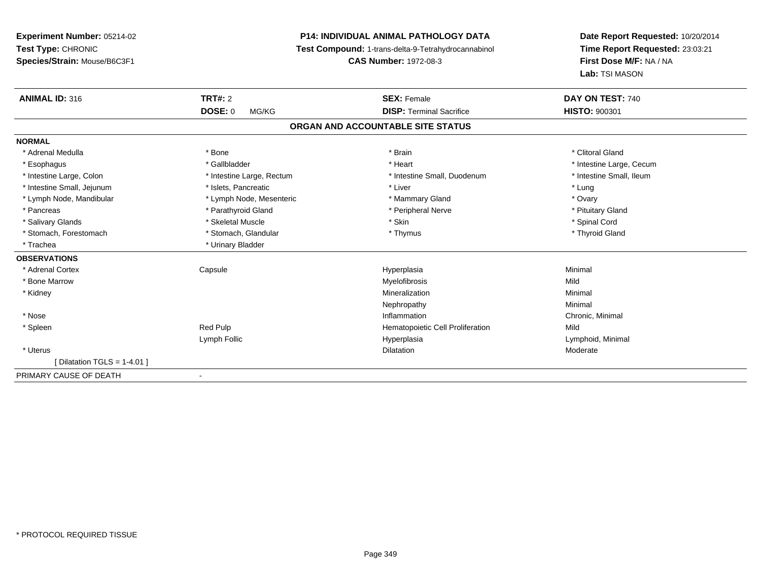**Experiment Number:** 05214-02**Test Type:** CHRONIC **Species/Strain:** Mouse/B6C3F1**P14: INDIVIDUAL ANIMAL PATHOLOGY DATA Test Compound:** 1-trans-delta-9-Tetrahydrocannabinol **CAS Number:** 1972-08-3**Date Report Requested:** 10/20/2014**Time Report Requested:** 23:03:21**First Dose M/F:** NA / NA**Lab:** TSI MASON**ANIMAL ID:** 316**TRT#:** 2 **SEX:** Female **DAY ON TEST:** 740 **DOSE:** 0 MG/KG**DISP:** Terminal Sacrifice **HISTO:**  $900301$ **ORGAN AND ACCOUNTABLE SITE STATUSNORMAL**\* Adrenal Medulla \* The state of the state of the state of the state of the state of the state of the state of the state of the state of the state of the state of the state of the state of the state of the state of the sta \* Esophagus \* https://www.fragustage.com/web/2019/heart \* Heart \* Heart \* Heart \* Intestine Large, Cecum \* Intestine Large, Cecum \* Sallbladder \* The state of the state of the state of the state of the state of the state o \* Intestine Small, Ileum \* Intestine Large, Colon \* Intestine Large, Rectum \* Intestine Small, Duodenum \* Intestine Small, Duodenum \* Intestine Small, Jejunum \* The matches of the state of the state of the state of the state of the state of the state of the state of the state of the state of the state of the state of the state of the state of the state \* Ovary \* Lymph Node, Mandibular \* Lymph Node, Mesenteric \* Mammary Gland \* Mammary Gland \* Pituitary Gland \* Pancreas \* Pancreas \* Parathyroid Gland \* Pancreas \* Peripheral Nerve \* Salivary Glands \* \* Steeden \* \* Skeletal Muscle \* \* Skin \* \* Skin \* \* Steeden \* Spinal Cord \* Spinal Cord \* Spinal Cord \* Spinal Cord \* Spinal Cord \* Spinal Cord \* Spinal Cord \* Spinal Cord \* Spinal Cord \* Spinal Cord \* \* Thyroid Gland \* Stomach, Forestomach \* Thymus \* Stomach, Glandular \* Thymus \* Thymus \* Thymus \* Thymus \* Thymus \* Thymus \* Thymus \* Thymus \* Thymus \* Thymus \* Thymus \* Thymus \* Thymus \* Thymus \* Thymus \* Thymus \* Thymus \* Thymus \* Thymu \* Trachea \* Urinary Bladder**OBSERVATIONS** \* Adrenal Cortex Capsulee and the Hyperplasia Minimal Minimal Service and the Hyperplasia Minimal Minimal Service and Minimal Service and Minimal Service and Minimal Service and Minimal Service and Minimal Service and Minimal Service and Minimal \* Bone Marroww which is a state of the Myelofibrosis and the Myelofibrosis and the Mild of the Mild of the Mild of the Mild of the Mild of the Mild of the Mild of the Mild of the Mild of the Mild of the Mild of the Mild of the Mild of \* Kidneyy with the control of the control of the control of the control of the control of the control of the control of the control of the control of the control of the control of the control of the control of the control of the c n Minimal Nephropathyy the contract of the Minimal Minimal Section 1996 and the contract of the Minimal Section 1997 and the contract of the contract of the contract of the contract of the contract of the contract of the contract of the contra \* Nosee inflammation control of the control of the control of the control of the control of the control of the control of the control of the control of the control of the control of the control of the control of the control of t \* SpleenRed Pulp **Mild Hematopoietic Cell Proliferation** Mild Lymph Follic Hyperplasia Lymphoid, Minimal \* Uteruss and the contract of the contract of the contract of the contract of the contract of the contract of the contract of the contract of the contract of the contract of the contract of the contract of the contract of the cont Dilatation **Dividends** Moderate [ Dilatation TGLS = 1-4.01 ]PRIMARY CAUSE OF DEATH-

\* PROTOCOL REQUIRED TISSUE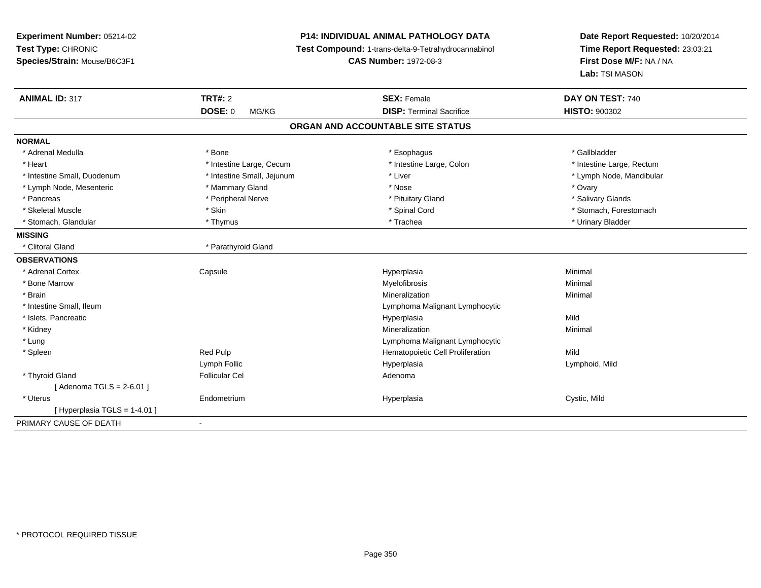| Experiment Number: 05214-02<br>Test Type: CHRONIC<br>Species/Strain: Mouse/B6C3F1 | P14: INDIVIDUAL ANIMAL PATHOLOGY DATA<br>Test Compound: 1-trans-delta-9-Tetrahydrocannabinol<br><b>CAS Number: 1972-08-3</b> |                                   | Date Report Requested: 10/20/2014<br>Time Report Requested: 23:03:21<br>First Dose M/F: NA / NA<br>Lab: TSI MASON |
|-----------------------------------------------------------------------------------|------------------------------------------------------------------------------------------------------------------------------|-----------------------------------|-------------------------------------------------------------------------------------------------------------------|
| <b>ANIMAL ID: 317</b>                                                             | <b>TRT#: 2</b>                                                                                                               | <b>SEX: Female</b>                | DAY ON TEST: 740                                                                                                  |
|                                                                                   | <b>DOSE: 0</b><br>MG/KG                                                                                                      | <b>DISP: Terminal Sacrifice</b>   | <b>HISTO: 900302</b>                                                                                              |
|                                                                                   |                                                                                                                              | ORGAN AND ACCOUNTABLE SITE STATUS |                                                                                                                   |
| <b>NORMAL</b>                                                                     |                                                                                                                              |                                   |                                                                                                                   |
| * Adrenal Medulla                                                                 | * Bone                                                                                                                       | * Esophagus                       | * Gallbladder                                                                                                     |
| * Heart                                                                           | * Intestine Large, Cecum                                                                                                     | * Intestine Large, Colon          | * Intestine Large, Rectum                                                                                         |
| * Intestine Small, Duodenum                                                       | * Intestine Small, Jejunum                                                                                                   | * Liver                           | * Lymph Node, Mandibular                                                                                          |
| * Lymph Node, Mesenteric                                                          | * Mammary Gland                                                                                                              | * Nose                            | * Ovary                                                                                                           |
| * Pancreas                                                                        | * Peripheral Nerve                                                                                                           | * Pituitary Gland                 | * Salivary Glands                                                                                                 |
| * Skeletal Muscle                                                                 | * Skin                                                                                                                       | * Spinal Cord                     | * Stomach, Forestomach                                                                                            |
| * Stomach, Glandular                                                              | * Thymus                                                                                                                     | * Trachea                         | * Urinary Bladder                                                                                                 |
| <b>MISSING</b>                                                                    |                                                                                                                              |                                   |                                                                                                                   |
| * Clitoral Gland                                                                  | * Parathyroid Gland                                                                                                          |                                   |                                                                                                                   |
| <b>OBSERVATIONS</b>                                                               |                                                                                                                              |                                   |                                                                                                                   |
| * Adrenal Cortex                                                                  | Capsule                                                                                                                      | Hyperplasia                       | Minimal                                                                                                           |
| * Bone Marrow                                                                     |                                                                                                                              | Myelofibrosis                     | Minimal                                                                                                           |
| * Brain                                                                           |                                                                                                                              | Mineralization                    | Minimal                                                                                                           |
| * Intestine Small, Ileum                                                          |                                                                                                                              | Lymphoma Malignant Lymphocytic    |                                                                                                                   |
| * Islets, Pancreatic                                                              |                                                                                                                              | Hyperplasia                       | Mild                                                                                                              |
| * Kidney                                                                          |                                                                                                                              | Mineralization                    | Minimal                                                                                                           |
| * Lung                                                                            |                                                                                                                              | Lymphoma Malignant Lymphocytic    |                                                                                                                   |
| * Spleen                                                                          | Red Pulp                                                                                                                     | Hematopoietic Cell Proliferation  | Mild                                                                                                              |
|                                                                                   | Lymph Follic                                                                                                                 | Hyperplasia                       | Lymphoid, Mild                                                                                                    |
| * Thyroid Gland                                                                   | <b>Follicular Cel</b>                                                                                                        | Adenoma                           |                                                                                                                   |
| [Adenoma TGLS = 2-6.01]                                                           |                                                                                                                              |                                   |                                                                                                                   |
| * Uterus                                                                          | Endometrium                                                                                                                  | Hyperplasia                       | Cystic, Mild                                                                                                      |
| [ Hyperplasia TGLS = 1-4.01 ]                                                     |                                                                                                                              |                                   |                                                                                                                   |
| PRIMARY CAUSE OF DEATH                                                            | $\blacksquare$                                                                                                               |                                   |                                                                                                                   |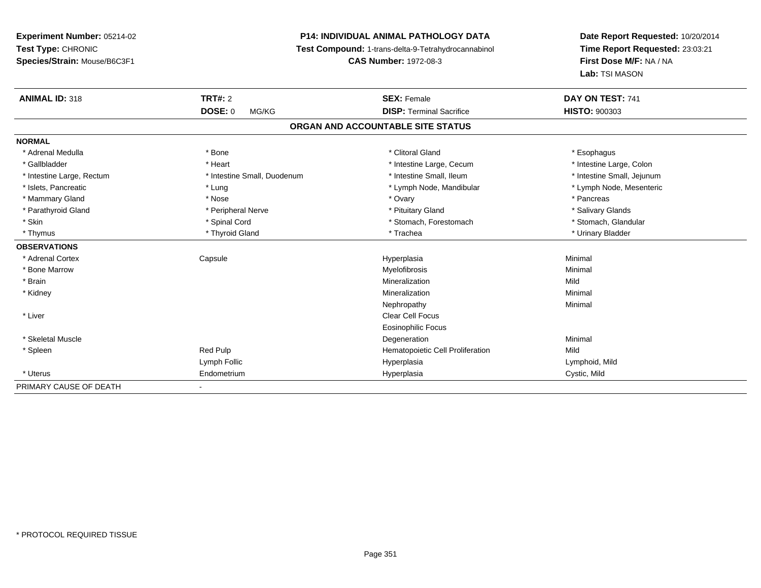# **P14: INDIVIDUAL ANIMAL PATHOLOGY DATA**

**Test Compound:** 1-trans-delta-9-Tetrahydrocannabinol

**CAS Number:** 1972-08-3

| <b>ANIMAL ID: 318</b>     | TRT#: 2                     | <b>SEX: Female</b>                | DAY ON TEST: 741           |
|---------------------------|-----------------------------|-----------------------------------|----------------------------|
|                           | <b>DOSE: 0</b><br>MG/KG     | <b>DISP: Terminal Sacrifice</b>   | <b>HISTO: 900303</b>       |
|                           |                             | ORGAN AND ACCOUNTABLE SITE STATUS |                            |
| <b>NORMAL</b>             |                             |                                   |                            |
| * Adrenal Medulla         | * Bone                      | * Clitoral Gland                  | * Esophagus                |
| * Gallbladder             | * Heart                     | * Intestine Large, Cecum          | * Intestine Large, Colon   |
| * Intestine Large, Rectum | * Intestine Small, Duodenum | * Intestine Small, Ileum          | * Intestine Small, Jejunum |
| * Islets, Pancreatic      | * Lung                      | * Lymph Node, Mandibular          | * Lymph Node, Mesenteric   |
| * Mammary Gland           | * Nose                      | * Ovary                           | * Pancreas                 |
| * Parathyroid Gland       | * Peripheral Nerve          | * Pituitary Gland                 | * Salivary Glands          |
| * Skin                    | * Spinal Cord               | * Stomach, Forestomach            | * Stomach, Glandular       |
| * Thymus                  | * Thyroid Gland             | * Trachea                         | * Urinary Bladder          |
| <b>OBSERVATIONS</b>       |                             |                                   |                            |
| * Adrenal Cortex          | Capsule                     | Hyperplasia                       | Minimal                    |
| * Bone Marrow             |                             | Myelofibrosis                     | Minimal                    |
| * Brain                   |                             | Mineralization                    | Mild                       |
| * Kidney                  |                             | Mineralization                    | Minimal                    |
|                           |                             | Nephropathy                       | Minimal                    |
| * Liver                   |                             | <b>Clear Cell Focus</b>           |                            |
|                           |                             | <b>Eosinophilic Focus</b>         |                            |
| * Skeletal Muscle         |                             | Degeneration                      | Minimal                    |
| * Spleen                  | Red Pulp                    | Hematopoietic Cell Proliferation  | Mild                       |
|                           | Lymph Follic                | Hyperplasia                       | Lymphoid, Mild             |
| * Uterus                  | Endometrium                 | Hyperplasia                       | Cystic, Mild               |
| PRIMARY CAUSE OF DEATH    |                             |                                   |                            |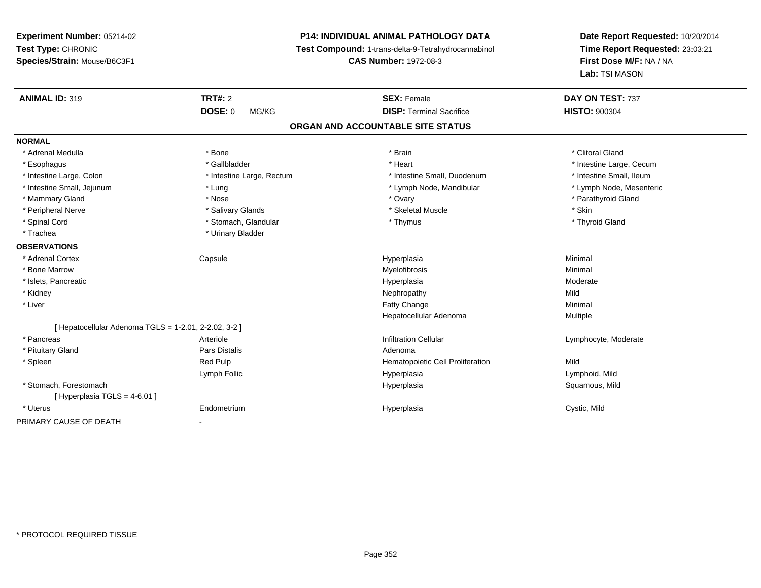**Experiment Number:** 05214-02**Test Type:** CHRONIC **Species/Strain:** Mouse/B6C3F1**P14: INDIVIDUAL ANIMAL PATHOLOGY DATA Test Compound:** 1-trans-delta-9-Tetrahydrocannabinol **CAS Number:** 1972-08-3**Date Report Requested:** 10/20/2014**Time Report Requested:** 23:03:21**First Dose M/F:** NA / NA**Lab:** TSI MASON**ANIMAL ID:** 319**TRT#:** 2 **SEX:** Female **DAY ON TEST:** 737 **DOSE:** 0 MG/KG **DISP:** Terminal Sacrifice **HISTO:** <sup>900304</sup> **ORGAN AND ACCOUNTABLE SITE STATUSNORMAL**\* Adrenal Medulla \* The state of the state of the state of the state of the state of the state of the state of the state of the state of the state of the state of the state of the state of the state of the state of the sta \* Esophagus \* https://www.fragustage.com/web/2019/heart \* Heart \* Heart \* Heart \* Intestine Large, Cecum \* Intestine Large, Cecum \* Sallbladder \* The state of the state of the state of the state of the state of the state o \* Intestine Small, Ileum \* Intestine Large, Colon \* Intestine Large, Rectum \* Intestine Small, Duodenum \* Intestine Small, Duodenum \* Lymph Node, Mesenteric \* Intestine Small, Jejunum \* The metal \* Lung \* Lymph Node, Mandibular \* Lymph Node, Mandibular \* Mammary Gland \* \* Nose \* \* Nose \* \* Ovary \* Ovary \* Ovary \* The material structure of the term of the term \* Parathyroid Gland \* Parathyroid Gland \* Parathyroid Gland \* Nose \* \* Parathyroid Gland \* \* Parathyroid Gland \* \* Peripheral Nerve \* Salivary Glands \* Skeletal Muscle \* Skin\* Thyroid Gland \* Spinal Cord \* \* Stomach, Glandular \* \* \* Thymus \* \* Thymus \* \* Thymus \* Thyroid Gland \* Thyroid Gland \* \* Thyroid Gland \* \* Thyroid Gland \* \* Thyroid Gland \* \* Thyroid Gland \* \* Thyroid Gland \* \* \* \* \* \* \* \* \* \* \* \* \* \* \* Trachea \* Urinary Bladder**OBSERVATIONS** \* Adrenal Cortex Capsulee and the Hyperplasia Minimal Minimal Service and the Hyperplasia Minimal Minimal Service and Minimal Service and Minimal Service and Minimal Service and Minimal Service and Minimal Service and Minimal Service and Minimal \* Bone Marroww which is a controller to the Myelofibrosis and the Minimal method of the Minimal method of the Minimal method of the Minimal method of the Minimal method of the Minimal method of the Minimal method of the Minimal method \* Islets, Pancreaticc description of the control of the control of the control of the control of the control of the control of the control of the control of the control of the control of the control of the control of the control of the contro Moderate \* Kidneyy the control of the control of the control of the control of the control of the control of the control of the control of the control of the control of the control of the control of the control of the control of the contro Minimal \* Liver Fatty Changee Minimal Hepatocellular Adenoma Multiple [ Hepatocellular Adenoma TGLS = 1-2.01, 2-2.02, 3-2 ] \* Pancreass Arteriole Arteriole **Exercise Exercise Set and Transform Cellular** Cellular **Cellular** Cellular Cellular Cellular Cellular Cellular Cellular Cellular Cellular Cellular Cellular Cellular Cellular Cellular Cellular Cellular Cellular C \* Pituitary Glandd and the contract of Pars Distalis and the contract of Adenoma and Adenoma and the Adenoma and the Adenoma and  $\lambda$  \* SpleenRed Pulp **Mild Hematopoietic Cell Proliferation Mild** Lymph Follic Hyperplasia Lymphoid, Mild \* Stomach, Forestomachh ann an t-ìre ann an t-ìre ann an t-ìre ann an t-ìre ann an t-ìre ann an t-ìre ann an t-ìre ann an Squamous, Mild  $[$  Hyperplasia TGLS = 4-6.01 ] \* Uterus Endometrium Hyperplasia Cystic, Mild PRIMARY CAUSE OF DEATH-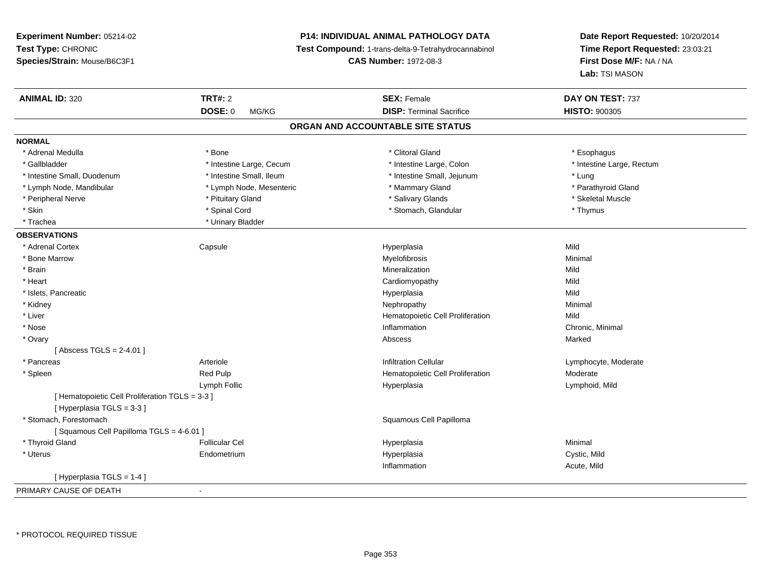**Experiment Number:** 05214-02**Test Type:** CHRONIC **Species/Strain:** Mouse/B6C3F1**P14: INDIVIDUAL ANIMAL PATHOLOGY DATA Test Compound:** 1-trans-delta-9-Tetrahydrocannabinol **CAS Number:** 1972-08-3**Date Report Requested:** 10/20/2014**Time Report Requested:** 23:03:21**First Dose M/F:** NA / NA**Lab:** TSI MASON**ANIMAL ID:** 320**CONSEX:** Female **DAY ON TEST:** 737 **DOSE:** 0 MG/KG**DISP:** Terminal Sacrifice **HISTO:**  $900305$ **ORGAN AND ACCOUNTABLE SITE STATUSNORMAL**\* Adrenal Medulla \* Adrenal Medulla \* Bone \* Clitoral Gland \* Esophagus\* Gallbladder \* Thestine Large, Cecum \* Intestine Large, Cecum \* Intestine Large, Colon \* Intestine Large, Rectum \* Intestine Small, Duodenum \* Intestine Small, Ileum \* Intestine Small, Jejunum \* Lung\* Parathyroid Gland \* Lymph Node, Mandibular \* Lymph Node, Mesenteric \* Mammary Gland \* Mammary Gland \* Peripheral Nerve \* \* \* Aliundration of the term of the state of the term of the state of the state of the state of the state of the state of the state of the state of the state of the state of the state of the state of t \* Skin \* Spinal Cord \* Spinal Cord \* Stomach, Glandular \* Thymus \* Thymus \* Trachea **\*** Urinary Bladder **OBSERVATIONS** \* Adrenal Cortex Capsule Hyperplasia Mild \* Bone Marroww which is a controller to the Myelofibrosis and the Minimal method of the Minimal method of the Minimal method of the Minimal method of the Minimal method of the Minimal method of the Minimal method of the Minimal method \* Brainn and the control of the control of the control of the Mineralization and the control of the Mild of the Mild o \* Heart Cardiomyopathyy Mild Mild \* Islets, Pancreaticc description of the control of the control of the control of the control of the control of the control of the control of the control of the control of the control of the control of the control of the control of the contro a Mild \* Kidneyy the control of the control of the control of the control of the control of the control of the control of the control of the control of the control of the control of the control of the control of the control of the contro \* Liver Hematopoietic Cell Proliferationn Mild \* Nosee inflammation control of the control of the control of the control of the control of the control of the control of the control of the control of the control of the control of the control of the control of the control of t \* Ovaryy the controller of the controller of the controller of the controller of the controller of the controller of the controller of the controller of the controller of the controller of the controller of the controller of the [ Abscess TGLS = 2-4.01 ] \* Pancreas ArterioleInfiltration Cellular **Lymphocyte**, Moderate \* SpleenRed Pulp Moderate **Hematopoietic Cell Proliferation** Moderate Lymph Follic Hyperplasia Lymphoid, Mild [ Hematopoietic Cell Proliferation TGLS = 3-3 ][ Hyperplasia TGLS = 3-3 ] \* Stomach, Forestomach Squamous Cell Papilloma [ Squamous Cell Papilloma TGLS = 4-6.01 ] \* Thyroid Gland Follicular Cel Hyperplasia Minimal \* Uterus Endometrium Hyperplasia Cystic, Mild Inflammation Acute, Mild [ Hyperplasia TGLS = 1-4 ]PRIMARY CAUSE OF DEATH-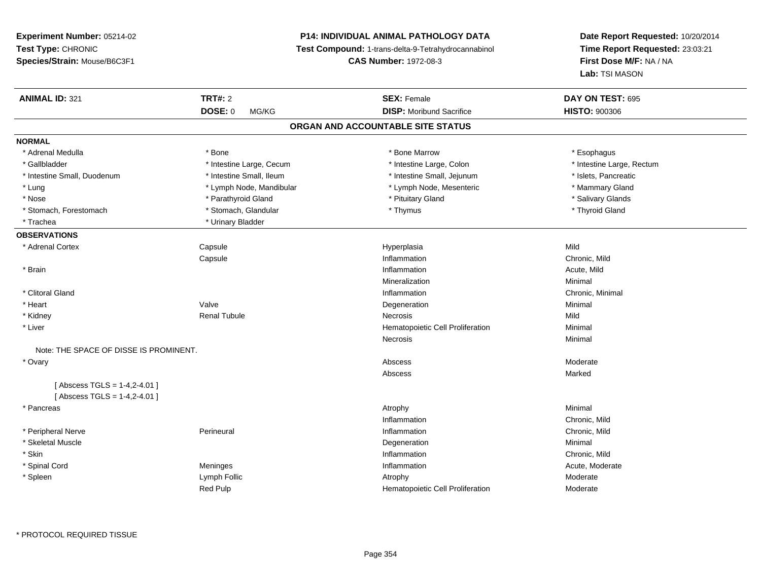# **P14: INDIVIDUAL ANIMAL PATHOLOGY DATA**

**Test Compound:** 1-trans-delta-9-Tetrahydrocannabinol

**CAS Number:** 1972-08-3

| <b>ANIMAL ID: 321</b>                  | <b>TRT#: 2</b><br><b>DOSE: 0</b><br>MG/KG | <b>SEX: Female</b><br><b>DISP:</b> Moribund Sacrifice | DAY ON TEST: 695<br><b>HISTO: 900306</b> |  |
|----------------------------------------|-------------------------------------------|-------------------------------------------------------|------------------------------------------|--|
|                                        |                                           | ORGAN AND ACCOUNTABLE SITE STATUS                     |                                          |  |
| <b>NORMAL</b>                          |                                           |                                                       |                                          |  |
| * Adrenal Medulla                      | * Bone                                    | * Bone Marrow                                         | * Esophagus                              |  |
| * Gallbladder                          | * Intestine Large, Cecum                  | * Intestine Large, Colon                              | * Intestine Large, Rectum                |  |
| * Intestine Small, Duodenum            | * Intestine Small, Ileum                  | * Intestine Small, Jejunum                            | * Islets, Pancreatic                     |  |
|                                        | * Lymph Node, Mandibular                  | * Lymph Node, Mesenteric                              | * Mammary Gland                          |  |
| $^{\star}$ Lung                        |                                           |                                                       |                                          |  |
| * Nose                                 | * Parathyroid Gland                       | * Pituitary Gland                                     | * Salivary Glands                        |  |
| * Stomach, Forestomach                 | * Stomach, Glandular                      | * Thymus                                              | * Thyroid Gland                          |  |
| * Trachea                              | * Urinary Bladder                         |                                                       |                                          |  |
| <b>OBSERVATIONS</b>                    |                                           |                                                       |                                          |  |
| * Adrenal Cortex                       | Capsule                                   | Hyperplasia                                           | Mild                                     |  |
|                                        | Capsule                                   | Inflammation                                          | Chronic, Mild                            |  |
| * Brain                                |                                           | Inflammation                                          | Acute, Mild                              |  |
|                                        |                                           | Mineralization                                        | Minimal                                  |  |
| * Clitoral Gland                       |                                           | Inflammation                                          | Chronic, Minimal                         |  |
| * Heart                                | Valve                                     | Degeneration                                          | Minimal                                  |  |
| * Kidney                               | <b>Renal Tubule</b>                       | Necrosis                                              | Mild                                     |  |
| * Liver                                |                                           | Hematopoietic Cell Proliferation                      | Minimal                                  |  |
|                                        |                                           | Necrosis                                              | Minimal                                  |  |
| Note: THE SPACE OF DISSE IS PROMINENT. |                                           |                                                       |                                          |  |
| * Ovary                                |                                           | Abscess                                               | Moderate                                 |  |
|                                        |                                           | Abscess                                               | Marked                                   |  |
| [Abscess TGLS = $1-4,2-4.01$ ]         |                                           |                                                       |                                          |  |
| [Abscess TGLS = $1-4,2-4.01$ ]         |                                           |                                                       |                                          |  |
| * Pancreas                             |                                           | Atrophy                                               | Minimal                                  |  |
|                                        |                                           | Inflammation                                          | Chronic, Mild                            |  |
| * Peripheral Nerve                     | Perineural                                | Inflammation                                          | Chronic, Mild                            |  |
| * Skeletal Muscle                      |                                           | Degeneration                                          | Minimal                                  |  |
| * Skin                                 |                                           | Inflammation                                          | Chronic, Mild                            |  |
| * Spinal Cord                          | Meninges                                  | Inflammation                                          | Acute, Moderate                          |  |
| * Spleen                               | Lymph Follic                              | Atrophy                                               | Moderate                                 |  |
|                                        | <b>Red Pulp</b>                           | Hematopoietic Cell Proliferation                      | Moderate                                 |  |
|                                        |                                           |                                                       |                                          |  |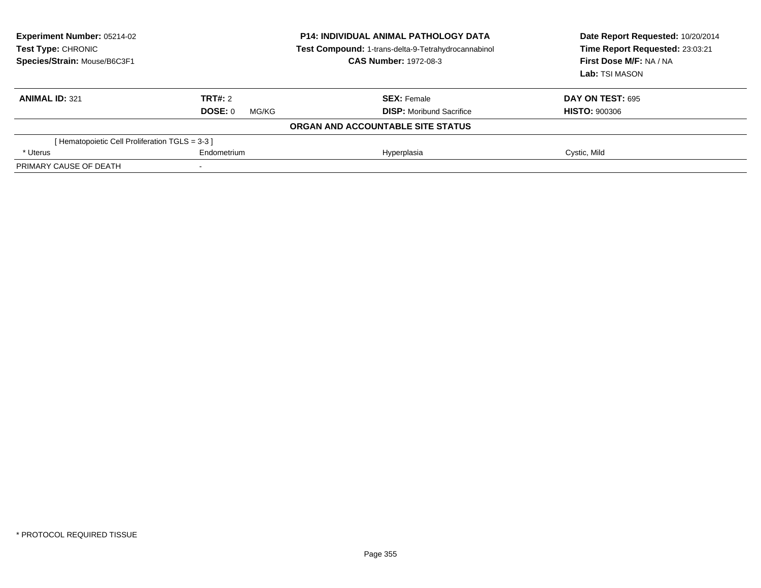| <b>Experiment Number: 05214-02</b><br>Test Type: CHRONIC<br>Species/Strain: Mouse/B6C3F1 | <b>P14: INDIVIDUAL ANIMAL PATHOLOGY DATA</b><br>Test Compound: 1-trans-delta-9-Tetrahydrocannabinol<br><b>CAS Number: 1972-08-3</b> |                                   | Date Report Requested: 10/20/2014<br>Time Report Requested: 23:03:21<br>First Dose M/F: NA / NA<br>Lab: TSI MASON |  |
|------------------------------------------------------------------------------------------|-------------------------------------------------------------------------------------------------------------------------------------|-----------------------------------|-------------------------------------------------------------------------------------------------------------------|--|
| <b>ANIMAL ID: 321</b>                                                                    | TRT#: 2                                                                                                                             | <b>SEX: Female</b>                | <b>DAY ON TEST: 695</b>                                                                                           |  |
|                                                                                          | DOSE: 0<br>MG/KG                                                                                                                    | <b>DISP:</b> Moribund Sacrifice   | <b>HISTO: 900306</b>                                                                                              |  |
|                                                                                          |                                                                                                                                     | ORGAN AND ACCOUNTABLE SITE STATUS |                                                                                                                   |  |
| [Hematopoietic Cell Proliferation TGLS = 3-3 ]                                           |                                                                                                                                     |                                   |                                                                                                                   |  |
| * Uterus                                                                                 | Endometrium                                                                                                                         | Hyperplasia                       | Cystic, Mild                                                                                                      |  |
| PRIMARY CAUSE OF DEATH                                                                   | -                                                                                                                                   |                                   |                                                                                                                   |  |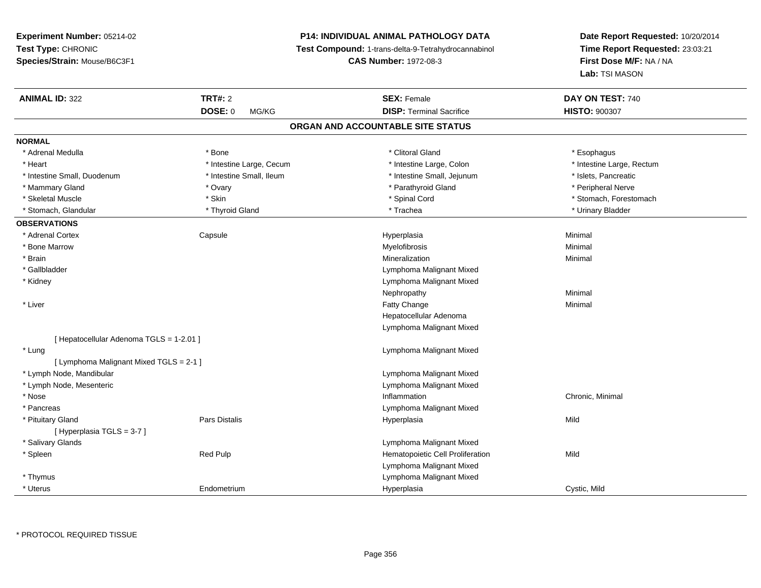# **P14: INDIVIDUAL ANIMAL PATHOLOGY DATA**

**Test Compound:** 1-trans-delta-9-Tetrahydrocannabinol

**CAS Number:** 1972-08-3

| <b>ANIMAL ID: 322</b>                    | <b>TRT#: 2</b>           | <b>SEX: Female</b>                | DAY ON TEST: 740          |  |
|------------------------------------------|--------------------------|-----------------------------------|---------------------------|--|
|                                          | <b>DOSE: 0</b><br>MG/KG  | <b>DISP: Terminal Sacrifice</b>   | <b>HISTO: 900307</b>      |  |
|                                          |                          | ORGAN AND ACCOUNTABLE SITE STATUS |                           |  |
| <b>NORMAL</b>                            |                          |                                   |                           |  |
| * Adrenal Medulla                        | * Bone                   | * Clitoral Gland                  | * Esophagus               |  |
| * Heart                                  | * Intestine Large, Cecum | * Intestine Large, Colon          | * Intestine Large, Rectum |  |
| * Intestine Small, Duodenum              | * Intestine Small, Ileum | * Intestine Small, Jejunum        | * Islets, Pancreatic      |  |
| * Mammary Gland                          | * Ovary                  | * Parathyroid Gland               | * Peripheral Nerve        |  |
| * Skeletal Muscle                        | * Skin                   | * Spinal Cord                     | * Stomach, Forestomach    |  |
| * Stomach, Glandular                     | * Thyroid Gland          | * Trachea                         | * Urinary Bladder         |  |
| <b>OBSERVATIONS</b>                      |                          |                                   |                           |  |
| * Adrenal Cortex                         | Capsule                  | Hyperplasia                       | Minimal                   |  |
| * Bone Marrow                            |                          | Myelofibrosis                     | Minimal                   |  |
| * Brain                                  |                          | Mineralization                    | Minimal                   |  |
| * Gallbladder                            |                          | Lymphoma Malignant Mixed          |                           |  |
| * Kidney                                 |                          | Lymphoma Malignant Mixed          |                           |  |
|                                          |                          | Nephropathy                       | Minimal                   |  |
| * Liver                                  |                          | <b>Fatty Change</b>               | Minimal                   |  |
|                                          |                          | Hepatocellular Adenoma            |                           |  |
|                                          |                          | Lymphoma Malignant Mixed          |                           |  |
| [ Hepatocellular Adenoma TGLS = 1-2.01 ] |                          |                                   |                           |  |
| * Lung                                   |                          | Lymphoma Malignant Mixed          |                           |  |
| [ Lymphoma Malignant Mixed TGLS = 2-1 ]  |                          |                                   |                           |  |
| * Lymph Node, Mandibular                 |                          | Lymphoma Malignant Mixed          |                           |  |
| * Lymph Node, Mesenteric                 |                          | Lymphoma Malignant Mixed          |                           |  |
| * Nose                                   |                          | Inflammation                      | Chronic, Minimal          |  |
| * Pancreas                               |                          | Lymphoma Malignant Mixed          |                           |  |
| * Pituitary Gland                        | Pars Distalis            | Hyperplasia                       | Mild                      |  |
| [Hyperplasia TGLS = $3-7$ ]              |                          |                                   |                           |  |
| * Salivary Glands                        |                          | Lymphoma Malignant Mixed          |                           |  |
| * Spleen                                 | Red Pulp                 | Hematopoietic Cell Proliferation  | Mild                      |  |
|                                          |                          | Lymphoma Malignant Mixed          |                           |  |
| * Thymus                                 |                          | Lymphoma Malignant Mixed          |                           |  |
| * Uterus                                 | Endometrium              | Hyperplasia                       | Cystic, Mild              |  |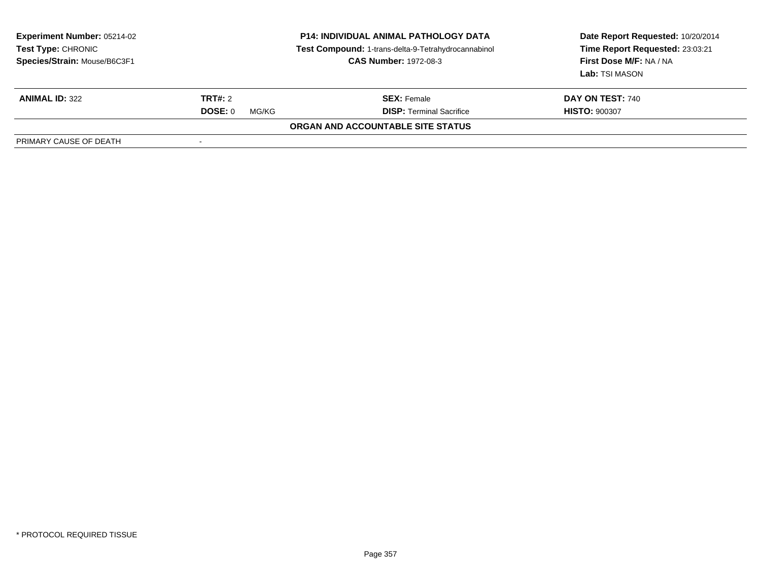| <b>Experiment Number: 05214-02</b><br>Test Type: CHRONIC<br>Species/Strain: Mouse/B6C3F1 |                  | <b>P14: INDIVIDUAL ANIMAL PATHOLOGY DATA</b><br>Test Compound: 1-trans-delta-9-Tetrahydrocannabinol<br><b>CAS Number: 1972-08-3</b> | Date Report Requested: 10/20/2014<br>Time Report Requested: 23:03:21<br>First Dose M/F: NA / NA<br>Lab: TSI MASON |
|------------------------------------------------------------------------------------------|------------------|-------------------------------------------------------------------------------------------------------------------------------------|-------------------------------------------------------------------------------------------------------------------|
| <b>ANIMAL ID: 322</b>                                                                    | <b>TRT#: 2</b>   | <b>SEX: Female</b>                                                                                                                  | <b>DAY ON TEST: 740</b>                                                                                           |
|                                                                                          | DOSE: 0<br>MG/KG | <b>DISP: Terminal Sacrifice</b>                                                                                                     | <b>HISTO: 900307</b>                                                                                              |
|                                                                                          |                  | ORGAN AND ACCOUNTABLE SITE STATUS                                                                                                   |                                                                                                                   |
| PRIMARY CAUSE OF DEATH                                                                   |                  |                                                                                                                                     |                                                                                                                   |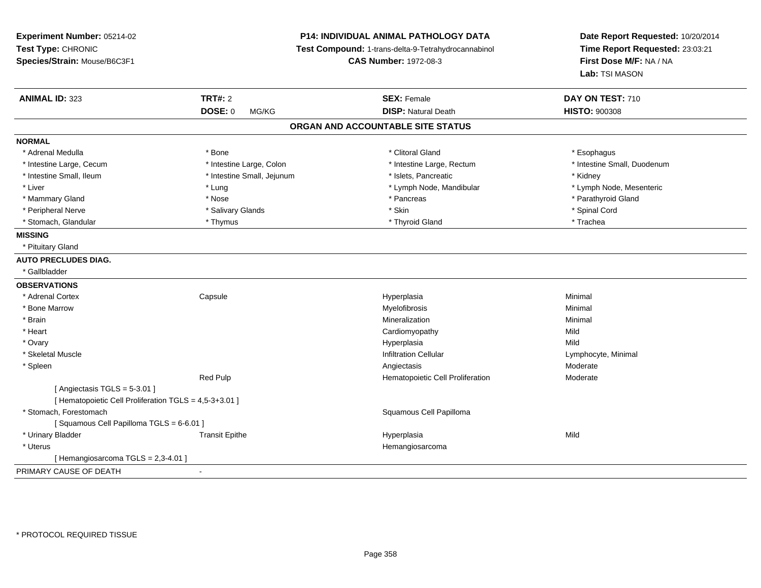| Experiment Number: 05214-02<br>Test Type: CHRONIC<br>Species/Strain: Mouse/B6C3F1     |                            | P14: INDIVIDUAL ANIMAL PATHOLOGY DATA<br>Test Compound: 1-trans-delta-9-Tetrahydrocannabinol<br><b>CAS Number: 1972-08-3</b> | Date Report Requested: 10/20/2014<br>Time Report Requested: 23:03:21<br>First Dose M/F: NA / NA<br>Lab: TSI MASON |
|---------------------------------------------------------------------------------------|----------------------------|------------------------------------------------------------------------------------------------------------------------------|-------------------------------------------------------------------------------------------------------------------|
| <b>ANIMAL ID: 323</b>                                                                 | <b>TRT#: 2</b>             | <b>SEX: Female</b>                                                                                                           | DAY ON TEST: 710                                                                                                  |
|                                                                                       | DOSE: 0<br>MG/KG           | <b>DISP: Natural Death</b>                                                                                                   | <b>HISTO: 900308</b>                                                                                              |
|                                                                                       |                            | ORGAN AND ACCOUNTABLE SITE STATUS                                                                                            |                                                                                                                   |
| <b>NORMAL</b>                                                                         |                            |                                                                                                                              |                                                                                                                   |
| * Adrenal Medulla                                                                     | * Bone                     | * Clitoral Gland                                                                                                             | * Esophagus                                                                                                       |
| * Intestine Large, Cecum                                                              | * Intestine Large, Colon   | * Intestine Large, Rectum                                                                                                    | * Intestine Small, Duodenum                                                                                       |
| * Intestine Small, Ileum                                                              | * Intestine Small, Jejunum | * Islets, Pancreatic                                                                                                         | * Kidney                                                                                                          |
| * Liver                                                                               | * Lung                     | * Lymph Node, Mandibular                                                                                                     | * Lymph Node, Mesenteric                                                                                          |
| * Mammary Gland                                                                       | * Nose                     | * Pancreas                                                                                                                   | * Parathyroid Gland                                                                                               |
| * Peripheral Nerve                                                                    | * Salivary Glands          | * Skin                                                                                                                       | * Spinal Cord                                                                                                     |
| * Stomach, Glandular                                                                  | * Thymus                   | * Thyroid Gland                                                                                                              | * Trachea                                                                                                         |
| <b>MISSING</b>                                                                        |                            |                                                                                                                              |                                                                                                                   |
| * Pituitary Gland                                                                     |                            |                                                                                                                              |                                                                                                                   |
| <b>AUTO PRECLUDES DIAG.</b>                                                           |                            |                                                                                                                              |                                                                                                                   |
| * Gallbladder                                                                         |                            |                                                                                                                              |                                                                                                                   |
| <b>OBSERVATIONS</b>                                                                   |                            |                                                                                                                              |                                                                                                                   |
| * Adrenal Cortex                                                                      | Capsule                    | Hyperplasia                                                                                                                  | Minimal                                                                                                           |
| * Bone Marrow                                                                         |                            | Myelofibrosis                                                                                                                | Minimal                                                                                                           |
| * Brain                                                                               |                            | Mineralization                                                                                                               | Minimal                                                                                                           |
| * Heart                                                                               |                            | Cardiomyopathy                                                                                                               | Mild                                                                                                              |
| * Ovary                                                                               |                            | Hyperplasia                                                                                                                  | Mild                                                                                                              |
| * Skeletal Muscle                                                                     |                            | <b>Infiltration Cellular</b>                                                                                                 | Lymphocyte, Minimal                                                                                               |
| * Spleen                                                                              |                            | Angiectasis                                                                                                                  | Moderate                                                                                                          |
| [Angiectasis TGLS = 5-3.01]<br>[ Hematopoietic Cell Proliferation TGLS = 4,5-3+3.01 ] | Red Pulp                   | Hematopoietic Cell Proliferation                                                                                             | Moderate                                                                                                          |
| * Stomach, Forestomach                                                                |                            | Squamous Cell Papilloma                                                                                                      |                                                                                                                   |
| [Squamous Cell Papilloma TGLS = 6-6.01]                                               |                            |                                                                                                                              |                                                                                                                   |
| * Urinary Bladder                                                                     | <b>Transit Epithe</b>      | Hyperplasia                                                                                                                  | Mild                                                                                                              |
| * Uterus                                                                              |                            | Hemangiosarcoma                                                                                                              |                                                                                                                   |
| [ Hemangiosarcoma TGLS = 2,3-4.01 ]                                                   |                            |                                                                                                                              |                                                                                                                   |
| PRIMARY CAUSE OF DEATH                                                                | $\blacksquare$             |                                                                                                                              |                                                                                                                   |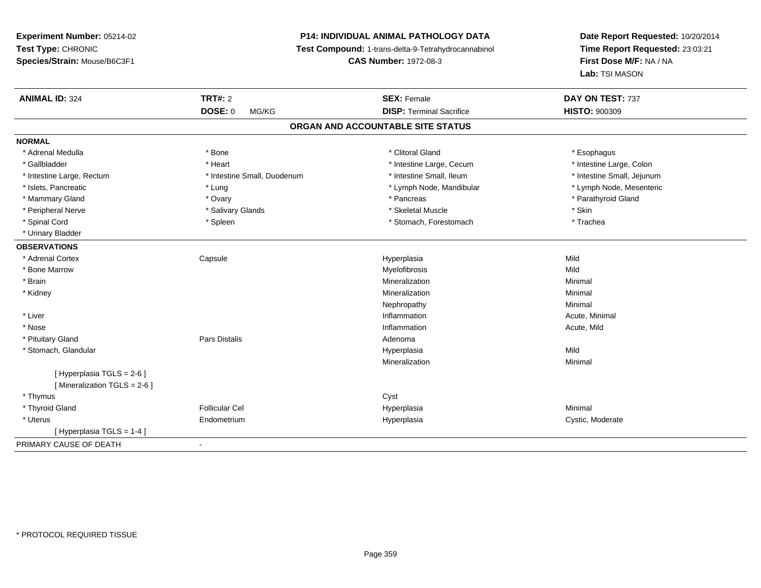# **P14: INDIVIDUAL ANIMAL PATHOLOGY DATA**

**Test Compound:** 1-trans-delta-9-Tetrahydrocannabinol

**CAS Number:** 1972-08-3

| <b>ANIMAL ID: 324</b>         | <b>TRT#: 2</b>              | <b>SEX: Female</b>                | DAY ON TEST: 737           |  |
|-------------------------------|-----------------------------|-----------------------------------|----------------------------|--|
|                               | DOSE: 0<br>MG/KG            | <b>DISP: Terminal Sacrifice</b>   | <b>HISTO: 900309</b>       |  |
|                               |                             | ORGAN AND ACCOUNTABLE SITE STATUS |                            |  |
| <b>NORMAL</b>                 |                             |                                   |                            |  |
| * Adrenal Medulla             | * Bone                      | * Clitoral Gland                  | * Esophagus                |  |
| * Gallbladder                 | * Heart                     | * Intestine Large, Cecum          | * Intestine Large, Colon   |  |
| * Intestine Large, Rectum     | * Intestine Small, Duodenum | * Intestine Small, Ileum          | * Intestine Small, Jejunum |  |
| * Islets, Pancreatic          | * Lung                      | * Lymph Node, Mandibular          | * Lymph Node, Mesenteric   |  |
| * Mammary Gland               | * Ovary                     | * Pancreas                        | * Parathyroid Gland        |  |
| * Peripheral Nerve            | * Salivary Glands           | * Skeletal Muscle                 | * Skin                     |  |
| * Spinal Cord                 | * Spleen                    | * Stomach, Forestomach            | * Trachea                  |  |
| * Urinary Bladder             |                             |                                   |                            |  |
| <b>OBSERVATIONS</b>           |                             |                                   |                            |  |
| * Adrenal Cortex              | Capsule                     | Hyperplasia                       | Mild                       |  |
| * Bone Marrow                 |                             | Myelofibrosis                     | Mild                       |  |
| * Brain                       |                             | Mineralization                    | Minimal                    |  |
| * Kidney                      |                             | Mineralization                    | Minimal                    |  |
|                               |                             | Nephropathy                       | Minimal                    |  |
| * Liver                       |                             | Inflammation                      | Acute, Minimal             |  |
| * Nose                        |                             | Inflammation                      | Acute, Mild                |  |
| * Pituitary Gland             | Pars Distalis               | Adenoma                           |                            |  |
| * Stomach, Glandular          |                             | Hyperplasia                       | Mild                       |  |
|                               |                             | Mineralization                    | Minimal                    |  |
| [ Hyperplasia TGLS = 2-6 ]    |                             |                                   |                            |  |
| [ Mineralization TGLS = 2-6 ] |                             |                                   |                            |  |
| * Thymus                      |                             | Cyst                              |                            |  |
| * Thyroid Gland               | <b>Follicular Cel</b>       | Hyperplasia                       | Minimal                    |  |
| * Uterus                      | Endometrium                 | Hyperplasia                       | Cystic, Moderate           |  |
| [Hyperplasia TGLS = 1-4]      |                             |                                   |                            |  |
| PRIMARY CAUSE OF DEATH        | $\blacksquare$              |                                   |                            |  |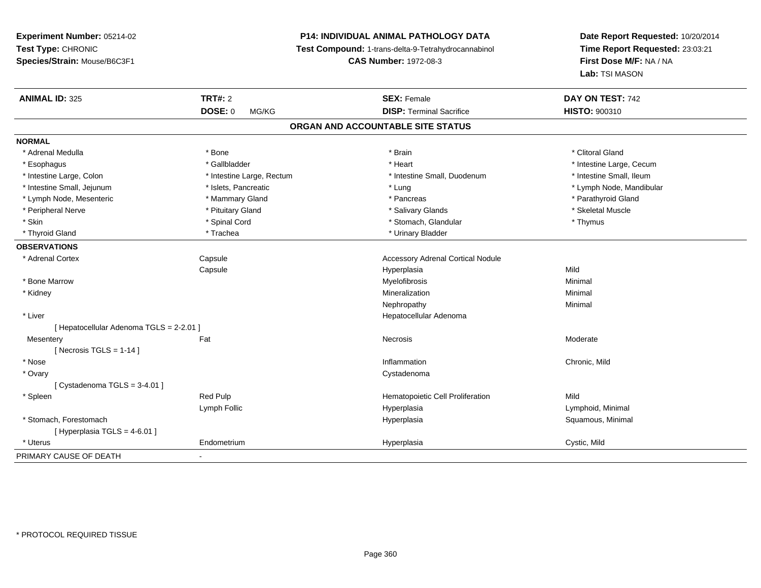# **P14: INDIVIDUAL ANIMAL PATHOLOGY DATA**

**Test Compound:** 1-trans-delta-9-Tetrahydrocannabinol

**CAS Number:** 1972-08-3

| <b>ANIMAL ID: 325</b>                    | <b>TRT#: 2</b>            | <b>SEX: Female</b>                       | DAY ON TEST: 742         |
|------------------------------------------|---------------------------|------------------------------------------|--------------------------|
|                                          | <b>DOSE: 0</b><br>MG/KG   | <b>DISP: Terminal Sacrifice</b>          | <b>HISTO: 900310</b>     |
|                                          |                           | ORGAN AND ACCOUNTABLE SITE STATUS        |                          |
| <b>NORMAL</b>                            |                           |                                          |                          |
| * Adrenal Medulla                        | * Bone                    | * Brain                                  | * Clitoral Gland         |
| * Esophagus                              | * Gallbladder             | * Heart                                  | * Intestine Large, Cecum |
| * Intestine Large, Colon                 | * Intestine Large, Rectum | * Intestine Small, Duodenum              | * Intestine Small, Ileum |
| * Intestine Small, Jejunum               | * Islets, Pancreatic      | * Lung                                   | * Lymph Node, Mandibular |
| * Lymph Node, Mesenteric                 | * Mammary Gland           | * Pancreas                               | * Parathyroid Gland      |
| * Peripheral Nerve                       | * Pituitary Gland         | * Salivary Glands                        | * Skeletal Muscle        |
| * Skin                                   | * Spinal Cord             | * Stomach, Glandular                     | * Thymus                 |
| * Thyroid Gland                          | * Trachea                 | * Urinary Bladder                        |                          |
| <b>OBSERVATIONS</b>                      |                           |                                          |                          |
| * Adrenal Cortex                         | Capsule                   | <b>Accessory Adrenal Cortical Nodule</b> |                          |
|                                          | Capsule                   | Hyperplasia                              | Mild                     |
| * Bone Marrow                            |                           | Myelofibrosis                            | Minimal                  |
| * Kidney                                 |                           | Mineralization                           | Minimal                  |
|                                          |                           | Nephropathy                              | Minimal                  |
| * Liver                                  |                           | Hepatocellular Adenoma                   |                          |
| [ Hepatocellular Adenoma TGLS = 2-2.01 ] |                           |                                          |                          |
| Mesentery                                | Fat                       | <b>Necrosis</b>                          | Moderate                 |
| [Necrosis TGLS = $1-14$ ]                |                           |                                          |                          |
| * Nose                                   |                           | Inflammation                             | Chronic, Mild            |
| * Ovary                                  |                           | Cystadenoma                              |                          |
| [Cystadenoma TGLS = 3-4.01]              |                           |                                          |                          |
| * Spleen                                 | Red Pulp                  | Hematopoietic Cell Proliferation         | Mild                     |
|                                          | Lymph Follic              | Hyperplasia                              | Lymphoid, Minimal        |
| * Stomach, Forestomach                   |                           | Hyperplasia                              | Squamous, Minimal        |
| [Hyperplasia TGLS = 4-6.01]              |                           |                                          |                          |
| * Uterus                                 | Endometrium               | Hyperplasia                              | Cystic, Mild             |
| PRIMARY CAUSE OF DEATH                   | $\blacksquare$            |                                          |                          |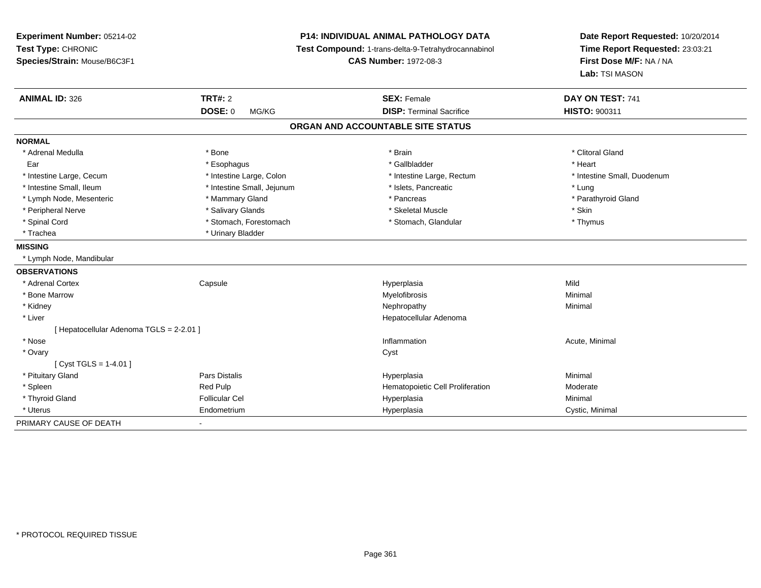| Experiment Number: 05214-02<br>Test Type: CHRONIC<br>Species/Strain: Mouse/B6C3F1 | P14: INDIVIDUAL ANIMAL PATHOLOGY DATA<br>Test Compound: 1-trans-delta-9-Tetrahydrocannabinol<br><b>CAS Number: 1972-08-3</b> |                                   | Date Report Requested: 10/20/2014<br>Time Report Requested: 23:03:21<br>First Dose M/F: NA / NA<br>Lab: TSI MASON |  |
|-----------------------------------------------------------------------------------|------------------------------------------------------------------------------------------------------------------------------|-----------------------------------|-------------------------------------------------------------------------------------------------------------------|--|
| <b>ANIMAL ID: 326</b>                                                             | <b>TRT#: 2</b>                                                                                                               | <b>SEX: Female</b>                | DAY ON TEST: 741                                                                                                  |  |
|                                                                                   | <b>DOSE: 0</b><br>MG/KG                                                                                                      | <b>DISP: Terminal Sacrifice</b>   | HISTO: 900311                                                                                                     |  |
|                                                                                   |                                                                                                                              | ORGAN AND ACCOUNTABLE SITE STATUS |                                                                                                                   |  |
| <b>NORMAL</b>                                                                     |                                                                                                                              |                                   |                                                                                                                   |  |
| * Adrenal Medulla                                                                 | * Bone                                                                                                                       | * Brain                           | * Clitoral Gland                                                                                                  |  |
| Ear                                                                               | * Esophagus                                                                                                                  | * Gallbladder                     | * Heart                                                                                                           |  |
| * Intestine Large, Cecum                                                          | * Intestine Large, Colon                                                                                                     | * Intestine Large, Rectum         | * Intestine Small, Duodenum                                                                                       |  |
| * Intestine Small, Ileum                                                          | * Intestine Small, Jejunum                                                                                                   | * Islets, Pancreatic              | * Lung                                                                                                            |  |
| * Lymph Node, Mesenteric                                                          | * Mammary Gland                                                                                                              | * Pancreas                        | * Parathyroid Gland                                                                                               |  |
| * Peripheral Nerve                                                                | * Salivary Glands                                                                                                            | * Skeletal Muscle                 | * Skin                                                                                                            |  |
| * Spinal Cord                                                                     | * Stomach, Forestomach                                                                                                       | * Stomach, Glandular              | * Thymus                                                                                                          |  |
| * Trachea                                                                         | * Urinary Bladder                                                                                                            |                                   |                                                                                                                   |  |
| <b>MISSING</b>                                                                    |                                                                                                                              |                                   |                                                                                                                   |  |
| * Lymph Node, Mandibular                                                          |                                                                                                                              |                                   |                                                                                                                   |  |
| <b>OBSERVATIONS</b>                                                               |                                                                                                                              |                                   |                                                                                                                   |  |
| * Adrenal Cortex                                                                  | Capsule                                                                                                                      | Hyperplasia                       | Mild                                                                                                              |  |
| * Bone Marrow                                                                     |                                                                                                                              | Myelofibrosis                     | Minimal                                                                                                           |  |
| * Kidney                                                                          |                                                                                                                              | Nephropathy                       | Minimal                                                                                                           |  |
| * Liver                                                                           |                                                                                                                              | Hepatocellular Adenoma            |                                                                                                                   |  |
| [ Hepatocellular Adenoma TGLS = 2-2.01 ]                                          |                                                                                                                              |                                   |                                                                                                                   |  |
| * Nose                                                                            |                                                                                                                              | Inflammation                      | Acute, Minimal                                                                                                    |  |
| * Ovary                                                                           |                                                                                                                              | Cyst                              |                                                                                                                   |  |
| [Cyst TGLS = $1-4.01$ ]                                                           |                                                                                                                              |                                   |                                                                                                                   |  |
| * Pituitary Gland                                                                 | <b>Pars Distalis</b>                                                                                                         | Hyperplasia                       | Minimal                                                                                                           |  |
| * Spleen                                                                          | Red Pulp                                                                                                                     | Hematopoietic Cell Proliferation  | Moderate                                                                                                          |  |
| * Thyroid Gland                                                                   | <b>Follicular Cel</b>                                                                                                        | Hyperplasia                       | Minimal                                                                                                           |  |
| * Uterus                                                                          | Endometrium                                                                                                                  | Hyperplasia                       | Cystic, Minimal                                                                                                   |  |
| PRIMARY CAUSE OF DEATH                                                            |                                                                                                                              |                                   |                                                                                                                   |  |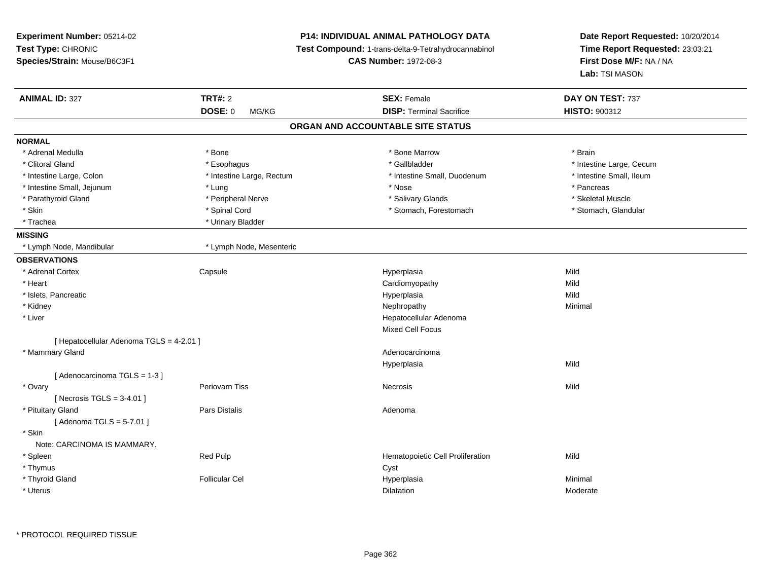| Experiment Number: 05214-02<br>Test Type: CHRONIC<br>Species/Strain: Mouse/B6C3F1 |                           | <b>P14: INDIVIDUAL ANIMAL PATHOLOGY DATA</b><br>Test Compound: 1-trans-delta-9-Tetrahydrocannabinol<br><b>CAS Number: 1972-08-3</b> | Date Report Requested: 10/20/2014<br>Time Report Requested: 23:03:21<br>First Dose M/F: NA / NA<br>Lab: TSI MASON |
|-----------------------------------------------------------------------------------|---------------------------|-------------------------------------------------------------------------------------------------------------------------------------|-------------------------------------------------------------------------------------------------------------------|
|                                                                                   |                           |                                                                                                                                     |                                                                                                                   |
| <b>ANIMAL ID: 327</b>                                                             | <b>TRT#: 2</b>            | <b>SEX: Female</b>                                                                                                                  | DAY ON TEST: 737                                                                                                  |
|                                                                                   | DOSE: 0<br>MG/KG          | <b>DISP: Terminal Sacrifice</b>                                                                                                     | HISTO: 900312                                                                                                     |
|                                                                                   |                           | ORGAN AND ACCOUNTABLE SITE STATUS                                                                                                   |                                                                                                                   |
| <b>NORMAL</b>                                                                     |                           |                                                                                                                                     |                                                                                                                   |
| * Adrenal Medulla                                                                 | * Bone                    | * Bone Marrow                                                                                                                       | * Brain                                                                                                           |
| * Clitoral Gland                                                                  | * Esophagus               | * Gallbladder                                                                                                                       | * Intestine Large, Cecum                                                                                          |
| * Intestine Large, Colon                                                          | * Intestine Large, Rectum | * Intestine Small, Duodenum                                                                                                         | * Intestine Small, Ileum                                                                                          |
| * Intestine Small, Jejunum                                                        | * Lung                    | * Nose                                                                                                                              | * Pancreas                                                                                                        |
| * Parathyroid Gland                                                               | * Peripheral Nerve        | * Salivary Glands                                                                                                                   | * Skeletal Muscle                                                                                                 |
| * Skin                                                                            | * Spinal Cord             | * Stomach, Forestomach                                                                                                              | * Stomach, Glandular                                                                                              |
| * Trachea                                                                         | * Urinary Bladder         |                                                                                                                                     |                                                                                                                   |
| <b>MISSING</b>                                                                    |                           |                                                                                                                                     |                                                                                                                   |
| * Lymph Node, Mandibular                                                          | * Lymph Node, Mesenteric  |                                                                                                                                     |                                                                                                                   |
| <b>OBSERVATIONS</b>                                                               |                           |                                                                                                                                     |                                                                                                                   |
| * Adrenal Cortex                                                                  | Capsule                   | Hyperplasia                                                                                                                         | Mild                                                                                                              |
| * Heart                                                                           |                           | Cardiomyopathy                                                                                                                      | Mild                                                                                                              |
| * Islets, Pancreatic                                                              |                           | Hyperplasia                                                                                                                         | Mild                                                                                                              |
| * Kidney                                                                          |                           | Nephropathy                                                                                                                         | Minimal                                                                                                           |
| * Liver                                                                           |                           | Hepatocellular Adenoma                                                                                                              |                                                                                                                   |
|                                                                                   |                           | <b>Mixed Cell Focus</b>                                                                                                             |                                                                                                                   |
| [ Hepatocellular Adenoma TGLS = 4-2.01 ]                                          |                           |                                                                                                                                     |                                                                                                                   |
| * Mammary Gland                                                                   |                           | Adenocarcinoma                                                                                                                      |                                                                                                                   |
|                                                                                   |                           | Hyperplasia                                                                                                                         | Mild                                                                                                              |
| [Adenocarcinoma TGLS = 1-3]                                                       |                           |                                                                                                                                     |                                                                                                                   |
| * Ovary                                                                           | Periovarn Tiss            | <b>Necrosis</b>                                                                                                                     | Mild                                                                                                              |
| [Necrosis TGLS = $3-4.01$ ]                                                       |                           |                                                                                                                                     |                                                                                                                   |
| * Pituitary Gland                                                                 | <b>Pars Distalis</b>      | Adenoma                                                                                                                             |                                                                                                                   |
| [Adenoma TGLS = $5-7.01$ ]                                                        |                           |                                                                                                                                     |                                                                                                                   |
| * Skin                                                                            |                           |                                                                                                                                     |                                                                                                                   |
| Note: CARCINOMA IS MAMMARY.                                                       |                           |                                                                                                                                     |                                                                                                                   |
| * Spleen                                                                          | Red Pulp                  | Hematopoietic Cell Proliferation                                                                                                    | Mild                                                                                                              |
| * Thymus                                                                          |                           | Cyst                                                                                                                                |                                                                                                                   |
| * Thyroid Gland                                                                   | <b>Follicular Cel</b>     | Hyperplasia                                                                                                                         | Minimal                                                                                                           |
| * Uterus                                                                          |                           | <b>Dilatation</b>                                                                                                                   | Moderate                                                                                                          |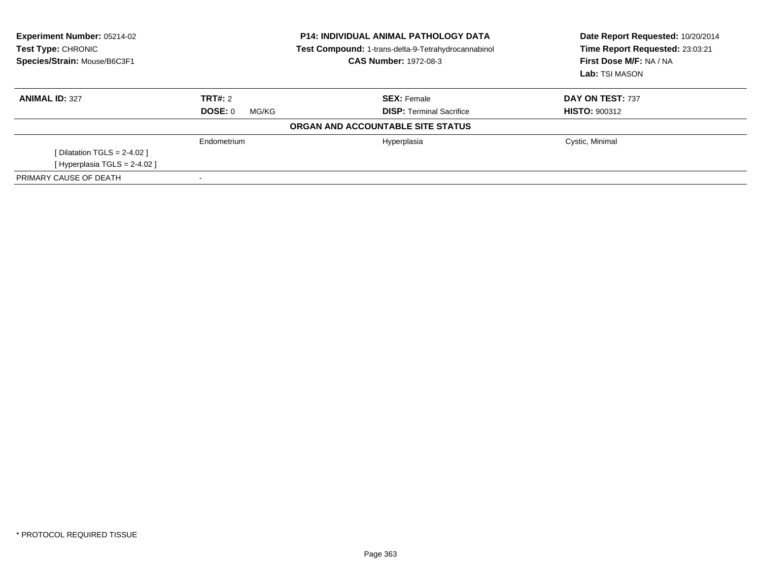| <b>Experiment Number: 05214-02</b><br>Test Type: CHRONIC<br>Species/Strain: Mouse/B6C3F1 | <b>P14: INDIVIDUAL ANIMAL PATHOLOGY DATA</b><br>Test Compound: 1-trans-delta-9-Tetrahydrocannabinol<br><b>CAS Number: 1972-08-3</b> |                                   | Date Report Requested: 10/20/2014<br>Time Report Requested: 23:03:21<br>First Dose M/F: NA / NA<br>Lab: TSI MASON |  |
|------------------------------------------------------------------------------------------|-------------------------------------------------------------------------------------------------------------------------------------|-----------------------------------|-------------------------------------------------------------------------------------------------------------------|--|
| <b>ANIMAL ID: 327</b>                                                                    | TRT#: 2                                                                                                                             | <b>SEX: Female</b>                | DAY ON TEST: 737                                                                                                  |  |
|                                                                                          | DOSE: 0<br>MG/KG                                                                                                                    | <b>DISP:</b> Terminal Sacrifice   | <b>HISTO: 900312</b>                                                                                              |  |
|                                                                                          |                                                                                                                                     | ORGAN AND ACCOUNTABLE SITE STATUS |                                                                                                                   |  |
|                                                                                          | Endometrium                                                                                                                         | Hyperplasia                       | Cystic, Minimal                                                                                                   |  |
| [Dilatation TGLS = $2-4.02$ ]                                                            |                                                                                                                                     |                                   |                                                                                                                   |  |
| [ Hyperplasia TGLS = 2-4.02 ]                                                            |                                                                                                                                     |                                   |                                                                                                                   |  |
| PRIMARY CAUSE OF DEATH                                                                   |                                                                                                                                     |                                   |                                                                                                                   |  |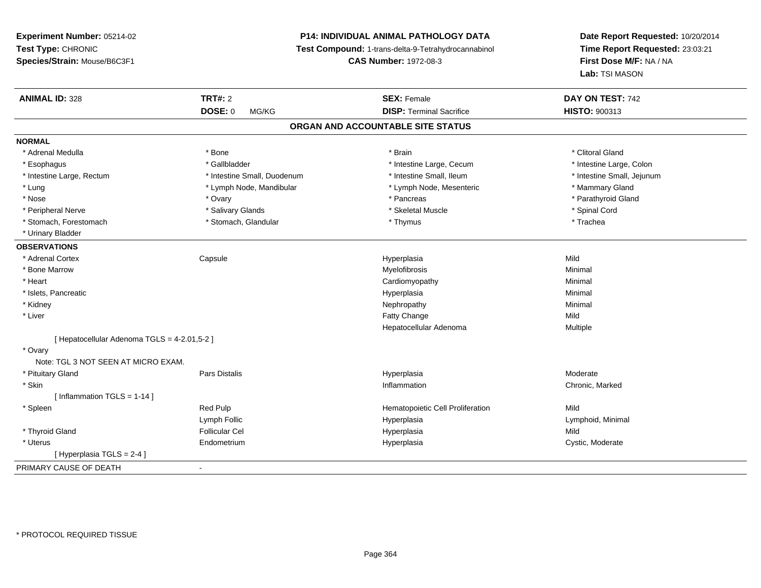# **P14: INDIVIDUAL ANIMAL PATHOLOGY DATA**

**Test Compound:** 1-trans-delta-9-Tetrahydrocannabinol

**CAS Number:** 1972-08-3

| <b>ANIMAL ID: 328</b>                        | <b>TRT#: 2</b>              | <b>SEX: Female</b>                | DAY ON TEST: 742           |
|----------------------------------------------|-----------------------------|-----------------------------------|----------------------------|
|                                              | <b>DOSE: 0</b><br>MG/KG     | <b>DISP: Terminal Sacrifice</b>   | <b>HISTO: 900313</b>       |
|                                              |                             | ORGAN AND ACCOUNTABLE SITE STATUS |                            |
| <b>NORMAL</b>                                |                             |                                   |                            |
| * Adrenal Medulla                            | * Bone                      | * Brain                           | * Clitoral Gland           |
| * Esophagus                                  | * Gallbladder               | * Intestine Large, Cecum          | * Intestine Large, Colon   |
| * Intestine Large, Rectum                    | * Intestine Small, Duodenum | * Intestine Small, Ileum          | * Intestine Small, Jejunum |
| * Lung                                       | * Lymph Node, Mandibular    | * Lymph Node, Mesenteric          | * Mammary Gland            |
| * Nose                                       | * Ovary                     | * Pancreas                        | * Parathyroid Gland        |
| * Peripheral Nerve                           | * Salivary Glands           | * Skeletal Muscle                 | * Spinal Cord              |
| * Stomach, Forestomach                       | * Stomach, Glandular        | * Thymus                          | * Trachea                  |
| * Urinary Bladder                            |                             |                                   |                            |
| <b>OBSERVATIONS</b>                          |                             |                                   |                            |
| * Adrenal Cortex                             | Capsule                     | Hyperplasia                       | Mild                       |
| * Bone Marrow                                |                             | Myelofibrosis                     | Minimal                    |
| * Heart                                      |                             | Cardiomyopathy                    | Minimal                    |
| * Islets, Pancreatic                         |                             | Hyperplasia                       | Minimal                    |
| * Kidney                                     |                             | Nephropathy                       | Minimal                    |
| * Liver                                      |                             | Fatty Change                      | Mild                       |
|                                              |                             | Hepatocellular Adenoma            | Multiple                   |
| [ Hepatocellular Adenoma TGLS = 4-2.01,5-2 ] |                             |                                   |                            |
| * Ovary                                      |                             |                                   |                            |
| Note: TGL 3 NOT SEEN AT MICRO EXAM.          |                             |                                   |                            |
| * Pituitary Gland                            | Pars Distalis               | Hyperplasia                       | Moderate                   |
| * Skin                                       |                             | Inflammation                      | Chronic, Marked            |
| [ Inflammation TGLS = 1-14 ]                 |                             |                                   |                            |
| * Spleen                                     | Red Pulp                    | Hematopoietic Cell Proliferation  | Mild                       |
|                                              | Lymph Follic                | Hyperplasia                       | Lymphoid, Minimal          |
| * Thyroid Gland                              | <b>Follicular Cel</b>       | Hyperplasia                       | Mild                       |
| * Uterus                                     | Endometrium                 | Hyperplasia                       | Cystic, Moderate           |
| [ Hyperplasia TGLS = 2-4 ]                   |                             |                                   |                            |
| PRIMARY CAUSE OF DEATH                       | $\blacksquare$              |                                   |                            |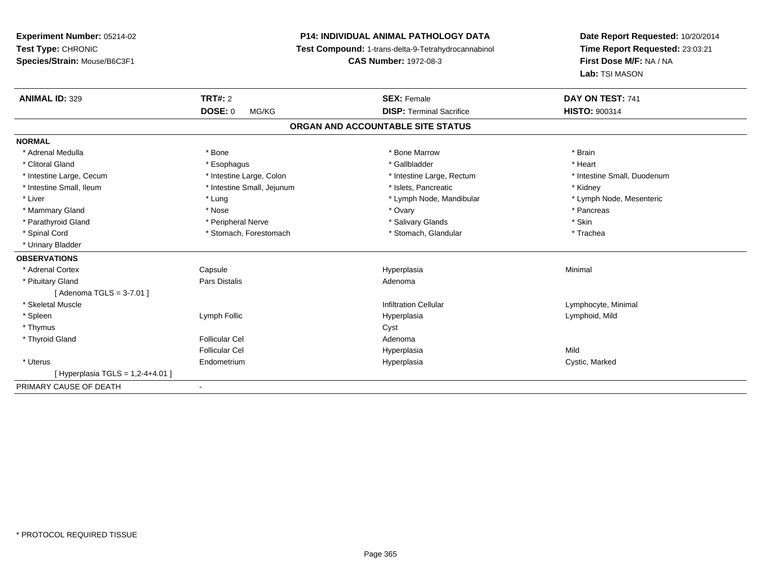**Experiment Number:** 05214-02**Test Type:** CHRONIC **Species/Strain:** Mouse/B6C3F1**P14: INDIVIDUAL ANIMAL PATHOLOGY DATA Test Compound:** 1-trans-delta-9-Tetrahydrocannabinol **CAS Number:** 1972-08-3**Date Report Requested:** 10/20/2014**Time Report Requested:** 23:03:21**First Dose M/F:** NA / NA**Lab:** TSI MASON**ANIMAL ID:** 329 **TRT#:** <sup>2</sup> **SEX:** Female **DAY ON TEST:** <sup>741</sup> **DOSE:** 0 MG/KG**DISP:** Terminal Sacrifice **HISTO:** 900314 **ORGAN AND ACCOUNTABLE SITE STATUSNORMAL**\* Adrenal Medulla \* \* Annual Medulla \* Brain \* Bone \* \* Bone Marrow \* Bone Marrow \* \* Brain \* Brain \* Brain \* Brain \* Brain \* Brain \* Brain \* Brain \* Brain \* Brain \* Brain \* Brain \* Brain \* Brain \* Brain \* Brain \* Brain \* \* Heart \* Clitoral Gland \* \* \* heart \* \* Esophagus \* \* \* \* \* \* \* \* \* \* \* Gallbladder \* \* \* \* \* \* \* \* \* \* \* \* Heart \* Intestine Large, Cecum \* Intestine Large, Colon \* Intestine Large, Thestine Large, Rectum \* Intestine Small, Duodenum \* Intestine Small, Ileum \* Thestine Small, Jejunum \* 1998, Pancreatic \* Kidney \* Kidney \* Kidney \* Kidney \* Lymph Node, Mesenteric \* Liver \* Lung \* Lung \* Lung \* Lung \* Lymph Node, Mandibular \* Lymph Node, Mandibular \* Mammary Gland \* \* Andrew \* Nose \* \* Nose \* \* Ovary \* Ovary \* Ovary \* \* Ovary \* \* Pancreas \* \* Pancreas \* \* Pancreas \* \* Pancreas \* \* Pancreas \* \* Pancreas \* \* Pancreas \* \* Pancreas \* \* Pancreas \* \* Pancreas \* \* Pancreas \* Parathyroid Gland \* \* The proposition of the Peripheral Nerve \* \* The matter of the state of the state \* Skin \* Trachea \* Spinal Cord \* Stomach, Forestomach \* Stomach, Forestomach \* Stomach, Slandular \* Stomach, Glandular \* Urinary Bladder**OBSERVATIONS** \* Adrenal Cortex Capsulee and the Hyperplasia Minimal Minimal Service and the Hyperplasia Minimal Minimal Service and Minimal Service and Minimal Service and Minimal Service and Minimal Service and Minimal Service and Minimal Service and Minimal \* Pituitary Glandd and the contract of Pars Distalis and the contract of Adenoma and Adenoma and the Adenoma and the Adenoma and  $\lambda$ [ Adenoma TGLS = 3-7.01 ] \* Skeletal Muscle Infiltration Cellular Lymphocyte, Minimal \* Spleen Lymph Follic Hyperplasia Lymphoid, Mild \* Thymuss the contract of the contract of the contract of the contract of the contract of the contract of the contract of the contract of the contract of the contract of the contract of the contract of the contract of the contract \* Thyroid Glandd and the set of the Follicular Cel the set of the Second Adenomal Adenomal Second Second Second Second Second Second Second Second Second Second Second Second Second Second Second Second Second Second Second Second Second Follicular Cel Hyperplasiaa Mild \* Uterus Endometriumm and the Hyperplasia Cystic, Marked Cystic, Marked Cystic, Marked Cystic, Marked Cystic, Marked Cystic, Marked Cystic, Marked Cystic, Marked Cystic, Marked Cystic, Marked Cystic, Marked Cystic, Marked Cystic, Marked Cysti  $[$  Hyperplasia TGLS = 1,2-4+4.01 ] PRIMARY CAUSE OF DEATH-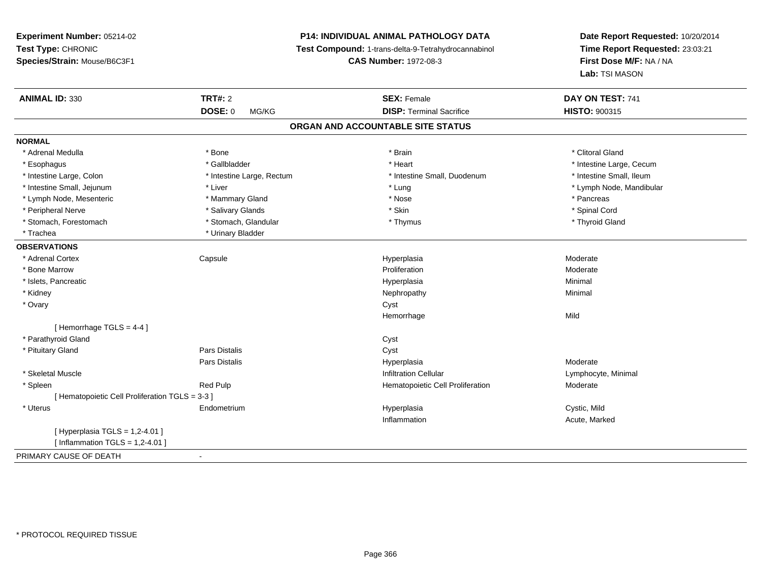**Experiment Number:** 05214-02**Test Type:** CHRONIC **Species/Strain:** Mouse/B6C3F1**P14: INDIVIDUAL ANIMAL PATHOLOGY DATA Test Compound:** 1-trans-delta-9-Tetrahydrocannabinol **CAS Number:** 1972-08-3**Date Report Requested:** 10/20/2014**Time Report Requested:** 23:03:21**First Dose M/F:** NA / NA**Lab:** TSI MASON**ANIMAL ID:** 330**CONSEX:** Female **DAY ON TEST:** 741 **DOSE:** 0 MG/KG**DISP:** Terminal Sacrifice **HISTO:** 900315 **ORGAN AND ACCOUNTABLE SITE STATUSNORMAL**\* Adrenal Medulla \* The state of the state of the state of the state of the state of the state of the state of the state of the state of the state of the state of the state of the state of the state of the state of the sta \* Esophagus \* https://www.fragustage.com/web/2019/heart \* Heart \* Heart \* Heart \* Intestine Large, Cecum \* Intestine Large, Cecum \* Sallbladder \* The state of the state of the state of the state of the state of the state o \* Intestine Small, Ileum \* Intestine Large, Colon \* Intestine Large, Rectum \* Intestine Small, Duodenum \* Intestine Small, Duodenum \* Intestine Small, Jejunum \* Liver \* Lung \* Lymph Node, Mandibular \* Lymph Node, Mesenteric \* Mammary Gland \* Nose \* Pancreas\* Spinal Cord \* Peripheral Nerve \* \* \* Salivary Glands \* \* Salivary Glands \* \* Skin \* \* Skin \* \* Spinal Cord \* Spinal Cord \* \* Thyroid Gland \* Stomach, Forestomach \* Thymus \* Stomach, Glandular \* Thymus \* Thymus \* Thymus \* Thymus \* Thymus \* Thymus \* Thymus \* Thymus \* Thymus \* Thymus \* Thymus \* Thymus \* Thymus \* Thymus \* Thymus \* Thymus \* Thymus \* Thymus \* Thymu \* Trachea \* Urinary Bladder**OBSERVATIONS** \* Adrenal Cortex Capsulee and the Hyperplasia measurement of the Moderate of the Moderate of the Moderate of the Moderate of the Moderate of the Moderate of the Moderate of the Moderate of the Moderate of the Moderate of the Moderate of the Moder \* Bone Marroww Proliferation and the experimental properties of the Proliferation and the Moderate Moderate \* Islets, Pancreaticc description of the control of the control of the control of the control of the control of the control of the control of the control of the control of the control of the control of the control of the control of the contro a and a studies of the studies of the Minimal \* Kidneyy the control of the control of the control of the control of the control of the control of the control of the control of the control of the control of the control of the control of the control of the control of the contro \* Ovaryy cystem in the control of the control of the control of the control of the control of the control of the control of the control of the control of the control of the control of the control of the control of the control of Hemorrhagee Mild [ Hemorrhage TGLS = 4-4 ] \* Parathyroid Glandd Cyst \* Pituitary Glandd Cyst Constants Constants Constants Constants Constants Constants Constants Constants Constants Constants Const Pars Distalis Hyperplasia Moderate \* Skeletal Muscle Infiltration Cellular Lymphocyte, Minimal \* SpleenRed Pulp **Moderate Hematopoietic Cell Proliferation** Moderate [ Hematopoietic Cell Proliferation TGLS = 3-3 ] \* Uterus Endometrium Hyperplasia Cystic, Mild Inflammation Acute, Marked [ Hyperplasia TGLS = 1,2-4.01 ] $[$  Inflammation TGLS = 1,2-4.01  $]$ PRIMARY CAUSE OF DEATH-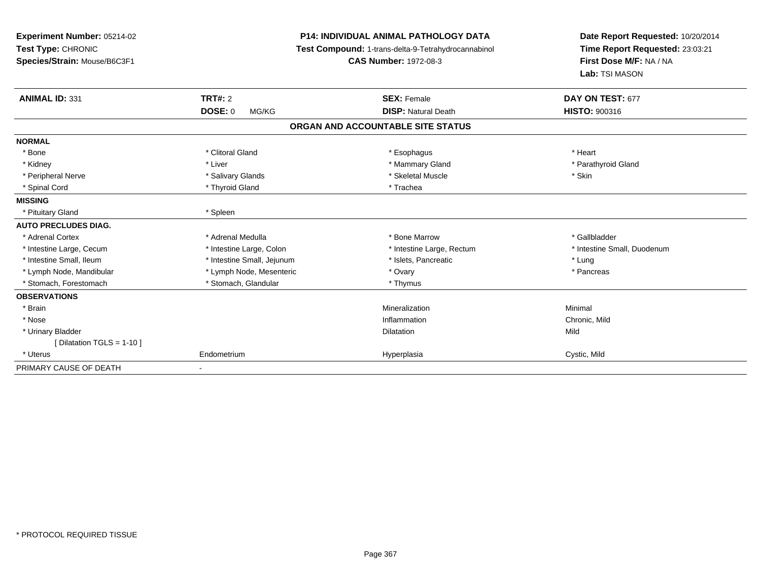| Experiment Number: 05214-02<br>Test Type: CHRONIC<br>Species/Strain: Mouse/B6C3F1<br><b>ANIMAL ID: 331</b> | <b>P14: INDIVIDUAL ANIMAL PATHOLOGY DATA</b><br>Test Compound: 1-trans-delta-9-Tetrahydrocannabinol<br><b>CAS Number: 1972-08-3</b><br><b>TRT#: 2</b><br><b>SEX: Female</b><br><b>DOSE: 0</b><br><b>DISP: Natural Death</b><br>MG/KG |                                   | Date Report Requested: 10/20/2014<br>Time Report Requested: 23:03:21<br>First Dose M/F: NA / NA<br>Lab: TSI MASON<br>DAY ON TEST: 677<br><b>HISTO: 900316</b> |
|------------------------------------------------------------------------------------------------------------|--------------------------------------------------------------------------------------------------------------------------------------------------------------------------------------------------------------------------------------|-----------------------------------|---------------------------------------------------------------------------------------------------------------------------------------------------------------|
|                                                                                                            |                                                                                                                                                                                                                                      | ORGAN AND ACCOUNTABLE SITE STATUS |                                                                                                                                                               |
| <b>NORMAL</b>                                                                                              |                                                                                                                                                                                                                                      |                                   |                                                                                                                                                               |
| * Bone                                                                                                     | * Clitoral Gland                                                                                                                                                                                                                     | * Esophagus                       | * Heart                                                                                                                                                       |
| * Kidney                                                                                                   | * Liver                                                                                                                                                                                                                              | * Mammary Gland                   | * Parathyroid Gland                                                                                                                                           |
| * Peripheral Nerve                                                                                         | * Salivary Glands                                                                                                                                                                                                                    | * Skeletal Muscle                 | * Skin                                                                                                                                                        |
| * Spinal Cord                                                                                              | * Thyroid Gland                                                                                                                                                                                                                      | * Trachea                         |                                                                                                                                                               |
| <b>MISSING</b>                                                                                             |                                                                                                                                                                                                                                      |                                   |                                                                                                                                                               |
| * Pituitary Gland                                                                                          | * Spleen                                                                                                                                                                                                                             |                                   |                                                                                                                                                               |
| <b>AUTO PRECLUDES DIAG.</b>                                                                                |                                                                                                                                                                                                                                      |                                   |                                                                                                                                                               |
| * Adrenal Cortex                                                                                           | * Adrenal Medulla                                                                                                                                                                                                                    | * Bone Marrow                     | * Gallbladder                                                                                                                                                 |
| * Intestine Large, Cecum                                                                                   | * Intestine Large, Colon                                                                                                                                                                                                             | * Intestine Large, Rectum         | * Intestine Small, Duodenum                                                                                                                                   |
| * Intestine Small, Ileum                                                                                   | * Intestine Small, Jejunum                                                                                                                                                                                                           | * Islets, Pancreatic              | * Lung                                                                                                                                                        |
| * Lymph Node, Mandibular                                                                                   | * Lymph Node, Mesenteric                                                                                                                                                                                                             | * Ovary                           | * Pancreas                                                                                                                                                    |
| * Stomach, Forestomach                                                                                     | * Stomach, Glandular                                                                                                                                                                                                                 | * Thymus                          |                                                                                                                                                               |
| <b>OBSERVATIONS</b>                                                                                        |                                                                                                                                                                                                                                      |                                   |                                                                                                                                                               |
| * Brain                                                                                                    |                                                                                                                                                                                                                                      | Mineralization                    | Minimal                                                                                                                                                       |
| * Nose                                                                                                     |                                                                                                                                                                                                                                      | Inflammation                      | Chronic, Mild                                                                                                                                                 |
| * Urinary Bladder                                                                                          |                                                                                                                                                                                                                                      | <b>Dilatation</b>                 | Mild                                                                                                                                                          |
| [ Dilatation TGLS = 1-10 ]                                                                                 |                                                                                                                                                                                                                                      |                                   |                                                                                                                                                               |
| * Uterus                                                                                                   | Endometrium                                                                                                                                                                                                                          | Hyperplasia                       | Cystic, Mild                                                                                                                                                  |
| PRIMARY CAUSE OF DEATH                                                                                     |                                                                                                                                                                                                                                      |                                   |                                                                                                                                                               |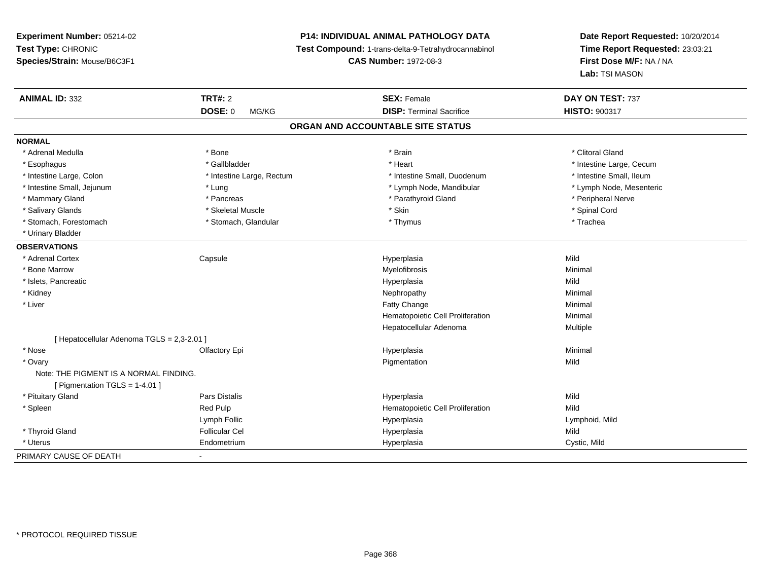**Experiment Number:** 05214-02**Test Type:** CHRONIC **Species/Strain:** Mouse/B6C3F1**P14: INDIVIDUAL ANIMAL PATHOLOGY DATA Test Compound:** 1-trans-delta-9-Tetrahydrocannabinol **CAS Number:** 1972-08-3**Date Report Requested:** 10/20/2014**Time Report Requested:** 23:03:21**First Dose M/F:** NA / NA**Lab:** TSI MASON**ANIMAL ID:** 332**TRT#:** 2 **SEX:** Female **DAY ON TEST:** 737 **DOSE:** 0 MG/KG**DISP:** Terminal Sacrifice **HISTO:**  $900317$ **ORGAN AND ACCOUNTABLE SITE STATUSNORMAL**\* Adrenal Medulla \* The state of the state of the state of the state of the state of the state of the state of the state of the state of the state of the state of the state of the state of the state of the state of the sta \* Esophagus \* https://www.fragustage.com/web/2019/heart \* Heart \* Heart \* Heart \* Intestine Large, Cecum \* Intestine Large, Cecum \* Sallbladder \* The state of the state of the state of the state of the state of the state o \* Intestine Small, Ileum \* Intestine Large, Colon \* Intestine Large, Rectum \* Intestine Small, Duodenum \* Intestine Small, Duodenum \* Lymph Node, Mesenteric \* Intestine Small, Jejunum \* The metal \* Lung \* Lymph Node, Mandibular \* Lymph Node, Mandibular \* Mammary Gland \* \* Andreas \* \* Pancreas \* \* Parathyroid Gland \* \* Parathyroid Gland \* \* Peripheral Nerve \* Salivary Glands \* \* Steeden \* \* Skeletal Muscle \* \* Skin \* \* Skin \* \* Steeden \* Spinal Cord \* Spinal Cord \* Spinal Cord \* Spinal Cord \* Spinal Cord \* Spinal Cord \* Spinal Cord \* Spinal Cord \* Spinal Cord \* Spinal Cord \* \* Stomach, Forestomach \* Trachea \* Stomach, Glandular \* Thymus \* Thymus \* Trachea \* Trachea \* Urinary Bladder**OBSERVATIONS** \* Adrenal Cortex Capsule Hyperplasia Mild \* Bone Marroww which is a controller to the Myelofibrosis and the Minimal method of the Minimal method of the Minimal method of the Minimal method of the Minimal method of the Minimal method of the Minimal method of the Minimal method \* Islets, Pancreaticc description of the control of the control of the control of the control of the control of the control of the control of the control of the control of the control of the control of the control of the control of the contro a Mild \* Kidneyy the control of the control of the control of the control of the control of the control of the control of the control of the control of the control of the control of the control of the control of the control of the contro \* Liver Fatty Changee Minimal Hematopoietic Cell Proliferation Minimal Hepatocellular Adenoma Multiple [ Hepatocellular Adenoma TGLS = 2,3-2.01 ] \* Nose Olfactory Epi Hyperplasia Minimal \* Ovaryy the control of the control of the control of the control of the control of the control of the control of the control of the control of the control of the control of the control of the control of the control of the contro n Mild Note: THE PIGMENT IS A NORMAL FINDING.[ Pigmentation TGLS = 1-4.01 ] \* Pituitary Gland Pars Distalis Hyperplasia Mild \* SpleenRed Pulp **Mild Hematopoietic Cell Proliferation Mild** Lymph Follic Hyperplasia Lymphoid, Mild \* Thyroid Gland Follicular Cel Hyperplasia Mild \* Uterus Endometrium Hyperplasia Cystic, Mild PRIMARY CAUSE OF DEATH-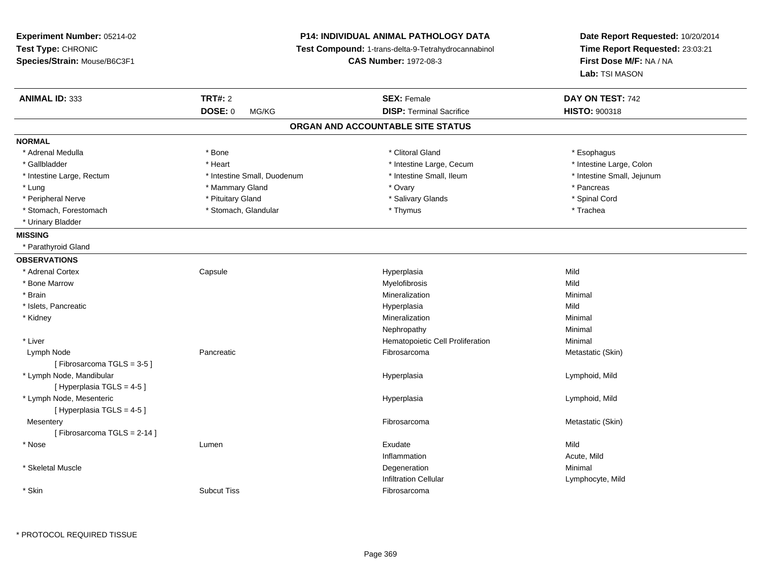| Experiment Number: 05214-02                             |                                                     | <b>P14: INDIVIDUAL ANIMAL PATHOLOGY DATA</b> | Date Report Requested: 10/20/2014         |
|---------------------------------------------------------|-----------------------------------------------------|----------------------------------------------|-------------------------------------------|
| Test Type: CHRONIC                                      | Test Compound: 1-trans-delta-9-Tetrahydrocannabinol |                                              | Time Report Requested: 23:03:21           |
| Species/Strain: Mouse/B6C3F1                            |                                                     | <b>CAS Number: 1972-08-3</b>                 | First Dose M/F: NA / NA<br>Lab: TSI MASON |
| <b>ANIMAL ID: 333</b>                                   | <b>TRT#: 2</b>                                      | <b>SEX: Female</b>                           | DAY ON TEST: 742                          |
|                                                         | <b>DOSE: 0</b><br>MG/KG                             | <b>DISP: Terminal Sacrifice</b>              | HISTO: 900318                             |
|                                                         |                                                     | ORGAN AND ACCOUNTABLE SITE STATUS            |                                           |
| <b>NORMAL</b>                                           |                                                     |                                              |                                           |
| * Adrenal Medulla                                       | * Bone                                              | * Clitoral Gland                             | * Esophagus                               |
| * Gallbladder                                           | * Heart                                             | * Intestine Large, Cecum                     | * Intestine Large, Colon                  |
| * Intestine Large, Rectum                               | * Intestine Small, Duodenum                         | * Intestine Small, Ileum                     | * Intestine Small, Jejunum                |
| * Lung                                                  | * Mammary Gland                                     | * Ovary                                      | * Pancreas                                |
| * Peripheral Nerve                                      | * Pituitary Gland                                   | * Salivary Glands                            | * Spinal Cord                             |
| * Stomach, Forestomach                                  | * Stomach, Glandular                                | * Thymus                                     | * Trachea                                 |
| * Urinary Bladder                                       |                                                     |                                              |                                           |
| <b>MISSING</b>                                          |                                                     |                                              |                                           |
| * Parathyroid Gland                                     |                                                     |                                              |                                           |
| <b>OBSERVATIONS</b>                                     |                                                     |                                              |                                           |
| * Adrenal Cortex                                        | Capsule                                             | Hyperplasia                                  | Mild                                      |
| * Bone Marrow                                           |                                                     | Myelofibrosis                                | Mild                                      |
| * Brain                                                 |                                                     | Mineralization                               | Minimal                                   |
| * Islets, Pancreatic                                    |                                                     | Hyperplasia                                  | Mild                                      |
| * Kidney                                                |                                                     | Mineralization                               | Minimal                                   |
|                                                         |                                                     | Nephropathy                                  | Minimal                                   |
| * Liver                                                 |                                                     | Hematopoietic Cell Proliferation             | Minimal                                   |
| Lymph Node<br>[Fibrosarcoma TGLS = 3-5]                 | Pancreatic                                          | Fibrosarcoma                                 | Metastatic (Skin)                         |
| * Lymph Node, Mandibular<br>[Hyperplasia TGLS = $4-5$ ] |                                                     | Hyperplasia                                  | Lymphoid, Mild                            |
| * Lymph Node, Mesenteric                                |                                                     | Hyperplasia                                  | Lymphoid, Mild                            |
| [ Hyperplasia TGLS = 4-5 ]<br>Mesentery                 |                                                     | Fibrosarcoma                                 | Metastatic (Skin)                         |
| [Fibrosarcoma TGLS = 2-14]                              |                                                     |                                              |                                           |
| * Nose                                                  | Lumen                                               | Exudate                                      | Mild                                      |
|                                                         |                                                     | Inflammation                                 | Acute, Mild                               |
| * Skeletal Muscle                                       |                                                     | Degeneration                                 | Minimal                                   |
|                                                         |                                                     | <b>Infiltration Cellular</b>                 | Lymphocyte, Mild                          |
| * Skin                                                  | <b>Subcut Tiss</b>                                  | Fibrosarcoma                                 |                                           |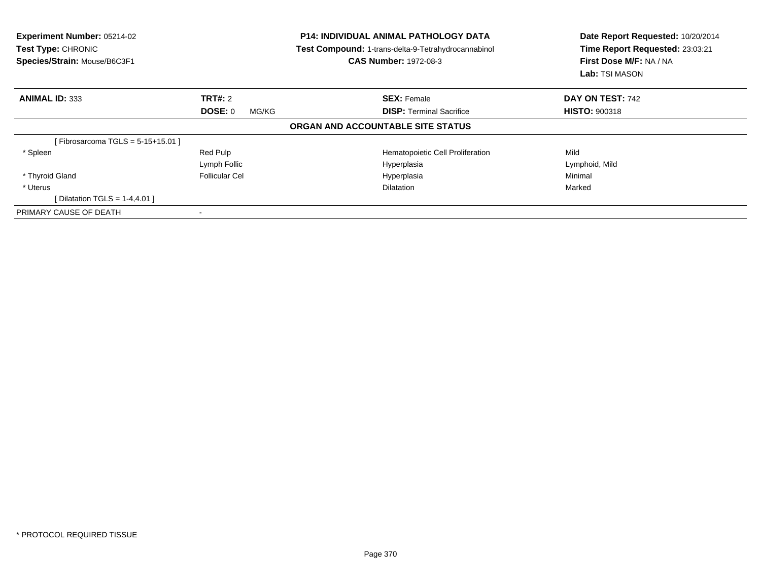| <b>Experiment Number: 05214-02</b><br>Test Type: CHRONIC<br>Species/Strain: Mouse/B6C3F1 |                  | <b>P14: INDIVIDUAL ANIMAL PATHOLOGY DATA</b><br><b>Test Compound: 1-trans-delta-9-Tetrahydrocannabinol</b><br><b>CAS Number: 1972-08-3</b> | Date Report Requested: 10/20/2014<br>Time Report Requested: 23:03:21<br>First Dose M/F: NA / NA<br><b>Lab:</b> TSI MASON |
|------------------------------------------------------------------------------------------|------------------|--------------------------------------------------------------------------------------------------------------------------------------------|--------------------------------------------------------------------------------------------------------------------------|
| <b>ANIMAL ID: 333</b>                                                                    | TRT#: 2          | <b>SEX: Female</b>                                                                                                                         | DAY ON TEST: 742                                                                                                         |
|                                                                                          | DOSE: 0<br>MG/KG | <b>DISP:</b> Terminal Sacrifice                                                                                                            | <b>HISTO: 900318</b>                                                                                                     |
|                                                                                          |                  | ORGAN AND ACCOUNTABLE SITE STATUS                                                                                                          |                                                                                                                          |
| [Fibrosarcoma TGLS = $5-15+15.01$ ]                                                      |                  |                                                                                                                                            |                                                                                                                          |
| * Spleen                                                                                 | Red Pulp         | Hematopoietic Cell Proliferation                                                                                                           | Mild                                                                                                                     |
|                                                                                          | Lymph Follic     | Hyperplasia                                                                                                                                | Lymphoid, Mild                                                                                                           |
| * Thyroid Gland                                                                          | Follicular Cel   | Hyperplasia                                                                                                                                | Minimal                                                                                                                  |
| * Uterus                                                                                 |                  | <b>Dilatation</b>                                                                                                                          | Marked                                                                                                                   |
| [ Dilatation TGLS = $1-4,4.01$ ]                                                         |                  |                                                                                                                                            |                                                                                                                          |
| PRIMARY CAUSE OF DEATH                                                                   |                  |                                                                                                                                            |                                                                                                                          |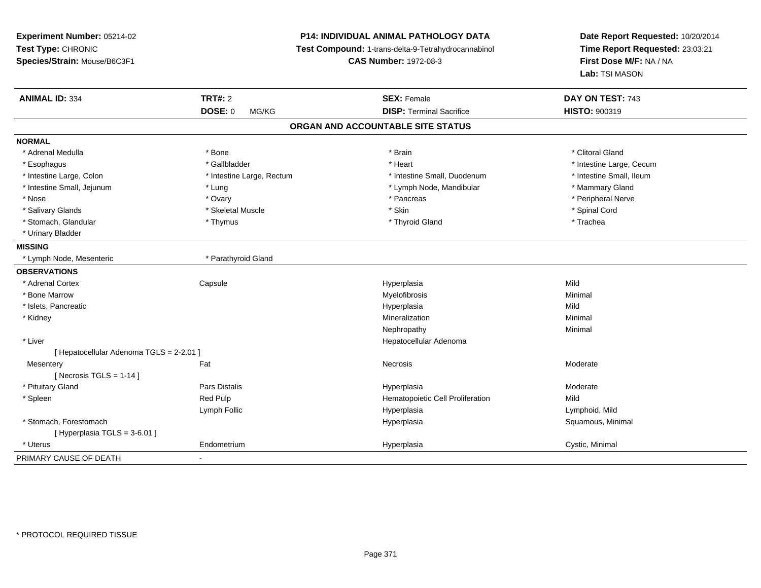| Experiment Number: 05214-02              |                           | <b>P14: INDIVIDUAL ANIMAL PATHOLOGY DATA</b>        | Date Report Requested: 10/20/2014<br>Time Report Requested: 23:03:21<br>First Dose M/F: NA / NA |
|------------------------------------------|---------------------------|-----------------------------------------------------|-------------------------------------------------------------------------------------------------|
| Test Type: CHRONIC                       |                           | Test Compound: 1-trans-delta-9-Tetrahydrocannabinol |                                                                                                 |
| Species/Strain: Mouse/B6C3F1             |                           | <b>CAS Number: 1972-08-3</b>                        |                                                                                                 |
|                                          |                           |                                                     | Lab: TSI MASON                                                                                  |
| <b>ANIMAL ID: 334</b>                    | <b>TRT#: 2</b>            | <b>SEX: Female</b>                                  | DAY ON TEST: 743                                                                                |
|                                          | <b>DOSE: 0</b><br>MG/KG   | <b>DISP: Terminal Sacrifice</b>                     | HISTO: 900319                                                                                   |
|                                          |                           | ORGAN AND ACCOUNTABLE SITE STATUS                   |                                                                                                 |
| <b>NORMAL</b>                            |                           |                                                     |                                                                                                 |
| * Adrenal Medulla                        | * Bone                    | * Brain                                             | * Clitoral Gland                                                                                |
| * Esophagus                              | * Gallbladder             | * Heart                                             | * Intestine Large, Cecum                                                                        |
| * Intestine Large, Colon                 | * Intestine Large, Rectum | * Intestine Small, Duodenum                         | * Intestine Small, Ileum                                                                        |
| * Intestine Small, Jejunum               | * Lung                    | * Lymph Node, Mandibular                            | * Mammary Gland                                                                                 |
| * Nose                                   | * Ovary                   | * Pancreas                                          | * Peripheral Nerve                                                                              |
| * Salivary Glands                        | * Skeletal Muscle         | * Skin                                              | * Spinal Cord                                                                                   |
| * Stomach, Glandular                     | * Thymus                  | * Thyroid Gland                                     | * Trachea                                                                                       |
| * Urinary Bladder                        |                           |                                                     |                                                                                                 |
| <b>MISSING</b>                           |                           |                                                     |                                                                                                 |
| * Lymph Node, Mesenteric                 | * Parathyroid Gland       |                                                     |                                                                                                 |
| <b>OBSERVATIONS</b>                      |                           |                                                     |                                                                                                 |
| * Adrenal Cortex                         | Capsule                   | Hyperplasia                                         | Mild                                                                                            |
| * Bone Marrow                            |                           | Myelofibrosis                                       | Minimal                                                                                         |
| * Islets, Pancreatic                     |                           | Hyperplasia                                         | Mild                                                                                            |
| * Kidney                                 |                           | Mineralization                                      | Minimal                                                                                         |
|                                          |                           | Nephropathy                                         | Minimal                                                                                         |
| * Liver                                  |                           | Hepatocellular Adenoma                              |                                                                                                 |
| [ Hepatocellular Adenoma TGLS = 2-2.01 ] |                           |                                                     |                                                                                                 |
| Mesentery                                | Fat                       | Necrosis                                            | Moderate                                                                                        |
| [ Necrosis TGLS = $1-14$ ]               |                           |                                                     |                                                                                                 |
| * Pituitary Gland                        | Pars Distalis             | Hyperplasia                                         | Moderate                                                                                        |
| * Spleen                                 | Red Pulp                  | Hematopoietic Cell Proliferation                    | Mild                                                                                            |
|                                          | Lymph Follic              | Hyperplasia                                         | Lymphoid, Mild                                                                                  |
| * Stomach, Forestomach                   |                           | Hyperplasia                                         | Squamous, Minimal                                                                               |
| [ Hyperplasia TGLS = 3-6.01 ]            |                           |                                                     |                                                                                                 |
| * Uterus                                 | Endometrium               | Hyperplasia                                         | Cystic, Minimal                                                                                 |
| PRIMARY CAUSE OF DEATH                   |                           |                                                     |                                                                                                 |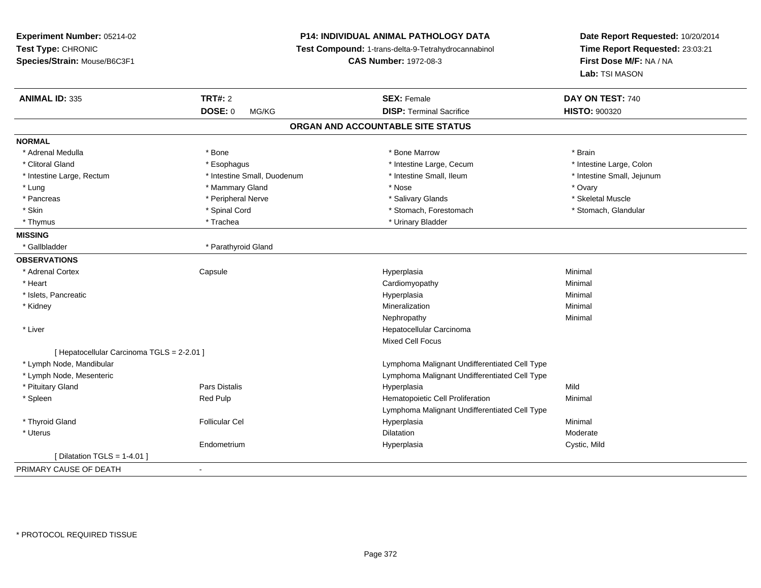| Experiment Number: 05214-02                |                             | <b>P14: INDIVIDUAL ANIMAL PATHOLOGY DATA</b><br>Test Compound: 1-trans-delta-9-Tetrahydrocannabinol |                                           |
|--------------------------------------------|-----------------------------|-----------------------------------------------------------------------------------------------------|-------------------------------------------|
| Test Type: CHRONIC                         |                             |                                                                                                     |                                           |
| Species/Strain: Mouse/B6C3F1               |                             | <b>CAS Number: 1972-08-3</b>                                                                        | First Dose M/F: NA / NA<br>Lab: TSI MASON |
| <b>ANIMAL ID: 335</b>                      | <b>TRT#: 2</b>              | <b>SEX: Female</b>                                                                                  | DAY ON TEST: 740                          |
|                                            | <b>DOSE: 0</b><br>MG/KG     | <b>DISP: Terminal Sacrifice</b>                                                                     | <b>HISTO: 900320</b>                      |
|                                            |                             | ORGAN AND ACCOUNTABLE SITE STATUS                                                                   |                                           |
| <b>NORMAL</b>                              |                             |                                                                                                     |                                           |
| * Adrenal Medulla                          | * Bone                      | * Bone Marrow                                                                                       | * Brain                                   |
| * Clitoral Gland                           | * Esophagus                 | * Intestine Large, Cecum                                                                            | * Intestine Large, Colon                  |
| * Intestine Large, Rectum                  | * Intestine Small, Duodenum | * Intestine Small, Ileum                                                                            | * Intestine Small, Jejunum                |
| * Lung                                     | * Mammary Gland             | * Nose                                                                                              | * Ovary                                   |
| * Pancreas                                 | * Peripheral Nerve          | * Salivary Glands                                                                                   | * Skeletal Muscle                         |
| * Skin                                     | * Spinal Cord               | * Stomach, Forestomach                                                                              | * Stomach, Glandular                      |
| * Thymus                                   | * Trachea                   | * Urinary Bladder                                                                                   |                                           |
| <b>MISSING</b>                             |                             |                                                                                                     |                                           |
| * Gallbladder                              | * Parathyroid Gland         |                                                                                                     |                                           |
| <b>OBSERVATIONS</b>                        |                             |                                                                                                     |                                           |
| * Adrenal Cortex                           | Capsule                     | Hyperplasia                                                                                         | Minimal                                   |
| * Heart                                    |                             | Cardiomyopathy                                                                                      | Minimal                                   |
| * Islets, Pancreatic                       |                             | Hyperplasia                                                                                         | Minimal                                   |
| * Kidney                                   |                             | Mineralization                                                                                      | Minimal                                   |
|                                            |                             | Nephropathy                                                                                         | Minimal                                   |
| * Liver                                    |                             | Hepatocellular Carcinoma                                                                            |                                           |
|                                            |                             | <b>Mixed Cell Focus</b>                                                                             |                                           |
| [ Hepatocellular Carcinoma TGLS = 2-2.01 ] |                             |                                                                                                     |                                           |
| * Lymph Node, Mandibular                   |                             | Lymphoma Malignant Undifferentiated Cell Type                                                       |                                           |
| * Lymph Node, Mesenteric                   |                             | Lymphoma Malignant Undifferentiated Cell Type                                                       |                                           |
| * Pituitary Gland                          | Pars Distalis               | Hyperplasia                                                                                         | Mild                                      |
| * Spleen                                   | Red Pulp                    | Hematopoietic Cell Proliferation                                                                    | Minimal                                   |
|                                            |                             | Lymphoma Malignant Undifferentiated Cell Type                                                       |                                           |
| * Thyroid Gland                            | <b>Follicular Cel</b>       | Hyperplasia                                                                                         | Minimal                                   |
| * Uterus                                   |                             | <b>Dilatation</b>                                                                                   | Moderate                                  |
|                                            | Endometrium                 | Hyperplasia                                                                                         | Cystic, Mild                              |
| [Dilatation TGLS = 1-4.01 ]                |                             |                                                                                                     |                                           |
| PRIMARY CAUSE OF DEATH                     | $\blacksquare$              |                                                                                                     |                                           |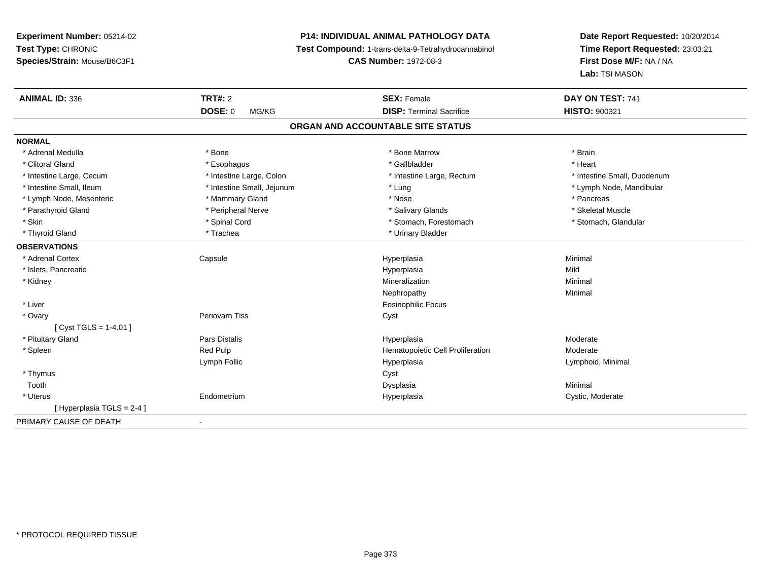**Experiment Number:** 05214-02**Test Type:** CHRONIC **Species/Strain:** Mouse/B6C3F1**P14: INDIVIDUAL ANIMAL PATHOLOGY DATA Test Compound:** 1-trans-delta-9-Tetrahydrocannabinol **CAS Number:** 1972-08-3**Date Report Requested:** 10/20/2014**Time Report Requested:** 23:03:21**First Dose M/F:** NA / NA**Lab:** TSI MASON**ANIMAL ID:** 336 **TRT#:** <sup>2</sup> **SEX:** Female **DAY ON TEST:** <sup>741</sup> **DOSE:** 0 MG/KG**DISP:** Terminal Sacrifice **HISTO:** 900321 **ORGAN AND ACCOUNTABLE SITE STATUSNORMAL**\* Adrenal Medulla \* \* Annual Medulla \* Brain \* Bone \* \* Bone Marrow \* Bone Marrow \* \* Brain \* Brain \* Brain \* Brain \* Brain \* Brain \* Brain \* Brain \* Brain \* Brain \* Brain \* Brain \* Brain \* Brain \* Brain \* Brain \* Brain \* \* Heart \* Clitoral Gland \* \* \* heart \* \* Esophagus \* \* \* \* \* \* \* \* \* \* \* Gallbladder \* \* \* \* \* \* \* \* \* \* \* \* Heart \* Intestine Large, Cecum \* Intestine Large, Colon \* Intestine Large, Rectum \* Intestine Small, Duodenum \* Intestine Small, Ileum \* Intestine Small, Jejunum \* Lung \* Lymph Node, Mandibular \* Lymph Node, Mesenteric \* Mammary Gland \* Nose \* Pancreas\* Skeletal Muscle \* Parathyroid Gland \* \* \* And \* \* Peripheral Nerve \* \* \* Salivary Glands \* \* Salivary Glands \* \* Skeletal Muscle \* \* Skeletal Muscle \* \* Skeletal Muscle \* \* Skeletal Muscle \* \* Skeletal Muscle \* \* Skeletal Muscle \* \* Skele \* Stomach, Glandular \* Skin \* Stomach, Forestomach \* Spinal Cord \* Stomach, Forestomach \* Stomach, Forestomach \* Thyroid Gland \* Trachea \* Trachea \* Trachea \* Thyroid Gland \* Urinary Bladder **OBSERVATIONS** \* Adrenal Cortex Capsulee and the Hyperplasia Minimal Minimal Service and the Hyperplasia Minimal Minimal Service and Minimal Service and Minimal Service and Minimal Service and Minimal Service and Minimal Service and Minimal Service and Minimal \* Islets, Pancreaticc description of the control of the control of the control of the control of the control of the control of the control of the control of the control of the control of the control of the control of the control of the contro a Mild \* Kidneyy with the control of the control of the control of the control of the control of the control of the control of the control of the control of the control of the control of the control of the control of the control of the c n Minimal Nephropathyy the contract of the Minimal Minimal Section 1996 and the contract of the Minimal Section 1997 and the contract of the contract of the contract of the contract of the contract of the contract of the contract of the contra \* Liver Eosinophilic Focus \* Ovaryy which is a controller periovarn Tiss of the controller controller controller controller controller controller controller controller controller controller controller controller controller controller controller controller [ Cyst TGLS = 1-4.01 ] \* Pituitary Gland Pars Distalis Hyperplasia Moderate \* SpleenRed Pulp **Moderate Hematopoietic Cell Proliferation** Moderate Lymph Follic Hyperplasia Lymphoid, Minimal \* Thymuss the contract of the contract of the contract of the contract of the contract of the contract of the contract of the contract of the contract of the contract of the contract of the contract of the contract of the contract Toothh anns an t-aisim anns an t-aisim an t-aisim anns an t-aisim an t-aisim an t-aisim an t-aisim an t-aisim an t- \* Uterus Endometrium Hyperplasia Cystic, Moderate [ Hyperplasia TGLS = 2-4 ]PRIMARY CAUSE OF DEATH-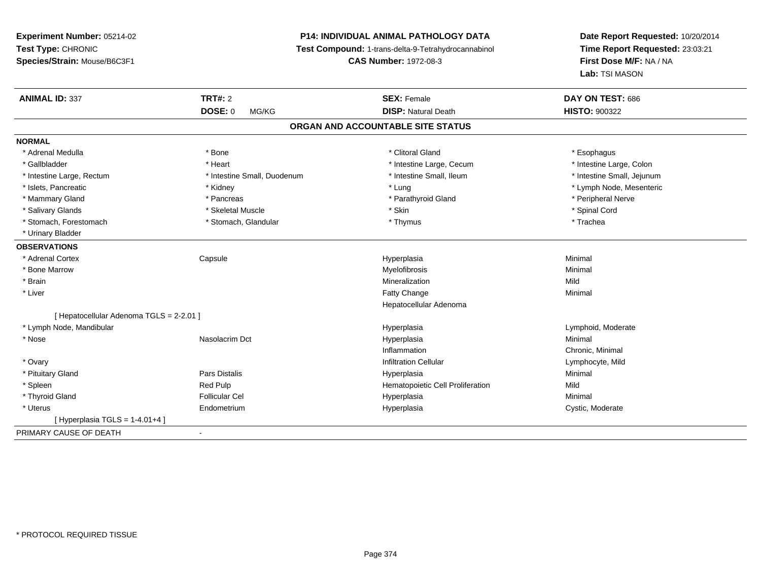# **P14: INDIVIDUAL ANIMAL PATHOLOGY DATA**

**Test Compound:** 1-trans-delta-9-Tetrahydrocannabinol

**CAS Number:** 1972-08-3

| <b>ANIMAL ID: 337</b>                    | <b>TRT#: 2</b>              | <b>SEX: Female</b>                | DAY ON TEST: 686           |
|------------------------------------------|-----------------------------|-----------------------------------|----------------------------|
|                                          | <b>DOSE: 0</b><br>MG/KG     | <b>DISP: Natural Death</b>        | <b>HISTO: 900322</b>       |
|                                          |                             | ORGAN AND ACCOUNTABLE SITE STATUS |                            |
| <b>NORMAL</b>                            |                             |                                   |                            |
| * Adrenal Medulla                        | * Bone                      | * Clitoral Gland                  | * Esophagus                |
| * Gallbladder                            | * Heart                     | * Intestine Large, Cecum          | * Intestine Large, Colon   |
| * Intestine Large, Rectum                | * Intestine Small, Duodenum | * Intestine Small, Ileum          | * Intestine Small, Jejunum |
| * Islets, Pancreatic                     | * Kidney                    | * Lung                            | * Lymph Node, Mesenteric   |
| * Mammary Gland                          | * Pancreas                  | * Parathyroid Gland               | * Peripheral Nerve         |
| * Salivary Glands                        | * Skeletal Muscle           | * Skin                            | * Spinal Cord              |
| * Stomach, Forestomach                   | * Stomach, Glandular        | * Thymus                          | * Trachea                  |
| * Urinary Bladder                        |                             |                                   |                            |
| <b>OBSERVATIONS</b>                      |                             |                                   |                            |
| * Adrenal Cortex                         | Capsule                     | Hyperplasia                       | Minimal                    |
| * Bone Marrow                            |                             | Myelofibrosis                     | Minimal                    |
| * Brain                                  |                             | Mineralization                    | Mild                       |
| * Liver                                  |                             | Fatty Change                      | Minimal                    |
|                                          |                             | Hepatocellular Adenoma            |                            |
| [ Hepatocellular Adenoma TGLS = 2-2.01 ] |                             |                                   |                            |
| * Lymph Node, Mandibular                 |                             | Hyperplasia                       | Lymphoid, Moderate         |
| * Nose                                   | Nasolacrim Dct              | Hyperplasia                       | Minimal                    |
|                                          |                             | Inflammation                      | Chronic, Minimal           |
| * Ovary                                  |                             | <b>Infiltration Cellular</b>      | Lymphocyte, Mild           |
| * Pituitary Gland                        | Pars Distalis               | Hyperplasia                       | Minimal                    |
| * Spleen                                 | Red Pulp                    | Hematopoietic Cell Proliferation  | Mild                       |
| * Thyroid Gland                          | <b>Follicular Cel</b>       | Hyperplasia                       | Minimal                    |
| * Uterus                                 | Endometrium                 | Hyperplasia                       | Cystic, Moderate           |
| [Hyperplasia TGLS = 1-4.01+4]            |                             |                                   |                            |
| PRIMARY CAUSE OF DEATH                   | $\blacksquare$              |                                   |                            |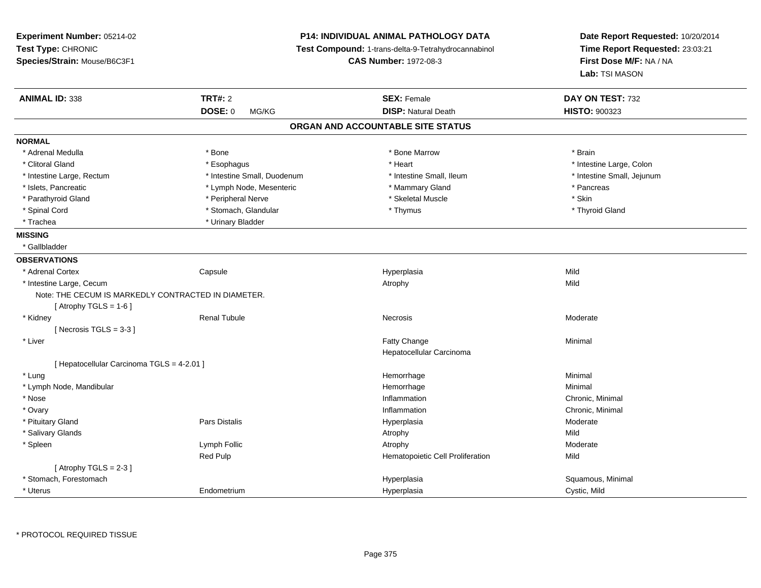| Experiment Number: 05214-02                         |                             | <b>P14: INDIVIDUAL ANIMAL PATHOLOGY DATA</b>        | Date Report Requested: 10/20/2014<br>Time Report Requested: 23:03:21<br>First Dose M/F: NA / NA |
|-----------------------------------------------------|-----------------------------|-----------------------------------------------------|-------------------------------------------------------------------------------------------------|
| Test Type: CHRONIC                                  |                             | Test Compound: 1-trans-delta-9-Tetrahydrocannabinol |                                                                                                 |
| Species/Strain: Mouse/B6C3F1                        |                             | <b>CAS Number: 1972-08-3</b>                        |                                                                                                 |
|                                                     |                             |                                                     | Lab: TSI MASON                                                                                  |
| <b>ANIMAL ID: 338</b>                               | <b>TRT#: 2</b>              | <b>SEX: Female</b>                                  | DAY ON TEST: 732                                                                                |
|                                                     | <b>DOSE: 0</b><br>MG/KG     | <b>DISP: Natural Death</b>                          | <b>HISTO: 900323</b>                                                                            |
|                                                     |                             | ORGAN AND ACCOUNTABLE SITE STATUS                   |                                                                                                 |
| <b>NORMAL</b>                                       |                             |                                                     |                                                                                                 |
| * Adrenal Medulla                                   | * Bone                      | * Bone Marrow                                       | * Brain                                                                                         |
| * Clitoral Gland                                    | * Esophagus                 | * Heart                                             | * Intestine Large, Colon                                                                        |
| * Intestine Large, Rectum                           | * Intestine Small, Duodenum | * Intestine Small, Ileum                            | * Intestine Small, Jejunum                                                                      |
| * Islets, Pancreatic                                | * Lymph Node, Mesenteric    | * Mammary Gland                                     | * Pancreas                                                                                      |
| * Parathyroid Gland                                 | * Peripheral Nerve          | * Skeletal Muscle                                   | * Skin                                                                                          |
| * Spinal Cord                                       | * Stomach, Glandular        | * Thymus                                            | * Thyroid Gland                                                                                 |
| * Trachea                                           | * Urinary Bladder           |                                                     |                                                                                                 |
| <b>MISSING</b>                                      |                             |                                                     |                                                                                                 |
| * Gallbladder                                       |                             |                                                     |                                                                                                 |
| <b>OBSERVATIONS</b>                                 |                             |                                                     |                                                                                                 |
| * Adrenal Cortex                                    | Capsule                     | Hyperplasia                                         | Mild                                                                                            |
| * Intestine Large, Cecum                            |                             | Atrophy                                             | Mild                                                                                            |
| Note: THE CECUM IS MARKEDLY CONTRACTED IN DIAMETER. |                             |                                                     |                                                                                                 |
| [Atrophy TGLS = $1-6$ ]                             |                             |                                                     |                                                                                                 |
| * Kidney                                            | <b>Renal Tubule</b>         | <b>Necrosis</b>                                     | Moderate                                                                                        |
| [Necrosis TGLS = $3-3$ ]                            |                             |                                                     |                                                                                                 |
| * Liver                                             |                             | Fatty Change                                        | Minimal                                                                                         |
|                                                     |                             | Hepatocellular Carcinoma                            |                                                                                                 |
| [ Hepatocellular Carcinoma TGLS = 4-2.01 ]          |                             |                                                     |                                                                                                 |
| * Lung                                              |                             | Hemorrhage                                          | Minimal                                                                                         |
| * Lymph Node, Mandibular                            |                             | Hemorrhage                                          | Minimal                                                                                         |
| * Nose                                              |                             | Inflammation                                        | Chronic, Minimal                                                                                |
| * Ovary                                             |                             | Inflammation                                        | Chronic, Minimal                                                                                |
| * Pituitary Gland                                   | Pars Distalis               | Hyperplasia                                         | Moderate                                                                                        |
| * Salivary Glands                                   |                             | Atrophy                                             | Mild                                                                                            |
| * Spleen                                            | Lymph Follic                | Atrophy                                             | Moderate                                                                                        |
|                                                     | <b>Red Pulp</b>             | Hematopoietic Cell Proliferation                    | Mild                                                                                            |
| [Atrophy $TGLS = 2-3$ ]                             |                             |                                                     |                                                                                                 |
| * Stomach, Forestomach                              |                             | Hyperplasia                                         | Squamous, Minimal                                                                               |
| * Uterus                                            | Endometrium                 | Hyperplasia                                         | Cystic, Mild                                                                                    |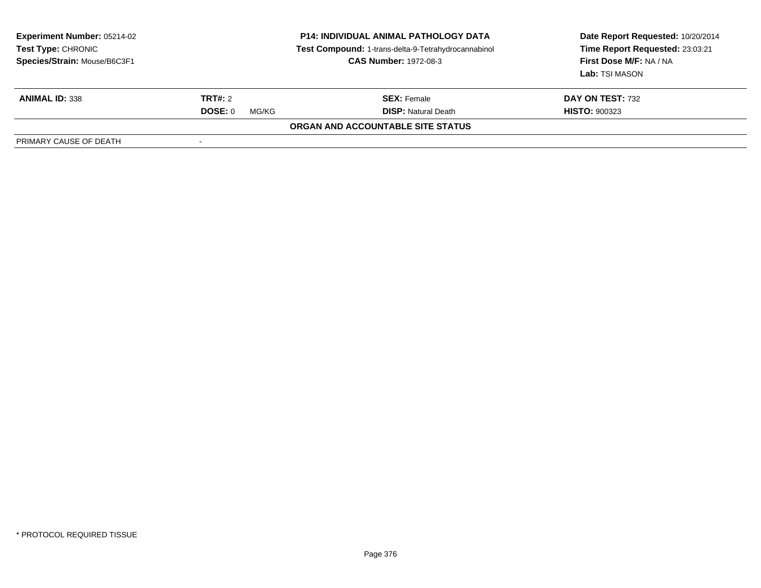| <b>Experiment Number: 05214-02</b><br><b>Test Type: CHRONIC</b><br>Species/Strain: Mouse/B6C3F1 | <b>P14: INDIVIDUAL ANIMAL PATHOLOGY DATA</b><br>Test Compound: 1-trans-delta-9-Tetrahydrocannabinol<br><b>CAS Number: 1972-08-3</b> |                                          | Date Report Requested: 10/20/2014<br>Time Report Requested: 23:03:21<br>First Dose M/F: NA / NA<br>Lab: TSI MASON |
|-------------------------------------------------------------------------------------------------|-------------------------------------------------------------------------------------------------------------------------------------|------------------------------------------|-------------------------------------------------------------------------------------------------------------------|
| <b>ANIMAL ID: 338</b>                                                                           | <b>TRT#:</b> 2                                                                                                                      | <b>SEX: Female</b>                       | <b>DAY ON TEST: 732</b>                                                                                           |
|                                                                                                 | DOSE: 0<br>MG/KG                                                                                                                    | <b>DISP:</b> Natural Death               | <b>HISTO: 900323</b>                                                                                              |
|                                                                                                 |                                                                                                                                     | <b>ORGAN AND ACCOUNTABLE SITE STATUS</b> |                                                                                                                   |
| PRIMARY CAUSE OF DEATH                                                                          |                                                                                                                                     |                                          |                                                                                                                   |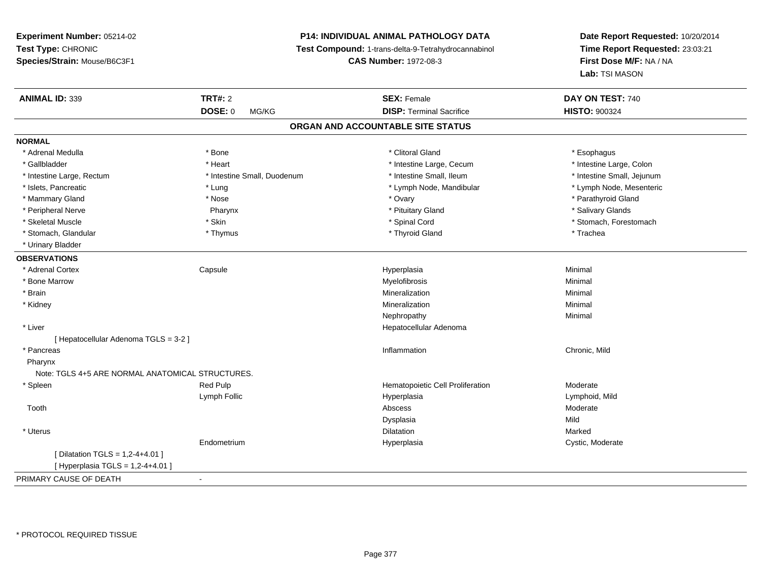# **P14: INDIVIDUAL ANIMAL PATHOLOGY DATA**

**Test Compound:** 1-trans-delta-9-Tetrahydrocannabinol

**CAS Number:** 1972-08-3

**Date Report Requested:** 10/20/2014 **Time Report Requested:** 23:03:21**First Dose M/F:** NA / NA**Lab:** TSI MASON

| <b>ANIMAL ID: 339</b>                            | <b>TRT#: 2</b>              | <b>SEX: Female</b>                | DAY ON TEST: 740           |
|--------------------------------------------------|-----------------------------|-----------------------------------|----------------------------|
|                                                  | <b>DOSE: 0</b><br>MG/KG     | <b>DISP: Terminal Sacrifice</b>   | <b>HISTO: 900324</b>       |
|                                                  |                             | ORGAN AND ACCOUNTABLE SITE STATUS |                            |
| <b>NORMAL</b>                                    |                             |                                   |                            |
| * Adrenal Medulla                                | * Bone                      | * Clitoral Gland                  | * Esophagus                |
| * Gallbladder                                    | * Heart                     | * Intestine Large, Cecum          | * Intestine Large, Colon   |
| * Intestine Large, Rectum                        | * Intestine Small, Duodenum | * Intestine Small, Ileum          | * Intestine Small, Jejunum |
| * Islets, Pancreatic                             | * Lung                      | * Lymph Node, Mandibular          | * Lymph Node, Mesenteric   |
| * Mammary Gland                                  | * Nose                      | * Ovary                           | * Parathyroid Gland        |
| * Peripheral Nerve                               | Pharynx                     | * Pituitary Gland                 | * Salivary Glands          |
| * Skeletal Muscle                                | * Skin                      | * Spinal Cord                     | * Stomach, Forestomach     |
| * Stomach, Glandular                             | * Thymus                    | * Thyroid Gland                   | * Trachea                  |
| * Urinary Bladder                                |                             |                                   |                            |
| <b>OBSERVATIONS</b>                              |                             |                                   |                            |
| * Adrenal Cortex                                 | Capsule                     | Hyperplasia                       | Minimal                    |
| * Bone Marrow                                    |                             | Myelofibrosis                     | Minimal                    |
| * Brain                                          |                             | Mineralization                    | Minimal                    |
| * Kidney                                         |                             | Mineralization                    | Minimal                    |
|                                                  |                             | Nephropathy                       | Minimal                    |
| * Liver                                          |                             | Hepatocellular Adenoma            |                            |
| [ Hepatocellular Adenoma TGLS = 3-2 ]            |                             |                                   |                            |
| * Pancreas                                       |                             | Inflammation                      | Chronic, Mild              |
| Pharynx                                          |                             |                                   |                            |
| Note: TGLS 4+5 ARE NORMAL ANATOMICAL STRUCTURES. |                             |                                   |                            |
| * Spleen                                         | Red Pulp                    | Hematopoietic Cell Proliferation  | Moderate                   |
|                                                  | Lymph Follic                | Hyperplasia                       | Lymphoid, Mild             |
| Tooth                                            |                             | Abscess                           | Moderate                   |
|                                                  |                             | Dysplasia                         | Mild                       |
| * Uterus                                         |                             | Dilatation                        | Marked                     |
|                                                  | Endometrium                 | Hyperplasia                       | Cystic, Moderate           |
| [ Dilatation TGLS = $1,2-4+4.01$ ]               |                             |                                   |                            |
| [ Hyperplasia TGLS = 1,2-4+4.01 ]                |                             |                                   |                            |
| PRIMARY CAUSE OF DEATH                           | $\blacksquare$              |                                   |                            |

\* PROTOCOL REQUIRED TISSUE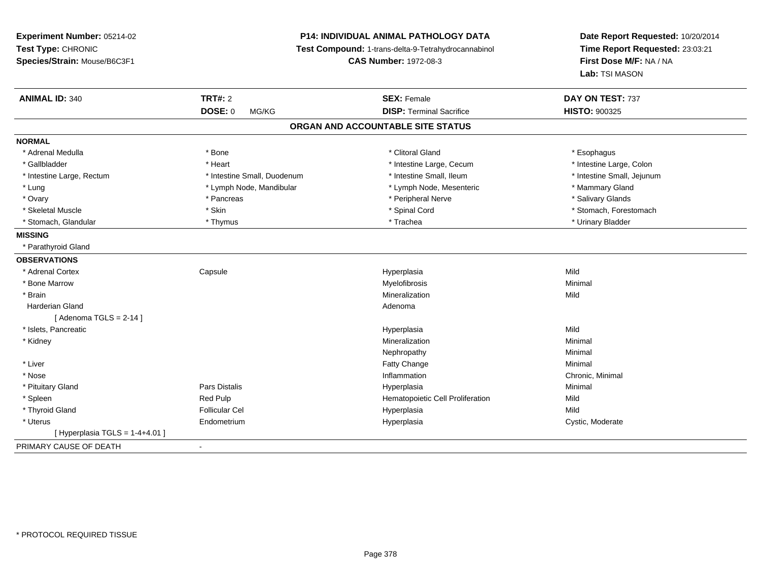| Experiment Number: 05214-02<br>Test Type: CHRONIC<br>Species/Strain: Mouse/B6C3F1 | P14: INDIVIDUAL ANIMAL PATHOLOGY DATA<br>Test Compound: 1-trans-delta-9-Tetrahydrocannabinol<br><b>CAS Number: 1972-08-3</b> |                                   | Date Report Requested: 10/20/2014<br>Time Report Requested: 23:03:21<br>First Dose M/F: NA / NA<br>Lab: TSI MASON |  |
|-----------------------------------------------------------------------------------|------------------------------------------------------------------------------------------------------------------------------|-----------------------------------|-------------------------------------------------------------------------------------------------------------------|--|
| <b>ANIMAL ID: 340</b>                                                             | <b>TRT#: 2</b>                                                                                                               | <b>SEX: Female</b>                | DAY ON TEST: 737                                                                                                  |  |
|                                                                                   | <b>DOSE: 0</b><br>MG/KG                                                                                                      | <b>DISP: Terminal Sacrifice</b>   | HISTO: 900325                                                                                                     |  |
|                                                                                   |                                                                                                                              | ORGAN AND ACCOUNTABLE SITE STATUS |                                                                                                                   |  |
| <b>NORMAL</b>                                                                     |                                                                                                                              |                                   |                                                                                                                   |  |
| * Adrenal Medulla                                                                 | * Bone                                                                                                                       | * Clitoral Gland                  | * Esophagus                                                                                                       |  |
| * Gallbladder                                                                     | * Heart                                                                                                                      | * Intestine Large, Cecum          | * Intestine Large, Colon                                                                                          |  |
| * Intestine Large, Rectum                                                         | * Intestine Small, Duodenum                                                                                                  | * Intestine Small, Ileum          | * Intestine Small, Jejunum                                                                                        |  |
| * Lung                                                                            | * Lymph Node, Mandibular                                                                                                     | * Lymph Node, Mesenteric          | * Mammary Gland                                                                                                   |  |
| * Ovary                                                                           | * Pancreas                                                                                                                   | * Peripheral Nerve                | * Salivary Glands                                                                                                 |  |
| * Skeletal Muscle                                                                 | * Skin                                                                                                                       | * Spinal Cord                     | * Stomach, Forestomach                                                                                            |  |
| * Stomach, Glandular                                                              | * Thymus                                                                                                                     | * Trachea                         | * Urinary Bladder                                                                                                 |  |
| <b>MISSING</b>                                                                    |                                                                                                                              |                                   |                                                                                                                   |  |
| * Parathyroid Gland                                                               |                                                                                                                              |                                   |                                                                                                                   |  |
| <b>OBSERVATIONS</b>                                                               |                                                                                                                              |                                   |                                                                                                                   |  |
| * Adrenal Cortex                                                                  | Capsule                                                                                                                      | Hyperplasia                       | Mild                                                                                                              |  |
| * Bone Marrow                                                                     |                                                                                                                              | Myelofibrosis                     | Minimal                                                                                                           |  |
| * Brain                                                                           |                                                                                                                              | Mineralization                    | Mild                                                                                                              |  |
| Harderian Gland                                                                   |                                                                                                                              | Adenoma                           |                                                                                                                   |  |
| [Adenoma TGLS = $2-14$ ]                                                          |                                                                                                                              |                                   |                                                                                                                   |  |
| * Islets, Pancreatic                                                              |                                                                                                                              | Hyperplasia                       | Mild                                                                                                              |  |
| * Kidney                                                                          |                                                                                                                              | Mineralization                    | Minimal                                                                                                           |  |
|                                                                                   |                                                                                                                              | Nephropathy                       | Minimal                                                                                                           |  |
| * Liver                                                                           |                                                                                                                              | Fatty Change                      | Minimal                                                                                                           |  |
| * Nose                                                                            |                                                                                                                              | Inflammation                      | Chronic, Minimal                                                                                                  |  |
| * Pituitary Gland                                                                 | Pars Distalis                                                                                                                | Hyperplasia                       | Minimal                                                                                                           |  |
| * Spleen                                                                          | Red Pulp                                                                                                                     | Hematopoietic Cell Proliferation  | Mild                                                                                                              |  |
| * Thyroid Gland                                                                   | <b>Follicular Cel</b>                                                                                                        | Hyperplasia                       | Mild                                                                                                              |  |
| * Uterus                                                                          | Endometrium                                                                                                                  | Hyperplasia                       | Cystic, Moderate                                                                                                  |  |
| [ Hyperplasia TGLS = 1-4+4.01 ]                                                   |                                                                                                                              |                                   |                                                                                                                   |  |
| PRIMARY CAUSE OF DEATH                                                            | $\sim$                                                                                                                       |                                   |                                                                                                                   |  |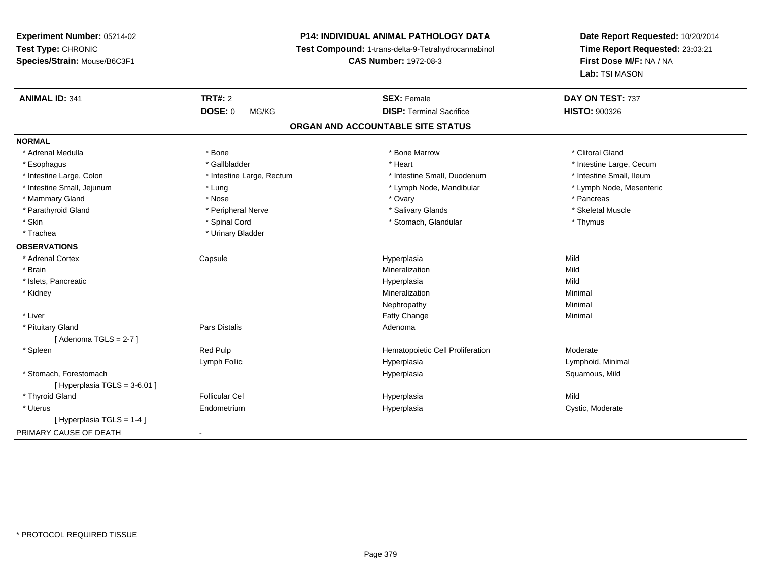# **P14: INDIVIDUAL ANIMAL PATHOLOGY DATA**

**Test Compound:** 1-trans-delta-9-Tetrahydrocannabinol

**CAS Number:** 1972-08-3

| <b>ANIMAL ID: 341</b>          | <b>TRT#: 2</b>            | <b>SEX: Female</b>                | DAY ON TEST: 737         |  |
|--------------------------------|---------------------------|-----------------------------------|--------------------------|--|
|                                | <b>DOSE: 0</b><br>MG/KG   | <b>DISP: Terminal Sacrifice</b>   | <b>HISTO: 900326</b>     |  |
|                                |                           | ORGAN AND ACCOUNTABLE SITE STATUS |                          |  |
| <b>NORMAL</b>                  |                           |                                   |                          |  |
| * Adrenal Medulla              | * Bone                    | * Bone Marrow                     | * Clitoral Gland         |  |
| * Esophagus                    | * Gallbladder             | * Heart                           | * Intestine Large, Cecum |  |
| * Intestine Large, Colon       | * Intestine Large, Rectum | * Intestine Small, Duodenum       | * Intestine Small, Ileum |  |
| * Intestine Small, Jejunum     | * Lung                    | * Lymph Node, Mandibular          | * Lymph Node, Mesenteric |  |
| * Mammary Gland                | * Nose                    | * Ovary                           | * Pancreas               |  |
| * Parathyroid Gland            | * Peripheral Nerve        | * Salivary Glands                 | * Skeletal Muscle        |  |
| * Skin                         | * Spinal Cord             | * Stomach, Glandular              | * Thymus                 |  |
| * Trachea                      | * Urinary Bladder         |                                   |                          |  |
| <b>OBSERVATIONS</b>            |                           |                                   |                          |  |
| * Adrenal Cortex               | Capsule                   | Hyperplasia                       | Mild                     |  |
| * Brain                        |                           | Mineralization                    | Mild                     |  |
| * Islets, Pancreatic           |                           | Hyperplasia                       | Mild                     |  |
| * Kidney                       |                           | Mineralization                    | Minimal                  |  |
|                                |                           | Nephropathy                       | Minimal                  |  |
| * Liver                        |                           | <b>Fatty Change</b>               | Minimal                  |  |
| * Pituitary Gland              | <b>Pars Distalis</b>      | Adenoma                           |                          |  |
| [Adenoma TGLS = $2-7$ ]        |                           |                                   |                          |  |
| * Spleen                       | Red Pulp                  | Hematopoietic Cell Proliferation  | Moderate                 |  |
|                                | Lymph Follic              | Hyperplasia                       | Lymphoid, Minimal        |  |
| * Stomach, Forestomach         |                           | Hyperplasia                       | Squamous, Mild           |  |
| [Hyperplasia TGLS = $3-6.01$ ] |                           |                                   |                          |  |
| * Thyroid Gland                | <b>Follicular Cel</b>     | Hyperplasia                       | Mild                     |  |
| * Uterus                       | Endometrium               | Hyperplasia                       | Cystic, Moderate         |  |
| [Hyperplasia TGLS = 1-4]       |                           |                                   |                          |  |
| PRIMARY CAUSE OF DEATH         | $\blacksquare$            |                                   |                          |  |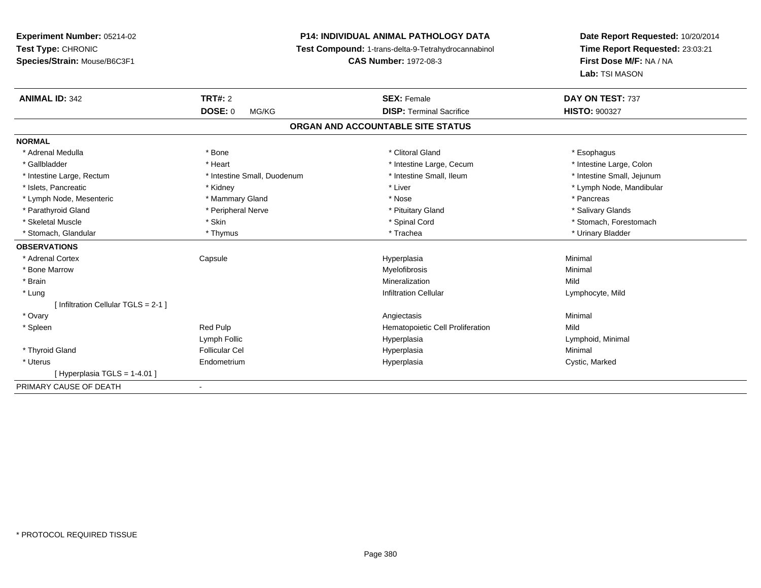# **P14: INDIVIDUAL ANIMAL PATHOLOGY DATA**

**Test Compound:** 1-trans-delta-9-Tetrahydrocannabinol

**CAS Number:** 1972-08-3

| <b>ANIMAL ID: 342</b>                 | TRT#: 2                     | <b>SEX: Female</b>                | DAY ON TEST: 737           |
|---------------------------------------|-----------------------------|-----------------------------------|----------------------------|
|                                       | <b>DOSE: 0</b><br>MG/KG     | <b>DISP: Terminal Sacrifice</b>   | <b>HISTO: 900327</b>       |
|                                       |                             | ORGAN AND ACCOUNTABLE SITE STATUS |                            |
| <b>NORMAL</b>                         |                             |                                   |                            |
| * Adrenal Medulla                     | * Bone                      | * Clitoral Gland                  | * Esophagus                |
| * Gallbladder                         | * Heart                     | * Intestine Large, Cecum          | * Intestine Large, Colon   |
| * Intestine Large, Rectum             | * Intestine Small, Duodenum | * Intestine Small, Ileum          | * Intestine Small, Jejunum |
| * Islets. Pancreatic                  | * Kidney                    | * Liver                           | * Lymph Node, Mandibular   |
| * Lymph Node, Mesenteric              | * Mammary Gland             | * Nose                            | * Pancreas                 |
| * Parathyroid Gland                   | * Peripheral Nerve          | * Pituitary Gland                 | * Salivary Glands          |
| * Skeletal Muscle                     | * Skin                      | * Spinal Cord                     | * Stomach, Forestomach     |
| * Stomach, Glandular                  | * Thymus                    | * Trachea                         | * Urinary Bladder          |
| <b>OBSERVATIONS</b>                   |                             |                                   |                            |
| * Adrenal Cortex                      | Capsule                     | Hyperplasia                       | Minimal                    |
| * Bone Marrow                         |                             | Myelofibrosis                     | Minimal                    |
| * Brain                               |                             | Mineralization                    | Mild                       |
| * Lung                                |                             | <b>Infiltration Cellular</b>      | Lymphocyte, Mild           |
| [Infiltration Cellular TGLS = $2-1$ ] |                             |                                   |                            |
| * Ovary                               |                             | Angiectasis                       | Minimal                    |
| * Spleen                              | Red Pulp                    | Hematopoietic Cell Proliferation  | Mild                       |
|                                       | Lymph Follic                | Hyperplasia                       | Lymphoid, Minimal          |
| * Thyroid Gland                       | <b>Follicular Cel</b>       | Hyperplasia                       | Minimal                    |
| * Uterus                              | Endometrium                 | Hyperplasia                       | Cystic, Marked             |
| [Hyperplasia TGLS = 1-4.01]           |                             |                                   |                            |
| PRIMARY CAUSE OF DEATH                | $\blacksquare$              |                                   |                            |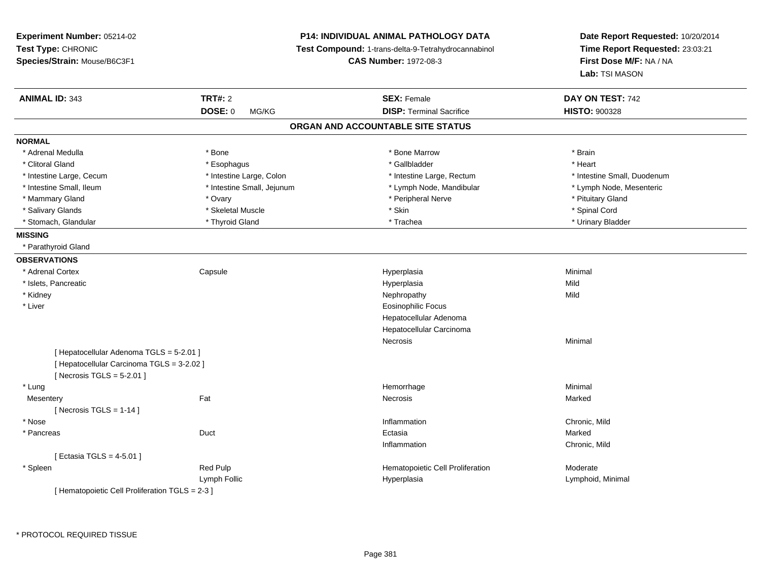| Experiment Number: 05214-02<br>Test Type: CHRONIC<br>Species/Strain: Mouse/B6C3F1                                      |                            | <b>P14: INDIVIDUAL ANIMAL PATHOLOGY DATA</b><br>Test Compound: 1-trans-delta-9-Tetrahydrocannabinol<br><b>CAS Number: 1972-08-3</b> | Date Report Requested: 10/20/2014<br>Time Report Requested: 23:03:21<br>First Dose M/F: NA / NA<br>Lab: TSI MASON |
|------------------------------------------------------------------------------------------------------------------------|----------------------------|-------------------------------------------------------------------------------------------------------------------------------------|-------------------------------------------------------------------------------------------------------------------|
| <b>ANIMAL ID: 343</b>                                                                                                  | <b>TRT#: 2</b>             | <b>SEX: Female</b>                                                                                                                  | DAY ON TEST: 742                                                                                                  |
|                                                                                                                        | <b>DOSE: 0</b><br>MG/KG    | <b>DISP: Terminal Sacrifice</b>                                                                                                     | <b>HISTO: 900328</b>                                                                                              |
|                                                                                                                        |                            | ORGAN AND ACCOUNTABLE SITE STATUS                                                                                                   |                                                                                                                   |
| <b>NORMAL</b>                                                                                                          |                            |                                                                                                                                     |                                                                                                                   |
| * Adrenal Medulla                                                                                                      | * Bone                     | * Bone Marrow                                                                                                                       | * Brain                                                                                                           |
| * Clitoral Gland                                                                                                       | * Esophagus                | * Gallbladder                                                                                                                       | * Heart                                                                                                           |
| * Intestine Large, Cecum                                                                                               | * Intestine Large, Colon   | * Intestine Large, Rectum                                                                                                           | * Intestine Small, Duodenum                                                                                       |
| * Intestine Small, Ileum                                                                                               | * Intestine Small, Jejunum | * Lymph Node, Mandibular                                                                                                            | * Lymph Node, Mesenteric                                                                                          |
| * Mammary Gland                                                                                                        | * Ovary                    | * Peripheral Nerve                                                                                                                  | * Pituitary Gland                                                                                                 |
| * Salivary Glands                                                                                                      | * Skeletal Muscle          | * Skin                                                                                                                              | * Spinal Cord                                                                                                     |
| * Stomach, Glandular                                                                                                   | * Thyroid Gland            | * Trachea                                                                                                                           | * Urinary Bladder                                                                                                 |
| <b>MISSING</b>                                                                                                         |                            |                                                                                                                                     |                                                                                                                   |
| * Parathyroid Gland                                                                                                    |                            |                                                                                                                                     |                                                                                                                   |
| <b>OBSERVATIONS</b>                                                                                                    |                            |                                                                                                                                     |                                                                                                                   |
| * Adrenal Cortex                                                                                                       | Capsule                    | Hyperplasia                                                                                                                         | Minimal                                                                                                           |
| * Islets, Pancreatic                                                                                                   |                            | Hyperplasia                                                                                                                         | Mild                                                                                                              |
| * Kidney                                                                                                               |                            | Nephropathy                                                                                                                         | Mild                                                                                                              |
| * Liver                                                                                                                |                            | Eosinophilic Focus                                                                                                                  |                                                                                                                   |
|                                                                                                                        |                            | Hepatocellular Adenoma                                                                                                              |                                                                                                                   |
|                                                                                                                        |                            | Hepatocellular Carcinoma                                                                                                            |                                                                                                                   |
|                                                                                                                        |                            | Necrosis                                                                                                                            | Minimal                                                                                                           |
| [ Hepatocellular Adenoma TGLS = 5-2.01 ]<br>[ Hepatocellular Carcinoma TGLS = 3-2.02 ]<br>[ Necrosis TGLS = $5-2.01$ ] |                            |                                                                                                                                     |                                                                                                                   |
| * Lung                                                                                                                 |                            | Hemorrhage                                                                                                                          | Minimal                                                                                                           |
| Mesentery                                                                                                              | Fat                        | Necrosis                                                                                                                            | Marked                                                                                                            |
| [Necrosis TGLS = $1-14$ ]                                                                                              |                            |                                                                                                                                     |                                                                                                                   |
| * Nose                                                                                                                 |                            | Inflammation                                                                                                                        | Chronic, Mild                                                                                                     |
| * Pancreas                                                                                                             | Duct                       | Ectasia                                                                                                                             | Marked                                                                                                            |
|                                                                                                                        |                            | Inflammation                                                                                                                        | Chronic, Mild                                                                                                     |
| [ Ectasia TGLS = 4-5.01 ]                                                                                              |                            |                                                                                                                                     |                                                                                                                   |
| * Spleen                                                                                                               | Red Pulp                   | Hematopoietic Cell Proliferation                                                                                                    | Moderate                                                                                                          |
|                                                                                                                        | Lymph Follic               | Hyperplasia                                                                                                                         | Lymphoid, Minimal                                                                                                 |
| [ Hematopoietic Cell Proliferation TGLS = 2-3 ]                                                                        |                            |                                                                                                                                     |                                                                                                                   |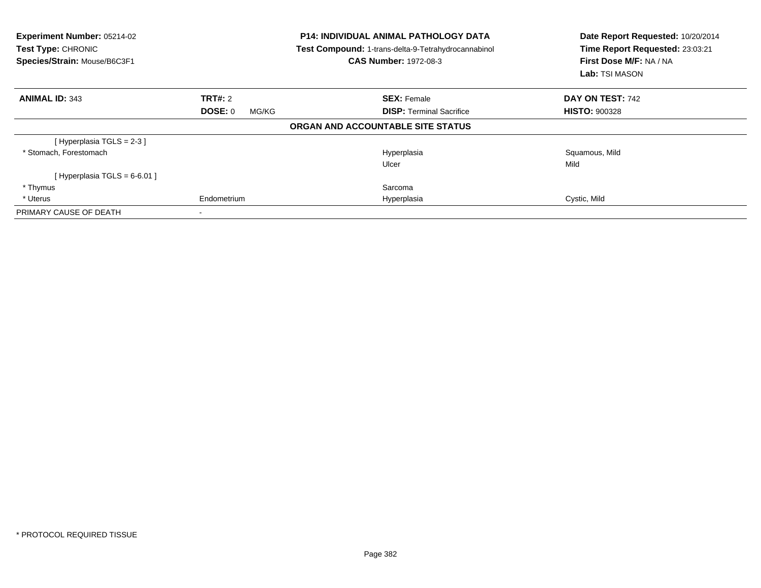| Experiment Number: 05214-02<br><b>Test Type: CHRONIC</b><br>Species/Strain: Mouse/B6C3F1 |                  | <b>P14: INDIVIDUAL ANIMAL PATHOLOGY DATA</b><br>Test Compound: 1-trans-delta-9-Tetrahydrocannabinol<br><b>CAS Number: 1972-08-3</b> | Date Report Requested: 10/20/2014<br>Time Report Requested: 23:03:21<br>First Dose M/F: NA / NA<br>Lab: TSI MASON |
|------------------------------------------------------------------------------------------|------------------|-------------------------------------------------------------------------------------------------------------------------------------|-------------------------------------------------------------------------------------------------------------------|
| <b>ANIMAL ID: 343</b>                                                                    | <b>TRT#: 2</b>   | <b>SEX: Female</b>                                                                                                                  | DAY ON TEST: 742                                                                                                  |
|                                                                                          | DOSE: 0<br>MG/KG | <b>DISP:</b> Terminal Sacrifice                                                                                                     | <b>HISTO: 900328</b>                                                                                              |
|                                                                                          |                  | ORGAN AND ACCOUNTABLE SITE STATUS                                                                                                   |                                                                                                                   |
| [Hyperplasia TGLS = 2-3]                                                                 |                  |                                                                                                                                     |                                                                                                                   |
| * Stomach, Forestomach                                                                   |                  | Hyperplasia                                                                                                                         | Squamous, Mild                                                                                                    |
|                                                                                          |                  | Ulcer                                                                                                                               | Mild                                                                                                              |
| [Hyperplasia TGLS = $6-6.01$ ]                                                           |                  |                                                                                                                                     |                                                                                                                   |
| * Thymus                                                                                 |                  | Sarcoma                                                                                                                             |                                                                                                                   |
| * Uterus                                                                                 | Endometrium      | Hyperplasia                                                                                                                         | Cystic, Mild                                                                                                      |
| PRIMARY CAUSE OF DEATH                                                                   |                  |                                                                                                                                     |                                                                                                                   |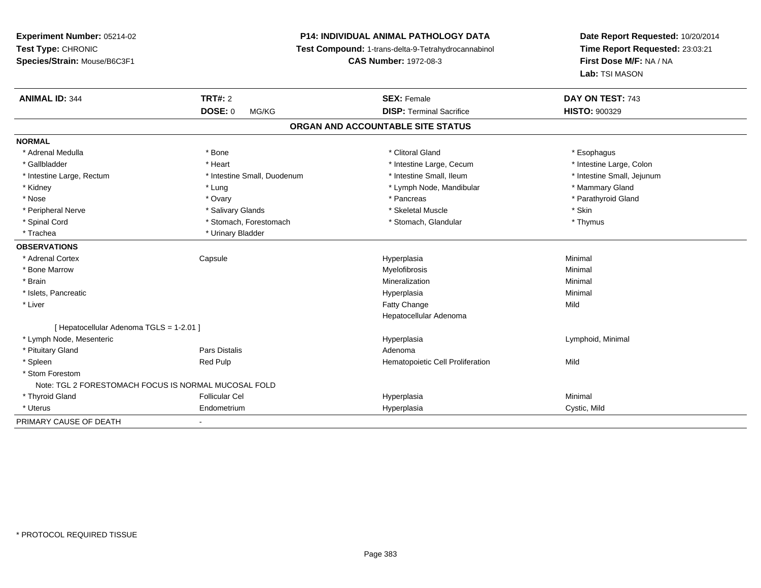# **P14: INDIVIDUAL ANIMAL PATHOLOGY DATA**

**Test Compound:** 1-trans-delta-9-Tetrahydrocannabinol

**CAS Number:** 1972-08-3

| <b>ANIMAL ID: 344</b>                                | <b>TRT#: 2</b>              | <b>SEX: Female</b>                | DAY ON TEST: 743           |
|------------------------------------------------------|-----------------------------|-----------------------------------|----------------------------|
|                                                      | <b>DOSE: 0</b><br>MG/KG     | <b>DISP: Terminal Sacrifice</b>   | <b>HISTO: 900329</b>       |
|                                                      |                             | ORGAN AND ACCOUNTABLE SITE STATUS |                            |
| <b>NORMAL</b>                                        |                             |                                   |                            |
| * Adrenal Medulla                                    | * Bone                      | * Clitoral Gland                  | * Esophagus                |
| * Gallbladder                                        | * Heart                     | * Intestine Large, Cecum          | * Intestine Large, Colon   |
| * Intestine Large, Rectum                            | * Intestine Small, Duodenum | * Intestine Small, Ileum          | * Intestine Small, Jejunum |
| * Kidney                                             | * Lung                      | * Lymph Node, Mandibular          | * Mammary Gland            |
| * Nose                                               | * Ovary                     | * Pancreas                        | * Parathyroid Gland        |
| * Peripheral Nerve                                   | * Salivary Glands           | * Skeletal Muscle                 | * Skin                     |
| * Spinal Cord                                        | * Stomach, Forestomach      | * Stomach, Glandular              | * Thymus                   |
| * Trachea                                            | * Urinary Bladder           |                                   |                            |
| <b>OBSERVATIONS</b>                                  |                             |                                   |                            |
| * Adrenal Cortex                                     | Capsule                     | Hyperplasia                       | Minimal                    |
| * Bone Marrow                                        |                             | Myelofibrosis                     | Minimal                    |
| * Brain                                              |                             | Mineralization                    | Minimal                    |
| * Islets, Pancreatic                                 |                             | Hyperplasia                       | Minimal                    |
| * Liver                                              |                             | Fatty Change                      | Mild                       |
|                                                      |                             | Hepatocellular Adenoma            |                            |
| [ Hepatocellular Adenoma TGLS = 1-2.01 ]             |                             |                                   |                            |
| * Lymph Node, Mesenteric                             |                             | Hyperplasia                       | Lymphoid, Minimal          |
| * Pituitary Gland                                    | <b>Pars Distalis</b>        | Adenoma                           |                            |
| * Spleen                                             | Red Pulp                    | Hematopoietic Cell Proliferation  | Mild                       |
| * Stom Forestom                                      |                             |                                   |                            |
| Note: TGL 2 FORESTOMACH FOCUS IS NORMAL MUCOSAL FOLD |                             |                                   |                            |
| * Thyroid Gland                                      | <b>Follicular Cel</b>       | Hyperplasia                       | Minimal                    |
| * Uterus                                             | Endometrium                 | Hyperplasia                       | Cystic, Mild               |
| PRIMARY CAUSE OF DEATH                               | $\blacksquare$              |                                   |                            |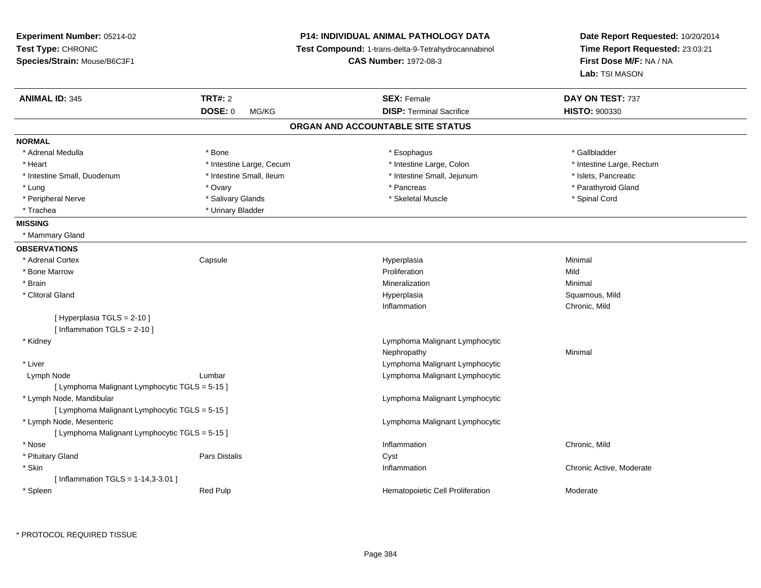| <b>Experiment Number: 05214-02</b><br>Test Type: CHRONIC<br>Species/Strain: Mouse/B6C3F1 |                          | <b>P14: INDIVIDUAL ANIMAL PATHOLOGY DATA</b><br>Test Compound: 1-trans-delta-9-Tetrahydrocannabinol<br><b>CAS Number: 1972-08-3</b> | Date Report Requested: 10/20/2014<br>Time Report Requested: 23:03:21<br>First Dose M/F: NA / NA<br>Lab: TSI MASON |
|------------------------------------------------------------------------------------------|--------------------------|-------------------------------------------------------------------------------------------------------------------------------------|-------------------------------------------------------------------------------------------------------------------|
| <b>ANIMAL ID: 345</b>                                                                    | <b>TRT#: 2</b>           | <b>SEX: Female</b>                                                                                                                  | DAY ON TEST: 737                                                                                                  |
|                                                                                          | <b>DOSE: 0</b><br>MG/KG  | <b>DISP: Terminal Sacrifice</b>                                                                                                     | HISTO: 900330                                                                                                     |
|                                                                                          |                          | ORGAN AND ACCOUNTABLE SITE STATUS                                                                                                   |                                                                                                                   |
| <b>NORMAL</b>                                                                            |                          |                                                                                                                                     |                                                                                                                   |
| * Adrenal Medulla                                                                        | * Bone                   | * Esophagus                                                                                                                         | * Gallbladder                                                                                                     |
| * Heart                                                                                  | * Intestine Large, Cecum | * Intestine Large, Colon                                                                                                            | * Intestine Large, Rectum                                                                                         |
| * Intestine Small, Duodenum                                                              | * Intestine Small, Ileum | * Intestine Small, Jejunum                                                                                                          | * Islets, Pancreatic                                                                                              |
| * Lung                                                                                   | * Ovary                  | * Pancreas                                                                                                                          | * Parathyroid Gland                                                                                               |
| * Peripheral Nerve                                                                       | * Salivary Glands        | * Skeletal Muscle                                                                                                                   | * Spinal Cord                                                                                                     |
| * Trachea                                                                                | * Urinary Bladder        |                                                                                                                                     |                                                                                                                   |
| <b>MISSING</b>                                                                           |                          |                                                                                                                                     |                                                                                                                   |
| * Mammary Gland                                                                          |                          |                                                                                                                                     |                                                                                                                   |
| <b>OBSERVATIONS</b>                                                                      |                          |                                                                                                                                     |                                                                                                                   |
| * Adrenal Cortex                                                                         | Capsule                  | Hyperplasia                                                                                                                         | Minimal                                                                                                           |
| * Bone Marrow                                                                            |                          | Proliferation                                                                                                                       | Mild                                                                                                              |
| * Brain                                                                                  |                          | Mineralization                                                                                                                      | Minimal                                                                                                           |
| * Clitoral Gland                                                                         |                          | Hyperplasia                                                                                                                         | Squamous, Mild                                                                                                    |
|                                                                                          |                          | Inflammation                                                                                                                        | Chronic, Mild                                                                                                     |
| [ Hyperplasia TGLS = 2-10 ]<br>[Inflammation TGLS = $2-10$ ]                             |                          |                                                                                                                                     |                                                                                                                   |
| * Kidney                                                                                 |                          | Lymphoma Malignant Lymphocytic                                                                                                      |                                                                                                                   |
|                                                                                          |                          | Nephropathy                                                                                                                         | Minimal                                                                                                           |
| * Liver                                                                                  |                          | Lymphoma Malignant Lymphocytic                                                                                                      |                                                                                                                   |
| Lymph Node                                                                               | Lumbar                   | Lymphoma Malignant Lymphocytic                                                                                                      |                                                                                                                   |
| [ Lymphoma Malignant Lymphocytic TGLS = 5-15 ]                                           |                          |                                                                                                                                     |                                                                                                                   |
| * Lymph Node, Mandibular                                                                 |                          | Lymphoma Malignant Lymphocytic                                                                                                      |                                                                                                                   |
| [ Lymphoma Malignant Lymphocytic TGLS = 5-15 ]                                           |                          |                                                                                                                                     |                                                                                                                   |
| * Lymph Node, Mesenteric                                                                 |                          | Lymphoma Malignant Lymphocytic                                                                                                      |                                                                                                                   |
| [ Lymphoma Malignant Lymphocytic TGLS = 5-15 ]                                           |                          |                                                                                                                                     |                                                                                                                   |
| * Nose                                                                                   |                          | Inflammation                                                                                                                        | Chronic, Mild                                                                                                     |
| * Pituitary Gland                                                                        | Pars Distalis            | Cyst                                                                                                                                |                                                                                                                   |
| * Skin                                                                                   |                          | Inflammation                                                                                                                        | Chronic Active, Moderate                                                                                          |
| [Inflammation TGLS = $1-14,3-3.01$ ]                                                     |                          |                                                                                                                                     |                                                                                                                   |
| * Spleen                                                                                 | <b>Red Pulp</b>          | Hematopoietic Cell Proliferation                                                                                                    | Moderate                                                                                                          |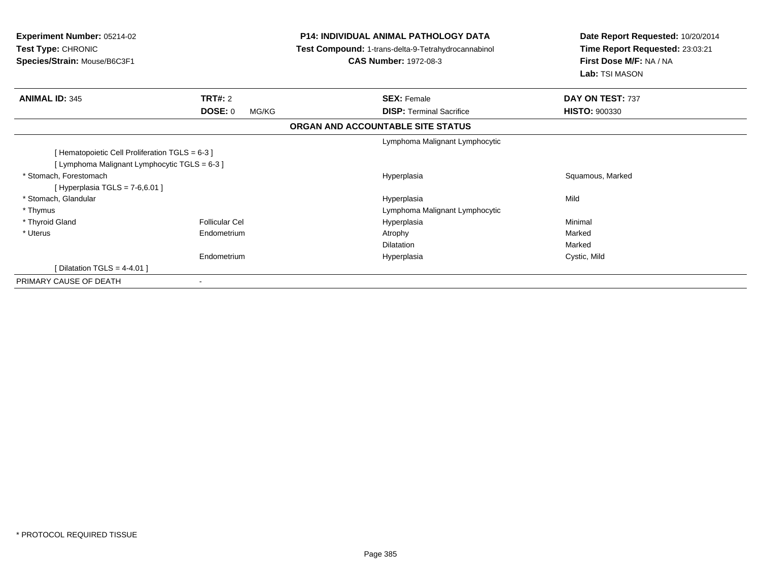| <b>Experiment Number: 05214-02</b><br>Test Type: CHRONIC<br>Species/Strain: Mouse/B6C3F1        |                         | <b>P14: INDIVIDUAL ANIMAL PATHOLOGY DATA</b><br>Test Compound: 1-trans-delta-9-Tetrahydrocannabinol<br><b>CAS Number: 1972-08-3</b> | Date Report Requested: 10/20/2014<br>Time Report Requested: 23:03:21<br>First Dose M/F: NA / NA<br>Lab: TSI MASON |
|-------------------------------------------------------------------------------------------------|-------------------------|-------------------------------------------------------------------------------------------------------------------------------------|-------------------------------------------------------------------------------------------------------------------|
| <b>ANIMAL ID: 345</b>                                                                           | TRT#: 2                 | <b>SEX: Female</b>                                                                                                                  | DAY ON TEST: 737                                                                                                  |
|                                                                                                 | <b>DOSE: 0</b><br>MG/KG | <b>DISP: Terminal Sacrifice</b>                                                                                                     | <b>HISTO: 900330</b>                                                                                              |
|                                                                                                 |                         | ORGAN AND ACCOUNTABLE SITE STATUS                                                                                                   |                                                                                                                   |
|                                                                                                 |                         | Lymphoma Malignant Lymphocytic                                                                                                      |                                                                                                                   |
| [Hematopoietic Cell Proliferation TGLS = 6-3 ]<br>[ Lymphoma Malignant Lymphocytic TGLS = 6-3 ] |                         |                                                                                                                                     |                                                                                                                   |
| * Stomach. Forestomach<br>[Hyperplasia TGLS = $7-6,6.01$ ]                                      |                         | Hyperplasia                                                                                                                         | Squamous, Marked                                                                                                  |
| * Stomach, Glandular                                                                            |                         | Hyperplasia                                                                                                                         | Mild                                                                                                              |
| * Thymus                                                                                        |                         | Lymphoma Malignant Lymphocytic                                                                                                      |                                                                                                                   |
| * Thyroid Gland                                                                                 | <b>Follicular Cel</b>   | Hyperplasia                                                                                                                         | Minimal                                                                                                           |
| * Uterus                                                                                        | Endometrium             | Atrophy                                                                                                                             | Marked                                                                                                            |
|                                                                                                 |                         | <b>Dilatation</b>                                                                                                                   | Marked                                                                                                            |
|                                                                                                 | Endometrium             | Hyperplasia                                                                                                                         | Cystic, Mild                                                                                                      |
| [Dilatation TGLS = 4-4.01]                                                                      |                         |                                                                                                                                     |                                                                                                                   |
| PRIMARY CAUSE OF DEATH                                                                          | ٠                       |                                                                                                                                     |                                                                                                                   |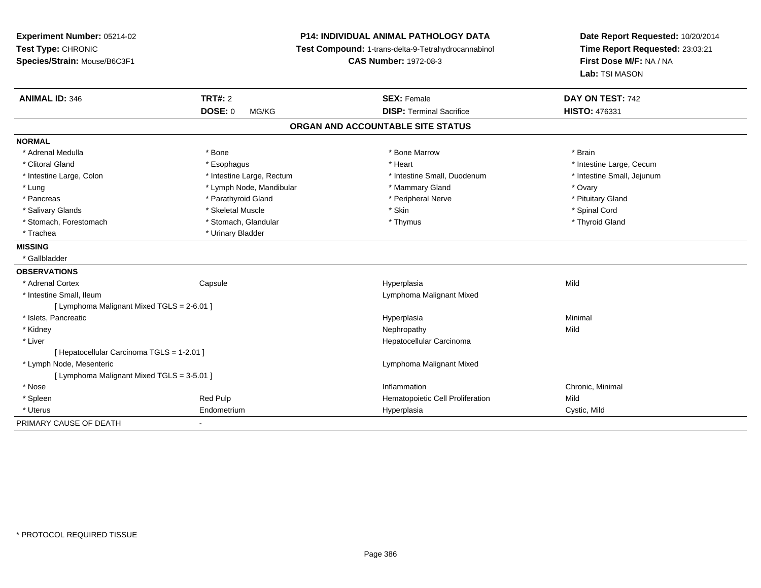| Experiment Number: 05214-02<br>Test Type: CHRONIC<br>Species/Strain: Mouse/B6C3F1 |                           | <b>P14: INDIVIDUAL ANIMAL PATHOLOGY DATA</b><br>Test Compound: 1-trans-delta-9-Tetrahydrocannabinol<br><b>CAS Number: 1972-08-3</b> | Date Report Requested: 10/20/2014<br>Time Report Requested: 23:03:21<br>First Dose M/F: NA / NA<br>Lab: TSI MASON |
|-----------------------------------------------------------------------------------|---------------------------|-------------------------------------------------------------------------------------------------------------------------------------|-------------------------------------------------------------------------------------------------------------------|
| <b>ANIMAL ID: 346</b>                                                             | <b>TRT#: 2</b>            | <b>SEX: Female</b>                                                                                                                  | DAY ON TEST: 742                                                                                                  |
|                                                                                   | <b>DOSE: 0</b><br>MG/KG   | <b>DISP: Terminal Sacrifice</b>                                                                                                     | <b>HISTO: 476331</b>                                                                                              |
|                                                                                   |                           | ORGAN AND ACCOUNTABLE SITE STATUS                                                                                                   |                                                                                                                   |
| <b>NORMAL</b>                                                                     |                           |                                                                                                                                     |                                                                                                                   |
| * Adrenal Medulla                                                                 | * Bone                    | * Bone Marrow                                                                                                                       | * Brain                                                                                                           |
| * Clitoral Gland                                                                  | * Esophagus               | * Heart                                                                                                                             | * Intestine Large, Cecum                                                                                          |
| * Intestine Large, Colon                                                          | * Intestine Large, Rectum | * Intestine Small, Duodenum                                                                                                         | * Intestine Small, Jejunum                                                                                        |
| * Lung                                                                            | * Lymph Node, Mandibular  | * Mammary Gland                                                                                                                     | * Ovary                                                                                                           |
| * Pancreas                                                                        | * Parathyroid Gland       | * Peripheral Nerve                                                                                                                  | * Pituitary Gland                                                                                                 |
| * Salivary Glands                                                                 | * Skeletal Muscle         | * Skin                                                                                                                              | * Spinal Cord                                                                                                     |
| * Stomach, Forestomach                                                            | * Stomach, Glandular      | * Thymus                                                                                                                            | * Thyroid Gland                                                                                                   |
| * Trachea                                                                         | * Urinary Bladder         |                                                                                                                                     |                                                                                                                   |
| <b>MISSING</b>                                                                    |                           |                                                                                                                                     |                                                                                                                   |
| * Gallbladder                                                                     |                           |                                                                                                                                     |                                                                                                                   |
| <b>OBSERVATIONS</b>                                                               |                           |                                                                                                                                     |                                                                                                                   |
| * Adrenal Cortex                                                                  | Capsule                   | Hyperplasia                                                                                                                         | Mild                                                                                                              |
| * Intestine Small, Ileum                                                          |                           | Lymphoma Malignant Mixed                                                                                                            |                                                                                                                   |
| [ Lymphoma Malignant Mixed TGLS = 2-6.01 ]                                        |                           |                                                                                                                                     |                                                                                                                   |
| * Islets, Pancreatic                                                              |                           | Hyperplasia                                                                                                                         | Minimal                                                                                                           |
| * Kidney                                                                          |                           | Nephropathy                                                                                                                         | Mild                                                                                                              |
| * Liver                                                                           |                           | Hepatocellular Carcinoma                                                                                                            |                                                                                                                   |
| [ Hepatocellular Carcinoma TGLS = 1-2.01 ]                                        |                           |                                                                                                                                     |                                                                                                                   |
| * Lymph Node, Mesenteric                                                          |                           | Lymphoma Malignant Mixed                                                                                                            |                                                                                                                   |
| [ Lymphoma Malignant Mixed TGLS = 3-5.01 ]                                        |                           |                                                                                                                                     |                                                                                                                   |
| * Nose                                                                            |                           | Inflammation                                                                                                                        | Chronic, Minimal                                                                                                  |
| * Spleen                                                                          | Red Pulp                  | Hematopoietic Cell Proliferation                                                                                                    | Mild                                                                                                              |
| * Uterus                                                                          | Endometrium               | Hyperplasia                                                                                                                         | Cystic, Mild                                                                                                      |
| PRIMARY CAUSE OF DEATH                                                            |                           |                                                                                                                                     |                                                                                                                   |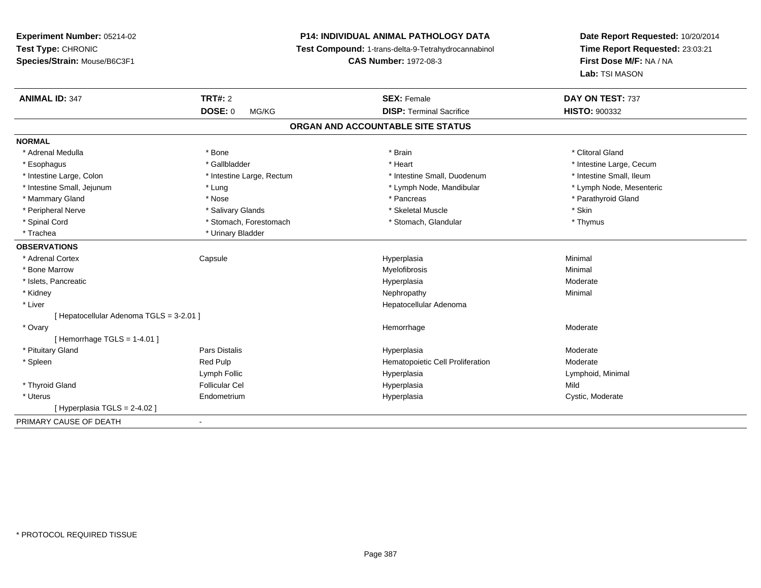**Experiment Number:** 05214-02**Test Type:** CHRONIC **Species/Strain:** Mouse/B6C3F1**P14: INDIVIDUAL ANIMAL PATHOLOGY DATA Test Compound:** 1-trans-delta-9-Tetrahydrocannabinol **CAS Number:** 1972-08-3**Date Report Requested:** 10/20/2014**Time Report Requested:** 23:03:21**First Dose M/F:** NA / NA**Lab:** TSI MASON**ANIMAL ID:** 347**TRT#:** 2 **SEX:** Female **DAY ON TEST:** 737 **DOSE:** 0 MG/KG **DISP:** Terminal Sacrifice **HISTO:** <sup>900332</sup> **ORGAN AND ACCOUNTABLE SITE STATUSNORMAL**\* Adrenal Medulla \* The state of the state of the state of the state of the state of the state of the state of the state of the state of the state of the state of the state of the state of the state of the state of the sta \* Esophagus \* https://www.fragustage.com/web/2019/heart \* Heart \* Heart \* Heart \* Intestine Large, Cecum \* Intestine Large, Cecum \* Sallbladder \* The state of the state of the state of the state of the state of the state o \* Intestine Small. Ileum \* Intestine Large, Colon \* Intestine Large, Rectum \* Intestine Small, Duodenum \* Intestine Small, Duodenum \* Lymph Node, Mesenteric \* Intestine Small, Jejunum \* The metal \* Lung \* Lymph Node, Mandibular \* Lymph Node, Mandibular \* Mammary Gland \* \* Nose \* \* Nose \* \* Pancreas \* Pancreas \* \* Pancreas \* \* Pancreas \* \* Pancreas \* \* Parathyroid Gland \* Peripheral Nerve \* Salivary Glands \* Skeletal Muscle \* Skin\* Thymus \* Spinal Cord \* Stomach, Forestomach \* Stomach \* Stomach, Glandular \* Stomach, Glandular \* Trachea \* Urinary Bladder**OBSERVATIONS** \* Adrenal Cortex Capsulee and the Hyperplasia Minimal Minimal Service and the Hyperplasia Minimal Minimal Service and Minimal Service and Minimal Service and Minimal Service and Minimal Service and Minimal Service and Minimal Service and Minimal \* Bone Marroww which is a controller to the Myelofibrosis and the Minimal method of the Minimal method of the Minimal method of the Minimal method of the Minimal method of the Minimal method of the Minimal method of the Minimal method \* Islets, Pancreaticc description of the control of the control of the control of the control of the control of the control of the control of the control of the control of the control of the control of the control of the control of the contro Moderate \* Kidneyy the control of the control of the control of the control of the control of the control of the control of the control of the control of the control of the control of the control of the control of the control of the contro \* Liver Hepatocellular Adenoma[ Hepatocellular Adenoma TGLS = 3-2.01 ] \* Ovaryy the control of the control of the control of the control of the control of the control of the control of the control of the control of the control of the control of the control of the control of the control of the contro Hemorrhage Moderate [ Hemorrhage TGLS = 1-4.01 ] \* Pituitary Gland Pars Distalis Hyperplasia Moderate \* SpleenRed Pulp Moderate **Hematopoietic Cell Proliferation** Moderate Lymph Follic Hyperplasia Lymphoid, Minimal \* Thyroid Gland Follicular Cel Hyperplasia Mild \* Uterus Endometrium Hyperplasia Cystic, Moderate  $[$  Hyperplasia TGLS = 2-4.02  $]$ PRIMARY CAUSE OF DEATH-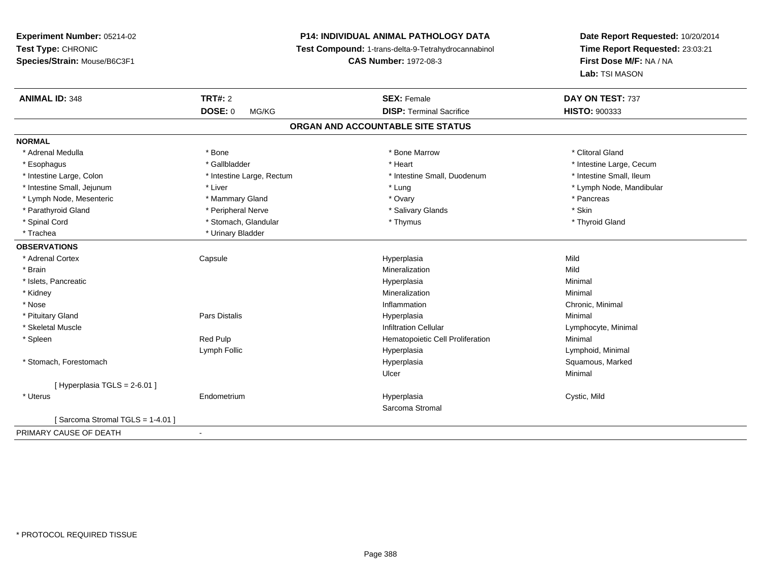# **P14: INDIVIDUAL ANIMAL PATHOLOGY DATA**

**Test Compound:** 1-trans-delta-9-Tetrahydrocannabinol

**CAS Number:** 1972-08-3

| <b>ANIMAL ID: 348</b>           | <b>TRT#: 2</b>            | <b>SEX: Female</b>                | DAY ON TEST: 737         |
|---------------------------------|---------------------------|-----------------------------------|--------------------------|
|                                 | <b>DOSE: 0</b><br>MG/KG   | <b>DISP: Terminal Sacrifice</b>   | <b>HISTO: 900333</b>     |
|                                 |                           | ORGAN AND ACCOUNTABLE SITE STATUS |                          |
| <b>NORMAL</b>                   |                           |                                   |                          |
| * Adrenal Medulla               | * Bone                    | * Bone Marrow                     | * Clitoral Gland         |
| * Esophagus                     | * Gallbladder             | * Heart                           | * Intestine Large, Cecum |
| * Intestine Large, Colon        | * Intestine Large, Rectum | * Intestine Small, Duodenum       | * Intestine Small, Ileum |
| * Intestine Small, Jejunum      | * Liver                   | * Lung                            | * Lymph Node, Mandibular |
| * Lymph Node, Mesenteric        | * Mammary Gland           | * Ovary                           | * Pancreas               |
| * Parathyroid Gland             | * Peripheral Nerve        | * Salivary Glands                 | * Skin                   |
| * Spinal Cord                   | * Stomach, Glandular      | * Thymus                          | * Thyroid Gland          |
| * Trachea                       | * Urinary Bladder         |                                   |                          |
| <b>OBSERVATIONS</b>             |                           |                                   |                          |
| * Adrenal Cortex                | Capsule                   | Hyperplasia                       | Mild                     |
| * Brain                         |                           | Mineralization                    | Mild                     |
| * Islets, Pancreatic            |                           | Hyperplasia                       | Minimal                  |
| * Kidney                        |                           | Mineralization                    | Minimal                  |
| * Nose                          |                           | Inflammation                      | Chronic, Minimal         |
| * Pituitary Gland               | <b>Pars Distalis</b>      | Hyperplasia                       | Minimal                  |
| * Skeletal Muscle               |                           | <b>Infiltration Cellular</b>      | Lymphocyte, Minimal      |
| * Spleen                        | Red Pulp                  | Hematopoietic Cell Proliferation  | Minimal                  |
|                                 | Lymph Follic              | Hyperplasia                       | Lymphoid, Minimal        |
| * Stomach, Forestomach          |                           | Hyperplasia                       | Squamous, Marked         |
|                                 |                           | Ulcer                             | Minimal                  |
| [ Hyperplasia TGLS = 2-6.01 ]   |                           |                                   |                          |
| * Uterus                        | Endometrium               | Hyperplasia                       | Cystic, Mild             |
|                                 |                           | Sarcoma Stromal                   |                          |
| [Sarcoma Stromal TGLS = 1-4.01] |                           |                                   |                          |
| PRIMARY CAUSE OF DEATH          | $\sim$                    |                                   |                          |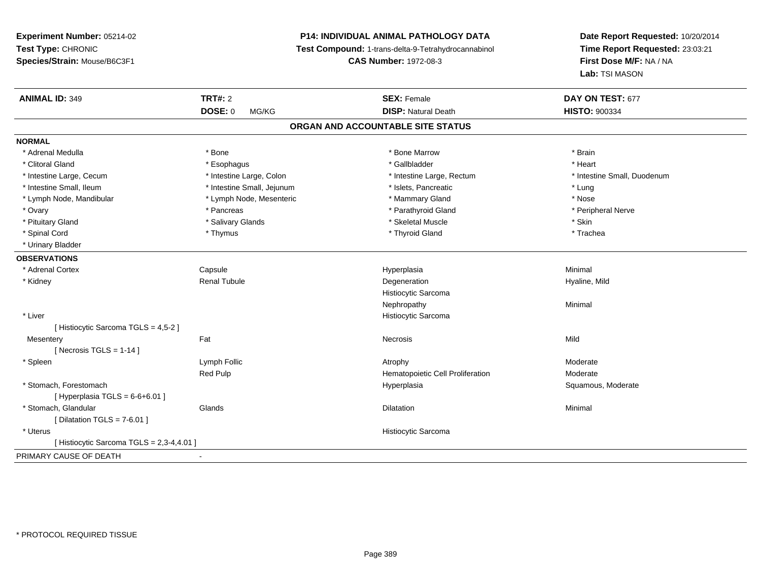# **P14: INDIVIDUAL ANIMAL PATHOLOGY DATA**

**Test Compound:** 1-trans-delta-9-Tetrahydrocannabinol

**CAS Number:** 1972-08-3

| <b>ANIMAL ID: 349</b>                   | <b>TRT#: 2</b>             | <b>SEX: Female</b>                | DAY ON TEST: 677            |  |
|-----------------------------------------|----------------------------|-----------------------------------|-----------------------------|--|
|                                         | <b>DOSE: 0</b><br>MG/KG    | <b>DISP: Natural Death</b>        | <b>HISTO: 900334</b>        |  |
|                                         |                            | ORGAN AND ACCOUNTABLE SITE STATUS |                             |  |
| <b>NORMAL</b>                           |                            |                                   |                             |  |
| * Adrenal Medulla                       | * Bone                     | * Bone Marrow                     | * Brain                     |  |
| * Clitoral Gland                        | * Esophagus                | * Gallbladder                     | * Heart                     |  |
| * Intestine Large, Cecum                | * Intestine Large, Colon   | * Intestine Large, Rectum         | * Intestine Small, Duodenum |  |
| * Intestine Small, Ileum                | * Intestine Small, Jejunum | * Islets, Pancreatic              | * Lung                      |  |
| * Lymph Node, Mandibular                | * Lymph Node, Mesenteric   | * Mammary Gland                   | * Nose                      |  |
| * Ovary                                 | * Pancreas                 | * Parathyroid Gland               | * Peripheral Nerve          |  |
| * Pituitary Gland                       | * Salivary Glands          | * Skeletal Muscle                 | * Skin                      |  |
| * Spinal Cord                           | * Thymus                   | * Thyroid Gland                   | * Trachea                   |  |
| * Urinary Bladder                       |                            |                                   |                             |  |
| <b>OBSERVATIONS</b>                     |                            |                                   |                             |  |
| * Adrenal Cortex                        | Capsule                    | Hyperplasia                       | Minimal                     |  |
| * Kidney                                | <b>Renal Tubule</b>        | Degeneration                      | Hyaline, Mild               |  |
|                                         |                            | Histiocytic Sarcoma               |                             |  |
|                                         |                            | Nephropathy                       | Minimal                     |  |
| * Liver                                 |                            | Histiocytic Sarcoma               |                             |  |
| [Histiocytic Sarcoma TGLS = 4,5-2]      |                            |                                   |                             |  |
| Mesentery                               | Fat                        | Necrosis                          | Mild                        |  |
| [Necrosis TGLS = $1-14$ ]               |                            |                                   |                             |  |
| * Spleen                                | Lymph Follic               | Atrophy                           | Moderate                    |  |
|                                         | Red Pulp                   | Hematopoietic Cell Proliferation  | Moderate                    |  |
| * Stomach, Forestomach                  |                            | Hyperplasia                       | Squamous, Moderate          |  |
| [ Hyperplasia TGLS = $6-6+6.01$ ]       |                            |                                   |                             |  |
| * Stomach, Glandular                    | Glands                     | Dilatation                        | Minimal                     |  |
| [Dilatation TGLS = $7-6.01$ ]           |                            |                                   |                             |  |
| * Uterus                                |                            | Histiocytic Sarcoma               |                             |  |
| [Histiocytic Sarcoma TGLS = 2,3-4,4.01] |                            |                                   |                             |  |
| PRIMARY CAUSE OF DEATH                  | ٠                          |                                   |                             |  |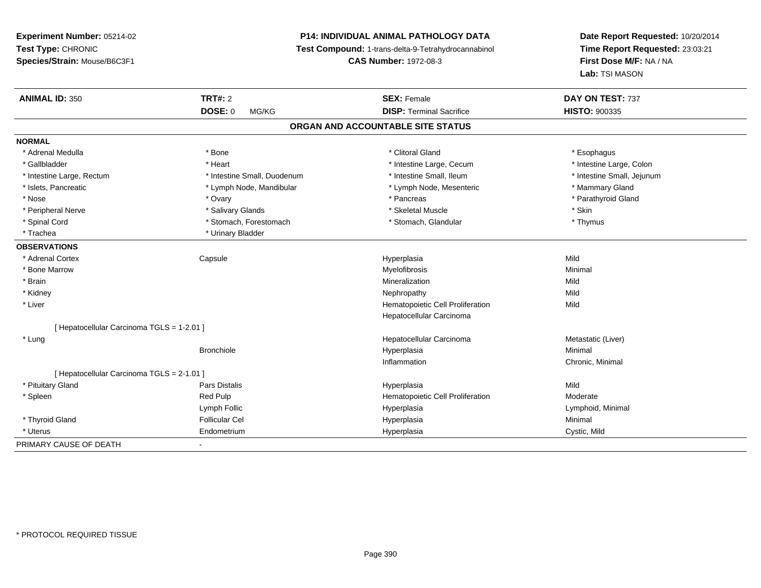# **P14: INDIVIDUAL ANIMAL PATHOLOGY DATA**

**Test Compound:** 1-trans-delta-9-Tetrahydrocannabinol

**CAS Number:** 1972-08-3

| <b>ANIMAL ID: 350</b>                      | <b>TRT#: 2</b>              | <b>SEX: Female</b>                | DAY ON TEST: 737           |
|--------------------------------------------|-----------------------------|-----------------------------------|----------------------------|
|                                            | <b>DOSE: 0</b><br>MG/KG     | <b>DISP: Terminal Sacrifice</b>   | <b>HISTO: 900335</b>       |
|                                            |                             | ORGAN AND ACCOUNTABLE SITE STATUS |                            |
| <b>NORMAL</b>                              |                             |                                   |                            |
| * Adrenal Medulla                          | * Bone                      | * Clitoral Gland                  | * Esophagus                |
| * Gallbladder                              | * Heart                     | * Intestine Large, Cecum          | * Intestine Large, Colon   |
| * Intestine Large, Rectum                  | * Intestine Small, Duodenum | * Intestine Small, Ileum          | * Intestine Small, Jejunum |
| * Islets, Pancreatic                       | * Lymph Node, Mandibular    | * Lymph Node, Mesenteric          | * Mammary Gland            |
| * Nose                                     | * Ovary                     | * Pancreas                        | * Parathyroid Gland        |
| * Peripheral Nerve                         | * Salivary Glands           | * Skeletal Muscle                 | * Skin                     |
| * Spinal Cord                              | * Stomach, Forestomach      | * Stomach, Glandular              | * Thymus                   |
| * Trachea                                  | * Urinary Bladder           |                                   |                            |
| <b>OBSERVATIONS</b>                        |                             |                                   |                            |
| * Adrenal Cortex                           | Capsule                     | Hyperplasia                       | Mild                       |
| * Bone Marrow                              |                             | Myelofibrosis                     | Minimal                    |
| * Brain                                    |                             | Mineralization                    | Mild                       |
| * Kidney                                   |                             | Nephropathy                       | Mild                       |
| * Liver                                    |                             | Hematopoietic Cell Proliferation  | Mild                       |
|                                            |                             | Hepatocellular Carcinoma          |                            |
| [ Hepatocellular Carcinoma TGLS = 1-2.01 ] |                             |                                   |                            |
| * Lung                                     |                             | Hepatocellular Carcinoma          | Metastatic (Liver)         |
|                                            | <b>Bronchiole</b>           | Hyperplasia                       | Minimal                    |
|                                            |                             | Inflammation                      | Chronic, Minimal           |
| [ Hepatocellular Carcinoma TGLS = 2-1.01 ] |                             |                                   |                            |
| * Pituitary Gland                          | Pars Distalis               | Hyperplasia                       | Mild                       |
| * Spleen                                   | Red Pulp                    | Hematopoietic Cell Proliferation  | Moderate                   |
|                                            | Lymph Follic                | Hyperplasia                       | Lymphoid, Minimal          |
| * Thyroid Gland                            | <b>Follicular Cel</b>       | Hyperplasia                       | Minimal                    |
| * Uterus                                   | Endometrium                 | Hyperplasia                       | Cystic, Mild               |
| PRIMARY CAUSE OF DEATH                     | $\blacksquare$              |                                   |                            |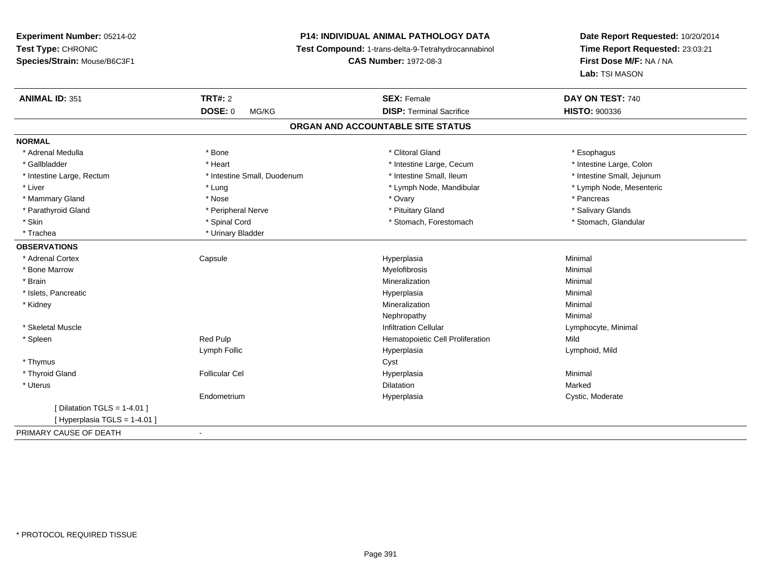# **P14: INDIVIDUAL ANIMAL PATHOLOGY DATA**

**Test Compound:** 1-trans-delta-9-Tetrahydrocannabinol

**CAS Number:** 1972-08-3

| <b>ANIMAL ID: 351</b>             | <b>TRT#: 2</b>              | <b>SEX: Female</b>               | DAY ON TEST: 740           |  |
|-----------------------------------|-----------------------------|----------------------------------|----------------------------|--|
|                                   | <b>DOSE: 0</b><br>MG/KG     | <b>DISP: Terminal Sacrifice</b>  | <b>HISTO: 900336</b>       |  |
| ORGAN AND ACCOUNTABLE SITE STATUS |                             |                                  |                            |  |
| <b>NORMAL</b>                     |                             |                                  |                            |  |
| * Adrenal Medulla                 | * Bone                      | * Clitoral Gland                 | * Esophagus                |  |
| * Gallbladder                     | * Heart                     | * Intestine Large, Cecum         | * Intestine Large, Colon   |  |
| * Intestine Large, Rectum         | * Intestine Small, Duodenum | * Intestine Small, Ileum         | * Intestine Small, Jejunum |  |
| * Liver                           | * Lung                      | * Lymph Node, Mandibular         | * Lymph Node, Mesenteric   |  |
| * Mammary Gland                   | * Nose                      | * Ovary                          | * Pancreas                 |  |
| * Parathyroid Gland               | * Peripheral Nerve          | * Pituitary Gland                | * Salivary Glands          |  |
| * Skin                            | * Spinal Cord               | * Stomach, Forestomach           | * Stomach, Glandular       |  |
| * Trachea                         | * Urinary Bladder           |                                  |                            |  |
| <b>OBSERVATIONS</b>               |                             |                                  |                            |  |
| * Adrenal Cortex                  | Capsule                     | Hyperplasia                      | Minimal                    |  |
| * Bone Marrow                     |                             | Myelofibrosis                    | Minimal                    |  |
| * Brain                           |                             | Mineralization                   | Minimal                    |  |
| * Islets, Pancreatic              |                             | Hyperplasia                      | Minimal                    |  |
| * Kidney                          |                             | Mineralization                   | Minimal                    |  |
|                                   |                             | Nephropathy                      | Minimal                    |  |
| * Skeletal Muscle                 |                             | <b>Infiltration Cellular</b>     | Lymphocyte, Minimal        |  |
| * Spleen                          | Red Pulp                    | Hematopoietic Cell Proliferation | Mild                       |  |
|                                   | Lymph Follic                | Hyperplasia                      | Lymphoid, Mild             |  |
| * Thymus                          |                             | Cyst                             |                            |  |
| * Thyroid Gland                   | <b>Follicular Cel</b>       | Hyperplasia                      | Minimal                    |  |
| * Uterus                          |                             | <b>Dilatation</b>                | Marked                     |  |
|                                   | Endometrium                 | Hyperplasia                      | Cystic, Moderate           |  |
| [ Dilatation TGLS = $1-4.01$ ]    |                             |                                  |                            |  |
| [ Hyperplasia TGLS = 1-4.01 ]     |                             |                                  |                            |  |
| PRIMARY CAUSE OF DEATH            | $\blacksquare$              |                                  |                            |  |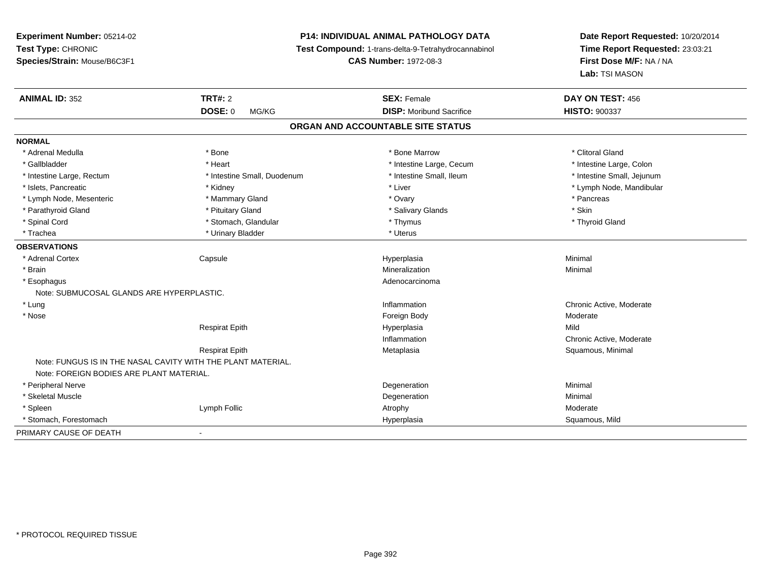# **P14: INDIVIDUAL ANIMAL PATHOLOGY DATA**

**Test Compound:** 1-trans-delta-9-Tetrahydrocannabinol

**CAS Number:** 1972-08-3

| <b>ANIMAL ID: 352</b>                     | <b>TRT#: 2</b>                                               | <b>SEX: Female</b>                | DAY ON TEST: 456           |  |
|-------------------------------------------|--------------------------------------------------------------|-----------------------------------|----------------------------|--|
|                                           | <b>DOSE: 0</b><br>MG/KG                                      | <b>DISP:</b> Moribund Sacrifice   | <b>HISTO: 900337</b>       |  |
|                                           |                                                              | ORGAN AND ACCOUNTABLE SITE STATUS |                            |  |
| <b>NORMAL</b>                             |                                                              |                                   |                            |  |
| * Adrenal Medulla                         | * Bone                                                       | * Bone Marrow                     | * Clitoral Gland           |  |
| * Gallbladder                             | * Heart                                                      | * Intestine Large, Cecum          | * Intestine Large, Colon   |  |
| * Intestine Large, Rectum                 | * Intestine Small, Duodenum                                  | * Intestine Small, Ileum          | * Intestine Small, Jejunum |  |
| * Islets, Pancreatic                      | * Kidney                                                     | * Liver                           | * Lymph Node, Mandibular   |  |
| * Lymph Node, Mesenteric                  | * Mammary Gland                                              | * Ovary                           | * Pancreas                 |  |
| * Parathyroid Gland                       | * Pituitary Gland                                            | * Salivary Glands                 | * Skin                     |  |
| * Spinal Cord                             | * Stomach, Glandular                                         | * Thymus                          | * Thyroid Gland            |  |
| * Trachea                                 | * Urinary Bladder                                            | * Uterus                          |                            |  |
| <b>OBSERVATIONS</b>                       |                                                              |                                   |                            |  |
| * Adrenal Cortex                          | Capsule                                                      | Hyperplasia                       | Minimal                    |  |
| * Brain                                   |                                                              | Mineralization                    | Minimal                    |  |
| * Esophagus                               |                                                              | Adenocarcinoma                    |                            |  |
| Note: SUBMUCOSAL GLANDS ARE HYPERPLASTIC. |                                                              |                                   |                            |  |
| * Lung                                    |                                                              | Inflammation                      | Chronic Active, Moderate   |  |
| * Nose                                    |                                                              | Foreign Body                      | Moderate                   |  |
|                                           | <b>Respirat Epith</b>                                        | Hyperplasia                       | Mild                       |  |
|                                           |                                                              | Inflammation                      | Chronic Active, Moderate   |  |
|                                           | <b>Respirat Epith</b>                                        | Metaplasia                        | Squamous, Minimal          |  |
| Note: FOREIGN BODIES ARE PLANT MATERIAL.  | Note: FUNGUS IS IN THE NASAL CAVITY WITH THE PLANT MATERIAL. |                                   |                            |  |
| * Peripheral Nerve                        |                                                              | Degeneration                      | Minimal                    |  |
| * Skeletal Muscle                         |                                                              | Degeneration                      | Minimal                    |  |
| * Spleen                                  | Lymph Follic                                                 | Atrophy                           | Moderate                   |  |
| * Stomach, Forestomach                    |                                                              | Hyperplasia                       | Squamous, Mild             |  |
| PRIMARY CAUSE OF DEATH                    | $\blacksquare$                                               |                                   |                            |  |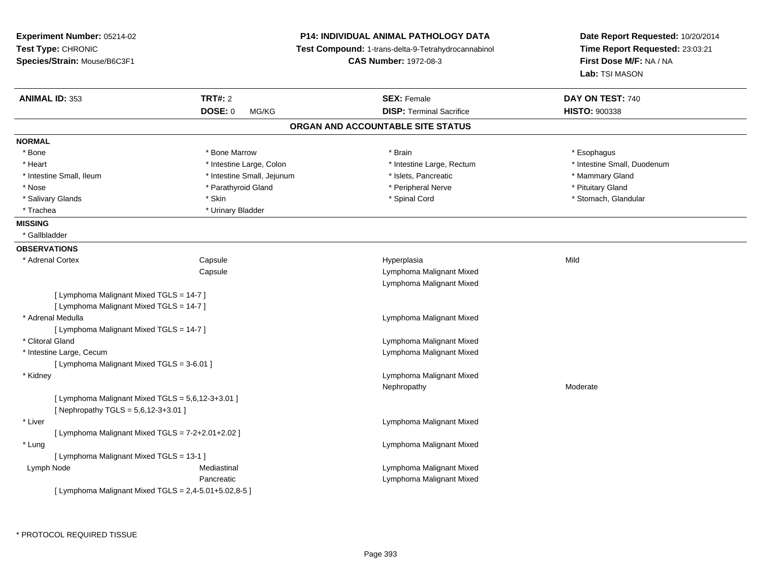| Experiment Number: 05214-02<br>Test Type: CHRONIC<br>Species/Strain: Mouse/B6C3F1 |                            | <b>P14: INDIVIDUAL ANIMAL PATHOLOGY DATA</b><br>Test Compound: 1-trans-delta-9-Tetrahydrocannabinol<br><b>CAS Number: 1972-08-3</b> | Date Report Requested: 10/20/2014<br>Time Report Requested: 23:03:21<br>First Dose M/F: NA / NA<br>Lab: TSI MASON |
|-----------------------------------------------------------------------------------|----------------------------|-------------------------------------------------------------------------------------------------------------------------------------|-------------------------------------------------------------------------------------------------------------------|
| <b>ANIMAL ID: 353</b>                                                             | <b>TRT#: 2</b>             | <b>SEX: Female</b>                                                                                                                  | DAY ON TEST: 740                                                                                                  |
|                                                                                   | <b>DOSE: 0</b><br>MG/KG    | <b>DISP: Terminal Sacrifice</b>                                                                                                     | <b>HISTO: 900338</b>                                                                                              |
|                                                                                   |                            | ORGAN AND ACCOUNTABLE SITE STATUS                                                                                                   |                                                                                                                   |
| <b>NORMAL</b>                                                                     |                            |                                                                                                                                     |                                                                                                                   |
| * Bone                                                                            | * Bone Marrow              | * Brain                                                                                                                             | * Esophagus                                                                                                       |
| * Heart                                                                           | * Intestine Large, Colon   | * Intestine Large, Rectum                                                                                                           | * Intestine Small, Duodenum                                                                                       |
| * Intestine Small, Ileum                                                          | * Intestine Small, Jejunum | * Islets, Pancreatic                                                                                                                | * Mammary Gland                                                                                                   |
| * Nose                                                                            | * Parathyroid Gland        | * Peripheral Nerve                                                                                                                  | * Pituitary Gland                                                                                                 |
| * Salivary Glands                                                                 | * Skin                     | * Spinal Cord                                                                                                                       | * Stomach, Glandular                                                                                              |
| * Trachea                                                                         | * Urinary Bladder          |                                                                                                                                     |                                                                                                                   |
| <b>MISSING</b>                                                                    |                            |                                                                                                                                     |                                                                                                                   |
| * Gallbladder                                                                     |                            |                                                                                                                                     |                                                                                                                   |
| <b>OBSERVATIONS</b>                                                               |                            |                                                                                                                                     |                                                                                                                   |
| * Adrenal Cortex                                                                  | Capsule                    | Hyperplasia                                                                                                                         | Mild                                                                                                              |
|                                                                                   | Capsule                    | Lymphoma Malignant Mixed                                                                                                            |                                                                                                                   |
|                                                                                   |                            | Lymphoma Malignant Mixed                                                                                                            |                                                                                                                   |
| [ Lymphoma Malignant Mixed TGLS = 14-7 ]                                          |                            |                                                                                                                                     |                                                                                                                   |
| [ Lymphoma Malignant Mixed TGLS = 14-7 ]                                          |                            |                                                                                                                                     |                                                                                                                   |
| * Adrenal Medulla                                                                 |                            | Lymphoma Malignant Mixed                                                                                                            |                                                                                                                   |
| [ Lymphoma Malignant Mixed TGLS = 14-7 ]                                          |                            |                                                                                                                                     |                                                                                                                   |
| * Clitoral Gland                                                                  |                            | Lymphoma Malignant Mixed                                                                                                            |                                                                                                                   |
| * Intestine Large, Cecum                                                          |                            | Lymphoma Malignant Mixed                                                                                                            |                                                                                                                   |
| [ Lymphoma Malignant Mixed TGLS = 3-6.01 ]                                        |                            |                                                                                                                                     |                                                                                                                   |
| * Kidney                                                                          |                            | Lymphoma Malignant Mixed                                                                                                            |                                                                                                                   |
|                                                                                   |                            | Nephropathy                                                                                                                         | Moderate                                                                                                          |
| [ Lymphoma Malignant Mixed TGLS = 5,6,12-3+3.01 ]                                 |                            |                                                                                                                                     |                                                                                                                   |
| [ Nephropathy TGLS = 5,6,12-3+3.01 ]                                              |                            |                                                                                                                                     |                                                                                                                   |
| * Liver                                                                           |                            | Lymphoma Malignant Mixed                                                                                                            |                                                                                                                   |
| [ Lymphoma Malignant Mixed TGLS = 7-2+2.01+2.02 ]                                 |                            |                                                                                                                                     |                                                                                                                   |
| * Lung                                                                            |                            | Lymphoma Malignant Mixed                                                                                                            |                                                                                                                   |
| [ Lymphoma Malignant Mixed TGLS = 13-1 ]                                          |                            |                                                                                                                                     |                                                                                                                   |
| Lymph Node                                                                        | Mediastinal                | Lymphoma Malignant Mixed                                                                                                            |                                                                                                                   |
|                                                                                   | Pancreatic                 | Lymphoma Malignant Mixed                                                                                                            |                                                                                                                   |
| [ Lymphoma Malignant Mixed TGLS = 2,4-5.01+5.02,8-5 ]                             |                            |                                                                                                                                     |                                                                                                                   |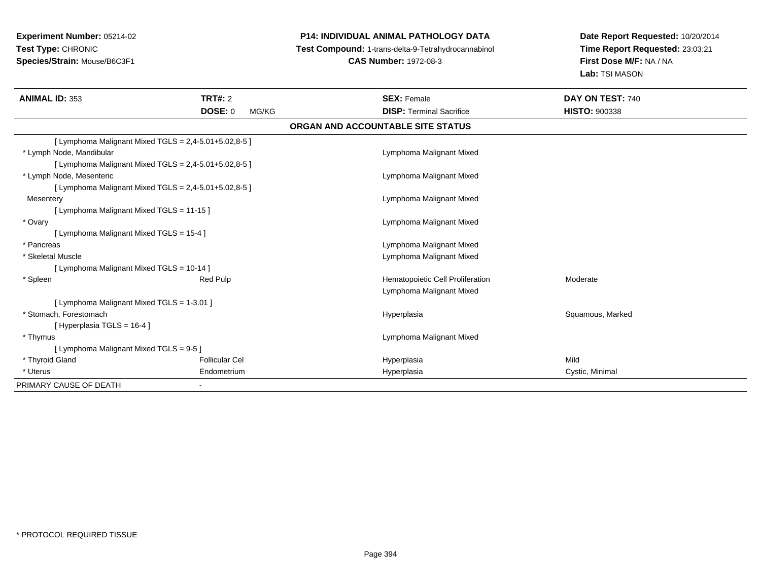# **P14: INDIVIDUAL ANIMAL PATHOLOGY DATA**

**Test Compound:** 1-trans-delta-9-Tetrahydrocannabinol

**CAS Number:** 1972-08-3

| <b>ANIMAL ID: 353</b>                                   | <b>TRT#: 2</b><br><b>DOSE: 0</b><br>MG/KG               | <b>SEX: Female</b><br><b>DISP: Terminal Sacrifice</b> | DAY ON TEST: 740<br><b>HISTO: 900338</b> |  |  |
|---------------------------------------------------------|---------------------------------------------------------|-------------------------------------------------------|------------------------------------------|--|--|
| ORGAN AND ACCOUNTABLE SITE STATUS                       |                                                         |                                                       |                                          |  |  |
|                                                         | [ Lymphoma Malignant Mixed TGLS = $2,4-5.01+5.02,8-5$ ] |                                                       |                                          |  |  |
| * Lymph Node, Mandibular                                |                                                         | Lymphoma Malignant Mixed                              |                                          |  |  |
| [Lymphoma Malignant Mixed TGLS = $2,4-5.01+5.02,8-5$ ]  |                                                         |                                                       |                                          |  |  |
| * Lymph Node, Mesenteric                                |                                                         | Lymphoma Malignant Mixed                              |                                          |  |  |
| [ Lymphoma Malignant Mixed TGLS = $2,4-5.01+5.02,8-5$ ] |                                                         |                                                       |                                          |  |  |
| Mesentery                                               |                                                         | Lymphoma Malignant Mixed                              |                                          |  |  |
| [Lymphoma Malignant Mixed TGLS = 11-15 ]                |                                                         |                                                       |                                          |  |  |
| * Ovary                                                 |                                                         | Lymphoma Malignant Mixed                              |                                          |  |  |
| [ Lymphoma Malignant Mixed TGLS = 15-4 ]                |                                                         |                                                       |                                          |  |  |
| * Pancreas                                              |                                                         | Lymphoma Malignant Mixed                              |                                          |  |  |
| * Skeletal Muscle                                       |                                                         | Lymphoma Malignant Mixed                              |                                          |  |  |
| [ Lymphoma Malignant Mixed TGLS = 10-14 ]               |                                                         |                                                       |                                          |  |  |
| * Spleen                                                | <b>Red Pulp</b>                                         | Hematopoietic Cell Proliferation                      | Moderate                                 |  |  |
|                                                         |                                                         | Lymphoma Malignant Mixed                              |                                          |  |  |
| [ Lymphoma Malignant Mixed TGLS = 1-3.01 ]              |                                                         |                                                       |                                          |  |  |
| * Stomach, Forestomach                                  |                                                         | Hyperplasia                                           | Squamous, Marked                         |  |  |
| [Hyperplasia TGLS = 16-4 ]                              |                                                         |                                                       |                                          |  |  |
| * Thymus                                                |                                                         | Lymphoma Malignant Mixed                              |                                          |  |  |
| [ Lymphoma Malignant Mixed TGLS = 9-5 ]                 |                                                         |                                                       |                                          |  |  |
| * Thyroid Gland                                         | <b>Follicular Cel</b>                                   | Hyperplasia                                           | Mild                                     |  |  |
| * Uterus                                                | Endometrium                                             | Hyperplasia                                           | Cystic, Minimal                          |  |  |
| PRIMARY CAUSE OF DEATH                                  |                                                         |                                                       |                                          |  |  |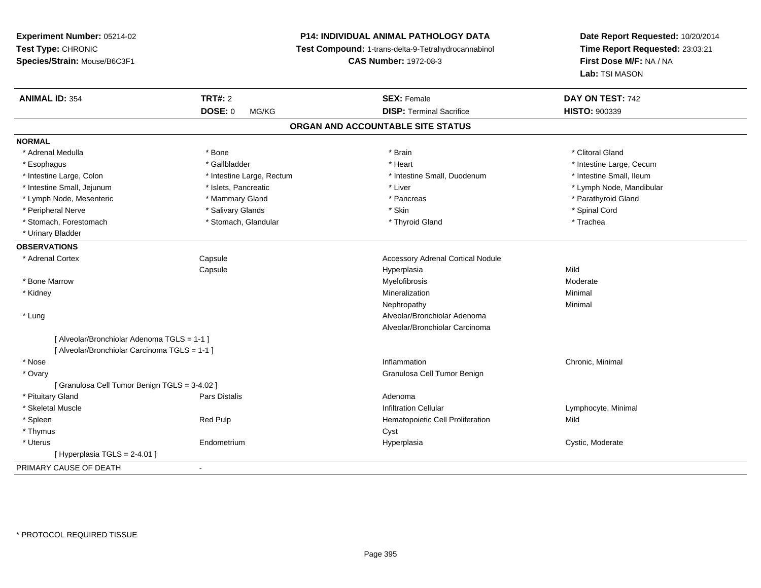**Experiment Number:** 05214-02**Test Type:** CHRONIC **Species/Strain:** Mouse/B6C3F1**P14: INDIVIDUAL ANIMAL PATHOLOGY DATA Test Compound:** 1-trans-delta-9-Tetrahydrocannabinol **CAS Number:** 1972-08-3**Date Report Requested:** 10/20/2014**Time Report Requested:** 23:03:21**First Dose M/F:** NA / NA**Lab:** TSI MASON**ANIMAL ID:** 354**TRT#:** 2 **SEX:** Female **DAY ON TEST:** 742 **DOSE:** 0 MG/KG **DISP:** Terminal Sacrifice **HISTO:** <sup>900339</sup> **ORGAN AND ACCOUNTABLE SITE STATUSNORMAL**\* Adrenal Medulla \* The state of the state of the state of the state of the state of the state of the state of the state of the state of the state of the state of the state of the state of the state of the state of the sta \* Esophagus \* https://www.fragustage.com/web/2019/heart \* Heart \* Heart \* Heart \* Intestine Large, Cecum \* Intestine Large, Cecum \* Sallbladder \* The state of the state of the state of the state of the state of the state o \* Intestine Small, Ileum \* Intestine Large, Colon \* Intestine Large, Rectum \* Intestine Small, Duodenum \* Intestine Small, Duodenum \* Intestine Small, Jejunum \* \* et \* \* http://www.fat.com/mandibulary.com/mandibulary/state/state/state/state/state/state/state/state/state/state/state/state/state/state/state/state/state/state/state/state/state/state/state \* Lymph Node, Mesenteric \* \* Mammary Gland \* Mammary Gland \* Pancreas \* Pancreas \* \* Pancreas \* Parathyroid Gland \* Peripheral Nerve \* \* \* Salivary Glands \* \* Salivary Glands \* \* Skin \* \* Skin \* \* Spinal Cord \* Spinal Cord \* \* Stomach, Forestomach \* Trachea \* Stomach, Glandular \* Thyroid Gland \* Thyroid Gland \* Trachea \* Trachea \* Urinary Bladder**OBSERVATIONS** \* Adrenal Cortex Capsule Accessory Adrenal Cortical Nodule Capsule Hyperplasia Mild \* Bone Marroww Myelofibrosis and the method of the Moderate Myelofibrosis and the Moderate Moderate  $\sim$  Moderate  $\sim$  \* Kidneyy with the control of the control of the control of the control of the control of the control of the control of the control of the control of the control of the control of the control of the control of the control of the c n Minimal Nephropathyy the contract of the Minimal Minimal Section 1996 and the contract of the Minimal Section 1997 and the contract of the contract of the contract of the contract of the contract of the contract of the contract of the contra \* Lung Alveolar/Bronchiolar Adenoma Alveolar/Bronchiolar Carcinoma[ Alveolar/Bronchiolar Adenoma TGLS = 1-1 ][ Alveolar/Bronchiolar Carcinoma TGLS = 1-1 ] \* Nosee inflammation control of the control of the control of the control of the control of the control of the control of the control of the control of the control of the control of the control of the control of the control of t \* Ovary Granulosa Cell Tumor Benign[ Granulosa Cell Tumor Benign TGLS = 3-4.02 ] \* Pituitary Glandd and the contract of Pars Distalis and the contract of Adenoma and Adenoma and the Adenoma and the Adenoma and  $\lambda$  \* Skeletal Muscle Infiltration Cellular Lymphocyte, Minimal \* SpleenRed Pulp **Network** Hematopoietic Cell Proliferation Mild \* Thymuss the contract of the contract of the contract of the contract of the contract of the contract of the contract of the contract of the contract of the contract of the contract of the contract of the contract of the contract \* Uterus Endometrium Hyperplasia Cystic, Moderate  $[$  Hyperplasia TGLS = 2-4.01  $]$ PRIMARY CAUSE OF DEATH-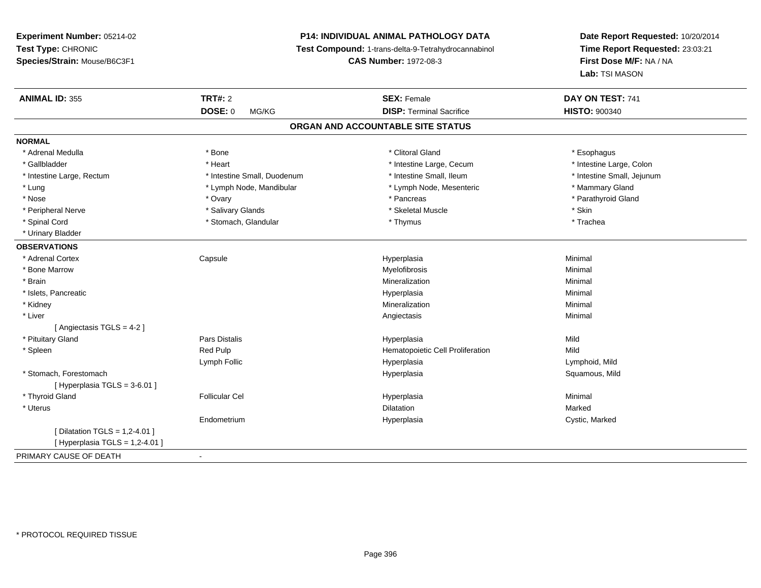# **P14: INDIVIDUAL ANIMAL PATHOLOGY DATA**

**Test Compound:** 1-trans-delta-9-Tetrahydrocannabinol

**CAS Number:** 1972-08-3

| <b>ANIMAL ID: 355</b>             | <b>TRT#: 2</b>              | <b>SEX: Female</b>                | DAY ON TEST: 741           |  |
|-----------------------------------|-----------------------------|-----------------------------------|----------------------------|--|
|                                   | <b>DOSE: 0</b><br>MG/KG     | <b>DISP: Terminal Sacrifice</b>   | <b>HISTO: 900340</b>       |  |
|                                   |                             | ORGAN AND ACCOUNTABLE SITE STATUS |                            |  |
| <b>NORMAL</b>                     |                             |                                   |                            |  |
| * Adrenal Medulla                 | * Bone                      | * Clitoral Gland                  | * Esophagus                |  |
| * Gallbladder                     | * Heart                     | * Intestine Large, Cecum          | * Intestine Large, Colon   |  |
| * Intestine Large, Rectum         | * Intestine Small, Duodenum | * Intestine Small, Ileum          | * Intestine Small, Jejunum |  |
| * Lung                            | * Lymph Node, Mandibular    | * Lymph Node, Mesenteric          | * Mammary Gland            |  |
| * Nose                            | * Ovary                     | * Pancreas                        | * Parathyroid Gland        |  |
| * Peripheral Nerve                | * Salivary Glands           | * Skeletal Muscle                 | * Skin                     |  |
| * Spinal Cord                     | * Stomach, Glandular        | * Thymus                          | * Trachea                  |  |
| * Urinary Bladder                 |                             |                                   |                            |  |
| <b>OBSERVATIONS</b>               |                             |                                   |                            |  |
| * Adrenal Cortex                  | Capsule                     | Hyperplasia                       | Minimal                    |  |
| * Bone Marrow                     |                             | Myelofibrosis                     | Minimal                    |  |
| * Brain                           |                             | Mineralization                    | Minimal                    |  |
| * Islets, Pancreatic              |                             | Hyperplasia                       | Minimal                    |  |
| * Kidney                          |                             | Mineralization                    | Minimal                    |  |
| * Liver                           |                             | Angiectasis                       | Minimal                    |  |
| [ Angiectasis TGLS = 4-2 ]        |                             |                                   |                            |  |
| * Pituitary Gland                 | Pars Distalis               | Hyperplasia                       | Mild                       |  |
| * Spleen                          | Red Pulp                    | Hematopoietic Cell Proliferation  | Mild                       |  |
|                                   | Lymph Follic                | Hyperplasia                       | Lymphoid, Mild             |  |
| * Stomach, Forestomach            |                             | Hyperplasia                       | Squamous, Mild             |  |
| [ Hyperplasia TGLS = 3-6.01 ]     |                             |                                   |                            |  |
| * Thyroid Gland                   | <b>Follicular Cel</b>       | Hyperplasia                       | Minimal                    |  |
| * Uterus                          |                             | <b>Dilatation</b>                 | Marked                     |  |
|                                   | Endometrium                 | Hyperplasia                       | Cystic, Marked             |  |
| [Dilatation TGLS = 1,2-4.01]      |                             |                                   |                            |  |
| [ Hyperplasia TGLS = $1,2-4.01$ ] |                             |                                   |                            |  |
| PRIMARY CAUSE OF DEATH            | $\overline{\phantom{a}}$    |                                   |                            |  |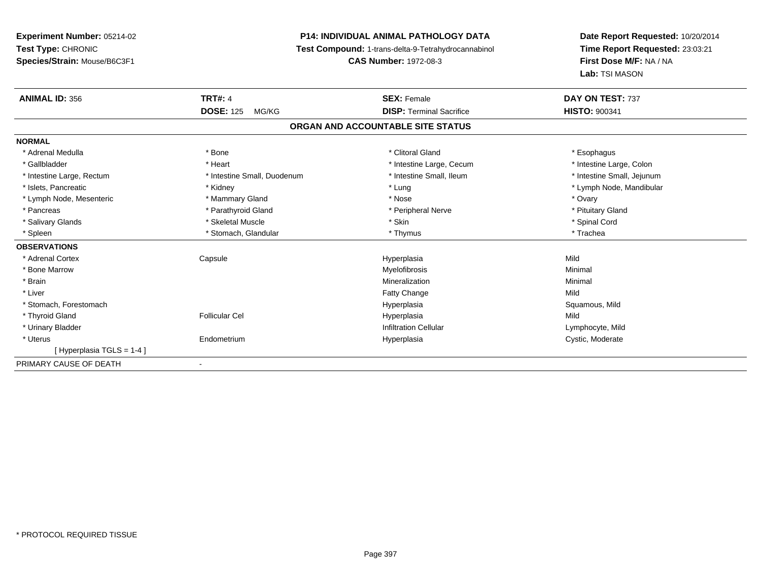# **P14: INDIVIDUAL ANIMAL PATHOLOGY DATA**

**Test Compound:** 1-trans-delta-9-Tetrahydrocannabinol

**CAS Number:** 1972-08-3

| <b>ANIMAL ID: 356</b>     | <b>TRT#: 4</b>              | <b>SEX: Female</b>                | DAY ON TEST: 737           |
|---------------------------|-----------------------------|-----------------------------------|----------------------------|
|                           | <b>DOSE: 125</b><br>MG/KG   | <b>DISP: Terminal Sacrifice</b>   | <b>HISTO: 900341</b>       |
|                           |                             | ORGAN AND ACCOUNTABLE SITE STATUS |                            |
| <b>NORMAL</b>             |                             |                                   |                            |
| * Adrenal Medulla         | * Bone                      | * Clitoral Gland                  | * Esophagus                |
| * Gallbladder             | * Heart                     | * Intestine Large, Cecum          | * Intestine Large, Colon   |
| * Intestine Large, Rectum | * Intestine Small, Duodenum | * Intestine Small, Ileum          | * Intestine Small, Jejunum |
| * Islets, Pancreatic      | * Kidney                    | * Lung                            | * Lymph Node, Mandibular   |
| * Lymph Node, Mesenteric  | * Mammary Gland             | * Nose                            | * Ovary                    |
| * Pancreas                | * Parathyroid Gland         | * Peripheral Nerve                | * Pituitary Gland          |
| * Salivary Glands         | * Skeletal Muscle           | * Skin                            | * Spinal Cord              |
| * Spleen                  | * Stomach, Glandular        | * Thymus                          | * Trachea                  |
| <b>OBSERVATIONS</b>       |                             |                                   |                            |
| * Adrenal Cortex          | Capsule                     | Hyperplasia                       | Mild                       |
| * Bone Marrow             |                             | Myelofibrosis                     | Minimal                    |
| * Brain                   |                             | Mineralization                    | Minimal                    |
| * Liver                   |                             | Fatty Change                      | Mild                       |
| * Stomach, Forestomach    |                             | Hyperplasia                       | Squamous, Mild             |
| * Thyroid Gland           | <b>Follicular Cel</b>       | Hyperplasia                       | Mild                       |
| * Urinary Bladder         |                             | <b>Infiltration Cellular</b>      | Lymphocyte, Mild           |
| * Uterus                  | Endometrium                 | Hyperplasia                       | Cystic, Moderate           |
| [Hyperplasia TGLS = 1-4]  |                             |                                   |                            |
| PRIMARY CAUSE OF DEATH    | ٠                           |                                   |                            |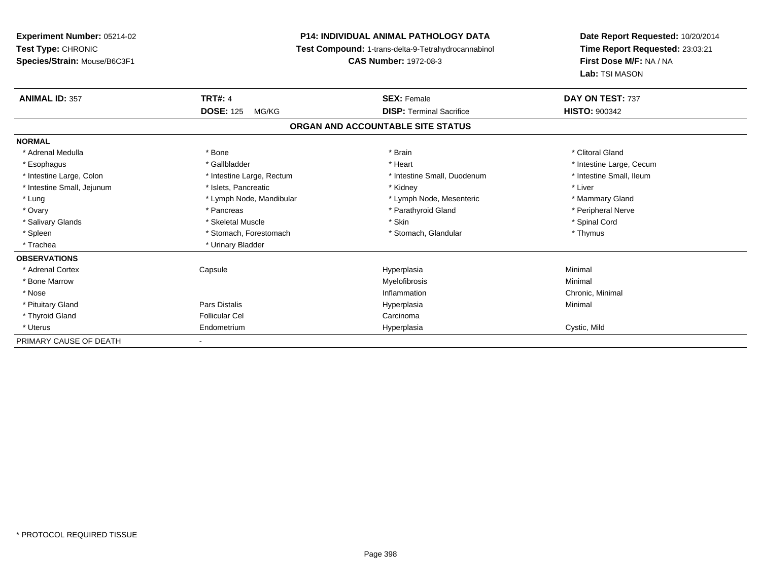**Experiment Number:** 05214-02**Test Type:** CHRONIC **Species/Strain:** Mouse/B6C3F1**P14: INDIVIDUAL ANIMAL PATHOLOGY DATA Test Compound:** 1-trans-delta-9-Tetrahydrocannabinol **CAS Number:** 1972-08-3**Date Report Requested:** 10/20/2014**Time Report Requested:** 23:03:21**First Dose M/F:** NA / NA**Lab:** TSI MASON**ANIMAL ID:** 357**TRT#:** 4 **SEX:** Female **SEX: Female DAY ON TEST:** 737 **DOSE:** 125 MG/KG **DISP:** Terminal Sacrifice **HISTO:** <sup>900342</sup> **ORGAN AND ACCOUNTABLE SITE STATUSNORMAL**\* Adrenal Medulla \* The state of the state of the state of the state of the state of the state of the state of the state of the state of the state of the state of the state of the state of the state of the state of the sta \* Esophagus \* https://www.fragustage.com/web/2019/heart \* Heart \* Heart \* Heart \* Intestine Large, Cecum \* Intestine Large, Cecum \* Sallbladder \* The state of the state of the state of the state of the state of the state o \* Intestine Small, Ileum \* Intestine Large, Colon \* Intestine Large, Rectum \* Intestine Small, Duodenum \* Intestine Small, Duodenum \* Intestine Small, Jejunum \* 1992 \* The state of the state of the state of the state of the state of the state of the state of the state of the state of the state of the state of the state of the state of the state of the \* Lung **\* Lymph Node, Mandibular \*** Lymph Node, Mesenteric \* Mammary Gland \* Mammary Gland \* Peripheral Nerve \* Ovary \* And the second of the second of the second version of the second version of the second version of the second version of the second version of the second version of the second version of the second version of the \* Salivary Glands \* \* Steeden \* \* Skeletal Muscle \* \* Skin \* \* Skin \* \* Steeden \* Spinal Cord \* Spinal Cord \* Spinal Cord \* Spinal Cord \* Spinal Cord \* Spinal Cord \* Spinal Cord \* Spinal Cord \* Spinal Cord \* Spinal Cord \* \* Spleen \* Stomach, Forestomach \* Stomach \* Stomach, Glandular \* Stomach, Glandular \* Thymus \* Trachea \* Urinary Bladder**OBSERVATIONS** \* Adrenal Cortex Capsule Hyperplasia Minimal \* Bone Marroww which is a controller to the Myelofibrosis and the Minimal method of the Minimal method of the Minimal method of the Minimal method of the Minimal method of the Minimal method of the Minimal method of the Minimal method \* Nosee inflammation control of the control of the control of the control of the control of the control of the control of the control of the control of the control of the control of the control of the control of the control of t \* Pituitary Gland Pars Distalis Hyperplasia Minimal \* Thyroid Glandd Carcinoma **Follicular Cel** Carcinoma Carcinoma Carcinoma Carcinoma Carcinoma Carcinoma Carcinoma Carcinoma Carcinoma Carcinoma Carcinoma Carcinoma Carcinoma Carcinoma Carcinoma Carcinoma Carcinoma Carcinoma Carcinoma Car \* Uterus Endometrium Hyperplasia Cystic, Mild PRIMARY CAUSE OF DEATH-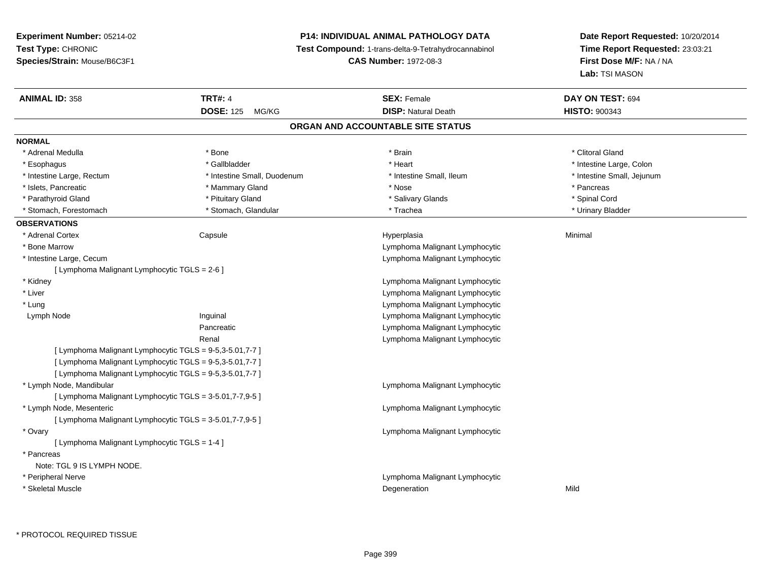# **P14: INDIVIDUAL ANIMAL PATHOLOGY DATA**

**Test Compound:** 1-trans-delta-9-Tetrahydrocannabinol

**CAS Number:** 1972-08-3

| <b>ANIMAL ID: 358</b>                         | <b>TRT#: 4</b>                                           | <b>SEX: Female</b>                | DAY ON TEST: 694           |  |
|-----------------------------------------------|----------------------------------------------------------|-----------------------------------|----------------------------|--|
|                                               | <b>DOSE: 125</b><br>MG/KG                                | <b>DISP: Natural Death</b>        | <b>HISTO: 900343</b>       |  |
|                                               |                                                          | ORGAN AND ACCOUNTABLE SITE STATUS |                            |  |
| <b>NORMAL</b>                                 |                                                          |                                   |                            |  |
| * Adrenal Medulla                             | * Bone                                                   | * Brain                           | * Clitoral Gland           |  |
| * Esophagus                                   | * Gallbladder                                            | * Heart                           | * Intestine Large, Colon   |  |
| * Intestine Large, Rectum                     | * Intestine Small, Duodenum                              | * Intestine Small, Ileum          | * Intestine Small, Jejunum |  |
| * Islets, Pancreatic                          | * Mammary Gland                                          | * Nose                            | * Pancreas                 |  |
| * Parathyroid Gland                           | * Pituitary Gland                                        | * Salivary Glands                 | * Spinal Cord              |  |
| * Stomach, Forestomach                        | * Stomach, Glandular                                     | * Trachea                         | * Urinary Bladder          |  |
| <b>OBSERVATIONS</b>                           |                                                          |                                   |                            |  |
| * Adrenal Cortex                              | Capsule                                                  | Hyperplasia                       | Minimal                    |  |
| * Bone Marrow                                 |                                                          | Lymphoma Malignant Lymphocytic    |                            |  |
| * Intestine Large, Cecum                      |                                                          | Lymphoma Malignant Lymphocytic    |                            |  |
| [ Lymphoma Malignant Lymphocytic TGLS = 2-6 ] |                                                          |                                   |                            |  |
| * Kidney                                      |                                                          | Lymphoma Malignant Lymphocytic    |                            |  |
| * Liver                                       |                                                          | Lymphoma Malignant Lymphocytic    |                            |  |
| * Lung                                        |                                                          | Lymphoma Malignant Lymphocytic    |                            |  |
| Lymph Node                                    | Inguinal                                                 | Lymphoma Malignant Lymphocytic    |                            |  |
|                                               | Pancreatic                                               | Lymphoma Malignant Lymphocytic    |                            |  |
|                                               | Renal                                                    | Lymphoma Malignant Lymphocytic    |                            |  |
|                                               | [ Lymphoma Malignant Lymphocytic TGLS = 9-5,3-5.01,7-7 ] |                                   |                            |  |
|                                               | [ Lymphoma Malignant Lymphocytic TGLS = 9-5,3-5.01,7-7 ] |                                   |                            |  |
|                                               | [ Lymphoma Malignant Lymphocytic TGLS = 9-5,3-5.01,7-7 ] |                                   |                            |  |
| * Lymph Node, Mandibular                      |                                                          | Lymphoma Malignant Lymphocytic    |                            |  |
|                                               | [ Lymphoma Malignant Lymphocytic TGLS = 3-5.01,7-7,9-5 ] |                                   |                            |  |
| * Lymph Node, Mesenteric                      |                                                          | Lymphoma Malignant Lymphocytic    |                            |  |
|                                               | [ Lymphoma Malignant Lymphocytic TGLS = 3-5.01,7-7,9-5 ] |                                   |                            |  |
| * Ovary                                       |                                                          | Lymphoma Malignant Lymphocytic    |                            |  |
| [ Lymphoma Malignant Lymphocytic TGLS = 1-4 ] |                                                          |                                   |                            |  |
| * Pancreas                                    |                                                          |                                   |                            |  |
| Note: TGL 9 IS LYMPH NODE.                    |                                                          |                                   |                            |  |
| * Peripheral Nerve                            |                                                          | Lymphoma Malignant Lymphocytic    |                            |  |
| * Skeletal Muscle                             |                                                          | Degeneration                      | Mild                       |  |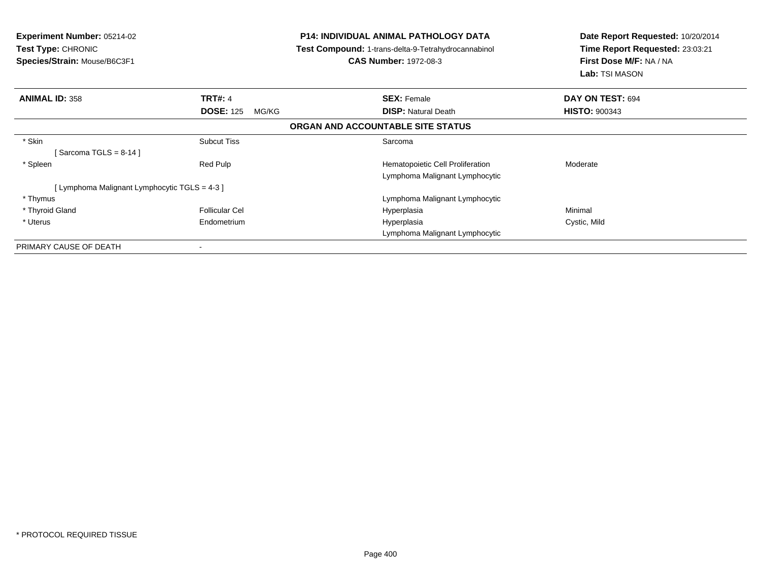| <b>Experiment Number: 05214-02</b><br><b>Test Type: CHRONIC</b><br>Species/Strain: Mouse/B6C3F1 |                           | <b>P14: INDIVIDUAL ANIMAL PATHOLOGY DATA</b><br><b>Test Compound: 1-trans-delta-9-Tetrahydrocannabinol</b><br><b>CAS Number: 1972-08-3</b> | Date Report Requested: 10/20/2014<br>Time Report Requested: 23:03:21<br>First Dose M/F: NA / NA<br>Lab: TSI MASON |  |
|-------------------------------------------------------------------------------------------------|---------------------------|--------------------------------------------------------------------------------------------------------------------------------------------|-------------------------------------------------------------------------------------------------------------------|--|
| <b>ANIMAL ID: 358</b>                                                                           | <b>TRT#: 4</b>            | <b>SEX: Female</b>                                                                                                                         | DAY ON TEST: 694                                                                                                  |  |
|                                                                                                 | <b>DOSE: 125</b><br>MG/KG | <b>DISP:</b> Natural Death                                                                                                                 | <b>HISTO: 900343</b>                                                                                              |  |
|                                                                                                 |                           | ORGAN AND ACCOUNTABLE SITE STATUS                                                                                                          |                                                                                                                   |  |
| * Skin                                                                                          | <b>Subcut Tiss</b>        | Sarcoma                                                                                                                                    |                                                                                                                   |  |
| $[$ Sarcoma TGLS = 8-14 $]$                                                                     |                           |                                                                                                                                            |                                                                                                                   |  |
| * Spleen                                                                                        | Red Pulp                  | Hematopoietic Cell Proliferation                                                                                                           | Moderate                                                                                                          |  |
|                                                                                                 |                           | Lymphoma Malignant Lymphocytic                                                                                                             |                                                                                                                   |  |
| [Lymphoma Malignant Lymphocytic TGLS = 4-3 ]                                                    |                           |                                                                                                                                            |                                                                                                                   |  |
| * Thymus                                                                                        |                           | Lymphoma Malignant Lymphocytic                                                                                                             |                                                                                                                   |  |
| * Thyroid Gland                                                                                 | <b>Follicular Cel</b>     | Hyperplasia                                                                                                                                | Minimal                                                                                                           |  |
| * Uterus                                                                                        | Endometrium               | Hyperplasia                                                                                                                                | Cystic, Mild                                                                                                      |  |
|                                                                                                 |                           | Lymphoma Malignant Lymphocytic                                                                                                             |                                                                                                                   |  |
| PRIMARY CAUSE OF DEATH                                                                          | ۰                         |                                                                                                                                            |                                                                                                                   |  |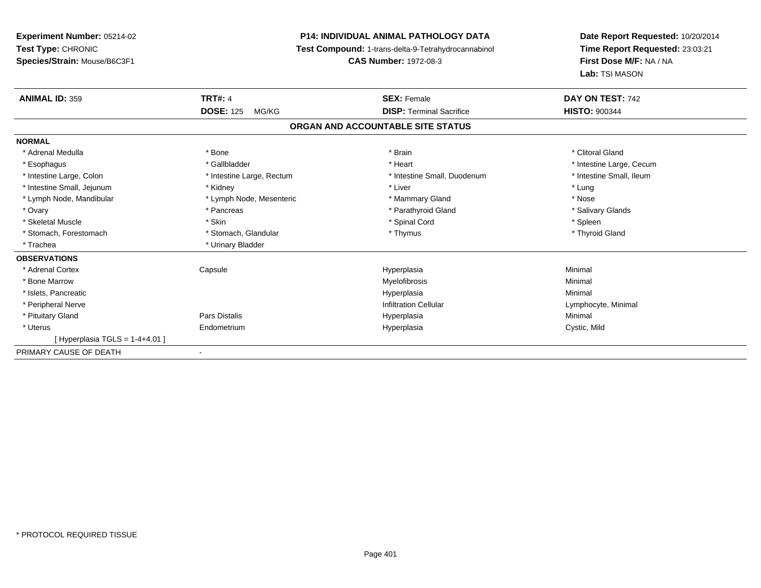**Experiment Number:** 05214-02**Test Type:** CHRONIC **Species/Strain:** Mouse/B6C3F1**P14: INDIVIDUAL ANIMAL PATHOLOGY DATA Test Compound:** 1-trans-delta-9-Tetrahydrocannabinol **CAS Number:** 1972-08-3**Date Report Requested:** 10/20/2014**Time Report Requested:** 23:03:21**First Dose M/F:** NA / NA**Lab:** TSI MASON**ANIMAL ID:** 359**TRT#:** 4 **SEX:** Female **SEX: Female DAY ON TEST:** 742 **DOSE:** 125 MG/KG **DISP:** Terminal Sacrifice **HISTO:** <sup>900344</sup> **ORGAN AND ACCOUNTABLE SITE STATUSNORMAL**\* Adrenal Medulla \* The state of the state of the state of the state of the state of the state of the state of the state of the state of the state of the state of the state of the state of the state of the state of the sta \* Esophagus \* https://www.fragustage.com/web/2019/heart \* Heart \* Heart \* Heart \* Intestine Large, Cecum \* Intestine Large, Cecum \* Sallbladder \* The state of the state of the state of the state of the state of the state o \* Intestine Small, Ileum \* Intestine Large, Colon \* Intestine Large, Rectum \* Intestine Small, Duodenum \* Intestine Small, Duodenum \* Intestine Small, Jejunum \* \* Nidney \* Kidney \* Notation \* Liver \* Liver \* Liver \* Lung \* Lung \* Lung \* Lung \* Lung \* Lung \* Lung \* Lung \* Lung \* Lung \* Lung \* Lung \* Lung \* Lung \* Lung \* Lung \* Lung \* Lung \* Lung \* Lung \* Nose \* Lymph Node, Mandibular \* Lymph Node, Mesenteric \* Mammary Gland \* Mammary Gland \* Salivary Glands \* Ovary \* \* Pancreas \* \* Pancreas \* \* Pancreas \* \* Parathyroid Gland \* \* Salivary Glands \* Salivary Glands \* Salivary Glands \* Salivary Glands \* Salivary Glands \* Salivary Glands \* Salivary Glands \* \* Salivary Glands \* \* S \* Skeletal Muscle \* Skin \* Spinal Cord \* Spleen \* Thyroid Gland \* Stomach, Forestomach \* Thymus \* Stomach, Glandular \* Thymus \* Thymus \* Thymus \* Thymus \* Thymus \* Thymus \* Thymus \* Thymus \* Thymus \* Thymus \* Thymus \* Thymus \* Thymus \* Thymus \* Thymus \* Thymus \* Thymus \* Thymus \* Thymu \* Trachea \* Urinary Bladder**OBSERVATIONS** \* Adrenal Cortex Capsule Hyperplasia Minimal \* Bone Marroww which is a controller to the Myelofibrosis and the Minimal method of the Minimal method of the Minimal method of the Minimal method of the Minimal method of the Minimal method of the Minimal method of the Minimal method \* Islets, Pancreaticc description of the control of the control of the control of the control of the control of the control of the control of the control of the control of the control of the control of the control of the control of the contro Hyperplasia<br>
Infiltration Cellular<br>
Lympho \* Peripheral Nerve Infiltration Cellular Lymphocyte, Minimal \* Pituitary Gland Pars Distalis Hyperplasia Minimal \* Uterus Endometrium Hyperplasia Cystic, Mild  $[$  Hyperplasia TGLS = 1-4+4.01  $]$ PRIMARY CAUSE OF DEATH-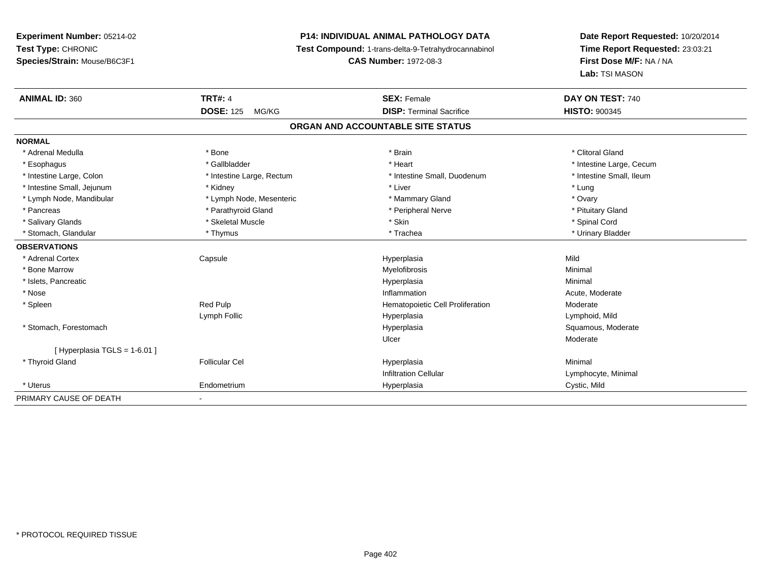# **P14: INDIVIDUAL ANIMAL PATHOLOGY DATA**

**Test Compound:** 1-trans-delta-9-Tetrahydrocannabinol

**CAS Number:** 1972-08-3

| <b>ANIMAL ID: 360</b>       | <b>TRT#: 4</b>            | <b>SEX: Female</b>                | DAY ON TEST: 740         |
|-----------------------------|---------------------------|-----------------------------------|--------------------------|
|                             | <b>DOSE: 125</b><br>MG/KG | <b>DISP: Terminal Sacrifice</b>   | <b>HISTO: 900345</b>     |
|                             |                           | ORGAN AND ACCOUNTABLE SITE STATUS |                          |
| <b>NORMAL</b>               |                           |                                   |                          |
| * Adrenal Medulla           | * Bone                    | * Brain                           | * Clitoral Gland         |
| * Esophagus                 | * Gallbladder             | * Heart                           | * Intestine Large, Cecum |
| * Intestine Large, Colon    | * Intestine Large, Rectum | * Intestine Small, Duodenum       | * Intestine Small, Ileum |
| * Intestine Small, Jejunum  | * Kidney                  | * Liver                           | * Lung                   |
| * Lymph Node, Mandibular    | * Lymph Node, Mesenteric  | * Mammary Gland                   | * Ovary                  |
| * Pancreas                  | * Parathyroid Gland       | * Peripheral Nerve                | * Pituitary Gland        |
| * Salivary Glands           | * Skeletal Muscle         | * Skin                            | * Spinal Cord            |
| * Stomach, Glandular        | * Thymus                  | * Trachea                         | * Urinary Bladder        |
| <b>OBSERVATIONS</b>         |                           |                                   |                          |
| * Adrenal Cortex            | Capsule                   | Hyperplasia                       | Mild                     |
| * Bone Marrow               |                           | Myelofibrosis                     | Minimal                  |
| * Islets, Pancreatic        |                           | Hyperplasia                       | Minimal                  |
| * Nose                      |                           | Inflammation                      | Acute, Moderate          |
| * Spleen                    | <b>Red Pulp</b>           | Hematopoietic Cell Proliferation  | Moderate                 |
|                             | Lymph Follic              | Hyperplasia                       | Lymphoid, Mild           |
| * Stomach, Forestomach      |                           | Hyperplasia                       | Squamous, Moderate       |
|                             |                           | Ulcer                             | Moderate                 |
| [Hyperplasia TGLS = 1-6.01] |                           |                                   |                          |
| * Thyroid Gland             | <b>Follicular Cel</b>     | Hyperplasia                       | Minimal                  |
|                             |                           | <b>Infiltration Cellular</b>      | Lymphocyte, Minimal      |
| * Uterus                    | Endometrium               | Hyperplasia                       | Cystic, Mild             |
| PRIMARY CAUSE OF DEATH      |                           |                                   |                          |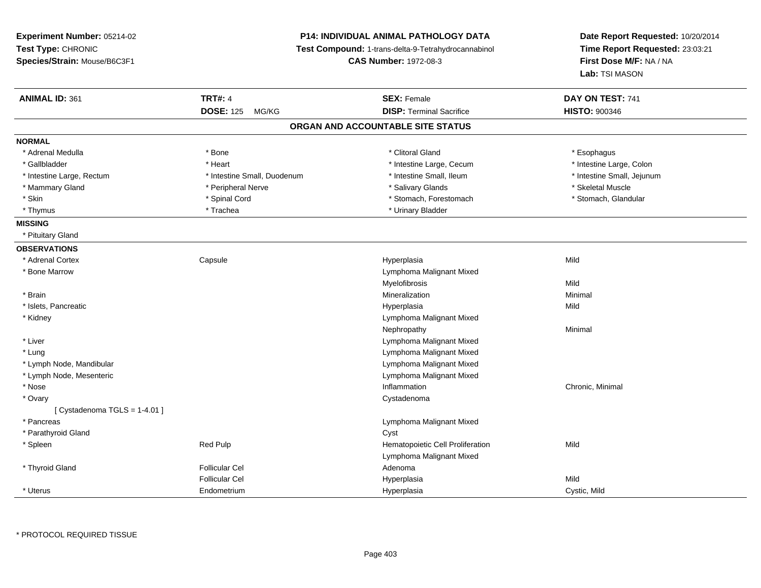| Experiment Number: 05214-02   |                              | P14: INDIVIDUAL ANIMAL PATHOLOGY DATA               | Date Report Requested: 10/20/2014<br>Time Report Requested: 23:03:21 |
|-------------------------------|------------------------------|-----------------------------------------------------|----------------------------------------------------------------------|
| Test Type: CHRONIC            |                              | Test Compound: 1-trans-delta-9-Tetrahydrocannabinol |                                                                      |
| Species/Strain: Mouse/B6C3F1  | <b>CAS Number: 1972-08-3</b> |                                                     | First Dose M/F: NA / NA                                              |
|                               |                              |                                                     | Lab: TSI MASON                                                       |
| <b>ANIMAL ID: 361</b>         | <b>TRT#: 4</b>               | <b>SEX: Female</b>                                  | DAY ON TEST: 741                                                     |
|                               | <b>DOSE: 125</b><br>MG/KG    | <b>DISP: Terminal Sacrifice</b>                     | <b>HISTO: 900346</b>                                                 |
|                               |                              | ORGAN AND ACCOUNTABLE SITE STATUS                   |                                                                      |
| <b>NORMAL</b>                 |                              |                                                     |                                                                      |
| * Adrenal Medulla             | * Bone                       | * Clitoral Gland                                    | * Esophagus                                                          |
| * Gallbladder                 | * Heart                      | * Intestine Large, Cecum                            | * Intestine Large, Colon                                             |
| * Intestine Large, Rectum     | * Intestine Small, Duodenum  | * Intestine Small, Ileum                            | * Intestine Small, Jejunum                                           |
| * Mammary Gland               | * Peripheral Nerve           | * Salivary Glands                                   | * Skeletal Muscle                                                    |
| * Skin                        | * Spinal Cord                | * Stomach, Forestomach                              | * Stomach, Glandular                                                 |
| * Thymus                      | * Trachea                    | * Urinary Bladder                                   |                                                                      |
| <b>MISSING</b>                |                              |                                                     |                                                                      |
| * Pituitary Gland             |                              |                                                     |                                                                      |
| <b>OBSERVATIONS</b>           |                              |                                                     |                                                                      |
| * Adrenal Cortex              | Capsule                      | Hyperplasia                                         | Mild                                                                 |
| * Bone Marrow                 |                              | Lymphoma Malignant Mixed                            |                                                                      |
|                               |                              | Myelofibrosis                                       | Mild                                                                 |
| * Brain                       |                              | Mineralization                                      | Minimal                                                              |
| * Islets, Pancreatic          |                              | Hyperplasia                                         | Mild                                                                 |
| * Kidney                      |                              | Lymphoma Malignant Mixed                            |                                                                      |
|                               |                              | Nephropathy                                         | Minimal                                                              |
| * Liver                       |                              | Lymphoma Malignant Mixed                            |                                                                      |
| * Lung                        |                              | Lymphoma Malignant Mixed                            |                                                                      |
| * Lymph Node, Mandibular      |                              | Lymphoma Malignant Mixed                            |                                                                      |
| * Lymph Node, Mesenteric      |                              | Lymphoma Malignant Mixed                            |                                                                      |
| * Nose                        |                              | Inflammation                                        | Chronic, Minimal                                                     |
| * Ovary                       |                              | Cystadenoma                                         |                                                                      |
| [ Cystadenoma TGLS = 1-4.01 ] |                              |                                                     |                                                                      |
| * Pancreas                    |                              | Lymphoma Malignant Mixed                            |                                                                      |
| * Parathyroid Gland           |                              | Cyst                                                |                                                                      |
| * Spleen                      | Red Pulp                     | Hematopoietic Cell Proliferation                    | Mild                                                                 |
|                               |                              | Lymphoma Malignant Mixed                            |                                                                      |
| * Thyroid Gland               | <b>Follicular Cel</b>        | Adenoma                                             |                                                                      |
|                               | <b>Follicular Cel</b>        | Hyperplasia                                         | Mild                                                                 |
| * Uterus                      | Endometrium                  | Hyperplasia                                         | Cystic, Mild                                                         |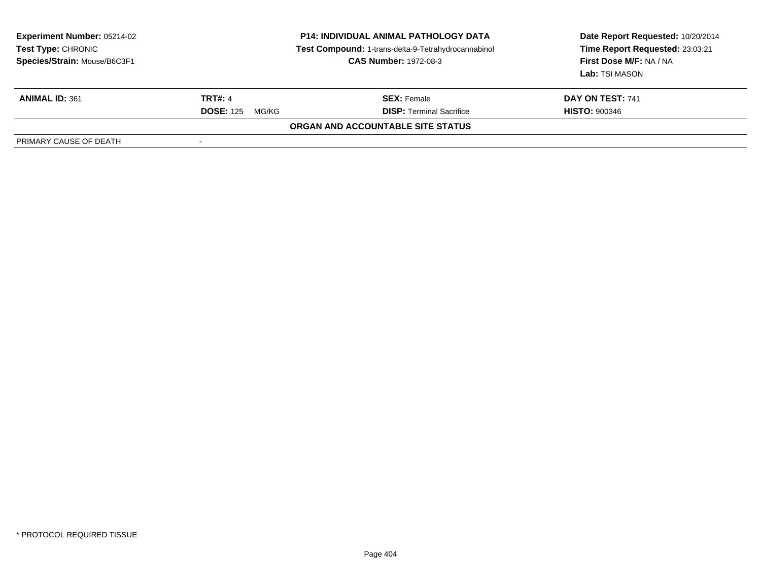| <b>Experiment Number: 05214-02</b><br>Test Type: CHRONIC<br>Species/Strain: Mouse/B6C3F1 | <b>P14: INDIVIDUAL ANIMAL PATHOLOGY DATA</b><br>Test Compound: 1-trans-delta-9-Tetrahydrocannabinol<br><b>CAS Number: 1972-08-3</b> |                                   | Date Report Requested: 10/20/2014<br>Time Report Requested: 23:03:21<br>First Dose M/F: NA / NA<br>Lab: TSI MASON |
|------------------------------------------------------------------------------------------|-------------------------------------------------------------------------------------------------------------------------------------|-----------------------------------|-------------------------------------------------------------------------------------------------------------------|
| <b>ANIMAL ID: 361</b>                                                                    | <b>TRT#: 4</b>                                                                                                                      | <b>SEX: Female</b>                | DAY ON TEST: 741                                                                                                  |
|                                                                                          | <b>DOSE: 125</b><br>MG/KG                                                                                                           | <b>DISP: Terminal Sacrifice</b>   | <b>HISTO: 900346</b>                                                                                              |
|                                                                                          |                                                                                                                                     | ORGAN AND ACCOUNTABLE SITE STATUS |                                                                                                                   |
| PRIMARY CAUSE OF DEATH                                                                   |                                                                                                                                     |                                   |                                                                                                                   |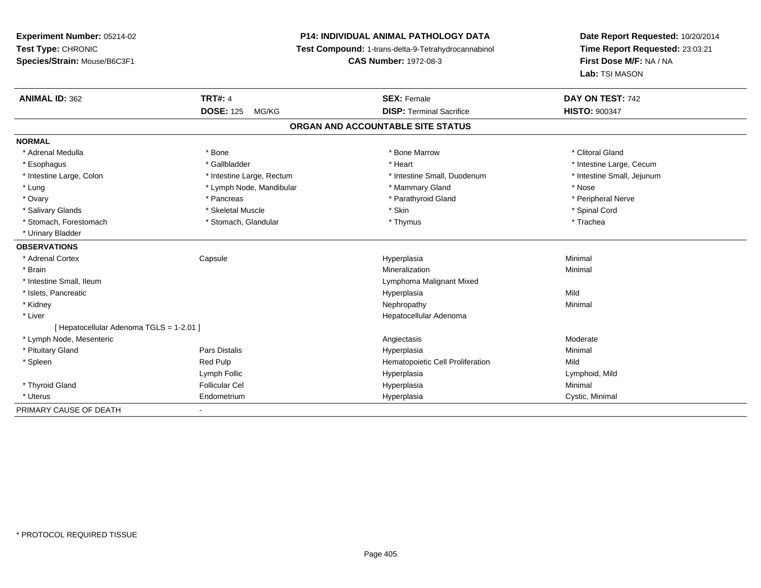# **P14: INDIVIDUAL ANIMAL PATHOLOGY DATA**

**Test Compound:** 1-trans-delta-9-Tetrahydrocannabinol

**CAS Number:** 1972-08-3

| <b>ANIMAL ID: 362</b>                    | <b>TRT#: 4</b>            | <b>SEX: Female</b>                | DAY ON TEST: 742           |
|------------------------------------------|---------------------------|-----------------------------------|----------------------------|
|                                          | <b>DOSE: 125</b><br>MG/KG | <b>DISP: Terminal Sacrifice</b>   | <b>HISTO: 900347</b>       |
|                                          |                           | ORGAN AND ACCOUNTABLE SITE STATUS |                            |
| <b>NORMAL</b>                            |                           |                                   |                            |
| * Adrenal Medulla                        | * Bone                    | * Bone Marrow                     | * Clitoral Gland           |
| * Esophagus                              | * Gallbladder             | * Heart                           | * Intestine Large, Cecum   |
| * Intestine Large, Colon                 | * Intestine Large, Rectum | * Intestine Small, Duodenum       | * Intestine Small, Jejunum |
| * Lung                                   | * Lymph Node, Mandibular  | * Mammary Gland                   | * Nose                     |
| * Ovary                                  | * Pancreas                | * Parathyroid Gland               | * Peripheral Nerve         |
| * Salivary Glands                        | * Skeletal Muscle         | * Skin                            | * Spinal Cord              |
| * Stomach, Forestomach                   | * Stomach, Glandular      | * Thymus                          | * Trachea                  |
| * Urinary Bladder                        |                           |                                   |                            |
| <b>OBSERVATIONS</b>                      |                           |                                   |                            |
| * Adrenal Cortex                         | Capsule                   | Hyperplasia                       | Minimal                    |
| * Brain                                  |                           | Mineralization                    | Minimal                    |
| * Intestine Small, Ileum                 |                           | Lymphoma Malignant Mixed          |                            |
| * Islets, Pancreatic                     |                           | Hyperplasia                       | Mild                       |
| * Kidney                                 |                           | Nephropathy                       | Minimal                    |
| * Liver                                  |                           | Hepatocellular Adenoma            |                            |
| [ Hepatocellular Adenoma TGLS = 1-2.01 ] |                           |                                   |                            |
| * Lymph Node, Mesenteric                 |                           | Angiectasis                       | Moderate                   |
| * Pituitary Gland                        | Pars Distalis             | Hyperplasia                       | Minimal                    |
| * Spleen                                 | Red Pulp                  | Hematopoietic Cell Proliferation  | Mild                       |
|                                          | Lymph Follic              | Hyperplasia                       | Lymphoid, Mild             |
| * Thyroid Gland                          | <b>Follicular Cel</b>     | Hyperplasia                       | Minimal                    |
| * Uterus                                 | Endometrium               | Hyperplasia                       | Cystic, Minimal            |
| PRIMARY CAUSE OF DEATH                   |                           |                                   |                            |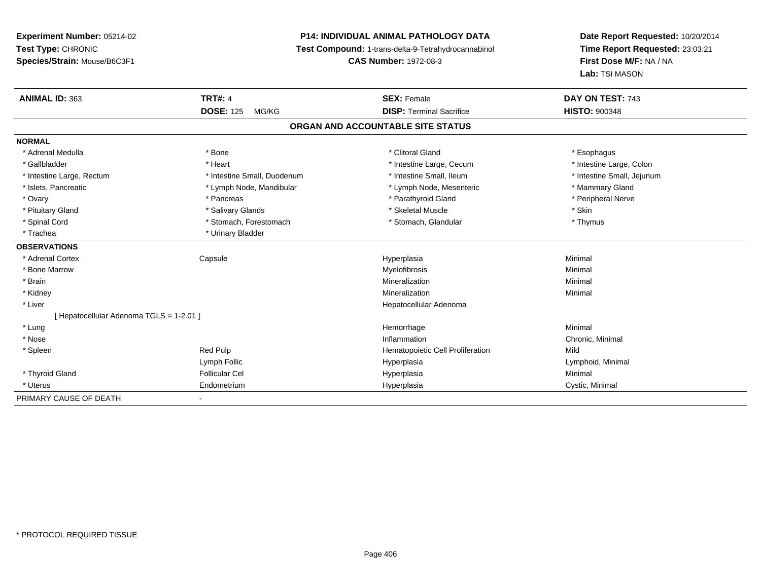# **P14: INDIVIDUAL ANIMAL PATHOLOGY DATA**

**Test Compound:** 1-trans-delta-9-Tetrahydrocannabinol

**CAS Number:** 1972-08-3

| <b>ANIMAL ID: 363</b>                    | <b>TRT#: 4</b>              | <b>SEX: Female</b>                | DAY ON TEST: 743           |
|------------------------------------------|-----------------------------|-----------------------------------|----------------------------|
|                                          | <b>DOSE: 125</b><br>MG/KG   | <b>DISP: Terminal Sacrifice</b>   | <b>HISTO: 900348</b>       |
|                                          |                             | ORGAN AND ACCOUNTABLE SITE STATUS |                            |
| <b>NORMAL</b>                            |                             |                                   |                            |
| * Adrenal Medulla                        | * Bone                      | * Clitoral Gland                  | * Esophagus                |
| * Gallbladder                            | * Heart                     | * Intestine Large, Cecum          | * Intestine Large, Colon   |
| * Intestine Large, Rectum                | * Intestine Small, Duodenum | * Intestine Small, Ileum          | * Intestine Small, Jejunum |
| * Islets, Pancreatic                     | * Lymph Node, Mandibular    | * Lymph Node, Mesenteric          | * Mammary Gland            |
| * Ovary                                  | * Pancreas                  | * Parathyroid Gland               | * Peripheral Nerve         |
| * Pituitary Gland                        | * Salivary Glands           | * Skeletal Muscle                 | * Skin                     |
| * Spinal Cord                            | * Stomach, Forestomach      | * Stomach, Glandular              | * Thymus                   |
| * Trachea                                | * Urinary Bladder           |                                   |                            |
| <b>OBSERVATIONS</b>                      |                             |                                   |                            |
| * Adrenal Cortex                         | Capsule                     | Hyperplasia                       | Minimal                    |
| * Bone Marrow                            |                             | <b>Myelofibrosis</b>              | Minimal                    |
| * Brain                                  |                             | Mineralization                    | Minimal                    |
| * Kidney                                 |                             | Mineralization                    | Minimal                    |
| * Liver                                  |                             | Hepatocellular Adenoma            |                            |
| [ Hepatocellular Adenoma TGLS = 1-2.01 ] |                             |                                   |                            |
| * Lung                                   |                             | Hemorrhage                        | Minimal                    |
| * Nose                                   |                             | Inflammation                      | Chronic, Minimal           |
| * Spleen                                 | Red Pulp                    | Hematopoietic Cell Proliferation  | Mild                       |
|                                          | Lymph Follic                | Hyperplasia                       | Lymphoid, Minimal          |
| * Thyroid Gland                          | <b>Follicular Cel</b>       | Hyperplasia                       | Minimal                    |
| * Uterus                                 | Endometrium                 | Hyperplasia                       | Cystic, Minimal            |
| PRIMARY CAUSE OF DEATH                   |                             |                                   |                            |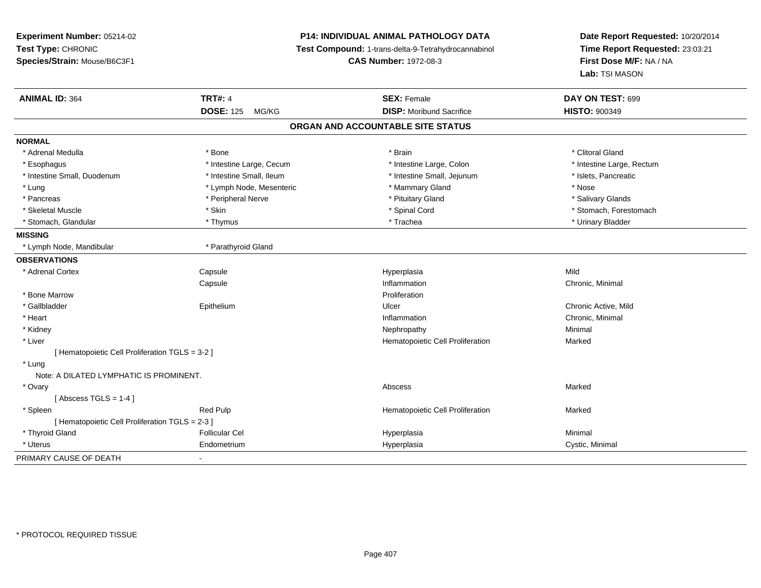**Experiment Number:** 05214-02**Test Type:** CHRONIC **Species/Strain:** Mouse/B6C3F1**P14: INDIVIDUAL ANIMAL PATHOLOGY DATA Test Compound:** 1-trans-delta-9-Tetrahydrocannabinol **CAS Number:** 1972-08-3**Date Report Requested:** 10/20/2014**Time Report Requested:** 23:03:21**First Dose M/F:** NA / NA**Lab:** TSI MASON**ANIMAL ID:** 364**TRT#:** 4 **SEX:** Female **SEX: Female DAY ON TEST:** 699 **DOSE:** 125 MG/KG**DISP:** Moribund Sacrifice **HISTO:**  $900349$ **ORGAN AND ACCOUNTABLE SITE STATUSNORMAL**\* Adrenal Medulla \* The state of the state of the state of the state of the state of the state of the state of the state of the state of the state of the state of the state of the state of the state of the state of the sta \* Intestine Large, Rectum \* Esophagus \* Intestine Large, Cecum \* Intestine Large, Cecum \* Intestine Large, Colon \* Intestine Small, Duodenum \* Intestine Small, Ileum \* Intestine Small, Jejunum \* Islets, Pancreatic\* Lung \* Lymph Node, Mesenteric \* Mammary Gland \* Mose \* Nose \* Nose \* Nose \* Nose \* Salivary Glands \* Pancreas \* And the section of the series of the series are the series to the series of the series of the series to the series of the series of the series of the series of the series of the series of the series of the ser \* Skeletal Muscle \* The state of the set of the set of the set of the set of the set of the set of the set of the set of the set of the set of the set of the set of the set of the set of the set of the set of the set of th \* Stomach, Glandular \* \* \* Thymus \* \* Thymus \* \* The \* \* Trachea \* \* Trachea \* \* Urinary Bladder \* \* Urinary Bladder \* **MISSING**\* Lymph Node, Mandibular \* \* Parathyroid Gland **OBSERVATIONS** \* Adrenal Cortex**Capsule**  Hyperplasia Mild **Capsule** e **Inflammation** Chronic, Minimal e Chronic, Minimal e Chronic, Minimal e Chronic, Minimal e Chronic, Minimal e Chronic, Minimal e Chronic, Minimal e Chronic, Minimal e Chronic, Minimal e Chronic, Minimal e Chronic, Minima \* Bone Marroww Proliferation \* Gallbladder Epitheliumm Chronic Active, Mild Ulcer Chronic Active, Mild Chronic Active, Mild Chronic Active, Mild Chronic Active, Mild Chronic Active, Mild Chronic Active, Mild Chronic Active, Mild Chronic Active, Mild Chronic Active, Mild Chro \* Heartt the contract of the contract of the contract of the contract of the contract of the contract of the contract of the contract of the contract of the contract of the contract of the contract of the contract of the contract Inflammation Chronic, Minimal<br>
Nephropathy Minimal<br>
Ninimal \* Kidneyy the control of the control of the control of the control of the control of the control of the control of the control of the control of the control of the control of the control of the control of the control of the contro \* Liver Hematopoietic Cell Proliferation Marked [ Hematopoietic Cell Proliferation TGLS = 3-2 ] \* Lung Note: A DILATED LYMPHATIC IS PROMINENT. \* Ovaryy the controller of the controller of the controller of the controller of the controller of the controller of the controller of the controller of the controller of the controller of the controller of the controller of the  $[$  Abscess TGLS = 1-4  $]$  \* SpleenRed Pulp **Marked Red Pulp 19.19 In the Marked Hematopoietic Cell Proliferation** Marked [ Hematopoietic Cell Proliferation TGLS = 2-3 ] \* Thyroid Gland Follicular Cel Hyperplasia Minimal \* Uterus Endometriumm Cystic, Minimal Cystic, Minimal PRIMARY CAUSE OF DEATH-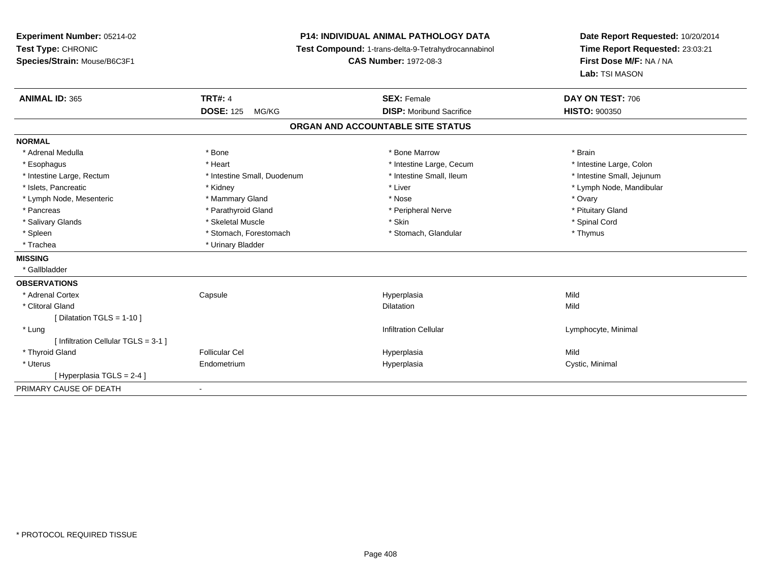**Experiment Number:** 05214-02**Test Type:** CHRONIC **Species/Strain:** Mouse/B6C3F1**P14: INDIVIDUAL ANIMAL PATHOLOGY DATA Test Compound:** 1-trans-delta-9-Tetrahydrocannabinol **CAS Number:** 1972-08-3**Date Report Requested:** 10/20/2014**Time Report Requested:** 23:03:21**First Dose M/F:** NA / NA**Lab:** TSI MASON**ANIMAL ID:** 365**TRT#:** 4 **SEX:** Female **SEX: Female DAY ON TEST:** 706 **DOSE:** 125 MG/KG **DISP:** Moribund Sacrifice **HISTO:** <sup>900350</sup> **ORGAN AND ACCOUNTABLE SITE STATUSNORMAL**\* Adrenal Medulla \* \* Annual Medulla \* Brain \* Bone \* \* Bone Marrow \* Bone Marrow \* \* Brain \* Brain \* Brain \* Brain \* Brain \* Brain \* Brain \* Brain \* Brain \* Brain \* Brain \* Brain \* Brain \* Brain \* Brain \* Brain \* Brain \* \* Intestine Large, Colon \* Esophagus \* **Heart \* Intestine Large, Cecum \* Intestine Large, Cecum \*** Intestine Large, Cecum \* Intestine Small, Jejunum \* Intestine Large, Rectum \* Intestine Small, Duodenum \* Intestine Small, Duodenum \* \* Intestine Small, Ileum \* Islets, Pancreatic \* \* Andrew \* Kidney \* Kidney \* Kidney \* Liver \* Liver \* Liver \* Number \* Lymph Node, Mandibular \* Lymph Node, Mandibular \* Lymph Node, Mandibular \* Lymph Node, Mandibular \* Lymph Node, Mandibular \* Lym \* Lymph Node, Mesenteric \* \* \* Mammary Gland \* \* Nose \* Nose \* Ovary \* Ovary \* Ovary \* Ovary \* Ovary \* Ovary \* Ovary \* Pituitary Gland \* Pancreas \* Pancreas \* Parathyroid Gland \* Pancreas \* Peripheral Nerve \* Salivary Glands \* \* Steeden \* \* Skeletal Muscle \* \* Skin \* \* Skin \* \* Steeden \* Spinal Cord \* Spinal Cord \* Spinal Cord \* Spinal Cord \* Spinal Cord \* Spinal Cord \* Spinal Cord \* Spinal Cord \* Spinal Cord \* Spinal Cord \* \* Spleen \* Stomach, Forestomach \* Stomach \* Stomach, Glandular \* Stomach, Glandular \* Thymus \* Trachea \* Urinary Bladder**MISSING** \* Gallbladder**OBSERVATIONS** \* Adrenal Cortex Capsule Hyperplasia Mild \* Clitoral Glandd and the control of the control of the control of the control of the control of the control of the control of the control of the control of the control of the control of the control of the control of the control of the co [ Dilatation TGLS = 1-10 ] \* Lungg is a constant of the contract of the constant of the constant of the constant of the constant of the constant of  $\mathsf{I}$  and  $\mathsf{I}$  and  $\mathsf{I}$  and  $\mathsf{I}$  and  $\mathsf{I}$  and  $\mathsf{I}$  and  $\mathsf{I}$  and  $\mathsf{I}$  and  $\math$ [ Infiltration Cellular TGLS = 3-1 ] \* Thyroid Gland Follicular Cel Hyperplasia Mild \* Uterus Endometriumm Cystic, Minimal Cystic, Minimal [ Hyperplasia TGLS = 2-4 ]PRIMARY CAUSE OF DEATH-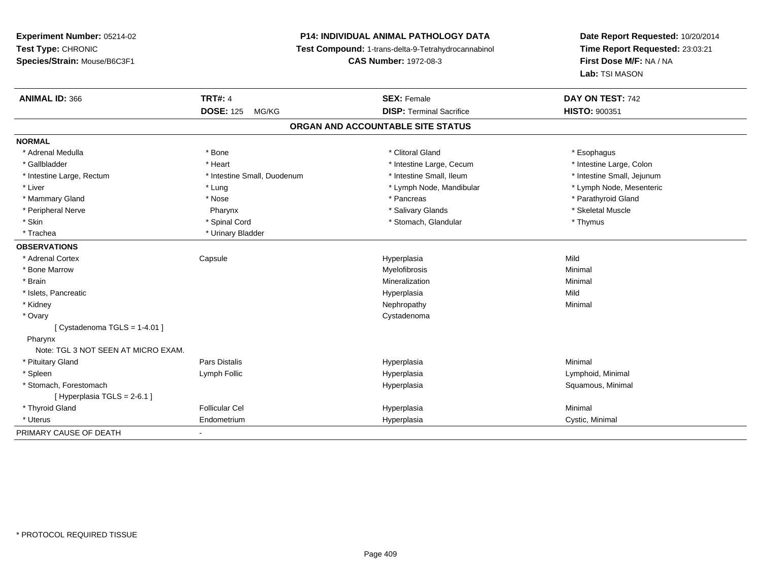# **P14: INDIVIDUAL ANIMAL PATHOLOGY DATA**

**Test Compound:** 1-trans-delta-9-Tetrahydrocannabinol

**CAS Number:** 1972-08-3

| <b>ANIMAL ID: 366</b>               | <b>TRT#: 4</b>              | <b>SEX: Female</b>                | DAY ON TEST: 742           |
|-------------------------------------|-----------------------------|-----------------------------------|----------------------------|
|                                     | <b>DOSE: 125</b><br>MG/KG   | <b>DISP: Terminal Sacrifice</b>   | <b>HISTO: 900351</b>       |
|                                     |                             | ORGAN AND ACCOUNTABLE SITE STATUS |                            |
| <b>NORMAL</b>                       |                             |                                   |                            |
| * Adrenal Medulla                   | * Bone                      | * Clitoral Gland                  | * Esophagus                |
| * Gallbladder                       | * Heart                     | * Intestine Large, Cecum          | * Intestine Large, Colon   |
| * Intestine Large, Rectum           | * Intestine Small, Duodenum | * Intestine Small, Ileum          | * Intestine Small, Jejunum |
| * Liver                             | * Lung                      | * Lymph Node, Mandibular          | * Lymph Node, Mesenteric   |
| * Mammary Gland                     | * Nose                      | * Pancreas                        | * Parathyroid Gland        |
| * Peripheral Nerve                  | Pharynx                     | * Salivary Glands                 | * Skeletal Muscle          |
| * Skin                              | * Spinal Cord               | * Stomach, Glandular              | * Thymus                   |
| * Trachea                           | * Urinary Bladder           |                                   |                            |
| <b>OBSERVATIONS</b>                 |                             |                                   |                            |
| * Adrenal Cortex                    | Capsule                     | Hyperplasia                       | Mild                       |
| * Bone Marrow                       |                             | Myelofibrosis                     | Minimal                    |
| * Brain                             |                             | Mineralization                    | Minimal                    |
| * Islets, Pancreatic                |                             | Hyperplasia                       | Mild                       |
| * Kidney                            |                             | Nephropathy                       | Minimal                    |
| * Ovary                             |                             | Cystadenoma                       |                            |
| [ Cystadenoma TGLS = $1-4.01$ ]     |                             |                                   |                            |
| Pharynx                             |                             |                                   |                            |
| Note: TGL 3 NOT SEEN AT MICRO EXAM. |                             |                                   |                            |
| * Pituitary Gland                   | <b>Pars Distalis</b>        | Hyperplasia                       | Minimal                    |
| * Spleen                            | Lymph Follic                | Hyperplasia                       | Lymphoid, Minimal          |
| * Stomach, Forestomach              |                             | Hyperplasia                       | Squamous, Minimal          |
| [Hyperplasia TGLS = $2-6.1$ ]       |                             |                                   |                            |
| * Thyroid Gland                     | <b>Follicular Cel</b>       | Hyperplasia                       | Minimal                    |
| * Uterus                            | Endometrium                 | Hyperplasia                       | Cystic, Minimal            |
| PRIMARY CAUSE OF DEATH              | $\overline{\phantom{a}}$    |                                   |                            |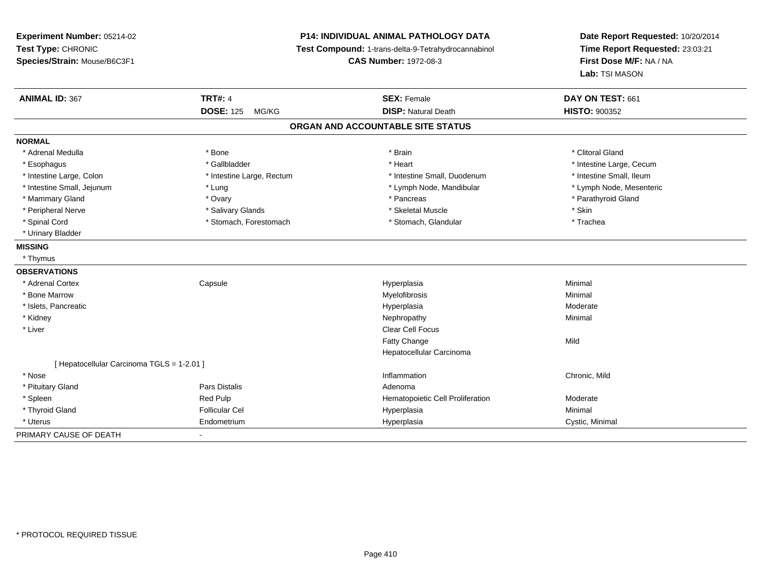**Experiment Number:** 05214-02**Test Type:** CHRONIC **Species/Strain:** Mouse/B6C3F1**P14: INDIVIDUAL ANIMAL PATHOLOGY DATA Test Compound:** 1-trans-delta-9-Tetrahydrocannabinol **CAS Number:** 1972-08-3**Date Report Requested:** 10/20/2014**Time Report Requested:** 23:03:21**First Dose M/F:** NA / NA**Lab:** TSI MASON**ANIMAL ID:** 367**TRT#:** 4 **SEX:** Female **SEX: Female DAY ON TEST:** 661 **DOSE:** 125 MG/KG**DISP:** Natural Death **HISTO:**  $900352$ **ORGAN AND ACCOUNTABLE SITE STATUSNORMAL**\* Adrenal Medulla \* The state of the state of the state of the state of the state of the state of the state of the state of the state of the state of the state of the state of the state of the state of the state of the sta \* Esophagus \* https://www.fragustage.com/web/2019/heart \* Heart \* Heart \* Heart \* Intestine Large, Cecum \* Intestine Large, Cecum \* Sallbladder \* The state of the state of the state of the state of the state of the state o \* Intestine Small. Ileum \* Intestine Large, Colon \* Intestine Large, Rectum \* Intestine Small, Duodenum \* Intestine Small, Duodenum \* Lymph Node, Mesenteric \* Intestine Small, Jejunum \* The material and the state of the state of the state of the state of the state of the state of the state of the state of the state of the state of the state of the state of the state of the sta \* Mammary Gland \* \* Andrew \* Ovary \* Andrew \* Ovary \* Pancreas \* Pancreas \* \* Pancreas \* \* Pancreas \* \* Pancreas \* \* Pancreas \* \* Pancreas \* \* Pancreas \* \* Pancreas \* \* Pancreas \* \* Pancreas \* \* Pancreas \* \* Pancreas \* \* P \* Peripheral Nerve \* Salivary Glands \* Skeletal Muscle \* Skin\* Trachea \* Spinal Cord \* Stomach, Forestomach \* Stomach \* Stomach, Glandular \* Stomach, Glandular \* Urinary Bladder**MISSING** \* Thymus**OBSERVATIONS** \* Adrenal Cortex**Capsule**  Hyperplasia Minimal \* Bone Marroww which is a controller to the Myelofibrosis and the Minimal method of the Minimal method of the Minimal method of the Minimal method of the Minimal method of the Minimal method of the Minimal method of the Minimal method \* Islets, Pancreaticc and the control of the control of the control of the control of the control of the control of the control of the control of the control of the control of the control of the control of the control of the control of the co Moderate \* Kidneyy the control of the control of the control of the control of the control of the control of the control of the control of the control of the control of the control of the control of the control of the control of the contro \* Liverr and the contract of the contract of the contract of the contract of the contract of the contract of the contract of the contract of the contract of the contract of the contract of the contract of the contract of the cont Fatty Changee Mild Hepatocellular Carcinoma[ Hepatocellular Carcinoma TGLS = 1-2.01 ] \* Nosee and the contract of the contract of the contract of the contract of the contract of the chronic, Mild and the chronic, Mild and the chronic, Mild and the chronic state of the chronic state of the chronic state of the chr \* Pituitary Glandd and the set of Pars Distalis and the Second Adenomal Adenomal Second Second Pars Distallis \* SpleenRed Pulp Moderate Cell Proliferation Moderate Hematopoietic Cell Proliferation<br>Follicular Cel Minimal Hematopoietic Cell Proliferation Minimal \* Thyroid Gland Follicular Cel Hyperplasia Minimal \* Uterus Endometriumm Cystic, Minimal Cystic, Minimal PRIMARY CAUSE OF DEATH-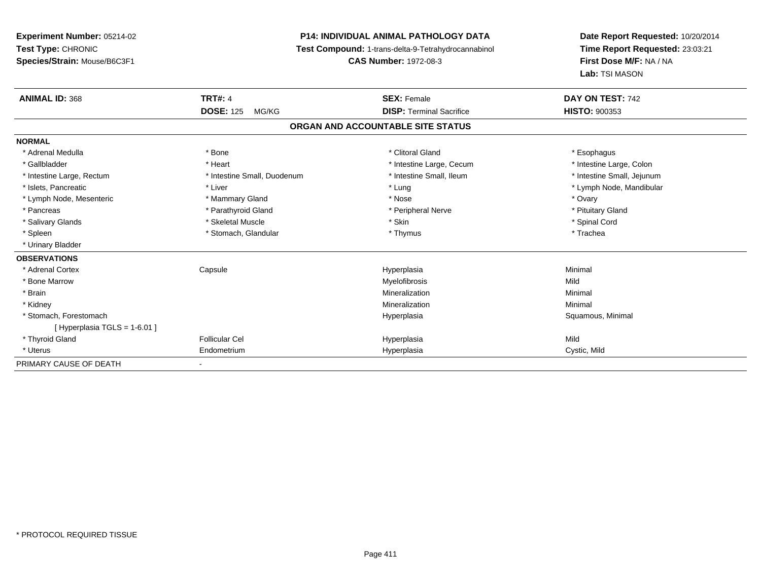# **P14: INDIVIDUAL ANIMAL PATHOLOGY DATA**

**Test Compound:** 1-trans-delta-9-Tetrahydrocannabinol

**CAS Number:** 1972-08-3

| <b>ANIMAL ID: 368</b>          | <b>TRT#: 4</b>              | <b>SEX: Female</b>                | DAY ON TEST: 742           |
|--------------------------------|-----------------------------|-----------------------------------|----------------------------|
|                                | <b>DOSE: 125</b><br>MG/KG   | <b>DISP: Terminal Sacrifice</b>   | <b>HISTO: 900353</b>       |
|                                |                             | ORGAN AND ACCOUNTABLE SITE STATUS |                            |
| <b>NORMAL</b>                  |                             |                                   |                            |
| * Adrenal Medulla              | * Bone                      | * Clitoral Gland                  | * Esophagus                |
| * Gallbladder                  | * Heart                     | * Intestine Large, Cecum          | * Intestine Large, Colon   |
| * Intestine Large, Rectum      | * Intestine Small, Duodenum | * Intestine Small, Ileum          | * Intestine Small, Jejunum |
| * Islets, Pancreatic           | * Liver                     | * Lung                            | * Lymph Node, Mandibular   |
| * Lymph Node, Mesenteric       | * Mammary Gland             | * Nose                            | * Ovary                    |
| * Pancreas                     | * Parathyroid Gland         | * Peripheral Nerve                | * Pituitary Gland          |
| * Salivary Glands              | * Skeletal Muscle           | * Skin                            | * Spinal Cord              |
| * Spleen                       | * Stomach, Glandular        | * Thymus                          | * Trachea                  |
| * Urinary Bladder              |                             |                                   |                            |
| <b>OBSERVATIONS</b>            |                             |                                   |                            |
| * Adrenal Cortex               | Capsule                     | Hyperplasia                       | Minimal                    |
| * Bone Marrow                  |                             | Myelofibrosis                     | Mild                       |
| * Brain                        |                             | Mineralization                    | Minimal                    |
| * Kidney                       |                             | Mineralization                    | Minimal                    |
| * Stomach, Forestomach         |                             | Hyperplasia                       | Squamous, Minimal          |
| [Hyperplasia TGLS = $1-6.01$ ] |                             |                                   |                            |
| * Thyroid Gland                | Follicular Cel              | Hyperplasia                       | Mild                       |
| * Uterus                       | Endometrium                 | Hyperplasia                       | Cystic, Mild               |
| PRIMARY CAUSE OF DEATH         |                             |                                   |                            |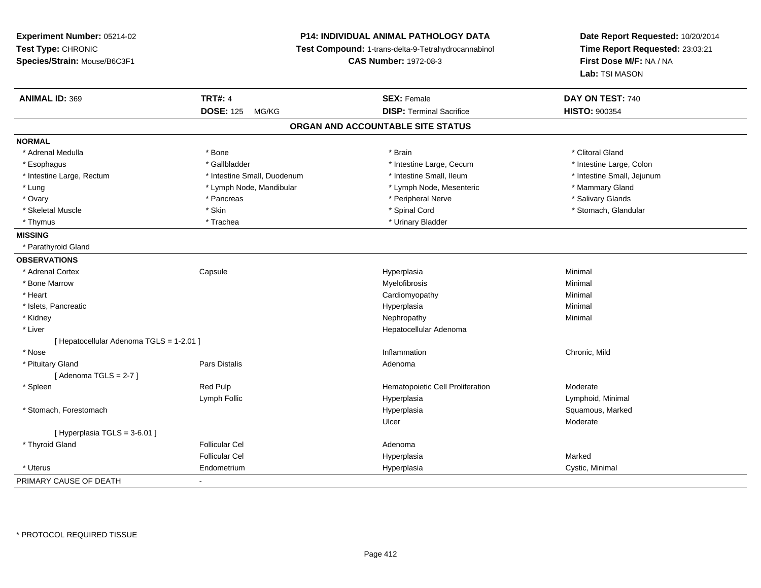**Experiment Number:** 05214-02**Test Type:** CHRONIC **Species/Strain:** Mouse/B6C3F1**P14: INDIVIDUAL ANIMAL PATHOLOGY DATA Test Compound:** 1-trans-delta-9-Tetrahydrocannabinol **CAS Number:** 1972-08-3**Date Report Requested:** 10/20/2014**Time Report Requested:** 23:03:21**First Dose M/F:** NA / NA**Lab:** TSI MASON**ANIMAL ID:** 369**TRT#:** 4 **SEX:** Female **SEX: Female DAY ON TEST:** 740 **DOSE:** 125 MG/KG**DISP:** Terminal Sacrifice **HISTO:**  $900354$ **ORGAN AND ACCOUNTABLE SITE STATUSNORMAL**\* Adrenal Medulla \* The state of the state of the state of the state of the state of the state of the state of the state of the state of the state of the state of the state of the state of the state of the state of the sta \* Intestine Large, Colon \* Esophagus \* Intestine Large, Cecum \* Callbladder \* 10 \* Intestine Large, Cecum \* Intestine Large, Cecum \* \* Intestine Large, Rectum \* Thestine Small, Duodenum \* Number of the small, Ileum \* Intestine Small, Jejunum \* Intestine Small, Jejunum \* Lung **\* Lymph Node, Mandibular \*** Lymph Node, Mesenteric \* Mammary Gland \* Mammary Gland \* Salivary Glands \* Ovary \* \* America \* Pancreas \* \* Pancreas \* \* Pancreas \* \* Peripheral Nerve \* \* Salivary Glands \* Salivary Glands \* Salivary Glands \* Salivary Glands \* Salivary Glands \* Salivary Glands \* Salivary Glands \* Salivary Gland \* Skeletal Muscle \* The state of the state of the state of the state of the state of the state of the state of the state of the state of the state of the state of the state of the state of the state of the state of the sta \* Thymus \* The many Bladder \* Trachea \* Trachea \* Urinary Bladder \* Urinary Bladder **MISSING** \* Parathyroid Gland**OBSERVATIONS** \* Adrenal Cortex**Capsule**  Hyperplasia Minimal \* Bone Marroww which is a controller to the Myelofibrosis and the Minimal method of the Minimal method of the Minimal method of the Minimal method of the Minimal method of the Minimal method of the Minimal method of the Minimal method \* Heart Cardiomyopathy Minimal \* Islets, Pancreaticc and the control of the control of the control of the control of the control of the control of the control of the control of the control of the control of the control of the control of the control of the control of the co a **Minimal**  \* Kidneyy the control of the control of the control of the control of the control of the control of the control of the control of the control of the control of the control of the control of the control of the control of the contro \* Liver Hepatocellular Adenoma[ Hepatocellular Adenoma TGLS = 1-2.01 ] \* Nosee and the contract of the contract of the contract of the contract of the contract of the chronic, Mild and the chronic, Mild and the chronic, Mild and the chronic state of the chronic state of the chronic state of the chr \* Pituitary Glandd and the set of Pars Distalis and the Second Adenomal Adenomal Second Second Pars Distallis  $[$  Adenoma TGLS = 2-7  $]$  \* SpleenRed Pulp **Moderate Hematopoietic Cell Proliferation** Moderate Lymph Follic Hyperplasia Lymphoid, Minimal \* Stomach, Forestomachh ann an t-aisiad ann an t-aisiad ann an t-aisiad ann an t-aisiad ann an t-aisiad ann an t-aisiad ann an Squamous, Marked ann an t-aisiad ann an t-aisiad ann an t-aisiad ann an t-aisiad ann an t-aisiad ann an t-aisiad ann Ulcerr **Moderate**  $[$  Hyperplasia TGLS = 3-6.01 ] \* Thyroid Glandd and the set of the Follicular Cel the set of the Second Adenomal Adenomal Second Second Second Second Second Second Second Second Second Second Second Second Second Second Second Second Second Second Second Second Second Follicular Cel Hyperplasiaa **Marked**  \* Uterus Endometriumm Cystic, Minimal Cystic, Minimal PRIMARY CAUSE OF DEATH-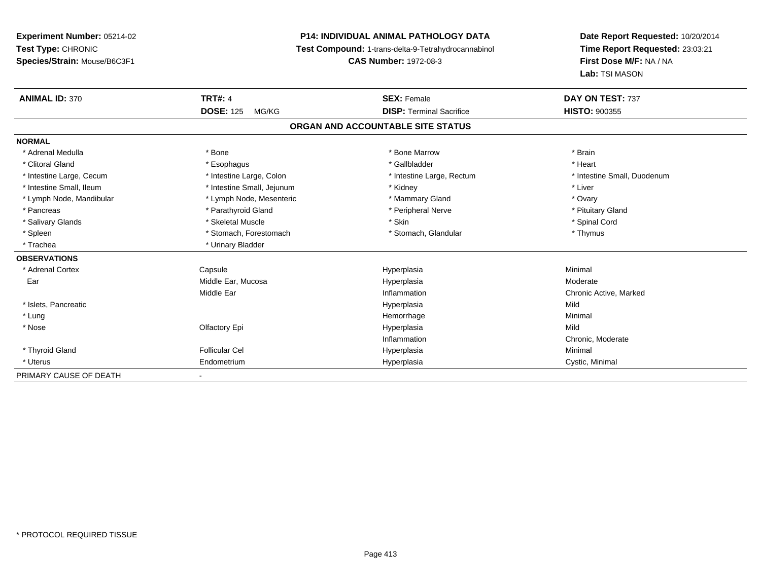# **P14: INDIVIDUAL ANIMAL PATHOLOGY DATA**

**Test Compound:** 1-trans-delta-9-Tetrahydrocannabinol

**CAS Number:** 1972-08-3

| <b>ANIMAL ID: 370</b>    | <b>TRT#: 4</b>             | <b>SEX: Female</b>                | DAY ON TEST: 737            |
|--------------------------|----------------------------|-----------------------------------|-----------------------------|
|                          | <b>DOSE: 125</b><br>MG/KG  | <b>DISP: Terminal Sacrifice</b>   | <b>HISTO: 900355</b>        |
|                          |                            | ORGAN AND ACCOUNTABLE SITE STATUS |                             |
| <b>NORMAL</b>            |                            |                                   |                             |
| * Adrenal Medulla        | * Bone                     | * Bone Marrow                     | * Brain                     |
| * Clitoral Gland         | * Esophagus                | * Gallbladder                     | * Heart                     |
| * Intestine Large, Cecum | * Intestine Large, Colon   | * Intestine Large, Rectum         | * Intestine Small, Duodenum |
| * Intestine Small, Ileum | * Intestine Small, Jejunum | * Kidney                          | * Liver                     |
| * Lymph Node, Mandibular | * Lymph Node, Mesenteric   | * Mammary Gland                   | * Ovary                     |
| * Pancreas               | * Parathyroid Gland        | * Peripheral Nerve                | * Pituitary Gland           |
| * Salivary Glands        | * Skeletal Muscle          | * Skin                            | * Spinal Cord               |
| * Spleen                 | * Stomach, Forestomach     | * Stomach, Glandular              | * Thymus                    |
| * Trachea                | * Urinary Bladder          |                                   |                             |
| <b>OBSERVATIONS</b>      |                            |                                   |                             |
| * Adrenal Cortex         | Capsule                    | Hyperplasia                       | Minimal                     |
| Ear                      | Middle Ear, Mucosa         | Hyperplasia                       | Moderate                    |
|                          | Middle Ear                 | Inflammation                      | Chronic Active, Marked      |
| * Islets, Pancreatic     |                            | Hyperplasia                       | Mild                        |
| * Lung                   |                            | Hemorrhage                        | Minimal                     |
| * Nose                   | Olfactory Epi              | Hyperplasia                       | Mild                        |
|                          |                            | Inflammation                      | Chronic, Moderate           |
| * Thyroid Gland          | <b>Follicular Cel</b>      | Hyperplasia                       | Minimal                     |
| * Uterus                 | Endometrium                | Hyperplasia                       | Cystic, Minimal             |
| PRIMARY CAUSE OF DEATH   |                            |                                   |                             |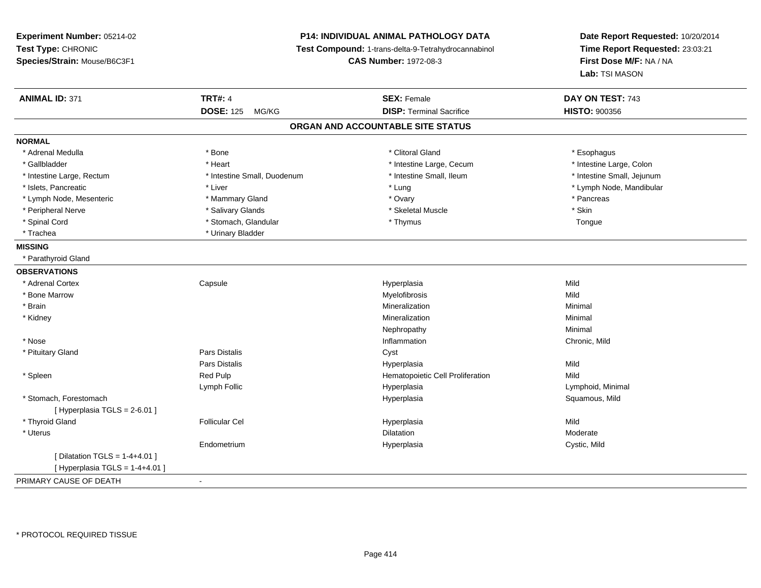**Experiment Number:** 05214-02**Test Type:** CHRONIC **Species/Strain:** Mouse/B6C3F1**P14: INDIVIDUAL ANIMAL PATHOLOGY DATA Test Compound:** 1-trans-delta-9-Tetrahydrocannabinol **CAS Number:** 1972-08-3**Date Report Requested:** 10/20/2014**Time Report Requested:** 23:03:21**First Dose M/F:** NA / NA**Lab:** TSI MASON**ANIMAL ID:** 371**TRT#:** 4 **SEX:** Female **SEX: Female DAY ON TEST:** 743 **DOSE:** 125 MG/KG**DISP:** Terminal Sacrifice **HISTO:**  $900356$ **ORGAN AND ACCOUNTABLE SITE STATUSNORMAL**\* Adrenal Medulla \* Adrenal Medulla \* Bone \* Clitoral Gland \* Esophagus\* Intestine Large, Colon \* Gallbladder \* The mode of the state of the state of the state of the state of the state of the state of the state of the state of the state of the state of the state of the state of the state of the state of the state of \* Intestine Large, Rectum \* Thestine Small, Duodenum \* Number of the small, Ileum \* Intestine Small, Jejunum \* Intestine Small, Jejunum \* Islets, Pancreatic \* Liver \* Lung \* Lymph Node, Mandibular \* Lymph Node, Mesenteric \* Mammary Gland \* Ovary \* Pancreas \* Peripheral Nerve \* Salivary Glands \* Skeletal Muscle \* SkinTongue \* Spinal Cord \* Stomach, Glandular \* Thymus Tongue \* Trachea \* Urinary Bladder**MISSING** \* Parathyroid Gland**OBSERVATIONS** \* Adrenal Cortex**Capsule**  Hyperplasia Mild \* Bone Marroww which is a matter of the Myelofibrosis and the Myelofibrosis and the Mild of the Mild of the Mild of the Mild of the Mild of the Mild of the Mild of the Mild of the Mild of the Mild of the Mild of the Mild of the Mild of \* Brainn and the controller of the controller of the controller of the Mineralization and the controller of the Minimal \* Kidneyy with the control of the control of the control of the control of the control of the control of the control of the control of the control of the control of the control of the control of the control of the control of the c n Minimal Nephropathyy the contract of the Minimal Minimal Section 1996 and the contract of the Minimal Section 1997 and the contract of the contract of the contract of the contract of the contract of the contract of the contract of the contra \* Nosee and the contract of the contract of the contract of the contract of the contract of the chronic, Mild and the chronic, Mild and the chronic, Mild and the chronic state of the chronic state of the chronic state of the chr \* Pituitary Glandd Cyst Constants Constants Constants Constants Constants Constants Constants Constants Constants Constants Const Pars Distalis Hyperplasiaa Mild \* SpleenRed Pulp **Network** Hematopoietic Cell Proliferation Mild Lymph Follic HyperplasiaHyperplasia and a community of the Union Minimal Hyperplasia and the Community of the Communist Communist Comm<br>Bay and the Communist Communist Communist Communist Communist Communist Communist Communist Communist Communis \* Stomach, Forestomachh ann an t-ìre ann an t-ìre ann an t-ìre ann an t-ìre ann an t-ìre ann an t-ìre ann an t-ìre ann an Squamous, Mild [ Hyperplasia TGLS = 2-6.01 ] \* Thyroid Gland Follicular Cel Hyperplasia Mild \* Uteruss and the control of the control of the control of the control of the control of the control of the control of the control of the control of the control of the control of the control of the control of the control of the co n Moderate Endometrium Hyperplasia Cystic, Mild  $[$  Dilatation TGLS = 1-4+4.01  $]$  $[$  Hyperplasia TGLS = 1-4+4.01 ] PRIMARY CAUSE OF DEATH-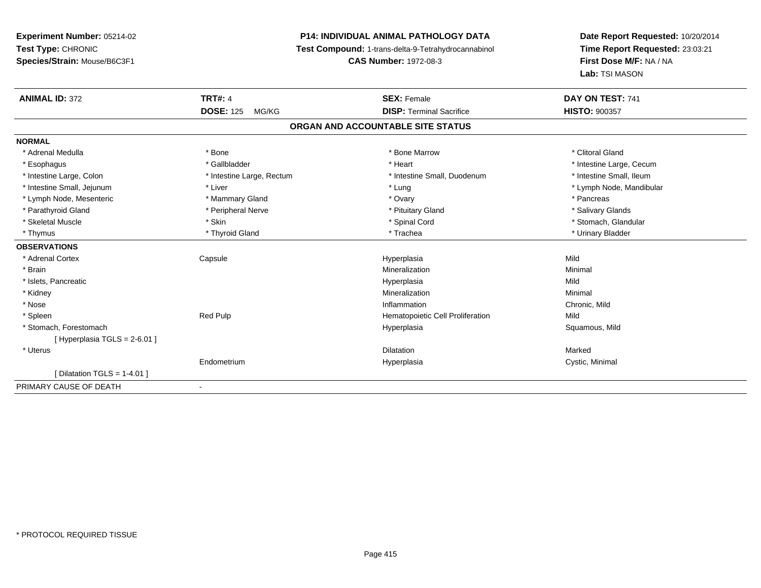# **P14: INDIVIDUAL ANIMAL PATHOLOGY DATA**

**Test Compound:** 1-trans-delta-9-Tetrahydrocannabinol

**CAS Number:** 1972-08-3

| <b>ANIMAL ID: 372</b>          | <b>TRT#: 4</b>            | <b>SEX: Female</b>                | DAY ON TEST: 741         |
|--------------------------------|---------------------------|-----------------------------------|--------------------------|
|                                | <b>DOSE: 125</b><br>MG/KG | <b>DISP: Terminal Sacrifice</b>   | <b>HISTO: 900357</b>     |
|                                |                           | ORGAN AND ACCOUNTABLE SITE STATUS |                          |
| <b>NORMAL</b>                  |                           |                                   |                          |
| * Adrenal Medulla              | * Bone                    | * Bone Marrow                     | * Clitoral Gland         |
| * Esophagus                    | * Gallbladder             | * Heart                           | * Intestine Large, Cecum |
| * Intestine Large, Colon       | * Intestine Large, Rectum | * Intestine Small, Duodenum       | * Intestine Small, Ileum |
| * Intestine Small, Jejunum     | * Liver                   | * Lung                            | * Lymph Node, Mandibular |
| * Lymph Node, Mesenteric       | * Mammary Gland           | * Ovary                           | * Pancreas               |
| * Parathyroid Gland            | * Peripheral Nerve        | * Pituitary Gland                 | * Salivary Glands        |
| * Skeletal Muscle              | * Skin                    | * Spinal Cord                     | * Stomach, Glandular     |
| * Thymus                       | * Thyroid Gland           | * Trachea                         | * Urinary Bladder        |
| <b>OBSERVATIONS</b>            |                           |                                   |                          |
| * Adrenal Cortex               | Capsule                   | Hyperplasia                       | Mild                     |
| * Brain                        |                           | Mineralization                    | Minimal                  |
| * Islets, Pancreatic           |                           | Hyperplasia                       | Mild                     |
| * Kidney                       |                           | Mineralization                    | Minimal                  |
| * Nose                         |                           | Inflammation                      | Chronic, Mild            |
| * Spleen                       | Red Pulp                  | Hematopoietic Cell Proliferation  | Mild                     |
| * Stomach, Forestomach         |                           | Hyperplasia                       | Squamous, Mild           |
| [Hyperplasia TGLS = 2-6.01]    |                           |                                   |                          |
| * Uterus                       |                           | <b>Dilatation</b>                 | Marked                   |
|                                | Endometrium               | Hyperplasia                       | Cystic, Minimal          |
| [ Dilatation TGLS = $1-4.01$ ] |                           |                                   |                          |
| PRIMARY CAUSE OF DEATH         | $\overline{\phantom{a}}$  |                                   |                          |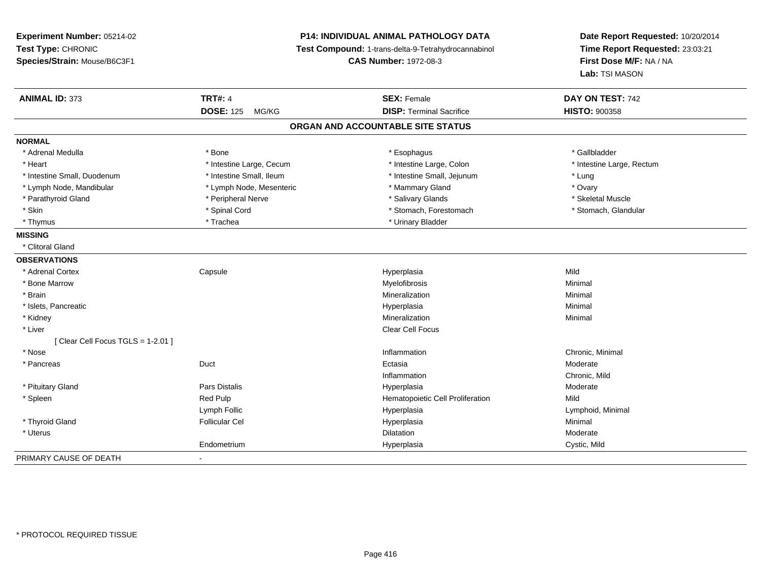| Experiment Number: 05214-02<br>Test Type: CHRONIC<br>Species/Strain: Mouse/B6C3F1 |                           | <b>P14: INDIVIDUAL ANIMAL PATHOLOGY DATA</b><br>Test Compound: 1-trans-delta-9-Tetrahydrocannabinol<br><b>CAS Number: 1972-08-3</b> | Date Report Requested: 10/20/2014<br>Time Report Requested: 23:03:21<br>First Dose M/F: NA / NA<br>Lab: TSI MASON |  |
|-----------------------------------------------------------------------------------|---------------------------|-------------------------------------------------------------------------------------------------------------------------------------|-------------------------------------------------------------------------------------------------------------------|--|
| <b>ANIMAL ID: 373</b>                                                             | <b>TRT#: 4</b>            | <b>SEX: Female</b>                                                                                                                  | DAY ON TEST: 742                                                                                                  |  |
|                                                                                   | <b>DOSE: 125</b><br>MG/KG | <b>DISP: Terminal Sacrifice</b>                                                                                                     | <b>HISTO: 900358</b>                                                                                              |  |
|                                                                                   |                           | ORGAN AND ACCOUNTABLE SITE STATUS                                                                                                   |                                                                                                                   |  |
| <b>NORMAL</b>                                                                     |                           |                                                                                                                                     |                                                                                                                   |  |
| * Adrenal Medulla                                                                 | * Bone                    | * Esophagus                                                                                                                         | * Gallbladder                                                                                                     |  |
| * Heart                                                                           | * Intestine Large, Cecum  | * Intestine Large, Colon                                                                                                            | * Intestine Large, Rectum                                                                                         |  |
| * Intestine Small, Duodenum                                                       | * Intestine Small, Ileum  | * Intestine Small, Jejunum                                                                                                          | * Lung                                                                                                            |  |
| * Lymph Node, Mandibular                                                          | * Lymph Node, Mesenteric  | * Mammary Gland                                                                                                                     | * Ovary                                                                                                           |  |
| * Parathyroid Gland                                                               | * Peripheral Nerve        | * Salivary Glands                                                                                                                   | * Skeletal Muscle                                                                                                 |  |
| * Skin                                                                            | * Spinal Cord             | * Stomach, Forestomach                                                                                                              | * Stomach, Glandular                                                                                              |  |
| * Thymus                                                                          | * Trachea                 | * Urinary Bladder                                                                                                                   |                                                                                                                   |  |
| <b>MISSING</b>                                                                    |                           |                                                                                                                                     |                                                                                                                   |  |
| * Clitoral Gland                                                                  |                           |                                                                                                                                     |                                                                                                                   |  |
| <b>OBSERVATIONS</b>                                                               |                           |                                                                                                                                     |                                                                                                                   |  |
| * Adrenal Cortex                                                                  | Capsule                   | Hyperplasia                                                                                                                         | Mild                                                                                                              |  |
| * Bone Marrow                                                                     |                           | Myelofibrosis                                                                                                                       | Minimal                                                                                                           |  |
| * Brain                                                                           |                           | Mineralization                                                                                                                      | Minimal                                                                                                           |  |
| * Islets, Pancreatic                                                              |                           | Hyperplasia                                                                                                                         | Minimal                                                                                                           |  |
| * Kidney                                                                          |                           | Mineralization                                                                                                                      | Minimal                                                                                                           |  |
| * Liver                                                                           |                           | Clear Cell Focus                                                                                                                    |                                                                                                                   |  |
| [ Clear Cell Focus TGLS = 1-2.01 ]                                                |                           |                                                                                                                                     |                                                                                                                   |  |
| * Nose                                                                            |                           | Inflammation                                                                                                                        | Chronic, Minimal                                                                                                  |  |
| * Pancreas                                                                        | Duct                      | Ectasia                                                                                                                             | Moderate                                                                                                          |  |
|                                                                                   |                           | Inflammation                                                                                                                        | Chronic, Mild                                                                                                     |  |
| * Pituitary Gland                                                                 | Pars Distalis             | Hyperplasia                                                                                                                         | Moderate                                                                                                          |  |
| * Spleen                                                                          | Red Pulp                  | Hematopoietic Cell Proliferation                                                                                                    | Mild                                                                                                              |  |
|                                                                                   | Lymph Follic              | Hyperplasia                                                                                                                         | Lymphoid, Minimal                                                                                                 |  |
| * Thyroid Gland                                                                   | <b>Follicular Cel</b>     | Hyperplasia                                                                                                                         | Minimal                                                                                                           |  |
| * Uterus                                                                          |                           | <b>Dilatation</b>                                                                                                                   | Moderate                                                                                                          |  |
|                                                                                   | Endometrium               | Hyperplasia                                                                                                                         | Cystic, Mild                                                                                                      |  |
| PRIMARY CAUSE OF DEATH                                                            |                           |                                                                                                                                     |                                                                                                                   |  |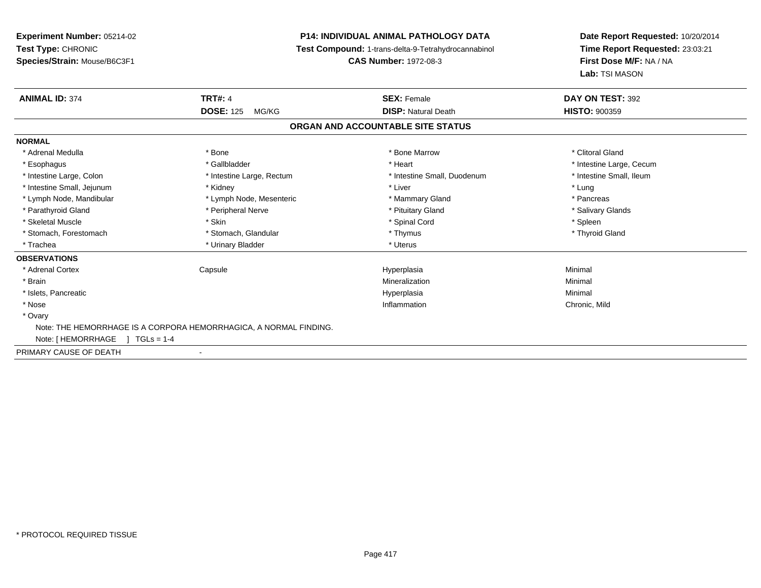# **P14: INDIVIDUAL ANIMAL PATHOLOGY DATA**

**Test Compound:** 1-trans-delta-9-Tetrahydrocannabinol

**CAS Number:** 1972-08-3

| <b>ANIMAL ID: 374</b>                | <b>TRT#: 4</b>                                                    | <b>SEX: Female</b>                | DAY ON TEST: 392         |  |
|--------------------------------------|-------------------------------------------------------------------|-----------------------------------|--------------------------|--|
|                                      | <b>DOSE: 125</b><br>MG/KG                                         | <b>DISP: Natural Death</b>        | <b>HISTO: 900359</b>     |  |
|                                      |                                                                   | ORGAN AND ACCOUNTABLE SITE STATUS |                          |  |
| <b>NORMAL</b>                        |                                                                   |                                   |                          |  |
| * Adrenal Medulla                    | * Bone                                                            | * Bone Marrow                     | * Clitoral Gland         |  |
| * Esophagus                          | * Gallbladder                                                     | * Heart                           | * Intestine Large, Cecum |  |
| * Intestine Large, Colon             | * Intestine Large, Rectum                                         | * Intestine Small, Duodenum       | * Intestine Small, Ileum |  |
| * Intestine Small, Jejunum           | * Kidney                                                          | * Liver                           | * Lung                   |  |
| * Lymph Node, Mandibular             | * Lymph Node, Mesenteric                                          | * Mammary Gland                   | * Pancreas               |  |
| * Parathyroid Gland                  | * Peripheral Nerve                                                | * Pituitary Gland                 | * Salivary Glands        |  |
| * Skeletal Muscle                    | * Skin                                                            | * Spinal Cord                     | * Spleen                 |  |
| * Stomach, Forestomach               | * Stomach, Glandular                                              | * Thymus                          | * Thyroid Gland          |  |
| * Trachea                            | * Urinary Bladder                                                 | * Uterus                          |                          |  |
| <b>OBSERVATIONS</b>                  |                                                                   |                                   |                          |  |
| * Adrenal Cortex                     | Capsule                                                           | Hyperplasia                       | Minimal                  |  |
| * Brain                              |                                                                   | Mineralization                    | Minimal                  |  |
| * Islets, Pancreatic                 |                                                                   | Hyperplasia                       | Minimal                  |  |
| * Nose                               |                                                                   | Inflammation                      | Chronic, Mild            |  |
| * Ovary                              |                                                                   |                                   |                          |  |
|                                      | Note: THE HEMORRHAGE IS A CORPORA HEMORRHAGICA, A NORMAL FINDING. |                                   |                          |  |
| Note: [ HEMORRHAGE<br>$1 TGLs = 1-4$ |                                                                   |                                   |                          |  |
| PRIMARY CAUSE OF DEATH               | $\overline{\phantom{a}}$                                          |                                   |                          |  |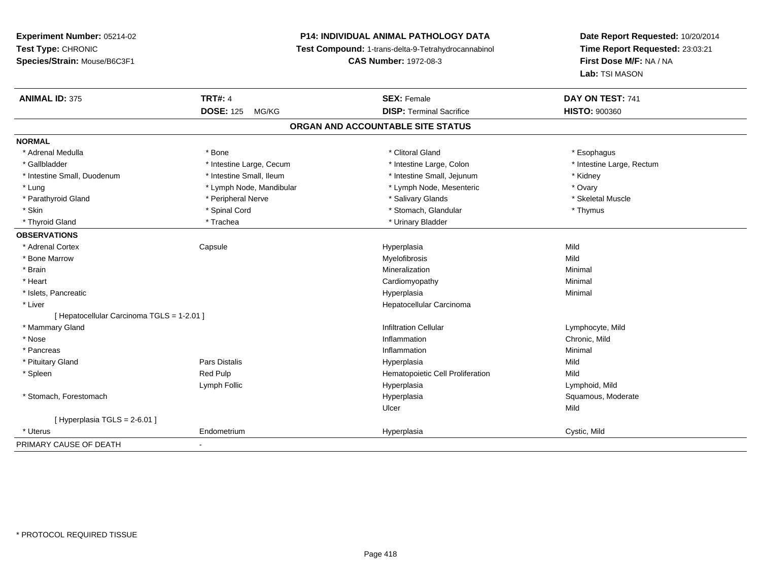# **P14: INDIVIDUAL ANIMAL PATHOLOGY DATA**

**Test Compound:** 1-trans-delta-9-Tetrahydrocannabinol

**CAS Number:** 1972-08-3

| <b>ANIMAL ID: 375</b>                      | <b>TRT#: 4</b>            | <b>SEX: Female</b>                | DAY ON TEST: 741          |
|--------------------------------------------|---------------------------|-----------------------------------|---------------------------|
|                                            | <b>DOSE: 125</b><br>MG/KG | <b>DISP: Terminal Sacrifice</b>   | <b>HISTO: 900360</b>      |
|                                            |                           | ORGAN AND ACCOUNTABLE SITE STATUS |                           |
| <b>NORMAL</b>                              |                           |                                   |                           |
| * Adrenal Medulla                          | * Bone                    | * Clitoral Gland                  | * Esophagus               |
| * Gallbladder                              | * Intestine Large, Cecum  | * Intestine Large, Colon          | * Intestine Large, Rectum |
| * Intestine Small, Duodenum                | * Intestine Small, Ileum  | * Intestine Small, Jejunum        | * Kidney                  |
| * Lung                                     | * Lymph Node, Mandibular  | * Lymph Node, Mesenteric          | * Ovary                   |
| * Parathyroid Gland                        | * Peripheral Nerve        | * Salivary Glands                 | * Skeletal Muscle         |
| * Skin                                     | * Spinal Cord             | * Stomach, Glandular              | * Thymus                  |
| * Thyroid Gland                            | * Trachea                 | * Urinary Bladder                 |                           |
| <b>OBSERVATIONS</b>                        |                           |                                   |                           |
| * Adrenal Cortex                           | Capsule                   | Hyperplasia                       | Mild                      |
| * Bone Marrow                              |                           | Myelofibrosis                     | Mild                      |
| * Brain                                    |                           | Mineralization                    | Minimal                   |
| * Heart                                    |                           | Cardiomyopathy                    | Minimal                   |
| * Islets, Pancreatic                       |                           | Hyperplasia                       | Minimal                   |
| * Liver                                    |                           | Hepatocellular Carcinoma          |                           |
| [ Hepatocellular Carcinoma TGLS = 1-2.01 ] |                           |                                   |                           |
| * Mammary Gland                            |                           | <b>Infiltration Cellular</b>      | Lymphocyte, Mild          |
| * Nose                                     |                           | Inflammation                      | Chronic, Mild             |
| * Pancreas                                 |                           | Inflammation                      | Minimal                   |
| * Pituitary Gland                          | <b>Pars Distalis</b>      | Hyperplasia                       | Mild                      |
| * Spleen                                   | Red Pulp                  | Hematopoietic Cell Proliferation  | Mild                      |
|                                            | Lymph Follic              | Hyperplasia                       | Lymphoid, Mild            |
| * Stomach, Forestomach                     |                           | Hyperplasia                       | Squamous, Moderate        |
|                                            |                           | Ulcer                             | Mild                      |
| [Hyperplasia TGLS = $2-6.01$ ]             |                           |                                   |                           |
| * Uterus                                   | Endometrium               | Hyperplasia                       | Cystic, Mild              |
| PRIMARY CAUSE OF DEATH                     |                           |                                   |                           |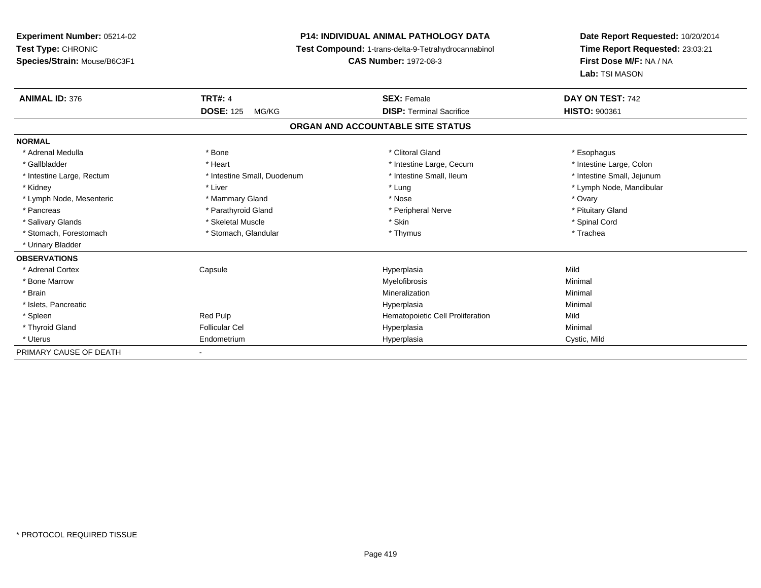# **P14: INDIVIDUAL ANIMAL PATHOLOGY DATA**

**Test Compound:** 1-trans-delta-9-Tetrahydrocannabinol

**CAS Number:** 1972-08-3

| <b>ANIMAL ID: 376</b>     | <b>TRT#: 4</b>              | <b>SEX: Female</b>                | DAY ON TEST: 742           |  |
|---------------------------|-----------------------------|-----------------------------------|----------------------------|--|
|                           | <b>DOSE: 125</b><br>MG/KG   | <b>DISP: Terminal Sacrifice</b>   | <b>HISTO: 900361</b>       |  |
|                           |                             | ORGAN AND ACCOUNTABLE SITE STATUS |                            |  |
| <b>NORMAL</b>             |                             |                                   |                            |  |
| * Adrenal Medulla         | * Bone                      | * Clitoral Gland                  | * Esophagus                |  |
| * Gallbladder             | * Heart                     | * Intestine Large, Cecum          | * Intestine Large, Colon   |  |
| * Intestine Large, Rectum | * Intestine Small, Duodenum | * Intestine Small, Ileum          | * Intestine Small, Jejunum |  |
| * Kidney                  | * Liver                     | * Lung                            | * Lymph Node, Mandibular   |  |
| * Lymph Node, Mesenteric  | * Mammary Gland             | * Nose                            | * Ovary                    |  |
| * Pancreas                | * Parathyroid Gland         | * Peripheral Nerve                | * Pituitary Gland          |  |
| * Salivary Glands         | * Skeletal Muscle           | * Skin                            | * Spinal Cord              |  |
| * Stomach, Forestomach    | * Stomach, Glandular        | * Thymus                          | * Trachea                  |  |
| * Urinary Bladder         |                             |                                   |                            |  |
| <b>OBSERVATIONS</b>       |                             |                                   |                            |  |
| * Adrenal Cortex          | Capsule                     | Hyperplasia                       | Mild                       |  |
| * Bone Marrow             |                             | Myelofibrosis                     | Minimal                    |  |
| * Brain                   |                             | Mineralization                    | Minimal                    |  |
| * Islets, Pancreatic      |                             | Hyperplasia                       | Minimal                    |  |
| * Spleen                  | Red Pulp                    | Hematopoietic Cell Proliferation  | Mild                       |  |
| * Thyroid Gland           | <b>Follicular Cel</b>       | Hyperplasia                       | Minimal                    |  |
| * Uterus                  | Endometrium                 | Hyperplasia                       | Cystic, Mild               |  |
| PRIMARY CAUSE OF DEATH    |                             |                                   |                            |  |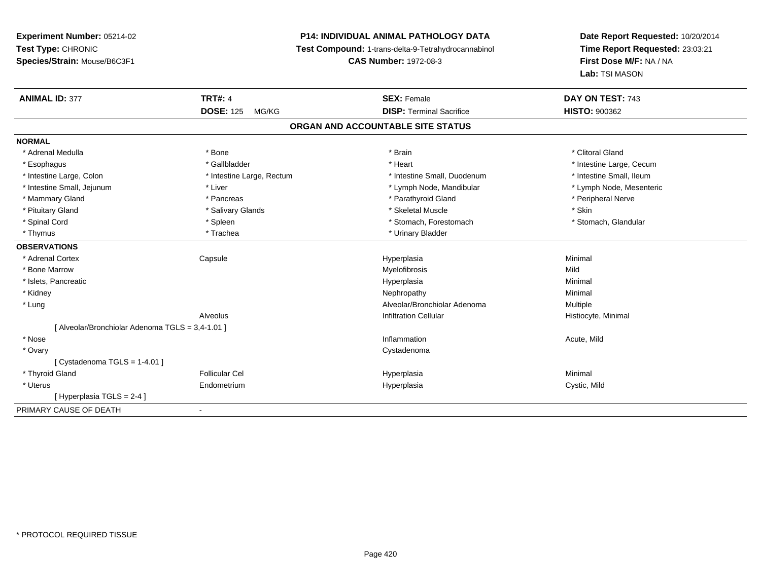# **P14: INDIVIDUAL ANIMAL PATHOLOGY DATA**

**Test Compound:** 1-trans-delta-9-Tetrahydrocannabinol

**CAS Number:** 1972-08-3

| <b>ANIMAL ID: 377</b>                            | <b>TRT#: 4</b>            | <b>SEX: Female</b>              | DAY ON TEST: 743         |  |  |  |
|--------------------------------------------------|---------------------------|---------------------------------|--------------------------|--|--|--|
|                                                  | <b>DOSE: 125</b><br>MG/KG | <b>DISP: Terminal Sacrifice</b> | <b>HISTO: 900362</b>     |  |  |  |
| ORGAN AND ACCOUNTABLE SITE STATUS                |                           |                                 |                          |  |  |  |
| <b>NORMAL</b>                                    |                           |                                 |                          |  |  |  |
| * Adrenal Medulla                                | * Bone                    | * Brain                         | * Clitoral Gland         |  |  |  |
| * Esophagus                                      | * Gallbladder             | * Heart                         | * Intestine Large, Cecum |  |  |  |
| * Intestine Large, Colon                         | * Intestine Large, Rectum | * Intestine Small, Duodenum     | * Intestine Small, Ileum |  |  |  |
| * Intestine Small, Jejunum                       | * Liver                   | * Lymph Node, Mandibular        | * Lymph Node, Mesenteric |  |  |  |
| * Mammary Gland                                  | * Pancreas                | * Parathyroid Gland             | * Peripheral Nerve       |  |  |  |
| * Pituitary Gland                                | * Salivary Glands         | * Skeletal Muscle               | * Skin                   |  |  |  |
| * Spinal Cord                                    | * Spleen                  | * Stomach, Forestomach          | * Stomach, Glandular     |  |  |  |
| * Thymus                                         | * Trachea                 | * Urinary Bladder               |                          |  |  |  |
| <b>OBSERVATIONS</b>                              |                           |                                 |                          |  |  |  |
| * Adrenal Cortex                                 | Capsule                   | Hyperplasia                     | Minimal                  |  |  |  |
| * Bone Marrow                                    |                           | Myelofibrosis                   | Mild                     |  |  |  |
| * Islets, Pancreatic                             |                           | Hyperplasia                     | Minimal                  |  |  |  |
| * Kidney                                         |                           | Nephropathy                     | Minimal                  |  |  |  |
| * Lung                                           |                           | Alveolar/Bronchiolar Adenoma    | Multiple                 |  |  |  |
|                                                  | Alveolus                  | <b>Infiltration Cellular</b>    | Histiocyte, Minimal      |  |  |  |
| [ Alveolar/Bronchiolar Adenoma TGLS = 3,4-1.01 ] |                           |                                 |                          |  |  |  |
| * Nose                                           |                           | Inflammation                    | Acute, Mild              |  |  |  |
| * Ovary                                          |                           | Cystadenoma                     |                          |  |  |  |
| [Cystadenoma TGLS = $1-4.01$ ]                   |                           |                                 |                          |  |  |  |
| * Thyroid Gland                                  | <b>Follicular Cel</b>     | Hyperplasia                     | Minimal                  |  |  |  |
| * Uterus                                         | Endometrium               | Hyperplasia                     | Cystic, Mild             |  |  |  |
| [Hyperplasia TGLS = 2-4]                         |                           |                                 |                          |  |  |  |
| PRIMARY CAUSE OF DEATH                           |                           |                                 |                          |  |  |  |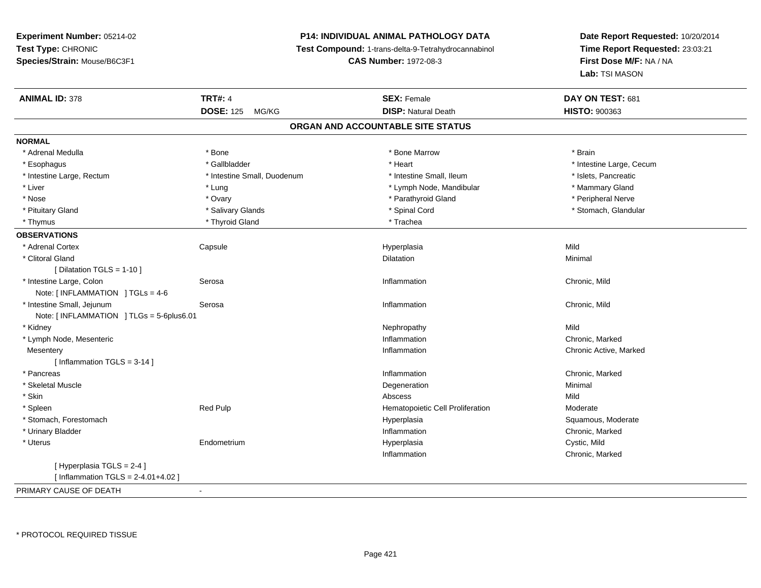# **P14: INDIVIDUAL ANIMAL PATHOLOGY DATA**

**Test Compound:** 1-trans-delta-9-Tetrahydrocannabinol

**CAS Number:** 1972-08-3

| <b>ANIMAL ID: 378</b>                    | <b>TRT#: 4</b>              | <b>SEX: Female</b>               | DAY ON TEST: 681         |  |  |  |
|------------------------------------------|-----------------------------|----------------------------------|--------------------------|--|--|--|
|                                          | <b>DOSE: 125</b><br>MG/KG   | <b>DISP: Natural Death</b>       | <b>HISTO: 900363</b>     |  |  |  |
| ORGAN AND ACCOUNTABLE SITE STATUS        |                             |                                  |                          |  |  |  |
| <b>NORMAL</b>                            |                             |                                  |                          |  |  |  |
| * Adrenal Medulla                        | * Bone                      | * Bone Marrow                    | * Brain                  |  |  |  |
| * Esophagus                              | * Gallbladder               | * Heart                          | * Intestine Large, Cecum |  |  |  |
| * Intestine Large, Rectum                | * Intestine Small, Duodenum | * Intestine Small, Ileum         | * Islets, Pancreatic     |  |  |  |
| * Liver                                  | * Lung                      | * Lymph Node, Mandibular         | * Mammary Gland          |  |  |  |
| * Nose                                   | * Ovary                     | * Parathyroid Gland              | * Peripheral Nerve       |  |  |  |
| * Pituitary Gland                        | * Salivary Glands           | * Spinal Cord                    | * Stomach, Glandular     |  |  |  |
| * Thymus                                 | * Thyroid Gland             | * Trachea                        |                          |  |  |  |
| <b>OBSERVATIONS</b>                      |                             |                                  |                          |  |  |  |
| * Adrenal Cortex                         | Capsule                     | Hyperplasia                      | Mild                     |  |  |  |
| * Clitoral Gland                         |                             | Dilatation                       | Minimal                  |  |  |  |
| [ Dilatation TGLS = $1-10$ ]             |                             |                                  |                          |  |  |  |
| * Intestine Large, Colon                 | Serosa                      | Inflammation                     | Chronic, Mild            |  |  |  |
| Note: [INFLAMMATION ] TGLs = 4-6         |                             |                                  |                          |  |  |  |
| * Intestine Small, Jejunum               | Serosa                      | Inflammation                     | Chronic, Mild            |  |  |  |
| Note: [INFLAMMATION ] TLGs = 5-6plus6.01 |                             |                                  |                          |  |  |  |
| * Kidney                                 |                             | Nephropathy                      | Mild                     |  |  |  |
| * Lymph Node, Mesenteric                 |                             | Inflammation                     | Chronic, Marked          |  |  |  |
| Mesentery                                |                             | Inflammation                     | Chronic Active, Marked   |  |  |  |
| [ Inflammation TGLS = 3-14 ]             |                             |                                  |                          |  |  |  |
| * Pancreas                               |                             | Inflammation                     | Chronic, Marked          |  |  |  |
| * Skeletal Muscle                        |                             | Degeneration                     | Minimal                  |  |  |  |
| * Skin                                   |                             | Abscess                          | Mild                     |  |  |  |
| * Spleen                                 | Red Pulp                    | Hematopoietic Cell Proliferation | Moderate                 |  |  |  |
| * Stomach, Forestomach                   |                             | Hyperplasia                      | Squamous, Moderate       |  |  |  |
| * Urinary Bladder                        |                             | Inflammation                     | Chronic, Marked          |  |  |  |
| * Uterus                                 | Endometrium                 | Hyperplasia                      | Cystic, Mild             |  |  |  |
|                                          |                             | Inflammation                     | Chronic, Marked          |  |  |  |
| [ Hyperplasia TGLS = 2-4 ]               |                             |                                  |                          |  |  |  |
| [Inflammation TGLS = $2 - 4.01 + 4.02$ ] |                             |                                  |                          |  |  |  |
| PRIMARY CAUSE OF DEATH                   | $\sim$                      |                                  |                          |  |  |  |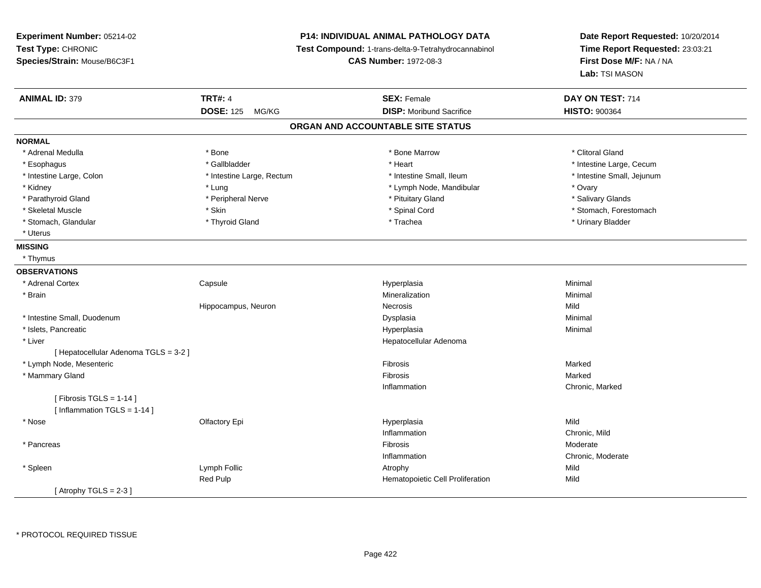# **P14: INDIVIDUAL ANIMAL PATHOLOGY DATA**

**Test Compound:** 1-trans-delta-9-Tetrahydrocannabinol

**CAS Number:** 1972-08-3

| <b>ANIMAL ID: 379</b>                 | <b>TRT#: 4</b>            | <b>SEX: Female</b>               | DAY ON TEST: 714           |  |  |  |  |
|---------------------------------------|---------------------------|----------------------------------|----------------------------|--|--|--|--|
|                                       | <b>DOSE: 125</b><br>MG/KG | <b>DISP:</b> Moribund Sacrifice  | <b>HISTO: 900364</b>       |  |  |  |  |
| ORGAN AND ACCOUNTABLE SITE STATUS     |                           |                                  |                            |  |  |  |  |
| <b>NORMAL</b>                         |                           |                                  |                            |  |  |  |  |
| * Adrenal Medulla                     | * Bone                    | * Bone Marrow                    | * Clitoral Gland           |  |  |  |  |
| * Esophagus                           | * Gallbladder             | * Heart                          | * Intestine Large, Cecum   |  |  |  |  |
| * Intestine Large, Colon              | * Intestine Large, Rectum | * Intestine Small, Ileum         | * Intestine Small, Jejunum |  |  |  |  |
| * Kidney                              | * Lung                    | * Lymph Node, Mandibular         | * Ovary                    |  |  |  |  |
| * Parathyroid Gland                   | * Peripheral Nerve        | * Pituitary Gland                | * Salivary Glands          |  |  |  |  |
| * Skeletal Muscle                     | * Skin                    | * Spinal Cord                    | * Stomach, Forestomach     |  |  |  |  |
| * Stomach, Glandular                  | * Thyroid Gland           | * Trachea                        | * Urinary Bladder          |  |  |  |  |
| * Uterus                              |                           |                                  |                            |  |  |  |  |
| <b>MISSING</b>                        |                           |                                  |                            |  |  |  |  |
| * Thymus                              |                           |                                  |                            |  |  |  |  |
| <b>OBSERVATIONS</b>                   |                           |                                  |                            |  |  |  |  |
| * Adrenal Cortex                      | Capsule                   | Hyperplasia                      | Minimal                    |  |  |  |  |
| * Brain                               |                           | Mineralization                   | Minimal                    |  |  |  |  |
|                                       | Hippocampus, Neuron       | Necrosis                         | Mild                       |  |  |  |  |
| * Intestine Small, Duodenum           |                           | Dysplasia                        | Minimal                    |  |  |  |  |
| * Islets, Pancreatic                  |                           | Hyperplasia                      | Minimal                    |  |  |  |  |
| * Liver                               |                           | Hepatocellular Adenoma           |                            |  |  |  |  |
| [ Hepatocellular Adenoma TGLS = 3-2 ] |                           |                                  |                            |  |  |  |  |
| * Lymph Node, Mesenteric              |                           | Fibrosis                         | Marked                     |  |  |  |  |
| * Mammary Gland                       |                           | Fibrosis                         | Marked                     |  |  |  |  |
|                                       |                           | Inflammation                     | Chronic, Marked            |  |  |  |  |
| [Fibrosis TGLS = $1-14$ ]             |                           |                                  |                            |  |  |  |  |
| [ Inflammation $TGLS = 1-14$ ]        |                           |                                  |                            |  |  |  |  |
| * Nose                                | Olfactory Epi             | Hyperplasia                      | Mild                       |  |  |  |  |
|                                       |                           | Inflammation                     | Chronic, Mild              |  |  |  |  |
| * Pancreas                            |                           | Fibrosis                         | Moderate                   |  |  |  |  |
|                                       |                           | Inflammation                     | Chronic, Moderate          |  |  |  |  |
| * Spleen                              | Lymph Follic              | Atrophy                          | Mild                       |  |  |  |  |
|                                       | Red Pulp                  | Hematopoietic Cell Proliferation | Mild                       |  |  |  |  |
| [Atrophy TGLS = $2-3$ ]               |                           |                                  |                            |  |  |  |  |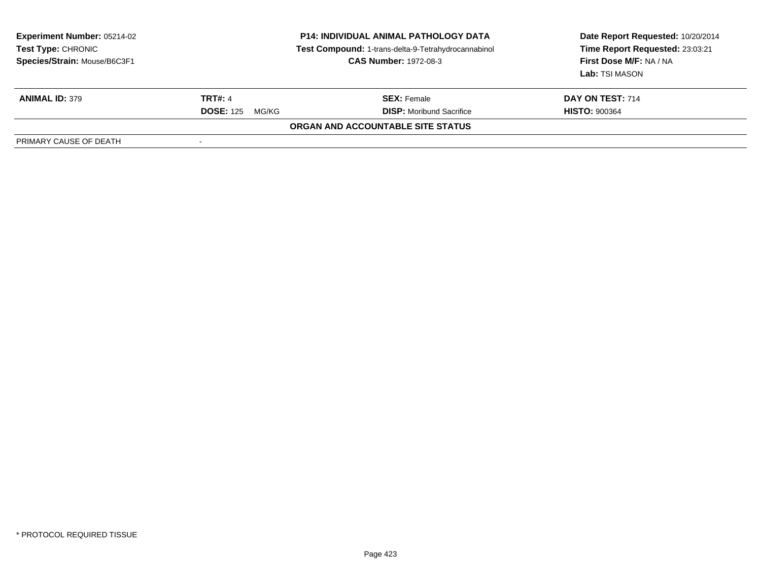| <b>Experiment Number: 05214-02</b><br><b>Test Type: CHRONIC</b><br>Species/Strain: Mouse/B6C3F1 | <b>P14: INDIVIDUAL ANIMAL PATHOLOGY DATA</b><br>Test Compound: 1-trans-delta-9-Tetrahydrocannabinol<br><b>CAS Number: 1972-08-3</b> |                                   | Date Report Requested: 10/20/2014<br>Time Report Requested: 23:03:21<br>First Dose M/F: NA / NA<br>Lab: TSI MASON |
|-------------------------------------------------------------------------------------------------|-------------------------------------------------------------------------------------------------------------------------------------|-----------------------------------|-------------------------------------------------------------------------------------------------------------------|
| <b>ANIMAL ID: 379</b>                                                                           | <b>TRT#: 4</b>                                                                                                                      | <b>SEX:</b> Female                | DAY ON TEST: 714                                                                                                  |
|                                                                                                 | <b>DOSE: 125</b><br>MG/KG                                                                                                           | <b>DISP:</b> Moribund Sacrifice   | <b>HISTO: 900364</b>                                                                                              |
|                                                                                                 |                                                                                                                                     | ORGAN AND ACCOUNTABLE SITE STATUS |                                                                                                                   |
| PRIMARY CAUSE OF DEATH                                                                          |                                                                                                                                     |                                   |                                                                                                                   |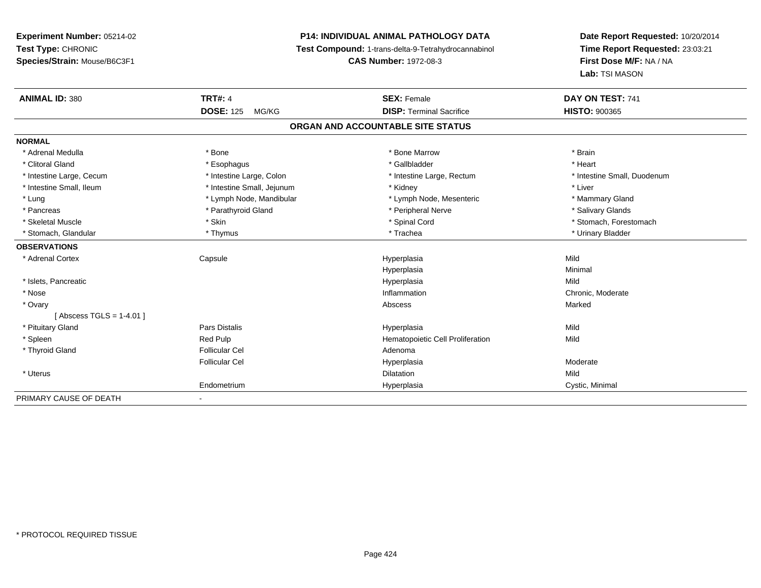# **P14: INDIVIDUAL ANIMAL PATHOLOGY DATA**

**Test Compound:** 1-trans-delta-9-Tetrahydrocannabinol

**CAS Number:** 1972-08-3

| <b>ANIMAL ID: 380</b>      | <b>TRT#: 4</b>             | <b>SEX: Female</b>                | DAY ON TEST: 741            |
|----------------------------|----------------------------|-----------------------------------|-----------------------------|
|                            | <b>DOSE: 125</b><br>MG/KG  | <b>DISP: Terminal Sacrifice</b>   | <b>HISTO: 900365</b>        |
|                            |                            | ORGAN AND ACCOUNTABLE SITE STATUS |                             |
| <b>NORMAL</b>              |                            |                                   |                             |
| * Adrenal Medulla          | * Bone                     | * Bone Marrow                     | * Brain                     |
| * Clitoral Gland           | * Esophagus                | * Gallbladder                     | * Heart                     |
| * Intestine Large, Cecum   | * Intestine Large, Colon   | * Intestine Large, Rectum         | * Intestine Small, Duodenum |
| * Intestine Small, Ileum   | * Intestine Small, Jejunum | * Kidney                          | * Liver                     |
| * Lung                     | * Lymph Node, Mandibular   | * Lymph Node, Mesenteric          | * Mammary Gland             |
| * Pancreas                 | * Parathyroid Gland        | * Peripheral Nerve                | * Salivary Glands           |
| * Skeletal Muscle          | * Skin                     | * Spinal Cord                     | * Stomach, Forestomach      |
| * Stomach, Glandular       | * Thymus                   | * Trachea                         | * Urinary Bladder           |
| <b>OBSERVATIONS</b>        |                            |                                   |                             |
| * Adrenal Cortex           | Capsule                    | Hyperplasia                       | Mild                        |
|                            |                            | Hyperplasia                       | Minimal                     |
| * Islets, Pancreatic       |                            | Hyperplasia                       | Mild                        |
| * Nose                     |                            | Inflammation                      | Chronic, Moderate           |
| * Ovary                    |                            | Abscess                           | Marked                      |
| [Abscess TGLS = $1-4.01$ ] |                            |                                   |                             |
| * Pituitary Gland          | Pars Distalis              | Hyperplasia                       | Mild                        |
| * Spleen                   | Red Pulp                   | Hematopoietic Cell Proliferation  | Mild                        |
| * Thyroid Gland            | <b>Follicular Cel</b>      | Adenoma                           |                             |
|                            | <b>Follicular Cel</b>      | Hyperplasia                       | Moderate                    |
| * Uterus                   |                            | <b>Dilatation</b>                 | Mild                        |
|                            | Endometrium                | Hyperplasia                       | Cystic, Minimal             |
| PRIMARY CAUSE OF DEATH     |                            |                                   |                             |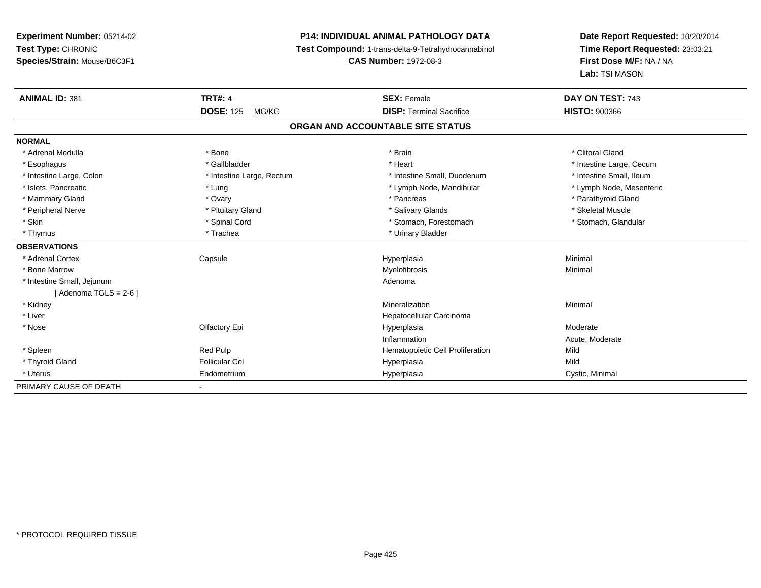# **P14: INDIVIDUAL ANIMAL PATHOLOGY DATA**

**Test Compound:** 1-trans-delta-9-Tetrahydrocannabinol

**CAS Number:** 1972-08-3

| <b>ANIMAL ID: 381</b>      | <b>TRT#: 4</b>            | <b>SEX: Female</b>                | DAY ON TEST: 743         |
|----------------------------|---------------------------|-----------------------------------|--------------------------|
|                            | <b>DOSE: 125</b><br>MG/KG | <b>DISP: Terminal Sacrifice</b>   | <b>HISTO: 900366</b>     |
|                            |                           | ORGAN AND ACCOUNTABLE SITE STATUS |                          |
| <b>NORMAL</b>              |                           |                                   |                          |
| * Adrenal Medulla          | * Bone                    | * Brain                           | * Clitoral Gland         |
| * Esophagus                | * Gallbladder             | * Heart                           | * Intestine Large, Cecum |
| * Intestine Large, Colon   | * Intestine Large, Rectum | * Intestine Small, Duodenum       | * Intestine Small, Ileum |
| * Islets, Pancreatic       | * Lung                    | * Lymph Node, Mandibular          | * Lymph Node, Mesenteric |
| * Mammary Gland            | * Ovary                   | * Pancreas                        | * Parathyroid Gland      |
| * Peripheral Nerve         | * Pituitary Gland         | * Salivary Glands                 | * Skeletal Muscle        |
| * Skin                     | * Spinal Cord             | * Stomach, Forestomach            | * Stomach, Glandular     |
| * Thymus                   | * Trachea                 | * Urinary Bladder                 |                          |
| <b>OBSERVATIONS</b>        |                           |                                   |                          |
| * Adrenal Cortex           | Capsule                   | Hyperplasia                       | Minimal                  |
| * Bone Marrow              |                           | Myelofibrosis                     | Minimal                  |
| * Intestine Small, Jejunum |                           | Adenoma                           |                          |
| $Adenoma TGLS = 2-6$       |                           |                                   |                          |
| * Kidney                   |                           | Mineralization                    | Minimal                  |
| * Liver                    |                           | Hepatocellular Carcinoma          |                          |
| * Nose                     | Olfactory Epi             | Hyperplasia                       | Moderate                 |
|                            |                           | Inflammation                      | Acute, Moderate          |
| * Spleen                   | Red Pulp                  | Hematopoietic Cell Proliferation  | Mild                     |
| * Thyroid Gland            | <b>Follicular Cel</b>     | Hyperplasia                       | Mild                     |
| * Uterus                   | Endometrium               | Hyperplasia                       | Cystic, Minimal          |
| PRIMARY CAUSE OF DEATH     |                           |                                   |                          |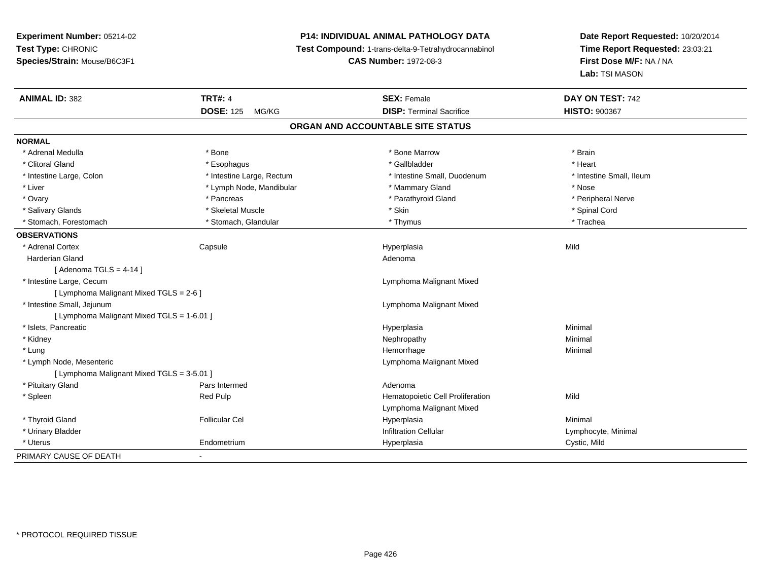# **P14: INDIVIDUAL ANIMAL PATHOLOGY DATA**

**Test Compound:** 1-trans-delta-9-Tetrahydrocannabinol

**CAS Number:** 1972-08-3

| <b>ANIMAL ID: 382</b>                      | <b>TRT#: 4</b>            | <b>SEX: Female</b>               | DAY ON TEST: 742         |  |  |  |
|--------------------------------------------|---------------------------|----------------------------------|--------------------------|--|--|--|
|                                            | <b>DOSE: 125</b><br>MG/KG | <b>DISP: Terminal Sacrifice</b>  | <b>HISTO: 900367</b>     |  |  |  |
| ORGAN AND ACCOUNTABLE SITE STATUS          |                           |                                  |                          |  |  |  |
| <b>NORMAL</b>                              |                           |                                  |                          |  |  |  |
| * Adrenal Medulla                          | * Bone                    | * Bone Marrow                    | * Brain                  |  |  |  |
| * Clitoral Gland                           | * Esophagus               | * Gallbladder                    | * Heart                  |  |  |  |
| * Intestine Large, Colon                   | * Intestine Large, Rectum | * Intestine Small, Duodenum      | * Intestine Small, Ileum |  |  |  |
| * Liver                                    | * Lymph Node, Mandibular  | * Mammary Gland                  | * Nose                   |  |  |  |
| * Ovary                                    | * Pancreas                | * Parathyroid Gland              | * Peripheral Nerve       |  |  |  |
| * Salivary Glands                          | * Skeletal Muscle         | * Skin                           | * Spinal Cord            |  |  |  |
| * Stomach, Forestomach                     | * Stomach, Glandular      | * Thymus                         | * Trachea                |  |  |  |
| <b>OBSERVATIONS</b>                        |                           |                                  |                          |  |  |  |
| * Adrenal Cortex                           | Capsule                   | Hyperplasia                      | Mild                     |  |  |  |
| Harderian Gland                            |                           | Adenoma                          |                          |  |  |  |
| [Adenoma TGLS = $4-14$ ]                   |                           |                                  |                          |  |  |  |
| * Intestine Large, Cecum                   |                           | Lymphoma Malignant Mixed         |                          |  |  |  |
| [ Lymphoma Malignant Mixed TGLS = 2-6 ]    |                           |                                  |                          |  |  |  |
| * Intestine Small, Jejunum                 |                           | Lymphoma Malignant Mixed         |                          |  |  |  |
| [ Lymphoma Malignant Mixed TGLS = 1-6.01 ] |                           |                                  |                          |  |  |  |
| * Islets, Pancreatic                       |                           | Hyperplasia                      | Minimal                  |  |  |  |
| * Kidney                                   |                           | Nephropathy                      | Minimal                  |  |  |  |
| * Lung                                     |                           | Hemorrhage                       | Minimal                  |  |  |  |
| * Lymph Node, Mesenteric                   |                           | Lymphoma Malignant Mixed         |                          |  |  |  |
| [ Lymphoma Malignant Mixed TGLS = 3-5.01 ] |                           |                                  |                          |  |  |  |
| * Pituitary Gland                          | Pars Intermed             | Adenoma                          |                          |  |  |  |
| * Spleen                                   | Red Pulp                  | Hematopoietic Cell Proliferation | Mild                     |  |  |  |
|                                            |                           | Lymphoma Malignant Mixed         |                          |  |  |  |
| * Thyroid Gland                            | <b>Follicular Cel</b>     | Hyperplasia                      | Minimal                  |  |  |  |
| * Urinary Bladder                          |                           | <b>Infiltration Cellular</b>     | Lymphocyte, Minimal      |  |  |  |
| * Uterus                                   | Endometrium               | Hyperplasia                      | Cystic, Mild             |  |  |  |
| PRIMARY CAUSE OF DEATH                     | $\blacksquare$            |                                  |                          |  |  |  |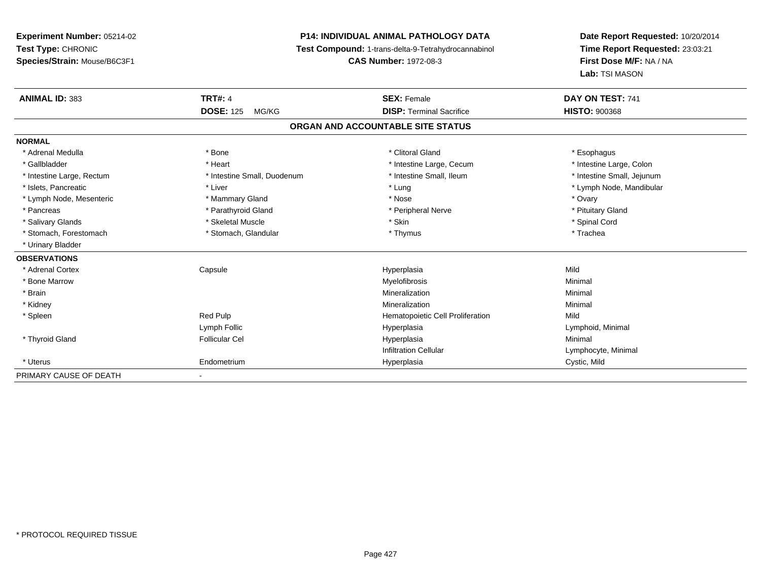# **P14: INDIVIDUAL ANIMAL PATHOLOGY DATA**

**Test Compound:** 1-trans-delta-9-Tetrahydrocannabinol

**CAS Number:** 1972-08-3

| <b>ANIMAL ID: 383</b>     | <b>TRT#: 4</b><br><b>DOSE: 125</b><br>MG/KG | <b>SEX: Female</b><br><b>DISP: Terminal Sacrifice</b> | DAY ON TEST: 741<br><b>HISTO: 900368</b> |
|---------------------------|---------------------------------------------|-------------------------------------------------------|------------------------------------------|
|                           |                                             |                                                       |                                          |
|                           |                                             | ORGAN AND ACCOUNTABLE SITE STATUS                     |                                          |
| <b>NORMAL</b>             |                                             |                                                       |                                          |
| * Adrenal Medulla         | * Bone                                      | * Clitoral Gland                                      | * Esophagus                              |
| * Gallbladder             | * Heart                                     | * Intestine Large, Cecum                              | * Intestine Large, Colon                 |
| * Intestine Large, Rectum | * Intestine Small, Duodenum                 | * Intestine Small, Ileum                              | * Intestine Small, Jejunum               |
| * Islets, Pancreatic      | * Liver                                     | * Lung                                                | * Lymph Node, Mandibular                 |
| * Lymph Node, Mesenteric  | * Mammary Gland                             | * Nose                                                | * Ovary                                  |
| * Pancreas                | * Parathyroid Gland                         | * Peripheral Nerve                                    | * Pituitary Gland                        |
| * Salivary Glands         | * Skeletal Muscle                           | * Skin                                                | * Spinal Cord                            |
| * Stomach, Forestomach    | * Stomach, Glandular                        | * Thymus                                              | * Trachea                                |
| * Urinary Bladder         |                                             |                                                       |                                          |
| <b>OBSERVATIONS</b>       |                                             |                                                       |                                          |
| * Adrenal Cortex          | Capsule                                     | Hyperplasia                                           | Mild                                     |
| * Bone Marrow             |                                             | Myelofibrosis                                         | Minimal                                  |
| * Brain                   |                                             | Mineralization                                        | Minimal                                  |
| * Kidney                  |                                             | Mineralization                                        | Minimal                                  |
| * Spleen                  | Red Pulp                                    | Hematopoietic Cell Proliferation                      | Mild                                     |
|                           | Lymph Follic                                | Hyperplasia                                           | Lymphoid, Minimal                        |
| * Thyroid Gland           | <b>Follicular Cel</b>                       | Hyperplasia                                           | Minimal                                  |
|                           |                                             | <b>Infiltration Cellular</b>                          | Lymphocyte, Minimal                      |
| * Uterus                  | Endometrium                                 | Hyperplasia                                           | Cystic, Mild                             |
| PRIMARY CAUSE OF DEATH    |                                             |                                                       |                                          |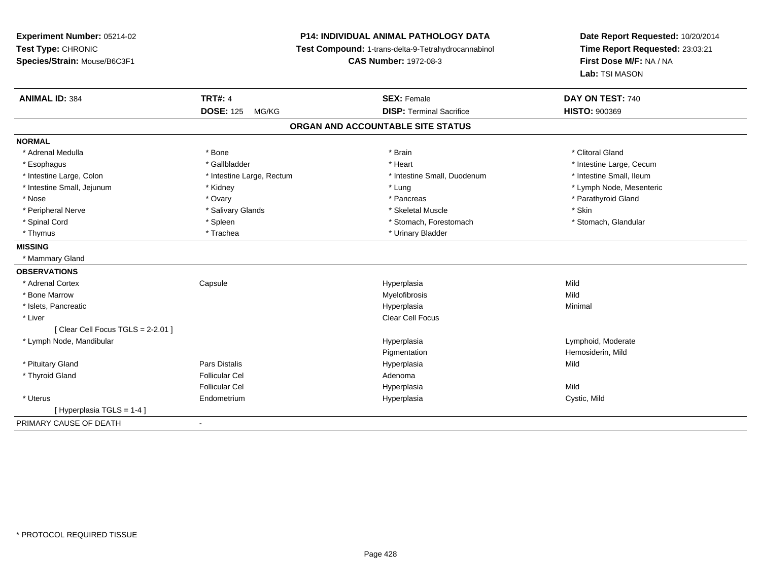**Experiment Number:** 05214-02**Test Type:** CHRONIC **Species/Strain:** Mouse/B6C3F1**P14: INDIVIDUAL ANIMAL PATHOLOGY DATA Test Compound:** 1-trans-delta-9-Tetrahydrocannabinol **CAS Number:** 1972-08-3**Date Report Requested:** 10/20/2014**Time Report Requested:** 23:03:21**First Dose M/F:** NA / NA**Lab:** TSI MASON**ANIMAL ID:** 384**TRT#:** 4 **SEX:** Female **SEX: Female DAY ON TEST:** 740 **DOSE:** 125 MG/KG**DISP:** Terminal Sacrifice **HISTO:**  $900369$ **ORGAN AND ACCOUNTABLE SITE STATUSNORMAL**\* Adrenal Medulla \* The state of the state of the state of the state of the state of the state of the state of the state of the state of the state of the state of the state of the state of the state of the state of the sta \* Esophagus \* https://www.fragustage.com/web/2019/heart \* Heart \* Heart \* Heart \* Intestine Large, Cecum \* Intestine Large, Cecum \* Sallbladder \* The state of the state of the state of the state of the state of the state o \* Intestine Small, Ileum \* Intestine Large, Colon \* Intestine Large, Rectum \* Intestine Small, Duodenum \* Intestine Small, Duodenum \* Intestine Small, Jejunum \* Kidney \* Lung \* Lymph Node, Mesenteric\* Nose \* Ovary \* Pancreas \* Parathyroid Gland \* Peripheral Nerve \* Salivary Glands \* Skeletal Muscle \* Skin\* Stomach. Glandular \* Spinal Cord \* Spinal Cord \* Spinal Cord \* Stomach, Forestomach \* Stomach, Forestomach \* Stomach, Forestomach \* Thymus \* Trachea \* Trachea \* Urinary Bladder **MISSING** \* Mammary Gland**OBSERVATIONS** \* Adrenal Cortex**Capsule**  Hyperplasia Mild \* Bone Marroww which is a matter of the Myelofibrosis and the Myelofibrosis and the Mild of the Mild of the Mild of the Mild of the Mild of the Mild of the Mild of the Mild of the Mild of the Mild of the Mild of the Mild of the Mild of \* Islets, Pancreaticc and the control of the control of the control of the control of the control of the control of the control of the control of the control of the control of the control of the control of the control of the control of the co a **Minimal**  \* Liverr and the contract of the contract of the contract of the contract of the contract of the contract of the contract of the contract of the contract of the contract of the contract of the contract of the contract of the cont [ Clear Cell Focus TGLS = 2-2.01 ] \* Lymph Node, Mandibular Hyperplasia Lymphoid, Moderate PigmentationPigmentation **Example 20 For the Series of Temperature Pigmental American**<br>
Hemosiderin, Mild<br>
Hyperplasia \* Pituitary Gland Pars Distalis Hyperplasia Mild \* Thyroid Glandd and the set of the Follicular Cel the set of the Second Adenomal Adenomal Second Second Second Second Second Second Second Second Second Second Second Second Second Second Second Second Second Second Second Second Second Follicular Cel Hyperplasiaa Mild \* Uterus Endometrium Hyperplasia Cystic, Mild [ Hyperplasia TGLS = 1-4 ]PRIMARY CAUSE OF DEATH-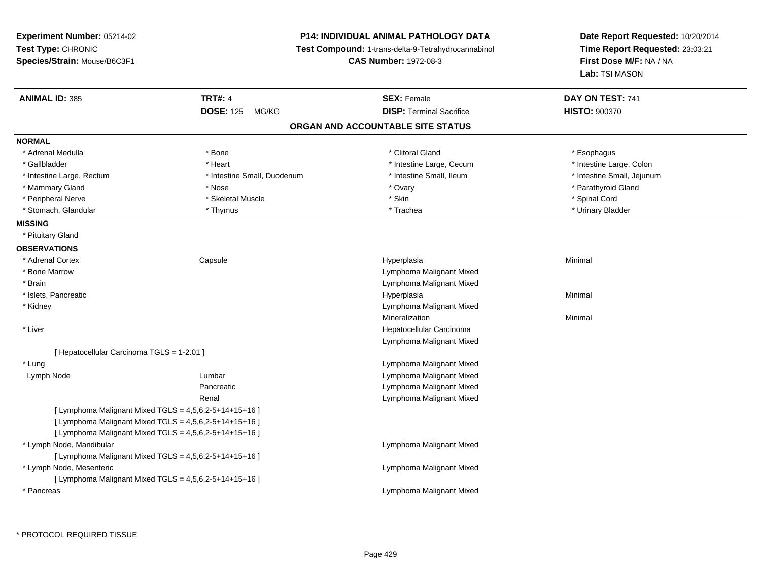**Experiment Number:** 05214-02**Test Type:** CHRONIC **Species/Strain:** Mouse/B6C3F1**P14: INDIVIDUAL ANIMAL PATHOLOGY DATA Test Compound:** 1-trans-delta-9-Tetrahydrocannabinol **CAS Number:** 1972-08-3**Date Report Requested:** 10/20/2014**Time Report Requested:** 23:03:21**First Dose M/F:** NA / NA**Lab:** TSI MASON**ANIMAL ID:** 385 **TRT#:** <sup>4</sup> **SEX:** Female **DAY ON TEST:** <sup>741</sup> **DOSE:** 125 MG/KG**DISP:** Terminal Sacrifice **HISTO:**  $900370$ **ORGAN AND ACCOUNTABLE SITE STATUSNORMAL**\* Adrenal Medulla \* Adrenal Medulla \* Bone \* Clitoral Gland \* Esophagus\* Gallbladder \* Thestine Large, Colon \* Heart \* Heart \* Thestine Large, Cecum \* Intestine Large, Colon \* Intestine Large, Colon \* Intestine Large, Colon \* Intestine Large, Rectum \* Thestine Small, Duodenum \* Number of the small, Ileum \* Intestine Small, Jejunum \* Intestine Small, Jejunum \* Mammary Gland \* The state of the state of the state of the state of the state of the state of the state of the state of the state of the state of the state of the state of the state of the state of the state of the state \* Peripheral Nerve \* \* Spinal Cord \* Skeletal Muscle \* \* Skin \* \* Skin \* \* Spinal Cord \* Spinal Cord \* Spinal Cord \* Spinal Cord \* Spinal Cord \* Spinal Cord \* Spinal Cord \* Spinal Cord \* Spinal Cord \* Spinal Cord \* Spinal \* Urinary Bladder \* Stomach, Glandular \* The \* Thymus \* Thymus \* Trachea \* Trachea **MISSING** \* Pituitary Gland**OBSERVATIONS** \* Adrenal Cortex**Capsule**  Hyperplasia Minimal \* Bone Marrow Lymphoma Malignant Mixed \* BrainLymphoma Malignant Mixed<br>Hyperplasia \* Islets, Pancreaticc and the control of the control of the control of the control of the control of the control of the control of the control of the control of the control of the control of the control of the control of the control of the co a **Minimal**  \* Kidney Lymphoma Malignant MixedMineralizationn Minimal \* Liver Hepatocellular Carcinoma Lymphoma Malignant Mixed[ Hepatocellular Carcinoma TGLS = 1-2.01 ] \* LungLymphoma Malignant Mixed<br>Lymphoma Malignant Mixed<br>Lymphoma Malignant Mixed Lymph NodeLymphoma Malignant Mixed Pancreatic Lymphoma Malignant Mixed Lymphoma Malignant MixedRenal[ Lymphoma Malignant Mixed  $TGLS = 4,5,6,2-5+14+15+16$  ] [ Lymphoma Malignant Mixed TGLS =  $4,5,6,2-5+14+15+16$  ] [ Lymphoma Malignant Mixed  $TGLS = 4,5,6,2-5+14+15+16$  ] \* Lymph Node, Mandibular Lymphoma Malignant Mixed[ Lymphoma Malignant Mixed  $TGLS = 4,5,6,2-5+14+15+16$  ] \* Lymph Node, Mesenteric Lymphoma Malignant Mixed[ Lymphoma Malignant Mixed TGLS =  $4,5,6,2-5+14+15+16$  ] \* PancreasLymphoma Malignant Mixed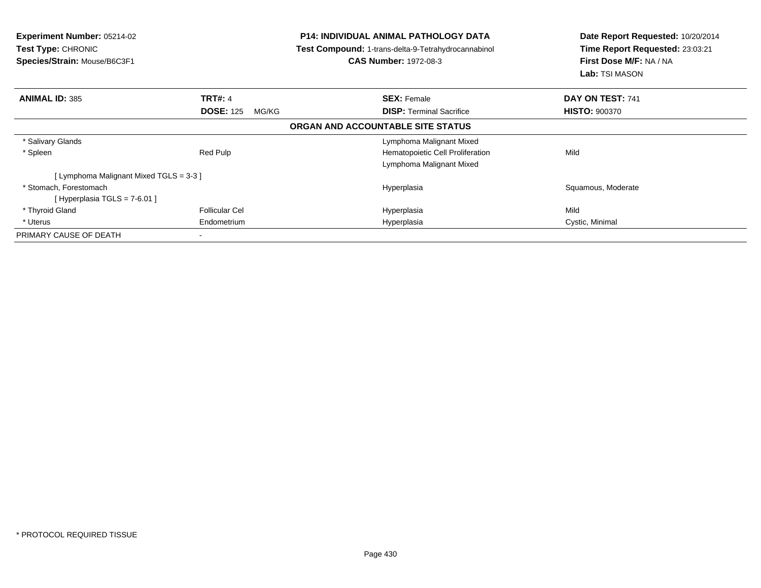| <b>Experiment Number: 05214-02</b><br>Test Type: CHRONIC<br>Species/Strain: Mouse/B6C3F1 |                           | <b>P14: INDIVIDUAL ANIMAL PATHOLOGY DATA</b><br><b>Test Compound: 1-trans-delta-9-Tetrahydrocannabinol</b><br><b>CAS Number: 1972-08-3</b> | Date Report Requested: 10/20/2014<br>Time Report Requested: 23:03:21<br>First Dose M/F: NA / NA<br><b>Lab:</b> TSI MASON |  |  |  |
|------------------------------------------------------------------------------------------|---------------------------|--------------------------------------------------------------------------------------------------------------------------------------------|--------------------------------------------------------------------------------------------------------------------------|--|--|--|
| <b>ANIMAL ID: 385</b>                                                                    | <b>TRT#: 4</b>            | <b>SEX: Female</b>                                                                                                                         | DAY ON TEST: 741                                                                                                         |  |  |  |
|                                                                                          | <b>DOSE: 125</b><br>MG/KG | <b>DISP:</b> Terminal Sacrifice                                                                                                            | <b>HISTO: 900370</b>                                                                                                     |  |  |  |
| ORGAN AND ACCOUNTABLE SITE STATUS                                                        |                           |                                                                                                                                            |                                                                                                                          |  |  |  |
| * Salivary Glands                                                                        |                           | Lymphoma Malignant Mixed                                                                                                                   |                                                                                                                          |  |  |  |
| * Spleen                                                                                 | Red Pulp                  | Hematopoietic Cell Proliferation<br>Lymphoma Malignant Mixed                                                                               | Mild                                                                                                                     |  |  |  |
| [Lymphoma Malignant Mixed TGLS = 3-3 ]                                                   |                           |                                                                                                                                            |                                                                                                                          |  |  |  |
| * Stomach, Forestomach<br>[Hyperplasia TGLS = 7-6.01]                                    |                           | Hyperplasia                                                                                                                                | Squamous, Moderate                                                                                                       |  |  |  |
| * Thyroid Gland                                                                          | <b>Follicular Cel</b>     | Hyperplasia                                                                                                                                | Mild                                                                                                                     |  |  |  |
| * Uterus                                                                                 | Endometrium               | Hyperplasia                                                                                                                                | Cystic, Minimal                                                                                                          |  |  |  |
| PRIMARY CAUSE OF DEATH                                                                   |                           |                                                                                                                                            |                                                                                                                          |  |  |  |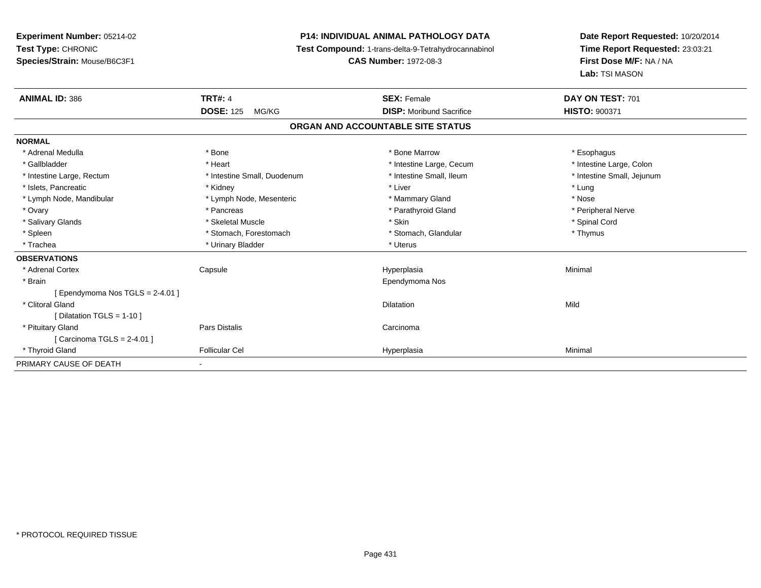# **P14: INDIVIDUAL ANIMAL PATHOLOGY DATA**

**Test Compound:** 1-trans-delta-9-Tetrahydrocannabinol

**CAS Number:** 1972-08-3

| <b>ANIMAL ID: 386</b>             | <b>TRT#: 4</b>               | <b>SEX: Female</b>              | DAY ON TEST: 701           |  |  |  |
|-----------------------------------|------------------------------|---------------------------------|----------------------------|--|--|--|
|                                   | <b>DOSE: 125</b><br>MG/KG    | <b>DISP:</b> Moribund Sacrifice | HISTO: 900371              |  |  |  |
| ORGAN AND ACCOUNTABLE SITE STATUS |                              |                                 |                            |  |  |  |
| <b>NORMAL</b>                     |                              |                                 |                            |  |  |  |
| * Adrenal Medulla                 | * Bone                       | * Bone Marrow                   | * Esophagus                |  |  |  |
| * Gallbladder                     | * Heart                      | * Intestine Large, Cecum        | * Intestine Large, Colon   |  |  |  |
| * Intestine Large, Rectum         | * Intestine Small, Duodenum  | * Intestine Small, Ileum        | * Intestine Small, Jejunum |  |  |  |
| * Islets, Pancreatic              | * Kidney                     | * Liver                         | * Lung                     |  |  |  |
| * Lymph Node, Mandibular          | * Lymph Node, Mesenteric     | * Mammary Gland                 | * Nose                     |  |  |  |
| * Ovary                           | * Pancreas                   | * Parathyroid Gland             | * Peripheral Nerve         |  |  |  |
| * Salivary Glands                 | * Skeletal Muscle            | * Skin                          | * Spinal Cord              |  |  |  |
| * Spleen                          | * Stomach, Forestomach       | * Stomach, Glandular            | * Thymus                   |  |  |  |
| * Trachea                         | * Urinary Bladder            | * Uterus                        |                            |  |  |  |
| <b>OBSERVATIONS</b>               |                              |                                 |                            |  |  |  |
| * Adrenal Cortex                  | Capsule                      | Hyperplasia                     | Minimal                    |  |  |  |
| * Brain                           |                              | Ependymoma Nos                  |                            |  |  |  |
| [ Ependymoma Nos TGLS = 2-4.01 ]  |                              |                                 |                            |  |  |  |
| * Clitoral Gland                  |                              | <b>Dilatation</b>               | Mild                       |  |  |  |
| [Dilatation TGLS = $1-10$ ]       |                              |                                 |                            |  |  |  |
| * Pituitary Gland                 | Pars Distalis                | Carcinoma                       |                            |  |  |  |
| [ Carcinoma TGLS = 2-4.01 ]       |                              |                                 |                            |  |  |  |
| * Thyroid Gland                   | <b>Follicular Cel</b>        | Hyperplasia                     | Minimal                    |  |  |  |
| PRIMARY CAUSE OF DEATH            | $\qquad \qquad \blacksquare$ |                                 |                            |  |  |  |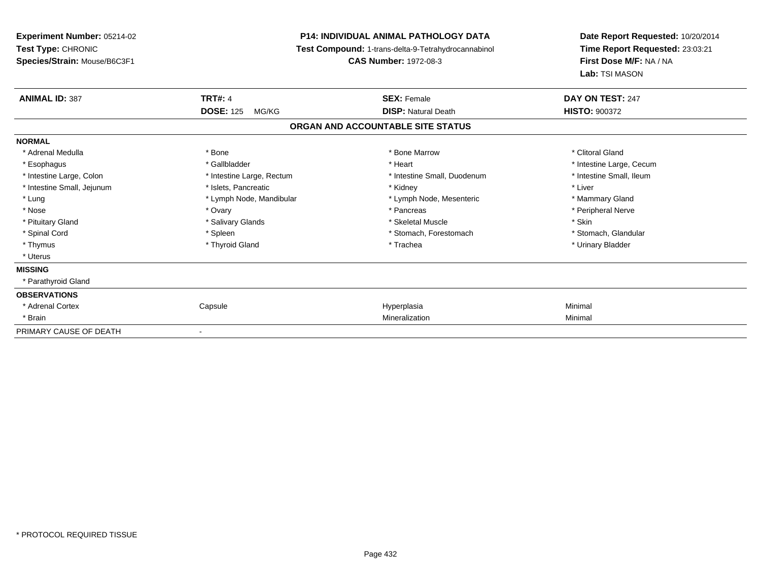**Experiment Number:** 05214-02**Test Type:** CHRONIC **Species/Strain:** Mouse/B6C3F1**P14: INDIVIDUAL ANIMAL PATHOLOGY DATA Test Compound:** 1-trans-delta-9-Tetrahydrocannabinol **CAS Number:** 1972-08-3**Date Report Requested:** 10/20/2014**Time Report Requested:** 23:03:21**First Dose M/F:** NA / NA**Lab:** TSI MASON**ANIMAL ID:** 387**TRT#:** 4 **SEX:** Female **SEX: Female DAY ON TEST:** 247 **DOSE:** 125 MG/KG**DISP:** Natural Death **HISTO:**  $900372$ **ORGAN AND ACCOUNTABLE SITE STATUSNORMAL**\* Adrenal Medulla \* The state of the state of the state of the state of the Marrow \* Bone Marrow \* Clitoral Gland \* Clitoral Gland \* Esophagus \* https://www.fragustage.com/web/2019/heart \* Heart \* Heart \* Heart \* Intestine Large, Cecum \* Intestine Large, Cecum \* Sallbladder \* The state of the state of the state of the state of the state of the state o \* Intestine Small, Ileum \* Intestine Large, Colon \* Intestine Large, Rectum \* Intestine Small, Duodenum \* Intestine Small, Duodenum \* Intestine Small, Jejunum \* 1992 \* The state of the state of the state of the state of the state of the state of the state of the state of the state of the state of the state of the state of the state of the state of the \* Lung **\* Lymph Node, Mandibular \*** Lymph Node, Mesenteric \* Mammary Gland \* Mammary Gland \* Peripheral Nerve \* Nose \* Ovary \* Pancreas \* Peripheral Nerve\* Pituitary Gland \* \* \* \* Salivary Glands \* \* \* Salivary Glands \* \* \$keletal Muscle \* \* \* \* \* \$kin \* \* \$kin \* \* Stomach, Glandular \* Spinal Cord \* Spinal Cord \* Spinal Cord \* Stomach, Forestomach \* Stomach, Forestomach \* Stomach, Forestomach \* Thymus \* Thyroid Gland \* Trachea \* Urinary Bladder \* \* Uterus**MISSING** \* Parathyroid Gland**OBSERVATIONS** \* Adrenal Cortex Capsule Hyperplasia Minimal \* Brainn and the control of the control of the control of the control of the control of the control of the control of the control of the control of the control of the control of the control of the control of the control of the co PRIMARY CAUSE OF DEATH-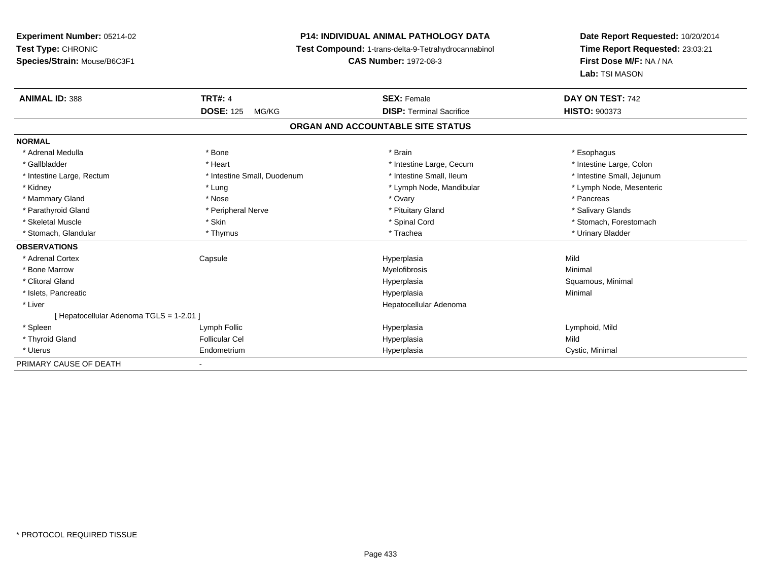# **P14: INDIVIDUAL ANIMAL PATHOLOGY DATA**

**Test Compound:** 1-trans-delta-9-Tetrahydrocannabinol

**CAS Number:** 1972-08-3

| <b>ANIMAL ID: 388</b>                    | <b>TRT#: 4</b>              | <b>SEX: Female</b>                | DAY ON TEST: 742           |  |
|------------------------------------------|-----------------------------|-----------------------------------|----------------------------|--|
|                                          | <b>DOSE: 125</b><br>MG/KG   | <b>DISP: Terminal Sacrifice</b>   | <b>HISTO: 900373</b>       |  |
|                                          |                             | ORGAN AND ACCOUNTABLE SITE STATUS |                            |  |
| <b>NORMAL</b>                            |                             |                                   |                            |  |
| * Adrenal Medulla                        | * Bone                      | * Brain                           | * Esophagus                |  |
| * Gallbladder                            | * Heart                     | * Intestine Large, Cecum          | * Intestine Large, Colon   |  |
| * Intestine Large, Rectum                | * Intestine Small, Duodenum | * Intestine Small, Ileum          | * Intestine Small, Jejunum |  |
| * Kidney                                 | * Lung                      | * Lymph Node, Mandibular          | * Lymph Node, Mesenteric   |  |
| * Mammary Gland                          | * Nose                      | * Ovary                           | * Pancreas                 |  |
| * Parathyroid Gland                      | * Peripheral Nerve          | * Pituitary Gland                 | * Salivary Glands          |  |
| * Skeletal Muscle                        | * Skin                      | * Spinal Cord                     | * Stomach, Forestomach     |  |
| * Stomach, Glandular                     | * Thymus                    | * Trachea                         | * Urinary Bladder          |  |
| <b>OBSERVATIONS</b>                      |                             |                                   |                            |  |
| * Adrenal Cortex                         | Capsule                     | Hyperplasia                       | Mild                       |  |
| * Bone Marrow                            |                             | Myelofibrosis                     | Minimal                    |  |
| * Clitoral Gland                         |                             | Hyperplasia                       | Squamous, Minimal          |  |
| * Islets, Pancreatic                     |                             | Hyperplasia                       | Minimal                    |  |
| * Liver                                  |                             | Hepatocellular Adenoma            |                            |  |
| [ Hepatocellular Adenoma TGLS = 1-2.01 ] |                             |                                   |                            |  |
| * Spleen                                 | Lymph Follic                | Hyperplasia                       | Lymphoid, Mild             |  |
| * Thyroid Gland                          | <b>Follicular Cel</b>       | Hyperplasia                       | Mild                       |  |
| * Uterus                                 | Endometrium                 | Hyperplasia                       | Cystic, Minimal            |  |
| PRIMARY CAUSE OF DEATH                   |                             |                                   |                            |  |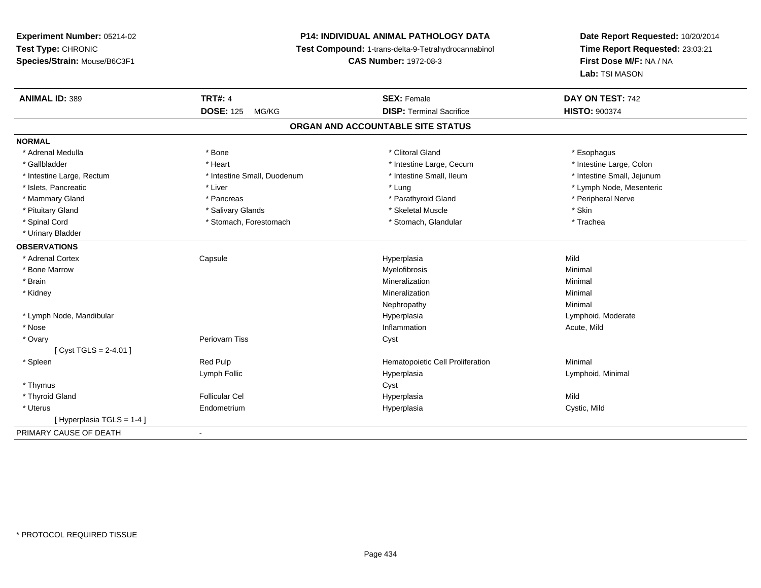# **P14: INDIVIDUAL ANIMAL PATHOLOGY DATA**

**Test Compound:** 1-trans-delta-9-Tetrahydrocannabinol

**CAS Number:** 1972-08-3

| <b>ANIMAL ID: 389</b>     | <b>TRT#: 4</b>              | <b>SEX: Female</b>                | DAY ON TEST: 742           |
|---------------------------|-----------------------------|-----------------------------------|----------------------------|
|                           | <b>DOSE: 125</b><br>MG/KG   | <b>DISP: Terminal Sacrifice</b>   | <b>HISTO: 900374</b>       |
|                           |                             | ORGAN AND ACCOUNTABLE SITE STATUS |                            |
| <b>NORMAL</b>             |                             |                                   |                            |
| * Adrenal Medulla         | * Bone                      | * Clitoral Gland                  | * Esophagus                |
| * Gallbladder             | * Heart                     | * Intestine Large, Cecum          | * Intestine Large, Colon   |
| * Intestine Large, Rectum | * Intestine Small, Duodenum | * Intestine Small, Ileum          | * Intestine Small, Jejunum |
| * Islets, Pancreatic      | * Liver                     | * Lung                            | * Lymph Node, Mesenteric   |
| * Mammary Gland           | * Pancreas                  | * Parathyroid Gland               | * Peripheral Nerve         |
| * Pituitary Gland         | * Salivary Glands           | * Skeletal Muscle                 | * Skin                     |
| * Spinal Cord             | * Stomach, Forestomach      | * Stomach, Glandular              | * Trachea                  |
| * Urinary Bladder         |                             |                                   |                            |
| <b>OBSERVATIONS</b>       |                             |                                   |                            |
| * Adrenal Cortex          | Capsule                     | Hyperplasia                       | Mild                       |
| * Bone Marrow             |                             | Myelofibrosis                     | Minimal                    |
| * Brain                   |                             | Mineralization                    | Minimal                    |
| * Kidney                  |                             | Mineralization                    | Minimal                    |
|                           |                             | Nephropathy                       | Minimal                    |
| * Lymph Node, Mandibular  |                             | Hyperplasia                       | Lymphoid, Moderate         |
| * Nose                    |                             | Inflammation                      | Acute, Mild                |
| * Ovary                   | Periovarn Tiss              | Cyst                              |                            |
| [Cyst TGLS = $2-4.01$ ]   |                             |                                   |                            |
| * Spleen                  | Red Pulp                    | Hematopoietic Cell Proliferation  | Minimal                    |
|                           | Lymph Follic                | Hyperplasia                       | Lymphoid, Minimal          |
| * Thymus                  |                             | Cyst                              |                            |
| * Thyroid Gland           | <b>Follicular Cel</b>       | Hyperplasia                       | Mild                       |
| * Uterus                  | Endometrium                 | Hyperplasia                       | Cystic, Mild               |
| [Hyperplasia TGLS = 1-4]  |                             |                                   |                            |
| PRIMARY CAUSE OF DEATH    |                             |                                   |                            |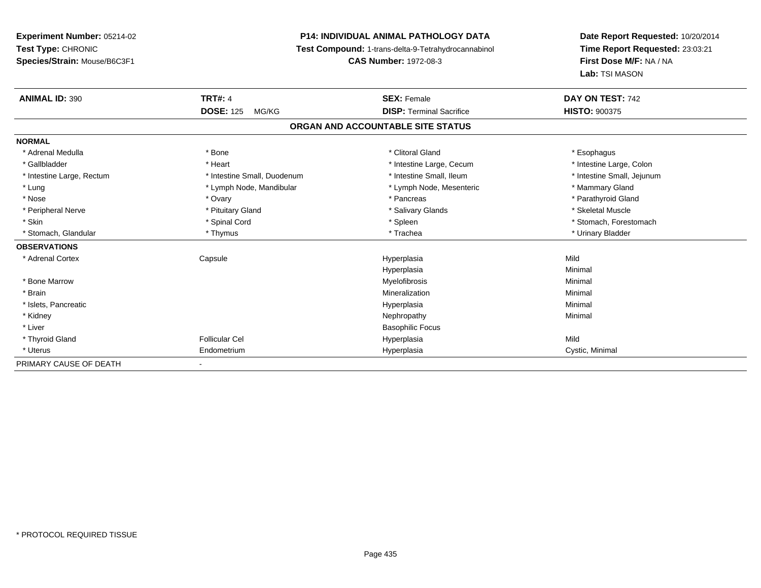# **P14: INDIVIDUAL ANIMAL PATHOLOGY DATA**

**Test Compound:** 1-trans-delta-9-Tetrahydrocannabinol

**CAS Number:** 1972-08-3

| <b>ANIMAL ID: 390</b>     | <b>TRT#: 4</b>              | <b>SEX: Female</b>                | DAY ON TEST: 742           |
|---------------------------|-----------------------------|-----------------------------------|----------------------------|
|                           | <b>DOSE: 125</b><br>MG/KG   | <b>DISP: Terminal Sacrifice</b>   | <b>HISTO: 900375</b>       |
|                           |                             | ORGAN AND ACCOUNTABLE SITE STATUS |                            |
| <b>NORMAL</b>             |                             |                                   |                            |
| * Adrenal Medulla         | * Bone                      | * Clitoral Gland                  | * Esophagus                |
| * Gallbladder             | * Heart                     | * Intestine Large, Cecum          | * Intestine Large, Colon   |
| * Intestine Large, Rectum | * Intestine Small, Duodenum | * Intestine Small, Ileum          | * Intestine Small, Jejunum |
| * Lung                    | * Lymph Node, Mandibular    | * Lymph Node, Mesenteric          | * Mammary Gland            |
| * Nose                    | * Ovary                     | * Pancreas                        | * Parathyroid Gland        |
| * Peripheral Nerve        | * Pituitary Gland           | * Salivary Glands                 | * Skeletal Muscle          |
| * Skin                    | * Spinal Cord               | * Spleen                          | * Stomach, Forestomach     |
| * Stomach, Glandular      | * Thymus                    | * Trachea                         | * Urinary Bladder          |
| <b>OBSERVATIONS</b>       |                             |                                   |                            |
| * Adrenal Cortex          | Capsule                     | Hyperplasia                       | Mild                       |
|                           |                             | Hyperplasia                       | Minimal                    |
| * Bone Marrow             |                             | Myelofibrosis                     | Minimal                    |
| * Brain                   |                             | Mineralization                    | Minimal                    |
| * Islets, Pancreatic      |                             | Hyperplasia                       | Minimal                    |
| * Kidney                  |                             | Nephropathy                       | Minimal                    |
| * Liver                   |                             | <b>Basophilic Focus</b>           |                            |
| * Thyroid Gland           | Follicular Cel              | Hyperplasia                       | Mild                       |
| * Uterus                  | Endometrium                 | Hyperplasia                       | Cystic, Minimal            |
| PRIMARY CAUSE OF DEATH    | Ξ.                          |                                   |                            |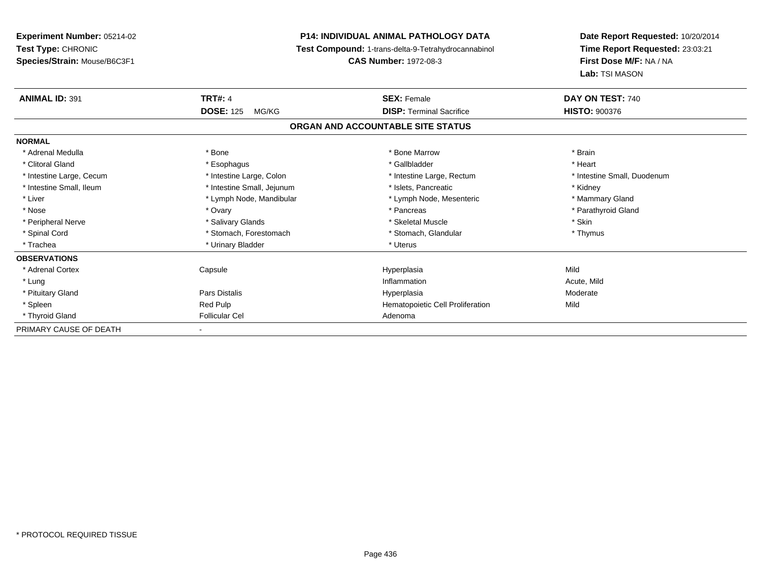**Experiment Number:** 05214-02**Test Type:** CHRONIC **Species/Strain:** Mouse/B6C3F1**P14: INDIVIDUAL ANIMAL PATHOLOGY DATA Test Compound:** 1-trans-delta-9-Tetrahydrocannabinol **CAS Number:** 1972-08-3**Date Report Requested:** 10/20/2014**Time Report Requested:** 23:03:21**First Dose M/F:** NA / NA**Lab:** TSI MASON**ANIMAL ID:** 391**TRT#:** 4 **SEX:** Female **SEX: Female DAY ON TEST:** 740 **DOSE:** 125 MG/KG **DISP:** Terminal Sacrifice **HISTO:** <sup>900376</sup> **ORGAN AND ACCOUNTABLE SITE STATUSNORMAL**\* Adrenal Medulla \* \* Annual Medulla \* Brain \* Bone \* \* Bone Marrow \* Bone Marrow \* \* Brain \* Brain \* Brain \* Brain \* Brain \* Brain \* Brain \* Brain \* Brain \* Brain \* Brain \* Brain \* Brain \* Brain \* Brain \* Brain \* Brain \* \* Heart \* Clitoral Gland \* \* \* heart \* \* Esophagus \* \* \* \* \* \* \* \* \* \* \* Gallbladder \* \* \* \* \* \* \* \* \* \* \* \* Heart \* Intestine Large, Cecum \* Intestine Large, Colon \* Intestine Large, Rectum \* Intestine Small, Duodenum \* Intestine Small, Ileum \* **Alleman \* Intestine Small, Jejunum** \* The \* Islets, Pancreatic \* \* \* Kidney \* Kidney \* Mammary Gland \* Liver \* Lymph Node, Mandibular \* Mammary Americ \* Lymph Node, Mesenteric \* Mammary Glandibular \* Mammary Glandian \* Parathyroid Gland \* Nose \* Ovary \* Pancreas \* Parathyroid Gland \* Peripheral Nerve \* Salivary Glands \* Skeletal Muscle \* Skin\* Thymus \* Spinal Cord \* Stomach, Forestomach \* Stomach, Spinal Cord \* Stomach, Glandular \* Thymus \* Stomach, Glandular \* Trachea \* Urinary Bladder \* Urinary Bladder \* Urinary Bladder \* Uterus **OBSERVATIONS** \* Adrenal Cortex Capsule Hyperplasia Mild \* Lungg and the state of the state of the state of the state of the state of the state of the state of the state of the state of the state of the state of the state of the state of the state of the state of the state of the stat \* Pituitary Gland Pars Distalis Hyperplasia Moderate \* SpleenRed Pulp Mild News Communication Cell Proliferation Mild Follicular Cell Adenoma<br>Redicular Cel \* Thyroid Glandd **Exercise Controllicular Cel Follicular Cel Adenoma** PRIMARY CAUSE OF DEATH-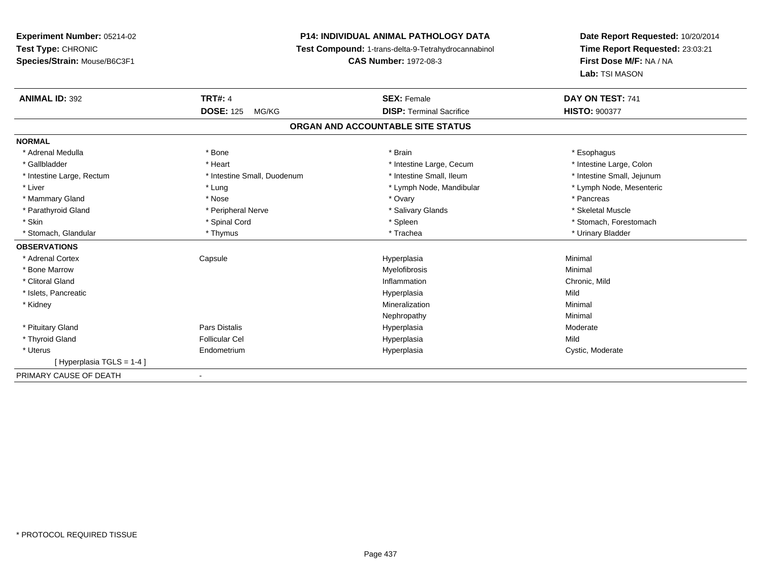# **P14: INDIVIDUAL ANIMAL PATHOLOGY DATA**

**Test Compound:** 1-trans-delta-9-Tetrahydrocannabinol

**CAS Number:** 1972-08-3

| <b>ANIMAL ID: 392</b>     | <b>TRT#: 4</b>              | <b>SEX: Female</b>                | DAY ON TEST: 741           |
|---------------------------|-----------------------------|-----------------------------------|----------------------------|
|                           | <b>DOSE: 125</b><br>MG/KG   | <b>DISP: Terminal Sacrifice</b>   | <b>HISTO: 900377</b>       |
|                           |                             | ORGAN AND ACCOUNTABLE SITE STATUS |                            |
| <b>NORMAL</b>             |                             |                                   |                            |
| * Adrenal Medulla         | * Bone                      | * Brain                           | * Esophagus                |
| * Gallbladder             | * Heart                     | * Intestine Large, Cecum          | * Intestine Large, Colon   |
| * Intestine Large, Rectum | * Intestine Small, Duodenum | * Intestine Small, Ileum          | * Intestine Small, Jejunum |
| * Liver                   | * Lung                      | * Lymph Node, Mandibular          | * Lymph Node, Mesenteric   |
| * Mammary Gland           | * Nose                      | * Ovary                           | * Pancreas                 |
| * Parathyroid Gland       | * Peripheral Nerve          | * Salivary Glands                 | * Skeletal Muscle          |
| * Skin                    | * Spinal Cord               | * Spleen                          | * Stomach, Forestomach     |
| * Stomach, Glandular      | * Thymus                    | * Trachea                         | * Urinary Bladder          |
| <b>OBSERVATIONS</b>       |                             |                                   |                            |
| * Adrenal Cortex          | Capsule                     | Hyperplasia                       | Minimal                    |
| * Bone Marrow             |                             | Myelofibrosis                     | Minimal                    |
| * Clitoral Gland          |                             | Inflammation                      | Chronic, Mild              |
| * Islets, Pancreatic      |                             | Hyperplasia                       | Mild                       |
| * Kidney                  |                             | Mineralization                    | Minimal                    |
|                           |                             | Nephropathy                       | Minimal                    |
| * Pituitary Gland         | Pars Distalis               | Hyperplasia                       | Moderate                   |
| * Thyroid Gland           | <b>Follicular Cel</b>       | Hyperplasia                       | Mild                       |
| * Uterus                  | Endometrium                 | Hyperplasia                       | Cystic, Moderate           |
| [Hyperplasia TGLS = 1-4]  |                             |                                   |                            |
| PRIMARY CAUSE OF DEATH    |                             |                                   |                            |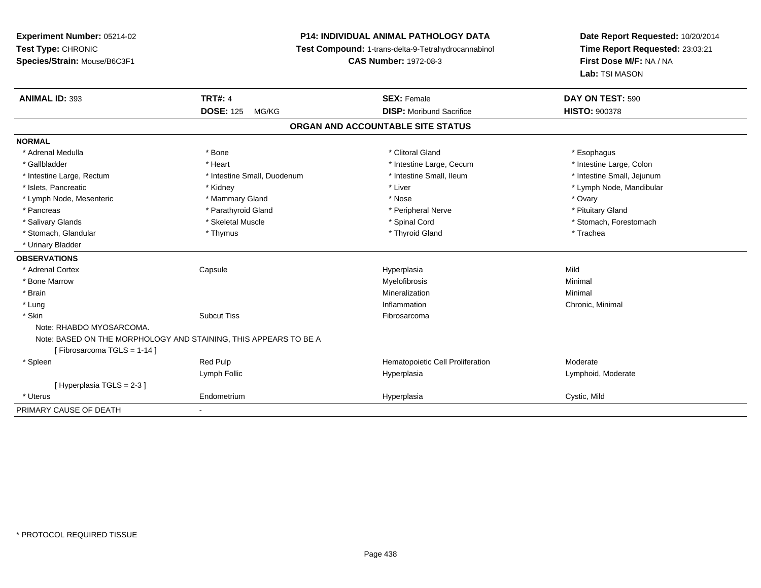# **P14: INDIVIDUAL ANIMAL PATHOLOGY DATA**

**Test Compound:** 1-trans-delta-9-Tetrahydrocannabinol

**CAS Number:** 1972-08-3

| <b>ANIMAL ID: 393</b>       | <b>TRT#: 4</b>                                                   | <b>SEX: Female</b>                | DAY ON TEST: 590           |  |
|-----------------------------|------------------------------------------------------------------|-----------------------------------|----------------------------|--|
|                             | <b>DOSE: 125</b><br>MG/KG                                        | <b>DISP:</b> Moribund Sacrifice   | <b>HISTO: 900378</b>       |  |
|                             |                                                                  | ORGAN AND ACCOUNTABLE SITE STATUS |                            |  |
| <b>NORMAL</b>               |                                                                  |                                   |                            |  |
| * Adrenal Medulla           | * Bone                                                           | * Clitoral Gland                  | * Esophagus                |  |
| * Gallbladder               | * Heart                                                          | * Intestine Large, Cecum          | * Intestine Large, Colon   |  |
| * Intestine Large, Rectum   | * Intestine Small, Duodenum                                      | * Intestine Small. Ileum          | * Intestine Small, Jejunum |  |
| * Islets. Pancreatic        | * Kidney                                                         | * Liver                           | * Lymph Node, Mandibular   |  |
| * Lymph Node, Mesenteric    | * Mammary Gland                                                  | * Nose                            | * Ovary                    |  |
| * Pancreas                  | * Parathyroid Gland                                              | * Peripheral Nerve                | * Pituitary Gland          |  |
| * Salivary Glands           | * Skeletal Muscle                                                | * Spinal Cord                     | * Stomach, Forestomach     |  |
| * Stomach, Glandular        | * Thymus                                                         | * Thyroid Gland                   | * Trachea                  |  |
| * Urinary Bladder           |                                                                  |                                   |                            |  |
| <b>OBSERVATIONS</b>         |                                                                  |                                   |                            |  |
| * Adrenal Cortex            | Capsule                                                          | Hyperplasia                       | Mild                       |  |
| * Bone Marrow               |                                                                  | Myelofibrosis                     | Minimal                    |  |
| * Brain                     |                                                                  | Mineralization                    | Minimal                    |  |
| * Lung                      |                                                                  | Inflammation                      | Chronic, Minimal           |  |
| * Skin                      | <b>Subcut Tiss</b>                                               | Fibrosarcoma                      |                            |  |
| Note: RHABDO MYOSARCOMA.    |                                                                  |                                   |                            |  |
|                             | Note: BASED ON THE MORPHOLOGY AND STAINING, THIS APPEARS TO BE A |                                   |                            |  |
| [Fibrosarcoma TGLS = 1-14]  |                                                                  |                                   |                            |  |
| * Spleen                    | <b>Red Pulp</b>                                                  | Hematopoietic Cell Proliferation  | Moderate                   |  |
|                             | Lymph Follic                                                     | Hyperplasia                       | Lymphoid, Moderate         |  |
| [Hyperplasia TGLS = $2-3$ ] |                                                                  |                                   |                            |  |
| * Uterus                    | Endometrium                                                      | Hyperplasia                       | Cystic, Mild               |  |
| PRIMARY CAUSE OF DEATH      | ٠                                                                |                                   |                            |  |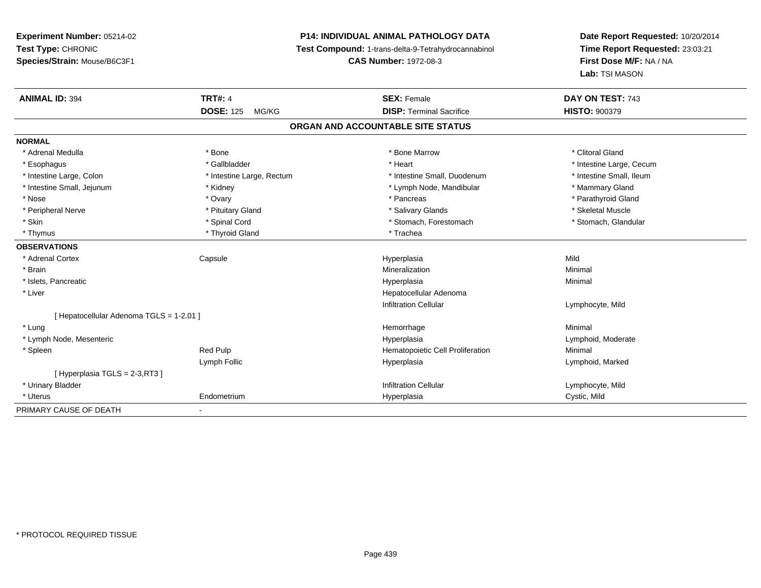# **P14: INDIVIDUAL ANIMAL PATHOLOGY DATA**

**Test Compound:** 1-trans-delta-9-Tetrahydrocannabinol

**CAS Number:** 1972-08-3

| <b>ANIMAL ID: 394</b>                  | <b>TRT#: 4</b>            | <b>SEX: Female</b>               | DAY ON TEST: 743         |  |  |
|----------------------------------------|---------------------------|----------------------------------|--------------------------|--|--|
|                                        | <b>DOSE: 125</b><br>MG/KG | <b>DISP: Terminal Sacrifice</b>  | <b>HISTO: 900379</b>     |  |  |
| ORGAN AND ACCOUNTABLE SITE STATUS      |                           |                                  |                          |  |  |
| <b>NORMAL</b>                          |                           |                                  |                          |  |  |
| * Adrenal Medulla                      | * Bone                    | * Bone Marrow                    | * Clitoral Gland         |  |  |
| * Esophagus                            | * Gallbladder             | * Heart                          | * Intestine Large, Cecum |  |  |
| * Intestine Large, Colon               | * Intestine Large, Rectum | * Intestine Small, Duodenum      | * Intestine Small, Ileum |  |  |
| * Intestine Small, Jejunum             | * Kidney                  | * Lymph Node, Mandibular         | * Mammary Gland          |  |  |
| * Nose                                 | * Ovary                   | * Pancreas                       | * Parathyroid Gland      |  |  |
| * Peripheral Nerve                     | * Pituitary Gland         | * Salivary Glands                | * Skeletal Muscle        |  |  |
| * Skin                                 | * Spinal Cord             | * Stomach, Forestomach           | * Stomach, Glandular     |  |  |
| * Thymus                               | * Thyroid Gland           | * Trachea                        |                          |  |  |
| <b>OBSERVATIONS</b>                    |                           |                                  |                          |  |  |
| * Adrenal Cortex                       | Capsule                   | Hyperplasia                      | Mild                     |  |  |
| * Brain                                |                           | Mineralization                   | Minimal                  |  |  |
| * Islets, Pancreatic                   |                           | Hyperplasia                      | Minimal                  |  |  |
| * Liver                                |                           | Hepatocellular Adenoma           |                          |  |  |
|                                        |                           | <b>Infiltration Cellular</b>     | Lymphocyte, Mild         |  |  |
| Hepatocellular Adenoma TGLS = 1-2.01 ] |                           |                                  |                          |  |  |
| * Lung                                 |                           | Hemorrhage                       | Minimal                  |  |  |
| * Lymph Node, Mesenteric               |                           | Hyperplasia                      | Lymphoid, Moderate       |  |  |
| * Spleen                               | Red Pulp                  | Hematopoietic Cell Proliferation | Minimal                  |  |  |
|                                        | Lymph Follic              | Hyperplasia                      | Lymphoid, Marked         |  |  |
| [Hyperplasia TGLS = 2-3, RT3]          |                           |                                  |                          |  |  |
| * Urinary Bladder                      |                           | <b>Infiltration Cellular</b>     | Lymphocyte, Mild         |  |  |
| * Uterus                               | Endometrium               | Hyperplasia                      | Cystic, Mild             |  |  |
| PRIMARY CAUSE OF DEATH                 | ۰                         |                                  |                          |  |  |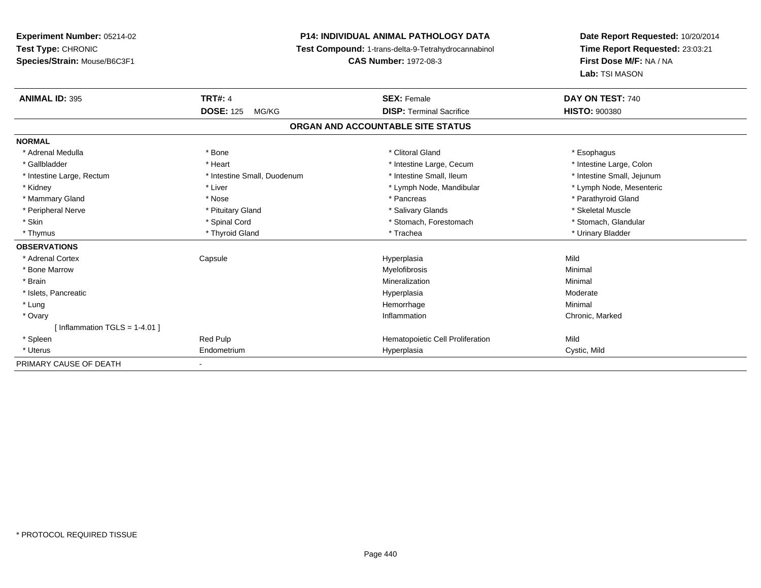# **P14: INDIVIDUAL ANIMAL PATHOLOGY DATA**

**Test Compound:** 1-trans-delta-9-Tetrahydrocannabinol

**CAS Number:** 1972-08-3

| <b>ANIMAL ID: 395</b>           | <b>TRT#: 4</b>              | <b>SEX: Female</b>                | DAY ON TEST: 740           |  |
|---------------------------------|-----------------------------|-----------------------------------|----------------------------|--|
|                                 | <b>DOSE: 125</b><br>MG/KG   | <b>DISP: Terminal Sacrifice</b>   | <b>HISTO: 900380</b>       |  |
|                                 |                             | ORGAN AND ACCOUNTABLE SITE STATUS |                            |  |
| <b>NORMAL</b>                   |                             |                                   |                            |  |
| * Adrenal Medulla               | * Bone                      | * Clitoral Gland                  | * Esophagus                |  |
| * Gallbladder                   | * Heart                     | * Intestine Large, Cecum          | * Intestine Large, Colon   |  |
| * Intestine Large, Rectum       | * Intestine Small, Duodenum | * Intestine Small, Ileum          | * Intestine Small, Jejunum |  |
| * Kidney                        | * Liver                     | * Lymph Node, Mandibular          | * Lymph Node, Mesenteric   |  |
| * Mammary Gland                 | * Nose                      | * Pancreas                        | * Parathyroid Gland        |  |
| * Peripheral Nerve              | * Pituitary Gland           | * Salivary Glands                 | * Skeletal Muscle          |  |
| * Skin                          | * Spinal Cord               | * Stomach, Forestomach            | * Stomach, Glandular       |  |
| * Thymus                        | * Thyroid Gland             | * Trachea                         | * Urinary Bladder          |  |
| <b>OBSERVATIONS</b>             |                             |                                   |                            |  |
| * Adrenal Cortex                | Capsule                     | Hyperplasia                       | Mild                       |  |
| * Bone Marrow                   |                             | Myelofibrosis                     | Minimal                    |  |
| * Brain                         |                             | Mineralization                    | Minimal                    |  |
| * Islets, Pancreatic            |                             | Hyperplasia                       | Moderate                   |  |
| * Lung                          |                             | Hemorrhage                        | Minimal                    |  |
| * Ovary                         |                             | Inflammation                      | Chronic, Marked            |  |
| [Inflammation TGLS = $1-4.01$ ] |                             |                                   |                            |  |
| * Spleen                        | Red Pulp                    | Hematopoietic Cell Proliferation  | Mild                       |  |
| * Uterus                        | Endometrium                 | Hyperplasia                       | Cystic, Mild               |  |
| PRIMARY CAUSE OF DEATH          | ٠                           |                                   |                            |  |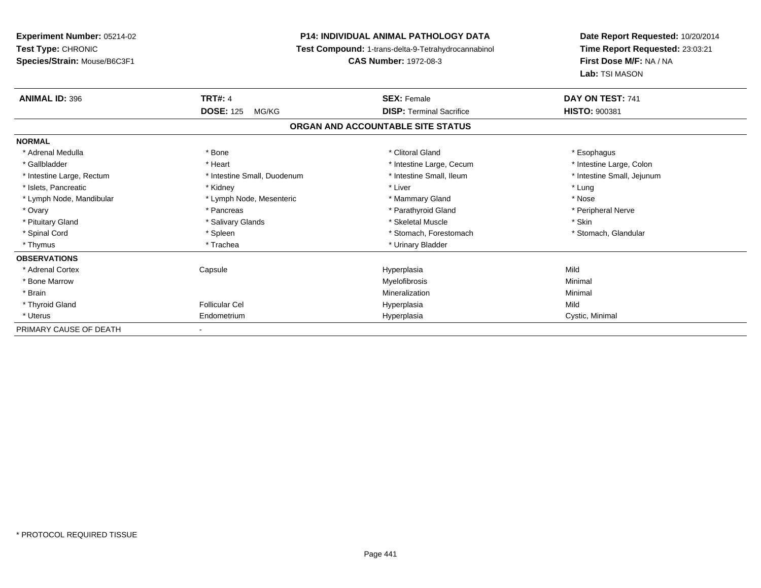**Experiment Number:** 05214-02**Test Type:** CHRONIC **Species/Strain:** Mouse/B6C3F1**P14: INDIVIDUAL ANIMAL PATHOLOGY DATA Test Compound:** 1-trans-delta-9-Tetrahydrocannabinol **CAS Number:** 1972-08-3**Date Report Requested:** 10/20/2014**Time Report Requested:** 23:03:21**First Dose M/F:** NA / NA**Lab:** TSI MASON**ANIMAL ID:** 396 **TRT#:** <sup>4</sup> **SEX:** Female **DAY ON TEST:** <sup>741</sup> **DOSE:** 125 MG/KG **DISP:** Terminal Sacrifice **HISTO:** <sup>900381</sup> **ORGAN AND ACCOUNTABLE SITE STATUSNORMAL**\* Adrenal Medulla \* Adrenal Medulla \* Bone \* Clitoral Gland \* Esophagus\* Intestine Large, Colon \* Gallbladder \* The mode of the term \* Heart \* Intestine Large, Cecum \* Intestine Large, Cecum \* Intestine Large, Cecum \* Intestine Small, Jejunum \* Intestine Large, Rectum \* Intestine Small, Duodenum \* Intestine Small, Ileum \* Intestine Small, Ileum \* Islets, Pancreatic \* The method of the "Kidney" \* Kidney \* The "Allen " New York 1991 was a street of the "The " New York 1991 was a street of the " Lung" was the " Lung" was the " Lung" was the " Lung" was the " Lung" w \* Nose \* Lymph Node, Mandibular \* Lymph Node, Mesenteric \* Mammary Gland \* Mammary Gland \* Peripheral Nerve \* Ovary \* And the second of the second of the second version of the second version of the second version of the second version of the second version of the second version of the second version of the second version of the \* Pituitary Gland \* \* \* \* Salivary Glands \* \* \* Salivary Glands \* \* \$keletal Muscle \* \* \* \* \* \$kin \* \* \$kin \* \* Stomach, Glandular \* Spinal Cord \* Spinal Cord \* Spinal Cord \* Stomach, Forestomach \* Spinal Cord \* Stomach, Forestomach \* Thymus \* Trachea \* Trachea \* Urinary Bladder \* Urinary Bladder **OBSERVATIONS** \* Adrenal Cortex Capsule Hyperplasia Mild \* Bone Marroww which is a controller to the Myelofibrosis and the Minimal method of the Minimal method of the Minimal method of the Minimal method of the Minimal method of the Minimal method of the Minimal method of the Minimal method \* Brainn and the controller of the controller of the Mineralization and the controller of the Minimal of the Minimal <br>The Minimal of the controller of the controller of the controller of the controller of the controller of the c \* Thyroid Gland Follicular Cel Hyperplasia Mild \* Uterus Endometriumm Cystic, Minimal Cystic, Minimal PRIMARY CAUSE OF DEATH

\* PROTOCOL REQUIRED TISSUE

-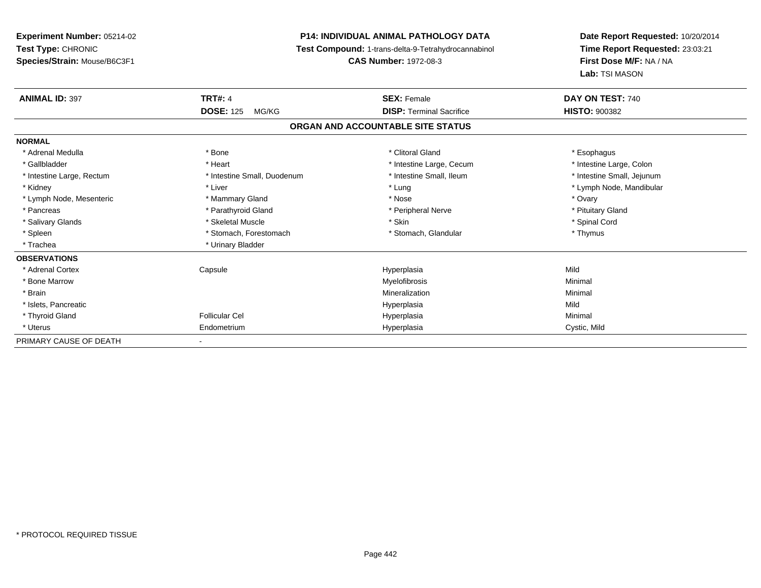# **P14: INDIVIDUAL ANIMAL PATHOLOGY DATA**

**Test Compound:** 1-trans-delta-9-Tetrahydrocannabinol

**CAS Number:** 1972-08-3

| <b>ANIMAL ID: 397</b>     | <b>TRT#: 4</b>              | <b>SEX: Female</b>                | DAY ON TEST: 740           |  |
|---------------------------|-----------------------------|-----------------------------------|----------------------------|--|
|                           | <b>DOSE: 125</b><br>MG/KG   | <b>DISP:</b> Terminal Sacrifice   | <b>HISTO: 900382</b>       |  |
|                           |                             | ORGAN AND ACCOUNTABLE SITE STATUS |                            |  |
| <b>NORMAL</b>             |                             |                                   |                            |  |
| * Adrenal Medulla         | * Bone                      | * Clitoral Gland                  | * Esophagus                |  |
| * Gallbladder             | * Heart                     | * Intestine Large, Cecum          | * Intestine Large, Colon   |  |
| * Intestine Large, Rectum | * Intestine Small, Duodenum | * Intestine Small, Ileum          | * Intestine Small, Jejunum |  |
| * Kidney                  | * Liver                     | * Lung                            | * Lymph Node, Mandibular   |  |
| * Lymph Node, Mesenteric  | * Mammary Gland             | * Nose                            | * Ovary                    |  |
| * Pancreas                | * Parathyroid Gland         | * Peripheral Nerve                | * Pituitary Gland          |  |
| * Salivary Glands         | * Skeletal Muscle           | * Skin                            | * Spinal Cord              |  |
| * Spleen                  | * Stomach, Forestomach      | * Stomach, Glandular              | * Thymus                   |  |
| * Trachea                 | * Urinary Bladder           |                                   |                            |  |
| <b>OBSERVATIONS</b>       |                             |                                   |                            |  |
| * Adrenal Cortex          | Capsule                     | Hyperplasia                       | Mild                       |  |
| * Bone Marrow             |                             | Myelofibrosis                     | Minimal                    |  |
| * Brain                   |                             | Mineralization                    | Minimal                    |  |
| * Islets, Pancreatic      |                             | Hyperplasia                       | Mild                       |  |
| * Thyroid Gland           | <b>Follicular Cel</b>       | Hyperplasia                       | Minimal                    |  |
| * Uterus                  | Endometrium                 | Hyperplasia                       | Cystic, Mild               |  |
| PRIMARY CAUSE OF DEATH    |                             |                                   |                            |  |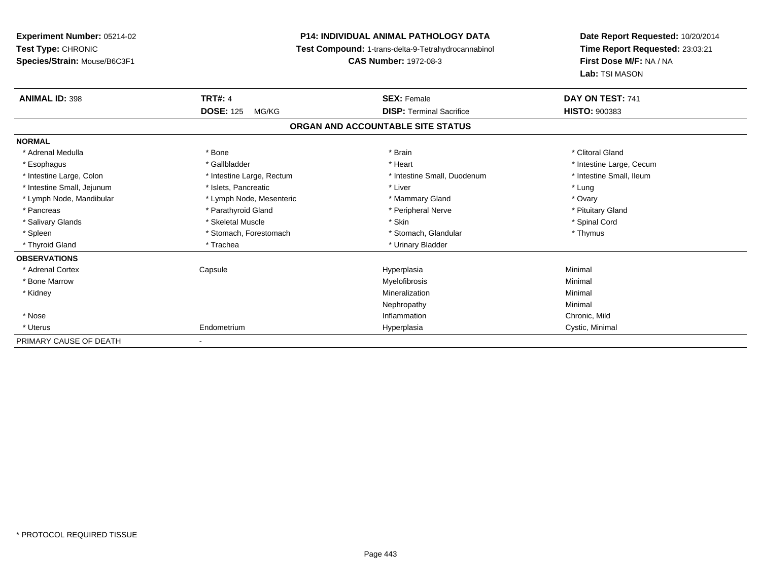**Experiment Number:** 05214-02**Test Type:** CHRONIC **Species/Strain:** Mouse/B6C3F1**P14: INDIVIDUAL ANIMAL PATHOLOGY DATA Test Compound:** 1-trans-delta-9-Tetrahydrocannabinol **CAS Number:** 1972-08-3**Date Report Requested:** 10/20/2014**Time Report Requested:** 23:03:21**First Dose M/F:** NA / NA**Lab:** TSI MASON**ANIMAL ID:** 398**TRT#:** 4 **SEX:** Female **SEX: Female DAY ON TEST:** 741 **DOSE:** 125 MG/KG **DISP:** Terminal Sacrifice **HISTO:** <sup>900383</sup> **ORGAN AND ACCOUNTABLE SITE STATUSNORMAL**\* Adrenal Medulla \* The state of the state of the state of the state of the state of the state of the state of the state of the state of the state of the state of the state of the state of the state of the state of the sta \* Esophagus \* https://www.fragustage.com/web/2019/heart \* Heart \* Heart \* Heart \* Intestine Large, Cecum \* Intestine Large, Cecum \* Sallbladder \* The state of the state of the state of the state of the state of the state o \* Intestine Small, Ileum \* Intestine Large, Colon \* Intestine Large, Rectum \* Intestine Small, Duodenum \* Intestine Small, Duodenum \* Intestine Small, Jejunum \* The matches of the state of the state of the state of the state of the state of the state of the state of the state of the state of the state of the state of the state of the state of the state \* Ovary \* Lymph Node, Mandibular \* Lymph Node, Mesenteric \* Mammary Gland \* Mammary Gland \* Pituitary Gland \* Pancreas \* Pancreas \* Parathyroid Gland \* Pancreas \* Peripheral Nerve \* Salivary Glands \* \* Steeden \* \* Skeletal Muscle \* \* Skin \* \* Skin \* \* Steeden \* Spinal Cord \* Spinal Cord \* Spinal Cord \* Spinal Cord \* Spinal Cord \* Spinal Cord \* Spinal Cord \* Spinal Cord \* Spinal Cord \* Spinal Cord \* \* Spleen \* Stomach, Forestomach \* Stomach \* Stomach, Glandular \* Stomach, Glandular \* Thymus \* Thyroid Gland \* Trachea \* Trachea \* Trachea \* Urinary Bladder **OBSERVATIONS** \* Adrenal Cortex Capsule Hyperplasia Minimal \* Bone Marroww which is a controller to the Myelofibrosis and the Minimal method of the Minimal method of the Minimal method of the Minimal method of the Minimal method of the Minimal method of the Minimal method of the Minimal method \* Kidneyy with the control of the control of the control of the control of the control of the control of the control of the control of the control of the control of the control of the control of the control of the control of the c n Minimal Nephropathyy the contract of the Minimal Minimal Section 1996 and the contract of the Minimal Section 1997 and the contract of the contract of the contract of the contract of the contract of the contract of the contract of the contra \* Nosee contraction control of the control of the control of the control of the control of the chronic, Mild and Chronic, Mild and Chronic, Mild and Chronic, Mild and Chronic, Mild and Chronic, Mild and Chronic, Mild and Chronic \* Uterus Endometriumm Cystic, Minimal Cystic, Minimal PRIMARY CAUSE OF DEATH-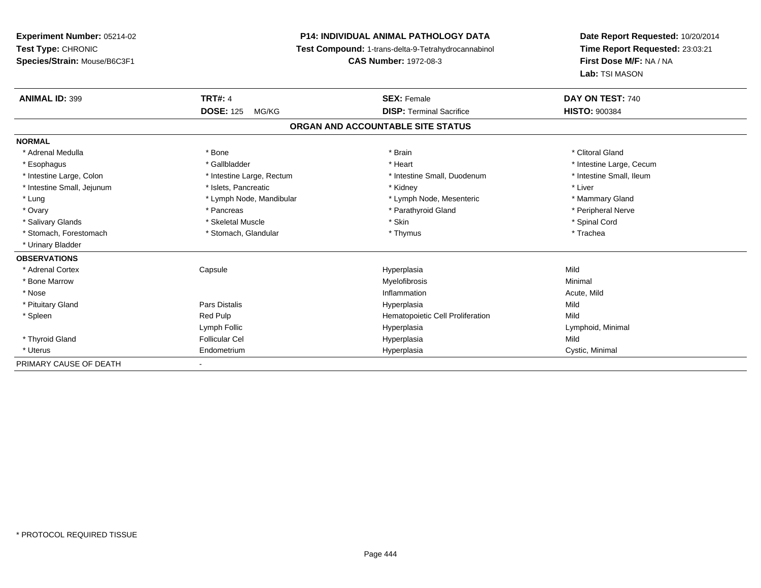# **P14: INDIVIDUAL ANIMAL PATHOLOGY DATA**

**Test Compound:** 1-trans-delta-9-Tetrahydrocannabinol

**CAS Number:** 1972-08-3

| <b>ANIMAL ID: 399</b>      | <b>TRT#: 4</b>            | <b>SEX: Female</b>                | DAY ON TEST: 740         |
|----------------------------|---------------------------|-----------------------------------|--------------------------|
|                            | <b>DOSE: 125</b><br>MG/KG | <b>DISP: Terminal Sacrifice</b>   | <b>HISTO: 900384</b>     |
|                            |                           | ORGAN AND ACCOUNTABLE SITE STATUS |                          |
| <b>NORMAL</b>              |                           |                                   |                          |
| * Adrenal Medulla          | * Bone                    | * Brain                           | * Clitoral Gland         |
| * Esophagus                | * Gallbladder             | * Heart                           | * Intestine Large, Cecum |
| * Intestine Large, Colon   | * Intestine Large, Rectum | * Intestine Small, Duodenum       | * Intestine Small, Ileum |
| * Intestine Small, Jejunum | * Islets, Pancreatic      | * Kidney                          | * Liver                  |
| * Lung                     | * Lymph Node, Mandibular  | * Lymph Node, Mesenteric          | * Mammary Gland          |
| * Ovary                    | * Pancreas                | * Parathyroid Gland               | * Peripheral Nerve       |
| * Salivary Glands          | * Skeletal Muscle         | * Skin                            | * Spinal Cord            |
| * Stomach. Forestomach     | * Stomach, Glandular      | * Thymus                          | * Trachea                |
| * Urinary Bladder          |                           |                                   |                          |
| <b>OBSERVATIONS</b>        |                           |                                   |                          |
| * Adrenal Cortex           | Capsule                   | Hyperplasia                       | Mild                     |
| * Bone Marrow              |                           | Myelofibrosis                     | Minimal                  |
| * Nose                     |                           | Inflammation                      | Acute, Mild              |
| * Pituitary Gland          | Pars Distalis             | Hyperplasia                       | Mild                     |
| * Spleen                   | Red Pulp                  | Hematopoietic Cell Proliferation  | Mild                     |
|                            | Lymph Follic              | Hyperplasia                       | Lymphoid, Minimal        |
| * Thyroid Gland            | <b>Follicular Cel</b>     | Hyperplasia                       | Mild                     |
| * Uterus                   | Endometrium               | Hyperplasia                       | Cystic, Minimal          |
| PRIMARY CAUSE OF DEATH     | $\sim$                    |                                   |                          |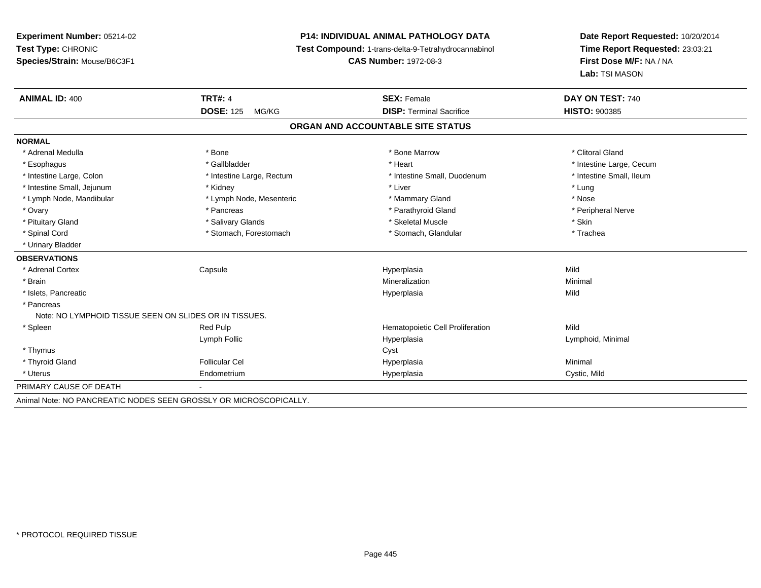# **P14: INDIVIDUAL ANIMAL PATHOLOGY DATA**

**Test Compound:** 1-trans-delta-9-Tetrahydrocannabinol

**CAS Number:** 1972-08-3

| <b>ANIMAL ID: 400</b>                                  | <b>TRT#: 4</b>                                                    | <b>SEX: Female</b>                | DAY ON TEST: 740         |
|--------------------------------------------------------|-------------------------------------------------------------------|-----------------------------------|--------------------------|
|                                                        | <b>DOSE: 125</b><br>MG/KG                                         | <b>DISP: Terminal Sacrifice</b>   | <b>HISTO: 900385</b>     |
|                                                        |                                                                   | ORGAN AND ACCOUNTABLE SITE STATUS |                          |
| <b>NORMAL</b>                                          |                                                                   |                                   |                          |
| * Adrenal Medulla                                      | * Bone                                                            | * Bone Marrow                     | * Clitoral Gland         |
| * Esophagus                                            | * Gallbladder                                                     | * Heart                           | * Intestine Large, Cecum |
| * Intestine Large, Colon                               | * Intestine Large, Rectum                                         | * Intestine Small, Duodenum       | * Intestine Small, Ileum |
| * Intestine Small, Jejunum                             | * Kidney                                                          | * Liver                           | * Lung                   |
| * Lymph Node, Mandibular                               | * Lymph Node, Mesenteric                                          | * Mammary Gland                   | * Nose                   |
| * Ovary                                                | * Pancreas                                                        | * Parathyroid Gland               | * Peripheral Nerve       |
| * Pituitary Gland                                      | * Salivary Glands                                                 | * Skeletal Muscle                 | * Skin                   |
| * Spinal Cord                                          | * Stomach, Forestomach                                            | * Stomach, Glandular              | * Trachea                |
| * Urinary Bladder                                      |                                                                   |                                   |                          |
| <b>OBSERVATIONS</b>                                    |                                                                   |                                   |                          |
| * Adrenal Cortex                                       | Capsule                                                           | Hyperplasia                       | Mild                     |
| * Brain                                                |                                                                   | Mineralization                    | Minimal                  |
| * Islets, Pancreatic                                   |                                                                   | Hyperplasia                       | Mild                     |
| * Pancreas                                             |                                                                   |                                   |                          |
| Note: NO LYMPHOID TISSUE SEEN ON SLIDES OR IN TISSUES. |                                                                   |                                   |                          |
| * Spleen                                               | Red Pulp                                                          | Hematopoietic Cell Proliferation  | Mild                     |
|                                                        | Lymph Follic                                                      | Hyperplasia                       | Lymphoid, Minimal        |
| * Thymus                                               |                                                                   | Cyst                              |                          |
| * Thyroid Gland                                        | <b>Follicular Cel</b>                                             | Hyperplasia                       | Minimal                  |
| * Uterus                                               | Endometrium                                                       | Hyperplasia                       | Cystic, Mild             |
| PRIMARY CAUSE OF DEATH                                 |                                                                   |                                   |                          |
|                                                        | Animal Note: NO PANCREATIC NODES SEEN GROSSLY OR MICROSCOPICALLY. |                                   |                          |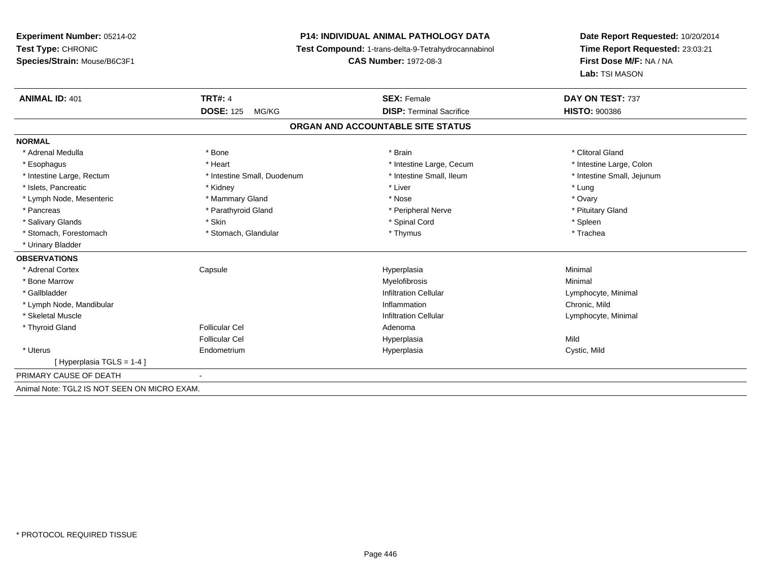# **P14: INDIVIDUAL ANIMAL PATHOLOGY DATA**

**Test Compound:** 1-trans-delta-9-Tetrahydrocannabinol

**CAS Number:** 1972-08-3

| <b>ANIMAL ID: 401</b>                        | <b>TRT#: 4</b>              | <b>SEX: Female</b>                | DAY ON TEST: 737           |  |
|----------------------------------------------|-----------------------------|-----------------------------------|----------------------------|--|
|                                              | <b>DOSE: 125</b><br>MG/KG   | <b>DISP: Terminal Sacrifice</b>   | <b>HISTO: 900386</b>       |  |
|                                              |                             | ORGAN AND ACCOUNTABLE SITE STATUS |                            |  |
| <b>NORMAL</b>                                |                             |                                   |                            |  |
| * Adrenal Medulla                            | * Bone                      | * Brain                           | * Clitoral Gland           |  |
| * Esophagus                                  | * Heart                     | * Intestine Large, Cecum          | * Intestine Large, Colon   |  |
| * Intestine Large, Rectum                    | * Intestine Small, Duodenum | * Intestine Small, Ileum          | * Intestine Small, Jejunum |  |
| * Islets, Pancreatic                         | * Kidney                    | * Liver                           | * Lung                     |  |
| * Lymph Node, Mesenteric                     | * Mammary Gland             | * Nose                            | * Ovary                    |  |
| * Pancreas                                   | * Parathyroid Gland         | * Peripheral Nerve                | * Pituitary Gland          |  |
| * Salivary Glands                            | * Skin                      | * Spinal Cord                     | * Spleen                   |  |
| * Stomach, Forestomach                       | * Stomach, Glandular        | * Thymus                          | * Trachea                  |  |
| * Urinary Bladder                            |                             |                                   |                            |  |
| <b>OBSERVATIONS</b>                          |                             |                                   |                            |  |
| * Adrenal Cortex                             | Capsule                     | Hyperplasia                       | Minimal                    |  |
| * Bone Marrow                                |                             | Myelofibrosis                     | Minimal                    |  |
| * Gallbladder                                |                             | <b>Infiltration Cellular</b>      | Lymphocyte, Minimal        |  |
| * Lymph Node, Mandibular                     |                             | Inflammation                      | Chronic, Mild              |  |
| * Skeletal Muscle                            |                             | <b>Infiltration Cellular</b>      | Lymphocyte, Minimal        |  |
| * Thyroid Gland                              | Follicular Cel              | Adenoma                           |                            |  |
|                                              | <b>Follicular Cel</b>       | Hyperplasia                       | Mild                       |  |
| * Uterus                                     | Endometrium                 | Hyperplasia                       | Cystic, Mild               |  |
| [Hyperplasia TGLS = 1-4]                     |                             |                                   |                            |  |
| PRIMARY CAUSE OF DEATH                       |                             |                                   |                            |  |
| Animal Note: TGL2 IS NOT SEEN ON MICRO EXAM. |                             |                                   |                            |  |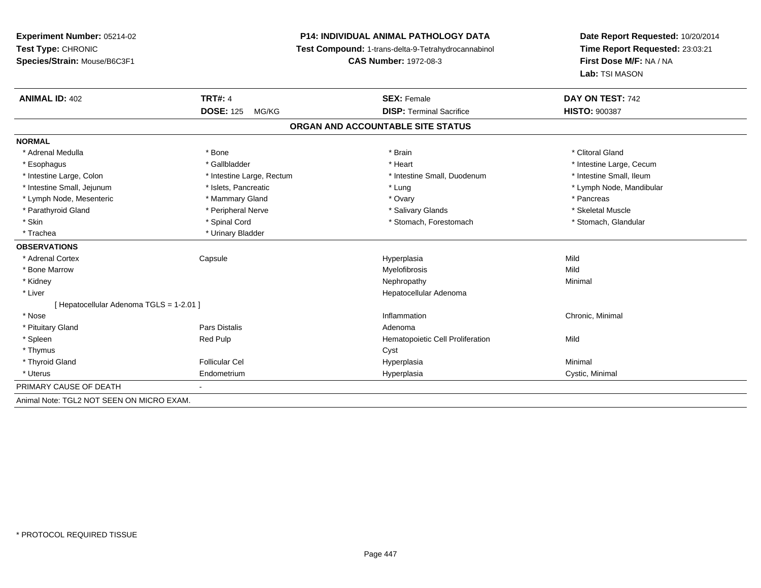# **P14: INDIVIDUAL ANIMAL PATHOLOGY DATA**

**Test Compound:** 1-trans-delta-9-Tetrahydrocannabinol

**CAS Number:** 1972-08-3

| <b>ANIMAL ID: 402</b>                     | <b>TRT#: 4</b>            | <b>SEX: Female</b>               | DAY ON TEST: 742         |  |  |
|-------------------------------------------|---------------------------|----------------------------------|--------------------------|--|--|
|                                           | <b>DOSE: 125</b><br>MG/KG | <b>DISP:</b> Terminal Sacrifice  | <b>HISTO: 900387</b>     |  |  |
| ORGAN AND ACCOUNTABLE SITE STATUS         |                           |                                  |                          |  |  |
| <b>NORMAL</b>                             |                           |                                  |                          |  |  |
| * Adrenal Medulla                         | * Bone                    | * Brain                          | * Clitoral Gland         |  |  |
| * Esophagus                               | * Gallbladder             | * Heart                          | * Intestine Large, Cecum |  |  |
| * Intestine Large, Colon                  | * Intestine Large, Rectum | * Intestine Small, Duodenum      | * Intestine Small, Ileum |  |  |
| * Intestine Small, Jejunum                | * Islets, Pancreatic      | * Lung                           | * Lymph Node, Mandibular |  |  |
| * Lymph Node, Mesenteric                  | * Mammary Gland           | * Ovary                          | * Pancreas               |  |  |
| * Parathyroid Gland                       | * Peripheral Nerve        | * Salivary Glands                | * Skeletal Muscle        |  |  |
| * Skin                                    | * Spinal Cord             | * Stomach, Forestomach           | * Stomach, Glandular     |  |  |
| * Trachea                                 | * Urinary Bladder         |                                  |                          |  |  |
| <b>OBSERVATIONS</b>                       |                           |                                  |                          |  |  |
| * Adrenal Cortex                          | Capsule                   | Hyperplasia                      | Mild                     |  |  |
| * Bone Marrow                             |                           | Myelofibrosis                    | Mild                     |  |  |
| * Kidney                                  |                           | Nephropathy                      | Minimal                  |  |  |
| * Liver                                   |                           | Hepatocellular Adenoma           |                          |  |  |
| [ Hepatocellular Adenoma TGLS = 1-2.01 ]  |                           |                                  |                          |  |  |
| * Nose                                    |                           | Inflammation                     | Chronic, Minimal         |  |  |
| * Pituitary Gland                         | Pars Distalis             | Adenoma                          |                          |  |  |
| * Spleen                                  | <b>Red Pulp</b>           | Hematopoietic Cell Proliferation | Mild                     |  |  |
| * Thymus                                  |                           | Cyst                             |                          |  |  |
| * Thyroid Gland                           | <b>Follicular Cel</b>     | Hyperplasia                      | Minimal                  |  |  |
| * Uterus                                  | Endometrium               | Hyperplasia                      | Cystic, Minimal          |  |  |
| PRIMARY CAUSE OF DEATH                    |                           |                                  |                          |  |  |
| Animal Note: TGL2 NOT SEEN ON MICRO EXAM. |                           |                                  |                          |  |  |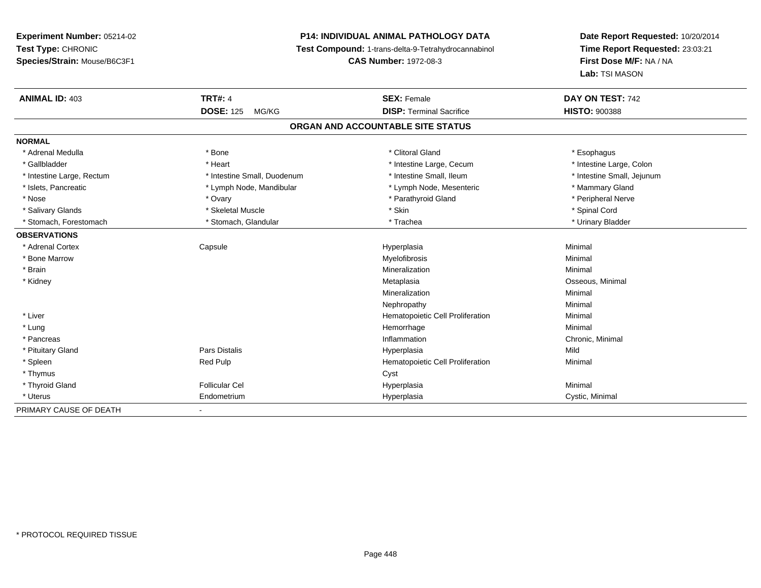# **P14: INDIVIDUAL ANIMAL PATHOLOGY DATA**

**Test Compound:** 1-trans-delta-9-Tetrahydrocannabinol

**CAS Number:** 1972-08-3

| <b>ANIMAL ID: 403</b>     | <b>TRT#: 4</b>              | <b>SEX: Female</b>                | DAY ON TEST: 742           |
|---------------------------|-----------------------------|-----------------------------------|----------------------------|
|                           | <b>DOSE: 125</b><br>MG/KG   | <b>DISP: Terminal Sacrifice</b>   | <b>HISTO: 900388</b>       |
|                           |                             | ORGAN AND ACCOUNTABLE SITE STATUS |                            |
| <b>NORMAL</b>             |                             |                                   |                            |
| * Adrenal Medulla         | * Bone                      | * Clitoral Gland                  | * Esophagus                |
| * Gallbladder             | * Heart                     | * Intestine Large, Cecum          | * Intestine Large, Colon   |
| * Intestine Large, Rectum | * Intestine Small, Duodenum | * Intestine Small, Ileum          | * Intestine Small, Jejunum |
| * Islets, Pancreatic      | * Lymph Node, Mandibular    | * Lymph Node, Mesenteric          | * Mammary Gland            |
| * Nose                    | * Ovary                     | * Parathyroid Gland               | * Peripheral Nerve         |
| * Salivary Glands         | * Skeletal Muscle           | * Skin                            | * Spinal Cord              |
| * Stomach. Forestomach    | * Stomach, Glandular        | * Trachea                         | * Urinary Bladder          |
| <b>OBSERVATIONS</b>       |                             |                                   |                            |
| * Adrenal Cortex          | Capsule                     | Hyperplasia                       | Minimal                    |
| * Bone Marrow             |                             | Myelofibrosis                     | Minimal                    |
| * Brain                   |                             | Mineralization                    | Minimal                    |
| * Kidney                  |                             | Metaplasia                        | Osseous, Minimal           |
|                           |                             | Mineralization                    | Minimal                    |
|                           |                             | Nephropathy                       | Minimal                    |
| * Liver                   |                             | Hematopoietic Cell Proliferation  | Minimal                    |
| * Lung                    |                             | Hemorrhage                        | Minimal                    |
| * Pancreas                |                             | Inflammation                      | Chronic, Minimal           |
| * Pituitary Gland         | <b>Pars Distalis</b>        | Hyperplasia                       | Mild                       |
| * Spleen                  | Red Pulp                    | Hematopoietic Cell Proliferation  | Minimal                    |
| * Thymus                  |                             | Cyst                              |                            |
| * Thyroid Gland           | <b>Follicular Cel</b>       | Hyperplasia                       | Minimal                    |
| * Uterus                  | Endometrium                 | Hyperplasia                       | Cystic, Minimal            |
| PRIMARY CAUSE OF DEATH    | $\blacksquare$              |                                   |                            |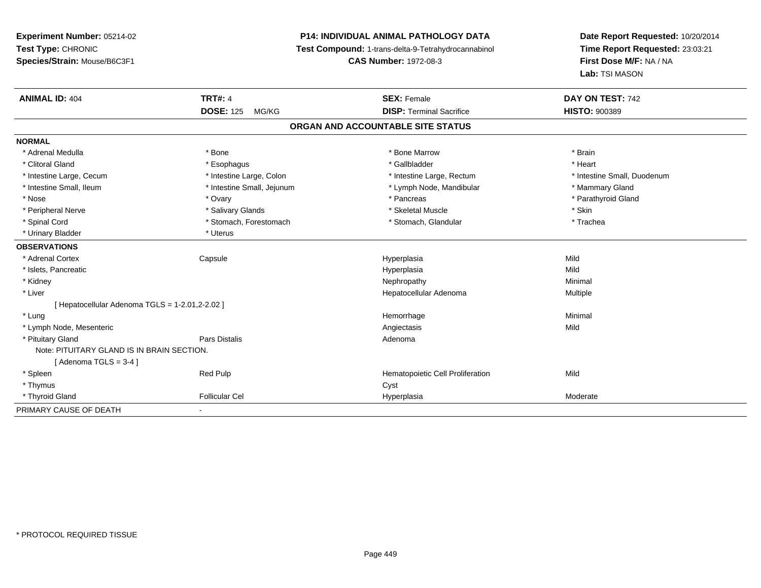# **P14: INDIVIDUAL ANIMAL PATHOLOGY DATA**

**Test Compound:** 1-trans-delta-9-Tetrahydrocannabinol

**CAS Number:** 1972-08-3

| <b>ANIMAL ID: 404</b>                           | <b>TRT#: 4</b>             | <b>SEX: Female</b>                | DAY ON TEST: 742            |
|-------------------------------------------------|----------------------------|-----------------------------------|-----------------------------|
|                                                 | <b>DOSE: 125</b><br>MG/KG  | <b>DISP: Terminal Sacrifice</b>   | <b>HISTO: 900389</b>        |
|                                                 |                            | ORGAN AND ACCOUNTABLE SITE STATUS |                             |
| <b>NORMAL</b>                                   |                            |                                   |                             |
| * Adrenal Medulla                               | * Bone                     | * Bone Marrow                     | * Brain                     |
| * Clitoral Gland                                | * Esophagus                | * Gallbladder                     | * Heart                     |
| * Intestine Large, Cecum                        | * Intestine Large, Colon   | * Intestine Large, Rectum         | * Intestine Small, Duodenum |
| * Intestine Small, Ileum                        | * Intestine Small, Jejunum | * Lymph Node, Mandibular          | * Mammary Gland             |
| * Nose                                          | * Ovary                    | * Pancreas                        | * Parathyroid Gland         |
| * Peripheral Nerve                              | * Salivary Glands          | * Skeletal Muscle                 | * Skin                      |
| * Spinal Cord                                   | * Stomach, Forestomach     | * Stomach, Glandular              | * Trachea                   |
| * Urinary Bladder                               | * Uterus                   |                                   |                             |
| <b>OBSERVATIONS</b>                             |                            |                                   |                             |
| * Adrenal Cortex                                | Capsule                    | Hyperplasia                       | Mild                        |
| * Islets, Pancreatic                            |                            | Hyperplasia                       | Mild                        |
| * Kidney                                        |                            | Nephropathy                       | Minimal                     |
| * Liver                                         |                            | Hepatocellular Adenoma            | Multiple                    |
| [ Hepatocellular Adenoma TGLS = 1-2.01,2-2.02 ] |                            |                                   |                             |
| * Lung                                          |                            | Hemorrhage                        | Minimal                     |
| * Lymph Node, Mesenteric                        |                            | Angiectasis                       | Mild                        |
| * Pituitary Gland                               | <b>Pars Distalis</b>       | Adenoma                           |                             |
| Note: PITUITARY GLAND IS IN BRAIN SECTION.      |                            |                                   |                             |
| [Adenoma TGLS = $3-4$ ]                         |                            |                                   |                             |
| * Spleen                                        | Red Pulp                   | Hematopoietic Cell Proliferation  | Mild                        |
| * Thymus                                        |                            | Cyst                              |                             |
| * Thyroid Gland                                 | <b>Follicular Cel</b>      | Hyperplasia                       | Moderate                    |
| PRIMARY CAUSE OF DEATH                          | $\blacksquare$             |                                   |                             |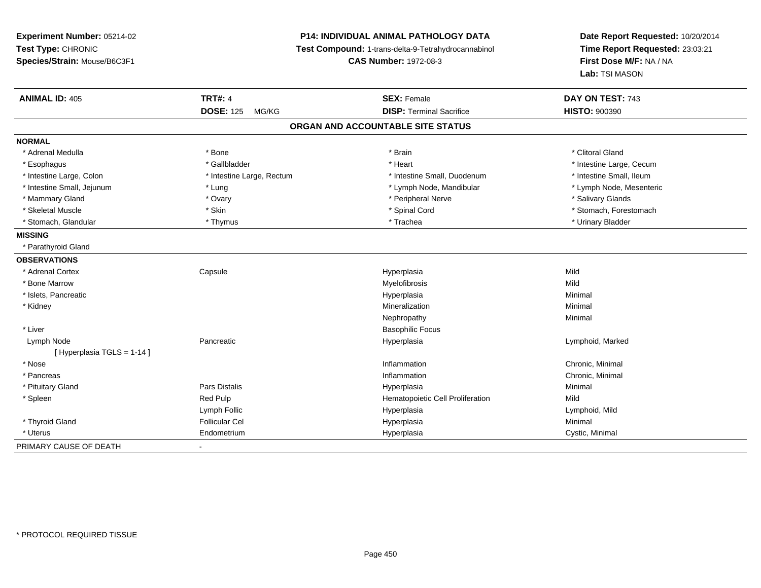**Experiment Number:** 05214-02**Test Type:** CHRONIC **Species/Strain:** Mouse/B6C3F1**P14: INDIVIDUAL ANIMAL PATHOLOGY DATA Test Compound:** 1-trans-delta-9-Tetrahydrocannabinol **CAS Number:** 1972-08-3**Date Report Requested:** 10/20/2014**Time Report Requested:** 23:03:21**First Dose M/F:** NA / NA**Lab:** TSI MASON**ANIMAL ID:** 405**TRT#:** 4 **SEX:** Female **SEX: Female DAY ON TEST:** 743 **DOSE:** 125 MG/KG **DISP:** Terminal Sacrifice **HISTO:** <sup>900390</sup> **ORGAN AND ACCOUNTABLE SITE STATUSNORMAL**\* Adrenal Medulla \* The state of the state of the state of the state of the state of the state of the state of the state of the state of the state of the state of the state of the state of the state of the state of the sta \* Esophagus \* https://www.fragustage.com/web/2019/heart \* Heart \* Heart \* Heart \* Intestine Large, Cecum \* Intestine Large, Cecum \* Sallbladder \* The state of the state of the state of the state of the state of the state o \* Intestine Small, Ileum \* Intestine Large, Colon \* Intestine Large, Rectum \* Intestine Small, Duodenum \* Intestine Small, Duodenum \* Lymph Node, Mesenteric \* Intestine Small, Jejunum \* The metal \* Lung \* Lymph Node, Mandibular \* Lymph Node, Mandibular \* Mammary Gland \* \* Andrew \* Ovary \* Andrew \* Ovary \* Andrew \* Peripheral Nerve \* \* Salivary Glands \* Salivary Glands \* Salivary Glands \* Salivary Glands \* Salivary Glands \* Salivary Glands \* Salivary Glands \* Salivary Gla \* Skeletal Muscle \* The state of the set of the set of the set of the set of the set of the set of the set of the set of the set of the set of the set of the set of the set of the set of the set of the set of the set of th \* Stomach, Glandular \* \* \* Thymus \* \* Thymus \* \* The \* \* Trachea \* \* Trachea \* \* Urinary Bladder \* \* Urinary Bladder \* **MISSING** \* Parathyroid Gland**OBSERVATIONS** \* Adrenal Cortex**Capsule**  Hyperplasia Mild \* Bone Marroww which is a state of the Myelofibrosis and the Myelofibrosis and the Mild of the Mild of the Mild of the Mild of the Mild of the Mild of the Mild of the Mild of the Mild of the Mild of the Mild of the Mild of the Mild of \* Islets, Pancreaticc and the contract of the contract of the contract of the contract of the contract of the contract of the contract of the contract of the contract of the contract of the contract of the contract of the contract of the cont a **Minimal**  \* Kidneyy with the control of the control of the control of the control of the control of the control of the control of the control of the control of the control of the control of the control of the control of the control of the c n Minimal Nephropathyy the contract of the Minimal Minimal Section 1996 and the contract of the Minimal Section 1997 and the contract of the contract of the contract of the contract of the contract of the contract of the contract of the contra \* Liver Basophilic Focus Lymph Node Pancreatic Hyperplasia Lymphoid, Marked [ Hyperplasia TGLS = 1-14 ] \* Nosee the contraction of the contraction of the contraction of the contraction of the chronic, Minimal on the chronic, Minimal or  $\mathbb{R}^n$  \* Pancreass and the contract of the contract of the contract of the contract of the contract of the contract of the contract of the contract of the contract of the contract of the contract of the contract of the contract of the cont Chronic, Minimal \* Pituitary Gland Pars Distalis Hyperplasia Minimal \* SpleenRed Pulp **Network** Hematopoietic Cell Proliferation Mild Lymph Follic Hyperplasia Lymphoid, Mild \* Thyroid Gland Follicular Cel Hyperplasia Minimal \* Uterus Endometriumm Cystic, Minimal Cystic, Minimal PRIMARY CAUSE OF DEATH-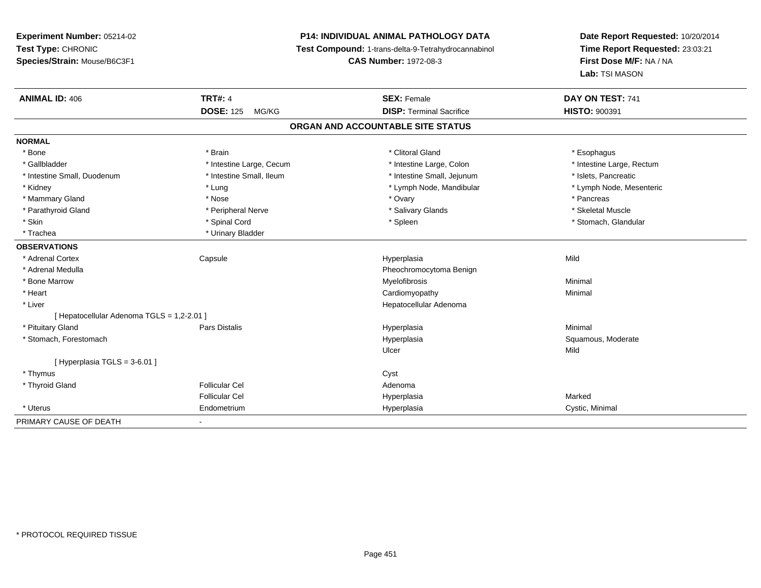# **P14: INDIVIDUAL ANIMAL PATHOLOGY DATA**

**Test Compound:** 1-trans-delta-9-Tetrahydrocannabinol

**CAS Number:** 1972-08-3

| <b>ANIMAL ID: 406</b>                      | <b>TRT#: 4</b>                    | <b>SEX: Female</b>              | DAY ON TEST: 741          |  |  |  |  |
|--------------------------------------------|-----------------------------------|---------------------------------|---------------------------|--|--|--|--|
|                                            | <b>DOSE: 125</b><br>MG/KG         | <b>DISP: Terminal Sacrifice</b> | <b>HISTO: 900391</b>      |  |  |  |  |
|                                            | ORGAN AND ACCOUNTABLE SITE STATUS |                                 |                           |  |  |  |  |
| <b>NORMAL</b>                              |                                   |                                 |                           |  |  |  |  |
| * Bone                                     | * Brain                           | * Clitoral Gland                | * Esophagus               |  |  |  |  |
| * Gallbladder                              | * Intestine Large, Cecum          | * Intestine Large, Colon        | * Intestine Large, Rectum |  |  |  |  |
| * Intestine Small, Duodenum                | * Intestine Small, Ileum          | * Intestine Small, Jejunum      | * Islets, Pancreatic      |  |  |  |  |
| * Kidney                                   | * Lung                            | * Lymph Node, Mandibular        | * Lymph Node, Mesenteric  |  |  |  |  |
| * Mammary Gland                            | * Nose                            | * Ovary                         | * Pancreas                |  |  |  |  |
| * Parathyroid Gland                        | * Peripheral Nerve                | * Salivary Glands               | * Skeletal Muscle         |  |  |  |  |
| * Skin                                     | * Spinal Cord                     | * Spleen                        | * Stomach, Glandular      |  |  |  |  |
| * Trachea                                  | * Urinary Bladder                 |                                 |                           |  |  |  |  |
| <b>OBSERVATIONS</b>                        |                                   |                                 |                           |  |  |  |  |
| * Adrenal Cortex                           | Capsule                           | Hyperplasia                     | Mild                      |  |  |  |  |
| * Adrenal Medulla                          |                                   | Pheochromocytoma Benign         |                           |  |  |  |  |
| * Bone Marrow                              |                                   | Myelofibrosis                   | Minimal                   |  |  |  |  |
| * Heart                                    |                                   | Cardiomyopathy                  | Minimal                   |  |  |  |  |
| * Liver                                    |                                   | Hepatocellular Adenoma          |                           |  |  |  |  |
| [ Hepatocellular Adenoma TGLS = 1,2-2.01 ] |                                   |                                 |                           |  |  |  |  |
| * Pituitary Gland                          | Pars Distalis                     | Hyperplasia                     | Minimal                   |  |  |  |  |
| * Stomach, Forestomach                     |                                   | Hyperplasia                     | Squamous, Moderate        |  |  |  |  |
|                                            |                                   | Ulcer                           | Mild                      |  |  |  |  |
| [ Hyperplasia TGLS = 3-6.01 ]              |                                   |                                 |                           |  |  |  |  |
| * Thymus                                   |                                   | Cyst                            |                           |  |  |  |  |
| * Thyroid Gland                            | <b>Follicular Cel</b>             | Adenoma                         |                           |  |  |  |  |
|                                            | <b>Follicular Cel</b>             | Hyperplasia                     | Marked                    |  |  |  |  |
| * Uterus                                   | Endometrium                       | Hyperplasia                     | Cystic, Minimal           |  |  |  |  |
| PRIMARY CAUSE OF DEATH                     | $\blacksquare$                    |                                 |                           |  |  |  |  |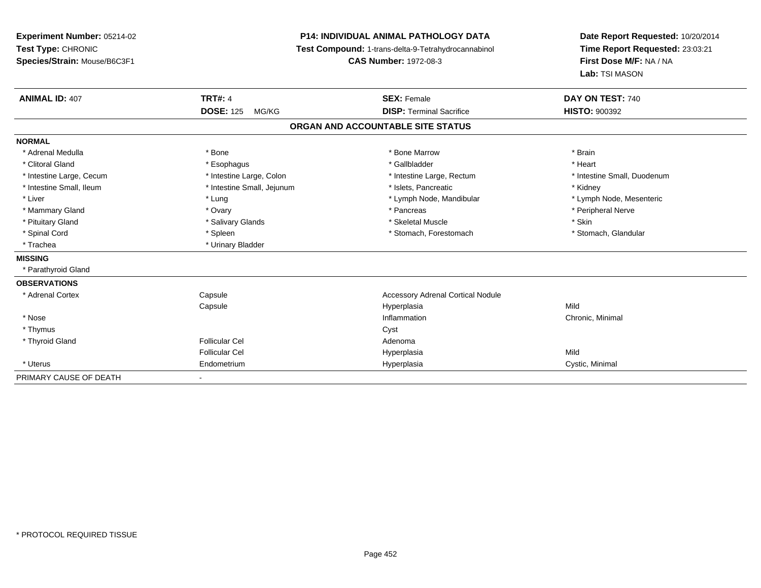| <b>Experiment Number: 05214-02</b> |                            | <b>P14: INDIVIDUAL ANIMAL PATHOLOGY DATA</b>        | Date Report Requested: 10/20/2014 |  |
|------------------------------------|----------------------------|-----------------------------------------------------|-----------------------------------|--|
| Test Type: CHRONIC                 |                            | Test Compound: 1-trans-delta-9-Tetrahydrocannabinol | Time Report Requested: 23:03:21   |  |
| Species/Strain: Mouse/B6C3F1       |                            | <b>CAS Number: 1972-08-3</b>                        | First Dose M/F: NA / NA           |  |
|                                    |                            |                                                     | Lab: TSI MASON                    |  |
| <b>ANIMAL ID: 407</b>              | <b>TRT#: 4</b>             | <b>SEX: Female</b>                                  | DAY ON TEST: 740                  |  |
|                                    | <b>DOSE: 125</b><br>MG/KG  | <b>DISP: Terminal Sacrifice</b>                     | <b>HISTO: 900392</b>              |  |
|                                    |                            | ORGAN AND ACCOUNTABLE SITE STATUS                   |                                   |  |
| <b>NORMAL</b>                      |                            |                                                     |                                   |  |
| * Adrenal Medulla                  | * Bone                     | * Bone Marrow                                       | * Brain                           |  |
| * Clitoral Gland                   | * Esophagus                | * Gallbladder                                       | * Heart                           |  |
| * Intestine Large, Cecum           | * Intestine Large, Colon   | * Intestine Large, Rectum                           | * Intestine Small, Duodenum       |  |
| * Intestine Small, Ileum           | * Intestine Small, Jejunum | * Islets, Pancreatic                                | * Kidney                          |  |
| * Liver                            | * Lung                     | * Lymph Node, Mandibular                            | * Lymph Node, Mesenteric          |  |
| * Mammary Gland                    | * Ovary                    | * Pancreas                                          | * Peripheral Nerve                |  |
| * Pituitary Gland                  | * Salivary Glands          | * Skeletal Muscle                                   | * Skin                            |  |
| * Spinal Cord                      | * Spleen                   | * Stomach, Forestomach                              | * Stomach, Glandular              |  |
| * Trachea                          | * Urinary Bladder          |                                                     |                                   |  |
| <b>MISSING</b>                     |                            |                                                     |                                   |  |
| * Parathyroid Gland                |                            |                                                     |                                   |  |
| <b>OBSERVATIONS</b>                |                            |                                                     |                                   |  |
| * Adrenal Cortex                   | Capsule                    | <b>Accessory Adrenal Cortical Nodule</b>            |                                   |  |
|                                    | Capsule                    | Hyperplasia                                         | Mild                              |  |
| * Nose                             |                            | Inflammation                                        | Chronic, Minimal                  |  |
| * Thymus                           |                            | Cyst                                                |                                   |  |
| * Thyroid Gland                    | <b>Follicular Cel</b>      | Adenoma                                             |                                   |  |
|                                    | <b>Follicular Cel</b>      | Hyperplasia                                         | Mild                              |  |
| * Uterus                           | Endometrium                | Hyperplasia                                         | Cystic, Minimal                   |  |
| PRIMARY CAUSE OF DEATH             |                            |                                                     |                                   |  |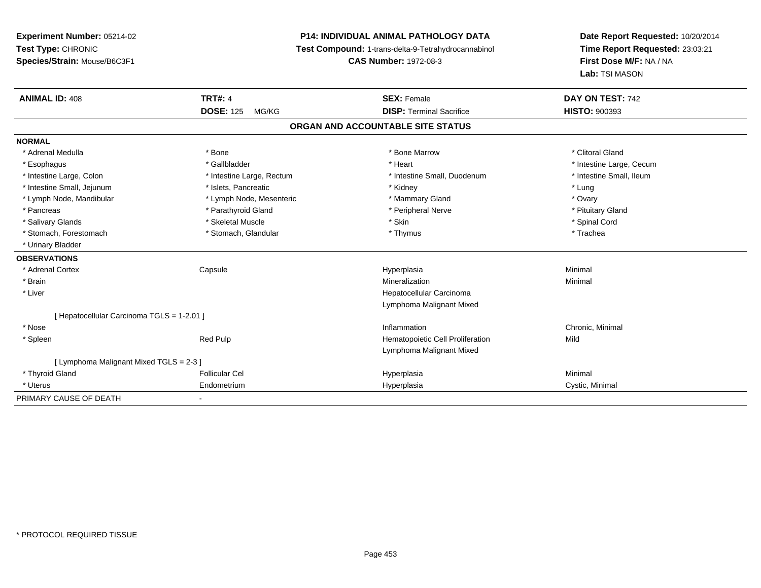# **P14: INDIVIDUAL ANIMAL PATHOLOGY DATA**

**Test Compound:** 1-trans-delta-9-Tetrahydrocannabinol

**CAS Number:** 1972-08-3

| <b>ANIMAL ID: 408</b>                      | <b>TRT#: 4</b>            | <b>SEX: Female</b>                | DAY ON TEST: 742         |  |
|--------------------------------------------|---------------------------|-----------------------------------|--------------------------|--|
|                                            | <b>DOSE: 125</b><br>MG/KG | <b>DISP: Terminal Sacrifice</b>   | <b>HISTO: 900393</b>     |  |
|                                            |                           | ORGAN AND ACCOUNTABLE SITE STATUS |                          |  |
| <b>NORMAL</b>                              |                           |                                   |                          |  |
| * Adrenal Medulla                          | * Bone                    | * Bone Marrow                     | * Clitoral Gland         |  |
| * Esophagus                                | * Gallbladder             | * Heart                           | * Intestine Large, Cecum |  |
| * Intestine Large, Colon                   | * Intestine Large, Rectum | * Intestine Small, Duodenum       | * Intestine Small, Ileum |  |
| * Intestine Small, Jejunum                 | * Islets, Pancreatic      | * Kidney                          | * Lung                   |  |
| * Lymph Node, Mandibular                   | * Lymph Node, Mesenteric  | * Mammary Gland                   | * Ovary                  |  |
| * Pancreas                                 | * Parathyroid Gland       | * Peripheral Nerve                | * Pituitary Gland        |  |
| * Salivary Glands                          | * Skeletal Muscle         | * Skin                            | * Spinal Cord            |  |
| * Stomach, Forestomach                     | * Stomach, Glandular      | * Thymus                          | * Trachea                |  |
| * Urinary Bladder                          |                           |                                   |                          |  |
| <b>OBSERVATIONS</b>                        |                           |                                   |                          |  |
| * Adrenal Cortex                           | Capsule                   | Hyperplasia                       | Minimal                  |  |
| * Brain                                    |                           | Mineralization                    | Minimal                  |  |
| * Liver                                    |                           | Hepatocellular Carcinoma          |                          |  |
|                                            |                           | Lymphoma Malignant Mixed          |                          |  |
| [ Hepatocellular Carcinoma TGLS = 1-2.01 ] |                           |                                   |                          |  |
| * Nose                                     |                           | Inflammation                      | Chronic, Minimal         |  |
| * Spleen                                   | Red Pulp                  | Hematopoietic Cell Proliferation  | Mild                     |  |
|                                            |                           | Lymphoma Malignant Mixed          |                          |  |
| [ Lymphoma Malignant Mixed TGLS = 2-3 ]    |                           |                                   |                          |  |
| * Thyroid Gland                            | <b>Follicular Cel</b>     | Hyperplasia                       | Minimal                  |  |
| * Uterus                                   | Endometrium               | Hyperplasia                       | Cystic, Minimal          |  |
| PRIMARY CAUSE OF DEATH                     |                           |                                   |                          |  |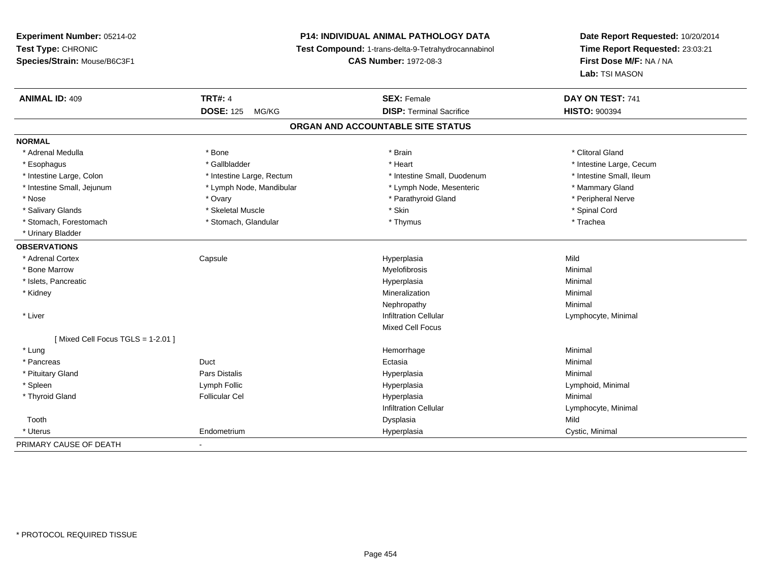# **P14: INDIVIDUAL ANIMAL PATHOLOGY DATA**

**Test Compound:** 1-trans-delta-9-Tetrahydrocannabinol

**CAS Number:** 1972-08-3

| <b>ANIMAL ID: 409</b>            | <b>TRT#: 4</b><br><b>DOSE: 125</b><br>MG/KG | <b>SEX: Female</b><br><b>DISP: Terminal Sacrifice</b> | DAY ON TEST: 741<br><b>HISTO: 900394</b> |
|----------------------------------|---------------------------------------------|-------------------------------------------------------|------------------------------------------|
|                                  |                                             | ORGAN AND ACCOUNTABLE SITE STATUS                     |                                          |
| <b>NORMAL</b>                    |                                             |                                                       |                                          |
| * Adrenal Medulla                | * Bone                                      | * Brain                                               | * Clitoral Gland                         |
| * Esophagus                      | * Gallbladder                               | * Heart                                               | * Intestine Large, Cecum                 |
| * Intestine Large, Colon         | * Intestine Large, Rectum                   | * Intestine Small, Duodenum                           | * Intestine Small, Ileum                 |
| * Intestine Small, Jejunum       | * Lymph Node, Mandibular                    | * Lymph Node, Mesenteric                              | * Mammary Gland                          |
| * Nose                           | * Ovary                                     | * Parathyroid Gland                                   | * Peripheral Nerve                       |
| * Salivary Glands                | * Skeletal Muscle                           | * Skin                                                | * Spinal Cord                            |
| * Stomach, Forestomach           | * Stomach, Glandular                        | * Thymus                                              | * Trachea                                |
| * Urinary Bladder                |                                             |                                                       |                                          |
| <b>OBSERVATIONS</b>              |                                             |                                                       |                                          |
| * Adrenal Cortex                 | Capsule                                     | Hyperplasia                                           | Mild                                     |
| * Bone Marrow                    |                                             | Myelofibrosis                                         | Minimal                                  |
| * Islets, Pancreatic             |                                             | Hyperplasia                                           | Minimal                                  |
| * Kidney                         |                                             | Mineralization                                        | Minimal                                  |
|                                  |                                             | Nephropathy                                           | Minimal                                  |
| * Liver                          |                                             | <b>Infiltration Cellular</b>                          | Lymphocyte, Minimal                      |
|                                  |                                             | Mixed Cell Focus                                      |                                          |
| [Mixed Cell Focus TGLS = 1-2.01] |                                             |                                                       |                                          |
| * Lung                           |                                             | Hemorrhage                                            | Minimal                                  |
| * Pancreas                       | Duct                                        | Ectasia                                               | Minimal                                  |
| * Pituitary Gland                | Pars Distalis                               | Hyperplasia                                           | Minimal                                  |
| * Spleen                         | Lymph Follic                                | Hyperplasia                                           | Lymphoid, Minimal                        |
| * Thyroid Gland                  | <b>Follicular Cel</b>                       | Hyperplasia                                           | Minimal                                  |
|                                  |                                             | <b>Infiltration Cellular</b>                          | Lymphocyte, Minimal                      |
| Tooth                            |                                             | Dysplasia                                             | Mild                                     |
| * Uterus                         | Endometrium                                 | Hyperplasia                                           | Cystic, Minimal                          |
| PRIMARY CAUSE OF DEATH           | $\blacksquare$                              |                                                       |                                          |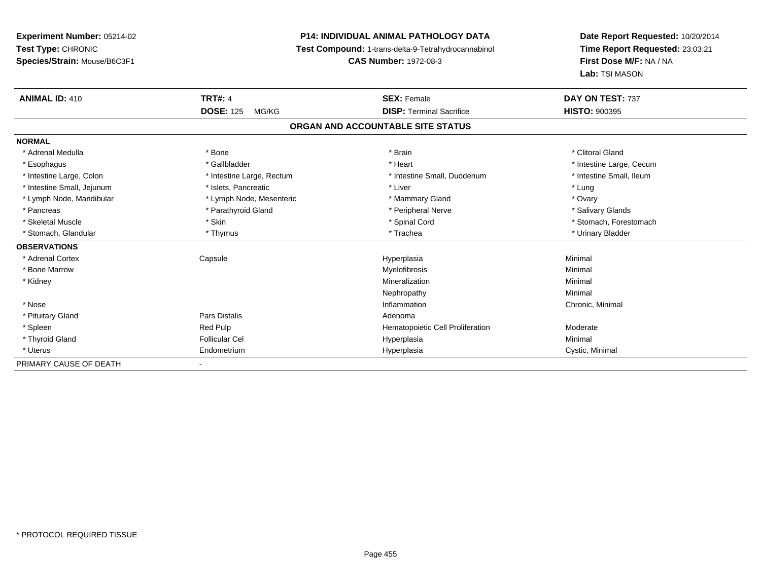# **P14: INDIVIDUAL ANIMAL PATHOLOGY DATA**

**Test Compound:** 1-trans-delta-9-Tetrahydrocannabinol

**CAS Number:** 1972-08-3

| <b>ANIMAL ID: 410</b>      | <b>TRT#: 4</b>            | <b>SEX: Female</b>                | DAY ON TEST: 737         |
|----------------------------|---------------------------|-----------------------------------|--------------------------|
|                            | <b>DOSE: 125</b><br>MG/KG | <b>DISP: Terminal Sacrifice</b>   | <b>HISTO: 900395</b>     |
|                            |                           | ORGAN AND ACCOUNTABLE SITE STATUS |                          |
| <b>NORMAL</b>              |                           |                                   |                          |
| * Adrenal Medulla          | * Bone                    | * Brain                           | * Clitoral Gland         |
| * Esophagus                | * Gallbladder             | * Heart                           | * Intestine Large, Cecum |
| * Intestine Large, Colon   | * Intestine Large, Rectum | * Intestine Small, Duodenum       | * Intestine Small, Ileum |
| * Intestine Small, Jejunum | * Islets, Pancreatic      | * Liver                           | * Lung                   |
| * Lymph Node, Mandibular   | * Lymph Node, Mesenteric  | * Mammary Gland                   | * Ovary                  |
| * Pancreas                 | * Parathyroid Gland       | * Peripheral Nerve                | * Salivary Glands        |
| * Skeletal Muscle          | * Skin                    | * Spinal Cord                     | * Stomach, Forestomach   |
| * Stomach, Glandular       | * Thymus                  | * Trachea                         | * Urinary Bladder        |
| <b>OBSERVATIONS</b>        |                           |                                   |                          |
| * Adrenal Cortex           | Capsule                   | Hyperplasia                       | Minimal                  |
| * Bone Marrow              |                           | Myelofibrosis                     | Minimal                  |
| * Kidney                   |                           | Mineralization                    | Minimal                  |
|                            |                           | Nephropathy                       | Minimal                  |
| * Nose                     |                           | Inflammation                      | Chronic, Minimal         |
| * Pituitary Gland          | Pars Distalis             | Adenoma                           |                          |
| * Spleen                   | Red Pulp                  | Hematopoietic Cell Proliferation  | Moderate                 |
| * Thyroid Gland            | <b>Follicular Cel</b>     | Hyperplasia                       | Minimal                  |
| * Uterus                   | Endometrium               | Hyperplasia                       | Cystic, Minimal          |
| PRIMARY CAUSE OF DEATH     |                           |                                   |                          |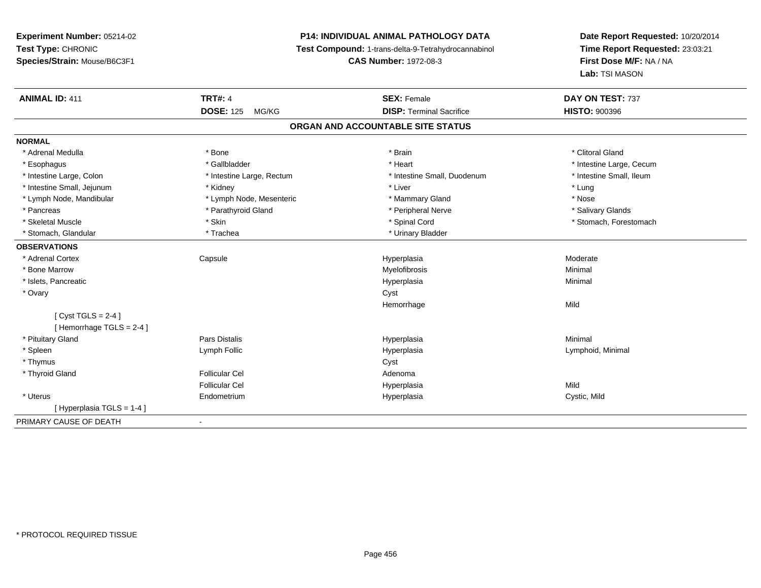# **P14: INDIVIDUAL ANIMAL PATHOLOGY DATA**

**Test Compound:** 1-trans-delta-9-Tetrahydrocannabinol

**CAS Number:** 1972-08-3

| <b>ANIMAL ID: 411</b>      | <b>TRT#: 4</b>                    | <b>SEX: Female</b>              | DAY ON TEST: 737         |  |  |  |  |
|----------------------------|-----------------------------------|---------------------------------|--------------------------|--|--|--|--|
|                            | <b>DOSE: 125</b><br>MG/KG         | <b>DISP: Terminal Sacrifice</b> | <b>HISTO: 900396</b>     |  |  |  |  |
|                            | ORGAN AND ACCOUNTABLE SITE STATUS |                                 |                          |  |  |  |  |
| <b>NORMAL</b>              |                                   |                                 |                          |  |  |  |  |
| * Adrenal Medulla          | * Bone                            | * Brain                         | * Clitoral Gland         |  |  |  |  |
| * Esophagus                | * Gallbladder                     | * Heart                         | * Intestine Large, Cecum |  |  |  |  |
| * Intestine Large, Colon   | * Intestine Large, Rectum         | * Intestine Small, Duodenum     | * Intestine Small, Ileum |  |  |  |  |
| * Intestine Small, Jejunum | * Kidney                          | * Liver                         | * Lung                   |  |  |  |  |
| * Lymph Node, Mandibular   | * Lymph Node, Mesenteric          | * Mammary Gland                 | * Nose                   |  |  |  |  |
| * Pancreas                 | * Parathyroid Gland               | * Peripheral Nerve              | * Salivary Glands        |  |  |  |  |
| * Skeletal Muscle          | * Skin                            | * Spinal Cord                   | * Stomach, Forestomach   |  |  |  |  |
| * Stomach, Glandular       | * Trachea                         | * Urinary Bladder               |                          |  |  |  |  |
| <b>OBSERVATIONS</b>        |                                   |                                 |                          |  |  |  |  |
| * Adrenal Cortex           | Capsule                           | Hyperplasia                     | Moderate                 |  |  |  |  |
| * Bone Marrow              |                                   | Myelofibrosis                   | Minimal                  |  |  |  |  |
| * Islets, Pancreatic       |                                   | Hyperplasia                     | Minimal                  |  |  |  |  |
| * Ovary                    |                                   | Cyst                            |                          |  |  |  |  |
|                            |                                   | Hemorrhage                      | Mild                     |  |  |  |  |
| [Cyst TGLS = $2-4$ ]       |                                   |                                 |                          |  |  |  |  |
| Hemorrhage TGLS = 2-4 ]    |                                   |                                 |                          |  |  |  |  |
| * Pituitary Gland          | <b>Pars Distalis</b>              | Hyperplasia                     | Minimal                  |  |  |  |  |
| * Spleen                   | Lymph Follic                      | Hyperplasia                     | Lymphoid, Minimal        |  |  |  |  |
| * Thymus                   |                                   | Cyst                            |                          |  |  |  |  |
| * Thyroid Gland            | <b>Follicular Cel</b>             | Adenoma                         |                          |  |  |  |  |
|                            | <b>Follicular Cel</b>             | Hyperplasia                     | Mild                     |  |  |  |  |
| * Uterus                   | Endometrium                       | Hyperplasia                     | Cystic, Mild             |  |  |  |  |
| [Hyperplasia TGLS = 1-4 ]  |                                   |                                 |                          |  |  |  |  |
| PRIMARY CAUSE OF DEATH     | $\overline{\phantom{a}}$          |                                 |                          |  |  |  |  |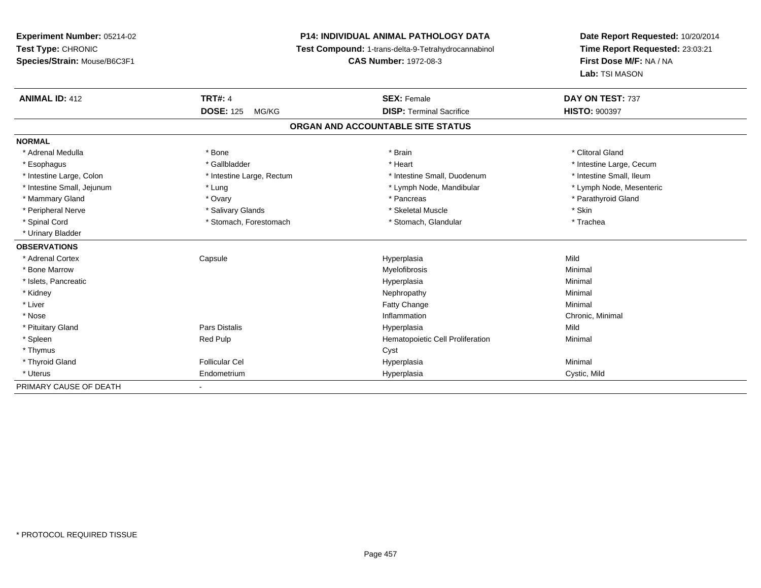**Experiment Number:** 05214-02**Test Type:** CHRONIC **Species/Strain:** Mouse/B6C3F1**P14: INDIVIDUAL ANIMAL PATHOLOGY DATA Test Compound:** 1-trans-delta-9-Tetrahydrocannabinol **CAS Number:** 1972-08-3**Date Report Requested:** 10/20/2014**Time Report Requested:** 23:03:21**First Dose M/F:** NA / NA**Lab:** TSI MASON**ANIMAL ID:** 412**TRT#:** 4 **SEX:** Female **SEX: Female DAY ON TEST:** 737 **DOSE:** 125 MG/KG **DISP:** Terminal Sacrifice **HISTO:** <sup>900397</sup> **ORGAN AND ACCOUNTABLE SITE STATUSNORMAL**\* Adrenal Medulla \* The state of the state of the state of the state of the state of the state of the state of the state of the state of the state of the state of the state of the state of the state of the state of the sta \* Esophagus \* https://www.fragustage.com/web/2019/heart \* Heart \* Heart \* Heart \* Intestine Large, Cecum \* Intestine Large, Cecum \* Sallbladder \* The state of the state of the state of the state of the state of the state o \* Intestine Small, Ileum \* Intestine Large, Colon \* Intestine Large, Rectum \* Intestine Small, Duodenum \* Intestine Small, Duodenum \* Lymph Node, Mesenteric \* Intestine Small, Jejunum \* The matter of the state of the state of the state of the state of the state of the state of the state of the state of the state of the state of the state of the state of the state of the state \* Mammary Gland \* \* Andrew \* Ovary \* Andrew \* Ovary \* Pancreas \* Pancreas \* \* Pancreas \* \* Pancreas \* \* Pancreas \* \* Pancreas \* \* Pancreas \* \* Pancreas \* \* Pancreas \* \* Pancreas \* \* Pancreas \* \* Pancreas \* \* Pancreas \* \* P \* Peripheral Nerve \* Salivary Glands \* Skeletal Muscle \* Skin\* Trachea \* Spinal Cord \* Stomach, Forestomach \* Stomach \* Stomach, Glandular \* Stomach, Glandular \* Urinary Bladder**OBSERVATIONS** \* Adrenal Cortex Capsule Hyperplasia Mild \* Bone Marroww which is a controller to the Myelofibrosis and the Minimal method of the Minimal method of the Minimal method of the Minimal method of the Minimal method of the Minimal method of the Minimal method of the Minimal method \* Islets, Pancreaticc description of the control of the control of the control of the control of the control of the control of the control of the control of the control of the control of the control of the control of the control of the contro a and a studies of the studies of the Minimal \* Kidneyy the control of the control of the control of the control of the control of the control of the control of the control of the control of the control of the control of the control of the control of the control of the contro \* Liverr and the contract of the contract of the contract of the contract of the contract of the contract of the contract of the contract of the contract of the contract of the contract of the contract of the contract of the cont e Minimal \* Nosee inflammation control of the control of the control of the control of the control of the control of the control of the control of the control of the control of the control of the control of the control of the control of t \* Pituitary Gland Pars Distalis Hyperplasia Mild \* SpleenRed Pulp **Minimal Hematopoietic Cell Proliferation Minimal**  \* Thymuss in the contract of the contract of the contract of the contract of the contract of the contract of the contract of the contract of the contract of the contract of the contract of the contract of the contract of the contr \* Thyroid Gland Follicular Cel Hyperplasia Minimal \* Uterus Endometrium Hyperplasia Cystic, Mild PRIMARY CAUSE OF DEATH

-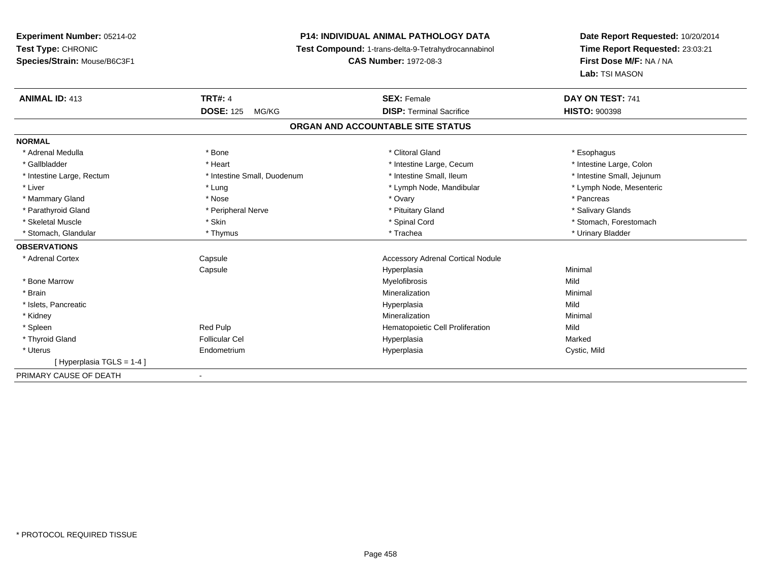# **P14: INDIVIDUAL ANIMAL PATHOLOGY DATA**

**Test Compound:** 1-trans-delta-9-Tetrahydrocannabinol

**CAS Number:** 1972-08-3

| <b>ANIMAL ID: 413</b>     | <b>TRT#: 4</b>              | <b>SEX: Female</b>                       | DAY ON TEST: 741           |
|---------------------------|-----------------------------|------------------------------------------|----------------------------|
|                           | <b>DOSE: 125</b><br>MG/KG   | <b>DISP: Terminal Sacrifice</b>          | <b>HISTO: 900398</b>       |
|                           |                             | ORGAN AND ACCOUNTABLE SITE STATUS        |                            |
| <b>NORMAL</b>             |                             |                                          |                            |
| * Adrenal Medulla         | * Bone                      | * Clitoral Gland                         | * Esophagus                |
| * Gallbladder             | * Heart                     | * Intestine Large, Cecum                 | * Intestine Large, Colon   |
| * Intestine Large, Rectum | * Intestine Small, Duodenum | * Intestine Small. Ileum                 | * Intestine Small, Jejunum |
| * Liver                   | * Lung                      | * Lymph Node, Mandibular                 | * Lymph Node, Mesenteric   |
| * Mammary Gland           | * Nose                      | * Ovary                                  | * Pancreas                 |
| * Parathyroid Gland       | * Peripheral Nerve          | * Pituitary Gland                        | * Salivary Glands          |
| * Skeletal Muscle         | * Skin                      | * Spinal Cord                            | * Stomach, Forestomach     |
| * Stomach, Glandular      | * Thymus                    | * Trachea                                | * Urinary Bladder          |
| <b>OBSERVATIONS</b>       |                             |                                          |                            |
| * Adrenal Cortex          | Capsule                     | <b>Accessory Adrenal Cortical Nodule</b> |                            |
|                           | Capsule                     | Hyperplasia                              | Minimal                    |
| * Bone Marrow             |                             | Myelofibrosis                            | Mild                       |
| * Brain                   |                             | Mineralization                           | Minimal                    |
| * Islets, Pancreatic      |                             | Hyperplasia                              | Mild                       |
| * Kidney                  |                             | Mineralization                           | Minimal                    |
| * Spleen                  | Red Pulp                    | Hematopoietic Cell Proliferation         | Mild                       |
| * Thyroid Gland           | <b>Follicular Cel</b>       | Hyperplasia                              | Marked                     |
| * Uterus                  | Endometrium                 | Hyperplasia                              | Cystic, Mild               |
| [Hyperplasia TGLS = 1-4]  |                             |                                          |                            |
| PRIMARY CAUSE OF DEATH    | $\overline{\phantom{a}}$    |                                          |                            |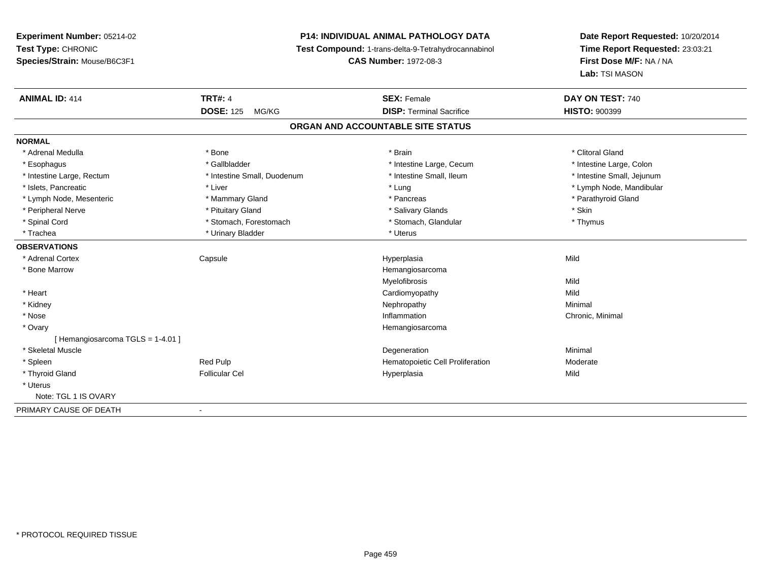# **P14: INDIVIDUAL ANIMAL PATHOLOGY DATA**

**Test Compound:** 1-trans-delta-9-Tetrahydrocannabinol

**CAS Number:** 1972-08-3

| <b>ANIMAL ID: 414</b>           | <b>TRT#: 4</b>              | <b>SEX: Female</b>                | DAY ON TEST: 740           |
|---------------------------------|-----------------------------|-----------------------------------|----------------------------|
|                                 | <b>DOSE: 125</b><br>MG/KG   | <b>DISP: Terminal Sacrifice</b>   | <b>HISTO: 900399</b>       |
|                                 |                             | ORGAN AND ACCOUNTABLE SITE STATUS |                            |
| <b>NORMAL</b>                   |                             |                                   |                            |
| * Adrenal Medulla               | * Bone                      | * Brain                           | * Clitoral Gland           |
| * Esophagus                     | * Gallbladder               | * Intestine Large, Cecum          | * Intestine Large, Colon   |
| * Intestine Large, Rectum       | * Intestine Small, Duodenum | * Intestine Small, Ileum          | * Intestine Small, Jejunum |
| * Islets. Pancreatic            | * Liver                     | * Lung                            | * Lymph Node, Mandibular   |
| * Lymph Node, Mesenteric        | * Mammary Gland             | * Pancreas                        | * Parathyroid Gland        |
| * Peripheral Nerve              | * Pituitary Gland           | * Salivary Glands                 | * Skin                     |
| * Spinal Cord                   | * Stomach, Forestomach      | * Stomach, Glandular              | * Thymus                   |
| * Trachea                       | * Urinary Bladder           | * Uterus                          |                            |
| <b>OBSERVATIONS</b>             |                             |                                   |                            |
| * Adrenal Cortex                | Capsule                     | Hyperplasia                       | Mild                       |
| * Bone Marrow                   |                             | Hemangiosarcoma                   |                            |
|                                 |                             | Myelofibrosis                     | Mild                       |
| * Heart                         |                             | Cardiomyopathy                    | Mild                       |
| * Kidney                        |                             | Nephropathy                       | Minimal                    |
| * Nose                          |                             | Inflammation                      | Chronic, Minimal           |
| * Ovary                         |                             | Hemangiosarcoma                   |                            |
| [Hemangiosarcoma TGLS = 1-4.01] |                             |                                   |                            |
| * Skeletal Muscle               |                             | Degeneration                      | Minimal                    |
| * Spleen                        | Red Pulp                    | Hematopoietic Cell Proliferation  | Moderate                   |
| * Thyroid Gland                 | <b>Follicular Cel</b>       | Hyperplasia                       | Mild                       |
| * Uterus                        |                             |                                   |                            |
| Note: TGL 1 IS OVARY            |                             |                                   |                            |
| PRIMARY CAUSE OF DEATH          | $\blacksquare$              |                                   |                            |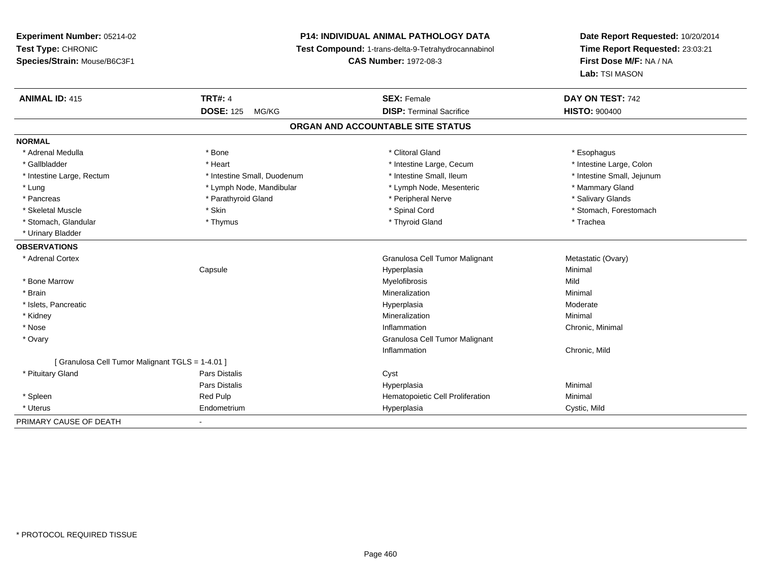# **P14: INDIVIDUAL ANIMAL PATHOLOGY DATA**

**Test Compound:** 1-trans-delta-9-Tetrahydrocannabinol

**CAS Number:** 1972-08-3

| <b>ANIMAL ID: 415</b>                            | <b>TRT#: 4</b>              | <b>SEX: Female</b>                | DAY ON TEST: 742           |
|--------------------------------------------------|-----------------------------|-----------------------------------|----------------------------|
|                                                  | <b>DOSE: 125</b><br>MG/KG   | <b>DISP: Terminal Sacrifice</b>   | <b>HISTO: 900400</b>       |
|                                                  |                             | ORGAN AND ACCOUNTABLE SITE STATUS |                            |
| <b>NORMAL</b>                                    |                             |                                   |                            |
| * Adrenal Medulla                                | * Bone                      | * Clitoral Gland                  | * Esophagus                |
| * Gallbladder                                    | * Heart                     | * Intestine Large, Cecum          | * Intestine Large, Colon   |
| * Intestine Large, Rectum                        | * Intestine Small, Duodenum | * Intestine Small, Ileum          | * Intestine Small, Jejunum |
| * Lung                                           | * Lymph Node, Mandibular    | * Lymph Node, Mesenteric          | * Mammary Gland            |
| * Pancreas                                       | * Parathyroid Gland         | * Peripheral Nerve                | * Salivary Glands          |
| * Skeletal Muscle                                | * Skin                      | * Spinal Cord                     | * Stomach, Forestomach     |
| * Stomach, Glandular                             | * Thymus                    | * Thyroid Gland                   | * Trachea                  |
| * Urinary Bladder                                |                             |                                   |                            |
| <b>OBSERVATIONS</b>                              |                             |                                   |                            |
| * Adrenal Cortex                                 |                             | Granulosa Cell Tumor Malignant    | Metastatic (Ovary)         |
|                                                  | Capsule                     | Hyperplasia                       | Minimal                    |
| * Bone Marrow                                    |                             | Myelofibrosis                     | Mild                       |
| * Brain                                          |                             | Mineralization                    | Minimal                    |
| * Islets, Pancreatic                             |                             | Hyperplasia                       | Moderate                   |
| * Kidney                                         |                             | Mineralization                    | Minimal                    |
| * Nose                                           |                             | Inflammation                      | Chronic, Minimal           |
| * Ovary                                          |                             | Granulosa Cell Tumor Malignant    |                            |
|                                                  |                             | Inflammation                      | Chronic, Mild              |
| [ Granulosa Cell Tumor Malignant TGLS = 1-4.01 ] |                             |                                   |                            |
| * Pituitary Gland                                | Pars Distalis               | Cyst                              |                            |
|                                                  | <b>Pars Distalis</b>        | Hyperplasia                       | Minimal                    |
| * Spleen                                         | Red Pulp                    | Hematopoietic Cell Proliferation  | Minimal                    |
| * Uterus                                         | Endometrium                 | Hyperplasia                       | Cystic, Mild               |
| PRIMARY CAUSE OF DEATH                           | $\blacksquare$              |                                   |                            |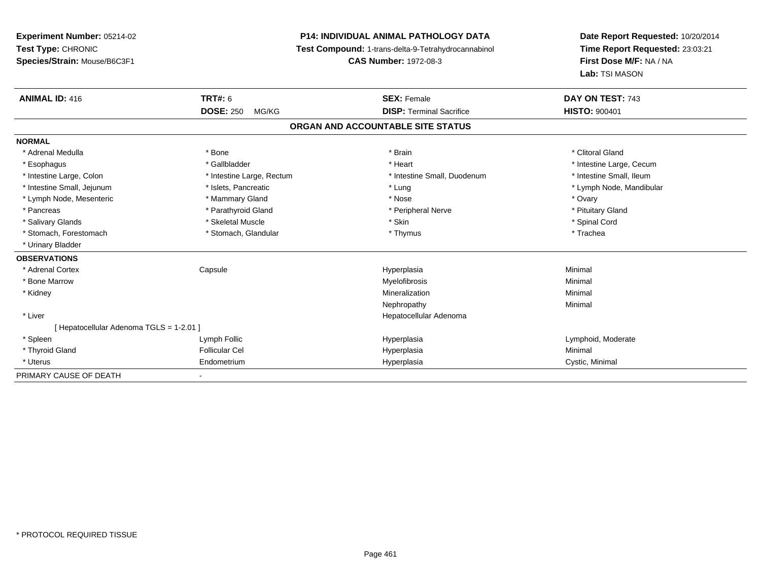**Experiment Number:** 05214-02**Test Type:** CHRONIC **Species/Strain:** Mouse/B6C3F1**P14: INDIVIDUAL ANIMAL PATHOLOGY DATA Test Compound:** 1-trans-delta-9-Tetrahydrocannabinol **CAS Number:** 1972-08-3**Date Report Requested:** 10/20/2014**Time Report Requested:** 23:03:21**First Dose M/F:** NA / NA**Lab:** TSI MASON**ANIMAL ID:** 416**6 DAY ON TEST:** 743 **DOSE:** 250 MG/KG **DISP:** Terminal Sacrifice **HISTO:** <sup>900401</sup> **ORGAN AND ACCOUNTABLE SITE STATUSNORMAL**\* Adrenal Medulla \* The state of the state of the state of the state of the state of the state of the state of the state of the state of the state of the state of the state of the state of the state of the state of the sta \* Esophagus \* https://www.fragustage.com/web/2019/heart \* Heart \* Heart \* Heart \* Intestine Large, Cecum \* Intestine Large, Cecum \* Sallbladder \* The state of the state of the state of the state of the state of the state o \* Intestine Small, Ileum \* Intestine Large, Colon \* Intestine Large, Rectum \* Intestine Small, Duodenum \* Intestine Small, Duodenum \* Intestine Small, Jejunum \* \* \* https://www.fat.com/setter/educition/setter/filesophysics.com/setter/filesophysics.com/setter/filesophysics.com/setter/filesophysics.com/setter/filesophysics.com/setter/filesophysics.com/se \* Lymph Node, Mesenteric \* \* \* Mammary Gland \* \* Nose \* Nose \* Ovary \* Ovary \* Ovary \* Ovary \* Ovary \* Ovary \* Ovary \* Pituitary Gland \* Pancreas \* Pancreas \* Parathyroid Gland \* Pancreas \* Peripheral Nerve \* Salivary Glands \* \* Steeden \* \* Skeletal Muscle \* \* Skin \* \* Skin \* \* Steeden \* Spinal Cord \* Spinal Cord \* Spinal Cord \* Spinal Cord \* Spinal Cord \* Spinal Cord \* Spinal Cord \* Spinal Cord \* Spinal Cord \* Spinal Cord \* \* Stomach, Forestomach \* Trachea \* Stomach, Glandular \* Thymus \* Thymus \* The metal \* Trachea \* Urinary Bladder**OBSERVATIONS** \* Adrenal Cortex Capsule Hyperplasia Minimal \* Bone Marroww which is a controller to the Myelofibrosis and the Minimal method of the Minimal method of the Minimal method of the Minimal method of the Minimal method of the Minimal method of the Minimal method of the Minimal method \* Kidneyy with the control of the control of the control of the control of the control of the control of the control of the control of the control of the control of the control of the control of the control of the control of the c n Minimal Nephropathyy the contract of the Minimal Minimal Section 1996 and the contract of the Minimal Section 1997 and the contract of the contract of the contract of the contract of the contract of the contract of the contract of the contra \* Liver Hepatocellular Adenoma[ Hepatocellular Adenoma TGLS = 1-2.01 ] \* Spleen Lymph Follic Hyperplasia Lymphoid, Moderate \* Thyroid Gland Follicular Cel Hyperplasia Minimal \* Uterus Endometriumm Cystic, Minimal Cystic, Minimal PRIMARY CAUSE OF DEATH-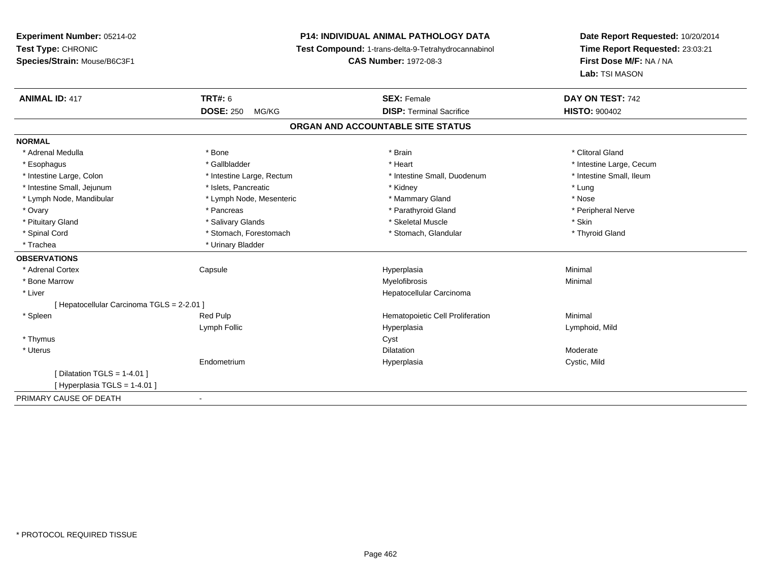**Experiment Number:** 05214-02**Test Type:** CHRONIC **Species/Strain:** Mouse/B6C3F1**P14: INDIVIDUAL ANIMAL PATHOLOGY DATA Test Compound:** 1-trans-delta-9-Tetrahydrocannabinol **CAS Number:** 1972-08-3**Date Report Requested:** 10/20/2014**Time Report Requested:** 23:03:21**First Dose M/F:** NA / NA**Lab:** TSI MASON**ANIMAL ID:** 417**TRT#:** 6 **SEX:** Female **SEX: Female DAY ON TEST:** 742 **DOSE:** 250 MG/KG **DISP:** Terminal Sacrifice **HISTO:** <sup>900402</sup> **ORGAN AND ACCOUNTABLE SITE STATUSNORMAL**\* Adrenal Medulla \* The state of the state of the state of the state of the state of the state of the state of the state of the state of the state of the state of the state of the state of the state of the state of the sta \* Esophagus \* https://www.fragustage.com/web/2019/heart \* Heart \* Heart \* Heart \* Intestine Large, Cecum \* Intestine Large, Cecum \* Sallbladder \* The state of the state of the state of the state of the state of the state o \* Intestine Small, Ileum \* Intestine Large, Colon \* Intestine Large, Rectum \* Intestine Small, Duodenum \* Intestine Small, Duodenum \* Intestine Small, Jejunum \* The metal was a structure of the structure of the structure of the structure of the structure of the structure of the structure of the structure of the structure of the structure of the structu \* Nose \* Lymph Node, Mandibular \* Lymph Node, Mesenteric \* Mammary Gland \* Mammary Gland \* Peripheral Nerve \* Ovary \* And the second of the second of the second version of the second version of the second version of the second version of the second version of the second version of the second version of the second version of the \* Pituitary Gland \* \* \* \* Salivary Glands \* \* \* Salivary Glands \* \* \$keletal Muscle \* \* \* \* \* \$kin \* \* \$kin \* \* Thyroid Gland \* Spinal Cord \* Stomach, Forestomach \* Stomach, Forestomach \* Stomach, Glandular \* Stomach, Glandular \* Trachea \* Urinary Bladder**OBSERVATIONS** \* Adrenal Cortex Capsule Hyperplasia Minimal \* Bone Marroww which is a controller to the Myelofibrosis and the Minimal method of the Minimal method of the Minimal method of the Minimal method of the Minimal method of the Minimal method of the Minimal method of the Minimal method \* Liver Hepatocellular Carcinoma[ Hepatocellular Carcinoma TGLS = 2-2.01 ] \* SpleenRed Pulp **Minimal Hematopoietic Cell Proliferation Minimal** Lymph Follic Hyperplasia Lymphoid, Mild \* Thymuss in the contract of the contract of the contract of the contract of the contract of the contract of the contract of the contract of the contract of the contract of the contract of the contract of the contract of the contr \* Uteruss and the contract of the contract of the contract of the contract of the contract of the contract of the contract of the contract of the contract of the contract of the contract of the contract of the contract of the cont n Moderate Endometrium Hyperplasia Cystic, Mild  $[$  Dilatation TGLS = 1-4.01  $]$  $[$  Hyperplasia TGLS = 1-4.01  $]$ PRIMARY CAUSE OF DEATH-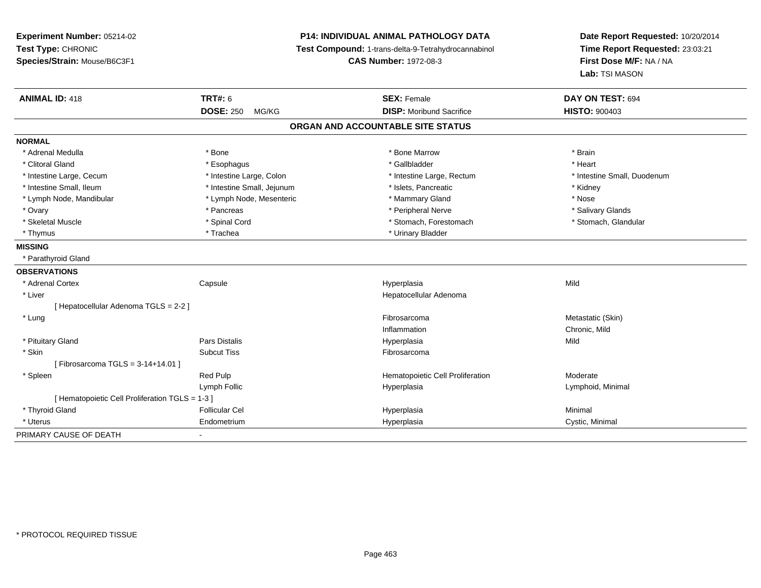| Experiment Number: 05214-02<br>Test Type: CHRONIC<br>Species/Strain: Mouse/B6C3F1 |                            | <b>P14: INDIVIDUAL ANIMAL PATHOLOGY DATA</b><br>Test Compound: 1-trans-delta-9-Tetrahydrocannabinol<br><b>CAS Number: 1972-08-3</b> | Date Report Requested: 10/20/2014<br>Time Report Requested: 23:03:21<br>First Dose M/F: NA / NA<br>Lab: TSI MASON |  |
|-----------------------------------------------------------------------------------|----------------------------|-------------------------------------------------------------------------------------------------------------------------------------|-------------------------------------------------------------------------------------------------------------------|--|
| <b>ANIMAL ID: 418</b>                                                             | TRT#: 6                    | <b>SEX: Female</b>                                                                                                                  | DAY ON TEST: 694                                                                                                  |  |
|                                                                                   | <b>DOSE: 250</b><br>MG/KG  | <b>DISP:</b> Moribund Sacrifice                                                                                                     | <b>HISTO: 900403</b>                                                                                              |  |
|                                                                                   |                            | ORGAN AND ACCOUNTABLE SITE STATUS                                                                                                   |                                                                                                                   |  |
| <b>NORMAL</b>                                                                     |                            |                                                                                                                                     |                                                                                                                   |  |
| * Adrenal Medulla                                                                 | * Bone                     | * Bone Marrow                                                                                                                       | * Brain                                                                                                           |  |
| * Clitoral Gland                                                                  | * Esophagus                | * Gallbladder                                                                                                                       | * Heart                                                                                                           |  |
| * Intestine Large, Cecum                                                          | * Intestine Large, Colon   | * Intestine Large, Rectum                                                                                                           | * Intestine Small, Duodenum                                                                                       |  |
| * Intestine Small, Ileum                                                          | * Intestine Small, Jejunum | * Islets, Pancreatic                                                                                                                | * Kidney                                                                                                          |  |
| * Lymph Node, Mandibular                                                          | * Lymph Node, Mesenteric   | * Mammary Gland                                                                                                                     | * Nose                                                                                                            |  |
| * Ovary                                                                           | * Pancreas                 | * Peripheral Nerve                                                                                                                  | * Salivary Glands                                                                                                 |  |
| * Skeletal Muscle                                                                 | * Spinal Cord              | * Stomach, Forestomach                                                                                                              | * Stomach, Glandular                                                                                              |  |
| * Thymus                                                                          | * Trachea                  | * Urinary Bladder                                                                                                                   |                                                                                                                   |  |
| <b>MISSING</b>                                                                    |                            |                                                                                                                                     |                                                                                                                   |  |
| * Parathyroid Gland                                                               |                            |                                                                                                                                     |                                                                                                                   |  |
| <b>OBSERVATIONS</b>                                                               |                            |                                                                                                                                     |                                                                                                                   |  |
| * Adrenal Cortex                                                                  | Capsule                    | Hyperplasia                                                                                                                         | Mild                                                                                                              |  |
| * Liver                                                                           |                            | Hepatocellular Adenoma                                                                                                              |                                                                                                                   |  |
| [ Hepatocellular Adenoma TGLS = 2-2 ]                                             |                            |                                                                                                                                     |                                                                                                                   |  |
| * Lung                                                                            |                            | Fibrosarcoma                                                                                                                        | Metastatic (Skin)                                                                                                 |  |
|                                                                                   |                            | Inflammation                                                                                                                        | Chronic, Mild                                                                                                     |  |
| * Pituitary Gland                                                                 | <b>Pars Distalis</b>       | Hyperplasia                                                                                                                         | Mild                                                                                                              |  |
| * Skin                                                                            | <b>Subcut Tiss</b>         | Fibrosarcoma                                                                                                                        |                                                                                                                   |  |
| [Fibrosarcoma TGLS = $3-14+14.01$ ]                                               |                            |                                                                                                                                     |                                                                                                                   |  |
| * Spleen                                                                          | Red Pulp                   | Hematopoietic Cell Proliferation                                                                                                    | Moderate                                                                                                          |  |
|                                                                                   | Lymph Follic               | Hyperplasia                                                                                                                         | Lymphoid, Minimal                                                                                                 |  |
| [ Hematopoietic Cell Proliferation TGLS = 1-3 ]                                   |                            |                                                                                                                                     |                                                                                                                   |  |
| * Thyroid Gland                                                                   | <b>Follicular Cel</b>      | Hyperplasia                                                                                                                         | Minimal                                                                                                           |  |
| * Uterus                                                                          | Endometrium                | Hyperplasia                                                                                                                         | Cystic, Minimal                                                                                                   |  |
| PRIMARY CAUSE OF DEATH                                                            |                            |                                                                                                                                     |                                                                                                                   |  |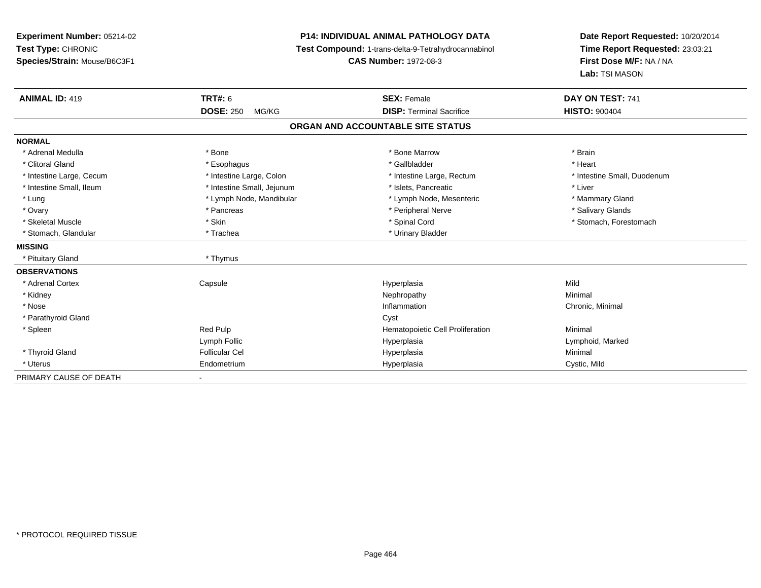| Experiment Number: 05214-02  |                            | <b>P14: INDIVIDUAL ANIMAL PATHOLOGY DATA</b>        |                                                            |  |
|------------------------------|----------------------------|-----------------------------------------------------|------------------------------------------------------------|--|
| Test Type: CHRONIC           |                            | Test Compound: 1-trans-delta-9-Tetrahydrocannabinol | Time Report Requested: 23:03:21<br>First Dose M/F: NA / NA |  |
| Species/Strain: Mouse/B6C3F1 |                            | <b>CAS Number: 1972-08-3</b>                        |                                                            |  |
|                              |                            |                                                     | Lab: TSI MASON                                             |  |
| <b>ANIMAL ID: 419</b>        | <b>TRT#: 6</b>             | <b>SEX: Female</b>                                  | DAY ON TEST: 741                                           |  |
|                              | <b>DOSE: 250</b><br>MG/KG  | <b>DISP: Terminal Sacrifice</b>                     | <b>HISTO: 900404</b>                                       |  |
|                              |                            | ORGAN AND ACCOUNTABLE SITE STATUS                   |                                                            |  |
| <b>NORMAL</b>                |                            |                                                     |                                                            |  |
| * Adrenal Medulla            | * Bone                     | * Bone Marrow                                       | * Brain                                                    |  |
| * Clitoral Gland             | * Esophagus                | * Gallbladder                                       | * Heart                                                    |  |
| * Intestine Large, Cecum     | * Intestine Large, Colon   | * Intestine Large, Rectum                           | * Intestine Small, Duodenum                                |  |
| * Intestine Small, Ileum     | * Intestine Small, Jejunum | * Islets, Pancreatic                                | * Liver                                                    |  |
| * Lung                       | * Lymph Node, Mandibular   | * Lymph Node, Mesenteric                            | * Mammary Gland                                            |  |
| * Ovary                      | * Pancreas                 | * Peripheral Nerve                                  | * Salivary Glands                                          |  |
| * Skeletal Muscle            | * Skin                     | * Spinal Cord                                       | * Stomach, Forestomach                                     |  |
| * Stomach, Glandular         | * Trachea                  | * Urinary Bladder                                   |                                                            |  |
| <b>MISSING</b>               |                            |                                                     |                                                            |  |
| * Pituitary Gland            | * Thymus                   |                                                     |                                                            |  |
| <b>OBSERVATIONS</b>          |                            |                                                     |                                                            |  |
| * Adrenal Cortex             | Capsule                    | Hyperplasia                                         | Mild                                                       |  |
| * Kidney                     |                            | Nephropathy                                         | Minimal                                                    |  |
| * Nose                       |                            | Inflammation                                        | Chronic, Minimal                                           |  |
| * Parathyroid Gland          |                            | Cyst                                                |                                                            |  |
| * Spleen                     | Red Pulp                   | Hematopoietic Cell Proliferation                    | Minimal                                                    |  |
|                              | Lymph Follic               | Hyperplasia                                         | Lymphoid, Marked                                           |  |
| * Thyroid Gland              | <b>Follicular Cel</b>      | Hyperplasia                                         | Minimal                                                    |  |
| * Uterus                     | Endometrium                | Hyperplasia                                         | Cystic, Mild                                               |  |
| PRIMARY CAUSE OF DEATH       |                            |                                                     |                                                            |  |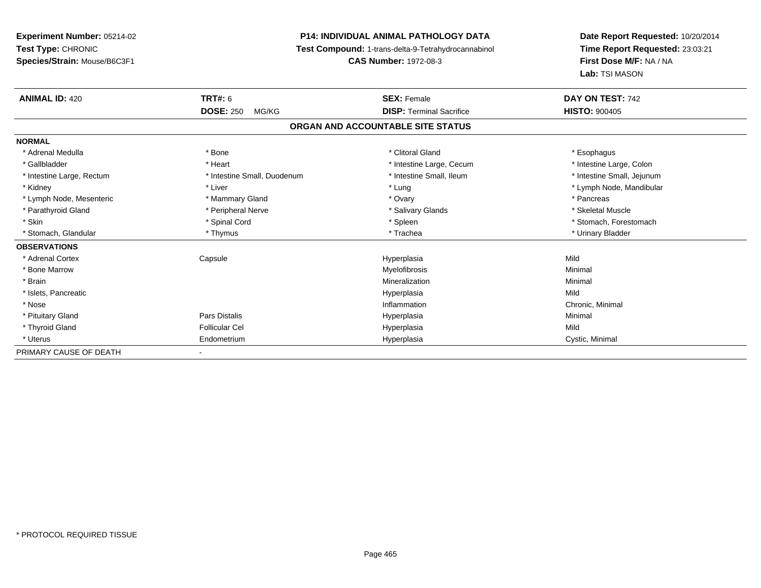# **P14: INDIVIDUAL ANIMAL PATHOLOGY DATA**

**Test Compound:** 1-trans-delta-9-Tetrahydrocannabinol

**CAS Number:** 1972-08-3

| <b>ANIMAL ID: 420</b>     | <b>TRT#: 6</b>              | <b>SEX: Female</b>                | DAY ON TEST: 742           |
|---------------------------|-----------------------------|-----------------------------------|----------------------------|
|                           | <b>DOSE: 250</b><br>MG/KG   | <b>DISP: Terminal Sacrifice</b>   | <b>HISTO: 900405</b>       |
|                           |                             | ORGAN AND ACCOUNTABLE SITE STATUS |                            |
| <b>NORMAL</b>             |                             |                                   |                            |
| * Adrenal Medulla         | * Bone                      | * Clitoral Gland                  | * Esophagus                |
| * Gallbladder             | * Heart                     | * Intestine Large, Cecum          | * Intestine Large, Colon   |
| * Intestine Large, Rectum | * Intestine Small, Duodenum | * Intestine Small, Ileum          | * Intestine Small, Jejunum |
| * Kidney                  | * Liver                     | * Lung                            | * Lymph Node, Mandibular   |
| * Lymph Node, Mesenteric  | * Mammary Gland             | * Ovary                           | * Pancreas                 |
| * Parathyroid Gland       | * Peripheral Nerve          | * Salivary Glands                 | * Skeletal Muscle          |
| * Skin                    | * Spinal Cord               | * Spleen                          | * Stomach, Forestomach     |
| * Stomach, Glandular      | * Thymus                    | * Trachea                         | * Urinary Bladder          |
| <b>OBSERVATIONS</b>       |                             |                                   |                            |
| * Adrenal Cortex          | Capsule                     | Hyperplasia                       | Mild                       |
| * Bone Marrow             |                             | Myelofibrosis                     | Minimal                    |
| * Brain                   |                             | Mineralization                    | Minimal                    |
| * Islets, Pancreatic      |                             | Hyperplasia                       | Mild                       |
| * Nose                    |                             | Inflammation                      | Chronic, Minimal           |
| * Pituitary Gland         | Pars Distalis               | Hyperplasia                       | Minimal                    |
| * Thyroid Gland           | <b>Follicular Cel</b>       | Hyperplasia                       | Mild                       |
| * Uterus                  | Endometrium                 | Hyperplasia                       | Cystic, Minimal            |
| PRIMARY CAUSE OF DEATH    | $\sim$                      |                                   |                            |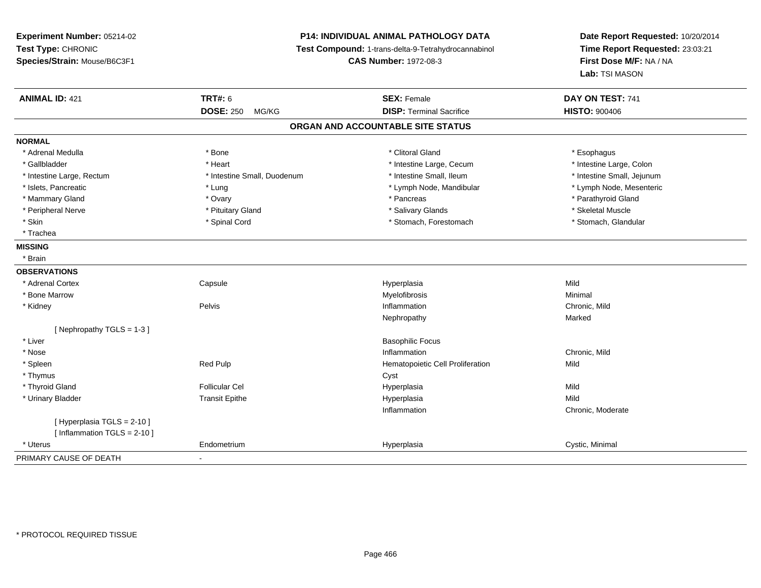**Experiment Number:** 05214-02**Test Type:** CHRONIC **Species/Strain:** Mouse/B6C3F1**P14: INDIVIDUAL ANIMAL PATHOLOGY DATA Test Compound:** 1-trans-delta-9-Tetrahydrocannabinol **CAS Number:** 1972-08-3**Date Report Requested:** 10/20/2014**Time Report Requested:** 23:03:21**First Dose M/F:** NA / NA**Lab:** TSI MASON**ANIMAL ID:** 421**TRT#:** 6 **SEX:** Female **SEX: Female DAY ON TEST:** 741 **DOSE:** 250 MG/KG**DISP:** Terminal Sacrifice **HISTO:**  $900406$ **ORGAN AND ACCOUNTABLE SITE STATUSNORMAL**\* Adrenal Medulla \* Adrenal Medulla \* Bone \* Clitoral Gland \* Esophagus\* Intestine Large, Colon \* Gallbladder \* The mode of the text \* Heart \* Intestine Large, Cecum \* Intestine Large, Cecum \* Intestine Large, Cecum \* Intestine Large, Rectum \* Thestine Small, Duodenum \* Number of the small, Ileum \* Intestine Small, Jejunum \* Intestine Small, Jejunum \* Lymph Node, Mesenteric \* Islets, Pancreatic **\* Lung \* Lung \* Lung \* Lymph Node, Mandibular \*** Lymph Node, Mandibular \* Mammary Gland \* \* Andrew \* Ovary \* Andrew \* Ovary \* Pancreas \* Pancreas \* \* Pancreas \* \* Pancreas \* \* Pancreas \* \* Pancreas \* \* Pancreas \* \* Pancreas \* \* Pancreas \* \* Pancreas \* \* Pancreas \* \* Pancreas \* \* Pancreas \* \* P \* Peripheral Nerve \* \* \* Aliundration of the term of the state of the term of the state of the state of the state of the state of the state of the state of the state of the state of the state of the state of the state of t \* Stomach. Glandular \* Skin \* Stomach, Forestomach \* Spinal Cord \* Stomach, Forestomach \* Stomach, Forestomach \* Trachea**MISSING** \* Brain**OBSERVATIONS** \* Adrenal Cortex**Capsule**  Hyperplasia Mild \* Bone Marroww which is a controller to the Myelofibrosis and the Minimal method of the Minimal method of the Minimal method of the Minimal method of the Minimal method of the Minimal method of the Minimal method of the Minimal method \* Kidneyy the contract of the Pelvis and the Pelvis and the contract of the contract of the person of the contract of the contract of the contract of the contract of the contract of the contract of the contract of the contract of **Inflammation**<br> **Chronic, Mild**<br> **Narked**<br>
Marked Nephropathyy and the contract of the Marked [ Nephropathy TGLS = 1-3 ] \* Liver Basophilic Focus \* Nosee and the contract of the contract of the contract of the contract of the contract of the chronic, Mild and the chronic, Mild and the chronic, Mild and the chronic state of the chronic state of the chronic state of the chr \* SpleenRed Pulp **Net also are all the Hematopoietic Cell Proliferation** Mild Cyst **Net all the Cyst**  \* Thymuss the contract of the contract of the contract of the contract of the contract of the contract of the contract of the contract of the contract of the contract of the contract of the contract of the contract of the contract \* Thyroid Gland Follicular Cel Hyperplasia Mild \* Urinary Bladder Transit Epithe Hyperplasia Mild Inflammation Chronic, Moderate [ Hyperplasia TGLS = 2-10 ][ Inflammation TGLS = 2-10 ] \* Uterus Endometriumm Cystic, Minimal Cystic, Minimal PRIMARY CAUSE OF DEATH-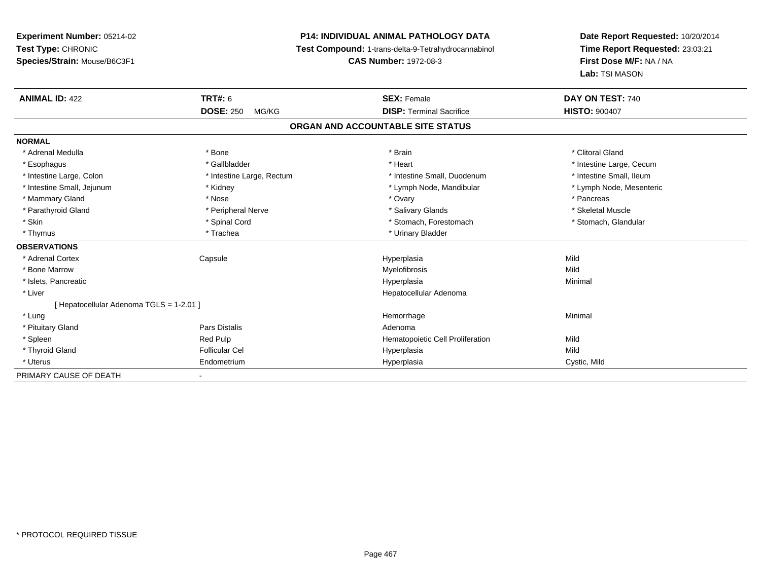# **P14: INDIVIDUAL ANIMAL PATHOLOGY DATA**

**Test Compound:** 1-trans-delta-9-Tetrahydrocannabinol

**CAS Number:** 1972-08-3

| <b>ANIMAL ID: 422</b>                    | TRT#: 6                   | <b>SEX: Female</b>               | DAY ON TEST: 740         |  |  |  |  |
|------------------------------------------|---------------------------|----------------------------------|--------------------------|--|--|--|--|
|                                          | <b>DOSE: 250</b><br>MG/KG | <b>DISP: Terminal Sacrifice</b>  | <b>HISTO: 900407</b>     |  |  |  |  |
| ORGAN AND ACCOUNTABLE SITE STATUS        |                           |                                  |                          |  |  |  |  |
| <b>NORMAL</b>                            |                           |                                  |                          |  |  |  |  |
| * Adrenal Medulla                        | * Bone                    | * Brain                          | * Clitoral Gland         |  |  |  |  |
| * Esophagus                              | * Gallbladder             | * Heart                          | * Intestine Large, Cecum |  |  |  |  |
| * Intestine Large, Colon                 | * Intestine Large, Rectum | * Intestine Small, Duodenum      | * Intestine Small, Ileum |  |  |  |  |
| * Intestine Small, Jejunum               | * Kidney                  | * Lymph Node, Mandibular         | * Lymph Node, Mesenteric |  |  |  |  |
| * Mammary Gland                          | * Nose                    | * Ovary                          | * Pancreas               |  |  |  |  |
| * Parathyroid Gland                      | * Peripheral Nerve        | * Salivary Glands                | * Skeletal Muscle        |  |  |  |  |
| * Skin                                   | * Spinal Cord             | * Stomach, Forestomach           | * Stomach, Glandular     |  |  |  |  |
| * Thymus                                 | * Trachea                 | * Urinary Bladder                |                          |  |  |  |  |
| <b>OBSERVATIONS</b>                      |                           |                                  |                          |  |  |  |  |
| * Adrenal Cortex                         | Capsule                   | Hyperplasia                      | Mild                     |  |  |  |  |
| * Bone Marrow                            |                           | Myelofibrosis                    | Mild                     |  |  |  |  |
| * Islets, Pancreatic                     |                           | Hyperplasia                      | Minimal                  |  |  |  |  |
| * Liver                                  |                           | Hepatocellular Adenoma           |                          |  |  |  |  |
| [ Hepatocellular Adenoma TGLS = 1-2.01 ] |                           |                                  |                          |  |  |  |  |
| * Lung                                   |                           | Hemorrhage                       | Minimal                  |  |  |  |  |
| * Pituitary Gland                        | <b>Pars Distalis</b>      | Adenoma                          |                          |  |  |  |  |
| * Spleen                                 | Red Pulp                  | Hematopoietic Cell Proliferation | Mild                     |  |  |  |  |
| * Thyroid Gland                          | <b>Follicular Cel</b>     | Hyperplasia                      | Mild                     |  |  |  |  |
| * Uterus                                 | Endometrium               | Hyperplasia                      | Cystic, Mild             |  |  |  |  |
| PRIMARY CAUSE OF DEATH                   |                           |                                  |                          |  |  |  |  |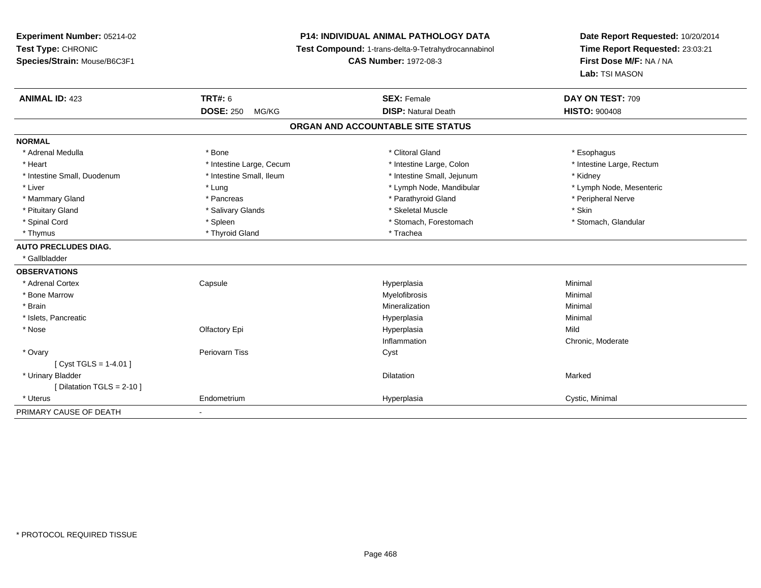**Experiment Number:** 05214-02**Test Type:** CHRONIC **Species/Strain:** Mouse/B6C3F1**P14: INDIVIDUAL ANIMAL PATHOLOGY DATA Test Compound:** 1-trans-delta-9-Tetrahydrocannabinol **CAS Number:** 1972-08-3**Date Report Requested:** 10/20/2014**Time Report Requested:** 23:03:21**First Dose M/F:** NA / NA**Lab:** TSI MASON**ANIMAL ID:** 423**TRT#:** 6 **SEX:** Female **SEX: Female DAY ON TEST:** 709 **DOSE:** 250 MG/KG**DISP:** Natural Death **HISTO:**  $900408$ **ORGAN AND ACCOUNTABLE SITE STATUSNORMAL**\* Adrenal Medulla \* Adrenal Medulla \* Bone \* Clitoral Gland \* Esophagus\* Heart Thestine Large, Cecum Thestine Large, Cecum Assessment Carge, Colon Thestine Large, Rectum \* Intestine Large, Rectum \* Intestine Large, Rectum \* Intestine Small, Duodenum \* 100 \* 100 \* 100 \* 100 \* 100 \* 100 \* 100 \* 100 \* 100 \* 100 \* 100 \* 100 \* Hotestine Small, Jejunum \* Kidney \* Lymph Node, Mesenteric \* Liver \* Lung \* Lung \* Lung \* Lung \* Lymph Node, Mandibular \* Lymph Node, Mandibular \* Mammary Gland \* \* Andreas \* \* Pancreas \* \* Parathyroid Gland \* \* Parathyroid Gland \* \* Peripheral Nerve \* Pituitary Gland \* \* \* \* Salivary Glands \* \* \* Salivary Glands \* \* \$keletal Muscle \* \* \* \* \* \$kin \* \* \$kin \* \* Stomach, Glandular \* Spinal Cord **\* Stomach, Forestomach \* Spinal Cord \*** Stomach, Forestomach \* Stomach, Forestomach \* Thyrnus \* Thyroid Gland \* Thyroid Gland \* The \* Trachea **AUTO PRECLUDES DIAG.** \* Gallbladder**OBSERVATIONS** \* Adrenal Cortex**Capsule**  Hyperplasia Minimal \* Bone Marroww which is a controller to the Myelofibrosis and the Minimal method of the Minimal method of the Minimal method of the Minimal method of the Minimal method of the Minimal method of the Minimal method of the Minimal method \* Brainn and the controller of the controller of the controller of the Minimal Mineralization and the controller of the Minimal Minimal  $\alpha$  \* Islets, Pancreaticc and the contract of the contract of the contract of the contract of the contract of the contract of the contract of the contract of the contract of the contract of the contract of the contract of the contract of the cont a **Minimal**  \* Nose Olfactory Epi Hyperplasia Mild Inflammation Chronic, Moderate \* Ovaryy which is a series of the Periovarn Tiss of the Constantine Cystal Cystal Constanting Cystal Cystal Cystal Cyst  $[$  Cyst TGLS = 1-4.01  $]$  \* Urinary Bladder**n** Dilatation **Contract Contract Contract Contract Contract Contract Contract Contract Contract Contract Contract Contract Contract Contract Contract Contract Contract Contract Contract Contract Contract Contract Contract** n Marked **Marked** [ Dilatation TGLS = 2-10 ] \* Uterus Endometriumm Cystic, Minimal Cystic, Minimal PRIMARY CAUSE OF DEATH-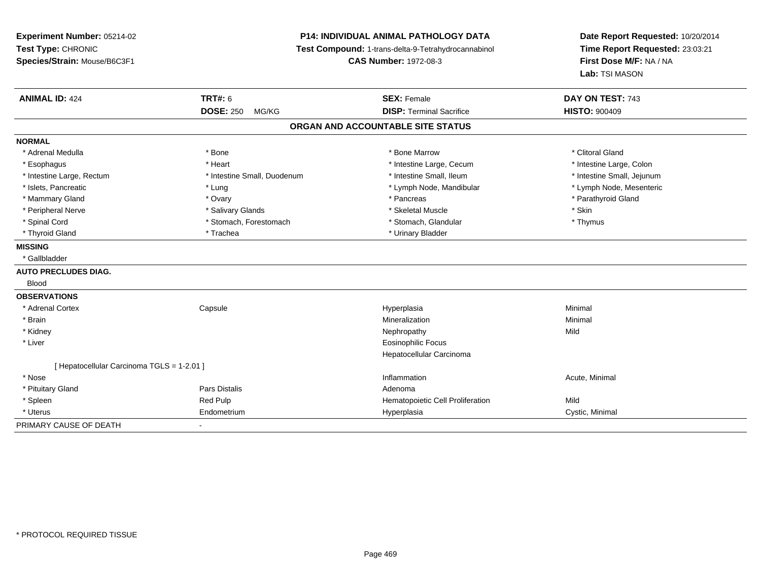**Experiment Number:** 05214-02**Test Type:** CHRONIC **Species/Strain:** Mouse/B6C3F1**P14: INDIVIDUAL ANIMAL PATHOLOGY DATA Test Compound:** 1-trans-delta-9-Tetrahydrocannabinol **CAS Number:** 1972-08-3**Date Report Requested:** 10/20/2014**Time Report Requested:** 23:03:21**First Dose M/F:** NA / NA**Lab:** TSI MASON**ANIMAL ID:** 424**TRT#:** 6 **SEX:** Female **SEX: Female DAY ON TEST:** 743 **DOSE:** 250 MG/KG**DISP:** Terminal Sacrifice **HISTO:**  $900409$ **ORGAN AND ACCOUNTABLE SITE STATUSNORMAL**\* Adrenal Medulla \* The state of the state of the state of the state of the Marrow \* Bone Marrow \* Clitoral Gland \* Clitoral Gland \* Intestine Large, Colon \* Esophagus \* **Heart \* Intestine Large, Cecum \* Intestine Large, Cecum \*** Intestine Large, Cecum \* Intestine Large, Rectum \* Thestine Small, Duodenum \* Number of the small, Ileum \* Intestine Small, Jejunum \* Intestine Small, Jejunum \* Lymph Node, Mesenteric \* Islets, Pancreatic **\* Lung \* Lung \* Lung \* Lymph Node, Mandibular \*** Lymph Node, Mandibular \* Mammary Gland \* \* Andrew \* Ovary \* Andrew \* Ovary \* Pancreas \* Pancreas \* \* Pancreas \* \* Pancreas \* \* Pancreas \* \* Pancreas \* \* Pancreas \* \* Pancreas \* \* Pancreas \* \* Pancreas \* \* Pancreas \* \* Pancreas \* \* Pancreas \* \* P \* Peripheral Nerve \* Salivary Glands \* Skeletal Muscle \* Skin\* Thymus \* Spinal Cord \* Stomach, Forestomach \* Stomach \* Stomach, Glandular \* Stomach, Glandular \* Thyroid Gland \* Trachea \* Trachea \* Trachea \* Urinary Bladder **MISSING** \* Gallbladder**AUTO PRECLUDES DIAG.** Blood**OBSERVATIONS** \* Adrenal Cortex**Capsule**  Hyperplasia Minimal \* Brainn and the controller of the controller of the controller of the Mineralization and the controller of the Minimal \* Kidneyy the controller of the controller of the controller of the controller of the controller of the controller of the controller of the controller of the controller of the controller of the controller of the controller of the \* Liver Eosinophilic Focus Hepatocellular Carcinoma[ Hepatocellular Carcinoma TGLS = 1-2.01 ] \* Nosee the contraction of the contraction of the contraction of the contraction of the contraction of the contraction  $\mathsf{Acute}$ , Minimal \* Pituitary Glandd and the set of Pars Distalis and the Second Adenomal Adenomal Second Second Pars Distallis \* SpleenRed Pulp **Network Red Pulp 19 Templement Cell Proliferation** Mild \* Uterus**Endometrium** m Cystic, Minimal Cystic, Minimal PRIMARY CAUSE OF DEATH-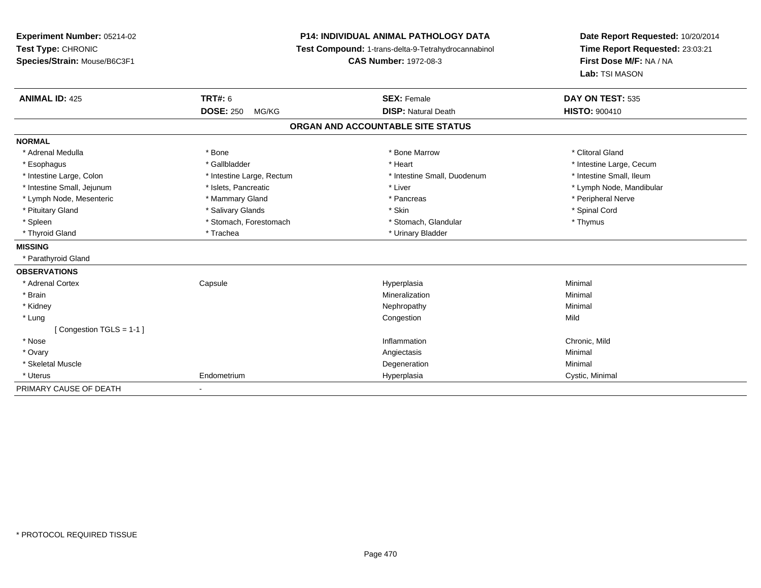**Experiment Number:** 05214-02**Test Type:** CHRONIC **Species/Strain:** Mouse/B6C3F1**P14: INDIVIDUAL ANIMAL PATHOLOGY DATA Test Compound:** 1-trans-delta-9-Tetrahydrocannabinol **CAS Number:** 1972-08-3**Date Report Requested:** 10/20/2014**Time Report Requested:** 23:03:21**First Dose M/F:** NA / NA**Lab:** TSI MASON**ANIMAL ID:** 425**TRT#:** 6 **SEX:** Female **SEX: Female DAY ON TEST:** 535 **DOSE:** 250 MG/KG**DISP:** Natural Death **HISTO:**  $900410$ **ORGAN AND ACCOUNTABLE SITE STATUSNORMAL**\* Adrenal Medulla \* The state of the state of the state of the state of the Marrow \* Bone Marrow \* Clitoral Gland \* Clitoral Gland \* Esophagus \* https://www.fragustage.com/web/2019/heart \* Heart \* Heart \* Heart \* Intestine Large, Cecum \* Intestine Large, Cecum \* Sallbladder \* The state of the state of the state of the state of the state of the state o \* Intestine Small, Ileum \* Intestine Large, Colon \* Intestine Large, Rectum \* Intestine Small, Duodenum \* Intestine Small, Duodenum \* Intestine Small, Jejunum \* \* et \* \* http://www.fat.com/mandibulary.com/mandibulary/state/state/state/state/state/state/state/state/state/state/state/state/state/state/state/state/state/state/state/state/state/state/state \* Lymph Node, Mesenteric \* \* Mammary Gland \* Mammary Gland \* Pancreas \* Peripheral Nerve \* Pituitary Gland \* \* Spinal Cord \* Salivary Glands \* \* Skin \* \* Skin \* \* Spinal Cord \* Spinal Cord \* Spinal Cord \* Spinal Cord \* Spinal Cord \* Spinal Cord \* Spinal Cord \* Spinal Cord \* Spinal Cord \* Spinal Cord \* Spinal C \* Spleen \* Stomach, Forestomach \* Stomach \* Stomach, Glandular \* Thymus \* Thymus \* Thyroid Gland \* Trachea \* Trachea \* Trachea \* Urinary Bladder **MISSING** \* Parathyroid Gland**OBSERVATIONS** \* Adrenal Cortex**Capsule**  Hyperplasia Minimal \* Brainn and the controller of the controller of the controller of the Mineralization and the controller of the Minimal \* Kidneyy the control of the control of the control of the control of the control of the control of the control of the control of the control of the control of the control of the control of the control of the control of the contro \* Lungg is a complete that the congestion of the congestion of the congestion of the congestion of  $\mathbb{N}$ ild [ Congestion TGLS = 1-1 ] \* Nosee and the contract of the contract of the contract of the contract of the contract of the chronic, Mild and the chronic, Mild and the chronic, Mild and the chronic state of the chronic state of the chronic state of the chr \* Ovaryy the controller of the controller of the controller of the controller of the controller of the controller of the controller of the controller of the controller of the controller of the controller of the controller of the \* Skeletal Musclee de la controllata de la controllata de la controllata de la controllata de la controllata de la controllata d<br>Degeneration \* Uterus Endometriumm Cystic, Minimal Cystic, Minimal PRIMARY CAUSE OF DEATH-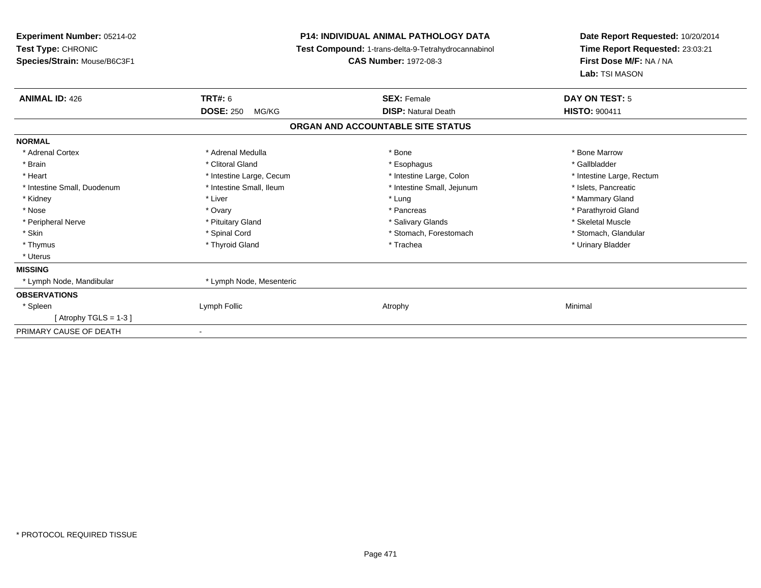| <b>Experiment Number: 05214-02</b> |                           | <b>P14: INDIVIDUAL ANIMAL PATHOLOGY DATA</b>        | Date Report Requested: 10/20/2014 |  |
|------------------------------------|---------------------------|-----------------------------------------------------|-----------------------------------|--|
| Test Type: CHRONIC                 |                           | Test Compound: 1-trans-delta-9-Tetrahydrocannabinol | Time Report Requested: 23:03:21   |  |
| Species/Strain: Mouse/B6C3F1       |                           | <b>CAS Number: 1972-08-3</b>                        | First Dose M/F: NA / NA           |  |
|                                    |                           |                                                     | Lab: TSI MASON                    |  |
| <b>ANIMAL ID: 426</b>              | TRT#: 6                   | <b>SEX: Female</b>                                  | DAY ON TEST: 5                    |  |
|                                    | <b>DOSE: 250</b><br>MG/KG | <b>DISP: Natural Death</b>                          | <b>HISTO: 900411</b>              |  |
|                                    |                           | ORGAN AND ACCOUNTABLE SITE STATUS                   |                                   |  |
| <b>NORMAL</b>                      |                           |                                                     |                                   |  |
| * Adrenal Cortex                   | * Adrenal Medulla         | * Bone                                              | * Bone Marrow                     |  |
| * Brain                            | * Clitoral Gland          | * Esophagus                                         | * Gallbladder                     |  |
| * Heart                            | * Intestine Large, Cecum  | * Intestine Large, Colon                            | * Intestine Large, Rectum         |  |
| * Intestine Small, Duodenum        | * Intestine Small, Ileum  | * Intestine Small, Jejunum                          | * Islets, Pancreatic              |  |
| * Kidney                           | * Liver                   | * Lung                                              | * Mammary Gland                   |  |
| * Nose                             | * Ovary                   | * Pancreas                                          | * Parathyroid Gland               |  |
| * Peripheral Nerve                 | * Pituitary Gland         | * Salivary Glands                                   | * Skeletal Muscle                 |  |
| * Skin                             | * Spinal Cord             | * Stomach, Forestomach                              | * Stomach, Glandular              |  |
| * Thymus                           | * Thyroid Gland           | * Trachea                                           | * Urinary Bladder                 |  |
| * Uterus                           |                           |                                                     |                                   |  |
| <b>MISSING</b>                     |                           |                                                     |                                   |  |
| * Lymph Node, Mandibular           | * Lymph Node, Mesenteric  |                                                     |                                   |  |
| <b>OBSERVATIONS</b>                |                           |                                                     |                                   |  |
| * Spleen                           | Lymph Follic              | Atrophy                                             | Minimal                           |  |
| [Atrophy TGLS = 1-3]               |                           |                                                     |                                   |  |
| PRIMARY CAUSE OF DEATH             |                           |                                                     |                                   |  |
|                                    |                           |                                                     |                                   |  |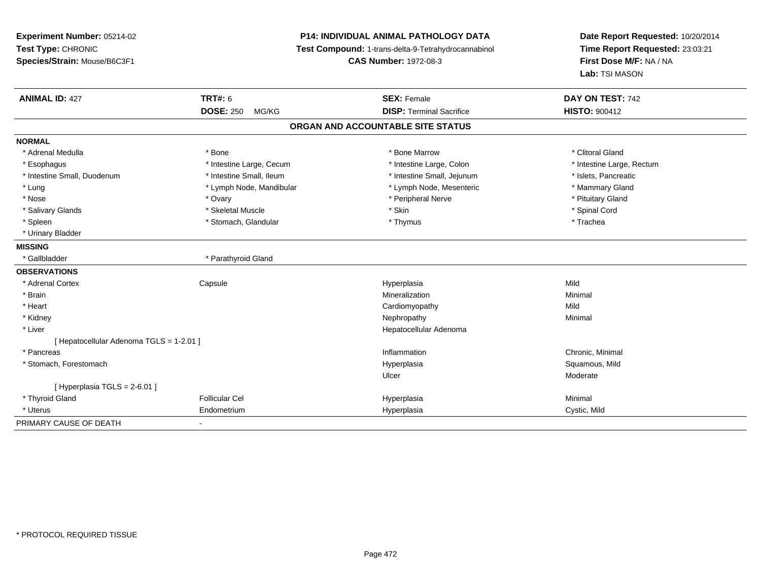| Experiment Number: 05214-02              |                           | <b>P14: INDIVIDUAL ANIMAL PATHOLOGY DATA</b>        |                                 |
|------------------------------------------|---------------------------|-----------------------------------------------------|---------------------------------|
| Test Type: CHRONIC                       |                           | Test Compound: 1-trans-delta-9-Tetrahydrocannabinol | Time Report Requested: 23:03:21 |
| Species/Strain: Mouse/B6C3F1             |                           | <b>CAS Number: 1972-08-3</b>                        | First Dose M/F: NA / NA         |
|                                          |                           |                                                     | Lab: TSI MASON                  |
| <b>ANIMAL ID: 427</b>                    | <b>TRT#: 6</b>            | <b>SEX: Female</b>                                  | DAY ON TEST: 742                |
|                                          | <b>DOSE: 250</b><br>MG/KG | <b>DISP: Terminal Sacrifice</b>                     | <b>HISTO: 900412</b>            |
|                                          |                           | ORGAN AND ACCOUNTABLE SITE STATUS                   |                                 |
| <b>NORMAL</b>                            |                           |                                                     |                                 |
| * Adrenal Medulla                        | * Bone                    | * Bone Marrow                                       | * Clitoral Gland                |
| * Esophagus                              | * Intestine Large, Cecum  | * Intestine Large, Colon                            | * Intestine Large, Rectum       |
| * Intestine Small, Duodenum              | * Intestine Small, Ileum  | * Intestine Small, Jejunum                          | * Islets, Pancreatic            |
| * Lung                                   | * Lymph Node, Mandibular  | * Lymph Node, Mesenteric                            | * Mammary Gland                 |
| * Nose                                   | * Ovary                   | * Peripheral Nerve                                  | * Pituitary Gland               |
| * Salivary Glands                        | * Skeletal Muscle         | * Skin                                              | * Spinal Cord                   |
| * Spleen                                 | * Stomach, Glandular      | * Thymus                                            | * Trachea                       |
| * Urinary Bladder                        |                           |                                                     |                                 |
| <b>MISSING</b>                           |                           |                                                     |                                 |
| * Gallbladder                            | * Parathyroid Gland       |                                                     |                                 |
| <b>OBSERVATIONS</b>                      |                           |                                                     |                                 |
| * Adrenal Cortex                         | Capsule                   | Hyperplasia                                         | Mild                            |
| * Brain                                  |                           | Mineralization                                      | Minimal                         |
| * Heart                                  |                           | Cardiomyopathy                                      | Mild                            |
| * Kidney                                 |                           | Nephropathy                                         | Minimal                         |
| * Liver                                  |                           | Hepatocellular Adenoma                              |                                 |
| [ Hepatocellular Adenoma TGLS = 1-2.01 ] |                           |                                                     |                                 |
| * Pancreas                               |                           | Inflammation                                        | Chronic, Minimal                |
| * Stomach, Forestomach                   |                           | Hyperplasia                                         | Squamous, Mild                  |
|                                          |                           | Ulcer                                               | Moderate                        |
| [ Hyperplasia TGLS = 2-6.01 ]            |                           |                                                     |                                 |
| * Thyroid Gland                          | <b>Follicular Cel</b>     | Hyperplasia                                         | Minimal                         |
| * Uterus                                 | Endometrium               | Hyperplasia                                         | Cystic, Mild                    |
| PRIMARY CAUSE OF DEATH                   | ٠                         |                                                     |                                 |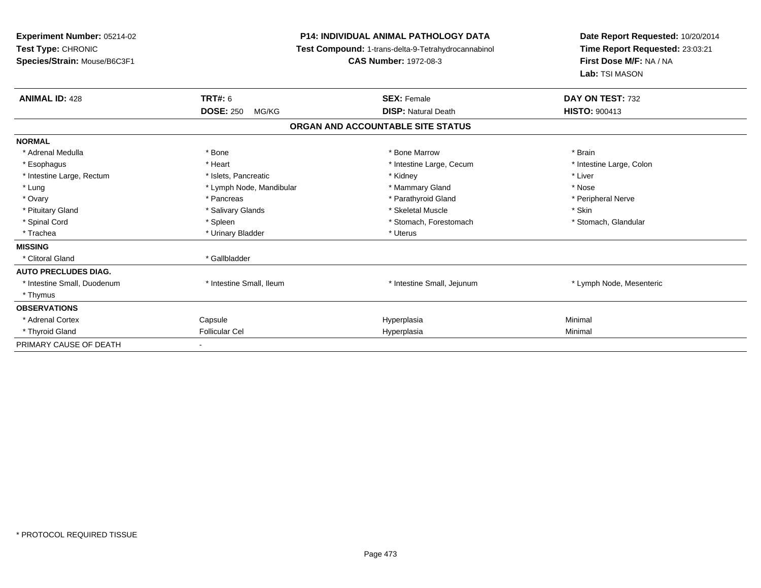| Experiment Number: 05214-02<br>Test Type: CHRONIC<br>Species/Strain: Mouse/B6C3F1 | <b>P14: INDIVIDUAL ANIMAL PATHOLOGY DATA</b><br>Test Compound: 1-trans-delta-9-Tetrahydrocannabinol<br><b>CAS Number: 1972-08-3</b> |                                   | Date Report Requested: 10/20/2014<br>Time Report Requested: 23:03:21<br>First Dose M/F: NA / NA<br>Lab: TSI MASON |
|-----------------------------------------------------------------------------------|-------------------------------------------------------------------------------------------------------------------------------------|-----------------------------------|-------------------------------------------------------------------------------------------------------------------|
| <b>ANIMAL ID: 428</b>                                                             | TRT#: 6                                                                                                                             | <b>SEX: Female</b>                | DAY ON TEST: 732                                                                                                  |
|                                                                                   | <b>DOSE: 250</b><br>MG/KG                                                                                                           | <b>DISP: Natural Death</b>        | <b>HISTO: 900413</b>                                                                                              |
|                                                                                   |                                                                                                                                     | ORGAN AND ACCOUNTABLE SITE STATUS |                                                                                                                   |
| <b>NORMAL</b>                                                                     |                                                                                                                                     |                                   |                                                                                                                   |
| * Adrenal Medulla                                                                 | * Bone                                                                                                                              | * Bone Marrow                     | * Brain                                                                                                           |
| * Esophagus                                                                       | * Heart                                                                                                                             | * Intestine Large, Cecum          | * Intestine Large, Colon                                                                                          |
| * Intestine Large, Rectum                                                         | * Islets, Pancreatic                                                                                                                | * Kidney                          | * Liver                                                                                                           |
| * Lung                                                                            | * Lymph Node, Mandibular                                                                                                            | * Mammary Gland                   | * Nose                                                                                                            |
| * Ovary                                                                           | * Pancreas                                                                                                                          | * Parathyroid Gland               | * Peripheral Nerve                                                                                                |
| * Pituitary Gland                                                                 | * Salivary Glands                                                                                                                   | * Skeletal Muscle                 | * Skin                                                                                                            |
| * Spinal Cord                                                                     | * Spleen                                                                                                                            | * Stomach, Forestomach            | * Stomach, Glandular                                                                                              |
| * Trachea                                                                         | * Urinary Bladder                                                                                                                   | * Uterus                          |                                                                                                                   |
| <b>MISSING</b>                                                                    |                                                                                                                                     |                                   |                                                                                                                   |
| * Clitoral Gland                                                                  | * Gallbladder                                                                                                                       |                                   |                                                                                                                   |
| <b>AUTO PRECLUDES DIAG.</b>                                                       |                                                                                                                                     |                                   |                                                                                                                   |
| * Intestine Small, Duodenum                                                       | * Intestine Small, Ileum                                                                                                            | * Intestine Small, Jejunum        | * Lymph Node, Mesenteric                                                                                          |
| * Thymus                                                                          |                                                                                                                                     |                                   |                                                                                                                   |
| <b>OBSERVATIONS</b>                                                               |                                                                                                                                     |                                   |                                                                                                                   |
| * Adrenal Cortex                                                                  | Capsule                                                                                                                             | Hyperplasia                       | Minimal                                                                                                           |
| * Thyroid Gland                                                                   | <b>Follicular Cel</b>                                                                                                               | Hyperplasia                       | Minimal                                                                                                           |
| PRIMARY CAUSE OF DEATH                                                            |                                                                                                                                     |                                   |                                                                                                                   |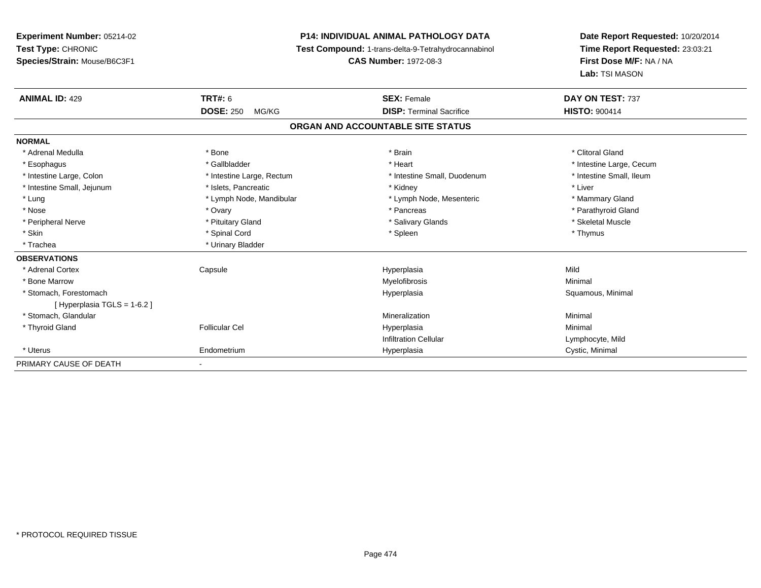**Experiment Number:** 05214-02**Test Type:** CHRONIC **Species/Strain:** Mouse/B6C3F1**P14: INDIVIDUAL ANIMAL PATHOLOGY DATA Test Compound:** 1-trans-delta-9-Tetrahydrocannabinol **CAS Number:** 1972-08-3**Date Report Requested:** 10/20/2014**Time Report Requested:** 23:03:21**First Dose M/F:** NA / NA**Lab:** TSI MASON**ANIMAL ID:** 429**TRT#:** 6 **SEX:** Female **SEX: Female DAY ON TEST:** 737 **DOSE:** 250 MG/KG**DISP:** Terminal Sacrifice **HISTO:** 900414 **ORGAN AND ACCOUNTABLE SITE STATUSNORMAL**\* Adrenal Medulla \* The state of the state of the state of the state of the state of the state of the state of the state of the state of the state of the state of the state of the state of the state of the state of the sta \* Esophagus \* https://www.fragustage.com/web/2019/heart \* Heart \* Heart \* Heart \* Intestine Large, Cecum \* Intestine Large, Cecum \* Sallbladder \* The state of the state of the state of the state of the state of the state o \* Intestine Small, Ileum \* Intestine Large, Colon \* Intestine Large, Rectum \* Intestine Small, Duodenum \* Intestine Small, Duodenum \* Intestine Small, Jejunum \* 1992 \* The state of the state of the state of the state of the state of the state of the state of the state of the state of the state of the state of the state of the state of the state of the \* Lung \* Lymph Node, Mandibular \* Mannipular \* Lymph Node, Mesenteric \* Mammary Gland \* Parathyroid Gland \* Nose \* Ovary \* Pancreas \* Parathyroid Gland \* Peripheral Nerve \* \* \* Aliundration of the term of the state of the term of the state of the state of the state of the state of the state of the state of the state of the state of the state of the state of the state of t \* Skin \* Stephen \* Spinal Cord \* \* Spinal Cord \* Spleen \* Thymus \* Spinal Society \* Thymus \* Thymus \* Thymus \* \* Trachea **\*** Urinary Bladder **OBSERVATIONS** \* Adrenal Cortex Capsule Hyperplasia Mild \* Bone Marroww which is a controller to the Myelofibrosis and the Minimal method of the Minimal method of the Minimal method of the Minimal method of the Minimal method of the Minimal method of the Minimal method of the Minimal method \* Stomach, Forestomachh anns an t-aiste anns an t-aiste anns an t-aiste anns an t-aiste anns an t-aiste anns an t-aiste anns an t-ais<br>Bhaile anns an t-aiste an t-aiste an t-aiste an t-aiste an t-aiste an t-aiste an t-aiste an t-aiste an t-aiste [ Hyperplasia TGLS = 1-6.2 ] \* Stomach, Glandular Mineralizationn Minimal \* Thyroid Gland Follicular Cel Hyperplasia Minimal Infiltration Cellular Lymphocyte, Mild \* Uterus Endometriumm Cystic, Minimal Cystic, Minimal PRIMARY CAUSE OF DEATH-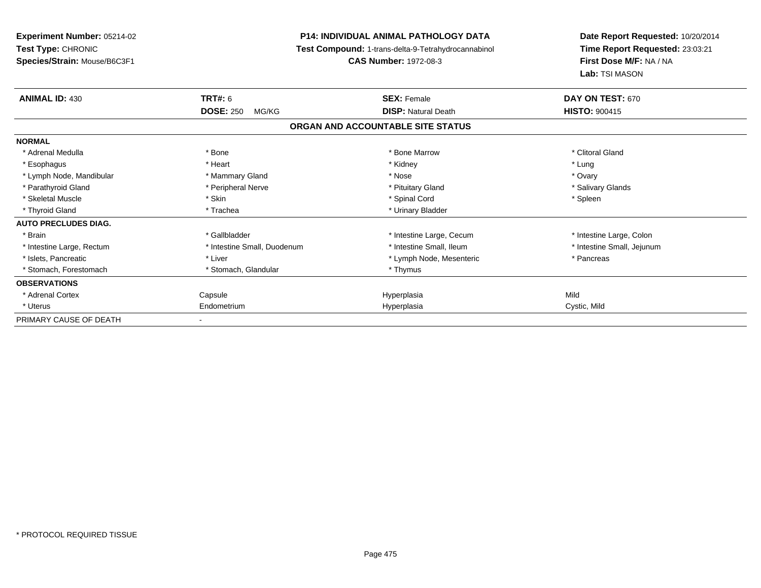**Experiment Number:** 05214-02**Test Type:** CHRONIC **Species/Strain:** Mouse/B6C3F1**P14: INDIVIDUAL ANIMAL PATHOLOGY DATA Test Compound:** 1-trans-delta-9-Tetrahydrocannabinol **CAS Number:** 1972-08-3**Date Report Requested:** 10/20/2014**Time Report Requested:** 23:03:21**First Dose M/F:** NA / NA**Lab:** TSI MASON**ANIMAL ID:** 430**TRT#:** 6 **SEX:** Female **SEX: Female DAY ON TEST:** 670 **DOSE:** 250 MG/KG**DISP:** Natural Death **HISTO:**  $900415$ **ORGAN AND ACCOUNTABLE SITE STATUSNORMAL**\* Adrenal Medulla \* The state of the state of the state of the state of the Marrow \* Bone Marrow \* Clitoral Gland \* Clitoral Gland \* Esophagus \* \* \* Heart \* \* Heart \* \* Kidney \* \* Kidney \* \* \* \* \* \* \* Lung \* Ovary \* Lymph Node, Mandibular \* Mannery Gland \* Mammary Gland \* Nose \* Nose \* Nose \* Salivary Glands \* Parathyroid Gland \* **All and \* Example \* Peripheral Nerve** \* The \* Salivary Gland \* Pituitary Gland \* Skeletal Muscle \* Skin \* Spinal Cord \* Spleen \* Thyroid Gland \* Trachea \* Trachea \* Trachea \* Urinary Bladder **AUTO PRECLUDES DIAG.**\* Brain \* The state of the state of the state of the state of the state of the state of the state of the state of the state of the state of the state of the state of the state of the state of the state of the state of the \* Intestine Small, Jejunum \* Intestine Large, Rectum \* Intestine Small, Duodenum \* 11testine Small, Ileum \* 11testine Small, Ileum \* Islets, Pancreatic \* The matrix of the Liver \* Liver \* Lymph Node, Mesenteric \* The matrix \* Pancreas \* Pancreas \* Stomach, Forestomach \* Thymus \* Stomach, Glandular \* Thymus \* Thymus **OBSERVATIONS** \* Adrenal Cortex Capsule Hyperplasia Mild \* Uterus Endometriumm **Example 2018** Hyperplasia Cystic, Mild PRIMARY CAUSE OF DEATH-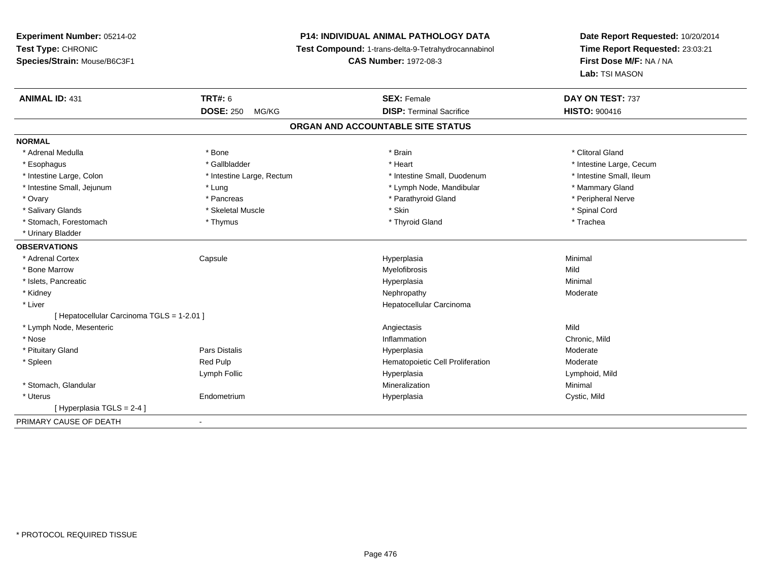# **P14: INDIVIDUAL ANIMAL PATHOLOGY DATA**

**Test Compound:** 1-trans-delta-9-Tetrahydrocannabinol

**CAS Number:** 1972-08-3

| <b>ANIMAL ID: 431</b>                      | TRT#: 6                   | <b>SEX: Female</b>               | DAY ON TEST: 737         |  |  |  |
|--------------------------------------------|---------------------------|----------------------------------|--------------------------|--|--|--|
|                                            | <b>DOSE: 250</b><br>MG/KG | <b>DISP: Terminal Sacrifice</b>  | <b>HISTO: 900416</b>     |  |  |  |
| ORGAN AND ACCOUNTABLE SITE STATUS          |                           |                                  |                          |  |  |  |
| <b>NORMAL</b>                              |                           |                                  |                          |  |  |  |
| * Adrenal Medulla                          | * Bone                    | * Brain                          | * Clitoral Gland         |  |  |  |
| * Esophagus                                | * Gallbladder             | * Heart                          | * Intestine Large, Cecum |  |  |  |
| * Intestine Large, Colon                   | * Intestine Large, Rectum | * Intestine Small, Duodenum      | * Intestine Small, Ileum |  |  |  |
| * Intestine Small, Jejunum                 | * Lung                    | * Lymph Node, Mandibular         | * Mammary Gland          |  |  |  |
| * Ovary                                    | * Pancreas                | * Parathyroid Gland              | * Peripheral Nerve       |  |  |  |
| * Salivary Glands                          | * Skeletal Muscle         | * Skin                           | * Spinal Cord            |  |  |  |
| * Stomach, Forestomach                     | * Thymus                  | * Thyroid Gland                  | * Trachea                |  |  |  |
| * Urinary Bladder                          |                           |                                  |                          |  |  |  |
| <b>OBSERVATIONS</b>                        |                           |                                  |                          |  |  |  |
| * Adrenal Cortex                           | Capsule                   | Hyperplasia                      | Minimal                  |  |  |  |
| * Bone Marrow                              |                           | Myelofibrosis                    | Mild                     |  |  |  |
| * Islets, Pancreatic                       |                           | Hyperplasia                      | Minimal                  |  |  |  |
| * Kidney                                   |                           | Nephropathy                      | Moderate                 |  |  |  |
| * Liver                                    |                           | Hepatocellular Carcinoma         |                          |  |  |  |
| [ Hepatocellular Carcinoma TGLS = 1-2.01 ] |                           |                                  |                          |  |  |  |
| * Lymph Node, Mesenteric                   |                           | Angiectasis                      | Mild                     |  |  |  |
| * Nose                                     |                           | Inflammation                     | Chronic, Mild            |  |  |  |
| * Pituitary Gland                          | <b>Pars Distalis</b>      | Hyperplasia                      | Moderate                 |  |  |  |
| * Spleen                                   | Red Pulp                  | Hematopoietic Cell Proliferation | Moderate                 |  |  |  |
|                                            | Lymph Follic              | Hyperplasia                      | Lymphoid, Mild           |  |  |  |
| * Stomach, Glandular                       |                           | Mineralization                   | Minimal                  |  |  |  |
| * Uterus                                   | Endometrium               | Hyperplasia                      | Cystic, Mild             |  |  |  |
| [Hyperplasia TGLS = 2-4]                   |                           |                                  |                          |  |  |  |
| PRIMARY CAUSE OF DEATH                     | $\blacksquare$            |                                  |                          |  |  |  |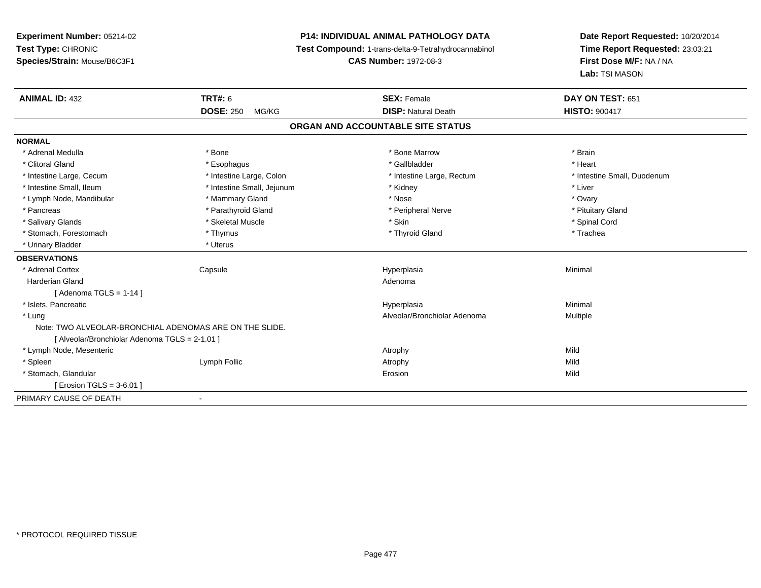## **P14: INDIVIDUAL ANIMAL PATHOLOGY DATA**

**Test Compound:** 1-trans-delta-9-Tetrahydrocannabinol

**CAS Number:** 1972-08-3

| <b>ANIMAL ID: 432</b>                                   | <b>TRT#: 6</b>             | <b>SEX: Female</b>                | DAY ON TEST: 651            |
|---------------------------------------------------------|----------------------------|-----------------------------------|-----------------------------|
|                                                         | <b>DOSE: 250</b><br>MG/KG  | <b>DISP: Natural Death</b>        | <b>HISTO: 900417</b>        |
|                                                         |                            | ORGAN AND ACCOUNTABLE SITE STATUS |                             |
| <b>NORMAL</b>                                           |                            |                                   |                             |
| * Adrenal Medulla                                       | * Bone                     | * Bone Marrow                     | * Brain                     |
| * Clitoral Gland                                        | * Esophagus                | * Gallbladder                     | * Heart                     |
| * Intestine Large, Cecum                                | * Intestine Large, Colon   | * Intestine Large, Rectum         | * Intestine Small, Duodenum |
| * Intestine Small, Ileum                                | * Intestine Small, Jejunum | * Kidney                          | * Liver                     |
| * Lymph Node, Mandibular                                | * Mammary Gland            | * Nose                            | * Ovary                     |
| * Pancreas                                              | * Parathyroid Gland        | * Peripheral Nerve                | * Pituitary Gland           |
| * Salivary Glands                                       | * Skeletal Muscle          | * Skin                            | * Spinal Cord               |
| * Stomach, Forestomach                                  | * Thymus                   | * Thyroid Gland                   | * Trachea                   |
| * Urinary Bladder                                       | * Uterus                   |                                   |                             |
| <b>OBSERVATIONS</b>                                     |                            |                                   |                             |
| * Adrenal Cortex                                        | Capsule                    | Hyperplasia                       | Minimal                     |
| <b>Harderian Gland</b>                                  |                            | Adenoma                           |                             |
| [Adenoma TGLS = $1-14$ ]                                |                            |                                   |                             |
| * Islets, Pancreatic                                    |                            | Hyperplasia                       | Minimal                     |
| * Lung                                                  |                            | Alveolar/Bronchiolar Adenoma      | Multiple                    |
| Note: TWO ALVEOLAR-BRONCHIAL ADENOMAS ARE ON THE SLIDE. |                            |                                   |                             |
| [ Alveolar/Bronchiolar Adenoma TGLS = 2-1.01 ]          |                            |                                   |                             |
| * Lymph Node, Mesenteric                                |                            | Atrophy                           | Mild                        |
| * Spleen                                                | Lymph Follic               | Atrophy                           | Mild                        |
| * Stomach, Glandular                                    |                            | Erosion                           | Mild                        |
| [ Erosion TGLS = 3-6.01 ]                               |                            |                                   |                             |
| PRIMARY CAUSE OF DEATH                                  |                            |                                   |                             |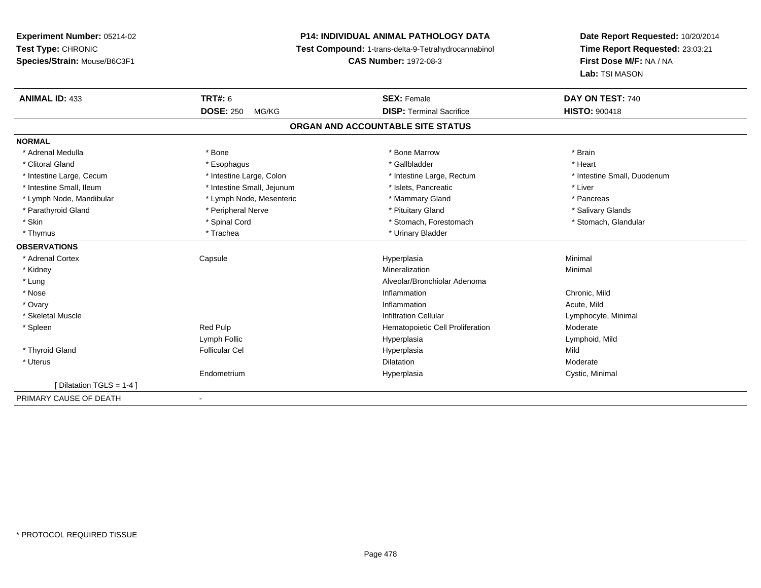## **P14: INDIVIDUAL ANIMAL PATHOLOGY DATA**

**Test Compound:** 1-trans-delta-9-Tetrahydrocannabinol

**CAS Number:** 1972-08-3

| <b>ANIMAL ID: 433</b>    | <b>TRT#: 6</b>             | <b>SEX: Female</b>                | DAY ON TEST: 740            |
|--------------------------|----------------------------|-----------------------------------|-----------------------------|
|                          | <b>DOSE: 250</b><br>MG/KG  | <b>DISP: Terminal Sacrifice</b>   | <b>HISTO: 900418</b>        |
|                          |                            | ORGAN AND ACCOUNTABLE SITE STATUS |                             |
| <b>NORMAL</b>            |                            |                                   |                             |
| * Adrenal Medulla        | * Bone                     | * Bone Marrow                     | * Brain                     |
| * Clitoral Gland         | * Esophagus                | * Gallbladder                     | * Heart                     |
| * Intestine Large, Cecum | * Intestine Large, Colon   | * Intestine Large, Rectum         | * Intestine Small, Duodenum |
| * Intestine Small, Ileum | * Intestine Small, Jejunum | * Islets. Pancreatic              | * Liver                     |
| * Lymph Node, Mandibular | * Lymph Node, Mesenteric   | * Mammary Gland                   | * Pancreas                  |
| * Parathyroid Gland      | * Peripheral Nerve         | * Pituitary Gland                 | * Salivary Glands           |
| * Skin                   | * Spinal Cord              | * Stomach, Forestomach            | * Stomach, Glandular        |
| * Thymus                 | * Trachea                  | * Urinary Bladder                 |                             |
| <b>OBSERVATIONS</b>      |                            |                                   |                             |
| * Adrenal Cortex         | Capsule                    | Hyperplasia                       | Minimal                     |
| * Kidney                 |                            | Mineralization                    | Minimal                     |
| * Lung                   |                            | Alveolar/Bronchiolar Adenoma      |                             |
| * Nose                   |                            | Inflammation                      | Chronic, Mild               |
| * Ovary                  |                            | Inflammation                      | Acute, Mild                 |
| * Skeletal Muscle        |                            | <b>Infiltration Cellular</b>      | Lymphocyte, Minimal         |
| * Spleen                 | <b>Red Pulp</b>            | Hematopoietic Cell Proliferation  | Moderate                    |
|                          | Lymph Follic               | Hyperplasia                       | Lymphoid, Mild              |
| * Thyroid Gland          | <b>Follicular Cel</b>      | Hyperplasia                       | Mild                        |
| * Uterus                 |                            | <b>Dilatation</b>                 | Moderate                    |
|                          | Endometrium                | Hyperplasia                       | Cystic, Minimal             |
| [Dilatation TGLS = 1-4 ] |                            |                                   |                             |
| PRIMARY CAUSE OF DEATH   | $\blacksquare$             |                                   |                             |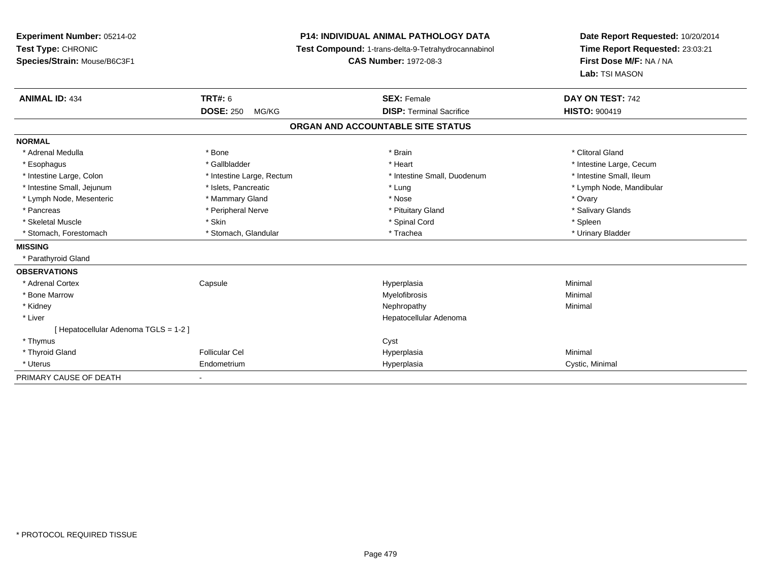| Experiment Number: 05214-02<br>Test Type: CHRONIC |                           | <b>P14: INDIVIDUAL ANIMAL PATHOLOGY DATA</b>        | Date Report Requested: 10/20/2014 |  |
|---------------------------------------------------|---------------------------|-----------------------------------------------------|-----------------------------------|--|
|                                                   |                           | Test Compound: 1-trans-delta-9-Tetrahydrocannabinol | Time Report Requested: 23:03:21   |  |
| Species/Strain: Mouse/B6C3F1                      |                           | <b>CAS Number: 1972-08-3</b>                        | First Dose M/F: NA / NA           |  |
|                                                   |                           |                                                     | Lab: TSI MASON                    |  |
| <b>ANIMAL ID: 434</b>                             | <b>TRT#: 6</b>            | <b>SEX: Female</b>                                  | DAY ON TEST: 742                  |  |
|                                                   | <b>DOSE: 250</b><br>MG/KG | <b>DISP: Terminal Sacrifice</b>                     | <b>HISTO: 900419</b>              |  |
|                                                   |                           | ORGAN AND ACCOUNTABLE SITE STATUS                   |                                   |  |
| <b>NORMAL</b>                                     |                           |                                                     |                                   |  |
| * Adrenal Medulla                                 | * Bone                    | * Brain                                             | * Clitoral Gland                  |  |
| * Esophagus                                       | * Gallbladder             | * Heart                                             | * Intestine Large, Cecum          |  |
| * Intestine Large, Colon                          | * Intestine Large, Rectum | * Intestine Small, Duodenum                         | * Intestine Small, Ileum          |  |
| * Intestine Small, Jejunum                        | * Islets, Pancreatic      | * Lung                                              | * Lymph Node, Mandibular          |  |
| * Lymph Node, Mesenteric                          | * Mammary Gland           | * Nose                                              | * Ovary                           |  |
| * Pancreas                                        | * Peripheral Nerve        | * Pituitary Gland                                   | * Salivary Glands                 |  |
| * Skeletal Muscle                                 | * Skin                    | * Spinal Cord                                       | * Spleen                          |  |
| * Stomach, Forestomach                            | * Stomach, Glandular      | * Trachea                                           | * Urinary Bladder                 |  |
| <b>MISSING</b>                                    |                           |                                                     |                                   |  |
| * Parathyroid Gland                               |                           |                                                     |                                   |  |
| <b>OBSERVATIONS</b>                               |                           |                                                     |                                   |  |
| * Adrenal Cortex                                  | Capsule                   | Hyperplasia                                         | Minimal                           |  |
| * Bone Marrow                                     |                           | Myelofibrosis                                       | Minimal                           |  |
| * Kidney                                          |                           | Nephropathy                                         | Minimal                           |  |
| * Liver                                           |                           | Hepatocellular Adenoma                              |                                   |  |
| [ Hepatocellular Adenoma TGLS = 1-2 ]             |                           |                                                     |                                   |  |
| * Thymus                                          |                           | Cyst                                                |                                   |  |
| * Thyroid Gland                                   | <b>Follicular Cel</b>     | Hyperplasia                                         | Minimal                           |  |
| * Uterus                                          | Endometrium               | Hyperplasia                                         | Cystic, Minimal                   |  |
| PRIMARY CAUSE OF DEATH                            |                           |                                                     |                                   |  |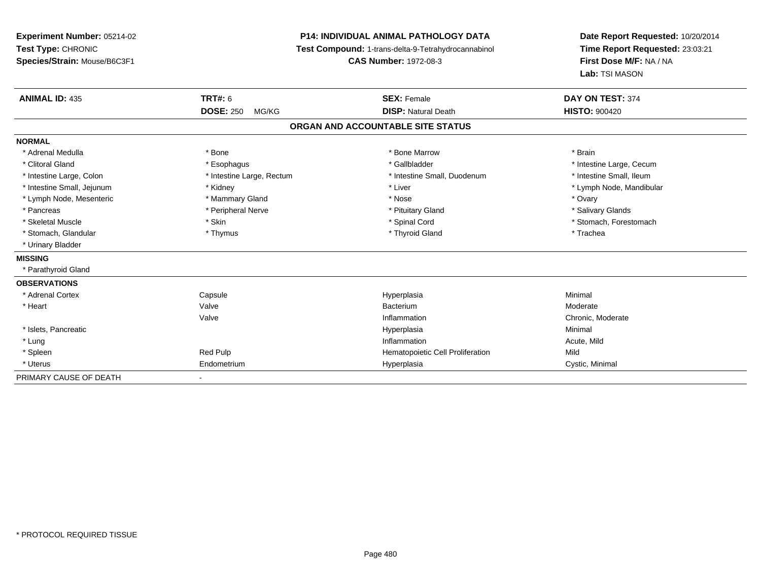## **P14: INDIVIDUAL ANIMAL PATHOLOGY DATA**

**Test Compound:** 1-trans-delta-9-Tetrahydrocannabinol

**CAS Number:** 1972-08-3

| <b>ANIMAL ID: 435</b>      | TRT#: 6                   | <b>SEX: Female</b>                | DAY ON TEST: 374         |  |
|----------------------------|---------------------------|-----------------------------------|--------------------------|--|
|                            | <b>DOSE: 250</b><br>MG/KG | <b>DISP: Natural Death</b>        | <b>HISTO: 900420</b>     |  |
|                            |                           | ORGAN AND ACCOUNTABLE SITE STATUS |                          |  |
| <b>NORMAL</b>              |                           |                                   |                          |  |
| * Adrenal Medulla          | * Bone                    | * Bone Marrow                     | * Brain                  |  |
| * Clitoral Gland           | * Esophagus               | * Gallbladder                     | * Intestine Large, Cecum |  |
| * Intestine Large, Colon   | * Intestine Large, Rectum | * Intestine Small, Duodenum       | * Intestine Small, Ileum |  |
| * Intestine Small, Jejunum | * Kidney                  | * Liver                           | * Lymph Node, Mandibular |  |
| * Lymph Node, Mesenteric   | * Mammary Gland           | * Nose                            | * Ovary                  |  |
| * Pancreas                 | * Peripheral Nerve        | * Pituitary Gland                 | * Salivary Glands        |  |
| * Skeletal Muscle          | * Skin                    | * Spinal Cord                     | * Stomach, Forestomach   |  |
| * Stomach, Glandular       | * Thymus                  | * Thyroid Gland                   | * Trachea                |  |
| * Urinary Bladder          |                           |                                   |                          |  |
| <b>MISSING</b>             |                           |                                   |                          |  |
| * Parathyroid Gland        |                           |                                   |                          |  |
| <b>OBSERVATIONS</b>        |                           |                                   |                          |  |
| * Adrenal Cortex           | Capsule                   | Hyperplasia                       | Minimal                  |  |
| * Heart                    | Valve                     | Bacterium                         | Moderate                 |  |
|                            | Valve                     | Inflammation                      | Chronic, Moderate        |  |
| * Islets, Pancreatic       |                           | Hyperplasia                       | Minimal                  |  |
| * Lung                     |                           | Inflammation                      | Acute, Mild              |  |
| * Spleen                   | Red Pulp                  | Hematopoietic Cell Proliferation  | Mild                     |  |
| * Uterus                   | Endometrium               | Hyperplasia                       | Cystic, Minimal          |  |
| PRIMARY CAUSE OF DEATH     |                           |                                   |                          |  |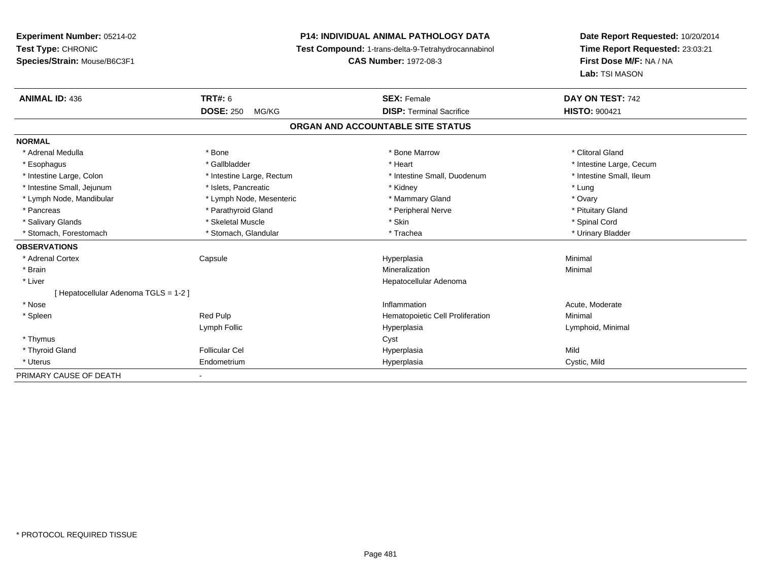# **P14: INDIVIDUAL ANIMAL PATHOLOGY DATA**

**Test Compound:** 1-trans-delta-9-Tetrahydrocannabinol

**CAS Number:** 1972-08-3

| <b>ANIMAL ID: 436</b>               | TRT#: 6                   | <b>SEX: Female</b>               | DAY ON TEST: 742         |  |  |  |
|-------------------------------------|---------------------------|----------------------------------|--------------------------|--|--|--|
|                                     | <b>DOSE: 250</b><br>MG/KG | <b>DISP: Terminal Sacrifice</b>  | <b>HISTO: 900421</b>     |  |  |  |
| ORGAN AND ACCOUNTABLE SITE STATUS   |                           |                                  |                          |  |  |  |
| <b>NORMAL</b>                       |                           |                                  |                          |  |  |  |
| * Adrenal Medulla                   | * Bone                    | * Bone Marrow                    | * Clitoral Gland         |  |  |  |
| * Esophagus                         | * Gallbladder             | * Heart                          | * Intestine Large, Cecum |  |  |  |
| * Intestine Large, Colon            | * Intestine Large, Rectum | * Intestine Small, Duodenum      | * Intestine Small, Ileum |  |  |  |
| * Intestine Small, Jejunum          | * Islets, Pancreatic      | * Kidney                         | * Lung                   |  |  |  |
| * Lymph Node, Mandibular            | * Lymph Node, Mesenteric  | * Mammary Gland                  | * Ovary                  |  |  |  |
| * Pancreas                          | * Parathyroid Gland       | * Peripheral Nerve               | * Pituitary Gland        |  |  |  |
| * Salivary Glands                   | * Skeletal Muscle         | * Skin                           | * Spinal Cord            |  |  |  |
| * Stomach, Forestomach              | * Stomach, Glandular      | * Trachea                        | * Urinary Bladder        |  |  |  |
| <b>OBSERVATIONS</b>                 |                           |                                  |                          |  |  |  |
| * Adrenal Cortex                    | Capsule                   | Hyperplasia                      | Minimal                  |  |  |  |
| * Brain                             |                           | Mineralization                   | Minimal                  |  |  |  |
| * Liver                             |                           | Hepatocellular Adenoma           |                          |  |  |  |
| Hepatocellular Adenoma TGLS = 1-2 ] |                           |                                  |                          |  |  |  |
| * Nose                              |                           | Inflammation                     | Acute, Moderate          |  |  |  |
| * Spleen                            | Red Pulp                  | Hematopoietic Cell Proliferation | Minimal                  |  |  |  |
|                                     | Lymph Follic              | Hyperplasia                      | Lymphoid, Minimal        |  |  |  |
| * Thymus                            |                           | Cyst                             |                          |  |  |  |
| * Thyroid Gland                     | <b>Follicular Cel</b>     | Hyperplasia                      | Mild                     |  |  |  |
| * Uterus                            | Endometrium               | Hyperplasia                      | Cystic, Mild             |  |  |  |
| PRIMARY CAUSE OF DEATH              |                           |                                  |                          |  |  |  |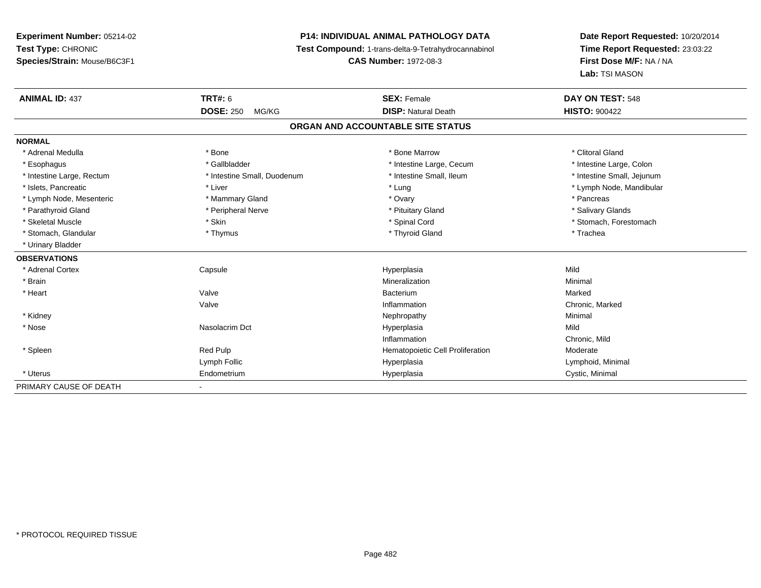## **P14: INDIVIDUAL ANIMAL PATHOLOGY DATA**

**Test Compound:** 1-trans-delta-9-Tetrahydrocannabinol

**CAS Number:** 1972-08-3

| <b>ANIMAL ID: 437</b>     | <b>TRT#: 6</b>              | <b>SEX: Female</b>                | DAY ON TEST: 548           |
|---------------------------|-----------------------------|-----------------------------------|----------------------------|
|                           | <b>DOSE: 250</b><br>MG/KG   | <b>DISP: Natural Death</b>        | <b>HISTO: 900422</b>       |
|                           |                             | ORGAN AND ACCOUNTABLE SITE STATUS |                            |
| <b>NORMAL</b>             |                             |                                   |                            |
| * Adrenal Medulla         | * Bone                      | * Bone Marrow                     | * Clitoral Gland           |
| * Esophagus               | * Gallbladder               | * Intestine Large, Cecum          | * Intestine Large, Colon   |
| * Intestine Large, Rectum | * Intestine Small, Duodenum | * Intestine Small, Ileum          | * Intestine Small, Jejunum |
| * Islets, Pancreatic      | * Liver                     | * Lung                            | * Lymph Node, Mandibular   |
| * Lymph Node, Mesenteric  | * Mammary Gland             | * Ovary                           | * Pancreas                 |
| * Parathyroid Gland       | * Peripheral Nerve          | * Pituitary Gland                 | * Salivary Glands          |
| * Skeletal Muscle         | * Skin                      | * Spinal Cord                     | * Stomach, Forestomach     |
| * Stomach, Glandular      | * Thymus                    | * Thyroid Gland                   | * Trachea                  |
| * Urinary Bladder         |                             |                                   |                            |
| <b>OBSERVATIONS</b>       |                             |                                   |                            |
| * Adrenal Cortex          | Capsule                     | Hyperplasia                       | Mild                       |
| * Brain                   |                             | Mineralization                    | Minimal                    |
| * Heart                   | Valve                       | Bacterium                         | Marked                     |
|                           | Valve                       | Inflammation                      | Chronic, Marked            |
| * Kidney                  |                             | Nephropathy                       | Minimal                    |
| * Nose                    | Nasolacrim Dct              | Hyperplasia                       | Mild                       |
|                           |                             | Inflammation                      | Chronic, Mild              |
| * Spleen                  | Red Pulp                    | Hematopoietic Cell Proliferation  | Moderate                   |
|                           | Lymph Follic                | Hyperplasia                       | Lymphoid, Minimal          |
| * Uterus                  | Endometrium                 | Hyperplasia                       | Cystic, Minimal            |
| PRIMARY CAUSE OF DEATH    |                             |                                   |                            |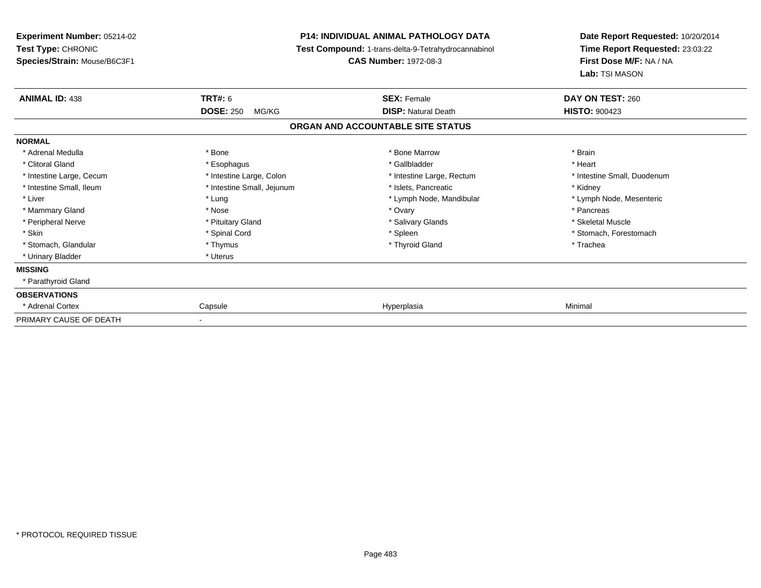| <b>Experiment Number: 05214-02</b>                 |                            | <b>P14: INDIVIDUAL ANIMAL PATHOLOGY DATA</b>                                        | Date Report Requested: 10/20/2014                                            |  |
|----------------------------------------------------|----------------------------|-------------------------------------------------------------------------------------|------------------------------------------------------------------------------|--|
| Test Type: CHRONIC<br>Species/Strain: Mouse/B6C3F1 |                            | Test Compound: 1-trans-delta-9-Tetrahydrocannabinol<br><b>CAS Number: 1972-08-3</b> | Time Report Requested: 23:03:22<br>First Dose M/F: NA / NA<br>Lab: TSI MASON |  |
| <b>ANIMAL ID: 438</b>                              | <b>TRT#: 6</b>             | <b>SEX: Female</b>                                                                  | DAY ON TEST: 260                                                             |  |
|                                                    | <b>DOSE: 250</b><br>MG/KG  | <b>DISP: Natural Death</b>                                                          | <b>HISTO: 900423</b>                                                         |  |
|                                                    |                            | ORGAN AND ACCOUNTABLE SITE STATUS                                                   |                                                                              |  |
| <b>NORMAL</b>                                      |                            |                                                                                     |                                                                              |  |
| * Adrenal Medulla                                  | * Bone                     | * Bone Marrow                                                                       | * Brain                                                                      |  |
| * Clitoral Gland                                   | * Esophagus                | * Gallbladder                                                                       | * Heart                                                                      |  |
| * Intestine Large, Cecum                           | * Intestine Large, Colon   | * Intestine Large, Rectum                                                           | * Intestine Small, Duodenum                                                  |  |
| * Intestine Small, Ileum                           | * Intestine Small, Jejunum | * Islets, Pancreatic                                                                | * Kidney                                                                     |  |
| * Liver                                            | * Lung                     | * Lymph Node, Mandibular                                                            | * Lymph Node, Mesenteric                                                     |  |
| * Mammary Gland                                    | * Nose                     | * Ovary                                                                             | * Pancreas                                                                   |  |
| * Peripheral Nerve                                 | * Pituitary Gland          | * Salivary Glands                                                                   | * Skeletal Muscle                                                            |  |
| * Skin                                             | * Spinal Cord              | * Spleen                                                                            | * Stomach, Forestomach                                                       |  |
| * Stomach, Glandular                               | * Thymus                   | * Thyroid Gland                                                                     | * Trachea                                                                    |  |
| * Urinary Bladder                                  | * Uterus                   |                                                                                     |                                                                              |  |
| <b>MISSING</b>                                     |                            |                                                                                     |                                                                              |  |
| * Parathyroid Gland                                |                            |                                                                                     |                                                                              |  |
| <b>OBSERVATIONS</b>                                |                            |                                                                                     |                                                                              |  |
| * Adrenal Cortex                                   | Capsule                    | Hyperplasia                                                                         | Minimal                                                                      |  |
| PRIMARY CAUSE OF DEATH                             |                            |                                                                                     |                                                                              |  |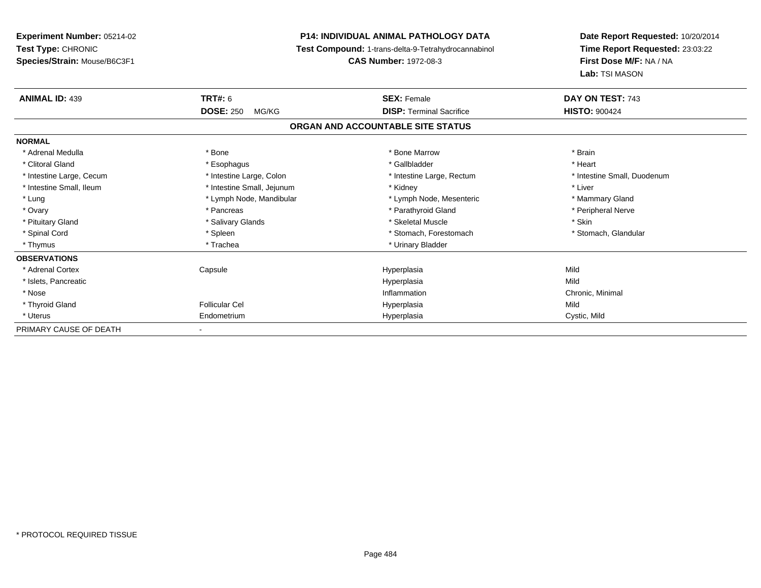| <b>Experiment Number: 05214-02</b> | <b>P14: INDIVIDUAL ANIMAL PATHOLOGY DATA</b><br>Test Compound: 1-trans-delta-9-Tetrahydrocannabinol |                                   | Date Report Requested: 10/20/2014 |  |
|------------------------------------|-----------------------------------------------------------------------------------------------------|-----------------------------------|-----------------------------------|--|
| Test Type: CHRONIC                 |                                                                                                     |                                   | Time Report Requested: 23:03:22   |  |
| Species/Strain: Mouse/B6C3F1       |                                                                                                     | <b>CAS Number: 1972-08-3</b>      | First Dose M/F: NA / NA           |  |
|                                    |                                                                                                     |                                   | Lab: TSI MASON                    |  |
| <b>ANIMAL ID: 439</b>              | <b>TRT#: 6</b>                                                                                      | <b>SEX: Female</b>                | DAY ON TEST: 743                  |  |
|                                    | <b>DOSE: 250</b><br>MG/KG                                                                           | <b>DISP: Terminal Sacrifice</b>   | <b>HISTO: 900424</b>              |  |
|                                    |                                                                                                     | ORGAN AND ACCOUNTABLE SITE STATUS |                                   |  |
| <b>NORMAL</b>                      |                                                                                                     |                                   |                                   |  |
| * Adrenal Medulla                  | * Bone                                                                                              | * Bone Marrow                     | * Brain                           |  |
| * Clitoral Gland                   | * Esophagus                                                                                         | * Gallbladder                     | * Heart                           |  |
| * Intestine Large, Cecum           | * Intestine Large, Colon                                                                            | * Intestine Large, Rectum         | * Intestine Small, Duodenum       |  |
| * Intestine Small, Ileum           | * Intestine Small, Jejunum                                                                          | * Kidney                          | * Liver                           |  |
| * Lung                             | * Lymph Node, Mandibular                                                                            | * Lymph Node, Mesenteric          | * Mammary Gland                   |  |
| * Ovary                            | * Pancreas                                                                                          | * Parathyroid Gland               | * Peripheral Nerve                |  |
| * Pituitary Gland                  | * Salivary Glands                                                                                   | * Skeletal Muscle                 | * Skin                            |  |
| * Spinal Cord                      | * Spleen                                                                                            | * Stomach, Forestomach            | * Stomach, Glandular              |  |
| * Thymus                           | * Trachea                                                                                           | * Urinary Bladder                 |                                   |  |
| <b>OBSERVATIONS</b>                |                                                                                                     |                                   |                                   |  |
| * Adrenal Cortex                   | Capsule                                                                                             | Hyperplasia                       | Mild                              |  |
| * Islets, Pancreatic               |                                                                                                     | Hyperplasia                       | Mild                              |  |
| * Nose                             |                                                                                                     | Inflammation                      | Chronic, Minimal                  |  |
| * Thyroid Gland                    | <b>Follicular Cel</b>                                                                               | Hyperplasia                       | Mild                              |  |
| * Uterus                           | Endometrium                                                                                         | Hyperplasia                       | Cystic, Mild                      |  |
| PRIMARY CAUSE OF DEATH             |                                                                                                     |                                   |                                   |  |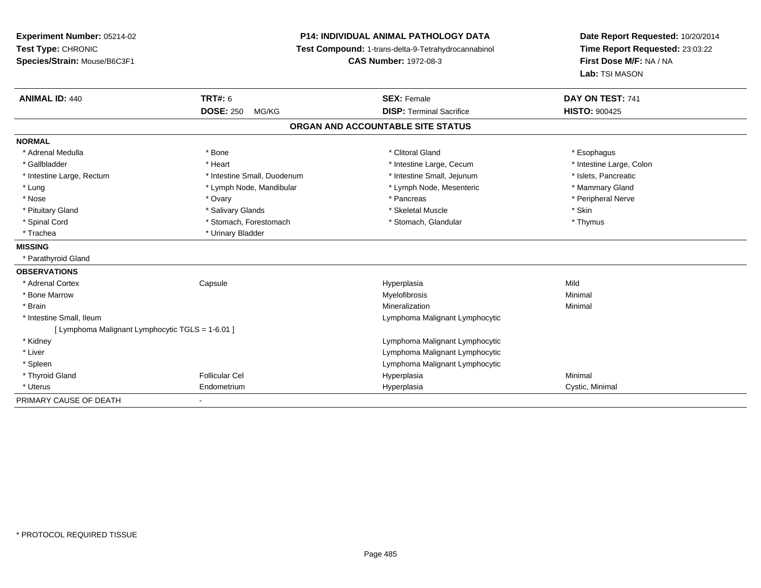**Experiment Number:** 05214-02**Test Type:** CHRONIC **Species/Strain:** Mouse/B6C3F1**P14: INDIVIDUAL ANIMAL PATHOLOGY DATA Test Compound:** 1-trans-delta-9-Tetrahydrocannabinol **CAS Number:** 1972-08-3**Date Report Requested:** 10/20/2014**Time Report Requested:** 23:03:22**First Dose M/F:** NA / NA**Lab:** TSI MASON**ANIMAL ID:** 440**C TRT#:** 6 **SEX:** Female **SEX: Female DAY ON TEST:** 741 **DOSE:** 250 MG/KG**DISP:** Terminal Sacrifice **HISTO:**  $900425$ **ORGAN AND ACCOUNTABLE SITE STATUSNORMAL**\* Adrenal Medulla \* Adrenal Medulla \* Bone \* Clitoral Gland \* Esophagus\* Intestine Large, Colon \* Gallbladder \* The mode of the term \* Heart \* Heart \* Intestine Large, Cecum \* Intestine Large, Cecum \* \* Intestine Large, Rectum \* Intestine Small, Duodenum \* Intestine Small, Jejunum \* Islets, Pancreatic\* Mammary Gland \* Lung \* Lymph Node, Mandibular \* Mammary \* Lymph Node, Mesenteric \* Mammary Glands \* Mammary Glands \* Mammary G \* Peripheral Nerve \* Nose \* Ovary \* Pancreas \* Peripheral Nerve\* Pituitary Gland \* \* \* \* Salivary Glands \* \* \* Salivary Glands \* \* \$keletal Muscle \* \* \* \* \* \$kin \* \* \$kin \* \* Thymus \* Spinal Cord \* Stomach, Forestomach \* Stomach \* Stomach, Glandular \* Stomach, Glandular \* Trachea \* Urinary Bladder**MISSING** \* Parathyroid Gland**OBSERVATIONS** \* Adrenal Cortex**Capsule**  Hyperplasia Mild \* Bone Marroww which is a controller to the Myelofibrosis and the Minimal method of the Minimal method of the Minimal method of the Minimal method of the Minimal method of the Minimal method of the Minimal method of the Minimal method \* Brainn and the controller of the controller of the controller of the Mineralization and the controller of the Minimal \* Intestine Small, Ileum Lymphoma Malignant Lymphocytic [ Lymphoma Malignant Lymphocytic TGLS = 1-6.01 ] \* Kidney Lymphoma Malignant Lymphocytic \* Liver Lymphoma Malignant Lymphocytic Lymphoma Malignant Lymphocytic \* Spleen \* Thyroid Gland Follicular Cel Hyperplasia Minimal \* Uterus Endometriumm Cystic, Minimal Cystic, Minimal PRIMARY CAUSE OF DEATH-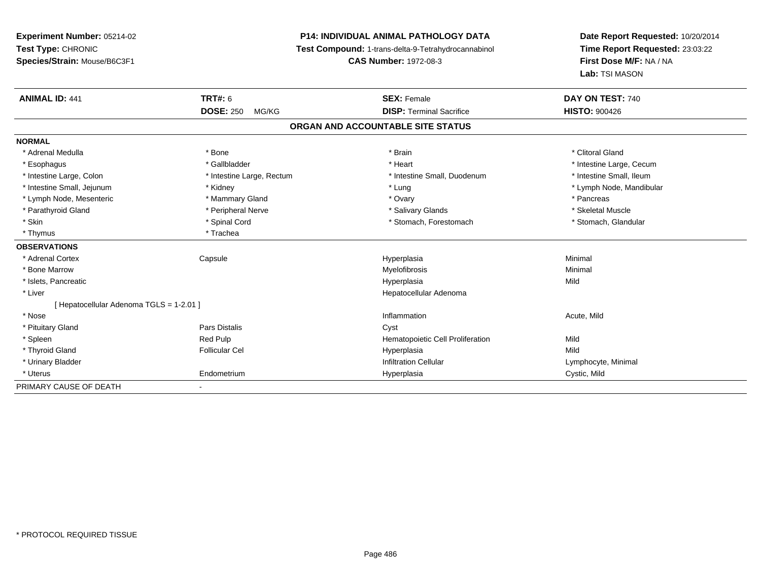## **P14: INDIVIDUAL ANIMAL PATHOLOGY DATA**

**Test Compound:** 1-trans-delta-9-Tetrahydrocannabinol

**CAS Number:** 1972-08-3

| <b>ANIMAL ID: 441</b>                    | TRT#: 6                   | <b>SEX: Female</b>                | DAY ON TEST: 740         |
|------------------------------------------|---------------------------|-----------------------------------|--------------------------|
|                                          | <b>DOSE: 250</b><br>MG/KG | <b>DISP: Terminal Sacrifice</b>   | <b>HISTO: 900426</b>     |
|                                          |                           | ORGAN AND ACCOUNTABLE SITE STATUS |                          |
| <b>NORMAL</b>                            |                           |                                   |                          |
| * Adrenal Medulla                        | * Bone                    | * Brain                           | * Clitoral Gland         |
| * Esophagus                              | * Gallbladder             | * Heart                           | * Intestine Large, Cecum |
| * Intestine Large, Colon                 | * Intestine Large, Rectum | * Intestine Small, Duodenum       | * Intestine Small, Ileum |
| * Intestine Small, Jejunum               | * Kidney                  | * Lung                            | * Lymph Node, Mandibular |
| * Lymph Node, Mesenteric                 | * Mammary Gland           | * Ovary                           | * Pancreas               |
| * Parathyroid Gland                      | * Peripheral Nerve        | * Salivary Glands                 | * Skeletal Muscle        |
| * Skin                                   | * Spinal Cord             | * Stomach, Forestomach            | * Stomach, Glandular     |
| * Thymus                                 | * Trachea                 |                                   |                          |
| <b>OBSERVATIONS</b>                      |                           |                                   |                          |
| * Adrenal Cortex                         | Capsule                   | Hyperplasia                       | Minimal                  |
| * Bone Marrow                            |                           | Myelofibrosis                     | Minimal                  |
| * Islets, Pancreatic                     |                           | Hyperplasia                       | Mild                     |
| * Liver                                  |                           | Hepatocellular Adenoma            |                          |
| [ Hepatocellular Adenoma TGLS = 1-2.01 ] |                           |                                   |                          |
| * Nose                                   |                           | Inflammation                      | Acute, Mild              |
| * Pituitary Gland                        | <b>Pars Distalis</b>      | Cyst                              |                          |
| * Spleen                                 | <b>Red Pulp</b>           | Hematopoietic Cell Proliferation  | Mild                     |
| * Thyroid Gland                          | <b>Follicular Cel</b>     | Hyperplasia                       | Mild                     |
| * Urinary Bladder                        |                           | <b>Infiltration Cellular</b>      | Lymphocyte, Minimal      |
| * Uterus                                 | Endometrium               | Hyperplasia                       | Cystic, Mild             |
| PRIMARY CAUSE OF DEATH                   |                           |                                   |                          |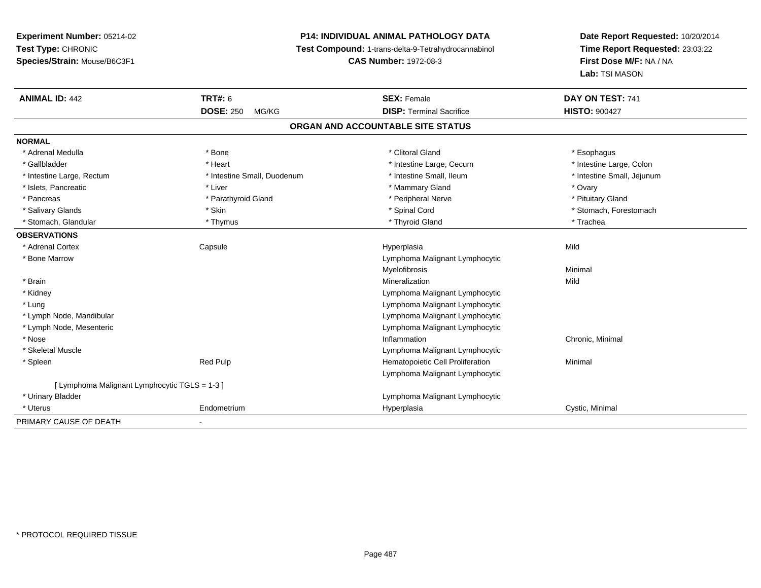## **P14: INDIVIDUAL ANIMAL PATHOLOGY DATA**

**Test Compound:** 1-trans-delta-9-Tetrahydrocannabinol

**CAS Number:** 1972-08-3

| <b>ANIMAL ID: 442</b>                         | <b>TRT#: 6</b>              | <b>SEX: Female</b>                | DAY ON TEST: 741           |
|-----------------------------------------------|-----------------------------|-----------------------------------|----------------------------|
|                                               | <b>DOSE: 250</b><br>MG/KG   | <b>DISP: Terminal Sacrifice</b>   | <b>HISTO: 900427</b>       |
|                                               |                             | ORGAN AND ACCOUNTABLE SITE STATUS |                            |
| <b>NORMAL</b>                                 |                             |                                   |                            |
| * Adrenal Medulla                             | * Bone                      | * Clitoral Gland                  | * Esophagus                |
| * Gallbladder                                 | * Heart                     | * Intestine Large, Cecum          | * Intestine Large, Colon   |
| * Intestine Large, Rectum                     | * Intestine Small, Duodenum | * Intestine Small, Ileum          | * Intestine Small, Jejunum |
| * Islets, Pancreatic                          | * Liver                     | * Mammary Gland                   | * Ovary                    |
| * Pancreas                                    | * Parathyroid Gland         | * Peripheral Nerve                | * Pituitary Gland          |
| * Salivary Glands                             | * Skin                      | * Spinal Cord                     | * Stomach, Forestomach     |
| * Stomach, Glandular                          | * Thymus                    | * Thyroid Gland                   | * Trachea                  |
| <b>OBSERVATIONS</b>                           |                             |                                   |                            |
| * Adrenal Cortex                              | Capsule                     | Hyperplasia                       | Mild                       |
| * Bone Marrow                                 |                             | Lymphoma Malignant Lymphocytic    |                            |
|                                               |                             | Myelofibrosis                     | Minimal                    |
| * Brain                                       |                             | Mineralization                    | Mild                       |
| * Kidney                                      |                             | Lymphoma Malignant Lymphocytic    |                            |
| * Lung                                        |                             | Lymphoma Malignant Lymphocytic    |                            |
| * Lymph Node, Mandibular                      |                             | Lymphoma Malignant Lymphocytic    |                            |
| * Lymph Node, Mesenteric                      |                             | Lymphoma Malignant Lymphocytic    |                            |
| * Nose                                        |                             | Inflammation                      | Chronic, Minimal           |
| * Skeletal Muscle                             |                             | Lymphoma Malignant Lymphocytic    |                            |
| * Spleen                                      | Red Pulp                    | Hematopoietic Cell Proliferation  | Minimal                    |
|                                               |                             | Lymphoma Malignant Lymphocytic    |                            |
| [ Lymphoma Malignant Lymphocytic TGLS = 1-3 ] |                             |                                   |                            |
| * Urinary Bladder                             |                             | Lymphoma Malignant Lymphocytic    |                            |
| * Uterus                                      | Endometrium                 | Hyperplasia                       | Cystic, Minimal            |
| PRIMARY CAUSE OF DEATH                        |                             |                                   |                            |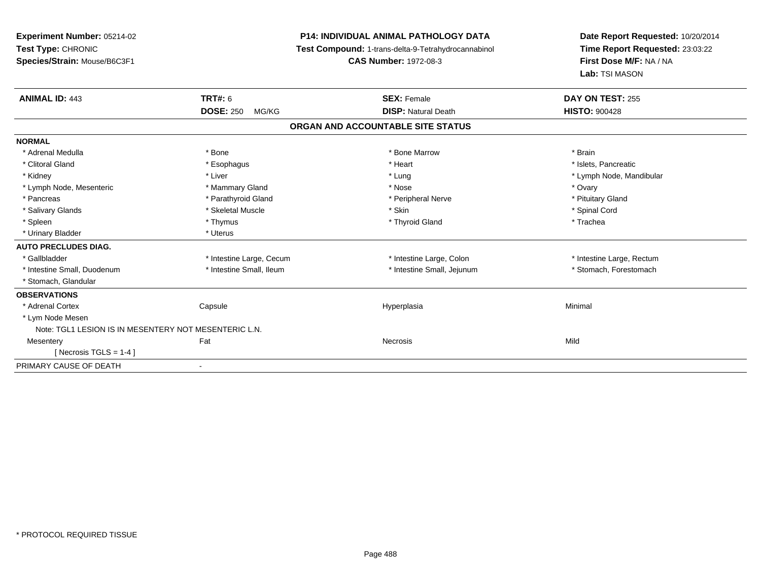| <b>Experiment Number: 05214-02</b><br>Test Type: CHRONIC |                           | <b>P14: INDIVIDUAL ANIMAL PATHOLOGY DATA</b>        | Date Report Requested: 10/20/2014 |  |
|----------------------------------------------------------|---------------------------|-----------------------------------------------------|-----------------------------------|--|
|                                                          |                           | Test Compound: 1-trans-delta-9-Tetrahydrocannabinol | Time Report Requested: 23:03:22   |  |
| Species/Strain: Mouse/B6C3F1                             |                           | <b>CAS Number: 1972-08-3</b>                        | First Dose M/F: NA / NA           |  |
|                                                          |                           |                                                     | Lab: TSI MASON                    |  |
| <b>ANIMAL ID: 443</b>                                    | TRT#: 6                   | <b>SEX: Female</b>                                  | DAY ON TEST: 255                  |  |
|                                                          | <b>DOSE: 250</b><br>MG/KG | <b>DISP: Natural Death</b>                          | <b>HISTO: 900428</b>              |  |
|                                                          |                           | ORGAN AND ACCOUNTABLE SITE STATUS                   |                                   |  |
| <b>NORMAL</b>                                            |                           |                                                     |                                   |  |
| * Adrenal Medulla                                        | * Bone                    | * Bone Marrow                                       | * Brain                           |  |
| * Clitoral Gland                                         | * Esophagus               | * Heart                                             | * Islets, Pancreatic              |  |
| * Kidney                                                 | * Liver                   | * Lung                                              | * Lymph Node, Mandibular          |  |
| * Lymph Node, Mesenteric                                 | * Mammary Gland           | * Nose                                              | * Ovary                           |  |
| * Pancreas                                               | * Parathyroid Gland       | * Peripheral Nerve                                  | * Pituitary Gland                 |  |
| * Salivary Glands                                        | * Skeletal Muscle         | * Skin                                              | * Spinal Cord                     |  |
| * Spleen                                                 | * Thymus                  | * Thyroid Gland                                     | * Trachea                         |  |
| * Urinary Bladder                                        | * Uterus                  |                                                     |                                   |  |
| <b>AUTO PRECLUDES DIAG.</b>                              |                           |                                                     |                                   |  |
| * Gallbladder                                            | * Intestine Large, Cecum  | * Intestine Large, Colon                            | * Intestine Large, Rectum         |  |
| * Intestine Small, Duodenum                              | * Intestine Small, Ileum  | * Intestine Small, Jejunum                          | * Stomach, Forestomach            |  |
| * Stomach, Glandular                                     |                           |                                                     |                                   |  |
| <b>OBSERVATIONS</b>                                      |                           |                                                     |                                   |  |
| * Adrenal Cortex                                         | Capsule                   | Hyperplasia                                         | Minimal                           |  |
| * Lym Node Mesen                                         |                           |                                                     |                                   |  |
| Note: TGL1 LESION IS IN MESENTERY NOT MESENTERIC L.N.    |                           |                                                     |                                   |  |
| Mesentery                                                | Fat                       | Necrosis                                            | Mild                              |  |
| [ Necrosis TGLS = $1-4$ ]                                |                           |                                                     |                                   |  |
| PRIMARY CAUSE OF DEATH                                   | $\overline{\phantom{a}}$  |                                                     |                                   |  |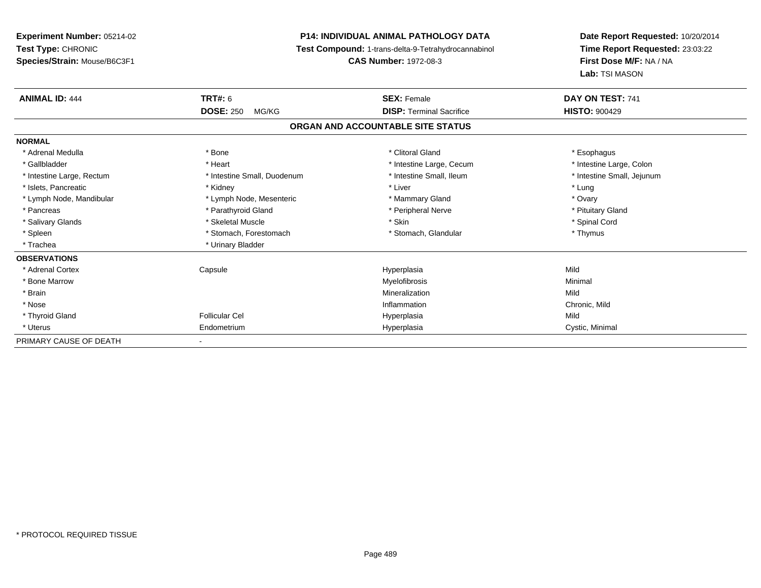**Experiment Number:** 05214-02**Test Type:** CHRONIC **Species/Strain:** Mouse/B6C3F1**P14: INDIVIDUAL ANIMAL PATHOLOGY DATA Test Compound:** 1-trans-delta-9-Tetrahydrocannabinol **CAS Number:** 1972-08-3**Date Report Requested:** 10/20/2014**Time Report Requested:** 23:03:22**First Dose M/F:** NA / NA**Lab:** TSI MASON**ANIMAL ID:** 444 **TRT#:** <sup>6</sup> **SEX:** Female **DAY ON TEST:** <sup>741</sup> **DOSE:** 250 MG/KG**DISP:** Terminal Sacrifice **HISTO:**  $900429$ **ORGAN AND ACCOUNTABLE SITE STATUSNORMAL**\* Adrenal Medulla \* Adrenal Medulla \* Bone \* Clitoral Gland \* Esophagus\* Intestine Large, Colon \* Gallbladder \* The mode of the state of the state of the state of the state of the state of the state of the state of the state of the state of the state of the state of the state of the state of the state of the state of \* Intestine Small, Jejunum \* Intestine Large, Rectum \* Intestine Small, Duodenum \* Intestine Small, Ileum \* Intestine Small, Ileum \* Islets, Pancreatic \* The method of the "Kidney" \* Kidney \* The "Allen " New York 1991 was a street of the "The " New York 1991 was a street of the " Lung" was the " Lung" was the " Lung" was the " Lung" was the " Lung" w \* Ovary \* Lymph Node, Mandibular \* Lymph Node, Mesenteric \* Mammary Gland \* Mammary Gland \* Pituitary Gland \* Pancreas \* Pancreas \* Parathyroid Gland \* Pancreas \* Peripheral Nerve \* Salivary Glands \* \* Steeden \* \* Skeletal Muscle \* \* Skin \* \* Skin \* \* Steeden \* Spinal Cord \* Spinal Cord \* Spinal Cord \* Spinal Cord \* Spinal Cord \* Spinal Cord \* Spinal Cord \* Spinal Cord \* Spinal Cord \* Spinal Cord \* \* Spleen \* Stomach, Forestomach \* Stomach \* Stomach, Glandular \* Stomach, Glandular \* Thymus \* Trachea \* Urinary Bladder**OBSERVATIONS** \* Adrenal Cortex Capsule Hyperplasia Mild \* Bone Marroww which is a controller to the Myelofibrosis and the Minimal method of the Minimal method of the Minimal method of the Minimal method of the Minimal method of the Minimal method of the Minimal method of the Minimal method \* Brainn and the control of the control of the control of the Mineralization and the control of the Mild of the Mild o \* Nosee contraction control of the control of the control of the control of the control of the chronic, Mild and Chronic, Mild and Chronic, Mild and Chronic, Mild and Chronic, Mild and Chronic, Mild and Chronic, Mild and Chronic \* Thyroid Gland Follicular Cel Hyperplasia Mild \* Uterus Endometriumm Cystic, Minimal Cystic, Minimal PRIMARY CAUSE OF DEATH-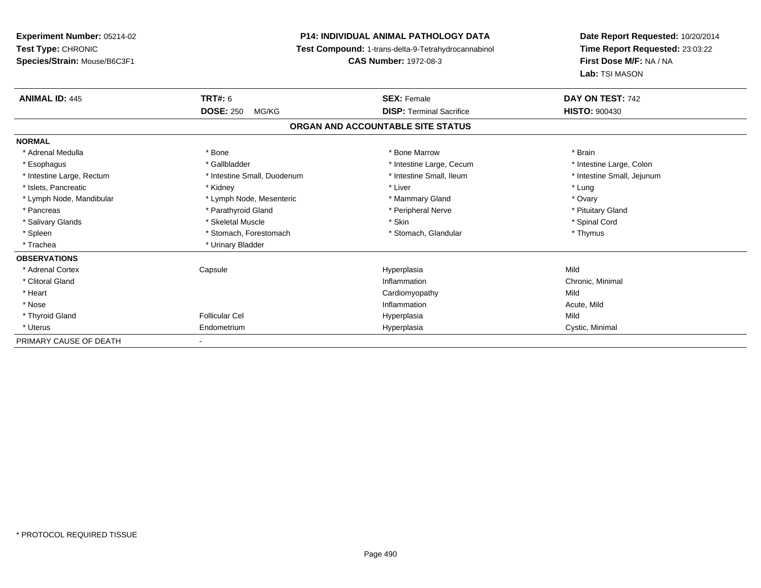**Experiment Number:** 05214-02**Test Type:** CHRONIC **Species/Strain:** Mouse/B6C3F1**P14: INDIVIDUAL ANIMAL PATHOLOGY DATA Test Compound:** 1-trans-delta-9-Tetrahydrocannabinol **CAS Number:** 1972-08-3**Date Report Requested:** 10/20/2014**Time Report Requested:** 23:03:22**First Dose M/F:** NA / NA**Lab:** TSI MASON**ANIMAL ID:** 445 **TRT#:** <sup>6</sup> **SEX:** Female **DAY ON TEST:** <sup>742</sup> **DOSE:** 250 MG/KG **DISP:** Terminal Sacrifice **HISTO:** <sup>900430</sup> **ORGAN AND ACCOUNTABLE SITE STATUSNORMAL**\* Adrenal Medulla \* \* Annual Medulla \* Brain \* Bone \* \* Bone Marrow \* Bone Marrow \* \* Brain \* Brain \* Brain \* Brain \* Brain \* Brain \* Brain \* Brain \* Brain \* Brain \* Brain \* Brain \* Brain \* Brain \* Brain \* Brain \* Brain \* \* Intestine Large, Colon \* Esophagus \* Intestine Large, Cecum \* Callbladder \* 10 \* Intestine Large, Cecum \* Intestine Large, Cecum \* \* Intestine Small, Jejunum \* Intestine Large, Rectum \* Intestine Small, Duodenum \* Intestine Small, Ileum \* Intestine Small, Ileum \* Islets, Pancreatic \* The method of the "Kidney" \* Kidney \* Liver \* Liver \* Liver \* Liver \* Lung \* Lung \* Ovary \* Lymph Node, Mandibular \* Lymph Node, Mesenteric \* Mammary Gland \* Mammary Gland \* Pituitary Gland \* Pancreas \* Pancreas \* Parathyroid Gland \* Pancreas \* Peripheral Nerve \* Salivary Glands \* \* Steeden \* \* Skeletal Muscle \* \* Skin \* \* Skin \* \* Steeden \* Spinal Cord \* Spinal Cord \* Spinal Cord \* Spinal Cord \* Spinal Cord \* Spinal Cord \* Spinal Cord \* Spinal Cord \* Spinal Cord \* Spinal Cord \* \* Spleen \* Stomach, Forestomach \* Stomach \* Stomach, Glandular \* Stomach, Glandular \* Thymus \* Trachea \* Urinary Bladder**OBSERVATIONS** \* Adrenal Cortex Capsule Hyperplasia Mild \* Clitoral Glandd and the control of the control of the control of the control of the control of the control of the control of the control of the control of the control of the control of the control of the control of the control of the co \* Heart Cardiomyopathyy Mild Acute, Mild \* Nosee the contraction of the contraction of the contraction of the contraction of the contraction of the contraction  $\mathsf{Acute},\mathsf{Mild}$  \* Thyroid Gland Follicular Cel Hyperplasia Mild \* Uterus Endometriumm Cystic, Minimal Cystic, Minimal PRIMARY CAUSE OF DEATH-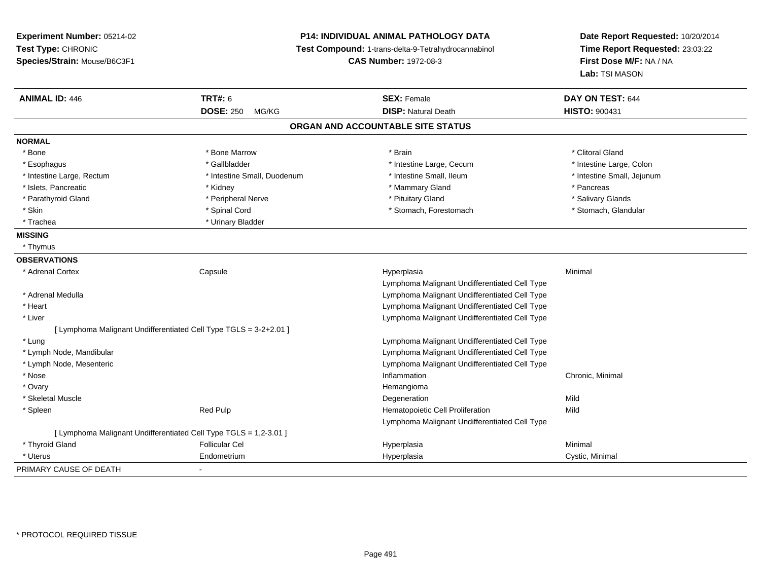**Experiment Number:** 05214-02**Test Type:** CHRONIC **Species/Strain:** Mouse/B6C3F1**P14: INDIVIDUAL ANIMAL PATHOLOGY DATA Test Compound:** 1-trans-delta-9-Tetrahydrocannabinol **CAS Number:** 1972-08-3**Date Report Requested:** 10/20/2014**Time Report Requested:** 23:03:22**First Dose M/F:** NA / NA**Lab:** TSI MASON**ANIMAL ID:** 446**6 DAY ON TEST:** 644 **DOSE:** 250 MG/KG**DISP:** Natural Death **HISTO:**  $900431$ **ORGAN AND ACCOUNTABLE SITE STATUSNORMAL**\* Bone \* Bone \* And \* Bone Marrow \* And \* Bone Marrow \* And \* Brain \* Clitoral Gland \* Clitoral Gland \* Clitoral Gland \* Intestine Large, Colon \* Esophagus \* Intestine Large, Cecum \* Callbladder \* 10 \* Intestine Large, Cecum \* Intestine Large, Cecum \* \* Intestine Large, Rectum \* Thestine Small, Duodenum \* Number of the small, Ileum \* Intestine Small, Jejunum \* Intestine Small, Jejunum \* Islets, Pancreatic \* Kidney \* Mammary Gland \* Pancreas\* Salivary Glands \* Parathyroid Gland \* \* Andrew \* Peripheral Nerve \* \* Peripheral Nerve \* \* Pituitary Gland \* \* Salivary Glands \* Salivary Glands \* Salivary Glands \* Salivary Glands \* Salivary Glands \* Salivary Glands \* Salivary Glands \* S \* Stomach, Glandular \* Skin \* Spinal Cord \* Spinal Cord \* Stomach, Forestomach \* Stomach, Forestomach \* Trachea \* Urinary Bladder**MISSING** \* Thymus**OBSERVATIONS** \* Adrenal Cortex**Capsule**  Hyperplasia Minimal Lymphoma Malignant Undifferentiated Cell Type Lymphoma Malignant Undifferentiated Cell Type \* Adrenal Medulla \* Heart Lymphoma Malignant Undifferentiated Cell Type Lymphoma Malignant Undifferentiated Cell Type \* Liver[ Lymphoma Malignant Undifferentiated Cell Type TGLS = 3-2+2.01 ] \* Lung Lymphoma Malignant Undifferentiated Cell Type \* Lymph Node, Mandibular Lymphoma Malignant Undifferentiated Cell Type Lymphoma Malignant Undifferentiated Cell Type \* Lymph Node, Mesenteric \* Nosee the contraction of the contraction of the contraction of the contraction of the chronic, Minimal on the chronic, Minimal or  $\mathbb{R}^n$  \* Ovaryy the control of the control of the control of the control of the control of the control of the control of the control of the control of the control of the control of the control of the control of the control of the contro Degeneration \* Skeletal Musclee design of the control of the control of the control of the control of the control of the control of the control of the control of the control of the control of the control of the control of the control of the control of \* SpleenRed Pulp **Mild Hematopoietic Cell Proliferation Mild** Lymphoma Malignant Undifferentiated Cell Type[ Lymphoma Malignant Undifferentiated Cell Type TGLS = 1,2-3.01 ] \* Thyroid Gland Follicular Cel Hyperplasia Minimal \* Uterus Endometriumm Cystic, Minimal Cystic, Minimal PRIMARY CAUSE OF DEATH-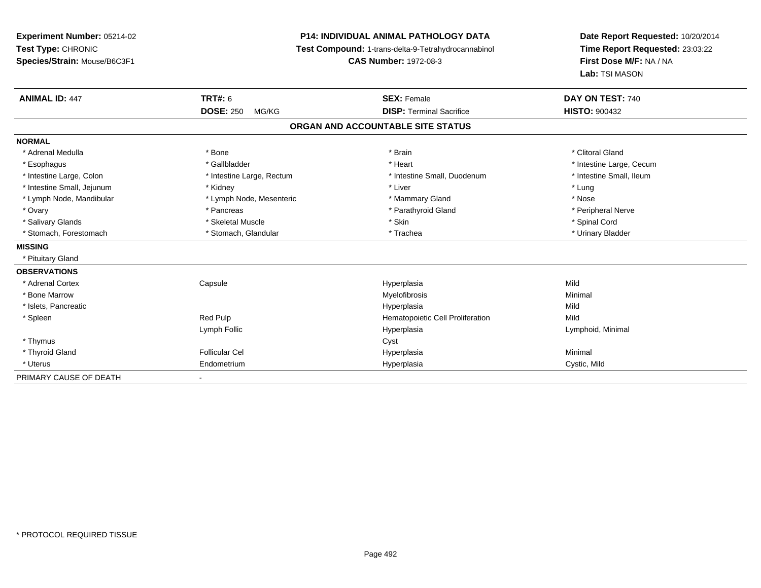**Experiment Number:** 05214-02**Test Type:** CHRONIC **Species/Strain:** Mouse/B6C3F1**P14: INDIVIDUAL ANIMAL PATHOLOGY DATA Test Compound:** 1-trans-delta-9-Tetrahydrocannabinol **CAS Number:** 1972-08-3**Date Report Requested:** 10/20/2014**Time Report Requested:** 23:03:22**First Dose M/F:** NA / NA**Lab:** TSI MASON**ANIMAL ID:** 447**TRT#:** 6 **SEX:** Female **SEX: Female DAY ON TEST:** 740 **DOSE:** 250 MG/KG **DISP:** Terminal Sacrifice **HISTO:** <sup>900432</sup> **ORGAN AND ACCOUNTABLE SITE STATUSNORMAL**\* Adrenal Medulla \* The state of the state of the state of the state of the state of the state of the state of the state of the state of the state of the state of the state of the state of the state of the state of the sta \* Esophagus \* https://www.fragustage.com/web/2019/heart \* Heart \* Heart \* Heart \* Intestine Large, Cecum \* Intestine Large, Cecum \* Sallbladder \* The state of the state of the state of the state of the state of the state o \* Intestine Small, Ileum \* Intestine Large, Colon \* Intestine Large, Rectum \* Intestine Small, Duodenum \* Intestine Small, Duodenum \* Intestine Small, Jejunum \* \* Nidney \* Kidney \* Notation \* Liver \* Liver \* Liver \* Lung \* Lung \* Lung \* Lung \* Lung \* Lung \* Lung \* Lung \* Lung \* Lung \* Lung \* Lung \* Lung \* Lung \* Lung \* Lung \* Lung \* Lung \* Lung \* Lung \* Nose \* Lymph Node, Mandibular \* Lymph Node, Mesenteric \* Mammary Gland \* Mammary Gland \* Peripheral Nerve \* Ovary \* And the second of the second of the second version of the second version of the second version of the second version of the second version of the second version of the second version of the second version of the \* Salivary Glands \* \* Steeden \* \* Skeletal Muscle \* \* Skin \* \* Skin \* \* Steeden \* Spinal Cord \* Spinal Cord \* Spinal Cord \* Spinal Cord \* Spinal Cord \* Spinal Cord \* Spinal Cord \* Spinal Cord \* Spinal Cord \* Spinal Cord \* \* Urinary Bladder \* Stomach, Forestomach \* Northern \* Stomach, Glandular \* Trachea \* Trachea **MISSING** \* Pituitary Gland**OBSERVATIONS** \* Adrenal Cortex**Capsule**  Hyperplasia Mild \* Bone Marroww which is a controller to the Myelofibrosis and the Minimal method of the Minimal method of the Minimal method of the Minimal method of the Minimal method of the Minimal method of the Minimal method of the Minimal method \* Islets, Pancreaticc and the contract of the contract of the contract of the contract of the contract of the contract of the contract of the contract of the contract of the contract of the contract of the contract of the contract of the cont a Mild \* SpleenRed Pulp **Mild Hematopoietic Cell Proliferation** Mild Lymph Follic Hyperplasia Lymphoid, Minimal \* Thymuss the contract of the contract of the contract of the contract of the contract of the contract of the contract of the contract of the contract of the contract of the contract of the contract of the contract of the contract \* Thyroid Gland Follicular Cel Hyperplasia Minimal \* Uterus Endometriumm **Example 2018** Hyperplasia Cystic, Mild PRIMARY CAUSE OF DEATH-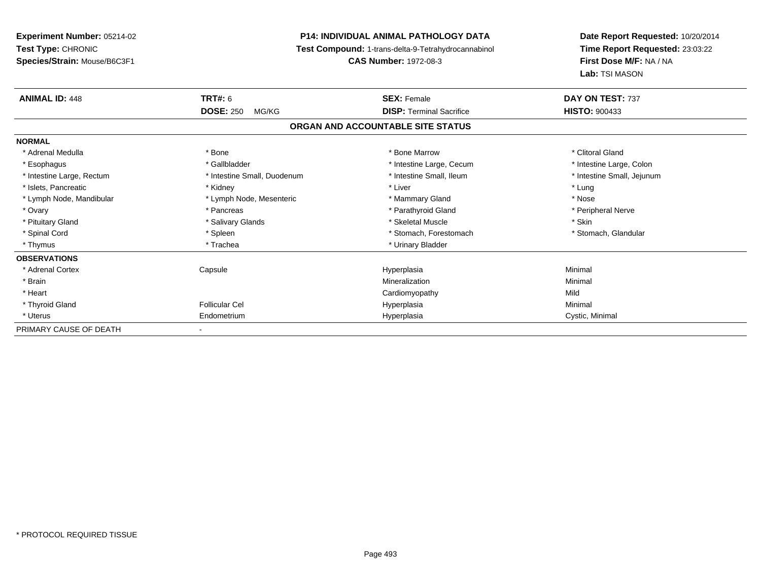**Experiment Number:** 05214-02**Test Type:** CHRONIC **Species/Strain:** Mouse/B6C3F1**P14: INDIVIDUAL ANIMAL PATHOLOGY DATA Test Compound:** 1-trans-delta-9-Tetrahydrocannabinol **CAS Number:** 1972-08-3**Date Report Requested:** 10/20/2014**Time Report Requested:** 23:03:22**First Dose M/F:** NA / NA**Lab:** TSI MASON**ANIMAL ID:** 448**EX:** Female **DAY ON TEST:** 737 **DOSE:** 250 MG/KG **DISP:** Terminal Sacrifice **HISTO:** <sup>900433</sup> **ORGAN AND ACCOUNTABLE SITE STATUSNORMAL**\* Adrenal Medulla \* The state of the state of the state of the state of the Marrow \* Bone Marrow \* Clitoral Gland \* Clitoral Gland \* Intestine Large, Colon \* Esophagus \* Intestine Large, Cecum \* Callbladder \* 10 \* Intestine Large, Cecum \* Intestine Large, Cecum \* \* Intestine Small, Jejunum \* Intestine Large, Rectum \* Intestine Small, Duodenum \* Intestine Small, Ileum \* Intestine Small, Ileum \* Islets, Pancreatic \* The method of the "Kidney" \* Kidney \* The "Allen " New York 1991 was a street of the "The " New York 1991 was a street of the " Lung" was the " Lung" was the " Lung" was the " Lung" was the " Lung" w \* Nose \* Lymph Node, Mandibular \* Lymph Node, Mesenteric \* Mammary Gland \* Mammary Gland \* Peripheral Nerve \* Ovary \* And the second of the second of the second version of the second version of the second version of the second version of the second version of the second version of the second version of the second version of the \* Pituitary Gland \* \* \* \* Salivary Glands \* \* \* Salivary Glands \* \* \$keletal Muscle \* \* \* \* \* \$kin \* \* \$kin \* \* Stomach, Glandular \* Spinal Cord \* Spinal Cord \* Spinal Cord \* Stomach, Forestomach \* Spinal Cord \* Stomach, Forestomach \* Thymus \* Trachea \* Trachea \* Urinary Bladder \* Urinary Bladder **OBSERVATIONS** \* Adrenal Cortex Capsulee and the Hyperplasia Minimal Minimal Service and the Hyperplasia Minimal Minimal Service and Minimal Service and Minimal Service and Minimal Service and Minimal Service and Minimal Service and Minimal Service and Minimal \* Brainn and the controller of the controller of the controller of the Minimal Mineralization and the controller of the Minimal Minimal of the controller of the controller of the controller of the controller of the controller of \* Heart Cardiomyopathyy Mild Minimal \* Thyroid Gland Follicular Cel Hyperplasia Minimal \* Uterus Endometriumm Cystic, Minimal Cystic, Minimal PRIMARY CAUSE OF DEATH-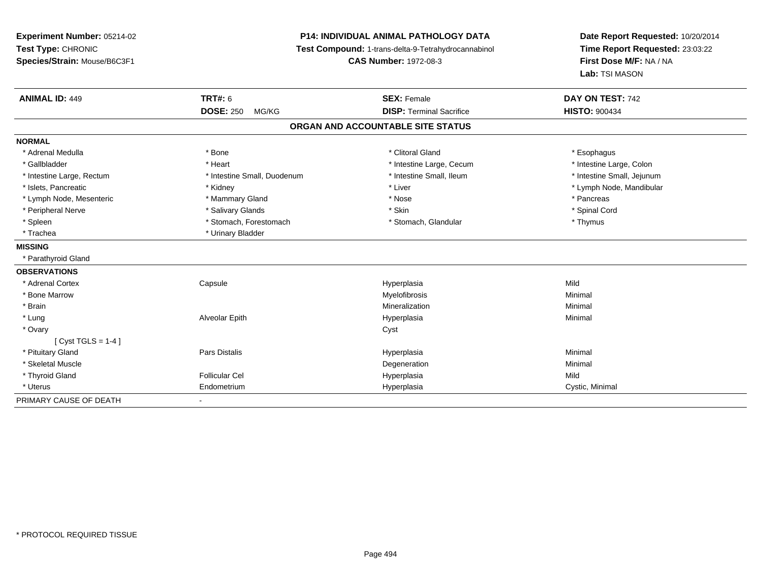**Experiment Number:** 05214-02**Test Type:** CHRONIC **Species/Strain:** Mouse/B6C3F1**P14: INDIVIDUAL ANIMAL PATHOLOGY DATA Test Compound:** 1-trans-delta-9-Tetrahydrocannabinol **CAS Number:** 1972-08-3**Date Report Requested:** 10/20/2014**Time Report Requested:** 23:03:22**First Dose M/F:** NA / NA**Lab:** TSI MASON**ANIMAL ID:** 449 **TRT#:** <sup>6</sup> **SEX:** Female **DAY ON TEST:** <sup>742</sup> **DOSE:** 250 MG/KG **DISP:** Terminal Sacrifice **HISTO:** <sup>900434</sup> **ORGAN AND ACCOUNTABLE SITE STATUSNORMAL**\* Adrenal Medulla \* Adrenal Medulla \* Bone \* Clitoral Gland \* Esophagus\* Intestine Large, Colon \* Gallbladder \* The mode of the state of the state of the state of the state of the state of the state of the state of the state of the state of the state of the state of the state of the state of the state of the state of \* Intestine Small, Jejunum \* Intestine Large, Rectum \* Intestine Small, Duodenum \* Intestine Small, Duodenum \* \* Intestine Small, Ileum \* Islets, Pancreatic \* \* Andrew \* Kidney \* Kidney \* Kidney \* Liver \* Liver \* Liver \* Number \* Lymph Node, Mandibular \* Lymph Node, Mandibular \* Lymph Node, Mandibular \* Lymph Node, Mandibular \* Lymph Node, Mandibular \* Lym \* Lymph Node, Mesenteric \* \* The mannery Gland \* Mammary Gland \* Nose \* Nose \* \* Pancreas \* Pancreas \* Pancreas \* Spinal Cord \* Peripheral Nerve \* \* \* Salivary Glands \* \* Salivary Glands \* \* Skin \* \* Skin \* \* Spinal Cord \* Spinal Cord \* \* Spleen \* Stomach, Forestomach \* Stomach \* Stomach, Glandular \* Thymus \* Thymus \* Trachea \* Urinary Bladder**MISSING** \* Parathyroid Gland**OBSERVATIONS** \* Adrenal Cortex**Capsule**  Hyperplasia Mild \* Bone Marroww which is a controller to the Myelofibrosis and the Minimal method of the Minimal method of the Minimal method of the Minimal method of the Minimal method of the Minimal method of the Minimal method of the Minimal method \* Brainn and the controller of the controller of the controller of the Mineralization and the controller of the Minimal \* Lung Alveolar Epith Hyperplasia Minimal \* Ovaryy cystem in the control of the control of the control of the control of the control of the control of the control of the control of the control of the control of the control of the control of the control of the control of [ Cyst TGLS = 1-4 ] \* Pituitary Gland Pars Distalis Hyperplasia Minimal \* Skeletal Musclee de la controllata de la controllata de la controllata de la controllata de la controllata de la controllata d<br>Degeneration \* Thyroid Gland Follicular Cel Hyperplasia Mild \* Uterus Endometriumm Cystic, Minimal Cystic, Minimal PRIMARY CAUSE OF DEATH-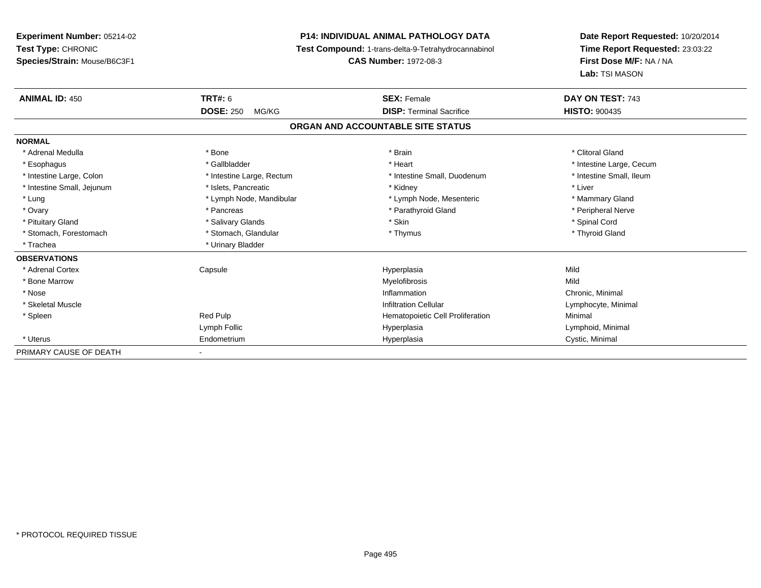**Experiment Number:** 05214-02**Test Type:** CHRONIC **Species/Strain:** Mouse/B6C3F1**P14: INDIVIDUAL ANIMAL PATHOLOGY DATA Test Compound:** 1-trans-delta-9-Tetrahydrocannabinol **CAS Number:** 1972-08-3**Date Report Requested:** 10/20/2014**Time Report Requested:** 23:03:22**First Dose M/F:** NA / NA**Lab:** TSI MASON**ANIMAL ID:** 450**C TRT#:** 6 **SEX:** Female **DAY ON TEST:** 743 **DOSE:** 250 MG/KG**DISP:** Terminal Sacrifice **HISTO:**  $900435$ **ORGAN AND ACCOUNTABLE SITE STATUSNORMAL**\* Adrenal Medulla \* The state of the state of the state of the state of the state of the state of the state of the state of the state of the state of the state of the state of the state of the state of the state of the sta \* Esophagus \* https://www.fragustage.com/web/2019/heart \* Heart \* Heart \* Heart \* Intestine Large, Cecum \* Intestine Large, Cecum \* Sallbladder \* The state of the state of the state of the state of the state of the state o \* Intestine Small, Ileum \* Intestine Large, Colon \* Intestine Large, Rectum \* Intestine Small, Duodenum \* Intestine Small, Duodenum \* Intestine Small, Jejunum \* 1992 \* The state of the state of the state of the state of the state of the state of the state of the state of the state of the state of the state of the state of the state of the state of the \* Lung \* Lymph Node, Mandibular \* Mannipular \* Lymph Node, Mesenteric \* Mammary Gland \* Peripheral Nerve \* Ovary \* And the second of the second of the second version of the second version of the second version of the second version of the second version of the second version of the second version of the second version of the \* Pituitary Gland \* \* Spinal Cord \* Salivary Glands \* \* Skin \* \* Skin \* \* Spinal Cord \* Spinal Cord \* Spinal Cord \* Spinal Cord \* Spinal Cord \* Spinal Cord \* Spinal Cord \* Spinal Cord \* Spinal Cord \* Spinal Cord \* Spinal C \* Thyroid Gland \* Stomach, Forestomach \* Thymus \* Stomach, Glandular \* Thymus \* Thymus \* Thymus \* Thymus \* Thymus \* Thymus \* Thymus \* Thymus \* Thymus \* Thymus \* Thymus \* Thymus \* Thymus \* Thymus \* Thymus \* Thymus \* Thymus \* Thymus \* Thymu \* Trachea \* Urinary Bladder**OBSERVATIONS** \* Adrenal Cortex Capsule Hyperplasia Mild \* Bone Marroww which is a state of the Myelofibrosis and the Myelofibrosis and the Mild of the Mild of the Mild of the Mild of the Mild of the Mild of the Mild of the Mild of the Mild of the Mild of the Mild of the Mild of the Mild of \* Nosee inflammation control of the control of the control of the control of the control of the control of the control of the control of the control of the control of the control of the control of the control of the control of t \* Skeletal Muscle Infiltration Cellular Lymphocyte, Minimal \* SpleenRed Pulp **Minimal Hematopoietic Cell Proliferation Minimal** Lymph Follic Hyperplasia Lymphoid, Minimal \* Uterus Endometriumm Cystic, Minimal Cystic, Minimal PRIMARY CAUSE OF DEATH-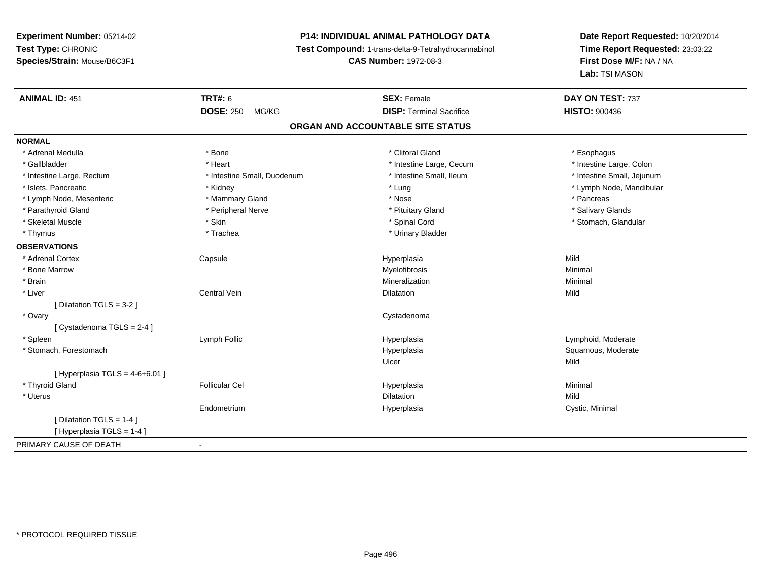# **P14: INDIVIDUAL ANIMAL PATHOLOGY DATA**

**Test Compound:** 1-trans-delta-9-Tetrahydrocannabinol

**CAS Number:** 1972-08-3

| <b>ANIMAL ID: 451</b>            | <b>TRT#: 6</b>              | <b>SEX: Female</b><br><b>DISP: Terminal Sacrifice</b> | DAY ON TEST: 737           |  |
|----------------------------------|-----------------------------|-------------------------------------------------------|----------------------------|--|
|                                  | <b>DOSE: 250</b><br>MG/KG   |                                                       | <b>HISTO: 900436</b>       |  |
|                                  |                             | ORGAN AND ACCOUNTABLE SITE STATUS                     |                            |  |
| <b>NORMAL</b>                    |                             |                                                       |                            |  |
| * Adrenal Medulla                | * Bone                      | * Clitoral Gland                                      | * Esophagus                |  |
| * Gallbladder                    | * Heart                     | * Intestine Large, Cecum                              | * Intestine Large, Colon   |  |
| * Intestine Large, Rectum        | * Intestine Small, Duodenum | * Intestine Small, Ileum                              | * Intestine Small, Jejunum |  |
| * Islets, Pancreatic             | * Kidney                    | * Lung                                                | * Lymph Node, Mandibular   |  |
| * Lymph Node, Mesenteric         | * Mammary Gland             | * Nose                                                | * Pancreas                 |  |
| * Parathyroid Gland              | * Peripheral Nerve          | * Pituitary Gland                                     | * Salivary Glands          |  |
| * Skeletal Muscle                | * Skin                      | * Spinal Cord                                         | * Stomach, Glandular       |  |
| * Thymus                         | * Trachea                   | * Urinary Bladder                                     |                            |  |
| <b>OBSERVATIONS</b>              |                             |                                                       |                            |  |
| * Adrenal Cortex                 | Capsule                     | Hyperplasia                                           | Mild                       |  |
| * Bone Marrow                    |                             | Myelofibrosis                                         | Minimal                    |  |
| * Brain                          |                             | Mineralization                                        | Minimal                    |  |
| * Liver                          | <b>Central Vein</b>         | Dilatation                                            | Mild                       |  |
| [Dilatation TGLS = 3-2]          |                             |                                                       |                            |  |
| * Ovary                          |                             | Cystadenoma                                           |                            |  |
| [ Cystadenoma TGLS = 2-4 ]       |                             |                                                       |                            |  |
| * Spleen                         | Lymph Follic                | Hyperplasia                                           | Lymphoid, Moderate         |  |
| * Stomach, Forestomach           |                             | Hyperplasia                                           | Squamous, Moderate         |  |
|                                  |                             | Ulcer                                                 | Mild                       |  |
| [Hyperplasia TGLS = $4-6+6.01$ ] |                             |                                                       |                            |  |
| * Thyroid Gland                  | <b>Follicular Cel</b>       | Hyperplasia                                           | Minimal                    |  |
| * Uterus                         |                             | <b>Dilatation</b>                                     | Mild                       |  |
|                                  | Endometrium                 | Hyperplasia                                           | Cystic, Minimal            |  |
| [ Dilatation TGLS = 1-4 ]        |                             |                                                       |                            |  |
| [Hyperplasia TGLS = 1-4]         |                             |                                                       |                            |  |
| PRIMARY CAUSE OF DEATH           |                             |                                                       |                            |  |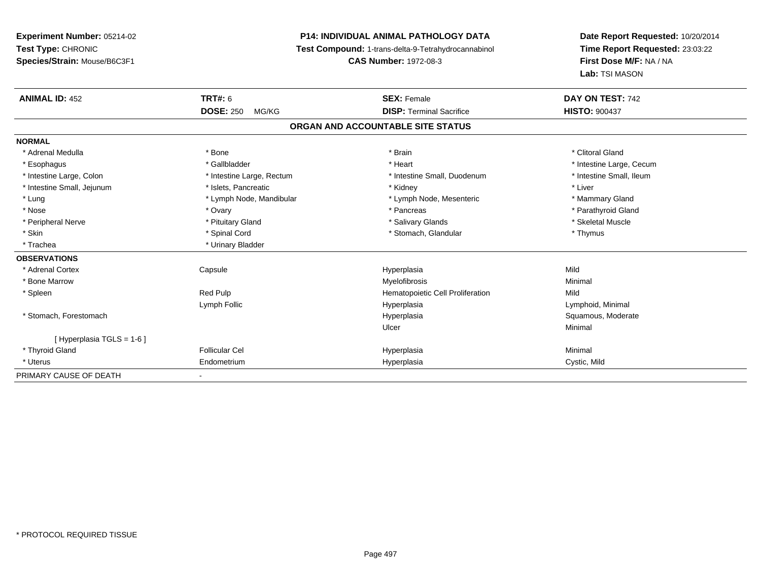## **P14: INDIVIDUAL ANIMAL PATHOLOGY DATA**

**Test Compound:** 1-trans-delta-9-Tetrahydrocannabinol

**CAS Number:** 1972-08-3

| <b>ANIMAL ID: 452</b>      | <b>TRT#: 6</b>            | <b>SEX: Female</b>                | DAY ON TEST: 742         |
|----------------------------|---------------------------|-----------------------------------|--------------------------|
|                            | <b>DOSE: 250</b><br>MG/KG | <b>DISP: Terminal Sacrifice</b>   | <b>HISTO: 900437</b>     |
|                            |                           | ORGAN AND ACCOUNTABLE SITE STATUS |                          |
| <b>NORMAL</b>              |                           |                                   |                          |
| * Adrenal Medulla          | * Bone                    | * Brain                           | * Clitoral Gland         |
| * Esophagus                | * Gallbladder             | * Heart                           | * Intestine Large, Cecum |
| * Intestine Large, Colon   | * Intestine Large, Rectum | * Intestine Small, Duodenum       | * Intestine Small, Ileum |
| * Intestine Small, Jejunum | * Islets, Pancreatic      | * Kidney                          | * Liver                  |
| * Lung                     | * Lymph Node, Mandibular  | * Lymph Node, Mesenteric          | * Mammary Gland          |
| * Nose                     | * Ovary                   | * Pancreas                        | * Parathyroid Gland      |
| * Peripheral Nerve         | * Pituitary Gland         | * Salivary Glands                 | * Skeletal Muscle        |
| * Skin                     | * Spinal Cord             | * Stomach, Glandular              | * Thymus                 |
| * Trachea                  | * Urinary Bladder         |                                   |                          |
| <b>OBSERVATIONS</b>        |                           |                                   |                          |
| * Adrenal Cortex           | Capsule                   | Hyperplasia                       | Mild                     |
| * Bone Marrow              |                           | Myelofibrosis                     | Minimal                  |
| * Spleen                   | Red Pulp                  | Hematopoietic Cell Proliferation  | Mild                     |
|                            | Lymph Follic              | Hyperplasia                       | Lymphoid, Minimal        |
| * Stomach, Forestomach     |                           | Hyperplasia                       | Squamous, Moderate       |
|                            |                           | Ulcer                             | Minimal                  |
| [ Hyperplasia TGLS = 1-6 ] |                           |                                   |                          |
| * Thyroid Gland            | <b>Follicular Cel</b>     | Hyperplasia                       | Minimal                  |
| * Uterus                   | Endometrium               | Hyperplasia                       | Cystic, Mild             |
| PRIMARY CAUSE OF DEATH     |                           |                                   |                          |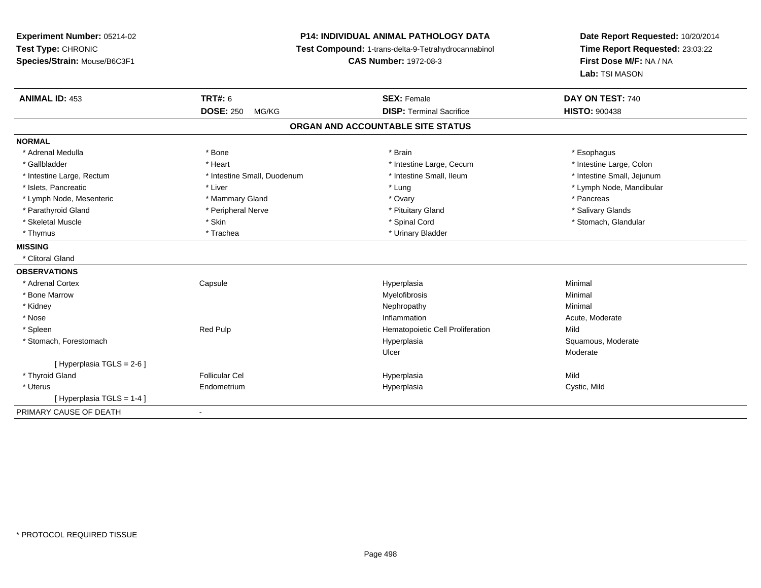**Experiment Number:** 05214-02**Test Type:** CHRONIC **Species/Strain:** Mouse/B6C3F1**P14: INDIVIDUAL ANIMAL PATHOLOGY DATA Test Compound:** 1-trans-delta-9-Tetrahydrocannabinol **CAS Number:** 1972-08-3**Date Report Requested:** 10/20/2014**Time Report Requested:** 23:03:22**First Dose M/F:** NA / NA**Lab:** TSI MASON**ANIMAL ID:** 453**TRT#:** 6 **SEX:** Female **SEX: Female DAY ON TEST:** 740 **DOSE:** 250 MG/KG **DISP:** Terminal Sacrifice **HISTO:** <sup>900438</sup> **ORGAN AND ACCOUNTABLE SITE STATUSNORMAL**\* Adrenal Medulla \* Adrenal Medulla \* \* \* Bone \* \* \* Bone \* \* \* Brain \* \* Brain \* \* Brain \* \* Brain \* \* Esophagus \* Esophagus \* Intestine Large, Colon \* Gallbladder \* The mode of the state of the state of the state of the state of the state of the state of the state of the state of the state of the state of the state of the state of the state of the state of the state of \* Intestine Large, Rectum \* Thestine Small, Duodenum \* Number of the small, Ileum \* Intestine Small, Jejunum \* Intestine Small, Jejunum \* Islets, Pancreatic \* Liver \* Lung \* Lymph Node, Mandibular \* Lymph Node, Mesenteric \* Mammary Gland \* Ovary \* Pancreas\* Salivary Glands \* Parathyroid Gland \* \* Andrew \* Peripheral Nerve \* \* Peripheral Nerve \* \* Pituitary Gland \* \* Salivary Glands \* Salivary Glands \* Salivary Glands \* Salivary Glands \* Salivary Glands \* Salivary Glands \* Salivary Glands \* S \* Skeletal Muscle \* The state of the state of the state of the state of the state of the state of the state of the state of the state of the state of the state of the state of the state of the state of the state of the sta \* Thymus \* Trachea \* Trachea \* Urinary Bladder **MISSING** \* Clitoral Gland**OBSERVATIONS** \* Adrenal Cortex**Capsule**  Hyperplasia Minimal \* Bone Marroww which is a controller to the Myelofibrosis and the Minimal method of the Minimal method of the Minimal method of the Minimal method of the Minimal method of the Minimal method of the Minimal method of the Minimal method \* Kidneyy the control of the control of the control of the control of the control of the control of the control of the control of the control of the control of the control of the control of the control of the control of the contro \* Nosee and the state of the state of the state of the state of the state of the state of the state of the state of the state of the state of the state of the state of the state of the state of the state of the state of the stat \* SpleenRed Pulp **Mild Red Pulp Constructs Cell Proliferation** Mild<br>Hyperplasia Hyperplasia Hyperplasia Squamous, Moderate \* Stomach, Forestomachh ann an t-ìre ann am Suid-Africa ann an t-ìre anns an t-ìre anns an t-ìre anns an t-ìre anns an Suid-Africa a<br>Bhainn an t-ìre anns an t-ìre anns an t-ìre anns an t-ìre anns an t-ìre anns an t-ìre anns an t-ìre anns an t-Ulcer Moderate[ Hyperplasia TGLS = 2-6 ] \* Thyroid Gland Follicular Cel Hyperplasia Mild \* Uterus Endometrium Hyperplasia Cystic, Mild [ Hyperplasia TGLS = 1-4 ]PRIMARY CAUSE OF DEATH-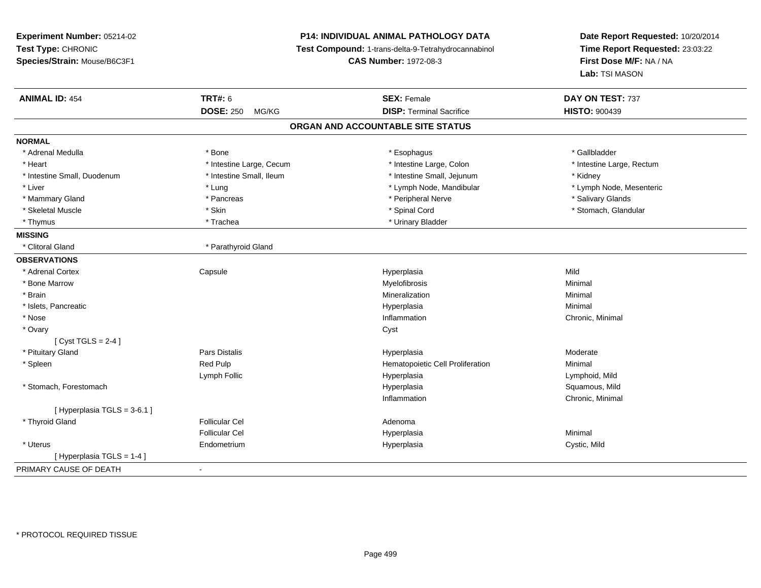| Experiment Number: 05214-02<br>Test Type: CHRONIC |                           | P14: INDIVIDUAL ANIMAL PATHOLOGY DATA               | Date Report Requested: 10/20/2014<br>Time Report Requested: 23:03:22 |  |
|---------------------------------------------------|---------------------------|-----------------------------------------------------|----------------------------------------------------------------------|--|
|                                                   |                           | Test Compound: 1-trans-delta-9-Tetrahydrocannabinol |                                                                      |  |
| Species/Strain: Mouse/B6C3F1                      |                           | <b>CAS Number: 1972-08-3</b>                        | First Dose M/F: NA / NA                                              |  |
|                                                   |                           |                                                     | Lab: TSI MASON                                                       |  |
| <b>ANIMAL ID: 454</b>                             | <b>TRT#: 6</b>            | <b>SEX: Female</b>                                  | DAY ON TEST: 737                                                     |  |
|                                                   | <b>DOSE: 250</b><br>MG/KG | <b>DISP: Terminal Sacrifice</b>                     | <b>HISTO: 900439</b>                                                 |  |
|                                                   |                           | ORGAN AND ACCOUNTABLE SITE STATUS                   |                                                                      |  |
| <b>NORMAL</b>                                     |                           |                                                     |                                                                      |  |
| * Adrenal Medulla                                 | * Bone                    | * Esophagus                                         | * Gallbladder                                                        |  |
| * Heart                                           | * Intestine Large, Cecum  | * Intestine Large, Colon                            | * Intestine Large, Rectum                                            |  |
| * Intestine Small, Duodenum                       | * Intestine Small, Ileum  | * Intestine Small, Jejunum                          | * Kidney                                                             |  |
| * Liver                                           | * Lung                    | * Lymph Node, Mandibular                            | * Lymph Node, Mesenteric                                             |  |
| * Mammary Gland                                   | * Pancreas                | * Peripheral Nerve                                  | * Salivary Glands                                                    |  |
| * Skeletal Muscle                                 | * Skin                    | * Spinal Cord                                       | * Stomach, Glandular                                                 |  |
| * Thymus                                          | * Trachea                 | * Urinary Bladder                                   |                                                                      |  |
| <b>MISSING</b>                                    |                           |                                                     |                                                                      |  |
| * Clitoral Gland                                  | * Parathyroid Gland       |                                                     |                                                                      |  |
| <b>OBSERVATIONS</b>                               |                           |                                                     |                                                                      |  |
| * Adrenal Cortex                                  | Capsule                   | Hyperplasia                                         | Mild                                                                 |  |
| * Bone Marrow                                     |                           | Myelofibrosis                                       | Minimal                                                              |  |
| * Brain                                           |                           | Mineralization                                      | Minimal                                                              |  |
| * Islets, Pancreatic                              |                           | Hyperplasia                                         | Minimal                                                              |  |
| * Nose                                            |                           | Inflammation                                        | Chronic, Minimal                                                     |  |
| * Ovary                                           |                           | Cyst                                                |                                                                      |  |
| [Cyst TGLS = $2-4$ ]                              |                           |                                                     |                                                                      |  |
| * Pituitary Gland                                 | Pars Distalis             | Hyperplasia                                         | Moderate                                                             |  |
| * Spleen                                          | Red Pulp                  | Hematopoietic Cell Proliferation                    | Minimal                                                              |  |
|                                                   | Lymph Follic              | Hyperplasia                                         | Lymphoid, Mild                                                       |  |
| * Stomach, Forestomach                            |                           | Hyperplasia                                         | Squamous, Mild                                                       |  |
|                                                   |                           | Inflammation                                        | Chronic, Minimal                                                     |  |
| [Hyperplasia TGLS = 3-6.1]                        |                           |                                                     |                                                                      |  |
| * Thyroid Gland                                   | <b>Follicular Cel</b>     | Adenoma                                             |                                                                      |  |
|                                                   | <b>Follicular Cel</b>     | Hyperplasia                                         | Minimal                                                              |  |
| * Uterus                                          | Endometrium               | Hyperplasia                                         | Cystic, Mild                                                         |  |
| [Hyperplasia TGLS = 1-4]                          |                           |                                                     |                                                                      |  |
| PRIMARY CAUSE OF DEATH                            | $\blacksquare$            |                                                     |                                                                      |  |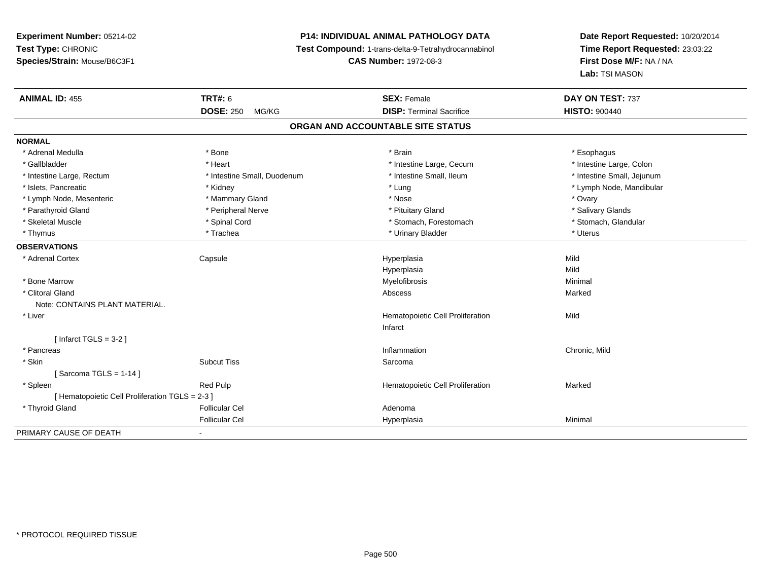## **P14: INDIVIDUAL ANIMAL PATHOLOGY DATA**

**Test Compound:** 1-trans-delta-9-Tetrahydrocannabinol

**CAS Number:** 1972-08-3

| <b>ANIMAL ID: 455</b>                           | <b>TRT#: 6</b>              | <b>SEX: Female</b>                | DAY ON TEST: 737           |  |  |
|-------------------------------------------------|-----------------------------|-----------------------------------|----------------------------|--|--|
|                                                 | <b>DOSE: 250</b><br>MG/KG   | <b>DISP: Terminal Sacrifice</b>   | <b>HISTO: 900440</b>       |  |  |
|                                                 |                             | ORGAN AND ACCOUNTABLE SITE STATUS |                            |  |  |
| <b>NORMAL</b>                                   |                             |                                   |                            |  |  |
| * Adrenal Medulla                               | * Bone                      | * Brain                           | * Esophagus                |  |  |
| * Gallbladder                                   | * Heart                     | * Intestine Large, Cecum          | * Intestine Large, Colon   |  |  |
| * Intestine Large, Rectum                       | * Intestine Small, Duodenum | * Intestine Small, Ileum          | * Intestine Small, Jejunum |  |  |
| * Islets, Pancreatic                            | * Kidney                    | * Lung                            | * Lymph Node, Mandibular   |  |  |
| * Lymph Node, Mesenteric                        | * Mammary Gland             | * Nose                            | * Ovary                    |  |  |
| * Parathyroid Gland                             | * Peripheral Nerve          | * Pituitary Gland                 | * Salivary Glands          |  |  |
| * Skeletal Muscle                               | * Spinal Cord               | * Stomach, Forestomach            | * Stomach, Glandular       |  |  |
| * Thymus                                        | * Trachea                   | * Urinary Bladder                 | * Uterus                   |  |  |
| <b>OBSERVATIONS</b>                             |                             |                                   |                            |  |  |
| * Adrenal Cortex                                | Capsule                     | Hyperplasia                       | Mild                       |  |  |
|                                                 |                             | Hyperplasia                       | Mild                       |  |  |
| * Bone Marrow                                   |                             | Myelofibrosis                     | Minimal                    |  |  |
| * Clitoral Gland                                |                             | Abscess                           | Marked                     |  |  |
| Note: CONTAINS PLANT MATERIAL.                  |                             |                                   |                            |  |  |
| * Liver                                         |                             | Hematopoietic Cell Proliferation  | Mild                       |  |  |
|                                                 |                             | Infarct                           |                            |  |  |
| [Infarct TGLS = $3-2$ ]                         |                             |                                   |                            |  |  |
| * Pancreas                                      |                             | Inflammation                      | Chronic, Mild              |  |  |
| * Skin                                          | <b>Subcut Tiss</b>          | Sarcoma                           |                            |  |  |
| [Sarcoma TGLS = $1-14$ ]                        |                             |                                   |                            |  |  |
| * Spleen                                        | <b>Red Pulp</b>             | Hematopoietic Cell Proliferation  | Marked                     |  |  |
| [ Hematopoietic Cell Proliferation TGLS = 2-3 ] |                             |                                   |                            |  |  |
| * Thyroid Gland                                 | <b>Follicular Cel</b>       | Adenoma                           |                            |  |  |
|                                                 | <b>Follicular Cel</b>       | Hyperplasia                       | Minimal                    |  |  |
| PRIMARY CAUSE OF DEATH                          | $\blacksquare$              |                                   |                            |  |  |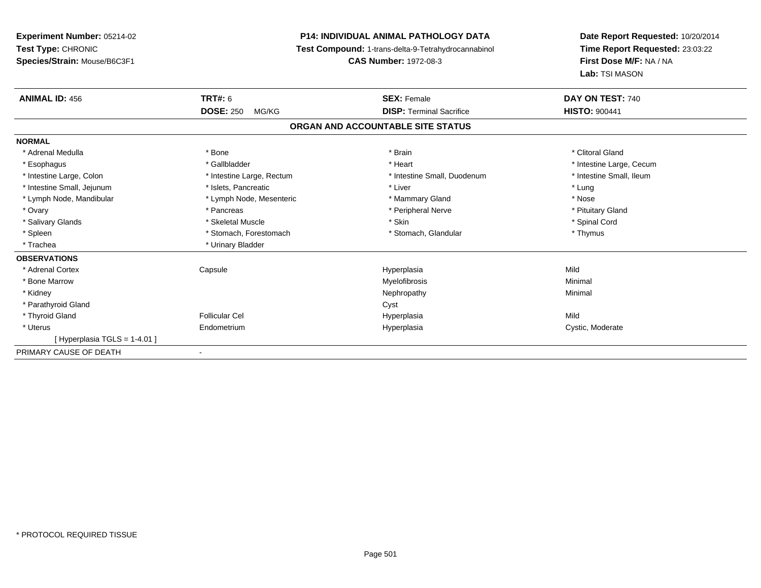| <b>Experiment Number: 05214-02</b> | <b>P14: INDIVIDUAL ANIMAL PATHOLOGY DATA</b><br><b>Test Compound: 1-trans-delta-9-Tetrahydrocannabinol</b><br><b>CAS Number: 1972-08-3</b> |                                   | Date Report Requested: 10/20/2014                          |  |
|------------------------------------|--------------------------------------------------------------------------------------------------------------------------------------------|-----------------------------------|------------------------------------------------------------|--|
| Test Type: CHRONIC                 |                                                                                                                                            |                                   | Time Report Requested: 23:03:22<br>First Dose M/F: NA / NA |  |
| Species/Strain: Mouse/B6C3F1       |                                                                                                                                            |                                   |                                                            |  |
|                                    |                                                                                                                                            |                                   | Lab: TSI MASON                                             |  |
| <b>ANIMAL ID: 456</b>              | <b>TRT#: 6</b>                                                                                                                             | <b>SEX: Female</b>                | DAY ON TEST: 740                                           |  |
|                                    | <b>DOSE: 250</b><br>MG/KG                                                                                                                  | <b>DISP: Terminal Sacrifice</b>   | <b>HISTO: 900441</b>                                       |  |
|                                    |                                                                                                                                            | ORGAN AND ACCOUNTABLE SITE STATUS |                                                            |  |
| <b>NORMAL</b>                      |                                                                                                                                            |                                   |                                                            |  |
| * Adrenal Medulla                  | * Bone                                                                                                                                     | * Brain                           | * Clitoral Gland                                           |  |
| * Esophagus                        | * Gallbladder                                                                                                                              | * Heart                           | * Intestine Large, Cecum                                   |  |
| * Intestine Large, Colon           | * Intestine Large, Rectum                                                                                                                  | * Intestine Small, Duodenum       | * Intestine Small, Ileum                                   |  |
| * Intestine Small, Jejunum         | * Islets, Pancreatic                                                                                                                       | * Liver                           | * Lung                                                     |  |
| * Lymph Node, Mandibular           | * Lymph Node, Mesenteric                                                                                                                   | * Mammary Gland                   | * Nose                                                     |  |
| * Ovary                            | * Pancreas                                                                                                                                 | * Peripheral Nerve                | * Pituitary Gland                                          |  |
| * Salivary Glands                  | * Skeletal Muscle                                                                                                                          | * Skin                            | * Spinal Cord                                              |  |
| * Spleen                           | * Stomach, Forestomach                                                                                                                     | * Stomach, Glandular              | * Thymus                                                   |  |
| * Trachea                          | * Urinary Bladder                                                                                                                          |                                   |                                                            |  |
| <b>OBSERVATIONS</b>                |                                                                                                                                            |                                   |                                                            |  |
| * Adrenal Cortex                   | Capsule                                                                                                                                    | Hyperplasia                       | Mild                                                       |  |
| * Bone Marrow                      |                                                                                                                                            | Myelofibrosis                     | Minimal                                                    |  |
| * Kidney                           |                                                                                                                                            | Nephropathy                       | Minimal                                                    |  |
| * Parathyroid Gland                |                                                                                                                                            | Cyst                              |                                                            |  |
| * Thyroid Gland                    | <b>Follicular Cel</b>                                                                                                                      | Hyperplasia                       | Mild                                                       |  |
| * Uterus                           | Endometrium                                                                                                                                | Hyperplasia                       | Cystic, Moderate                                           |  |
| [Hyperplasia TGLS = 1-4.01]        |                                                                                                                                            |                                   |                                                            |  |
| PRIMARY CAUSE OF DEATH             |                                                                                                                                            |                                   |                                                            |  |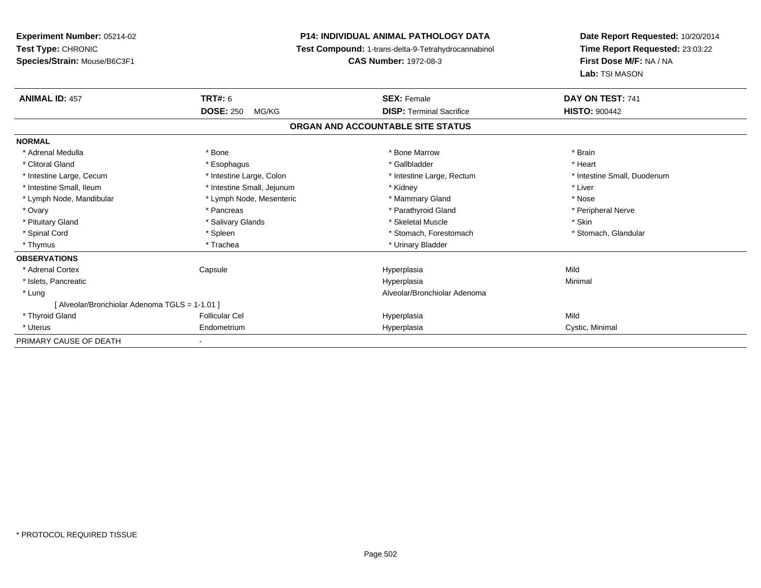| Experiment Number: 05214-02                    |                            | <b>P14: INDIVIDUAL ANIMAL PATHOLOGY DATA</b>        | Date Report Requested: 10/20/2014                          |
|------------------------------------------------|----------------------------|-----------------------------------------------------|------------------------------------------------------------|
| Test Type: CHRONIC                             |                            | Test Compound: 1-trans-delta-9-Tetrahydrocannabinol | Time Report Requested: 23:03:22<br>First Dose M/F: NA / NA |
| Species/Strain: Mouse/B6C3F1                   |                            | <b>CAS Number: 1972-08-3</b>                        |                                                            |
|                                                |                            |                                                     | Lab: TSI MASON                                             |
| <b>ANIMAL ID: 457</b>                          | <b>TRT#: 6</b>             | <b>SEX: Female</b>                                  | DAY ON TEST: 741                                           |
|                                                | <b>DOSE: 250</b><br>MG/KG  | <b>DISP: Terminal Sacrifice</b>                     | <b>HISTO: 900442</b>                                       |
|                                                |                            | ORGAN AND ACCOUNTABLE SITE STATUS                   |                                                            |
| <b>NORMAL</b>                                  |                            |                                                     |                                                            |
| * Adrenal Medulla                              | * Bone                     | * Bone Marrow                                       | * Brain                                                    |
| * Clitoral Gland                               | * Esophagus                | * Gallbladder                                       | * Heart                                                    |
| * Intestine Large, Cecum                       | * Intestine Large, Colon   | * Intestine Large, Rectum                           | * Intestine Small, Duodenum                                |
| * Intestine Small, Ileum                       | * Intestine Small, Jejunum | * Kidney                                            | * Liver                                                    |
| * Lymph Node, Mandibular                       | * Lymph Node, Mesenteric   | * Mammary Gland                                     | * Nose                                                     |
| * Ovary                                        | * Pancreas                 | * Parathyroid Gland                                 | * Peripheral Nerve                                         |
| * Pituitary Gland                              | * Salivary Glands          | * Skeletal Muscle                                   | * Skin                                                     |
| * Spinal Cord                                  | * Spleen                   | * Stomach, Forestomach                              | * Stomach, Glandular                                       |
| * Thymus                                       | * Trachea                  | * Urinary Bladder                                   |                                                            |
| <b>OBSERVATIONS</b>                            |                            |                                                     |                                                            |
| * Adrenal Cortex                               | Capsule                    | Hyperplasia                                         | Mild                                                       |
| * Islets, Pancreatic                           |                            | Hyperplasia                                         | Minimal                                                    |
| * Lung                                         |                            | Alveolar/Bronchiolar Adenoma                        |                                                            |
| [ Alveolar/Bronchiolar Adenoma TGLS = 1-1.01 ] |                            |                                                     |                                                            |
| * Thyroid Gland                                | <b>Follicular Cel</b>      | Hyperplasia                                         | Mild                                                       |
| * Uterus                                       | Endometrium                | Hyperplasia                                         | Cystic, Minimal                                            |
| PRIMARY CAUSE OF DEATH                         |                            |                                                     |                                                            |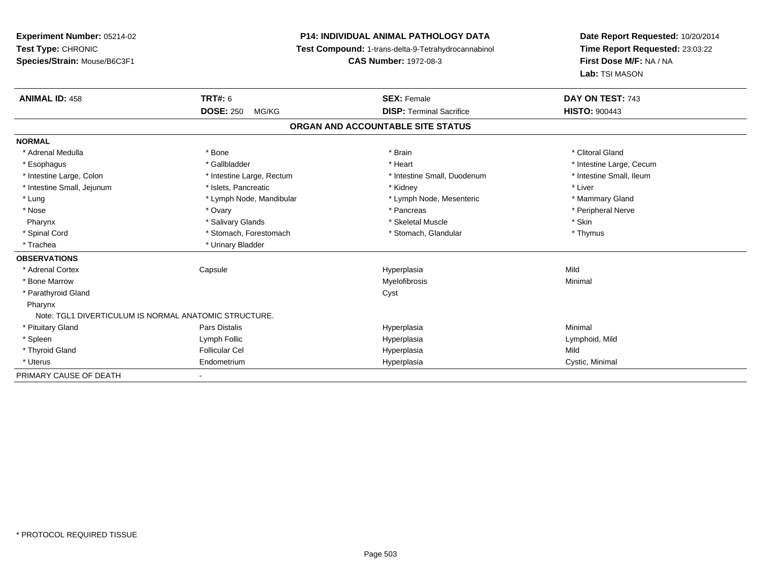**Experiment Number:** 05214-02**Test Type:** CHRONIC **Species/Strain:** Mouse/B6C3F1**P14: INDIVIDUAL ANIMAL PATHOLOGY DATA Test Compound:** 1-trans-delta-9-Tetrahydrocannabinol **CAS Number:** 1972-08-3**Date Report Requested:** 10/20/2014**Time Report Requested:** 23:03:22**First Dose M/F:** NA / NA**Lab:** TSI MASON**ANIMAL ID:** 458**TRT#:** 6 **SEX:** Female **SEX: Female DAY ON TEST:** 743 **DOSE:** 250 MG/KG **DISP:** Terminal Sacrifice **HISTO:** <sup>900443</sup> **ORGAN AND ACCOUNTABLE SITE STATUSNORMAL**\* Adrenal Medulla \* The state of the state of the state of the state of the state of the state of the state of the state of the state of the state of the state of the state of the state of the state of the state of the sta \* Esophagus \* https://www.fragustage.com/web/2019/heart \* Heart \* Heart \* Heart \* Intestine Large, Cecum \* Intestine Large, Cecum \* Sallbladder \* The state of the state of the state of the state of the state of the state o \* Intestine Small. Ileum \* Intestine Large, Colon \* Intestine Large, Rectum \* Intestine Small, Duodenum \* Intestine Small, Duodenum \* Intestine Small, Jejunum \* 1992 \* The state of the state of the state of the state of the state of the state of the state of the state of the state of the state of the state of the state of the state of the state of the \* Lung \* Lymph Node, Mandibular \* Mannipular \* Lymph Node, Mesenteric \* Mammary Gland \* Peripheral Nerve \* Nose \* Ovary \* Pancreas \* Peripheral Nerve Pharynx \* Salivary Glands \* Skeletal Muscle \* Skin\* Thymus \* Spinal Cord \* Stomach, Forestomach \* Stomach, Forestomach \* Stomach, Thymus \* Stomach, Glandular \* Trachea \* Urinary Bladder**OBSERVATIONS** \* Adrenal Cortex Capsule Hyperplasia Mild \* Bone Marroww which is a controller to the Myelofibrosis and the Minimal method of the Minimal method of the Minimal method of the Minimal method of the Minimal method of the Minimal method of the Minimal method of the Minimal method \* Parathyroid Glandd Cyst Pharynx Note: TGL1 DIVERTICULUM IS NORMAL ANATOMIC STRUCTURE. \* Pituitary Gland Pars Distalis Hyperplasia Minimal \* Spleen Lymph Follic Hyperplasia Lymphoid, Mild \* Thyroid Gland Follicular Cel Hyperplasia Mild \* Uterus Endometriumm Cystic, Minimal Cystic, Minimal PRIMARY CAUSE OF DEATH-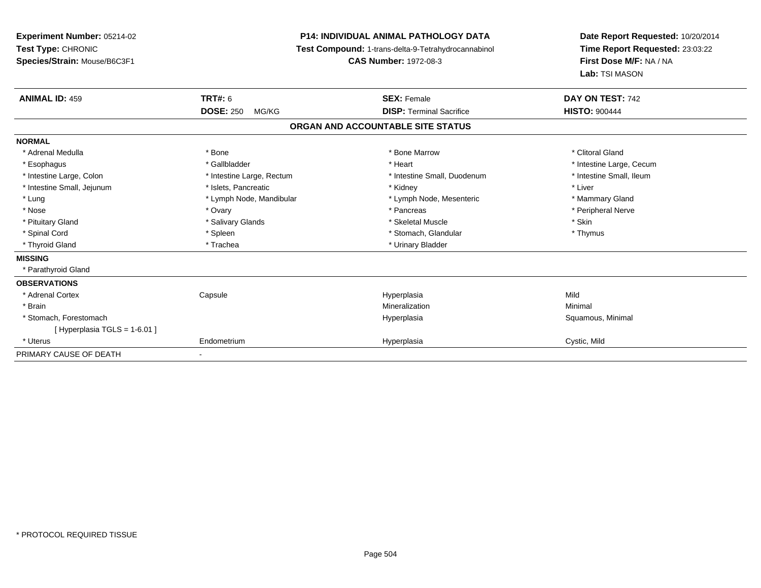**Experiment Number:** 05214-02**Test Type:** CHRONIC **Species/Strain:** Mouse/B6C3F1**P14: INDIVIDUAL ANIMAL PATHOLOGY DATA Test Compound:** 1-trans-delta-9-Tetrahydrocannabinol **CAS Number:** 1972-08-3**Date Report Requested:** 10/20/2014**Time Report Requested:** 23:03:22**First Dose M/F:** NA / NA**Lab:** TSI MASON**ANIMAL ID:** 459 **TRT#:** <sup>6</sup> **SEX:** Female **DAY ON TEST:** <sup>742</sup> **DOSE:** 250 MG/KG **DISP:** Terminal Sacrifice **HISTO:** <sup>900444</sup> **ORGAN AND ACCOUNTABLE SITE STATUSNORMAL**\* Adrenal Medulla \* The state of the state of the state of the state of the Marrow \* Bone Marrow \* Clitoral Gland \* Clitoral Gland \* Esophagus \* https://www.fragustage.com/web/2019/heart \* Heart \* Heart \* Heart \* Intestine Large, Cecum \* Intestine Large, Cecum \* Sallbladder \* The state of the state of the state of the state of the state of the state o \* Intestine Small, Ileum \* Intestine Large, Colon \* Intestine Large, Rectum \* Intestine Small, Duodenum \* Intestine Small, Duodenum \* Intestine Small, Jejunum \* 1992 \* The state of the state of the state of the state of the state of the state of the state of the state of the state of the state of the state of the state of the state of the state of the \* Lung **\* Lymph Node, Mandibular \*** Lymph Node, Mesenteric \* Mammary Gland \* Mammary Gland \* Peripheral Nerve \* Nose \* Ovary \* Pancreas \* Peripheral Nerve\* Pituitary Gland \* \* \* \* Salivary Glands \* \* \* Salivary Glands \* \* \$keletal Muscle \* \* \* \* \* \$kin \* \* \$kin \* \* Thymus \* Spinal Cord \* Spinal Cord \* Spinal Cord \* Stomach, Glandular \* Spinal Cord \* Stomach, Glandular \* Thyroid Gland \* Trachea \* Trachea \* Trachea \* Urinary Bladder **MISSING** \* Parathyroid Gland**OBSERVATIONS** \* Adrenal Cortex**Capsule**  Hyperplasia Mild \* Brainn and the controller of the controller of the controller of the Mineralization and the controller of the Minimal \* Stomach, Forestomachh anns an t-aiste anns an t-aiste anns an t-aiste anns an t-aiste anns an t-aiste anns an t-aiste anns an t-aiste an t-aiste anns an t-aiste an t-aiste anns an t-aiste anns an t-aiste anns an t-aiste anns an t-aiste anns a  $[$  Hyperplasia TGLS = 1-6.01 ] \* Uterus Endometriumm **Example 2018** Hyperplasia Cystic, Mild PRIMARY CAUSE OF DEATH-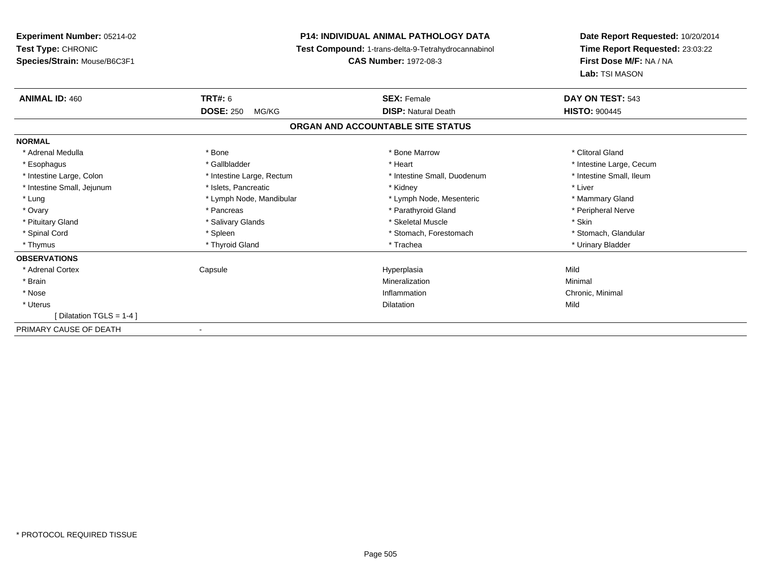## **P14: INDIVIDUAL ANIMAL PATHOLOGY DATA**

**Test Compound:** 1-trans-delta-9-Tetrahydrocannabinol

**CAS Number:** 1972-08-3

| <b>ANIMAL ID: 460</b>      | <b>TRT#:</b> 6            | <b>SEX: Female</b>                | DAY ON TEST: 543         |  |
|----------------------------|---------------------------|-----------------------------------|--------------------------|--|
|                            | <b>DOSE: 250</b><br>MG/KG | <b>DISP: Natural Death</b>        | <b>HISTO: 900445</b>     |  |
|                            |                           | ORGAN AND ACCOUNTABLE SITE STATUS |                          |  |
| <b>NORMAL</b>              |                           |                                   |                          |  |
| * Adrenal Medulla          | * Bone                    | * Bone Marrow                     | * Clitoral Gland         |  |
| * Esophagus                | * Gallbladder             | * Heart                           | * Intestine Large, Cecum |  |
| * Intestine Large, Colon   | * Intestine Large, Rectum | * Intestine Small, Duodenum       | * Intestine Small, Ileum |  |
| * Intestine Small, Jejunum | * Islets, Pancreatic      | * Kidney                          | * Liver                  |  |
| * Lung                     | * Lymph Node, Mandibular  | * Lymph Node, Mesenteric          | * Mammary Gland          |  |
| * Ovary                    | * Pancreas                | * Parathyroid Gland               | * Peripheral Nerve       |  |
| * Pituitary Gland          | * Salivary Glands         | * Skeletal Muscle                 | * Skin                   |  |
| * Spinal Cord              | * Spleen                  | * Stomach, Forestomach            | * Stomach, Glandular     |  |
| * Thymus                   | * Thyroid Gland           | * Trachea                         | * Urinary Bladder        |  |
| <b>OBSERVATIONS</b>        |                           |                                   |                          |  |
| * Adrenal Cortex           | Capsule                   | Hyperplasia                       | Mild                     |  |
| * Brain                    |                           | Mineralization                    | Minimal                  |  |
| * Nose                     |                           | Inflammation                      | Chronic, Minimal         |  |
| * Uterus                   |                           | Dilatation                        | Mild                     |  |
| [Dilatation TGLS = 1-4 ]   |                           |                                   |                          |  |
| PRIMARY CAUSE OF DEATH     |                           |                                   |                          |  |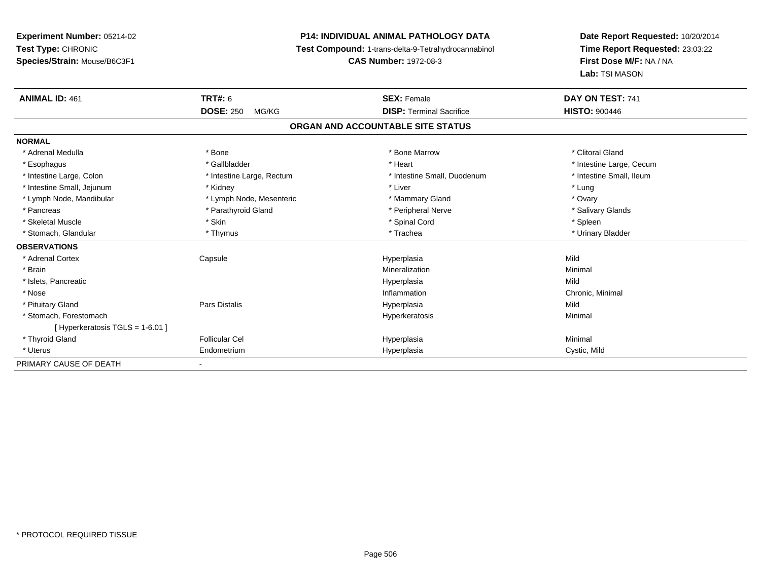# **P14: INDIVIDUAL ANIMAL PATHOLOGY DATA**

**Test Compound:** 1-trans-delta-9-Tetrahydrocannabinol

**CAS Number:** 1972-08-3

| <b>ANIMAL ID: 461</b>             | <b>TRT#: 6</b>            | <b>SEX: Female</b>                | DAY ON TEST: 741         |
|-----------------------------------|---------------------------|-----------------------------------|--------------------------|
|                                   | <b>DOSE: 250</b><br>MG/KG | <b>DISP: Terminal Sacrifice</b>   | <b>HISTO: 900446</b>     |
|                                   |                           | ORGAN AND ACCOUNTABLE SITE STATUS |                          |
| <b>NORMAL</b>                     |                           |                                   |                          |
| * Adrenal Medulla                 | * Bone                    | * Bone Marrow                     | * Clitoral Gland         |
| * Esophagus                       | * Gallbladder             | * Heart                           | * Intestine Large, Cecum |
| * Intestine Large, Colon          | * Intestine Large, Rectum | * Intestine Small, Duodenum       | * Intestine Small, Ileum |
| * Intestine Small, Jejunum        | * Kidney                  | * Liver                           | * Lung                   |
| * Lymph Node, Mandibular          | * Lymph Node, Mesenteric  | * Mammary Gland                   | * Ovary                  |
| * Pancreas                        | * Parathyroid Gland       | * Peripheral Nerve                | * Salivary Glands        |
| * Skeletal Muscle                 | * Skin                    | * Spinal Cord                     | * Spleen                 |
| * Stomach, Glandular              | * Thymus                  | * Trachea                         | * Urinary Bladder        |
| <b>OBSERVATIONS</b>               |                           |                                   |                          |
| * Adrenal Cortex                  | Capsule                   | Hyperplasia                       | Mild                     |
| * Brain                           |                           | Mineralization                    | Minimal                  |
| * Islets, Pancreatic              |                           | Hyperplasia                       | Mild                     |
| * Nose                            |                           | Inflammation                      | Chronic, Minimal         |
| * Pituitary Gland                 | <b>Pars Distalis</b>      | Hyperplasia                       | Mild                     |
| * Stomach. Forestomach            |                           | Hyperkeratosis                    | Minimal                  |
| [Hyperkeratosis $TGLS = 1-6.01$ ] |                           |                                   |                          |
| * Thyroid Gland                   | <b>Follicular Cel</b>     | Hyperplasia                       | Minimal                  |
| * Uterus                          | Endometrium               | Hyperplasia                       | Cystic, Mild             |
| PRIMARY CAUSE OF DEATH            | $\overline{\phantom{a}}$  |                                   |                          |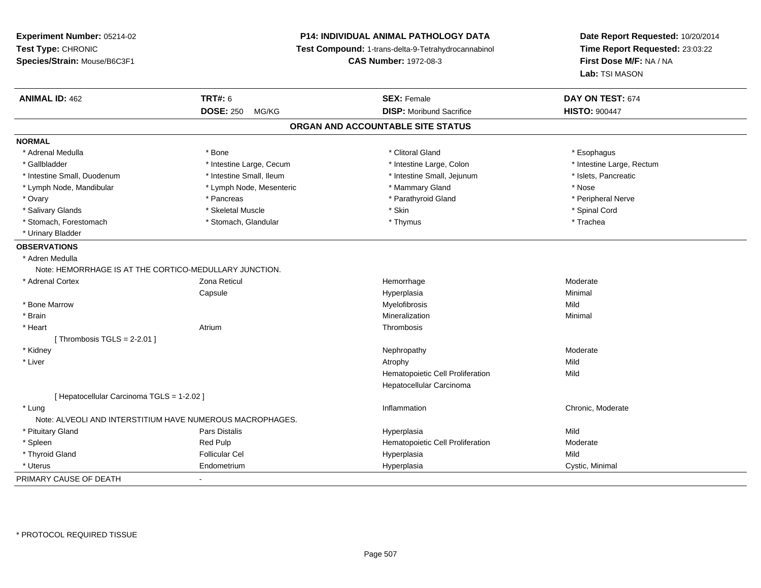**Experiment Number:** 05214-02**Test Type:** CHRONIC **Species/Strain:** Mouse/B6C3F1**P14: INDIVIDUAL ANIMAL PATHOLOGY DATA Test Compound:** 1-trans-delta-9-Tetrahydrocannabinol **CAS Number:** 1972-08-3**Date Report Requested:** 10/20/2014**Time Report Requested:** 23:03:22**First Dose M/F:** NA / NA**Lab:** TSI MASON**ANIMAL ID:** 462**TRT#:** 6 **SEX:** Female **SEX: Female DAY ON TEST:** 674 **DOSE:** 250 MG/KG**DISP:** Moribund Sacrifice **HISTO:**  $900447$ **ORGAN AND ACCOUNTABLE SITE STATUSNORMAL**\* Adrenal Medulla \* Adrenal Medulla \* Bone \* Clitoral Gland \* Esophagus\* Gallbladder \* Thestine Large, Cecum \* Intestine Large, Cecum \* Intestine Large, Colon \* Intestine Large, Rectum \* Intestine Small, Duodenum \* Intestine Small, Ileum \* Intestine Small, Jejunum \* Islets, Pancreatic\* Lymph Node, Mandibular \* The same \* Lymph Node, Mesenteric \* Mammary Gland \* Mammary Gland \* Nose \* Peripheral Nerve \* Ovary \* And the second of the second of the second version of the second version of the second version of the second version of the second version of the second version of the second version of the second version of the \* Salivary Glands \* \* Steeden \* \* Skeletal Muscle \* \* Skin \* \* Skin \* \* Steeden \* Spinal Cord \* Spinal Cord \* Spinal Cord \* Spinal Cord \* Spinal Cord \* Spinal Cord \* Spinal Cord \* Spinal Cord \* Spinal Cord \* Spinal Cord \* \* Stomach, Forestomach \* Trachea \* Stomach, Glandular \* Thymus \* Thymus \* Trachea \* Trachea \* Urinary Bladder**OBSERVATIONS** \* Adren Medulla Note: HEMORRHAGE IS AT THE CORTICO-MEDULLARY JUNCTION. \* Adrenal Cortex Zona Reticul Hemorrhage Moderate Capsule Hyperplasia Minimal \* Bone Marroww which is a state of the Myelofibrosis and the Myelofibrosis and the Mild of the Mild of the Mild of the Mild of the Mild of the Mild of the Mild of the Mild of the Mild of the Mild of the Mild of the Mild of the Mild of \* Brainn and the controller of the controller of the Mineralization and the controller of the Minimal of the Minimal <br>The Minimal of the controller of the controller of the controller of the controller of the controller of the c \* Heart Atriumm **Thrombosis** [ Thrombosis  $TGLS = 2-2.01$  ] \* Kidneyy which is a state of the control of the Moderate of the Moderate of the Moderate of the Moderate of the Moderate of the Moderate of the Moderate of the Moderate of the Moderate of the Moderate of the Moderate of the Moder \* Liverr and the control of the control of the control of the control of the control of the control of the control of y Mild Mild Hematopoietic Cell Proliferationn Mild Hepatocellular Carcinoma[ Hepatocellular Carcinoma TGLS = 1-2.02 ] \* Lungg is a controller to the controller of the controller of the controller of the chronic, Moderate of the chronic, Moderate of the chronic, Moderate of the chronic, Moderate of the chronic, Moderate of the chronic, Moderate Note: ALVEOLI AND INTERSTITIUM HAVE NUMEROUS MACROPHAGES. \* Pituitary Gland Pars Distalis Hyperplasia Mild \* Spleen Red Pulp Hematopoietic Cell Proliferation Moderate \* Thyroid Gland Follicular Cel Hyperplasia Mild \* Uterus Endometriumm Cystic, Minimal Cystic, Minimal PRIMARY CAUSE OF DEATH-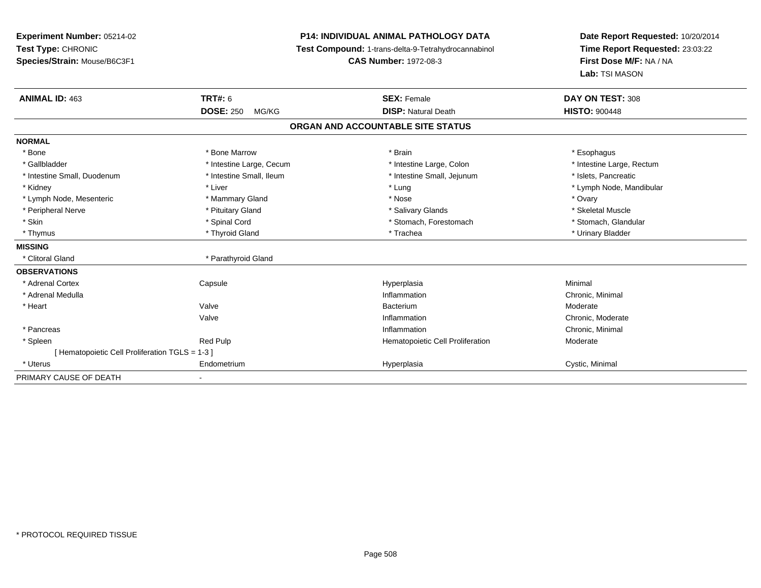## **P14: INDIVIDUAL ANIMAL PATHOLOGY DATA**

**Test Compound:** 1-trans-delta-9-Tetrahydrocannabinol

**CAS Number:** 1972-08-3

| <b>ANIMAL ID: 463</b>                         | TRT#: 6<br><b>DOSE: 250</b><br>MG/KG | <b>SEX: Female</b><br><b>DISP: Natural Death</b> | DAY ON TEST: 308<br><b>HISTO: 900448</b> |
|-----------------------------------------------|--------------------------------------|--------------------------------------------------|------------------------------------------|
|                                               |                                      | ORGAN AND ACCOUNTABLE SITE STATUS                |                                          |
| <b>NORMAL</b>                                 |                                      |                                                  |                                          |
| * Bone                                        | * Bone Marrow                        | * Brain                                          | * Esophagus                              |
| * Gallbladder                                 | * Intestine Large, Cecum             | * Intestine Large, Colon                         | * Intestine Large, Rectum                |
| * Intestine Small, Duodenum                   | * Intestine Small, Ileum             | * Intestine Small, Jejunum                       | * Islets, Pancreatic                     |
| * Kidney                                      | * Liver                              | * Lung                                           | * Lymph Node, Mandibular                 |
| * Lymph Node, Mesenteric                      | * Mammary Gland                      | * Nose                                           | * Ovary                                  |
| * Peripheral Nerve                            | * Pituitary Gland                    | * Salivary Glands                                | * Skeletal Muscle                        |
| * Skin                                        | * Spinal Cord                        | * Stomach, Forestomach                           | * Stomach, Glandular                     |
| * Thymus                                      | * Thyroid Gland                      | * Trachea                                        | * Urinary Bladder                        |
| <b>MISSING</b>                                |                                      |                                                  |                                          |
| * Clitoral Gland                              | * Parathyroid Gland                  |                                                  |                                          |
| <b>OBSERVATIONS</b>                           |                                      |                                                  |                                          |
| * Adrenal Cortex                              | Capsule                              | Hyperplasia                                      | Minimal                                  |
| * Adrenal Medulla                             |                                      | Inflammation                                     | Chronic, Minimal                         |
| * Heart                                       | Valve                                | Bacterium                                        | Moderate                                 |
|                                               | Valve                                | Inflammation                                     | Chronic, Moderate                        |
| * Pancreas                                    |                                      | Inflammation                                     | Chronic, Minimal                         |
| * Spleen                                      | <b>Red Pulp</b>                      | Hematopoietic Cell Proliferation                 | Moderate                                 |
| [Hematopoietic Cell Proliferation TGLS = 1-3] |                                      |                                                  |                                          |
| * Uterus                                      | Endometrium                          | Hyperplasia                                      | Cystic, Minimal                          |
| PRIMARY CAUSE OF DEATH                        | $\blacksquare$                       |                                                  |                                          |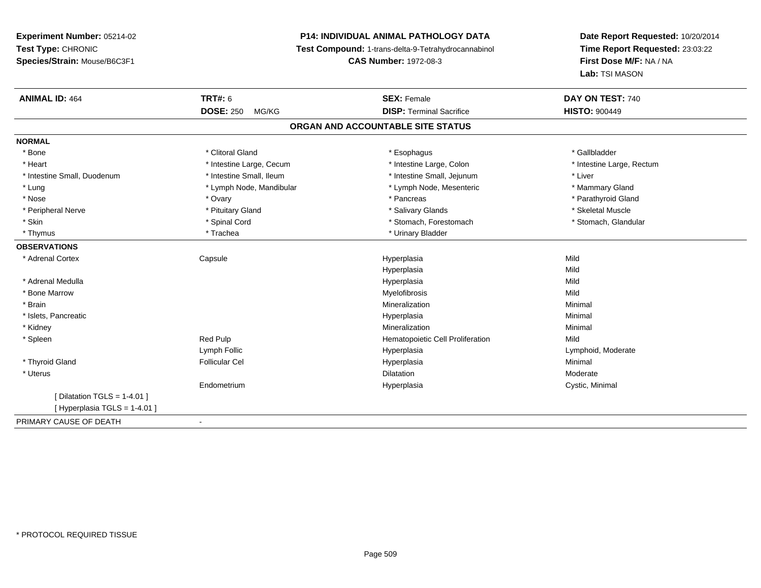## **P14: INDIVIDUAL ANIMAL PATHOLOGY DATA**

**Test Compound:** 1-trans-delta-9-Tetrahydrocannabinol

**CAS Number:** 1972-08-3

| <b>ANIMAL ID: 464</b>          | <b>TRT#: 6</b>            | <b>SEX: Female</b>                | DAY ON TEST: 740          |  |
|--------------------------------|---------------------------|-----------------------------------|---------------------------|--|
|                                | <b>DOSE: 250</b><br>MG/KG | <b>DISP: Terminal Sacrifice</b>   | <b>HISTO: 900449</b>      |  |
|                                |                           | ORGAN AND ACCOUNTABLE SITE STATUS |                           |  |
| <b>NORMAL</b>                  |                           |                                   |                           |  |
| * Bone                         | * Clitoral Gland          | * Esophagus                       | * Gallbladder             |  |
| * Heart                        | * Intestine Large, Cecum  | * Intestine Large, Colon          | * Intestine Large, Rectum |  |
| * Intestine Small, Duodenum    | * Intestine Small, Ileum  | * Intestine Small, Jejunum        | * Liver                   |  |
| * Lung                         | * Lymph Node, Mandibular  | * Lymph Node, Mesenteric          | * Mammary Gland           |  |
| * Nose                         | * Ovary                   | * Pancreas                        | * Parathyroid Gland       |  |
| * Peripheral Nerve             | * Pituitary Gland         | * Salivary Glands                 | * Skeletal Muscle         |  |
| * Skin                         | * Spinal Cord             | * Stomach, Forestomach            | * Stomach, Glandular      |  |
| * Thymus                       | * Trachea                 | * Urinary Bladder                 |                           |  |
| <b>OBSERVATIONS</b>            |                           |                                   |                           |  |
| * Adrenal Cortex               | Capsule                   | Hyperplasia                       | Mild                      |  |
|                                |                           | Hyperplasia                       | Mild                      |  |
| * Adrenal Medulla              |                           | Hyperplasia                       | Mild                      |  |
| * Bone Marrow                  |                           | Myelofibrosis                     | Mild                      |  |
| * Brain                        |                           | Mineralization                    | Minimal                   |  |
| * Islets, Pancreatic           |                           | Hyperplasia                       | Minimal                   |  |
| * Kidney                       |                           | Mineralization                    | Minimal                   |  |
| * Spleen                       | Red Pulp                  | Hematopoietic Cell Proliferation  | Mild                      |  |
|                                | Lymph Follic              | Hyperplasia                       | Lymphoid, Moderate        |  |
| * Thyroid Gland                | <b>Follicular Cel</b>     | Hyperplasia                       | Minimal                   |  |
| * Uterus                       |                           | <b>Dilatation</b>                 | Moderate                  |  |
|                                | Endometrium               | Hyperplasia                       | Cystic, Minimal           |  |
| [ Dilatation TGLS = $1-4.01$ ] |                           |                                   |                           |  |
| [ Hyperplasia TGLS = 1-4.01 ]  |                           |                                   |                           |  |
| PRIMARY CAUSE OF DEATH         | $\overline{\phantom{a}}$  |                                   |                           |  |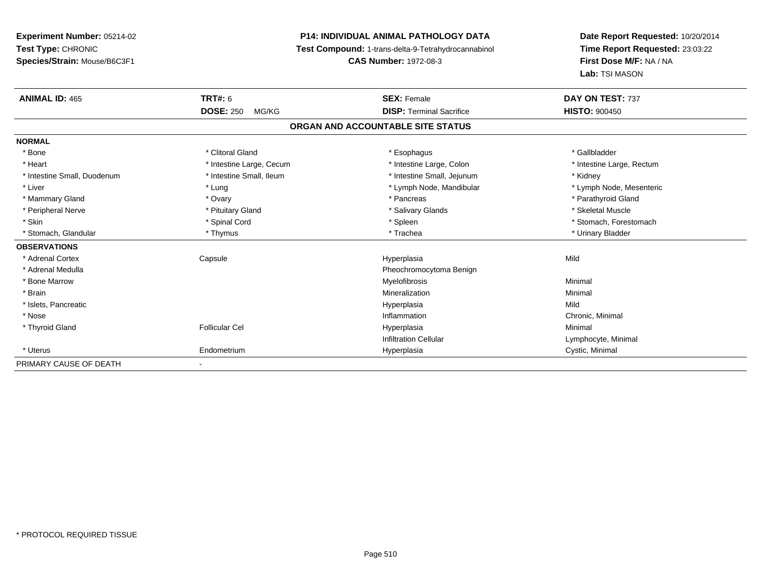## **P14: INDIVIDUAL ANIMAL PATHOLOGY DATA**

**Test Compound:** 1-trans-delta-9-Tetrahydrocannabinol

**CAS Number:** 1972-08-3

| <b>ANIMAL ID: 465</b>       | TRT#: 6                   | <b>SEX: Female</b>                | DAY ON TEST: 737          |  |
|-----------------------------|---------------------------|-----------------------------------|---------------------------|--|
|                             | <b>DOSE: 250</b><br>MG/KG | <b>DISP: Terminal Sacrifice</b>   | <b>HISTO: 900450</b>      |  |
|                             |                           | ORGAN AND ACCOUNTABLE SITE STATUS |                           |  |
| <b>NORMAL</b>               |                           |                                   |                           |  |
| * Bone                      | * Clitoral Gland          | * Esophagus                       | * Gallbladder             |  |
| * Heart                     | * Intestine Large, Cecum  | * Intestine Large, Colon          | * Intestine Large, Rectum |  |
| * Intestine Small, Duodenum | * Intestine Small, Ileum  | * Intestine Small, Jejunum        | * Kidney                  |  |
| * Liver                     | * Lung                    | * Lymph Node, Mandibular          | * Lymph Node, Mesenteric  |  |
| * Mammary Gland             | * Ovary                   | * Pancreas                        | * Parathyroid Gland       |  |
| * Peripheral Nerve          | * Pituitary Gland         | * Salivary Glands                 | * Skeletal Muscle         |  |
| * Skin                      | * Spinal Cord             | * Spleen                          | * Stomach, Forestomach    |  |
| * Stomach, Glandular        | * Thymus                  | * Trachea                         | * Urinary Bladder         |  |
| <b>OBSERVATIONS</b>         |                           |                                   |                           |  |
| * Adrenal Cortex            | Capsule                   | Hyperplasia                       | Mild                      |  |
| * Adrenal Medulla           |                           | Pheochromocytoma Benign           |                           |  |
| * Bone Marrow               |                           | Myelofibrosis                     | Minimal                   |  |
| * Brain                     |                           | Mineralization                    | Minimal                   |  |
| * Islets, Pancreatic        |                           | Hyperplasia                       | Mild                      |  |
| * Nose                      |                           | Inflammation                      | Chronic, Minimal          |  |
| * Thyroid Gland             | <b>Follicular Cel</b>     | Hyperplasia                       | Minimal                   |  |
|                             |                           | Infiltration Cellular             | Lymphocyte, Minimal       |  |
| * Uterus                    | Endometrium               | Hyperplasia                       | Cystic, Minimal           |  |
| PRIMARY CAUSE OF DEATH      | $\overline{\phantom{0}}$  |                                   |                           |  |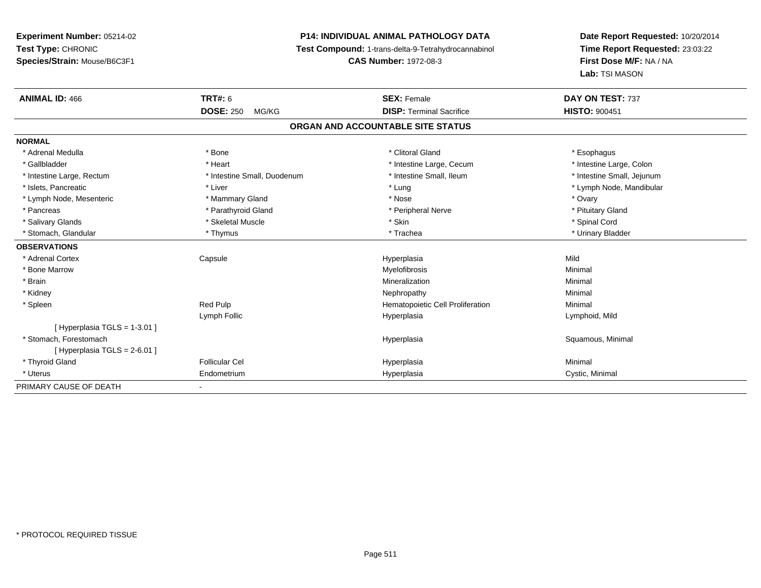## **P14: INDIVIDUAL ANIMAL PATHOLOGY DATA**

**Test Compound:** 1-trans-delta-9-Tetrahydrocannabinol

**CAS Number:** 1972-08-3

| <b>ANIMAL ID: 466</b>         | TRT#: 6                     | <b>SEX: Female</b>                | DAY ON TEST: 737           |
|-------------------------------|-----------------------------|-----------------------------------|----------------------------|
|                               | <b>DOSE: 250</b><br>MG/KG   | <b>DISP: Terminal Sacrifice</b>   | <b>HISTO: 900451</b>       |
|                               |                             | ORGAN AND ACCOUNTABLE SITE STATUS |                            |
| <b>NORMAL</b>                 |                             |                                   |                            |
| * Adrenal Medulla             | * Bone                      | * Clitoral Gland                  | * Esophagus                |
| * Gallbladder                 | * Heart                     | * Intestine Large, Cecum          | * Intestine Large, Colon   |
| * Intestine Large, Rectum     | * Intestine Small, Duodenum | * Intestine Small, Ileum          | * Intestine Small, Jejunum |
| * Islets, Pancreatic          | * Liver                     | * Lung                            | * Lymph Node, Mandibular   |
| * Lymph Node, Mesenteric      | * Mammary Gland             | * Nose                            | * Ovary                    |
| * Pancreas                    | * Parathyroid Gland         | * Peripheral Nerve                | * Pituitary Gland          |
| * Salivary Glands             | * Skeletal Muscle           | * Skin                            | * Spinal Cord              |
| * Stomach, Glandular          | * Thymus                    | * Trachea                         | * Urinary Bladder          |
| <b>OBSERVATIONS</b>           |                             |                                   |                            |
| * Adrenal Cortex              | Capsule                     | Hyperplasia                       | Mild                       |
| * Bone Marrow                 |                             | Myelofibrosis                     | Minimal                    |
| * Brain                       |                             | Mineralization                    | Minimal                    |
| * Kidney                      |                             | Nephropathy                       | Minimal                    |
| * Spleen                      | <b>Red Pulp</b>             | Hematopoietic Cell Proliferation  | Minimal                    |
|                               | Lymph Follic                | Hyperplasia                       | Lymphoid, Mild             |
| [Hyperplasia TGLS = 1-3.01]   |                             |                                   |                            |
| * Stomach. Forestomach        |                             | Hyperplasia                       | Squamous, Minimal          |
| [ Hyperplasia TGLS = 2-6.01 ] |                             |                                   |                            |
| * Thyroid Gland               | <b>Follicular Cel</b>       | Hyperplasia                       | Minimal                    |
| * Uterus                      | Endometrium                 | Hyperplasia                       | Cystic, Minimal            |
| PRIMARY CAUSE OF DEATH        |                             |                                   |                            |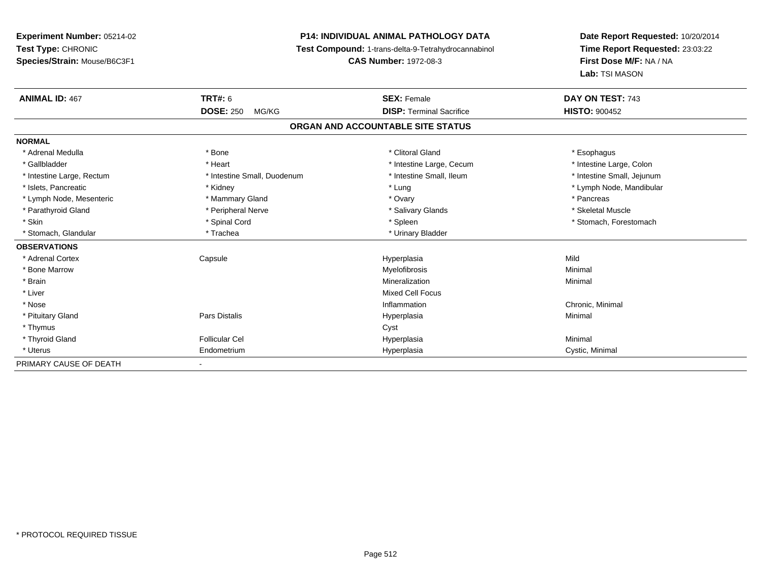## **P14: INDIVIDUAL ANIMAL PATHOLOGY DATA**

**Test Compound:** 1-trans-delta-9-Tetrahydrocannabinol

**CAS Number:** 1972-08-3

| <b>ANIMAL ID: 467</b>     | <b>TRT#: 6</b>              | <b>SEX: Female</b>                | DAY ON TEST: 743           |  |
|---------------------------|-----------------------------|-----------------------------------|----------------------------|--|
|                           | <b>DOSE: 250</b><br>MG/KG   | <b>DISP: Terminal Sacrifice</b>   | <b>HISTO: 900452</b>       |  |
|                           |                             | ORGAN AND ACCOUNTABLE SITE STATUS |                            |  |
| <b>NORMAL</b>             |                             |                                   |                            |  |
| * Adrenal Medulla         | * Bone                      | * Clitoral Gland                  | * Esophagus                |  |
| * Gallbladder             | * Heart                     | * Intestine Large, Cecum          | * Intestine Large, Colon   |  |
| * Intestine Large, Rectum | * Intestine Small, Duodenum | * Intestine Small, Ileum          | * Intestine Small, Jejunum |  |
| * Islets, Pancreatic      | * Kidney                    | * Lung                            | * Lymph Node, Mandibular   |  |
| * Lymph Node, Mesenteric  | * Mammary Gland             | * Ovary                           | * Pancreas                 |  |
| * Parathyroid Gland       | * Peripheral Nerve          | * Salivary Glands                 | * Skeletal Muscle          |  |
| * Skin                    | * Spinal Cord               | * Spleen                          | * Stomach, Forestomach     |  |
| * Stomach, Glandular      | * Trachea                   | * Urinary Bladder                 |                            |  |
| <b>OBSERVATIONS</b>       |                             |                                   |                            |  |
| * Adrenal Cortex          | Capsule                     | Hyperplasia                       | Mild                       |  |
| * Bone Marrow             |                             | Myelofibrosis                     | Minimal                    |  |
| * Brain                   |                             | Mineralization                    | Minimal                    |  |
| * Liver                   |                             | <b>Mixed Cell Focus</b>           |                            |  |
| * Nose                    |                             | Inflammation                      | Chronic, Minimal           |  |
| * Pituitary Gland         | Pars Distalis               | Hyperplasia                       | Minimal                    |  |
| * Thymus                  |                             | Cyst                              |                            |  |
| * Thyroid Gland           | Follicular Cel              | Hyperplasia                       | Minimal                    |  |
| * Uterus                  | Endometrium                 | Hyperplasia                       | Cystic, Minimal            |  |
| PRIMARY CAUSE OF DEATH    | $\blacksquare$              |                                   |                            |  |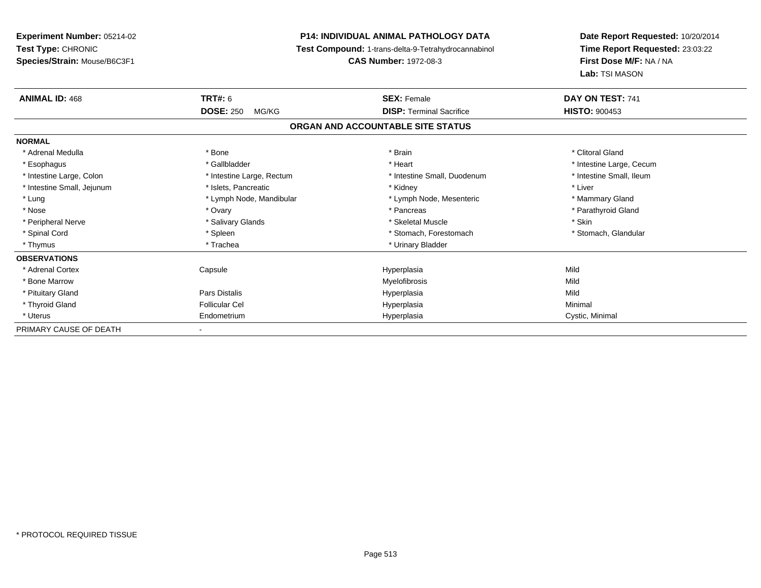**Experiment Number:** 05214-02**Test Type:** CHRONIC **Species/Strain:** Mouse/B6C3F1**P14: INDIVIDUAL ANIMAL PATHOLOGY DATA Test Compound:** 1-trans-delta-9-Tetrahydrocannabinol **CAS Number:** 1972-08-3**Date Report Requested:** 10/20/2014**Time Report Requested:** 23:03:22**First Dose M/F:** NA / NA**Lab:** TSI MASON**ANIMAL ID:** 468**EX:** Female **DAY ON TEST:** 741 **DOSE:** 250 MG/KG **DISP:** Terminal Sacrifice **HISTO:** <sup>900453</sup> **ORGAN AND ACCOUNTABLE SITE STATUSNORMAL**\* Adrenal Medulla \* The state of the state of the state of the state of the state of the state of the state of the state of the state of the state of the state of the state of the state of the state of the state of the sta \* Esophagus \* https://www.fragustage.com/web/2019/heart \* Heart \* Heart \* Heart \* Intestine Large, Cecum \* Intestine Large, Cecum \* Sallbladder \* The state of the state of the state of the state of the state of the state o \* Intestine Small, Ileum \* Intestine Large, Colon \* Intestine Large, Rectum \* Intestine Small, Duodenum \* Intestine Small, Duodenum \* Intestine Small, Jejunum \* 1992 \* The state of the state of the state of the state of the state of the state of the state of the state of the state of the state of the state of the state of the state of the state of the \* Lung **\* Lymph Node, Mandibular \*** Lymph Node, Mesenteric \* Mammary Gland \* Mammary Gland \* Parathyroid Gland \* Nose \* Ovary \* Pancreas \* Parathyroid Gland \* Peripheral Nerve \* Salivary Glands \* Skeletal Muscle \* Skin\* Stomach, Glandular \* Spinal Cord \* Spinal Cord \* Spinal Cord \* Stomach, Forestomach \* Spinal Cord \* Stomach, Forestomach \* Thymus \* Trachea \* Trachea \* Urinary Bladder \* Urinary Bladder **OBSERVATIONS** \* Adrenal Cortex Capsule Hyperplasia Mild \* Bone Marroww which is a state of the Myelofibrosis and the Myelofibrosis and the Mild of the Mild of the Mild of the Mild of the Mild of the Mild of the Mild of the Mild of the Mild of the Mild of the Mild of the Mild of the Mild of \* Pituitary Gland Pars Distalis Hyperplasia Mild \* Thyroid Gland Follicular Cel Hyperplasia Minimal \* Uterus Endometriumm Cystic, Minimal Cystic, Minimal PRIMARY CAUSE OF DEATH-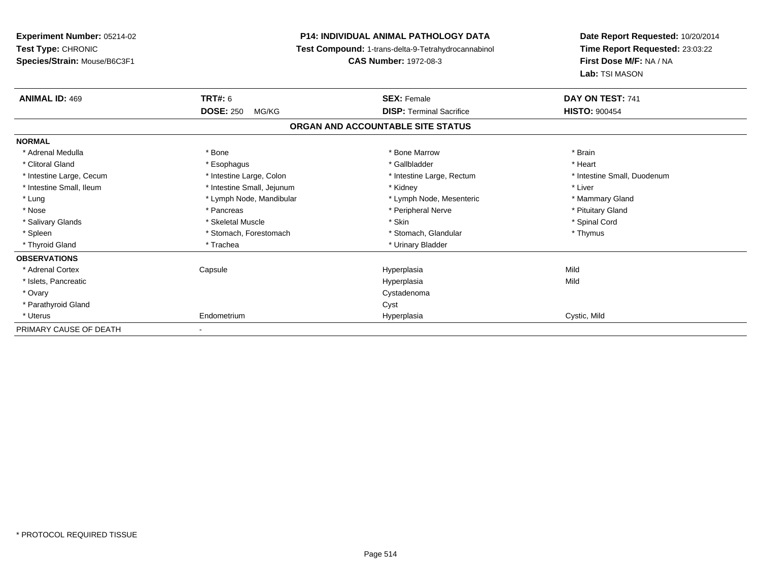| <b>Experiment Number: 05214-02</b> |                            | <b>P14: INDIVIDUAL ANIMAL PATHOLOGY DATA</b>        | Date Report Requested: 10/20/2014                          |  |
|------------------------------------|----------------------------|-----------------------------------------------------|------------------------------------------------------------|--|
| Test Type: CHRONIC                 |                            | Test Compound: 1-trans-delta-9-Tetrahydrocannabinol | Time Report Requested: 23:03:22<br>First Dose M/F: NA / NA |  |
| Species/Strain: Mouse/B6C3F1       |                            | <b>CAS Number: 1972-08-3</b>                        |                                                            |  |
|                                    |                            |                                                     | Lab: TSI MASON                                             |  |
| <b>ANIMAL ID: 469</b>              | <b>TRT#: 6</b>             | <b>SEX: Female</b>                                  | DAY ON TEST: 741                                           |  |
|                                    | <b>DOSE: 250</b><br>MG/KG  | <b>DISP: Terminal Sacrifice</b>                     | <b>HISTO: 900454</b>                                       |  |
|                                    |                            | ORGAN AND ACCOUNTABLE SITE STATUS                   |                                                            |  |
| <b>NORMAL</b>                      |                            |                                                     |                                                            |  |
| * Adrenal Medulla                  | * Bone                     | * Bone Marrow                                       | * Brain                                                    |  |
| * Clitoral Gland                   | * Esophagus                | * Gallbladder                                       | * Heart                                                    |  |
| * Intestine Large, Cecum           | * Intestine Large, Colon   | * Intestine Large, Rectum                           | * Intestine Small, Duodenum                                |  |
| * Intestine Small, Ileum           | * Intestine Small, Jejunum | * Kidney                                            | * Liver                                                    |  |
| * Lung                             | * Lymph Node, Mandibular   | * Lymph Node, Mesenteric                            | * Mammary Gland                                            |  |
| * Nose                             | * Pancreas                 | * Peripheral Nerve                                  | * Pituitary Gland                                          |  |
| * Salivary Glands                  | * Skeletal Muscle          | * Skin                                              | * Spinal Cord                                              |  |
| * Spleen                           | * Stomach, Forestomach     | * Stomach, Glandular                                | * Thymus                                                   |  |
| * Thyroid Gland                    | * Trachea                  | * Urinary Bladder                                   |                                                            |  |
| <b>OBSERVATIONS</b>                |                            |                                                     |                                                            |  |
| * Adrenal Cortex                   | Capsule                    | Hyperplasia                                         | Mild                                                       |  |
| * Islets, Pancreatic               |                            | Hyperplasia                                         | Mild                                                       |  |
| * Ovary                            |                            | Cystadenoma                                         |                                                            |  |
| * Parathyroid Gland                |                            | Cyst                                                |                                                            |  |
| * Uterus                           | Endometrium                | Hyperplasia                                         | Cystic, Mild                                               |  |
| PRIMARY CAUSE OF DEATH             |                            |                                                     |                                                            |  |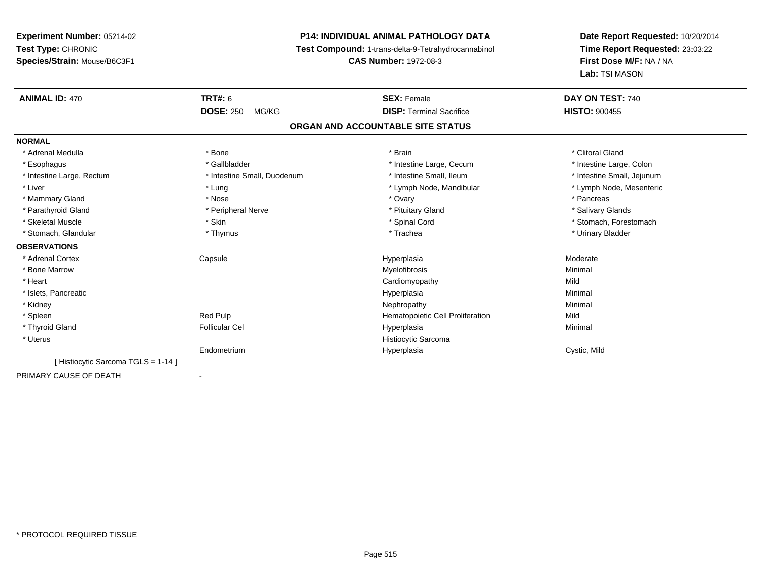# **P14: INDIVIDUAL ANIMAL PATHOLOGY DATA**

**Test Compound:** 1-trans-delta-9-Tetrahydrocannabinol

**CAS Number:** 1972-08-3

| <b>ANIMAL ID: 470</b>             | TRT#: 6<br><b>DOSE: 250</b><br>MG/KG | <b>SEX: Female</b><br><b>DISP: Terminal Sacrifice</b> | DAY ON TEST: 740<br><b>HISTO: 900455</b> |
|-----------------------------------|--------------------------------------|-------------------------------------------------------|------------------------------------------|
|                                   |                                      | ORGAN AND ACCOUNTABLE SITE STATUS                     |                                          |
| <b>NORMAL</b>                     |                                      |                                                       |                                          |
| * Adrenal Medulla                 | * Bone                               | * Brain                                               | * Clitoral Gland                         |
| * Esophagus                       | * Gallbladder                        | * Intestine Large, Cecum                              | * Intestine Large, Colon                 |
| * Intestine Large, Rectum         | * Intestine Small, Duodenum          | * Intestine Small. Ileum                              | * Intestine Small, Jejunum               |
| * Liver                           | * Lung                               | * Lymph Node, Mandibular                              | * Lymph Node, Mesenteric                 |
| * Mammary Gland                   | * Nose                               | * Ovary                                               | * Pancreas                               |
| * Parathyroid Gland               | * Peripheral Nerve                   | * Pituitary Gland                                     | * Salivary Glands                        |
| * Skeletal Muscle                 | * Skin                               | * Spinal Cord                                         | * Stomach, Forestomach                   |
| * Stomach, Glandular              | * Thymus                             | * Trachea                                             | * Urinary Bladder                        |
| <b>OBSERVATIONS</b>               |                                      |                                                       |                                          |
| * Adrenal Cortex                  | Capsule                              | Hyperplasia                                           | Moderate                                 |
| * Bone Marrow                     |                                      | Myelofibrosis                                         | Minimal                                  |
| * Heart                           |                                      | Cardiomyopathy                                        | Mild                                     |
| * Islets, Pancreatic              |                                      | Hyperplasia                                           | Minimal                                  |
| * Kidney                          |                                      | Nephropathy                                           | Minimal                                  |
| * Spleen                          | Red Pulp                             | Hematopoietic Cell Proliferation                      | Mild                                     |
| * Thyroid Gland                   | <b>Follicular Cel</b>                | Hyperplasia                                           | Minimal                                  |
| * Uterus                          |                                      | Histiocytic Sarcoma                                   |                                          |
|                                   | Endometrium                          | Hyperplasia                                           | Cystic, Mild                             |
| [Histiocytic Sarcoma TGLS = 1-14] |                                      |                                                       |                                          |
| PRIMARY CAUSE OF DEATH            |                                      |                                                       |                                          |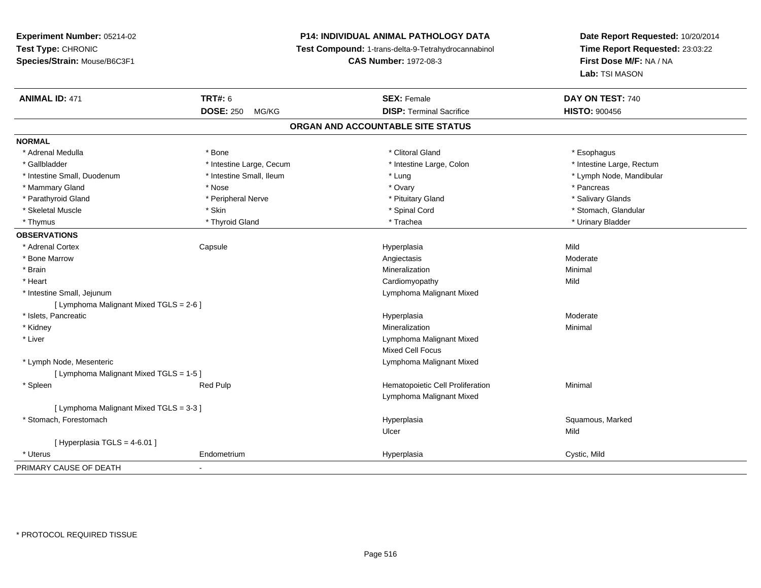# **P14: INDIVIDUAL ANIMAL PATHOLOGY DATA**

**Test Compound:** 1-trans-delta-9-Tetrahydrocannabinol

**CAS Number:** 1972-08-3

| <b>ANIMAL ID: 471</b>                   | <b>TRT#: 6</b>            | <b>SEX: Female</b>                | DAY ON TEST: 740          |  |
|-----------------------------------------|---------------------------|-----------------------------------|---------------------------|--|
|                                         | <b>DOSE: 250</b><br>MG/KG | <b>DISP: Terminal Sacrifice</b>   | <b>HISTO: 900456</b>      |  |
|                                         |                           | ORGAN AND ACCOUNTABLE SITE STATUS |                           |  |
| <b>NORMAL</b>                           |                           |                                   |                           |  |
| * Adrenal Medulla                       | * Bone                    | * Clitoral Gland                  | * Esophagus               |  |
| * Gallbladder                           | * Intestine Large, Cecum  | * Intestine Large, Colon          | * Intestine Large, Rectum |  |
| * Intestine Small, Duodenum             | * Intestine Small, Ileum  | * Lung                            | * Lymph Node, Mandibular  |  |
| * Mammary Gland                         | * Nose                    | * Ovary                           | * Pancreas                |  |
| * Parathyroid Gland                     | * Peripheral Nerve        | * Pituitary Gland                 | * Salivary Glands         |  |
| * Skeletal Muscle                       | * Skin                    | * Spinal Cord                     | * Stomach, Glandular      |  |
| * Thymus                                | * Thyroid Gland           | * Trachea                         | * Urinary Bladder         |  |
| <b>OBSERVATIONS</b>                     |                           |                                   |                           |  |
| * Adrenal Cortex                        | Capsule                   | Hyperplasia                       | Mild                      |  |
| * Bone Marrow                           |                           | Angiectasis                       | Moderate                  |  |
| * Brain                                 |                           | Mineralization                    | Minimal                   |  |
| * Heart                                 |                           | Cardiomyopathy                    | Mild                      |  |
| * Intestine Small, Jejunum              |                           | Lymphoma Malignant Mixed          |                           |  |
| [ Lymphoma Malignant Mixed TGLS = 2-6 ] |                           |                                   |                           |  |
| * Islets, Pancreatic                    |                           | Hyperplasia                       | Moderate                  |  |
| * Kidney                                |                           | Mineralization                    | Minimal                   |  |
| * Liver                                 |                           | Lymphoma Malignant Mixed          |                           |  |
|                                         |                           | <b>Mixed Cell Focus</b>           |                           |  |
| * Lymph Node, Mesenteric                |                           | Lymphoma Malignant Mixed          |                           |  |
| [ Lymphoma Malignant Mixed TGLS = 1-5 ] |                           |                                   |                           |  |
| * Spleen                                | Red Pulp                  | Hematopoietic Cell Proliferation  | Minimal                   |  |
|                                         |                           | Lymphoma Malignant Mixed          |                           |  |
| [ Lymphoma Malignant Mixed TGLS = 3-3 ] |                           |                                   |                           |  |
| * Stomach, Forestomach                  |                           | Hyperplasia                       | Squamous, Marked          |  |
|                                         |                           | Ulcer                             | Mild                      |  |
| [ Hyperplasia TGLS = 4-6.01 ]           |                           |                                   |                           |  |
| * Uterus                                | Endometrium               | Hyperplasia                       | Cystic, Mild              |  |
| PRIMARY CAUSE OF DEATH                  | ٠                         |                                   |                           |  |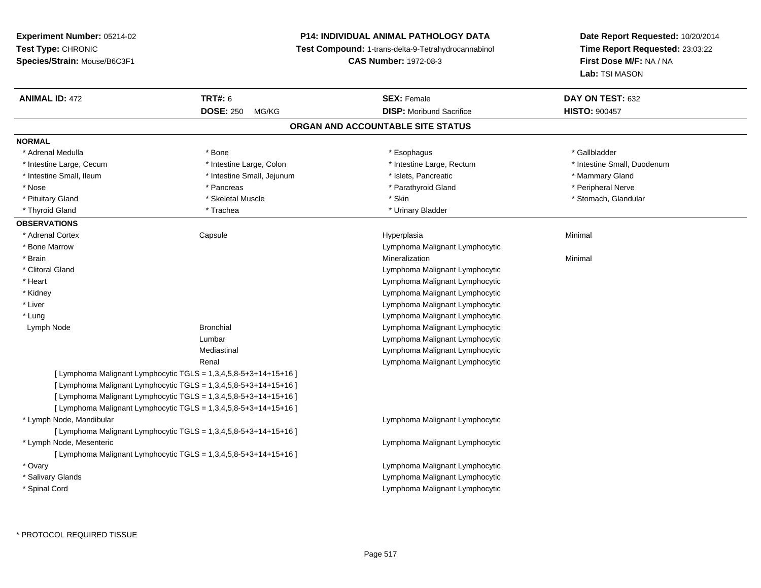# **P14: INDIVIDUAL ANIMAL PATHOLOGY DATA**

**Test Compound:** 1-trans-delta-9-Tetrahydrocannabinol

**CAS Number:** 1972-08-3

| <b>ANIMAL ID: 472</b>    | <b>TRT#: 6</b>                                                   | <b>SEX: Female</b>                | DAY ON TEST: 632            |
|--------------------------|------------------------------------------------------------------|-----------------------------------|-----------------------------|
|                          | <b>DOSE: 250</b><br>MG/KG                                        | <b>DISP:</b> Moribund Sacrifice   | <b>HISTO: 900457</b>        |
|                          |                                                                  | ORGAN AND ACCOUNTABLE SITE STATUS |                             |
| <b>NORMAL</b>            |                                                                  |                                   |                             |
| * Adrenal Medulla        | * Bone                                                           | * Esophagus                       | * Gallbladder               |
| * Intestine Large, Cecum | * Intestine Large, Colon                                         | * Intestine Large, Rectum         | * Intestine Small, Duodenum |
| * Intestine Small, Ileum | * Intestine Small, Jejunum                                       | * Islets, Pancreatic              | * Mammary Gland             |
| * Nose                   | * Pancreas                                                       | * Parathyroid Gland               | * Peripheral Nerve          |
| * Pituitary Gland        | * Skeletal Muscle                                                | * Skin                            | * Stomach, Glandular        |
| * Thyroid Gland          | * Trachea                                                        | * Urinary Bladder                 |                             |
| <b>OBSERVATIONS</b>      |                                                                  |                                   |                             |
| * Adrenal Cortex         | Capsule                                                          | Hyperplasia                       | Minimal                     |
| * Bone Marrow            |                                                                  | Lymphoma Malignant Lymphocytic    |                             |
| * Brain                  |                                                                  | Mineralization                    | Minimal                     |
| * Clitoral Gland         |                                                                  | Lymphoma Malignant Lymphocytic    |                             |
| * Heart                  |                                                                  | Lymphoma Malignant Lymphocytic    |                             |
| * Kidney                 |                                                                  | Lymphoma Malignant Lymphocytic    |                             |
| * Liver                  |                                                                  | Lymphoma Malignant Lymphocytic    |                             |
| * Lung                   |                                                                  | Lymphoma Malignant Lymphocytic    |                             |
| Lymph Node               | <b>Bronchial</b>                                                 | Lymphoma Malignant Lymphocytic    |                             |
|                          | Lumbar                                                           | Lymphoma Malignant Lymphocytic    |                             |
|                          | Mediastinal                                                      | Lymphoma Malignant Lymphocytic    |                             |
|                          | Renal                                                            | Lymphoma Malignant Lymphocytic    |                             |
|                          | [ Lymphoma Malignant Lymphocytic TGLS = 1,3,4,5,8-5+3+14+15+16 ] |                                   |                             |
|                          | [ Lymphoma Malignant Lymphocytic TGLS = 1,3,4,5,8-5+3+14+15+16 ] |                                   |                             |
|                          | [ Lymphoma Malignant Lymphocytic TGLS = 1,3,4,5,8-5+3+14+15+16 ] |                                   |                             |
|                          | [ Lymphoma Malignant Lymphocytic TGLS = 1,3,4,5,8-5+3+14+15+16 ] |                                   |                             |
| * Lymph Node, Mandibular |                                                                  | Lymphoma Malignant Lymphocytic    |                             |
|                          | [ Lymphoma Malignant Lymphocytic TGLS = 1,3,4,5,8-5+3+14+15+16 ] |                                   |                             |
| * Lymph Node, Mesenteric |                                                                  | Lymphoma Malignant Lymphocytic    |                             |
|                          | [ Lymphoma Malignant Lymphocytic TGLS = 1,3,4,5,8-5+3+14+15+16 ] |                                   |                             |
| * Ovary                  |                                                                  | Lymphoma Malignant Lymphocytic    |                             |
| * Salivary Glands        |                                                                  | Lymphoma Malignant Lymphocytic    |                             |
| * Spinal Cord            |                                                                  | Lymphoma Malignant Lymphocytic    |                             |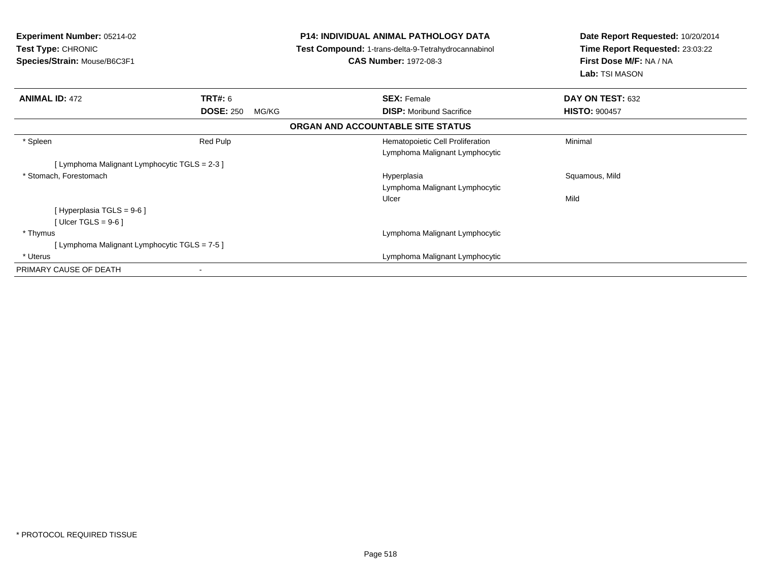| <b>Experiment Number: 05214-02</b><br><b>Test Type: CHRONIC</b><br>Species/Strain: Mouse/B6C3F1 | <b>P14: INDIVIDUAL ANIMAL PATHOLOGY DATA</b><br>Test Compound: 1-trans-delta-9-Tetrahydrocannabinol<br><b>CAS Number: 1972-08-3</b> | Date Report Requested: 10/20/2014<br>Time Report Requested: 23:03:22<br>First Dose M/F: NA / NA<br>Lab: TSI MASON |
|-------------------------------------------------------------------------------------------------|-------------------------------------------------------------------------------------------------------------------------------------|-------------------------------------------------------------------------------------------------------------------|
| <b>ANIMAL ID: 472</b><br><b>TRT#:</b> 6                                                         | <b>SEX: Female</b>                                                                                                                  | DAY ON TEST: 632                                                                                                  |
| <b>DOSE: 250</b><br>MG/KG                                                                       | <b>DISP:</b> Moribund Sacrifice                                                                                                     | <b>HISTO: 900457</b>                                                                                              |
|                                                                                                 | ORGAN AND ACCOUNTABLE SITE STATUS                                                                                                   |                                                                                                                   |
| * Spleen<br>Red Pulp                                                                            | Hematopoietic Cell Proliferation<br>Lymphoma Malignant Lymphocytic                                                                  | Minimal                                                                                                           |
| [Lymphoma Malignant Lymphocytic TGLS = 2-3 ]                                                    |                                                                                                                                     |                                                                                                                   |
| * Stomach, Forestomach                                                                          | Hyperplasia<br>Lymphoma Malignant Lymphocytic<br>Ulcer                                                                              | Squamous, Mild<br>Mild                                                                                            |
| [ Hyperplasia TGLS = 9-6 ]<br>[ Ulcer TGLS = 9-6 ]                                              |                                                                                                                                     |                                                                                                                   |
| * Thymus                                                                                        | Lymphoma Malignant Lymphocytic                                                                                                      |                                                                                                                   |
| [Lymphoma Malignant Lymphocytic TGLS = 7-5]                                                     |                                                                                                                                     |                                                                                                                   |
| * Uterus                                                                                        | Lymphoma Malignant Lymphocytic                                                                                                      |                                                                                                                   |
| PRIMARY CAUSE OF DEATH                                                                          |                                                                                                                                     |                                                                                                                   |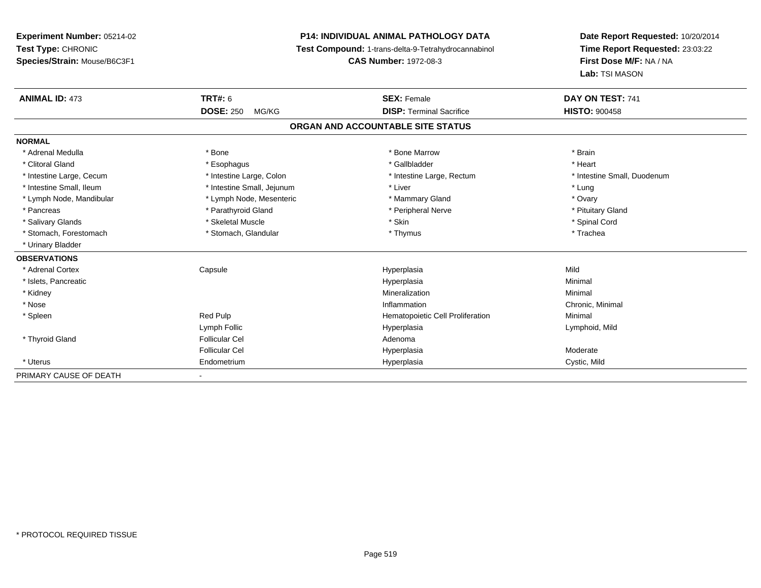**Experiment Number:** 05214-02**Test Type:** CHRONIC **Species/Strain:** Mouse/B6C3F1**P14: INDIVIDUAL ANIMAL PATHOLOGY DATA Test Compound:** 1-trans-delta-9-Tetrahydrocannabinol **CAS Number:** 1972-08-3**Date Report Requested:** 10/20/2014**Time Report Requested:** 23:03:22**First Dose M/F:** NA / NA**Lab:** TSI MASON**ANIMAL ID:** 473 **TRT#:** <sup>6</sup> **SEX:** Female **DAY ON TEST:** <sup>741</sup> **DOSE:** 250 MG/KG **DISP:** Terminal Sacrifice **HISTO:** <sup>900458</sup> **ORGAN AND ACCOUNTABLE SITE STATUSNORMAL**\* Adrenal Medulla \* \* Annual Medulla \* Brain \* Bone \* \* Bone Marrow \* Bone Marrow \* \* Brain \* Brain \* Brain \* Brain \* Brain \* Brain \* Brain \* Brain \* Brain \* Brain \* Brain \* Brain \* Brain \* Brain \* Brain \* Brain \* Brain \* \* Heart \* Clitoral Gland \* \* \* heart \* \* Esophagus \* \* \* \* \* \* \* \* \* \* \* Gallbladder \* \* \* \* \* \* \* \* \* \* \* \* Heart \* Intestine Large, Cecum \* Intestine Large, Colon \* Intestine Large, Thestine Large, Rectum \* Intestine Small, Duodenum \* Intestine Small, Ileum \* Thestine Small, Jejunum \* Liver \* Liver \* Liver \* Lung \* Lung \* Lung \* Ovary \* Lymph Node, Mandibular \* Lymph Node, Mesenteric \* Mammary Gland \* Mammary Gland \* Pituitary Gland \* Pancreas \* Pancreas \* Parathyroid Gland \* Pancreas \* Peripheral Nerve \* Salivary Glands \* \* Steeden \* \* Skeletal Muscle \* \* Skin \* \* Skin \* \* Steeden \* Spinal Cord \* Spinal Cord \* Spinal Cord \* Spinal Cord \* Spinal Cord \* Spinal Cord \* Spinal Cord \* Spinal Cord \* Spinal Cord \* Spinal Cord \* \* Stomach, Forestomach \* Trachea \* Stomach, Glandular \* Thymus \* Thymus \* The metal \* Trachea \* Urinary Bladder**OBSERVATIONS** \* Adrenal Cortex Capsule Hyperplasia Mild \* Islets, Pancreaticc description of the control of the control of the control of the control of the control of the control of the control of the control of the control of the control of the control of the control of the control of the contro a and a studies of the studies of the Minimal \* Kidneyy with the control of the control of the control of the control of the control of the control of the control of the control of the control of the control of the control of the control of the control of the control of the c n Minimal \* Nosee inflammation control of the control of the control of the control of the control of the control of the control of the control of the control of the control of the control of the control of the control of the control of t \* SpleenRed Pulp **Minimal Hematopoietic Cell Proliferation Minimal** Lymph Follic Hyperplasia Lymphoid, Mild \* Thyroid Glandd and the set of the Follicular Cel the set of the Second Adenomal Adenomal Second Second Second Second Second Second Second Second Second Second Second Second Second Second Second Second Second Second Second Second Second Follicular Cel Hyperplasiaa **Moderate**  \* Uterus Endometrium Hyperplasia Cystic, Mild PRIMARY CAUSE OF DEATH-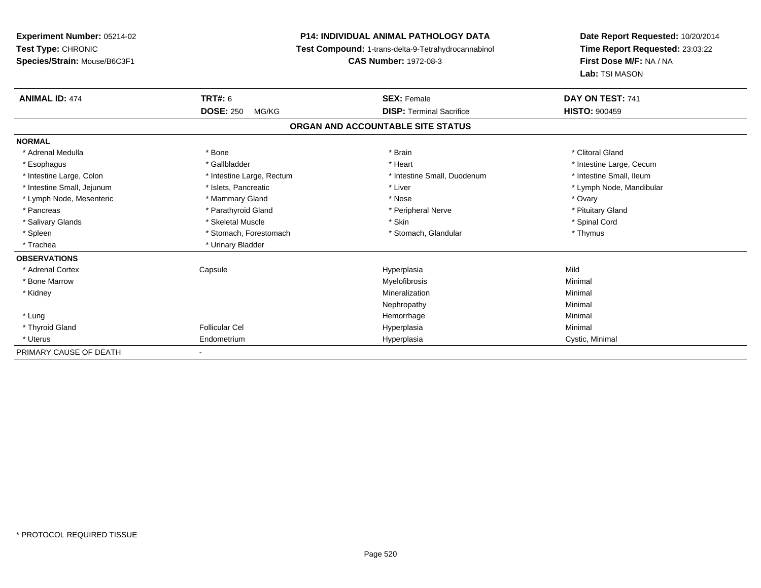**Experiment Number:** 05214-02**Test Type:** CHRONIC **Species/Strain:** Mouse/B6C3F1**P14: INDIVIDUAL ANIMAL PATHOLOGY DATA Test Compound:** 1-trans-delta-9-Tetrahydrocannabinol **CAS Number:** 1972-08-3**Date Report Requested:** 10/20/2014**Time Report Requested:** 23:03:22**First Dose M/F:** NA / NA**Lab:** TSI MASON**ANIMAL ID:** 474 **TRT#:** <sup>6</sup> **SEX:** Female **DAY ON TEST:** <sup>741</sup> **DOSE:** 250 MG/KG**DISP:** Terminal Sacrifice **HISTO:**  $900459$ **ORGAN AND ACCOUNTABLE SITE STATUSNORMAL**\* Adrenal Medulla \* The state of the state of the state of the state of the state of the state of the state of the state of the state of the state of the state of the state of the state of the state of the state of the sta \* Esophagus \* https://www.fragustage.com/web/2019/heart \* Heart \* Heart \* Heart \* Intestine Large, Cecum \* Intestine Large, Cecum \* Sallbladder \* The state of the state of the state of the state of the state of the state o \* Intestine Small, Ileum \* Intestine Large, Colon \* Intestine Large, Rectum \* Intestine Small, Duodenum \* Intestine Small, Duodenum \* Intestine Small, Jejunum \* \* et \* \* http://www.fat.com/mandibulary.com/mandibulary/state/state/state/state/state/state/state/state/state/state/state/state/state/state/state/state/state/state/state/state/state/state/state \* Lymph Node, Mesenteric \* \* \* Mammary Gland \* \* Nose \* Nose \* Ovary \* Ovary \* Ovary \* Ovary \* Ovary \* Ovary \* Ovary \* Pituitary Gland \* Pancreas \* Pancreas \* Parathyroid Gland \* Pancreas \* Peripheral Nerve \* Salivary Glands \* \* Steeden \* \* Skeletal Muscle \* \* Skin \* \* Skin \* \* Steeden \* Spinal Cord \* Spinal Cord \* Spinal Cord \* Spinal Cord \* Spinal Cord \* Spinal Cord \* Spinal Cord \* Spinal Cord \* Spinal Cord \* Spinal Cord \* \* Spleen \* Stomach, Forestomach \* Stomach \* Stomach, Glandular \* Stomach, Glandular \* Thymus \* Trachea \* Urinary Bladder**OBSERVATIONS** \* Adrenal Cortex Capsule Hyperplasia Mild \* Bone Marroww which is a controller to the Myelofibrosis and the Minimal method of the Minimal method of the Minimal method of the Minimal method of the Minimal method of the Minimal method of the Minimal method of the Minimal method \* Kidneyy with the control of the control of the control of the control of the control of the control of the control of the control of the control of the control of the control of the control of the control of the control of the c n Minimal Nephropathyy the contract of the Minimal Minimal Section 1996 and the contract of the Minimal Section 1997 and the contract of the contract of the contract of the contract of the contract of the contract of the contract of the contra \* Lungg and the state of the state of the state of the state of the Minimal Section 1, the state of the state of the Minimal Section 1, the state of the state of the state of the state of the state of the state of the state of t \* Thyroid Gland Follicular Cel Hyperplasia Minimal \* Uterus Endometriumm Cystic, Minimal Cystic, Minimal PRIMARY CAUSE OF DEATH-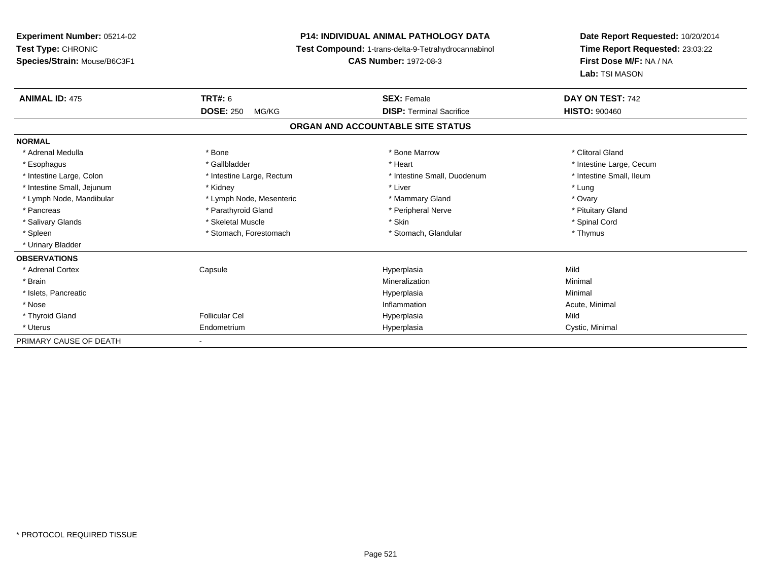**Experiment Number:** 05214-02**Test Type:** CHRONIC **Species/Strain:** Mouse/B6C3F1**P14: INDIVIDUAL ANIMAL PATHOLOGY DATA Test Compound:** 1-trans-delta-9-Tetrahydrocannabinol **CAS Number:** 1972-08-3**Date Report Requested:** 10/20/2014**Time Report Requested:** 23:03:22**First Dose M/F:** NA / NA**Lab:** TSI MASON**ANIMAL ID:** 475 **TRT#:** <sup>6</sup> **SEX:** Female **DAY ON TEST:** <sup>742</sup> **DOSE:** 250 MG/KG**DISP:** Terminal Sacrifice **HISTO:**  $900460$ **ORGAN AND ACCOUNTABLE SITE STATUSNORMAL**\* Adrenal Medulla \* The state of the state of the state of the state of the Marrow \* Bone Marrow \* Clitoral Gland \* Clitoral Gland \* Esophagus \* https://www.fragustage.com/web/2019/heart \* Heart \* Heart \* Heart \* Intestine Large, Cecum \* Intestine Large, Cecum \* Sallbladder \* The state of the state of the state of the state of the state of the state o \* Intestine Small, Ileum \* Intestine Large, Colon \* Intestine Large, Rectum \* Intestine Small, Duodenum \* Intestine Small, Duodenum \* Intestine Small, Jejunum \* \* Nidney \* Kidney \* Notation \* Liver \* Liver \* Liver \* Lung \* Lung \* Lung \* Lung \* Lung \* Lung \* Lung \* Lung \* Lung \* Lung \* Lung \* Lung \* Lung \* Lung \* Lung \* Lung \* Lung \* Lung \* Lung \* Lung \* Ovary \* Lymph Node, Mandibular \* Lymph Node, Mesenteric \* Mammary Gland \* Mammary Gland \* Pituitary Gland \* Pancreas \* Pancreas \* Parathyroid Gland \* Pancreas \* Peripheral Nerve \* Salivary Glands \* \* Steeden \* \* Skeletal Muscle \* \* Skin \* \* Skin \* \* Steeden \* Spinal Cord \* Spinal Cord \* Spinal Cord \* Spinal Cord \* Spinal Cord \* Spinal Cord \* Spinal Cord \* Spinal Cord \* Spinal Cord \* Spinal Cord \* \* Spleen \* Stomach, Forestomach \* Stomach \* Stomach, Glandular \* Stomach, Glandular \* Thymus \* Urinary Bladder**OBSERVATIONS** \* Adrenal Cortex Capsule Hyperplasia Mild \* Brainn and the controller of the controller of the Mineralization and the controller of the Minimal of the Minimal <br>The Minimal of the controller of the controller of the controller of the controller of the controller of the c \* Islets, Pancreaticc description of the control of the control of the control of the control of the control of the control of the control of the control of the control of the control of the control of the control of the control of the contro a and a studies of the studies of the Minimal \* Nosee the contraction of the contraction of the contraction of the contraction of the contraction of the contraction  $\mathsf{Acute}$ , Minimal \* Thyroid Gland Follicular Cel Hyperplasia Mild \* Uterus Endometriumm Cystic, Minimal Cystic, Minimal PRIMARY CAUSE OF DEATH-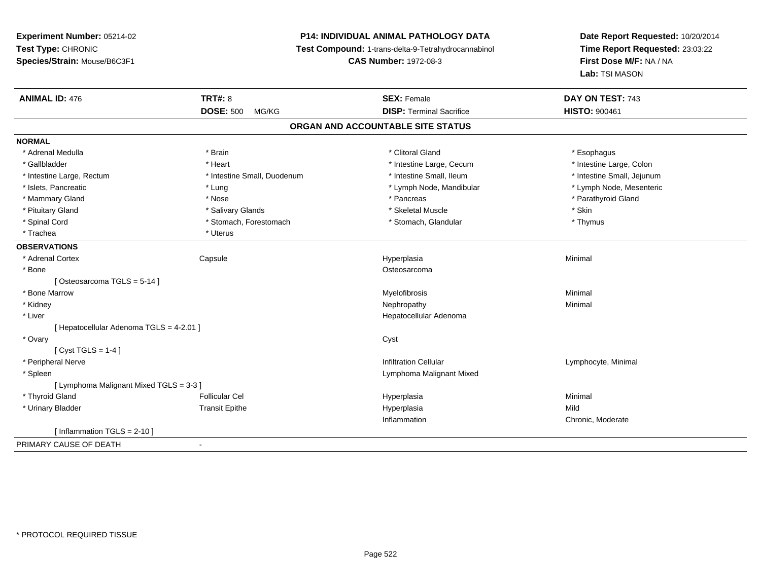## **P14: INDIVIDUAL ANIMAL PATHOLOGY DATA**

**Test Compound:** 1-trans-delta-9-Tetrahydrocannabinol

**CAS Number:** 1972-08-3

| <b>ANIMAL ID: 476</b>                    | <b>TRT#: 8</b><br><b>DOSE: 500</b><br>MG/KG | <b>SEX: Female</b><br><b>DISP: Terminal Sacrifice</b> | DAY ON TEST: 743<br><b>HISTO: 900461</b> |
|------------------------------------------|---------------------------------------------|-------------------------------------------------------|------------------------------------------|
|                                          |                                             |                                                       |                                          |
|                                          |                                             | ORGAN AND ACCOUNTABLE SITE STATUS                     |                                          |
| <b>NORMAL</b>                            |                                             |                                                       |                                          |
| * Adrenal Medulla                        | * Brain                                     | * Clitoral Gland                                      | * Esophagus                              |
| * Gallbladder                            | * Heart                                     | * Intestine Large, Cecum                              | * Intestine Large, Colon                 |
| * Intestine Large, Rectum                | * Intestine Small, Duodenum                 | * Intestine Small, Ileum                              | * Intestine Small, Jejunum               |
| * Islets, Pancreatic                     | * Lung                                      | * Lymph Node, Mandibular                              | * Lymph Node, Mesenteric                 |
| * Mammary Gland                          | * Nose                                      | * Pancreas                                            | * Parathyroid Gland                      |
| * Pituitary Gland                        | * Salivary Glands                           | * Skeletal Muscle                                     | * Skin                                   |
| * Spinal Cord                            | * Stomach, Forestomach                      | * Stomach, Glandular                                  | * Thymus                                 |
| * Trachea                                | * Uterus                                    |                                                       |                                          |
| <b>OBSERVATIONS</b>                      |                                             |                                                       |                                          |
| * Adrenal Cortex                         | Capsule                                     | Hyperplasia                                           | Minimal                                  |
| * Bone                                   |                                             | Osteosarcoma                                          |                                          |
| [Osteosarcoma TGLS = 5-14]               |                                             |                                                       |                                          |
| * Bone Marrow                            |                                             | Myelofibrosis                                         | Minimal                                  |
| * Kidney                                 |                                             | Nephropathy                                           | Minimal                                  |
| * Liver                                  |                                             | Hepatocellular Adenoma                                |                                          |
| [ Hepatocellular Adenoma TGLS = 4-2.01 ] |                                             |                                                       |                                          |
| * Ovary                                  |                                             | Cyst                                                  |                                          |
| [Cyst TGLS = $1-4$ ]                     |                                             |                                                       |                                          |
| * Peripheral Nerve                       |                                             | <b>Infiltration Cellular</b>                          | Lymphocyte, Minimal                      |
| * Spleen                                 |                                             | Lymphoma Malignant Mixed                              |                                          |
| [ Lymphoma Malignant Mixed TGLS = 3-3 ]  |                                             |                                                       |                                          |
| * Thyroid Gland                          | <b>Follicular Cel</b>                       | Hyperplasia                                           | Minimal                                  |
| * Urinary Bladder                        | <b>Transit Epithe</b>                       | Hyperplasia                                           | Mild                                     |
|                                          |                                             | Inflammation                                          | Chronic, Moderate                        |
| [Inflammation TGLS = $2-10$ ]            |                                             |                                                       |                                          |
| PRIMARY CAUSE OF DEATH                   | $\blacksquare$                              |                                                       |                                          |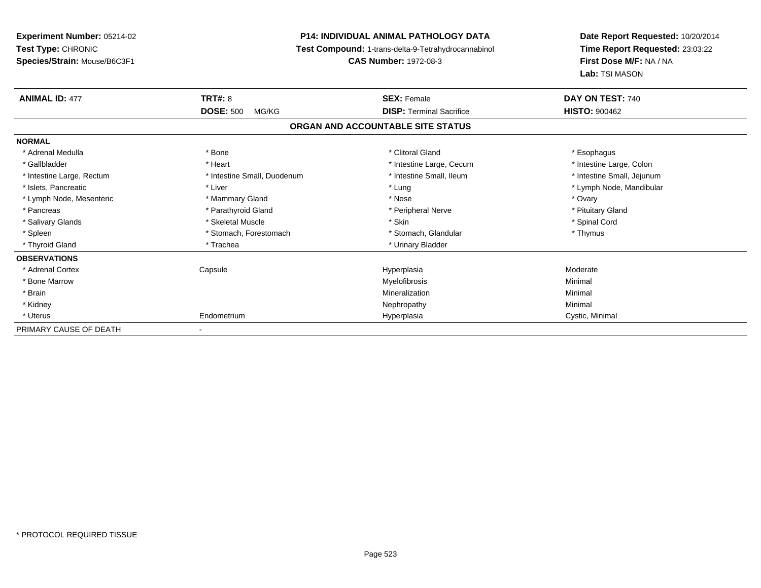**Experiment Number:** 05214-02**Test Type:** CHRONIC **Species/Strain:** Mouse/B6C3F1**P14: INDIVIDUAL ANIMAL PATHOLOGY DATA Test Compound:** 1-trans-delta-9-Tetrahydrocannabinol **CAS Number:** 1972-08-3**Date Report Requested:** 10/20/2014**Time Report Requested:** 23:03:22**First Dose M/F:** NA / NA**Lab:** TSI MASON**ANIMAL ID:** 477**TRT#:** 8 **SEX:** Female **SEX: Female DAY ON TEST:** 740 **DOSE:** 500 MG/KG **DISP:** Terminal Sacrifice **HISTO:** <sup>900462</sup> **ORGAN AND ACCOUNTABLE SITE STATUSNORMAL**\* Adrenal Medulla \* Adrenal Medulla \* Bone \* Clitoral Gland \* Esophagus\* Intestine Large, Colon \* Gallbladder \* The mode of the state of the state of the state of the state of the state of the state of the state of the state of the state of the state of the state of the state of the state of the state of the state of \* Intestine Small, Jejunum \* Intestine Large, Rectum \* Intestine Small, Duodenum \* Intestine Small, Duodenum \* \* Intestine Small, Ileum \* Islets, Pancreatic \* Liver \* Lung \* Lymph Node, Mandibular \* Lymph Node, Mesenteric \* \* \* Mammary Gland \* \* Nose \* Nose \* Ovary \* Ovary \* Ovary \* Ovary \* Ovary \* Ovary \* Ovary \* Pituitary Gland \* Pancreas \* Pancreas \* Parathyroid Gland \* Pancreas \* Peripheral Nerve \* Salivary Glands \* \* Steeden \* \* Skeletal Muscle \* \* Skin \* \* Skin \* \* Steeden \* Spinal Cord \* Spinal Cord \* Spinal Cord \* Spinal Cord \* Spinal Cord \* Spinal Cord \* Spinal Cord \* Spinal Cord \* Spinal Cord \* Spinal Cord \* \* Spleen \* Stomach, Forestomach \* Stomach \* Stomach, Glandular \* Stomach, Glandular \* Thymus \* Thyroid Gland \* Trachea \* Trachea \* Trachea \* Urinary Bladder **OBSERVATIONS** \* Adrenal Cortex Capsulee and the Hyperplasia measurement of the Hyperplasia measurement of the Moderate  $\sim$  \* Bone Marroww which is a controller to the Myelofibrosis and the Minimal method of the Minimal method of the Minimal method of the Minimal method of the Minimal method of the Minimal method of the Minimal method of the Minimal method \* Brainn and the controller of the controller of the Mineralization and the controller of the Minimal of the Minimal <br>The Minimal of the controller of the controller of the controller of the controller of the controller of the c \* Kidneyy the control of the control of the control of the control of the control of the control of the control of the control of the control of the control of the control of the control of the control of the control of the contro \* Uterus Endometriumm Cystic, Minimal Cystic, Minimal PRIMARY CAUSE OF DEATH-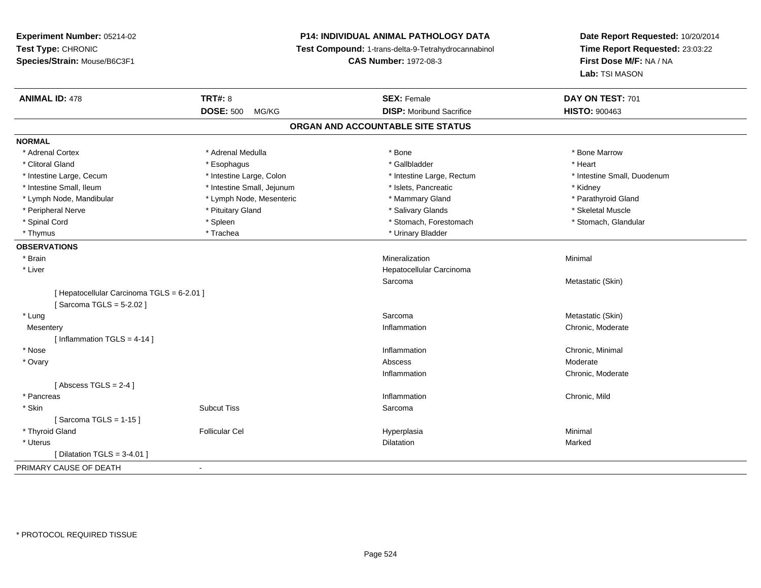## **P14: INDIVIDUAL ANIMAL PATHOLOGY DATA**

**Test Compound:** 1-trans-delta-9-Tetrahydrocannabinol

**CAS Number:** 1972-08-3

| <b>ANIMAL ID: 478</b>                      | <b>TRT#: 8</b>             | <b>SEX: Female</b>                | DAY ON TEST: 701            |
|--------------------------------------------|----------------------------|-----------------------------------|-----------------------------|
|                                            | <b>DOSE: 500</b><br>MG/KG  | <b>DISP:</b> Moribund Sacrifice   | <b>HISTO: 900463</b>        |
|                                            |                            | ORGAN AND ACCOUNTABLE SITE STATUS |                             |
| <b>NORMAL</b>                              |                            |                                   |                             |
| * Adrenal Cortex                           | * Adrenal Medulla          | * Bone                            | * Bone Marrow               |
| * Clitoral Gland                           | * Esophagus                | * Gallbladder                     | * Heart                     |
| * Intestine Large, Cecum                   | * Intestine Large, Colon   | * Intestine Large, Rectum         | * Intestine Small, Duodenum |
| * Intestine Small, Ileum                   | * Intestine Small, Jejunum | * Islets, Pancreatic              | * Kidney                    |
| * Lymph Node, Mandibular                   | * Lymph Node, Mesenteric   | * Mammary Gland                   | * Parathyroid Gland         |
| * Peripheral Nerve                         | * Pituitary Gland          | * Salivary Glands                 | * Skeletal Muscle           |
| * Spinal Cord                              | * Spleen                   | * Stomach, Forestomach            | * Stomach, Glandular        |
| * Thymus                                   | * Trachea                  | * Urinary Bladder                 |                             |
| <b>OBSERVATIONS</b>                        |                            |                                   |                             |
| * Brain                                    |                            | Mineralization                    | Minimal                     |
| * Liver                                    |                            | Hepatocellular Carcinoma          |                             |
|                                            |                            | Sarcoma                           | Metastatic (Skin)           |
| [ Hepatocellular Carcinoma TGLS = 6-2.01 ] |                            |                                   |                             |
| [Sarcoma TGLS = 5-2.02]                    |                            |                                   |                             |
| * Lung                                     |                            | Sarcoma                           | Metastatic (Skin)           |
| Mesentery                                  |                            | Inflammation                      | Chronic, Moderate           |
| [Inflammation TGLS = $4-14$ ]              |                            |                                   |                             |
| * Nose                                     |                            | Inflammation                      | Chronic, Minimal            |
| * Ovary                                    |                            | Abscess                           | Moderate                    |
|                                            |                            | Inflammation                      | Chronic, Moderate           |
| [Abscess TGLS = $2-4$ ]                    |                            |                                   |                             |
| * Pancreas                                 |                            | Inflammation                      | Chronic, Mild               |
| * Skin                                     | <b>Subcut Tiss</b>         | Sarcoma                           |                             |
| [Sarcoma TGLS = 1-15]                      |                            |                                   |                             |
| * Thyroid Gland                            | <b>Follicular Cel</b>      | Hyperplasia                       | Minimal                     |
| * Uterus                                   |                            | Dilatation                        | Marked                      |
| [Dilatation TGLS = $3-4.01$ ]              |                            |                                   |                             |
| PRIMARY CAUSE OF DEATH                     | $\blacksquare$             |                                   |                             |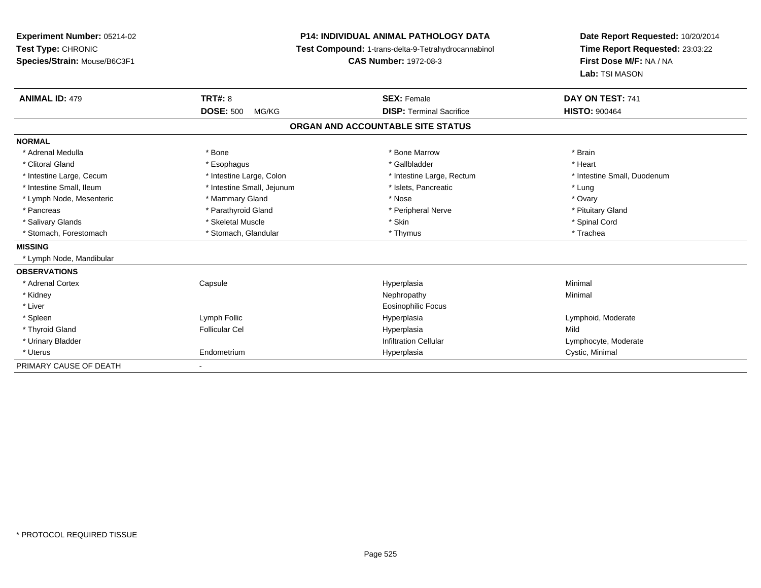| Experiment Number: 05214-02  |                            | <b>P14: INDIVIDUAL ANIMAL PATHOLOGY DATA</b>        | Date Report Requested: 10/20/2014                          |  |
|------------------------------|----------------------------|-----------------------------------------------------|------------------------------------------------------------|--|
| Test Type: CHRONIC           |                            | Test Compound: 1-trans-delta-9-Tetrahydrocannabinol | Time Report Requested: 23:03:22<br>First Dose M/F: NA / NA |  |
| Species/Strain: Mouse/B6C3F1 |                            | <b>CAS Number: 1972-08-3</b>                        |                                                            |  |
|                              |                            |                                                     | Lab: TSI MASON                                             |  |
| <b>ANIMAL ID: 479</b>        | <b>TRT#: 8</b>             | <b>SEX: Female</b>                                  | DAY ON TEST: 741                                           |  |
|                              | <b>DOSE: 500</b><br>MG/KG  | <b>DISP: Terminal Sacrifice</b>                     | <b>HISTO: 900464</b>                                       |  |
|                              |                            | ORGAN AND ACCOUNTABLE SITE STATUS                   |                                                            |  |
| <b>NORMAL</b>                |                            |                                                     |                                                            |  |
| * Adrenal Medulla            | * Bone                     | * Bone Marrow                                       | * Brain                                                    |  |
| * Clitoral Gland             | * Esophagus                | * Gallbladder                                       | * Heart                                                    |  |
| * Intestine Large, Cecum     | * Intestine Large, Colon   | * Intestine Large, Rectum                           | * Intestine Small, Duodenum                                |  |
| * Intestine Small, Ileum     | * Intestine Small, Jejunum | * Islets, Pancreatic                                | * Lung                                                     |  |
| * Lymph Node, Mesenteric     | * Mammary Gland            | * Nose                                              | * Ovary                                                    |  |
| * Pancreas                   | * Parathyroid Gland        | * Peripheral Nerve                                  | * Pituitary Gland                                          |  |
| * Salivary Glands            | * Skeletal Muscle          | * Skin                                              | * Spinal Cord                                              |  |
| * Stomach, Forestomach       | * Stomach, Glandular       | * Thymus                                            | * Trachea                                                  |  |
| <b>MISSING</b>               |                            |                                                     |                                                            |  |
| * Lymph Node, Mandibular     |                            |                                                     |                                                            |  |
| <b>OBSERVATIONS</b>          |                            |                                                     |                                                            |  |
| * Adrenal Cortex             | Capsule                    | Hyperplasia                                         | Minimal                                                    |  |
| * Kidney                     |                            | Nephropathy                                         | Minimal                                                    |  |
| * Liver                      |                            | <b>Eosinophilic Focus</b>                           |                                                            |  |
| * Spleen                     | Lymph Follic               | Hyperplasia                                         | Lymphoid, Moderate                                         |  |
| * Thyroid Gland              | <b>Follicular Cel</b>      | Hyperplasia                                         | Mild                                                       |  |
| * Urinary Bladder            |                            | <b>Infiltration Cellular</b>                        | Lymphocyte, Moderate                                       |  |
| * Uterus                     | Endometrium                | Hyperplasia                                         | Cystic, Minimal                                            |  |
| PRIMARY CAUSE OF DEATH       |                            |                                                     |                                                            |  |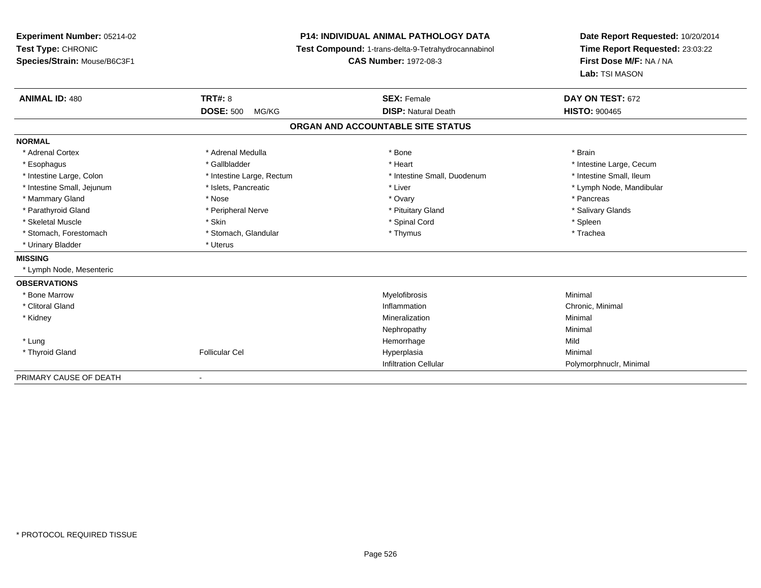## **P14: INDIVIDUAL ANIMAL PATHOLOGY DATA**

**Test Compound:** 1-trans-delta-9-Tetrahydrocannabinol

**CAS Number:** 1972-08-3

| <b>ANIMAL ID: 480</b>      | <b>TRT#: 8</b>            | <b>SEX: Female</b>                | DAY ON TEST: 672         |
|----------------------------|---------------------------|-----------------------------------|--------------------------|
|                            | <b>DOSE: 500</b><br>MG/KG | <b>DISP: Natural Death</b>        | <b>HISTO: 900465</b>     |
|                            |                           | ORGAN AND ACCOUNTABLE SITE STATUS |                          |
| <b>NORMAL</b>              |                           |                                   |                          |
| * Adrenal Cortex           | * Adrenal Medulla         | * Bone                            | * Brain                  |
| * Esophagus                | * Gallbladder             | * Heart                           | * Intestine Large, Cecum |
| * Intestine Large, Colon   | * Intestine Large, Rectum | * Intestine Small, Duodenum       | * Intestine Small, Ileum |
| * Intestine Small, Jejunum | * Islets, Pancreatic      | * Liver                           | * Lymph Node, Mandibular |
| * Mammary Gland            | * Nose                    | * Ovary                           | * Pancreas               |
| * Parathyroid Gland        | * Peripheral Nerve        | * Pituitary Gland                 | * Salivary Glands        |
| * Skeletal Muscle          | * Skin                    | * Spinal Cord                     | * Spleen                 |
| * Stomach, Forestomach     | * Stomach, Glandular      | * Thymus                          | * Trachea                |
| * Urinary Bladder          | * Uterus                  |                                   |                          |
| <b>MISSING</b>             |                           |                                   |                          |
| * Lymph Node, Mesenteric   |                           |                                   |                          |
| <b>OBSERVATIONS</b>        |                           |                                   |                          |
| * Bone Marrow              |                           | Myelofibrosis                     | Minimal                  |
| * Clitoral Gland           |                           | Inflammation                      | Chronic, Minimal         |
| * Kidney                   |                           | Mineralization                    | Minimal                  |
|                            |                           | Nephropathy                       | Minimal                  |
| * Lung                     |                           | Hemorrhage                        | Mild                     |
| * Thyroid Gland            | <b>Follicular Cel</b>     | Hyperplasia                       | Minimal                  |
|                            |                           | <b>Infiltration Cellular</b>      | Polymorphnuclr, Minimal  |
| PRIMARY CAUSE OF DEATH     |                           |                                   |                          |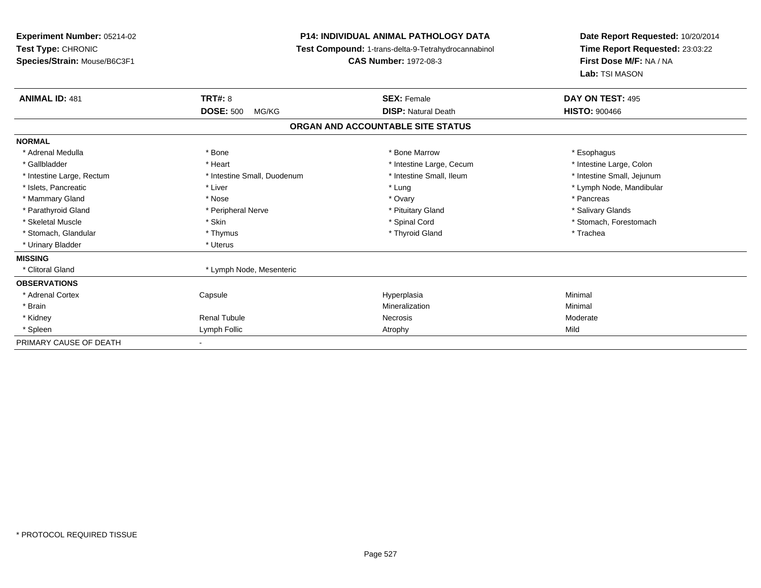**Experiment Number:** 05214-02**Test Type:** CHRONIC **Species/Strain:** Mouse/B6C3F1**P14: INDIVIDUAL ANIMAL PATHOLOGY DATA Test Compound:** 1-trans-delta-9-Tetrahydrocannabinol **CAS Number:** 1972-08-3**Date Report Requested:** 10/20/2014**Time Report Requested:** 23:03:22**First Dose M/F:** NA / NA**Lab:** TSI MASON**ANIMAL ID:** 481**TRT#:** 8 **SEX:** Female **DAY ON TEST:** 495 **DOSE:** 500 MG/KG**DISP:** Natural Death **HISTO:**  $900466$ **ORGAN AND ACCOUNTABLE SITE STATUSNORMAL**\* Adrenal Medulla \* Adrenal Medulla \* \* The matter of the state of the state of the state of the state of the state of the state of the state of the state of the state of the state of the state of the state of the state of the state of the \* Intestine Large, Colon \* Gallbladder \* The matter \* Heart \* Heart \* Intestine Large, Cecum \* Intestine Large, Cecum \* \* Intestine Small, Jejunum \* Intestine Large, Rectum \* Intestine Small, Duodenum \* Intestine Small, Duodenum \* \* Intestine Small, Ileum \* Islets, Pancreatic \* Liver \* Lung \* Lymph Node, Mandibular \* Mammary Gland \* \* Andrew \* Nose \* \* Nose \* \* Ovary \* Ovary \* Ovary \* \* Ovary \* \* Pancreas \* \* Pancreas \* \* Pancreas \* \* Pancreas \* \* Pancreas \* \* Pancreas \* \* Pancreas \* \* Pancreas \* \* Pancreas \* \* Pancreas \* \* Pancreas \* Salivary Glands \* Parathyroid Gland \* \* Andrew \* Peripheral Nerve \* \* Peripheral Nerve \* \* Pituitary Gland \* \* Salivary Glands \* Salivary Glands \* Salivary Glands \* Salivary Glands \* Salivary Glands \* Salivary Glands \* Salivary Glands \* S \* Skeletal Muscle \* The state of the set of the set of the set of the set of the set of the set of the set of the set of the set of the set of the set of the set of the set of the set of the set of the set of the set of th \* Stomach, Glandular \* Thymus \* Thymus \* The store and the store and the store and the store and the store and the store and the store and the store and the store and the store and the store and the store and the store and \* Urinary Bladder \* Uterus **MISSING**\* Clitoral Gland \* Lymph Node, Mesenteric **OBSERVATIONS** \* Adrenal Cortex Capsule Hyperplasia Minimal \* Brainn and the controller of the controller of the controller of the Minimal Mineralization and the controller of the Minimal Minimal  $\alpha$  \* Kidney Renal Tubulee which is a series of the experiment of the Moderate Moderate  $\sim$  Moderate  $\sim$  Moderate  $\sim$  \* Spleenn and the company of the company of the company of the company of the company of the company of the company of  $\mathsf{Mild}$ PRIMARY CAUSE OF DEATH-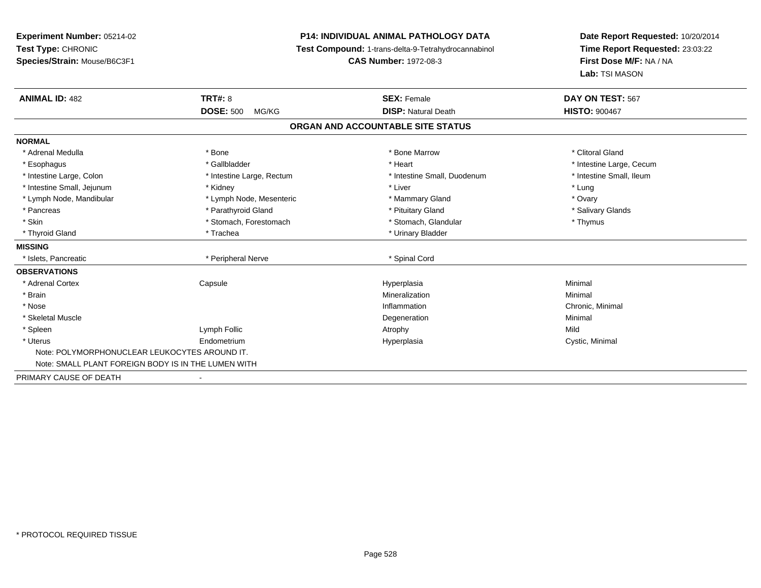## **P14: INDIVIDUAL ANIMAL PATHOLOGY DATA**

**Test Compound:** 1-trans-delta-9-Tetrahydrocannabinol

**CAS Number:** 1972-08-3

| <b>ANIMAL ID: 482</b>                               | <b>TRT#: 8</b><br><b>DOSE: 500</b><br>MG/KG | <b>SEX: Female</b><br><b>DISP: Natural Death</b> | DAY ON TEST: 567<br><b>HISTO: 900467</b> |  |
|-----------------------------------------------------|---------------------------------------------|--------------------------------------------------|------------------------------------------|--|
|                                                     |                                             | ORGAN AND ACCOUNTABLE SITE STATUS                |                                          |  |
| <b>NORMAL</b>                                       |                                             |                                                  |                                          |  |
| * Adrenal Medulla                                   | * Bone                                      | * Bone Marrow                                    | * Clitoral Gland                         |  |
| * Esophagus                                         | * Gallbladder                               | * Heart                                          | * Intestine Large, Cecum                 |  |
| * Intestine Large, Colon                            | * Intestine Large, Rectum                   | * Intestine Small, Duodenum                      | * Intestine Small, Ileum                 |  |
| * Intestine Small, Jejunum                          | * Kidney                                    | * Liver                                          | * Lung                                   |  |
| * Lymph Node, Mandibular                            | * Lymph Node, Mesenteric                    | * Mammary Gland                                  | * Ovary                                  |  |
| * Pancreas                                          | * Parathyroid Gland                         | * Pituitary Gland                                | * Salivary Glands                        |  |
| * Skin                                              | * Stomach, Forestomach                      | * Stomach, Glandular                             | * Thymus                                 |  |
| * Thyroid Gland                                     | * Trachea                                   | * Urinary Bladder                                |                                          |  |
| <b>MISSING</b>                                      |                                             |                                                  |                                          |  |
| * Islets, Pancreatic                                | * Peripheral Nerve                          | * Spinal Cord                                    |                                          |  |
| <b>OBSERVATIONS</b>                                 |                                             |                                                  |                                          |  |
| * Adrenal Cortex                                    | Capsule                                     | Hyperplasia                                      | Minimal                                  |  |
| * Brain                                             |                                             | Mineralization                                   | Minimal                                  |  |
| * Nose                                              |                                             | Inflammation                                     | Chronic, Minimal                         |  |
| * Skeletal Muscle                                   |                                             | Degeneration                                     | Minimal                                  |  |
| * Spleen                                            | Lymph Follic                                | Atrophy                                          | Mild                                     |  |
| * Uterus                                            | Endometrium                                 | Hyperplasia                                      | Cystic, Minimal                          |  |
| Note: POLYMORPHONUCLEAR LEUKOCYTES AROUND IT.       |                                             |                                                  |                                          |  |
| Note: SMALL PLANT FOREIGN BODY IS IN THE LUMEN WITH |                                             |                                                  |                                          |  |
| PRIMARY CAUSE OF DEATH                              | $\overline{\phantom{a}}$                    |                                                  |                                          |  |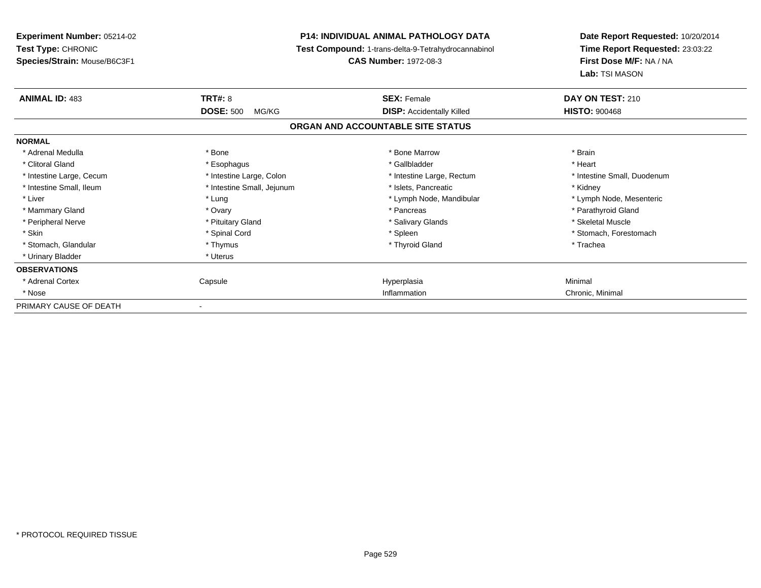**Experiment Number:** 05214-02**Test Type:** CHRONIC **Species/Strain:** Mouse/B6C3F1**P14: INDIVIDUAL ANIMAL PATHOLOGY DATA Test Compound:** 1-trans-delta-9-Tetrahydrocannabinol **CAS Number:** 1972-08-3**Date Report Requested:** 10/20/2014**Time Report Requested:** 23:03:22**First Dose M/F:** NA / NA**Lab:** TSI MASON**ANIMAL ID:** 483**TRT#:** 8 **SEX:** Female **DAY ON TEST:** 210 **DOSE:** 500 MG/KG**DISP:** Accidentally Killed **HISTO:** 900468 **ORGAN AND ACCOUNTABLE SITE STATUSNORMAL**\* Adrenal Medulla \* \* Annual Medulla \* Brain \* Bone \* \* Bone Marrow \* Bone Marrow \* \* Brain \* Brain \* Brain \* Brain \* Brain \* Brain \* Brain \* Brain \* Brain \* Brain \* Brain \* Brain \* Brain \* Brain \* Brain \* Brain \* Brain \* \* Heart \* Clitoral Gland \* \* \* heart \* \* Esophagus \* \* \* \* \* \* \* \* \* \* \* Gallbladder \* \* \* \* \* \* \* \* \* \* \* \* Heart \* Intestine Large, Cecum \* Intestine Large, Colon \* Intestine Large, Thestine Large, Rectum \* Intestine Small, Duodenum \* Intestine Small, Ileum \* **Alleman \* Intestine Small, Jejunum** \* The \* Islets, Pancreatic \* \* \* Kidney \* Kidney \* Liver which the state of the state of the state of the state of the state of the state of the state of the state of the state of the state of the state of the state of the state of the state of the state of the state of \* Mammary Gland \* \* Andrew \* Ovary \* Andrew \* Ovary \* Pancreas \* Pancreas \* \* Pancreas \* \* Pancreas \* \* Pancreas \* \* Pancreas \* \* Pancreas \* \* Pancreas \* \* Pancreas \* \* Pancreas \* \* Pancreas \* \* Pancreas \* \* Pancreas \* \* P \* Peripheral Nerve \* \* \* Aliundration of the term of the state of the term of the state of the state of the state of the state of the state of the state of the state of the state of the state of the state of the state of t \* Skin \* Spinal Cord \* Spinal Cord \* Spinal Cord \* Spinal \* Spinal \* Stomach, Forestomach \* Stomach, Forestomach \* Stomach, Glandular \* Thymus \* Thymus \* Thymus \* Thyroid Gland \* Thyroid Gland \* Thachea \* Urinary Bladder \* Uterus **OBSERVATIONS** \* Adrenal Cortex Capsule Hyperplasia Minimal \* Nosee and the control of the control of the control of the control of the control of the control of the control of the control of the control of the control of the control of the control of the control of the control of the co PRIMARY CAUSE OF DEATH-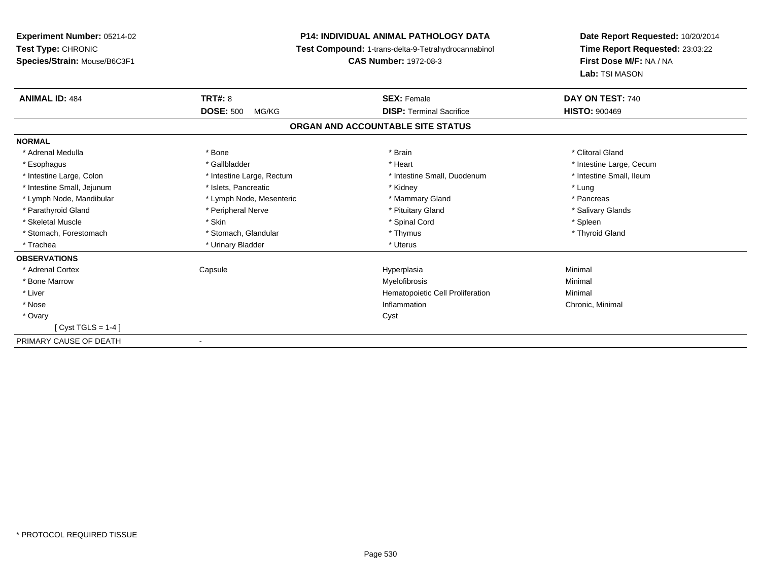**Experiment Number:** 05214-02**Test Type:** CHRONIC **Species/Strain:** Mouse/B6C3F1**P14: INDIVIDUAL ANIMAL PATHOLOGY DATA Test Compound:** 1-trans-delta-9-Tetrahydrocannabinol **CAS Number:** 1972-08-3**Date Report Requested:** 10/20/2014**Time Report Requested:** 23:03:22**First Dose M/F:** NA / NA**Lab:** TSI MASON**ANIMAL ID:** 484**TRT#:** 8 **SEX:** Female **DAY ON TEST:** 740 **DOSE:** 500 MG/KG**DISP:** Terminal Sacrifice **HISTO:**  $900469$ **ORGAN AND ACCOUNTABLE SITE STATUSNORMAL**\* Adrenal Medulla \* The state of the state of the state of the state of the state of the state of the state of the state of the state of the state of the state of the state of the state of the state of the state of the sta \* Esophagus \* https://www.fragustage.com/web/2019/heart \* Heart \* Heart \* Heart \* Intestine Large, Cecum \* Intestine Large, Cecum \* Sallbladder \* The state of the state of the state of the state of the state of the state o \* Intestine Small, Ileum \* Intestine Large, Colon \* Intestine Large, Rectum \* Intestine Small, Duodenum \* Intestine Small, Duodenum \* Intestine Small, Jejunum \* The matches of the state of the state of the state of the state of the state of the state of the state of the state of the state of the state of the state of the state of the state of the state \* Pancreas \* Lymph Node, Mandibular \* Lymph Node, Mesenteric \* Mammary Gland \* Mammary Gland \* Salivary Glands \* Parathyroid Gland \* **All and \* Example \* Peripheral Nerve** \* The \* Salivary Gland \* Pituitary Gland \* Skeletal Muscle \* Skin \* Spinal Cord \* Spleen \* Thyroid Gland \* Stomach, Forestomach \* Thymus \* Stomach, Glandular \* Thymus \* Thymus \* Thymus \* Thymus \* Thymus \* Thymus \* Thymus \* Thymus \* Thymus \* Thymus \* Thymus \* Thymus \* Thymus \* Thymus \* Thymus \* Thymus \* Thymus \* Thymus \* Thymu \* Trachea \* Urinary Bladder \* Urinary Bladder \* Urinary Bladder \* Uterus **OBSERVATIONS** \* Adrenal Cortex Capsule Hyperplasia Minimal \* Bone Marroww which is a controller to the Myelofibrosis and the Minimal method of the Minimal method of the Minimal method of the Minimal method of the Minimal method of the Minimal method of the Minimal method of the Minimal method \* Liver Hematopoietic Cell Proliferation Minimal \* Nosee inflammation control of the control of the control of the control of the control of the control of the control of the control of the control of the control of the control of the control of the control of the control of t \* Ovaryy cystem in the control of the control of the control of the control of the control of the control of the control of the control of the control of the control of the control of the control of the control of the control of [ Cyst TGLS = 1-4 ]PRIMARY CAUSE OF DEATH-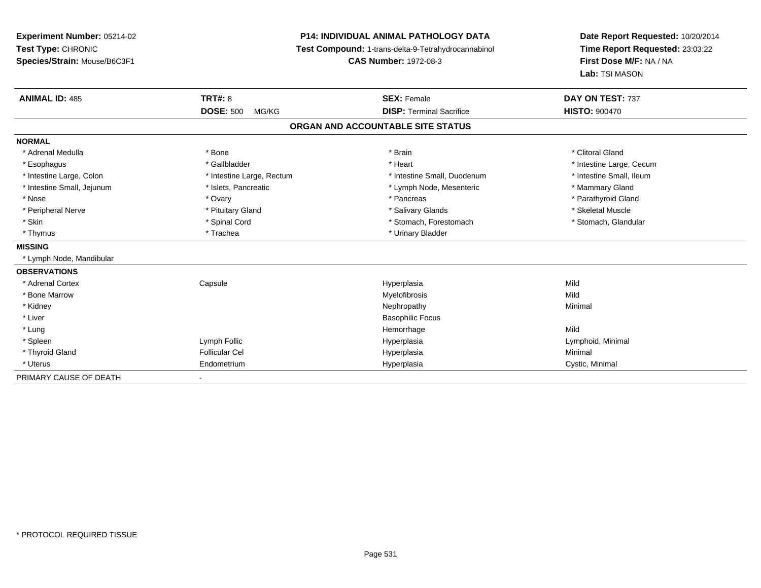| Experiment Number: 05214-02  |                           | <b>P14: INDIVIDUAL ANIMAL PATHOLOGY DATA</b>        | Date Report Requested: 10/20/2014         |  |
|------------------------------|---------------------------|-----------------------------------------------------|-------------------------------------------|--|
| Test Type: CHRONIC           |                           | Test Compound: 1-trans-delta-9-Tetrahydrocannabinol | Time Report Requested: 23:03:22           |  |
| Species/Strain: Mouse/B6C3F1 |                           | <b>CAS Number: 1972-08-3</b>                        | First Dose M/F: NA / NA<br>Lab: TSI MASON |  |
|                              |                           |                                                     |                                           |  |
| <b>ANIMAL ID: 485</b>        | <b>TRT#: 8</b>            | <b>SEX: Female</b>                                  | DAY ON TEST: 737                          |  |
|                              | <b>DOSE: 500</b><br>MG/KG | <b>DISP: Terminal Sacrifice</b>                     | <b>HISTO: 900470</b>                      |  |
|                              |                           | ORGAN AND ACCOUNTABLE SITE STATUS                   |                                           |  |
| <b>NORMAL</b>                |                           |                                                     |                                           |  |
| * Adrenal Medulla            | * Bone                    | * Brain                                             | * Clitoral Gland                          |  |
| * Esophagus                  | * Gallbladder             | * Heart                                             | * Intestine Large, Cecum                  |  |
| * Intestine Large, Colon     | * Intestine Large, Rectum | * Intestine Small, Duodenum                         | * Intestine Small, Ileum                  |  |
| * Intestine Small, Jejunum   | * Islets, Pancreatic      | * Lymph Node, Mesenteric                            | * Mammary Gland                           |  |
| * Nose                       | * Ovary                   | * Pancreas                                          | * Parathyroid Gland                       |  |
| * Peripheral Nerve           | * Pituitary Gland         | * Salivary Glands                                   | * Skeletal Muscle                         |  |
| * Skin                       | * Spinal Cord             | * Stomach, Forestomach                              | * Stomach, Glandular                      |  |
| * Thymus                     | * Trachea                 | * Urinary Bladder                                   |                                           |  |
| <b>MISSING</b>               |                           |                                                     |                                           |  |
| * Lymph Node, Mandibular     |                           |                                                     |                                           |  |
| <b>OBSERVATIONS</b>          |                           |                                                     |                                           |  |
| * Adrenal Cortex             | Capsule                   | Hyperplasia                                         | Mild                                      |  |
| * Bone Marrow                |                           | Myelofibrosis                                       | Mild                                      |  |
| * Kidney                     |                           | Nephropathy                                         | Minimal                                   |  |
| * Liver                      |                           | <b>Basophilic Focus</b>                             |                                           |  |
| * Lung                       |                           | Hemorrhage                                          | Mild                                      |  |
| * Spleen                     | Lymph Follic              | Hyperplasia                                         | Lymphoid, Minimal                         |  |
| * Thyroid Gland              | <b>Follicular Cel</b>     | Hyperplasia                                         | Minimal                                   |  |
| * Uterus                     | Endometrium               | Hyperplasia                                         | Cystic, Minimal                           |  |
| PRIMARY CAUSE OF DEATH       |                           |                                                     |                                           |  |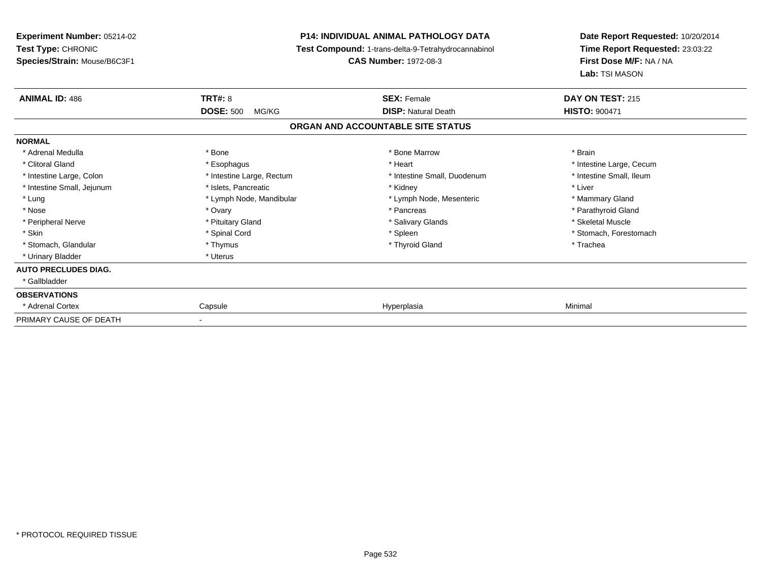**Experiment Number:** 05214-02**Test Type:** CHRONIC **Species/Strain:** Mouse/B6C3F1**P14: INDIVIDUAL ANIMAL PATHOLOGY DATA Test Compound:** 1-trans-delta-9-Tetrahydrocannabinol **CAS Number:** 1972-08-3**Date Report Requested:** 10/20/2014**Time Report Requested:** 23:03:22**First Dose M/F:** NA / NA**Lab:** TSI MASON**ANIMAL ID:** 486**6 DAY ON TEST:** 215 **DOSE:** 500 MG/KG**DISP:** Natural Death **HISTO:**  $900471$ **ORGAN AND ACCOUNTABLE SITE STATUSNORMAL**\* Adrenal Medulla \* \* Annual Medulla \* Brain \* Bone \* \* Bone Marrow \* Bone Marrow \* \* Brain \* Brain \* Brain \* Brain \* Brain \* Brain \* Brain \* Brain \* Brain \* Brain \* Brain \* Brain \* Brain \* Brain \* Brain \* Brain \* Brain \* \* Clitoral Gland \* \* exphagus \* Esophagus \* \* Heart \* Heart \* Intestine Large, Cecum \* Intestine Small, Ileum \* Intestine Large, Colon \* Intestine Large, Rectum \* Intestine Small, Duodenum \* Intestine Small, Duodenum \* Intestine Small, Jejunum \* 1992 \* The state of the state of the state of the state of the state of the state of the state of the state of the state of the state of the state of the state of the state of the state of the \* Lung \* Lymph Node, Mandibular \* Mannipular \* Lymph Node, Mesenteric \* Mammary Gland \* Parathyroid Gland \* Nose \* Ovary \* Pancreas \* Parathyroid Gland \* Peripheral Nerve \* \* \* Aliundration of the term of the state of the term of the state of the state of the state of the state of the state of the state of the state of the state of the state of the state of the state of t \* Skin \* Spinal Cord \* Spinal Cord \* Spinal Cord \* Spinal \* Spinal \* Stomach, Forestomach \* Stomach, Forestomach \* Stomach, Glandular \* Thymus \* Thymus \* Thymus \* Thyroid Gland \* Thyroid Gland \* Thachea \* Urinary Bladder \* Uterus **AUTO PRECLUDES DIAG.** \* Gallbladder**OBSERVATIONS** \* Adrenal Cortex Capsulee and the settlement of the Hyperplasia and the settlement of the Minimal Minimal Settlement of the Minimal Settlement of the Settlement of the Settlement of the Settlement of the Settlement of the Settlement of the Settle PRIMARY CAUSE OF DEATH-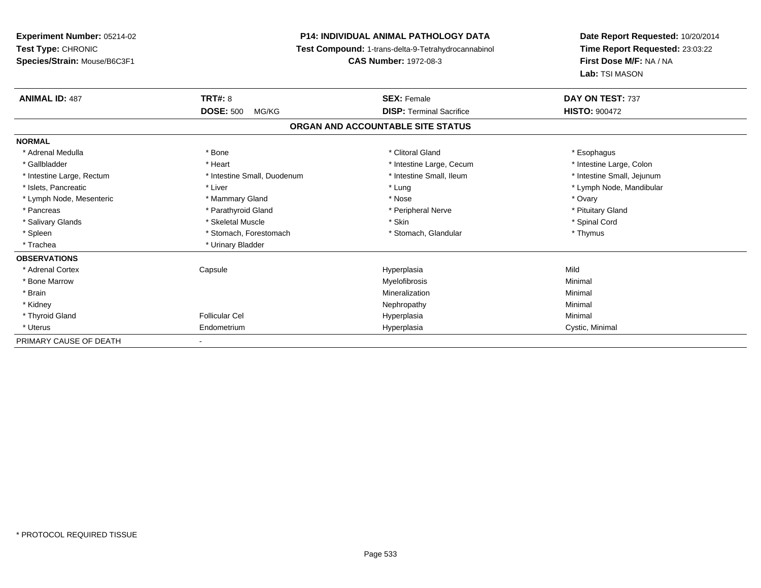**Experiment Number:** 05214-02**Test Type:** CHRONIC **Species/Strain:** Mouse/B6C3F1**P14: INDIVIDUAL ANIMAL PATHOLOGY DATA Test Compound:** 1-trans-delta-9-Tetrahydrocannabinol **CAS Number:** 1972-08-3**Date Report Requested:** 10/20/2014**Time Report Requested:** 23:03:22**First Dose M/F:** NA / NA**Lab:** TSI MASON**ANIMAL ID:** 487**TRT#:** 8 **SEX:** Female **SEX: Female DAY ON TEST:** 737 **DOSE:** 500 MG/KG **DISP:** Terminal Sacrifice **HISTO:** <sup>900472</sup> **ORGAN AND ACCOUNTABLE SITE STATUSNORMAL**\* Adrenal Medulla \* Adrenal Medulla \* Bone \* Clitoral Gland \* Esophagus\* Intestine Large, Colon \* Gallbladder \* The mode of the state of the state of the state of the state of the state of the state of the state of the state of the state of the state of the state of the state of the state of the state of the state of \* Intestine Small, Jejunum \* Intestine Large, Rectum \* Intestine Small, Duodenum \* Intestine Small, Duodenum \* \* Intestine Small, Ileum \* Islets, Pancreatic \* Liver \* Lung \* Lymph Node, Mandibular \* Lymph Node, Mesenteric \* \* \* Mammary Gland \* \* Nose \* Nose \* Ovary \* Ovary \* Ovary \* Ovary \* Ovary \* Ovary \* Ovary \* Pituitary Gland \* Pancreas \* Pancreas \* Parathyroid Gland \* Pancreas \* Peripheral Nerve \* Salivary Glands \* \* Steeden \* \* Skeletal Muscle \* \* Skin \* \* Skin \* \* Steeden \* Spinal Cord \* Spinal Cord \* Spinal Cord \* Spinal Cord \* Spinal Cord \* Spinal Cord \* Spinal Cord \* Spinal Cord \* Spinal Cord \* Spinal Cord \* \* Spleen \* Stomach, Forestomach \* Stomach \* Stomach, Glandular \* Stomach, Glandular \* Thymus \* Trachea \* Urinary Bladder**OBSERVATIONS** \* Adrenal Cortex Capsule Hyperplasia Mild \* Bone Marroww which is a controller to the Myelofibrosis and the Minimal method of the Minimal method of the Minimal method of the Minimal method of the Minimal method of the Minimal method of the Minimal method of the Minimal method \* Brainn and the controller of the controller of the Mineralization and the controller of the Minimal of the Minimal <br>The Minimal of the controller of the controller of the controller of the controller of the controller of the c \* Kidneyy the control of the control of the control of the control of the control of the control of the control of the control of the control of the control of the control of the control of the control of the control of the contro \* Thyroid Gland Follicular Cel Hyperplasia Minimal \* Uterus Endometriumm Cystic, Minimal Cystic, Minimal PRIMARY CAUSE OF DEATH-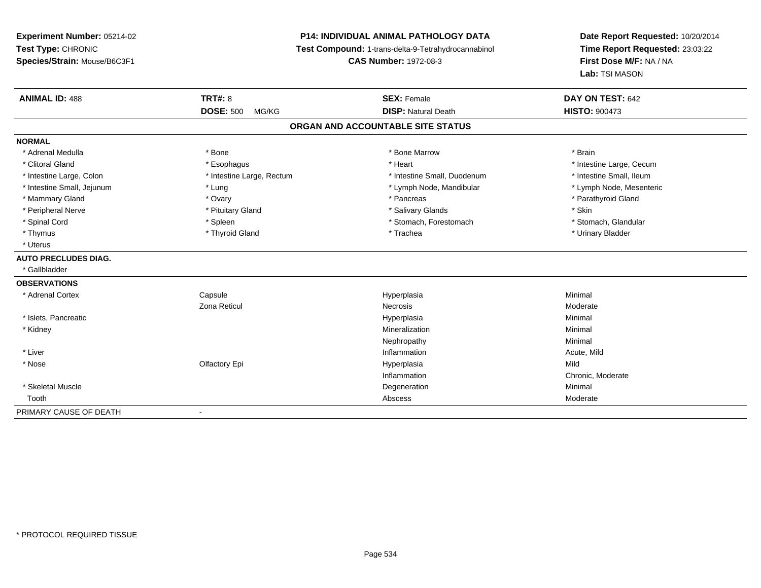## **P14: INDIVIDUAL ANIMAL PATHOLOGY DATA**

**Test Compound:** 1-trans-delta-9-Tetrahydrocannabinol

**CAS Number:** 1972-08-3

| <b>ANIMAL ID: 488</b>       | <b>TRT#: 8</b>               | <b>SEX: Female</b>                | DAY ON TEST: 642         |
|-----------------------------|------------------------------|-----------------------------------|--------------------------|
|                             | <b>DOSE: 500</b><br>MG/KG    | <b>DISP: Natural Death</b>        | <b>HISTO: 900473</b>     |
|                             |                              | ORGAN AND ACCOUNTABLE SITE STATUS |                          |
| <b>NORMAL</b>               |                              |                                   |                          |
| * Adrenal Medulla           | * Bone                       | * Bone Marrow                     | * Brain                  |
| * Clitoral Gland            | * Esophagus                  | * Heart                           | * Intestine Large, Cecum |
| * Intestine Large, Colon    | * Intestine Large, Rectum    | * Intestine Small, Duodenum       | * Intestine Small, Ileum |
| * Intestine Small, Jejunum  | * Lung                       | * Lymph Node, Mandibular          | * Lymph Node, Mesenteric |
| * Mammary Gland             | * Ovary                      | * Pancreas                        | * Parathyroid Gland      |
| * Peripheral Nerve          | * Pituitary Gland            | * Salivary Glands                 | * Skin                   |
| * Spinal Cord               | * Spleen                     | * Stomach, Forestomach            | * Stomach, Glandular     |
| * Thymus                    | * Thyroid Gland              | * Trachea                         | * Urinary Bladder        |
| * Uterus                    |                              |                                   |                          |
| <b>AUTO PRECLUDES DIAG.</b> |                              |                                   |                          |
| * Gallbladder               |                              |                                   |                          |
| <b>OBSERVATIONS</b>         |                              |                                   |                          |
| * Adrenal Cortex            | Capsule                      | Hyperplasia                       | Minimal                  |
|                             | Zona Reticul                 | Necrosis                          | Moderate                 |
| * Islets, Pancreatic        |                              | Hyperplasia                       | Minimal                  |
| * Kidney                    |                              | Mineralization                    | Minimal                  |
|                             |                              | Nephropathy                       | Minimal                  |
| * Liver                     |                              | Inflammation                      | Acute, Mild              |
| * Nose                      | Olfactory Epi                | Hyperplasia                       | Mild                     |
|                             |                              | Inflammation                      | Chronic, Moderate        |
| * Skeletal Muscle           |                              | Degeneration                      | Minimal                  |
| Tooth                       |                              | Abscess                           | Moderate                 |
| PRIMARY CAUSE OF DEATH      | $\qquad \qquad \blacksquare$ |                                   |                          |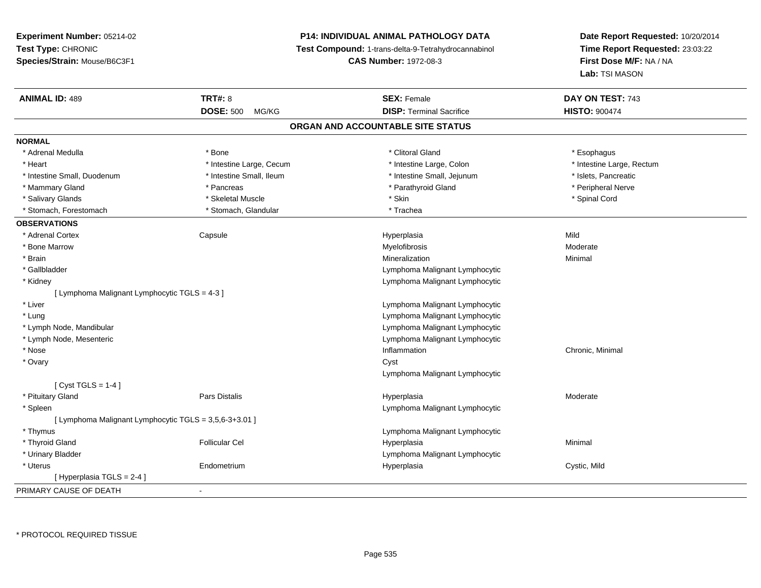## **P14: INDIVIDUAL ANIMAL PATHOLOGY DATA**

**Test Compound:** 1-trans-delta-9-Tetrahydrocannabinol

**CAS Number:** 1972-08-3

| <b>ANIMAL ID: 489</b>                                  | <b>TRT#: 8</b>            | <b>SEX: Female</b>                | DAY ON TEST: 743          |
|--------------------------------------------------------|---------------------------|-----------------------------------|---------------------------|
|                                                        | <b>DOSE: 500</b><br>MG/KG | <b>DISP: Terminal Sacrifice</b>   | <b>HISTO: 900474</b>      |
|                                                        |                           | ORGAN AND ACCOUNTABLE SITE STATUS |                           |
| <b>NORMAL</b>                                          |                           |                                   |                           |
| * Adrenal Medulla                                      | * Bone                    | * Clitoral Gland                  | * Esophagus               |
| * Heart                                                | * Intestine Large, Cecum  | * Intestine Large, Colon          | * Intestine Large, Rectum |
| * Intestine Small, Duodenum                            | * Intestine Small, Ileum  | * Intestine Small, Jejunum        | * Islets, Pancreatic      |
| * Mammary Gland                                        | * Pancreas                | * Parathyroid Gland               | * Peripheral Nerve        |
| * Salivary Glands                                      | * Skeletal Muscle         | * Skin                            | * Spinal Cord             |
| * Stomach, Forestomach                                 | * Stomach, Glandular      | * Trachea                         |                           |
| <b>OBSERVATIONS</b>                                    |                           |                                   |                           |
| * Adrenal Cortex                                       | Capsule                   | Hyperplasia                       | Mild                      |
| * Bone Marrow                                          |                           | Myelofibrosis                     | Moderate                  |
| * Brain                                                |                           | Mineralization                    | Minimal                   |
| * Gallbladder                                          |                           | Lymphoma Malignant Lymphocytic    |                           |
| * Kidney                                               |                           | Lymphoma Malignant Lymphocytic    |                           |
| [ Lymphoma Malignant Lymphocytic TGLS = 4-3 ]          |                           |                                   |                           |
| * Liver                                                |                           | Lymphoma Malignant Lymphocytic    |                           |
| * Lung                                                 |                           | Lymphoma Malignant Lymphocytic    |                           |
| * Lymph Node, Mandibular                               |                           | Lymphoma Malignant Lymphocytic    |                           |
| * Lymph Node, Mesenteric                               |                           | Lymphoma Malignant Lymphocytic    |                           |
| * Nose                                                 |                           | Inflammation                      | Chronic, Minimal          |
| * Ovary                                                |                           | Cyst                              |                           |
|                                                        |                           | Lymphoma Malignant Lymphocytic    |                           |
| [ Cyst TGLS = $1-4$ ]                                  |                           |                                   |                           |
| * Pituitary Gland                                      | Pars Distalis             | Hyperplasia                       | Moderate                  |
| * Spleen                                               |                           | Lymphoma Malignant Lymphocytic    |                           |
| [ Lymphoma Malignant Lymphocytic TGLS = 3,5,6-3+3.01 ] |                           |                                   |                           |
| * Thymus                                               |                           | Lymphoma Malignant Lymphocytic    |                           |
| * Thyroid Gland                                        | <b>Follicular Cel</b>     | Hyperplasia                       | Minimal                   |
| * Urinary Bladder                                      |                           | Lymphoma Malignant Lymphocytic    |                           |
| * Uterus                                               | Endometrium               | Hyperplasia                       | Cystic, Mild              |
| [Hyperplasia TGLS = $2-4$ ]                            |                           |                                   |                           |
| PRIMARY CAUSE OF DEATH                                 | $\blacksquare$            |                                   |                           |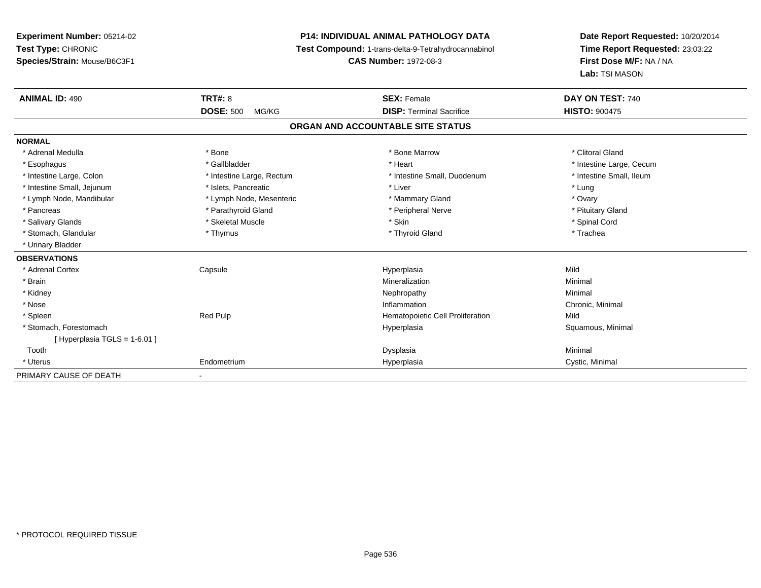**Experiment Number:** 05214-02**Test Type:** CHRONIC **Species/Strain:** Mouse/B6C3F1**P14: INDIVIDUAL ANIMAL PATHOLOGY DATA Test Compound:** 1-trans-delta-9-Tetrahydrocannabinol **CAS Number:** 1972-08-3**Date Report Requested:** 10/20/2014**Time Report Requested:** 23:03:22**First Dose M/F:** NA / NA**Lab:** TSI MASON**ANIMAL ID:** 490**C TRT#:** 8 **SEX:** Female **DAY ON TEST:** 740 **DOSE:** 500 MG/KG**DISP:** Terminal Sacrifice **HISTO:**  $900475$ **ORGAN AND ACCOUNTABLE SITE STATUSNORMAL**\* Adrenal Medulla \* The state of the state of the state of the state of the Marrow \* Bone Marrow \* Clitoral Gland \* Clitoral Gland \* Esophagus \* https://www.fragustage.com/web/2019/heart \* Heart \* Heart \* Heart \* Intestine Large, Cecum \* Intestine Large, Cecum \* Sallbladder \* The state of the state of the state of the state of the state of the state o \* Intestine Small, Ileum \* Intestine Large, Colon \* Intestine Large, Rectum \* Intestine Small, Duodenum \* Intestine Small, Duodenum \* Intestine Small, Jejunum \* Notestine that the state of the state of the state of the state of the state of the state of the state of the state of the state of the state of the state of the state of the state of the state \* Ovary \* Lymph Node, Mandibular \* Lymph Node, Mesenteric \* Mammary Gland \* Mammary Gland \* Pituitary Gland \* Pancreas \* Pancreas \* Parathyroid Gland \* Pancreas \* Peripheral Nerve \* Salivary Glands \* \* Steeden \* \* Skeletal Muscle \* \* Skin \* \* Skin \* \* Steeden \* Spinal Cord \* Spinal Cord \* Spinal Cord \* Spinal Cord \* Spinal Cord \* Spinal Cord \* Spinal Cord \* Spinal Cord \* Spinal Cord \* Spinal Cord \* \* Stomach, Glandular \* Thymus \* Thymus \* Thymus \* Thyroid Gland \* Thyroid Gland \* Thachea \* Urinary Bladder**OBSERVATIONS** \* Adrenal Cortex Capsule Hyperplasia Mild \* Brainn and the controller of the controller of the Mineralization and the controller of the Minimal of the Minimal <br>The Minimal of the controller of the controller of the controller of the controller of the controller of the c \* Kidneyy the control of the control of the control of the control of the control of the control of the control of the control of the control of the control of the control of the control of the control of the control of the contro \* Nosee inflammation control of the control of the control of the control of the control of the control of the control of the control of the control of the control of the control of the control of the control of the control of t \* SpleenRed Pulp **Mild Hematopoietic Cell Proliferation Mild**  \* Stomach, Forestomachh anns an t-aiste anns an t-aiste anns an t-aiste anns an t-aiste anns an t-aiste anns an t-aiste anns an t-ais<br>Bhaile anns an t-aiste an t-aiste an t-aiste an t-aiste an t-aiste an t-aiste an t-aiste an t-aiste an t-aiste  $[$  Hyperplasia TGLS = 1-6.01 ] Toothh anns an t-aisim anns an t-aisim an t-aisim anns an t-aisim an t-aisim an t-aisim an t-aisim an t-aisim an t- \* Uterus Endometriumm Cystic, Minimal Cystic, Minimal PRIMARY CAUSE OF DEATH-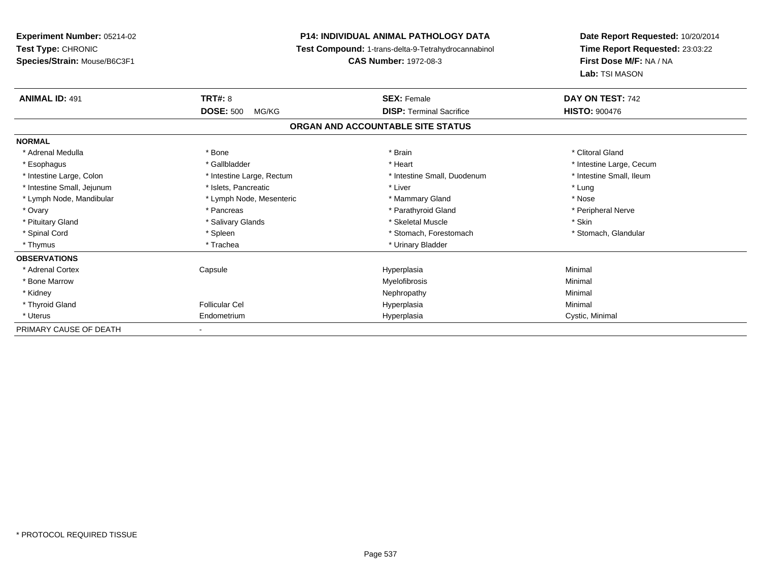| <b>Experiment Number: 05214-02</b> | <b>P14: INDIVIDUAL ANIMAL PATHOLOGY DATA</b> |                                                     | Date Report Requested: 10/20/2014                          |  |
|------------------------------------|----------------------------------------------|-----------------------------------------------------|------------------------------------------------------------|--|
| Test Type: CHRONIC                 |                                              | Test Compound: 1-trans-delta-9-Tetrahydrocannabinol | Time Report Requested: 23:03:22<br>First Dose M/F: NA / NA |  |
| Species/Strain: Mouse/B6C3F1       |                                              | <b>CAS Number: 1972-08-3</b>                        |                                                            |  |
|                                    |                                              |                                                     | Lab: TSI MASON                                             |  |
| <b>ANIMAL ID: 491</b>              | <b>TRT#: 8</b>                               | <b>SEX: Female</b>                                  | DAY ON TEST: 742                                           |  |
|                                    | <b>DOSE: 500</b><br>MG/KG                    | <b>DISP: Terminal Sacrifice</b>                     | <b>HISTO: 900476</b>                                       |  |
|                                    |                                              | ORGAN AND ACCOUNTABLE SITE STATUS                   |                                                            |  |
| <b>NORMAL</b>                      |                                              |                                                     |                                                            |  |
| * Adrenal Medulla                  | * Bone                                       | * Brain                                             | * Clitoral Gland                                           |  |
| * Esophagus                        | * Gallbladder                                | * Heart                                             | * Intestine Large, Cecum                                   |  |
| * Intestine Large, Colon           | * Intestine Large, Rectum                    | * Intestine Small, Duodenum                         | * Intestine Small. Ileum                                   |  |
| * Intestine Small, Jejunum         | * Islets, Pancreatic                         | * Liver                                             | * Lung                                                     |  |
| * Lymph Node, Mandibular           | * Lymph Node, Mesenteric                     | * Mammary Gland                                     | * Nose                                                     |  |
| * Ovary                            | * Pancreas                                   | * Parathyroid Gland                                 | * Peripheral Nerve                                         |  |
| * Pituitary Gland                  | * Salivary Glands                            | * Skeletal Muscle                                   | * Skin                                                     |  |
| * Spinal Cord                      | * Spleen                                     | * Stomach, Forestomach                              | * Stomach, Glandular                                       |  |
| * Thymus                           | * Trachea                                    | * Urinary Bladder                                   |                                                            |  |
| <b>OBSERVATIONS</b>                |                                              |                                                     |                                                            |  |
| * Adrenal Cortex                   | Capsule                                      | Hyperplasia                                         | Minimal                                                    |  |
| * Bone Marrow                      |                                              | Myelofibrosis                                       | Minimal                                                    |  |
| * Kidney                           |                                              | Nephropathy                                         | Minimal                                                    |  |
| * Thyroid Gland                    | <b>Follicular Cel</b>                        | Hyperplasia                                         | Minimal                                                    |  |
| * Uterus                           | Endometrium                                  | Hyperplasia                                         | Cystic, Minimal                                            |  |
| PRIMARY CAUSE OF DEATH             |                                              |                                                     |                                                            |  |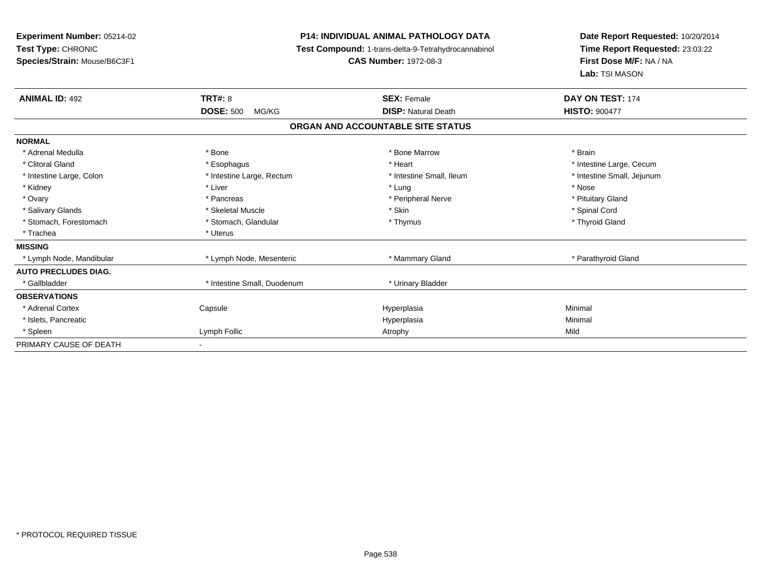**Experiment Number:** 05214-02**Test Type:** CHRONIC **Species/Strain:** Mouse/B6C3F1**P14: INDIVIDUAL ANIMAL PATHOLOGY DATA Test Compound:** 1-trans-delta-9-Tetrahydrocannabinol **CAS Number:** 1972-08-3**Date Report Requested:** 10/20/2014**Time Report Requested:** 23:03:22**First Dose M/F:** NA / NA**Lab:** TSI MASON**ANIMAL ID:** 492**TRT#:** 8 **SEX:** Female **DAY ON TEST:** 174 **DOSE:** 500 MG/KG**DISP:** Natural Death **HISTO:**  $900477$ **ORGAN AND ACCOUNTABLE SITE STATUSNORMAL**\* Adrenal Medulla \* \* Annual Medulla \* Brain \* Bone \* \* Bone Marrow \* Bone Marrow \* \* Brain \* Brain \* Brain \* Brain \* Brain \* Brain \* Brain \* Brain \* Brain \* Brain \* Brain \* Brain \* Brain \* Brain \* Brain \* Brain \* Brain \* \* Clitoral Gland \* \* exphagus \* Esophagus \* \* Heart \* Heart \* Intestine Large, Cecum \* Intestine Small, Jejunum \* Intestine Large, Colon \* Intestine Large, Rectum \* Intestine Small, Ileum \* 11testine Small, Ileum \* Kidney \* Liver \* Lung \* Nose \* Pituitary Gland \* Ovary \* Americas \* Pancreas \* Pancreas \* \* Peripheral Nerve \* \* Peripheral Nerve \* \* Pituitary Gland \* \* Pituitary Stand \* \* Pituitary Gland \* \* Pituitary Gland \* \* Pituitary Gland \* \* Pituitary Gland \* \* Pituitary Gland \* Salivary Glands \* \* Steeden \* \* Skeletal Muscle \* \* Skin \* \* Skin \* \* Steeden \* Spinal Cord \* Spinal Cord \* Spinal Cord \* Spinal Cord \* Spinal Cord \* Spinal Cord \* Spinal Cord \* Spinal Cord \* Spinal Cord \* Spinal Cord \* \* Thyroid Gland \* Stomach, Forestomach \* Thymus \* Stomach, Glandular \* Thymus \* Thymus \* Thymus \* Thymus \* Thymus \* Thymus \* Thymus \* Thymus \* Thymus \* Thymus \* Thymus \* Thymus \* Thymus \* Thymus \* Thymus \* Thymus \* Thymus \* Thymus \* Thymu \* Trachea \* \* Uterus **MISSING**\* Lymph Node, Mandibular \* Lymph Node, Mesenteric \* Manmary Gland \* Mammary Gland \* Parathyroid Gland **AUTO PRECLUDES DIAG.** \* Gallbladder \* Intestine Small, Duodenum \* Urinary Bladder**OBSERVATIONS** \* Adrenal Cortex**Capsule**  Hyperplasia Minimal \* Islets, Pancreaticc and the contract of the contract of the contract of the contract of the contract of the contract of the contract of the contract of the contract of the contract of the contract of the contract of the contract of the cont a **Minimal**  \* Spleenn and the company of the company of the company of the company of the company of the company of the company of  $\mathsf{Mild}$ PRIMARY CAUSE OF DEATH-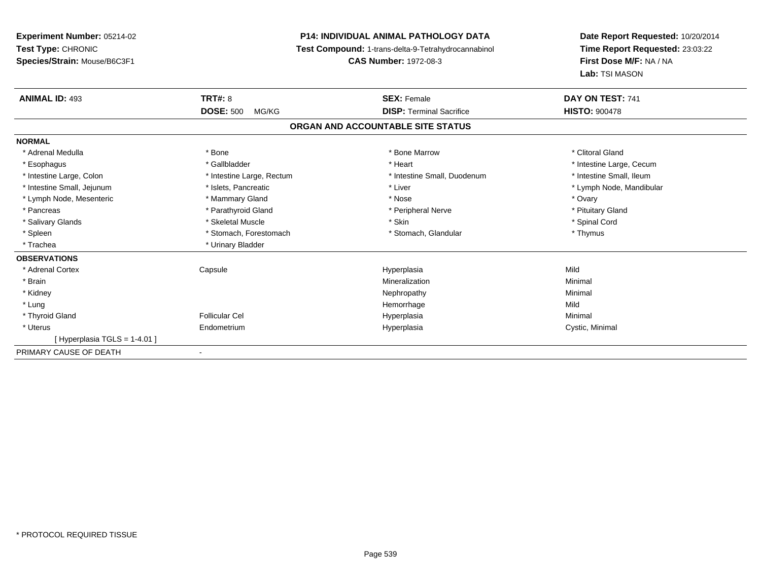**Experiment Number:** 05214-02**Test Type:** CHRONIC **Species/Strain:** Mouse/B6C3F1**P14: INDIVIDUAL ANIMAL PATHOLOGY DATA Test Compound:** 1-trans-delta-9-Tetrahydrocannabinol **CAS Number:** 1972-08-3**Date Report Requested:** 10/20/2014**Time Report Requested:** 23:03:22**First Dose M/F:** NA / NA**Lab:** TSI MASON**ANIMAL ID:** 493 **TRT#:** <sup>8</sup> **SEX:** Female **DAY ON TEST:** <sup>741</sup> **DOSE:** 500 MG/KG **DISP:** Terminal Sacrifice **HISTO:** <sup>900478</sup> **ORGAN AND ACCOUNTABLE SITE STATUSNORMAL**\* Adrenal Medulla \* The state of the state of the state of the state of the Marrow \* Bone Marrow \* Clitoral Gland \* Clitoral Gland \* Esophagus \* https://www.fragustage.com/web/2019/heart \* Heart \* Heart \* Heart \* Intestine Large, Cecum \* Intestine Large, Cecum \* Sallbladder \* The state of the state of the state of the state of the state of the state o \* Intestine Small, Ileum \* Intestine Large, Colon \* Intestine Large, Rectum \* Intestine Small, Duodenum \* Intestine Small, Duodenum \* Intestine Small, Jejunum \* \* et \* \* http://www.fat.com/mandibulary.com/mandibulary/state/state/state/state/state/state/state/state/state/state/state/state/state/state/state/state/state/state/state/state/state/state/state \* Lymph Node, Mesenteric \* \* \* Mammary Gland \* \* Nose \* Nose \* Ovary \* Ovary \* Ovary \* Ovary \* Ovary \* Ovary \* Ovary \* Pituitary Gland \* Pancreas \* Pancreas \* Parathyroid Gland \* Pancreas \* Peripheral Nerve \* Salivary Glands \* \* Steeden \* \* Skeletal Muscle \* \* Skin \* \* Skin \* \* Steeden \* Spinal Cord \* Spinal Cord \* Spinal Cord \* Spinal Cord \* Spinal Cord \* Spinal Cord \* Spinal Cord \* Spinal Cord \* Spinal Cord \* Spinal Cord \* \* Spleen \* Stomach, Forestomach \* Stomach \* Stomach, Glandular \* Stomach, Glandular \* Thymus \* Trachea \* Urinary Bladder**OBSERVATIONS** \* Adrenal Cortex Capsule Hyperplasia Mild \* Brainn and the controller of the controller of the Mineralization and the controller of the Minimal of the Minimal <br>The Minimal of the controller of the controller of the controller of the controller of the controller of the c \* Kidneyy the control of the control of the control of the control of the control of the control of the control of the control of the control of the control of the control of the control of the control of the control of the contro \* Lungg and the state of the state of the state of the state of the Hemorrhage state of the Mild of the Mild of the S \* Thyroid Gland Follicular Cel Hyperplasia Minimal \* Uterus Endometriumm and the Hyperplasia Cystic, Minimal Cystic, Minimal  $[$  Hyperplasia TGLS = 1-4.01 ] PRIMARY CAUSE OF DEATH-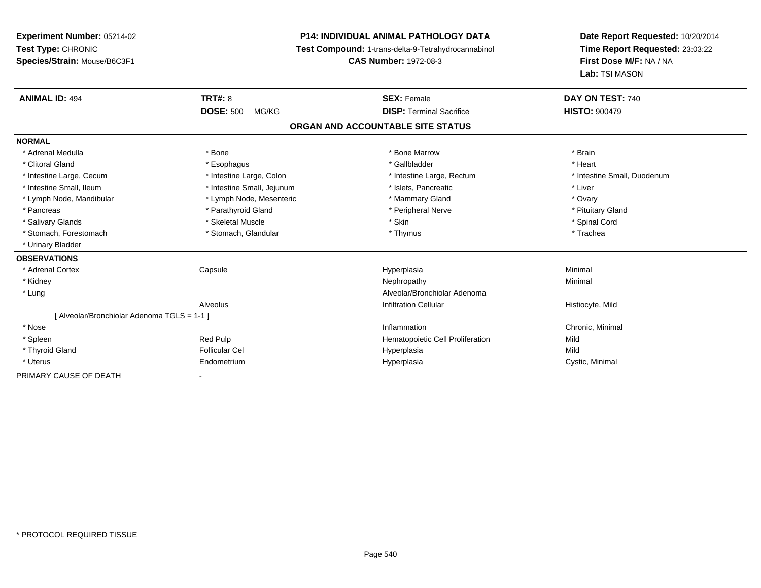**Experiment Number:** 05214-02**Test Type:** CHRONIC **Species/Strain:** Mouse/B6C3F1**P14: INDIVIDUAL ANIMAL PATHOLOGY DATA Test Compound:** 1-trans-delta-9-Tetrahydrocannabinol **CAS Number:** 1972-08-3**Date Report Requested:** 10/20/2014**Time Report Requested:** 23:03:22**First Dose M/F:** NA / NA**Lab:** TSI MASON**ANIMAL ID:** 494**TRT#:** 8 **SEX:** Female **DAY ON TEST:** 740 **DOSE:** 500 MG/KG**DISP:** Terminal Sacrifice **HISTO:**  $900479$ **ORGAN AND ACCOUNTABLE SITE STATUSNORMAL**\* Adrenal Medulla \* \* Annual Medulla \* Brain \* Bone \* \* Bone Marrow \* Bone Marrow \* \* Brain \* Brain \* Brain \* Brain \* Brain \* Brain \* Brain \* Brain \* Brain \* Brain \* Brain \* Brain \* Brain \* Brain \* Brain \* Brain \* Brain \* \* Heart \* Clitoral Gland \* \* \* heart \* \* Esophagus \* \* \* \* \* \* \* \* \* \* \* Gallbladder \* \* \* \* \* \* \* \* \* \* \* \* Heart \* Intestine Large, Cecum \* Intestine Large, Colon \* Intestine Large, Thestine Large, Rectum \* Intestine Small, Duodenum \* Intestine Small, Ileum \* Thestine Small, Jejunum \* Islets, Pancreatic \* Liver \* Liver \* Lymph Node, Mandibular \* Notary \* Lymph Node, Mesenteric \* Mammary Gland \* Mammary Gland \* Ovary \* Ovary \* Pituitary Gland \* Pancreas \* Pancreas \* Parathyroid Gland \* Pancreas \* Peripheral Nerve \* Salivary Glands \* \* Steeden \* \* Skeletal Muscle \* \* Skin \* \* Skin \* \* Steeden \* Spinal Cord \* Spinal Cord \* Spinal Cord \* Spinal Cord \* Spinal Cord \* Spinal Cord \* Spinal Cord \* Spinal Cord \* Spinal Cord \* Spinal Cord \* \* Stomach, Forestomach \* Trachea \* Stomach, Glandular \* Thymus \* Thymus \* The metal \* Trachea \* Urinary Bladder**OBSERVATIONS** \* Adrenal Cortex Capsule Hyperplasia Minimal \* Kidneyy the control of the control of the control of the control of the control of the control of the control of the control of the control of the control of the control of the control of the control of the control of the contro \* LungAlveolar/Bronchiolar Adenoma<br>Infiltration Cellular AlveolusHistiocyte, Mild [ Alveolar/Bronchiolar Adenoma TGLS = 1-1 ] \* Nosee inflammation control of the control of the control of the control of the control of the control of the control of the control of the control of the control of the control of the control of the control of the control of t \* SpleenRed Pulp **Mild Hematopoietic Cell Proliferation** Mild \* Thyroid Gland Follicular Cel Hyperplasia Mild \* Uterus Endometriumm Cystic, Minimal Cystic, Minimal PRIMARY CAUSE OF DEATH-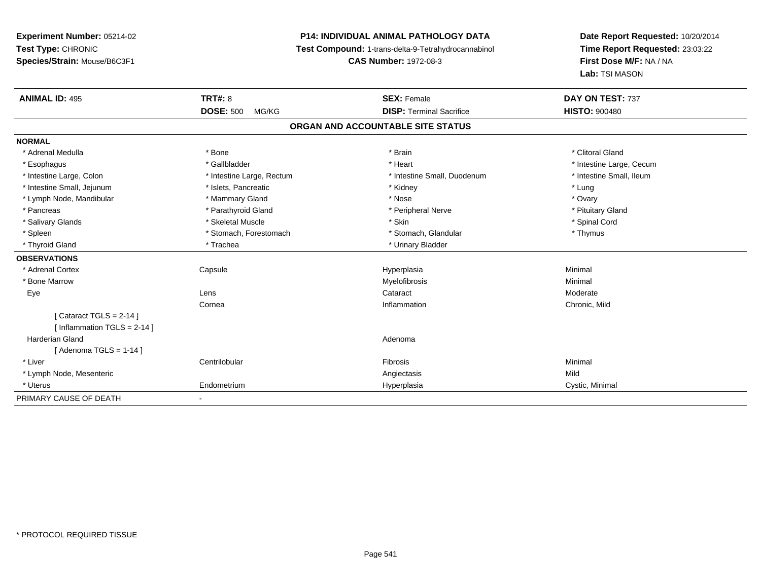## **P14: INDIVIDUAL ANIMAL PATHOLOGY DATA**

**Test Compound:** 1-trans-delta-9-Tetrahydrocannabinol

**CAS Number:** 1972-08-3

| <b>ANIMAL ID: 495</b>         | <b>TRT#: 8</b>            | <b>SEX: Female</b>                | DAY ON TEST: 737         |
|-------------------------------|---------------------------|-----------------------------------|--------------------------|
|                               | <b>DOSE: 500</b><br>MG/KG | <b>DISP: Terminal Sacrifice</b>   | <b>HISTO: 900480</b>     |
|                               |                           | ORGAN AND ACCOUNTABLE SITE STATUS |                          |
| <b>NORMAL</b>                 |                           |                                   |                          |
| * Adrenal Medulla             | * Bone                    | * Brain                           | * Clitoral Gland         |
| * Esophagus                   | * Gallbladder             | * Heart                           | * Intestine Large, Cecum |
| * Intestine Large, Colon      | * Intestine Large, Rectum | * Intestine Small, Duodenum       | * Intestine Small, Ileum |
| * Intestine Small, Jejunum    | * Islets, Pancreatic      | * Kidney                          | * Lung                   |
| * Lymph Node, Mandibular      | * Mammary Gland           | * Nose                            | * Ovary                  |
| * Pancreas                    | * Parathyroid Gland       | * Peripheral Nerve                | * Pituitary Gland        |
| * Salivary Glands             | * Skeletal Muscle         | * Skin                            | * Spinal Cord            |
| * Spleen                      | * Stomach, Forestomach    | * Stomach, Glandular              | * Thymus                 |
| * Thyroid Gland               | * Trachea                 | * Urinary Bladder                 |                          |
| <b>OBSERVATIONS</b>           |                           |                                   |                          |
| * Adrenal Cortex              | Capsule                   | Hyperplasia                       | Minimal                  |
| * Bone Marrow                 |                           | Myelofibrosis                     | Minimal                  |
| Eye                           | Lens                      | Cataract                          | Moderate                 |
|                               | Cornea                    | Inflammation                      | Chronic, Mild            |
| [Cataract TGLS = $2-14$ ]     |                           |                                   |                          |
| [Inflammation TGLS = $2-14$ ] |                           |                                   |                          |
| <b>Harderian Gland</b>        |                           | Adenoma                           |                          |
| [Adenoma TGLS = $1-14$ ]      |                           |                                   |                          |
| * Liver                       | Centrilobular             | <b>Fibrosis</b>                   | Minimal                  |
| * Lymph Node, Mesenteric      |                           | Angiectasis                       | Mild                     |
| * Uterus                      | Endometrium               | Hyperplasia                       | Cystic, Minimal          |
| PRIMARY CAUSE OF DEATH        |                           |                                   |                          |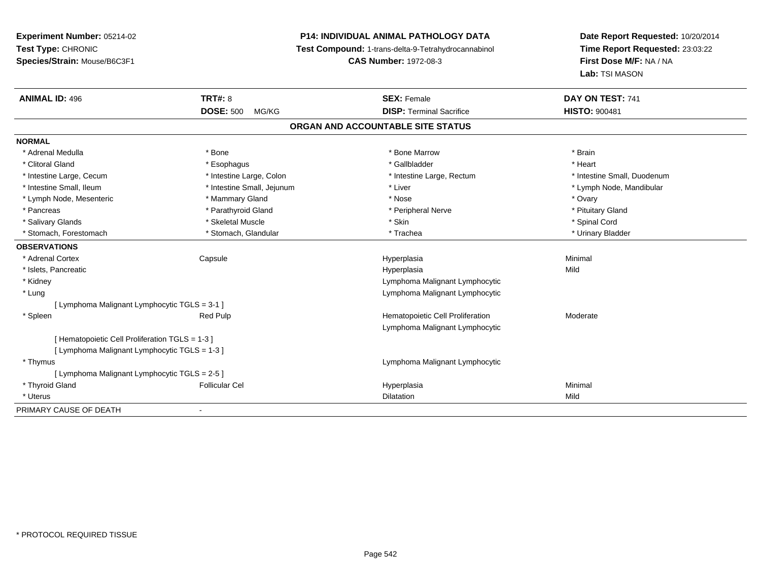# **P14: INDIVIDUAL ANIMAL PATHOLOGY DATA**

**Test Compound:** 1-trans-delta-9-Tetrahydrocannabinol

**CAS Number:** 1972-08-3

| <b>ANIMAL ID: 496</b>                         | TRT#: 8                    | <b>SEX: Female</b>                | DAY ON TEST: 741            |  |  |  |
|-----------------------------------------------|----------------------------|-----------------------------------|-----------------------------|--|--|--|
|                                               | <b>DOSE: 500</b><br>MG/KG  | <b>DISP: Terminal Sacrifice</b>   | <b>HISTO: 900481</b>        |  |  |  |
|                                               |                            | ORGAN AND ACCOUNTABLE SITE STATUS |                             |  |  |  |
| <b>NORMAL</b>                                 |                            |                                   |                             |  |  |  |
| * Adrenal Medulla                             | * Bone                     | * Bone Marrow                     | * Brain                     |  |  |  |
| * Clitoral Gland                              | * Esophagus                | * Gallbladder                     | * Heart                     |  |  |  |
| * Intestine Large, Cecum                      | * Intestine Large, Colon   | * Intestine Large, Rectum         | * Intestine Small, Duodenum |  |  |  |
| * Intestine Small, Ileum                      | * Intestine Small, Jejunum | * Liver                           | * Lymph Node, Mandibular    |  |  |  |
| * Lymph Node, Mesenteric                      | * Mammary Gland            | * Nose                            | * Ovary                     |  |  |  |
| * Pancreas                                    | * Parathyroid Gland        | * Peripheral Nerve                | * Pituitary Gland           |  |  |  |
| * Salivary Glands                             | * Skeletal Muscle          | * Skin                            | * Spinal Cord               |  |  |  |
| * Stomach, Forestomach                        | * Stomach, Glandular       | * Trachea                         | * Urinary Bladder           |  |  |  |
| <b>OBSERVATIONS</b>                           |                            |                                   |                             |  |  |  |
| * Adrenal Cortex                              | Capsule                    | Hyperplasia                       | Minimal                     |  |  |  |
| * Islets, Pancreatic                          |                            | Hyperplasia                       | Mild                        |  |  |  |
| * Kidney                                      |                            | Lymphoma Malignant Lymphocytic    |                             |  |  |  |
| * Lung                                        |                            | Lymphoma Malignant Lymphocytic    |                             |  |  |  |
| [ Lymphoma Malignant Lymphocytic TGLS = 3-1 ] |                            |                                   |                             |  |  |  |
| * Spleen                                      | Red Pulp                   | Hematopoietic Cell Proliferation  | Moderate                    |  |  |  |
|                                               |                            | Lymphoma Malignant Lymphocytic    |                             |  |  |  |
| [Hematopoietic Cell Proliferation TGLS = 1-3] |                            |                                   |                             |  |  |  |
| [ Lymphoma Malignant Lymphocytic TGLS = 1-3 ] |                            |                                   |                             |  |  |  |
| * Thymus                                      |                            | Lymphoma Malignant Lymphocytic    |                             |  |  |  |
| [ Lymphoma Malignant Lymphocytic TGLS = 2-5 ] |                            |                                   |                             |  |  |  |
| * Thyroid Gland                               | <b>Follicular Cel</b>      | Hyperplasia                       | Minimal                     |  |  |  |
| * Uterus                                      |                            | <b>Dilatation</b>                 | Mild                        |  |  |  |
| PRIMARY CAUSE OF DEATH                        |                            |                                   |                             |  |  |  |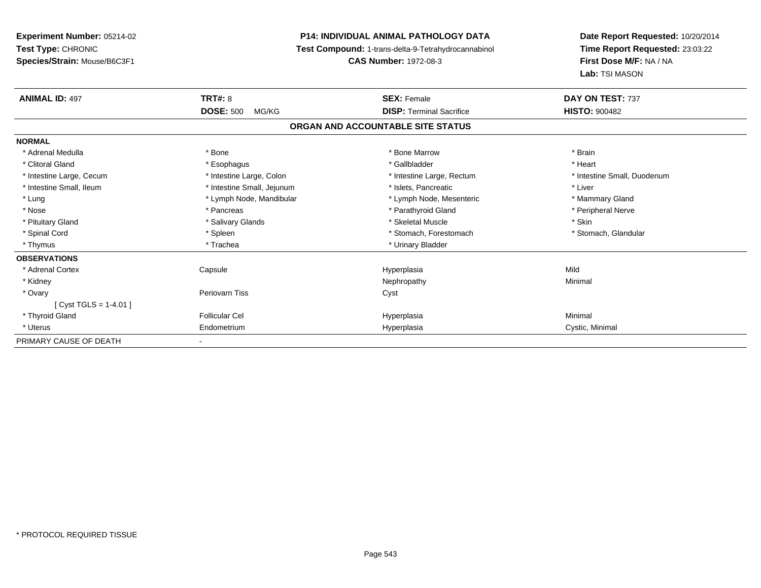**Experiment Number:** 05214-02**Test Type:** CHRONIC **Species/Strain:** Mouse/B6C3F1**P14: INDIVIDUAL ANIMAL PATHOLOGY DATA Test Compound:** 1-trans-delta-9-Tetrahydrocannabinol **CAS Number:** 1972-08-3**Date Report Requested:** 10/20/2014**Time Report Requested:** 23:03:22**First Dose M/F:** NA / NA**Lab:** TSI MASON**ANIMAL ID:** 497**TRT#:** 8 **SEX:** Female **DAY ON TEST:** 737 **DOSE:** 500 MG/KG **DISP:** Terminal Sacrifice **HISTO:** <sup>900482</sup> **ORGAN AND ACCOUNTABLE SITE STATUSNORMAL**\* Adrenal Medulla \* \* Annual Medulla \* Brain \* Bone \* \* Bone Marrow \* Bone Marrow \* \* Brain \* Brain \* Brain \* Brain \* Brain \* Brain \* Brain \* Brain \* Brain \* Brain \* Brain \* Brain \* Brain \* Brain \* Brain \* Brain \* Brain \* \* Heart \* Clitoral Gland \* \* \* heart \* \* Esophagus \* \* \* \* \* \* \* \* \* \* \* Gallbladder \* \* \* \* \* \* \* \* \* \* \* \* Heart \* Intestine Large, Cecum \* Intestine Large, Colon \* Intestine Large, Rectum \* Intestine Small, Duodenum \* Intestine Small, Ileum \* Intestine Small, Jejunum \* Islets, Pancreatic \* Liver\* Lung \* Lymph Node, Mandibular \* Mannipular \* Lymph Node, Mesenteric \* Mammary Gland \* Peripheral Nerve \* Nose \* \* Pancreas \* \* Pancreas \* \* Pancreas \* \* Parathyroid Gland \* \* Peripheral Nerve \* Peripheral Nerve \* \* Pituitary Gland \* \* \* Salivary Glands \* \* Salivary Glands \* \* \$keletal Muscle \* \* \$ \* \$kin \* \* \$ \* \$ \* \$ \* \$ \* Stomach, Glandular \* Spinal Cord \* Spinal Cord \* Spinal Cord \* Stomach, Forestomach \* Spinal Cord \* Stomach, Forestomach \* Thymus \* Trachea \* Trachea \* Urinary Bladder \* Urinary Bladder **OBSERVATIONS** \* Adrenal Cortex Capsule Hyperplasia Mild \* Kidneyy the control of the control of the control of the control of the control of the control of the control of the control of the control of the control of the control of the control of the control of the control of the contro \* Ovaryy which is a controller periovarn Tiss of the controller controller controller controller controller controller controller controller controller controller controller controller controller controller controller controller [ Cyst TGLS = 1-4.01 ] \* Thyroid Gland Follicular Cel Hyperplasia Minimal \* Uterus Endometriumm Cystic, Minimal Cystic, Minimal PRIMARY CAUSE OF DEATH-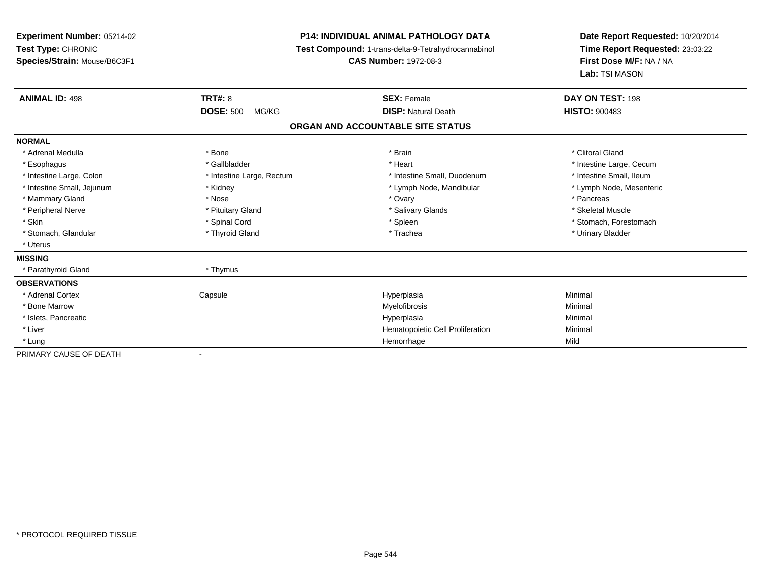## **P14: INDIVIDUAL ANIMAL PATHOLOGY DATA**

**Test Compound:** 1-trans-delta-9-Tetrahydrocannabinol

**CAS Number:** 1972-08-3

| <b>ANIMAL ID: 498</b>      | <b>TRT#: 8</b>            | <b>SEX: Female</b>                | DAY ON TEST: 198         |
|----------------------------|---------------------------|-----------------------------------|--------------------------|
|                            | <b>DOSE: 500</b><br>MG/KG | <b>DISP: Natural Death</b>        | <b>HISTO: 900483</b>     |
|                            |                           | ORGAN AND ACCOUNTABLE SITE STATUS |                          |
| <b>NORMAL</b>              |                           |                                   |                          |
| * Adrenal Medulla          | * Bone                    | * Brain                           | * Clitoral Gland         |
| * Esophagus                | * Gallbladder             | * Heart                           | * Intestine Large, Cecum |
| * Intestine Large, Colon   | * Intestine Large, Rectum | * Intestine Small, Duodenum       | * Intestine Small, Ileum |
| * Intestine Small, Jejunum | * Kidney                  | * Lymph Node, Mandibular          | * Lymph Node, Mesenteric |
| * Mammary Gland            | * Nose                    | * Ovary                           | * Pancreas               |
| * Peripheral Nerve         | * Pituitary Gland         | * Salivary Glands                 | * Skeletal Muscle        |
| * Skin                     | * Spinal Cord             | * Spleen                          | * Stomach, Forestomach   |
| * Stomach, Glandular       | * Thyroid Gland           | * Trachea                         | * Urinary Bladder        |
| * Uterus                   |                           |                                   |                          |
| <b>MISSING</b>             |                           |                                   |                          |
| * Parathyroid Gland        | * Thymus                  |                                   |                          |
| <b>OBSERVATIONS</b>        |                           |                                   |                          |
| * Adrenal Cortex           | Capsule                   | Hyperplasia                       | Minimal                  |
| * Bone Marrow              |                           | Myelofibrosis                     | Minimal                  |
| * Islets, Pancreatic       |                           | Hyperplasia                       | Minimal                  |
| * Liver                    |                           | Hematopoietic Cell Proliferation  | Minimal                  |
| * Lung                     |                           | Hemorrhage                        | Mild                     |
| PRIMARY CAUSE OF DEATH     | $\overline{\phantom{a}}$  |                                   |                          |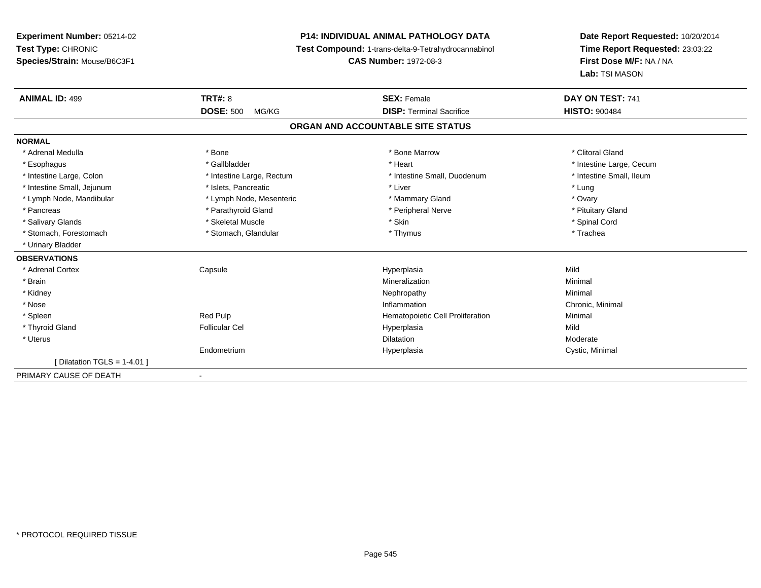# **P14: INDIVIDUAL ANIMAL PATHOLOGY DATA**

**Test Compound:** 1-trans-delta-9-Tetrahydrocannabinol

**CAS Number:** 1972-08-3

| <b>ANIMAL ID: 499</b>         | <b>TRT#: 8</b>            | <b>SEX: Female</b>                | DAY ON TEST: 741         |  |
|-------------------------------|---------------------------|-----------------------------------|--------------------------|--|
|                               | <b>DOSE: 500</b><br>MG/KG | <b>DISP: Terminal Sacrifice</b>   | <b>HISTO: 900484</b>     |  |
|                               |                           | ORGAN AND ACCOUNTABLE SITE STATUS |                          |  |
| <b>NORMAL</b>                 |                           |                                   |                          |  |
| * Adrenal Medulla             | * Bone                    | * Bone Marrow                     | * Clitoral Gland         |  |
| * Esophagus                   | * Gallbladder             | * Heart                           | * Intestine Large, Cecum |  |
| * Intestine Large, Colon      | * Intestine Large, Rectum | * Intestine Small, Duodenum       | * Intestine Small. Ileum |  |
| * Intestine Small, Jejunum    | * Islets, Pancreatic      | * Liver                           | * Lung                   |  |
| * Lymph Node, Mandibular      | * Lymph Node, Mesenteric  | * Mammary Gland                   | * Ovary                  |  |
| * Pancreas                    | * Parathyroid Gland       | * Peripheral Nerve                | * Pituitary Gland        |  |
| * Salivary Glands             | * Skeletal Muscle         | * Skin                            | * Spinal Cord            |  |
| * Stomach, Forestomach        | * Stomach, Glandular      | * Thymus                          | * Trachea                |  |
| * Urinary Bladder             |                           |                                   |                          |  |
| <b>OBSERVATIONS</b>           |                           |                                   |                          |  |
| * Adrenal Cortex              | Capsule                   | Hyperplasia                       | Mild                     |  |
| * Brain                       |                           | Mineralization                    | Minimal                  |  |
| * Kidney                      |                           | Nephropathy                       | Minimal                  |  |
| * Nose                        |                           | Inflammation                      | Chronic, Minimal         |  |
| * Spleen                      | Red Pulp                  | Hematopoietic Cell Proliferation  | Minimal                  |  |
| * Thyroid Gland               | <b>Follicular Cel</b>     | Hyperplasia                       | Mild                     |  |
| * Uterus                      |                           | <b>Dilatation</b>                 | Moderate                 |  |
|                               | Endometrium               | Hyperplasia                       | Cystic, Minimal          |  |
| [Dilatation TGLS = $1-4.01$ ] |                           |                                   |                          |  |
| PRIMARY CAUSE OF DEATH        |                           |                                   |                          |  |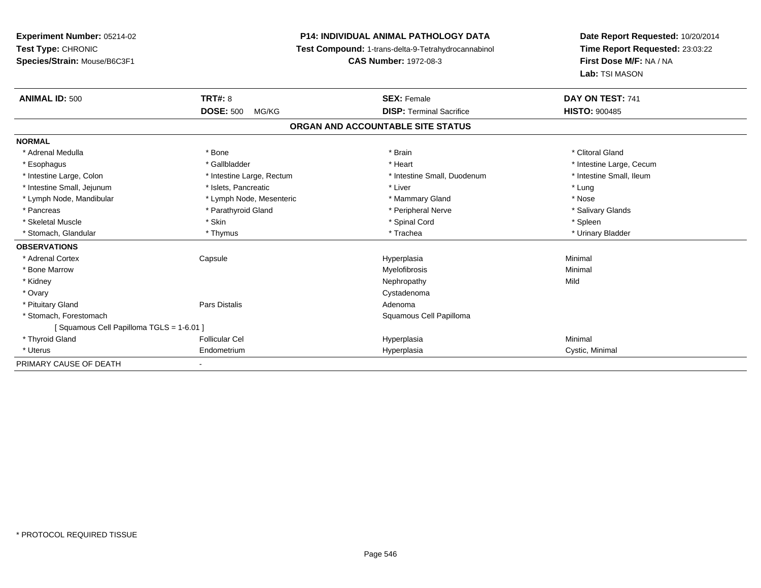**Experiment Number:** 05214-02**Test Type:** CHRONIC **Species/Strain:** Mouse/B6C3F1**P14: INDIVIDUAL ANIMAL PATHOLOGY DATA Test Compound:** 1-trans-delta-9-Tetrahydrocannabinol **CAS Number:** 1972-08-3**Date Report Requested:** 10/20/2014**Time Report Requested:** 23:03:22**First Dose M/F:** NA / NA**Lab:** TSI MASON**ANIMAL ID:** 500**Consumers 20 SEX: Female SEX: Female DAY ON TEST:** 741 **DOSE:** 500 MG/KG**DISP:** Terminal Sacrifice **HISTO:**  $900485$ **ORGAN AND ACCOUNTABLE SITE STATUSNORMAL**\* Adrenal Medulla \* The state of the state of the state of the state of the state of the state of the state of the state of the state of the state of the state of the state of the state of the state of the state of the sta \* Esophagus \* https://www.fragustage.com/web/2019/heart \* Heart \* Heart \* Heart \* Intestine Large, Cecum \* Intestine Large, Cecum \* Sallbladder \* The state of the state of the state of the state of the state of the state o \* Intestine Small, Ileum \* Intestine Large, Colon \* Intestine Large, Rectum \* Intestine Small, Duodenum \* Intestine Small, Duodenum \* Intestine Small, Jejunum \* Notestine that the state of the state of the state of the state of the state of the state of the state of the state of the state of the state of the state of the state of the state of the state \* Nose \* Lymph Node, Mandibular \* Lymph Node, Mesenteric \* Mammary Gland \* Mammary Gland \* Salivary Glands \* Pancreas \* And the section of the section of the section of the section of the section of the section of the section of the section of the section of the section of the section of the section of the section of the sectio \* Skeletal Muscle \* Skin \* Spinal Cord \* Spleen \* Urinary Bladder \* Stomach, Glandular \* Thymus \* Thymus \* Thymus \* Trachea \* Trachea **OBSERVATIONS** \* Adrenal Cortex Capsule Hyperplasia Minimal \* Bone Marroww which is a controller to the Myelofibrosis and the Minimal method of the Minimal method of the Minimal method of the Minimal method of the Minimal method of the Minimal method of the Minimal method of the Minimal method \* Kidneyy the control of the control of the control of the control of the control of the control of the control of the control of the control of the control of the control of the control of the control of the control of the contro \* Ovaryy the control of the control of the control of the control of the control of the control of the control of the control of the control of the control of the control of the control of the control of the control of the contro \* Pituitary Glandd and the contract of Pars Distalis and the contract of Adenoma and Adenoma and the Adenoma and the Adenoma and  $\lambda$  \* Stomach, Forestomach Squamous Cell Papilloma [ Squamous Cell Papilloma TGLS = 1-6.01 ] \* Thyroid Gland Follicular Cel Hyperplasia Minimal \* Uterus Endometriumm Cystic, Minimal Cystic, Minimal PRIMARY CAUSE OF DEATH-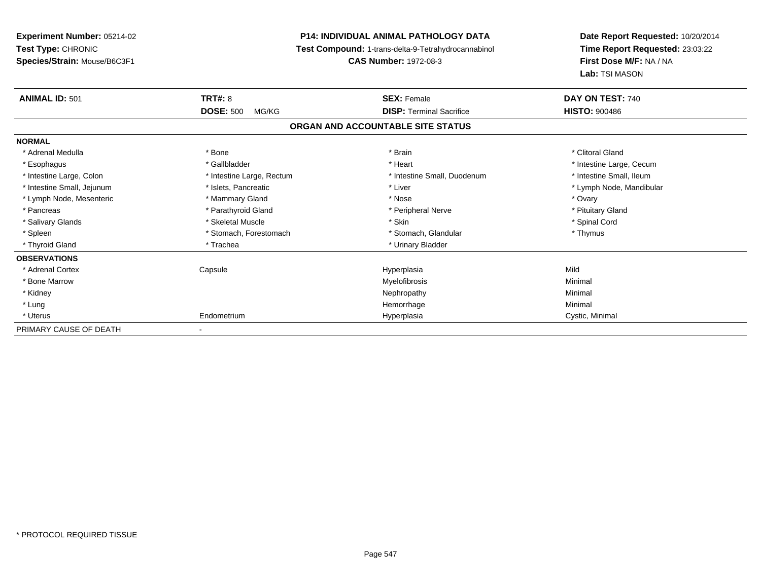| <b>Experiment Number: 05214-02</b> | <b>P14: INDIVIDUAL ANIMAL PATHOLOGY DATA</b> |                                                     | Date Report Requested: 10/20/2014 |  |
|------------------------------------|----------------------------------------------|-----------------------------------------------------|-----------------------------------|--|
| Test Type: CHRONIC                 |                                              | Test Compound: 1-trans-delta-9-Tetrahydrocannabinol | Time Report Requested: 23:03:22   |  |
| Species/Strain: Mouse/B6C3F1       |                                              | <b>CAS Number: 1972-08-3</b>                        | First Dose M/F: NA / NA           |  |
|                                    |                                              |                                                     | Lab: TSI MASON                    |  |
| <b>ANIMAL ID: 501</b>              | <b>TRT#: 8</b>                               | <b>SEX: Female</b>                                  | DAY ON TEST: 740                  |  |
|                                    | <b>DOSE: 500</b><br>MG/KG                    | <b>DISP: Terminal Sacrifice</b>                     | <b>HISTO: 900486</b>              |  |
|                                    |                                              | ORGAN AND ACCOUNTABLE SITE STATUS                   |                                   |  |
| <b>NORMAL</b>                      |                                              |                                                     |                                   |  |
| * Adrenal Medulla                  | * Bone                                       | * Brain                                             | * Clitoral Gland                  |  |
| * Esophagus                        | * Gallbladder                                | * Heart                                             | * Intestine Large, Cecum          |  |
| * Intestine Large, Colon           | * Intestine Large, Rectum                    | * Intestine Small, Duodenum                         | * Intestine Small, Ileum          |  |
| * Intestine Small, Jejunum         | * Islets, Pancreatic                         | * Liver                                             | * Lymph Node, Mandibular          |  |
| * Lymph Node, Mesenteric           | * Mammary Gland                              | * Nose                                              | * Ovary                           |  |
| * Pancreas                         | * Parathyroid Gland                          | * Peripheral Nerve                                  | * Pituitary Gland                 |  |
| * Salivary Glands                  | * Skeletal Muscle                            | * Skin                                              | * Spinal Cord                     |  |
| * Spleen                           | * Stomach, Forestomach                       | * Stomach, Glandular                                | * Thymus                          |  |
| * Thyroid Gland                    | * Trachea                                    | * Urinary Bladder                                   |                                   |  |
| <b>OBSERVATIONS</b>                |                                              |                                                     |                                   |  |
| * Adrenal Cortex                   | Capsule                                      | Hyperplasia                                         | Mild                              |  |
| * Bone Marrow                      |                                              | Myelofibrosis                                       | Minimal                           |  |
| * Kidney                           |                                              | Nephropathy                                         | Minimal                           |  |
| * Lung                             |                                              | Hemorrhage                                          | Minimal                           |  |
| * Uterus                           | Endometrium                                  | Hyperplasia                                         | Cystic, Minimal                   |  |
| PRIMARY CAUSE OF DEATH             |                                              |                                                     |                                   |  |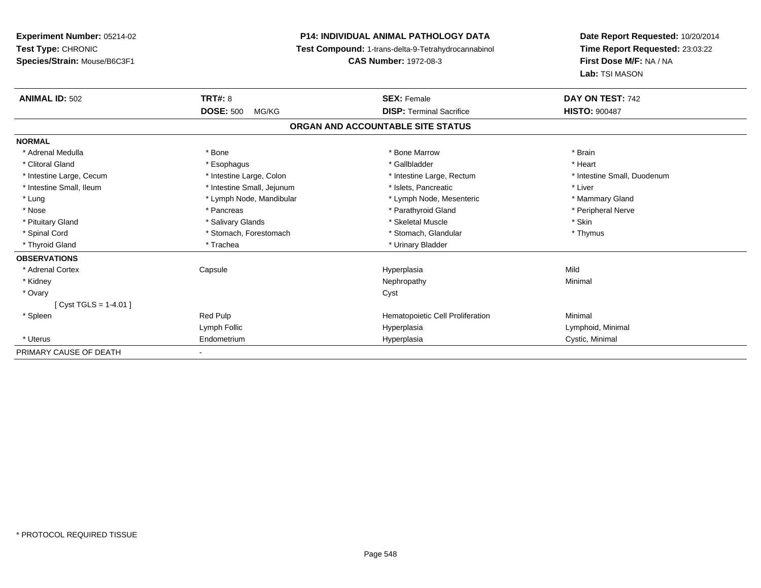**Experiment Number:** 05214-02**Test Type:** CHRONIC **Species/Strain:** Mouse/B6C3F1**P14: INDIVIDUAL ANIMAL PATHOLOGY DATA Test Compound:** 1-trans-delta-9-Tetrahydrocannabinol **CAS Number:** 1972-08-3**Date Report Requested:** 10/20/2014**Time Report Requested:** 23:03:22**First Dose M/F:** NA / NA**Lab:** TSI MASON**ANIMAL ID:** 502 **TRT#:** <sup>8</sup> **SEX:** Female **DAY ON TEST:** <sup>742</sup> **DOSE:** 500 MG/KG **DISP:** Terminal Sacrifice **HISTO:** <sup>900487</sup> **ORGAN AND ACCOUNTABLE SITE STATUSNORMAL**\* Adrenal Medulla \* \* Annual Medulla \* Brain \* Bone \* \* Bone Marrow \* Bone Marrow \* \* Brain \* Brain \* Brain \* Brain \* Brain \* Brain \* Brain \* Brain \* Brain \* Brain \* Brain \* Brain \* Brain \* Brain \* Brain \* Brain \* Brain \* \* Heart \* Clitoral Gland \* \* \* heart \* \* Esophagus \* \* \* \* \* \* \* \* \* \* \* Gallbladder \* \* \* \* \* \* \* \* \* \* \* \* Heart \* Intestine Large, Cecum \* Intestine Large, Colon \* Intestine Large, Rectum \* Intestine Small, Duodenum \* Intestine Small, Ileum \* Intestine Small, Jejunum \* Islets, Pancreatic \* Liver\* Lung \* Lymph Node, Mandibular \* Mannipular \* Lymph Node, Mesenteric \* Mammary Gland \* Peripheral Nerve \* Nose \* \* Pancreas \* \* Pancreas \* \* Pancreas \* \* Parathyroid Gland \* \* Peripheral Nerve \* Peripheral Nerve \* \* Pituitary Gland \* \* \* Salivary Glands \* \* Salivary Glands \* \* \$keletal Muscle \* \* \$ \* \$kin \* \* \$ \* \$ \* \$ \* \$ \* Thymus \* Spinal Cord \* Stomach, Forestomach \* Stomach, Spinal Cord \* Stomach, Glandular \* Thymus \* Stomach, Glandular \* Thyroid Gland \* Trachea \* Trachea \* Trachea \* Urinary Bladder **OBSERVATIONS** \* Adrenal Cortex Capsule Hyperplasia Mild \* Kidneyy the control of the control of the control of the control of the control of the control of the control of the control of the control of the control of the control of the control of the control of the control of the contro \* Ovaryy cystem in the control of the control of the control of the control of the control of the control of the control of the control of the control of the control of the control of the control of the control of the control of [ Cyst TGLS = 1-4.01 ] \* SpleenRed Pulp **Minimal Hematopoietic Cell Proliferation Minimal** Lymph Follic Hyperplasia Lymphoid, Minimal \* Uterus Endometriumm Cystic, Minimal Cystic, Minimal PRIMARY CAUSE OF DEATH-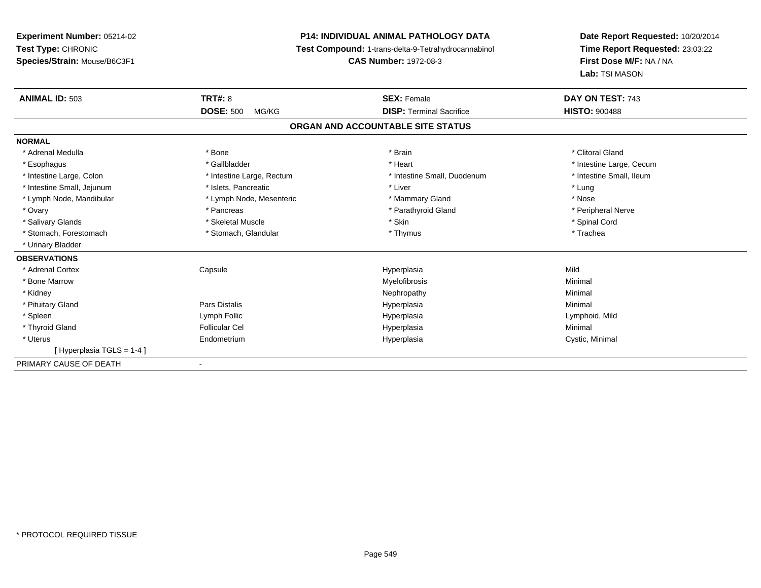# **P14: INDIVIDUAL ANIMAL PATHOLOGY DATA**

**Test Compound:** 1-trans-delta-9-Tetrahydrocannabinol

**CAS Number:** 1972-08-3

| <b>ANIMAL ID: 503</b>      | <b>TRT#: 8</b>            | <b>SEX: Female</b>                | DAY ON TEST: 743         |
|----------------------------|---------------------------|-----------------------------------|--------------------------|
|                            | <b>DOSE: 500</b><br>MG/KG | <b>DISP: Terminal Sacrifice</b>   | <b>HISTO: 900488</b>     |
|                            |                           | ORGAN AND ACCOUNTABLE SITE STATUS |                          |
| <b>NORMAL</b>              |                           |                                   |                          |
| * Adrenal Medulla          | * Bone                    | * Brain                           | * Clitoral Gland         |
| * Esophagus                | * Gallbladder             | * Heart                           | * Intestine Large, Cecum |
| * Intestine Large, Colon   | * Intestine Large, Rectum | * Intestine Small, Duodenum       | * Intestine Small, Ileum |
| * Intestine Small, Jejunum | * Islets, Pancreatic      | * Liver                           | * Lung                   |
| * Lymph Node, Mandibular   | * Lymph Node, Mesenteric  | * Mammary Gland                   | * Nose                   |
| * Ovary                    | * Pancreas                | * Parathyroid Gland               | * Peripheral Nerve       |
| * Salivary Glands          | * Skeletal Muscle         | * Skin                            | * Spinal Cord            |
| * Stomach. Forestomach     | * Stomach, Glandular      | * Thymus                          | * Trachea                |
| * Urinary Bladder          |                           |                                   |                          |
| <b>OBSERVATIONS</b>        |                           |                                   |                          |
| * Adrenal Cortex           | Capsule                   | Hyperplasia                       | Mild                     |
| * Bone Marrow              |                           | Myelofibrosis                     | Minimal                  |
| * Kidney                   |                           | Nephropathy                       | Minimal                  |
| * Pituitary Gland          | Pars Distalis             | Hyperplasia                       | Minimal                  |
| * Spleen                   | Lymph Follic              | Hyperplasia                       | Lymphoid, Mild           |
| * Thyroid Gland            | <b>Follicular Cel</b>     | Hyperplasia                       | Minimal                  |
| * Uterus                   | Endometrium               | Hyperplasia                       | Cystic, Minimal          |
| [Hyperplasia TGLS = 1-4]   |                           |                                   |                          |
| PRIMARY CAUSE OF DEATH     | ٠                         |                                   |                          |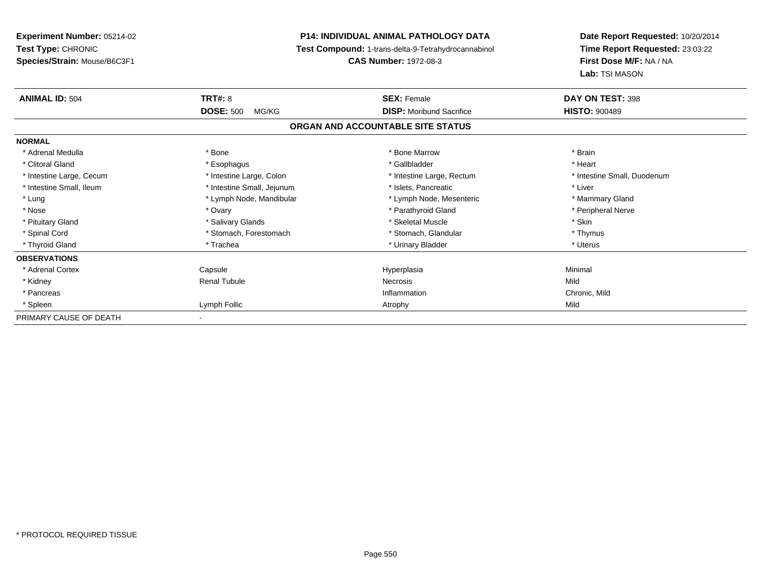**Experiment Number:** 05214-02**Test Type:** CHRONIC **Species/Strain:** Mouse/B6C3F1**P14: INDIVIDUAL ANIMAL PATHOLOGY DATA Test Compound:** 1-trans-delta-9-Tetrahydrocannabinol **CAS Number:** 1972-08-3**Date Report Requested:** 10/20/2014**Time Report Requested:** 23:03:22**First Dose M/F:** NA / NA**Lab:** TSI MASON**ANIMAL ID:** 504**TRT#:** 8 **SEX:** Female **DAY ON TEST:** 398 **DOSE:** 500 MG/KG **DISP:** Moribund Sacrifice **HISTO:** <sup>900489</sup> **ORGAN AND ACCOUNTABLE SITE STATUSNORMAL**\* Adrenal Medulla \* \* Annual Medulla \* Brain \* Bone \* \* Bone Marrow \* Bone Marrow \* \* Brain \* Brain \* Brain \* Brain \* Brain \* Brain \* Brain \* Brain \* Brain \* Brain \* Brain \* Brain \* Brain \* Brain \* Brain \* Brain \* Brain \* \* Heart \* Clitoral Gland \* \* \* heart \* \* Esophagus \* \* \* \* \* \* \* \* \* \* \* Gallbladder \* \* \* \* \* \* \* \* \* \* \* \* Heart \* Intestine Large, Cecum \* Intestine Large, Colon \* Intestine Large, Rectum \* Intestine Small, Duodenum \* Intestine Small, Ileum \* Intestine Small, Jejunum \* Islets, Pancreatic \* Liver\* Lung **\* Lymph Node, Mandibular \*** Lymph Node, Mesenteric \* Mammary Gland \* Mammary Gland \* Peripheral Nerve \* Nose \* Ovary \* Parathyroid Gland \* Peripheral Nerve \* \* Peripheral Nerve \* Pituitary Gland \* \* \* Salivary Glands \* \* Salivary Glands \* \* \$keletal Muscle \* \* \$ \* \$kin \* \* \$ \* \$ \* \$ \* \$ \* Thymus \* Spinal Cord \* Stomach, Forestomach \* Stomach, Spinal Cord \* Stomach, Glandular \* Thymus \* Stomach, Glandular \* Uterus \* Thyroid Gland \* Trachea \* Trachea \* Trachea \* Urinary Bladder \* Urinary Bladder **OBSERVATIONS** \* Adrenal Cortex Capsule Hyperplasia Minimal \* Kidney Renal Tubulee and the experimental experimental Necrosis and the experimental experimental experimental experimental experimental experimental experimental experimental experimental experimental experimental experimental experimental \* Pancreass the contract of the contract of the contract of the contract of the contract of the contract of the contract of the contract of the contract of the contract of the contract of the contract of the contract of the contract Inflammation Chronic, Mild \* Spleenn and the company of the company of the company of the company of the company of the company of the company of the company of the company of the company of the company of the company of the company of the company of the co PRIMARY CAUSE OF DEATH-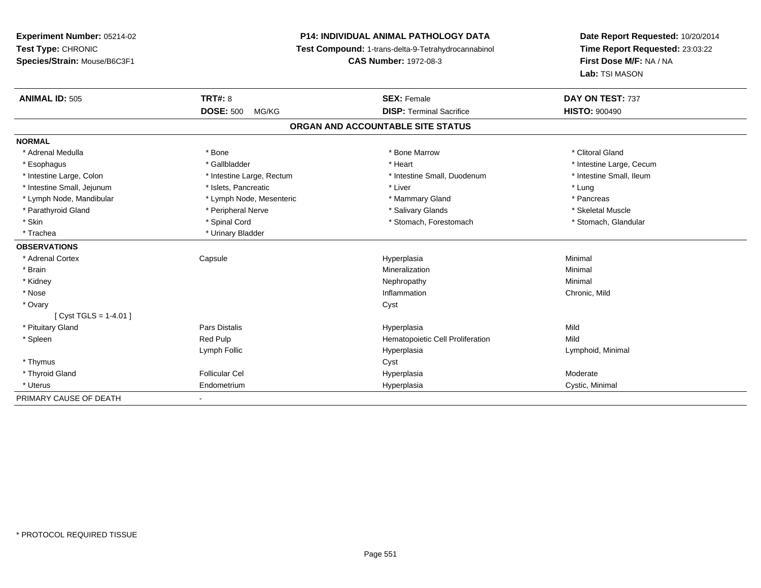# **P14: INDIVIDUAL ANIMAL PATHOLOGY DATA**

**Test Compound:** 1-trans-delta-9-Tetrahydrocannabinol

**CAS Number:** 1972-08-3

| <b>ANIMAL ID: 505</b>      | <b>TRT#: 8</b>                    | <b>SEX: Female</b>               | DAY ON TEST: 737         |  |  |  |  |
|----------------------------|-----------------------------------|----------------------------------|--------------------------|--|--|--|--|
|                            | <b>DOSE: 500</b><br>MG/KG         | <b>DISP: Terminal Sacrifice</b>  | <b>HISTO: 900490</b>     |  |  |  |  |
|                            | ORGAN AND ACCOUNTABLE SITE STATUS |                                  |                          |  |  |  |  |
| <b>NORMAL</b>              |                                   |                                  |                          |  |  |  |  |
| * Adrenal Medulla          | * Bone                            | * Bone Marrow                    | * Clitoral Gland         |  |  |  |  |
| * Esophagus                | * Gallbladder                     | * Heart                          | * Intestine Large, Cecum |  |  |  |  |
| * Intestine Large, Colon   | * Intestine Large, Rectum         | * Intestine Small, Duodenum      | * Intestine Small, Ileum |  |  |  |  |
| * Intestine Small, Jejunum | * Islets, Pancreatic              | * Liver                          | * Lung                   |  |  |  |  |
| * Lymph Node, Mandibular   | * Lymph Node, Mesenteric          | * Mammary Gland                  | * Pancreas               |  |  |  |  |
| * Parathyroid Gland        | * Peripheral Nerve                | * Salivary Glands                | * Skeletal Muscle        |  |  |  |  |
| * Skin                     | * Spinal Cord                     | * Stomach, Forestomach           | * Stomach, Glandular     |  |  |  |  |
| * Trachea                  | * Urinary Bladder                 |                                  |                          |  |  |  |  |
| <b>OBSERVATIONS</b>        |                                   |                                  |                          |  |  |  |  |
| * Adrenal Cortex           | Capsule                           | Hyperplasia                      | Minimal                  |  |  |  |  |
| * Brain                    |                                   | Mineralization                   | Minimal                  |  |  |  |  |
| * Kidney                   |                                   | Nephropathy                      | Minimal                  |  |  |  |  |
| * Nose                     |                                   | Inflammation                     | Chronic, Mild            |  |  |  |  |
| * Ovary                    |                                   | Cyst                             |                          |  |  |  |  |
| [Cyst TGLS = $1-4.01$ ]    |                                   |                                  |                          |  |  |  |  |
| * Pituitary Gland          | <b>Pars Distalis</b>              | Hyperplasia                      | Mild                     |  |  |  |  |
| * Spleen                   | Red Pulp                          | Hematopoietic Cell Proliferation | Mild                     |  |  |  |  |
|                            | Lymph Follic                      | Hyperplasia                      | Lymphoid, Minimal        |  |  |  |  |
| * Thymus                   |                                   | Cyst                             |                          |  |  |  |  |
| * Thyroid Gland            | <b>Follicular Cel</b>             | Hyperplasia                      | Moderate                 |  |  |  |  |
| * Uterus                   | Endometrium                       | Hyperplasia                      | Cystic, Minimal          |  |  |  |  |
| PRIMARY CAUSE OF DEATH     |                                   |                                  |                          |  |  |  |  |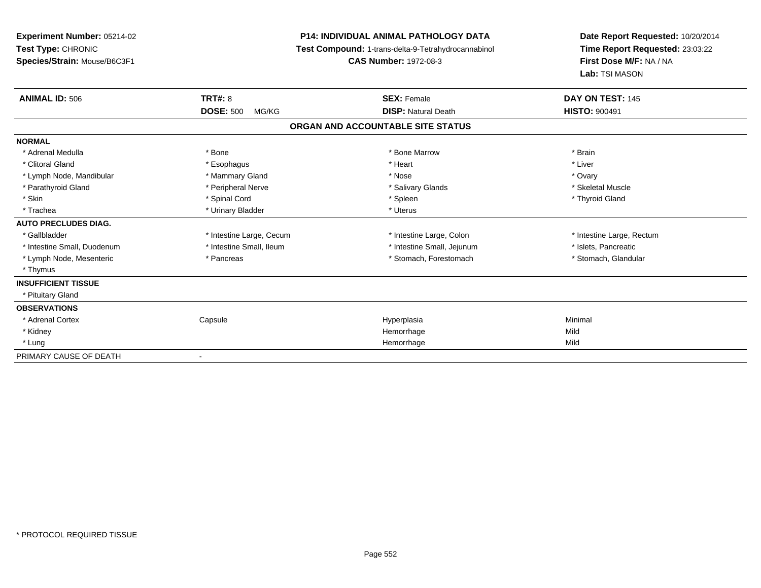| <b>Experiment Number: 05214-02</b><br>Test Type: CHRONIC<br>Species/Strain: Mouse/B6C3F1 |                           | <b>P14: INDIVIDUAL ANIMAL PATHOLOGY DATA</b><br>Test Compound: 1-trans-delta-9-Tetrahydrocannabinol<br><b>CAS Number: 1972-08-3</b> | Date Report Requested: 10/20/2014<br>Time Report Requested: 23:03:22<br>First Dose M/F: NA / NA<br>Lab: TSI MASON |  |
|------------------------------------------------------------------------------------------|---------------------------|-------------------------------------------------------------------------------------------------------------------------------------|-------------------------------------------------------------------------------------------------------------------|--|
| <b>ANIMAL ID: 506</b>                                                                    | TRT#: 8                   | <b>SEX: Female</b>                                                                                                                  | DAY ON TEST: 145                                                                                                  |  |
|                                                                                          | <b>DOSE: 500</b><br>MG/KG | <b>DISP: Natural Death</b>                                                                                                          | <b>HISTO: 900491</b>                                                                                              |  |
|                                                                                          |                           | ORGAN AND ACCOUNTABLE SITE STATUS                                                                                                   |                                                                                                                   |  |
| <b>NORMAL</b>                                                                            |                           |                                                                                                                                     |                                                                                                                   |  |
| * Adrenal Medulla                                                                        | * Bone                    | * Bone Marrow                                                                                                                       | * Brain                                                                                                           |  |
| * Clitoral Gland                                                                         | * Esophagus               | * Heart                                                                                                                             | * Liver                                                                                                           |  |
| * Lymph Node, Mandibular                                                                 | * Mammary Gland           | * Nose                                                                                                                              | * Ovary                                                                                                           |  |
| * Parathyroid Gland                                                                      | * Peripheral Nerve        | * Salivary Glands                                                                                                                   | * Skeletal Muscle                                                                                                 |  |
| * Skin                                                                                   | * Spinal Cord             | * Spleen                                                                                                                            | * Thyroid Gland                                                                                                   |  |
| * Trachea                                                                                | * Urinary Bladder         | * Uterus                                                                                                                            |                                                                                                                   |  |
| <b>AUTO PRECLUDES DIAG.</b>                                                              |                           |                                                                                                                                     |                                                                                                                   |  |
| * Gallbladder                                                                            | * Intestine Large, Cecum  | * Intestine Large, Colon                                                                                                            | * Intestine Large, Rectum                                                                                         |  |
| * Intestine Small, Duodenum                                                              | * Intestine Small, Ileum  | * Intestine Small, Jejunum                                                                                                          | * Islets, Pancreatic                                                                                              |  |
| * Lymph Node, Mesenteric                                                                 | * Pancreas                | * Stomach, Forestomach                                                                                                              | * Stomach, Glandular                                                                                              |  |
| * Thymus                                                                                 |                           |                                                                                                                                     |                                                                                                                   |  |
| <b>INSUFFICIENT TISSUE</b>                                                               |                           |                                                                                                                                     |                                                                                                                   |  |
| * Pituitary Gland                                                                        |                           |                                                                                                                                     |                                                                                                                   |  |
| <b>OBSERVATIONS</b>                                                                      |                           |                                                                                                                                     |                                                                                                                   |  |
| * Adrenal Cortex                                                                         | Capsule                   | Hyperplasia                                                                                                                         | Minimal                                                                                                           |  |
| * Kidney                                                                                 |                           | Hemorrhage                                                                                                                          | Mild                                                                                                              |  |
| * Lung                                                                                   |                           | Hemorrhage                                                                                                                          | Mild                                                                                                              |  |
| PRIMARY CAUSE OF DEATH                                                                   |                           |                                                                                                                                     |                                                                                                                   |  |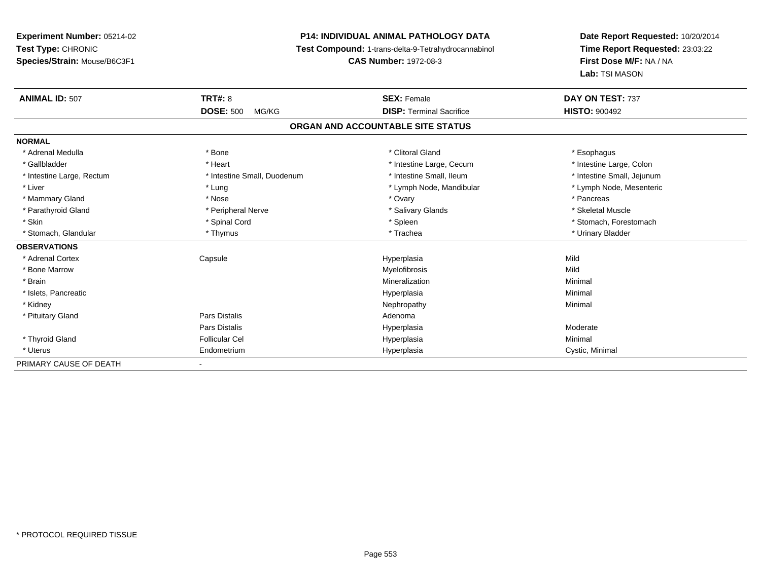## **P14: INDIVIDUAL ANIMAL PATHOLOGY DATA**

**Test Compound:** 1-trans-delta-9-Tetrahydrocannabinol

**CAS Number:** 1972-08-3

| <b>ANIMAL ID: 507</b>     | TRT#: 8                     | <b>SEX: Female</b>                | DAY ON TEST: 737           |
|---------------------------|-----------------------------|-----------------------------------|----------------------------|
|                           | <b>DOSE: 500</b><br>MG/KG   | <b>DISP: Terminal Sacrifice</b>   | <b>HISTO: 900492</b>       |
|                           |                             | ORGAN AND ACCOUNTABLE SITE STATUS |                            |
| <b>NORMAL</b>             |                             |                                   |                            |
| * Adrenal Medulla         | * Bone                      | * Clitoral Gland                  | * Esophagus                |
| * Gallbladder             | * Heart                     | * Intestine Large, Cecum          | * Intestine Large, Colon   |
| * Intestine Large, Rectum | * Intestine Small, Duodenum | * Intestine Small, Ileum          | * Intestine Small, Jejunum |
| * Liver                   | * Lung                      | * Lymph Node, Mandibular          | * Lymph Node, Mesenteric   |
| * Mammary Gland           | * Nose                      | * Ovary                           | * Pancreas                 |
| * Parathyroid Gland       | * Peripheral Nerve          | * Salivary Glands                 | * Skeletal Muscle          |
| * Skin                    | * Spinal Cord               | * Spleen                          | * Stomach, Forestomach     |
| * Stomach, Glandular      | * Thymus                    | * Trachea                         | * Urinary Bladder          |
| <b>OBSERVATIONS</b>       |                             |                                   |                            |
| * Adrenal Cortex          | Capsule                     | Hyperplasia                       | Mild                       |
| * Bone Marrow             |                             | Myelofibrosis                     | Mild                       |
| * Brain                   |                             | Mineralization                    | Minimal                    |
| * Islets, Pancreatic      |                             | Hyperplasia                       | Minimal                    |
| * Kidney                  |                             | Nephropathy                       | Minimal                    |
| * Pituitary Gland         | <b>Pars Distalis</b>        | Adenoma                           |                            |
|                           | <b>Pars Distalis</b>        | Hyperplasia                       | Moderate                   |
| * Thyroid Gland           | Follicular Cel              | Hyperplasia                       | Minimal                    |
| * Uterus                  | Endometrium                 | Hyperplasia                       | Cystic, Minimal            |
| PRIMARY CAUSE OF DEATH    | $\blacksquare$              |                                   |                            |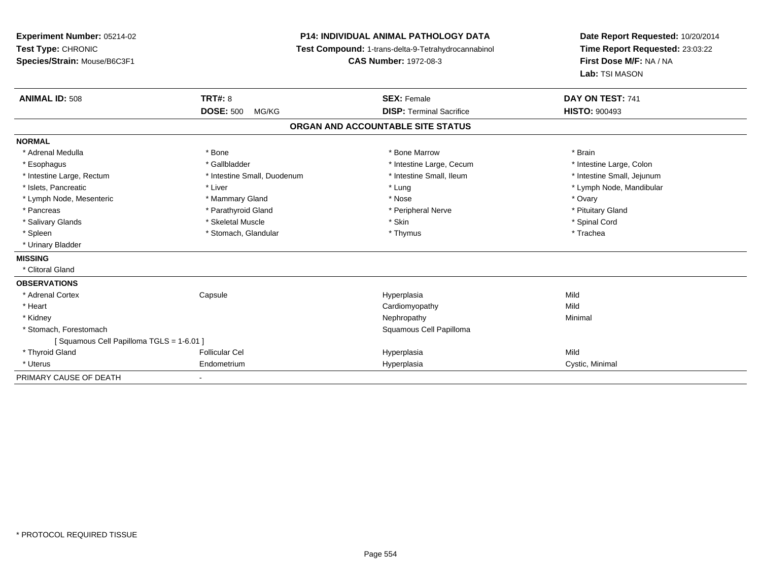**Experiment Number:** 05214-02**Test Type:** CHRONIC **Species/Strain:** Mouse/B6C3F1**P14: INDIVIDUAL ANIMAL PATHOLOGY DATA Test Compound:** 1-trans-delta-9-Tetrahydrocannabinol **CAS Number:** 1972-08-3**Date Report Requested:** 10/20/2014**Time Report Requested:** 23:03:22**First Dose M/F:** NA / NA**Lab:** TSI MASON**ANIMAL ID:** 508**EX:** Female **DAY ON TEST:** 741 **DOSE:** 500 MG/KG **DISP:** Terminal Sacrifice **HISTO:** <sup>900493</sup> **ORGAN AND ACCOUNTABLE SITE STATUSNORMAL**\* Adrenal Medulla \* \* Annual Medulla \* Brain \* Bone \* \* Bone Marrow \* Bone Marrow \* \* Brain \* Brain \* Brain \* Brain \* Brain \* Brain \* Brain \* Brain \* Brain \* Brain \* Brain \* Brain \* Brain \* Brain \* Brain \* Brain \* Brain \* \* Intestine Large, Colon \* Esophagus \* Intestine Large, Cecum \* Callbladder \* 10 \* Intestine Large, Cecum \* Intestine Large, Cecum \* \* Intestine Small, Jejunum \* Intestine Large, Rectum \* Intestine Small, Duodenum \* Intestine Small, Duodenum \* \* Intestine Small, Ileum \* Islets, Pancreatic \* Liver \* Lung \* Lymph Node, Mandibular \* Lymph Node, Mesenteric \* \* \* Mammary Gland \* \* Nose \* Nose \* Ovary \* Ovary \* Ovary \* Ovary \* Ovary \* Ovary \* Ovary \* Pituitary Gland \* Pancreas \* Pancreas \* Parathyroid Gland \* Pancreas \* Peripheral Nerve \* Salivary Glands \* \* Steeden \* \* Skeletal Muscle \* \* Skin \* \* Skin \* \* Steeden \* Spinal Cord \* Spinal Cord \* Spinal Cord \* Spinal Cord \* Spinal Cord \* Spinal Cord \* Spinal Cord \* Spinal Cord \* Spinal Cord \* Spinal Cord \* \* Spleen \* Stomach, Glandular \* Stomach, Glandular \* Thymus \* Thomas \* Trachea \* Urinary Bladder**MISSING** \* Clitoral Gland**OBSERVATIONS** \* Adrenal Cortex Capsule Hyperplasia Mild \* Heart Cardiomyopathyy Mild Minimal \* Kidneyy the control of the control of the control of the control of the control of the control of the control of the control of the control of the control of the control of the control of the control of the control of the contro \* Stomach, Forestomach Squamous Cell Papilloma [ Squamous Cell Papilloma TGLS = 1-6.01 ] \* Thyroid Gland Follicular Cel Hyperplasia Mild \* Uterus Endometriumm Cystic, Minimal Cystic, Minimal PRIMARY CAUSE OF DEATH-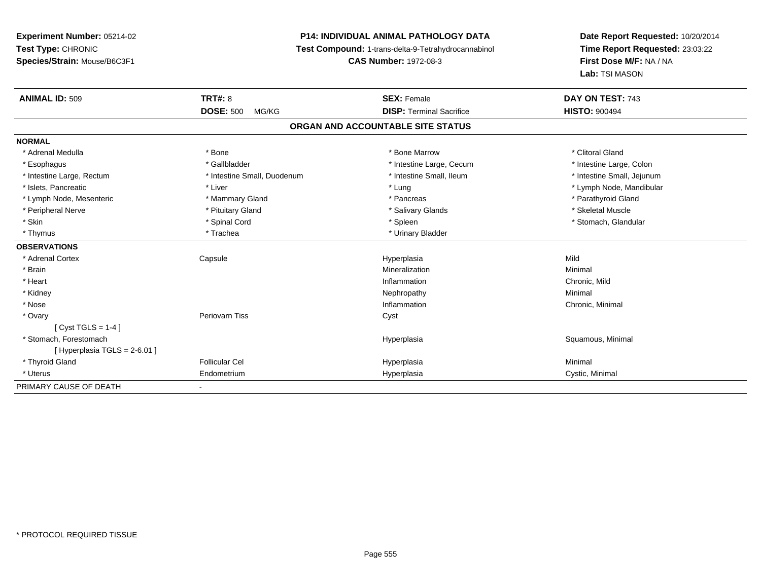# **P14: INDIVIDUAL ANIMAL PATHOLOGY DATA**

**Test Compound:** 1-trans-delta-9-Tetrahydrocannabinol

**CAS Number:** 1972-08-3

| <b>ANIMAL ID: 509</b>       | <b>TRT#: 8</b>               | <b>SEX: Female</b>                | DAY ON TEST: 743           |
|-----------------------------|------------------------------|-----------------------------------|----------------------------|
|                             | <b>DOSE: 500</b><br>MG/KG    | <b>DISP: Terminal Sacrifice</b>   | <b>HISTO: 900494</b>       |
|                             |                              | ORGAN AND ACCOUNTABLE SITE STATUS |                            |
| <b>NORMAL</b>               |                              |                                   |                            |
| * Adrenal Medulla           | * Bone                       | * Bone Marrow                     | * Clitoral Gland           |
| * Esophagus                 | * Gallbladder                | * Intestine Large, Cecum          | * Intestine Large, Colon   |
| * Intestine Large, Rectum   | * Intestine Small, Duodenum  | * Intestine Small, Ileum          | * Intestine Small, Jejunum |
| * Islets, Pancreatic        | * Liver                      | * Lung                            | * Lymph Node, Mandibular   |
| * Lymph Node, Mesenteric    | * Mammary Gland              | * Pancreas                        | * Parathyroid Gland        |
| * Peripheral Nerve          | * Pituitary Gland            | * Salivary Glands                 | * Skeletal Muscle          |
| * Skin                      | * Spinal Cord                | * Spleen                          | * Stomach, Glandular       |
| * Thymus                    | * Trachea                    | * Urinary Bladder                 |                            |
| <b>OBSERVATIONS</b>         |                              |                                   |                            |
| * Adrenal Cortex            | Capsule                      | Hyperplasia                       | Mild                       |
| * Brain                     |                              | Mineralization                    | Minimal                    |
| * Heart                     |                              | Inflammation                      | Chronic, Mild              |
| * Kidney                    |                              | Nephropathy                       | Minimal                    |
| * Nose                      |                              | Inflammation                      | Chronic, Minimal           |
| * Ovary                     | Periovarn Tiss               | Cyst                              |                            |
| $[Cyst TGLS = 1-4]$         |                              |                                   |                            |
| * Stomach, Forestomach      |                              | Hyperplasia                       | Squamous, Minimal          |
| [Hyperplasia TGLS = 2-6.01] |                              |                                   |                            |
| * Thyroid Gland             | <b>Follicular Cel</b>        | Hyperplasia                       | Minimal                    |
| * Uterus                    | Endometrium                  | Hyperplasia                       | Cystic, Minimal            |
| PRIMARY CAUSE OF DEATH      | $\qquad \qquad \blacksquare$ |                                   |                            |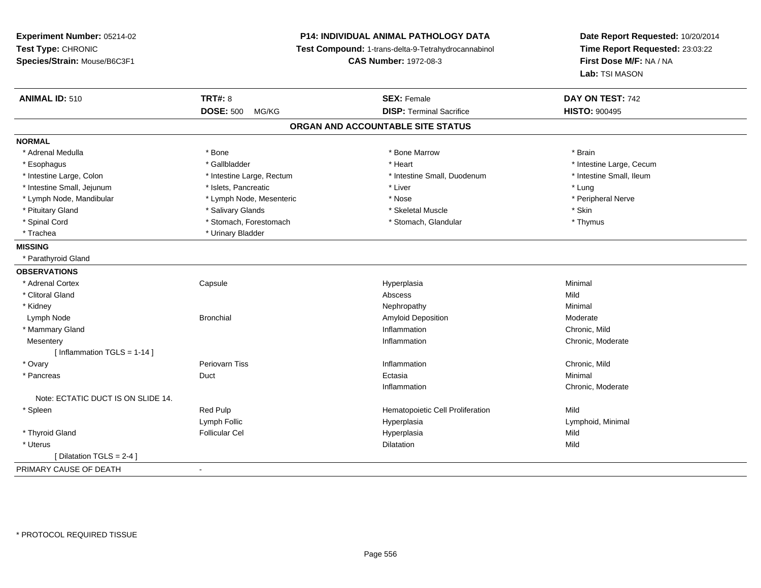**Experiment Number:** 05214-02**Test Type:** CHRONIC **Species/Strain:** Mouse/B6C3F1**P14: INDIVIDUAL ANIMAL PATHOLOGY DATA Test Compound:** 1-trans-delta-9-Tetrahydrocannabinol **CAS Number:** 1972-08-3**Date Report Requested:** 10/20/2014**Time Report Requested:** 23:03:22**First Dose M/F:** NA / NA**Lab:** TSI MASON**ANIMAL ID:** 510**C TRT#:** 8 **SEX:** Female **SEX: Female DAY ON TEST:** 742 **DOSE:** 500 MG/KG**DISP:** Terminal Sacrifice **HISTO:**  $900495$ **ORGAN AND ACCOUNTABLE SITE STATUSNORMAL**\* Adrenal Medulla \* \* Annual Medulla \* Brain \* Bone \* \* Bone Marrow \* Bone Marrow \* \* Brain \* Brain \* Brain \* Brain \* Brain \* Brain \* Brain \* Brain \* Brain \* Brain \* Brain \* Brain \* Brain \* Brain \* Brain \* Brain \* Brain \* \* Esophagus \* https://www.fragustage.com/web/2019/heart \* Heart \* Heart \* Heart \* Intestine Large, Cecum \* Intestine Large, Cecum \* Sallbladder \* The state of the state of the state of the state of the state of the state o \* Intestine Small. Ileum \* Intestine Large, Colon \* Intestine Large, Rectum \* Intestine Small, Duodenum \* Intestine Small, Duodenum \* Intestine Small, Jejunum \* \* 19ets, Pancreatic \* Liver \* Liver \* Liver \* Liver \* Lung \* Peripheral Nerve \* Lymph Node, Mandibular \* Lymph Node, Mesenteric \* Nose \* Nose \* Pituitary Gland \* \* \* Salivary Glands \* \* Salivary Glands \* \* \$keletal Muscle \* \* \$ \* \$kin \* \* \$ \* \$ \* \$ \* \$ \* Thymus \* Spinal Cord \* Stomach, Forestomach \* Stomach \* Stomach \* Stomach, Glandular \* Stomach, Glandular \* Trachea \* Urinary Bladder**MISSING** \* Parathyroid Gland**OBSERVATIONS** \* Adrenal Cortex**Capsule**  Hyperplasia Minimal \* Clitoral Glandd and the control of the control of the control of the control of the control of the control of the control of the control of the control of the control of the control of the control of the control of the control of the co \* Kidneyy the control of the control of the control of the control of the control of the control of the control of the control of the control of the control of the control of the control of the control of the control of the contro Lymph Node Bronchial Amyloid Deposition Moderate \* Mammary Glandd
and
the contract of the contract of the contract of the contract of the contract of the contract of the contract of the contract of the contract of the contract of the contract of the contract of the contract of the cont **Mesentery** y the control of the control of the control of the control of the control of the control of the control of the control of the control of the control of the control of the control of the control of the control of the contro Inflammation **Chronic**, Moderate [ Inflammation TGLS = 1-14 ] \* Ovaryy Periovarn Tiss Inflammation Inflammation **Chronic, Mild**<br> **Chronic, Mild**<br> **Chronic, Mild**<br> **Chronic, Mild**  \* Pancreass and the contract of the burden of the contract of the contract of the contract of the Ectasia a and a study of the state of the Minimal Inflammation Chronic, Moderate Note: ECTATIC DUCT IS ON SLIDE 14. \* SpleenRed Pulp **Network** Hematopoietic Cell Proliferation Mild Lymph Follic Hyperplasia Lymphoid, Minimal \* Thyroid Gland Follicular Cel Hyperplasia Mild \* Uteruss and the contract of the contract of the contract of the contract of the contract of the contract of the contract of the contract of the contract of the contract of the contract of the contract of the contract of the cont n Mild [ Dilatation TGLS = 2-4 ] PRIMARY CAUSE OF DEATH-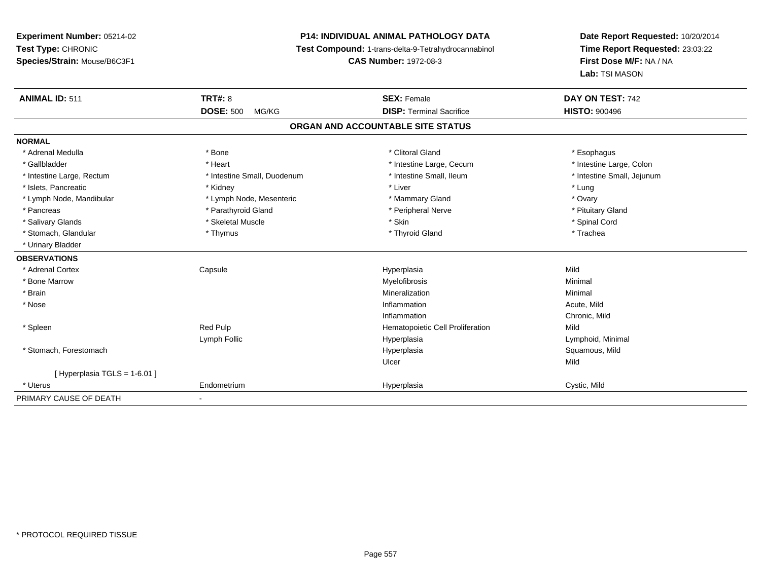## **P14: INDIVIDUAL ANIMAL PATHOLOGY DATA**

**Test Compound:** 1-trans-delta-9-Tetrahydrocannabinol

**CAS Number:** 1972-08-3

| <b>ANIMAL ID: 511</b>       | TRT#: 8                     | <b>SEX: Female</b>                | DAY ON TEST: 742           |
|-----------------------------|-----------------------------|-----------------------------------|----------------------------|
|                             | <b>DOSE: 500</b><br>MG/KG   | <b>DISP: Terminal Sacrifice</b>   | <b>HISTO: 900496</b>       |
|                             |                             | ORGAN AND ACCOUNTABLE SITE STATUS |                            |
| <b>NORMAL</b>               |                             |                                   |                            |
| * Adrenal Medulla           | * Bone                      | * Clitoral Gland                  | * Esophagus                |
| * Gallbladder               | * Heart                     | * Intestine Large, Cecum          | * Intestine Large, Colon   |
| * Intestine Large, Rectum   | * Intestine Small, Duodenum | * Intestine Small, Ileum          | * Intestine Small, Jejunum |
| * Islets, Pancreatic        | * Kidney                    | * Liver                           | * Lung                     |
| * Lymph Node, Mandibular    | * Lymph Node, Mesenteric    | * Mammary Gland                   | * Ovary                    |
| * Pancreas                  | * Parathyroid Gland         | * Peripheral Nerve                | * Pituitary Gland          |
| * Salivary Glands           | * Skeletal Muscle           | * Skin                            | * Spinal Cord              |
| * Stomach, Glandular        | * Thymus                    | * Thyroid Gland                   | * Trachea                  |
| * Urinary Bladder           |                             |                                   |                            |
| <b>OBSERVATIONS</b>         |                             |                                   |                            |
| * Adrenal Cortex            | Capsule                     | Hyperplasia                       | Mild                       |
| * Bone Marrow               |                             | Myelofibrosis                     | Minimal                    |
| * Brain                     |                             | Mineralization                    | Minimal                    |
| * Nose                      |                             | Inflammation                      | Acute, Mild                |
|                             |                             | Inflammation                      | Chronic, Mild              |
| * Spleen                    | Red Pulp                    | Hematopoietic Cell Proliferation  | Mild                       |
|                             | Lymph Follic                | Hyperplasia                       | Lymphoid, Minimal          |
| * Stomach, Forestomach      |                             | Hyperplasia                       | Squamous, Mild             |
|                             |                             | Ulcer                             | Mild                       |
| [Hyperplasia TGLS = 1-6.01] |                             |                                   |                            |
| * Uterus                    | Endometrium                 | Hyperplasia                       | Cystic, Mild               |
| PRIMARY CAUSE OF DEATH      |                             |                                   |                            |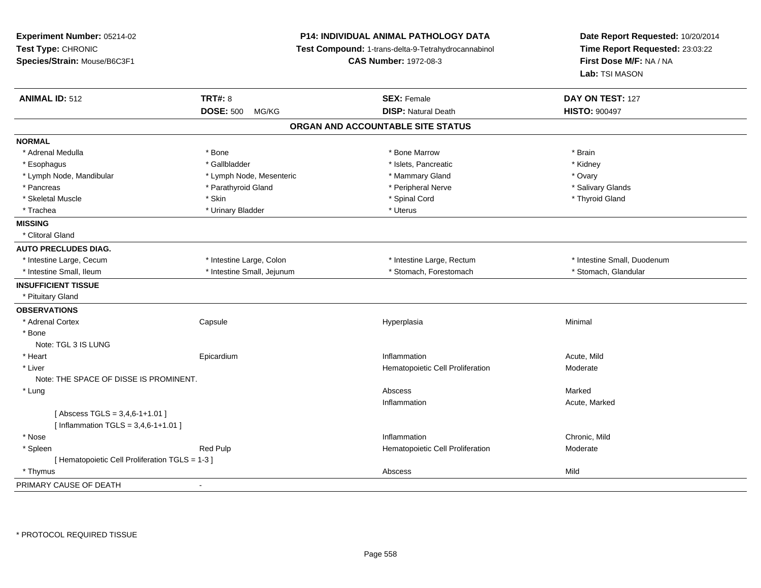| Experiment Number: 05214-02<br>Test Type: CHRONIC<br>Species/Strain: Mouse/B6C3F1 |                            | <b>P14: INDIVIDUAL ANIMAL PATHOLOGY DATA</b><br>Test Compound: 1-trans-delta-9-Tetrahydrocannabinol<br><b>CAS Number: 1972-08-3</b> | Date Report Requested: 10/20/2014<br>Time Report Requested: 23:03:22<br>First Dose M/F: NA / NA<br><b>Lab:</b> TSI MASON |  |
|-----------------------------------------------------------------------------------|----------------------------|-------------------------------------------------------------------------------------------------------------------------------------|--------------------------------------------------------------------------------------------------------------------------|--|
| <b>ANIMAL ID: 512</b>                                                             | <b>TRT#: 8</b>             | <b>SEX: Female</b>                                                                                                                  | DAY ON TEST: 127                                                                                                         |  |
|                                                                                   | <b>DOSE: 500</b><br>MG/KG  | <b>DISP: Natural Death</b>                                                                                                          | <b>HISTO: 900497</b>                                                                                                     |  |
|                                                                                   |                            | ORGAN AND ACCOUNTABLE SITE STATUS                                                                                                   |                                                                                                                          |  |
| <b>NORMAL</b>                                                                     |                            |                                                                                                                                     |                                                                                                                          |  |
| * Adrenal Medulla                                                                 | * Bone                     | * Bone Marrow                                                                                                                       | * Brain                                                                                                                  |  |
| * Esophagus                                                                       | * Gallbladder              | * Islets, Pancreatic                                                                                                                | * Kidney                                                                                                                 |  |
| * Lymph Node, Mandibular                                                          | * Lymph Node, Mesenteric   | * Mammary Gland                                                                                                                     | * Ovary                                                                                                                  |  |
| * Pancreas                                                                        | * Parathyroid Gland        | * Peripheral Nerve                                                                                                                  | * Salivary Glands                                                                                                        |  |
| * Skeletal Muscle                                                                 | * Skin                     | * Spinal Cord                                                                                                                       | * Thyroid Gland                                                                                                          |  |
| * Trachea                                                                         | * Urinary Bladder          | * Uterus                                                                                                                            |                                                                                                                          |  |
| <b>MISSING</b>                                                                    |                            |                                                                                                                                     |                                                                                                                          |  |
| * Clitoral Gland                                                                  |                            |                                                                                                                                     |                                                                                                                          |  |
| <b>AUTO PRECLUDES DIAG.</b>                                                       |                            |                                                                                                                                     |                                                                                                                          |  |
| * Intestine Large, Cecum                                                          | * Intestine Large, Colon   | * Intestine Large, Rectum                                                                                                           | * Intestine Small, Duodenum                                                                                              |  |
| * Intestine Small, Ileum                                                          | * Intestine Small, Jejunum | * Stomach, Forestomach                                                                                                              | * Stomach, Glandular                                                                                                     |  |
| <b>INSUFFICIENT TISSUE</b>                                                        |                            |                                                                                                                                     |                                                                                                                          |  |
| * Pituitary Gland                                                                 |                            |                                                                                                                                     |                                                                                                                          |  |
| <b>OBSERVATIONS</b>                                                               |                            |                                                                                                                                     |                                                                                                                          |  |
| * Adrenal Cortex                                                                  | Capsule                    | Hyperplasia                                                                                                                         | Minimal                                                                                                                  |  |
| * Bone                                                                            |                            |                                                                                                                                     |                                                                                                                          |  |
| Note: TGL 3 IS LUNG                                                               |                            |                                                                                                                                     |                                                                                                                          |  |
| * Heart                                                                           | Epicardium                 | Inflammation                                                                                                                        | Acute, Mild                                                                                                              |  |
| * Liver                                                                           |                            | Hematopoietic Cell Proliferation                                                                                                    | Moderate                                                                                                                 |  |
| Note: THE SPACE OF DISSE IS PROMINENT.                                            |                            |                                                                                                                                     |                                                                                                                          |  |
| * Lung                                                                            |                            | Abscess                                                                                                                             | Marked                                                                                                                   |  |
|                                                                                   |                            | Inflammation                                                                                                                        | Acute, Marked                                                                                                            |  |
| [Abscess TGLS = $3,4,6-1+1.01$ ]                                                  |                            |                                                                                                                                     |                                                                                                                          |  |
| [Inflammation TGLS = $3,4,6-1+1.01$ ]                                             |                            |                                                                                                                                     |                                                                                                                          |  |
| * Nose                                                                            |                            | Inflammation                                                                                                                        | Chronic, Mild                                                                                                            |  |
| * Spleen                                                                          | <b>Red Pulp</b>            | Hematopoietic Cell Proliferation                                                                                                    | Moderate                                                                                                                 |  |
| [ Hematopoietic Cell Proliferation TGLS = 1-3 ]                                   |                            |                                                                                                                                     |                                                                                                                          |  |
| * Thymus                                                                          |                            | Abscess                                                                                                                             | Mild                                                                                                                     |  |
| PRIMARY CAUSE OF DEATH                                                            | $\overline{\phantom{a}}$   |                                                                                                                                     |                                                                                                                          |  |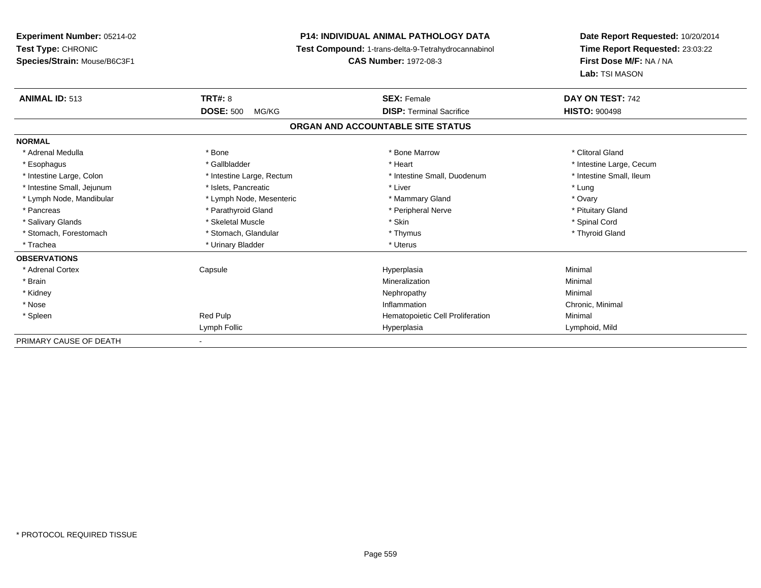**Experiment Number:** 05214-02**Test Type:** CHRONIC **Species/Strain:** Mouse/B6C3F1**P14: INDIVIDUAL ANIMAL PATHOLOGY DATA Test Compound:** 1-trans-delta-9-Tetrahydrocannabinol **CAS Number:** 1972-08-3**Date Report Requested:** 10/20/2014**Time Report Requested:** 23:03:22**First Dose M/F:** NA / NA**Lab:** TSI MASON**ANIMAL ID:** 513**TRT#:** 8 **SEX:** Female **SEX: Female DAY ON TEST:** 742 **DOSE:** 500 MG/KG **DISP:** Terminal Sacrifice **HISTO:** <sup>900498</sup> **ORGAN AND ACCOUNTABLE SITE STATUSNORMAL**\* Adrenal Medulla \* The state of the state of the state of the state of the Marrow \* Bone Marrow \* Clitoral Gland \* Clitoral Gland \* Esophagus \* https://www.fragustage.com/web/2019/heart \* Heart \* Heart \* Heart \* Intestine Large, Cecum \* Intestine Large, Cecum \* Sallbladder \* The state of the state of the state of the state of the state of the state o \* Intestine Small, Ileum \* Intestine Large, Colon \* Intestine Large, Rectum \* Intestine Small, Duodenum \* Intestine Small, Duodenum \* Intestine Small, Jejunum \* Notestine that the state of the state of the state of the state of the state of the state of the state of the state of the state of the state of the state of the state of the state of the state \* Ovary \* Lymph Node, Mandibular \* Lymph Node, Mesenteric \* Mammary Gland \* Mammary Gland \* Pituitary Gland \* Pancreas \* Pancreas \* Parathyroid Gland \* Pancreas \* Peripheral Nerve \* Salivary Glands \* \* Steeden \* \* Skeletal Muscle \* \* Skin \* \* Skin \* \* Steeden \* Spinal Cord \* Spinal Cord \* Spinal Cord \* Spinal Cord \* Spinal Cord \* Spinal Cord \* Spinal Cord \* Spinal Cord \* Spinal Cord \* Spinal Cord \* \* Thyroid Gland \* Stomach, Forestomach \* Thymus \* Stomach, Glandular \* Thymus \* Thymus \* Thymus \* Thymus \* Thymus \* Thymus \* Thymus \* Thymus \* Thymus \* Thymus \* Thymus \* Thymus \* Thymus \* Thymus \* Thymus \* Thymus \* Thymus \* Thymus \* Thymu \* Trachea \* Urinary Bladder \* Urinary Bladder \* Urinary Bladder \* Uterus **OBSERVATIONS** \* Adrenal Cortex Capsule Hyperplasia Minimal \* Brainn and the controller of the controller of the Mineralization and the controller of the Minimal of the Minimal <br>The Minimal of the controller of the controller of the controller of the controller of the controller of the c \* Kidneyy the control of the control of the control of the control of the control of the control of the control of the control of the control of the control of the control of the control of the control of the control of the contro \* Nosee inflammation control of the control of the control of the control of the control of the control of the control of the control of the control of the control of the control of the control of the control of the control of t \* SpleenRed Pulp **Hematopoietic Cell Proliferation** Minimal Minimal Lymph Follic Hyperplasia Lymphoid, Mild PRIMARY CAUSE OF DEATH-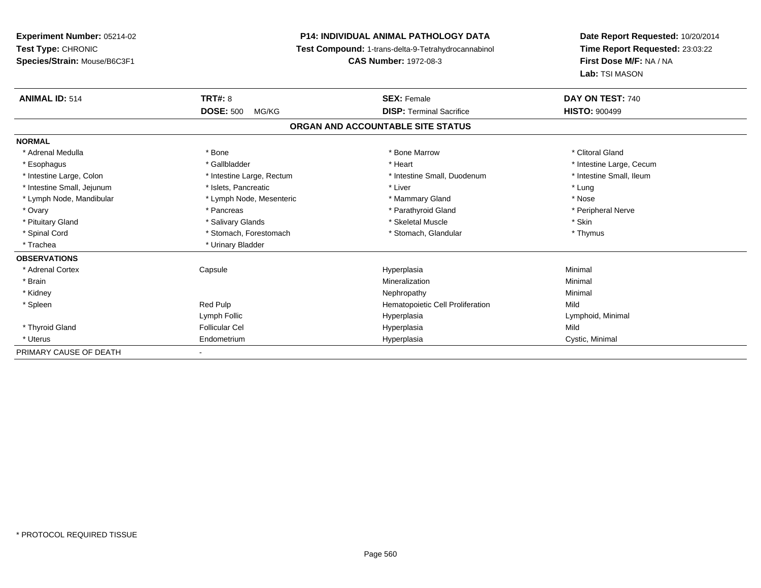# **P14: INDIVIDUAL ANIMAL PATHOLOGY DATA**

**Test Compound:** 1-trans-delta-9-Tetrahydrocannabinol

**CAS Number:** 1972-08-3

| <b>ANIMAL ID: 514</b>      | <b>TRT#: 8</b>            | <b>SEX: Female</b>                | DAY ON TEST: 740         |  |
|----------------------------|---------------------------|-----------------------------------|--------------------------|--|
|                            | <b>DOSE: 500</b><br>MG/KG | <b>DISP: Terminal Sacrifice</b>   | <b>HISTO: 900499</b>     |  |
|                            |                           | ORGAN AND ACCOUNTABLE SITE STATUS |                          |  |
| <b>NORMAL</b>              |                           |                                   |                          |  |
| * Adrenal Medulla          | * Bone                    | * Bone Marrow                     | * Clitoral Gland         |  |
| * Esophagus                | * Gallbladder             | * Heart                           | * Intestine Large, Cecum |  |
| * Intestine Large, Colon   | * Intestine Large, Rectum | * Intestine Small, Duodenum       | * Intestine Small, Ileum |  |
| * Intestine Small, Jejunum | * Islets, Pancreatic      | * Liver                           | * Lung                   |  |
| * Lymph Node, Mandibular   | * Lymph Node, Mesenteric  | * Mammary Gland                   | * Nose                   |  |
| * Ovary                    | * Pancreas                | * Parathyroid Gland               | * Peripheral Nerve       |  |
| * Pituitary Gland          | * Salivary Glands         | * Skeletal Muscle                 | * Skin                   |  |
| * Spinal Cord              | * Stomach, Forestomach    | * Stomach, Glandular              | * Thymus                 |  |
| * Trachea                  | * Urinary Bladder         |                                   |                          |  |
| <b>OBSERVATIONS</b>        |                           |                                   |                          |  |
| * Adrenal Cortex           | Capsule                   | Hyperplasia                       | Minimal                  |  |
| * Brain                    |                           | Mineralization                    | Minimal                  |  |
| * Kidney                   |                           | Nephropathy                       | Minimal                  |  |
| * Spleen                   | Red Pulp                  | Hematopoietic Cell Proliferation  | Mild                     |  |
|                            | Lymph Follic              | Hyperplasia                       | Lymphoid, Minimal        |  |
| * Thyroid Gland            | <b>Follicular Cel</b>     | Hyperplasia                       | Mild                     |  |
| * Uterus                   | Endometrium               | Hyperplasia                       | Cystic, Minimal          |  |
| PRIMARY CAUSE OF DEATH     |                           |                                   |                          |  |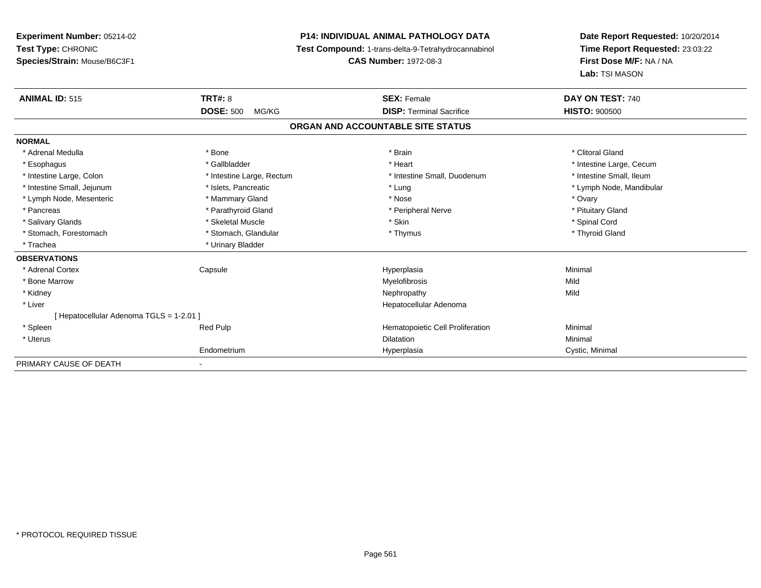**Experiment Number:** 05214-02**Test Type:** CHRONIC **Species/Strain:** Mouse/B6C3F1**P14: INDIVIDUAL ANIMAL PATHOLOGY DATA Test Compound:** 1-trans-delta-9-Tetrahydrocannabinol **CAS Number:** 1972-08-3**Date Report Requested:** 10/20/2014**Time Report Requested:** 23:03:22**First Dose M/F:** NA / NA**Lab:** TSI MASON**ANIMAL ID:** 515**TRT#:** 8 **SEX:** Female **SEX: Female DAY ON TEST:** 740 **DOSE:** 500 MG/KG**DISP:** Terminal Sacrifice **HISTO:**  $900500$ **ORGAN AND ACCOUNTABLE SITE STATUSNORMAL**\* Adrenal Medulla \* The state of the state of the state of the state of the state of the state of the state of the state of the state of the state of the state of the state of the state of the state of the state of the sta \* Esophagus \* https://www.fragustage.com/web/2019/heart \* Heart \* Heart \* Heart \* Intestine Large, Cecum \* Intestine Large, Cecum \* Sallbladder \* The state of the state of the state of the state of the state of the state o \* Intestine Small. Ileum \* Intestine Large, Colon \* Intestine Large, Rectum \* Intestine Small, Duodenum \* Intestine Small, Duodenum \* Intestine Small, Jejunum \* \* \* https://www.fat.com/setter/educition/setter/filesophysics.com/setter/filesophysics.com/setter/filesophysics.com/setter/filesophysics.com/setter/filesophysics.com/setter/filesophysics.com/se \* Lymph Node, Mesenteric \* \* \* Mammary Gland \* \* Nose \* \* Nose \* \* Nose \* Ovary \* Ovary \* Ovary \* Ovary \* Ovary \* Pituitary Gland \* Pancreas \* Pancreas \* Parathyroid Gland \* Pancreas \* Peripheral Nerve \* Salivary Glands \* \* Steeden \* \* Skeletal Muscle \* \* Skin \* \* Skin \* \* Steeden \* Spinal Cord \* Spinal Cord \* Spinal Cord \* Spinal Cord \* Spinal Cord \* Spinal Cord \* Spinal Cord \* Spinal Cord \* Spinal Cord \* Spinal Cord \* \* Thyroid Gland \* Stomach, Forestomach \* Thymus \* Stomach, Glandular \* Thymus \* Thymus \* Thymus \* Thymus \* Thymus \* Thymus \* Thymus \* Thymus \* Thymus \* Thymus \* Thymus \* Thymus \* Thymus \* Thymus \* Thymus \* Thymus \* Thymus \* Thymus \* Thymu \* Trachea **\*** Urinary Bladder **OBSERVATIONS** \* Adrenal Cortex Capsule Hyperplasia Minimal \* Bone Marroww which is a state of the Myelofibrosis and the Myelofibrosis and the Mild of the Mild of the Mild of the Mild of the Mild of the Mild of the Mild of the Mild of the Mild of the Mild of the Mild of the Mild of the Mild of \* Kidneyy the control of the control of the control of the control of the control of the control of the control of the control of the control of the control of the control of the control of the control of the control of the contro \* Liver Hepatocellular Adenoma[ Hepatocellular Adenoma TGLS = 1-2.01 ] \* Spleen Red Pulp Hematopoietic Cell Proliferation Minimal \* Uteruss and the contract of the contract of the contract of the contract of the contract of the contract of the contract of the contract of the contract of the contract of the contract of the contract of the contract of the cont n and a basic control of the Minimal Minimal Section of the Minimal Section of the Minimal Section of the Minimal Section of the Minimal Section of the Minimal Section of the Minimal Section of the Minimal Section of the M Endometriumm Cystic, Minimal Cystic, Minimal PRIMARY CAUSE OF DEATH-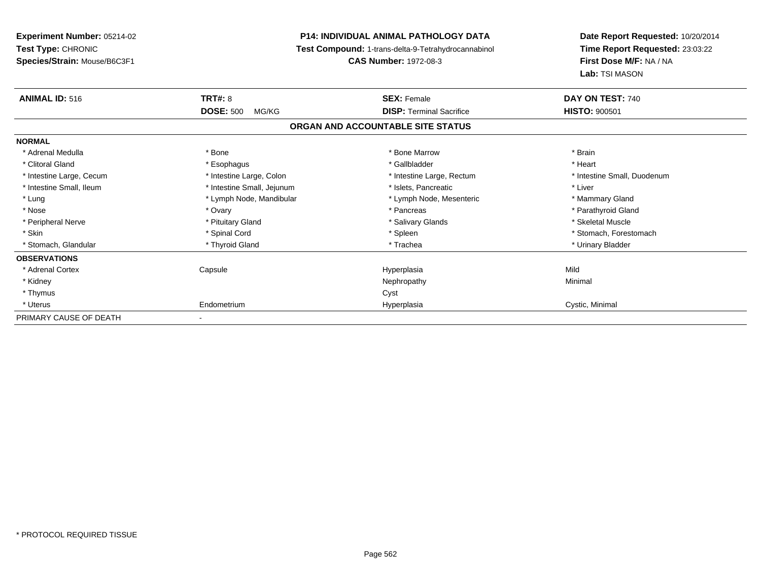| Experiment Number: 05214-02  |                            | <b>P14: INDIVIDUAL ANIMAL PATHOLOGY DATA</b>        | Date Report Requested: 10/20/2014<br>Time Report Requested: 23:03:22<br>First Dose M/F: NA / NA |  |
|------------------------------|----------------------------|-----------------------------------------------------|-------------------------------------------------------------------------------------------------|--|
| Test Type: CHRONIC           |                            | Test Compound: 1-trans-delta-9-Tetrahydrocannabinol |                                                                                                 |  |
| Species/Strain: Mouse/B6C3F1 |                            | <b>CAS Number: 1972-08-3</b>                        |                                                                                                 |  |
|                              |                            |                                                     | Lab: TSI MASON                                                                                  |  |
| <b>ANIMAL ID: 516</b>        | <b>TRT#: 8</b>             | <b>SEX: Female</b>                                  | DAY ON TEST: 740                                                                                |  |
|                              | <b>DOSE: 500</b><br>MG/KG  | <b>DISP: Terminal Sacrifice</b>                     | <b>HISTO: 900501</b>                                                                            |  |
|                              |                            | ORGAN AND ACCOUNTABLE SITE STATUS                   |                                                                                                 |  |
| <b>NORMAL</b>                |                            |                                                     |                                                                                                 |  |
| * Adrenal Medulla            | * Bone                     | * Bone Marrow                                       | * Brain                                                                                         |  |
| * Clitoral Gland             | * Esophagus                | * Gallbladder                                       | * Heart                                                                                         |  |
| * Intestine Large, Cecum     | * Intestine Large, Colon   | * Intestine Large, Rectum                           | * Intestine Small, Duodenum                                                                     |  |
| * Intestine Small, Ileum     | * Intestine Small, Jejunum | * Islets. Pancreatic                                | * Liver                                                                                         |  |
| * Lung                       | * Lymph Node, Mandibular   | * Lymph Node, Mesenteric                            | * Mammary Gland                                                                                 |  |
| * Nose                       | * Ovary                    | * Pancreas                                          | * Parathyroid Gland                                                                             |  |
| * Peripheral Nerve           | * Pituitary Gland          | * Salivary Glands                                   | * Skeletal Muscle                                                                               |  |
| * Skin                       | * Spinal Cord              | * Spleen                                            | * Stomach, Forestomach                                                                          |  |
| * Stomach, Glandular         | * Thyroid Gland            | * Trachea                                           | * Urinary Bladder                                                                               |  |
| <b>OBSERVATIONS</b>          |                            |                                                     |                                                                                                 |  |
| * Adrenal Cortex             | Capsule                    | Hyperplasia                                         | Mild                                                                                            |  |
| * Kidney                     |                            | Nephropathy                                         | Minimal                                                                                         |  |
| * Thymus                     |                            | Cyst                                                |                                                                                                 |  |
| * Uterus                     | Endometrium                | Hyperplasia                                         | Cystic, Minimal                                                                                 |  |
| PRIMARY CAUSE OF DEATH       |                            |                                                     |                                                                                                 |  |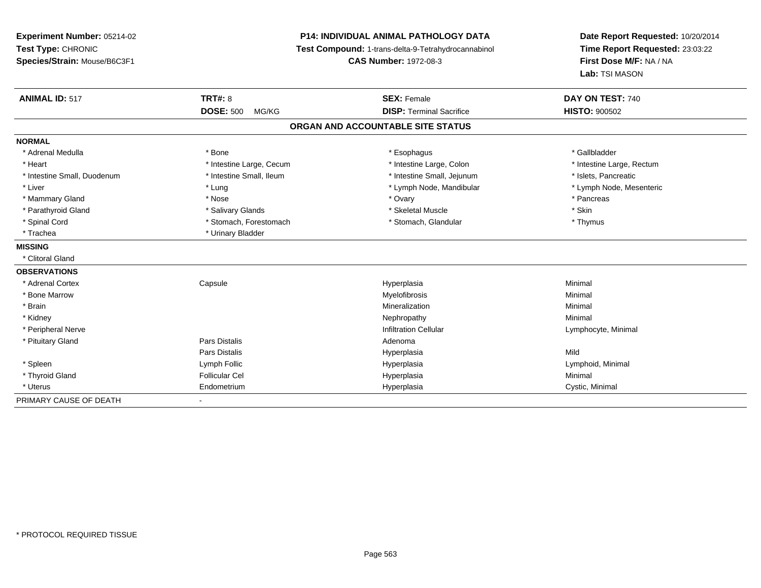**Experiment Number:** 05214-02**Test Type:** CHRONIC **Species/Strain:** Mouse/B6C3F1**P14: INDIVIDUAL ANIMAL PATHOLOGY DATA Test Compound:** 1-trans-delta-9-Tetrahydrocannabinol **CAS Number:** 1972-08-3**Date Report Requested:** 10/20/2014**Time Report Requested:** 23:03:22**First Dose M/F:** NA / NA**Lab:** TSI MASON**ANIMAL ID:** 517**TRT#:** 8 **SEX:** Female **SEX: Female DAY ON TEST:** 740 **DOSE:** 500 MG/KG **DISP:** Terminal Sacrifice **HISTO:** <sup>900502</sup> **ORGAN AND ACCOUNTABLE SITE STATUSNORMAL**\* Adrenal Medulla \* Adrenal Medulla \* \* \* Bone \* \* \* Bone \* \* \* Esophagus \* \* Esophagus \* \* \* Esophagus \* \* Gallbladder \* \* Gallbladder \* Heart **\*** Intestine Large, Cecum **\* Intestine Large, Cecum** \* Intestine Large, Colon \* Intestine Large, Rectum \* Intestine Large, Rectum \* Intestine Small, Duodenum \* Intestine Small, Ileum \* Intestine Small, Jejunum \* Islets, Pancreatic\* Lymph Node, Mesenteric \* Liver \* Lung \* Lung \* Lung \* Lung \* Lymph Node, Mandibular \* Lymph Node, Mandibular \* Mammary Gland \* \* Andrew \* Nose \* \* Nose \* \* Ovary \* Ovary \* Ovary \* \* Ovary \* \* Pancreas \* \* Pancreas \* \* Pancreas \* \* Pancreas \* \* Pancreas \* \* Pancreas \* \* Pancreas \* \* Pancreas \* \* Pancreas \* \* Pancreas \* \* Pancreas \* Parathyroid Gland \* \* Salivary Glands \* Salivary Glands \* Skeletal Muscle \* Skeletal Muscle \* \* Skin \* Thymus \* Spinal Cord \* Stomach, Forestomach \* Stomach \* Stomach, Glandular \* Stomach, Glandular \* Trachea \* Urinary Bladder**MISSING** \* Clitoral Gland**OBSERVATIONS** \* Adrenal Cortex**Capsule**  Hyperplasia Minimal \* Bone Marroww which is a controller to the Myelofibrosis and the Minimal method of the Minimal method of the Minimal method of the Minimal method of the Minimal method of the Minimal method of the Minimal method of the Minimal method \* Brainn and the controller of the controller of the controller of the Minimal Mineralization and the controller of the Minimal Minimal  $\alpha$  \* Kidneyy the control of the control of the control of the control of the control of the control of the control of the control of the control of the control of the control of the control of the control of the control of the contro \* Peripheral Nerve Infiltration Cellular Lymphocyte, Minimal \* Pituitary Glandd and the set of Pars Distalis and the Second Adenomal Adenomal Second Second Pars Distallis Pars Distalis Hyperplasiaa Mild \* Spleen Lymph Follic Hyperplasia Lymphoid, Minimal \* Thyroid Gland Follicular Cel Hyperplasia Minimal \* Uterus Endometriumm Cystic, Minimal Cystic, Minimal PRIMARY CAUSE OF DEATH-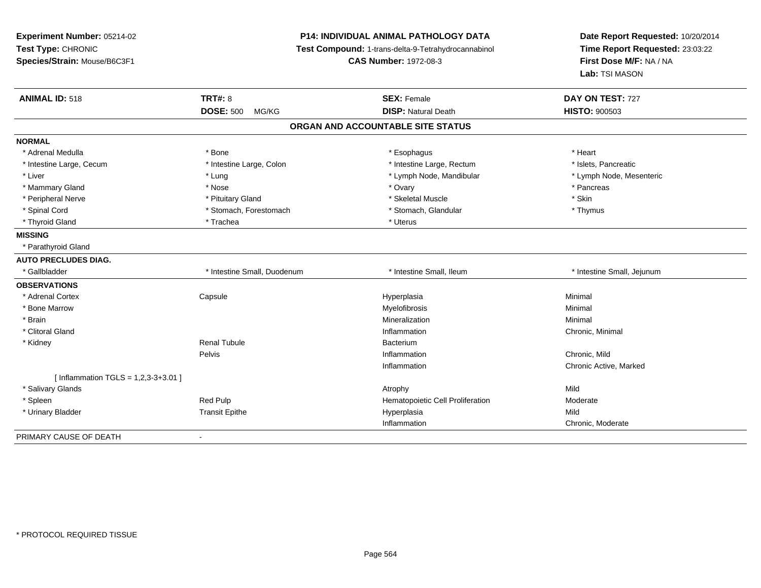| Experiment Number: 05214-02<br>Test Type: CHRONIC<br>Species/Strain: Mouse/B6C3F1 |                             | <b>P14: INDIVIDUAL ANIMAL PATHOLOGY DATA</b><br>Test Compound: 1-trans-delta-9-Tetrahydrocannabinol<br><b>CAS Number: 1972-08-3</b> | Date Report Requested: 10/20/2014<br>Time Report Requested: 23:03:22<br>First Dose M/F: NA / NA<br>Lab: TSI MASON |  |
|-----------------------------------------------------------------------------------|-----------------------------|-------------------------------------------------------------------------------------------------------------------------------------|-------------------------------------------------------------------------------------------------------------------|--|
| <b>ANIMAL ID: 518</b>                                                             | <b>TRT#: 8</b>              | <b>SEX: Female</b>                                                                                                                  | DAY ON TEST: 727                                                                                                  |  |
|                                                                                   | <b>DOSE: 500</b><br>MG/KG   | <b>DISP: Natural Death</b>                                                                                                          | <b>HISTO: 900503</b>                                                                                              |  |
|                                                                                   |                             | ORGAN AND ACCOUNTABLE SITE STATUS                                                                                                   |                                                                                                                   |  |
| <b>NORMAL</b>                                                                     |                             |                                                                                                                                     |                                                                                                                   |  |
| * Adrenal Medulla                                                                 | * Bone                      | * Esophagus                                                                                                                         | * Heart                                                                                                           |  |
| * Intestine Large, Cecum                                                          | * Intestine Large, Colon    | * Intestine Large, Rectum                                                                                                           | * Islets, Pancreatic                                                                                              |  |
| * Liver                                                                           | * Lung                      | * Lymph Node, Mandibular                                                                                                            | * Lymph Node, Mesenteric                                                                                          |  |
| * Mammary Gland                                                                   | * Nose                      | * Ovary                                                                                                                             | * Pancreas                                                                                                        |  |
| * Peripheral Nerve                                                                | * Pituitary Gland           | * Skeletal Muscle                                                                                                                   | * Skin                                                                                                            |  |
| * Spinal Cord                                                                     | * Stomach, Forestomach      | * Stomach, Glandular                                                                                                                | * Thymus                                                                                                          |  |
| * Thyroid Gland                                                                   | * Trachea                   | * Uterus                                                                                                                            |                                                                                                                   |  |
| <b>MISSING</b>                                                                    |                             |                                                                                                                                     |                                                                                                                   |  |
| * Parathyroid Gland                                                               |                             |                                                                                                                                     |                                                                                                                   |  |
| <b>AUTO PRECLUDES DIAG.</b>                                                       |                             |                                                                                                                                     |                                                                                                                   |  |
| * Gallbladder                                                                     | * Intestine Small, Duodenum | * Intestine Small, Ileum                                                                                                            | * Intestine Small, Jejunum                                                                                        |  |
| <b>OBSERVATIONS</b>                                                               |                             |                                                                                                                                     |                                                                                                                   |  |
| * Adrenal Cortex                                                                  | Capsule                     | Hyperplasia                                                                                                                         | Minimal                                                                                                           |  |
| * Bone Marrow                                                                     |                             | Myelofibrosis                                                                                                                       | Minimal                                                                                                           |  |
| * Brain                                                                           |                             | Mineralization                                                                                                                      | Minimal                                                                                                           |  |
| * Clitoral Gland                                                                  |                             | Inflammation                                                                                                                        | Chronic, Minimal                                                                                                  |  |
| * Kidney                                                                          | <b>Renal Tubule</b>         | <b>Bacterium</b>                                                                                                                    |                                                                                                                   |  |
|                                                                                   | Pelvis                      | Inflammation                                                                                                                        | Chronic, Mild                                                                                                     |  |
|                                                                                   |                             | Inflammation                                                                                                                        | Chronic Active, Marked                                                                                            |  |
| [Inflammation TGLS = $1,2,3-3+3.01$ ]                                             |                             |                                                                                                                                     |                                                                                                                   |  |
| * Salivary Glands                                                                 |                             | Atrophy                                                                                                                             | Mild                                                                                                              |  |
| * Spleen                                                                          | Red Pulp                    | Hematopoietic Cell Proliferation                                                                                                    | Moderate                                                                                                          |  |
| * Urinary Bladder                                                                 | <b>Transit Epithe</b>       | Hyperplasia                                                                                                                         | Mild                                                                                                              |  |
|                                                                                   |                             | Inflammation                                                                                                                        | Chronic, Moderate                                                                                                 |  |
| PRIMARY CAUSE OF DEATH                                                            |                             |                                                                                                                                     |                                                                                                                   |  |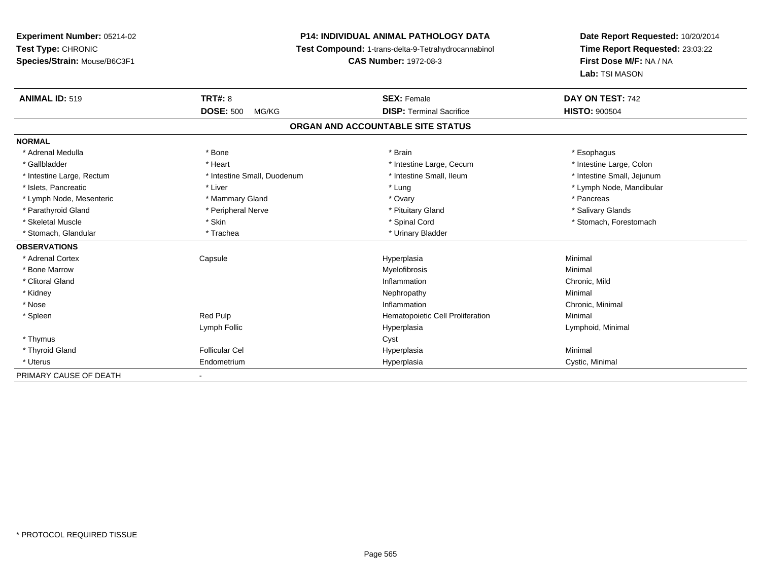## **P14: INDIVIDUAL ANIMAL PATHOLOGY DATA**

**Test Compound:** 1-trans-delta-9-Tetrahydrocannabinol

**CAS Number:** 1972-08-3

| <b>ANIMAL ID: 519</b>     | <b>TRT#: 8</b>              | <b>SEX: Female</b>                | DAY ON TEST: 742           |
|---------------------------|-----------------------------|-----------------------------------|----------------------------|
|                           | <b>DOSE: 500</b><br>MG/KG   | <b>DISP: Terminal Sacrifice</b>   | <b>HISTO: 900504</b>       |
|                           |                             | ORGAN AND ACCOUNTABLE SITE STATUS |                            |
| <b>NORMAL</b>             |                             |                                   |                            |
| * Adrenal Medulla         | * Bone                      | * Brain                           | * Esophagus                |
| * Gallbladder             | * Heart                     | * Intestine Large, Cecum          | * Intestine Large, Colon   |
| * Intestine Large, Rectum | * Intestine Small, Duodenum | * Intestine Small, Ileum          | * Intestine Small, Jejunum |
| * Islets, Pancreatic      | * Liver                     | * Lung                            | * Lymph Node, Mandibular   |
| * Lymph Node, Mesenteric  | * Mammary Gland             | * Ovary                           | * Pancreas                 |
| * Parathyroid Gland       | * Peripheral Nerve          | * Pituitary Gland                 | * Salivary Glands          |
| * Skeletal Muscle         | * Skin                      | * Spinal Cord                     | * Stomach, Forestomach     |
| * Stomach, Glandular      | * Trachea                   | * Urinary Bladder                 |                            |
| <b>OBSERVATIONS</b>       |                             |                                   |                            |
| * Adrenal Cortex          | Capsule                     | Hyperplasia                       | Minimal                    |
| * Bone Marrow             |                             | Myelofibrosis                     | Minimal                    |
| * Clitoral Gland          |                             | Inflammation                      | Chronic, Mild              |
| * Kidney                  |                             | Nephropathy                       | Minimal                    |
| * Nose                    |                             | Inflammation                      | Chronic, Minimal           |
| * Spleen                  | Red Pulp                    | Hematopoietic Cell Proliferation  | Minimal                    |
|                           | Lymph Follic                | Hyperplasia                       | Lymphoid, Minimal          |
| * Thymus                  |                             | Cyst                              |                            |
| * Thyroid Gland           | <b>Follicular Cel</b>       | Hyperplasia                       | Minimal                    |
| * Uterus                  | Endometrium                 | Hyperplasia                       | Cystic, Minimal            |
| PRIMARY CAUSE OF DEATH    |                             |                                   |                            |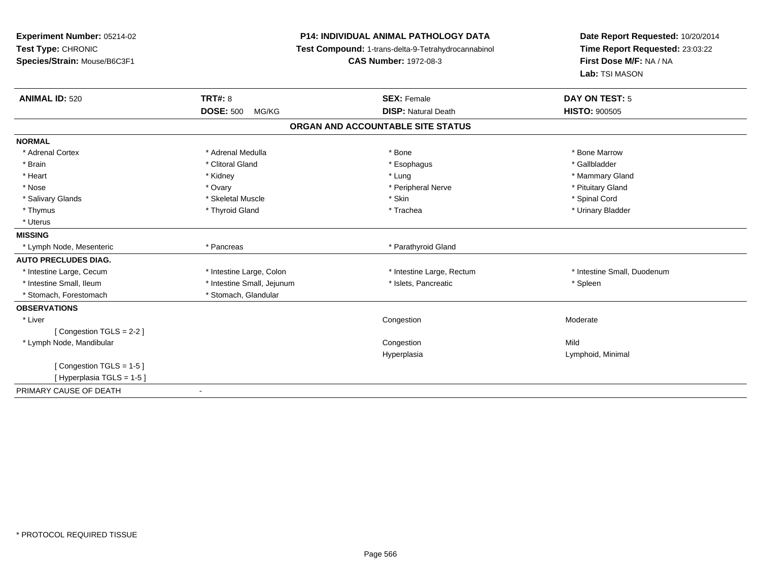| Experiment Number: 05214-02<br>Test Type: CHRONIC<br>Species/Strain: Mouse/B6C3F1 |                            | <b>P14: INDIVIDUAL ANIMAL PATHOLOGY DATA</b><br>Test Compound: 1-trans-delta-9-Tetrahydrocannabinol<br><b>CAS Number: 1972-08-3</b> | Date Report Requested: 10/20/2014<br>Time Report Requested: 23:03:22<br>First Dose M/F: NA / NA<br>Lab: TSI MASON |  |
|-----------------------------------------------------------------------------------|----------------------------|-------------------------------------------------------------------------------------------------------------------------------------|-------------------------------------------------------------------------------------------------------------------|--|
| <b>ANIMAL ID: 520</b>                                                             | <b>TRT#: 8</b>             | <b>SEX: Female</b>                                                                                                                  | <b>DAY ON TEST: 5</b>                                                                                             |  |
|                                                                                   | <b>DOSE: 500</b><br>MG/KG  | <b>DISP: Natural Death</b>                                                                                                          | <b>HISTO: 900505</b>                                                                                              |  |
|                                                                                   |                            | ORGAN AND ACCOUNTABLE SITE STATUS                                                                                                   |                                                                                                                   |  |
| <b>NORMAL</b>                                                                     |                            |                                                                                                                                     |                                                                                                                   |  |
| * Adrenal Cortex                                                                  | * Adrenal Medulla          | * Bone                                                                                                                              | * Bone Marrow                                                                                                     |  |
| * Brain                                                                           | * Clitoral Gland           | * Esophagus                                                                                                                         | * Gallbladder                                                                                                     |  |
| * Heart                                                                           | * Kidney                   | * Lung                                                                                                                              | * Mammary Gland                                                                                                   |  |
| * Nose                                                                            | * Ovary                    | * Peripheral Nerve                                                                                                                  | * Pituitary Gland                                                                                                 |  |
| * Salivary Glands                                                                 | * Skeletal Muscle          | * Skin                                                                                                                              | * Spinal Cord                                                                                                     |  |
| * Thymus                                                                          | * Thyroid Gland            | * Trachea                                                                                                                           | * Urinary Bladder                                                                                                 |  |
| * Uterus                                                                          |                            |                                                                                                                                     |                                                                                                                   |  |
| <b>MISSING</b>                                                                    |                            |                                                                                                                                     |                                                                                                                   |  |
| * Lymph Node, Mesenteric                                                          | * Pancreas                 | * Parathyroid Gland                                                                                                                 |                                                                                                                   |  |
| <b>AUTO PRECLUDES DIAG.</b>                                                       |                            |                                                                                                                                     |                                                                                                                   |  |
| * Intestine Large, Cecum                                                          | * Intestine Large, Colon   | * Intestine Large, Rectum                                                                                                           | * Intestine Small, Duodenum                                                                                       |  |
| * Intestine Small, Ileum                                                          | * Intestine Small, Jejunum | * Islets, Pancreatic                                                                                                                | * Spleen                                                                                                          |  |
| * Stomach, Forestomach                                                            | * Stomach, Glandular       |                                                                                                                                     |                                                                                                                   |  |
| <b>OBSERVATIONS</b>                                                               |                            |                                                                                                                                     |                                                                                                                   |  |
| * Liver                                                                           |                            | Congestion                                                                                                                          | Moderate                                                                                                          |  |
| [Congestion TGLS = $2-2$ ]                                                        |                            |                                                                                                                                     |                                                                                                                   |  |
| * Lymph Node, Mandibular                                                          |                            | Congestion                                                                                                                          | Mild                                                                                                              |  |
|                                                                                   |                            | Hyperplasia                                                                                                                         | Lymphoid, Minimal                                                                                                 |  |
| [Congestion TGLS = 1-5]                                                           |                            |                                                                                                                                     |                                                                                                                   |  |
| [Hyperplasia TGLS = 1-5]                                                          |                            |                                                                                                                                     |                                                                                                                   |  |
| PRIMARY CAUSE OF DEATH                                                            | $\blacksquare$             |                                                                                                                                     |                                                                                                                   |  |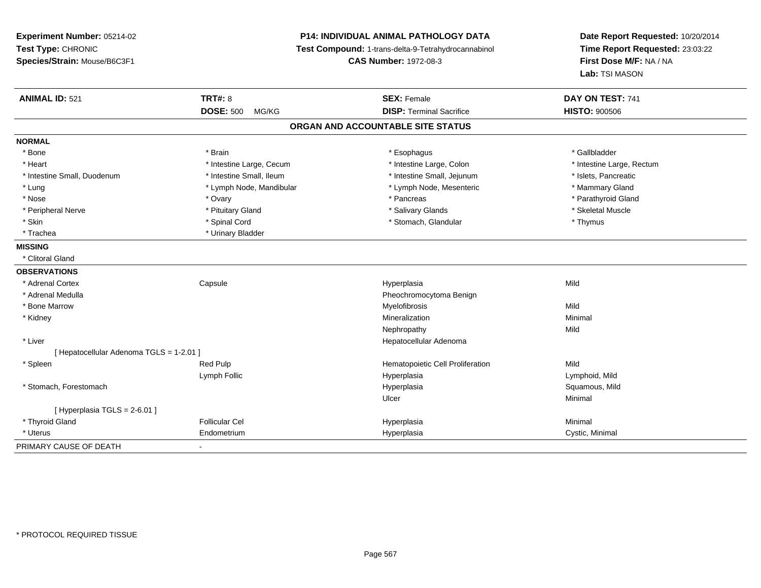**Experiment Number:** 05214-02**Test Type:** CHRONIC **Species/Strain:** Mouse/B6C3F1**P14: INDIVIDUAL ANIMAL PATHOLOGY DATA Test Compound:** 1-trans-delta-9-Tetrahydrocannabinol **CAS Number:** 1972-08-3**Date Report Requested:** 10/20/2014**Time Report Requested:** 23:03:22**First Dose M/F:** NA / NA**Lab:** TSI MASON**ANIMAL ID:** 521**TRT#:** 8 **SEX:** Female **DAY ON TEST:** 741 **DOSE:** 500 MG/KG**DISP:** Terminal Sacrifice **HISTO:**  $900506$ **ORGAN AND ACCOUNTABLE SITE STATUSNORMAL**\* Bone \* Bone \* Brain \* Esophagus \* Gallbladder \* Heart **\*** Intestine Large, Cecum **\* Intestine Large, Cecum** \* Intestine Large, Colon \* Intestine Large, Rectum \* Intestine Large, Rectum \* Intestine Small, Duodenum \* Intestine Small, Ileum \* Intestine Small, Jejunum \* Islets, Pancreatic\* Mammary Gland \* Lung \* Lymph Node, Mandibular \* Mammary \* Lymph Node, Mesenteric \* Mammary Glands \* Mammary Glands \* Mammary G \* Parathyroid Gland \* Nose \* Ovary \* Pancreas \* Parathyroid Gland \* Peripheral Nerve \* \* \* Aliundration of the term of the state of the term of the state of the state of the state of the state of the state of the state of the state of the state of the state of the state of the state of t \* Skin \* Spinal Cord \* Spinal Cord \* Stomach, Glandular \* Stomach, Glandular \* Thymus \* Trachea \* Urinary Bladder**MISSING** \* Clitoral Gland**OBSERVATIONS** \* Adrenal Cortex**Capsule**  Hyperplasia Mild \* Adrenal MedullaPheochromocytoma Benign<br>Myelofibrosis \* Bone Marroww which is a state of the Myelofibrosis and the Myelofibrosis and the Mild of the Mild of the Mild of the Mild of the Mild of the Mild of the Mild of the Mild of the Mild of the Mild of the Mild of the Mild of the Mild of \* Kidneyy the control of the control of the control of the control of the control of the control of the control of the control of the control of the control of the control of the control of the control of the control of the contro n Minimal Nephropathyy Mild \* Liver Hepatocellular Adenoma[ Hepatocellular Adenoma TGLS = 1-2.01 ] \* SpleenRed Pulp **Network** Hematopoietic Cell Proliferation Mild Lymph Follic Hyperplasia Lymphoid, Mild \* Stomach, Forestomachh ann an t-ìre ann am San Amhaidh ann an t-ìre ann am Mhearpasia ann an San Aonaichte ann an Saluamous, Mild a Ulcerr **Minimal**  $[$  Hyperplasia TGLS = 2-6.01 ] \* Thyroid Gland Follicular Cel Hyperplasia Minimal \* Uterus Endometriumm Cystic, Minimal Cystic, Minimal PRIMARY CAUSE OF DEATH-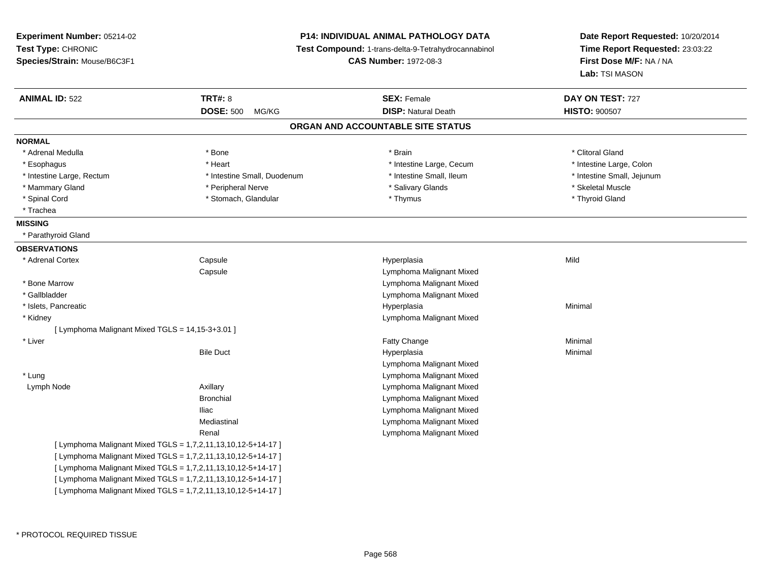**Experiment Number:** 05214-02**Test Type:** CHRONIC **Species/Strain:** Mouse/B6C3F1**P14: INDIVIDUAL ANIMAL PATHOLOGY DATA Test Compound:** 1-trans-delta-9-Tetrahydrocannabinol **CAS Number:** 1972-08-3**Date Report Requested:** 10/20/2014**Time Report Requested:** 23:03:22**First Dose M/F:** NA / NA**Lab:** TSI MASON**ANIMAL ID:** 522**TRT#:** 8 **SEX:** Female **DAY ON TEST:** 727 **DOSE:** 500 MG/KG**DISP:** Natural Death **HISTO:**  $900507$ **ORGAN AND ACCOUNTABLE SITE STATUSNORMAL**\* Adrenal Medulla \* The state of the state of the state of the state of the state of the state of the state of the state of the state of the state of the state of the state of the state of the state of the state of the sta \* Intestine Large, Colon \* Esophagus \* **Intestine Large, Cecum \* Intestine Large, Cecum \* Intestine Large, Cecum \*** Intestine Large, Cecum \* Intestine Large, Rectum \* Thestine Small, Duodenum \* Number of the small, Ileum \* Intestine Small, Jejunum \* Intestine Small, Jejunum \* Mammary Gland \* The strainer of the series of the series of the series of the series of the series of the series of the series of the series of the series of the series of the series of the series of the series of the se \* Thyroid Gland \* Spinal Cord \* Thymus \* Stomach, Glandular \* Thymus \* Thymus \* Thymus \* Thymus \* Thymus \* Thymus \* Thymus \* Thymus \* Thymus \* Thymus \* Thymus \* Thymus \* Thymus \* Thymus \* Thymus \* Thymus \* Thymus \* Thymus \* Thymus \* Thymu \* Trachea**MISSING** \* Parathyroid Gland**OBSERVATIONS** \* Adrenal Cortex**Capsule**  Hyperplasia Mild **Capsule**  Lymphoma Malignant Mixed \* Bone Marrow Lymphoma Malignant Mixed \* Gallbladder Lymphoma Malignant Mixed \* Islets, Pancreaticc and the control of the control of the control of the control of the control of the control of the control of the control of the control of the control of the control of the control of the control of the control of the co a **Minimal**  \* Kidney Lymphoma Malignant Mixed[ Lymphoma Malignant Mixed TGLS = 14,15-3+3.01 ] \* Liverr and the contract of the contract of the contract of the contract of the contract of the contract of the contract of the contract of the contract of the contract of the contract of the contract of the contract of the cont e Minimal Bile Duct Hyperplasiaa **Minimal** Lymphoma Malignant Mixed Lymphoma Malignant Mixed \* Lung Lymph Node Axillary Lymphoma Malignant Mixed Bronchial Lymphoma Malignant Mixed Lymphoma Malignant MixedIliac Lymphoma Malignant MixedMediastinal Lymphoma Malignant MixedRenal[ Lymphoma Malignant Mixed TGLS = 1,7,2,11,13,10,12-5+14-17 ][ Lymphoma Malignant Mixed TGLS = 1,7,2,11,13,10,12-5+14-17 ][ Lymphoma Malignant Mixed TGLS = 1,7,2,11,13,10,12-5+14-17 ][ Lymphoma Malignant Mixed TGLS = 1,7,2,11,13,10,12-5+14-17 ][ Lymphoma Malignant Mixed TGLS = 1,7,2,11,13,10,12-5+14-17 ]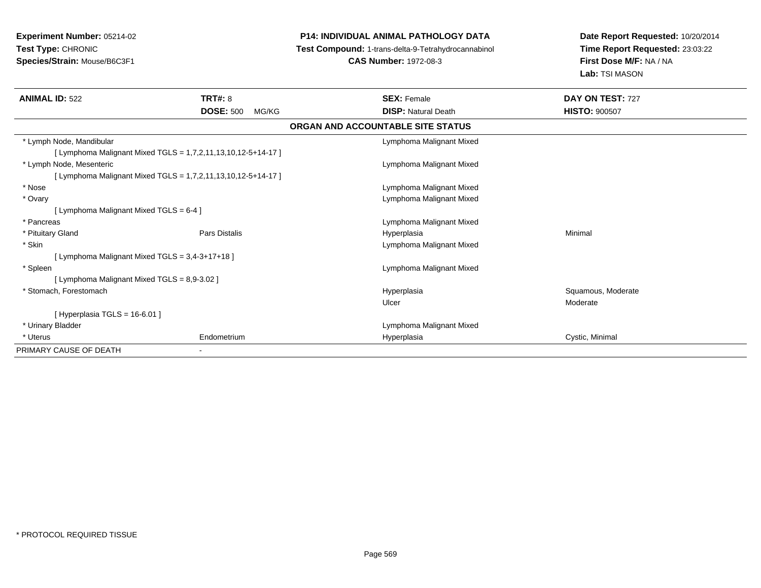## **P14: INDIVIDUAL ANIMAL PATHOLOGY DATA**

**Test Compound:** 1-trans-delta-9-Tetrahydrocannabinol

**CAS Number:** 1972-08-3

| <b>ANIMAL ID: 522</b>                                         | <b>TRT#: 8</b>            | <b>SEX: Female</b>                | DAY ON TEST: 727     |  |
|---------------------------------------------------------------|---------------------------|-----------------------------------|----------------------|--|
|                                                               | <b>DOSE: 500</b><br>MG/KG | <b>DISP: Natural Death</b>        | <b>HISTO: 900507</b> |  |
|                                                               |                           | ORGAN AND ACCOUNTABLE SITE STATUS |                      |  |
| * Lymph Node, Mandibular                                      |                           | Lymphoma Malignant Mixed          |                      |  |
| [ Lymphoma Malignant Mixed TGLS = 1,7,2,11,13,10,12-5+14-17 ] |                           |                                   |                      |  |
| * Lymph Node, Mesenteric                                      |                           | Lymphoma Malignant Mixed          |                      |  |
| [ Lymphoma Malignant Mixed TGLS = 1,7,2,11,13,10,12-5+14-17 ] |                           |                                   |                      |  |
| * Nose                                                        |                           | Lymphoma Malignant Mixed          |                      |  |
| * Ovary                                                       |                           | Lymphoma Malignant Mixed          |                      |  |
| [ Lymphoma Malignant Mixed TGLS = 6-4 ]                       |                           |                                   |                      |  |
| * Pancreas                                                    |                           | Lymphoma Malignant Mixed          |                      |  |
| * Pituitary Gland                                             | <b>Pars Distalis</b>      | Hyperplasia                       | Minimal              |  |
| * Skin                                                        |                           | Lymphoma Malignant Mixed          |                      |  |
| [ Lymphoma Malignant Mixed TGLS = 3,4-3+17+18 ]               |                           |                                   |                      |  |
| * Spleen                                                      |                           | Lymphoma Malignant Mixed          |                      |  |
| [ Lymphoma Malignant Mixed TGLS = 8,9-3.02 ]                  |                           |                                   |                      |  |
| * Stomach, Forestomach                                        |                           | Hyperplasia                       | Squamous, Moderate   |  |
|                                                               |                           | Ulcer                             | Moderate             |  |
| [Hyperplasia TGLS = $16-6.01$ ]                               |                           |                                   |                      |  |
| * Urinary Bladder                                             |                           | Lymphoma Malignant Mixed          |                      |  |
| * Uterus                                                      | Endometrium               | Hyperplasia                       | Cystic, Minimal      |  |
| PRIMARY CAUSE OF DEATH<br>۰.                                  |                           |                                   |                      |  |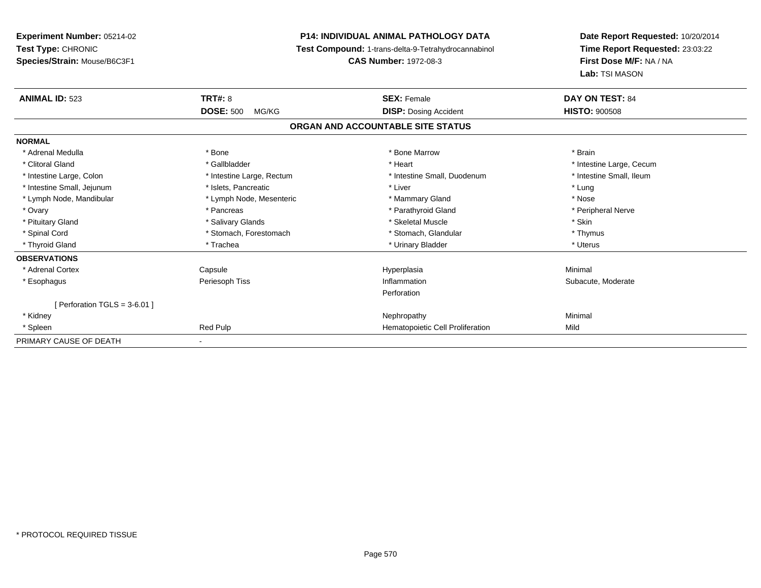**Experiment Number:** 05214-02**Test Type:** CHRONIC **Species/Strain:** Mouse/B6C3F1**P14: INDIVIDUAL ANIMAL PATHOLOGY DATA Test Compound:** 1-trans-delta-9-Tetrahydrocannabinol **CAS Number:** 1972-08-3**Date Report Requested:** 10/20/2014**Time Report Requested:** 23:03:22**First Dose M/F:** NA / NA**Lab:** TSI MASON**ANIMAL ID:** 523**TRT#:** 8 **SEX:** Female **DAY ON TEST:** 84 **DOSE:** 500 MG/KG**DISP:** Dosing Accident **HISTO:**  $900508$ **ORGAN AND ACCOUNTABLE SITE STATUSNORMAL**\* Adrenal Medulla \* \* Annual Medulla \* Brain \* Bone \* \* Bone Marrow \* Bone Marrow \* \* Brain \* Brain \* Brain \* Brain \* Brain \* Brain \* Brain \* Brain \* Brain \* Brain \* Brain \* Brain \* Brain \* Brain \* Brain \* Brain \* Brain \* \* Clitoral Gland \* \* Thestine Large, Cecum \* Gallbladder \* \* Heart \* \* Heart \* \* Heart \* Intestine Large, Cecum \* Intestine Small, Ileum \* Intestine Large, Colon \* Intestine Large, Rectum \* Intestine Small, Duodenum \* Intestine Small, Duodenum \* Intestine Small, Jejunum \* The matches of the state of the state of the state of the state of the state of the state of the state of the state of the state of the state of the state of the state of the state of the state \* Nose \* Lymph Node, Mandibular \* Lymph Node, Mesenteric \* Mammary Gland \* Mammary Gland \* Peripheral Nerve \* Ovary \* And the second of the second of the second version of the second version of the second version of the second version of the second version of the second version of the second version of the second version of the \* Pituitary Gland \* \* \* Salivary Glands \* \* Salivary Glands \* \* \$keletal Muscle \* \* \$ \* \$kin \* \* \$ \* \$ \* \$ \* \$ \* Thymus \* Spinal Cord \* Stomach, Forestomach \* Stomach, Spinal Cord \* Stomach, Glandular \* Thymus \* Stomach, Glandular \* Uterus \* Thyroid Gland \* \* Trachea \* \* Trachea \* Trachea \* \* Urinary Bladder \* \* Urinary Bladder \* \* Uterus \* Uterus **OBSERVATIONS** \* Adrenal Cortex Capsule Hyperplasia Minimal \* EsophagusPeriesoph Tiss **Inflammation**  Subacute, Moderate Perforation $[$  Perforation TGLS = 3-6.01 ] \* Kidneyy the control of the control of the control of the control of the control of the control of the control of the control of the control of the control of the control of the control of the control of the control of the contro \* SpleenRed Pulp **Mild Hematopoietic Cell Proliferation** Mild PRIMARY CAUSE OF DEATH-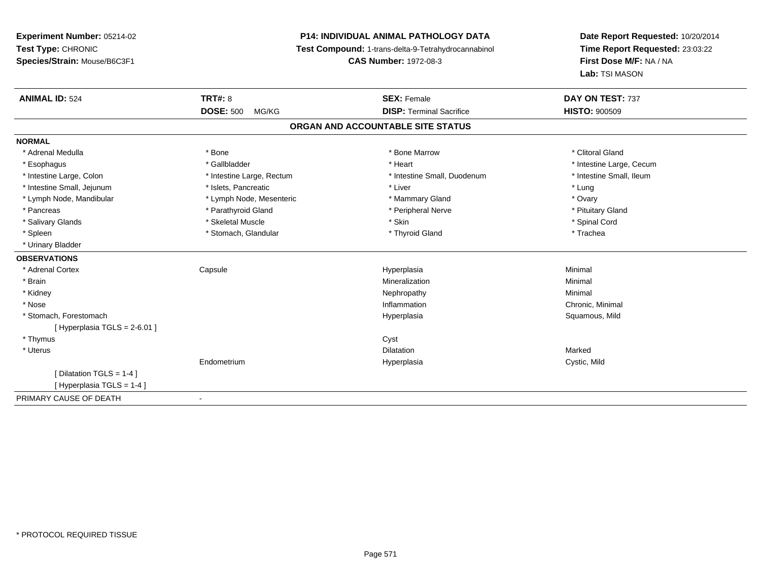# **P14: INDIVIDUAL ANIMAL PATHOLOGY DATA**

**Test Compound:** 1-trans-delta-9-Tetrahydrocannabinol

**CAS Number:** 1972-08-3

| <b>ANIMAL ID: 524</b>        | <b>TRT#: 8</b>            | <b>SEX: Female</b>                | DAY ON TEST: 737         |
|------------------------------|---------------------------|-----------------------------------|--------------------------|
|                              | <b>DOSE: 500</b><br>MG/KG | <b>DISP: Terminal Sacrifice</b>   | <b>HISTO: 900509</b>     |
|                              |                           | ORGAN AND ACCOUNTABLE SITE STATUS |                          |
| <b>NORMAL</b>                |                           |                                   |                          |
| * Adrenal Medulla            | * Bone                    | * Bone Marrow                     | * Clitoral Gland         |
| * Esophagus                  | * Gallbladder             | * Heart                           | * Intestine Large, Cecum |
| * Intestine Large, Colon     | * Intestine Large, Rectum | * Intestine Small, Duodenum       | * Intestine Small, Ileum |
| * Intestine Small, Jejunum   | * Islets, Pancreatic      | * Liver                           | * Lung                   |
| * Lymph Node, Mandibular     | * Lymph Node, Mesenteric  | * Mammary Gland                   | * Ovary                  |
| * Pancreas                   | * Parathyroid Gland       | * Peripheral Nerve                | * Pituitary Gland        |
| * Salivary Glands            | * Skeletal Muscle         | * Skin                            | * Spinal Cord            |
| * Spleen                     | * Stomach, Glandular      | * Thyroid Gland                   | * Trachea                |
| * Urinary Bladder            |                           |                                   |                          |
| <b>OBSERVATIONS</b>          |                           |                                   |                          |
| * Adrenal Cortex             | Capsule                   | Hyperplasia                       | Minimal                  |
| * Brain                      |                           | Mineralization                    | Minimal                  |
| * Kidney                     |                           | Nephropathy                       | Minimal                  |
| * Nose                       |                           | Inflammation                      | Chronic, Minimal         |
| * Stomach, Forestomach       |                           | Hyperplasia                       | Squamous, Mild           |
| [Hyperplasia TGLS = 2-6.01 ] |                           |                                   |                          |
| * Thymus                     |                           | Cyst                              |                          |
| * Uterus                     |                           | <b>Dilatation</b>                 | Marked                   |
|                              | Endometrium               | Hyperplasia                       | Cystic, Mild             |
| [Dilatation TGLS = 1-4 ]     |                           |                                   |                          |
| [Hyperplasia TGLS = 1-4]     |                           |                                   |                          |
| PRIMARY CAUSE OF DEATH       |                           |                                   |                          |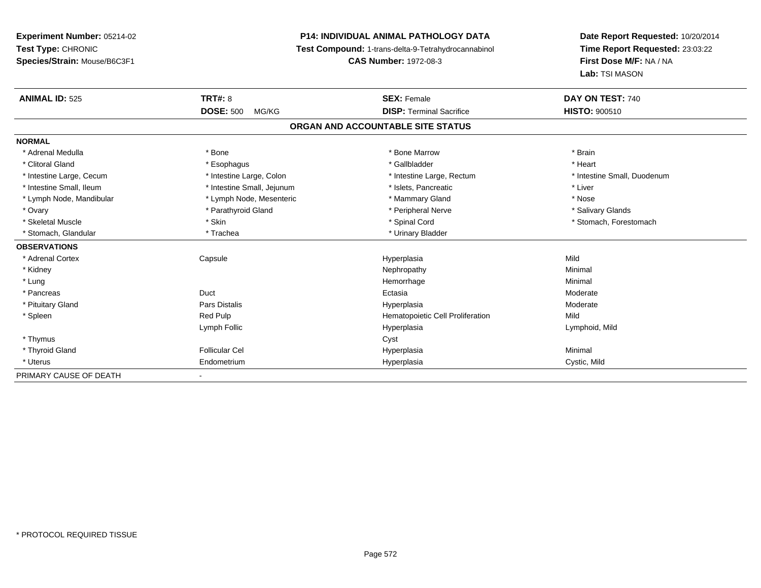**Experiment Number:** 05214-02**Test Type:** CHRONIC **Species/Strain:** Mouse/B6C3F1**P14: INDIVIDUAL ANIMAL PATHOLOGY DATA Test Compound:** 1-trans-delta-9-Tetrahydrocannabinol **CAS Number:** 1972-08-3**Date Report Requested:** 10/20/2014**Time Report Requested:** 23:03:22**First Dose M/F:** NA / NA**Lab:** TSI MASON**ANIMAL ID:** 525**TRT#:** 8 **SEX:** Female **SEX: Female DAY ON TEST:** 740 **DOSE:** 500 MG/KG**DISP:** Terminal Sacrifice **HISTO:**  $900510$ **ORGAN AND ACCOUNTABLE SITE STATUSNORMAL**\* Adrenal Medulla \* \* Annual Medulla \* Brain \* Bone \* \* Bone Marrow \* Bone Marrow \* \* Brain \* Brain \* Brain \* Brain \* Brain \* Brain \* Brain \* Brain \* Brain \* Brain \* Brain \* Brain \* Brain \* Brain \* Brain \* Brain \* Brain \* \* Heart \* Clitoral Gland \* \* \* heart \* \* Esophagus \* \* \* \* \* \* \* \* \* \* \* Gallbladder \* \* \* \* \* \* \* \* \* \* \* \* Heart \* Intestine Large, Cecum \* Intestine Large, Colon \* Intestine Large, Rectum \* Intestine Small, Duodenum \* Intestine Small, Ileum \* Intestine Small, Jejunum \* Islets, Pancreatic \* Liver\* Lymph Node, Mandibular \* The state of the state of the second temperature and the state of the state of the state of the state of the state of the state of the state of the state of the state of the state of the state of \* Salivary Glands \* Ovary \* And the section of the section of the section of the section of the section of the section of the section of the section of the section of the section of the section of the section of the section of the section o \* Skeletal Muscle \* The state of the set of the set of the set of the set of the set of the set of the set of the set of the set of the set of the set of the set of the set of the set of the set of the set of the set of th \* Stomach, Glandular \* Trachea \* Trachea \* Trachea \* Urinary Bladder **OBSERVATIONS** \* Adrenal Cortex Capsule Hyperplasia Mild \* Kidneyy the control of the control of the control of the control of the control of the control of the control of the control of the control of the control of the control of the control of the control of the control of the contro \* Lungg and the state of the state of the state of the state of the Minimal Section 1, the state of the state of the Minimal Section 1, the state of the state of the state of the state of the state of the state of the state of t \* Pancreass and the contract of the Duct of the contract of the contract of the Ectasia Ectasia **Moderate**  \* Pituitary Gland Pars Distalis Hyperplasia Moderate \* SpleenRed Pulp **Mild Hematopoietic Cell Proliferation Mild** Lymph Follic Hyperplasia Lymphoid, Mild \* Thymuss the contract of the contract of the contract of the contract of the contract of the contract of the contract of the contract of the contract of the contract of the contract of the contract of the contract of the contract \* Thyroid Gland Follicular Cel Hyperplasia Minimal \* Uterus Endometrium Hyperplasia Cystic, Mild PRIMARY CAUSE OF DEATH-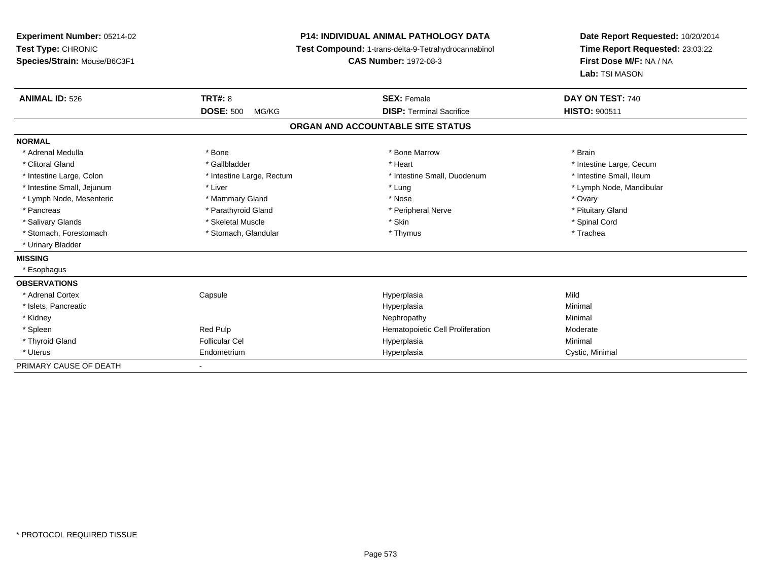**Experiment Number:** 05214-02**Test Type:** CHRONIC **Species/Strain:** Mouse/B6C3F1**P14: INDIVIDUAL ANIMAL PATHOLOGY DATA Test Compound:** 1-trans-delta-9-Tetrahydrocannabinol **CAS Number:** 1972-08-3**Date Report Requested:** 10/20/2014**Time Report Requested:** 23:03:22**First Dose M/F:** NA / NA**Lab:** TSI MASON**ANIMAL ID:** 526**6 DAY ON TEST:** 740 **DOSE:** 500 MG/KG**DISP:** Terminal Sacrifice **HISTO:** 900511 **ORGAN AND ACCOUNTABLE SITE STATUSNORMAL**\* Adrenal Medulla \* \* Annual Medulla \* Brain \* Bone \* \* Bone Marrow \* Bone Marrow \* \* Brain \* Brain \* Brain \* Brain \* Brain \* Brain \* Brain \* Brain \* Brain \* Brain \* Brain \* Brain \* Brain \* Brain \* Brain \* Brain \* Brain \* \* Clitoral Gland \* \* Thestine Large, Cecum \* Gallbladder \* \* Heart \* \* Heart \* \* Heart \* Intestine Large, Cecum \* Intestine Small, Ileum \* Intestine Large, Colon \* Intestine Large, Rectum \* Intestine Small, Duodenum \* Intestine Small, Duodenum \* Intestine Small, Jejunum \* Liver \* Lung \* Lymph Node, Mandibular \* Lymph Node, Mesenteric \* \* \* Mammary Gland \* \* Nose \* Nose \* Ovary \* Ovary \* Ovary \* Ovary \* Ovary \* Ovary \* Ovary \* Pituitary Gland \* Pancreas \* Pancreas \* Parathyroid Gland \* Pancreas \* Peripheral Nerve \* Salivary Glands \* \* Steeden \* \* Skeletal Muscle \* \* Skin \* \* Skin \* \* Steeden \* Spinal Cord \* Spinal Cord \* Spinal Cord \* Spinal Cord \* Spinal Cord \* Spinal Cord \* Spinal Cord \* Spinal Cord \* Spinal Cord \* Spinal Cord \* \* Stomach, Forestomach \* Trachea \* Stomach, Glandular \* Thymus \* Thymus \* Thymus \* Trachea \* Trachea \* Urinary Bladder**MISSING** \* Esophagus**OBSERVATIONS** \* Adrenal Cortex Capsule Hyperplasia Mild \* Islets, Pancreaticc and the control of the control of the control of the control of the control of the control of the control of the control of the control of the control of the control of the control of the control of the control of the co a **Minimal**  \* Kidneyy the control of the control of the control of the control of the control of the control of the control of the control of the control of the control of the control of the control of the control of the control of the contro \* SpleenRed Pulp Moderate Cell Proliferation (Red Pulp Moderate Politectic Cell Proliferation Moderate Politectic Cell<br>Follicular Cel Minimal \* Thyroid GlandFollicular Cel Hyperplasia Minimal

Endometrium

PRIMARY CAUSE OF DEATH-

\* Uterus

m Cystic, Minimal Cystic, Minimal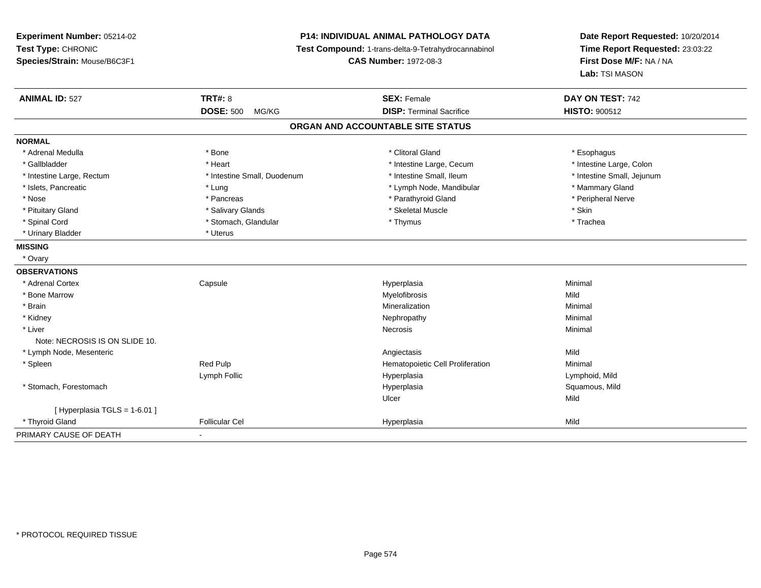## **P14: INDIVIDUAL ANIMAL PATHOLOGY DATA**

**Test Compound:** 1-trans-delta-9-Tetrahydrocannabinol

**CAS Number:** 1972-08-3

| <b>ANIMAL ID: 527</b>          | <b>TRT#: 8</b>              | <b>SEX: Female</b>                | DAY ON TEST: 742           |
|--------------------------------|-----------------------------|-----------------------------------|----------------------------|
|                                | <b>DOSE: 500</b><br>MG/KG   | <b>DISP: Terminal Sacrifice</b>   | <b>HISTO: 900512</b>       |
|                                |                             | ORGAN AND ACCOUNTABLE SITE STATUS |                            |
| <b>NORMAL</b>                  |                             |                                   |                            |
| * Adrenal Medulla              | * Bone                      | * Clitoral Gland                  | * Esophagus                |
| * Gallbladder                  | * Heart                     | * Intestine Large, Cecum          | * Intestine Large, Colon   |
| * Intestine Large, Rectum      | * Intestine Small, Duodenum | * Intestine Small, Ileum          | * Intestine Small, Jejunum |
| * Islets, Pancreatic           | * Lung                      | * Lymph Node, Mandibular          | * Mammary Gland            |
| * Nose                         | * Pancreas                  | * Parathyroid Gland               | * Peripheral Nerve         |
| * Pituitary Gland              | * Salivary Glands           | * Skeletal Muscle                 | * Skin                     |
| * Spinal Cord                  | * Stomach, Glandular        | * Thymus                          | * Trachea                  |
| * Urinary Bladder              | * Uterus                    |                                   |                            |
| <b>MISSING</b>                 |                             |                                   |                            |
| * Ovary                        |                             |                                   |                            |
| <b>OBSERVATIONS</b>            |                             |                                   |                            |
| * Adrenal Cortex               | Capsule                     | Hyperplasia                       | Minimal                    |
| * Bone Marrow                  |                             | Myelofibrosis                     | Mild                       |
| * Brain                        |                             | Mineralization                    | Minimal                    |
| * Kidney                       |                             | Nephropathy                       | Minimal                    |
| * Liver                        |                             | <b>Necrosis</b>                   | Minimal                    |
| Note: NECROSIS IS ON SLIDE 10. |                             |                                   |                            |
| * Lymph Node, Mesenteric       |                             | Angiectasis                       | Mild                       |
| * Spleen                       | Red Pulp                    | Hematopoietic Cell Proliferation  | Minimal                    |
|                                | Lymph Follic                | Hyperplasia                       | Lymphoid, Mild             |
| * Stomach, Forestomach         |                             | Hyperplasia                       | Squamous, Mild             |
|                                |                             | Ulcer                             | Mild                       |
| [ Hyperplasia TGLS = 1-6.01 ]  |                             |                                   |                            |
| * Thyroid Gland                | <b>Follicular Cel</b>       | Hyperplasia                       | Mild                       |
| PRIMARY CAUSE OF DEATH         |                             |                                   |                            |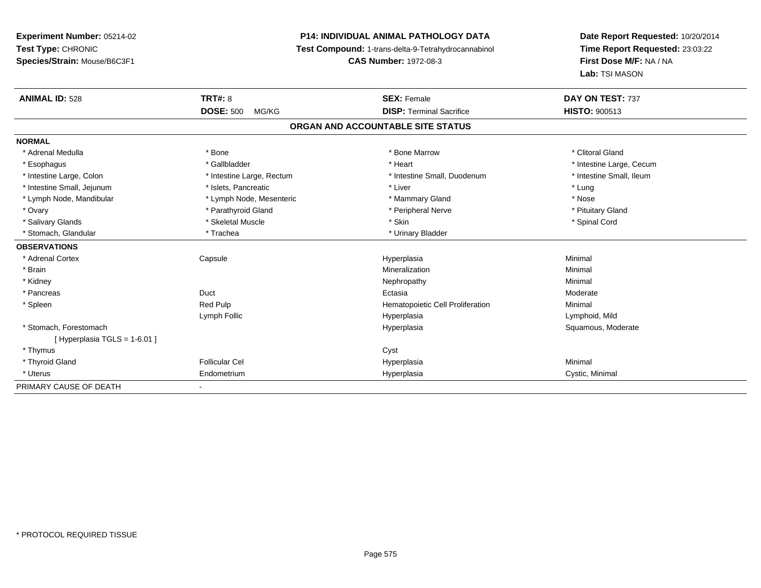## **P14: INDIVIDUAL ANIMAL PATHOLOGY DATA**

**Test Compound:** 1-trans-delta-9-Tetrahydrocannabinol

**CAS Number:** 1972-08-3

| <b>ANIMAL ID: 528</b>          | <b>TRT#: 8</b>            | <b>SEX: Female</b>                | DAY ON TEST: 737         |  |  |
|--------------------------------|---------------------------|-----------------------------------|--------------------------|--|--|
|                                | <b>DOSE: 500</b><br>MG/KG | <b>DISP: Terminal Sacrifice</b>   | <b>HISTO: 900513</b>     |  |  |
|                                |                           | ORGAN AND ACCOUNTABLE SITE STATUS |                          |  |  |
| <b>NORMAL</b>                  |                           |                                   |                          |  |  |
| * Adrenal Medulla              | * Bone                    | * Bone Marrow                     | * Clitoral Gland         |  |  |
| * Esophagus                    | * Gallbladder             | * Heart                           | * Intestine Large, Cecum |  |  |
| * Intestine Large, Colon       | * Intestine Large, Rectum | * Intestine Small, Duodenum       | * Intestine Small, Ileum |  |  |
| * Intestine Small, Jejunum     | * Islets, Pancreatic      | * Liver                           | * Lung                   |  |  |
| * Lymph Node, Mandibular       | * Lymph Node, Mesenteric  | * Mammary Gland                   | * Nose                   |  |  |
| * Ovary                        | * Parathyroid Gland       | * Peripheral Nerve                | * Pituitary Gland        |  |  |
| * Salivary Glands              | * Skeletal Muscle         | * Skin                            | * Spinal Cord            |  |  |
| * Stomach, Glandular           | * Trachea                 | * Urinary Bladder                 |                          |  |  |
| <b>OBSERVATIONS</b>            |                           |                                   |                          |  |  |
| * Adrenal Cortex               | Capsule                   | Hyperplasia                       | Minimal                  |  |  |
| * Brain                        |                           | Mineralization                    | Minimal                  |  |  |
| * Kidney                       |                           | Nephropathy                       | Minimal                  |  |  |
| * Pancreas                     | Duct                      | Ectasia                           | Moderate                 |  |  |
| * Spleen                       | Red Pulp                  | Hematopoietic Cell Proliferation  | Minimal                  |  |  |
|                                | Lymph Follic              | Hyperplasia                       | Lymphoid, Mild           |  |  |
| * Stomach, Forestomach         |                           | Hyperplasia                       | Squamous, Moderate       |  |  |
| [Hyperplasia TGLS = $1-6.01$ ] |                           |                                   |                          |  |  |
| * Thymus                       |                           | Cyst                              |                          |  |  |
| * Thyroid Gland                | <b>Follicular Cel</b>     | Hyperplasia                       | Minimal                  |  |  |
| * Uterus                       | Endometrium               | Hyperplasia                       | Cystic, Minimal          |  |  |
| PRIMARY CAUSE OF DEATH         |                           |                                   |                          |  |  |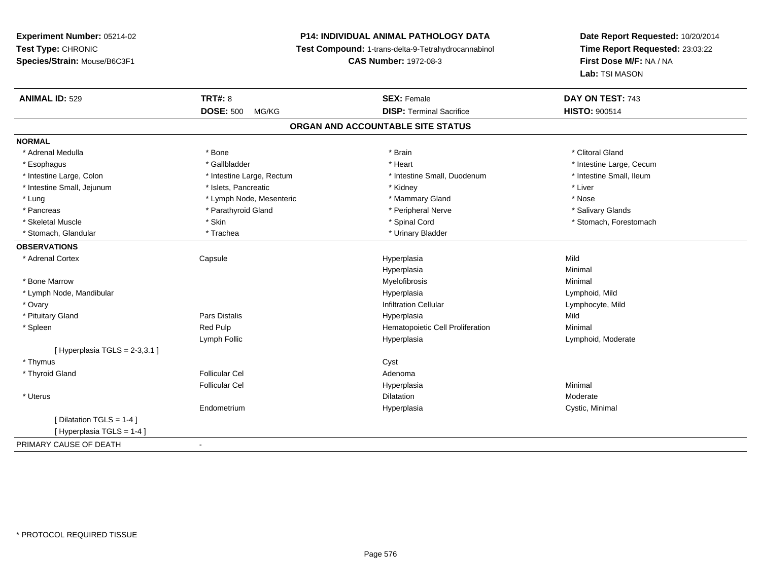# **P14: INDIVIDUAL ANIMAL PATHOLOGY DATA**

**Test Compound:** 1-trans-delta-9-Tetrahydrocannabinol

**CAS Number:** 1972-08-3

| <b>ANIMAL ID: 529</b>           | <b>TRT#: 8</b>            | <b>SEX: Female</b>                | DAY ON TEST: 743         |
|---------------------------------|---------------------------|-----------------------------------|--------------------------|
|                                 | <b>DOSE: 500</b><br>MG/KG | <b>DISP: Terminal Sacrifice</b>   | <b>HISTO: 900514</b>     |
|                                 |                           | ORGAN AND ACCOUNTABLE SITE STATUS |                          |
| <b>NORMAL</b>                   |                           |                                   |                          |
| * Adrenal Medulla               | * Bone                    | * Brain                           | * Clitoral Gland         |
| * Esophagus                     | * Gallbladder             | * Heart                           | * Intestine Large, Cecum |
| * Intestine Large, Colon        | * Intestine Large, Rectum | * Intestine Small, Duodenum       | * Intestine Small, Ileum |
| * Intestine Small, Jejunum      | * Islets, Pancreatic      | * Kidney                          | * Liver                  |
| * Lung                          | * Lymph Node, Mesenteric  | * Mammary Gland                   | * Nose                   |
| * Pancreas                      | * Parathyroid Gland       | * Peripheral Nerve                | * Salivary Glands        |
| * Skeletal Muscle               | * Skin                    | * Spinal Cord                     | * Stomach, Forestomach   |
| * Stomach, Glandular            | * Trachea                 | * Urinary Bladder                 |                          |
| <b>OBSERVATIONS</b>             |                           |                                   |                          |
| * Adrenal Cortex                | Capsule                   | Hyperplasia                       | Mild                     |
|                                 |                           | Hyperplasia                       | Minimal                  |
| * Bone Marrow                   |                           | Myelofibrosis                     | Minimal                  |
| * Lymph Node, Mandibular        |                           | Hyperplasia                       | Lymphoid, Mild           |
| * Ovary                         |                           | <b>Infiltration Cellular</b>      | Lymphocyte, Mild         |
| * Pituitary Gland               | <b>Pars Distalis</b>      | Hyperplasia                       | Mild                     |
| * Spleen                        | Red Pulp                  | Hematopoietic Cell Proliferation  | Minimal                  |
|                                 | Lymph Follic              | Hyperplasia                       | Lymphoid, Moderate       |
| [Hyperplasia TGLS = $2-3,3.1$ ] |                           |                                   |                          |
| * Thymus                        |                           | Cyst                              |                          |
| * Thyroid Gland                 | <b>Follicular Cel</b>     | Adenoma                           |                          |
|                                 | <b>Follicular Cel</b>     | Hyperplasia                       | Minimal                  |
| * Uterus                        |                           | <b>Dilatation</b>                 | Moderate                 |
|                                 | Endometrium               | Hyperplasia                       | Cystic, Minimal          |
| [ Dilatation TGLS = 1-4 ]       |                           |                                   |                          |
| [Hyperplasia TGLS = 1-4]        |                           |                                   |                          |
| PRIMARY CAUSE OF DEATH          | $\blacksquare$            |                                   |                          |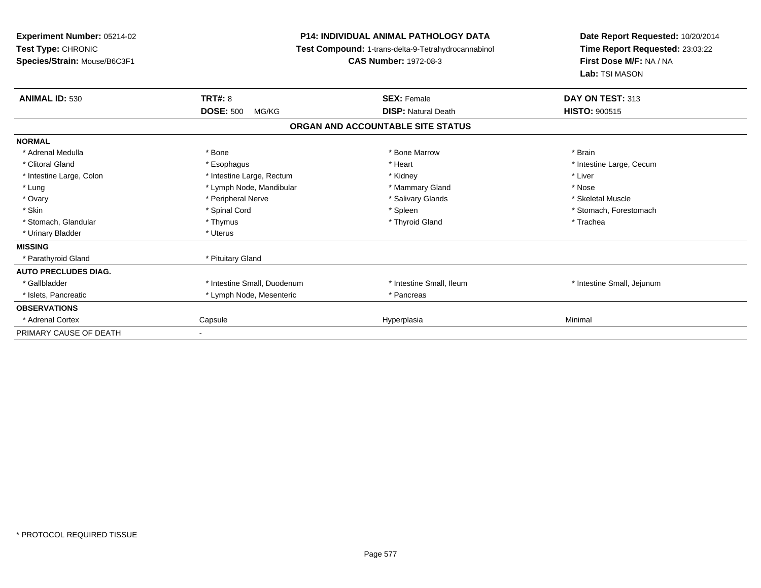| Experiment Number: 05214-02<br>Test Type: CHRONIC<br>Species/Strain: Mouse/B6C3F1 | <b>P14: INDIVIDUAL ANIMAL PATHOLOGY DATA</b><br>Test Compound: 1-trans-delta-9-Tetrahydrocannabinol<br><b>CAS Number: 1972-08-3</b> |                                   | Date Report Requested: 10/20/2014<br>Time Report Requested: 23:03:22<br>First Dose M/F: NA / NA<br>Lab: TSI MASON |
|-----------------------------------------------------------------------------------|-------------------------------------------------------------------------------------------------------------------------------------|-----------------------------------|-------------------------------------------------------------------------------------------------------------------|
| <b>ANIMAL ID: 530</b>                                                             | <b>TRT#: 8</b>                                                                                                                      | <b>SEX: Female</b>                | DAY ON TEST: 313                                                                                                  |
|                                                                                   | <b>DOSE: 500</b><br>MG/KG                                                                                                           | <b>DISP: Natural Death</b>        | HISTO: 900515                                                                                                     |
|                                                                                   |                                                                                                                                     | ORGAN AND ACCOUNTABLE SITE STATUS |                                                                                                                   |
| <b>NORMAL</b>                                                                     |                                                                                                                                     |                                   |                                                                                                                   |
| * Adrenal Medulla                                                                 | * Bone                                                                                                                              | * Bone Marrow                     | * Brain                                                                                                           |
| * Clitoral Gland                                                                  | * Esophagus                                                                                                                         | * Heart                           | * Intestine Large, Cecum                                                                                          |
| * Intestine Large, Colon                                                          | * Intestine Large, Rectum                                                                                                           | * Kidney                          | * Liver                                                                                                           |
| * Lung                                                                            | * Lymph Node, Mandibular                                                                                                            | * Mammary Gland                   | * Nose                                                                                                            |
| * Ovary                                                                           | * Peripheral Nerve                                                                                                                  | * Salivary Glands                 | * Skeletal Muscle                                                                                                 |
| * Skin                                                                            | * Spinal Cord                                                                                                                       | * Spleen                          | * Stomach, Forestomach                                                                                            |
| * Stomach, Glandular                                                              | * Thymus                                                                                                                            | * Thyroid Gland                   | * Trachea                                                                                                         |
| * Urinary Bladder                                                                 | * Uterus                                                                                                                            |                                   |                                                                                                                   |
| <b>MISSING</b>                                                                    |                                                                                                                                     |                                   |                                                                                                                   |
| * Parathyroid Gland                                                               | * Pituitary Gland                                                                                                                   |                                   |                                                                                                                   |
| <b>AUTO PRECLUDES DIAG.</b>                                                       |                                                                                                                                     |                                   |                                                                                                                   |
| * Gallbladder                                                                     | * Intestine Small, Duodenum                                                                                                         | * Intestine Small, Ileum          | * Intestine Small, Jejunum                                                                                        |
| * Islets, Pancreatic                                                              | * Lymph Node, Mesenteric                                                                                                            | * Pancreas                        |                                                                                                                   |
| <b>OBSERVATIONS</b>                                                               |                                                                                                                                     |                                   |                                                                                                                   |
| * Adrenal Cortex                                                                  | Capsule                                                                                                                             | Hyperplasia                       | Minimal                                                                                                           |
| PRIMARY CAUSE OF DEATH                                                            |                                                                                                                                     |                                   |                                                                                                                   |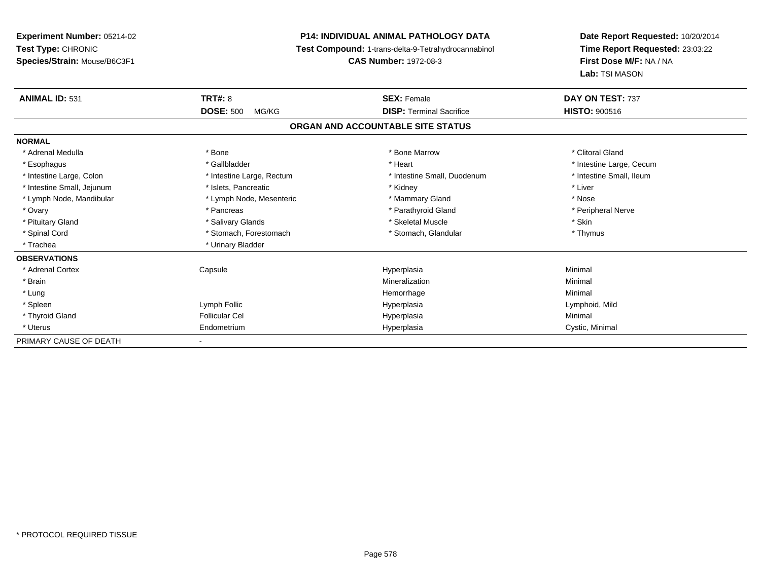**Experiment Number:** 05214-02**Test Type:** CHRONIC **Species/Strain:** Mouse/B6C3F1**P14: INDIVIDUAL ANIMAL PATHOLOGY DATA Test Compound:** 1-trans-delta-9-Tetrahydrocannabinol **CAS Number:** 1972-08-3**Date Report Requested:** 10/20/2014**Time Report Requested:** 23:03:22**First Dose M/F:** NA / NA**Lab:** TSI MASON**ANIMAL ID:** 531**TRT#:** 8 **SEX:** Female **DAY ON TEST:** 737 **DOSE:** 500 MG/KG**DISP:** Terminal Sacrifice **HISTO:** 900516 **ORGAN AND ACCOUNTABLE SITE STATUSNORMAL**\* Adrenal Medulla \* The state of the state of the state of the state of the Marrow \* Bone Marrow \* Clitoral Gland \* Clitoral Gland \* Esophagus \* https://www.fragustage.com/web/2019/heart \* Heart \* Heart \* Heart \* Intestine Large, Cecum \* Intestine Large, Cecum \* Sallbladder \* The state of the state of the state of the state of the state of the state o \* Intestine Small, Ileum \* Intestine Large, Colon \* Intestine Large, Rectum \* Intestine Small, Duodenum \* Intestine Small, Duodenum \* Intestine Small, Jejunum \* 1992 \* The state of the state of the state of the state of the state of the state of the state of the state of the state of the state of the state of the state of the state of the state of the \* Lymph Node, Mandibular \* Mose \* Lymph Node, Mesenteric \* Mammary Gland \* Mose \* Nose \* Nose \* Peripheral Nerve \* Ovary \* And the second of the second of the second version of the second version of the second version of the second version of the second version of the second version of the second version of the second version of the \* Pituitary Gland \* \* \* \* Salivary Glands \* \* \* Salivary Glands \* \* \$keletal Muscle \* \* \* \* \* \$kin \* \* \$kin \* \* Thymus \* Spinal Cord \* Stomach, Forestomach \* Stomach, Spinal Cord \* Stomach, Glandular \* Thymus \* Stomach, Glandular \* Trachea \* Urinary Bladder**OBSERVATIONS** \* Adrenal Cortex Capsulee and the Hyperplasia Minimal Minimal Service and the Hyperplasia Minimal Minimal Service and Minimal Service and Minimal Service and Minimal Service and Minimal Service and Minimal Service and Minimal Service and Minimal \* Brainn and the controller of the controller of the Mineralization and the controller of the Minimal of the Minimal <br>The Minimal of the controller of the controller of the controller of the controller of the controller of the c \* Lungg and the state of the state of the state of the state of the Minimal Section 1, the state of the state of the Minimal Section 1, the state of the state of the state of the state of the state of the state of the state of t \* Spleen Lymph Follic Hyperplasia Lymphoid, Mild \* Thyroid Gland Follicular Cel Hyperplasia Minimal \* Uterus Endometriumm Cystic, Minimal Cystic, Minimal PRIMARY CAUSE OF DEATH-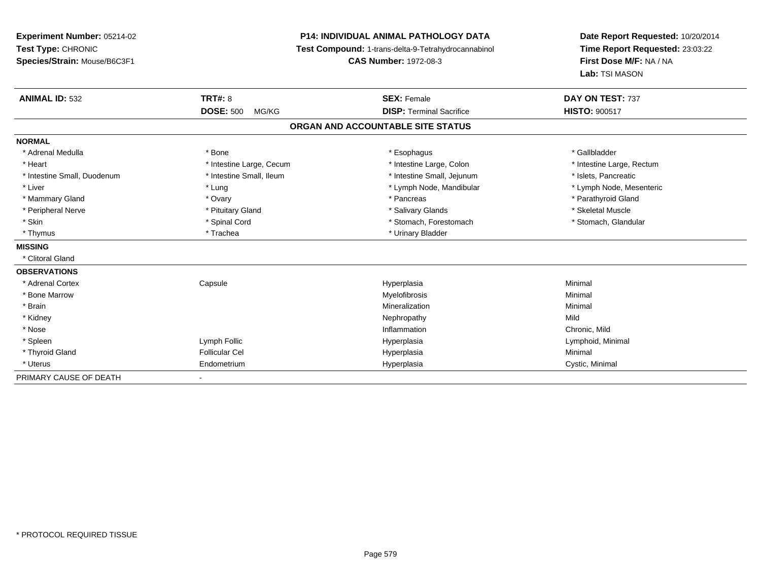**Experiment Number:** 05214-02**Test Type:** CHRONIC **Species/Strain:** Mouse/B6C3F1**P14: INDIVIDUAL ANIMAL PATHOLOGY DATA Test Compound:** 1-trans-delta-9-Tetrahydrocannabinol **CAS Number:** 1972-08-3**Date Report Requested:** 10/20/2014**Time Report Requested:** 23:03:22**First Dose M/F:** NA / NA**Lab:** TSI MASON**ANIMAL ID:** 532**TRT#:** 8 **SEX:** Female **DAY ON TEST:** 737 **DOSE:** 500 MG/KG**DISP:** Terminal Sacrifice **HISTO:**  $900517$ **ORGAN AND ACCOUNTABLE SITE STATUSNORMAL**\* Adrenal Medulla \* Adrenal Medulla \* \* \* Bone \* \* \* Bone \* \* \* Esophagus \* \* Esophagus \* \* \* Esophagus \* \* Gallbladder \* \* Gallbladder \* Heart **\*** Intestine Large, Cecum **\* Intestine Large, Cecum** \* Intestine Large, Colon \* Intestine Large, Rectum \* Intestine Large, Rectum \* Intestine Small, Duodenum \* Intestine Small, Ileum \* 1ntestine Small, Iejunum \* Intestine Small, Jejunum \* Islets, Pancreatic \* Lymph Node, Mesenteric \* Liver \* Lung \* Lung \* Lung \* Lung \* Lymph Node, Mandibular \* Lymph Node, Mandibular \* Mammary Gland \* \* Andrew \* Ovary \* Andrew \* Ovary \* Pancreas \* Pancreas \* \* Pancreas \* \* Pancreas \* \* Pancreas \* \* Pancreas \* \* Pancreas \* \* Pancreas \* \* Pancreas \* \* Pancreas \* \* Pancreas \* \* Pancreas \* \* Pancreas \* \* P \* Peripheral Nerve \* \* \* Aliundration of the term of the state of the term of the state of the state of the state of the state of the state of the state of the state of the state of the state of the state of the state of t \* Stomach. Glandular \* Skin \* Spinal Cord \* Spinal Cord \* Stomach, Forestomach \* Stomach, Forestomach \* Thymus \* Trachea \* Trachea \* Urinary Bladder **MISSING** \* Clitoral Gland**OBSERVATIONS** \* Adrenal Cortex**Capsule**  Hyperplasia Minimal \* Bone Marroww which is a controller to the Myelofibrosis and the Minimal method of the Minimal method of the Minimal method of the Minimal method of the Minimal method of the Minimal method of the Minimal method of the Minimal method \* Brainn and the controller of the controller of the controller of the Minimal Mineralization and the controller of the Minimal Minimal  $\alpha$  \* Kidneyy the controller of the controller of the controller of the controller of the controller of the controller of the controller of the controller of the controller of the controller of the controller of the controller of the Chronic, Mild \* Nosee and the contract of the contract of the contract of the contract of the contract of the chronic, Mild and the chronic, Mild and the chronic, Mild and the chronic state of the chronic state of the chronic state of the chr \* Spleen Lymph Follic Hyperplasia Lymphoid, Minimal \* Thyroid Gland Follicular Cel Hyperplasia Minimal \* Uterus Endometriumm Cystic, Minimal Cystic, Minimal PRIMARY CAUSE OF DEATH-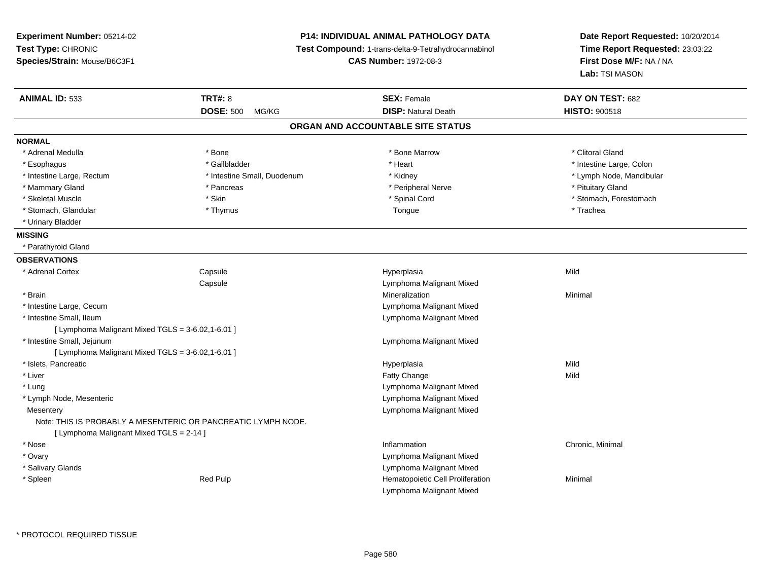**Experiment Number:** 05214-02**Test Type:** CHRONIC **Species/Strain:** Mouse/B6C3F1**P14: INDIVIDUAL ANIMAL PATHOLOGY DATA Test Compound:** 1-trans-delta-9-Tetrahydrocannabinol **CAS Number:** 1972-08-3**Date Report Requested:** 10/20/2014**Time Report Requested:** 23:03:22**First Dose M/F:** NA / NA**Lab:** TSI MASON**ANIMAL ID:** 533**TRT#:** 8 **SEX:** Female **DAY ON TEST:** 682 **DOSE:** 500 MG/KG**DISP:** Natural Death **HISTO:**  $900518$ **ORGAN AND ACCOUNTABLE SITE STATUSNORMAL**\* Adrenal Medulla \* The state of the state of the state of the state of the Marrow \* Bone Marrow \* Clitoral Gland \* Clitoral Gland \* Esophagus \* The metallocom to the settlement of the settlement of the settlement of the settlement of the settlement of the settlement of the settlement of the settlement of the settlement of the settlement of the settle \* Lymph Node, Mandibular \* Intestine Large, Rectum \* 1992 \* Intestine Small, Duodenum \* Mandibular \* Kidney \* Mammary Gland \* \* Pancreas \* \* Pancreas \* \* Peripheral Nerve \* \* Peripheral Nerve \* \* Pituitary Gland \* \* Pituitary Gland \* Skeletal Muscle \* The state of the set of the set of the set of the set of the set of the set of the set of the set of the set of the set of the set of the set of the set of the set of the set of the set of the set of th \* Stomach, Glandular \* \* \* Trachea \* \* Thymus \* Thomas \* Tongue \* Trachea \* Trachea \* Trachea \* Trachea \* Trachea \* Urinary Bladder**MISSING** \* Parathyroid Gland**OBSERVATIONS** \* Adrenal Cortex**Capsule**  Hyperplasia Mild **Capsule**  Lymphoma Malignant Mixed \* Brainn and the controller of the controller of the controller of the Minimal Mineralization and the controller of the Minimal Minimal  $\alpha$  \* Intestine Large, Cecum Lymphoma Malignant Mixed \* Intestine Small, Ileum Lymphoma Malignant Mixed  $[$  Lymphoma Malignant Mixed TGLS = 3-6.02,1-6.01 ] \* Intestine Small, Jejunum Lymphoma Malignant Mixed  $[$  Lymphoma Malignant Mixed TGLS = 3-6.02,1-6.01  $]$  \* Islets, Pancreaticc and the contract of the contract of the contract of the contract of the contract of the contract of the contract of the contract of the contract of the contract of the contract of the contract of the contract of the cont a Mild \* Liverr and the contract of the contract of the contract of the contract of the contract of the contract of the contract of the contract of the contract of the contract of the contract of the contract of the contract of the cont e Mild \* Lung Lymphoma Malignant Mixed \* Lymph Node, Mesenteric Lymphoma Malignant Mixed Lymphoma Malignant Mixed**Mesentery** Note: THIS IS PROBABLY A MESENTERIC OR PANCREATIC LYMPH NODE.[ Lymphoma Malignant Mixed TGLS = 2-14 ] \* Nosee the contraction of the contraction of the contraction of the contraction of the chronic, Minimal on the chronic, Minimal or  $\mathbb{R}^n$  \* Ovary Lymphoma Malignant Mixed Lymphoma Malignant Mixed \* Salivary Glandsn med Pulp Red Pulp and the Minimal Cell Proliferation Minimal \* SpleenLymphoma Malignant Mixed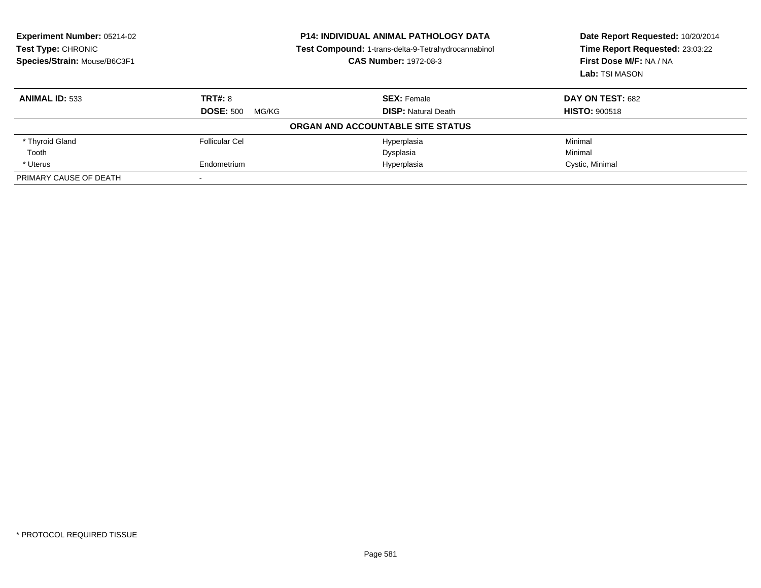| <b>Experiment Number: 05214-02</b><br>Test Type: CHRONIC<br>Species/Strain: Mouse/B6C3F1 | <b>P14: INDIVIDUAL ANIMAL PATHOLOGY DATA</b><br>Test Compound: 1-trans-delta-9-Tetrahydrocannabinol<br><b>CAS Number: 1972-08-3</b> |                                   | Date Report Requested: 10/20/2014<br>Time Report Requested: 23:03:22<br>First Dose M/F: NA / NA<br>Lab: TSI MASON |
|------------------------------------------------------------------------------------------|-------------------------------------------------------------------------------------------------------------------------------------|-----------------------------------|-------------------------------------------------------------------------------------------------------------------|
| <b>ANIMAL ID: 533</b>                                                                    | TRT#: 8                                                                                                                             | <b>SEX: Female</b>                | DAY ON TEST: 682                                                                                                  |
|                                                                                          | <b>DOSE: 500</b><br>MG/KG                                                                                                           | <b>DISP:</b> Natural Death        | <b>HISTO: 900518</b>                                                                                              |
|                                                                                          |                                                                                                                                     | ORGAN AND ACCOUNTABLE SITE STATUS |                                                                                                                   |
| * Thyroid Gland                                                                          | <b>Follicular Cel</b>                                                                                                               | Hyperplasia                       | Minimal                                                                                                           |
| Tooth                                                                                    |                                                                                                                                     | Dysplasia                         | Minimal                                                                                                           |
| * Uterus                                                                                 | Endometrium                                                                                                                         | Hyperplasia                       | Cystic, Minimal                                                                                                   |
| PRIMARY CAUSE OF DEATH                                                                   |                                                                                                                                     |                                   |                                                                                                                   |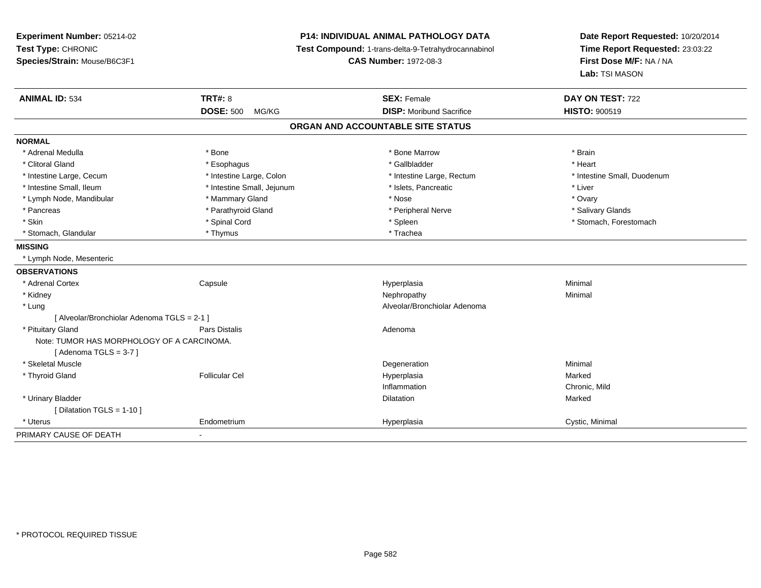**Experiment Number:** 05214-02**Test Type:** CHRONIC **Species/Strain:** Mouse/B6C3F1**P14: INDIVIDUAL ANIMAL PATHOLOGY DATA Test Compound:** 1-trans-delta-9-Tetrahydrocannabinol **CAS Number:** 1972-08-3**Date Report Requested:** 10/20/2014**Time Report Requested:** 23:03:22**First Dose M/F:** NA / NA**Lab:** TSI MASON**ANIMAL ID:** 534 **TRT#:** <sup>8</sup> **SEX:** Female **DAY ON TEST:** <sup>722</sup> **DOSE:** 500 MG/KG **DISP:** Moribund Sacrifice **HISTO:** <sup>900519</sup> **ORGAN AND ACCOUNTABLE SITE STATUSNORMAL**\* Adrenal Medulla \* \* Annual Medulla \* Brain \* Bone \* \* Bone Marrow \* Bone Marrow \* \* Brain \* Brain \* Brain \* Brain \* Brain \* Brain \* Brain \* Brain \* Brain \* Brain \* Brain \* Brain \* Brain \* Brain \* Brain \* Brain \* Brain \* \* Heart \* Clitoral Gland \* \* \* heart \* \* Esophagus \* \* \* \* \* \* \* \* \* \* \* Gallbladder \* \* \* \* \* \* \* \* \* \* \* \* Heart \* Intestine Large, Cecum \* Intestine Large, Colon \* Intestine Large, Thestine Large, Rectum \* Intestine Small, Duodenum \* Intestine Small, Ileum \* Intestine Small, Jejunum \* Islets, Pancreatic \* Liver\* Lymph Node, Mandibular \* \* \* Mannery Gland \* \* Nose \* \* Nose \* \* Nose \* Ovary \* Ovary \* Ovary \* Ovary \* Ovary \* Salivary Glands \* Pancreas \* And the section of the section of the section of the section of the section of the section of the section of the section of the section of the section of the section of the section of the section of the sectio \* Skin \* Spinal Cord \* Spinal Cord \* Spinal Cord \* Spinal The set of the set of the set of the set of the set of the set of the set of the set of the set of the set of the set of the set of the set of the set of the set of \* Stomach, Glandular \* The \* Thymus \* Thymus \* Trachea **MISSING** \* Lymph Node, Mesenteric**OBSERVATIONS** \* Adrenal Cortex**Capsule**  Hyperplasia Minimal \* Kidneyy the control of the control of the control of the control of the control of the control of the control of the control of the control of the control of the control of the control of the control of the control of the contro \* Lung Alveolar/Bronchiolar Adenoma [ Alveolar/Bronchiolar Adenoma TGLS = 2-1 ] \* Pituitary Glandd and the set of Pars Distalis and the Second Adenomal Adenomal Second Second Pars Distallis Note: TUMOR HAS MORPHOLOGY OF A CARCINOMA. $[$  Adenoma TGLS = 3-7  $]$  \* Skeletal Musclee de la controllata de la controllata de la controllata de la controllata de la controllata de la controllata d<br>Degeneration \* Thyroid Gland Follicular Cel Hyperplasia Marked Inflammation Chronic, Mild \* Urinary Bladder**n** Dilatation **Contract Contract Contract Contract Contract Contract Contract Contract Contract Contract Contract Contract Contract Contract Contract Contract Contract Contract Contract Contract Contract Contract Contract** n Marked **Marked** [ Dilatation TGLS = 1-10 ] \* Uterus Endometriumm Cystic, Minimal Cystic, Minimal PRIMARY CAUSE OF DEATH-